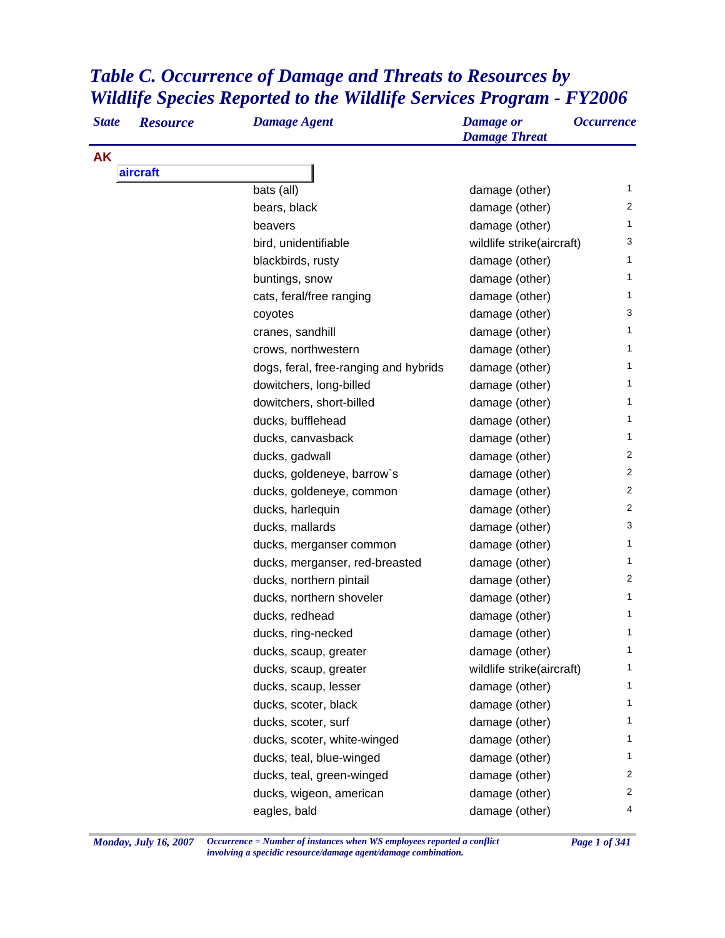## *Table C. Occurrence of Damage and Threats to Resources by Wildlife Species Reported to the Wildlife Services Program - FY2006*

| <b>State</b> | <b>Resource</b> | <b>Damage Agent</b>                   | <b>Damage</b> or<br><b>Damage Threat</b> | <b>Occurrence</b> |
|--------------|-----------------|---------------------------------------|------------------------------------------|-------------------|
| <b>AK</b>    |                 |                                       |                                          |                   |
|              | aircraft        |                                       |                                          |                   |
|              |                 | bats (all)                            | damage (other)                           | $\mathbf{1}$      |
|              |                 | bears, black                          | damage (other)                           | 2                 |
|              |                 | beavers                               | damage (other)                           | 1                 |
|              |                 | bird, unidentifiable                  | wildlife strike(aircraft)                | 3                 |
|              |                 | blackbirds, rusty                     | damage (other)                           | 1                 |
|              |                 | buntings, snow                        | damage (other)                           | 1                 |
|              |                 | cats, feral/free ranging              | damage (other)                           | 1                 |
|              |                 | coyotes                               | damage (other)                           | 3                 |
|              |                 | cranes, sandhill                      | damage (other)                           | 1                 |
|              |                 | crows, northwestern                   | damage (other)                           | 1                 |
|              |                 | dogs, feral, free-ranging and hybrids | damage (other)                           | 1                 |
|              |                 | dowitchers, long-billed               | damage (other)                           | 1                 |
|              |                 | dowitchers, short-billed              | damage (other)                           | 1                 |
|              |                 | ducks, bufflehead                     | damage (other)                           | 1                 |
|              |                 | ducks, canvasback                     | damage (other)                           | 1                 |
|              |                 | ducks, gadwall                        | damage (other)                           | $\overline{2}$    |
|              |                 | ducks, goldeneye, barrow's            | damage (other)                           | $\overline{2}$    |
|              |                 | ducks, goldeneye, common              | damage (other)                           | 2                 |
|              |                 | ducks, harlequin                      | damage (other)                           | $\overline{2}$    |
|              |                 | ducks, mallards                       | damage (other)                           | 3                 |
|              |                 | ducks, merganser common               | damage (other)                           | 1                 |
|              |                 | ducks, merganser, red-breasted        | damage (other)                           | 1                 |
|              |                 | ducks, northern pintail               | damage (other)                           | $\overline{2}$    |
|              |                 | ducks, northern shoveler              | damage (other)                           | 1                 |
|              |                 | ducks, redhead                        | damage (other)                           | 1                 |
|              |                 | ducks, ring-necked                    | damage (other)                           | 1                 |
|              |                 | ducks, scaup, greater                 | damage (other)                           | 1                 |
|              |                 | ducks, scaup, greater                 | wildlife strike(aircraft)                | 1                 |
|              |                 | ducks, scaup, lesser                  | damage (other)                           | 1                 |
|              |                 | ducks, scoter, black                  | damage (other)                           | 1                 |
|              |                 | ducks, scoter, surf                   | damage (other)                           | 1                 |
|              |                 | ducks, scoter, white-winged           | damage (other)                           | 1                 |
|              |                 | ducks, teal, blue-winged              | damage (other)                           | 1                 |
|              |                 | ducks, teal, green-winged             | damage (other)                           | 2                 |
|              |                 | ducks, wigeon, american               | damage (other)                           | $\overline{2}$    |
|              |                 | eagles, bald                          | damage (other)                           | 4                 |

*Monday, July 16, 2007 Occurrence = Number of instances when WS employees reported a conflict Page 1 of 341 involving a specidic resource/damage agent/damage combination.*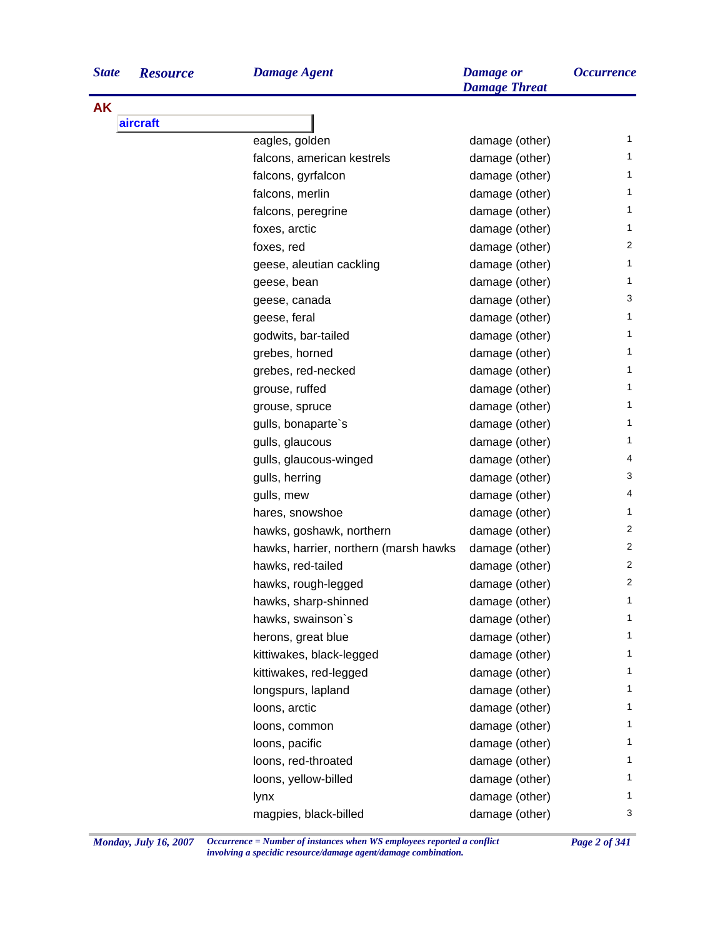| <b>State</b> | <b>Resource</b> |  |
|--------------|-----------------|--|
|              |                 |  |

**AK**

| <b>State</b> | <b>Resource</b> | <b>Damage Agent</b>                   | <b>Damage</b> or<br><b>Damage Threat</b> | <i><b>Occurrence</b></i> |
|--------------|-----------------|---------------------------------------|------------------------------------------|--------------------------|
| AK           |                 |                                       |                                          |                          |
|              | aircraft        |                                       |                                          |                          |
|              |                 | eagles, golden                        | damage (other)                           | 1                        |
|              |                 | falcons, american kestrels            | damage (other)                           | 1                        |
|              |                 | falcons, gyrfalcon                    | damage (other)                           | 1                        |
|              |                 | falcons, merlin                       | damage (other)                           | 1                        |
|              |                 | falcons, peregrine                    | damage (other)                           | 1                        |
|              |                 | foxes, arctic                         | damage (other)                           | 1                        |
|              |                 | foxes, red                            | damage (other)                           | 2                        |
|              |                 | geese, aleutian cackling              | damage (other)                           | 1                        |
|              |                 | geese, bean                           | damage (other)                           | 1                        |
|              |                 | geese, canada                         | damage (other)                           | 3                        |
|              |                 | geese, feral                          | damage (other)                           | 1                        |
|              |                 | godwits, bar-tailed                   | damage (other)                           | 1                        |
|              |                 | grebes, horned                        | damage (other)                           | 1                        |
|              |                 | grebes, red-necked                    | damage (other)                           | 1                        |
|              |                 | grouse, ruffed                        | damage (other)                           | 1                        |
|              |                 | grouse, spruce                        | damage (other)                           | 1                        |
|              |                 | gulls, bonaparte's                    | damage (other)                           | 1                        |
|              |                 | gulls, glaucous                       | damage (other)                           | 1                        |
|              |                 | gulls, glaucous-winged                | damage (other)                           | 4                        |
|              |                 | gulls, herring                        | damage (other)                           | 3                        |
|              |                 | gulls, mew                            | damage (other)                           | 4                        |
|              |                 | hares, snowshoe                       | damage (other)                           | 1                        |
|              |                 | hawks, goshawk, northern              | damage (other)                           | $\overline{c}$           |
|              |                 | hawks, harrier, northern (marsh hawks | damage (other)                           | $\overline{c}$           |
|              |                 | hawks, red-tailed                     | damage (other)                           | $\overline{c}$           |
|              |                 | hawks, rough-legged                   | damage (other)                           | 2                        |
|              |                 | hawks, sharp-shinned                  | damage (other)                           | 1                        |
|              |                 | hawks, swainson's                     | damage (other)                           | 1                        |
|              |                 | herons, great blue                    | damage (other)                           | 1                        |
|              |                 | kittiwakes, black-legged              | damage (other)                           | 1                        |
|              |                 | kittiwakes, red-legged                | damage (other)                           | 1                        |
|              |                 | longspurs, lapland                    | damage (other)                           | 1                        |
|              |                 | loons, arctic                         | damage (other)                           | 1                        |
|              |                 | loons, common                         | damage (other)                           | 1                        |
|              |                 | loons, pacific                        | damage (other)                           | 1                        |
|              |                 | loons, red-throated                   | damage (other)                           | 1                        |
|              |                 | loons, yellow-billed                  | damage (other)                           | 1                        |
|              |                 | lynx                                  | damage (other)                           | 1                        |
|              |                 | magpies, black-billed                 | damage (other)                           | 3                        |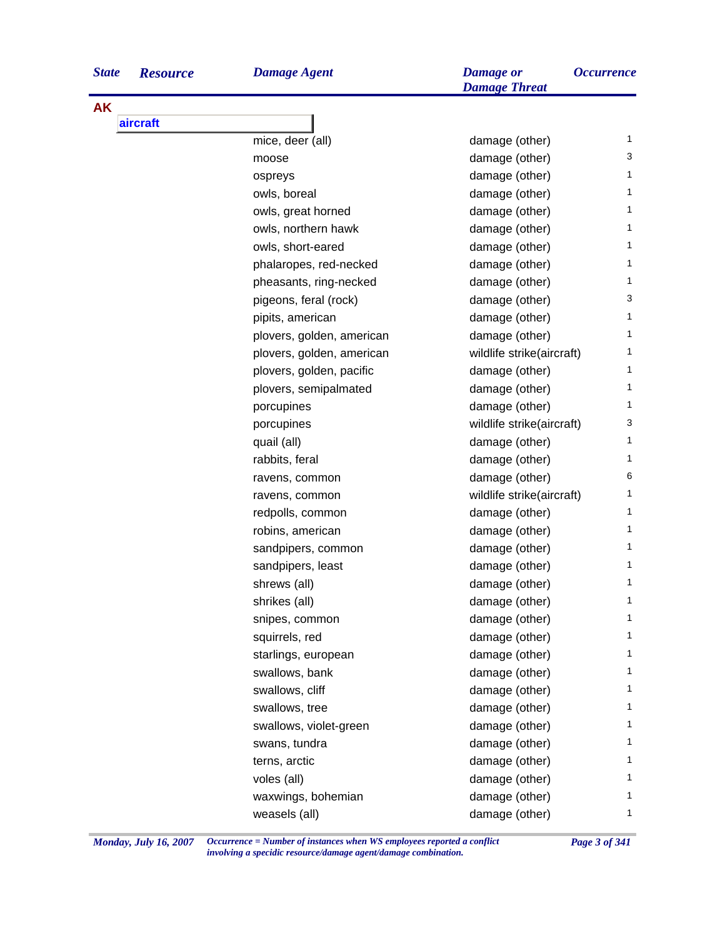| <b>State</b> | <b>Resource</b> | <b>Damage Agent</b>       | <b>Damage</b> or<br><b>Damage Threat</b> | <i><b>Occurrence</b></i> |
|--------------|-----------------|---------------------------|------------------------------------------|--------------------------|
| <b>AK</b>    |                 |                           |                                          |                          |
|              | aircraft        |                           |                                          |                          |
|              |                 | mice, deer (all)          | damage (other)                           | 1                        |
|              |                 | moose                     | damage (other)                           | 3                        |
|              |                 | ospreys                   | damage (other)                           | 1.                       |
|              |                 | owls, boreal              | damage (other)                           | 1                        |
|              |                 | owls, great horned        | damage (other)                           | 1                        |
|              |                 | owls, northern hawk       | damage (other)                           | 1                        |
|              |                 | owls, short-eared         | damage (other)                           | 1.                       |
|              |                 | phalaropes, red-necked    | damage (other)                           | 1                        |
|              |                 | pheasants, ring-necked    | damage (other)                           | 1                        |
|              |                 | pigeons, feral (rock)     | damage (other)                           | 3                        |
|              |                 | pipits, american          | damage (other)                           | 1                        |
|              |                 | plovers, golden, american | damage (other)                           | 1                        |
|              |                 | plovers, golden, american | wildlife strike(aircraft)                | 1                        |
|              |                 | plovers, golden, pacific  | damage (other)                           | 1.                       |
|              |                 | plovers, semipalmated     | damage (other)                           | 1.                       |
|              |                 | porcupines                | damage (other)                           | 1                        |
|              |                 | porcupines                | wildlife strike(aircraft)                | 3                        |
|              |                 | quail (all)               | damage (other)                           | 1.                       |
|              |                 | rabbits, feral            | damage (other)                           | 1.                       |
|              |                 | ravens, common            | damage (other)                           | 6                        |
|              |                 | ravens, common            | wildlife strike(aircraft)                | 1                        |
|              |                 | redpolls, common          | damage (other)                           | 1.                       |
|              |                 | robins, american          | damage (other)                           | 1.                       |
|              |                 | sandpipers, common        | damage (other)                           | 1                        |
|              |                 | sandpipers, least         | damage (other)                           | 1                        |
|              |                 | shrews (all)              | damage (other)                           | 1                        |
|              |                 | shrikes (all)             | damage (other)                           | 1                        |
|              |                 | snipes, common            | damage (other)                           | 1.                       |
|              |                 | squirrels, red            | damage (other)                           | 1.                       |
|              |                 | starlings, european       | damage (other)                           | 1.                       |
|              |                 | swallows, bank            | damage (other)                           | 1.                       |
|              |                 | swallows, cliff           | damage (other)                           | 1.                       |
|              |                 | swallows, tree            | damage (other)                           | 1.                       |
|              |                 | swallows, violet-green    | damage (other)                           | 1                        |
|              |                 | swans, tundra             | damage (other)                           | 1.                       |
|              |                 | terns, arctic             | damage (other)                           | 1.                       |
|              |                 | voles (all)               | damage (other)                           | 1.                       |
|              |                 | waxwings, bohemian        | damage (other)                           | 1.                       |
|              |                 | weasels (all)             | damage (other)                           | 1                        |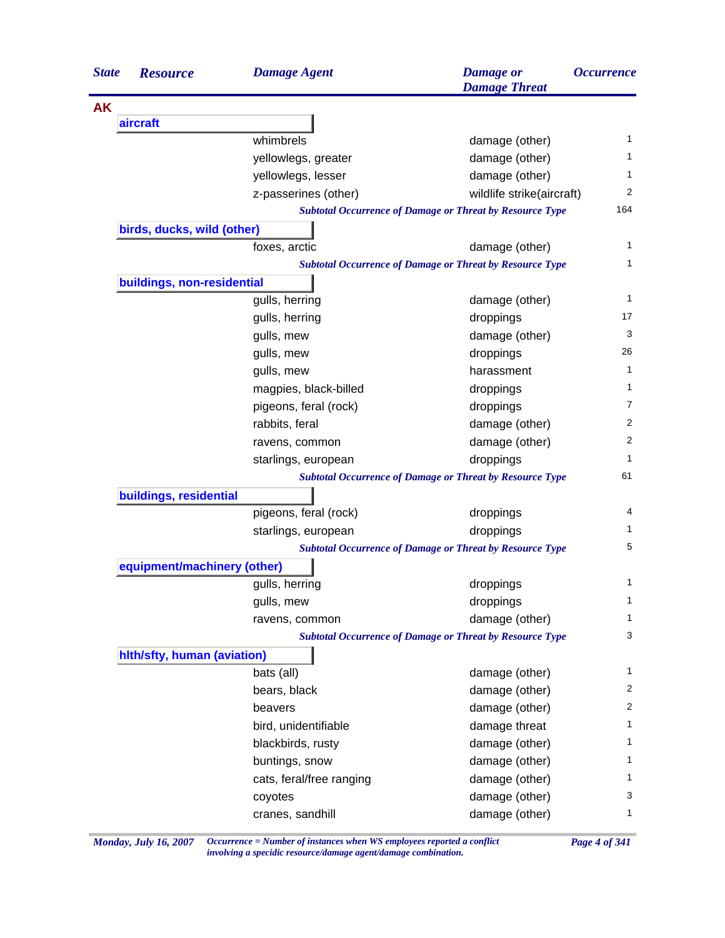| <b>State</b> | <b>Resource</b>             | <b>Damage Agent</b>      | <b>Damage</b> or<br><b>Damage Threat</b>                        | <i><b>Occurrence</b></i> |
|--------------|-----------------------------|--------------------------|-----------------------------------------------------------------|--------------------------|
| <b>AK</b>    |                             |                          |                                                                 |                          |
|              | aircraft                    |                          |                                                                 |                          |
|              |                             | whimbrels                | damage (other)                                                  | 1                        |
|              |                             | yellowlegs, greater      | damage (other)                                                  | 1                        |
|              |                             | yellowlegs, lesser       | damage (other)                                                  | 1                        |
|              |                             | z-passerines (other)     | wildlife strike(aircraft)                                       | 2                        |
|              |                             |                          | <b>Subtotal Occurrence of Damage or Threat by Resource Type</b> | 164                      |
|              | birds, ducks, wild (other)  |                          |                                                                 |                          |
|              |                             | foxes, arctic            | damage (other)                                                  | 1                        |
|              |                             |                          | <b>Subtotal Occurrence of Damage or Threat by Resource Type</b> | 1                        |
|              | buildings, non-residential  |                          |                                                                 |                          |
|              |                             | gulls, herring           | damage (other)                                                  | 1                        |
|              |                             | gulls, herring           | droppings                                                       | 17                       |
|              |                             | gulls, mew               | damage (other)                                                  | 3                        |
|              |                             | gulls, mew               | droppings                                                       | 26                       |
|              |                             | gulls, mew               | harassment                                                      | 1                        |
|              |                             | magpies, black-billed    | droppings                                                       | 1                        |
|              |                             | pigeons, feral (rock)    | droppings                                                       | 7                        |
|              |                             | rabbits, feral           | damage (other)                                                  | 2                        |
|              |                             | ravens, common           | damage (other)                                                  | 2                        |
|              |                             | starlings, european      | droppings                                                       | $\mathbf{1}$             |
|              |                             |                          | <b>Subtotal Occurrence of Damage or Threat by Resource Type</b> | 61                       |
|              | buildings, residential      |                          |                                                                 |                          |
|              |                             | pigeons, feral (rock)    | droppings                                                       | 4                        |
|              |                             | starlings, european      | droppings                                                       | 1                        |
|              |                             |                          | <b>Subtotal Occurrence of Damage or Threat by Resource Type</b> | 5                        |
|              | equipment/machinery (other) |                          |                                                                 |                          |
|              |                             | gulls, herring           | droppings                                                       | 1                        |
|              |                             | gulls, mew               | droppings                                                       | $\mathbf{1}$             |
|              |                             | ravens, common           | damage (other)                                                  | $\mathbf{1}$             |
|              |                             |                          | <b>Subtotal Occurrence of Damage or Threat by Resource Type</b> | 3                        |
|              | hith/sfty, human (aviation) |                          |                                                                 |                          |
|              |                             | bats (all)               | damage (other)                                                  | 1                        |
|              |                             | bears, black             | damage (other)                                                  | 2                        |
|              |                             | beavers                  | damage (other)                                                  | $\overline{c}$           |
|              |                             | bird, unidentifiable     | damage threat                                                   | 1                        |
|              |                             | blackbirds, rusty        | damage (other)                                                  | $\mathbf{1}$             |
|              |                             | buntings, snow           | damage (other)                                                  | 1                        |
|              |                             | cats, feral/free ranging | damage (other)                                                  | $\mathbf{1}$             |
|              |                             | coyotes                  | damage (other)                                                  | 3                        |
|              |                             | cranes, sandhill         | damage (other)                                                  | 1                        |

*Monday, July 16, 2007 Occurrence = Number of instances when WS employees reported a conflict Page 4 of 341 involving a specidic resource/damage agent/damage combination.*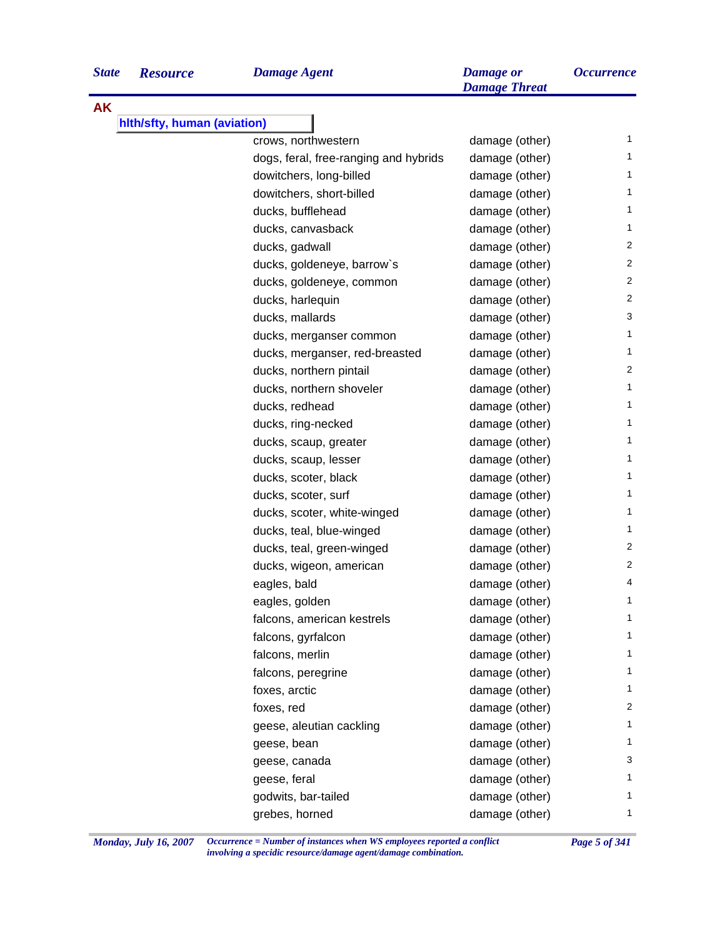**AK**

| <b>Resource</b><br>е        | <b>Damage Agent</b>                                                                                                                                                                                                                                                                                                                                                                                                                                                                                                                                                                                                                                                                                                                                                                                                                                                                                                                                                                                                                                                                                                                                                                                                               | <b>Damage</b> or<br><b>Damage Threat</b> |    |  |  |
|-----------------------------|-----------------------------------------------------------------------------------------------------------------------------------------------------------------------------------------------------------------------------------------------------------------------------------------------------------------------------------------------------------------------------------------------------------------------------------------------------------------------------------------------------------------------------------------------------------------------------------------------------------------------------------------------------------------------------------------------------------------------------------------------------------------------------------------------------------------------------------------------------------------------------------------------------------------------------------------------------------------------------------------------------------------------------------------------------------------------------------------------------------------------------------------------------------------------------------------------------------------------------------|------------------------------------------|----|--|--|
| hith/sfty, human (aviation) |                                                                                                                                                                                                                                                                                                                                                                                                                                                                                                                                                                                                                                                                                                                                                                                                                                                                                                                                                                                                                                                                                                                                                                                                                                   |                                          |    |  |  |
|                             | <b>Occurrence</b><br>1<br>crows, northwestern<br>damage (other)<br>1<br>dogs, feral, free-ranging and hybrids<br>damage (other)<br>dowitchers, long-billed<br>damage (other)<br>1<br>dowitchers, short-billed<br>damage (other)<br>1<br>1<br>ducks, bufflehead<br>damage (other)<br>ducks, canvasback<br>damage (other)<br>1<br>2<br>ducks, gadwall<br>damage (other)<br>2<br>ducks, goldeneye, barrow's<br>damage (other)<br>2<br>ducks, goldeneye, common<br>damage (other)<br>2<br>ducks, harlequin<br>damage (other)<br>3<br>ducks, mallards<br>damage (other)<br>1<br>damage (other)<br>ducks, merganser common<br>1<br>damage (other)<br>ducks, merganser, red-breasted<br>2<br>ducks, northern pintail<br>damage (other)<br>1<br>ducks, northern shoveler<br>damage (other)<br>ducks, redhead<br>damage (other)<br>1<br>1<br>ducks, ring-necked<br>damage (other)<br>damage (other)<br>1<br>ducks, scaup, greater<br>damage (other)<br>1<br>ducks, scaup, lesser<br>ducks, scoter, black<br>damage (other)<br>1<br>1<br>ducks, scoter, surf<br>damage (other)<br>damage (other)<br>1<br>ducks, scoter, white-winged<br>damage (other)<br>1<br>ducks, teal, blue-winged<br>2<br>damage (other)<br>ducks, teal, green-winged |                                          |    |  |  |
|                             |                                                                                                                                                                                                                                                                                                                                                                                                                                                                                                                                                                                                                                                                                                                                                                                                                                                                                                                                                                                                                                                                                                                                                                                                                                   |                                          |    |  |  |
|                             |                                                                                                                                                                                                                                                                                                                                                                                                                                                                                                                                                                                                                                                                                                                                                                                                                                                                                                                                                                                                                                                                                                                                                                                                                                   |                                          |    |  |  |
|                             |                                                                                                                                                                                                                                                                                                                                                                                                                                                                                                                                                                                                                                                                                                                                                                                                                                                                                                                                                                                                                                                                                                                                                                                                                                   |                                          |    |  |  |
|                             |                                                                                                                                                                                                                                                                                                                                                                                                                                                                                                                                                                                                                                                                                                                                                                                                                                                                                                                                                                                                                                                                                                                                                                                                                                   |                                          |    |  |  |
|                             |                                                                                                                                                                                                                                                                                                                                                                                                                                                                                                                                                                                                                                                                                                                                                                                                                                                                                                                                                                                                                                                                                                                                                                                                                                   |                                          |    |  |  |
|                             |                                                                                                                                                                                                                                                                                                                                                                                                                                                                                                                                                                                                                                                                                                                                                                                                                                                                                                                                                                                                                                                                                                                                                                                                                                   |                                          |    |  |  |
|                             |                                                                                                                                                                                                                                                                                                                                                                                                                                                                                                                                                                                                                                                                                                                                                                                                                                                                                                                                                                                                                                                                                                                                                                                                                                   |                                          |    |  |  |
|                             |                                                                                                                                                                                                                                                                                                                                                                                                                                                                                                                                                                                                                                                                                                                                                                                                                                                                                                                                                                                                                                                                                                                                                                                                                                   |                                          |    |  |  |
|                             |                                                                                                                                                                                                                                                                                                                                                                                                                                                                                                                                                                                                                                                                                                                                                                                                                                                                                                                                                                                                                                                                                                                                                                                                                                   |                                          |    |  |  |
|                             |                                                                                                                                                                                                                                                                                                                                                                                                                                                                                                                                                                                                                                                                                                                                                                                                                                                                                                                                                                                                                                                                                                                                                                                                                                   |                                          |    |  |  |
|                             |                                                                                                                                                                                                                                                                                                                                                                                                                                                                                                                                                                                                                                                                                                                                                                                                                                                                                                                                                                                                                                                                                                                                                                                                                                   |                                          |    |  |  |
|                             |                                                                                                                                                                                                                                                                                                                                                                                                                                                                                                                                                                                                                                                                                                                                                                                                                                                                                                                                                                                                                                                                                                                                                                                                                                   |                                          |    |  |  |
|                             |                                                                                                                                                                                                                                                                                                                                                                                                                                                                                                                                                                                                                                                                                                                                                                                                                                                                                                                                                                                                                                                                                                                                                                                                                                   |                                          |    |  |  |
|                             |                                                                                                                                                                                                                                                                                                                                                                                                                                                                                                                                                                                                                                                                                                                                                                                                                                                                                                                                                                                                                                                                                                                                                                                                                                   |                                          |    |  |  |
|                             |                                                                                                                                                                                                                                                                                                                                                                                                                                                                                                                                                                                                                                                                                                                                                                                                                                                                                                                                                                                                                                                                                                                                                                                                                                   |                                          |    |  |  |
|                             |                                                                                                                                                                                                                                                                                                                                                                                                                                                                                                                                                                                                                                                                                                                                                                                                                                                                                                                                                                                                                                                                                                                                                                                                                                   |                                          |    |  |  |
|                             |                                                                                                                                                                                                                                                                                                                                                                                                                                                                                                                                                                                                                                                                                                                                                                                                                                                                                                                                                                                                                                                                                                                                                                                                                                   |                                          |    |  |  |
|                             |                                                                                                                                                                                                                                                                                                                                                                                                                                                                                                                                                                                                                                                                                                                                                                                                                                                                                                                                                                                                                                                                                                                                                                                                                                   |                                          |    |  |  |
|                             |                                                                                                                                                                                                                                                                                                                                                                                                                                                                                                                                                                                                                                                                                                                                                                                                                                                                                                                                                                                                                                                                                                                                                                                                                                   |                                          |    |  |  |
|                             |                                                                                                                                                                                                                                                                                                                                                                                                                                                                                                                                                                                                                                                                                                                                                                                                                                                                                                                                                                                                                                                                                                                                                                                                                                   |                                          |    |  |  |
|                             |                                                                                                                                                                                                                                                                                                                                                                                                                                                                                                                                                                                                                                                                                                                                                                                                                                                                                                                                                                                                                                                                                                                                                                                                                                   |                                          |    |  |  |
|                             |                                                                                                                                                                                                                                                                                                                                                                                                                                                                                                                                                                                                                                                                                                                                                                                                                                                                                                                                                                                                                                                                                                                                                                                                                                   |                                          |    |  |  |
|                             |                                                                                                                                                                                                                                                                                                                                                                                                                                                                                                                                                                                                                                                                                                                                                                                                                                                                                                                                                                                                                                                                                                                                                                                                                                   |                                          |    |  |  |
|                             | ducks, wigeon, american                                                                                                                                                                                                                                                                                                                                                                                                                                                                                                                                                                                                                                                                                                                                                                                                                                                                                                                                                                                                                                                                                                                                                                                                           | damage (other)                           | 2  |  |  |
|                             | eagles, bald                                                                                                                                                                                                                                                                                                                                                                                                                                                                                                                                                                                                                                                                                                                                                                                                                                                                                                                                                                                                                                                                                                                                                                                                                      | damage (other)                           | 4  |  |  |
|                             | eagles, golden                                                                                                                                                                                                                                                                                                                                                                                                                                                                                                                                                                                                                                                                                                                                                                                                                                                                                                                                                                                                                                                                                                                                                                                                                    | damage (other)                           | 1  |  |  |
|                             | falcons, american kestrels                                                                                                                                                                                                                                                                                                                                                                                                                                                                                                                                                                                                                                                                                                                                                                                                                                                                                                                                                                                                                                                                                                                                                                                                        | damage (other)                           | 1  |  |  |
|                             | falcons, gyrfalcon                                                                                                                                                                                                                                                                                                                                                                                                                                                                                                                                                                                                                                                                                                                                                                                                                                                                                                                                                                                                                                                                                                                                                                                                                | damage (other)                           | 1  |  |  |
|                             | falcons, merlin                                                                                                                                                                                                                                                                                                                                                                                                                                                                                                                                                                                                                                                                                                                                                                                                                                                                                                                                                                                                                                                                                                                                                                                                                   | damage (other)                           | 1  |  |  |
|                             | falcons, peregrine                                                                                                                                                                                                                                                                                                                                                                                                                                                                                                                                                                                                                                                                                                                                                                                                                                                                                                                                                                                                                                                                                                                                                                                                                | damage (other)                           | 1  |  |  |
|                             | foxes, arctic                                                                                                                                                                                                                                                                                                                                                                                                                                                                                                                                                                                                                                                                                                                                                                                                                                                                                                                                                                                                                                                                                                                                                                                                                     | damage (other)                           | 1  |  |  |
|                             | foxes, red                                                                                                                                                                                                                                                                                                                                                                                                                                                                                                                                                                                                                                                                                                                                                                                                                                                                                                                                                                                                                                                                                                                                                                                                                        | damage (other)                           | 2  |  |  |
|                             | geese, aleutian cackling                                                                                                                                                                                                                                                                                                                                                                                                                                                                                                                                                                                                                                                                                                                                                                                                                                                                                                                                                                                                                                                                                                                                                                                                          | damage (other)                           | 1. |  |  |
|                             | geese, bean                                                                                                                                                                                                                                                                                                                                                                                                                                                                                                                                                                                                                                                                                                                                                                                                                                                                                                                                                                                                                                                                                                                                                                                                                       | damage (other)                           | 1  |  |  |
|                             | geese, canada                                                                                                                                                                                                                                                                                                                                                                                                                                                                                                                                                                                                                                                                                                                                                                                                                                                                                                                                                                                                                                                                                                                                                                                                                     | damage (other)                           | 3  |  |  |
|                             | geese, feral                                                                                                                                                                                                                                                                                                                                                                                                                                                                                                                                                                                                                                                                                                                                                                                                                                                                                                                                                                                                                                                                                                                                                                                                                      | damage (other)                           | 1  |  |  |
|                             | godwits, bar-tailed                                                                                                                                                                                                                                                                                                                                                                                                                                                                                                                                                                                                                                                                                                                                                                                                                                                                                                                                                                                                                                                                                                                                                                                                               | damage (other)                           | 1. |  |  |
|                             | grebes, horned                                                                                                                                                                                                                                                                                                                                                                                                                                                                                                                                                                                                                                                                                                                                                                                                                                                                                                                                                                                                                                                                                                                                                                                                                    | damage (other)                           | 1  |  |  |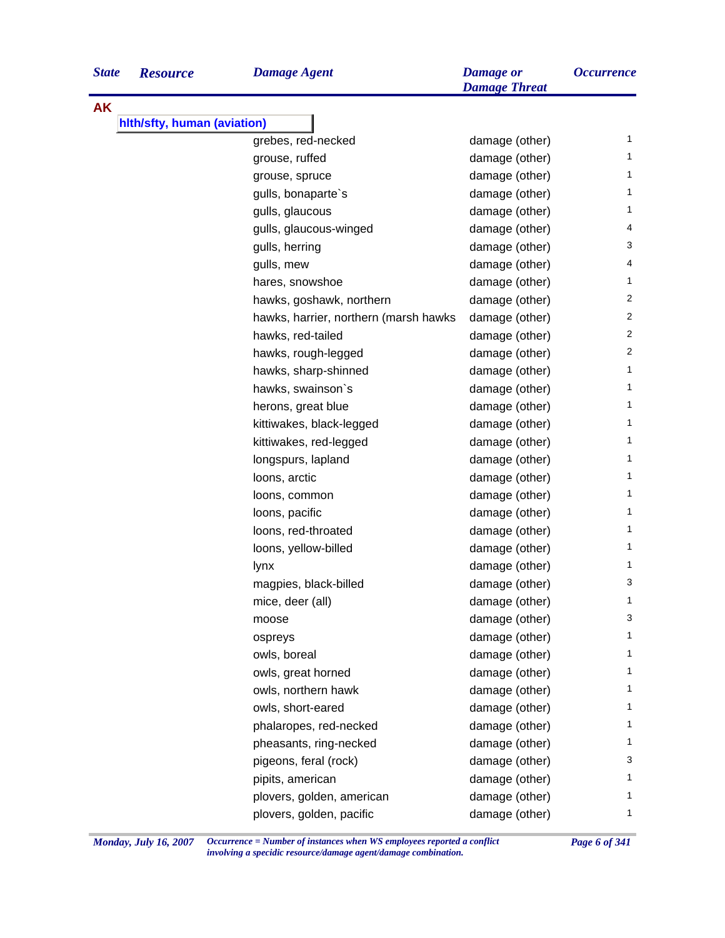**AK**

| grebes, red-necked                    | damage (other) | $\mathbf{1}$   |
|---------------------------------------|----------------|----------------|
| grouse, ruffed                        | damage (other) | $\mathbf{1}$   |
| grouse, spruce                        | damage (other) | $\mathbf{1}$   |
| gulls, bonaparte's                    | damage (other) | 1              |
| gulls, glaucous                       | damage (other) | 1              |
| gulls, glaucous-winged                | damage (other) | 4              |
| gulls, herring                        | damage (other) | 3              |
| gulls, mew                            | damage (other) | 4              |
| hares, snowshoe                       | damage (other) | $\mathbf{1}$   |
| hawks, goshawk, northern              | damage (other) | 2              |
| hawks, harrier, northern (marsh hawks | damage (other) | $\overline{2}$ |
| hawks, red-tailed                     | damage (other) | 2              |
| hawks, rough-legged                   | damage (other) | 2              |
| hawks, sharp-shinned                  | damage (other) | $\mathbf{1}$   |
| hawks, swainson's                     | damage (other) | $\mathbf{1}$   |
| herons, great blue                    | damage (other) | 1              |
| kittiwakes, black-legged              | damage (other) | $\mathbf{1}$   |
| kittiwakes, red-legged                | damage (other) | $\mathbf{1}$   |
| longspurs, lapland                    | damage (other) | $\mathbf{1}$   |
| loons, arctic                         | damage (other) | 1              |
| loons, common                         | damage (other) | $\mathbf{1}$   |
| loons, pacific                        | damage (other) | $\mathbf{1}$   |
| loons, red-throated                   | damage (other) | $\mathbf{1}$   |
| loons, yellow-billed                  | damage (other) | 1              |
| lynx                                  | damage (other) | 1              |
| magpies, black-billed                 | damage (other) | 3              |
| mice, deer (all)                      | damage (other) | $\mathbf{1}$   |
| moose                                 | damage (other) | 3              |
| ospreys                               | damage (other) | 1              |
| owls, boreal                          | damage (other) | 1              |
| owls, great horned                    | damage (other) | 1              |
| owls, northern hawk                   | damage (other) | 1              |
| owls, short-eared                     | damage (other) | 1              |
| phalaropes, red-necked                | damage (other) | 1              |
| pheasants, ring-necked                | damage (other) | 1              |
| pigeons, feral (rock)                 | damage (other) | 3              |
| pipits, american                      | damage (other) | 1              |
| plovers, golden, american             | damage (other) | 1              |
| plovers, golden, pacific              | damage (other) | 1              |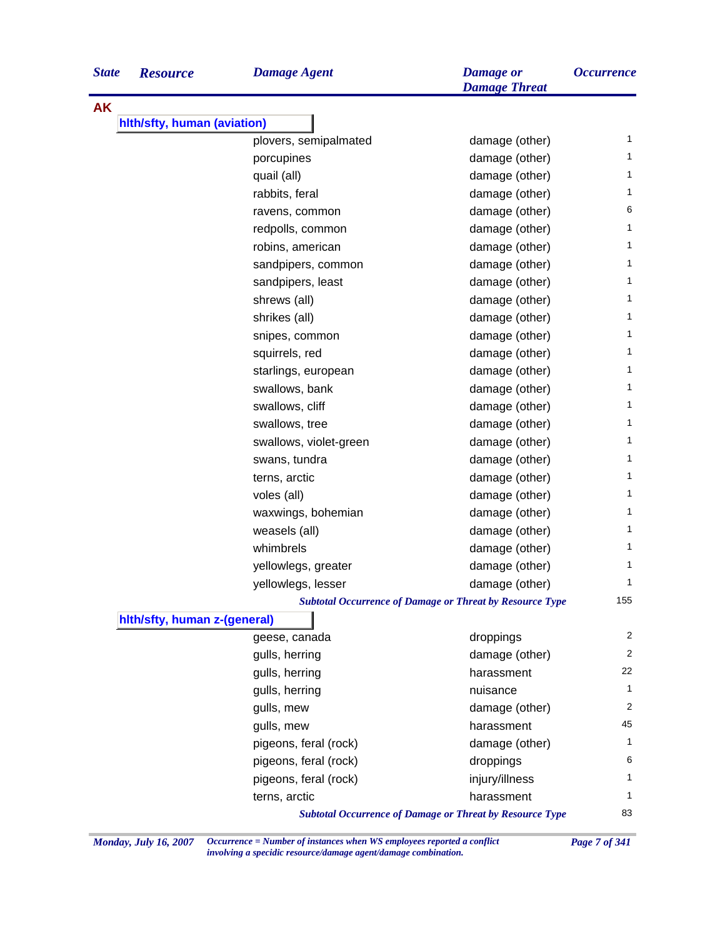| <b>State</b> | <b>Resource</b>              | <b>Damage Agent</b>    | <b>Damage</b> or<br><b>Damage Threat</b>                        | <i><b>Occurrence</b></i> |
|--------------|------------------------------|------------------------|-----------------------------------------------------------------|--------------------------|
| <b>AK</b>    |                              |                        |                                                                 |                          |
|              | hlth/sfty, human (aviation)  |                        |                                                                 |                          |
|              |                              | plovers, semipalmated  | damage (other)                                                  | $\mathbf{1}$             |
|              |                              | porcupines             | damage (other)                                                  | $\mathbf{1}$             |
|              |                              | quail (all)            | damage (other)                                                  | 1                        |
|              |                              | rabbits, feral         | damage (other)                                                  | $\mathbf{1}$             |
|              |                              | ravens, common         | damage (other)                                                  | 6                        |
|              |                              | redpolls, common       | damage (other)                                                  | $\mathbf{1}$             |
|              |                              | robins, american       | damage (other)                                                  | $\mathbf{1}$             |
|              |                              | sandpipers, common     | damage (other)                                                  | $\mathbf{1}$             |
|              |                              | sandpipers, least      | damage (other)                                                  | $\mathbf{1}$             |
|              |                              | shrews (all)           | damage (other)                                                  | 1                        |
|              |                              | shrikes (all)          | damage (other)                                                  | $\mathbf{1}$             |
|              |                              | snipes, common         | damage (other)                                                  | 1                        |
|              |                              | squirrels, red         | damage (other)                                                  | $\mathbf 1$              |
|              |                              | starlings, european    | damage (other)                                                  | $\mathbf{1}$             |
|              |                              | swallows, bank         | damage (other)                                                  | 1                        |
|              |                              | swallows, cliff        | damage (other)                                                  | 1                        |
|              |                              | swallows, tree         | damage (other)                                                  | 1                        |
|              |                              | swallows, violet-green | damage (other)                                                  | $\mathbf{1}$             |
|              |                              | swans, tundra          | damage (other)                                                  | 1                        |
|              |                              | terns, arctic          | damage (other)                                                  | 1                        |
|              |                              | voles (all)            | damage (other)                                                  | 1                        |
|              |                              | waxwings, bohemian     | damage (other)                                                  | 1                        |
|              |                              | weasels (all)          | damage (other)                                                  | $\mathbf{1}$             |
|              |                              | whimbrels              | damage (other)                                                  | 1                        |
|              |                              | yellowlegs, greater    | damage (other)                                                  | 1                        |
|              |                              | yellowlegs, lesser     | damage (other)                                                  | 1                        |
|              |                              |                        | <b>Subtotal Occurrence of Damage or Threat by Resource Type</b> | 155                      |
|              | hith/sfty, human z-(general) |                        |                                                                 |                          |
|              |                              | geese, canada          | droppings                                                       | 2                        |
|              |                              | gulls, herring         | damage (other)                                                  | 2                        |
|              |                              | gulls, herring         | harassment                                                      | 22                       |
|              |                              | gulls, herring         | nuisance                                                        | $\mathbf{1}$             |
|              |                              | gulls, mew             | damage (other)                                                  | 2                        |
|              |                              | gulls, mew             | harassment                                                      | 45                       |
|              |                              | pigeons, feral (rock)  | damage (other)                                                  | 1                        |
|              |                              | pigeons, feral (rock)  | droppings                                                       | 6                        |
|              |                              | pigeons, feral (rock)  | injury/illness                                                  | $\mathbf{1}$             |
|              |                              | terns, arctic          | harassment                                                      | $\mathbf{1}$             |
|              |                              |                        | <b>Subtotal Occurrence of Damage or Threat by Resource Type</b> | 83                       |

*Monday, July 16, 2007 Occurrence = Number of instances when WS employees reported a conflict Page 7 of 341 involving a specidic resource/damage agent/damage combination.*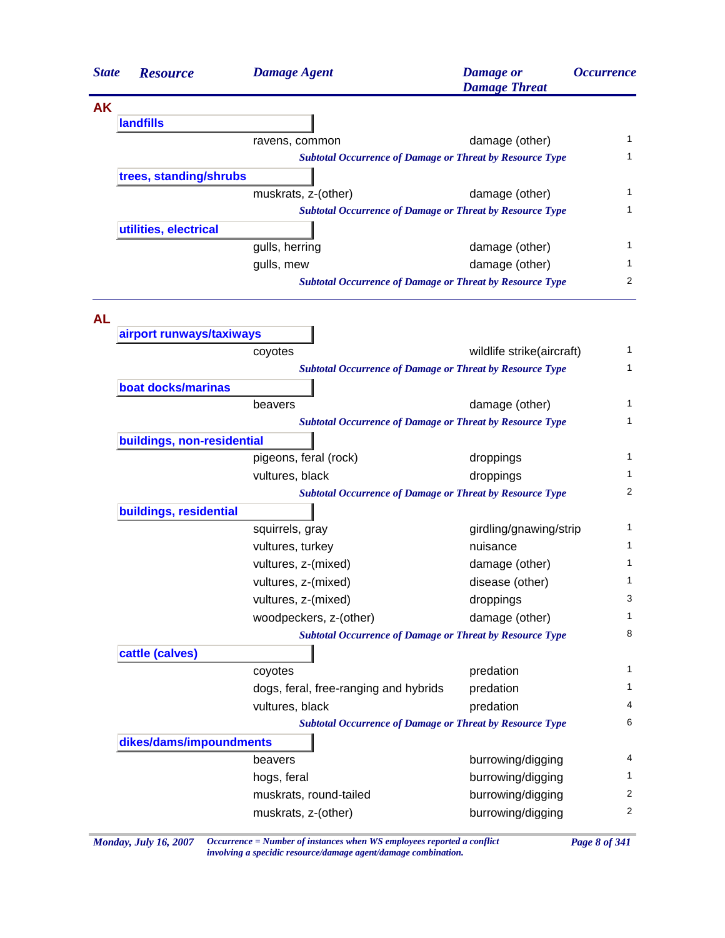| <b>State</b> | <b>Resource</b>            | <b>Damage Agent</b>                                             | <b>Damage</b> or<br><b>Damage Threat</b> | <i><b>Occurrence</b></i> |
|--------------|----------------------------|-----------------------------------------------------------------|------------------------------------------|--------------------------|
| <b>AK</b>    |                            |                                                                 |                                          |                          |
|              | <b>landfills</b>           |                                                                 |                                          |                          |
|              |                            | ravens, common                                                  | damage (other)                           | $\mathbf{1}$             |
|              |                            | <b>Subtotal Occurrence of Damage or Threat by Resource Type</b> |                                          | 1                        |
|              | trees, standing/shrubs     |                                                                 |                                          |                          |
|              |                            | muskrats, z-(other)                                             | damage (other)                           | 1                        |
|              |                            | <b>Subtotal Occurrence of Damage or Threat by Resource Type</b> |                                          | 1                        |
|              | utilities, electrical      |                                                                 |                                          |                          |
|              |                            | gulls, herring                                                  | damage (other)                           | 1                        |
|              |                            | gulls, mew                                                      | damage (other)                           | 1                        |
|              |                            | <b>Subtotal Occurrence of Damage or Threat by Resource Type</b> |                                          | 2                        |
| <b>AL</b>    | airport runways/taxiways   |                                                                 |                                          |                          |
|              |                            | coyotes                                                         | wildlife strike(aircraft)                | 1                        |
|              |                            | <b>Subtotal Occurrence of Damage or Threat by Resource Type</b> |                                          | 1                        |
|              | boat docks/marinas         |                                                                 |                                          |                          |
|              |                            | beavers                                                         | damage (other)                           | 1                        |
|              |                            | <b>Subtotal Occurrence of Damage or Threat by Resource Type</b> |                                          | 1                        |
|              | buildings, non-residential |                                                                 |                                          |                          |
|              |                            | pigeons, feral (rock)                                           | droppings                                | 1                        |
|              |                            | vultures, black                                                 | droppings                                | 1                        |
|              |                            | <b>Subtotal Occurrence of Damage or Threat by Resource Type</b> |                                          | 2                        |
|              | buildings, residential     |                                                                 |                                          |                          |
|              |                            | squirrels, gray                                                 | girdling/gnawing/strip                   | 1                        |
|              |                            | vultures, turkey                                                | nuisance                                 | 1                        |
|              |                            | vultures, z-(mixed)                                             | damage (other)                           | 1                        |
|              |                            | vultures, z-(mixed)                                             | disease (other)                          | 1                        |
|              |                            | vultures, z-(mixed)                                             | droppings                                | 3                        |
|              |                            | woodpeckers, z-(other)                                          | damage (other)                           | 1                        |
|              |                            | <b>Subtotal Occurrence of Damage or Threat by Resource Type</b> |                                          | 8                        |
|              | cattle (calves)            |                                                                 |                                          |                          |
|              |                            | coyotes                                                         | predation                                | 1                        |
|              |                            | dogs, feral, free-ranging and hybrids                           | predation                                | 1                        |
|              |                            | vultures, black                                                 | predation                                | 4                        |
|              |                            | <b>Subtotal Occurrence of Damage or Threat by Resource Type</b> |                                          | 6                        |
|              | dikes/dams/impoundments    |                                                                 |                                          |                          |
|              |                            | beavers                                                         | burrowing/digging                        | 4                        |
|              |                            | hogs, feral                                                     | burrowing/digging                        | 1.                       |
|              |                            | muskrats, round-tailed                                          | burrowing/digging                        | 2                        |
|              |                            | muskrats, z-(other)                                             | burrowing/digging                        | $\overline{c}$           |

*Monday, July 16, 2007 Occurrence = Number of instances when WS employees reported a conflict Page 8 of 341 involving a specidic resource/damage agent/damage combination.*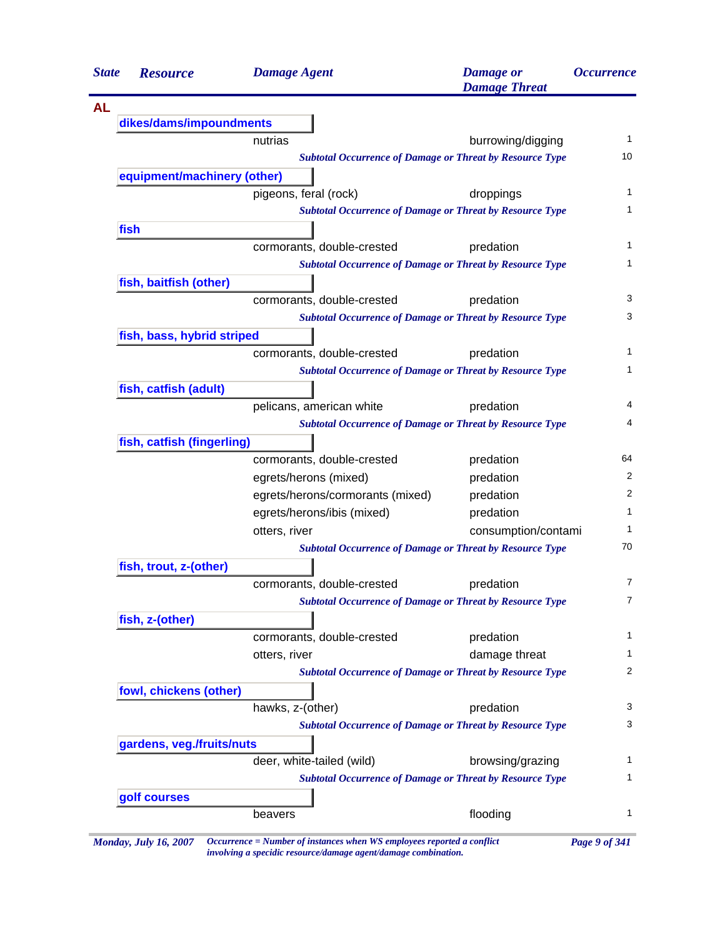|           | <b>Resource</b>             | <b>Damage Agent</b>                                             | <b>Damage</b> or<br><b>Damage Threat</b> | <i><b>Occurrence</b></i> |
|-----------|-----------------------------|-----------------------------------------------------------------|------------------------------------------|--------------------------|
| <b>AL</b> |                             |                                                                 |                                          |                          |
|           | dikes/dams/impoundments     |                                                                 |                                          |                          |
|           |                             | nutrias                                                         | burrowing/digging                        |                          |
|           |                             | <b>Subtotal Occurrence of Damage or Threat by Resource Type</b> |                                          |                          |
|           | equipment/machinery (other) |                                                                 |                                          |                          |
|           |                             | pigeons, feral (rock)                                           | droppings                                |                          |
|           |                             | <b>Subtotal Occurrence of Damage or Threat by Resource Type</b> |                                          |                          |
| fish      |                             |                                                                 |                                          |                          |
|           |                             | cormorants, double-crested                                      | predation                                |                          |
|           |                             | <b>Subtotal Occurrence of Damage or Threat by Resource Type</b> |                                          |                          |
|           | fish, baitfish (other)      |                                                                 |                                          |                          |
|           |                             | cormorants, double-crested                                      | predation                                |                          |
|           |                             | <b>Subtotal Occurrence of Damage or Threat by Resource Type</b> |                                          |                          |
|           | fish, bass, hybrid striped  |                                                                 |                                          |                          |
|           |                             | cormorants, double-crested                                      | predation                                |                          |
|           |                             | <b>Subtotal Occurrence of Damage or Threat by Resource Type</b> |                                          |                          |
|           | fish, catfish (adult)       |                                                                 |                                          |                          |
|           |                             | pelicans, american white                                        | predation                                |                          |
|           |                             | <b>Subtotal Occurrence of Damage or Threat by Resource Type</b> |                                          |                          |
|           | fish, catfish (fingerling)  |                                                                 |                                          |                          |
|           |                             | cormorants, double-crested                                      | predation                                |                          |
|           |                             | egrets/herons (mixed)                                           | predation                                |                          |
|           |                             | egrets/herons/cormorants (mixed)                                | predation                                |                          |
|           |                             | egrets/herons/ibis (mixed)                                      | predation                                |                          |
|           |                             | otters, river                                                   | consumption/contami                      |                          |
|           |                             | <b>Subtotal Occurrence of Damage or Threat by Resource Type</b> |                                          |                          |
|           | fish, trout, z-(other)      |                                                                 |                                          |                          |
|           |                             | cormorants, double-crested                                      | predation                                |                          |
|           |                             | <b>Subtotal Occurrence of Damage or Threat by Resource Type</b> |                                          |                          |
|           | fish, z-(other)             |                                                                 |                                          |                          |
|           |                             | cormorants, double-crested                                      | predation                                |                          |
|           |                             | otters, river                                                   | damage threat                            |                          |
|           |                             | <b>Subtotal Occurrence of Damage or Threat by Resource Type</b> |                                          |                          |
|           | fowl, chickens (other)      |                                                                 |                                          |                          |
|           |                             | hawks, z-(other)                                                | predation                                |                          |
|           |                             | <b>Subtotal Occurrence of Damage or Threat by Resource Type</b> |                                          |                          |
|           | gardens, veg./fruits/nuts   |                                                                 |                                          |                          |
|           |                             | deer, white-tailed (wild)                                       | browsing/grazing                         |                          |
|           |                             | <b>Subtotal Occurrence of Damage or Threat by Resource Type</b> |                                          |                          |
|           | golf courses                |                                                                 |                                          |                          |
|           |                             | beavers                                                         | flooding                                 |                          |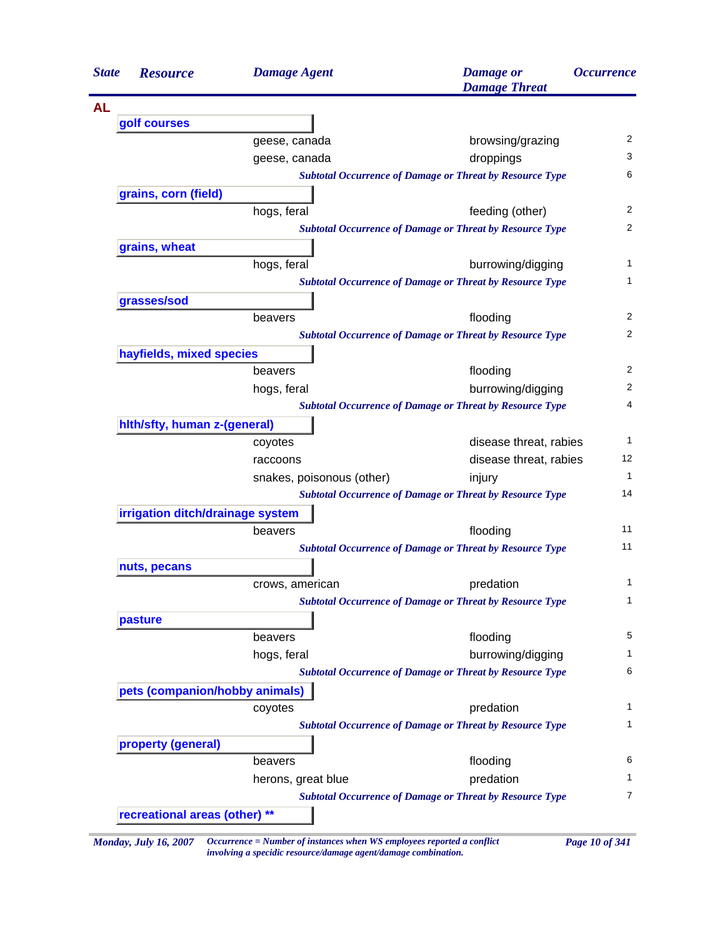| <b>State</b> | <b>Resource</b>                  | <b>Damage Agent</b>                                                    | <b>Damage</b> or<br><b>Damage Threat</b>                        | <i><b>Occurrence</b></i> |
|--------------|----------------------------------|------------------------------------------------------------------------|-----------------------------------------------------------------|--------------------------|
| <b>AL</b>    |                                  |                                                                        |                                                                 |                          |
|              | golf courses                     |                                                                        |                                                                 |                          |
|              |                                  | geese, canada                                                          | browsing/grazing                                                |                          |
|              |                                  | geese, canada                                                          | droppings                                                       |                          |
|              |                                  |                                                                        | <b>Subtotal Occurrence of Damage or Threat by Resource Type</b> |                          |
|              | grains, corn (field)             |                                                                        |                                                                 |                          |
|              |                                  | hogs, feral                                                            | feeding (other)                                                 |                          |
|              |                                  |                                                                        | <b>Subtotal Occurrence of Damage or Threat by Resource Type</b> |                          |
|              | grains, wheat                    |                                                                        |                                                                 |                          |
|              |                                  | hogs, feral                                                            | burrowing/digging                                               |                          |
|              |                                  |                                                                        | <b>Subtotal Occurrence of Damage or Threat by Resource Type</b> |                          |
|              | grasses/sod                      |                                                                        |                                                                 |                          |
|              |                                  | beavers                                                                | flooding                                                        |                          |
|              |                                  |                                                                        | <b>Subtotal Occurrence of Damage or Threat by Resource Type</b> |                          |
|              | hayfields, mixed species         |                                                                        |                                                                 |                          |
|              |                                  | beavers                                                                | flooding                                                        |                          |
|              |                                  | hogs, feral                                                            | burrowing/digging                                               |                          |
|              |                                  |                                                                        | <b>Subtotal Occurrence of Damage or Threat by Resource Type</b> |                          |
|              | hith/sfty, human z-(general)     |                                                                        |                                                                 |                          |
|              |                                  | coyotes                                                                | disease threat, rabies                                          |                          |
|              |                                  | raccoons                                                               | disease threat, rabies                                          |                          |
|              |                                  | snakes, poisonous (other)                                              | injury                                                          |                          |
|              |                                  |                                                                        | <b>Subtotal Occurrence of Damage or Threat by Resource Type</b> |                          |
|              | irrigation ditch/drainage system |                                                                        |                                                                 |                          |
|              |                                  | beavers                                                                | flooding                                                        |                          |
|              |                                  |                                                                        | <b>Subtotal Occurrence of Damage or Threat by Resource Type</b> |                          |
|              | nuts, pecans                     |                                                                        |                                                                 |                          |
|              |                                  | crows, american                                                        | predation                                                       |                          |
|              |                                  |                                                                        | <b>Subtotal Occurrence of Damage or Threat by Resource Type</b> |                          |
|              | pasture                          |                                                                        |                                                                 |                          |
|              |                                  | beavers                                                                | flooding                                                        |                          |
|              |                                  | hogs, feral                                                            | burrowing/digging                                               |                          |
|              |                                  |                                                                        | <b>Subtotal Occurrence of Damage or Threat by Resource Type</b> |                          |
|              | pets (companion/hobby animals)   |                                                                        |                                                                 |                          |
|              |                                  | coyotes                                                                | predation                                                       |                          |
|              |                                  |                                                                        | <b>Subtotal Occurrence of Damage or Threat by Resource Type</b> |                          |
|              | property (general)               |                                                                        |                                                                 |                          |
|              |                                  | beavers                                                                | flooding                                                        |                          |
|              |                                  | herons, great blue                                                     | predation                                                       |                          |
|              |                                  |                                                                        | <b>Subtotal Occurrence of Damage or Threat by Resource Type</b> |                          |
|              | recreational areas (other) **    |                                                                        |                                                                 |                          |
|              | <b>Monday, July 16, 2007</b>     | Occurrence = Number of instances when WS employees reported a conflict | Page 10 of 341                                                  |                          |

*involving a specidic resource/damage agent/damage combination.*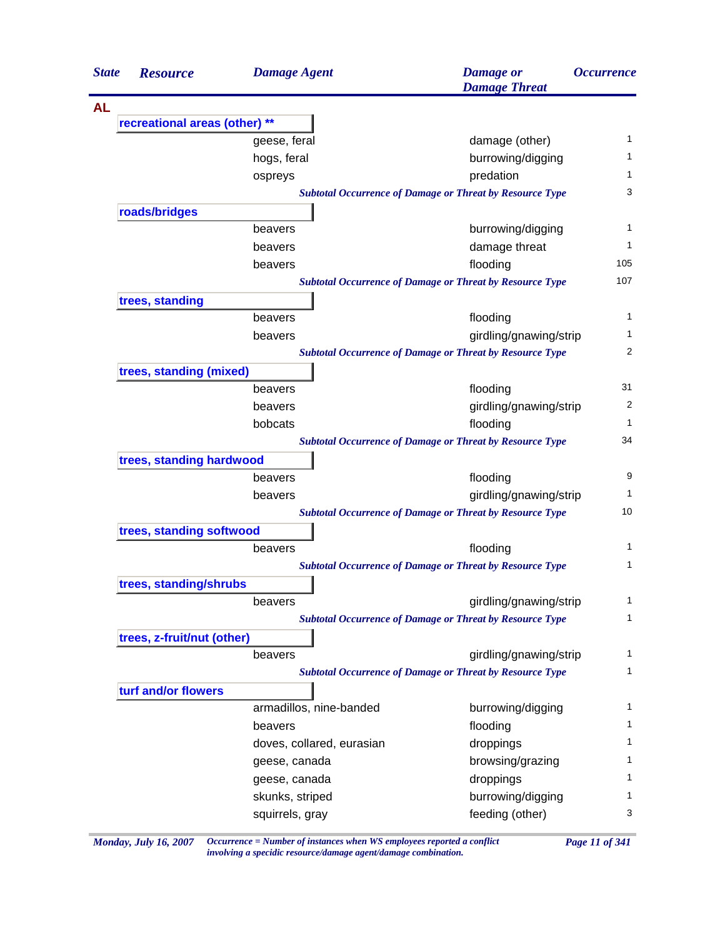| <b>State</b> | <b>Resource</b>               | <b>Damage Agent</b>       | <b>Damage</b> or<br><b>Damage Threat</b>                                                  | <i><b>Occurrence</b></i> |
|--------------|-------------------------------|---------------------------|-------------------------------------------------------------------------------------------|--------------------------|
| <b>AL</b>    |                               |                           |                                                                                           |                          |
|              | recreational areas (other) ** |                           |                                                                                           |                          |
|              |                               | geese, feral              | damage (other)                                                                            | 1                        |
|              |                               | hogs, feral               | burrowing/digging                                                                         | 1                        |
|              |                               | ospreys                   | predation                                                                                 | 1                        |
|              |                               |                           | <b>Subtotal Occurrence of Damage or Threat by Resource Type</b>                           | 3                        |
|              | roads/bridges                 |                           |                                                                                           |                          |
|              |                               | beavers                   | burrowing/digging                                                                         | 1                        |
|              |                               | beavers                   | damage threat                                                                             | 1                        |
|              |                               | beavers                   | flooding                                                                                  | 105                      |
|              |                               |                           | <b>Subtotal Occurrence of Damage or Threat by Resource Type</b>                           | 107                      |
|              | trees, standing               | beavers                   | flooding                                                                                  | 1                        |
|              |                               |                           |                                                                                           | 1                        |
|              |                               | beavers                   | girdling/gnawing/strip<br><b>Subtotal Occurrence of Damage or Threat by Resource Type</b> | 2                        |
|              | trees, standing (mixed)       |                           |                                                                                           |                          |
|              |                               | beavers                   | flooding                                                                                  | 31                       |
|              |                               | beavers                   | girdling/gnawing/strip                                                                    | 2                        |
|              |                               | bobcats                   | flooding                                                                                  | 1                        |
|              |                               |                           | <b>Subtotal Occurrence of Damage or Threat by Resource Type</b>                           | 34                       |
|              | trees, standing hardwood      |                           |                                                                                           |                          |
|              |                               | beavers                   | flooding                                                                                  | 9                        |
|              |                               | beavers                   | girdling/gnawing/strip                                                                    | 1                        |
|              |                               |                           | <b>Subtotal Occurrence of Damage or Threat by Resource Type</b>                           | 10                       |
|              | trees, standing softwood      |                           |                                                                                           |                          |
|              |                               | beavers                   | flooding                                                                                  | 1                        |
|              |                               |                           | <b>Subtotal Occurrence of Damage or Threat by Resource Type</b>                           | 1                        |
|              | trees, standing/shrubs        |                           |                                                                                           |                          |
|              |                               | beavers                   | girdling/gnawing/strip                                                                    | $\mathbf{1}$             |
|              |                               |                           | <b>Subtotal Occurrence of Damage or Threat by Resource Type</b>                           | 1                        |
|              | trees, z-fruit/nut (other)    |                           |                                                                                           |                          |
|              |                               | beavers                   | girdling/gnawing/strip                                                                    | 1                        |
|              |                               |                           | <b>Subtotal Occurrence of Damage or Threat by Resource Type</b>                           | 1                        |
|              | turf and/or flowers           |                           |                                                                                           |                          |
|              |                               | armadillos, nine-banded   | burrowing/digging                                                                         | 1                        |
|              |                               | beavers                   | flooding                                                                                  | 1                        |
|              |                               | doves, collared, eurasian | droppings                                                                                 | 1                        |
|              |                               | geese, canada             | browsing/grazing                                                                          | 1                        |
|              |                               | geese, canada             | droppings                                                                                 | 1                        |
|              |                               | skunks, striped           | burrowing/digging                                                                         | 1                        |
|              |                               | squirrels, gray           | feeding (other)                                                                           | 3                        |

*Monday, July 16, 2007 Occurrence = Number of instances when WS employees reported a conflict Page 11 of 341 involving a specidic resource/damage agent/damage combination.*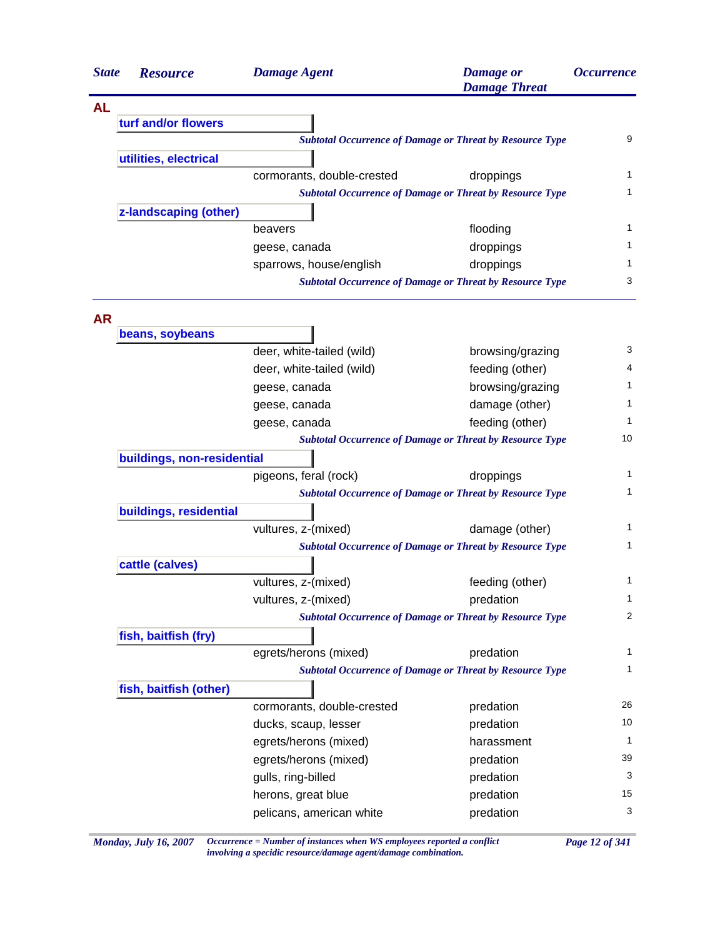| <b>State</b> | <b>Resource</b>            | <b>Damage Agent</b>        | <b>Damage</b> or<br><b>Damage Threat</b>                        | <i><b>Occurrence</b></i> |
|--------------|----------------------------|----------------------------|-----------------------------------------------------------------|--------------------------|
| <b>AL</b>    |                            |                            |                                                                 |                          |
|              | turf and/or flowers        |                            |                                                                 |                          |
|              |                            |                            | <b>Subtotal Occurrence of Damage or Threat by Resource Type</b> | 9                        |
|              | utilities, electrical      |                            |                                                                 |                          |
|              |                            | cormorants, double-crested | droppings                                                       | 1                        |
|              |                            |                            | <b>Subtotal Occurrence of Damage or Threat by Resource Type</b> | 1                        |
|              | z-landscaping (other)      |                            |                                                                 |                          |
|              |                            | beavers                    | flooding                                                        | $\mathbf{1}$             |
|              |                            | geese, canada              | droppings                                                       | $\mathbf{1}$             |
|              |                            | sparrows, house/english    | droppings                                                       | 1                        |
|              |                            |                            | <b>Subtotal Occurrence of Damage or Threat by Resource Type</b> | 3                        |
|              |                            |                            |                                                                 |                          |
| <b>AR</b>    | beans, soybeans            |                            |                                                                 |                          |
|              |                            | deer, white-tailed (wild)  | browsing/grazing                                                | 3                        |
|              |                            | deer, white-tailed (wild)  | feeding (other)                                                 | 4                        |
|              |                            | geese, canada              | browsing/grazing                                                | 1                        |
|              |                            | geese, canada              | damage (other)                                                  | 1                        |
|              |                            | geese, canada              | feeding (other)                                                 | 1                        |
|              |                            |                            | <b>Subtotal Occurrence of Damage or Threat by Resource Type</b> | 10                       |
|              | buildings, non-residential |                            |                                                                 |                          |
|              |                            | pigeons, feral (rock)      | droppings                                                       | $\mathbf{1}$             |
|              |                            |                            | <b>Subtotal Occurrence of Damage or Threat by Resource Type</b> | 1                        |
|              | buildings, residential     |                            |                                                                 |                          |
|              |                            | vultures, z-(mixed)        | damage (other)                                                  | 1                        |
|              |                            |                            | <b>Subtotal Occurrence of Damage or Threat by Resource Type</b> | 1                        |
|              | cattle (calves)            |                            |                                                                 |                          |
|              |                            | vultures, z-(mixed)        | feeding (other)                                                 | 1                        |
|              |                            | vultures, z-(mixed)        | predation                                                       | 1                        |
|              |                            |                            | <b>Subtotal Occurrence of Damage or Threat by Resource Type</b> | 2                        |
|              | fish, baitfish (fry)       |                            |                                                                 |                          |
|              |                            | egrets/herons (mixed)      | predation                                                       | $\mathbf{1}$             |
|              |                            |                            | <b>Subtotal Occurrence of Damage or Threat by Resource Type</b> | 1                        |
|              | fish, baitfish (other)     |                            |                                                                 |                          |
|              |                            | cormorants, double-crested | predation                                                       | 26                       |
|              |                            | ducks, scaup, lesser       | predation                                                       | 10                       |
|              |                            | egrets/herons (mixed)      | harassment                                                      | $\mathbf{1}$             |
|              |                            | egrets/herons (mixed)      | predation                                                       | 39                       |
|              |                            | gulls, ring-billed         | predation                                                       | 3                        |
|              |                            | herons, great blue         | predation                                                       | 15                       |
|              |                            | pelicans, american white   | predation                                                       | 3                        |

*Monday, July 16, 2007 Occurrence = Number of instances when WS employees reported a conflict Page 12 of 341 involving a specidic resource/damage agent/damage combination.*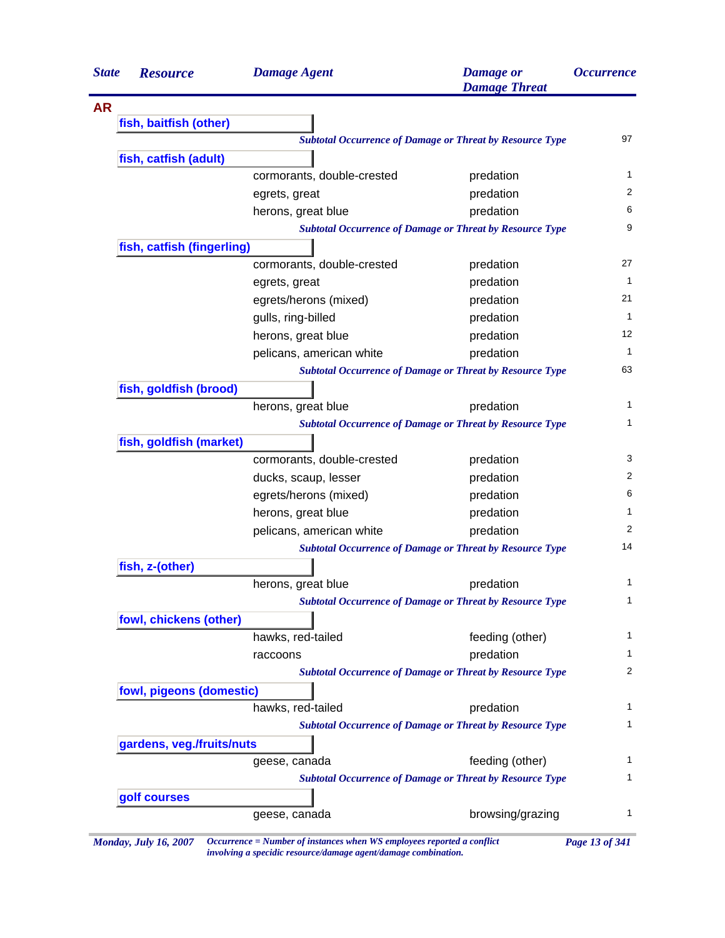| <b>State</b> | <b>Resource</b>            | <b>Damage Agent</b>        | <b>Damage</b> or<br><b>Damage Threat</b>                        | <i><b>Occurrence</b></i>     |
|--------------|----------------------------|----------------------------|-----------------------------------------------------------------|------------------------------|
|              |                            |                            |                                                                 |                              |
|              | fish, baitfish (other)     |                            |                                                                 |                              |
|              |                            |                            | <b>Subtotal Occurrence of Damage or Threat by Resource Type</b> | 97                           |
|              | fish, catfish (adult)      |                            |                                                                 |                              |
|              |                            | cormorants, double-crested | predation                                                       | $\mathbf{1}$                 |
|              |                            | egrets, great              | predation                                                       | 2                            |
|              |                            | herons, great blue         | predation                                                       | 6                            |
|              |                            |                            | <b>Subtotal Occurrence of Damage or Threat by Resource Type</b> | 9                            |
|              | fish, catfish (fingerling) |                            |                                                                 |                              |
|              |                            | cormorants, double-crested | predation                                                       | 27                           |
|              |                            | egrets, great              | predation                                                       | $\mathbf{1}$                 |
|              |                            | egrets/herons (mixed)      | predation                                                       | 21                           |
|              |                            | gulls, ring-billed         | predation                                                       | $\mathbf{1}$                 |
|              |                            | herons, great blue         | predation                                                       | 12                           |
|              |                            | pelicans, american white   | predation                                                       | $\mathbf{1}$                 |
|              |                            |                            | <b>Subtotal Occurrence of Damage or Threat by Resource Type</b> | 63                           |
|              | fish, goldfish (brood)     |                            |                                                                 |                              |
|              |                            | herons, great blue         | predation                                                       | $\mathbf{1}$                 |
|              |                            |                            | <b>Subtotal Occurrence of Damage or Threat by Resource Type</b> | $\mathbf{1}$                 |
|              | fish, goldfish (market)    |                            |                                                                 |                              |
|              |                            | cormorants, double-crested | predation                                                       | 3                            |
|              |                            | ducks, scaup, lesser       | predation                                                       | 2                            |
|              |                            | egrets/herons (mixed)      | predation                                                       | 6                            |
|              |                            | herons, great blue         | predation                                                       | $\mathbf{1}$                 |
|              |                            | pelicans, american white   | predation                                                       | 2                            |
|              |                            |                            | <b>Subtotal Occurrence of Damage or Threat by Resource Type</b> | 14                           |
|              | fish, z-(other)            |                            |                                                                 |                              |
|              |                            | herons, great blue         | predation                                                       | 1                            |
|              |                            |                            | <b>Subtotal Occurrence of Damage or Threat by Resource Type</b> | 1                            |
|              | fowl, chickens (other)     |                            |                                                                 |                              |
|              |                            | hawks, red-tailed          | feeding (other)                                                 | $\mathbf{1}$                 |
|              |                            | raccoons                   | predation                                                       | 1                            |
|              |                            |                            | <b>Subtotal Occurrence of Damage or Threat by Resource Type</b> | 2                            |
|              | fowl, pigeons (domestic)   |                            |                                                                 |                              |
|              |                            | hawks, red-tailed          | predation                                                       | 1                            |
|              |                            |                            | <b>Subtotal Occurrence of Damage or Threat by Resource Type</b> | 1                            |
|              |                            |                            |                                                                 |                              |
|              | gardens, veg./fruits/nuts  |                            |                                                                 |                              |
|              |                            | geese, canada              | feeding (other)                                                 |                              |
|              |                            |                            | <b>Subtotal Occurrence of Damage or Threat by Resource Type</b> |                              |
|              | golf courses               |                            |                                                                 | $\mathbf{1}$<br>$\mathbf{1}$ |

*Monday, July 16, 2007 Occurrence = Number of instances when WS employees reported a conflict Page 13 of 341 involving a specidic resource/damage agent/damage combination.*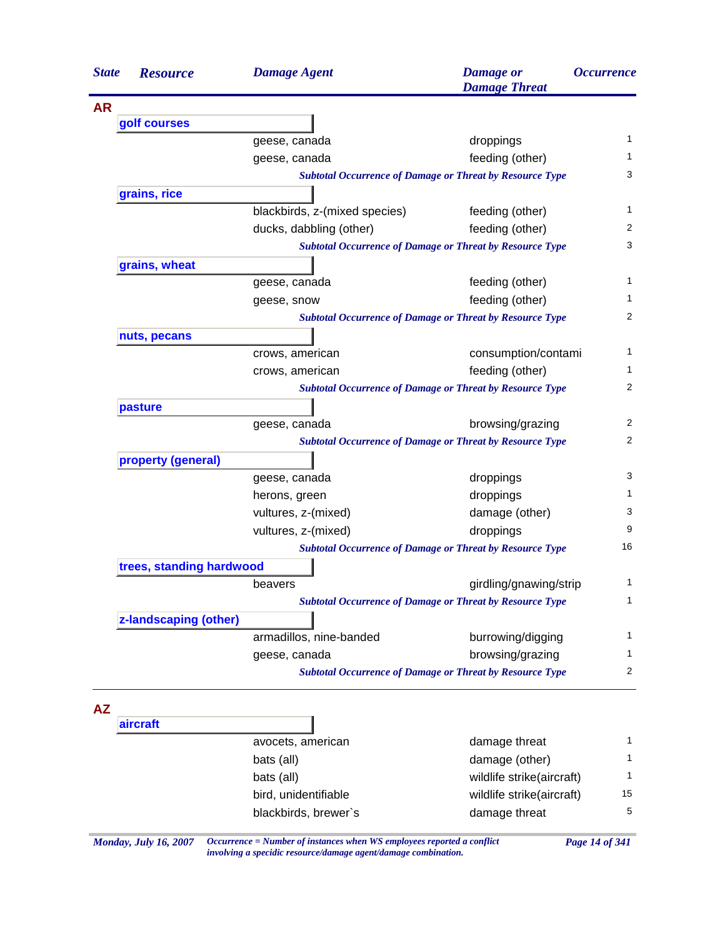| <b>AR</b><br>golf courses<br>$\mathbf{1}$<br>droppings<br>geese, canada<br>feeding (other)<br>1<br>geese, canada<br>3<br><b>Subtotal Occurrence of Damage or Threat by Resource Type</b><br>grains, rice<br>$\mathbf{1}$<br>blackbirds, z-(mixed species)<br>feeding (other)<br>2<br>feeding (other)<br>ducks, dabbling (other)<br>3<br><b>Subtotal Occurrence of Damage or Threat by Resource Type</b><br>grains, wheat<br>$\mathbf{1}$<br>feeding (other)<br>geese, canada<br>feeding (other)<br>1<br>geese, snow<br>2<br><b>Subtotal Occurrence of Damage or Threat by Resource Type</b><br>nuts, pecans<br>$\mathbf{1}$<br>crows, american<br>consumption/contami<br>1<br>feeding (other)<br>crows, american<br>2<br><b>Subtotal Occurrence of Damage or Threat by Resource Type</b><br>pasture<br>2<br>browsing/grazing<br>geese, canada<br>2<br><b>Subtotal Occurrence of Damage or Threat by Resource Type</b><br>property (general)<br>3<br>droppings<br>geese, canada<br>1<br>droppings<br>herons, green<br>3<br>vultures, z-(mixed)<br>damage (other)<br>9<br>droppings<br>vultures, z-(mixed)<br>16<br><b>Subtotal Occurrence of Damage or Threat by Resource Type</b><br>trees, standing hardwood<br>1<br>girdling/gnawing/strip<br>beavers<br><b>Subtotal Occurrence of Damage or Threat by Resource Type</b><br>$\mathbf{1}$<br>z-landscaping (other)<br>armadillos, nine-banded<br>$\mathbf{1}$<br>burrowing/digging<br>$\mathbf{1}$<br>browsing/grazing<br>geese, canada<br><b>Subtotal Occurrence of Damage or Threat by Resource Type</b><br>2<br><b>AZ</b><br>aircraft<br>1<br>avocets, american<br>damage threat<br>damage (other)<br>1<br>bats (all)<br>wildlife strike(aircraft)<br>$\mathbf{1}$<br>bats (all)<br>bird, unidentifiable<br>15<br>wildlife strike(aircraft)<br>5 | <b>State</b> | <b>Resource</b> | <b>Damage Agent</b>  | <b>Damage</b> or<br><b>Damage Threat</b> | <i><b>Occurrence</b></i> |
|------------------------------------------------------------------------------------------------------------------------------------------------------------------------------------------------------------------------------------------------------------------------------------------------------------------------------------------------------------------------------------------------------------------------------------------------------------------------------------------------------------------------------------------------------------------------------------------------------------------------------------------------------------------------------------------------------------------------------------------------------------------------------------------------------------------------------------------------------------------------------------------------------------------------------------------------------------------------------------------------------------------------------------------------------------------------------------------------------------------------------------------------------------------------------------------------------------------------------------------------------------------------------------------------------------------------------------------------------------------------------------------------------------------------------------------------------------------------------------------------------------------------------------------------------------------------------------------------------------------------------------------------------------------------------------------------------------------------------------------------------------------------------------------------------|--------------|-----------------|----------------------|------------------------------------------|--------------------------|
|                                                                                                                                                                                                                                                                                                                                                                                                                                                                                                                                                                                                                                                                                                                                                                                                                                                                                                                                                                                                                                                                                                                                                                                                                                                                                                                                                                                                                                                                                                                                                                                                                                                                                                                                                                                                      |              |                 |                      |                                          |                          |
|                                                                                                                                                                                                                                                                                                                                                                                                                                                                                                                                                                                                                                                                                                                                                                                                                                                                                                                                                                                                                                                                                                                                                                                                                                                                                                                                                                                                                                                                                                                                                                                                                                                                                                                                                                                                      |              |                 |                      |                                          |                          |
|                                                                                                                                                                                                                                                                                                                                                                                                                                                                                                                                                                                                                                                                                                                                                                                                                                                                                                                                                                                                                                                                                                                                                                                                                                                                                                                                                                                                                                                                                                                                                                                                                                                                                                                                                                                                      |              |                 |                      |                                          |                          |
|                                                                                                                                                                                                                                                                                                                                                                                                                                                                                                                                                                                                                                                                                                                                                                                                                                                                                                                                                                                                                                                                                                                                                                                                                                                                                                                                                                                                                                                                                                                                                                                                                                                                                                                                                                                                      |              |                 |                      |                                          |                          |
|                                                                                                                                                                                                                                                                                                                                                                                                                                                                                                                                                                                                                                                                                                                                                                                                                                                                                                                                                                                                                                                                                                                                                                                                                                                                                                                                                                                                                                                                                                                                                                                                                                                                                                                                                                                                      |              |                 |                      |                                          |                          |
|                                                                                                                                                                                                                                                                                                                                                                                                                                                                                                                                                                                                                                                                                                                                                                                                                                                                                                                                                                                                                                                                                                                                                                                                                                                                                                                                                                                                                                                                                                                                                                                                                                                                                                                                                                                                      |              |                 |                      |                                          |                          |
|                                                                                                                                                                                                                                                                                                                                                                                                                                                                                                                                                                                                                                                                                                                                                                                                                                                                                                                                                                                                                                                                                                                                                                                                                                                                                                                                                                                                                                                                                                                                                                                                                                                                                                                                                                                                      |              |                 |                      |                                          |                          |
|                                                                                                                                                                                                                                                                                                                                                                                                                                                                                                                                                                                                                                                                                                                                                                                                                                                                                                                                                                                                                                                                                                                                                                                                                                                                                                                                                                                                                                                                                                                                                                                                                                                                                                                                                                                                      |              |                 |                      |                                          |                          |
|                                                                                                                                                                                                                                                                                                                                                                                                                                                                                                                                                                                                                                                                                                                                                                                                                                                                                                                                                                                                                                                                                                                                                                                                                                                                                                                                                                                                                                                                                                                                                                                                                                                                                                                                                                                                      |              |                 |                      |                                          |                          |
|                                                                                                                                                                                                                                                                                                                                                                                                                                                                                                                                                                                                                                                                                                                                                                                                                                                                                                                                                                                                                                                                                                                                                                                                                                                                                                                                                                                                                                                                                                                                                                                                                                                                                                                                                                                                      |              |                 |                      |                                          |                          |
|                                                                                                                                                                                                                                                                                                                                                                                                                                                                                                                                                                                                                                                                                                                                                                                                                                                                                                                                                                                                                                                                                                                                                                                                                                                                                                                                                                                                                                                                                                                                                                                                                                                                                                                                                                                                      |              |                 |                      |                                          |                          |
|                                                                                                                                                                                                                                                                                                                                                                                                                                                                                                                                                                                                                                                                                                                                                                                                                                                                                                                                                                                                                                                                                                                                                                                                                                                                                                                                                                                                                                                                                                                                                                                                                                                                                                                                                                                                      |              |                 |                      |                                          |                          |
|                                                                                                                                                                                                                                                                                                                                                                                                                                                                                                                                                                                                                                                                                                                                                                                                                                                                                                                                                                                                                                                                                                                                                                                                                                                                                                                                                                                                                                                                                                                                                                                                                                                                                                                                                                                                      |              |                 |                      |                                          |                          |
|                                                                                                                                                                                                                                                                                                                                                                                                                                                                                                                                                                                                                                                                                                                                                                                                                                                                                                                                                                                                                                                                                                                                                                                                                                                                                                                                                                                                                                                                                                                                                                                                                                                                                                                                                                                                      |              |                 |                      |                                          |                          |
|                                                                                                                                                                                                                                                                                                                                                                                                                                                                                                                                                                                                                                                                                                                                                                                                                                                                                                                                                                                                                                                                                                                                                                                                                                                                                                                                                                                                                                                                                                                                                                                                                                                                                                                                                                                                      |              |                 |                      |                                          |                          |
|                                                                                                                                                                                                                                                                                                                                                                                                                                                                                                                                                                                                                                                                                                                                                                                                                                                                                                                                                                                                                                                                                                                                                                                                                                                                                                                                                                                                                                                                                                                                                                                                                                                                                                                                                                                                      |              |                 |                      |                                          |                          |
|                                                                                                                                                                                                                                                                                                                                                                                                                                                                                                                                                                                                                                                                                                                                                                                                                                                                                                                                                                                                                                                                                                                                                                                                                                                                                                                                                                                                                                                                                                                                                                                                                                                                                                                                                                                                      |              |                 |                      |                                          |                          |
|                                                                                                                                                                                                                                                                                                                                                                                                                                                                                                                                                                                                                                                                                                                                                                                                                                                                                                                                                                                                                                                                                                                                                                                                                                                                                                                                                                                                                                                                                                                                                                                                                                                                                                                                                                                                      |              |                 |                      |                                          |                          |
|                                                                                                                                                                                                                                                                                                                                                                                                                                                                                                                                                                                                                                                                                                                                                                                                                                                                                                                                                                                                                                                                                                                                                                                                                                                                                                                                                                                                                                                                                                                                                                                                                                                                                                                                                                                                      |              |                 |                      |                                          |                          |
|                                                                                                                                                                                                                                                                                                                                                                                                                                                                                                                                                                                                                                                                                                                                                                                                                                                                                                                                                                                                                                                                                                                                                                                                                                                                                                                                                                                                                                                                                                                                                                                                                                                                                                                                                                                                      |              |                 |                      |                                          |                          |
|                                                                                                                                                                                                                                                                                                                                                                                                                                                                                                                                                                                                                                                                                                                                                                                                                                                                                                                                                                                                                                                                                                                                                                                                                                                                                                                                                                                                                                                                                                                                                                                                                                                                                                                                                                                                      |              |                 |                      |                                          |                          |
|                                                                                                                                                                                                                                                                                                                                                                                                                                                                                                                                                                                                                                                                                                                                                                                                                                                                                                                                                                                                                                                                                                                                                                                                                                                                                                                                                                                                                                                                                                                                                                                                                                                                                                                                                                                                      |              |                 |                      |                                          |                          |
|                                                                                                                                                                                                                                                                                                                                                                                                                                                                                                                                                                                                                                                                                                                                                                                                                                                                                                                                                                                                                                                                                                                                                                                                                                                                                                                                                                                                                                                                                                                                                                                                                                                                                                                                                                                                      |              |                 |                      |                                          |                          |
|                                                                                                                                                                                                                                                                                                                                                                                                                                                                                                                                                                                                                                                                                                                                                                                                                                                                                                                                                                                                                                                                                                                                                                                                                                                                                                                                                                                                                                                                                                                                                                                                                                                                                                                                                                                                      |              |                 |                      |                                          |                          |
|                                                                                                                                                                                                                                                                                                                                                                                                                                                                                                                                                                                                                                                                                                                                                                                                                                                                                                                                                                                                                                                                                                                                                                                                                                                                                                                                                                                                                                                                                                                                                                                                                                                                                                                                                                                                      |              |                 |                      |                                          |                          |
|                                                                                                                                                                                                                                                                                                                                                                                                                                                                                                                                                                                                                                                                                                                                                                                                                                                                                                                                                                                                                                                                                                                                                                                                                                                                                                                                                                                                                                                                                                                                                                                                                                                                                                                                                                                                      |              |                 |                      |                                          |                          |
|                                                                                                                                                                                                                                                                                                                                                                                                                                                                                                                                                                                                                                                                                                                                                                                                                                                                                                                                                                                                                                                                                                                                                                                                                                                                                                                                                                                                                                                                                                                                                                                                                                                                                                                                                                                                      |              |                 |                      |                                          |                          |
|                                                                                                                                                                                                                                                                                                                                                                                                                                                                                                                                                                                                                                                                                                                                                                                                                                                                                                                                                                                                                                                                                                                                                                                                                                                                                                                                                                                                                                                                                                                                                                                                                                                                                                                                                                                                      |              |                 |                      |                                          |                          |
|                                                                                                                                                                                                                                                                                                                                                                                                                                                                                                                                                                                                                                                                                                                                                                                                                                                                                                                                                                                                                                                                                                                                                                                                                                                                                                                                                                                                                                                                                                                                                                                                                                                                                                                                                                                                      |              |                 |                      |                                          |                          |
|                                                                                                                                                                                                                                                                                                                                                                                                                                                                                                                                                                                                                                                                                                                                                                                                                                                                                                                                                                                                                                                                                                                                                                                                                                                                                                                                                                                                                                                                                                                                                                                                                                                                                                                                                                                                      |              |                 |                      |                                          |                          |
|                                                                                                                                                                                                                                                                                                                                                                                                                                                                                                                                                                                                                                                                                                                                                                                                                                                                                                                                                                                                                                                                                                                                                                                                                                                                                                                                                                                                                                                                                                                                                                                                                                                                                                                                                                                                      |              |                 |                      |                                          |                          |
|                                                                                                                                                                                                                                                                                                                                                                                                                                                                                                                                                                                                                                                                                                                                                                                                                                                                                                                                                                                                                                                                                                                                                                                                                                                                                                                                                                                                                                                                                                                                                                                                                                                                                                                                                                                                      |              |                 |                      |                                          |                          |
|                                                                                                                                                                                                                                                                                                                                                                                                                                                                                                                                                                                                                                                                                                                                                                                                                                                                                                                                                                                                                                                                                                                                                                                                                                                                                                                                                                                                                                                                                                                                                                                                                                                                                                                                                                                                      |              |                 |                      |                                          |                          |
|                                                                                                                                                                                                                                                                                                                                                                                                                                                                                                                                                                                                                                                                                                                                                                                                                                                                                                                                                                                                                                                                                                                                                                                                                                                                                                                                                                                                                                                                                                                                                                                                                                                                                                                                                                                                      |              |                 |                      |                                          |                          |
|                                                                                                                                                                                                                                                                                                                                                                                                                                                                                                                                                                                                                                                                                                                                                                                                                                                                                                                                                                                                                                                                                                                                                                                                                                                                                                                                                                                                                                                                                                                                                                                                                                                                                                                                                                                                      |              |                 |                      |                                          |                          |
|                                                                                                                                                                                                                                                                                                                                                                                                                                                                                                                                                                                                                                                                                                                                                                                                                                                                                                                                                                                                                                                                                                                                                                                                                                                                                                                                                                                                                                                                                                                                                                                                                                                                                                                                                                                                      |              |                 |                      |                                          |                          |
|                                                                                                                                                                                                                                                                                                                                                                                                                                                                                                                                                                                                                                                                                                                                                                                                                                                                                                                                                                                                                                                                                                                                                                                                                                                                                                                                                                                                                                                                                                                                                                                                                                                                                                                                                                                                      |              |                 |                      |                                          |                          |
|                                                                                                                                                                                                                                                                                                                                                                                                                                                                                                                                                                                                                                                                                                                                                                                                                                                                                                                                                                                                                                                                                                                                                                                                                                                                                                                                                                                                                                                                                                                                                                                                                                                                                                                                                                                                      |              |                 |                      |                                          |                          |
|                                                                                                                                                                                                                                                                                                                                                                                                                                                                                                                                                                                                                                                                                                                                                                                                                                                                                                                                                                                                                                                                                                                                                                                                                                                                                                                                                                                                                                                                                                                                                                                                                                                                                                                                                                                                      |              |                 |                      |                                          |                          |
|                                                                                                                                                                                                                                                                                                                                                                                                                                                                                                                                                                                                                                                                                                                                                                                                                                                                                                                                                                                                                                                                                                                                                                                                                                                                                                                                                                                                                                                                                                                                                                                                                                                                                                                                                                                                      |              |                 | blackbirds, brewer's | damage threat                            |                          |

*Monday, July 16, 2007 Occurrence = Number of instances when WS employees reported a conflict Page 14 of 341 involving a specidic resource/damage agent/damage combination.*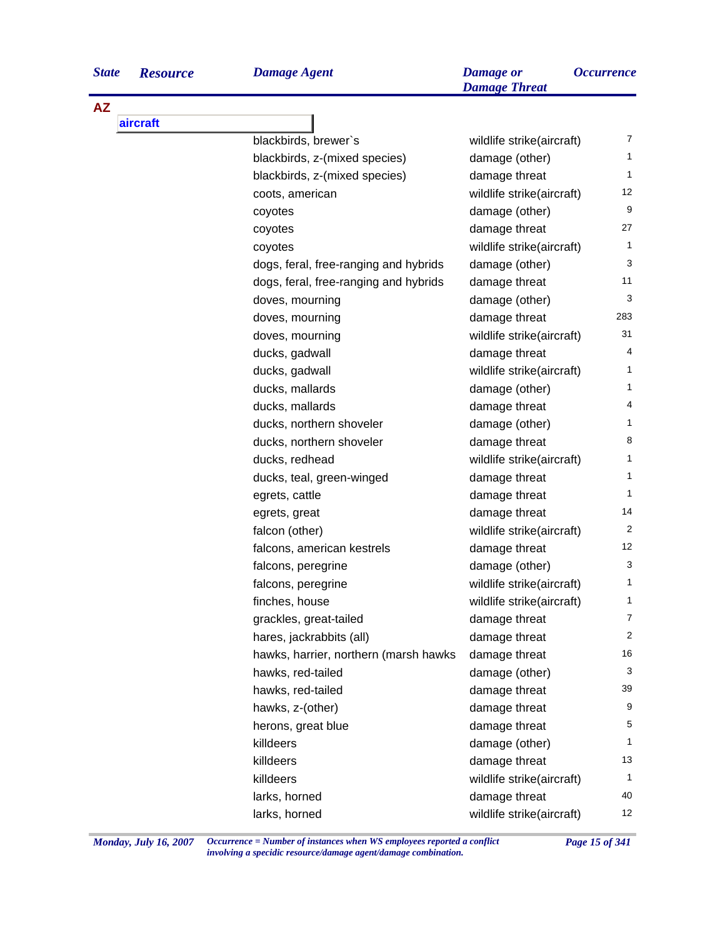|  | <b>Resource</b> |
|--|-----------------|

**AZ**

| <b>State</b> | <b>Resource</b> | <b>Damage Agent</b>                   | <b>Damage</b> or<br><b>Damage Threat</b> | <i><b>Occurrence</b></i> |
|--------------|-----------------|---------------------------------------|------------------------------------------|--------------------------|
| ΑZ           |                 |                                       |                                          |                          |
|              | aircraft        |                                       |                                          |                          |
|              |                 | blackbirds, brewer's                  | wildlife strike(aircraft)                |                          |
|              |                 | blackbirds, z-(mixed species)         | damage (other)                           |                          |
|              |                 | blackbirds, z-(mixed species)         | damage threat                            |                          |
|              |                 | coots, american                       | wildlife strike(aircraft)                | 12                       |
|              |                 | coyotes                               | damage (other)                           | 9                        |
|              |                 | coyotes                               | damage threat                            | 27                       |
|              |                 | coyotes                               | wildlife strike(aircraft)                |                          |
|              |                 | dogs, feral, free-ranging and hybrids | damage (other)                           | 3                        |
|              |                 | dogs, feral, free-ranging and hybrids | damage threat                            | 11                       |
|              |                 | $\lambda$                             | $d$ omono $(A+h\circ r)$                 | ຈ                        |

| dogs, feral, free-ranging and hybrids | damage (other)            | 3              |
|---------------------------------------|---------------------------|----------------|
| dogs, feral, free-ranging and hybrids | damage threat             | 11             |
| doves, mourning                       | damage (other)            | 3              |
| doves, mourning                       | damage threat             | 283            |
| doves, mourning                       | wildlife strike(aircraft) | 31             |
| ducks, gadwall                        | damage threat             | 4              |
| ducks, gadwall                        | wildlife strike(aircraft) | $\mathbf{1}$   |
| ducks, mallards                       | damage (other)            | 1              |
| ducks, mallards                       | damage threat             | 4              |
| ducks, northern shoveler              | damage (other)            | $\mathbf{1}$   |
| ducks, northern shoveler              | damage threat             | 8              |
| ducks, redhead                        | wildlife strike(aircraft) | 1              |
| ducks, teal, green-winged             | damage threat             | 1              |
| egrets, cattle                        | damage threat             | $\mathbf{1}$   |
| egrets, great                         | damage threat             | 14             |
| falcon (other)                        | wildlife strike(aircraft) | $\overline{a}$ |
| falcons, american kestrels            | damage threat             | 12             |
| falcons, peregrine                    | damage (other)            | 3              |
| falcons, peregrine                    | wildlife strike(aircraft) | 1              |
| finches, house                        | wildlife strike(aircraft) | 1              |
| grackles, great-tailed                | damage threat             | 7              |
| hares, jackrabbits (all)              | damage threat             | $\overline{c}$ |
| hawks, harrier, northern (marsh hawks | damage threat             | 16             |
| hawks, red-tailed                     | damage (other)            | 3              |
| hawks, red-tailed                     | damage threat             | 39             |
| hawks, z-(other)                      | damage threat             | 9              |
| herons, great blue                    | damage threat             | 5              |
| killdeers                             | damage (other)            | 1              |
| killdeers                             | damage threat             | 13             |
| killdeers                             | wildlife strike(aircraft) | $\mathbf{1}$   |
| larks, horned                         | damage threat             | 40             |
| larks, horned                         | wildlife strike(aircraft) | 12             |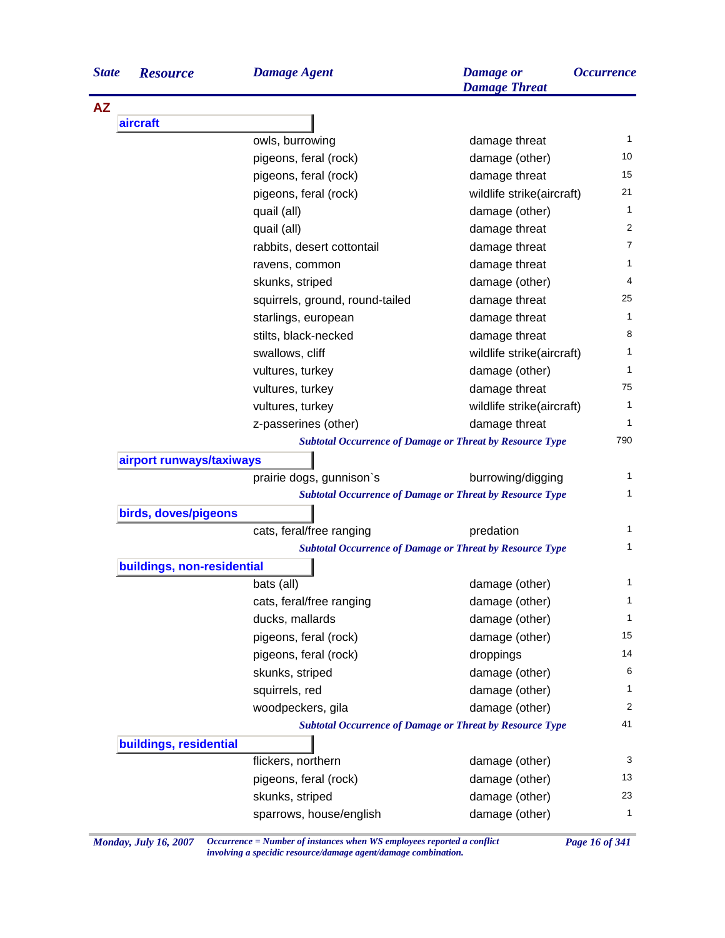| <b>State</b> | <b>Resource</b>            | <b>Damage Agent</b>             | <b>Damage</b> or<br><b>Damage Threat</b>                        | <b>Occurrence</b> |
|--------------|----------------------------|---------------------------------|-----------------------------------------------------------------|-------------------|
| <b>AZ</b>    |                            |                                 |                                                                 |                   |
|              | aircraft                   |                                 |                                                                 |                   |
|              |                            | owls, burrowing                 | damage threat                                                   | 1                 |
|              |                            | pigeons, feral (rock)           | damage (other)                                                  | 10                |
|              |                            | pigeons, feral (rock)           | damage threat                                                   | 15                |
|              |                            | pigeons, feral (rock)           | wildlife strike(aircraft)                                       | 21                |
|              |                            | quail (all)                     | damage (other)                                                  | $\mathbf{1}$      |
|              |                            | quail (all)                     | damage threat                                                   | 2                 |
|              |                            | rabbits, desert cottontail      | damage threat                                                   | 7                 |
|              |                            | ravens, common                  | damage threat                                                   | 1                 |
|              |                            | skunks, striped                 | damage (other)                                                  | 4                 |
|              |                            | squirrels, ground, round-tailed | damage threat                                                   | 25                |
|              |                            | starlings, european             | damage threat                                                   | $\mathbf{1}$      |
|              |                            | stilts, black-necked            | damage threat                                                   | 8                 |
|              |                            | swallows, cliff                 | wildlife strike(aircraft)                                       | 1                 |
|              |                            | vultures, turkey                | damage (other)                                                  | 1                 |
|              |                            | vultures, turkey                | damage threat                                                   | 75                |
|              |                            | vultures, turkey                | wildlife strike(aircraft)                                       | 1                 |
|              |                            | z-passerines (other)            | damage threat                                                   | 1                 |
|              |                            |                                 | <b>Subtotal Occurrence of Damage or Threat by Resource Type</b> | 790               |
|              | airport runways/taxiways   |                                 |                                                                 |                   |
|              |                            | prairie dogs, gunnison's        | burrowing/digging                                               | 1                 |
|              |                            |                                 | <b>Subtotal Occurrence of Damage or Threat by Resource Type</b> | 1                 |
|              | birds, doves/pigeons       |                                 |                                                                 |                   |
|              |                            | cats, feral/free ranging        | predation                                                       | $\mathbf{1}$      |
|              |                            |                                 | <b>Subtotal Occurrence of Damage or Threat by Resource Type</b> | 1                 |
|              | buildings, non-residential |                                 |                                                                 |                   |
|              |                            | bats (all)                      | damage (other)                                                  | 1                 |
|              |                            | cats, feral/free ranging        | damage (other)                                                  | $\mathbf{1}$      |
|              |                            | ducks, mallards                 | damage (other)                                                  | 1                 |
|              |                            | pigeons, feral (rock)           | damage (other)                                                  | 15                |
|              |                            | pigeons, feral (rock)           | droppings                                                       | 14                |
|              |                            | skunks, striped                 | damage (other)                                                  | 6                 |
|              |                            | squirrels, red                  | damage (other)                                                  | 1                 |
|              |                            | woodpeckers, gila               | damage (other)                                                  | $\overline{c}$    |
|              |                            |                                 | <b>Subtotal Occurrence of Damage or Threat by Resource Type</b> | 41                |
|              | buildings, residential     |                                 |                                                                 |                   |
|              |                            | flickers, northern              | damage (other)                                                  | 3                 |
|              |                            | pigeons, feral (rock)           | damage (other)                                                  | 13                |
|              |                            | skunks, striped                 | damage (other)                                                  | 23                |
|              |                            |                                 |                                                                 | 1                 |
|              |                            | sparrows, house/english         | damage (other)                                                  |                   |

*Monday, July 16, 2007 Occurrence = Number of instances when WS employees reported a conflict Page 16 of 341 involving a specidic resource/damage agent/damage combination.*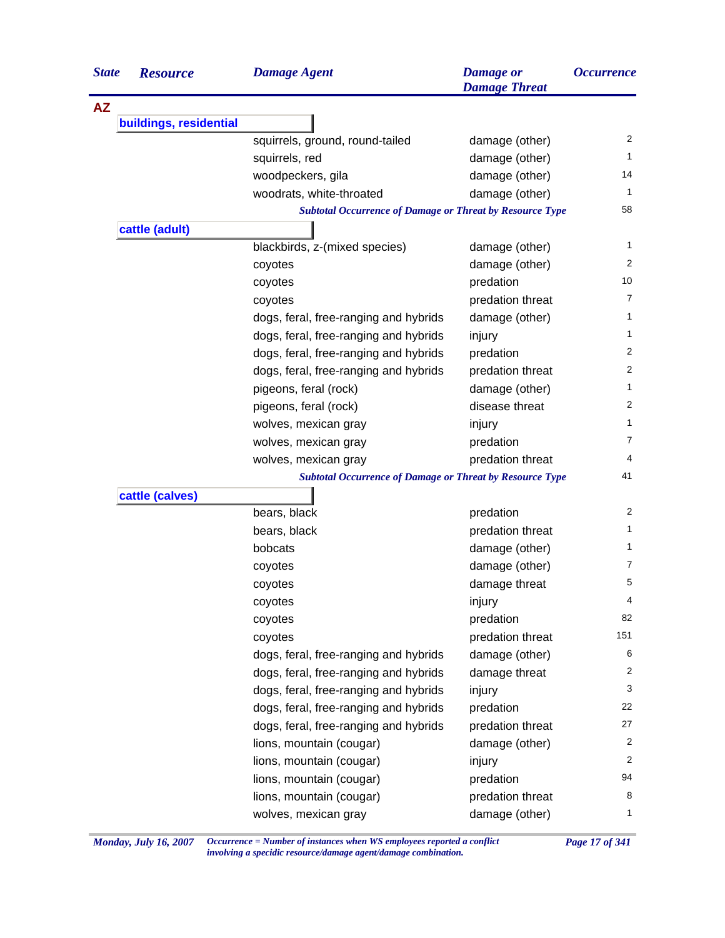| <b>State</b> | <b>Resource</b>        | <b>Damage Agent</b>                                             | <b>Damage</b> or<br><b>Damage Threat</b> | <b>Occurrence</b> |
|--------------|------------------------|-----------------------------------------------------------------|------------------------------------------|-------------------|
| <b>AZ</b>    |                        |                                                                 |                                          |                   |
|              | buildings, residential |                                                                 |                                          |                   |
|              |                        | squirrels, ground, round-tailed                                 | damage (other)                           | 2                 |
|              |                        | squirrels, red                                                  | damage (other)                           | $\mathbf{1}$      |
|              |                        | woodpeckers, gila                                               | damage (other)                           | 14                |
|              |                        | woodrats, white-throated                                        | damage (other)                           | 1                 |
|              |                        | <b>Subtotal Occurrence of Damage or Threat by Resource Type</b> |                                          | 58                |
|              | cattle (adult)         |                                                                 |                                          |                   |
|              |                        | blackbirds, z-(mixed species)                                   | damage (other)                           | 1                 |
|              |                        | coyotes                                                         | damage (other)                           | 2                 |
|              |                        | coyotes                                                         | predation                                | 10                |
|              |                        | coyotes                                                         | predation threat                         | 7                 |
|              |                        | dogs, feral, free-ranging and hybrids                           | damage (other)                           | 1                 |
|              |                        | dogs, feral, free-ranging and hybrids                           | injury                                   | 1                 |
|              |                        | dogs, feral, free-ranging and hybrids                           | predation                                | 2                 |
|              |                        | dogs, feral, free-ranging and hybrids                           | predation threat                         | 2                 |
|              |                        | pigeons, feral (rock)                                           | damage (other)                           | 1                 |
|              |                        | pigeons, feral (rock)                                           | disease threat                           | $\overline{c}$    |
|              |                        | wolves, mexican gray                                            | injury                                   | $\mathbf{1}$      |
|              |                        | wolves, mexican gray                                            | predation                                | 7                 |
|              |                        | wolves, mexican gray                                            | predation threat                         | 4                 |
|              |                        | <b>Subtotal Occurrence of Damage or Threat by Resource Type</b> |                                          | 41                |
|              | cattle (calves)        |                                                                 |                                          |                   |
|              |                        | bears, black                                                    | predation                                | 2                 |
|              |                        | bears, black                                                    | predation threat                         | 1                 |
|              |                        | bobcats                                                         | damage (other)                           | 1                 |
|              |                        | coyotes                                                         | damage (other)                           | 7                 |
|              |                        | coyotes                                                         | damage threat                            | 5                 |
|              |                        | coyotes                                                         | injury                                   | 4                 |
|              |                        | coyotes                                                         | predation                                | 82                |
|              |                        | coyotes                                                         | predation threat                         | 151               |
|              |                        | dogs, feral, free-ranging and hybrids                           | damage (other)                           | 6                 |
|              |                        | dogs, feral, free-ranging and hybrids                           | damage threat                            | $\overline{2}$    |
|              |                        | dogs, feral, free-ranging and hybrids                           | injury                                   | 3                 |
|              |                        | dogs, feral, free-ranging and hybrids                           | predation                                | 22                |
|              |                        | dogs, feral, free-ranging and hybrids                           | predation threat                         | 27                |
|              |                        | lions, mountain (cougar)                                        | damage (other)                           | $\overline{2}$    |
|              |                        | lions, mountain (cougar)                                        | injury                                   | 2                 |
|              |                        | lions, mountain (cougar)                                        | predation                                | 94                |
|              |                        | lions, mountain (cougar)                                        | predation threat                         | 8                 |
|              |                        | wolves, mexican gray                                            | damage (other)                           | 1                 |

*Monday, July 16, 2007 Occurrence = Number of instances when WS employees reported a conflict Page 17 of 341 involving a specidic resource/damage agent/damage combination.*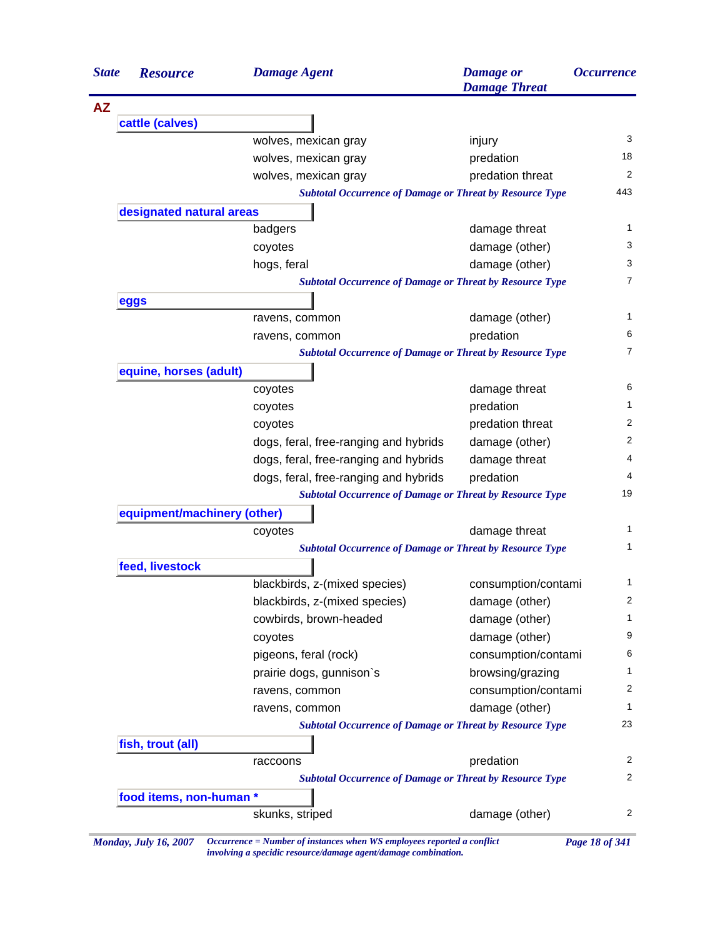| <b>State</b> | <b>Resource</b>             | <b>Damage Agent</b>                                                               | <b>Damage</b> or<br><b>Damage Threat</b> | <i><b>Occurrence</b></i>    |
|--------------|-----------------------------|-----------------------------------------------------------------------------------|------------------------------------------|-----------------------------|
| <b>AZ</b>    |                             |                                                                                   |                                          |                             |
|              | cattle (calves)             |                                                                                   |                                          |                             |
|              |                             | wolves, mexican gray                                                              | injury                                   | 3                           |
|              |                             | wolves, mexican gray                                                              | predation                                | 18                          |
|              |                             | wolves, mexican gray                                                              | predation threat                         | 2                           |
|              |                             | <b>Subtotal Occurrence of Damage or Threat by Resource Type</b>                   |                                          | 443                         |
|              | designated natural areas    |                                                                                   |                                          |                             |
|              |                             | badgers                                                                           | damage threat                            | 1                           |
|              |                             | coyotes                                                                           | damage (other)                           | 3                           |
|              |                             | hogs, feral                                                                       | damage (other)                           | 3                           |
|              |                             | <b>Subtotal Occurrence of Damage or Threat by Resource Type</b>                   |                                          | 7                           |
|              | eggs                        |                                                                                   |                                          |                             |
|              |                             | ravens, common                                                                    | damage (other)                           | 1                           |
|              |                             | ravens, common                                                                    | predation                                | 6                           |
|              |                             | <b>Subtotal Occurrence of Damage or Threat by Resource Type</b>                   |                                          | 7                           |
|              | equine, horses (adult)      |                                                                                   |                                          |                             |
|              |                             | coyotes                                                                           | damage threat                            | 6                           |
|              |                             | coyotes                                                                           | predation                                | 1                           |
|              |                             | coyotes                                                                           | predation threat                         | 2                           |
|              |                             | dogs, feral, free-ranging and hybrids                                             | damage (other)                           | 2                           |
|              |                             | dogs, feral, free-ranging and hybrids                                             | damage threat                            | 4                           |
|              |                             | dogs, feral, free-ranging and hybrids                                             | predation                                | 4                           |
|              |                             | <b>Subtotal Occurrence of Damage or Threat by Resource Type</b>                   |                                          | 19                          |
|              | equipment/machinery (other) |                                                                                   |                                          |                             |
|              |                             | coyotes                                                                           | damage threat                            | 1                           |
|              |                             | <b>Subtotal Occurrence of Damage or Threat by Resource Type</b>                   |                                          | 1                           |
|              | feed, livestock             |                                                                                   |                                          |                             |
|              |                             | blackbirds, z-(mixed species)                                                     | consumption/contami                      | 1                           |
|              |                             | blackbirds, z-(mixed species)                                                     | damage (other)                           | 2                           |
|              |                             | cowbirds, brown-headed                                                            | damage (other)                           | 1                           |
|              |                             | coyotes                                                                           | damage (other)                           | 9                           |
|              |                             |                                                                                   | consumption/contami                      | 6                           |
|              |                             | pigeons, feral (rock)                                                             |                                          |                             |
|              |                             |                                                                                   | browsing/grazing                         |                             |
|              |                             | prairie dogs, gunnison's                                                          | consumption/contami                      |                             |
|              |                             | ravens, common                                                                    |                                          |                             |
|              |                             | ravens, common<br><b>Subtotal Occurrence of Damage or Threat by Resource Type</b> | damage (other)                           |                             |
|              |                             |                                                                                   |                                          |                             |
|              | fish, trout (all)           | raccoons                                                                          | predation                                |                             |
|              |                             | <b>Subtotal Occurrence of Damage or Threat by Resource Type</b>                   |                                          |                             |
|              | food items, non-human *     |                                                                                   |                                          | 1<br>2<br>1<br>23<br>2<br>2 |

*Monday, July 16, 2007 Occurrence = Number of instances when WS employees reported a conflict Page 18 of 341 involving a specidic resource/damage agent/damage combination.*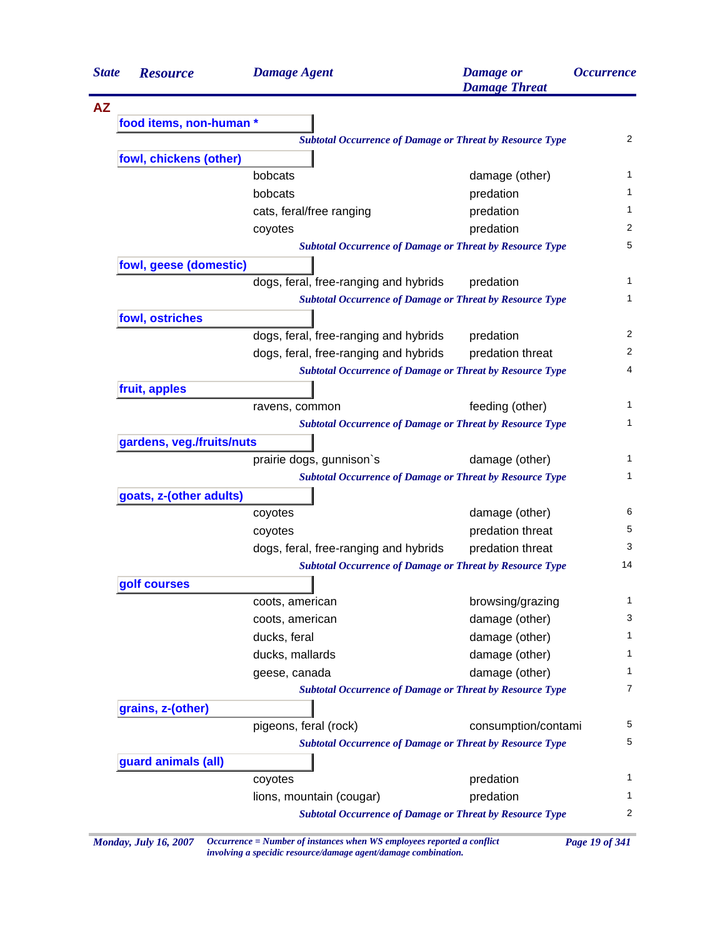| <b>State</b> | <b>Resource</b>           | <b>Damage Agent</b>                                             | <b>Damage</b> or<br><b>Damage Threat</b> | <b>Occurrence</b> |
|--------------|---------------------------|-----------------------------------------------------------------|------------------------------------------|-------------------|
| <b>AZ</b>    |                           |                                                                 |                                          |                   |
|              | food items, non-human *   |                                                                 |                                          |                   |
|              |                           | <b>Subtotal Occurrence of Damage or Threat by Resource Type</b> |                                          | $\overline{2}$    |
|              | fowl, chickens (other)    |                                                                 |                                          |                   |
|              |                           | bobcats                                                         | damage (other)                           | $\mathbf{1}$      |
|              |                           | bobcats                                                         | predation                                | $\mathbf{1}$      |
|              |                           | cats, feral/free ranging                                        | predation                                | $\mathbf{1}$      |
|              |                           | coyotes                                                         | predation                                | 2                 |
|              |                           | <b>Subtotal Occurrence of Damage or Threat by Resource Type</b> |                                          | 5                 |
|              | fowl, geese (domestic)    |                                                                 |                                          |                   |
|              |                           | dogs, feral, free-ranging and hybrids                           | predation                                | $\mathbf{1}$      |
|              |                           | <b>Subtotal Occurrence of Damage or Threat by Resource Type</b> |                                          | $\mathbf{1}$      |
|              | fowl, ostriches           |                                                                 |                                          |                   |
|              |                           | dogs, feral, free-ranging and hybrids                           | predation                                | 2                 |
|              |                           | dogs, feral, free-ranging and hybrids                           | predation threat                         | 2                 |
|              |                           | <b>Subtotal Occurrence of Damage or Threat by Resource Type</b> |                                          | 4                 |
|              | fruit, apples             |                                                                 |                                          |                   |
|              |                           | ravens, common                                                  | feeding (other)                          | 1                 |
|              |                           | <b>Subtotal Occurrence of Damage or Threat by Resource Type</b> |                                          | 1                 |
|              | gardens, veg./fruits/nuts |                                                                 |                                          |                   |
|              |                           | prairie dogs, gunnison's                                        | damage (other)                           | $\mathbf{1}$      |
|              |                           | <b>Subtotal Occurrence of Damage or Threat by Resource Type</b> |                                          | 1                 |
|              | goats, z-(other adults)   |                                                                 |                                          |                   |
|              |                           | coyotes                                                         | damage (other)                           | 6                 |
|              |                           | coyotes                                                         | predation threat                         | 5                 |
|              |                           | dogs, feral, free-ranging and hybrids                           | predation threat                         | 3                 |
|              |                           | <b>Subtotal Occurrence of Damage or Threat by Resource Type</b> |                                          | 14                |
|              | golf courses              |                                                                 |                                          |                   |
|              |                           | coots, american                                                 | browsing/grazing                         | 1                 |
|              |                           | coots, american                                                 | damage (other)                           | 3                 |
|              |                           | ducks, feral                                                    | damage (other)                           | 1                 |
|              |                           | ducks, mallards                                                 | damage (other)                           | 1                 |
|              |                           | geese, canada                                                   | damage (other)                           | 1                 |
|              |                           | <b>Subtotal Occurrence of Damage or Threat by Resource Type</b> |                                          | $\overline{7}$    |
|              | grains, z-(other)         |                                                                 |                                          |                   |
|              |                           | pigeons, feral (rock)                                           | consumption/contami                      | 5                 |
|              |                           | <b>Subtotal Occurrence of Damage or Threat by Resource Type</b> |                                          | 5                 |
|              | guard animals (all)       |                                                                 |                                          |                   |
|              |                           | coyotes                                                         | predation                                | $\mathbf{1}$      |
|              |                           |                                                                 |                                          |                   |
|              |                           | lions, mountain (cougar)                                        | predation                                | 1                 |

*Monday, July 16, 2007 Occurrence = Number of instances when WS employees reported a conflict Page 19 of 341 involving a specidic resource/damage agent/damage combination.*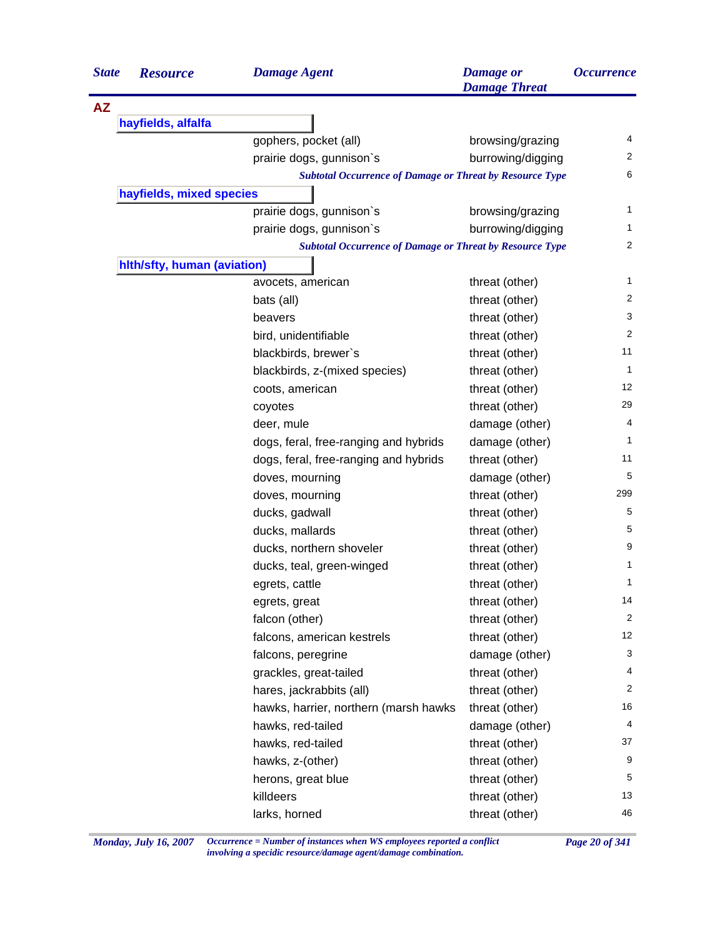| <b>State</b> | <b>Resource</b>             | <b>Damage Agent</b>                                             | <b>Damage</b> or<br><b>Damage Threat</b> | <i><b>Occurrence</b></i> |
|--------------|-----------------------------|-----------------------------------------------------------------|------------------------------------------|--------------------------|
| <b>AZ</b>    |                             |                                                                 |                                          |                          |
|              | hayfields, alfalfa          |                                                                 |                                          |                          |
|              |                             | gophers, pocket (all)                                           | browsing/grazing                         | 4                        |
|              |                             | prairie dogs, gunnison's                                        | burrowing/digging                        | 2                        |
|              |                             | <b>Subtotal Occurrence of Damage or Threat by Resource Type</b> |                                          | 6                        |
|              | hayfields, mixed species    |                                                                 |                                          |                          |
|              |                             | prairie dogs, gunnison's                                        | browsing/grazing                         | 1                        |
|              |                             | prairie dogs, gunnison's                                        | burrowing/digging                        | 1                        |
|              |                             | <b>Subtotal Occurrence of Damage or Threat by Resource Type</b> |                                          | 2                        |
|              | hith/sfty, human (aviation) |                                                                 |                                          |                          |
|              |                             | avocets, american                                               | threat (other)                           | 1                        |
|              |                             | bats (all)                                                      | threat (other)                           | 2                        |
|              |                             | beavers                                                         | threat (other)                           | 3                        |
|              |                             | bird, unidentifiable                                            | threat (other)                           | 2                        |
|              |                             | blackbirds, brewer's                                            | threat (other)                           | 11                       |
|              |                             | blackbirds, z-(mixed species)                                   | threat (other)                           | 1                        |
|              |                             | coots, american                                                 | threat (other)                           | $12 \overline{ }$        |
|              |                             | coyotes                                                         | threat (other)                           | 29                       |
|              |                             | deer, mule                                                      | damage (other)                           | 4                        |
|              |                             | dogs, feral, free-ranging and hybrids                           | damage (other)                           | 1                        |
|              |                             | dogs, feral, free-ranging and hybrids                           | threat (other)                           | 11                       |
|              |                             | doves, mourning                                                 | damage (other)                           | 5                        |
|              |                             | doves, mourning                                                 | threat (other)                           | 299                      |
|              |                             | ducks, gadwall                                                  | threat (other)                           | 5                        |
|              |                             | ducks, mallards                                                 | threat (other)                           | 5                        |
|              |                             | ducks, northern shoveler                                        | threat (other)                           | 9                        |
|              |                             | ducks, teal, green-winged                                       | threat (other)                           | 1                        |
|              |                             | egrets, cattle                                                  | threat (other)                           | 1                        |
|              |                             | egrets, great                                                   | threat (other)                           | 14                       |
|              |                             | falcon (other)                                                  | threat (other)                           | 2                        |
|              |                             | falcons, american kestrels                                      | threat (other)                           | 12                       |
|              |                             | falcons, peregrine                                              | damage (other)                           | 3                        |
|              |                             | grackles, great-tailed                                          | threat (other)                           | 4                        |
|              |                             | hares, jackrabbits (all)                                        | threat (other)                           | 2                        |
|              |                             | hawks, harrier, northern (marsh hawks                           | threat (other)                           | 16                       |
|              |                             | hawks, red-tailed                                               | damage (other)                           | 4                        |
|              |                             | hawks, red-tailed                                               | threat (other)                           | 37                       |
|              |                             | hawks, z-(other)                                                | threat (other)                           | 9                        |
|              |                             | herons, great blue                                              | threat (other)                           | 5                        |
|              |                             | killdeers                                                       | threat (other)                           | 13                       |
|              |                             | larks, horned                                                   | threat (other)                           | 46                       |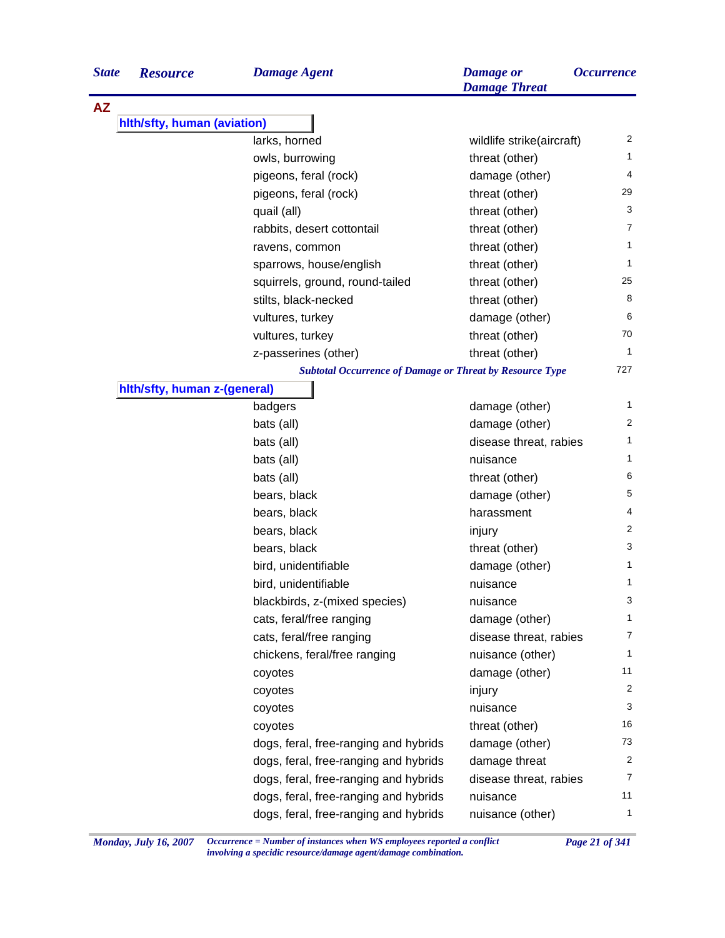| <b>State</b> | <b>Resource</b>              | <b>Damage Agent</b>                                             | <b>Damage</b> or<br><b>Damage Threat</b> | <i><b>Occurrence</b></i> |
|--------------|------------------------------|-----------------------------------------------------------------|------------------------------------------|--------------------------|
| <b>AZ</b>    |                              |                                                                 |                                          |                          |
|              | hlth/sfty, human (aviation)  |                                                                 |                                          |                          |
|              |                              | larks, horned                                                   | wildlife strike(aircraft)                | 2                        |
|              |                              | owls, burrowing                                                 | threat (other)                           | 1                        |
|              |                              | pigeons, feral (rock)                                           | damage (other)                           | 4                        |
|              |                              | pigeons, feral (rock)                                           | threat (other)                           | 29                       |
|              |                              | quail (all)                                                     | threat (other)                           | 3                        |
|              |                              | rabbits, desert cottontail                                      | threat (other)                           | 7                        |
|              |                              | ravens, common                                                  | threat (other)                           | 1                        |
|              |                              | sparrows, house/english                                         | threat (other)                           | 1                        |
|              |                              | squirrels, ground, round-tailed                                 | threat (other)                           | 25                       |
|              |                              | stilts, black-necked                                            | threat (other)                           | 8                        |
|              |                              | vultures, turkey                                                | damage (other)                           | 6                        |
|              |                              | vultures, turkey                                                | threat (other)                           | 70                       |
|              |                              | z-passerines (other)                                            | threat (other)                           | 1                        |
|              |                              | <b>Subtotal Occurrence of Damage or Threat by Resource Type</b> |                                          | 727                      |
|              | hith/sfty, human z-(general) |                                                                 |                                          |                          |
|              |                              | badgers                                                         | damage (other)                           | 1                        |
|              |                              | bats (all)                                                      | damage (other)                           | 2                        |
|              |                              | bats (all)                                                      | disease threat, rabies                   | 1                        |
|              |                              | bats (all)                                                      | nuisance                                 | 1                        |
|              |                              | bats (all)                                                      | threat (other)                           | 6                        |
|              |                              | bears, black                                                    | damage (other)                           | 5                        |
|              |                              | bears, black                                                    | harassment                               | 4                        |
|              |                              | bears, black                                                    | injury                                   | 2                        |
|              |                              | bears, black                                                    | threat (other)                           | 3                        |
|              |                              | bird, unidentifiable                                            | damage (other)                           | 1                        |
|              |                              | bird, unidentifiable                                            | nuisance                                 | 1                        |
|              |                              | blackbirds, z-(mixed species)                                   | nuisance                                 | 3                        |
|              |                              | cats, feral/free ranging                                        | damage (other)                           | $\mathbf{1}$             |
|              |                              | cats, feral/free ranging                                        | disease threat, rabies                   | $\overline{7}$           |
|              |                              | chickens, feral/free ranging                                    | nuisance (other)                         | $\mathbf{1}$             |
|              |                              | coyotes                                                         | damage (other)                           | 11                       |
|              |                              | coyotes                                                         | injury                                   | 2                        |
|              |                              | coyotes                                                         | nuisance                                 | 3                        |
|              |                              | coyotes                                                         | threat (other)                           | 16                       |
|              |                              | dogs, feral, free-ranging and hybrids                           | damage (other)                           | 73                       |
|              |                              | dogs, feral, free-ranging and hybrids                           | damage threat                            | 2                        |
|              |                              | dogs, feral, free-ranging and hybrids                           | disease threat, rabies                   | $\overline{7}$           |
|              |                              | dogs, feral, free-ranging and hybrids                           | nuisance                                 | 11                       |
|              |                              | dogs, feral, free-ranging and hybrids                           | nuisance (other)                         | $\mathbf{1}$             |
|              |                              |                                                                 |                                          |                          |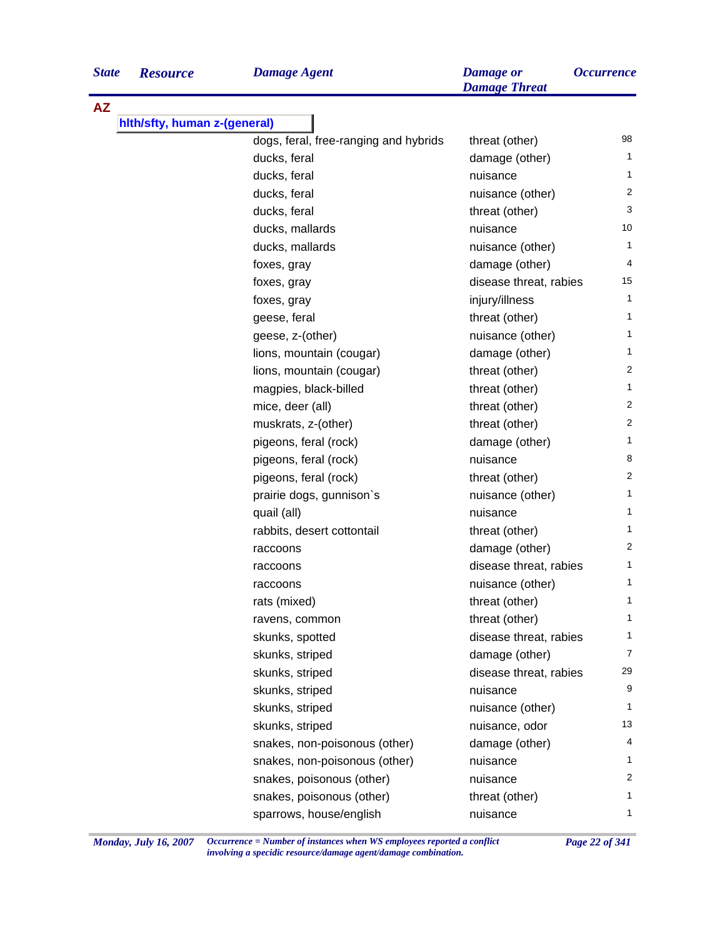| <b>State</b> | <b>Resource</b>              | <b>Damage Agent</b>                   | <b>Damage</b> or<br><b>Damage Threat</b> | <i><b>Occurrence</b></i> |
|--------------|------------------------------|---------------------------------------|------------------------------------------|--------------------------|
| <b>AZ</b>    |                              |                                       |                                          |                          |
|              | hith/sfty, human z-(general) |                                       |                                          |                          |
|              |                              | dogs, feral, free-ranging and hybrids | threat (other)                           | 98                       |
|              |                              | ducks, feral                          | damage (other)                           | 1                        |
|              |                              | ducks, feral                          | nuisance                                 | 1                        |
|              |                              | ducks, feral                          | nuisance (other)                         | $\overline{2}$           |
|              |                              | ducks, feral                          | threat (other)                           | 3                        |
|              |                              | ducks, mallards                       | nuisance                                 | 10                       |
|              |                              | ducks, mallards                       | nuisance (other)                         | 1                        |
|              |                              | foxes, gray                           | damage (other)                           | 4                        |
|              |                              | foxes, gray                           | disease threat, rabies                   | 15                       |
|              |                              | foxes, gray                           | injury/illness                           | $\mathbf{1}$             |
|              |                              | geese, feral                          | threat (other)                           | 1                        |
|              |                              | geese, z-(other)                      | nuisance (other)                         | 1                        |
|              |                              | lions, mountain (cougar)              | damage (other)                           | 1                        |
|              |                              | lions, mountain (cougar)              | threat (other)                           | 2                        |
|              |                              | magpies, black-billed                 | threat (other)                           | 1                        |
|              |                              | mice, deer (all)                      | threat (other)                           | 2                        |
|              |                              | muskrats, z-(other)                   | threat (other)                           | 2                        |
|              |                              | pigeons, feral (rock)                 | damage (other)                           | 1                        |
|              |                              | pigeons, feral (rock)                 | nuisance                                 | 8                        |
|              |                              | pigeons, feral (rock)                 | threat (other)                           | 2                        |
|              |                              | prairie dogs, gunnison's              | nuisance (other)                         | 1                        |
|              |                              | quail (all)                           | nuisance                                 | 1                        |
|              |                              | rabbits, desert cottontail            | threat (other)                           | 1                        |
|              |                              | raccoons                              | damage (other)                           | 2                        |
|              |                              | raccoons                              | disease threat, rabies                   | 1                        |
|              |                              | raccoons                              | nuisance (other)                         | 1                        |
|              |                              | rats (mixed)                          | threat (other)                           | 1                        |
|              |                              | ravens, common                        | threat (other)                           | 1                        |
|              |                              | skunks, spotted                       | disease threat, rabies                   | 1                        |
|              |                              | skunks, striped                       | damage (other)                           | $\overline{7}$           |
|              |                              | skunks, striped                       | disease threat, rabies                   | 29                       |
|              |                              | skunks, striped                       | nuisance                                 | 9                        |
|              |                              | skunks, striped                       | nuisance (other)                         | 1                        |
|              |                              | skunks, striped                       | nuisance, odor                           | 13                       |
|              |                              | snakes, non-poisonous (other)         | damage (other)                           | 4                        |
|              |                              | snakes, non-poisonous (other)         | nuisance                                 | 1                        |
|              |                              | snakes, poisonous (other)             | nuisance                                 | 2                        |
|              |                              | snakes, poisonous (other)             |                                          | 1                        |
|              |                              |                                       | threat (other)                           | 1                        |
|              |                              | sparrows, house/english               | nuisance                                 |                          |

*Monday, July 16, 2007 Occurrence = Number of instances when WS employees reported a conflict Page 22 of 341 involving a specidic resource/damage agent/damage combination.*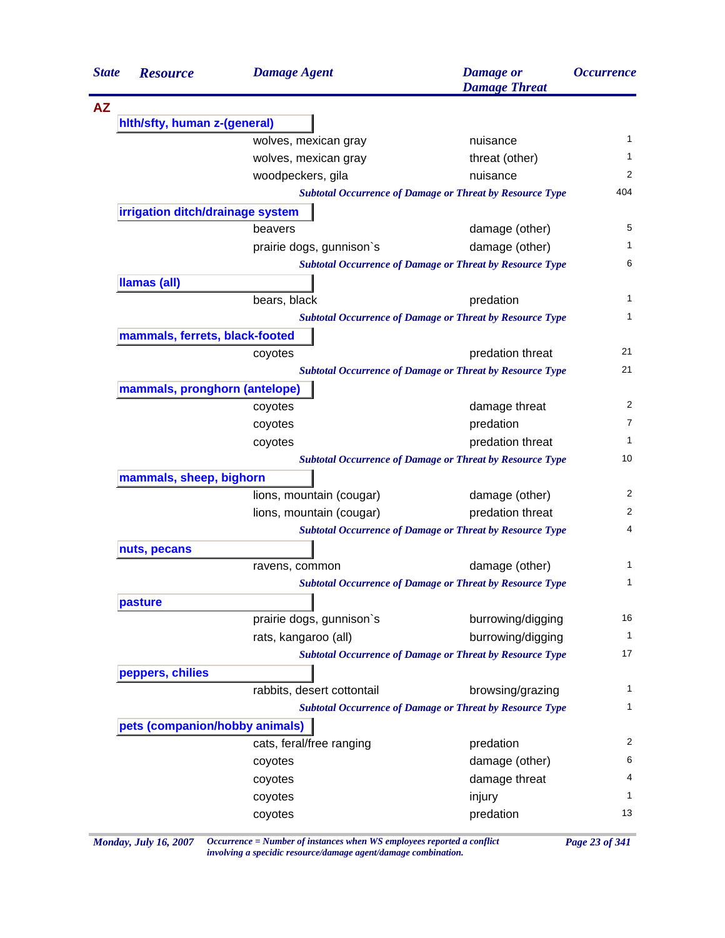| <b>State</b> | <b>Resource</b>                  | <b>Damage Agent</b>        | <b>Damage</b> or<br><b>Damage Threat</b>                        | <i><b>Occurrence</b></i> |
|--------------|----------------------------------|----------------------------|-----------------------------------------------------------------|--------------------------|
| <b>AZ</b>    |                                  |                            |                                                                 |                          |
|              | hith/sfty, human z-(general)     |                            |                                                                 |                          |
|              |                                  | wolves, mexican gray       | nuisance                                                        | 1                        |
|              |                                  | wolves, mexican gray       | threat (other)                                                  | 1                        |
|              |                                  | woodpeckers, gila          | nuisance                                                        | 2                        |
|              |                                  |                            | <b>Subtotal Occurrence of Damage or Threat by Resource Type</b> | 404                      |
|              | irrigation ditch/drainage system |                            |                                                                 |                          |
|              |                                  | beavers                    | damage (other)                                                  | 5                        |
|              |                                  | prairie dogs, gunnison's   | damage (other)                                                  | 1                        |
|              |                                  |                            | <b>Subtotal Occurrence of Damage or Threat by Resource Type</b> | 6                        |
|              | <b>Ilamas (all)</b>              |                            |                                                                 |                          |
|              |                                  | bears, black               | predation                                                       | 1                        |
|              |                                  |                            | <b>Subtotal Occurrence of Damage or Threat by Resource Type</b> | 1                        |
|              | mammals, ferrets, black-footed   |                            |                                                                 |                          |
|              |                                  | coyotes                    | predation threat                                                | 21                       |
|              |                                  |                            | <b>Subtotal Occurrence of Damage or Threat by Resource Type</b> | 21                       |
|              | mammals, pronghorn (antelope)    |                            |                                                                 |                          |
|              |                                  | coyotes                    | damage threat                                                   | 2                        |
|              |                                  | coyotes                    | predation                                                       | 7                        |
|              |                                  | coyotes                    | predation threat                                                | 1                        |
|              |                                  |                            | <b>Subtotal Occurrence of Damage or Threat by Resource Type</b> | 10                       |
|              | mammals, sheep, bighorn          |                            |                                                                 |                          |
|              |                                  | lions, mountain (cougar)   | damage (other)                                                  | 2                        |
|              |                                  | lions, mountain (cougar)   | predation threat                                                | 2                        |
|              |                                  |                            | <b>Subtotal Occurrence of Damage or Threat by Resource Type</b> | 4                        |
|              | nuts, pecans                     |                            |                                                                 |                          |
|              |                                  | ravens, common             | damage (other)                                                  | 1                        |
|              |                                  |                            | <b>Subtotal Occurrence of Damage or Threat by Resource Type</b> | 1                        |
|              | pasture                          |                            |                                                                 |                          |
|              |                                  | prairie dogs, gunnison's   | burrowing/digging                                               | 16                       |
|              |                                  | rats, kangaroo (all)       | burrowing/digging                                               | $\mathbf{1}$             |
|              |                                  |                            | <b>Subtotal Occurrence of Damage or Threat by Resource Type</b> | 17                       |
|              | peppers, chilies                 |                            |                                                                 |                          |
|              |                                  | rabbits, desert cottontail | browsing/grazing                                                | 1                        |
|              |                                  |                            | <b>Subtotal Occurrence of Damage or Threat by Resource Type</b> | $\mathbf{1}$             |
|              | pets (companion/hobby animals)   |                            |                                                                 |                          |
|              |                                  | cats, feral/free ranging   | predation                                                       | 2                        |
|              |                                  | coyotes                    | damage (other)                                                  | 6                        |
|              |                                  | coyotes                    | damage threat                                                   | 4                        |
|              |                                  | coyotes                    | injury                                                          | 1                        |
|              |                                  | coyotes                    | predation                                                       | 13                       |

*Monday, July 16, 2007 Occurrence = Number of instances when WS employees reported a conflict Page 23 of 341 involving a specidic resource/damage agent/damage combination.*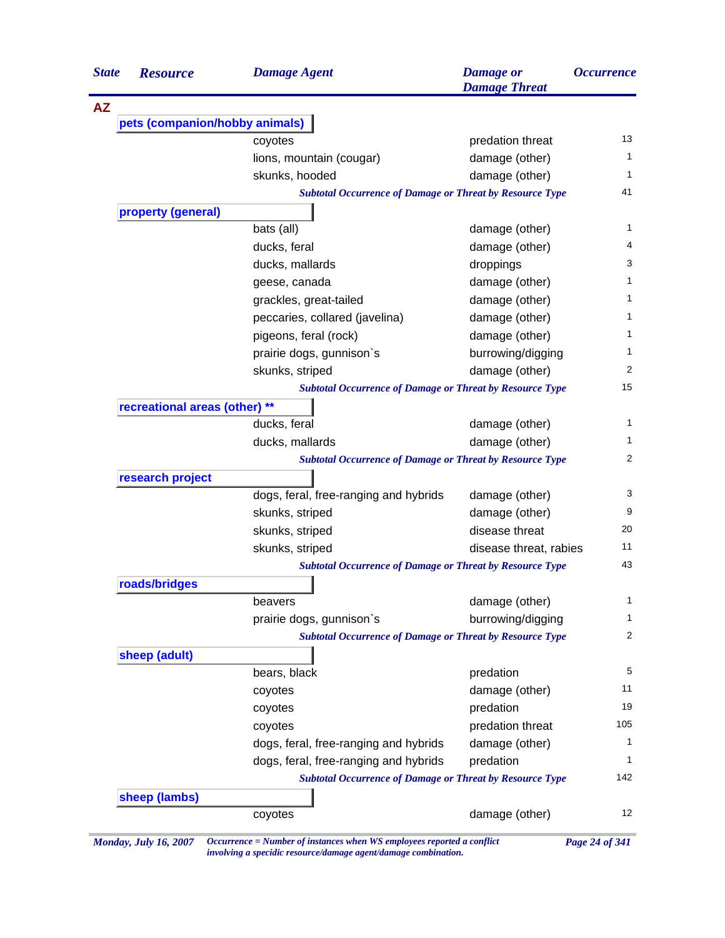| <b>State</b> | <b>Resource</b>                | <b>Damage Agent</b>                                             | <b>Damage</b> or<br><b>Damage Threat</b> | <i><b>Occurrence</b></i> |
|--------------|--------------------------------|-----------------------------------------------------------------|------------------------------------------|--------------------------|
| <b>AZ</b>    |                                |                                                                 |                                          |                          |
|              | pets (companion/hobby animals) |                                                                 |                                          |                          |
|              |                                | coyotes                                                         | predation threat                         |                          |
|              |                                | lions, mountain (cougar)                                        | damage (other)                           |                          |
|              |                                | skunks, hooded                                                  | damage (other)                           |                          |
|              |                                | <b>Subtotal Occurrence of Damage or Threat by Resource Type</b> |                                          |                          |
|              | property (general)             |                                                                 |                                          |                          |
|              |                                | bats (all)                                                      | damage (other)                           |                          |
|              |                                | ducks, feral                                                    | damage (other)                           |                          |
|              |                                | ducks, mallards                                                 | droppings                                |                          |
|              |                                | geese, canada                                                   | damage (other)                           |                          |
|              |                                | grackles, great-tailed                                          | damage (other)                           |                          |
|              |                                | peccaries, collared (javelina)                                  | damage (other)                           |                          |
|              |                                | pigeons, feral (rock)                                           | damage (other)                           |                          |
|              |                                | prairie dogs, gunnison's                                        | burrowing/digging                        |                          |
|              |                                | skunks, striped                                                 | damage (other)                           |                          |
|              |                                | <b>Subtotal Occurrence of Damage or Threat by Resource Type</b> |                                          |                          |
|              | recreational areas (other) **  |                                                                 |                                          |                          |
|              |                                | ducks, feral                                                    | damage (other)                           |                          |
|              |                                | ducks, mallards                                                 | damage (other)                           |                          |
|              |                                | <b>Subtotal Occurrence of Damage or Threat by Resource Type</b> |                                          |                          |
|              | research project               |                                                                 |                                          |                          |
|              |                                | dogs, feral, free-ranging and hybrids                           | damage (other)                           |                          |
|              |                                | skunks, striped                                                 | damage (other)                           |                          |
|              |                                | skunks, striped                                                 | disease threat                           |                          |
|              |                                | skunks, striped                                                 | disease threat, rabies                   |                          |
|              |                                | <b>Subtotal Occurrence of Damage or Threat by Resource Type</b> |                                          |                          |
|              | roads/bridges                  |                                                                 |                                          |                          |
|              |                                | beavers                                                         | damage (other)                           |                          |
|              |                                | prairie dogs, gunnison's                                        | burrowing/digging                        |                          |
|              |                                | <b>Subtotal Occurrence of Damage or Threat by Resource Type</b> |                                          |                          |
|              | sheep (adult)                  |                                                                 |                                          |                          |
|              |                                | bears, black                                                    | predation                                |                          |
|              |                                | coyotes                                                         | damage (other)                           |                          |
|              |                                | coyotes                                                         | predation                                |                          |
|              |                                | coyotes                                                         | predation threat                         | 105                      |
|              |                                | dogs, feral, free-ranging and hybrids                           | damage (other)                           |                          |
|              |                                | dogs, feral, free-ranging and hybrids                           | predation                                |                          |
|              |                                |                                                                 |                                          |                          |
|              |                                |                                                                 |                                          |                          |
|              | sheep (lambs)                  | <b>Subtotal Occurrence of Damage or Threat by Resource Type</b> |                                          | 142                      |

*involving a specidic resource/damage agent/damage combination.*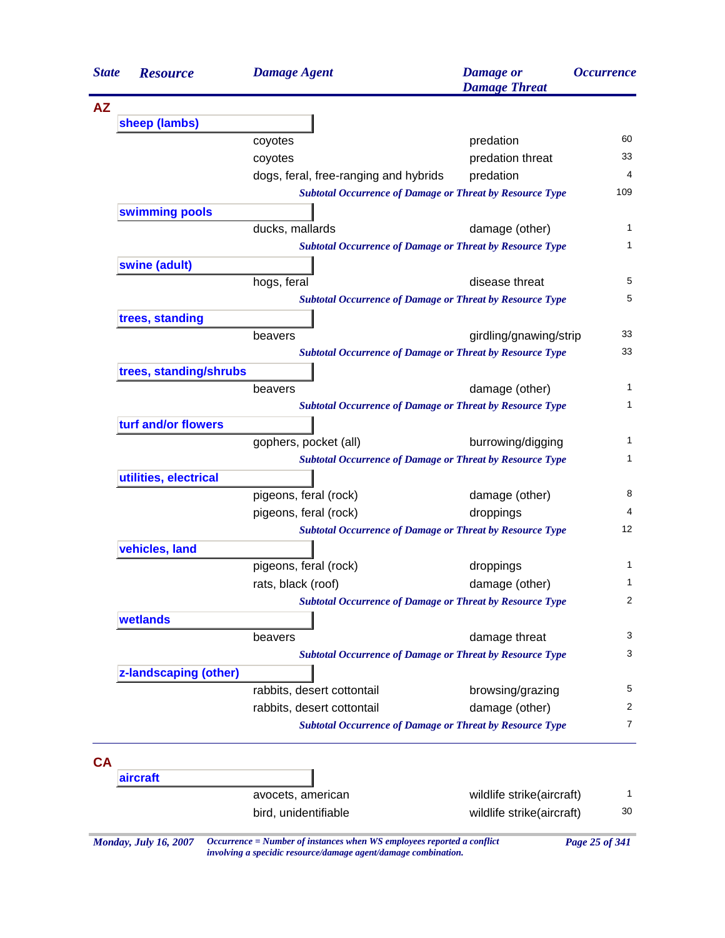| <b>State</b> | <b>Resource</b>        | <b>Damage Agent</b>                                             | <b>Damage</b> or<br><b>Damage Threat</b> | <i><b>Occurrence</b></i> |
|--------------|------------------------|-----------------------------------------------------------------|------------------------------------------|--------------------------|
| <b>AZ</b>    |                        |                                                                 |                                          |                          |
|              | sheep (lambs)          |                                                                 |                                          |                          |
|              |                        | coyotes                                                         | predation                                | 60                       |
|              |                        | coyotes                                                         | predation threat                         | 33                       |
|              |                        | dogs, feral, free-ranging and hybrids                           | predation                                | 4                        |
|              |                        | <b>Subtotal Occurrence of Damage or Threat by Resource Type</b> |                                          | 109                      |
|              | swimming pools         |                                                                 |                                          |                          |
|              |                        | ducks, mallards                                                 | damage (other)                           | 1                        |
|              |                        | <b>Subtotal Occurrence of Damage or Threat by Resource Type</b> |                                          | 1                        |
|              | swine (adult)          |                                                                 |                                          | 5                        |
|              |                        | hogs, feral                                                     | disease threat                           | 5                        |
|              |                        | <b>Subtotal Occurrence of Damage or Threat by Resource Type</b> |                                          |                          |
|              | trees, standing        | beavers                                                         | girdling/gnawing/strip                   | 33                       |
|              |                        | <b>Subtotal Occurrence of Damage or Threat by Resource Type</b> |                                          | 33                       |
|              | trees, standing/shrubs |                                                                 |                                          |                          |
|              |                        | beavers                                                         | damage (other)                           | 1                        |
|              |                        | <b>Subtotal Occurrence of Damage or Threat by Resource Type</b> |                                          | 1                        |
|              | turf and/or flowers    |                                                                 |                                          |                          |
|              |                        | gophers, pocket (all)                                           | burrowing/digging                        | 1                        |
|              |                        | <b>Subtotal Occurrence of Damage or Threat by Resource Type</b> |                                          | 1                        |
|              | utilities, electrical  |                                                                 |                                          |                          |
|              |                        | pigeons, feral (rock)                                           | damage (other)                           | 8                        |
|              |                        | pigeons, feral (rock)                                           | droppings                                | 4                        |
|              |                        | <b>Subtotal Occurrence of Damage or Threat by Resource Type</b> |                                          | 12                       |
|              | vehicles, land         |                                                                 |                                          |                          |
|              |                        | pigeons, feral (rock)                                           | droppings                                | 1                        |
|              |                        | rats, black (roof)                                              | damage (other)                           | 1                        |
|              |                        | <b>Subtotal Occurrence of Damage or Threat by Resource Type</b> |                                          | 2                        |
|              | wetlands               |                                                                 |                                          |                          |
|              |                        | beavers                                                         | damage threat                            | 3                        |
|              |                        | <b>Subtotal Occurrence of Damage or Threat by Resource Type</b> |                                          | 3                        |
|              | z-landscaping (other)  |                                                                 |                                          |                          |
|              |                        | rabbits, desert cottontail                                      | browsing/grazing                         | 5                        |
|              |                        | rabbits, desert cottontail                                      | damage (other)                           | 2                        |
|              |                        | <b>Subtotal Occurrence of Damage or Threat by Resource Type</b> |                                          | 7                        |
| CA           |                        |                                                                 |                                          |                          |
|              | aircraft               |                                                                 |                                          |                          |
|              |                        | avocets, american                                               | wildlife strike(aircraft)                | 1                        |
|              |                        | bird, unidentifiable                                            | wildlife strike(aircraft)                | 30                       |

*involving a specidic resource/damage agent/damage combination.*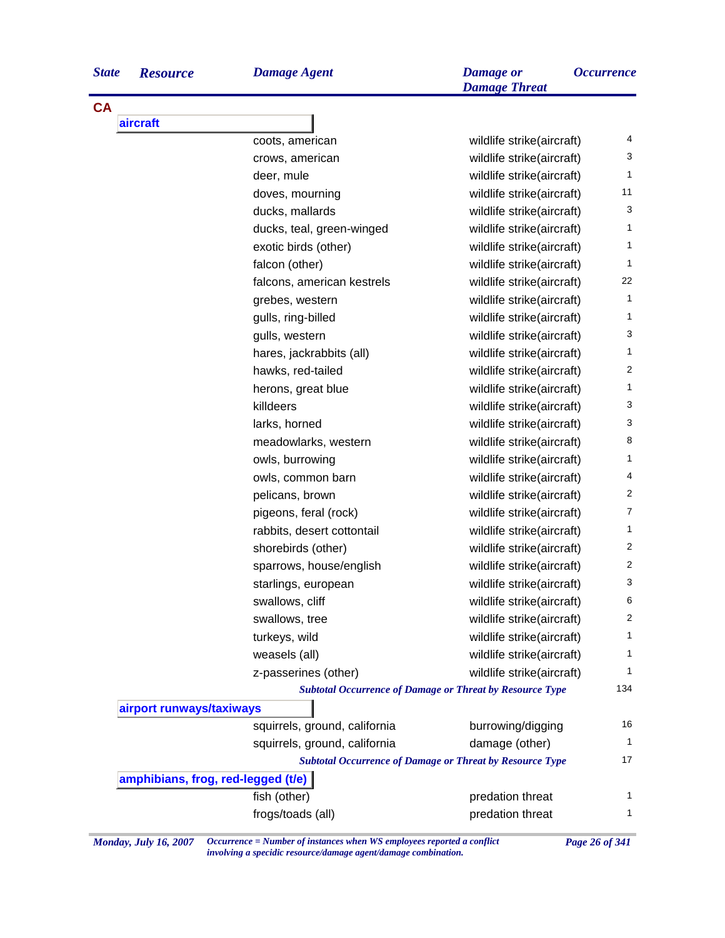| <b>State</b> | <b>Resourc</b> |
|--------------|----------------|
|--------------|----------------|

**CA**

| <b>State</b> | <b>Resource</b> | <b>Damage Agent</b> | <b>Damage</b> or<br><b>Damage Threat</b> | <i><b>Occurrence</b></i> |
|--------------|-----------------|---------------------|------------------------------------------|--------------------------|
| <b>CA</b>    |                 |                     |                                          |                          |
|              | <b>aircraft</b> |                     |                                          |                          |
|              |                 | coots, american     | wildlife strike(aircraft)                |                          |
|              |                 | crows, american     | wildlife strike(aircraft)                |                          |

|                                    | crows, american                                                 | wildlife strike(aircraft) | 3                       |
|------------------------------------|-----------------------------------------------------------------|---------------------------|-------------------------|
|                                    | deer, mule                                                      | wildlife strike(aircraft) | $\mathbf{1}$            |
|                                    | doves, mourning                                                 | wildlife strike(aircraft) | 11                      |
|                                    | ducks, mallards                                                 | wildlife strike(aircraft) | 3                       |
|                                    | ducks, teal, green-winged                                       | wildlife strike(aircraft) | $\mathbf{1}$            |
|                                    | exotic birds (other)                                            | wildlife strike(aircraft) | $\mathbf{1}$            |
|                                    | falcon (other)                                                  | wildlife strike(aircraft) | $\mathbf{1}$            |
|                                    | falcons, american kestrels                                      | wildlife strike(aircraft) | 22                      |
|                                    | grebes, western                                                 | wildlife strike(aircraft) | $\mathbf{1}$            |
|                                    | gulls, ring-billed                                              | wildlife strike(aircraft) | $\mathbf{1}$            |
|                                    | gulls, western                                                  | wildlife strike(aircraft) | 3                       |
|                                    | hares, jackrabbits (all)                                        | wildlife strike(aircraft) | $\mathbf{1}$            |
|                                    | hawks, red-tailed                                               | wildlife strike(aircraft) | $\overline{2}$          |
|                                    | herons, great blue                                              | wildlife strike(aircraft) | $\mathbf{1}$            |
|                                    | killdeers                                                       | wildlife strike(aircraft) | 3                       |
|                                    | larks, horned                                                   | wildlife strike(aircraft) | 3                       |
|                                    | meadowlarks, western                                            | wildlife strike(aircraft) | 8                       |
|                                    | owls, burrowing                                                 | wildlife strike(aircraft) | $\mathbf{1}$            |
|                                    | owls, common barn                                               | wildlife strike(aircraft) | $\overline{\mathbf{4}}$ |
|                                    | pelicans, brown                                                 | wildlife strike(aircraft) | $\overline{c}$          |
|                                    | pigeons, feral (rock)                                           | wildlife strike(aircraft) | $\overline{7}$          |
|                                    | rabbits, desert cottontail                                      | wildlife strike(aircraft) | $\mathbf{1}$            |
|                                    | shorebirds (other)                                              | wildlife strike(aircraft) | $\overline{c}$          |
|                                    | sparrows, house/english                                         | wildlife strike(aircraft) | $\overline{c}$          |
|                                    | starlings, european                                             | wildlife strike(aircraft) | 3                       |
|                                    | swallows, cliff                                                 | wildlife strike(aircraft) | 6                       |
|                                    | swallows, tree                                                  | wildlife strike(aircraft) | $\overline{2}$          |
|                                    | turkeys, wild                                                   | wildlife strike(aircraft) | 1                       |
|                                    | weasels (all)                                                   | wildlife strike(aircraft) | $\mathbf{1}$            |
|                                    | z-passerines (other)                                            | wildlife strike(aircraft) | 1                       |
|                                    | <b>Subtotal Occurrence of Damage or Threat by Resource Type</b> |                           | 134                     |
| airport runways/taxiways           |                                                                 |                           |                         |
|                                    | squirrels, ground, california                                   | burrowing/digging         | 16                      |
|                                    | squirrels, ground, california                                   | damage (other)            | $\overline{1}$          |
|                                    | <b>Subtotal Occurrence of Damage or Threat by Resource Type</b> |                           | 17                      |
| amphibians, frog, red-legged (t/e) |                                                                 |                           |                         |
|                                    | fish (other)                                                    | predation threat          | 1                       |
|                                    | frogs/toads (all)                                               | predation threat          | 1                       |
|                                    |                                                                 |                           |                         |

*Monday, July 16, 2007 Occurrence = Number of instances when WS employees reported a conflict Page 26 of 341 involving a specidic resource/damage agent/damage combination.*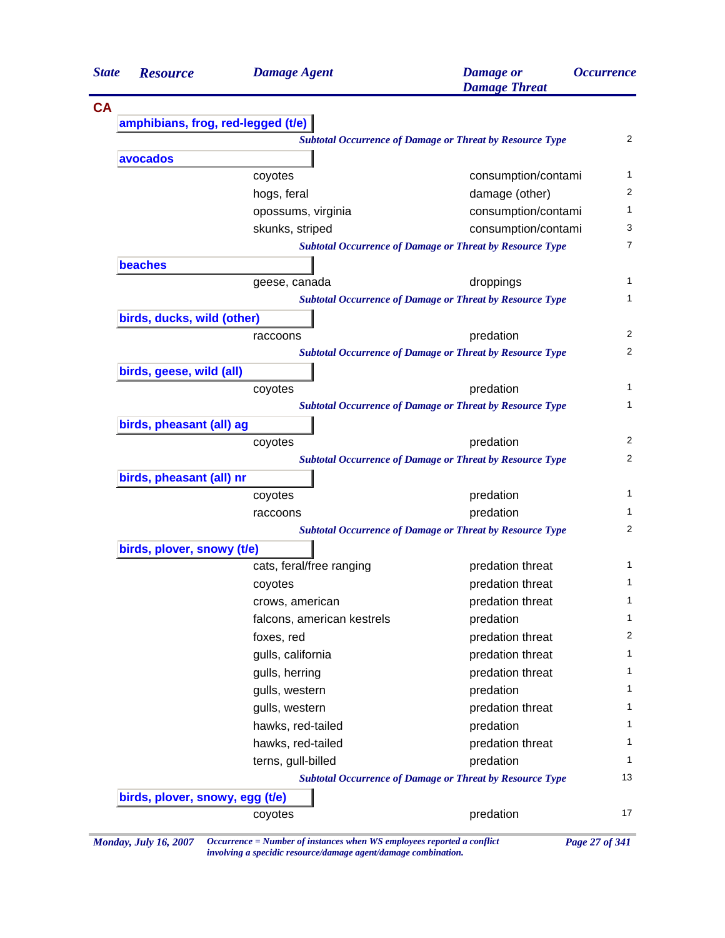| <b>State</b> | <b>Resource</b>                                                 | <b>Damage Agent</b>        | <b>Damage</b> or<br><b>Damage Threat</b>                        | <i><b>Occurrence</b></i> |  |
|--------------|-----------------------------------------------------------------|----------------------------|-----------------------------------------------------------------|--------------------------|--|
| <b>CA</b>    |                                                                 |                            |                                                                 |                          |  |
|              | amphibians, frog, red-legged (t/e)                              |                            |                                                                 |                          |  |
|              | <b>Subtotal Occurrence of Damage or Threat by Resource Type</b> |                            |                                                                 |                          |  |
|              | avocados                                                        |                            |                                                                 |                          |  |
|              |                                                                 | coyotes                    | consumption/contami                                             |                          |  |
|              |                                                                 | hogs, feral                | damage (other)                                                  |                          |  |
|              |                                                                 | opossums, virginia         | consumption/contami                                             |                          |  |
|              |                                                                 | skunks, striped            | consumption/contami                                             |                          |  |
|              |                                                                 |                            | <b>Subtotal Occurrence of Damage or Threat by Resource Type</b> |                          |  |
|              | <b>beaches</b>                                                  |                            |                                                                 |                          |  |
|              |                                                                 | geese, canada              | droppings                                                       |                          |  |
|              |                                                                 |                            | <b>Subtotal Occurrence of Damage or Threat by Resource Type</b> |                          |  |
|              | birds, ducks, wild (other)                                      |                            |                                                                 |                          |  |
|              |                                                                 | raccoons                   | predation                                                       |                          |  |
|              |                                                                 |                            | <b>Subtotal Occurrence of Damage or Threat by Resource Type</b> |                          |  |
|              | birds, geese, wild (all)                                        |                            |                                                                 |                          |  |
|              |                                                                 | coyotes                    | predation                                                       |                          |  |
|              |                                                                 |                            | <b>Subtotal Occurrence of Damage or Threat by Resource Type</b> |                          |  |
|              | birds, pheasant (all) ag                                        |                            |                                                                 |                          |  |
|              |                                                                 | coyotes                    | predation                                                       |                          |  |
|              |                                                                 |                            | <b>Subtotal Occurrence of Damage or Threat by Resource Type</b> |                          |  |
|              | birds, pheasant (all) nr                                        |                            |                                                                 |                          |  |
|              |                                                                 | coyotes                    | predation                                                       |                          |  |
|              |                                                                 | raccoons                   | predation                                                       |                          |  |
|              |                                                                 |                            | <b>Subtotal Occurrence of Damage or Threat by Resource Type</b> |                          |  |
|              | birds, plover, snowy (t/e)                                      |                            |                                                                 |                          |  |
|              |                                                                 | cats, feral/free ranging   | predation threat                                                |                          |  |
|              |                                                                 | coyotes                    | predation threat                                                |                          |  |
|              |                                                                 | crows, american            | predation threat                                                |                          |  |
|              |                                                                 | falcons, american kestrels | predation                                                       |                          |  |
|              |                                                                 | foxes, red                 | predation threat                                                |                          |  |
|              |                                                                 | gulls, california          | predation threat                                                |                          |  |
|              |                                                                 | gulls, herring             | predation threat                                                |                          |  |
|              |                                                                 | gulls, western             | predation                                                       |                          |  |
|              |                                                                 | gulls, western             | predation threat                                                |                          |  |
|              |                                                                 | hawks, red-tailed          | predation                                                       |                          |  |
|              |                                                                 | hawks, red-tailed          | predation threat                                                |                          |  |
|              |                                                                 | terns, gull-billed         | predation                                                       |                          |  |
|              | <b>Subtotal Occurrence of Damage or Threat by Resource Type</b> |                            |                                                                 |                          |  |
|              | birds, plover, snowy, egg (t/e)                                 |                            |                                                                 |                          |  |
|              |                                                                 |                            |                                                                 |                          |  |

*involving a specidic resource/damage agent/damage combination.*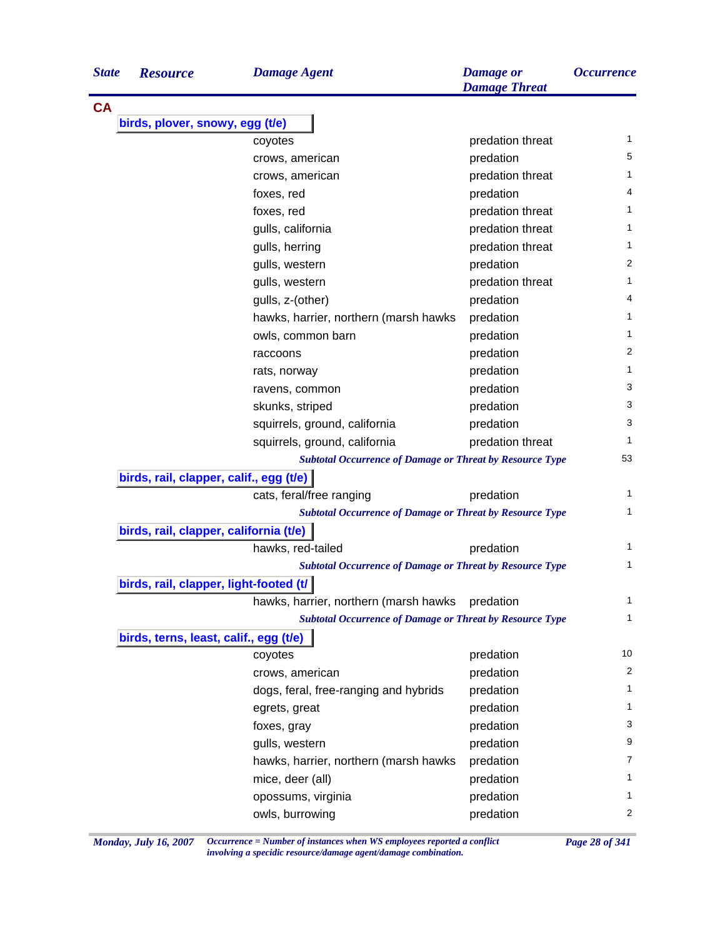| <b>State</b> | <b>Resource</b>                         | <b>Damage Agent</b>                                             | <b>Damage</b> or<br><b>Damage Threat</b> | <i><b>Occurrence</b></i> |
|--------------|-----------------------------------------|-----------------------------------------------------------------|------------------------------------------|--------------------------|
| <b>CA</b>    |                                         |                                                                 |                                          |                          |
|              | birds, plover, snowy, egg (t/e)         |                                                                 |                                          |                          |
|              |                                         | coyotes                                                         | predation threat                         | 1                        |
|              |                                         | crows, american                                                 | predation                                | 5                        |
|              |                                         | crows, american                                                 | predation threat                         | 1                        |
|              |                                         | foxes, red                                                      | predation                                | 4                        |
|              |                                         | foxes, red                                                      | predation threat                         | 1                        |
|              |                                         | gulls, california                                               | predation threat                         | 1                        |
|              |                                         | gulls, herring                                                  | predation threat                         | 1                        |
|              |                                         | gulls, western                                                  | predation                                | 2                        |
|              |                                         | gulls, western                                                  | predation threat                         | 1                        |
|              |                                         | gulls, z-(other)                                                | predation                                | 4                        |
|              |                                         | hawks, harrier, northern (marsh hawks                           | predation                                | 1                        |
|              |                                         | owls, common barn                                               | predation                                | $\mathbf{1}$             |
|              |                                         | raccoons                                                        | predation                                | 2                        |
|              |                                         | rats, norway                                                    | predation                                | $\mathbf{1}$             |
|              |                                         | ravens, common                                                  | predation                                | 3                        |
|              |                                         | skunks, striped                                                 | predation                                | 3                        |
|              |                                         | squirrels, ground, california                                   | predation                                | 3                        |
|              |                                         | squirrels, ground, california                                   | predation threat                         | 1                        |
|              |                                         | <b>Subtotal Occurrence of Damage or Threat by Resource Type</b> |                                          | 53                       |
|              | birds, rail, clapper, calif., egg (t/e) |                                                                 |                                          |                          |
|              |                                         | cats, feral/free ranging                                        | predation                                | 1                        |
|              |                                         | <b>Subtotal Occurrence of Damage or Threat by Resource Type</b> |                                          | $\mathbf{1}$             |
|              | birds, rail, clapper, california (t/e)  |                                                                 |                                          |                          |
|              |                                         | hawks, red-tailed                                               | predation                                | 1                        |
|              |                                         | <b>Subtotal Occurrence of Damage or Threat by Resource Type</b> |                                          | 1                        |
|              | birds, rail, clapper, light-footed (t/  |                                                                 |                                          |                          |
|              |                                         | hawks, harrier, northern (marsh hawks                           | predation                                | 1                        |
|              |                                         | <b>Subtotal Occurrence of Damage or Threat by Resource Type</b> |                                          | $\mathbf{1}$             |
|              | birds, terns, least, calif., egg (t/e)  |                                                                 |                                          |                          |
|              |                                         | coyotes                                                         | predation                                | 10                       |
|              |                                         | crows, american                                                 | predation                                | 2                        |
|              |                                         | dogs, feral, free-ranging and hybrids                           | predation                                | 1                        |
|              |                                         | egrets, great                                                   | predation                                | 1                        |
|              |                                         | foxes, gray                                                     | predation                                | 3                        |
|              |                                         | gulls, western                                                  | predation                                | 9                        |
|              |                                         | hawks, harrier, northern (marsh hawks                           | predation                                | 7                        |
|              |                                         | mice, deer (all)                                                | predation                                | 1                        |
|              |                                         | opossums, virginia                                              | predation                                | 1                        |
|              |                                         | owls, burrowing                                                 | predation                                | 2                        |
|              |                                         |                                                                 |                                          |                          |

*Monday, July 16, 2007 Occurrence = Number of instances when WS employees reported a conflict Page 28 of 341 involving a specidic resource/damage agent/damage combination.*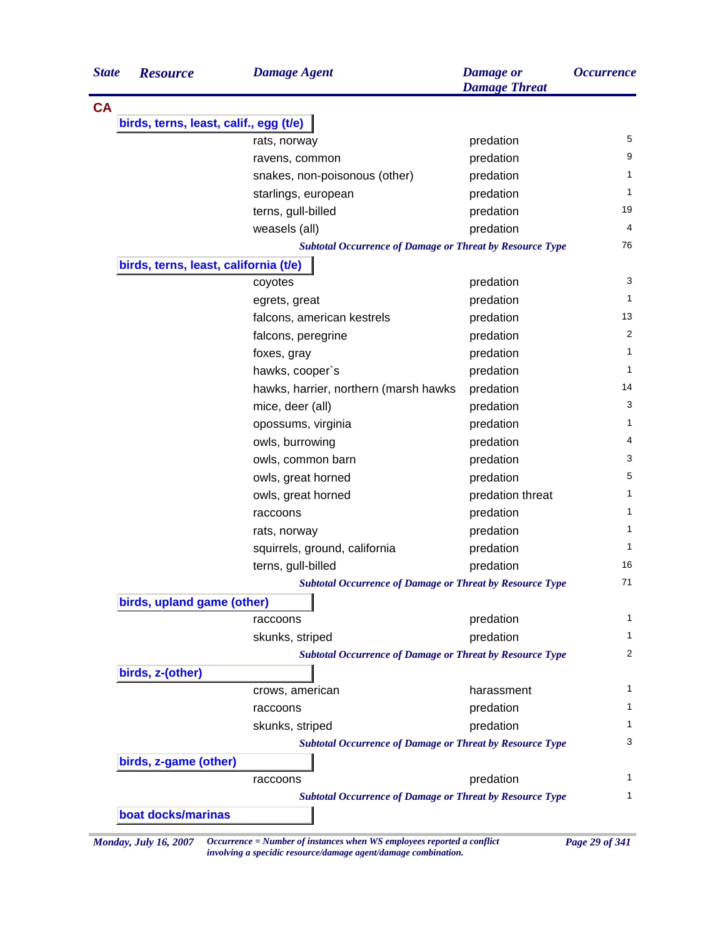| <b>State</b> | <b>Resource</b>                        | <b>Damage Agent</b>                                                    | <b>Damage</b> or<br><b>Damage Threat</b> | <i><b>Occurrence</b></i> |
|--------------|----------------------------------------|------------------------------------------------------------------------|------------------------------------------|--------------------------|
| <b>CA</b>    |                                        |                                                                        |                                          |                          |
|              | birds, terns, least, calif., egg (t/e) |                                                                        |                                          |                          |
|              |                                        | rats, norway                                                           | predation                                | 5                        |
|              |                                        | ravens, common                                                         | predation                                | 9                        |
|              |                                        | snakes, non-poisonous (other)                                          | predation                                | 1                        |
|              |                                        | starlings, european                                                    | predation                                | 1                        |
|              |                                        | terns, gull-billed                                                     | predation                                | 19                       |
|              |                                        | weasels (all)                                                          | predation                                | 4                        |
|              |                                        | <b>Subtotal Occurrence of Damage or Threat by Resource Type</b>        |                                          | 76                       |
|              | birds, terns, least, california (t/e)  |                                                                        |                                          |                          |
|              |                                        | coyotes                                                                | predation                                | 3                        |
|              |                                        | egrets, great                                                          | predation                                | 1                        |
|              |                                        | falcons, american kestrels                                             | predation                                | 13                       |
|              |                                        | falcons, peregrine                                                     | predation                                | 2                        |
|              |                                        | foxes, gray                                                            | predation                                | $\mathbf{1}$             |
|              |                                        | hawks, cooper's                                                        | predation                                | 1                        |
|              |                                        | hawks, harrier, northern (marsh hawks                                  | predation                                | 14                       |
|              |                                        | mice, deer (all)                                                       | predation                                | 3                        |
|              |                                        | opossums, virginia                                                     | predation                                | 1                        |
|              |                                        | owls, burrowing                                                        | predation                                | 4                        |
|              |                                        | owls, common barn                                                      | predation                                | 3                        |
|              |                                        | owls, great horned                                                     | predation                                | 5                        |
|              |                                        | owls, great horned                                                     | predation threat                         | 1                        |
|              |                                        | raccoons                                                               | predation                                | 1                        |
|              |                                        | rats, norway                                                           | predation                                | $\mathbf{1}$             |
|              |                                        | squirrels, ground, california                                          | predation                                | 1                        |
|              |                                        | terns, gull-billed                                                     | predation                                | 16                       |
|              |                                        | <b>Subtotal Occurrence of Damage or Threat by Resource Type</b>        |                                          | 71                       |
|              | birds, upland game (other)             |                                                                        |                                          |                          |
|              |                                        | raccoons                                                               | predation                                | 1                        |
|              |                                        | skunks, striped                                                        | predation                                | 1                        |
|              |                                        | <b>Subtotal Occurrence of Damage or Threat by Resource Type</b>        |                                          | 2                        |
|              | birds, z-(other)                       |                                                                        |                                          |                          |
|              |                                        | crows, american                                                        | harassment                               | 1                        |
|              |                                        | raccoons                                                               | predation                                | 1                        |
|              |                                        | skunks, striped                                                        | predation                                | 1                        |
|              |                                        | <b>Subtotal Occurrence of Damage or Threat by Resource Type</b>        |                                          | 3                        |
|              | birds, z-game (other)                  |                                                                        |                                          |                          |
|              |                                        | raccoons                                                               | predation                                | 1                        |
|              |                                        | <b>Subtotal Occurrence of Damage or Threat by Resource Type</b>        |                                          | 1                        |
|              | boat docks/marinas                     |                                                                        |                                          |                          |
|              | Monday, July 16, 2007                  | Occurrence = Number of instances when WS employees reported a conflict |                                          | Page 29 of 341           |

*involving a specidic resource/damage agent/damage combination.*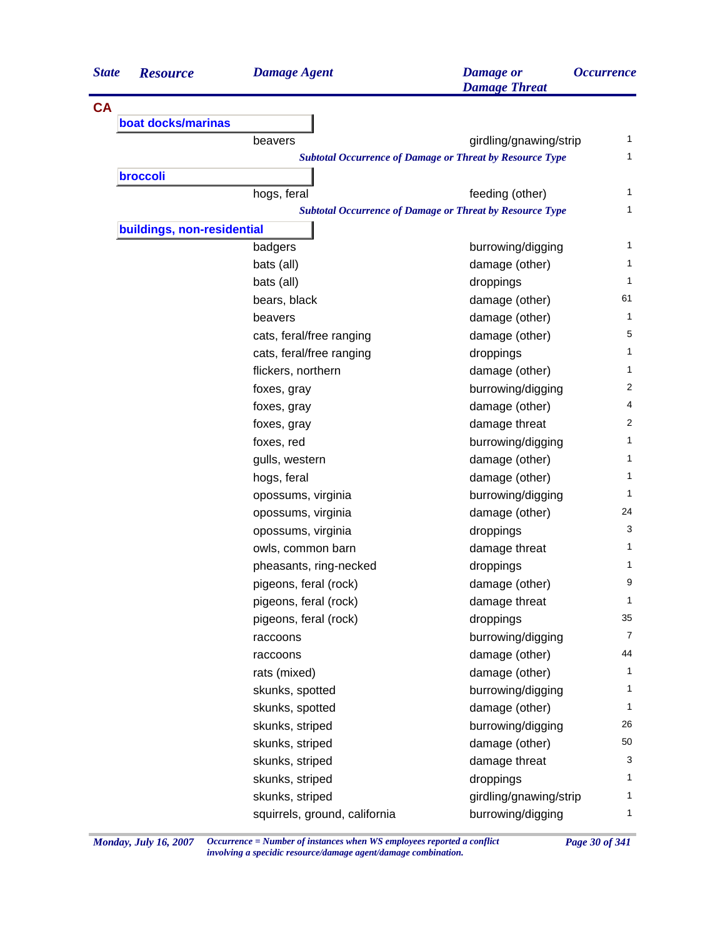| <b>State</b> | <b>Resource</b>            | <b>Damage Agent</b>           | <b>Damage</b> or<br><b>Damage Threat</b>                        | <i><b>Occurrence</b></i> |
|--------------|----------------------------|-------------------------------|-----------------------------------------------------------------|--------------------------|
| <b>CA</b>    |                            |                               |                                                                 |                          |
|              | boat docks/marinas         |                               |                                                                 |                          |
|              |                            | beavers                       | girdling/gnawing/strip                                          | 1                        |
|              |                            |                               | <b>Subtotal Occurrence of Damage or Threat by Resource Type</b> | 1                        |
|              | broccoli                   |                               |                                                                 |                          |
|              |                            | hogs, feral                   | feeding (other)                                                 | 1                        |
|              |                            |                               | <b>Subtotal Occurrence of Damage or Threat by Resource Type</b> | 1                        |
|              | buildings, non-residential |                               |                                                                 |                          |
|              |                            | badgers                       | burrowing/digging                                               | 1                        |
|              |                            | bats (all)                    | damage (other)                                                  | 1                        |
|              |                            | bats (all)                    | droppings                                                       | 1                        |
|              |                            | bears, black                  | damage (other)                                                  | 61                       |
|              |                            | beavers                       | damage (other)                                                  | 1                        |
|              |                            | cats, feral/free ranging      | damage (other)                                                  | 5                        |
|              |                            | cats, feral/free ranging      | droppings                                                       | 1                        |
|              |                            | flickers, northern            | damage (other)                                                  | 1                        |
|              |                            | foxes, gray                   | burrowing/digging                                               | 2                        |
|              |                            | foxes, gray                   | damage (other)                                                  | 4                        |
|              |                            | foxes, gray                   | damage threat                                                   | 2                        |
|              |                            | foxes, red                    | burrowing/digging                                               | 1                        |
|              |                            | gulls, western                | damage (other)                                                  | 1                        |
|              |                            | hogs, feral                   | damage (other)                                                  | 1                        |
|              |                            | opossums, virginia            | burrowing/digging                                               | 1                        |
|              |                            | opossums, virginia            | damage (other)                                                  | 24                       |
|              |                            | opossums, virginia            | droppings                                                       | 3                        |
|              |                            | owls, common barn             | damage threat                                                   | 1                        |
|              |                            | pheasants, ring-necked        | droppings                                                       | 1                        |
|              |                            | pigeons, feral (rock)         | damage (other)                                                  | 9                        |
|              |                            | pigeons, feral (rock)         | damage threat                                                   | 1                        |
|              |                            | pigeons, feral (rock)         | droppings                                                       | 35                       |
|              |                            | raccoons                      | burrowing/digging                                               | 7                        |
|              |                            | raccoons                      | damage (other)                                                  | 44                       |
|              |                            | rats (mixed)                  | damage (other)                                                  | 1                        |
|              |                            | skunks, spotted               | burrowing/digging                                               | 1                        |
|              |                            | skunks, spotted               | damage (other)                                                  | 1                        |
|              |                            | skunks, striped               | burrowing/digging                                               | 26                       |
|              |                            | skunks, striped               | damage (other)                                                  | 50                       |
|              |                            | skunks, striped               | damage threat                                                   | 3                        |
|              |                            | skunks, striped               | droppings                                                       | 1                        |
|              |                            | skunks, striped               | girdling/gnawing/strip                                          | 1                        |
|              |                            | squirrels, ground, california | burrowing/digging                                               | 1                        |

*Monday, July 16, 2007 Occurrence = Number of instances when WS employees reported a conflict Page 30 of 341 involving a specidic resource/damage agent/damage combination.*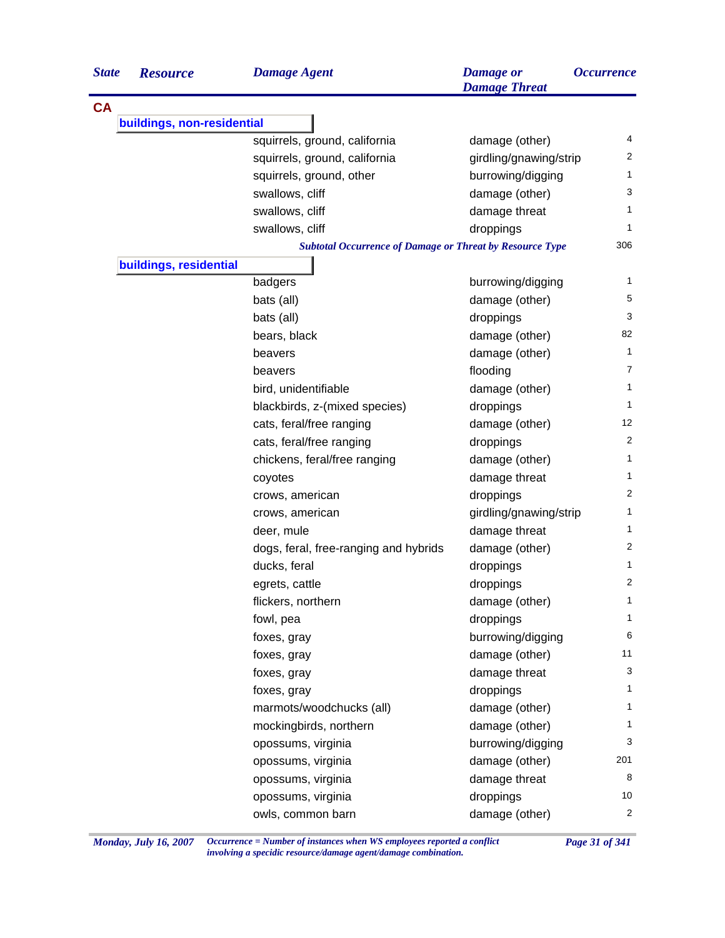| <b>State</b> | <b>Resource</b>            | <b>Damage Agent</b>                                             | <b>Damage</b> or<br><b>Damage Threat</b> | <i><b>Occurrence</b></i> |
|--------------|----------------------------|-----------------------------------------------------------------|------------------------------------------|--------------------------|
| <b>CA</b>    |                            |                                                                 |                                          |                          |
|              | buildings, non-residential |                                                                 |                                          |                          |
|              |                            | squirrels, ground, california                                   | damage (other)                           | 4                        |
|              |                            | squirrels, ground, california                                   | girdling/gnawing/strip                   | 2                        |
|              |                            | squirrels, ground, other                                        | burrowing/digging                        | $\mathbf{1}$             |
|              |                            | swallows, cliff                                                 | damage (other)                           | 3                        |
|              |                            | swallows, cliff                                                 | damage threat                            | 1                        |
|              |                            | swallows, cliff                                                 | droppings                                | 1                        |
|              |                            | <b>Subtotal Occurrence of Damage or Threat by Resource Type</b> |                                          | 306                      |
|              | buildings, residential     |                                                                 |                                          |                          |
|              |                            | badgers                                                         | burrowing/digging                        | 1                        |
|              |                            | bats (all)                                                      | damage (other)                           | 5                        |
|              |                            | bats (all)                                                      | droppings                                | 3                        |
|              |                            | bears, black                                                    | damage (other)                           | 82                       |
|              |                            | beavers                                                         | damage (other)                           | $\mathbf{1}$             |
|              |                            | beavers                                                         | flooding                                 | 7                        |
|              |                            | bird, unidentifiable                                            | damage (other)                           | 1                        |
|              |                            | blackbirds, z-(mixed species)                                   | droppings                                | 1                        |
|              |                            | cats, feral/free ranging                                        | damage (other)                           | 12                       |
|              |                            | cats, feral/free ranging                                        | droppings                                | 2                        |
|              |                            | chickens, feral/free ranging                                    | damage (other)                           | 1                        |
|              |                            | coyotes                                                         | damage threat                            | 1                        |
|              |                            | crows, american                                                 | droppings                                | 2                        |
|              |                            | crows, american                                                 | girdling/gnawing/strip                   | 1                        |
|              |                            | deer, mule                                                      | damage threat                            | 1                        |
|              |                            | dogs, feral, free-ranging and hybrids                           | damage (other)                           | 2                        |
|              |                            | ducks, feral                                                    | droppings                                | 1                        |
|              |                            | egrets, cattle                                                  | droppings                                | 2                        |
|              |                            | flickers, northern                                              | damage (other)                           | $\mathbf{1}$             |
|              |                            | fowl, pea                                                       | droppings                                | 1                        |
|              |                            | foxes, gray                                                     | burrowing/digging                        | 6                        |
|              |                            | foxes, gray                                                     | damage (other)                           | 11                       |
|              |                            | foxes, gray                                                     | damage threat                            | 3                        |
|              |                            | foxes, gray                                                     | droppings                                | 1                        |
|              |                            | marmots/woodchucks (all)                                        | damage (other)                           | 1                        |
|              |                            | mockingbirds, northern                                          | damage (other)                           | 1                        |
|              |                            | opossums, virginia                                              | burrowing/digging                        | 3                        |
|              |                            | opossums, virginia                                              | damage (other)                           | 201                      |
|              |                            | opossums, virginia                                              | damage threat                            | 8                        |
|              |                            | opossums, virginia                                              | droppings                                | 10                       |
|              |                            | owls, common barn                                               | damage (other)                           | $\overline{2}$           |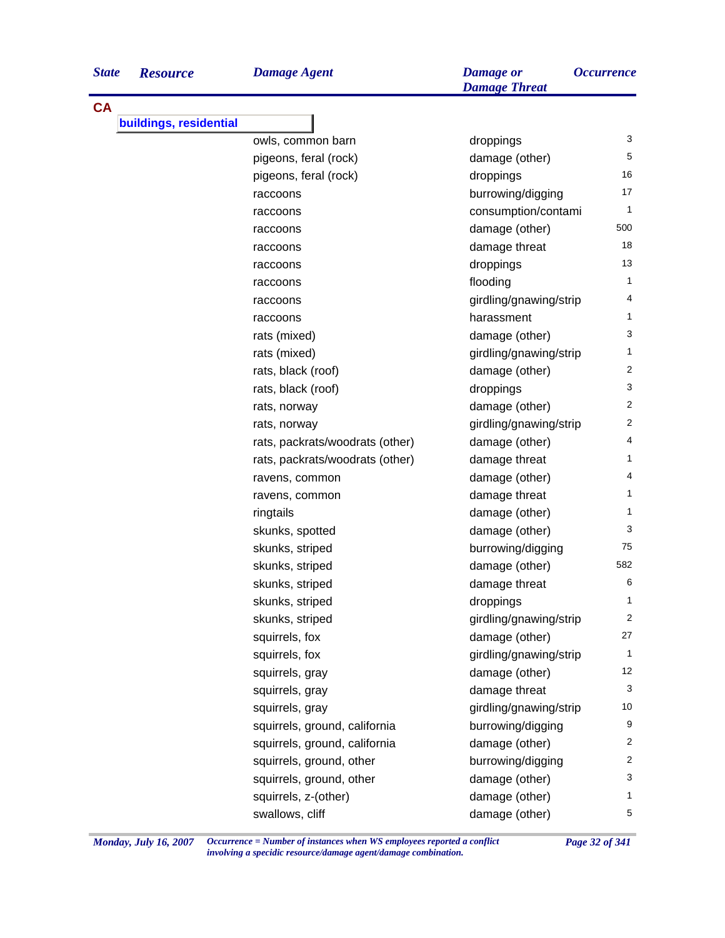| <b>State</b> | <b>Resource</b>        | <b>Damage Agent</b>             | <b>Damage</b> or<br><b>Damage Threat</b> | <i><b>Occurrence</b></i> |
|--------------|------------------------|---------------------------------|------------------------------------------|--------------------------|
| <b>CA</b>    |                        |                                 |                                          |                          |
|              | buildings, residential |                                 |                                          |                          |
|              |                        | owls, common barn               | droppings                                | 3                        |
|              |                        | pigeons, feral (rock)           | damage (other)                           | 5                        |
|              |                        | pigeons, feral (rock)           | droppings                                | 16                       |
|              |                        | raccoons                        | burrowing/digging                        | 17                       |
|              |                        | raccoons                        | consumption/contami                      | 1                        |
|              |                        | raccoons                        | damage (other)                           | 500                      |
|              |                        | raccoons                        | damage threat                            | 18                       |
|              |                        | raccoons                        | droppings                                | 13                       |
|              |                        | raccoons                        | flooding                                 | 1                        |
|              |                        | raccoons                        | girdling/gnawing/strip                   | 4                        |
|              |                        | raccoons                        | harassment                               | 1                        |
|              |                        | rats (mixed)                    | damage (other)                           | 3                        |
|              |                        | rats (mixed)                    | girdling/gnawing/strip                   | 1                        |
|              |                        | rats, black (roof)              | damage (other)                           | $\overline{2}$           |
|              |                        | rats, black (roof)              | droppings                                | 3                        |
|              |                        | rats, norway                    | damage (other)                           | 2                        |
|              |                        | rats, norway                    | girdling/gnawing/strip                   | $\overline{2}$           |
|              |                        | rats, packrats/woodrats (other) | damage (other)                           | 4                        |
|              |                        | rats, packrats/woodrats (other) | damage threat                            | 1                        |
|              |                        | ravens, common                  | damage (other)                           | 4                        |
|              |                        | ravens, common                  | damage threat                            | 1                        |
|              |                        | ringtails                       | damage (other)                           | 1                        |
|              |                        | skunks, spotted                 | damage (other)                           | 3                        |
|              |                        | skunks, striped                 | burrowing/digging                        | 75                       |
|              |                        | skunks, striped                 | damage (other)                           | 582                      |
|              |                        | skunks, striped                 | damage threat                            | 6                        |
|              |                        | skunks, striped                 | droppings                                | 1                        |
|              |                        | skunks, striped                 | girdling/gnawing/strip                   | 2                        |
|              |                        | squirrels, fox                  | damage (other)                           | 27                       |
|              |                        | squirrels, fox                  | girdling/gnawing/strip                   | 1                        |
|              |                        | squirrels, gray                 | damage (other)                           | 12                       |
|              |                        | squirrels, gray                 | damage threat                            | 3                        |
|              |                        | squirrels, gray                 | girdling/gnawing/strip                   | 10                       |
|              |                        | squirrels, ground, california   | burrowing/digging                        | 9                        |
|              |                        | squirrels, ground, california   | damage (other)                           | $\overline{c}$           |
|              |                        | squirrels, ground, other        | burrowing/digging                        | $\overline{2}$           |
|              |                        | squirrels, ground, other        | damage (other)                           | 3                        |
|              |                        | squirrels, z-(other)            | damage (other)                           | 1                        |
|              |                        | swallows, cliff                 | damage (other)                           | 5                        |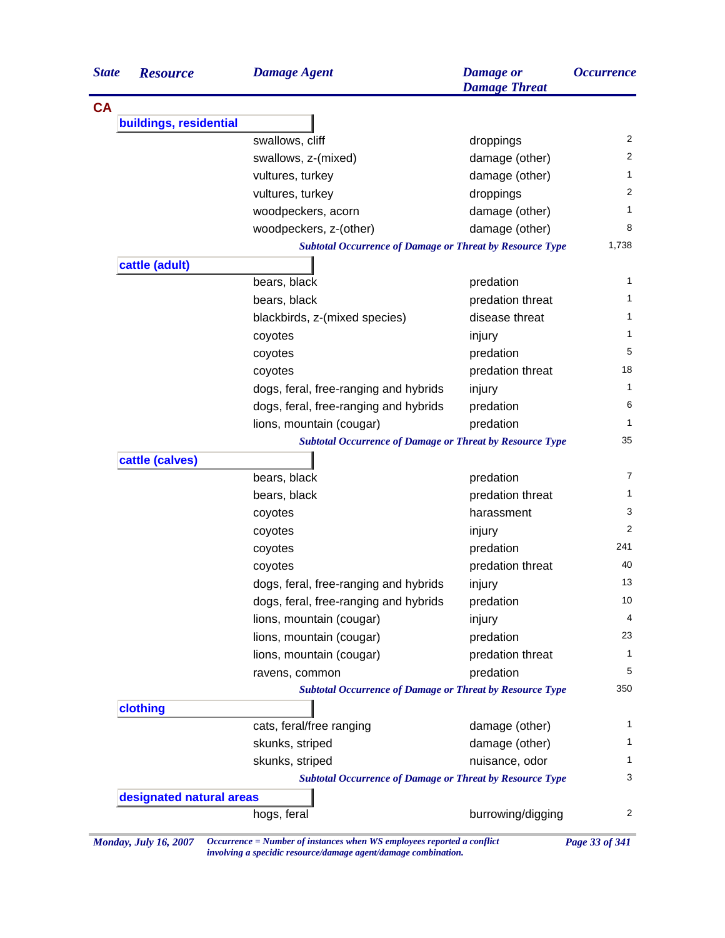| <b>State</b> | <b>Resource</b>          | <b>Damage Agent</b>                                             | <b>Damage</b> or<br><b>Damage Threat</b> | <i><b>Occurrence</b></i> |
|--------------|--------------------------|-----------------------------------------------------------------|------------------------------------------|--------------------------|
| <b>CA</b>    |                          |                                                                 |                                          |                          |
|              | buildings, residential   |                                                                 |                                          |                          |
|              |                          | swallows, cliff                                                 | droppings                                | 2                        |
|              |                          | swallows, z-(mixed)                                             | damage (other)                           | $\overline{2}$           |
|              |                          | vultures, turkey                                                | damage (other)                           | $\mathbf{1}$             |
|              |                          | vultures, turkey                                                | droppings                                | 2                        |
|              |                          | woodpeckers, acorn                                              | damage (other)                           | $\mathbf{1}$             |
|              |                          | woodpeckers, z-(other)                                          | damage (other)                           | 8                        |
|              |                          | <b>Subtotal Occurrence of Damage or Threat by Resource Type</b> |                                          | 1,738                    |
|              | cattle (adult)           |                                                                 |                                          |                          |
|              |                          | bears, black                                                    | predation                                | $\mathbf{1}$             |
|              |                          | bears, black                                                    | predation threat                         | 1                        |
|              |                          | blackbirds, z-(mixed species)                                   | disease threat                           | $\mathbf{1}$             |
|              |                          | coyotes                                                         | injury                                   | $\mathbf{1}$             |
|              |                          | coyotes                                                         | predation                                | 5                        |
|              |                          | coyotes                                                         | predation threat                         | 18                       |
|              |                          | dogs, feral, free-ranging and hybrids                           | injury                                   | $\mathbf{1}$             |
|              |                          | dogs, feral, free-ranging and hybrids                           | predation                                | 6                        |
|              |                          | lions, mountain (cougar)                                        | predation                                | $\mathbf{1}$             |
|              |                          | <b>Subtotal Occurrence of Damage or Threat by Resource Type</b> |                                          | 35                       |
|              | cattle (calves)          |                                                                 |                                          |                          |
|              |                          | bears, black                                                    | predation                                | 7                        |
|              |                          | bears, black                                                    | predation threat                         | $\mathbf{1}$             |
|              |                          | coyotes                                                         | harassment                               | 3                        |
|              |                          | coyotes                                                         | injury                                   | 2                        |
|              |                          | coyotes                                                         | predation                                | 241                      |
|              |                          | coyotes                                                         | predation threat                         | 40                       |
|              |                          | dogs, feral, free-ranging and hybrids                           | injury                                   | 13                       |
|              |                          | dogs, feral, free-ranging and hybrids                           | predation                                | 10                       |
|              |                          | lions, mountain (cougar)                                        | injury                                   | 4                        |
|              |                          | lions, mountain (cougar)                                        | predation                                | 23                       |
|              |                          | lions, mountain (cougar)                                        | predation threat                         | $\mathbf{1}$             |
|              |                          | ravens, common                                                  | predation                                | 5                        |
|              |                          | <b>Subtotal Occurrence of Damage or Threat by Resource Type</b> |                                          | 350                      |
|              | clothing                 |                                                                 |                                          |                          |
|              |                          | cats, feral/free ranging                                        | damage (other)                           | 1                        |
|              |                          | skunks, striped                                                 | damage (other)                           | $\mathbf{1}$             |
|              |                          | skunks, striped                                                 | nuisance, odor                           | 1                        |
|              |                          | <b>Subtotal Occurrence of Damage or Threat by Resource Type</b> |                                          | 3                        |
|              | designated natural areas |                                                                 |                                          |                          |
|              |                          | hogs, feral                                                     | burrowing/digging                        | 2                        |
|              |                          |                                                                 |                                          |                          |

*Monday, July 16, 2007 Occurrence = Number of instances when WS employees reported a conflict Page 33 of 341 involving a specidic resource/damage agent/damage combination.*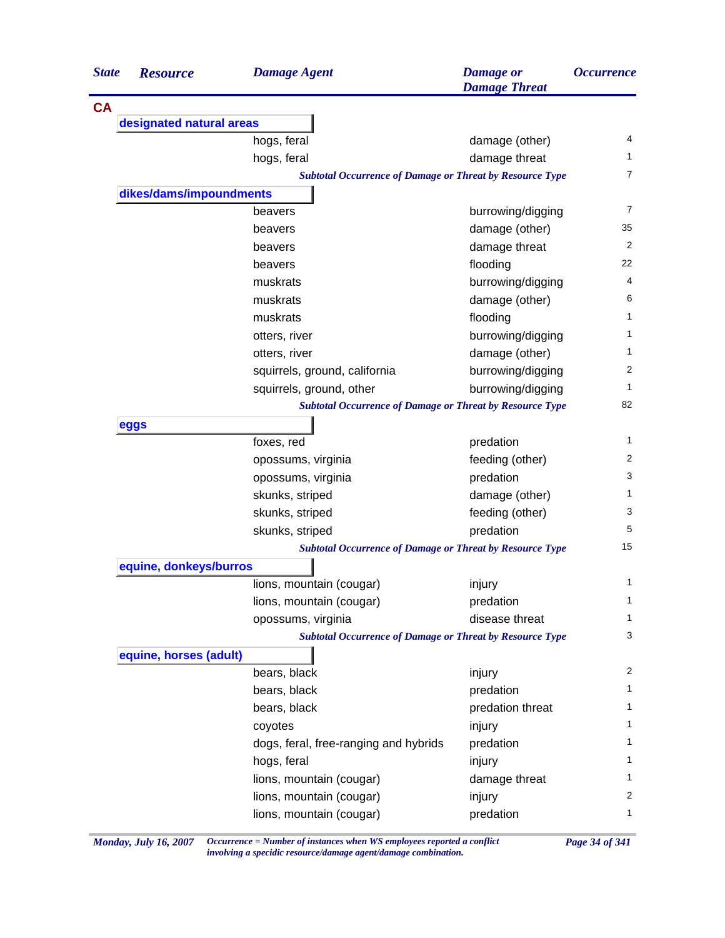| <b>State</b> | <b>Resource</b>          | <b>Damage Agent</b>                                             | <b>Damage</b> or<br><b>Damage Threat</b> | <i><b>Occurrence</b></i> |
|--------------|--------------------------|-----------------------------------------------------------------|------------------------------------------|--------------------------|
| <b>CA</b>    |                          |                                                                 |                                          |                          |
|              | designated natural areas |                                                                 |                                          |                          |
|              |                          | hogs, feral                                                     | damage (other)                           | 4                        |
|              |                          | hogs, feral                                                     | damage threat                            | 1.                       |
|              |                          | <b>Subtotal Occurrence of Damage or Threat by Resource Type</b> |                                          | 7                        |
|              | dikes/dams/impoundments  |                                                                 |                                          |                          |
|              |                          | beavers                                                         | burrowing/digging                        | 7                        |
|              |                          | beavers                                                         | damage (other)                           | 35                       |
|              |                          | beavers                                                         | damage threat                            | 2                        |
|              |                          | beavers                                                         | flooding                                 | 22                       |
|              |                          | muskrats                                                        | burrowing/digging                        | 4                        |
|              |                          | muskrats                                                        | damage (other)                           | 6                        |
|              |                          | muskrats                                                        | flooding                                 | 1                        |
|              |                          | otters, river                                                   | burrowing/digging                        | 1                        |
|              |                          | otters, river                                                   | damage (other)                           | 1                        |
|              |                          | squirrels, ground, california                                   | burrowing/digging                        | 2                        |
|              |                          | squirrels, ground, other                                        | burrowing/digging                        | 1                        |
|              |                          | <b>Subtotal Occurrence of Damage or Threat by Resource Type</b> |                                          | 82                       |
|              | eggs                     |                                                                 |                                          |                          |
|              |                          | foxes, red                                                      | predation                                | 1                        |
|              |                          | opossums, virginia                                              | feeding (other)                          | 2                        |
|              |                          | opossums, virginia                                              | predation                                | 3                        |
|              |                          | skunks, striped                                                 | damage (other)                           | 1                        |
|              |                          | skunks, striped                                                 | feeding (other)                          | 3                        |
|              |                          | skunks, striped                                                 | predation                                | 5                        |
|              |                          | <b>Subtotal Occurrence of Damage or Threat by Resource Type</b> |                                          | 15                       |
|              | equine, donkeys/burros   |                                                                 |                                          |                          |
|              |                          | lions, mountain (cougar)                                        | injury                                   | 1                        |
|              |                          | lions, mountain (cougar)                                        | predation                                | $\mathbf{1}$             |
|              |                          | opossums, virginia                                              | disease threat                           | 1                        |
|              |                          | <b>Subtotal Occurrence of Damage or Threat by Resource Type</b> |                                          | 3                        |
|              | equine, horses (adult)   |                                                                 |                                          |                          |
|              |                          | bears, black                                                    | injury                                   | 2                        |
|              |                          | bears, black                                                    | predation                                | 1                        |
|              |                          | bears, black                                                    | predation threat                         | $\mathbf{1}$             |
|              |                          | coyotes                                                         | injury                                   | $\mathbf{1}$             |
|              |                          | dogs, feral, free-ranging and hybrids                           | predation                                | $\mathbf{1}$             |
|              |                          | hogs, feral                                                     | injury                                   | 1                        |
|              |                          | lions, mountain (cougar)                                        | damage threat                            | $\mathbf{1}$             |
|              |                          | lions, mountain (cougar)                                        | injury                                   | 2                        |
|              |                          | lions, mountain (cougar)                                        | predation                                | $\mathbf{1}$             |
|              |                          |                                                                 |                                          |                          |

*Monday, July 16, 2007 Occurrence = Number of instances when WS employees reported a conflict Page 34 of 341 involving a specidic resource/damage agent/damage combination.*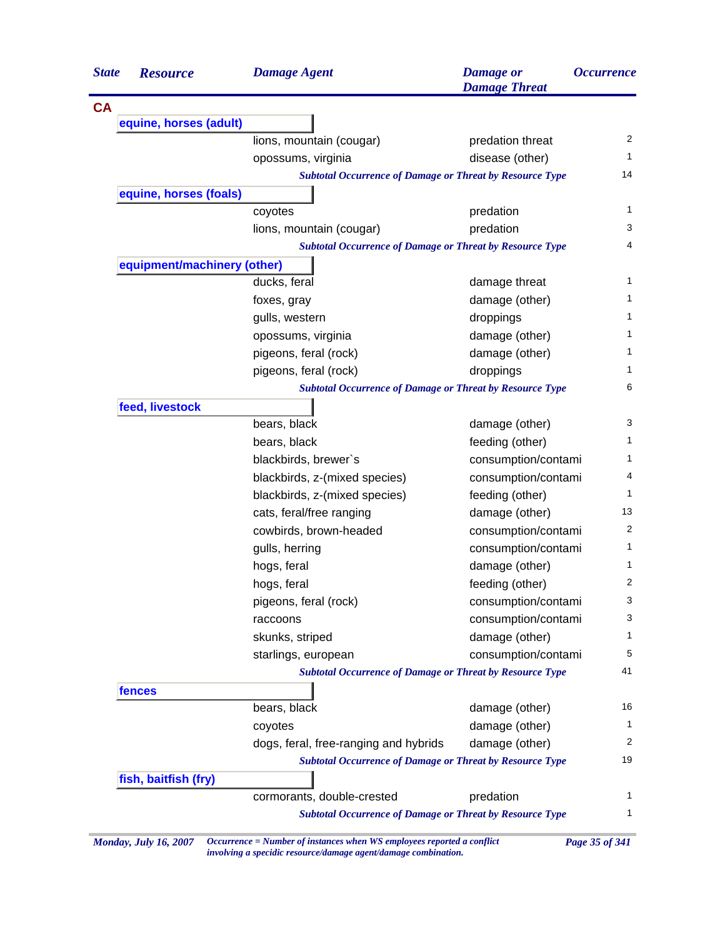| <b>State</b> | <b>Resource</b>             | <b>Damage Agent</b>                                             | <b>Damage</b> or<br><b>Damage Threat</b> | <i><b>Occurrence</b></i> |
|--------------|-----------------------------|-----------------------------------------------------------------|------------------------------------------|--------------------------|
| <b>CA</b>    |                             |                                                                 |                                          |                          |
|              | equine, horses (adult)      |                                                                 |                                          |                          |
|              |                             | lions, mountain (cougar)                                        | predation threat                         | 2                        |
|              |                             | opossums, virginia                                              | disease (other)                          | 1                        |
|              |                             | <b>Subtotal Occurrence of Damage or Threat by Resource Type</b> |                                          | 14                       |
|              | equine, horses (foals)      |                                                                 |                                          |                          |
|              |                             | coyotes                                                         | predation                                | 1                        |
|              |                             | lions, mountain (cougar)                                        | predation                                | 3                        |
|              |                             | <b>Subtotal Occurrence of Damage or Threat by Resource Type</b> |                                          | 4                        |
|              | equipment/machinery (other) |                                                                 |                                          |                          |
|              |                             | ducks, feral                                                    | damage threat                            | 1                        |
|              |                             | foxes, gray                                                     | damage (other)                           | 1                        |
|              |                             | gulls, western                                                  | droppings                                | 1                        |
|              |                             | opossums, virginia                                              | damage (other)                           | 1                        |
|              |                             | pigeons, feral (rock)                                           | damage (other)                           | 1                        |
|              |                             | pigeons, feral (rock)                                           | droppings                                | 1                        |
|              |                             | <b>Subtotal Occurrence of Damage or Threat by Resource Type</b> |                                          | 6                        |
|              | feed, livestock             |                                                                 |                                          |                          |
|              |                             | bears, black                                                    | damage (other)                           | 3                        |
|              |                             | bears, black                                                    | feeding (other)                          | 1                        |
|              |                             | blackbirds, brewer's                                            | consumption/contami                      | $\mathbf{1}$             |
|              |                             | blackbirds, z-(mixed species)                                   | consumption/contami                      | 4                        |
|              |                             | blackbirds, z-(mixed species)                                   | feeding (other)                          | 1                        |
|              |                             | cats, feral/free ranging                                        | damage (other)                           | 13                       |
|              |                             | cowbirds, brown-headed                                          | consumption/contami                      | 2                        |
|              |                             | gulls, herring                                                  | consumption/contami                      | $\mathbf{1}$             |
|              |                             | hogs, feral                                                     | damage (other)                           | $\mathbf{1}$             |
|              |                             | hogs, feral                                                     | feeding (other)                          | 2                        |
|              |                             | pigeons, feral (rock)                                           | consumption/contami                      | 3                        |
|              |                             | raccoons                                                        | consumption/contami                      | 3                        |
|              |                             | skunks, striped                                                 | damage (other)                           | 1                        |
|              |                             | starlings, european                                             | consumption/contami                      | 5                        |
|              |                             | <b>Subtotal Occurrence of Damage or Threat by Resource Type</b> |                                          | 41                       |
|              | fences                      |                                                                 |                                          |                          |
|              |                             | bears, black                                                    | damage (other)                           | 16                       |
|              |                             | coyotes                                                         | damage (other)                           | 1                        |
|              |                             | dogs, feral, free-ranging and hybrids                           | damage (other)                           | 2                        |
|              |                             | <b>Subtotal Occurrence of Damage or Threat by Resource Type</b> |                                          | 19                       |
|              | fish, baitfish (fry)        |                                                                 |                                          |                          |
|              |                             | cormorants, double-crested                                      | predation                                | 1                        |
|              |                             | <b>Subtotal Occurrence of Damage or Threat by Resource Type</b> |                                          | 1                        |

*Monday, July 16, 2007 Occurrence = Number of instances when WS employees reported a conflict Page 35 of 341 involving a specidic resource/damage agent/damage combination.*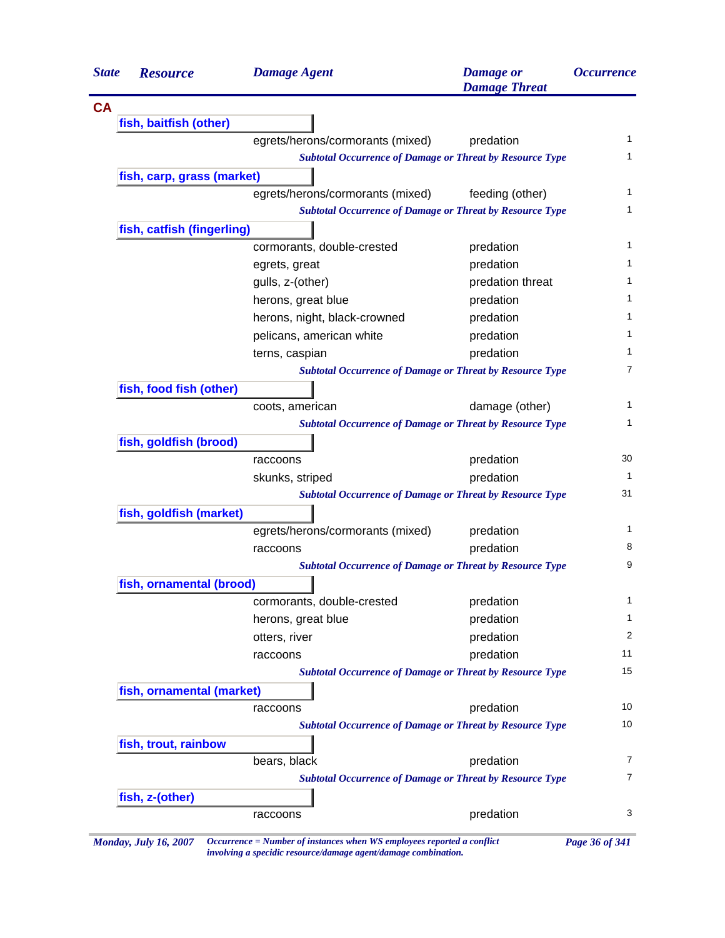| <b>State</b> | <b>Resource</b>            | <b>Damage Agent</b>                                             | <b>Damage</b> or<br><b>Damage Threat</b> | <i><b>Occurrence</b></i> |
|--------------|----------------------------|-----------------------------------------------------------------|------------------------------------------|--------------------------|
| <b>CA</b>    |                            |                                                                 |                                          |                          |
|              | fish, baitfish (other)     |                                                                 |                                          |                          |
|              |                            | egrets/herons/cormorants (mixed)                                | predation                                |                          |
|              |                            | <b>Subtotal Occurrence of Damage or Threat by Resource Type</b> |                                          |                          |
|              | fish, carp, grass (market) |                                                                 |                                          |                          |
|              |                            | egrets/herons/cormorants (mixed)                                | feeding (other)                          |                          |
|              |                            | <b>Subtotal Occurrence of Damage or Threat by Resource Type</b> |                                          |                          |
|              | fish, catfish (fingerling) |                                                                 |                                          |                          |
|              |                            | cormorants, double-crested                                      | predation                                |                          |
|              |                            | egrets, great                                                   | predation                                |                          |
|              |                            | gulls, z-(other)                                                | predation threat                         |                          |
|              |                            | herons, great blue                                              | predation                                |                          |
|              |                            | herons, night, black-crowned                                    | predation                                |                          |
|              |                            | pelicans, american white                                        | predation                                |                          |
|              |                            | terns, caspian                                                  | predation                                |                          |
|              |                            | <b>Subtotal Occurrence of Damage or Threat by Resource Type</b> |                                          |                          |
|              | fish, food fish (other)    |                                                                 |                                          |                          |
|              |                            | coots, american                                                 | damage (other)                           |                          |
|              |                            | <b>Subtotal Occurrence of Damage or Threat by Resource Type</b> |                                          |                          |
|              | fish, goldfish (brood)     |                                                                 |                                          |                          |
|              |                            | raccoons                                                        | predation                                |                          |
|              |                            | skunks, striped                                                 | predation                                |                          |
|              |                            | <b>Subtotal Occurrence of Damage or Threat by Resource Type</b> |                                          |                          |
|              | fish, goldfish (market)    |                                                                 |                                          |                          |
|              |                            | egrets/herons/cormorants (mixed)                                | predation                                |                          |
|              |                            | raccoons                                                        | predation                                |                          |
|              |                            | <b>Subtotal Occurrence of Damage or Threat by Resource Type</b> |                                          |                          |
|              | fish, ornamental (brood)   |                                                                 |                                          |                          |
|              |                            | cormorants, double-crested                                      | predation                                |                          |
|              |                            | herons, great blue                                              | predation                                |                          |
|              |                            | otters, river                                                   | predation                                |                          |
|              |                            | raccoons                                                        | predation                                |                          |
|              |                            | <b>Subtotal Occurrence of Damage or Threat by Resource Type</b> |                                          |                          |
|              | fish, ornamental (market)  |                                                                 |                                          |                          |
|              |                            | raccoons                                                        | predation                                |                          |
|              |                            | <b>Subtotal Occurrence of Damage or Threat by Resource Type</b> |                                          |                          |
|              | fish, trout, rainbow       |                                                                 |                                          |                          |
|              |                            | bears, black                                                    | predation                                |                          |
|              |                            | <b>Subtotal Occurrence of Damage or Threat by Resource Type</b> |                                          |                          |
|              | fish, z-(other)            |                                                                 |                                          |                          |
|              |                            | raccoons                                                        | predation                                |                          |

*involving a specidic resource/damage agent/damage combination.*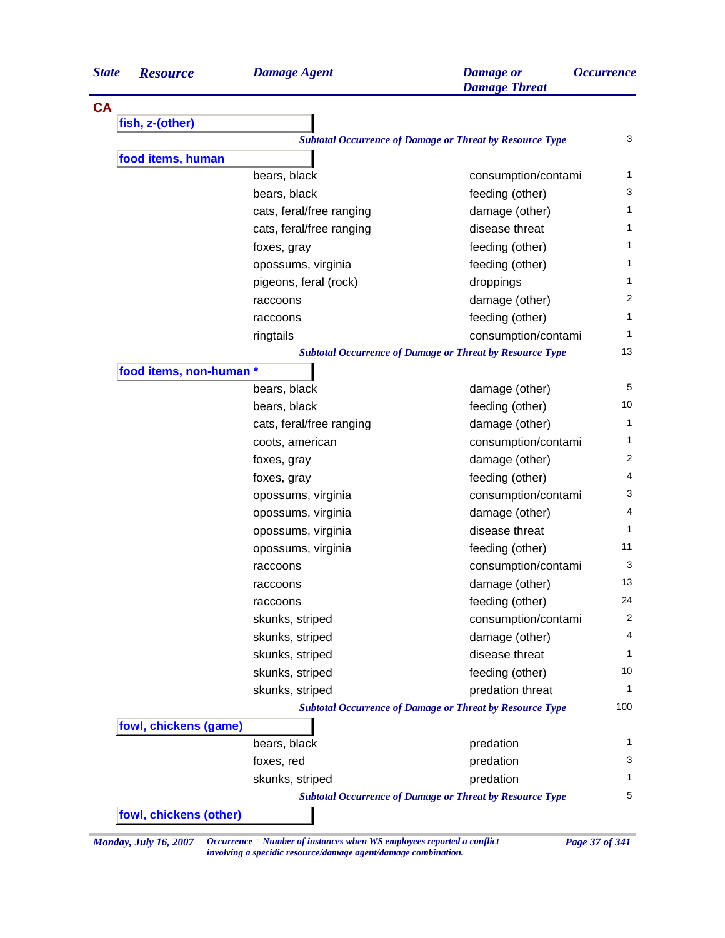| <b>State</b> | <b>Resource</b>         | <b>Damage Agent</b>      | <b>Damage</b> or<br><b>Damage Threat</b>                        | <i><b>Occurrence</b></i> |
|--------------|-------------------------|--------------------------|-----------------------------------------------------------------|--------------------------|
| <b>CA</b>    |                         |                          |                                                                 |                          |
|              | fish, z-(other)         |                          |                                                                 |                          |
|              |                         |                          | <b>Subtotal Occurrence of Damage or Threat by Resource Type</b> | 3                        |
|              | food items, human       |                          |                                                                 |                          |
|              |                         | bears, black             | consumption/contami                                             | 1                        |
|              |                         | bears, black             | feeding (other)                                                 | 3                        |
|              |                         | cats, feral/free ranging | damage (other)                                                  | 1                        |
|              |                         | cats, feral/free ranging | disease threat                                                  | 1                        |
|              |                         | foxes, gray              | feeding (other)                                                 | 1                        |
|              |                         | opossums, virginia       | feeding (other)                                                 | 1                        |
|              |                         | pigeons, feral (rock)    | droppings                                                       | 1                        |
|              |                         | raccoons                 | damage (other)                                                  | $\overline{2}$           |
|              |                         | raccoons                 | feeding (other)                                                 | 1                        |
|              |                         | ringtails                | consumption/contami                                             | 1                        |
|              |                         |                          | <b>Subtotal Occurrence of Damage or Threat by Resource Type</b> | 13                       |
|              | food items, non-human * |                          |                                                                 |                          |
|              |                         | bears, black             | damage (other)                                                  | 5                        |
|              |                         | bears, black             | feeding (other)                                                 | 10                       |
|              |                         | cats, feral/free ranging | damage (other)                                                  | 1                        |
|              |                         | coots, american          | consumption/contami                                             | 1                        |
|              |                         | foxes, gray              | damage (other)                                                  | $\overline{2}$           |
|              |                         | foxes, gray              | feeding (other)                                                 | 4                        |
|              |                         | opossums, virginia       | consumption/contami                                             | 3                        |
|              |                         | opossums, virginia       | damage (other)                                                  | 4                        |
|              |                         | opossums, virginia       | disease threat                                                  | $\mathbf{1}$             |
|              |                         | opossums, virginia       | feeding (other)                                                 | 11                       |
|              |                         | raccoons                 | consumption/contami                                             | 3                        |
|              |                         | raccoons                 | damage (other)                                                  | 13                       |
|              |                         | raccoons                 | feeding (other)                                                 | 24                       |
|              |                         | skunks, striped          | consumption/contami                                             | 2                        |
|              |                         | skunks, striped          | damage (other)                                                  | 4                        |
|              |                         | skunks, striped          | disease threat                                                  | 1                        |
|              |                         | skunks, striped          | feeding (other)                                                 | 10                       |
|              |                         | skunks, striped          | predation threat                                                | 1                        |
|              |                         |                          | <b>Subtotal Occurrence of Damage or Threat by Resource Type</b> | 100                      |
|              | fowl, chickens (game)   |                          |                                                                 |                          |
|              |                         | bears, black             | predation                                                       | 1                        |
|              |                         | foxes, red               | predation                                                       | 3                        |
|              |                         | skunks, striped          | predation                                                       | 1                        |
|              |                         |                          | <b>Subtotal Occurrence of Damage or Threat by Resource Type</b> | 5                        |
|              | fowl, chickens (other)  |                          |                                                                 |                          |
|              |                         |                          |                                                                 |                          |

*Monday, July 16, 2007 Occurrence = Number of instances when WS employees reported a conflict Page 37 of 341 involving a specidic resource/damage agent/damage combination.*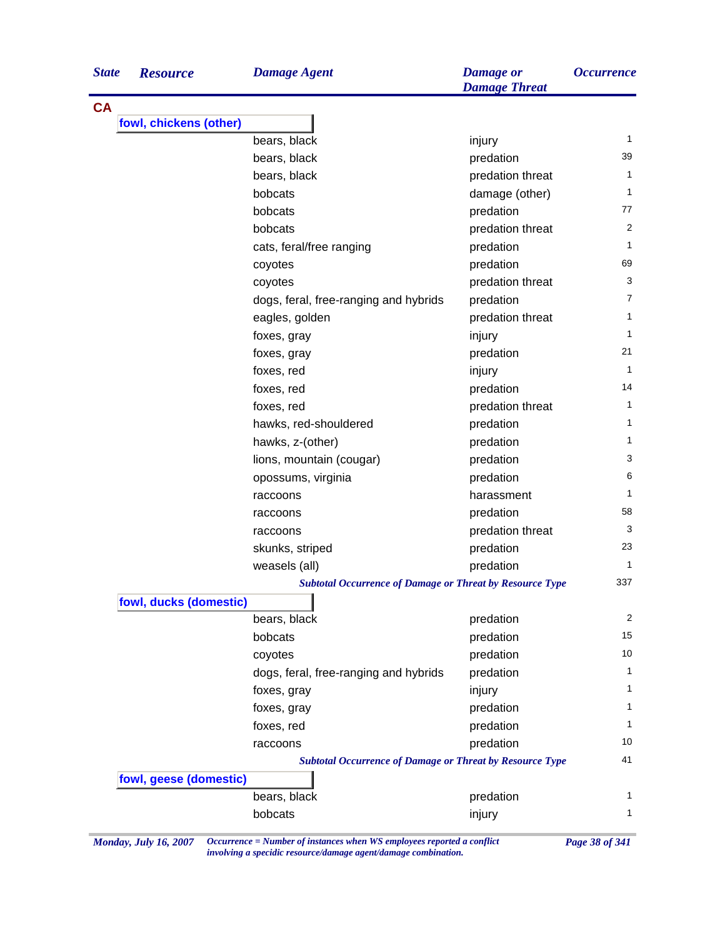| <b>State</b> | <b>Resource</b>        | <b>Damage Agent</b>                                             | <b>Damage</b> or<br><b>Damage Threat</b> | <i><b>Occurrence</b></i> |
|--------------|------------------------|-----------------------------------------------------------------|------------------------------------------|--------------------------|
| <b>CA</b>    |                        |                                                                 |                                          |                          |
|              | fowl, chickens (other) |                                                                 |                                          |                          |
|              |                        | bears, black                                                    | injury                                   | 1                        |
|              |                        | bears, black                                                    | predation                                | 39                       |
|              |                        | bears, black                                                    | predation threat                         | 1                        |
|              |                        | bobcats                                                         | damage (other)                           | 1                        |
|              |                        | bobcats                                                         | predation                                | 77                       |
|              |                        | bobcats                                                         | predation threat                         | 2                        |
|              |                        | cats, feral/free ranging                                        | predation                                | 1                        |
|              |                        | coyotes                                                         | predation                                | 69                       |
|              |                        | coyotes                                                         | predation threat                         | 3                        |
|              |                        | dogs, feral, free-ranging and hybrids                           | predation                                | 7                        |
|              |                        | eagles, golden                                                  | predation threat                         | 1                        |
|              |                        | foxes, gray                                                     | injury                                   | 1                        |
|              |                        | foxes, gray                                                     | predation                                | 21                       |
|              |                        | foxes, red                                                      | injury                                   | 1                        |
|              |                        | foxes, red                                                      | predation                                | 14                       |
|              |                        | foxes, red                                                      | predation threat                         | 1                        |
|              |                        | hawks, red-shouldered                                           | predation                                | 1                        |
|              |                        | hawks, z-(other)                                                | predation                                | 1                        |
|              |                        | lions, mountain (cougar)                                        | predation                                | 3                        |
|              |                        | opossums, virginia                                              | predation                                | 6                        |
|              |                        | raccoons                                                        | harassment                               | 1                        |
|              |                        | raccoons                                                        | predation                                | 58                       |
|              |                        | raccoons                                                        | predation threat                         | 3                        |
|              |                        | skunks, striped                                                 | predation                                | 23                       |
|              |                        | weasels (all)                                                   | predation                                | 1                        |
|              |                        | <b>Subtotal Occurrence of Damage or Threat by Resource Type</b> |                                          | 337                      |
|              | fowl, ducks (domestic) |                                                                 |                                          |                          |
|              |                        | bears, black                                                    | predation                                | 2                        |
|              |                        | bobcats                                                         | predation                                | 15                       |
|              |                        | coyotes                                                         | predation                                | 10                       |
|              |                        | dogs, feral, free-ranging and hybrids                           | predation                                | 1                        |
|              |                        | foxes, gray                                                     | injury                                   | 1                        |
|              |                        | foxes, gray                                                     | predation                                | 1.                       |
|              |                        | foxes, red                                                      | predation                                | 1                        |
|              |                        | raccoons                                                        | predation                                | 10                       |
|              |                        | <b>Subtotal Occurrence of Damage or Threat by Resource Type</b> |                                          | 41                       |
|              | fowl, geese (domestic) |                                                                 |                                          |                          |
|              |                        | bears, black                                                    | predation                                | 1.                       |
|              |                        | bobcats                                                         | injury                                   | 1                        |

*Monday, July 16, 2007 Occurrence = Number of instances when WS employees reported a conflict Page 38 of 341 involving a specidic resource/damage agent/damage combination.*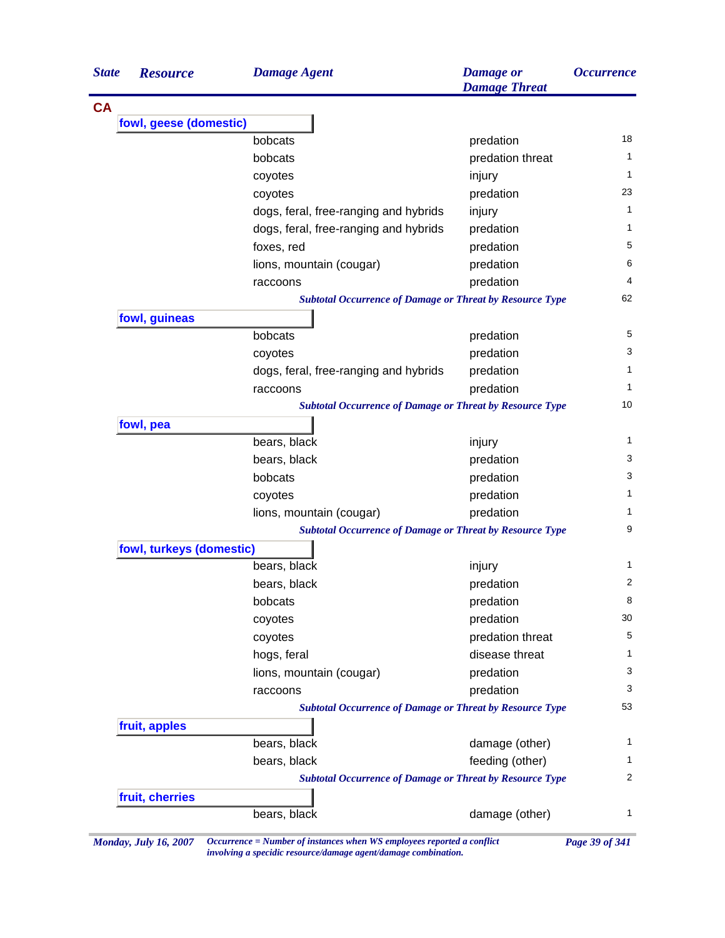| <b>State</b> | <b>Resource</b>          | <b>Damage Agent</b>                                             | <b>Damage</b> or<br><b>Damage Threat</b> | <b>Occurrence</b> |
|--------------|--------------------------|-----------------------------------------------------------------|------------------------------------------|-------------------|
| <b>CA</b>    |                          |                                                                 |                                          |                   |
|              | fowl, geese (domestic)   |                                                                 |                                          |                   |
|              |                          | bobcats                                                         | predation                                | 18                |
|              |                          | bobcats                                                         | predation threat                         | $\mathbf{1}$      |
|              |                          | coyotes                                                         | injury                                   | 1                 |
|              |                          | coyotes                                                         | predation                                | 23                |
|              |                          | dogs, feral, free-ranging and hybrids                           | injury                                   | $\mathbf{1}$      |
|              |                          | dogs, feral, free-ranging and hybrids                           | predation                                | 1                 |
|              |                          | foxes, red                                                      | predation                                | 5                 |
|              |                          | lions, mountain (cougar)                                        | predation                                | 6                 |
|              |                          | raccoons                                                        | predation                                | 4                 |
|              |                          | <b>Subtotal Occurrence of Damage or Threat by Resource Type</b> |                                          | 62                |
|              | fowl, guineas            |                                                                 |                                          |                   |
|              |                          | bobcats                                                         | predation                                | 5                 |
|              |                          | coyotes                                                         | predation                                | 3                 |
|              |                          | dogs, feral, free-ranging and hybrids                           | predation                                | 1                 |
|              |                          | raccoons                                                        | predation                                | 1                 |
|              |                          | <b>Subtotal Occurrence of Damage or Threat by Resource Type</b> |                                          | 10                |
|              | fowl, pea                |                                                                 |                                          |                   |
|              |                          | bears, black                                                    | injury                                   | 1                 |
|              |                          | bears, black                                                    | predation                                | 3                 |
|              |                          | bobcats                                                         | predation                                | 3                 |
|              |                          | coyotes                                                         | predation                                | 1                 |
|              |                          | lions, mountain (cougar)                                        | predation                                | 1                 |
|              |                          | <b>Subtotal Occurrence of Damage or Threat by Resource Type</b> |                                          | 9                 |
|              | fowl, turkeys (domestic) |                                                                 |                                          |                   |
|              |                          | bears, black                                                    | injury                                   | 1                 |
|              |                          | bears, black                                                    | predation                                | 2                 |
|              |                          | bobcats                                                         | predation                                | 8                 |
|              |                          | coyotes                                                         | predation                                | 30                |
|              |                          | coyotes                                                         | predation threat                         | 5                 |
|              |                          | hogs, feral                                                     | disease threat                           | 1                 |
|              |                          | lions, mountain (cougar)                                        | predation                                | 3                 |
|              |                          | raccoons                                                        | predation                                | 3                 |
|              |                          | <b>Subtotal Occurrence of Damage or Threat by Resource Type</b> |                                          | 53                |
|              | fruit, apples            |                                                                 |                                          |                   |
|              |                          | bears, black                                                    | damage (other)                           | 1                 |
|              |                          | bears, black                                                    | feeding (other)                          | 1                 |
|              |                          | <b>Subtotal Occurrence of Damage or Threat by Resource Type</b> |                                          | 2                 |
|              | fruit, cherries          |                                                                 |                                          | $\mathbf{1}$      |
|              |                          | bears, black                                                    | damage (other)                           |                   |

*Monday, July 16, 2007 Occurrence = Number of instances when WS employees reported a conflict Page 39 of 341 involving a specidic resource/damage agent/damage combination.*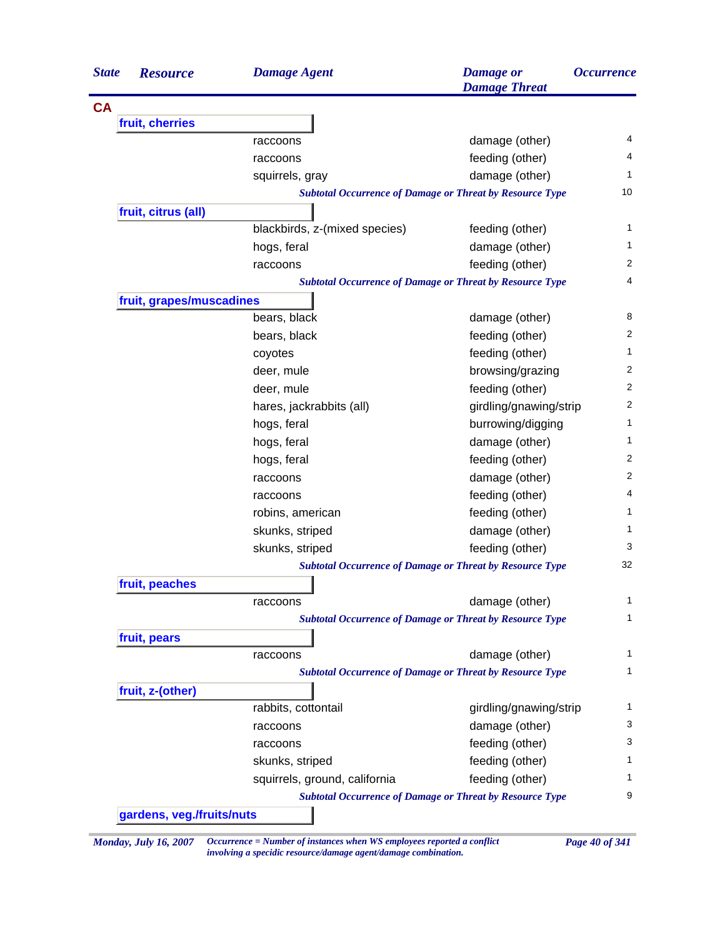| <b>State</b> | <b>Resource</b>           | <b>Damage Agent</b>                                             | <b>Damage</b> or<br><b>Damage Threat</b> | <i><b>Occurrence</b></i> |
|--------------|---------------------------|-----------------------------------------------------------------|------------------------------------------|--------------------------|
| <b>CA</b>    |                           |                                                                 |                                          |                          |
|              | fruit, cherries           |                                                                 |                                          |                          |
|              |                           | raccoons                                                        | damage (other)                           | 4                        |
|              |                           | raccoons                                                        | feeding (other)                          | 4                        |
|              |                           | squirrels, gray                                                 | damage (other)                           | 1                        |
|              |                           | <b>Subtotal Occurrence of Damage or Threat by Resource Type</b> |                                          | 10                       |
|              | fruit, citrus (all)       |                                                                 |                                          |                          |
|              |                           | blackbirds, z-(mixed species)                                   | feeding (other)                          | 1                        |
|              |                           | hogs, feral                                                     | damage (other)                           | 1                        |
|              |                           | raccoons                                                        | feeding (other)                          | 2                        |
|              |                           | <b>Subtotal Occurrence of Damage or Threat by Resource Type</b> |                                          | 4                        |
|              | fruit, grapes/muscadines  |                                                                 |                                          |                          |
|              |                           | bears, black                                                    | damage (other)                           | 8                        |
|              |                           | bears, black                                                    | feeding (other)                          | 2                        |
|              |                           | coyotes                                                         | feeding (other)                          | 1                        |
|              |                           | deer, mule                                                      | browsing/grazing                         | 2                        |
|              |                           | deer, mule                                                      | feeding (other)                          | 2                        |
|              |                           | hares, jackrabbits (all)                                        | girdling/gnawing/strip                   | 2                        |
|              |                           | hogs, feral                                                     | burrowing/digging                        | 1                        |
|              |                           | hogs, feral                                                     | damage (other)                           | 1                        |
|              |                           | hogs, feral                                                     | feeding (other)                          | 2                        |
|              |                           | raccoons                                                        | damage (other)                           | 2                        |
|              |                           | raccoons                                                        | feeding (other)                          | 4                        |
|              |                           | robins, american                                                | feeding (other)                          | 1                        |
|              |                           | skunks, striped                                                 | damage (other)                           | 1                        |
|              |                           | skunks, striped                                                 | feeding (other)                          | 3                        |
|              |                           | <b>Subtotal Occurrence of Damage or Threat by Resource Type</b> |                                          | 32                       |
|              | fruit, peaches            |                                                                 |                                          |                          |
|              |                           | raccoons                                                        | damage (other)                           | 1                        |
|              |                           | <b>Subtotal Occurrence of Damage or Threat by Resource Type</b> |                                          | 1                        |
|              | fruit, pears              |                                                                 |                                          |                          |
|              |                           | raccoons                                                        | damage (other)                           | 1                        |
|              |                           | <b>Subtotal Occurrence of Damage or Threat by Resource Type</b> |                                          | 1                        |
|              | fruit, z-(other)          |                                                                 |                                          |                          |
|              |                           | rabbits, cottontail                                             | girdling/gnawing/strip                   | 1                        |
|              |                           | raccoons                                                        | damage (other)                           | 3                        |
|              |                           | raccoons                                                        | feeding (other)                          | 3                        |
|              |                           | skunks, striped                                                 | feeding (other)                          | 1                        |
|              |                           | squirrels, ground, california                                   | feeding (other)                          | 1                        |
|              |                           | <b>Subtotal Occurrence of Damage or Threat by Resource Type</b> |                                          | 9                        |
|              | gardens, veg./fruits/nuts |                                                                 |                                          |                          |

*Monday, July 16, 2007 Occurrence = Number of instances when WS employees reported a conflict Page 40 of 341 involving a specidic resource/damage agent/damage combination.*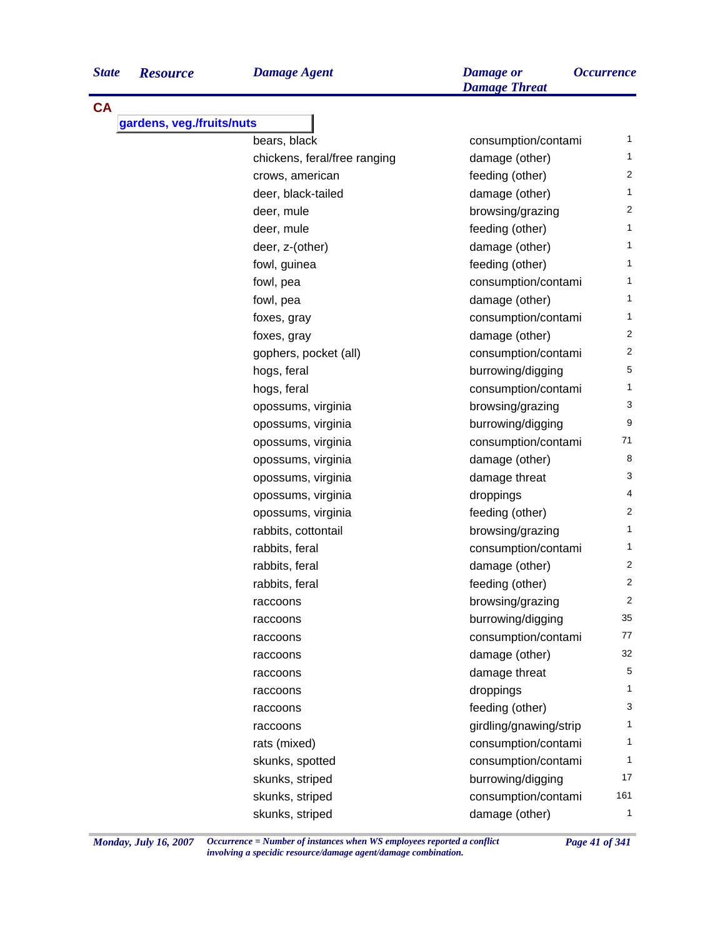*Damage Threat*

| <b>CA</b><br>gardens, veg./fruits/nuts |                              |                        |                |
|----------------------------------------|------------------------------|------------------------|----------------|
|                                        | bears, black                 | consumption/contami    | 1              |
|                                        | chickens, feral/free ranging | damage (other)         | 1              |
|                                        | crows, american              | feeding (other)        | 2              |
|                                        | deer, black-tailed           | damage (other)         | 1              |
|                                        | deer, mule                   | browsing/grazing       | $\overline{2}$ |
|                                        | deer, mule                   | feeding (other)        | 1              |
|                                        | deer, z-(other)              | damage (other)         | 1              |
|                                        | fowl, guinea                 | feeding (other)        | 1              |
|                                        | fowl, pea                    | consumption/contami    | 1              |
|                                        | fowl, pea                    | damage (other)         | 1              |
|                                        | foxes, gray                  | consumption/contami    | 1              |
|                                        | foxes, gray                  | damage (other)         | 2              |
|                                        | gophers, pocket (all)        | consumption/contami    | $\overline{2}$ |
|                                        | hogs, feral                  | burrowing/digging      | 5              |
|                                        | hogs, feral                  | consumption/contami    | 1              |
|                                        | opossums, virginia           | browsing/grazing       | 3              |
|                                        | opossums, virginia           | burrowing/digging      | 9              |
|                                        | opossums, virginia           | consumption/contami    | 71             |
|                                        | opossums, virginia           | damage (other)         | 8              |
|                                        | opossums, virginia           | damage threat          | 3              |
|                                        | opossums, virginia           | droppings              | 4              |
|                                        | opossums, virginia           | feeding (other)        | $\overline{c}$ |
|                                        | rabbits, cottontail          | browsing/grazing       | 1              |
|                                        | rabbits, feral               | consumption/contami    | 1              |
|                                        | rabbits, feral               | damage (other)         | 2              |
|                                        | rabbits, feral               | feeding (other)        | 2              |
|                                        | raccoons                     | browsing/grazing       | 2              |
|                                        | raccoons                     | burrowing/digging      | 35             |
|                                        | raccoons                     | consumption/contami    | 77             |
|                                        | raccoons                     | damage (other)         | 32             |
|                                        | raccoons                     | damage threat          | 5              |
|                                        | raccoons                     | droppings              | 1              |
|                                        | raccoons                     | feeding (other)        | 3              |
|                                        | raccoons                     | girdling/gnawing/strip | 1              |
|                                        | rats (mixed)                 | consumption/contami    | 1              |
|                                        | skunks, spotted              | consumption/contami    | 1              |
|                                        | skunks, striped              | burrowing/digging      | 17             |
|                                        | skunks, striped              | consumption/contami    | 161            |
|                                        | skunks, striped              | damage (other)         | $\mathbf{1}$   |

*Monday, July 16, 2007 Occurrence = Number of instances when WS employees reported a conflict Page 41 of 341 involving a specidic resource/damage agent/damage combination.*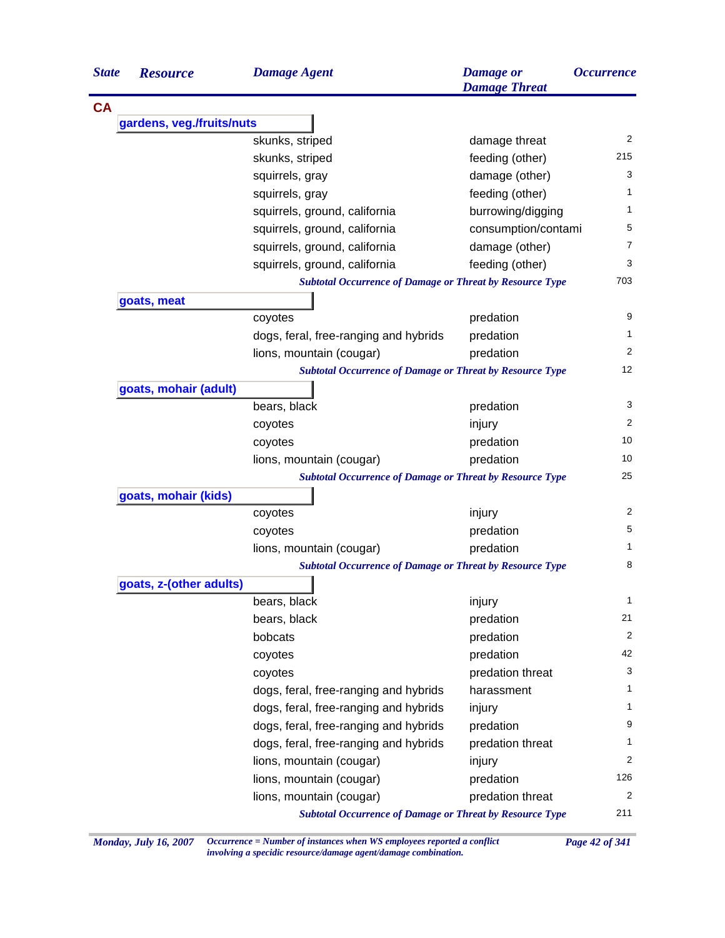| <b>State</b> | <b>Resource</b>           | <b>Damage Agent</b>                                             | <b>Damage</b> or<br><b>Damage Threat</b> | <b>Occurrence</b> |
|--------------|---------------------------|-----------------------------------------------------------------|------------------------------------------|-------------------|
| <b>CA</b>    |                           |                                                                 |                                          |                   |
|              | gardens, veg./fruits/nuts |                                                                 |                                          |                   |
|              |                           | skunks, striped                                                 | damage threat                            | 2                 |
|              |                           | skunks, striped                                                 | feeding (other)                          | 215               |
|              |                           | squirrels, gray                                                 | damage (other)                           | 3                 |
|              |                           | squirrels, gray                                                 | feeding (other)                          | 1                 |
|              |                           | squirrels, ground, california                                   | burrowing/digging                        | 1                 |
|              |                           | squirrels, ground, california                                   | consumption/contami                      | 5                 |
|              |                           | squirrels, ground, california                                   | damage (other)                           | 7                 |
|              |                           | squirrels, ground, california                                   | feeding (other)                          | 3                 |
|              |                           | <b>Subtotal Occurrence of Damage or Threat by Resource Type</b> |                                          | 703               |
|              | goats, meat               |                                                                 |                                          |                   |
|              |                           | coyotes                                                         | predation                                | 9                 |
|              |                           | dogs, feral, free-ranging and hybrids                           | predation                                | 1                 |
|              |                           | lions, mountain (cougar)                                        | predation                                | 2                 |
|              |                           | <b>Subtotal Occurrence of Damage or Threat by Resource Type</b> |                                          | 12                |
|              | goats, mohair (adult)     |                                                                 |                                          |                   |
|              |                           | bears, black                                                    | predation                                | 3                 |
|              |                           | coyotes                                                         | injury                                   | $\overline{2}$    |
|              |                           | coyotes                                                         | predation                                | 10                |
|              |                           | lions, mountain (cougar)                                        | predation                                | 10                |
|              |                           | <b>Subtotal Occurrence of Damage or Threat by Resource Type</b> |                                          | 25                |
|              | goats, mohair (kids)      |                                                                 |                                          |                   |
|              |                           | coyotes                                                         | injury                                   | 2                 |
|              |                           | coyotes                                                         | predation                                | 5                 |
|              |                           | lions, mountain (cougar)                                        | predation                                | 1                 |
|              |                           | <b>Subtotal Occurrence of Damage or Threat by Resource Type</b> |                                          | 8                 |
|              | goats, z-(other adults)   |                                                                 |                                          |                   |
|              |                           | bears, black                                                    | injury                                   | 1                 |
|              |                           | bears, black                                                    | predation                                | 21                |
|              |                           | bobcats                                                         | predation                                | 2                 |
|              |                           | coyotes                                                         | predation                                | 42                |
|              |                           | coyotes                                                         | predation threat                         | 3                 |
|              |                           | dogs, feral, free-ranging and hybrids                           | harassment                               | 1                 |
|              |                           | dogs, feral, free-ranging and hybrids                           | injury                                   | 1                 |
|              |                           | dogs, feral, free-ranging and hybrids                           | predation                                | 9                 |
|              |                           | dogs, feral, free-ranging and hybrids                           | predation threat                         | 1                 |
|              |                           | lions, mountain (cougar)                                        | injury                                   | 2                 |
|              |                           | lions, mountain (cougar)                                        | predation                                | 126               |
|              |                           | lions, mountain (cougar)                                        | predation threat                         | 2                 |
|              |                           | <b>Subtotal Occurrence of Damage or Threat by Resource Type</b> |                                          | 211               |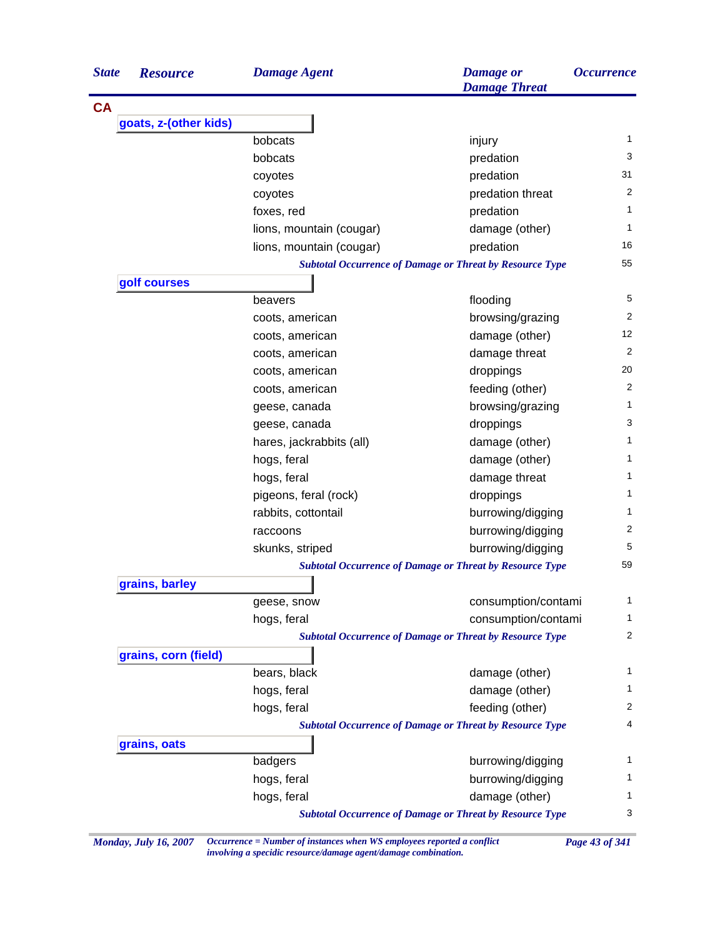| <b>State</b> | <b>Resource</b>       | <b>Damage Agent</b>      | <b>Damage</b> or<br><b>Damage Threat</b>                        | <i><b>Occurrence</b></i> |
|--------------|-----------------------|--------------------------|-----------------------------------------------------------------|--------------------------|
| <b>CA</b>    |                       |                          |                                                                 |                          |
|              | goats, z-(other kids) |                          |                                                                 |                          |
|              |                       | bobcats                  | injury                                                          | 1                        |
|              |                       | bobcats                  | predation                                                       | 3                        |
|              |                       | coyotes                  | predation                                                       | 31                       |
|              |                       | coyotes                  | predation threat                                                | 2                        |
|              |                       | foxes, red               | predation                                                       | 1                        |
|              |                       | lions, mountain (cougar) | damage (other)                                                  | 1                        |
|              |                       | lions, mountain (cougar) | predation                                                       | 16                       |
|              |                       |                          | <b>Subtotal Occurrence of Damage or Threat by Resource Type</b> | 55                       |
|              | golf courses          |                          |                                                                 |                          |
|              |                       | beavers                  | flooding                                                        | 5                        |
|              |                       | coots, american          | browsing/grazing                                                | 2                        |
|              |                       | coots, american          | damage (other)                                                  | 12                       |
|              |                       | coots, american          | damage threat                                                   | 2                        |
|              |                       | coots, american          | droppings                                                       | 20                       |
|              |                       | coots, american          | feeding (other)                                                 | $\overline{2}$           |
|              |                       | geese, canada            | browsing/grazing                                                | 1                        |
|              |                       | geese, canada            | droppings                                                       | 3                        |
|              |                       | hares, jackrabbits (all) | damage (other)                                                  | 1                        |
|              |                       | hogs, feral              | damage (other)                                                  | 1                        |
|              |                       | hogs, feral              | damage threat                                                   | 1                        |
|              |                       | pigeons, feral (rock)    | droppings                                                       | 1                        |
|              |                       | rabbits, cottontail      | burrowing/digging                                               | 1                        |
|              |                       | raccoons                 | burrowing/digging                                               | 2                        |
|              |                       | skunks, striped          | burrowing/digging                                               | 5                        |
|              |                       |                          | <b>Subtotal Occurrence of Damage or Threat by Resource Type</b> | 59                       |
|              | grains, barley        |                          |                                                                 |                          |
|              |                       | geese, snow              | consumption/contami                                             | 1                        |
|              |                       | hogs, feral              | consumption/contami                                             | 1                        |
|              |                       |                          | <b>Subtotal Occurrence of Damage or Threat by Resource Type</b> | $\overline{\mathbf{c}}$  |
|              | grains, corn (field)  |                          |                                                                 |                          |
|              |                       | bears, black             | damage (other)                                                  | 1                        |
|              |                       | hogs, feral              | damage (other)                                                  | 1                        |
|              |                       | hogs, feral              | feeding (other)                                                 | 2                        |
|              |                       |                          | <b>Subtotal Occurrence of Damage or Threat by Resource Type</b> | 4                        |
|              | grains, oats          |                          |                                                                 |                          |
|              |                       | badgers                  | burrowing/digging                                               | 1                        |
|              |                       | hogs, feral              | burrowing/digging                                               | 1                        |
|              |                       | hogs, feral              | damage (other)                                                  | 1                        |
|              |                       |                          | <b>Subtotal Occurrence of Damage or Threat by Resource Type</b> | 3                        |

*Monday, July 16, 2007 Occurrence = Number of instances when WS employees reported a conflict Page 43 of 341 involving a specidic resource/damage agent/damage combination.*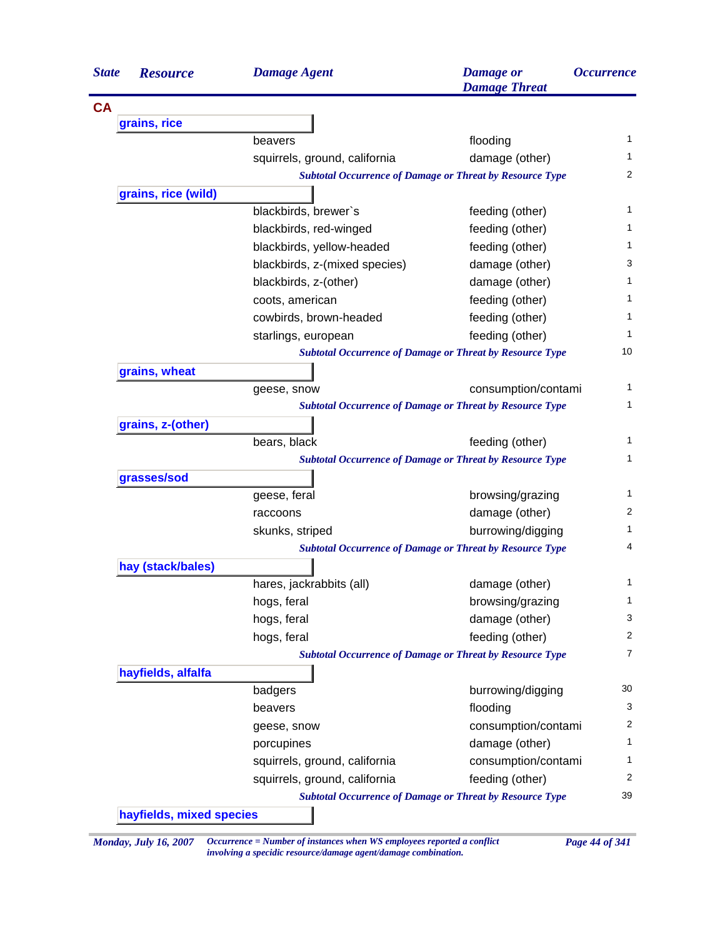| <b>State</b> | <b>Resource</b>     | <b>Damage Agent</b>                                             | <b>Damage</b> or<br><b>Damage Threat</b>                        | <i><b>Occurrence</b></i> |
|--------------|---------------------|-----------------------------------------------------------------|-----------------------------------------------------------------|--------------------------|
| <b>CA</b>    |                     |                                                                 |                                                                 |                          |
|              | grains, rice        |                                                                 |                                                                 |                          |
|              |                     | beavers                                                         | flooding                                                        | 1                        |
|              |                     | squirrels, ground, california                                   | damage (other)                                                  | 1                        |
|              |                     | <b>Subtotal Occurrence of Damage or Threat by Resource Type</b> |                                                                 | 2                        |
|              | grains, rice (wild) |                                                                 |                                                                 |                          |
|              |                     | blackbirds, brewer's                                            | feeding (other)                                                 | 1                        |
|              |                     | blackbirds, red-winged                                          | feeding (other)                                                 | 1                        |
|              |                     | blackbirds, yellow-headed                                       | feeding (other)                                                 | 1                        |
|              |                     | blackbirds, z-(mixed species)                                   | damage (other)                                                  | 3                        |
|              |                     | blackbirds, z-(other)                                           | damage (other)                                                  | 1                        |
|              |                     | coots, american                                                 | feeding (other)                                                 | 1                        |
|              |                     | cowbirds, brown-headed                                          | feeding (other)                                                 | 1                        |
|              |                     | starlings, european                                             | feeding (other)                                                 | 1                        |
|              |                     | <b>Subtotal Occurrence of Damage or Threat by Resource Type</b> |                                                                 | 10                       |
|              | grains, wheat       |                                                                 |                                                                 |                          |
|              |                     | geese, snow                                                     | consumption/contami                                             | 1                        |
|              |                     | <b>Subtotal Occurrence of Damage or Threat by Resource Type</b> |                                                                 | 1                        |
|              | grains, z-(other)   |                                                                 |                                                                 |                          |
|              |                     | bears, black                                                    | feeding (other)                                                 | 1                        |
|              |                     | <b>Subtotal Occurrence of Damage or Threat by Resource Type</b> |                                                                 | 1                        |
|              | grasses/sod         |                                                                 |                                                                 |                          |
|              |                     | geese, feral                                                    | browsing/grazing                                                | 1                        |
|              |                     | raccoons                                                        | damage (other)                                                  | 2                        |
|              |                     | skunks, striped                                                 | burrowing/digging                                               | 1                        |
|              |                     | <b>Subtotal Occurrence of Damage or Threat by Resource Type</b> |                                                                 | 4                        |
|              | hay (stack/bales)   |                                                                 |                                                                 |                          |
|              |                     | hares, jackrabbits (all)                                        | damage (other)                                                  | 1                        |
|              |                     | hogs, feral                                                     | browsing/grazing                                                | 1                        |
|              |                     | hogs, feral                                                     | damage (other)                                                  | 3                        |
|              |                     | hogs, feral                                                     | feeding (other)                                                 | 2                        |
|              |                     | <b>Subtotal Occurrence of Damage or Threat by Resource Type</b> |                                                                 | $\overline{7}$           |
|              | hayfields, alfalfa  |                                                                 |                                                                 |                          |
|              |                     | badgers                                                         | burrowing/digging                                               | 30                       |
|              |                     | beavers                                                         | flooding                                                        | 3                        |
|              |                     | geese, snow                                                     | consumption/contami                                             | 2                        |
|              |                     | porcupines                                                      | damage (other)                                                  | 1                        |
|              |                     | squirrels, ground, california                                   | consumption/contami                                             | 1                        |
|              |                     | squirrels, ground, california                                   | feeding (other)                                                 | 2                        |
|              |                     |                                                                 | <b>Subtotal Occurrence of Damage or Threat by Resource Type</b> | 39                       |

*Monday, July 16, 2007 Occurrence = Number of instances when WS employees reported a conflict Page 44 of 341 involving a specidic resource/damage agent/damage combination.*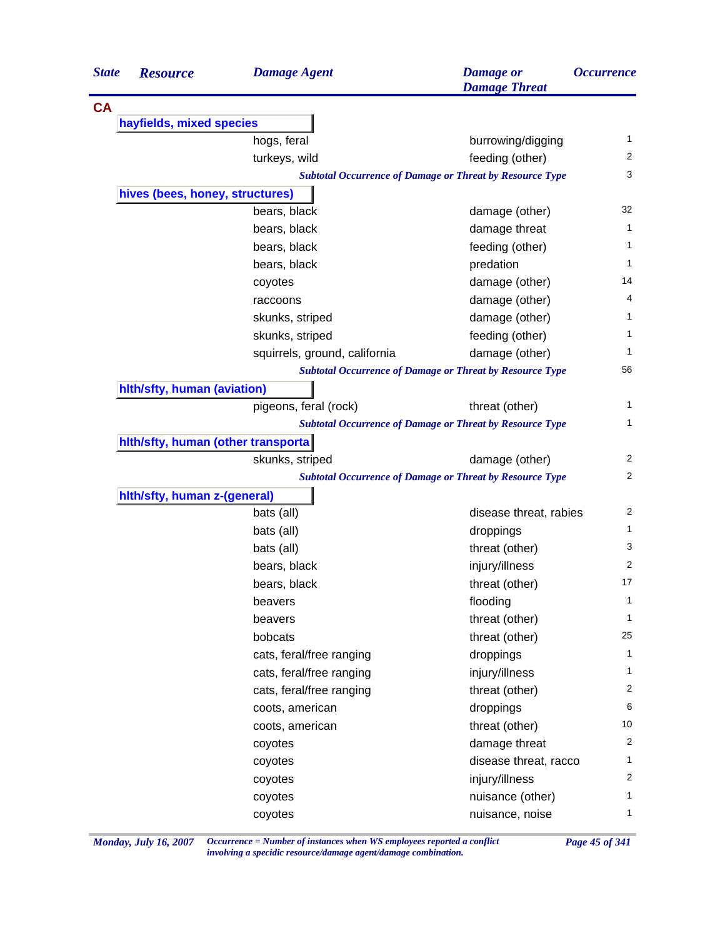| <b>State</b> | <b>Resource</b>                     | <b>Damage Agent</b>           | <b>Damage</b> or<br><b>Damage Threat</b>                        | <i><b>Occurrence</b></i> |
|--------------|-------------------------------------|-------------------------------|-----------------------------------------------------------------|--------------------------|
| <b>CA</b>    |                                     |                               |                                                                 |                          |
|              | hayfields, mixed species            |                               |                                                                 |                          |
|              |                                     | hogs, feral                   | burrowing/digging                                               | 1                        |
|              |                                     | turkeys, wild                 | feeding (other)                                                 | 2                        |
|              |                                     |                               | <b>Subtotal Occurrence of Damage or Threat by Resource Type</b> | 3                        |
|              | hives (bees, honey, structures)     |                               |                                                                 |                          |
|              |                                     | bears, black                  | damage (other)                                                  | 32                       |
|              |                                     | bears, black                  | damage threat                                                   | 1                        |
|              |                                     | bears, black                  | feeding (other)                                                 | 1                        |
|              |                                     | bears, black                  | predation                                                       | 1                        |
|              |                                     | coyotes                       | damage (other)                                                  | 14                       |
|              |                                     | raccoons                      | damage (other)                                                  | 4                        |
|              |                                     | skunks, striped               | damage (other)                                                  | 1                        |
|              |                                     | skunks, striped               | feeding (other)                                                 | 1                        |
|              |                                     | squirrels, ground, california | damage (other)                                                  | 1                        |
|              |                                     |                               | <b>Subtotal Occurrence of Damage or Threat by Resource Type</b> | 56                       |
|              | hith/sfty, human (aviation)         |                               |                                                                 |                          |
|              |                                     | pigeons, feral (rock)         | threat (other)                                                  | 1                        |
|              |                                     |                               | <b>Subtotal Occurrence of Damage or Threat by Resource Type</b> | 1                        |
|              | hith/sfty, human (other transporta) |                               |                                                                 |                          |
|              |                                     | skunks, striped               | damage (other)                                                  | 2                        |
|              |                                     |                               | <b>Subtotal Occurrence of Damage or Threat by Resource Type</b> | 2                        |
|              | hith/sfty, human z-(general)        |                               |                                                                 |                          |
|              |                                     | bats (all)                    | disease threat, rabies                                          | $\overline{2}$           |
|              |                                     | bats (all)                    | droppings                                                       | 1                        |
|              |                                     | bats (all)                    | threat (other)                                                  | 3                        |
|              |                                     | bears, black                  | injury/illness                                                  | 2                        |
|              |                                     | bears, black                  | threat (other)                                                  | 17                       |
|              |                                     | beavers                       | flooding                                                        | 1                        |
|              |                                     | beavers                       | threat (other)                                                  | 1                        |
|              |                                     | bobcats                       | threat (other)                                                  | 25                       |
|              |                                     | cats, feral/free ranging      | droppings                                                       | 1                        |
|              |                                     | cats, feral/free ranging      | injury/illness                                                  | $\mathbf{1}$             |
|              |                                     | cats, feral/free ranging      | threat (other)                                                  | 2                        |
|              |                                     | coots, american               | droppings                                                       | 6                        |
|              |                                     | coots, american               | threat (other)                                                  | 10                       |
|              |                                     | coyotes                       | damage threat                                                   | 2                        |
|              |                                     | coyotes                       | disease threat, racco                                           | 1                        |
|              |                                     |                               |                                                                 |                          |
|              |                                     | coyotes                       |                                                                 |                          |
|              |                                     | coyotes                       | injury/illness<br>nuisance (other)                              | 2<br>1                   |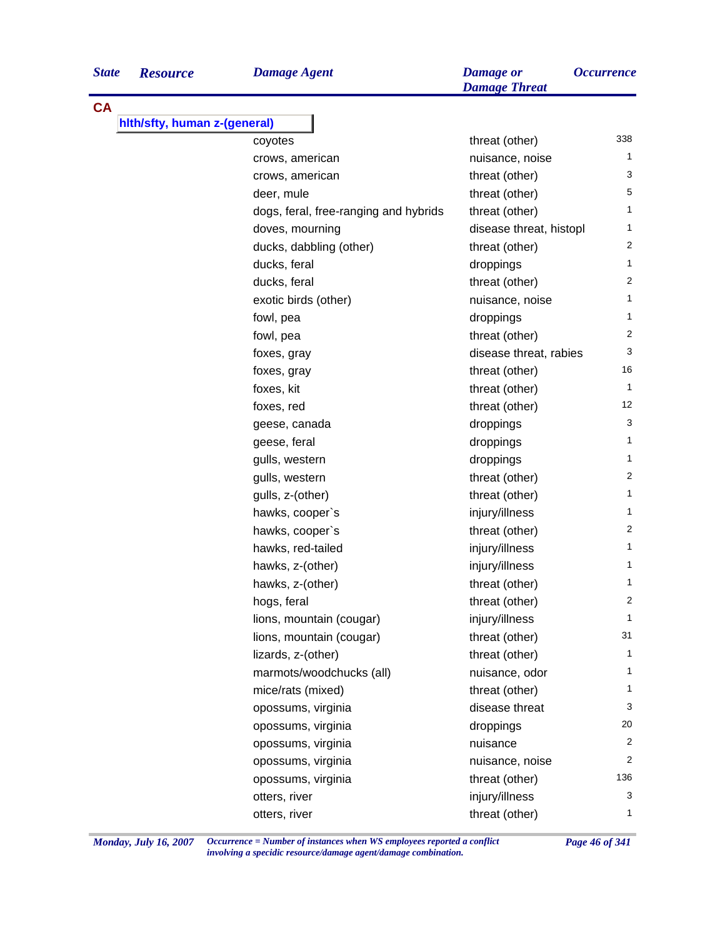| Damage Ago |  |
|------------|--|
|            |  |

| <b>CA</b>                    |                                       |                         |                |
|------------------------------|---------------------------------------|-------------------------|----------------|
| hith/sfty, human z-(general) |                                       |                         |                |
|                              | coyotes                               | threat (other)          | 338            |
|                              | crows, american                       | nuisance, noise         | 1              |
|                              | crows, american                       | threat (other)          | 3              |
|                              | deer, mule                            | threat (other)          | 5              |
|                              | dogs, feral, free-ranging and hybrids | threat (other)          | 1              |
|                              | doves, mourning                       | disease threat, histopl | $\mathbf{1}$   |
|                              | ducks, dabbling (other)               | threat (other)          | $\overline{2}$ |
|                              | ducks, feral                          | droppings               | $\mathbf{1}$   |
|                              | ducks, feral                          | threat (other)          | 2              |
|                              | exotic birds (other)                  | nuisance, noise         | $\mathbf{1}$   |
|                              | fowl, pea                             | droppings               | 1              |
|                              | fowl, pea                             | threat (other)          | 2              |
|                              | foxes, gray                           | disease threat, rabies  | 3              |
|                              | foxes, gray                           | threat (other)          | 16             |
|                              | foxes, kit                            | threat (other)          | $\mathbf{1}$   |
|                              | foxes, red                            | threat (other)          | 12             |
|                              | geese, canada                         | droppings               | 3              |
|                              | geese, feral                          | droppings               | 1              |
|                              | gulls, western                        | droppings               | 1              |
|                              | gulls, western                        | threat (other)          | 2              |
|                              | gulls, z-(other)                      | threat (other)          | 1              |
|                              | hawks, cooper's                       | injury/illness          | $\mathbf{1}$   |
|                              | hawks, cooper's                       | threat (other)          | 2              |
|                              | hawks, red-tailed                     | injury/illness          | 1              |
|                              | hawks, z-(other)                      | injury/illness          | 1              |
|                              | hawks, z-(other)                      | threat (other)          | 1              |
|                              | hogs, feral                           | threat (other)          | $\overline{2}$ |
|                              | lions, mountain (cougar)              | injury/illness          | 1              |
|                              | lions, mountain (cougar)              | threat (other)          | 31             |
|                              | lizards, z-(other)                    | threat (other)          | 1              |
|                              | marmots/woodchucks (all)              | nuisance, odor          | 1              |
|                              | mice/rats (mixed)                     | threat (other)          | 1              |
|                              | opossums, virginia                    | disease threat          | 3              |
|                              | opossums, virginia                    | droppings               | 20             |
|                              | opossums, virginia                    | nuisance                | 2              |
|                              | opossums, virginia                    | nuisance, noise         | 2              |
|                              | opossums, virginia                    | threat (other)          | 136            |
|                              | otters, river                         | injury/illness          | 3              |
|                              | otters, river                         | threat (other)          | 1              |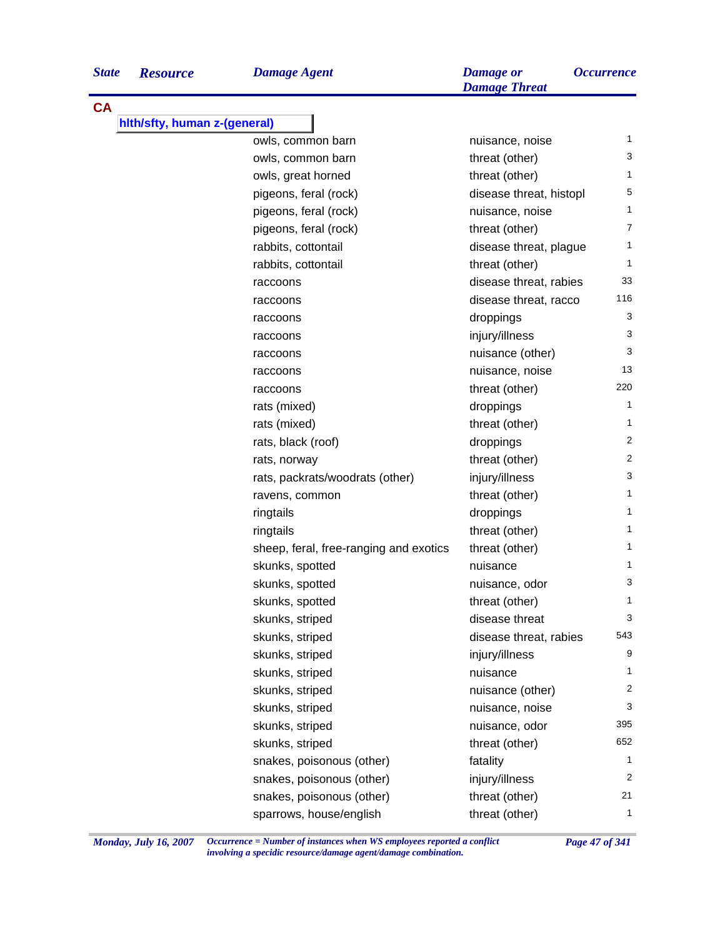| <b>State</b> | <b>Resource</b>              | <b>Damage Agent</b>                    | <b>Damage</b> or<br><b>Damage Threat</b> | <i><b>Occurrence</b></i> |
|--------------|------------------------------|----------------------------------------|------------------------------------------|--------------------------|
| <b>CA</b>    |                              |                                        |                                          |                          |
|              | hith/sfty, human z-(general) |                                        |                                          |                          |
|              |                              | owls, common barn                      | nuisance, noise                          | 1                        |
|              |                              | owls, common barn                      | threat (other)                           | 3                        |
|              |                              | owls, great horned                     | threat (other)                           | 1                        |
|              |                              | pigeons, feral (rock)                  | disease threat, histopl                  | 5                        |
|              |                              | pigeons, feral (rock)                  | nuisance, noise                          | 1                        |
|              |                              | pigeons, feral (rock)                  | threat (other)                           | 7                        |
|              |                              | rabbits, cottontail                    | disease threat, plague                   | 1                        |
|              |                              | rabbits, cottontail                    | threat (other)                           | $\mathbf{1}$             |
|              |                              | raccoons                               | disease threat, rabies                   | 33                       |
|              |                              | raccoons                               | disease threat, racco                    | 116                      |
|              |                              | raccoons                               | droppings                                | 3                        |
|              |                              | raccoons                               | injury/illness                           | 3                        |
|              |                              | raccoons                               | nuisance (other)                         | 3                        |
|              |                              | raccoons                               | nuisance, noise                          | 13                       |
|              |                              | raccoons                               | threat (other)                           | 220                      |
|              |                              | rats (mixed)                           | droppings                                | 1                        |
|              |                              | rats (mixed)                           | threat (other)                           | 1                        |
|              |                              | rats, black (roof)                     | droppings                                | 2                        |
|              |                              | rats, norway                           | threat (other)                           | 2                        |
|              |                              | rats, packrats/woodrats (other)        | injury/illness                           | 3                        |
|              |                              | ravens, common                         | threat (other)                           | 1                        |
|              |                              | ringtails                              | droppings                                | 1                        |
|              |                              | ringtails                              | threat (other)                           | 1                        |
|              |                              | sheep, feral, free-ranging and exotics | threat (other)                           | 1                        |
|              |                              | skunks, spotted                        | nuisance                                 | 1                        |
|              |                              | skunks, spotted                        | nuisance, odor                           | 3                        |
|              |                              | skunks, spotted                        | threat (other)                           | 1                        |
|              |                              | skunks, striped                        | disease threat                           | 3                        |
|              |                              | skunks, striped                        | disease threat, rabies                   | 543                      |
|              |                              | skunks, striped                        | injury/illness                           | 9                        |
|              |                              | skunks, striped                        | nuisance                                 | 1                        |
|              |                              | skunks, striped                        | nuisance (other)                         | $\overline{2}$           |
|              |                              | skunks, striped                        | nuisance, noise                          | 3                        |
|              |                              | skunks, striped                        | nuisance, odor                           | 395                      |

skunks, striped threat (other) 652 snakes, poisonous (other) fatality fatality 1 snakes, poisonous (other) injury/illness 2 snakes, poisonous (other) threat (other) 21 sparrows, house/english threat (other) 1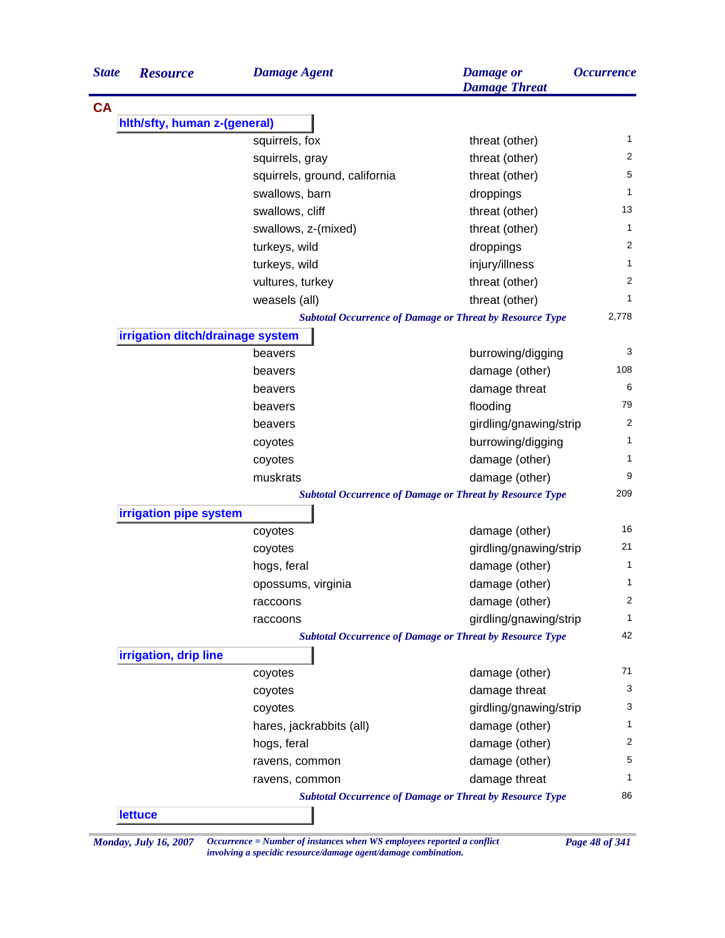| <b>State</b> | <b>Resource</b>                  | <b>Damage Agent</b>           | <b>Damage</b> or<br><b>Damage Threat</b>                        | <i><b>Occurrence</b></i> |
|--------------|----------------------------------|-------------------------------|-----------------------------------------------------------------|--------------------------|
| <b>CA</b>    |                                  |                               |                                                                 |                          |
|              | hith/sfty, human z-(general)     |                               |                                                                 |                          |
|              |                                  | squirrels, fox                | threat (other)                                                  | 1                        |
|              |                                  | squirrels, gray               | threat (other)                                                  | 2                        |
|              |                                  | squirrels, ground, california | threat (other)                                                  | 5                        |
|              |                                  | swallows, barn                | droppings                                                       | 1                        |
|              |                                  | swallows, cliff               | threat (other)                                                  | 13                       |
|              |                                  | swallows, z-(mixed)           | threat (other)                                                  | $\mathbf{1}$             |
|              |                                  | turkeys, wild                 | droppings                                                       | 2                        |
|              |                                  | turkeys, wild                 | injury/illness                                                  | $\mathbf{1}$             |
|              |                                  | vultures, turkey              | threat (other)                                                  | 2                        |
|              |                                  | weasels (all)                 | threat (other)                                                  | 1                        |
|              |                                  |                               | <b>Subtotal Occurrence of Damage or Threat by Resource Type</b> | 2,778                    |
|              | irrigation ditch/drainage system |                               |                                                                 |                          |
|              |                                  | beavers                       | burrowing/digging                                               | 3                        |
|              |                                  | beavers                       | damage (other)                                                  | 108                      |
|              |                                  | beavers                       | damage threat                                                   | 6                        |
|              |                                  | beavers                       | flooding                                                        | 79                       |
|              |                                  | beavers                       | girdling/gnawing/strip                                          | 2                        |
|              |                                  | coyotes                       | burrowing/digging                                               | 1                        |
|              |                                  | coyotes                       | damage (other)                                                  | 1                        |
|              |                                  | muskrats                      | damage (other)                                                  | 9                        |
|              |                                  |                               | <b>Subtotal Occurrence of Damage or Threat by Resource Type</b> | 209                      |
|              | irrigation pipe system           |                               |                                                                 |                          |
|              |                                  | coyotes                       | damage (other)                                                  | 16                       |
|              |                                  | coyotes                       | girdling/gnawing/strip                                          | 21                       |
|              |                                  | hogs, feral                   | damage (other)                                                  | $\mathbf{1}$             |
|              |                                  | opossums, virginia            | damage (other)                                                  | 1                        |
|              |                                  | raccoons                      | damage (other)                                                  | 2                        |
|              |                                  | raccoons                      | girdling/gnawing/strip                                          | $\mathbf{1}$             |
|              |                                  |                               | <b>Subtotal Occurrence of Damage or Threat by Resource Type</b> | 42                       |
|              | irrigation, drip line            |                               |                                                                 |                          |
|              |                                  | coyotes                       | damage (other)                                                  | 71                       |
|              |                                  | coyotes                       | damage threat                                                   | 3                        |
|              |                                  | coyotes                       | girdling/gnawing/strip                                          | 3                        |
|              |                                  | hares, jackrabbits (all)      | damage (other)                                                  | 1                        |
|              |                                  | hogs, feral                   | damage (other)                                                  | 2                        |
|              |                                  | ravens, common                | damage (other)                                                  | 5                        |
|              |                                  | ravens, common                | damage threat                                                   | 1                        |
|              |                                  |                               | <b>Subtotal Occurrence of Damage or Threat by Resource Type</b> | 86                       |
|              | <b>lettuce</b>                   |                               |                                                                 |                          |

*Monday, July 16, 2007 Occurrence = Number of instances when WS employees reported a conflict Page 48 of 341 involving a specidic resource/damage agent/damage combination.*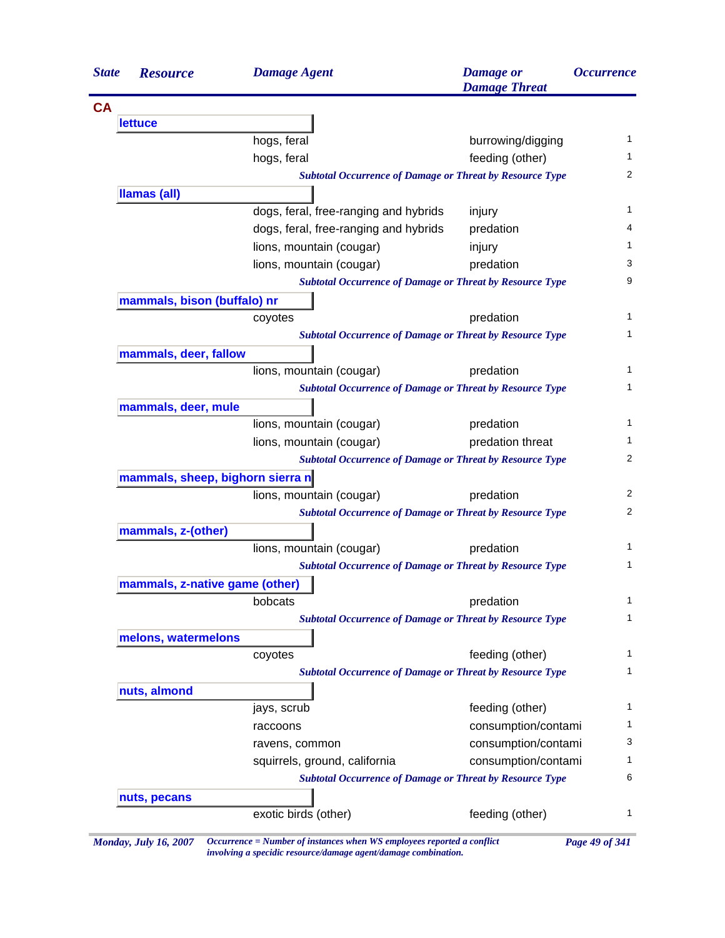| <b>State</b> | <b>Resource</b>                  | <b>Damage Agent</b>                                                        | <b>Damage</b> or<br><b>Damage Threat</b> | <i><b>Occurrence</b></i> |
|--------------|----------------------------------|----------------------------------------------------------------------------|------------------------------------------|--------------------------|
|              |                                  |                                                                            |                                          |                          |
|              | <b>lettuce</b>                   |                                                                            |                                          |                          |
|              |                                  | hogs, feral                                                                | burrowing/digging                        |                          |
|              |                                  | hogs, feral                                                                | feeding (other)                          |                          |
|              |                                  | <b>Subtotal Occurrence of Damage or Threat by Resource Type</b>            |                                          |                          |
|              | Ilamas (all)                     |                                                                            |                                          |                          |
|              |                                  | dogs, feral, free-ranging and hybrids                                      | injury                                   |                          |
|              |                                  | dogs, feral, free-ranging and hybrids                                      | predation                                |                          |
|              |                                  | lions, mountain (cougar)                                                   | injury                                   |                          |
|              |                                  | lions, mountain (cougar)                                                   | predation                                |                          |
|              |                                  | <b>Subtotal Occurrence of Damage or Threat by Resource Type</b>            |                                          |                          |
|              | mammals, bison (buffalo) nr      |                                                                            |                                          |                          |
|              |                                  | coyotes                                                                    | predation                                |                          |
|              |                                  | <b>Subtotal Occurrence of Damage or Threat by Resource Type</b>            |                                          |                          |
|              | mammals, deer, fallow            |                                                                            |                                          |                          |
|              |                                  | lions, mountain (cougar)                                                   | predation                                |                          |
|              |                                  | <b>Subtotal Occurrence of Damage or Threat by Resource Type</b>            |                                          |                          |
|              | mammals, deer, mule              |                                                                            |                                          |                          |
|              |                                  | lions, mountain (cougar)                                                   | predation                                |                          |
|              |                                  | lions, mountain (cougar)                                                   | predation threat                         |                          |
|              |                                  | <b>Subtotal Occurrence of Damage or Threat by Resource Type</b>            |                                          |                          |
|              | mammals, sheep, bighorn sierra n |                                                                            |                                          |                          |
|              |                                  | lions, mountain (cougar)                                                   | predation                                |                          |
|              |                                  | <b>Subtotal Occurrence of Damage or Threat by Resource Type</b>            |                                          |                          |
|              | mammals, z-(other)               |                                                                            |                                          |                          |
|              |                                  | lions, mountain (cougar)                                                   | predation                                |                          |
|              |                                  | <b>Subtotal Occurrence of Damage or Threat by Resource Type</b>            |                                          |                          |
|              | mammals, z-native game (other)   |                                                                            |                                          |                          |
|              |                                  | bobcats                                                                    | predation                                |                          |
|              |                                  | <b>Subtotal Occurrence of Damage or Threat by Resource Type</b>            |                                          |                          |
|              |                                  |                                                                            |                                          |                          |
|              | melons, watermelons              |                                                                            | feeding (other)                          |                          |
|              |                                  | coyotes<br><b>Subtotal Occurrence of Damage or Threat by Resource Type</b> |                                          |                          |
|              |                                  |                                                                            |                                          |                          |
|              | nuts, almond                     |                                                                            |                                          |                          |
|              |                                  | jays, scrub                                                                | feeding (other)                          |                          |
|              |                                  | raccoons                                                                   | consumption/contami                      |                          |
|              |                                  | ravens, common                                                             | consumption/contami                      |                          |
|              |                                  | squirrels, ground, california                                              | consumption/contami                      |                          |
|              |                                  | <b>Subtotal Occurrence of Damage or Threat by Resource Type</b>            |                                          |                          |
|              | nuts, pecans                     |                                                                            |                                          |                          |
|              |                                  | exotic birds (other)                                                       | feeding (other)                          |                          |

*involving a specidic resource/damage agent/damage combination.*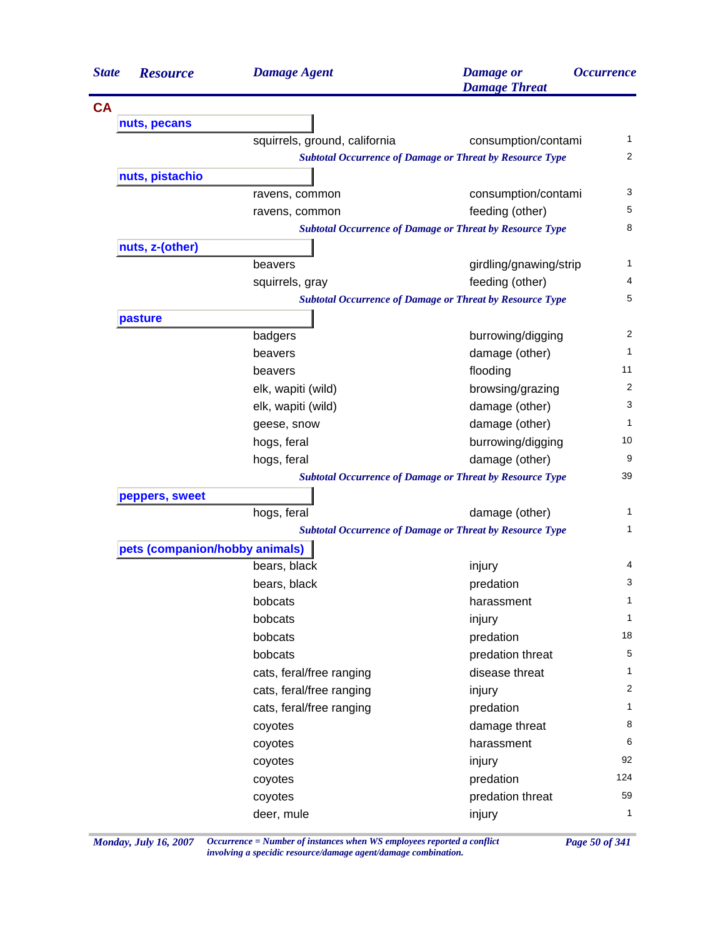| <b>State</b> | <b>Resource</b>                | <b>Damage Agent</b>           | <b>Damage</b> or<br><b>Damage Threat</b>                        | <b>Occurrence</b> |
|--------------|--------------------------------|-------------------------------|-----------------------------------------------------------------|-------------------|
| <b>CA</b>    |                                |                               |                                                                 |                   |
|              | nuts, pecans                   |                               |                                                                 |                   |
|              |                                | squirrels, ground, california | consumption/contami                                             | 1                 |
|              |                                |                               | <b>Subtotal Occurrence of Damage or Threat by Resource Type</b> | 2                 |
|              | nuts, pistachio                |                               |                                                                 |                   |
|              |                                | ravens, common                | consumption/contami                                             | 3                 |
|              |                                | ravens, common                | feeding (other)                                                 | 5                 |
|              |                                |                               | <b>Subtotal Occurrence of Damage or Threat by Resource Type</b> | 8                 |
|              | nuts, z-(other)                |                               |                                                                 |                   |
|              |                                | beavers                       | girdling/gnawing/strip                                          | 1                 |
|              |                                | squirrels, gray               | feeding (other)                                                 | 4                 |
|              |                                |                               | <b>Subtotal Occurrence of Damage or Threat by Resource Type</b> | 5                 |
|              | pasture                        |                               |                                                                 |                   |
|              |                                | badgers                       | burrowing/digging                                               | $\overline{c}$    |
|              |                                | beavers                       | damage (other)                                                  | $\mathbf{1}$      |
|              |                                | beavers                       | flooding                                                        | 11                |
|              |                                | elk, wapiti (wild)            | browsing/grazing                                                | 2                 |
|              |                                | elk, wapiti (wild)            | damage (other)                                                  | 3                 |
|              |                                | geese, snow                   | damage (other)                                                  | 1                 |
|              |                                | hogs, feral                   | burrowing/digging                                               | 10                |
|              |                                | hogs, feral                   | damage (other)                                                  | 9                 |
|              |                                |                               | <b>Subtotal Occurrence of Damage or Threat by Resource Type</b> | 39                |
|              | peppers, sweet                 |                               |                                                                 |                   |
|              |                                | hogs, feral                   | damage (other)                                                  | 1                 |
|              |                                |                               | <b>Subtotal Occurrence of Damage or Threat by Resource Type</b> | 1                 |
|              | pets (companion/hobby animals) |                               |                                                                 |                   |
|              |                                | bears, black                  | injury                                                          | 4                 |
|              |                                | bears, black                  | predation                                                       | 3                 |
|              |                                | bobcats                       | harassment                                                      | 1                 |
|              |                                | bobcats                       | injury                                                          | $\mathbf 1$       |
|              |                                | bobcats                       | predation                                                       | 18                |
|              |                                | bobcats                       | predation threat                                                | 5                 |
|              |                                | cats, feral/free ranging      | disease threat                                                  | 1                 |
|              |                                | cats, feral/free ranging      | injury                                                          | 2                 |
|              |                                | cats, feral/free ranging      | predation                                                       | 1                 |
|              |                                | coyotes                       | damage threat                                                   | 8                 |
|              |                                | coyotes                       | harassment                                                      | 6                 |
|              |                                | coyotes                       | injury                                                          | 92                |
|              |                                | coyotes                       | predation                                                       | 124               |
|              |                                | coyotes                       | predation threat                                                | 59                |
|              |                                | deer, mule                    | injury                                                          | $\mathbf{1}$      |

*Monday, July 16, 2007 Occurrence = Number of instances when WS employees reported a conflict Page 50 of 341 involving a specidic resource/damage agent/damage combination.*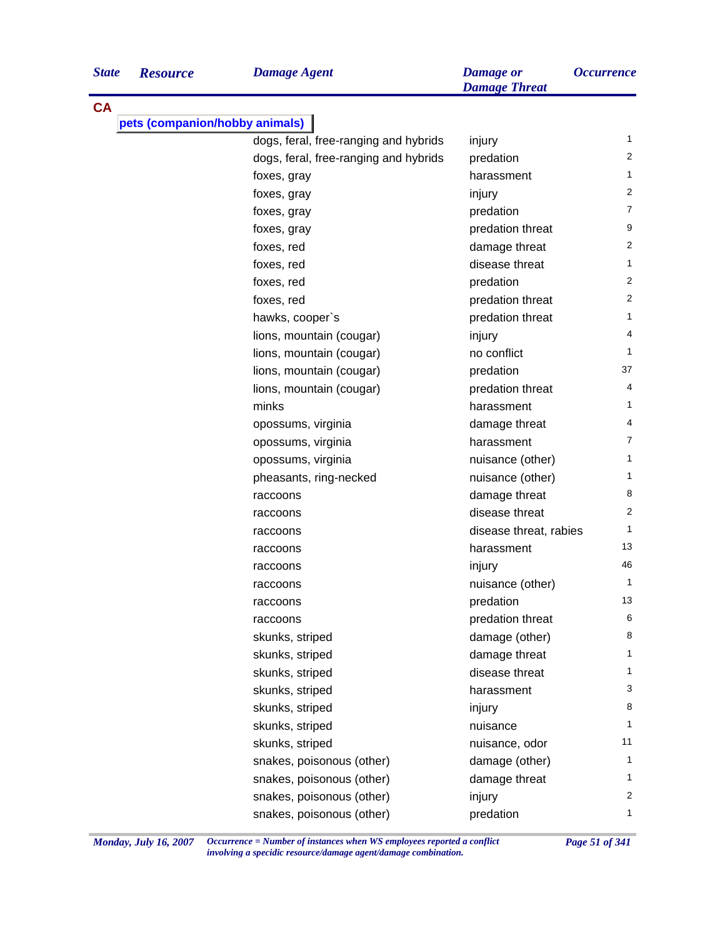| <b>State</b> | <b>Resource</b>                | <b>Damage Agent</b>                   | <b>Damage</b> or<br><b>Damage Threat</b> | <b>Occurrence</b> |
|--------------|--------------------------------|---------------------------------------|------------------------------------------|-------------------|
| <b>CA</b>    |                                |                                       |                                          |                   |
|              | pets (companion/hobby animals) |                                       |                                          |                   |
|              |                                | dogs, feral, free-ranging and hybrids | injury                                   | 1                 |
|              |                                | dogs, feral, free-ranging and hybrids | predation                                | 2                 |
|              |                                | foxes, gray                           | harassment                               | 1                 |
|              |                                | foxes, gray                           | injury                                   | 2                 |
|              |                                | foxes, gray                           | predation                                | 7                 |
|              |                                | foxes, gray                           | predation threat                         | 9                 |
|              |                                | foxes, red                            | damage threat                            | 2                 |
|              |                                | foxes, red                            | disease threat                           | 1                 |
|              |                                | foxes, red                            | predation                                | 2                 |
|              |                                | foxes, red                            | predation threat                         | 2                 |
|              |                                | hawks, cooper's                       | predation threat                         | 1                 |
|              |                                | lions, mountain (cougar)              | injury                                   | 4                 |
|              |                                | lions, mountain (cougar)              | no conflict                              | 1                 |
|              |                                | lions, mountain (cougar)              | predation                                | 37                |
|              |                                | lions, mountain (cougar)              | predation threat                         | 4                 |
|              |                                | minks                                 | harassment                               | $\mathbf{1}$      |
|              |                                | opossums, virginia                    | damage threat                            | 4                 |
|              |                                | opossums, virginia                    | harassment                               | $\overline{7}$    |
|              |                                | opossums, virginia                    | nuisance (other)                         | $\mathbf{1}$      |
|              |                                | pheasants, ring-necked                | nuisance (other)                         | $\mathbf{1}$      |
|              |                                | raccoons                              | damage threat                            | 8                 |
|              |                                | raccoons                              | disease threat                           | 2                 |
|              |                                | raccoons                              | disease threat, rabies                   | $\mathbf{1}$      |
|              |                                | raccoons                              | harassment                               | 13                |
|              |                                | raccoons                              | injury                                   | 46                |
|              |                                | raccoons                              | nuisance (other)                         | $\mathbf{1}$      |
|              |                                | raccoons                              | predation                                | 13                |
|              |                                | raccoons                              | predation threat                         | 6                 |
|              |                                | skunks, striped                       | damage (other)                           | 8                 |
|              |                                | skunks, striped                       | damage threat                            | $\mathbf{1}$      |
|              |                                | skunks, striped                       | disease threat                           | 1                 |
|              |                                | skunks, striped                       | harassment                               | 3                 |
|              |                                | skunks, striped                       | injury                                   | 8                 |
|              |                                | skunks, striped                       | nuisance                                 | $\mathbf{1}$      |
|              |                                | skunks, striped                       | nuisance, odor                           | 11                |
|              |                                | snakes, poisonous (other)             | damage (other)                           | 1                 |
|              |                                | snakes, poisonous (other)             | damage threat                            | 1                 |
|              |                                | snakes, poisonous (other)             | injury                                   | 2                 |
|              |                                | snakes, poisonous (other)             | predation                                | 1                 |
|              |                                |                                       |                                          |                   |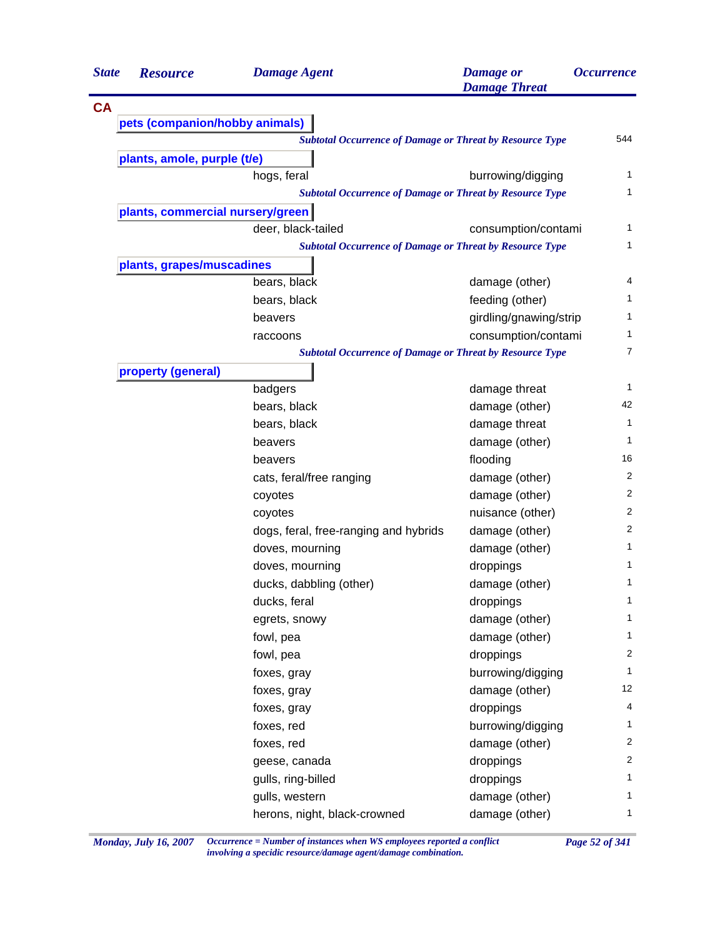| <b>State</b> | <b>Resource</b>                  | <b>Damage Agent</b>                                             | <b>Damage</b> or<br><b>Damage Threat</b> | <i><b>Occurrence</b></i> |
|--------------|----------------------------------|-----------------------------------------------------------------|------------------------------------------|--------------------------|
| <b>CA</b>    |                                  |                                                                 |                                          |                          |
|              | pets (companion/hobby animals)   |                                                                 |                                          |                          |
|              |                                  | <b>Subtotal Occurrence of Damage or Threat by Resource Type</b> |                                          | 544                      |
|              | plants, amole, purple (t/e)      |                                                                 |                                          |                          |
|              |                                  | hogs, feral                                                     | burrowing/digging                        | 1                        |
|              |                                  | <b>Subtotal Occurrence of Damage or Threat by Resource Type</b> |                                          | 1                        |
|              | plants, commercial nursery/green |                                                                 |                                          |                          |
|              |                                  | deer, black-tailed                                              | consumption/contami                      | 1                        |
|              |                                  | <b>Subtotal Occurrence of Damage or Threat by Resource Type</b> |                                          | 1                        |
|              | plants, grapes/muscadines        |                                                                 |                                          |                          |
|              |                                  | bears, black                                                    | damage (other)                           | 4                        |
|              |                                  | bears, black                                                    | feeding (other)                          | 1                        |
|              |                                  | beavers                                                         | girdling/gnawing/strip                   | 1                        |
|              |                                  | raccoons                                                        | consumption/contami                      | 1                        |
|              |                                  | <b>Subtotal Occurrence of Damage or Threat by Resource Type</b> |                                          | 7                        |
|              | property (general)               |                                                                 |                                          |                          |
|              |                                  | badgers                                                         | damage threat                            | 1                        |
|              |                                  | bears, black                                                    | damage (other)                           | 42                       |
|              |                                  | bears, black                                                    | damage threat                            | 1                        |
|              |                                  | beavers                                                         | damage (other)                           | 1                        |
|              |                                  | beavers                                                         | flooding                                 | 16                       |
|              |                                  | cats, feral/free ranging                                        | damage (other)                           | 2                        |
|              |                                  | coyotes                                                         | damage (other)                           | $\overline{2}$           |
|              |                                  | coyotes                                                         | nuisance (other)                         | 2                        |
|              |                                  | dogs, feral, free-ranging and hybrids                           | damage (other)                           | $\overline{2}$           |
|              |                                  | doves, mourning                                                 | damage (other)                           | 1                        |
|              |                                  | doves, mourning                                                 | droppings                                | 1                        |
|              |                                  | ducks, dabbling (other)                                         | damage (other)                           | 1                        |
|              |                                  | ducks, feral                                                    | droppings                                | 1                        |
|              |                                  | egrets, snowy                                                   | damage (other)                           | 1                        |
|              |                                  | fowl, pea                                                       | damage (other)                           | 1                        |
|              |                                  | fowl, pea                                                       | droppings                                | $\overline{2}$           |
|              |                                  | foxes, gray                                                     | burrowing/digging                        | 1                        |
|              |                                  | foxes, gray                                                     | damage (other)                           | 12                       |
|              |                                  | foxes, gray                                                     | droppings                                | 4                        |
|              |                                  | foxes, red                                                      | burrowing/digging                        | 1                        |
|              |                                  | foxes, red                                                      | damage (other)                           | $\overline{2}$           |
|              |                                  | geese, canada                                                   | droppings                                | $\overline{2}$           |
|              |                                  | gulls, ring-billed                                              | droppings                                | 1                        |
|              |                                  | gulls, western                                                  | damage (other)                           | 1                        |
|              |                                  | herons, night, black-crowned                                    | damage (other)                           | 1                        |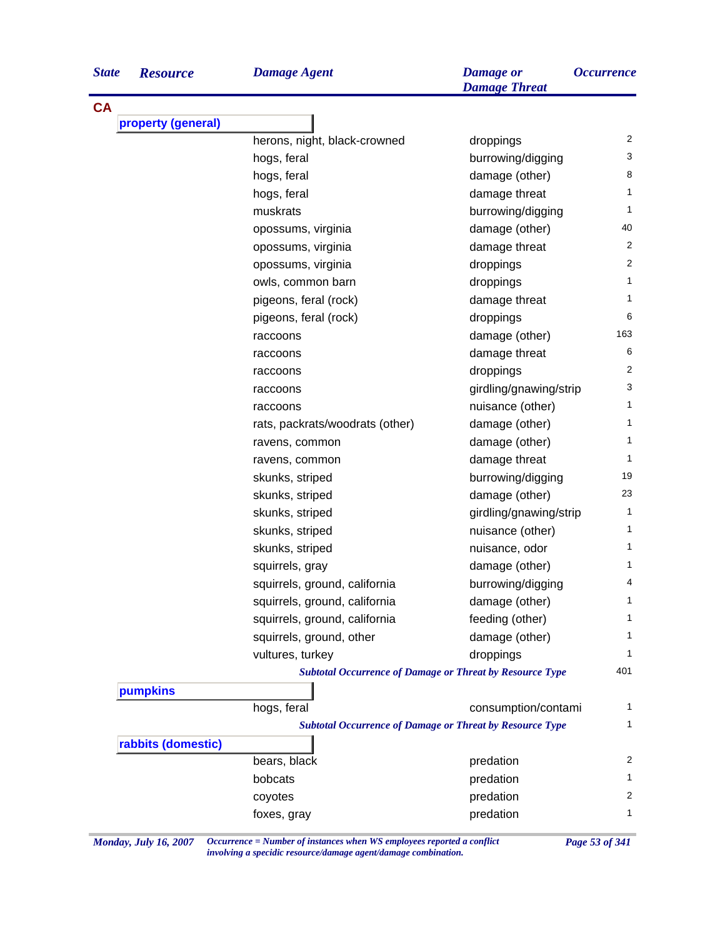| <b>State</b> | <b>Resource</b>    | <b>Damage Agent</b>                                             | <b>Damage or</b><br><b>Damage Threat</b> | <i><b>Occurrence</b></i> |
|--------------|--------------------|-----------------------------------------------------------------|------------------------------------------|--------------------------|
| <b>CA</b>    |                    |                                                                 |                                          |                          |
|              | property (general) |                                                                 |                                          |                          |
|              |                    | herons, night, black-crowned                                    | droppings                                | 2                        |
|              |                    | hogs, feral                                                     | burrowing/digging                        | 3                        |
|              |                    | hogs, feral                                                     | damage (other)                           | 8                        |
|              |                    | hogs, feral                                                     | damage threat                            | 1                        |
|              |                    | muskrats                                                        | burrowing/digging                        | 1                        |
|              |                    | opossums, virginia                                              | damage (other)                           | 40                       |
|              |                    | opossums, virginia                                              | damage threat                            | 2                        |
|              |                    | opossums, virginia                                              | droppings                                | 2                        |
|              |                    | owls, common barn                                               | droppings                                | 1                        |
|              |                    | pigeons, feral (rock)                                           | damage threat                            | 1                        |
|              |                    | pigeons, feral (rock)                                           | droppings                                | 6                        |
|              |                    | raccoons                                                        | damage (other)                           | 163                      |
|              |                    | raccoons                                                        | damage threat                            | 6                        |
|              |                    | raccoons                                                        | droppings                                | 2                        |
|              |                    | raccoons                                                        | girdling/gnawing/strip                   | 3                        |
|              |                    | raccoons                                                        | nuisance (other)                         | 1                        |
|              |                    | rats, packrats/woodrats (other)                                 | damage (other)                           | 1.                       |
|              |                    | ravens, common                                                  | damage (other)                           | 1                        |
|              |                    | ravens, common                                                  | damage threat                            | 1                        |
|              |                    | skunks, striped                                                 | burrowing/digging                        | 19                       |
|              |                    | skunks, striped                                                 | damage (other)                           | 23                       |
|              |                    | skunks, striped                                                 | girdling/gnawing/strip                   | 1                        |
|              |                    | skunks, striped                                                 | nuisance (other)                         | 1                        |
|              |                    | skunks, striped                                                 | nuisance, odor                           | 1.                       |
|              |                    | squirrels, gray                                                 | damage (other)                           | 1.                       |
|              |                    | squirrels, ground, california                                   | burrowing/digging                        | 4                        |
|              |                    | squirrels, ground, california                                   | damage (other)                           | 1                        |
|              |                    | squirrels, ground, california                                   | feeding (other)                          | 1.                       |
|              |                    | squirrels, ground, other                                        | damage (other)                           | 1                        |
|              |                    | vultures, turkey                                                | droppings                                | 1                        |
|              |                    | <b>Subtotal Occurrence of Damage or Threat by Resource Type</b> |                                          | 401                      |
|              | pumpkins           |                                                                 |                                          |                          |
|              |                    | hogs, feral                                                     | consumption/contami                      | 1                        |
|              |                    | <b>Subtotal Occurrence of Damage or Threat by Resource Type</b> |                                          | 1                        |
|              | rabbits (domestic) |                                                                 |                                          |                          |
|              |                    | bears, black                                                    | predation                                | 2                        |
|              |                    | bobcats                                                         | predation                                | 1.                       |
|              |                    | coyotes                                                         | predation                                | 2                        |
|              |                    | foxes, gray                                                     | predation                                | 1                        |

*Monday, July 16, 2007 Occurrence = Number of instances when WS employees reported a conflict Page 53 of 341 involving a specidic resource/damage agent/damage combination.*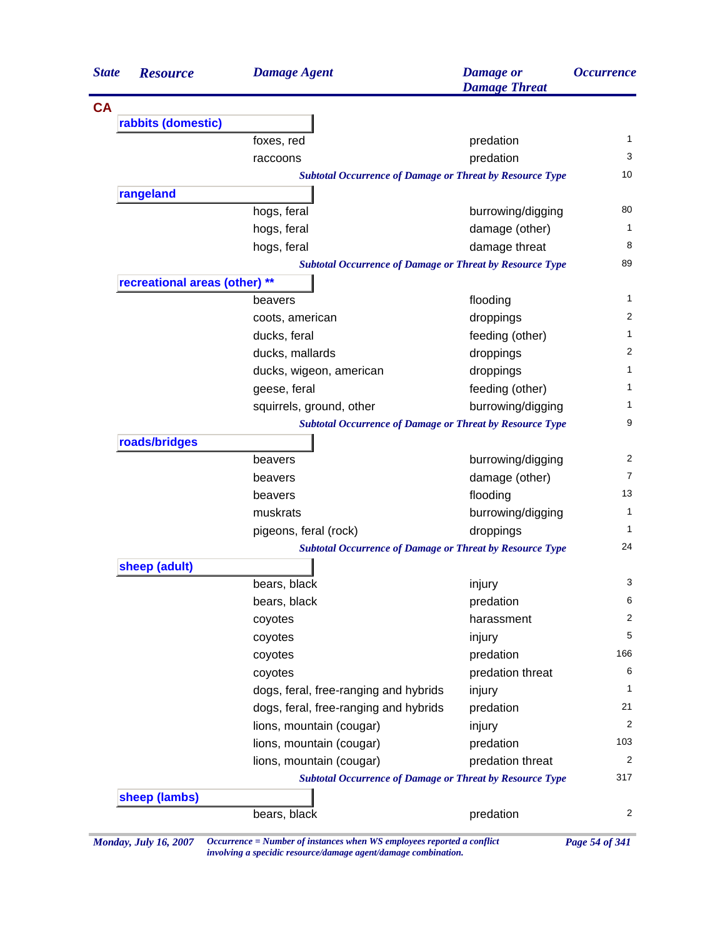| <b>State</b> | <b>Resource</b>               | <b>Damage Agent</b>                                             | <b>Damage</b> or<br><b>Damage Threat</b> | <i><b>Occurrence</b></i> |
|--------------|-------------------------------|-----------------------------------------------------------------|------------------------------------------|--------------------------|
| <b>CA</b>    |                               |                                                                 |                                          |                          |
|              | rabbits (domestic)            |                                                                 |                                          |                          |
|              |                               | foxes, red                                                      | predation                                | 1                        |
|              |                               | raccoons                                                        | predation                                | 3                        |
|              |                               | <b>Subtotal Occurrence of Damage or Threat by Resource Type</b> |                                          | 10                       |
|              | rangeland                     |                                                                 |                                          |                          |
|              |                               | hogs, feral                                                     | burrowing/digging                        | 80                       |
|              |                               | hogs, feral                                                     | damage (other)                           | 1                        |
|              |                               | hogs, feral                                                     | damage threat                            | 8                        |
|              |                               | <b>Subtotal Occurrence of Damage or Threat by Resource Type</b> |                                          | 89                       |
|              | recreational areas (other) ** |                                                                 |                                          |                          |
|              |                               | beavers                                                         | flooding                                 | 1                        |
|              |                               | coots, american                                                 | droppings                                | 2                        |
|              |                               | ducks, feral                                                    | feeding (other)                          | 1                        |
|              |                               | ducks, mallards                                                 | droppings                                | 2                        |
|              |                               | ducks, wigeon, american                                         | droppings                                | 1                        |
|              |                               | geese, feral                                                    | feeding (other)                          | 1                        |
|              |                               | squirrels, ground, other                                        | burrowing/digging                        | 1                        |
|              |                               | <b>Subtotal Occurrence of Damage or Threat by Resource Type</b> |                                          | 9                        |
|              | roads/bridges                 |                                                                 |                                          |                          |
|              |                               | beavers                                                         | burrowing/digging                        | 2                        |
|              |                               | beavers                                                         | damage (other)                           | 7                        |
|              |                               | beavers                                                         | flooding                                 | 13                       |
|              |                               | muskrats                                                        | burrowing/digging                        | 1                        |
|              |                               | pigeons, feral (rock)                                           | droppings                                | 1                        |
|              |                               | <b>Subtotal Occurrence of Damage or Threat by Resource Type</b> |                                          | 24                       |
|              | sheep (adult)                 |                                                                 |                                          |                          |
|              |                               | bears, black                                                    | injury                                   | 3                        |
|              |                               | bears, black                                                    | predation                                | 6                        |
|              |                               | coyotes                                                         | harassment                               | 2                        |
|              |                               | coyotes                                                         | injury                                   | 5                        |
|              |                               | coyotes                                                         | predation                                | 166                      |
|              |                               | coyotes                                                         | predation threat                         | 6                        |
|              |                               | dogs, feral, free-ranging and hybrids                           | injury                                   | 1                        |
|              |                               | dogs, feral, free-ranging and hybrids                           | predation                                | 21                       |
|              |                               | lions, mountain (cougar)                                        | injury                                   | 2                        |
|              |                               | lions, mountain (cougar)                                        | predation                                | 103                      |
|              |                               | lions, mountain (cougar)                                        | predation threat                         | 2                        |
|              |                               | <b>Subtotal Occurrence of Damage or Threat by Resource Type</b> |                                          | 317                      |
|              | sheep (lambs)                 |                                                                 |                                          |                          |
|              |                               | bears, black                                                    | predation                                | 2                        |

*Monday, July 16, 2007 Occurrence = Number of instances when WS employees reported a conflict Page 54 of 341*

*involving a specidic resource/damage agent/damage combination.*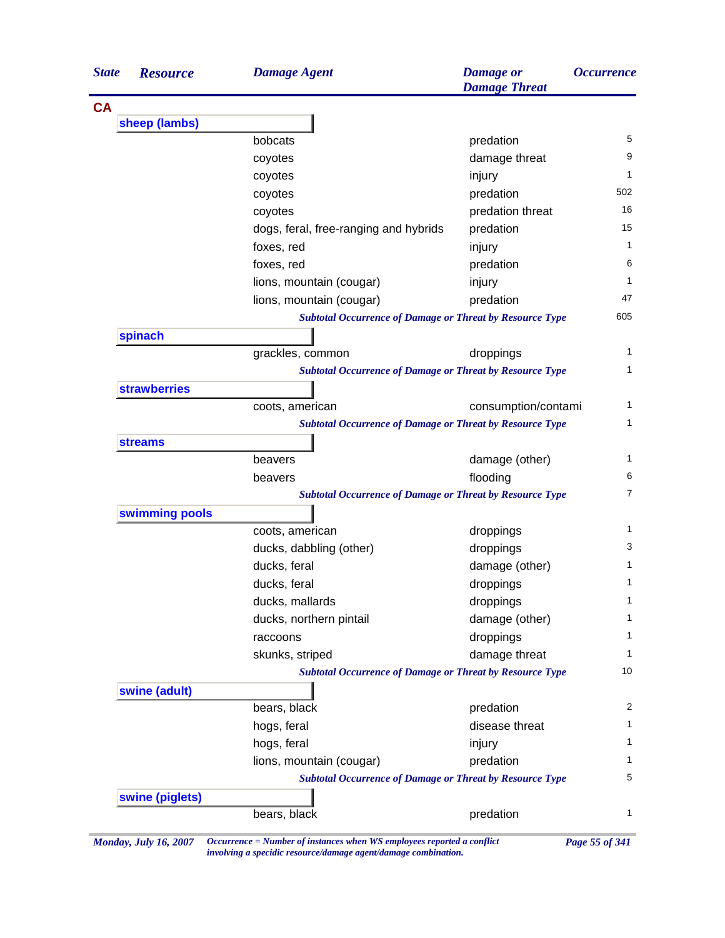| sheep (lambs)<br>5<br>bobcats<br>predation<br>9<br>damage threat<br>coyotes<br>1<br>injury<br>coyotes<br>502<br>predation<br>coyotes<br>16<br>predation threat<br>coyotes<br>15<br>dogs, feral, free-ranging and hybrids<br>predation<br>1<br>foxes, red<br>injury<br>6<br>foxes, red<br>predation<br>1<br>lions, mountain (cougar)<br>injury<br>47<br>lions, mountain (cougar)<br>predation<br>605<br><b>Subtotal Occurrence of Damage or Threat by Resource Type</b><br>spinach<br>1<br>grackles, common<br>droppings<br>1<br><b>Subtotal Occurrence of Damage or Threat by Resource Type</b><br><b>strawberries</b><br>1<br>coots, american<br>consumption/contami<br>1<br><b>Subtotal Occurrence of Damage or Threat by Resource Type</b><br><b>streams</b><br>1<br>damage (other)<br>beavers<br>6<br>flooding<br>beavers<br>$\overline{7}$<br><b>Subtotal Occurrence of Damage or Threat by Resource Type</b><br>swimming pools<br>1<br>coots, american<br>droppings<br>3<br>ducks, dabbling (other)<br>droppings<br>1<br>ducks, feral<br>damage (other)<br>1<br>ducks, feral<br>droppings<br>1<br>ducks, mallards<br>droppings<br>ducks, northern pintail<br>damage (other)<br>1<br>droppings<br>1<br>raccoons<br>damage threat<br>1<br>skunks, striped<br><b>Subtotal Occurrence of Damage or Threat by Resource Type</b><br>10<br>swine (adult)<br>2<br>bears, black<br>predation<br>disease threat<br>hogs, feral<br>1<br>hogs, feral<br>1<br>injury<br>lions, mountain (cougar)<br>predation<br>1<br>5<br><b>Subtotal Occurrence of Damage or Threat by Resource Type</b><br>swine (piglets)<br>1<br>bears, black<br>predation<br>Occurrence = Number of instances when WS employees reported a conflict<br><b>Monday, July 16, 2007</b><br>Page 55 of 341 | <b>State</b> | <b>Resource</b> | <b>Damage Agent</b> | <b>Damage</b> or<br><b>Damage Threat</b> | <i><b>Occurrence</b></i> |  |
|----------------------------------------------------------------------------------------------------------------------------------------------------------------------------------------------------------------------------------------------------------------------------------------------------------------------------------------------------------------------------------------------------------------------------------------------------------------------------------------------------------------------------------------------------------------------------------------------------------------------------------------------------------------------------------------------------------------------------------------------------------------------------------------------------------------------------------------------------------------------------------------------------------------------------------------------------------------------------------------------------------------------------------------------------------------------------------------------------------------------------------------------------------------------------------------------------------------------------------------------------------------------------------------------------------------------------------------------------------------------------------------------------------------------------------------------------------------------------------------------------------------------------------------------------------------------------------------------------------------------------------------------------------------------------------------------------------------------------------------------------------------------|--------------|-----------------|---------------------|------------------------------------------|--------------------------|--|
|                                                                                                                                                                                                                                                                                                                                                                                                                                                                                                                                                                                                                                                                                                                                                                                                                                                                                                                                                                                                                                                                                                                                                                                                                                                                                                                                                                                                                                                                                                                                                                                                                                                                                                                                                                      | <b>CA</b>    |                 |                     |                                          |                          |  |
|                                                                                                                                                                                                                                                                                                                                                                                                                                                                                                                                                                                                                                                                                                                                                                                                                                                                                                                                                                                                                                                                                                                                                                                                                                                                                                                                                                                                                                                                                                                                                                                                                                                                                                                                                                      |              |                 |                     |                                          |                          |  |
|                                                                                                                                                                                                                                                                                                                                                                                                                                                                                                                                                                                                                                                                                                                                                                                                                                                                                                                                                                                                                                                                                                                                                                                                                                                                                                                                                                                                                                                                                                                                                                                                                                                                                                                                                                      |              |                 |                     |                                          |                          |  |
|                                                                                                                                                                                                                                                                                                                                                                                                                                                                                                                                                                                                                                                                                                                                                                                                                                                                                                                                                                                                                                                                                                                                                                                                                                                                                                                                                                                                                                                                                                                                                                                                                                                                                                                                                                      |              |                 |                     |                                          |                          |  |
|                                                                                                                                                                                                                                                                                                                                                                                                                                                                                                                                                                                                                                                                                                                                                                                                                                                                                                                                                                                                                                                                                                                                                                                                                                                                                                                                                                                                                                                                                                                                                                                                                                                                                                                                                                      |              |                 |                     |                                          |                          |  |
|                                                                                                                                                                                                                                                                                                                                                                                                                                                                                                                                                                                                                                                                                                                                                                                                                                                                                                                                                                                                                                                                                                                                                                                                                                                                                                                                                                                                                                                                                                                                                                                                                                                                                                                                                                      |              |                 |                     |                                          |                          |  |
|                                                                                                                                                                                                                                                                                                                                                                                                                                                                                                                                                                                                                                                                                                                                                                                                                                                                                                                                                                                                                                                                                                                                                                                                                                                                                                                                                                                                                                                                                                                                                                                                                                                                                                                                                                      |              |                 |                     |                                          |                          |  |
|                                                                                                                                                                                                                                                                                                                                                                                                                                                                                                                                                                                                                                                                                                                                                                                                                                                                                                                                                                                                                                                                                                                                                                                                                                                                                                                                                                                                                                                                                                                                                                                                                                                                                                                                                                      |              |                 |                     |                                          |                          |  |
|                                                                                                                                                                                                                                                                                                                                                                                                                                                                                                                                                                                                                                                                                                                                                                                                                                                                                                                                                                                                                                                                                                                                                                                                                                                                                                                                                                                                                                                                                                                                                                                                                                                                                                                                                                      |              |                 |                     |                                          |                          |  |
|                                                                                                                                                                                                                                                                                                                                                                                                                                                                                                                                                                                                                                                                                                                                                                                                                                                                                                                                                                                                                                                                                                                                                                                                                                                                                                                                                                                                                                                                                                                                                                                                                                                                                                                                                                      |              |                 |                     |                                          |                          |  |
|                                                                                                                                                                                                                                                                                                                                                                                                                                                                                                                                                                                                                                                                                                                                                                                                                                                                                                                                                                                                                                                                                                                                                                                                                                                                                                                                                                                                                                                                                                                                                                                                                                                                                                                                                                      |              |                 |                     |                                          |                          |  |
|                                                                                                                                                                                                                                                                                                                                                                                                                                                                                                                                                                                                                                                                                                                                                                                                                                                                                                                                                                                                                                                                                                                                                                                                                                                                                                                                                                                                                                                                                                                                                                                                                                                                                                                                                                      |              |                 |                     |                                          |                          |  |
|                                                                                                                                                                                                                                                                                                                                                                                                                                                                                                                                                                                                                                                                                                                                                                                                                                                                                                                                                                                                                                                                                                                                                                                                                                                                                                                                                                                                                                                                                                                                                                                                                                                                                                                                                                      |              |                 |                     |                                          |                          |  |
|                                                                                                                                                                                                                                                                                                                                                                                                                                                                                                                                                                                                                                                                                                                                                                                                                                                                                                                                                                                                                                                                                                                                                                                                                                                                                                                                                                                                                                                                                                                                                                                                                                                                                                                                                                      |              |                 |                     |                                          |                          |  |
|                                                                                                                                                                                                                                                                                                                                                                                                                                                                                                                                                                                                                                                                                                                                                                                                                                                                                                                                                                                                                                                                                                                                                                                                                                                                                                                                                                                                                                                                                                                                                                                                                                                                                                                                                                      |              |                 |                     |                                          |                          |  |
|                                                                                                                                                                                                                                                                                                                                                                                                                                                                                                                                                                                                                                                                                                                                                                                                                                                                                                                                                                                                                                                                                                                                                                                                                                                                                                                                                                                                                                                                                                                                                                                                                                                                                                                                                                      |              |                 |                     |                                          |                          |  |
|                                                                                                                                                                                                                                                                                                                                                                                                                                                                                                                                                                                                                                                                                                                                                                                                                                                                                                                                                                                                                                                                                                                                                                                                                                                                                                                                                                                                                                                                                                                                                                                                                                                                                                                                                                      |              |                 |                     |                                          |                          |  |
|                                                                                                                                                                                                                                                                                                                                                                                                                                                                                                                                                                                                                                                                                                                                                                                                                                                                                                                                                                                                                                                                                                                                                                                                                                                                                                                                                                                                                                                                                                                                                                                                                                                                                                                                                                      |              |                 |                     |                                          |                          |  |
|                                                                                                                                                                                                                                                                                                                                                                                                                                                                                                                                                                                                                                                                                                                                                                                                                                                                                                                                                                                                                                                                                                                                                                                                                                                                                                                                                                                                                                                                                                                                                                                                                                                                                                                                                                      |              |                 |                     |                                          |                          |  |
|                                                                                                                                                                                                                                                                                                                                                                                                                                                                                                                                                                                                                                                                                                                                                                                                                                                                                                                                                                                                                                                                                                                                                                                                                                                                                                                                                                                                                                                                                                                                                                                                                                                                                                                                                                      |              |                 |                     |                                          |                          |  |
|                                                                                                                                                                                                                                                                                                                                                                                                                                                                                                                                                                                                                                                                                                                                                                                                                                                                                                                                                                                                                                                                                                                                                                                                                                                                                                                                                                                                                                                                                                                                                                                                                                                                                                                                                                      |              |                 |                     |                                          |                          |  |
|                                                                                                                                                                                                                                                                                                                                                                                                                                                                                                                                                                                                                                                                                                                                                                                                                                                                                                                                                                                                                                                                                                                                                                                                                                                                                                                                                                                                                                                                                                                                                                                                                                                                                                                                                                      |              |                 |                     |                                          |                          |  |
|                                                                                                                                                                                                                                                                                                                                                                                                                                                                                                                                                                                                                                                                                                                                                                                                                                                                                                                                                                                                                                                                                                                                                                                                                                                                                                                                                                                                                                                                                                                                                                                                                                                                                                                                                                      |              |                 |                     |                                          |                          |  |
|                                                                                                                                                                                                                                                                                                                                                                                                                                                                                                                                                                                                                                                                                                                                                                                                                                                                                                                                                                                                                                                                                                                                                                                                                                                                                                                                                                                                                                                                                                                                                                                                                                                                                                                                                                      |              |                 |                     |                                          |                          |  |
|                                                                                                                                                                                                                                                                                                                                                                                                                                                                                                                                                                                                                                                                                                                                                                                                                                                                                                                                                                                                                                                                                                                                                                                                                                                                                                                                                                                                                                                                                                                                                                                                                                                                                                                                                                      |              |                 |                     |                                          |                          |  |
|                                                                                                                                                                                                                                                                                                                                                                                                                                                                                                                                                                                                                                                                                                                                                                                                                                                                                                                                                                                                                                                                                                                                                                                                                                                                                                                                                                                                                                                                                                                                                                                                                                                                                                                                                                      |              |                 |                     |                                          |                          |  |
|                                                                                                                                                                                                                                                                                                                                                                                                                                                                                                                                                                                                                                                                                                                                                                                                                                                                                                                                                                                                                                                                                                                                                                                                                                                                                                                                                                                                                                                                                                                                                                                                                                                                                                                                                                      |              |                 |                     |                                          |                          |  |
|                                                                                                                                                                                                                                                                                                                                                                                                                                                                                                                                                                                                                                                                                                                                                                                                                                                                                                                                                                                                                                                                                                                                                                                                                                                                                                                                                                                                                                                                                                                                                                                                                                                                                                                                                                      |              |                 |                     |                                          |                          |  |
|                                                                                                                                                                                                                                                                                                                                                                                                                                                                                                                                                                                                                                                                                                                                                                                                                                                                                                                                                                                                                                                                                                                                                                                                                                                                                                                                                                                                                                                                                                                                                                                                                                                                                                                                                                      |              |                 |                     |                                          |                          |  |
|                                                                                                                                                                                                                                                                                                                                                                                                                                                                                                                                                                                                                                                                                                                                                                                                                                                                                                                                                                                                                                                                                                                                                                                                                                                                                                                                                                                                                                                                                                                                                                                                                                                                                                                                                                      |              |                 |                     |                                          |                          |  |
|                                                                                                                                                                                                                                                                                                                                                                                                                                                                                                                                                                                                                                                                                                                                                                                                                                                                                                                                                                                                                                                                                                                                                                                                                                                                                                                                                                                                                                                                                                                                                                                                                                                                                                                                                                      |              |                 |                     |                                          |                          |  |
|                                                                                                                                                                                                                                                                                                                                                                                                                                                                                                                                                                                                                                                                                                                                                                                                                                                                                                                                                                                                                                                                                                                                                                                                                                                                                                                                                                                                                                                                                                                                                                                                                                                                                                                                                                      |              |                 |                     |                                          |                          |  |
|                                                                                                                                                                                                                                                                                                                                                                                                                                                                                                                                                                                                                                                                                                                                                                                                                                                                                                                                                                                                                                                                                                                                                                                                                                                                                                                                                                                                                                                                                                                                                                                                                                                                                                                                                                      |              |                 |                     |                                          |                          |  |
|                                                                                                                                                                                                                                                                                                                                                                                                                                                                                                                                                                                                                                                                                                                                                                                                                                                                                                                                                                                                                                                                                                                                                                                                                                                                                                                                                                                                                                                                                                                                                                                                                                                                                                                                                                      |              |                 |                     |                                          |                          |  |
|                                                                                                                                                                                                                                                                                                                                                                                                                                                                                                                                                                                                                                                                                                                                                                                                                                                                                                                                                                                                                                                                                                                                                                                                                                                                                                                                                                                                                                                                                                                                                                                                                                                                                                                                                                      |              |                 |                     |                                          |                          |  |
|                                                                                                                                                                                                                                                                                                                                                                                                                                                                                                                                                                                                                                                                                                                                                                                                                                                                                                                                                                                                                                                                                                                                                                                                                                                                                                                                                                                                                                                                                                                                                                                                                                                                                                                                                                      |              |                 |                     |                                          |                          |  |
|                                                                                                                                                                                                                                                                                                                                                                                                                                                                                                                                                                                                                                                                                                                                                                                                                                                                                                                                                                                                                                                                                                                                                                                                                                                                                                                                                                                                                                                                                                                                                                                                                                                                                                                                                                      |              |                 |                     |                                          |                          |  |
|                                                                                                                                                                                                                                                                                                                                                                                                                                                                                                                                                                                                                                                                                                                                                                                                                                                                                                                                                                                                                                                                                                                                                                                                                                                                                                                                                                                                                                                                                                                                                                                                                                                                                                                                                                      |              |                 |                     |                                          |                          |  |
|                                                                                                                                                                                                                                                                                                                                                                                                                                                                                                                                                                                                                                                                                                                                                                                                                                                                                                                                                                                                                                                                                                                                                                                                                                                                                                                                                                                                                                                                                                                                                                                                                                                                                                                                                                      |              |                 |                     |                                          |                          |  |
|                                                                                                                                                                                                                                                                                                                                                                                                                                                                                                                                                                                                                                                                                                                                                                                                                                                                                                                                                                                                                                                                                                                                                                                                                                                                                                                                                                                                                                                                                                                                                                                                                                                                                                                                                                      |              |                 |                     |                                          |                          |  |
|                                                                                                                                                                                                                                                                                                                                                                                                                                                                                                                                                                                                                                                                                                                                                                                                                                                                                                                                                                                                                                                                                                                                                                                                                                                                                                                                                                                                                                                                                                                                                                                                                                                                                                                                                                      |              |                 |                     |                                          |                          |  |
|                                                                                                                                                                                                                                                                                                                                                                                                                                                                                                                                                                                                                                                                                                                                                                                                                                                                                                                                                                                                                                                                                                                                                                                                                                                                                                                                                                                                                                                                                                                                                                                                                                                                                                                                                                      |              |                 |                     |                                          |                          |  |

*involving a specidic resource/damage agent/damage combination.*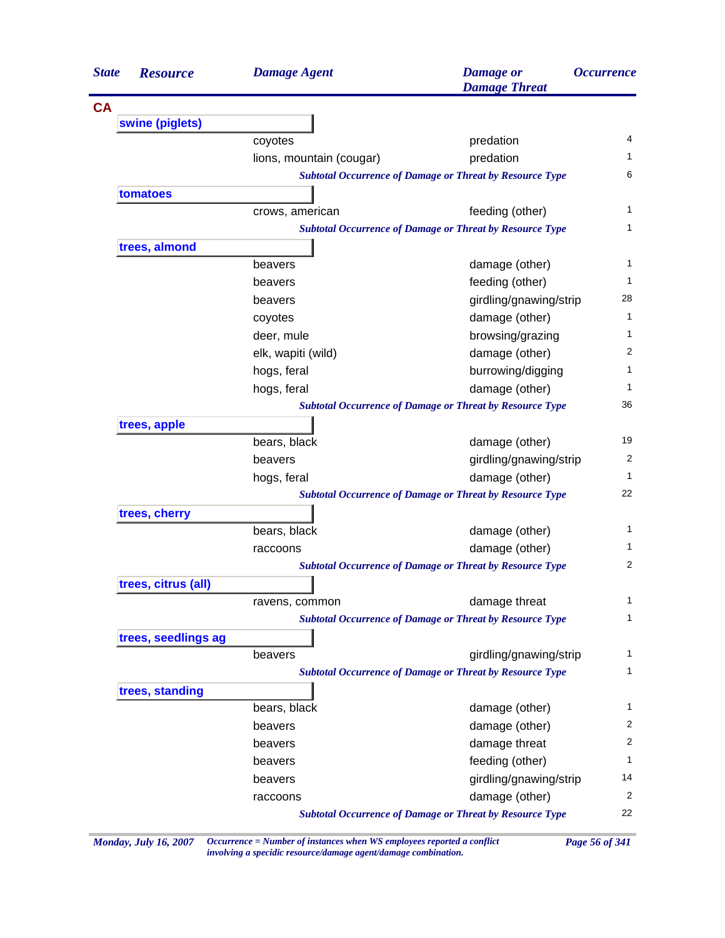| <b>State</b><br><b>Resource</b> | <b>Damage Agent</b>      | <b>Damage</b> or<br><b>Damage Threat</b>                        | <i><b>Occurrence</b></i> |
|---------------------------------|--------------------------|-----------------------------------------------------------------|--------------------------|
|                                 |                          |                                                                 |                          |
| swine (piglets)                 |                          |                                                                 |                          |
|                                 | coyotes                  | predation                                                       | 4                        |
|                                 | lions, mountain (cougar) | predation                                                       | 1.                       |
|                                 |                          | <b>Subtotal Occurrence of Damage or Threat by Resource Type</b> | 6                        |
| tomatoes                        |                          |                                                                 |                          |
|                                 | crows, american          | feeding (other)                                                 | 1                        |
|                                 |                          | <b>Subtotal Occurrence of Damage or Threat by Resource Type</b> | 1                        |
| trees, almond                   |                          |                                                                 |                          |
|                                 | beavers                  | damage (other)                                                  | 1                        |
|                                 | beavers                  | feeding (other)                                                 | 1                        |
|                                 | beavers                  | girdling/gnawing/strip                                          | 28                       |
|                                 | coyotes                  | damage (other)                                                  | 1                        |
|                                 | deer, mule               | browsing/grazing                                                | 1                        |
|                                 | elk, wapiti (wild)       | damage (other)                                                  | 2                        |
|                                 | hogs, feral              | burrowing/digging                                               | 1                        |
|                                 | hogs, feral              | damage (other)                                                  | 1                        |
|                                 |                          | <b>Subtotal Occurrence of Damage or Threat by Resource Type</b> | 36                       |
| trees, apple                    |                          |                                                                 |                          |
|                                 | bears, black             | damage (other)                                                  | 19                       |
|                                 | beavers                  | girdling/gnawing/strip                                          | 2                        |
|                                 | hogs, feral              | damage (other)                                                  | 1                        |
|                                 |                          | <b>Subtotal Occurrence of Damage or Threat by Resource Type</b> | 22                       |
| trees, cherry                   |                          |                                                                 |                          |
|                                 | bears, black             | damage (other)                                                  | 1                        |
|                                 | raccoons                 | damage (other)                                                  | 1                        |
|                                 |                          | <b>Subtotal Occurrence of Damage or Threat by Resource Type</b> | $\overline{2}$           |
| trees, citrus (all)             |                          |                                                                 |                          |
|                                 | ravens, common           | damage threat                                                   | 1                        |
|                                 |                          | <b>Subtotal Occurrence of Damage or Threat by Resource Type</b> | 1                        |
| trees, seedlings ag             |                          |                                                                 |                          |
|                                 | beavers                  | girdling/gnawing/strip                                          | 1                        |
|                                 |                          | <b>Subtotal Occurrence of Damage or Threat by Resource Type</b> | 1                        |
| trees, standing                 |                          |                                                                 |                          |
|                                 | bears, black             | damage (other)                                                  | 1                        |
|                                 | beavers                  | damage (other)                                                  | 2                        |
|                                 | beavers                  | damage threat                                                   | 2                        |
|                                 | beavers                  | feeding (other)                                                 | 1                        |
|                                 | beavers                  | girdling/gnawing/strip                                          | 14                       |
|                                 | raccoons                 | damage (other)                                                  | $\overline{2}$           |
|                                 |                          | <b>Subtotal Occurrence of Damage or Threat by Resource Type</b> | 22                       |

*Monday, July 16, 2007 Occurrence = Number of instances when WS employees reported a conflict Page 56 of 341 involving a specidic resource/damage agent/damage combination.*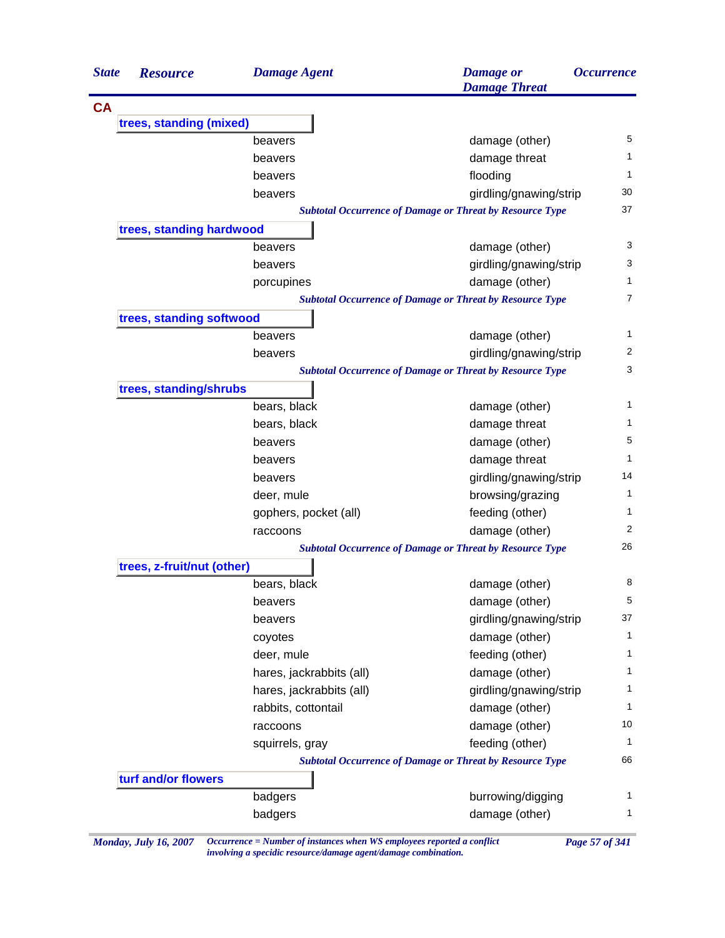| <b>State</b> | <b>Resource</b>            | <b>Damage Agent</b>      | <b>Damage</b> or<br><b>Damage Threat</b>                        | <i><b>Occurrence</b></i> |
|--------------|----------------------------|--------------------------|-----------------------------------------------------------------|--------------------------|
| <b>CA</b>    |                            |                          |                                                                 |                          |
|              | trees, standing (mixed)    |                          |                                                                 |                          |
|              |                            | beavers                  | damage (other)                                                  | 5                        |
|              |                            | beavers                  | damage threat                                                   | 1                        |
|              |                            | beavers                  | flooding                                                        | 1                        |
|              |                            | beavers                  | girdling/gnawing/strip                                          | 30                       |
|              |                            |                          | <b>Subtotal Occurrence of Damage or Threat by Resource Type</b> | 37                       |
|              | trees, standing hardwood   |                          |                                                                 |                          |
|              |                            | beavers                  | damage (other)                                                  | 3                        |
|              |                            | beavers                  | girdling/gnawing/strip                                          | 3                        |
|              |                            | porcupines               | damage (other)                                                  | 1                        |
|              |                            |                          | <b>Subtotal Occurrence of Damage or Threat by Resource Type</b> | $\overline{7}$           |
|              | trees, standing softwood   |                          |                                                                 |                          |
|              |                            | beavers                  | damage (other)                                                  | 1                        |
|              |                            | beavers                  | girdling/gnawing/strip                                          | 2                        |
|              |                            |                          | <b>Subtotal Occurrence of Damage or Threat by Resource Type</b> | 3                        |
|              | trees, standing/shrubs     |                          |                                                                 |                          |
|              |                            | bears, black             | damage (other)                                                  | 1                        |
|              |                            | bears, black             | damage threat                                                   | 1                        |
|              |                            | beavers                  | damage (other)                                                  | 5                        |
|              |                            | beavers                  | damage threat                                                   | 1                        |
|              |                            | beavers                  | girdling/gnawing/strip                                          | 14                       |
|              |                            | deer, mule               | browsing/grazing                                                | 1                        |
|              |                            | gophers, pocket (all)    | feeding (other)                                                 | 1                        |
|              |                            | raccoons                 | damage (other)                                                  | 2                        |
|              |                            |                          | <b>Subtotal Occurrence of Damage or Threat by Resource Type</b> | 26                       |
|              | trees, z-fruit/nut (other) |                          |                                                                 |                          |
|              |                            | bears, black             | damage (other)                                                  | 8                        |
|              |                            | beavers                  | damage (other)                                                  | 5                        |
|              |                            | beavers                  | girdling/gnawing/strip                                          | 37                       |
|              |                            | coyotes                  | damage (other)                                                  | $\mathbf{1}$             |
|              |                            | deer, mule               | feeding (other)                                                 | 1                        |
|              |                            | hares, jackrabbits (all) | damage (other)                                                  | 1                        |
|              |                            | hares, jackrabbits (all) | girdling/gnawing/strip                                          | 1                        |
|              |                            | rabbits, cottontail      | damage (other)                                                  | $\mathbf{1}$             |
|              |                            | raccoons                 | damage (other)                                                  | 10                       |
|              |                            | squirrels, gray          | feeding (other)                                                 | 1                        |
|              |                            |                          | <b>Subtotal Occurrence of Damage or Threat by Resource Type</b> | 66                       |
|              | turf and/or flowers        |                          |                                                                 |                          |
|              |                            | badgers                  | burrowing/digging                                               | 1                        |
|              |                            | badgers                  | damage (other)                                                  | $\mathbf{1}$             |

*Monday, July 16, 2007 Occurrence = Number of instances when WS employees reported a conflict Page 57 of 341 involving a specidic resource/damage agent/damage combination.*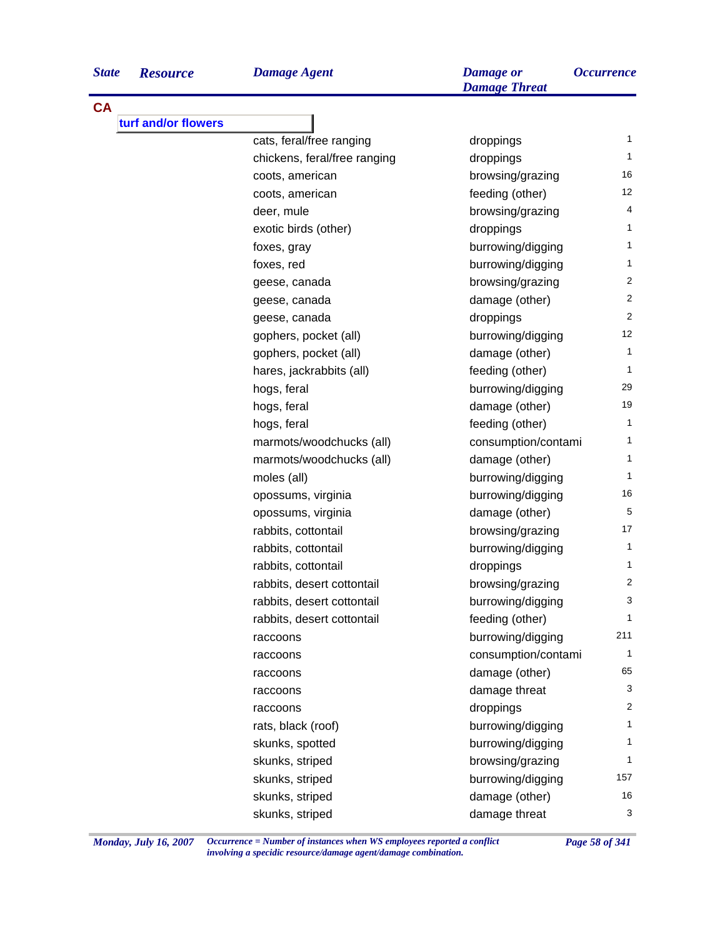**turf and/or flowers**

**CA**

*Damage Agent Damage or State Resource Occurrence*

| cats, feral/free ranging     | droppings           | 1                       |
|------------------------------|---------------------|-------------------------|
| chickens, feral/free ranging | droppings           | $\mathbf{1}$            |
| coots, american              | browsing/grazing    | 16                      |
| coots, american              | feeding (other)     | 12                      |
| deer, mule                   | browsing/grazing    | 4                       |
| exotic birds (other)         | droppings           | $\mathbf{1}$            |
| foxes, gray                  | burrowing/digging   | 1                       |
| foxes, red                   | burrowing/digging   | $\mathbf{1}$            |
| geese, canada                | browsing/grazing    | 2                       |
| geese, canada                | damage (other)      | 2                       |
| geese, canada                | droppings           | 2                       |
| gophers, pocket (all)        | burrowing/digging   | 12                      |
| gophers, pocket (all)        | damage (other)      | 1                       |
| hares, jackrabbits (all)     | feeding (other)     | 1                       |
| hogs, feral                  | burrowing/digging   | 29                      |
| hogs, feral                  | damage (other)      | 19                      |
| hogs, feral                  | feeding (other)     | 1                       |
| marmots/woodchucks (all)     | consumption/contami | 1                       |
| marmots/woodchucks (all)     | damage (other)      | 1                       |
| moles (all)                  | burrowing/digging   | 1                       |
| opossums, virginia           | burrowing/digging   | 16                      |
| opossums, virginia           | damage (other)      | 5                       |
| rabbits, cottontail          | browsing/grazing    | 17                      |
| rabbits, cottontail          | burrowing/digging   | 1                       |
| rabbits, cottontail          | droppings           | 1                       |
| rabbits, desert cottontail   | browsing/grazing    | $\overline{\mathbf{c}}$ |
| rabbits, desert cottontail   | burrowing/digging   | 3                       |
| rabbits, desert cottontail   | feeding (other)     | 1                       |
| raccoons                     | burrowing/digging   | 211                     |
| raccoons                     | consumption/contami | 1                       |
| raccoons                     | damage (other)      | 65                      |
| raccoons                     | damage threat       | 3                       |
| raccoons                     | droppings           | 2                       |
| rats, black (roof)           | burrowing/digging   | 1                       |
| skunks, spotted              | burrowing/digging   | 1                       |
| skunks, striped              | browsing/grazing    | 1                       |
| skunks, striped              | burrowing/digging   | 157                     |
| skunks, striped              | damage (other)      | 16                      |
| skunks, striped              | damage threat       | 3                       |

*Damage Threat*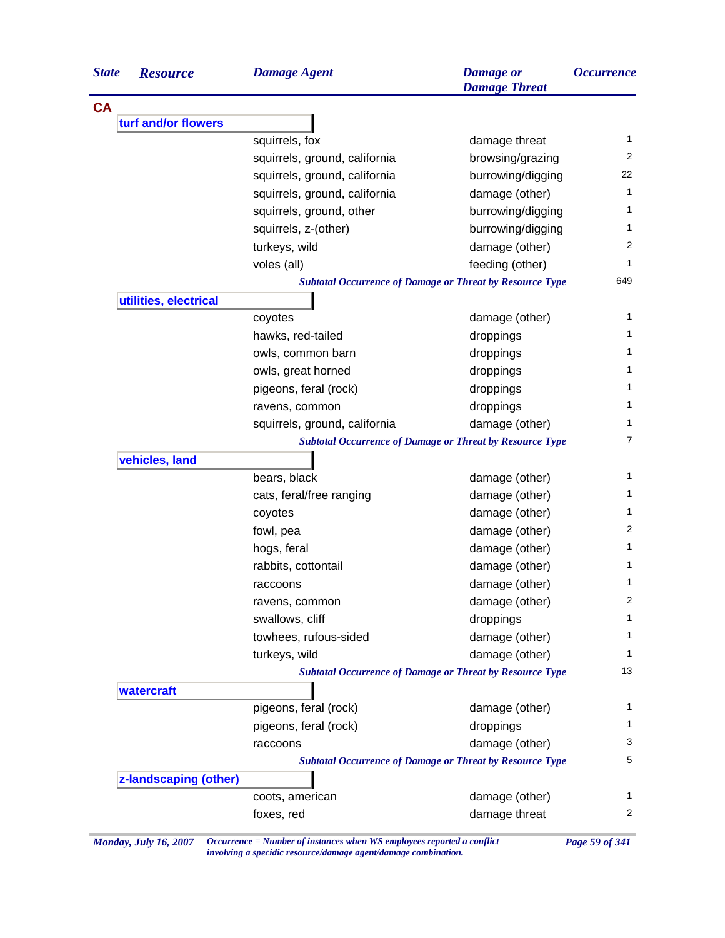| <b>State</b> | <b>Resource</b>       | <b>Damage Agent</b>           | <b>Damage</b> or<br><b>Damage Threat</b>                        | <i><b>Occurrence</b></i> |
|--------------|-----------------------|-------------------------------|-----------------------------------------------------------------|--------------------------|
| <b>CA</b>    |                       |                               |                                                                 |                          |
|              | turf and/or flowers   |                               |                                                                 |                          |
|              |                       | squirrels, fox                | damage threat                                                   | 1                        |
|              |                       | squirrels, ground, california | browsing/grazing                                                | 2                        |
|              |                       | squirrels, ground, california | burrowing/digging                                               | 22                       |
|              |                       | squirrels, ground, california | damage (other)                                                  | 1                        |
|              |                       | squirrels, ground, other      | burrowing/digging                                               | 1                        |
|              |                       | squirrels, z-(other)          | burrowing/digging                                               | 1                        |
|              |                       | turkeys, wild                 | damage (other)                                                  | $\overline{2}$           |
|              |                       | voles (all)                   | feeding (other)                                                 | 1                        |
|              |                       |                               | <b>Subtotal Occurrence of Damage or Threat by Resource Type</b> | 649                      |
|              | utilities, electrical |                               |                                                                 |                          |
|              |                       | coyotes                       | damage (other)                                                  | 1                        |
|              |                       | hawks, red-tailed             | droppings                                                       | 1                        |
|              |                       | owls, common barn             | droppings                                                       | 1                        |
|              |                       | owls, great horned            | droppings                                                       | 1                        |
|              |                       | pigeons, feral (rock)         | droppings                                                       | $\mathbf{1}$             |
|              |                       | ravens, common                | droppings                                                       | $\mathbf{1}$             |
|              |                       | squirrels, ground, california | damage (other)                                                  | $\mathbf{1}$             |
|              |                       |                               | <b>Subtotal Occurrence of Damage or Threat by Resource Type</b> | $\overline{7}$           |
|              | vehicles, land        |                               |                                                                 |                          |
|              |                       | bears, black                  | damage (other)                                                  | 1                        |
|              |                       | cats, feral/free ranging      | damage (other)                                                  | 1                        |
|              |                       | coyotes                       | damage (other)                                                  | $\mathbf{1}$             |
|              |                       | fowl, pea                     | damage (other)                                                  | 2                        |
|              |                       | hogs, feral                   | damage (other)                                                  | 1                        |
|              |                       | rabbits, cottontail           | damage (other)                                                  | 1                        |
|              |                       | raccoons                      | damage (other)                                                  | 1                        |
|              |                       | ravens, common                | damage (other)                                                  | 2                        |
|              |                       | swallows, cliff               | droppings                                                       | 1                        |
|              |                       | towhees, rufous-sided         | damage (other)                                                  | $\mathbf{1}$             |
|              |                       | turkeys, wild                 | damage (other)                                                  | 1                        |
|              |                       |                               | <b>Subtotal Occurrence of Damage or Threat by Resource Type</b> | 13                       |
|              | watercraft            |                               |                                                                 |                          |
|              |                       | pigeons, feral (rock)         | damage (other)                                                  | 1                        |
|              |                       | pigeons, feral (rock)         | droppings                                                       | $\mathbf{1}$             |
|              |                       | raccoons                      | damage (other)                                                  | 3                        |
|              |                       |                               | <b>Subtotal Occurrence of Damage or Threat by Resource Type</b> | 5                        |
|              | z-landscaping (other) |                               |                                                                 |                          |
|              |                       | coots, american               | damage (other)                                                  | 1                        |
|              |                       | foxes, red                    | damage threat                                                   | 2                        |

*Monday, July 16, 2007 Occurrence = Number of instances when WS employees reported a conflict Page 59 of 341 involving a specidic resource/damage agent/damage combination.*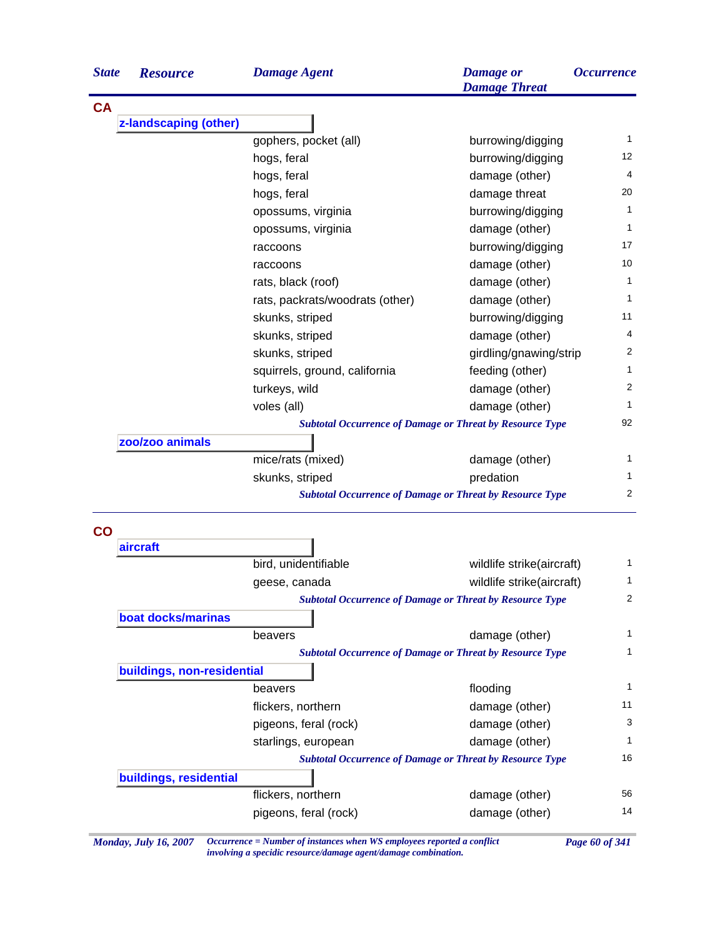| <b>State</b>   | <b>Resource</b>            | <b>Damage Agent</b>                                             | <b>Damage</b> or<br><b>Damage Threat</b> | <i><b>Occurrence</b></i>                               |
|----------------|----------------------------|-----------------------------------------------------------------|------------------------------------------|--------------------------------------------------------|
| <b>CA</b>      |                            |                                                                 |                                          |                                                        |
|                | z-landscaping (other)      |                                                                 |                                          |                                                        |
|                |                            | gophers, pocket (all)                                           | burrowing/digging                        | 1                                                      |
|                |                            | hogs, feral                                                     | burrowing/digging                        | 12                                                     |
|                |                            | hogs, feral                                                     | damage (other)                           | 4                                                      |
|                |                            | hogs, feral                                                     | damage threat                            | 20                                                     |
|                |                            | opossums, virginia                                              | burrowing/digging                        | 1                                                      |
|                |                            | opossums, virginia                                              | damage (other)                           | 1                                                      |
|                |                            | raccoons                                                        | burrowing/digging                        | 17                                                     |
|                |                            | raccoons                                                        | damage (other)                           | 10                                                     |
|                |                            | rats, black (roof)                                              | damage (other)                           | 1                                                      |
|                |                            | rats, packrats/woodrats (other)                                 | damage (other)                           | 1                                                      |
|                |                            | skunks, striped                                                 | burrowing/digging                        | 11                                                     |
|                |                            | skunks, striped                                                 | damage (other)                           | 4                                                      |
|                |                            | skunks, striped                                                 | girdling/gnawing/strip                   | 2                                                      |
|                |                            | squirrels, ground, california                                   | feeding (other)                          | 1                                                      |
|                |                            | turkeys, wild                                                   | damage (other)                           | 2                                                      |
|                |                            | voles (all)                                                     | damage (other)                           | 1                                                      |
|                |                            | <b>Subtotal Occurrence of Damage or Threat by Resource Type</b> |                                          | 92                                                     |
|                | zoo/zoo animals            |                                                                 |                                          |                                                        |
|                |                            | mice/rats (mixed)                                               | damage (other)                           | 1                                                      |
|                |                            | skunks, striped                                                 | predation                                | 1                                                      |
|                |                            | <b>Subtotal Occurrence of Damage or Threat by Resource Type</b> |                                          | $\overline{2}$                                         |
| $\overline{c}$ |                            |                                                                 |                                          |                                                        |
|                | aircraft                   |                                                                 |                                          |                                                        |
|                |                            |                                                                 |                                          |                                                        |
|                |                            | bird, unidentifiable                                            | wildlife strike(aircraft)                |                                                        |
|                |                            | geese, canada                                                   | wildlife strike(aircraft)                |                                                        |
|                |                            | <b>Subtotal Occurrence of Damage or Threat by Resource Type</b> |                                          |                                                        |
|                | boat docks/marinas         |                                                                 |                                          |                                                        |
|                |                            | beavers                                                         | damage (other)                           |                                                        |
|                |                            | <b>Subtotal Occurrence of Damage or Threat by Resource Type</b> |                                          |                                                        |
|                | buildings, non-residential |                                                                 |                                          |                                                        |
|                |                            | beavers                                                         | flooding                                 |                                                        |
|                |                            | flickers, northern                                              | damage (other)                           |                                                        |
|                |                            | pigeons, feral (rock)                                           | damage (other)                           |                                                        |
|                |                            | starlings, european                                             | damage (other)                           |                                                        |
|                |                            | <b>Subtotal Occurrence of Damage or Threat by Resource Type</b> |                                          |                                                        |
|                | buildings, residential     |                                                                 |                                          |                                                        |
|                |                            | flickers, northern                                              | damage (other)                           | 1<br>1<br>2<br>1<br>1<br>1<br>11<br>3<br>1<br>16<br>56 |

*Monday, July 16, 2007 Occurrence = Number of instances when WS employees reported a conflict Page 60 of 341 involving a specidic resource/damage agent/damage combination.*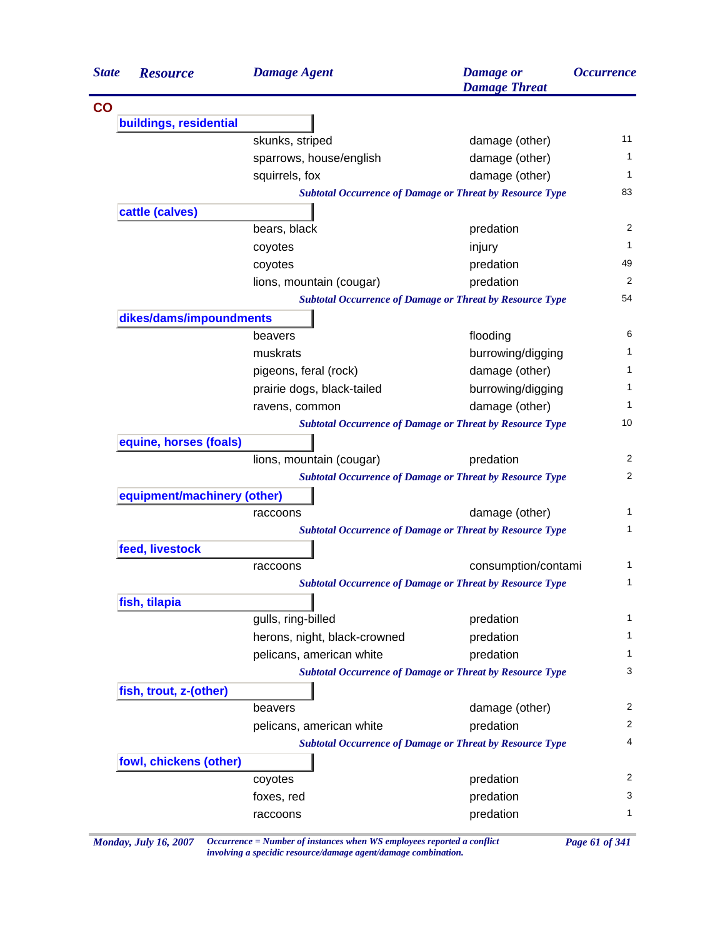| <b>State</b><br><b>Resource</b> | <b>Damage Agent</b>                                             | <b>Damage</b> or<br><b>Damage Threat</b> | <i><b>Occurrence</b></i> |
|---------------------------------|-----------------------------------------------------------------|------------------------------------------|--------------------------|
|                                 |                                                                 |                                          |                          |
| buildings, residential          |                                                                 |                                          |                          |
|                                 | skunks, striped                                                 | damage (other)                           | 11                       |
|                                 | sparrows, house/english                                         | damage (other)                           | 1                        |
|                                 | squirrels, fox                                                  | damage (other)                           | 1                        |
|                                 | <b>Subtotal Occurrence of Damage or Threat by Resource Type</b> |                                          | 83                       |
| cattle (calves)                 |                                                                 |                                          |                          |
|                                 | bears, black                                                    | predation                                | 2                        |
|                                 | coyotes                                                         | injury                                   | 1                        |
|                                 | coyotes                                                         | predation                                | 49                       |
|                                 | lions, mountain (cougar)                                        | predation                                | 2                        |
|                                 | <b>Subtotal Occurrence of Damage or Threat by Resource Type</b> |                                          | 54                       |
| dikes/dams/impoundments         |                                                                 |                                          |                          |
|                                 | beavers                                                         | flooding                                 | 6                        |
|                                 | muskrats                                                        | burrowing/digging                        | 1.                       |
|                                 | pigeons, feral (rock)                                           | damage (other)                           | 1.                       |
|                                 | prairie dogs, black-tailed                                      | burrowing/digging                        | 1                        |
|                                 | ravens, common                                                  | damage (other)                           | 1                        |
|                                 | <b>Subtotal Occurrence of Damage or Threat by Resource Type</b> |                                          | 10                       |
| equine, horses (foals)          |                                                                 |                                          |                          |
|                                 | lions, mountain (cougar)                                        | predation                                | 2                        |
|                                 | <b>Subtotal Occurrence of Damage or Threat by Resource Type</b> |                                          | 2                        |
| equipment/machinery (other)     |                                                                 |                                          |                          |
|                                 | raccoons                                                        | damage (other)                           | 1                        |
|                                 | <b>Subtotal Occurrence of Damage or Threat by Resource Type</b> |                                          | 1                        |
| feed, livestock                 |                                                                 |                                          |                          |
|                                 | raccoons                                                        | consumption/contami                      | 1                        |
|                                 | <b>Subtotal Occurrence of Damage or Threat by Resource Type</b> |                                          | 1                        |
| fish, tilapia                   |                                                                 |                                          |                          |
|                                 | gulls, ring-billed                                              | predation                                | 1                        |
|                                 | herons, night, black-crowned                                    | predation                                | 1                        |
|                                 | pelicans, american white                                        | predation                                | 1                        |
|                                 | <b>Subtotal Occurrence of Damage or Threat by Resource Type</b> |                                          | 3                        |
| fish, trout, z-(other)          |                                                                 |                                          |                          |
|                                 | beavers                                                         | damage (other)                           | $\overline{c}$           |
|                                 | pelicans, american white                                        | predation                                | 2                        |
|                                 | <b>Subtotal Occurrence of Damage or Threat by Resource Type</b> |                                          | 4                        |
| fowl, chickens (other)          |                                                                 |                                          |                          |
|                                 | coyotes                                                         | predation                                | 2                        |
|                                 | foxes, red                                                      | predation                                | 3                        |
|                                 |                                                                 |                                          |                          |

*Monday, July 16, 2007 Occurrence = Number of instances when WS employees reported a conflict Page 61 of 341 involving a specidic resource/damage agent/damage combination.*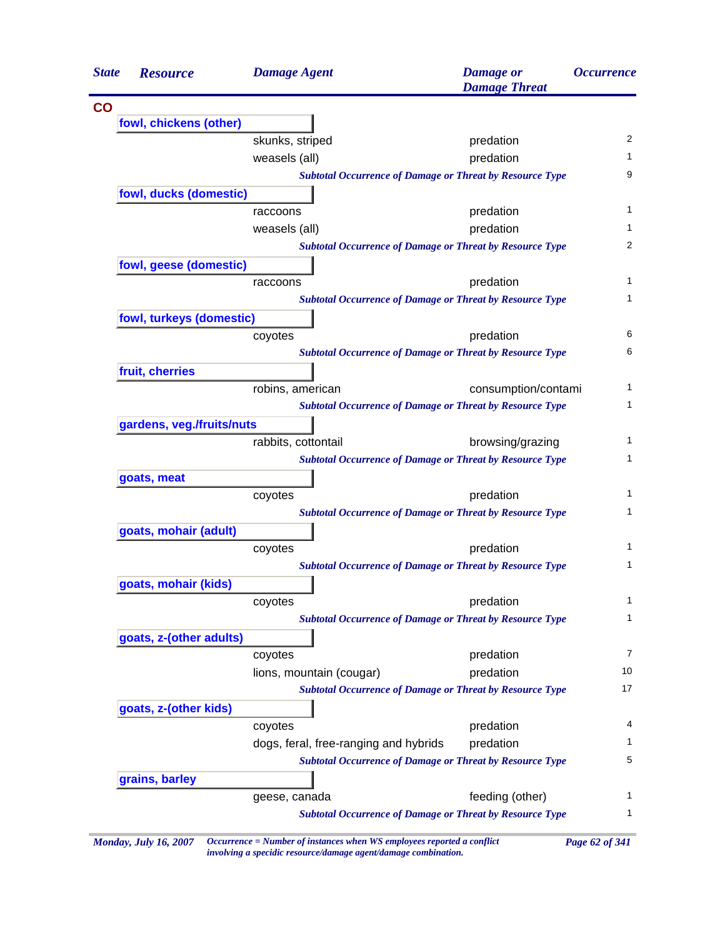| <b>State</b>  | <b>Resource</b>           | <b>Damage Agent</b>                   | <b>Damage</b> or<br><b>Damage Threat</b>                        | <i><b>Occurrence</b></i> |
|---------------|---------------------------|---------------------------------------|-----------------------------------------------------------------|--------------------------|
| $\mathbf{CO}$ |                           |                                       |                                                                 |                          |
|               | fowl, chickens (other)    |                                       |                                                                 |                          |
|               |                           | skunks, striped                       | predation                                                       | 2                        |
|               |                           | weasels (all)                         | predation                                                       | 1                        |
|               |                           |                                       | <b>Subtotal Occurrence of Damage or Threat by Resource Type</b> | 9                        |
|               | fowl, ducks (domestic)    |                                       |                                                                 |                          |
|               |                           | raccoons                              | predation                                                       | 1                        |
|               |                           | weasels (all)                         | predation                                                       | 1                        |
|               |                           |                                       | <b>Subtotal Occurrence of Damage or Threat by Resource Type</b> | 2                        |
|               | fowl, geese (domestic)    |                                       |                                                                 |                          |
|               |                           | raccoons                              | predation                                                       | 1                        |
|               |                           |                                       | <b>Subtotal Occurrence of Damage or Threat by Resource Type</b> | 1                        |
|               | fowl, turkeys (domestic)  |                                       |                                                                 |                          |
|               |                           | coyotes                               | predation                                                       | 6                        |
|               |                           |                                       | <b>Subtotal Occurrence of Damage or Threat by Resource Type</b> | 6                        |
|               | fruit, cherries           |                                       |                                                                 |                          |
|               |                           | robins, american                      | consumption/contami                                             | 1                        |
|               |                           |                                       | <b>Subtotal Occurrence of Damage or Threat by Resource Type</b> | 1                        |
|               | gardens, veg./fruits/nuts |                                       |                                                                 |                          |
|               |                           | rabbits, cottontail                   | browsing/grazing                                                | 1                        |
|               |                           |                                       | <b>Subtotal Occurrence of Damage or Threat by Resource Type</b> | 1                        |
|               | goats, meat               |                                       |                                                                 |                          |
|               |                           | coyotes                               | predation                                                       | 1                        |
|               |                           |                                       | <b>Subtotal Occurrence of Damage or Threat by Resource Type</b> | 1                        |
|               | goats, mohair (adult)     |                                       |                                                                 |                          |
|               |                           | coyotes                               | predation                                                       | 1                        |
|               |                           |                                       | <b>Subtotal Occurrence of Damage or Threat by Resource Type</b> | 1                        |
|               | goats, mohair (kids)      |                                       |                                                                 |                          |
|               |                           | coyotes                               | predation                                                       | 1                        |
|               |                           |                                       | <b>Subtotal Occurrence of Damage or Threat by Resource Type</b> | 1                        |
|               | goats, z-(other adults)   |                                       |                                                                 |                          |
|               |                           | coyotes                               | predation                                                       | 7                        |
|               |                           | lions, mountain (cougar)              | predation                                                       | 10                       |
|               |                           |                                       | <b>Subtotal Occurrence of Damage or Threat by Resource Type</b> | 17                       |
|               | goats, z-(other kids)     |                                       |                                                                 |                          |
|               |                           | coyotes                               | predation                                                       | 4                        |
|               |                           | dogs, feral, free-ranging and hybrids | predation                                                       | 1                        |
|               |                           |                                       | <b>Subtotal Occurrence of Damage or Threat by Resource Type</b> | 5                        |
|               | grains, barley            |                                       |                                                                 |                          |
|               |                           | geese, canada                         | feeding (other)                                                 | 1                        |
|               |                           |                                       | <b>Subtotal Occurrence of Damage or Threat by Resource Type</b> | 1                        |

*Monday, July 16, 2007 Occurrence = Number of instances when WS employees reported a conflict Page 62 of 341 involving a specidic resource/damage agent/damage combination.*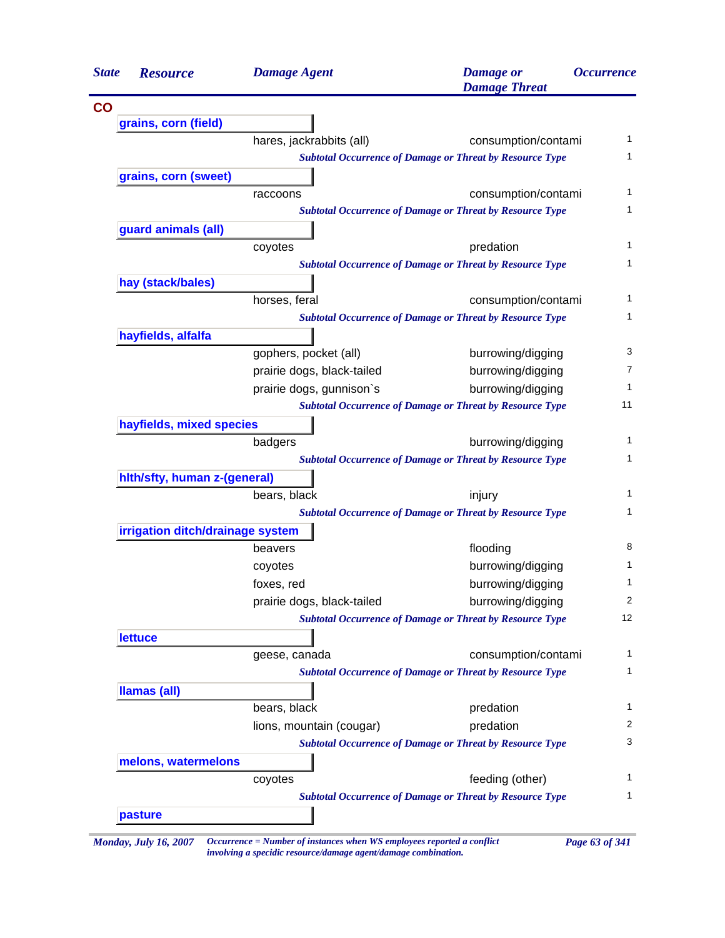| <b>State</b> | <b>Resource</b>                  | <b>Damage Agent</b>        | <b>Damage</b> or<br><b>Damage Threat</b>                        | <i><b>Occurrence</b></i> |
|--------------|----------------------------------|----------------------------|-----------------------------------------------------------------|--------------------------|
|              |                                  |                            |                                                                 |                          |
|              | grains, corn (field)             |                            |                                                                 |                          |
|              |                                  | hares, jackrabbits (all)   | consumption/contami                                             |                          |
|              |                                  |                            | <b>Subtotal Occurrence of Damage or Threat by Resource Type</b> |                          |
|              | grains, corn (sweet)             |                            |                                                                 |                          |
|              |                                  | raccoons                   | consumption/contami                                             |                          |
|              |                                  |                            | <b>Subtotal Occurrence of Damage or Threat by Resource Type</b> |                          |
|              | guard animals (all)              |                            |                                                                 |                          |
|              |                                  | coyotes                    | predation                                                       |                          |
|              |                                  |                            | <b>Subtotal Occurrence of Damage or Threat by Resource Type</b> |                          |
|              | hay (stack/bales)                |                            |                                                                 |                          |
|              |                                  | horses, feral              | consumption/contami                                             |                          |
|              |                                  |                            | <b>Subtotal Occurrence of Damage or Threat by Resource Type</b> |                          |
|              | hayfields, alfalfa               |                            |                                                                 |                          |
|              |                                  | gophers, pocket (all)      | burrowing/digging                                               |                          |
|              |                                  | prairie dogs, black-tailed | burrowing/digging                                               |                          |
|              |                                  | prairie dogs, gunnison's   | burrowing/digging                                               |                          |
|              |                                  |                            | <b>Subtotal Occurrence of Damage or Threat by Resource Type</b> | 11                       |
|              | hayfields, mixed species         |                            |                                                                 |                          |
|              |                                  | badgers                    | burrowing/digging                                               |                          |
|              |                                  |                            | <b>Subtotal Occurrence of Damage or Threat by Resource Type</b> |                          |
|              | hith/sfty, human z-(general)     |                            |                                                                 |                          |
|              |                                  | bears, black               | injury                                                          |                          |
|              |                                  |                            | <b>Subtotal Occurrence of Damage or Threat by Resource Type</b> |                          |
|              | irrigation ditch/drainage system |                            |                                                                 |                          |
|              |                                  | beavers                    | flooding                                                        |                          |
|              |                                  | coyotes                    | burrowing/digging                                               |                          |
|              |                                  | foxes, red                 | burrowing/digging                                               |                          |
|              |                                  | prairie dogs, black-tailed | burrowing/digging                                               |                          |
|              |                                  |                            | <b>Subtotal Occurrence of Damage or Threat by Resource Type</b> | 12                       |
|              | <b>lettuce</b>                   |                            |                                                                 |                          |
|              |                                  | geese, canada              | consumption/contami                                             |                          |
|              |                                  |                            | <b>Subtotal Occurrence of Damage or Threat by Resource Type</b> |                          |
|              | <b>Ilamas (all)</b>              |                            |                                                                 |                          |
|              |                                  | bears, black               | predation                                                       |                          |
|              |                                  | lions, mountain (cougar)   | predation                                                       |                          |
|              |                                  |                            | <b>Subtotal Occurrence of Damage or Threat by Resource Type</b> |                          |
|              | melons, watermelons              |                            |                                                                 |                          |
|              |                                  | coyotes                    | feeding (other)                                                 |                          |
|              |                                  |                            | <b>Subtotal Occurrence of Damage or Threat by Resource Type</b> |                          |
|              |                                  |                            |                                                                 |                          |

*Monday, July 16, 2007 Occurrence = Number of instances when WS employees reported a conflict Page 63 of 341 involving a specidic resource/damage agent/damage combination.*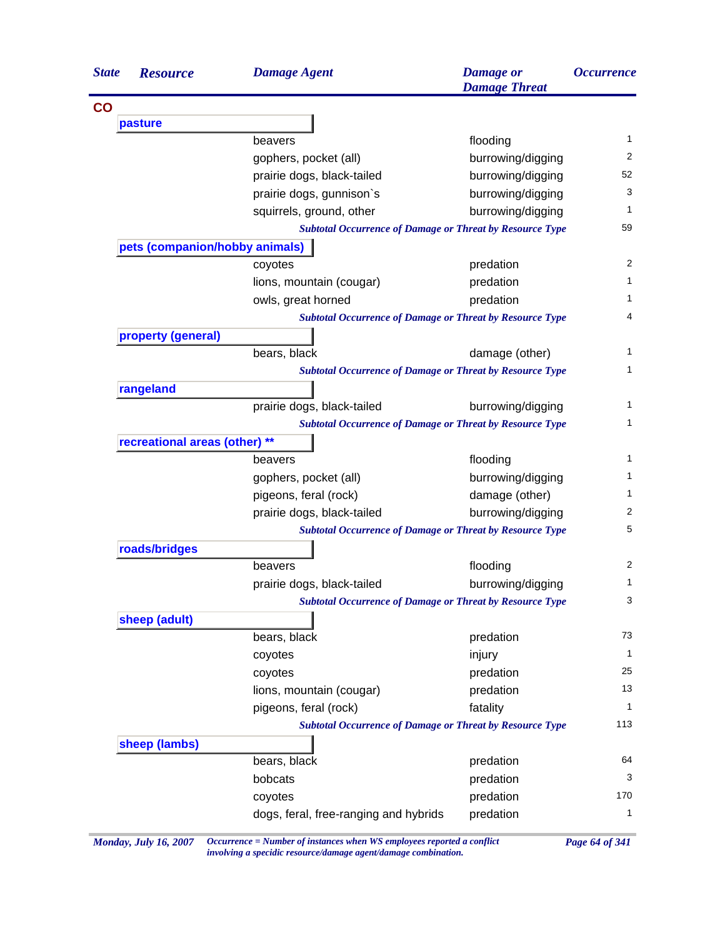| <b>State</b> | <b>Resource</b>                | <b>Damage Agent</b>                                             | <b>Damage</b> or<br><b>Damage Threat</b> | <i><b>Occurrence</b></i>                                               |
|--------------|--------------------------------|-----------------------------------------------------------------|------------------------------------------|------------------------------------------------------------------------|
|              |                                |                                                                 |                                          |                                                                        |
|              | pasture                        |                                                                 |                                          |                                                                        |
|              |                                | beavers                                                         | flooding                                 | 1                                                                      |
|              |                                | gophers, pocket (all)                                           | burrowing/digging                        | 2                                                                      |
|              |                                | prairie dogs, black-tailed                                      | burrowing/digging                        | 52                                                                     |
|              |                                | prairie dogs, gunnison's                                        | burrowing/digging                        | 3                                                                      |
|              |                                | squirrels, ground, other                                        | burrowing/digging                        | 1                                                                      |
|              |                                | <b>Subtotal Occurrence of Damage or Threat by Resource Type</b> |                                          | 59                                                                     |
|              | pets (companion/hobby animals) |                                                                 |                                          |                                                                        |
|              |                                | coyotes                                                         | predation                                | 2                                                                      |
|              |                                | lions, mountain (cougar)                                        | predation                                | 1                                                                      |
|              |                                | owls, great horned                                              | predation                                | 1                                                                      |
|              |                                | <b>Subtotal Occurrence of Damage or Threat by Resource Type</b> |                                          | 4                                                                      |
|              | property (general)             |                                                                 |                                          |                                                                        |
|              |                                | bears, black                                                    | damage (other)                           | 1                                                                      |
|              |                                | <b>Subtotal Occurrence of Damage or Threat by Resource Type</b> |                                          | 1                                                                      |
|              | rangeland                      |                                                                 |                                          |                                                                        |
|              |                                | prairie dogs, black-tailed                                      | burrowing/digging                        |                                                                        |
|              |                                | <b>Subtotal Occurrence of Damage or Threat by Resource Type</b> |                                          |                                                                        |
|              | recreational areas (other) **  |                                                                 |                                          |                                                                        |
|              |                                | beavers                                                         | flooding                                 | 1                                                                      |
|              |                                | gophers, pocket (all)                                           | burrowing/digging                        | 1.                                                                     |
|              |                                | pigeons, feral (rock)                                           | damage (other)                           | 1.                                                                     |
|              |                                | prairie dogs, black-tailed                                      | burrowing/digging                        | 2                                                                      |
|              |                                | <b>Subtotal Occurrence of Damage or Threat by Resource Type</b> |                                          | 5                                                                      |
|              | roads/bridges                  |                                                                 |                                          |                                                                        |
|              |                                | beavers                                                         | flooding                                 | 2                                                                      |
|              |                                |                                                                 |                                          |                                                                        |
|              |                                | prairie dogs, black-tailed                                      | burrowing/digging                        |                                                                        |
|              |                                | <b>Subtotal Occurrence of Damage or Threat by Resource Type</b> |                                          |                                                                        |
|              |                                |                                                                 |                                          |                                                                        |
|              | sheep (adult)                  |                                                                 |                                          |                                                                        |
|              |                                | bears, black                                                    | predation                                |                                                                        |
|              |                                | coyotes                                                         | injury                                   |                                                                        |
|              |                                | coyotes                                                         | predation                                |                                                                        |
|              |                                | lions, mountain (cougar)                                        | predation                                |                                                                        |
|              |                                | pigeons, feral (rock)                                           | fatality                                 |                                                                        |
|              |                                | <b>Subtotal Occurrence of Damage or Threat by Resource Type</b> |                                          |                                                                        |
|              | sheep (lambs)                  |                                                                 |                                          |                                                                        |
|              |                                | bears, black                                                    | predation                                |                                                                        |
|              |                                | bobcats<br>coyotes                                              | predation<br>predation                   | 1<br>3<br>73<br>1<br>25<br>13<br>$\mathbf{1}$<br>113<br>64<br>3<br>170 |

*Monday, July 16, 2007 Occurrence = Number of instances when WS employees reported a conflict Page 64 of 341 involving a specidic resource/damage agent/damage combination.*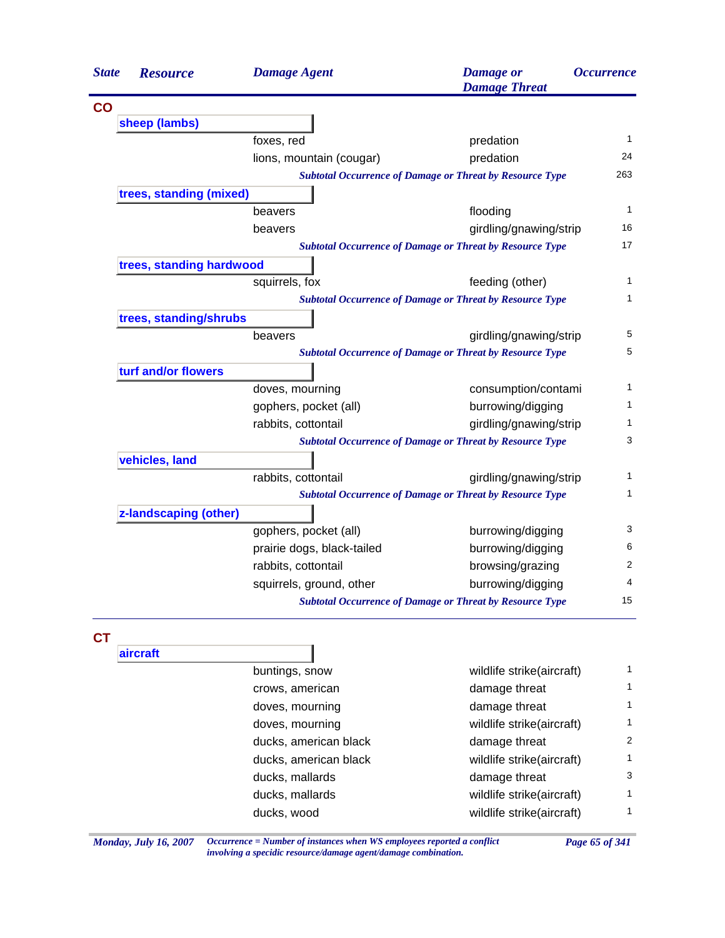| <b>State</b><br><b>Resource</b> | <b>Damage Agent</b>        | <b>Damage</b> or<br><b>Damage Threat</b>                        | <i><b>Occurrence</b></i> |
|---------------------------------|----------------------------|-----------------------------------------------------------------|--------------------------|
| CO                              |                            |                                                                 |                          |
| sheep (lambs)                   |                            |                                                                 |                          |
|                                 | foxes, red                 | predation                                                       | $\mathbf{1}$             |
|                                 | lions, mountain (cougar)   | predation                                                       | 24                       |
|                                 |                            | <b>Subtotal Occurrence of Damage or Threat by Resource Type</b> | 263                      |
| trees, standing (mixed)         |                            |                                                                 |                          |
|                                 | beavers                    | flooding                                                        | $\mathbf{1}$             |
|                                 | beavers                    | girdling/gnawing/strip                                          | 16                       |
|                                 |                            | <b>Subtotal Occurrence of Damage or Threat by Resource Type</b> | 17                       |
|                                 | trees, standing hardwood   |                                                                 |                          |
|                                 | squirrels, fox             | feeding (other)                                                 | $\mathbf{1}$             |
|                                 |                            | <b>Subtotal Occurrence of Damage or Threat by Resource Type</b> | $\mathbf{1}$             |
| trees, standing/shrubs          |                            |                                                                 |                          |
|                                 | beavers                    | girdling/gnawing/strip                                          | 5                        |
|                                 |                            | <b>Subtotal Occurrence of Damage or Threat by Resource Type</b> | 5                        |
| turf and/or flowers             |                            |                                                                 |                          |
|                                 | doves, mourning            | consumption/contami                                             | $\mathbf{1}$             |
|                                 | gophers, pocket (all)      | burrowing/digging                                               | $\mathbf{1}$             |
|                                 | rabbits, cottontail        | girdling/gnawing/strip                                          | $\mathbf{1}$             |
|                                 |                            | <b>Subtotal Occurrence of Damage or Threat by Resource Type</b> | 3                        |
| vehicles, land                  |                            |                                                                 |                          |
|                                 | rabbits, cottontail        | girdling/gnawing/strip                                          | $\mathbf{1}$             |
|                                 |                            | <b>Subtotal Occurrence of Damage or Threat by Resource Type</b> | $\mathbf{1}$             |
| z-landscaping (other)           |                            |                                                                 |                          |
|                                 | gophers, pocket (all)      | burrowing/digging                                               | 3                        |
|                                 | prairie dogs, black-tailed | burrowing/digging                                               | 6                        |
|                                 | rabbits, cottontail        | browsing/grazing                                                | 2                        |
|                                 | squirrels, ground, other   | burrowing/digging                                               | 4                        |
|                                 |                            | <b>Subtotal Occurrence of Damage or Threat by Resource Type</b> | 15                       |

| buntings, snow        | wildlife strike(aircraft) |   |
|-----------------------|---------------------------|---|
| crows, american       | damage threat             | 1 |
| doves, mourning       | damage threat             |   |
| doves, mourning       | wildlife strike(aircraft) | 1 |
| ducks, american black | damage threat             | 2 |
| ducks, american black | wildlife strike(aircraft) | 1 |
| ducks, mallards       | damage threat             | 3 |
| ducks, mallards       | wildlife strike(aircraft) | 1 |
| ducks, wood           | wildlife strike(aircraft) | 1 |
|                       |                           |   |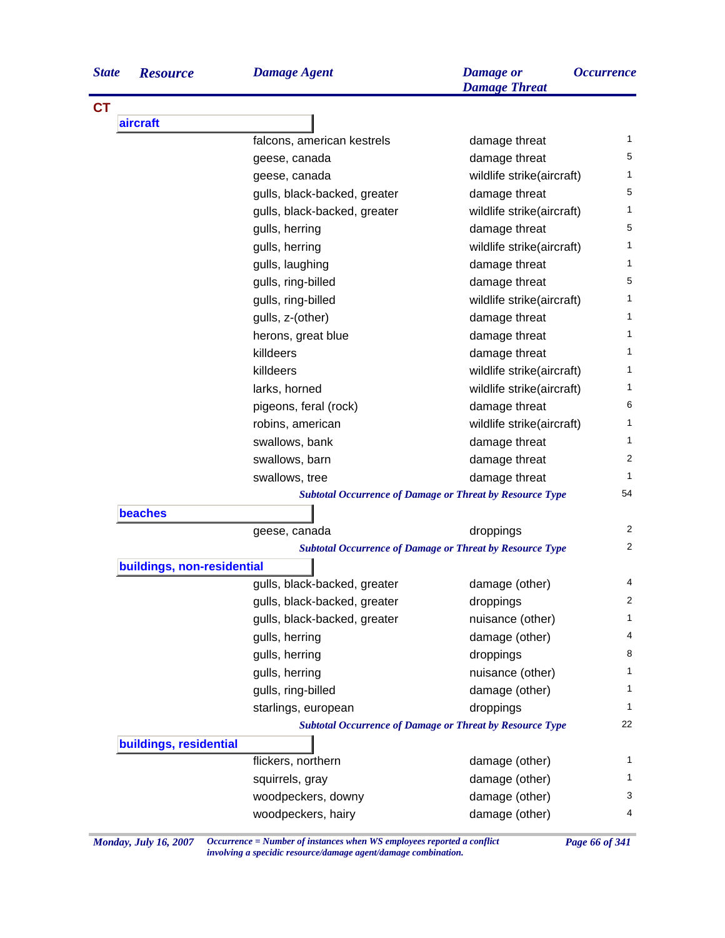| <b>Resource</b> |
|-----------------|
|                 |
|                 |
|                 |
|                 |
|                 |
|                 |
|                 |
|                 |
|                 |
|                 |
|                 |
|                 |
|                 |
|                 |
|                 |
|                 |
|                 |
|                 |
|                 |
|                 |
|                 |
|                 |
|                 |
|                 |
|                 |
|                 |

| <b>State</b> | <b>Resource</b> | Damage Agent | Damage or            | <i><b>Occurrence</b></i> |
|--------------|-----------------|--------------|----------------------|--------------------------|
|              |                 |              | <b>Damage Threat</b> |                          |

| aircraft                   |                                                                                        |                           |  |
|----------------------------|----------------------------------------------------------------------------------------|---------------------------|--|
|                            | falcons, american kestrels                                                             | damage threat             |  |
|                            | geese, canada                                                                          | damage threat             |  |
|                            | geese, canada                                                                          | wildlife strike(aircraft) |  |
|                            | gulls, black-backed, greater                                                           | damage threat             |  |
|                            | gulls, black-backed, greater                                                           | wildlife strike(aircraft) |  |
|                            | gulls, herring                                                                         | damage threat             |  |
|                            | gulls, herring                                                                         | wildlife strike(aircraft) |  |
|                            | gulls, laughing                                                                        | damage threat             |  |
|                            | gulls, ring-billed                                                                     | damage threat             |  |
|                            | gulls, ring-billed                                                                     | wildlife strike(aircraft) |  |
|                            | gulls, z-(other)                                                                       | damage threat             |  |
|                            | herons, great blue                                                                     | damage threat             |  |
|                            | killdeers                                                                              | damage threat             |  |
|                            | killdeers                                                                              | wildlife strike(aircraft) |  |
|                            | larks, horned                                                                          | wildlife strike(aircraft) |  |
|                            | pigeons, feral (rock)                                                                  | damage threat             |  |
|                            | robins, american                                                                       | wildlife strike(aircraft) |  |
|                            | swallows, bank                                                                         | damage threat             |  |
|                            | swallows, barn                                                                         | damage threat             |  |
|                            | swallows, tree                                                                         | damage threat             |  |
|                            | <b>Subtotal Occurrence of Damage or Threat by Resource Type</b>                        |                           |  |
| beaches                    |                                                                                        |                           |  |
|                            | geese, canada                                                                          | droppings                 |  |
|                            | <b>Subtotal Occurrence of Damage or Threat by Resource Type</b>                        |                           |  |
| buildings, non-residential |                                                                                        |                           |  |
|                            | gulls, black-backed, greater                                                           | damage (other)            |  |
|                            | gulls, black-backed, greater                                                           | droppings                 |  |
|                            | gulls, black-backed, greater                                                           | nuisance (other)          |  |
|                            | gulls, herring                                                                         | damage (other)            |  |
|                            | gulls, herring                                                                         | droppings                 |  |
|                            |                                                                                        |                           |  |
|                            |                                                                                        | nuisance (other)          |  |
|                            | gulls, herring<br>gulls, ring-billed                                                   |                           |  |
|                            |                                                                                        | damage (other)            |  |
|                            | starlings, european<br><b>Subtotal Occurrence of Damage or Threat by Resource Type</b> | droppings                 |  |
|                            |                                                                                        |                           |  |
| buildings, residential     | flickers, northern                                                                     | damage (other)            |  |
|                            | squirrels, gray                                                                        | damage (other)            |  |
|                            | woodpeckers, downy                                                                     | damage (other)            |  |

*Monday, July 16, 2007 Occurrence = Number of instances when WS employees reported a conflict Page 66 of 341 involving a specidic resource/damage agent/damage combination.*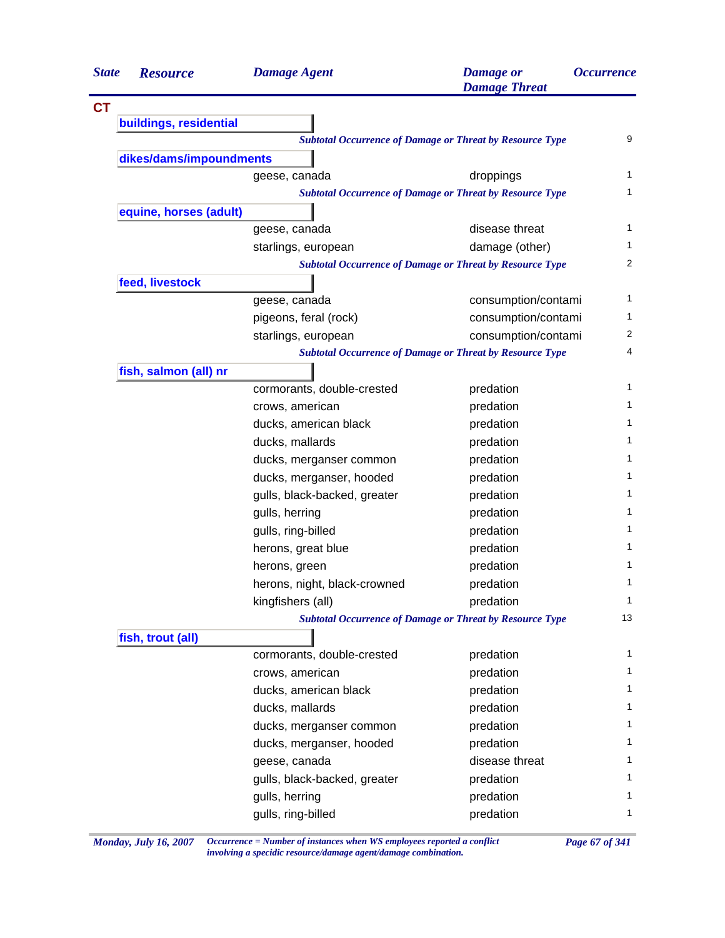| <b>State</b> | <b>Resource</b>         | <b>Damage Agent</b>          | <b>Damage</b> or<br><b>Damage Threat</b>                        | <b>Occurrence</b> |
|--------------|-------------------------|------------------------------|-----------------------------------------------------------------|-------------------|
| <b>CT</b>    |                         |                              |                                                                 |                   |
|              | buildings, residential  |                              |                                                                 |                   |
|              |                         |                              | <b>Subtotal Occurrence of Damage or Threat by Resource Type</b> | 9                 |
|              | dikes/dams/impoundments |                              |                                                                 |                   |
|              |                         | geese, canada                | droppings                                                       | 1                 |
|              |                         |                              | <b>Subtotal Occurrence of Damage or Threat by Resource Type</b> | 1                 |
|              | equine, horses (adult)  |                              |                                                                 |                   |
|              |                         | geese, canada                | disease threat                                                  | 1                 |
|              |                         | starlings, european          | damage (other)                                                  | 1                 |
|              |                         |                              | <b>Subtotal Occurrence of Damage or Threat by Resource Type</b> | 2                 |
|              | feed, livestock         |                              |                                                                 |                   |
|              |                         | geese, canada                | consumption/contami                                             | 1                 |
|              |                         | pigeons, feral (rock)        | consumption/contami                                             | 1                 |
|              |                         | starlings, european          | consumption/contami                                             | 2                 |
|              |                         |                              | <b>Subtotal Occurrence of Damage or Threat by Resource Type</b> | 4                 |
|              | fish, salmon (all) nr   |                              |                                                                 |                   |
|              |                         | cormorants, double-crested   | predation                                                       | 1                 |
|              |                         | crows, american              | predation                                                       | 1                 |
|              |                         | ducks, american black        | predation                                                       | 1                 |
|              |                         | ducks, mallards              | predation                                                       | 1                 |
|              |                         | ducks, merganser common      | predation                                                       | 1                 |
|              |                         | ducks, merganser, hooded     | predation                                                       | 1                 |
|              |                         | gulls, black-backed, greater | predation                                                       | 1                 |
|              |                         | gulls, herring               | predation                                                       | 1                 |
|              |                         | gulls, ring-billed           | predation                                                       | 1                 |
|              |                         | herons, great blue           | predation                                                       | 1                 |
|              |                         | herons, green                | predation                                                       | 1                 |
|              |                         | herons, night, black-crowned | predation                                                       | 1                 |
|              |                         | kingfishers (all)            | predation                                                       | 1                 |
|              |                         |                              | <b>Subtotal Occurrence of Damage or Threat by Resource Type</b> | 13                |
|              | fish, trout (all)       |                              |                                                                 |                   |
|              |                         | cormorants, double-crested   | predation                                                       | 1                 |
|              |                         | crows, american              | predation                                                       | 1                 |
|              |                         | ducks, american black        | predation                                                       | 1                 |
|              |                         | ducks, mallards              | predation                                                       | 1                 |
|              |                         | ducks, merganser common      | predation                                                       | 1                 |
|              |                         | ducks, merganser, hooded     | predation                                                       | 1                 |
|              |                         | geese, canada                | disease threat                                                  | 1                 |
|              |                         | gulls, black-backed, greater | predation                                                       | 1                 |
|              |                         |                              |                                                                 | 1                 |
|              |                         | gulls, herring               | predation                                                       |                   |

*Monday, July 16, 2007 Occurrence = Number of instances when WS employees reported a conflict Page 67 of 341 involving a specidic resource/damage agent/damage combination.*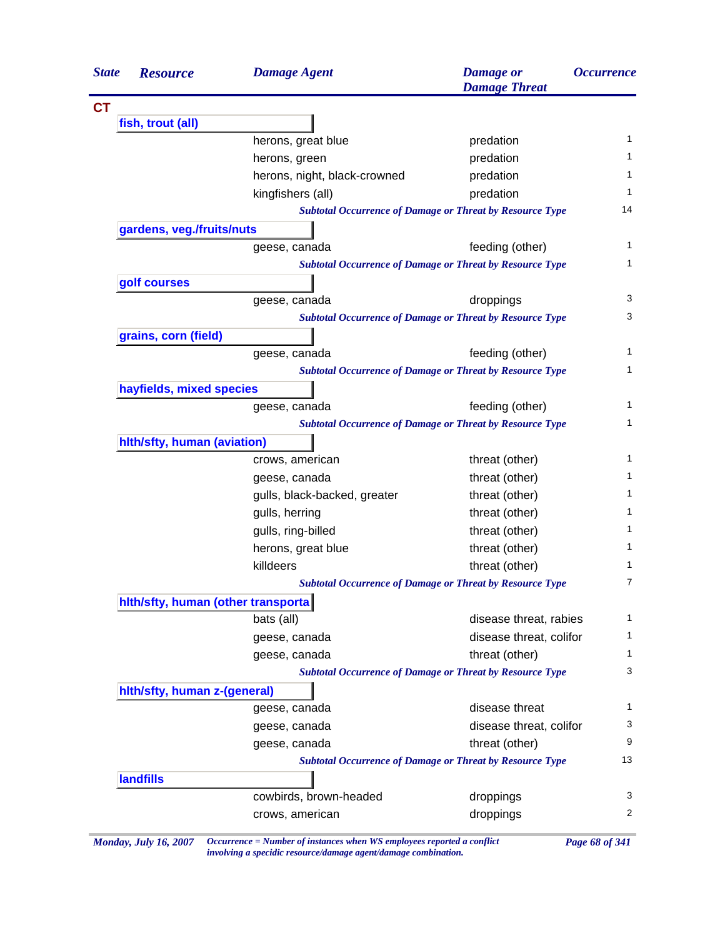| <b>Resource</b>                     | <b>Damage Agent</b>                                             | <b>Damage</b> or<br><b>Damage Threat</b> | <i><b>Occurrence</b></i>                                       |
|-------------------------------------|-----------------------------------------------------------------|------------------------------------------|----------------------------------------------------------------|
|                                     |                                                                 |                                          |                                                                |
| fish, trout (all)                   |                                                                 |                                          |                                                                |
|                                     | herons, great blue                                              | predation                                | 1                                                              |
|                                     | herons, green                                                   | predation                                | 1                                                              |
|                                     | herons, night, black-crowned                                    | predation                                | 1                                                              |
|                                     | kingfishers (all)                                               | predation                                | 1                                                              |
|                                     | <b>Subtotal Occurrence of Damage or Threat by Resource Type</b> |                                          | 14                                                             |
| gardens, veg./fruits/nuts           |                                                                 |                                          |                                                                |
|                                     | geese, canada                                                   | feeding (other)                          | 1                                                              |
|                                     | <b>Subtotal Occurrence of Damage or Threat by Resource Type</b> |                                          | 1                                                              |
| golf courses                        |                                                                 |                                          |                                                                |
|                                     | geese, canada                                                   | droppings                                | 3                                                              |
|                                     | <b>Subtotal Occurrence of Damage or Threat by Resource Type</b> |                                          | 3                                                              |
| grains, corn (field)                |                                                                 |                                          |                                                                |
|                                     | geese, canada                                                   | feeding (other)                          | 1                                                              |
|                                     | <b>Subtotal Occurrence of Damage or Threat by Resource Type</b> |                                          | 1                                                              |
| hayfields, mixed species            |                                                                 |                                          |                                                                |
|                                     | geese, canada                                                   | feeding (other)                          | 1                                                              |
|                                     | <b>Subtotal Occurrence of Damage or Threat by Resource Type</b> |                                          | 1                                                              |
| hith/sfty, human (aviation)         |                                                                 |                                          |                                                                |
|                                     | crows, american                                                 | threat (other)                           | 1                                                              |
|                                     | geese, canada                                                   | threat (other)                           | 1                                                              |
|                                     | gulls, black-backed, greater                                    | threat (other)                           | 1                                                              |
|                                     | gulls, herring                                                  | threat (other)                           | 1                                                              |
|                                     | gulls, ring-billed                                              | threat (other)                           |                                                                |
|                                     |                                                                 |                                          |                                                                |
|                                     | herons, great blue                                              | threat (other)                           |                                                                |
|                                     | killdeers                                                       | threat (other)                           |                                                                |
|                                     | <b>Subtotal Occurrence of Damage or Threat by Resource Type</b> |                                          |                                                                |
| hith/sfty, human (other transporta) |                                                                 |                                          |                                                                |
|                                     | bats (all)                                                      | disease threat, rabies                   |                                                                |
|                                     | geese, canada                                                   | disease threat, colifor                  |                                                                |
|                                     | geese, canada                                                   |                                          |                                                                |
|                                     | <b>Subtotal Occurrence of Damage or Threat by Resource Type</b> | threat (other)                           |                                                                |
|                                     |                                                                 |                                          |                                                                |
| hith/sfty, human z-(general)        |                                                                 | disease threat                           |                                                                |
|                                     | geese, canada                                                   |                                          |                                                                |
|                                     | geese, canada                                                   | disease threat, colifor                  |                                                                |
|                                     | geese, canada                                                   | threat (other)                           |                                                                |
|                                     | <b>Subtotal Occurrence of Damage or Threat by Resource Type</b> |                                          |                                                                |
| <b>landfills</b>                    | cowbirds, brown-headed                                          | droppings                                | 1<br>1<br>1<br>7<br>1<br>1<br>1<br>3<br>1<br>3<br>9<br>13<br>3 |

*Monday, July 16, 2007 Occurrence = Number of instances when WS employees reported a conflict Page 68 of 341 involving a specidic resource/damage agent/damage combination.*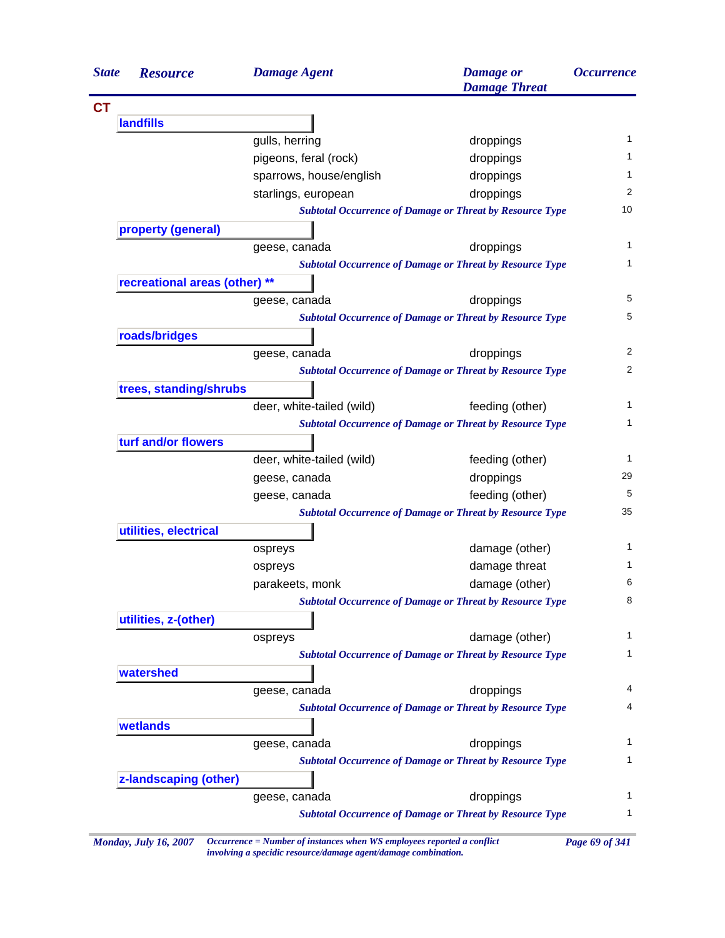| <b>State</b> | <b>Resource</b>               | <b>Damage Agent</b>       | <b>Damage</b> or<br><b>Damage Threat</b>                        | <i><b>Occurrence</b></i> |
|--------------|-------------------------------|---------------------------|-----------------------------------------------------------------|--------------------------|
|              |                               |                           |                                                                 |                          |
|              | <b>landfills</b>              |                           |                                                                 |                          |
|              |                               | gulls, herring            | droppings                                                       | 1                        |
|              |                               | pigeons, feral (rock)     | droppings                                                       | $\mathbf{1}$             |
|              |                               | sparrows, house/english   | droppings                                                       | 1                        |
|              |                               | starlings, european       | droppings                                                       | 2                        |
|              |                               |                           | <b>Subtotal Occurrence of Damage or Threat by Resource Type</b> | 10                       |
|              | property (general)            |                           |                                                                 |                          |
|              |                               | geese, canada             | droppings                                                       | 1                        |
|              |                               |                           | <b>Subtotal Occurrence of Damage or Threat by Resource Type</b> | 1                        |
|              | recreational areas (other) ** |                           |                                                                 |                          |
|              |                               | geese, canada             | droppings                                                       | 5                        |
|              |                               |                           | <b>Subtotal Occurrence of Damage or Threat by Resource Type</b> | 5                        |
|              | roads/bridges                 |                           |                                                                 |                          |
|              |                               | geese, canada             | droppings                                                       | $\overline{2}$           |
|              |                               |                           | <b>Subtotal Occurrence of Damage or Threat by Resource Type</b> | 2                        |
|              | trees, standing/shrubs        |                           |                                                                 |                          |
|              |                               | deer, white-tailed (wild) | feeding (other)                                                 | 1                        |
|              |                               |                           | <b>Subtotal Occurrence of Damage or Threat by Resource Type</b> | 1                        |
|              | turf and/or flowers           |                           |                                                                 |                          |
|              |                               | deer, white-tailed (wild) | feeding (other)                                                 | 1                        |
|              |                               | geese, canada             | droppings                                                       | 29                       |
|              |                               | geese, canada             | feeding (other)                                                 | 5                        |
|              |                               |                           | <b>Subtotal Occurrence of Damage or Threat by Resource Type</b> | 35                       |
|              | utilities, electrical         |                           |                                                                 |                          |
|              |                               | ospreys                   | damage (other)                                                  | 1                        |
|              |                               | ospreys                   | damage threat                                                   | 1                        |
|              |                               | parakeets, monk           | damage (other)                                                  | 6                        |
|              |                               |                           | <b>Subtotal Occurrence of Damage or Threat by Resource Type</b> | 8                        |
|              | utilities, z-(other)          |                           |                                                                 |                          |
|              |                               | ospreys                   | damage (other)                                                  | 1                        |
|              |                               |                           | <b>Subtotal Occurrence of Damage or Threat by Resource Type</b> | 1                        |
|              | watershed                     |                           |                                                                 |                          |
|              |                               | geese, canada             | droppings                                                       | 4                        |
|              |                               |                           | <b>Subtotal Occurrence of Damage or Threat by Resource Type</b> | 4                        |
|              | wetlands                      |                           |                                                                 |                          |
|              |                               | geese, canada             | droppings                                                       | 1                        |
|              |                               |                           | <b>Subtotal Occurrence of Damage or Threat by Resource Type</b> | 1                        |
|              | z-landscaping (other)         |                           |                                                                 |                          |
|              |                               | geese, canada             | droppings                                                       | 1                        |
|              |                               |                           |                                                                 |                          |

*Monday, July 16, 2007 Occurrence = Number of instances when WS employees reported a conflict Page 69 of 341 involving a specidic resource/damage agent/damage combination.*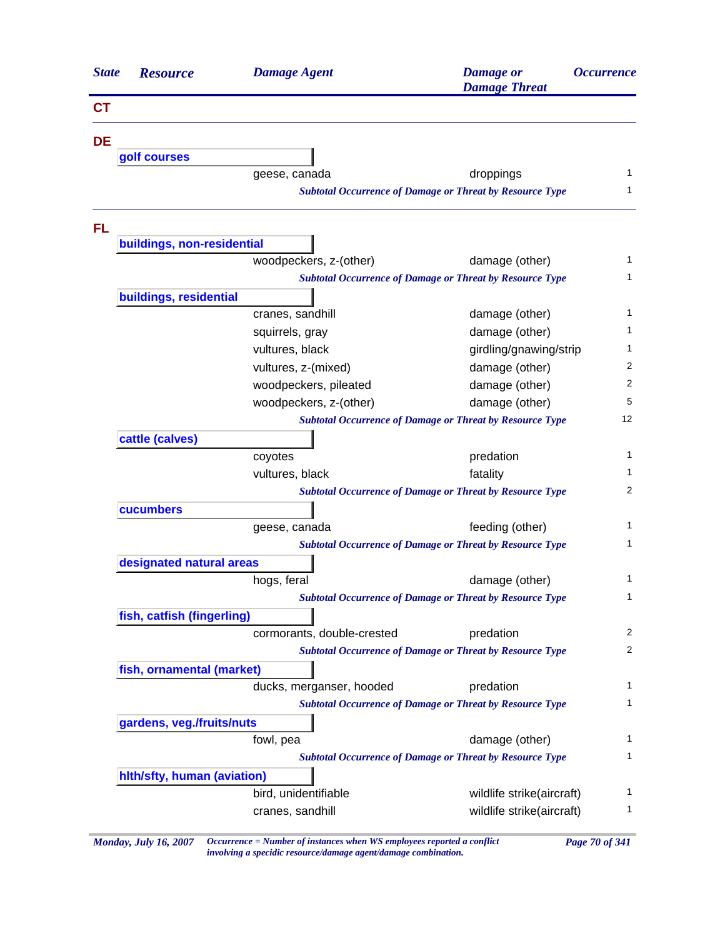| <b>State</b> | <b>Resource</b>             | <b>Damage Agent</b>        | <b>Damage</b> or<br><b>Damage Threat</b>                        | <i><b>Occurrence</b></i> |  |
|--------------|-----------------------------|----------------------------|-----------------------------------------------------------------|--------------------------|--|
| <b>CT</b>    |                             |                            |                                                                 |                          |  |
| <b>DE</b>    |                             |                            |                                                                 |                          |  |
|              | golf courses                |                            |                                                                 |                          |  |
|              |                             | geese, canada              | droppings                                                       | 1                        |  |
|              |                             |                            | <b>Subtotal Occurrence of Damage or Threat by Resource Type</b> | 1                        |  |
| <b>FL</b>    |                             |                            |                                                                 |                          |  |
|              | buildings, non-residential  |                            |                                                                 |                          |  |
|              |                             | woodpeckers, z-(other)     | damage (other)                                                  | 1                        |  |
|              |                             |                            | <b>Subtotal Occurrence of Damage or Threat by Resource Type</b> | 1                        |  |
|              | buildings, residential      |                            |                                                                 |                          |  |
|              |                             | cranes, sandhill           | damage (other)                                                  | 1                        |  |
|              |                             | squirrels, gray            | damage (other)                                                  | 1                        |  |
|              |                             | vultures, black            | girdling/gnawing/strip                                          | 1                        |  |
|              |                             | vultures, z-(mixed)        | damage (other)                                                  | 2                        |  |
|              |                             | woodpeckers, pileated      | damage (other)                                                  | 2                        |  |
|              |                             | woodpeckers, z-(other)     | damage (other)                                                  | 5                        |  |
|              |                             |                            | <b>Subtotal Occurrence of Damage or Threat by Resource Type</b> | 12                       |  |
|              | cattle (calves)             |                            |                                                                 |                          |  |
|              |                             | coyotes                    | predation                                                       | $\mathbf{1}$             |  |
|              |                             | vultures, black            | fatality                                                        | 1                        |  |
|              |                             |                            | <b>Subtotal Occurrence of Damage or Threat by Resource Type</b> | 2                        |  |
|              | cucumbers                   |                            |                                                                 |                          |  |
|              |                             | geese, canada              | feeding (other)                                                 | 1                        |  |
|              |                             |                            | <b>Subtotal Occurrence of Damage or Threat by Resource Type</b> | 1                        |  |
|              | designated natural areas    |                            |                                                                 |                          |  |
|              |                             | hogs, feral                | damage (other)                                                  | 1                        |  |
|              |                             |                            | Subtotal Occurrence of Damage or Threat by Resource Type        | 1                        |  |
|              | fish, catfish (fingerling)  |                            |                                                                 |                          |  |
|              |                             | cormorants, double-crested | predation                                                       | 2                        |  |
|              |                             |                            | <b>Subtotal Occurrence of Damage or Threat by Resource Type</b> | 2                        |  |
|              | fish, ornamental (market)   |                            |                                                                 |                          |  |
|              |                             | ducks, merganser, hooded   | predation                                                       | 1                        |  |
|              |                             |                            | <b>Subtotal Occurrence of Damage or Threat by Resource Type</b> | 1                        |  |
|              | gardens, veg./fruits/nuts   |                            |                                                                 |                          |  |
|              |                             | fowl, pea                  | damage (other)                                                  | 1                        |  |
|              |                             |                            | <b>Subtotal Occurrence of Damage or Threat by Resource Type</b> | 1                        |  |
|              | hith/sfty, human (aviation) |                            |                                                                 |                          |  |
|              |                             | bird, unidentifiable       | wildlife strike(aircraft)                                       | 1                        |  |
|              |                             | cranes, sandhill           | wildlife strike(aircraft)                                       | 1                        |  |
|              |                             |                            |                                                                 |                          |  |

*Monday, July 16, 2007 Occurrence = Number of instances when WS employees reported a conflict Page 70 of 341 involving a specidic resource/damage agent/damage combination.*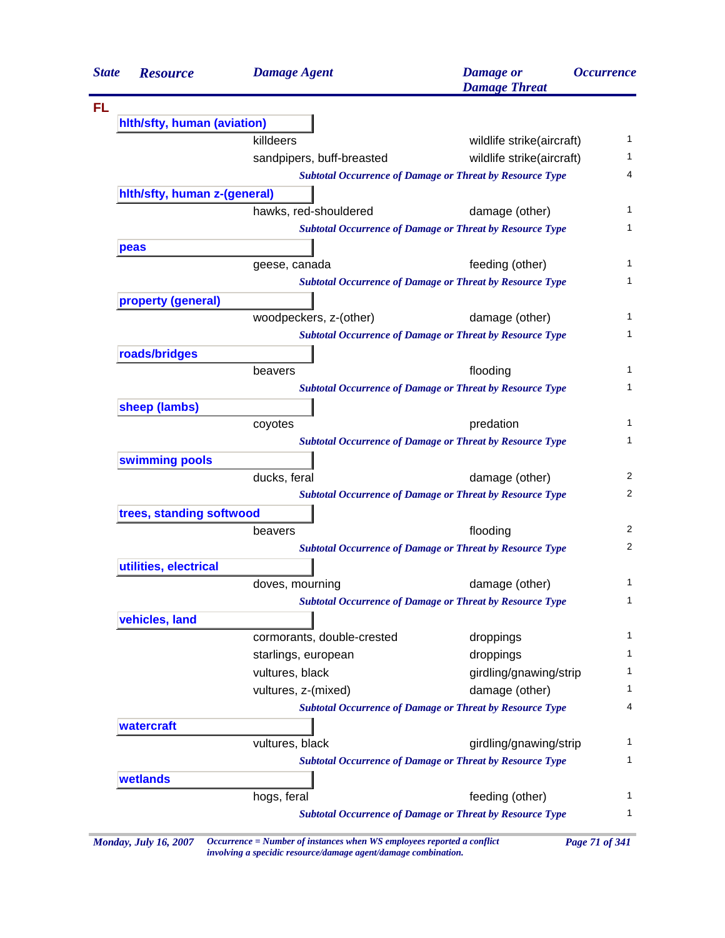| <b>State</b> | <b>Resource</b>              | <b>Damage Agent</b>        | <b>Damage</b> or<br><b>Damage Threat</b>                        | <i><b>Occurrence</b></i> |
|--------------|------------------------------|----------------------------|-----------------------------------------------------------------|--------------------------|
|              |                              |                            |                                                                 |                          |
|              | hith/sfty, human (aviation)  |                            |                                                                 |                          |
|              |                              | killdeers                  | wildlife strike(aircraft)                                       | 1                        |
|              |                              | sandpipers, buff-breasted  | wildlife strike(aircraft)                                       | 1                        |
|              |                              |                            | <b>Subtotal Occurrence of Damage or Threat by Resource Type</b> | 4                        |
|              | hith/sfty, human z-(general) |                            |                                                                 |                          |
|              |                              | hawks, red-shouldered      | damage (other)                                                  | 1                        |
|              |                              |                            | <b>Subtotal Occurrence of Damage or Threat by Resource Type</b> | 1                        |
|              | peas                         |                            |                                                                 |                          |
|              |                              | geese, canada              | feeding (other)                                                 | 1                        |
|              |                              |                            | <b>Subtotal Occurrence of Damage or Threat by Resource Type</b> | 1                        |
|              | property (general)           |                            |                                                                 |                          |
|              |                              | woodpeckers, z-(other)     | damage (other)                                                  | 1                        |
|              |                              |                            | <b>Subtotal Occurrence of Damage or Threat by Resource Type</b> | 1                        |
|              | roads/bridges                |                            |                                                                 |                          |
|              |                              | beavers                    | flooding                                                        | 1                        |
|              |                              |                            | <b>Subtotal Occurrence of Damage or Threat by Resource Type</b> | 1                        |
|              | sheep (lambs)                |                            |                                                                 |                          |
|              |                              | coyotes                    | predation                                                       | 1                        |
|              |                              |                            | <b>Subtotal Occurrence of Damage or Threat by Resource Type</b> | 1                        |
|              | swimming pools               |                            |                                                                 |                          |
|              |                              | ducks, feral               | damage (other)                                                  | 2                        |
|              |                              |                            | <b>Subtotal Occurrence of Damage or Threat by Resource Type</b> | 2                        |
|              | trees, standing softwood     |                            |                                                                 |                          |
|              |                              | beavers                    | flooding                                                        | 2                        |
|              |                              |                            | <b>Subtotal Occurrence of Damage or Threat by Resource Type</b> | 2                        |
|              | utilities, electrical        |                            |                                                                 |                          |
|              |                              | doves, mourning            | damage (other)                                                  | 1                        |
|              |                              |                            | <b>Subtotal Occurrence of Damage or Threat by Resource Type</b> | $\mathbf{1}$             |
|              | vehicles, land               |                            |                                                                 |                          |
|              |                              | cormorants, double-crested | droppings                                                       | 1                        |
|              |                              | starlings, european        | droppings                                                       | 1                        |
|              |                              | vultures, black            | girdling/gnawing/strip                                          | 1                        |
|              |                              | vultures, z-(mixed)        | damage (other)                                                  | 1                        |
|              |                              |                            | <b>Subtotal Occurrence of Damage or Threat by Resource Type</b> | 4                        |
|              | watercraft                   |                            |                                                                 |                          |
|              |                              | vultures, black            | girdling/gnawing/strip                                          | 1                        |
|              |                              |                            | <b>Subtotal Occurrence of Damage or Threat by Resource Type</b> | 1                        |
|              | wetlands                     |                            |                                                                 |                          |
|              |                              | hogs, feral                | feeding (other)                                                 | 1                        |
|              |                              |                            | <b>Subtotal Occurrence of Damage or Threat by Resource Type</b> | 1                        |

*Monday, July 16, 2007 Occurrence = Number of instances when WS employees reported a conflict Page 71 of 341 involving a specidic resource/damage agent/damage combination.*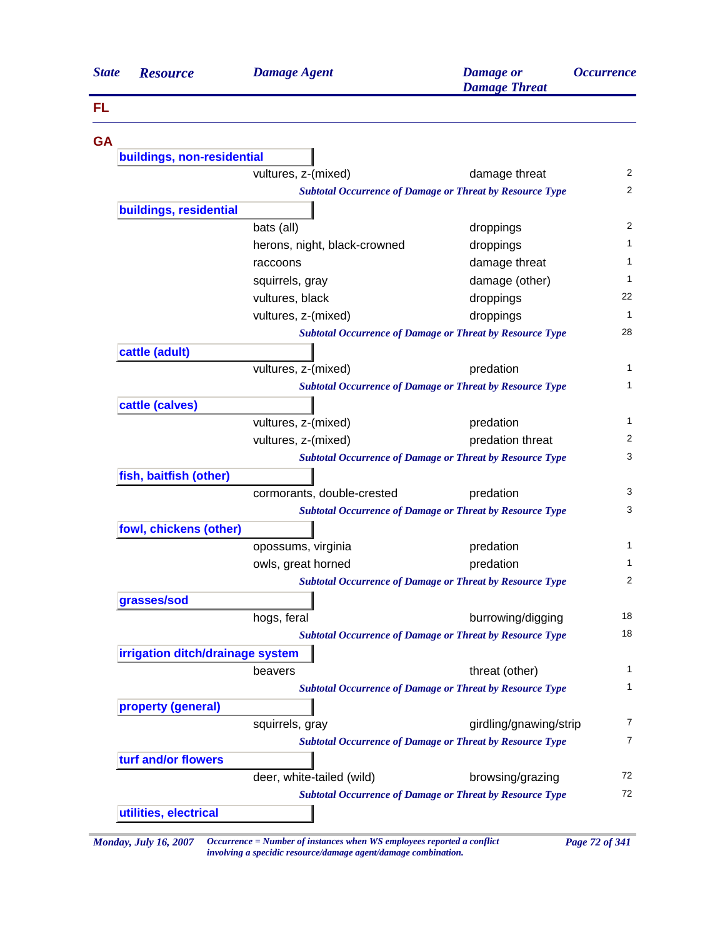| <b>State</b> | <b>Resource</b>                  | <b>Damage Agent</b>                                             | <b>Damage</b> or<br><b>Damage Threat</b>                        | <b>Occurrence</b> |
|--------------|----------------------------------|-----------------------------------------------------------------|-----------------------------------------------------------------|-------------------|
| FL           |                                  |                                                                 |                                                                 |                   |
| <b>GA</b>    |                                  |                                                                 |                                                                 |                   |
|              | buildings, non-residential       |                                                                 |                                                                 |                   |
|              |                                  | vultures, z-(mixed)                                             | damage threat                                                   |                   |
|              |                                  | <b>Subtotal Occurrence of Damage or Threat by Resource Type</b> |                                                                 |                   |
|              | buildings, residential           |                                                                 |                                                                 |                   |
|              |                                  | bats (all)                                                      | droppings                                                       |                   |
|              |                                  | herons, night, black-crowned                                    | droppings                                                       |                   |
|              |                                  | raccoons                                                        | damage threat                                                   |                   |
|              |                                  | squirrels, gray                                                 | damage (other)                                                  |                   |
|              |                                  | vultures, black                                                 | droppings                                                       |                   |
|              |                                  | vultures, z-(mixed)                                             | droppings                                                       |                   |
|              |                                  | <b>Subtotal Occurrence of Damage or Threat by Resource Type</b> |                                                                 |                   |
|              | cattle (adult)                   |                                                                 |                                                                 |                   |
|              |                                  | vultures, z-(mixed)                                             | predation                                                       |                   |
|              |                                  |                                                                 | <b>Subtotal Occurrence of Damage or Threat by Resource Type</b> |                   |
|              | cattle (calves)                  |                                                                 |                                                                 |                   |
|              |                                  | vultures, z-(mixed)                                             | predation                                                       |                   |
|              |                                  | vultures, z-(mixed)                                             | predation threat                                                |                   |
|              |                                  |                                                                 | <b>Subtotal Occurrence of Damage or Threat by Resource Type</b> |                   |
|              | fish, baitfish (other)           |                                                                 |                                                                 |                   |
|              |                                  | cormorants, double-crested                                      | predation                                                       |                   |
|              |                                  |                                                                 | <b>Subtotal Occurrence of Damage or Threat by Resource Type</b> |                   |
|              | fowl, chickens (other)           |                                                                 |                                                                 |                   |
|              |                                  | opossums, virginia                                              | predation                                                       |                   |
|              |                                  | owls, great horned                                              | predation                                                       |                   |
|              |                                  |                                                                 | <b>Subtotal Occurrence of Damage or Threat by Resource Type</b> |                   |
|              | grasses/sod                      |                                                                 |                                                                 |                   |
|              |                                  | hogs, feral                                                     | burrowing/digging                                               |                   |
|              |                                  |                                                                 | <b>Subtotal Occurrence of Damage or Threat by Resource Type</b> |                   |
|              | irrigation ditch/drainage system |                                                                 |                                                                 |                   |
|              |                                  | beavers                                                         | threat (other)                                                  |                   |
|              |                                  | <b>Subtotal Occurrence of Damage or Threat by Resource Type</b> |                                                                 |                   |
|              | property (general)               |                                                                 |                                                                 |                   |
|              |                                  | squirrels, gray                                                 | girdling/gnawing/strip                                          |                   |
|              |                                  | <b>Subtotal Occurrence of Damage or Threat by Resource Type</b> |                                                                 |                   |
|              | turf and/or flowers              |                                                                 |                                                                 |                   |
|              |                                  | deer, white-tailed (wild)                                       | browsing/grazing                                                |                   |
|              |                                  | <b>Subtotal Occurrence of Damage or Threat by Resource Type</b> |                                                                 |                   |
|              | utilities, electrical            |                                                                 |                                                                 |                   |

*involving a specidic resource/damage agent/damage combination.*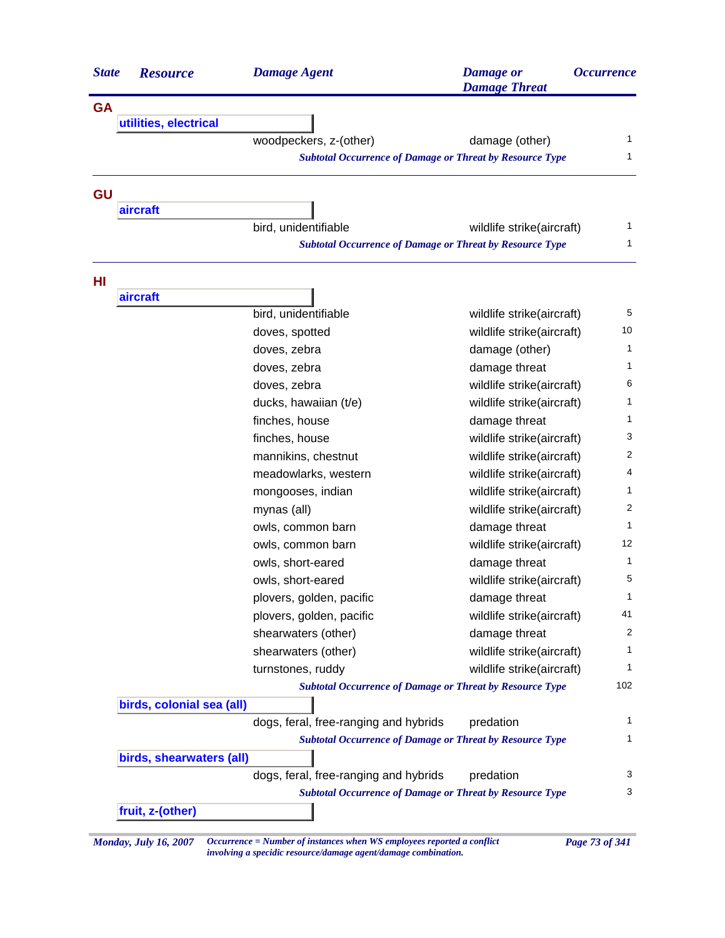| <b>State</b> | <b>Resource</b>           | <b>Damage Agent</b>                                             | <b>Damage</b> or<br><b>Damage Threat</b> | <i><b>Occurrence</b></i> |
|--------------|---------------------------|-----------------------------------------------------------------|------------------------------------------|--------------------------|
| <b>GA</b>    |                           |                                                                 |                                          |                          |
|              | utilities, electrical     |                                                                 |                                          |                          |
|              |                           | woodpeckers, z-(other)                                          | damage (other)                           | 1                        |
|              |                           | <b>Subtotal Occurrence of Damage or Threat by Resource Type</b> |                                          | 1                        |
| GU           |                           |                                                                 |                                          |                          |
|              | aircraft                  |                                                                 |                                          |                          |
|              |                           | bird, unidentifiable                                            | wildlife strike(aircraft)                | 1                        |
|              |                           | <b>Subtotal Occurrence of Damage or Threat by Resource Type</b> |                                          | 1                        |
| HI           |                           |                                                                 |                                          |                          |
|              | aircraft                  |                                                                 |                                          |                          |
|              |                           | bird, unidentifiable                                            | wildlife strike(aircraft)                | 5                        |
|              |                           | doves, spotted                                                  | wildlife strike(aircraft)                | 10                       |
|              |                           | doves, zebra                                                    | damage (other)                           | 1                        |
|              |                           | doves, zebra                                                    | damage threat                            | 1                        |
|              |                           | doves, zebra                                                    | wildlife strike(aircraft)                | 6                        |
|              |                           | ducks, hawaiian (t/e)                                           | wildlife strike(aircraft)                | 1                        |
|              |                           | finches, house                                                  | damage threat                            | 1                        |
|              |                           | finches, house                                                  | wildlife strike(aircraft)                | 3                        |
|              |                           | mannikins, chestnut                                             | wildlife strike(aircraft)                | 2                        |
|              |                           | meadowlarks, western                                            | wildlife strike(aircraft)                | 4                        |
|              |                           | mongooses, indian                                               | wildlife strike(aircraft)                | 1                        |
|              |                           | mynas (all)                                                     | wildlife strike(aircraft)                | 2                        |
|              |                           | owls, common barn                                               | damage threat                            | 1                        |
|              |                           | owls, common barn                                               | wildlife strike(aircraft)                | 12                       |
|              |                           | owls, short-eared                                               | damage threat                            | 1                        |
|              |                           | owls, short-eared                                               | wildlife strike(aircraft)                | 5                        |
|              |                           | plovers, golden, pacific                                        | damage threat                            | 1                        |
|              |                           | plovers, golden, pacific                                        | wildlife strike(aircraft)                | 41                       |
|              |                           | shearwaters (other)                                             | damage threat                            | 2                        |
|              |                           | shearwaters (other)                                             | wildlife strike(aircraft)                | 1                        |
|              |                           | turnstones, ruddy                                               | wildlife strike(aircraft)                | 1                        |
|              |                           | <b>Subtotal Occurrence of Damage or Threat by Resource Type</b> |                                          | 102                      |
|              | birds, colonial sea (all) |                                                                 |                                          |                          |
|              |                           | dogs, feral, free-ranging and hybrids                           | predation                                | 1                        |
|              |                           | <b>Subtotal Occurrence of Damage or Threat by Resource Type</b> |                                          | 1                        |
|              | birds, shearwaters (all)  | dogs, feral, free-ranging and hybrids                           | predation                                | 3                        |
|              |                           | <b>Subtotal Occurrence of Damage or Threat by Resource Type</b> |                                          | 3                        |
|              | fruit, z-(other)          |                                                                 |                                          |                          |

*Monday, July 16, 2007 Occurrence = Number of instances when WS employees reported a conflict Page 73 of 341 involving a specidic resource/damage agent/damage combination.*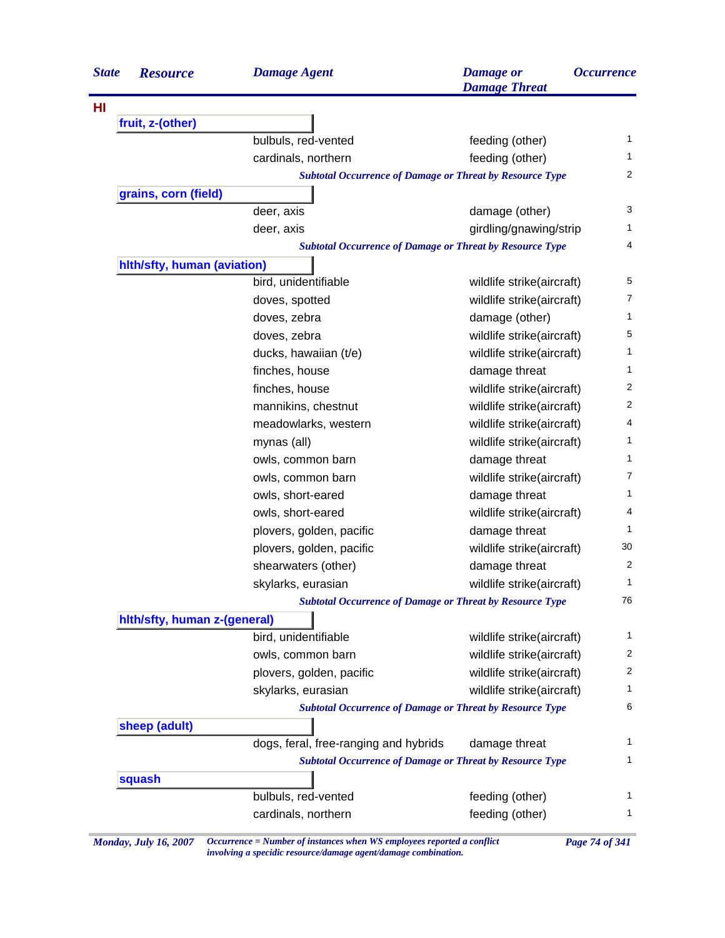| <b>State</b> | <b>Resource</b>              | <b>Damage Agent</b>                                             | <b>Damage</b> or<br><b>Damage Threat</b>                        | <i><b>Occurrence</b></i> |
|--------------|------------------------------|-----------------------------------------------------------------|-----------------------------------------------------------------|--------------------------|
|              |                              |                                                                 |                                                                 |                          |
|              | fruit, z-(other)             |                                                                 |                                                                 |                          |
|              |                              | bulbuls, red-vented                                             | feeding (other)                                                 | $\mathbf{1}$             |
|              |                              | cardinals, northern                                             | feeding (other)                                                 | 1.                       |
|              |                              | <b>Subtotal Occurrence of Damage or Threat by Resource Type</b> |                                                                 | 2                        |
|              | grains, corn (field)         |                                                                 |                                                                 |                          |
|              |                              | deer, axis                                                      | damage (other)                                                  | 3                        |
|              |                              | deer, axis                                                      | girdling/gnawing/strip                                          | 1                        |
|              |                              |                                                                 | <b>Subtotal Occurrence of Damage or Threat by Resource Type</b> | 4                        |
|              | hlth/sfty, human (aviation)  |                                                                 |                                                                 |                          |
|              |                              | bird, unidentifiable                                            | wildlife strike(aircraft)                                       | 5                        |
|              |                              | doves, spotted                                                  | wildlife strike(aircraft)                                       | $\overline{7}$           |
|              |                              | doves, zebra                                                    | damage (other)                                                  | 1                        |
|              |                              | doves, zebra                                                    | wildlife strike(aircraft)                                       | 5                        |
|              |                              | ducks, hawaiian (t/e)                                           | wildlife strike(aircraft)                                       | 1                        |
|              |                              | finches, house                                                  | damage threat                                                   | 1                        |
|              |                              | finches, house                                                  | wildlife strike(aircraft)                                       | 2                        |
|              |                              | mannikins, chestnut                                             | wildlife strike(aircraft)                                       | 2                        |
|              |                              | meadowlarks, western                                            | wildlife strike(aircraft)                                       | 4                        |
|              |                              | mynas (all)                                                     | wildlife strike(aircraft)                                       | 1                        |
|              |                              | owls, common barn                                               | damage threat                                                   | 1                        |
|              |                              | owls, common barn                                               | wildlife strike(aircraft)                                       | 7                        |
|              |                              | owls, short-eared                                               | damage threat                                                   | 1                        |
|              |                              | owls, short-eared                                               | wildlife strike(aircraft)                                       | 4                        |
|              |                              | plovers, golden, pacific                                        | damage threat                                                   | 1                        |
|              |                              | plovers, golden, pacific                                        | wildlife strike(aircraft)                                       | 30                       |
|              |                              | shearwaters (other)                                             | damage threat                                                   | 2                        |
|              |                              | skylarks, eurasian                                              | wildlife strike(aircraft)                                       | 1                        |
|              |                              | <b>Subtotal Occurrence of Damage or Threat by Resource Type</b> |                                                                 | 76                       |
|              | hith/sfty, human z-(general) |                                                                 |                                                                 |                          |
|              |                              | bird, unidentifiable                                            | wildlife strike(aircraft)                                       | 1                        |
|              |                              | owls, common barn                                               | wildlife strike(aircraft)                                       | 2                        |
|              |                              | plovers, golden, pacific                                        | wildlife strike(aircraft)                                       | 2                        |
|              |                              | skylarks, eurasian                                              | wildlife strike(aircraft)                                       | 1                        |
|              |                              | <b>Subtotal Occurrence of Damage or Threat by Resource Type</b> |                                                                 | 6                        |
|              | sheep (adult)                |                                                                 |                                                                 |                          |
|              |                              | dogs, feral, free-ranging and hybrids                           | damage threat                                                   | 1                        |
|              |                              | <b>Subtotal Occurrence of Damage or Threat by Resource Type</b> |                                                                 | 1                        |
|              | squash                       |                                                                 |                                                                 |                          |
|              |                              | bulbuls, red-vented                                             | feeding (other)                                                 | 1                        |
|              |                              | cardinals, northern                                             | feeding (other)                                                 | 1                        |

*Monday, July 16, 2007 Occurrence = Number of instances when WS employees reported a conflict Page 74 of 341 involving a specidic resource/damage agent/damage combination.*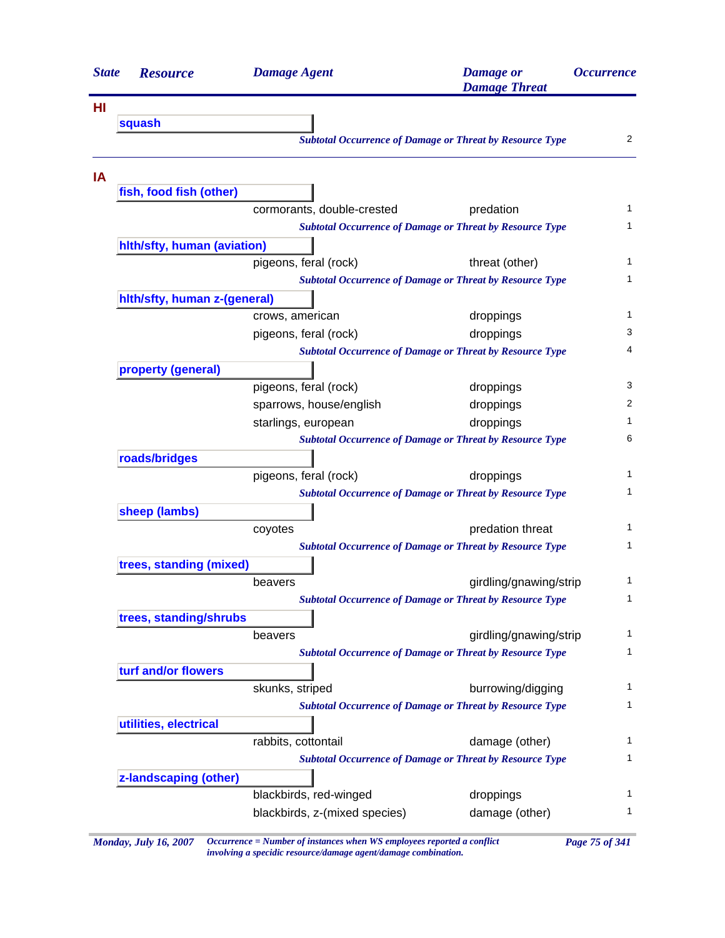| <b>State</b> | <b>Resource</b>              | <b>Damage Agent</b>           | <b>Damage</b> or<br><b>Damage Threat</b>                        | <i><b>Occurrence</b></i> |
|--------------|------------------------------|-------------------------------|-----------------------------------------------------------------|--------------------------|
| HI           |                              |                               |                                                                 |                          |
|              | squash                       |                               |                                                                 |                          |
|              |                              |                               | <b>Subtotal Occurrence of Damage or Threat by Resource Type</b> | 2                        |
| IA           |                              |                               |                                                                 |                          |
|              | fish, food fish (other)      | cormorants, double-crested    | predation                                                       | 1                        |
|              |                              |                               | <b>Subtotal Occurrence of Damage or Threat by Resource Type</b> | 1                        |
|              | hlth/sfty, human (aviation)  |                               |                                                                 |                          |
|              |                              | pigeons, feral (rock)         | threat (other)                                                  | 1                        |
|              |                              |                               | <b>Subtotal Occurrence of Damage or Threat by Resource Type</b> | 1                        |
|              | hith/sfty, human z-(general) |                               |                                                                 |                          |
|              |                              | crows, american               | droppings                                                       | 1                        |
|              |                              | pigeons, feral (rock)         | droppings                                                       | 3                        |
|              |                              |                               | <b>Subtotal Occurrence of Damage or Threat by Resource Type</b> | 4                        |
|              | property (general)           |                               |                                                                 |                          |
|              |                              | pigeons, feral (rock)         | droppings                                                       | 3                        |
|              |                              | sparrows, house/english       | droppings                                                       | 2                        |
|              |                              | starlings, european           | droppings                                                       | 1                        |
|              |                              |                               | <b>Subtotal Occurrence of Damage or Threat by Resource Type</b> | 6                        |
|              | roads/bridges                |                               |                                                                 |                          |
|              |                              | pigeons, feral (rock)         | droppings                                                       | 1                        |
|              |                              |                               | <b>Subtotal Occurrence of Damage or Threat by Resource Type</b> | 1                        |
|              | sheep (lambs)                |                               |                                                                 |                          |
|              |                              | coyotes                       | predation threat                                                | 1                        |
|              |                              |                               | <b>Subtotal Occurrence of Damage or Threat by Resource Type</b> | 1                        |
|              | trees, standing (mixed)      |                               |                                                                 |                          |
|              |                              | beavers                       | girdling/gnawing/strip                                          | 1                        |
|              |                              |                               | <b>Subtotal Occurrence of Damage or Threat by Resource Type</b> | 1                        |
|              | trees, standing/shrubs       |                               |                                                                 |                          |
|              |                              | beavers                       | girdling/gnawing/strip                                          | 1                        |
|              |                              |                               | <b>Subtotal Occurrence of Damage or Threat by Resource Type</b> | $\mathbf{1}$             |
|              | turf and/or flowers          |                               |                                                                 |                          |
|              |                              | skunks, striped               | burrowing/digging                                               | 1                        |
|              |                              |                               | <b>Subtotal Occurrence of Damage or Threat by Resource Type</b> | 1                        |
|              | utilities, electrical        |                               |                                                                 |                          |
|              |                              | rabbits, cottontail           | damage (other)                                                  | 1                        |
|              |                              |                               | <b>Subtotal Occurrence of Damage or Threat by Resource Type</b> | 1                        |
|              | z-landscaping (other)        |                               |                                                                 |                          |
|              |                              | blackbirds, red-winged        | droppings                                                       | 1                        |
|              |                              | blackbirds, z-(mixed species) | damage (other)                                                  | 1                        |

*Monday, July 16, 2007 Occurrence = Number of instances when WS employees reported a conflict Page 75 of 341 involving a specidic resource/damage agent/damage combination.*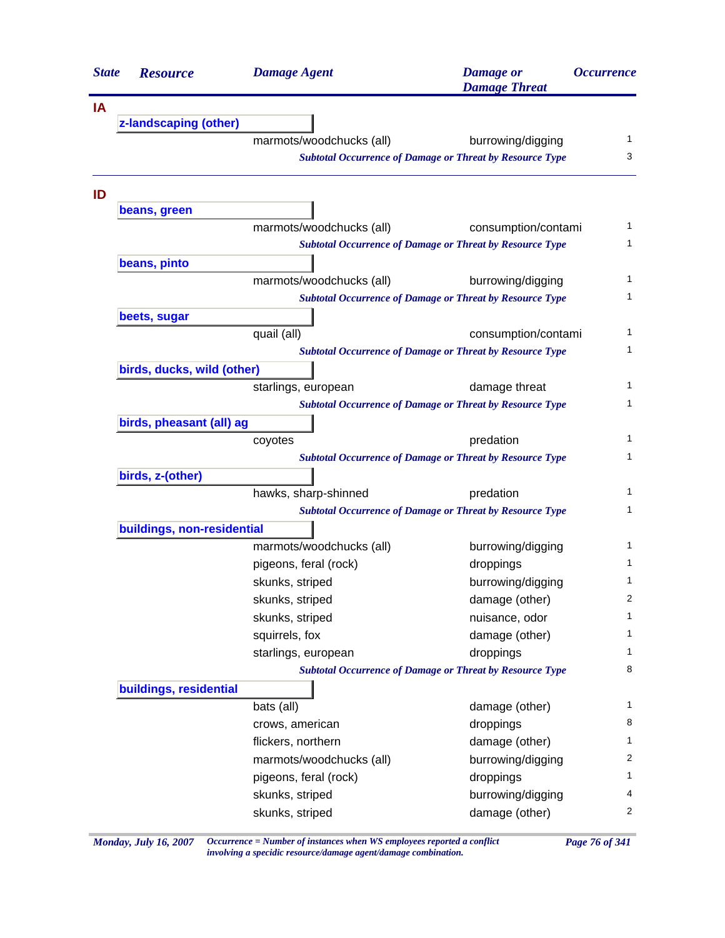| <b>State</b> | <b>Resource</b>            | <b>Damage Agent</b>      | <b>Damage</b> or<br><b>Damage Threat</b>                                             | <i><b>Occurrence</b></i> |
|--------------|----------------------------|--------------------------|--------------------------------------------------------------------------------------|--------------------------|
| IA           |                            |                          |                                                                                      |                          |
|              | z-landscaping (other)      |                          |                                                                                      |                          |
|              |                            | marmots/woodchucks (all) | burrowing/digging                                                                    | 1                        |
|              |                            |                          | <b>Subtotal Occurrence of Damage or Threat by Resource Type</b>                      | 3                        |
| ID           |                            |                          |                                                                                      |                          |
|              | beans, green               |                          |                                                                                      | 1                        |
|              |                            | marmots/woodchucks (all) | consumption/contami                                                                  | 1                        |
|              |                            |                          | <b>Subtotal Occurrence of Damage or Threat by Resource Type</b>                      |                          |
|              | beans, pinto               |                          |                                                                                      | 1                        |
|              |                            | marmots/woodchucks (all) | burrowing/digging<br><b>Subtotal Occurrence of Damage or Threat by Resource Type</b> | 1                        |
|              |                            |                          |                                                                                      |                          |
|              | beets, sugar               | quail (all)              | consumption/contami                                                                  | 1                        |
|              |                            |                          | <b>Subtotal Occurrence of Damage or Threat by Resource Type</b>                      | 1                        |
|              | birds, ducks, wild (other) |                          |                                                                                      |                          |
|              |                            | starlings, european      | damage threat                                                                        | 1                        |
|              |                            |                          | <b>Subtotal Occurrence of Damage or Threat by Resource Type</b>                      | 1                        |
|              | birds, pheasant (all) ag   |                          |                                                                                      |                          |
|              |                            | coyotes                  | predation                                                                            | 1                        |
|              |                            |                          | <b>Subtotal Occurrence of Damage or Threat by Resource Type</b>                      | 1                        |
|              | birds, z-(other)           |                          |                                                                                      |                          |
|              |                            | hawks, sharp-shinned     | predation                                                                            | 1                        |
|              |                            |                          | <b>Subtotal Occurrence of Damage or Threat by Resource Type</b>                      | 1                        |
|              | buildings, non-residential |                          |                                                                                      |                          |
|              |                            | marmots/woodchucks (all) | burrowing/digging                                                                    | 1                        |
|              |                            | pigeons, feral (rock)    | droppings                                                                            | 1                        |
|              |                            | skunks, striped          | burrowing/digging                                                                    | 1                        |
|              |                            | skunks, striped          | damage (other)                                                                       | 2                        |
|              |                            | skunks, striped          | nuisance, odor                                                                       | 1                        |
|              |                            | squirrels, fox           | damage (other)                                                                       | 1                        |
|              |                            | starlings, european      | droppings                                                                            | 1                        |
|              |                            |                          | <b>Subtotal Occurrence of Damage or Threat by Resource Type</b>                      | 8                        |
|              | buildings, residential     |                          |                                                                                      |                          |
|              |                            | bats (all)               | damage (other)                                                                       | 1                        |
|              |                            | crows, american          | droppings                                                                            | 8                        |
|              |                            | flickers, northern       | damage (other)                                                                       | 1                        |
|              |                            | marmots/woodchucks (all) | burrowing/digging                                                                    | 2                        |
|              |                            | pigeons, feral (rock)    | droppings                                                                            | 1                        |
|              |                            |                          |                                                                                      | 4                        |
|              |                            | skunks, striped          | burrowing/digging                                                                    |                          |

*Monday, July 16, 2007 Occurrence = Number of instances when WS employees reported a conflict Page 76 of 341 involving a specidic resource/damage agent/damage combination.*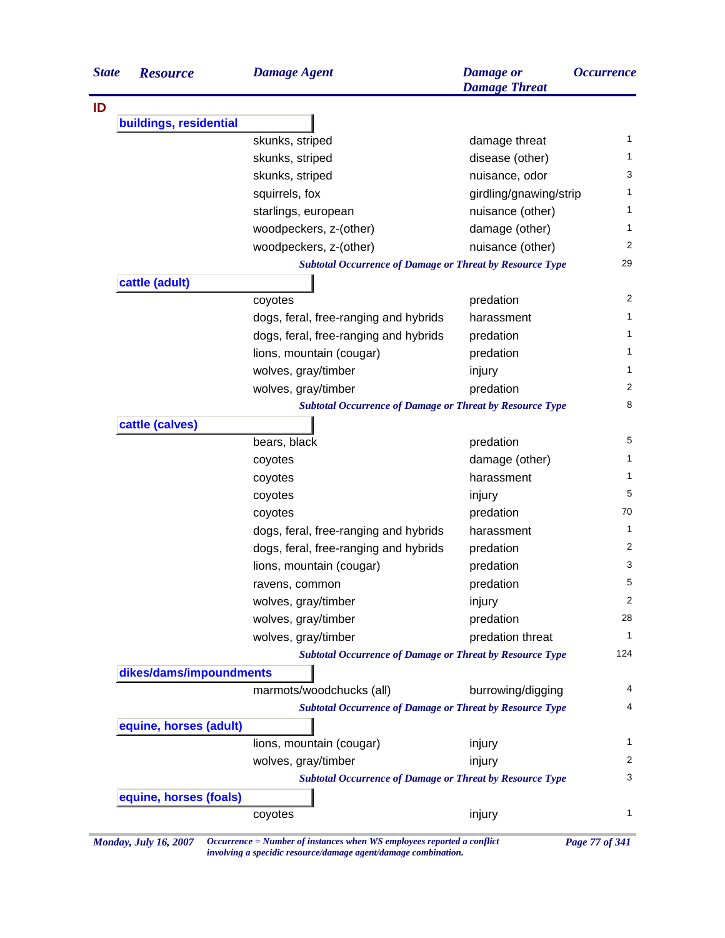| <b>State</b> | <b>Resource</b>         | <b>Damage Agent</b>                                             | <b>Damage</b> or<br><b>Damage Threat</b> | <i><b>Occurrence</b></i> |
|--------------|-------------------------|-----------------------------------------------------------------|------------------------------------------|--------------------------|
| ID           |                         |                                                                 |                                          |                          |
|              | buildings, residential  |                                                                 |                                          |                          |
|              |                         | skunks, striped                                                 | damage threat                            | 1                        |
|              |                         | skunks, striped                                                 | disease (other)                          | 1                        |
|              |                         | skunks, striped                                                 | nuisance, odor                           | 3                        |
|              |                         | squirrels, fox                                                  | girdling/gnawing/strip                   | 1                        |
|              |                         | starlings, european                                             | nuisance (other)                         | 1                        |
|              |                         | woodpeckers, z-(other)                                          | damage (other)                           | 1                        |
|              |                         | woodpeckers, z-(other)                                          | nuisance (other)                         | 2                        |
|              |                         | <b>Subtotal Occurrence of Damage or Threat by Resource Type</b> |                                          | 29                       |
|              | cattle (adult)          |                                                                 |                                          |                          |
|              |                         | coyotes                                                         | predation                                | 2                        |
|              |                         | dogs, feral, free-ranging and hybrids                           | harassment                               | 1                        |
|              |                         | dogs, feral, free-ranging and hybrids                           | predation                                | 1                        |
|              |                         | lions, mountain (cougar)                                        | predation                                | 1                        |
|              |                         | wolves, gray/timber                                             | injury                                   | 1                        |
|              |                         | wolves, gray/timber                                             | predation                                | 2                        |
|              |                         | <b>Subtotal Occurrence of Damage or Threat by Resource Type</b> |                                          | 8                        |
|              | cattle (calves)         |                                                                 |                                          |                          |
|              |                         | bears, black                                                    | predation                                | 5                        |
|              |                         | coyotes                                                         | damage (other)                           | 1                        |
|              |                         | coyotes                                                         | harassment                               | 1                        |
|              |                         | coyotes                                                         | injury                                   | 5                        |
|              |                         | coyotes                                                         | predation                                | 70                       |
|              |                         | dogs, feral, free-ranging and hybrids                           | harassment                               | 1                        |
|              |                         | dogs, feral, free-ranging and hybrids                           | predation                                | 2                        |
|              |                         | lions, mountain (cougar)                                        | predation                                | 3                        |
|              |                         | ravens, common                                                  | predation                                | 5                        |
|              |                         | wolves, gray/timber                                             | injury                                   | 2                        |
|              |                         | wolves, gray/timber                                             | predation                                | 28                       |
|              |                         | wolves, gray/timber                                             | predation threat                         | $\mathbf{1}$             |
|              |                         | <b>Subtotal Occurrence of Damage or Threat by Resource Type</b> |                                          | 124                      |
|              | dikes/dams/impoundments |                                                                 |                                          |                          |
|              |                         | marmots/woodchucks (all)                                        | burrowing/digging                        | 4                        |
|              |                         | <b>Subtotal Occurrence of Damage or Threat by Resource Type</b> |                                          | 4                        |
|              | equine, horses (adult)  |                                                                 |                                          |                          |
|              |                         | lions, mountain (cougar)                                        | injury                                   | $\mathbf{1}$             |
|              |                         | wolves, gray/timber                                             | injury                                   | 2                        |
|              |                         | <b>Subtotal Occurrence of Damage or Threat by Resource Type</b> |                                          | 3                        |
|              | equine, horses (foals)  |                                                                 |                                          |                          |
|              |                         | coyotes                                                         | injury                                   | 1                        |
|              |                         |                                                                 |                                          |                          |

*Monday, July 16, 2007 Occurrence = Number of instances when WS employees reported a conflict Page 77 of 341 involving a specidic resource/damage agent/damage combination.*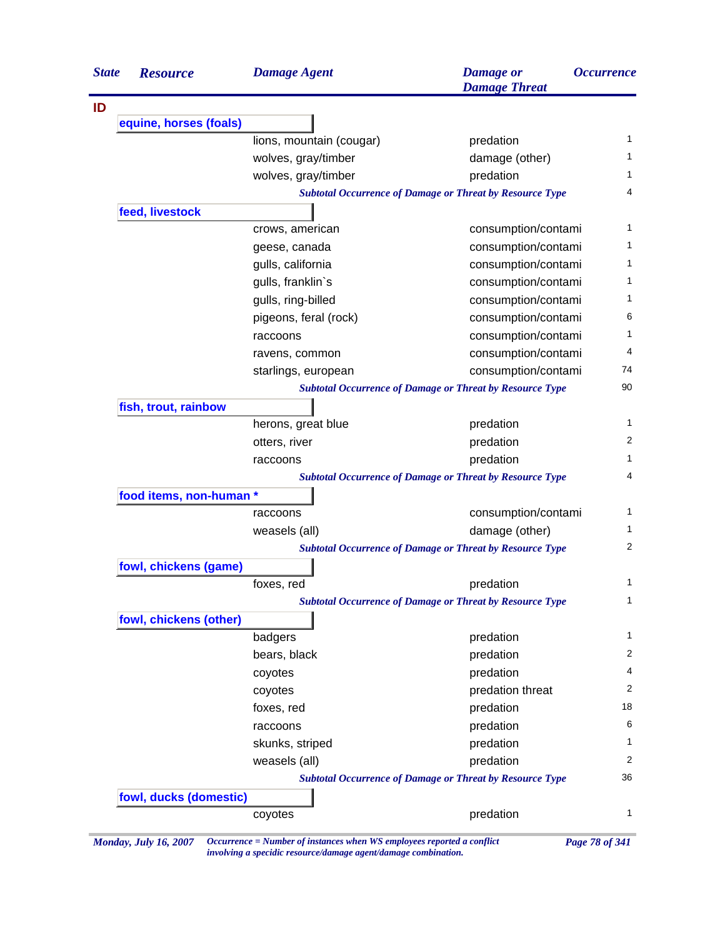| <b>State</b> | <b>Resource</b>         | <b>Damage Agent</b>      | <b>Damage</b> or<br><b>Damage Threat</b>                        | <i><b>Occurrence</b></i> |
|--------------|-------------------------|--------------------------|-----------------------------------------------------------------|--------------------------|
|              |                         |                          |                                                                 |                          |
|              | equine, horses (foals)  |                          |                                                                 |                          |
|              |                         | lions, mountain (cougar) | predation                                                       |                          |
|              |                         | wolves, gray/timber      | damage (other)                                                  |                          |
|              |                         | wolves, gray/timber      | predation                                                       |                          |
|              |                         |                          | <b>Subtotal Occurrence of Damage or Threat by Resource Type</b> |                          |
|              | feed, livestock         |                          |                                                                 |                          |
|              |                         | crows, american          | consumption/contami                                             |                          |
|              |                         | geese, canada            | consumption/contami                                             |                          |
|              |                         | gulls, california        | consumption/contami                                             |                          |
|              |                         | gulls, franklin's        | consumption/contami                                             |                          |
|              |                         | gulls, ring-billed       | consumption/contami                                             |                          |
|              |                         | pigeons, feral (rock)    | consumption/contami                                             |                          |
|              |                         | raccoons                 | consumption/contami                                             |                          |
|              |                         | ravens, common           | consumption/contami                                             |                          |
|              |                         | starlings, european      | consumption/contami                                             |                          |
|              |                         |                          | <b>Subtotal Occurrence of Damage or Threat by Resource Type</b> |                          |
|              | fish, trout, rainbow    |                          |                                                                 |                          |
|              |                         | herons, great blue       | predation                                                       |                          |
|              |                         | otters, river            | predation                                                       |                          |
|              |                         | raccoons                 | predation                                                       |                          |
|              |                         |                          | <b>Subtotal Occurrence of Damage or Threat by Resource Type</b> |                          |
|              | food items, non-human * |                          |                                                                 |                          |
|              |                         | raccoons                 | consumption/contami                                             |                          |
|              |                         | weasels (all)            | damage (other)                                                  |                          |
|              |                         |                          | <b>Subtotal Occurrence of Damage or Threat by Resource Type</b> |                          |
|              | fowl, chickens (game)   |                          |                                                                 |                          |
|              |                         | foxes, red               | predation                                                       |                          |
|              |                         |                          | <b>Subtotal Occurrence of Damage or Threat by Resource Type</b> |                          |
|              | fowl, chickens (other)  |                          |                                                                 |                          |
|              |                         | badgers                  | predation                                                       |                          |
|              |                         | bears, black             | predation                                                       |                          |
|              |                         | coyotes                  | predation                                                       |                          |
|              |                         | coyotes                  | predation threat                                                |                          |
|              |                         | foxes, red               | predation                                                       |                          |
|              |                         | raccoons                 | predation                                                       |                          |
|              |                         | skunks, striped          | predation                                                       |                          |
|              |                         | weasels (all)            | predation                                                       |                          |
|              |                         |                          | <b>Subtotal Occurrence of Damage or Threat by Resource Type</b> |                          |
|              | fowl, ducks (domestic)  |                          |                                                                 |                          |
|              |                         | coyotes                  | predation                                                       |                          |

*involving a specidic resource/damage agent/damage combination.*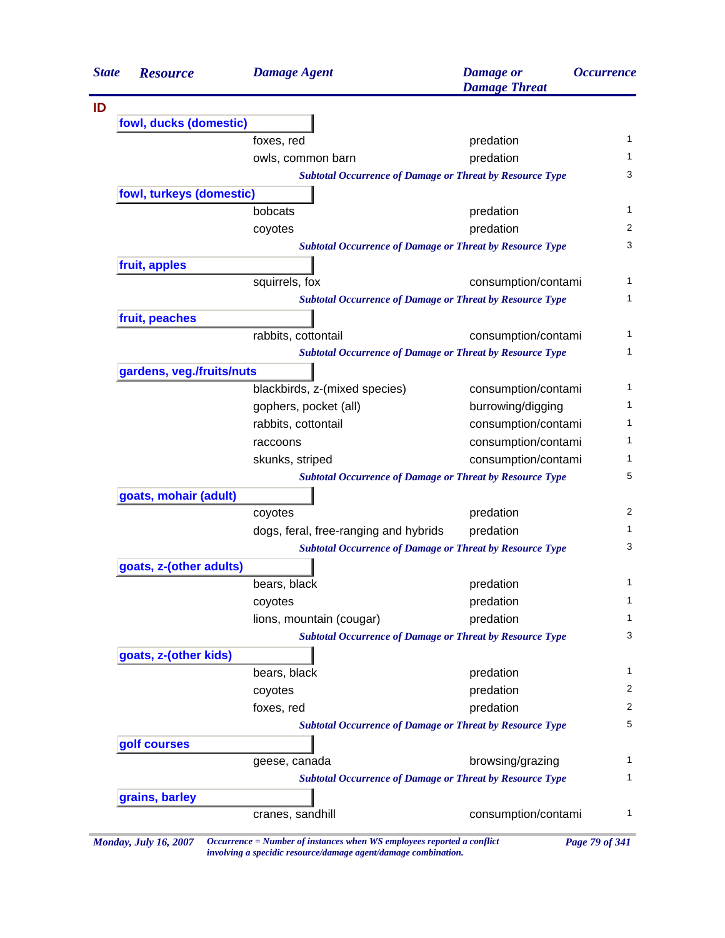| <b>State</b> | <b>Resource</b>           | <b>Damage Agent</b>                                                           | <b>Damage</b> or<br><b>Damage Threat</b> | <i><b>Occurrence</b></i> |
|--------------|---------------------------|-------------------------------------------------------------------------------|------------------------------------------|--------------------------|
|              |                           |                                                                               |                                          |                          |
|              | fowl, ducks (domestic)    |                                                                               |                                          |                          |
|              |                           | foxes, red                                                                    | predation                                | 1                        |
|              |                           | owls, common barn                                                             | predation                                | 1                        |
|              |                           | <b>Subtotal Occurrence of Damage or Threat by Resource Type</b>               |                                          | 3                        |
|              | fowl, turkeys (domestic)  |                                                                               |                                          |                          |
|              |                           | bobcats                                                                       | predation                                | 1                        |
|              |                           | coyotes                                                                       | predation                                | 2                        |
|              |                           | <b>Subtotal Occurrence of Damage or Threat by Resource Type</b>               |                                          | 3                        |
|              | fruit, apples             |                                                                               |                                          |                          |
|              |                           | squirrels, fox                                                                | consumption/contami                      | 1                        |
|              |                           | <b>Subtotal Occurrence of Damage or Threat by Resource Type</b>               |                                          | 1                        |
|              | fruit, peaches            |                                                                               |                                          |                          |
|              |                           | rabbits, cottontail                                                           | consumption/contami                      | 1                        |
|              |                           | <b>Subtotal Occurrence of Damage or Threat by Resource Type</b>               |                                          | 1                        |
|              | gardens, veg./fruits/nuts |                                                                               |                                          |                          |
|              |                           | blackbirds, z-(mixed species)                                                 | consumption/contami                      | 1                        |
|              |                           | gophers, pocket (all)                                                         | burrowing/digging                        | 1                        |
|              |                           | rabbits, cottontail                                                           | consumption/contami                      | 1                        |
|              |                           | raccoons                                                                      | consumption/contami                      | 1                        |
|              |                           | skunks, striped                                                               | consumption/contami                      | 1                        |
|              |                           | <b>Subtotal Occurrence of Damage or Threat by Resource Type</b>               |                                          | 5                        |
|              | goats, mohair (adult)     |                                                                               |                                          |                          |
|              |                           | coyotes                                                                       | predation                                | 2                        |
|              |                           | dogs, feral, free-ranging and hybrids                                         | predation                                | 1                        |
|              |                           | <b>Subtotal Occurrence of Damage or Threat by Resource Type</b>               |                                          | 3                        |
|              | goats, z-(other adults)   |                                                                               |                                          |                          |
|              |                           | bears, black                                                                  | predation                                | 1                        |
|              |                           | coyotes                                                                       | predation                                | 1                        |
|              |                           | lions, mountain (cougar)                                                      | predation                                | 1                        |
|              |                           | <b>Subtotal Occurrence of Damage or Threat by Resource Type</b>               |                                          | 3                        |
|              | goats, z-(other kids)     |                                                                               |                                          |                          |
|              |                           | bears, black                                                                  | predation                                | 1                        |
|              |                           |                                                                               | predation                                | 2                        |
|              |                           | coyotes                                                                       |                                          | $\overline{2}$           |
|              |                           | foxes, red<br><b>Subtotal Occurrence of Damage or Threat by Resource Type</b> | predation                                | 5                        |
|              |                           |                                                                               |                                          |                          |
|              | golf courses              |                                                                               |                                          | 1                        |
|              |                           | geese, canada                                                                 | browsing/grazing                         | 1                        |
|              |                           | <b>Subtotal Occurrence of Damage or Threat by Resource Type</b>               |                                          |                          |
|              | grains, barley            |                                                                               |                                          |                          |
|              |                           | cranes, sandhill                                                              | consumption/contami                      | $\mathbf{1}$             |

*Monday, July 16, 2007 Occurrence = Number of instances when WS employees reported a conflict Page 79 of 341 involving a specidic resource/damage agent/damage combination.*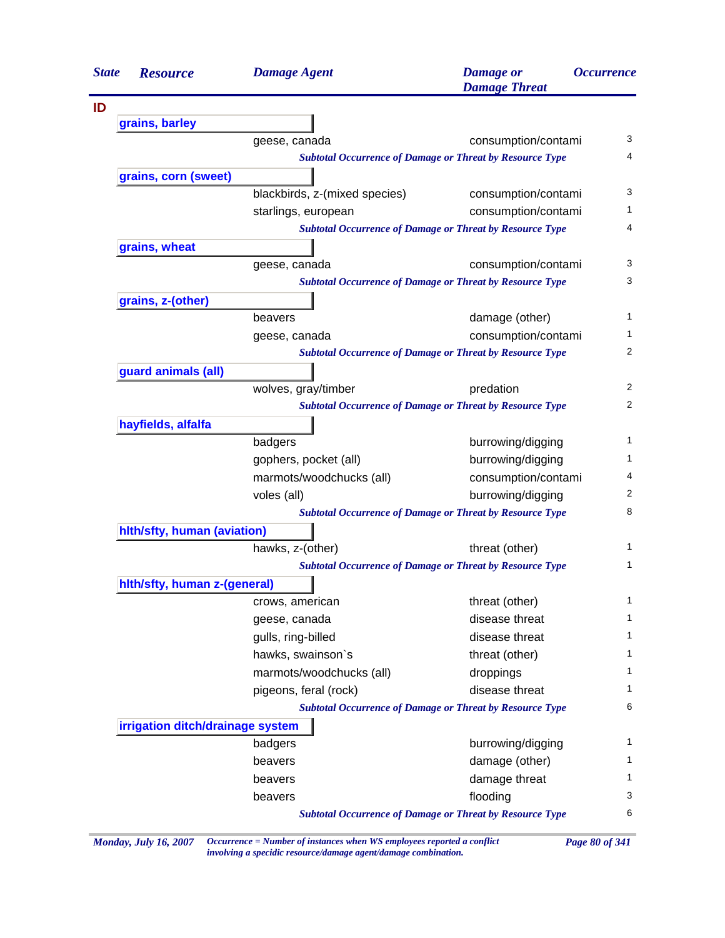| <b>State</b> | <b>Resource</b>                  | <b>Damage Agent</b>           | <b>Damage</b> or<br><b>Damage Threat</b>                        | <i><b>Occurrence</b></i> |
|--------------|----------------------------------|-------------------------------|-----------------------------------------------------------------|--------------------------|
|              |                                  |                               |                                                                 |                          |
|              | grains, barley                   |                               |                                                                 |                          |
|              |                                  | geese, canada                 | consumption/contami                                             | 3                        |
|              |                                  |                               | <b>Subtotal Occurrence of Damage or Threat by Resource Type</b> | 4                        |
|              | grains, corn (sweet)             |                               |                                                                 |                          |
|              |                                  | blackbirds, z-(mixed species) | consumption/contami                                             | 3                        |
|              |                                  | starlings, european           | consumption/contami                                             | 1                        |
|              |                                  |                               | <b>Subtotal Occurrence of Damage or Threat by Resource Type</b> | 4                        |
|              | grains, wheat                    |                               |                                                                 |                          |
|              |                                  | geese, canada                 | consumption/contami                                             | 3                        |
|              |                                  |                               | <b>Subtotal Occurrence of Damage or Threat by Resource Type</b> | 3                        |
|              | grains, z-(other)                |                               |                                                                 |                          |
|              |                                  | beavers                       | damage (other)                                                  | 1                        |
|              |                                  | geese, canada                 | consumption/contami                                             | 1                        |
|              |                                  |                               | <b>Subtotal Occurrence of Damage or Threat by Resource Type</b> | 2                        |
|              | guard animals (all)              |                               |                                                                 |                          |
|              |                                  | wolves, gray/timber           | predation                                                       | 2                        |
|              |                                  |                               | <b>Subtotal Occurrence of Damage or Threat by Resource Type</b> | 2                        |
|              | hayfields, alfalfa               |                               |                                                                 |                          |
|              |                                  | badgers                       | burrowing/digging                                               | 1                        |
|              |                                  | gophers, pocket (all)         | burrowing/digging                                               | 1                        |
|              |                                  | marmots/woodchucks (all)      | consumption/contami                                             | 4                        |
|              |                                  | voles (all)                   | burrowing/digging                                               | 2                        |
|              |                                  |                               | <b>Subtotal Occurrence of Damage or Threat by Resource Type</b> | 8                        |
|              | hith/sfty, human (aviation)      |                               |                                                                 |                          |
|              |                                  | hawks, z-(other)              | threat (other)                                                  | 1                        |
|              |                                  |                               | <b>Subtotal Occurrence of Damage or Threat by Resource Type</b> | 1                        |
|              | hith/sfty, human z-(general)     |                               |                                                                 |                          |
|              |                                  | crows, american               | threat (other)                                                  | 1                        |
|              |                                  | geese, canada                 | disease threat                                                  | 1                        |
|              |                                  | gulls, ring-billed            | disease threat                                                  | 1                        |
|              |                                  | hawks, swainson's             | threat (other)                                                  | 1                        |
|              |                                  | marmots/woodchucks (all)      | droppings                                                       | 1                        |
|              |                                  | pigeons, feral (rock)         | disease threat                                                  | 1                        |
|              |                                  |                               | <b>Subtotal Occurrence of Damage or Threat by Resource Type</b> | 6                        |
|              | irrigation ditch/drainage system |                               |                                                                 |                          |
|              |                                  | badgers                       | burrowing/digging                                               | 1                        |
|              |                                  | beavers                       | damage (other)                                                  | 1                        |
|              |                                  | beavers                       | damage threat                                                   | 1                        |
|              |                                  | beavers                       | flooding                                                        | 3                        |
|              |                                  |                               | <b>Subtotal Occurrence of Damage or Threat by Resource Type</b> | 6                        |
|              |                                  |                               |                                                                 |                          |

*Monday, July 16, 2007 Occurrence = Number of instances when WS employees reported a conflict Page 80 of 341 involving a specidic resource/damage agent/damage combination.*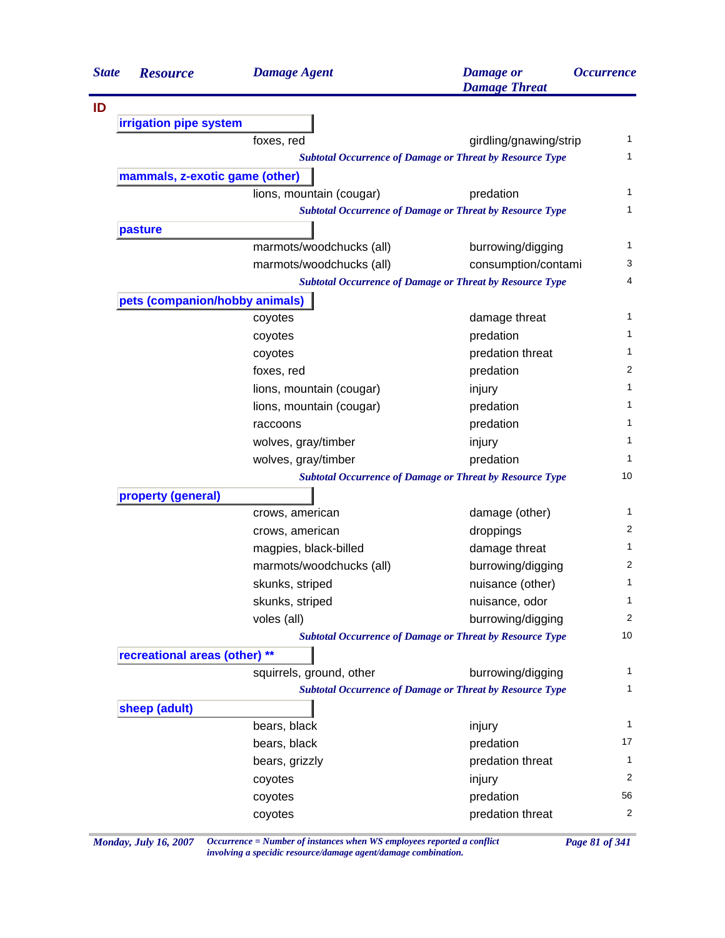| <b>State</b> | <b>Resource</b>                | <b>Damage Agent</b>      | <b>Damage</b> or<br><b>Damage Threat</b>                        | <i><b>Occurrence</b></i> |
|--------------|--------------------------------|--------------------------|-----------------------------------------------------------------|--------------------------|
| ID           |                                |                          |                                                                 |                          |
|              | irrigation pipe system         |                          |                                                                 |                          |
|              |                                | foxes, red               | girdling/gnawing/strip                                          | $\mathbf{1}$             |
|              |                                |                          | <b>Subtotal Occurrence of Damage or Threat by Resource Type</b> | 1                        |
|              | mammals, z-exotic game (other) |                          |                                                                 |                          |
|              |                                | lions, mountain (cougar) | predation                                                       | 1                        |
|              |                                |                          | <b>Subtotal Occurrence of Damage or Threat by Resource Type</b> | 1                        |
|              | pasture                        |                          |                                                                 |                          |
|              |                                | marmots/woodchucks (all) | burrowing/digging                                               | 1                        |
|              |                                | marmots/woodchucks (all) | consumption/contami                                             | 3                        |
|              |                                |                          | <b>Subtotal Occurrence of Damage or Threat by Resource Type</b> | 4                        |
|              | pets (companion/hobby animals) |                          |                                                                 |                          |
|              |                                | coyotes                  | damage threat                                                   | 1                        |
|              |                                | coyotes                  | predation                                                       | 1                        |
|              |                                | coyotes                  | predation threat                                                | 1                        |
|              |                                | foxes, red               | predation                                                       | 2                        |
|              |                                | lions, mountain (cougar) | injury                                                          | 1                        |
|              |                                | lions, mountain (cougar) | predation                                                       | 1                        |
|              |                                | raccoons                 | predation                                                       | 1                        |
|              |                                | wolves, gray/timber      | injury                                                          | 1                        |
|              |                                | wolves, gray/timber      | predation                                                       | 1                        |
|              |                                |                          | <b>Subtotal Occurrence of Damage or Threat by Resource Type</b> | 10                       |
|              | property (general)             |                          |                                                                 |                          |
|              |                                | crows, american          | damage (other)                                                  | 1                        |
|              |                                | crows, american          | droppings                                                       | 2                        |
|              |                                | magpies, black-billed    | damage threat                                                   | 1                        |
|              |                                | marmots/woodchucks (all) | burrowing/digging                                               | 2                        |
|              |                                | skunks, striped          | nuisance (other)                                                | 1                        |
|              |                                | skunks, striped          | nuisance, odor                                                  | 1                        |
|              |                                | voles (all)              | burrowing/digging                                               | 2                        |
|              |                                |                          | <b>Subtotal Occurrence of Damage or Threat by Resource Type</b> | 10                       |
|              | recreational areas (other) **  |                          |                                                                 |                          |
|              |                                | squirrels, ground, other | burrowing/digging                                               | 1                        |
|              |                                |                          | <b>Subtotal Occurrence of Damage or Threat by Resource Type</b> | 1                        |
|              | sheep (adult)                  |                          |                                                                 |                          |
|              |                                | bears, black             | injury                                                          | 1                        |
|              |                                | bears, black             | predation                                                       | 17                       |
|              |                                | bears, grizzly           | predation threat                                                | 1                        |
|              |                                | coyotes                  | injury                                                          | 2                        |
|              |                                | coyotes                  | predation                                                       | 56                       |
|              |                                | coyotes                  | predation threat                                                | 2                        |

*Monday, July 16, 2007 Occurrence = Number of instances when WS employees reported a conflict Page 81 of 341 involving a specidic resource/damage agent/damage combination.*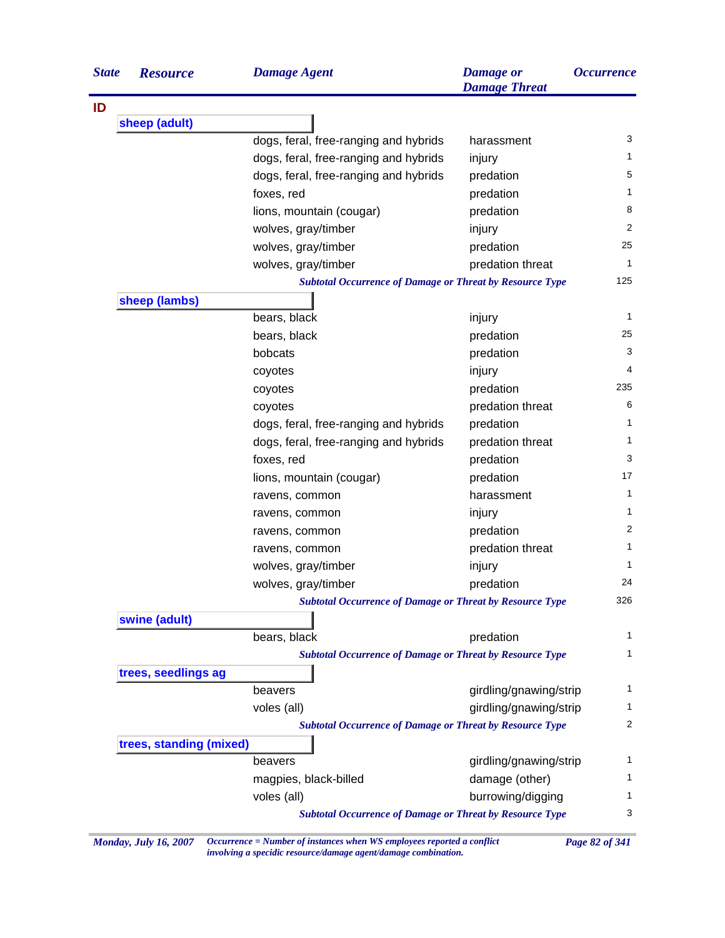| <b>State</b> | <b>Resource</b>         | <b>Damage Agent</b>                                                            | <b>Damage</b> or<br><b>Damage Threat</b> | <i><b>Occurrence</b></i> |
|--------------|-------------------------|--------------------------------------------------------------------------------|------------------------------------------|--------------------------|
|              |                         |                                                                                |                                          |                          |
|              | sheep (adult)           |                                                                                |                                          |                          |
|              |                         | dogs, feral, free-ranging and hybrids                                          | harassment                               | 3                        |
|              |                         | dogs, feral, free-ranging and hybrids                                          | injury                                   | 1                        |
|              |                         | dogs, feral, free-ranging and hybrids                                          | predation                                | 5                        |
|              |                         | foxes, red                                                                     | predation                                | 1                        |
|              |                         | lions, mountain (cougar)                                                       | predation                                | 8                        |
|              |                         | wolves, gray/timber                                                            | injury                                   | 2                        |
|              |                         | wolves, gray/timber                                                            | predation                                | 25                       |
|              |                         | wolves, gray/timber                                                            | predation threat                         | 1                        |
|              |                         | <b>Subtotal Occurrence of Damage or Threat by Resource Type</b>                |                                          | 125                      |
|              | sheep (lambs)           |                                                                                |                                          |                          |
|              |                         | bears, black                                                                   | injury                                   | 1                        |
|              |                         | bears, black                                                                   | predation                                | 25                       |
|              |                         | bobcats                                                                        | predation                                | 3                        |
|              |                         | coyotes                                                                        | injury                                   | 4                        |
|              |                         | coyotes                                                                        | predation                                | 235                      |
|              |                         | coyotes                                                                        | predation threat                         | 6                        |
|              |                         | dogs, feral, free-ranging and hybrids                                          | predation                                | 1                        |
|              |                         | dogs, feral, free-ranging and hybrids                                          | predation threat                         | 1                        |
|              |                         | foxes, red                                                                     | predation                                | 3                        |
|              |                         | lions, mountain (cougar)                                                       | predation                                | 17                       |
|              |                         | ravens, common                                                                 | harassment                               | 1                        |
|              |                         | ravens, common                                                                 | injury                                   | 1                        |
|              |                         | ravens, common                                                                 | predation                                | $\overline{2}$           |
|              |                         | ravens, common                                                                 | predation threat                         | 1                        |
|              |                         | wolves, gray/timber                                                            | injury                                   | 1                        |
|              |                         | wolves, gray/timber                                                            | predation                                | 24                       |
|              |                         | <b>Subtotal Occurrence of Damage or Threat by Resource Type</b>                |                                          | 326                      |
|              | swine (adult)           |                                                                                |                                          |                          |
|              |                         | bears, black                                                                   | predation                                | 1                        |
|              |                         | <b>Subtotal Occurrence of Damage or Threat by Resource Type</b>                |                                          | 1                        |
|              | trees, seedlings ag     |                                                                                |                                          |                          |
|              |                         | beavers                                                                        | girdling/gnawing/strip                   | 1                        |
|              |                         | voles (all)                                                                    | girdling/gnawing/strip                   | 1                        |
|              |                         | <b>Subtotal Occurrence of Damage or Threat by Resource Type</b>                |                                          | 2                        |
|              |                         |                                                                                |                                          |                          |
|              | trees, standing (mixed) |                                                                                |                                          | 1                        |
|              |                         | beavers                                                                        | girdling/gnawing/strip                   | 1                        |
|              |                         | magpies, black-billed                                                          | damage (other)                           | 1                        |
|              |                         | voles (all)<br><b>Subtotal Occurrence of Damage or Threat by Resource Type</b> | burrowing/digging                        | 3                        |

*Monday, July 16, 2007 Occurrence = Number of instances when WS employees reported a conflict Page 82 of 341 involving a specidic resource/damage agent/damage combination.*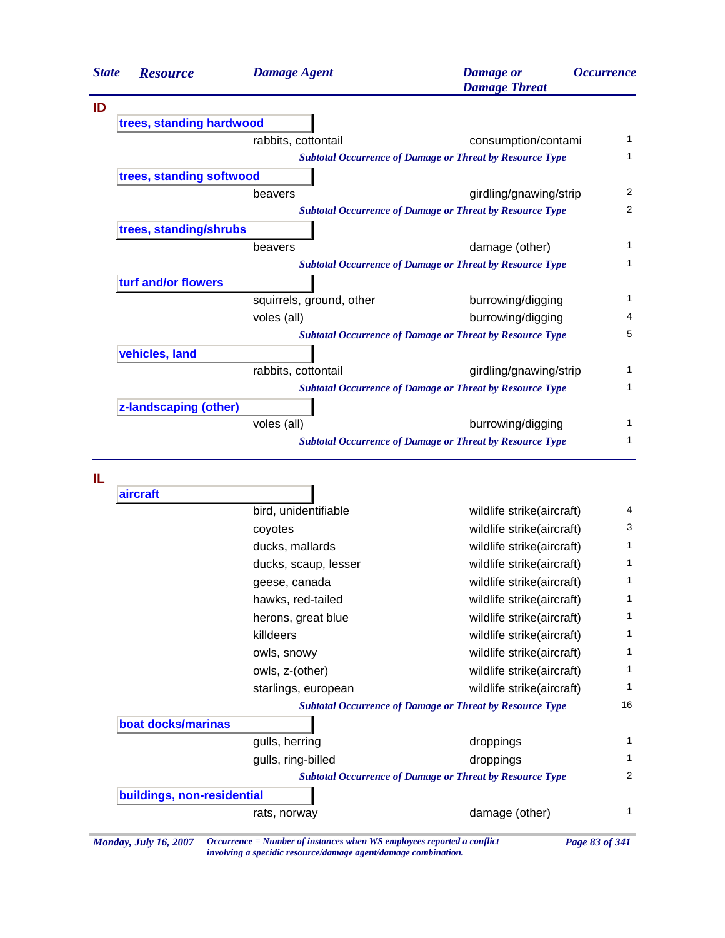| <b>State</b> | <b>Resource</b>          | <b>Damage Agent</b>                                             | <b>Damage</b> or<br><b>Damage Threat</b> | <i><b>Occurrence</b></i> |
|--------------|--------------------------|-----------------------------------------------------------------|------------------------------------------|--------------------------|
| ID           |                          |                                                                 |                                          |                          |
|              | trees, standing hardwood |                                                                 |                                          |                          |
|              |                          | rabbits, cottontail                                             | consumption/contami                      | 1                        |
|              |                          | <b>Subtotal Occurrence of Damage or Threat by Resource Type</b> |                                          | 1                        |
|              | trees, standing softwood |                                                                 |                                          |                          |
|              |                          | beavers                                                         | girdling/gnawing/strip                   | 2                        |
|              |                          | <b>Subtotal Occurrence of Damage or Threat by Resource Type</b> |                                          | 2                        |
|              | trees, standing/shrubs   |                                                                 |                                          |                          |
|              |                          | beavers                                                         | damage (other)                           | 1                        |
|              |                          | <b>Subtotal Occurrence of Damage or Threat by Resource Type</b> |                                          | 1                        |
|              | turf and/or flowers      |                                                                 |                                          |                          |
|              |                          | squirrels, ground, other                                        | burrowing/digging                        | 1                        |
|              |                          | voles (all)                                                     | burrowing/digging                        | 4                        |
|              |                          | <b>Subtotal Occurrence of Damage or Threat by Resource Type</b> |                                          | 5                        |
|              | vehicles, land           |                                                                 |                                          |                          |
|              |                          | rabbits, cottontail                                             | girdling/gnawing/strip                   | 1                        |
|              |                          | <b>Subtotal Occurrence of Damage or Threat by Resource Type</b> |                                          | 1                        |
|              | z-landscaping (other)    |                                                                 |                                          |                          |
|              |                          | voles (all)                                                     | burrowing/digging                        | 1                        |
|              |                          | <b>Subtotal Occurrence of Damage or Threat by Resource Type</b> |                                          | 1                        |

**IL**

| aircraft                   |                      |                                                                 |  |
|----------------------------|----------------------|-----------------------------------------------------------------|--|
|                            | bird, unidentifiable | wildlife strike(aircraft)                                       |  |
|                            | coyotes              | wildlife strike(aircraft)                                       |  |
|                            | ducks, mallards      | wildlife strike(aircraft)                                       |  |
|                            | ducks, scaup, lesser | wildlife strike(aircraft)                                       |  |
|                            | geese, canada        | wildlife strike(aircraft)                                       |  |
|                            | hawks, red-tailed    | wildlife strike(aircraft)                                       |  |
|                            | herons, great blue   | wildlife strike(aircraft)                                       |  |
|                            | killdeers            | wildlife strike(aircraft)                                       |  |
|                            | owls, snowy          | wildlife strike(aircraft)                                       |  |
|                            | owls, z-(other)      | wildlife strike(aircraft)                                       |  |
|                            | starlings, european  | wildlife strike(aircraft)                                       |  |
|                            |                      | <b>Subtotal Occurrence of Damage or Threat by Resource Type</b> |  |
| boat docks/marinas         |                      |                                                                 |  |
|                            | gulls, herring       | droppings                                                       |  |
|                            | gulls, ring-billed   | droppings                                                       |  |
|                            |                      | <b>Subtotal Occurrence of Damage or Threat by Resource Type</b> |  |
| buildings, non-residential |                      |                                                                 |  |
|                            | rats, norway         | damage (other)                                                  |  |

*involving a specidic resource/damage agent/damage combination.*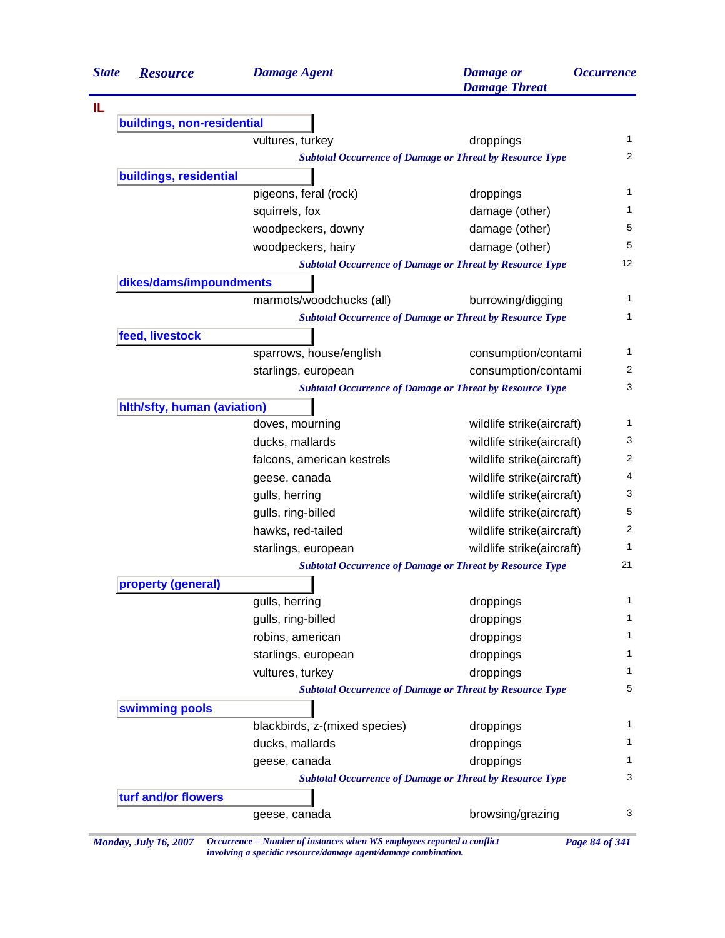| <b>State</b> | <b>Resource</b>             | <b>Damage Agent</b>                                             | <b>Damage</b> or<br><b>Damage Threat</b> | <i><b>Occurrence</b></i> |
|--------------|-----------------------------|-----------------------------------------------------------------|------------------------------------------|--------------------------|
| IL           |                             |                                                                 |                                          |                          |
|              | buildings, non-residential  |                                                                 |                                          |                          |
|              |                             | vultures, turkey                                                | droppings                                | $\mathbf{1}$             |
|              |                             | <b>Subtotal Occurrence of Damage or Threat by Resource Type</b> |                                          | $\overline{2}$           |
|              | buildings, residential      |                                                                 |                                          |                          |
|              |                             | pigeons, feral (rock)                                           | droppings                                | 1                        |
|              |                             | squirrels, fox                                                  | damage (other)                           | $\mathbf{1}$             |
|              |                             | woodpeckers, downy                                              | damage (other)                           | 5                        |
|              |                             | woodpeckers, hairy                                              | damage (other)                           | 5                        |
|              |                             | <b>Subtotal Occurrence of Damage or Threat by Resource Type</b> |                                          | 12                       |
|              | dikes/dams/impoundments     |                                                                 |                                          |                          |
|              |                             | marmots/woodchucks (all)                                        | burrowing/digging                        | $\mathbf{1}$             |
|              |                             | <b>Subtotal Occurrence of Damage or Threat by Resource Type</b> |                                          | $\mathbf{1}$             |
|              | feed, livestock             |                                                                 |                                          |                          |
|              |                             | sparrows, house/english                                         | consumption/contami                      | $\mathbf{1}$             |
|              |                             | starlings, european                                             | consumption/contami                      | 2                        |
|              |                             | <b>Subtotal Occurrence of Damage or Threat by Resource Type</b> |                                          | 3                        |
|              | hith/sfty, human (aviation) |                                                                 |                                          |                          |
|              |                             | doves, mourning                                                 | wildlife strike(aircraft)                | 1                        |
|              |                             | ducks, mallards                                                 | wildlife strike(aircraft)                | 3                        |
|              |                             | falcons, american kestrels                                      | wildlife strike(aircraft)                | 2                        |
|              |                             | geese, canada                                                   | wildlife strike(aircraft)                | 4                        |
|              |                             | gulls, herring                                                  | wildlife strike(aircraft)                | 3                        |
|              |                             | gulls, ring-billed                                              | wildlife strike(aircraft)                | 5                        |
|              |                             | hawks, red-tailed                                               | wildlife strike(aircraft)                | 2                        |
|              |                             | starlings, european                                             | wildlife strike(aircraft)                | 1                        |
|              |                             | <b>Subtotal Occurrence of Damage or Threat by Resource Type</b> |                                          | 21                       |
|              | property (general)          |                                                                 |                                          |                          |
|              |                             | gulls, herring                                                  | droppings                                | $\mathbf{1}$             |
|              |                             | gulls, ring-billed                                              | droppings                                | $\mathbf{1}$             |
|              |                             | robins, american                                                | droppings                                | $\mathbf{1}$             |
|              |                             | starlings, european                                             | droppings                                | 1                        |
|              |                             | vultures, turkey                                                | droppings                                | 1                        |
|              |                             | <b>Subtotal Occurrence of Damage or Threat by Resource Type</b> |                                          | 5                        |
|              | swimming pools              |                                                                 |                                          |                          |
|              |                             | blackbirds, z-(mixed species)                                   | droppings                                | 1                        |
|              |                             | ducks, mallards                                                 | droppings                                | 1                        |
|              |                             | geese, canada                                                   | droppings                                | 1                        |
|              |                             | <b>Subtotal Occurrence of Damage or Threat by Resource Type</b> |                                          | 3                        |
|              | turf and/or flowers         |                                                                 |                                          |                          |
|              |                             | geese, canada                                                   | browsing/grazing                         | 3                        |
|              |                             |                                                                 |                                          |                          |

*Monday, July 16, 2007 Occurrence = Number of instances when WS employees reported a conflict Page 84 of 341 involving a specidic resource/damage agent/damage combination.*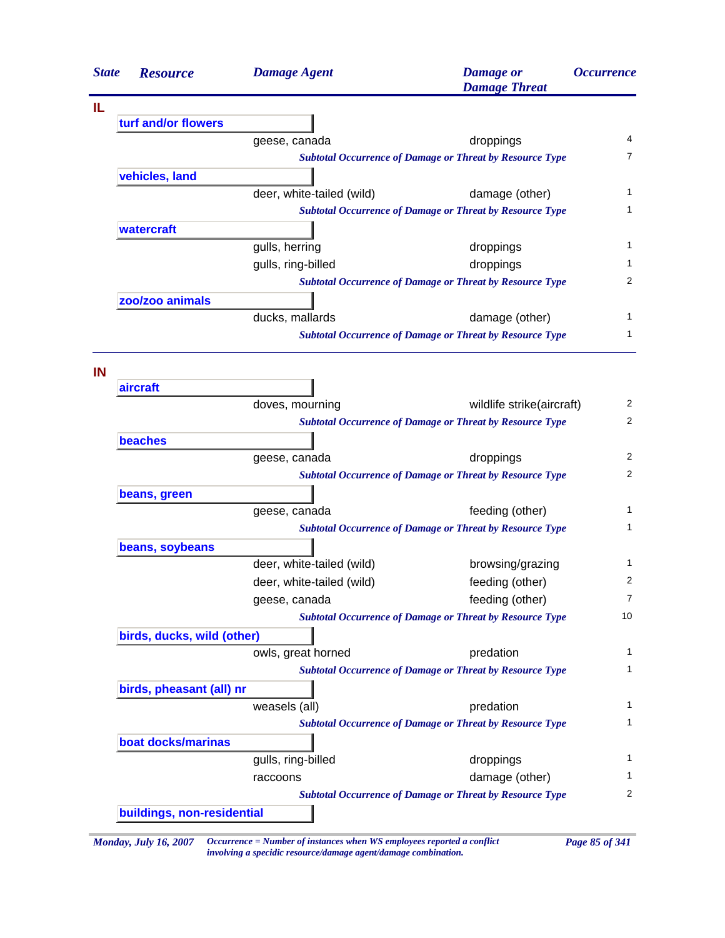| <b>State</b> | <b>Resource</b>            | <b>Damage Agent</b>       | <b>Damage</b> or<br><b>Damage Threat</b>                        | <i><b>Occurrence</b></i> |
|--------------|----------------------------|---------------------------|-----------------------------------------------------------------|--------------------------|
| IL           |                            |                           |                                                                 |                          |
|              | turf and/or flowers        |                           |                                                                 |                          |
|              |                            | geese, canada             | droppings                                                       | 4                        |
|              |                            |                           | <b>Subtotal Occurrence of Damage or Threat by Resource Type</b> | 7                        |
|              | vehicles, land             |                           |                                                                 |                          |
|              |                            | deer, white-tailed (wild) | damage (other)                                                  | 1                        |
|              |                            |                           | <b>Subtotal Occurrence of Damage or Threat by Resource Type</b> | 1                        |
|              | watercraft                 |                           |                                                                 |                          |
|              |                            | gulls, herring            | droppings                                                       | 1                        |
|              |                            | gulls, ring-billed        | droppings                                                       | 1                        |
|              |                            |                           | <b>Subtotal Occurrence of Damage or Threat by Resource Type</b> | 2                        |
|              | zoo/zoo animals            |                           |                                                                 |                          |
|              |                            | ducks, mallards           | damage (other)                                                  | 1                        |
|              |                            |                           | <b>Subtotal Occurrence of Damage or Threat by Resource Type</b> | 1                        |
| IN           |                            |                           |                                                                 |                          |
|              | aircraft                   |                           |                                                                 |                          |
|              |                            | doves, mourning           | wildlife strike(aircraft)                                       | 2                        |
|              |                            |                           | <b>Subtotal Occurrence of Damage or Threat by Resource Type</b> | 2                        |
|              | beaches                    |                           |                                                                 |                          |
|              |                            | geese, canada             | droppings                                                       | 2                        |
|              |                            |                           | <b>Subtotal Occurrence of Damage or Threat by Resource Type</b> | 2                        |
|              | beans, green               |                           |                                                                 | 1                        |
|              |                            | geese, canada             | feeding (other)                                                 | 1                        |
|              |                            |                           | <b>Subtotal Occurrence of Damage or Threat by Resource Type</b> |                          |
|              | beans, soybeans            |                           |                                                                 |                          |
|              |                            | deer, white-tailed (wild) | browsing/grazing                                                | 1<br>2                   |
|              |                            | deer, white-tailed (wild) | feeding (other)                                                 | 7                        |
|              |                            | geese, canada             | feeding (other)                                                 | 10                       |
|              |                            |                           | <b>Subtotal Occurrence of Damage or Threat by Resource Type</b> |                          |
|              | birds, ducks, wild (other) |                           |                                                                 |                          |
|              |                            | owls, great horned        | predation                                                       | 1<br>1                   |
|              |                            |                           | <b>Subtotal Occurrence of Damage or Threat by Resource Type</b> |                          |
|              | birds, pheasant (all) nr   |                           |                                                                 |                          |
|              |                            | weasels (all)             | predation                                                       | 1<br>1                   |
|              |                            |                           | <b>Subtotal Occurrence of Damage or Threat by Resource Type</b> |                          |
|              | boat docks/marinas         |                           |                                                                 |                          |
|              |                            | gulls, ring-billed        | droppings                                                       | 1                        |
|              |                            | raccoons                  | damage (other)                                                  | 1                        |
|              |                            |                           | <b>Subtotal Occurrence of Damage or Threat by Resource Type</b> | 2                        |
|              | buildings, non-residential |                           |                                                                 |                          |

*Monday, July 16, 2007 Occurrence = Number of instances when WS employees reported a conflict Page 85 of 341 involving a specidic resource/damage agent/damage combination.*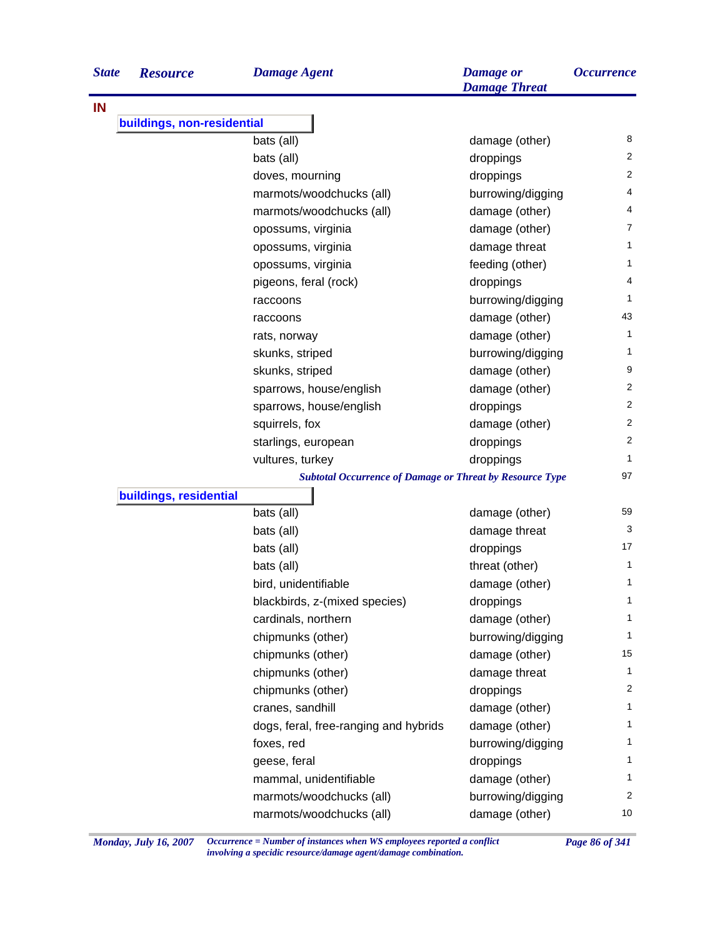| <b>State</b> | <b>Resource</b>            | <b>Damage Agent</b>                                             | <b>Damage</b> or<br><b>Damage Threat</b> | <i><b>Occurrence</b></i> |
|--------------|----------------------------|-----------------------------------------------------------------|------------------------------------------|--------------------------|
| IN           |                            |                                                                 |                                          |                          |
|              | buildings, non-residential |                                                                 |                                          |                          |
|              |                            | bats (all)                                                      | damage (other)                           | 8                        |
|              |                            | bats (all)                                                      | droppings                                | 2                        |
|              |                            | doves, mourning                                                 | droppings                                | $\overline{2}$           |
|              |                            | marmots/woodchucks (all)                                        | burrowing/digging                        | 4                        |
|              |                            | marmots/woodchucks (all)                                        | damage (other)                           | 4                        |
|              |                            | opossums, virginia                                              | damage (other)                           | 7                        |
|              |                            | opossums, virginia                                              | damage threat                            | 1                        |
|              |                            | opossums, virginia                                              | feeding (other)                          | 1                        |
|              |                            | pigeons, feral (rock)                                           | droppings                                | 4                        |
|              |                            | raccoons                                                        | burrowing/digging                        | 1                        |
|              |                            | raccoons                                                        | damage (other)                           | 43                       |
|              |                            | rats, norway                                                    | damage (other)                           | 1                        |
|              |                            | skunks, striped                                                 | burrowing/digging                        | 1                        |
|              |                            | skunks, striped                                                 | damage (other)                           | 9                        |
|              |                            | sparrows, house/english                                         | damage (other)                           | 2                        |
|              |                            | sparrows, house/english                                         | droppings                                | 2                        |
|              |                            | squirrels, fox                                                  | damage (other)                           | 2                        |
|              |                            | starlings, european                                             | droppings                                | $\overline{c}$           |
|              |                            | vultures, turkey                                                | droppings                                | 1                        |
|              |                            | <b>Subtotal Occurrence of Damage or Threat by Resource Type</b> |                                          | 97                       |
|              | buildings, residential     |                                                                 |                                          |                          |
|              |                            | bats (all)                                                      | damage (other)                           | 59                       |
|              |                            | bats (all)                                                      | damage threat                            | 3                        |
|              |                            | bats (all)                                                      | droppings                                | 17                       |
|              |                            | bats (all)                                                      | threat (other)                           | 1                        |
|              |                            | bird, unidentifiable                                            | damage (other)                           | 1                        |
|              |                            | blackbirds, z-(mixed species)                                   | droppings                                | 1                        |
|              |                            | cardinals, northern                                             | damage (other)                           | 1                        |
|              |                            | chipmunks (other)                                               | burrowing/digging                        | 1                        |
|              |                            | chipmunks (other)                                               | damage (other)                           | 15                       |
|              |                            | chipmunks (other)                                               | damage threat                            | 1                        |
|              |                            | chipmunks (other)                                               | droppings                                | 2                        |
|              |                            | cranes, sandhill                                                | damage (other)                           | 1                        |
|              |                            | dogs, feral, free-ranging and hybrids                           | damage (other)                           | 1                        |
|              |                            | foxes, red                                                      | burrowing/digging                        | 1                        |
|              |                            | geese, feral                                                    | droppings                                | 1                        |
|              |                            | mammal, unidentifiable                                          | damage (other)                           | 1                        |
|              |                            | marmots/woodchucks (all)                                        | burrowing/digging                        | $\overline{c}$           |
|              |                            | marmots/woodchucks (all)                                        | damage (other)                           | 10                       |

*Monday, July 16, 2007 Occurrence = Number of instances when WS employees reported a conflict Page 86 of 341 involving a specidic resource/damage agent/damage combination.*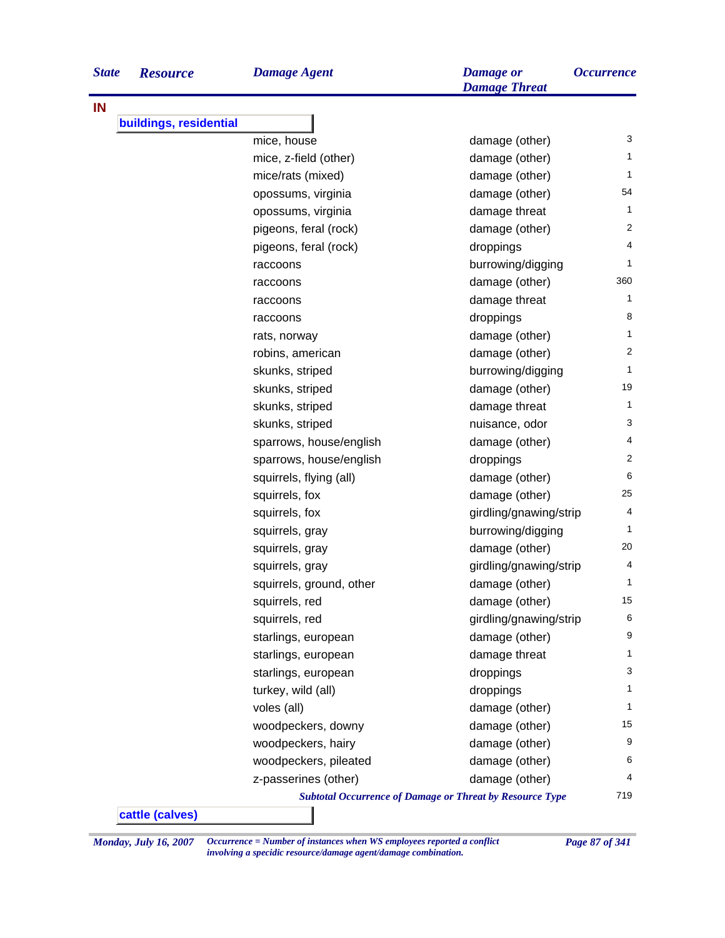| <b>State</b> | <b>Resource</b>        | <b>Damage Agent</b>      | <b>Damage</b> or<br><b>Damage Threat</b>                        | <i><b>Occurrence</b></i> |
|--------------|------------------------|--------------------------|-----------------------------------------------------------------|--------------------------|
| IN           |                        |                          |                                                                 |                          |
|              | buildings, residential |                          |                                                                 |                          |
|              |                        | mice, house              | damage (other)                                                  | 3                        |
|              |                        | mice, z-field (other)    | damage (other)                                                  | 1                        |
|              |                        | mice/rats (mixed)        | damage (other)                                                  | 1                        |
|              |                        | opossums, virginia       | damage (other)                                                  | 54                       |
|              |                        | opossums, virginia       | damage threat                                                   |                          |
|              |                        | pigeons, feral (rock)    | damage (other)                                                  |                          |
|              |                        | pigeons, feral (rock)    | droppings                                                       |                          |
|              |                        | raccoons                 | burrowing/digging                                               |                          |
|              |                        | raccoons                 | damage (other)                                                  | 360                      |
|              |                        | raccoons                 | damage threat                                                   |                          |
|              |                        | raccoons                 | droppings                                                       |                          |
|              |                        | rats, norway             | damage (other)                                                  |                          |
|              |                        | robins, american         | damage (other)                                                  |                          |
|              |                        | skunks, striped          | burrowing/digging                                               |                          |
|              |                        | skunks, striped          | damage (other)                                                  | 19                       |
|              |                        | skunks, striped          | damage threat                                                   |                          |
|              |                        | skunks, striped          | nuisance, odor                                                  |                          |
|              |                        | sparrows, house/english  | damage (other)                                                  |                          |
|              |                        | sparrows, house/english  | droppings                                                       |                          |
|              |                        | squirrels, flying (all)  | damage (other)                                                  |                          |
|              |                        | squirrels, fox           | damage (other)                                                  | 25                       |
|              |                        | squirrels, fox           | girdling/gnawing/strip                                          |                          |
|              |                        | squirrels, gray          | burrowing/digging                                               |                          |
|              |                        | squirrels, gray          | damage (other)                                                  | 20                       |
|              |                        | squirrels, gray          | girdling/gnawing/strip                                          |                          |
|              |                        | squirrels, ground, other | damage (other)                                                  |                          |
|              |                        | squirrels, red           | damage (other)                                                  | 15                       |
|              |                        | squirrels, red           | girdling/gnawing/strip                                          | 6                        |
|              |                        | starlings, european      | damage (other)                                                  |                          |
|              |                        | starlings, european      | damage threat                                                   |                          |
|              |                        | starlings, european      | droppings                                                       |                          |
|              |                        | turkey, wild (all)       | droppings                                                       |                          |
|              |                        | voles (all)              | damage (other)                                                  |                          |
|              |                        | woodpeckers, downy       | damage (other)                                                  | 15                       |
|              |                        | woodpeckers, hairy       | damage (other)                                                  | 9                        |
|              |                        | woodpeckers, pileated    | damage (other)                                                  |                          |
|              |                        | z-passerines (other)     | damage (other)                                                  |                          |
|              |                        |                          | <b>Subtotal Occurrence of Damage or Threat by Resource Type</b> | 719                      |

*Monday, July 16, 2007 Occurrence = Number of instances when WS employees reported a conflict Page 87 of 341 involving a specidic resource/damage agent/damage combination.*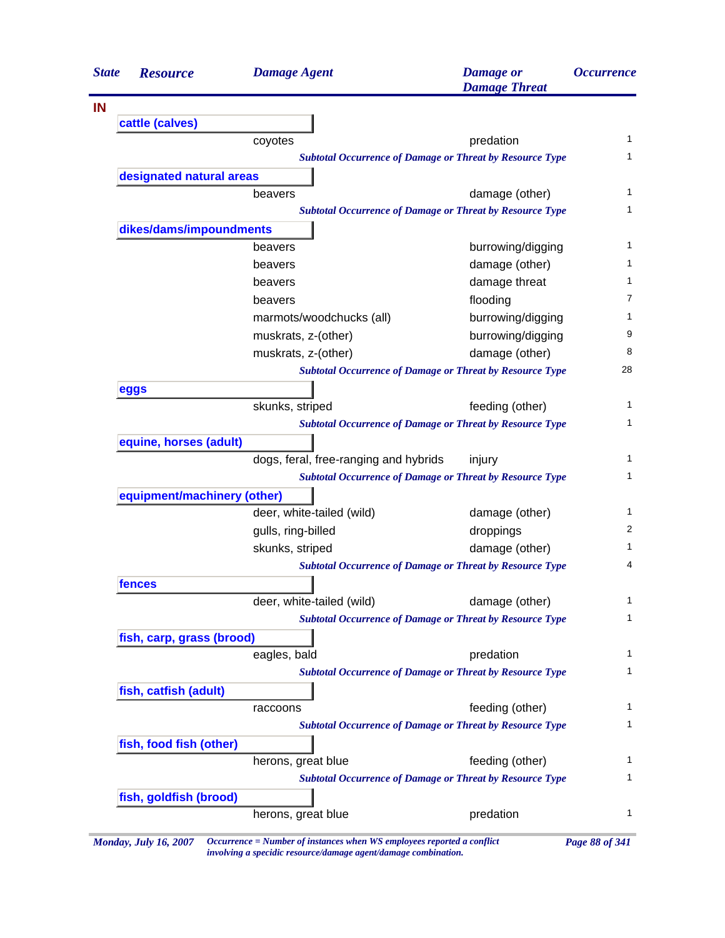|                                                                                                                                                                                                                                                                                                                                                                                                                                                                                                                                                                                                                                                                                                                                                                                                                                                                                                                                                                                                                                                                                                                                                                                                                                                                                                                                                                                     | <b>Resource</b>        | <b>Damage Agent</b>      | <b>Damage</b> or<br><b>Damage Threat</b> | <i><b>Occurrence</b></i> |  |  |  |
|-------------------------------------------------------------------------------------------------------------------------------------------------------------------------------------------------------------------------------------------------------------------------------------------------------------------------------------------------------------------------------------------------------------------------------------------------------------------------------------------------------------------------------------------------------------------------------------------------------------------------------------------------------------------------------------------------------------------------------------------------------------------------------------------------------------------------------------------------------------------------------------------------------------------------------------------------------------------------------------------------------------------------------------------------------------------------------------------------------------------------------------------------------------------------------------------------------------------------------------------------------------------------------------------------------------------------------------------------------------------------------------|------------------------|--------------------------|------------------------------------------|--------------------------|--|--|--|
|                                                                                                                                                                                                                                                                                                                                                                                                                                                                                                                                                                                                                                                                                                                                                                                                                                                                                                                                                                                                                                                                                                                                                                                                                                                                                                                                                                                     |                        |                          |                                          |                          |  |  |  |
|                                                                                                                                                                                                                                                                                                                                                                                                                                                                                                                                                                                                                                                                                                                                                                                                                                                                                                                                                                                                                                                                                                                                                                                                                                                                                                                                                                                     |                        |                          |                                          |                          |  |  |  |
|                                                                                                                                                                                                                                                                                                                                                                                                                                                                                                                                                                                                                                                                                                                                                                                                                                                                                                                                                                                                                                                                                                                                                                                                                                                                                                                                                                                     |                        | coyotes                  | predation                                |                          |  |  |  |
|                                                                                                                                                                                                                                                                                                                                                                                                                                                                                                                                                                                                                                                                                                                                                                                                                                                                                                                                                                                                                                                                                                                                                                                                                                                                                                                                                                                     |                        |                          |                                          |                          |  |  |  |
|                                                                                                                                                                                                                                                                                                                                                                                                                                                                                                                                                                                                                                                                                                                                                                                                                                                                                                                                                                                                                                                                                                                                                                                                                                                                                                                                                                                     |                        |                          |                                          |                          |  |  |  |
|                                                                                                                                                                                                                                                                                                                                                                                                                                                                                                                                                                                                                                                                                                                                                                                                                                                                                                                                                                                                                                                                                                                                                                                                                                                                                                                                                                                     |                        | beavers                  |                                          |                          |  |  |  |
|                                                                                                                                                                                                                                                                                                                                                                                                                                                                                                                                                                                                                                                                                                                                                                                                                                                                                                                                                                                                                                                                                                                                                                                                                                                                                                                                                                                     |                        |                          |                                          |                          |  |  |  |
|                                                                                                                                                                                                                                                                                                                                                                                                                                                                                                                                                                                                                                                                                                                                                                                                                                                                                                                                                                                                                                                                                                                                                                                                                                                                                                                                                                                     |                        |                          |                                          |                          |  |  |  |
|                                                                                                                                                                                                                                                                                                                                                                                                                                                                                                                                                                                                                                                                                                                                                                                                                                                                                                                                                                                                                                                                                                                                                                                                                                                                                                                                                                                     |                        | beavers                  |                                          |                          |  |  |  |
|                                                                                                                                                                                                                                                                                                                                                                                                                                                                                                                                                                                                                                                                                                                                                                                                                                                                                                                                                                                                                                                                                                                                                                                                                                                                                                                                                                                     |                        | beavers                  |                                          |                          |  |  |  |
|                                                                                                                                                                                                                                                                                                                                                                                                                                                                                                                                                                                                                                                                                                                                                                                                                                                                                                                                                                                                                                                                                                                                                                                                                                                                                                                                                                                     |                        | beavers                  | damage threat                            |                          |  |  |  |
|                                                                                                                                                                                                                                                                                                                                                                                                                                                                                                                                                                                                                                                                                                                                                                                                                                                                                                                                                                                                                                                                                                                                                                                                                                                                                                                                                                                     |                        | beavers                  | flooding                                 |                          |  |  |  |
|                                                                                                                                                                                                                                                                                                                                                                                                                                                                                                                                                                                                                                                                                                                                                                                                                                                                                                                                                                                                                                                                                                                                                                                                                                                                                                                                                                                     |                        | marmots/woodchucks (all) | burrowing/digging                        |                          |  |  |  |
|                                                                                                                                                                                                                                                                                                                                                                                                                                                                                                                                                                                                                                                                                                                                                                                                                                                                                                                                                                                                                                                                                                                                                                                                                                                                                                                                                                                     |                        | muskrats, z-(other)      | burrowing/digging                        |                          |  |  |  |
|                                                                                                                                                                                                                                                                                                                                                                                                                                                                                                                                                                                                                                                                                                                                                                                                                                                                                                                                                                                                                                                                                                                                                                                                                                                                                                                                                                                     |                        | muskrats, z-(other)      | damage (other)                           |                          |  |  |  |
|                                                                                                                                                                                                                                                                                                                                                                                                                                                                                                                                                                                                                                                                                                                                                                                                                                                                                                                                                                                                                                                                                                                                                                                                                                                                                                                                                                                     |                        |                          |                                          | 28                       |  |  |  |
| <b>State</b><br>IN<br>cattle (calves)<br><b>Subtotal Occurrence of Damage or Threat by Resource Type</b><br>designated natural areas<br>damage (other)<br><b>Subtotal Occurrence of Damage or Threat by Resource Type</b><br>dikes/dams/impoundments<br>burrowing/digging<br>damage (other)<br><b>Subtotal Occurrence of Damage or Threat by Resource Type</b><br>eggs<br>skunks, striped<br>feeding (other)<br><b>Subtotal Occurrence of Damage or Threat by Resource Type</b><br>equine, horses (adult)<br>dogs, feral, free-ranging and hybrids<br>injury<br><b>Subtotal Occurrence of Damage or Threat by Resource Type</b><br>equipment/machinery (other)<br>deer, white-tailed (wild)<br>damage (other)<br>gulls, ring-billed<br>droppings<br>skunks, striped<br>damage (other)<br><b>Subtotal Occurrence of Damage or Threat by Resource Type</b><br>fences<br>deer, white-tailed (wild)<br>damage (other)<br><b>Subtotal Occurrence of Damage or Threat by Resource Type</b><br>fish, carp, grass (brood)<br>eagles, bald<br>predation<br><b>Subtotal Occurrence of Damage or Threat by Resource Type</b><br>fish, catfish (adult)<br>feeding (other)<br>raccoons<br><b>Subtotal Occurrence of Damage or Threat by Resource Type</b><br>fish, food fish (other)<br>herons, great blue<br>feeding (other)<br><b>Subtotal Occurrence of Damage or Threat by Resource Type</b> |                        |                          |                                          |                          |  |  |  |
|                                                                                                                                                                                                                                                                                                                                                                                                                                                                                                                                                                                                                                                                                                                                                                                                                                                                                                                                                                                                                                                                                                                                                                                                                                                                                                                                                                                     |                        |                          |                                          |                          |  |  |  |
|                                                                                                                                                                                                                                                                                                                                                                                                                                                                                                                                                                                                                                                                                                                                                                                                                                                                                                                                                                                                                                                                                                                                                                                                                                                                                                                                                                                     |                        |                          |                                          |                          |  |  |  |
|                                                                                                                                                                                                                                                                                                                                                                                                                                                                                                                                                                                                                                                                                                                                                                                                                                                                                                                                                                                                                                                                                                                                                                                                                                                                                                                                                                                     |                        |                          |                                          |                          |  |  |  |
|                                                                                                                                                                                                                                                                                                                                                                                                                                                                                                                                                                                                                                                                                                                                                                                                                                                                                                                                                                                                                                                                                                                                                                                                                                                                                                                                                                                     |                        |                          |                                          |                          |  |  |  |
|                                                                                                                                                                                                                                                                                                                                                                                                                                                                                                                                                                                                                                                                                                                                                                                                                                                                                                                                                                                                                                                                                                                                                                                                                                                                                                                                                                                     |                        |                          |                                          |                          |  |  |  |
|                                                                                                                                                                                                                                                                                                                                                                                                                                                                                                                                                                                                                                                                                                                                                                                                                                                                                                                                                                                                                                                                                                                                                                                                                                                                                                                                                                                     |                        |                          |                                          |                          |  |  |  |
|                                                                                                                                                                                                                                                                                                                                                                                                                                                                                                                                                                                                                                                                                                                                                                                                                                                                                                                                                                                                                                                                                                                                                                                                                                                                                                                                                                                     |                        |                          |                                          |                          |  |  |  |
|                                                                                                                                                                                                                                                                                                                                                                                                                                                                                                                                                                                                                                                                                                                                                                                                                                                                                                                                                                                                                                                                                                                                                                                                                                                                                                                                                                                     |                        |                          |                                          |                          |  |  |  |
|                                                                                                                                                                                                                                                                                                                                                                                                                                                                                                                                                                                                                                                                                                                                                                                                                                                                                                                                                                                                                                                                                                                                                                                                                                                                                                                                                                                     |                        |                          |                                          |                          |  |  |  |
|                                                                                                                                                                                                                                                                                                                                                                                                                                                                                                                                                                                                                                                                                                                                                                                                                                                                                                                                                                                                                                                                                                                                                                                                                                                                                                                                                                                     |                        |                          |                                          |                          |  |  |  |
|                                                                                                                                                                                                                                                                                                                                                                                                                                                                                                                                                                                                                                                                                                                                                                                                                                                                                                                                                                                                                                                                                                                                                                                                                                                                                                                                                                                     |                        |                          |                                          |                          |  |  |  |
|                                                                                                                                                                                                                                                                                                                                                                                                                                                                                                                                                                                                                                                                                                                                                                                                                                                                                                                                                                                                                                                                                                                                                                                                                                                                                                                                                                                     |                        |                          |                                          |                          |  |  |  |
|                                                                                                                                                                                                                                                                                                                                                                                                                                                                                                                                                                                                                                                                                                                                                                                                                                                                                                                                                                                                                                                                                                                                                                                                                                                                                                                                                                                     |                        |                          |                                          |                          |  |  |  |
|                                                                                                                                                                                                                                                                                                                                                                                                                                                                                                                                                                                                                                                                                                                                                                                                                                                                                                                                                                                                                                                                                                                                                                                                                                                                                                                                                                                     |                        |                          |                                          |                          |  |  |  |
|                                                                                                                                                                                                                                                                                                                                                                                                                                                                                                                                                                                                                                                                                                                                                                                                                                                                                                                                                                                                                                                                                                                                                                                                                                                                                                                                                                                     |                        |                          |                                          |                          |  |  |  |
|                                                                                                                                                                                                                                                                                                                                                                                                                                                                                                                                                                                                                                                                                                                                                                                                                                                                                                                                                                                                                                                                                                                                                                                                                                                                                                                                                                                     |                        |                          |                                          |                          |  |  |  |
|                                                                                                                                                                                                                                                                                                                                                                                                                                                                                                                                                                                                                                                                                                                                                                                                                                                                                                                                                                                                                                                                                                                                                                                                                                                                                                                                                                                     |                        |                          |                                          |                          |  |  |  |
|                                                                                                                                                                                                                                                                                                                                                                                                                                                                                                                                                                                                                                                                                                                                                                                                                                                                                                                                                                                                                                                                                                                                                                                                                                                                                                                                                                                     |                        |                          |                                          |                          |  |  |  |
|                                                                                                                                                                                                                                                                                                                                                                                                                                                                                                                                                                                                                                                                                                                                                                                                                                                                                                                                                                                                                                                                                                                                                                                                                                                                                                                                                                                     |                        |                          |                                          |                          |  |  |  |
|                                                                                                                                                                                                                                                                                                                                                                                                                                                                                                                                                                                                                                                                                                                                                                                                                                                                                                                                                                                                                                                                                                                                                                                                                                                                                                                                                                                     |                        |                          |                                          |                          |  |  |  |
|                                                                                                                                                                                                                                                                                                                                                                                                                                                                                                                                                                                                                                                                                                                                                                                                                                                                                                                                                                                                                                                                                                                                                                                                                                                                                                                                                                                     |                        |                          |                                          |                          |  |  |  |
|                                                                                                                                                                                                                                                                                                                                                                                                                                                                                                                                                                                                                                                                                                                                                                                                                                                                                                                                                                                                                                                                                                                                                                                                                                                                                                                                                                                     |                        |                          |                                          |                          |  |  |  |
|                                                                                                                                                                                                                                                                                                                                                                                                                                                                                                                                                                                                                                                                                                                                                                                                                                                                                                                                                                                                                                                                                                                                                                                                                                                                                                                                                                                     |                        |                          |                                          |                          |  |  |  |
|                                                                                                                                                                                                                                                                                                                                                                                                                                                                                                                                                                                                                                                                                                                                                                                                                                                                                                                                                                                                                                                                                                                                                                                                                                                                                                                                                                                     | fish, goldfish (brood) |                          |                                          |                          |  |  |  |
|                                                                                                                                                                                                                                                                                                                                                                                                                                                                                                                                                                                                                                                                                                                                                                                                                                                                                                                                                                                                                                                                                                                                                                                                                                                                                                                                                                                     |                        | herons, great blue       | predation                                |                          |  |  |  |

*involving a specidic resource/damage agent/damage combination.*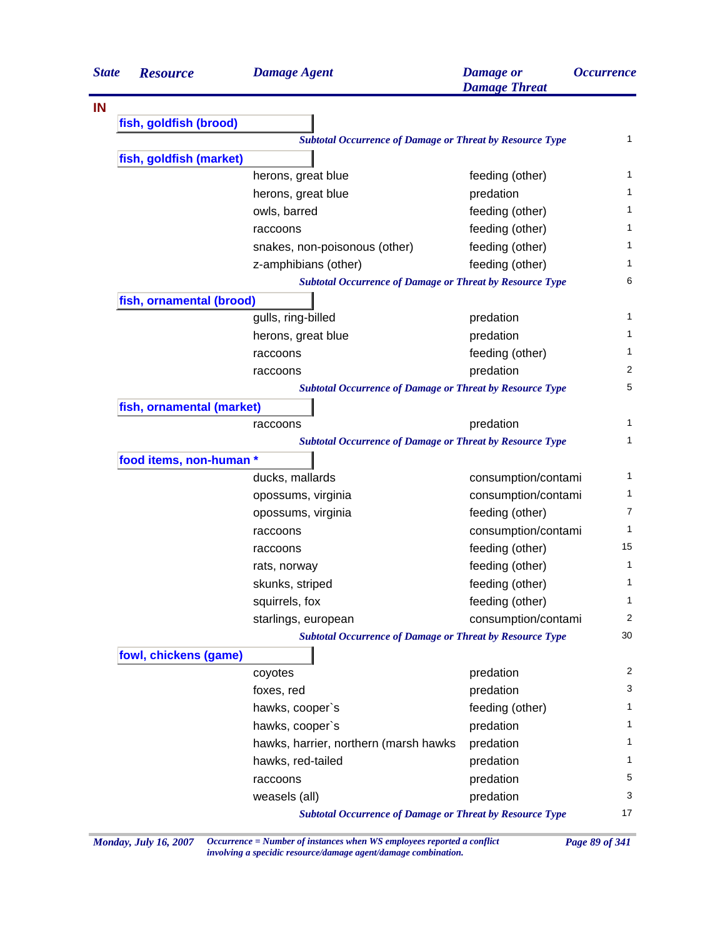| <b>State</b> | <b>Resource</b>           | <b>Damage Agent</b>                                             | <b>Damage</b> or<br><b>Damage Threat</b> | <b>Occurrence</b> |
|--------------|---------------------------|-----------------------------------------------------------------|------------------------------------------|-------------------|
|              |                           |                                                                 |                                          |                   |
|              | fish, goldfish (brood)    |                                                                 |                                          |                   |
|              |                           | <b>Subtotal Occurrence of Damage or Threat by Resource Type</b> |                                          | $\mathbf{1}$      |
|              | fish, goldfish (market)   |                                                                 |                                          |                   |
|              |                           | herons, great blue                                              | feeding (other)                          | 1                 |
|              |                           | herons, great blue                                              | predation                                | 1                 |
|              |                           | owls, barred                                                    | feeding (other)                          | 1                 |
|              |                           | raccoons                                                        | feeding (other)                          | 1                 |
|              |                           | snakes, non-poisonous (other)                                   | feeding (other)                          | 1                 |
|              |                           | z-amphibians (other)                                            | feeding (other)                          | 1                 |
|              |                           | <b>Subtotal Occurrence of Damage or Threat by Resource Type</b> |                                          | 6                 |
|              | fish, ornamental (brood)  |                                                                 |                                          |                   |
|              |                           | gulls, ring-billed                                              | predation                                | 1                 |
|              |                           | herons, great blue                                              | predation                                | 1                 |
|              |                           | raccoons                                                        | feeding (other)                          | 1                 |
|              |                           | raccoons                                                        | predation                                | 2                 |
|              |                           | <b>Subtotal Occurrence of Damage or Threat by Resource Type</b> |                                          | 5                 |
|              | fish, ornamental (market) |                                                                 |                                          |                   |
|              |                           | raccoons                                                        | predation                                | 1                 |
|              |                           | <b>Subtotal Occurrence of Damage or Threat by Resource Type</b> |                                          | 1                 |
|              | food items, non-human *   |                                                                 |                                          |                   |
|              |                           | ducks, mallards                                                 | consumption/contami                      | 1                 |
|              |                           | opossums, virginia                                              | consumption/contami                      | 1                 |
|              |                           | opossums, virginia                                              | feeding (other)                          | 7                 |
|              |                           | raccoons                                                        | consumption/contami                      | 1                 |
|              |                           | raccoons                                                        | feeding (other)                          | 15                |
|              |                           | rats, norway                                                    | feeding (other)                          | 1                 |
|              |                           | skunks, striped                                                 | feeding (other)                          | 1                 |
|              |                           | squirrels, fox                                                  | feeding (other)                          | 1                 |
|              |                           | starlings, european                                             | consumption/contami                      | 2                 |
|              |                           | <b>Subtotal Occurrence of Damage or Threat by Resource Type</b> |                                          | 30                |
|              | fowl, chickens (game)     |                                                                 |                                          |                   |
|              |                           | coyotes                                                         | predation                                | 2                 |
|              |                           | foxes, red                                                      | predation                                | 3                 |
|              |                           | hawks, cooper's                                                 | feeding (other)                          | 1                 |
|              |                           | hawks, cooper's                                                 | predation                                | 1                 |
|              |                           | hawks, harrier, northern (marsh hawks                           | predation                                | 1                 |
|              |                           | hawks, red-tailed                                               | predation                                | 1                 |
|              |                           | raccoons                                                        | predation                                | 5                 |
|              |                           | weasels (all)                                                   | predation                                | 3                 |
|              |                           |                                                                 |                                          |                   |

*Monday, July 16, 2007 Occurrence = Number of instances when WS employees reported a conflict Page 89 of 341 involving a specidic resource/damage agent/damage combination.*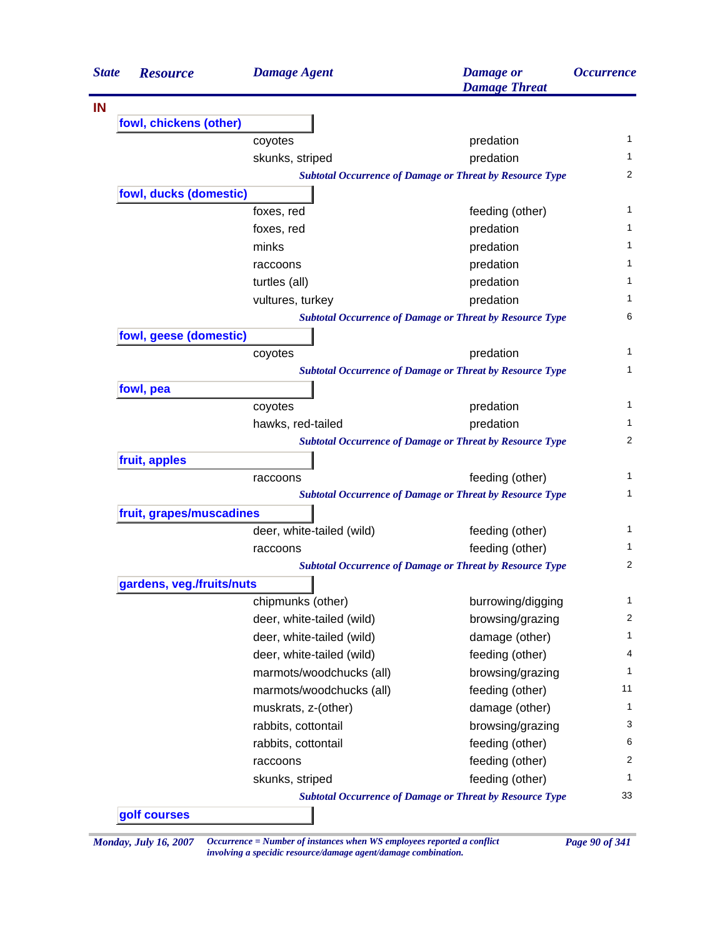| <b>State</b> | <b>Resource</b>           | <b>Damage Agent</b>       | <b>Damage</b> or<br><b>Damage Threat</b>                        | <i><b>Occurrence</b></i> |
|--------------|---------------------------|---------------------------|-----------------------------------------------------------------|--------------------------|
|              |                           |                           |                                                                 |                          |
|              | fowl, chickens (other)    |                           |                                                                 |                          |
|              |                           | coyotes                   | predation                                                       | 1                        |
|              |                           | skunks, striped           | predation                                                       | 1                        |
|              |                           |                           | <b>Subtotal Occurrence of Damage or Threat by Resource Type</b> | 2                        |
|              | fowl, ducks (domestic)    |                           |                                                                 |                          |
|              |                           | foxes, red                | feeding (other)                                                 | 1                        |
|              |                           | foxes, red                | predation                                                       | 1                        |
|              |                           | minks                     | predation                                                       | 1                        |
|              |                           | raccoons                  | predation                                                       | 1                        |
|              |                           | turtles (all)             | predation                                                       | 1                        |
|              |                           | vultures, turkey          | predation                                                       | 1                        |
|              |                           |                           | <b>Subtotal Occurrence of Damage or Threat by Resource Type</b> | 6                        |
|              | fowl, geese (domestic)    |                           |                                                                 |                          |
|              |                           | coyotes                   | predation                                                       | 1                        |
|              |                           |                           | <b>Subtotal Occurrence of Damage or Threat by Resource Type</b> | 1                        |
|              | fowl, pea                 |                           |                                                                 |                          |
|              |                           | coyotes                   | predation                                                       | 1                        |
|              |                           | hawks, red-tailed         | predation                                                       | 1                        |
|              |                           |                           | <b>Subtotal Occurrence of Damage or Threat by Resource Type</b> | 2                        |
|              | fruit, apples             |                           |                                                                 |                          |
|              |                           | raccoons                  | feeding (other)                                                 | 1                        |
|              |                           |                           | <b>Subtotal Occurrence of Damage or Threat by Resource Type</b> | 1                        |
|              | fruit, grapes/muscadines  |                           |                                                                 |                          |
|              |                           | deer, white-tailed (wild) | feeding (other)                                                 | 1                        |
|              |                           | raccoons                  | feeding (other)                                                 | 1                        |
|              |                           |                           | <b>Subtotal Occurrence of Damage or Threat by Resource Type</b> | 2                        |
|              | gardens, veg./fruits/nuts |                           |                                                                 |                          |
|              |                           | chipmunks (other)         | burrowing/digging                                               | $\mathbf{1}$             |
|              |                           | deer, white-tailed (wild) | browsing/grazing                                                | 2                        |
|              |                           | deer, white-tailed (wild) | damage (other)                                                  | 1                        |
|              |                           | deer, white-tailed (wild) | feeding (other)                                                 | 4                        |
|              |                           | marmots/woodchucks (all)  | browsing/grazing                                                | 1                        |
|              |                           | marmots/woodchucks (all)  | feeding (other)                                                 | 11                       |
|              |                           | muskrats, z-(other)       | damage (other)                                                  | $\mathbf 1$              |
|              |                           | rabbits, cottontail       | browsing/grazing                                                | 3                        |
|              |                           | rabbits, cottontail       | feeding (other)                                                 | 6                        |
|              |                           | raccoons                  | feeding (other)                                                 | 2                        |
|              |                           | skunks, striped           | feeding (other)                                                 | 1                        |
|              |                           |                           | <b>Subtotal Occurrence of Damage or Threat by Resource Type</b> | 33                       |
|              | golf courses              |                           |                                                                 |                          |

*Monday, July 16, 2007 Occurrence = Number of instances when WS employees reported a conflict Page 90 of 341 involving a specidic resource/damage agent/damage combination.*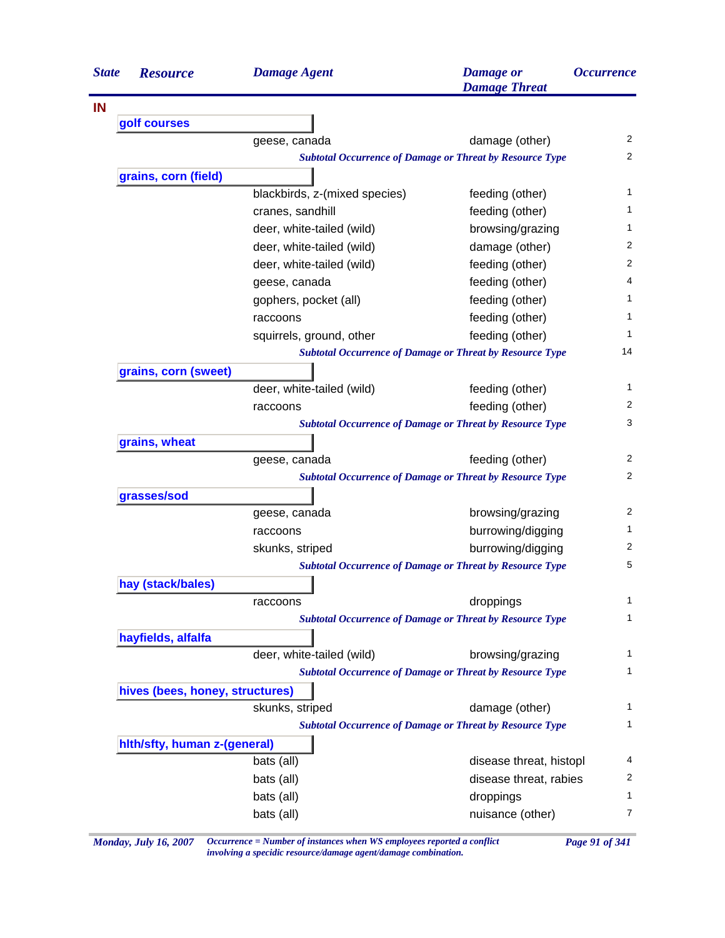| golf courses<br>grains, corn (field) | geese, canada<br><b>Subtotal Occurrence of Damage or Threat by Resource Type</b><br>blackbirds, z-(mixed species)<br>cranes, sandhill | damage (other)          | 2<br>2         |  |  |
|--------------------------------------|---------------------------------------------------------------------------------------------------------------------------------------|-------------------------|----------------|--|--|
|                                      |                                                                                                                                       |                         |                |  |  |
|                                      |                                                                                                                                       |                         |                |  |  |
|                                      |                                                                                                                                       |                         |                |  |  |
|                                      |                                                                                                                                       |                         |                |  |  |
|                                      |                                                                                                                                       |                         |                |  |  |
|                                      |                                                                                                                                       | feeding (other)         | 1              |  |  |
|                                      |                                                                                                                                       | feeding (other)         | 1              |  |  |
|                                      | deer, white-tailed (wild)                                                                                                             | browsing/grazing        | 1              |  |  |
|                                      | deer, white-tailed (wild)                                                                                                             | damage (other)          | 2              |  |  |
|                                      | deer, white-tailed (wild)                                                                                                             | feeding (other)         | 2              |  |  |
|                                      | geese, canada                                                                                                                         | feeding (other)         | 4              |  |  |
|                                      | gophers, pocket (all)                                                                                                                 | feeding (other)         | 1              |  |  |
|                                      | raccoons                                                                                                                              | feeding (other)         | 1              |  |  |
|                                      | squirrels, ground, other                                                                                                              | feeding (other)         | 1              |  |  |
|                                      | <b>Subtotal Occurrence of Damage or Threat by Resource Type</b>                                                                       |                         | 14             |  |  |
| grains, corn (sweet)                 |                                                                                                                                       |                         |                |  |  |
|                                      | deer, white-tailed (wild)                                                                                                             | feeding (other)         | 1              |  |  |
|                                      | raccoons                                                                                                                              | feeding (other)         | 2              |  |  |
|                                      | <b>Subtotal Occurrence of Damage or Threat by Resource Type</b>                                                                       |                         | 3              |  |  |
| grains, wheat                        |                                                                                                                                       |                         |                |  |  |
|                                      | geese, canada                                                                                                                         | feeding (other)         | 2              |  |  |
|                                      | <b>Subtotal Occurrence of Damage or Threat by Resource Type</b>                                                                       |                         | 2              |  |  |
| grasses/sod                          |                                                                                                                                       |                         |                |  |  |
|                                      | geese, canada                                                                                                                         | browsing/grazing        | 2              |  |  |
|                                      | raccoons                                                                                                                              | burrowing/digging       | 1              |  |  |
|                                      | skunks, striped                                                                                                                       | burrowing/digging       | 2              |  |  |
|                                      |                                                                                                                                       |                         | 5              |  |  |
| hay (stack/bales)                    |                                                                                                                                       |                         |                |  |  |
|                                      | raccoons                                                                                                                              | droppings               | 1              |  |  |
|                                      |                                                                                                                                       |                         | 1              |  |  |
| hayfields, alfalfa                   | <b>Subtotal Occurrence of Damage or Threat by Resource Type</b><br><b>Subtotal Occurrence of Damage or Threat by Resource Type</b>    |                         |                |  |  |
|                                      | deer, white-tailed (wild)                                                                                                             | browsing/grazing        | 1              |  |  |
|                                      | <b>Subtotal Occurrence of Damage or Threat by Resource Type</b>                                                                       |                         | 1              |  |  |
| hives (bees, honey, structures)      |                                                                                                                                       |                         |                |  |  |
|                                      | skunks, striped                                                                                                                       | damage (other)          | 1              |  |  |
|                                      | <b>Subtotal Occurrence of Damage or Threat by Resource Type</b>                                                                       |                         | 1              |  |  |
| hith/sfty, human z-(general)         |                                                                                                                                       |                         |                |  |  |
|                                      | bats (all)                                                                                                                            | disease threat, histopl | 4              |  |  |
|                                      | bats (all)                                                                                                                            | disease threat, rabies  | $\overline{c}$ |  |  |
|                                      | bats (all)                                                                                                                            | droppings               | 1              |  |  |
|                                      | bats (all)                                                                                                                            | nuisance (other)        | 7              |  |  |

*Monday, July 16, 2007 Occurrence = Number of instances when WS employees reported a conflict Page 91 of 341 involving a specidic resource/damage agent/damage combination.*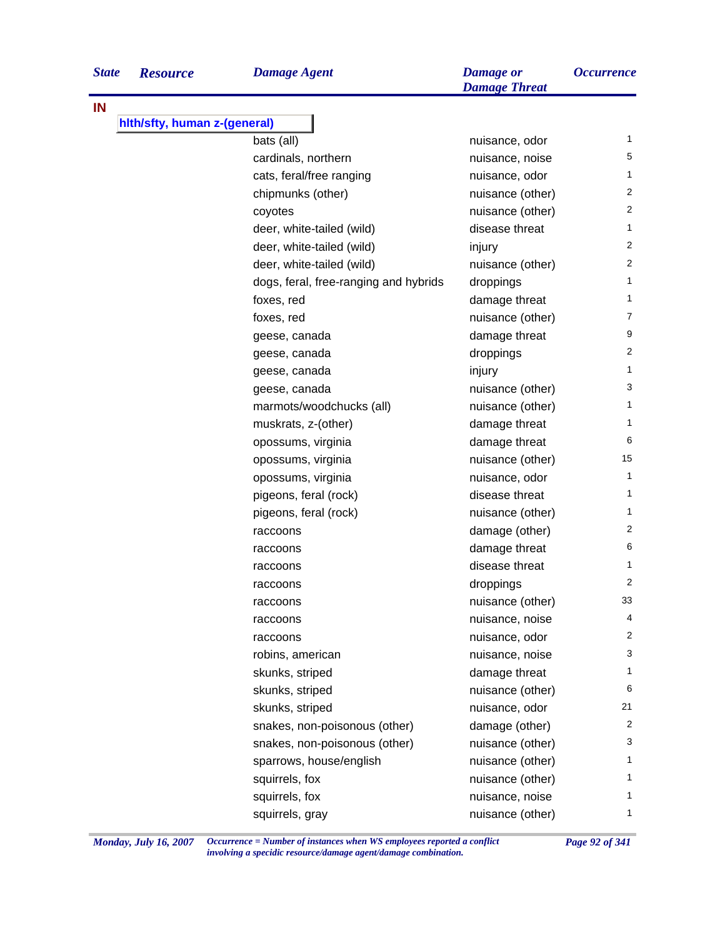**IN**

| e<br><b>Resource</b>         | <b>Damage Agent</b>                   | <b>Damage</b> or<br><b>Damage Threat</b> | <i><b>Occurrence</b></i> |
|------------------------------|---------------------------------------|------------------------------------------|--------------------------|
| hith/sfty, human z-(general) |                                       |                                          |                          |
|                              | bats (all)                            | nuisance, odor                           | 1                        |
|                              | cardinals, northern                   | nuisance, noise                          | 5                        |
|                              | cats, feral/free ranging              | nuisance, odor                           | 1                        |
|                              | chipmunks (other)                     | nuisance (other)                         | 2                        |
|                              | coyotes                               | nuisance (other)                         | 2                        |
|                              | deer, white-tailed (wild)             | disease threat                           | $\mathbf{1}$             |
|                              | deer, white-tailed (wild)             | injury                                   | 2                        |
|                              | deer, white-tailed (wild)             | nuisance (other)                         | 2                        |
|                              | dogs, feral, free-ranging and hybrids | droppings                                | 1                        |
|                              | foxes, red                            | damage threat                            | 1                        |
|                              | foxes, red                            | nuisance (other)                         | 7                        |
|                              | geese, canada                         | damage threat                            | 9                        |
|                              | geese, canada                         | droppings                                | 2                        |
|                              | geese, canada                         | injury                                   | 1                        |
|                              | geese, canada                         | nuisance (other)                         | 3                        |
|                              | marmots/woodchucks (all)              | nuisance (other)                         | 1                        |
|                              | muskrats, z-(other)                   | damage threat                            | 1                        |
|                              | opossums, virginia                    | damage threat                            | 6                        |
|                              | opossums, virginia                    | nuisance (other)                         | 15                       |
|                              | opossums, virginia                    | nuisance, odor                           | 1                        |
|                              | pigeons, feral (rock)                 | disease threat                           | 1                        |
|                              | pigeons, feral (rock)                 | nuisance (other)                         | 1                        |
|                              | raccoons                              | damage (other)                           | 2                        |
|                              | raccoons                              | damage threat                            | 6                        |
|                              | raccoons                              | disease threat                           | 1                        |
|                              | raccoons                              | droppings                                | 2                        |
|                              | raccoons                              | nuisance (other)                         | 33                       |
|                              | raccoons                              | nuisance, noise                          | 4                        |
|                              | raccoons                              | nuisance, odor                           | 2                        |
|                              | robins, american                      | nuisance, noise                          | 3                        |
|                              | skunks, striped                       | damage threat                            | 1                        |
|                              | skunks, striped                       | nuisance (other)                         | 6                        |
|                              | skunks, striped                       | nuisance, odor                           | 21                       |
|                              | snakes, non-poisonous (other)         | damage (other)                           | 2                        |
|                              | snakes, non-poisonous (other)         | nuisance (other)                         | 3                        |
|                              | sparrows, house/english               | nuisance (other)                         | 1.                       |
|                              | squirrels, fox                        | nuisance (other)                         | 1                        |
|                              | squirrels, fox                        | nuisance, noise                          | 1.                       |
|                              | squirrels, gray                       | nuisance (other)                         | 1.                       |

*Monday, July 16, 2007 Occurrence = Number of instances when WS employees reported a conflict Page 92 of 341 involving a specidic resource/damage agent/damage combination.*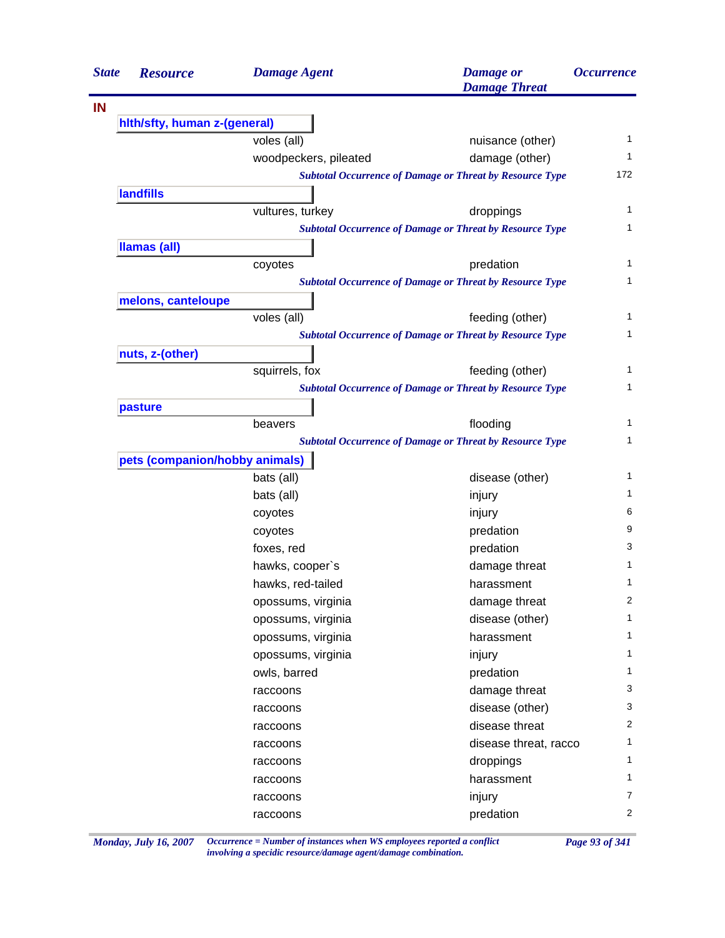| <b>State</b> | <b>Resource</b>                | <b>Damage Agent</b>   | <b>Damage</b> or<br><b>Damage Threat</b>                        | <i><b>Occurrence</b></i> |
|--------------|--------------------------------|-----------------------|-----------------------------------------------------------------|--------------------------|
| IN           |                                |                       |                                                                 |                          |
|              | hith/sfty, human z-(general)   |                       |                                                                 |                          |
|              |                                | voles (all)           | nuisance (other)                                                | 1                        |
|              |                                | woodpeckers, pileated | damage (other)                                                  | 1                        |
|              |                                |                       | <b>Subtotal Occurrence of Damage or Threat by Resource Type</b> | 172                      |
|              | <b>landfills</b>               |                       |                                                                 |                          |
|              |                                | vultures, turkey      | droppings                                                       | 1                        |
|              |                                |                       | <b>Subtotal Occurrence of Damage or Threat by Resource Type</b> | 1                        |
|              | <b>Ilamas (all)</b>            |                       |                                                                 |                          |
|              |                                | coyotes               | predation                                                       | 1                        |
|              |                                |                       | <b>Subtotal Occurrence of Damage or Threat by Resource Type</b> | 1                        |
|              | melons, canteloupe             |                       |                                                                 |                          |
|              |                                | voles (all)           | feeding (other)                                                 | 1                        |
|              |                                |                       | <b>Subtotal Occurrence of Damage or Threat by Resource Type</b> | 1                        |
|              | nuts, z-(other)                |                       |                                                                 |                          |
|              |                                | squirrels, fox        | feeding (other)                                                 | 1                        |
|              |                                |                       | <b>Subtotal Occurrence of Damage or Threat by Resource Type</b> | 1                        |
|              | pasture                        |                       |                                                                 |                          |
|              |                                | beavers               | flooding                                                        | 1                        |
|              |                                |                       | <b>Subtotal Occurrence of Damage or Threat by Resource Type</b> | 1                        |
|              | pets (companion/hobby animals) |                       |                                                                 |                          |
|              |                                | bats (all)            | disease (other)                                                 | 1                        |
|              |                                | bats (all)            | injury                                                          | 1                        |
|              |                                | coyotes               | injury                                                          | 6                        |
|              |                                | coyotes               | predation                                                       | 9                        |
|              |                                | foxes, red            | predation                                                       | 3                        |
|              |                                | hawks, cooper's       | damage threat                                                   | 1                        |
|              |                                | hawks, red-tailed     | harassment                                                      | 1                        |
|              |                                | opossums, virginia    | damage threat                                                   | 2                        |
|              |                                | opossums, virginia    | disease (other)                                                 | $\mathbf{1}$             |
|              |                                | opossums, virginia    | harassment                                                      | $\mathbf{1}$             |
|              |                                | opossums, virginia    | injury                                                          | $\mathbf{1}$             |
|              |                                | owls, barred          | predation                                                       | 1                        |
|              |                                | raccoons              | damage threat                                                   | 3                        |
|              |                                | raccoons              | disease (other)                                                 | 3                        |
|              |                                | raccoons              | disease threat                                                  | $\overline{2}$           |
|              |                                | raccoons              | disease threat, racco                                           | 1                        |
|              |                                | raccoons              | droppings                                                       | $\mathbf{1}$             |
|              |                                | raccoons              | harassment                                                      | $\mathbf{1}$             |
|              |                                | raccoons              | injury                                                          | $\overline{7}$           |
|              |                                | raccoons              | predation                                                       | $\overline{2}$           |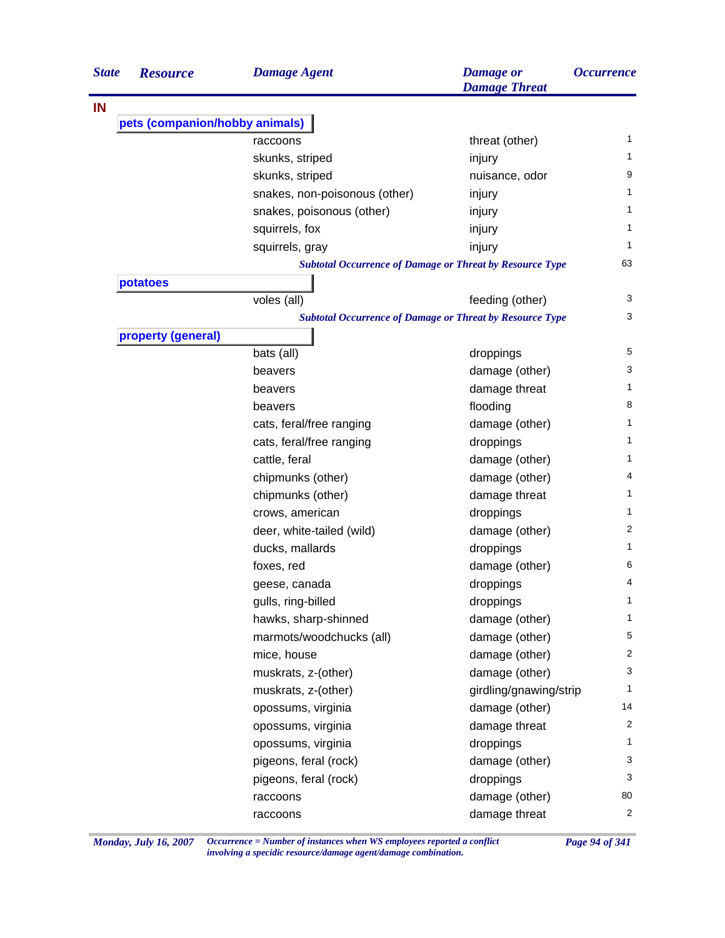| <b>State</b> | <b>Resource</b>                | <b>Damage Agent</b>                                             | <b>Damage or</b><br><b>Damage Threat</b> | <i><b>Occurrence</b></i> |
|--------------|--------------------------------|-----------------------------------------------------------------|------------------------------------------|--------------------------|
| IN           |                                |                                                                 |                                          |                          |
|              | pets (companion/hobby animals) |                                                                 |                                          |                          |
|              |                                | raccoons                                                        | threat (other)                           | 1                        |
|              |                                | skunks, striped                                                 | injury                                   | 1                        |
|              |                                | skunks, striped                                                 | nuisance, odor                           | 9                        |
|              |                                | snakes, non-poisonous (other)                                   | injury                                   | 1                        |
|              |                                | snakes, poisonous (other)                                       | injury                                   | 1                        |
|              |                                | squirrels, fox                                                  | injury                                   | 1                        |
|              |                                | squirrels, gray                                                 | injury                                   | 1                        |
|              |                                | <b>Subtotal Occurrence of Damage or Threat by Resource Type</b> |                                          | 63                       |
|              | potatoes                       |                                                                 |                                          |                          |
|              |                                | voles (all)                                                     | feeding (other)                          | 3                        |
|              |                                | <b>Subtotal Occurrence of Damage or Threat by Resource Type</b> |                                          | 3                        |
|              | property (general)             |                                                                 |                                          |                          |
|              |                                | bats (all)                                                      | droppings                                | 5                        |
|              |                                | beavers                                                         | damage (other)                           | 3                        |
|              |                                | beavers                                                         | damage threat                            | 1                        |
|              |                                | beavers                                                         | flooding                                 | 8                        |
|              |                                | cats, feral/free ranging                                        | damage (other)                           | 1                        |
|              |                                | cats, feral/free ranging                                        | droppings                                | 1                        |
|              |                                | cattle, feral                                                   | damage (other)                           | 1                        |
|              |                                | chipmunks (other)                                               | damage (other)                           | 4                        |
|              |                                | chipmunks (other)                                               | damage threat                            | 1                        |
|              |                                | crows, american                                                 | droppings                                | 1                        |
|              |                                | deer, white-tailed (wild)                                       | damage (other)                           | $\overline{c}$           |
|              |                                | ducks, mallards                                                 | droppings                                | 1                        |
|              |                                | foxes, red                                                      | damage (other)                           | 6                        |
|              |                                | geese, canada                                                   | droppings                                | 4                        |
|              |                                | gulls, ring-billed                                              | droppings                                | $\mathbf{1}$             |
|              |                                | hawks, sharp-shinned                                            | damage (other)                           | $\mathbf{1}$             |
|              |                                | marmots/woodchucks (all)                                        | damage (other)                           | 5                        |
|              |                                | mice, house                                                     | damage (other)                           | $\overline{2}$           |
|              |                                | muskrats, z-(other)                                             | damage (other)                           | 3                        |
|              |                                | muskrats, z-(other)                                             | girdling/gnawing/strip                   | 1                        |
|              |                                | opossums, virginia                                              | damage (other)                           | 14                       |
|              |                                | opossums, virginia                                              | damage threat                            | 2                        |
|              |                                | opossums, virginia                                              | droppings                                | 1                        |
|              |                                | pigeons, feral (rock)                                           | damage (other)                           | 3                        |
|              |                                | pigeons, feral (rock)                                           | droppings                                | 3                        |
|              |                                | raccoons                                                        | damage (other)                           | 80                       |
|              |                                | raccoons                                                        | damage threat                            | $\overline{2}$           |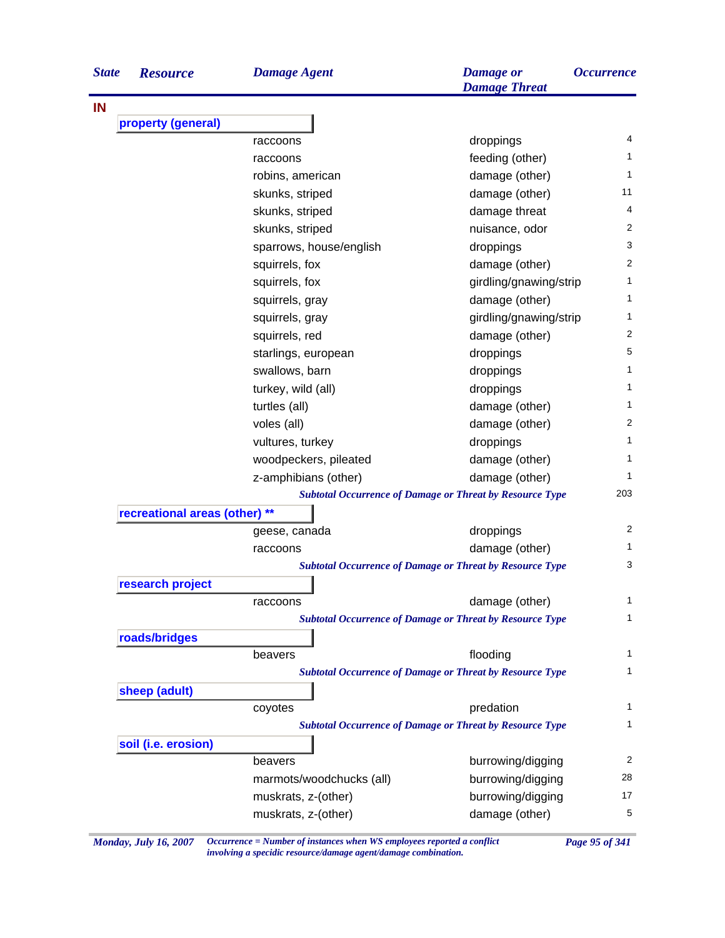| property (general)<br>droppings<br>raccoons<br>feeding (other)<br>raccoons<br>damage (other)<br>robins, american<br>damage (other)<br>skunks, striped<br>skunks, striped<br>damage threat<br>skunks, striped<br>nuisance, odor<br>sparrows, house/english<br>droppings<br>damage (other)<br>squirrels, fox<br>squirrels, fox<br>girdling/gnawing/strip<br>damage (other)<br>squirrels, gray<br>girdling/gnawing/strip<br>squirrels, gray<br>damage (other)<br>squirrels, red<br>droppings<br>starlings, european<br>swallows, barn<br>droppings<br>turkey, wild (all)<br>droppings<br>turtles (all)<br>damage (other)<br>voles (all)<br>damage (other)<br>vultures, turkey<br>droppings<br>woodpeckers, pileated<br>damage (other)<br>z-amphibians (other)<br>damage (other)<br><b>Subtotal Occurrence of Damage or Threat by Resource Type</b><br>recreational areas (other) **<br>droppings<br>geese, canada<br>damage (other)<br>raccoons<br><b>Subtotal Occurrence of Damage or Threat by Resource Type</b><br>research project<br>damage (other)<br>raccoons<br><b>Subtotal Occurrence of Damage or Threat by Resource Type</b><br>roads/bridges<br>flooding<br>beavers<br><b>Subtotal Occurrence of Damage or Threat by Resource Type</b><br>sheep (adult)<br>predation<br>coyotes<br><b>Subtotal Occurrence of Damage or Threat by Resource Type</b><br>soil (i.e. erosion)<br>burrowing/digging<br>beavers<br>marmots/woodchucks (all)<br>burrowing/digging<br>muskrats, z-(other)<br>burrowing/digging | <b>State</b> | <b>Resource</b> | <b>Damage Agent</b> | <b>Damage</b> or<br><b>Damage Threat</b> | <i><b>Occurrence</b></i> |
|-----------------------------------------------------------------------------------------------------------------------------------------------------------------------------------------------------------------------------------------------------------------------------------------------------------------------------------------------------------------------------------------------------------------------------------------------------------------------------------------------------------------------------------------------------------------------------------------------------------------------------------------------------------------------------------------------------------------------------------------------------------------------------------------------------------------------------------------------------------------------------------------------------------------------------------------------------------------------------------------------------------------------------------------------------------------------------------------------------------------------------------------------------------------------------------------------------------------------------------------------------------------------------------------------------------------------------------------------------------------------------------------------------------------------------------------------------------------------------------------------------------------|--------------|-----------------|---------------------|------------------------------------------|--------------------------|
|                                                                                                                                                                                                                                                                                                                                                                                                                                                                                                                                                                                                                                                                                                                                                                                                                                                                                                                                                                                                                                                                                                                                                                                                                                                                                                                                                                                                                                                                                                                 | IN           |                 |                     |                                          |                          |
|                                                                                                                                                                                                                                                                                                                                                                                                                                                                                                                                                                                                                                                                                                                                                                                                                                                                                                                                                                                                                                                                                                                                                                                                                                                                                                                                                                                                                                                                                                                 |              |                 |                     |                                          |                          |
|                                                                                                                                                                                                                                                                                                                                                                                                                                                                                                                                                                                                                                                                                                                                                                                                                                                                                                                                                                                                                                                                                                                                                                                                                                                                                                                                                                                                                                                                                                                 |              |                 |                     |                                          | 4                        |
|                                                                                                                                                                                                                                                                                                                                                                                                                                                                                                                                                                                                                                                                                                                                                                                                                                                                                                                                                                                                                                                                                                                                                                                                                                                                                                                                                                                                                                                                                                                 |              |                 |                     |                                          | 1.                       |
|                                                                                                                                                                                                                                                                                                                                                                                                                                                                                                                                                                                                                                                                                                                                                                                                                                                                                                                                                                                                                                                                                                                                                                                                                                                                                                                                                                                                                                                                                                                 |              |                 |                     |                                          | 1                        |
|                                                                                                                                                                                                                                                                                                                                                                                                                                                                                                                                                                                                                                                                                                                                                                                                                                                                                                                                                                                                                                                                                                                                                                                                                                                                                                                                                                                                                                                                                                                 |              |                 |                     |                                          | 11                       |
|                                                                                                                                                                                                                                                                                                                                                                                                                                                                                                                                                                                                                                                                                                                                                                                                                                                                                                                                                                                                                                                                                                                                                                                                                                                                                                                                                                                                                                                                                                                 |              |                 |                     |                                          | 4                        |
|                                                                                                                                                                                                                                                                                                                                                                                                                                                                                                                                                                                                                                                                                                                                                                                                                                                                                                                                                                                                                                                                                                                                                                                                                                                                                                                                                                                                                                                                                                                 |              |                 |                     |                                          | 2                        |
|                                                                                                                                                                                                                                                                                                                                                                                                                                                                                                                                                                                                                                                                                                                                                                                                                                                                                                                                                                                                                                                                                                                                                                                                                                                                                                                                                                                                                                                                                                                 |              |                 |                     |                                          | 3                        |
|                                                                                                                                                                                                                                                                                                                                                                                                                                                                                                                                                                                                                                                                                                                                                                                                                                                                                                                                                                                                                                                                                                                                                                                                                                                                                                                                                                                                                                                                                                                 |              |                 |                     |                                          | 2                        |
|                                                                                                                                                                                                                                                                                                                                                                                                                                                                                                                                                                                                                                                                                                                                                                                                                                                                                                                                                                                                                                                                                                                                                                                                                                                                                                                                                                                                                                                                                                                 |              |                 |                     |                                          | 1.                       |
|                                                                                                                                                                                                                                                                                                                                                                                                                                                                                                                                                                                                                                                                                                                                                                                                                                                                                                                                                                                                                                                                                                                                                                                                                                                                                                                                                                                                                                                                                                                 |              |                 |                     |                                          | 1                        |
|                                                                                                                                                                                                                                                                                                                                                                                                                                                                                                                                                                                                                                                                                                                                                                                                                                                                                                                                                                                                                                                                                                                                                                                                                                                                                                                                                                                                                                                                                                                 |              |                 |                     |                                          | 1                        |
|                                                                                                                                                                                                                                                                                                                                                                                                                                                                                                                                                                                                                                                                                                                                                                                                                                                                                                                                                                                                                                                                                                                                                                                                                                                                                                                                                                                                                                                                                                                 |              |                 |                     |                                          | 2                        |
|                                                                                                                                                                                                                                                                                                                                                                                                                                                                                                                                                                                                                                                                                                                                                                                                                                                                                                                                                                                                                                                                                                                                                                                                                                                                                                                                                                                                                                                                                                                 |              |                 |                     |                                          | 5                        |
|                                                                                                                                                                                                                                                                                                                                                                                                                                                                                                                                                                                                                                                                                                                                                                                                                                                                                                                                                                                                                                                                                                                                                                                                                                                                                                                                                                                                                                                                                                                 |              |                 |                     |                                          | 1                        |
|                                                                                                                                                                                                                                                                                                                                                                                                                                                                                                                                                                                                                                                                                                                                                                                                                                                                                                                                                                                                                                                                                                                                                                                                                                                                                                                                                                                                                                                                                                                 |              |                 |                     |                                          | 1                        |
|                                                                                                                                                                                                                                                                                                                                                                                                                                                                                                                                                                                                                                                                                                                                                                                                                                                                                                                                                                                                                                                                                                                                                                                                                                                                                                                                                                                                                                                                                                                 |              |                 |                     |                                          | 1                        |
|                                                                                                                                                                                                                                                                                                                                                                                                                                                                                                                                                                                                                                                                                                                                                                                                                                                                                                                                                                                                                                                                                                                                                                                                                                                                                                                                                                                                                                                                                                                 |              |                 |                     |                                          | 2                        |
|                                                                                                                                                                                                                                                                                                                                                                                                                                                                                                                                                                                                                                                                                                                                                                                                                                                                                                                                                                                                                                                                                                                                                                                                                                                                                                                                                                                                                                                                                                                 |              |                 |                     |                                          | 1                        |
|                                                                                                                                                                                                                                                                                                                                                                                                                                                                                                                                                                                                                                                                                                                                                                                                                                                                                                                                                                                                                                                                                                                                                                                                                                                                                                                                                                                                                                                                                                                 |              |                 |                     |                                          | 1                        |
|                                                                                                                                                                                                                                                                                                                                                                                                                                                                                                                                                                                                                                                                                                                                                                                                                                                                                                                                                                                                                                                                                                                                                                                                                                                                                                                                                                                                                                                                                                                 |              |                 |                     |                                          | 1                        |
|                                                                                                                                                                                                                                                                                                                                                                                                                                                                                                                                                                                                                                                                                                                                                                                                                                                                                                                                                                                                                                                                                                                                                                                                                                                                                                                                                                                                                                                                                                                 |              |                 |                     |                                          | 203                      |
|                                                                                                                                                                                                                                                                                                                                                                                                                                                                                                                                                                                                                                                                                                                                                                                                                                                                                                                                                                                                                                                                                                                                                                                                                                                                                                                                                                                                                                                                                                                 |              |                 |                     |                                          |                          |
|                                                                                                                                                                                                                                                                                                                                                                                                                                                                                                                                                                                                                                                                                                                                                                                                                                                                                                                                                                                                                                                                                                                                                                                                                                                                                                                                                                                                                                                                                                                 |              |                 |                     |                                          | 2                        |
|                                                                                                                                                                                                                                                                                                                                                                                                                                                                                                                                                                                                                                                                                                                                                                                                                                                                                                                                                                                                                                                                                                                                                                                                                                                                                                                                                                                                                                                                                                                 |              |                 |                     |                                          | 1                        |
|                                                                                                                                                                                                                                                                                                                                                                                                                                                                                                                                                                                                                                                                                                                                                                                                                                                                                                                                                                                                                                                                                                                                                                                                                                                                                                                                                                                                                                                                                                                 |              |                 |                     |                                          | 3                        |
|                                                                                                                                                                                                                                                                                                                                                                                                                                                                                                                                                                                                                                                                                                                                                                                                                                                                                                                                                                                                                                                                                                                                                                                                                                                                                                                                                                                                                                                                                                                 |              |                 |                     |                                          |                          |
|                                                                                                                                                                                                                                                                                                                                                                                                                                                                                                                                                                                                                                                                                                                                                                                                                                                                                                                                                                                                                                                                                                                                                                                                                                                                                                                                                                                                                                                                                                                 |              |                 |                     |                                          | 1                        |
|                                                                                                                                                                                                                                                                                                                                                                                                                                                                                                                                                                                                                                                                                                                                                                                                                                                                                                                                                                                                                                                                                                                                                                                                                                                                                                                                                                                                                                                                                                                 |              |                 |                     |                                          | 1                        |
|                                                                                                                                                                                                                                                                                                                                                                                                                                                                                                                                                                                                                                                                                                                                                                                                                                                                                                                                                                                                                                                                                                                                                                                                                                                                                                                                                                                                                                                                                                                 |              |                 |                     |                                          |                          |
|                                                                                                                                                                                                                                                                                                                                                                                                                                                                                                                                                                                                                                                                                                                                                                                                                                                                                                                                                                                                                                                                                                                                                                                                                                                                                                                                                                                                                                                                                                                 |              |                 |                     |                                          | 1                        |
|                                                                                                                                                                                                                                                                                                                                                                                                                                                                                                                                                                                                                                                                                                                                                                                                                                                                                                                                                                                                                                                                                                                                                                                                                                                                                                                                                                                                                                                                                                                 |              |                 |                     |                                          | 1                        |
|                                                                                                                                                                                                                                                                                                                                                                                                                                                                                                                                                                                                                                                                                                                                                                                                                                                                                                                                                                                                                                                                                                                                                                                                                                                                                                                                                                                                                                                                                                                 |              |                 |                     |                                          |                          |
|                                                                                                                                                                                                                                                                                                                                                                                                                                                                                                                                                                                                                                                                                                                                                                                                                                                                                                                                                                                                                                                                                                                                                                                                                                                                                                                                                                                                                                                                                                                 |              |                 |                     |                                          | 1                        |
|                                                                                                                                                                                                                                                                                                                                                                                                                                                                                                                                                                                                                                                                                                                                                                                                                                                                                                                                                                                                                                                                                                                                                                                                                                                                                                                                                                                                                                                                                                                 |              |                 |                     |                                          | 1                        |
|                                                                                                                                                                                                                                                                                                                                                                                                                                                                                                                                                                                                                                                                                                                                                                                                                                                                                                                                                                                                                                                                                                                                                                                                                                                                                                                                                                                                                                                                                                                 |              |                 |                     |                                          |                          |
|                                                                                                                                                                                                                                                                                                                                                                                                                                                                                                                                                                                                                                                                                                                                                                                                                                                                                                                                                                                                                                                                                                                                                                                                                                                                                                                                                                                                                                                                                                                 |              |                 |                     |                                          | 2                        |
|                                                                                                                                                                                                                                                                                                                                                                                                                                                                                                                                                                                                                                                                                                                                                                                                                                                                                                                                                                                                                                                                                                                                                                                                                                                                                                                                                                                                                                                                                                                 |              |                 |                     |                                          | 28                       |
|                                                                                                                                                                                                                                                                                                                                                                                                                                                                                                                                                                                                                                                                                                                                                                                                                                                                                                                                                                                                                                                                                                                                                                                                                                                                                                                                                                                                                                                                                                                 |              |                 |                     |                                          | 17                       |
|                                                                                                                                                                                                                                                                                                                                                                                                                                                                                                                                                                                                                                                                                                                                                                                                                                                                                                                                                                                                                                                                                                                                                                                                                                                                                                                                                                                                                                                                                                                 |              |                 | muskrats, z-(other) | damage (other)                           | 5                        |

*Monday, July 16, 2007 Occurrence = Number of instances when WS employees reported a conflict Page 95 of 341 involving a specidic resource/damage agent/damage combination.*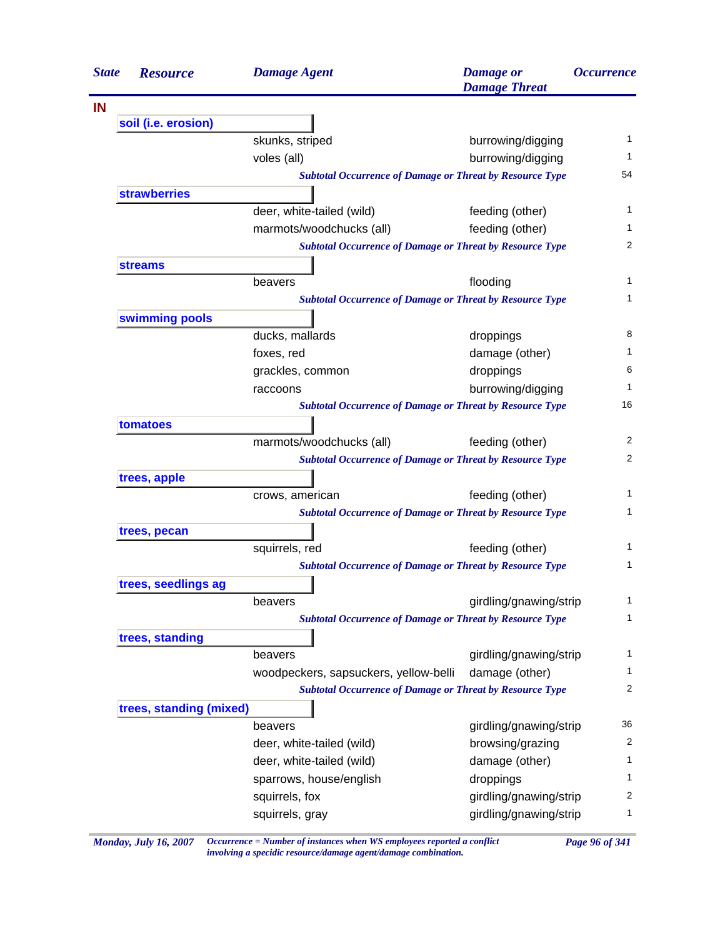| <b>State</b> | <b>Resource</b>         | <b>Damage Agent</b>                                             | <b>Damage</b> or<br><b>Damage Threat</b> | <i><b>Occurrence</b></i> |
|--------------|-------------------------|-----------------------------------------------------------------|------------------------------------------|--------------------------|
| IN           |                         |                                                                 |                                          |                          |
|              | soil (i.e. erosion)     |                                                                 |                                          |                          |
|              |                         | skunks, striped                                                 | burrowing/digging                        | 1                        |
|              |                         | voles (all)                                                     | burrowing/digging                        | 1                        |
|              |                         | <b>Subtotal Occurrence of Damage or Threat by Resource Type</b> |                                          | 54                       |
|              | <b>strawberries</b>     |                                                                 |                                          |                          |
|              |                         | deer, white-tailed (wild)                                       | feeding (other)                          | 1                        |
|              |                         | marmots/woodchucks (all)                                        | feeding (other)                          | 1                        |
|              |                         | <b>Subtotal Occurrence of Damage or Threat by Resource Type</b> |                                          | $\overline{2}$           |
|              | <b>streams</b>          |                                                                 |                                          |                          |
|              |                         | beavers                                                         | flooding                                 | $\mathbf{1}$             |
|              |                         | <b>Subtotal Occurrence of Damage or Threat by Resource Type</b> |                                          | $\mathbf{1}$             |
|              | swimming pools          |                                                                 |                                          |                          |
|              |                         | ducks, mallards                                                 | droppings                                | 8                        |
|              |                         | foxes, red                                                      | damage (other)                           | 1                        |
|              |                         | grackles, common                                                | droppings                                | 6                        |
|              |                         | raccoons                                                        | burrowing/digging                        | $\mathbf{1}$             |
|              |                         | <b>Subtotal Occurrence of Damage or Threat by Resource Type</b> |                                          | 16                       |
|              | tomatoes                |                                                                 |                                          |                          |
|              |                         | marmots/woodchucks (all)                                        | feeding (other)                          | 2                        |
|              |                         | <b>Subtotal Occurrence of Damage or Threat by Resource Type</b> |                                          | 2                        |
|              | trees, apple            |                                                                 |                                          |                          |
|              |                         | crows, american                                                 | feeding (other)                          | 1                        |
|              |                         | <b>Subtotal Occurrence of Damage or Threat by Resource Type</b> |                                          | 1                        |
|              | trees, pecan            |                                                                 |                                          |                          |
|              |                         | squirrels, red                                                  | feeding (other)                          | 1                        |
|              |                         | <b>Subtotal Occurrence of Damage or Threat by Resource Type</b> |                                          | 1                        |
|              | trees, seedlings ag     |                                                                 |                                          |                          |
|              |                         | beavers                                                         | girdling/gnawing/strip                   | 1                        |
|              |                         | <b>Subtotal Occurrence of Damage or Threat by Resource Type</b> |                                          | 1                        |
|              | trees, standing         |                                                                 |                                          |                          |
|              |                         | beavers                                                         | girdling/gnawing/strip                   | 1                        |
|              |                         | woodpeckers, sapsuckers, yellow-belli                           | damage (other)                           | 1                        |
|              |                         | <b>Subtotal Occurrence of Damage or Threat by Resource Type</b> |                                          | 2                        |
|              | trees, standing (mixed) |                                                                 |                                          |                          |
|              |                         | beavers                                                         | girdling/gnawing/strip                   | 36                       |
|              |                         | deer, white-tailed (wild)                                       | browsing/grazing                         | 2                        |
|              |                         | deer, white-tailed (wild)                                       | damage (other)                           | 1                        |
|              |                         | sparrows, house/english                                         | droppings                                | 1                        |
|              |                         | squirrels, fox                                                  | girdling/gnawing/strip                   | 2                        |
|              |                         | squirrels, gray                                                 | girdling/gnawing/strip                   | 1                        |
|              |                         |                                                                 |                                          |                          |

*Monday, July 16, 2007 Occurrence = Number of instances when WS employees reported a conflict Page 96 of 341 involving a specidic resource/damage agent/damage combination.*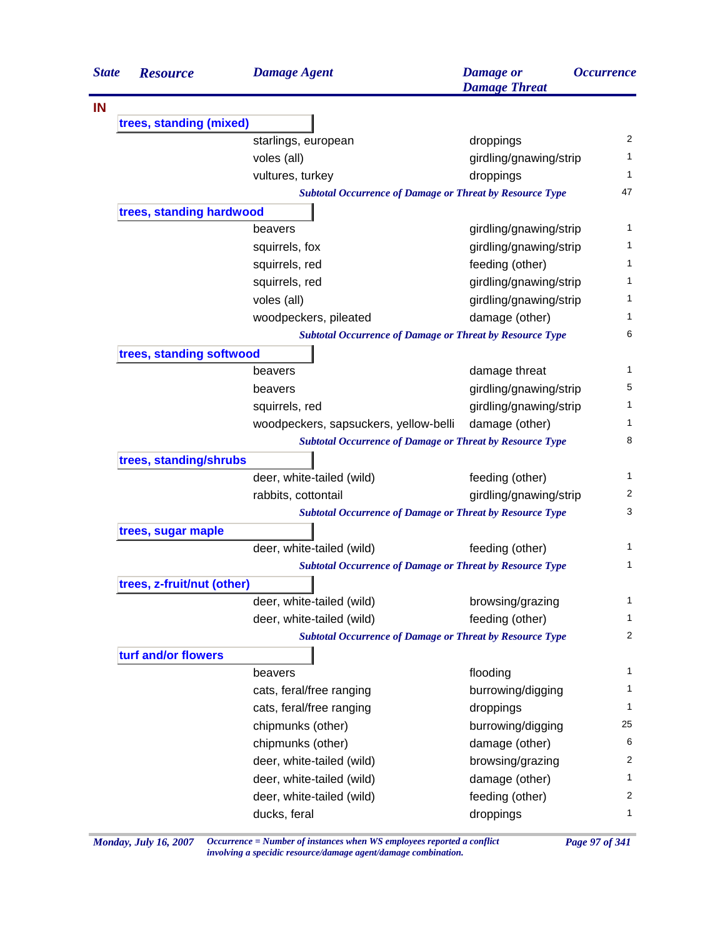| <b>State</b> | <b>Resource</b>            | <b>Damage Agent</b>                                             | <b>Damage</b> or<br><b>Damage Threat</b> | <i><b>Occurrence</b></i> |
|--------------|----------------------------|-----------------------------------------------------------------|------------------------------------------|--------------------------|
|              |                            |                                                                 |                                          |                          |
|              | trees, standing (mixed)    |                                                                 |                                          |                          |
|              |                            | starlings, european                                             | droppings                                | 2                        |
|              |                            | voles (all)                                                     | girdling/gnawing/strip                   | 1                        |
|              |                            | vultures, turkey                                                | droppings                                | 1                        |
|              |                            | <b>Subtotal Occurrence of Damage or Threat by Resource Type</b> |                                          | 47                       |
|              | trees, standing hardwood   |                                                                 |                                          | 1                        |
|              |                            | beavers                                                         | girdling/gnawing/strip                   | 1                        |
|              |                            | squirrels, fox                                                  | girdling/gnawing/strip                   | 1                        |
|              |                            | squirrels, red                                                  | feeding (other)                          | 1                        |
|              |                            | squirrels, red                                                  | girdling/gnawing/strip                   |                          |
|              |                            | voles (all)                                                     | girdling/gnawing/strip                   | 1                        |
|              |                            | woodpeckers, pileated                                           | damage (other)                           | 1                        |
|              |                            | <b>Subtotal Occurrence of Damage or Threat by Resource Type</b> |                                          | 6                        |
|              | trees, standing softwood   |                                                                 |                                          |                          |
|              |                            | beavers                                                         | damage threat                            | 1                        |
|              |                            | beavers                                                         | girdling/gnawing/strip                   | 5                        |
|              |                            | squirrels, red                                                  | girdling/gnawing/strip                   | 1                        |
|              |                            | woodpeckers, sapsuckers, yellow-belli                           | damage (other)                           | 1                        |
|              |                            | <b>Subtotal Occurrence of Damage or Threat by Resource Type</b> |                                          | 8                        |
|              | trees, standing/shrubs     |                                                                 |                                          | 1                        |
|              |                            | deer, white-tailed (wild)                                       | feeding (other)                          |                          |
|              |                            | rabbits, cottontail                                             | girdling/gnawing/strip                   | 2<br>3                   |
|              |                            | <b>Subtotal Occurrence of Damage or Threat by Resource Type</b> |                                          |                          |
|              | trees, sugar maple         |                                                                 |                                          |                          |
|              |                            | deer, white-tailed (wild)                                       | feeding (other)                          | 1                        |
|              |                            | <b>Subtotal Occurrence of Damage or Threat by Resource Type</b> |                                          | 1                        |
|              | trees, z-fruit/nut (other) |                                                                 |                                          |                          |
|              |                            | deer, white-tailed (wild)                                       | browsing/grazing                         | 1                        |
|              |                            | deer, white-tailed (wild)                                       | feeding (other)                          | 1                        |
|              |                            | <b>Subtotal Occurrence of Damage or Threat by Resource Type</b> |                                          | 2                        |
|              | turf and/or flowers        |                                                                 |                                          |                          |
|              |                            | beavers                                                         | flooding                                 | 1                        |
|              |                            | cats, feral/free ranging                                        | burrowing/digging                        | 1                        |
|              |                            | cats, feral/free ranging                                        | droppings                                | 1                        |
|              |                            | chipmunks (other)                                               | burrowing/digging                        | 25                       |
|              |                            | chipmunks (other)                                               | damage (other)                           | 6                        |
|              |                            | deer, white-tailed (wild)                                       | browsing/grazing                         | 2                        |
|              |                            | deer, white-tailed (wild)                                       | damage (other)                           | 1                        |
|              |                            | deer, white-tailed (wild)                                       | feeding (other)                          | 2                        |
|              |                            | ducks, feral                                                    | droppings                                | 1                        |

*Monday, July 16, 2007 Occurrence = Number of instances when WS employees reported a conflict Page 97 of 341 involving a specidic resource/damage agent/damage combination.*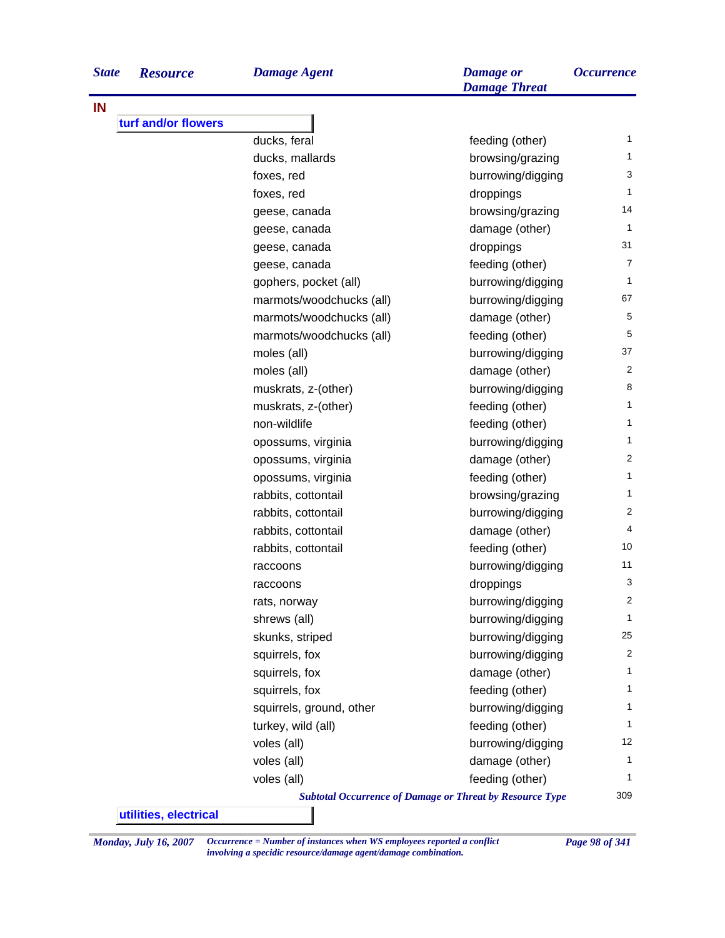| <b>State</b> | <b>Resource</b> | Damage Agent | <b>Damage</b> or | <i><b>Occurrence</b></i> |
|--------------|-----------------|--------------|------------------|--------------------------|
|              |                 |              |                  |                          |

**IN**

|  | Da |
|--|----|
|  |    |
|  |    |
|  |    |

|                     |                          | <b>Damage Threat</b>                                            |                |
|---------------------|--------------------------|-----------------------------------------------------------------|----------------|
|                     |                          |                                                                 |                |
| turf and/or flowers |                          |                                                                 |                |
|                     | ducks, feral             | feeding (other)                                                 | $\mathbf{1}$   |
|                     | ducks, mallards          | browsing/grazing                                                | $\mathbf{1}$   |
|                     | foxes, red               | burrowing/digging                                               | 3              |
|                     | foxes, red               | droppings                                                       | $\mathbf{1}$   |
|                     | geese, canada            | browsing/grazing                                                | 14             |
|                     | geese, canada            | damage (other)                                                  | $\mathbf{1}$   |
|                     | geese, canada            | droppings                                                       | 31             |
|                     | geese, canada            | feeding (other)                                                 | $\overline{7}$ |
|                     | gophers, pocket (all)    | burrowing/digging                                               | $\mathbf{1}$   |
|                     | marmots/woodchucks (all) | burrowing/digging                                               | 67             |
|                     | marmots/woodchucks (all) | damage (other)                                                  | 5              |
|                     | marmots/woodchucks (all) | feeding (other)                                                 | 5              |
|                     | moles (all)              | burrowing/digging                                               | 37             |
|                     | moles (all)              | damage (other)                                                  | 2              |
|                     | muskrats, z-(other)      | burrowing/digging                                               | 8              |
|                     | muskrats, z-(other)      | feeding (other)                                                 | $\mathbf{1}$   |
|                     | non-wildlife             | feeding (other)                                                 | $\mathbf{1}$   |
|                     | opossums, virginia       | burrowing/digging                                               | $\mathbf{1}$   |
|                     | opossums, virginia       | damage (other)                                                  | 2              |
|                     | opossums, virginia       | feeding (other)                                                 | $\mathbf{1}$   |
|                     | rabbits, cottontail      | browsing/grazing                                                | $\mathbf{1}$   |
|                     | rabbits, cottontail      | burrowing/digging                                               | 2              |
|                     | rabbits, cottontail      | damage (other)                                                  | 4              |
|                     | rabbits, cottontail      | feeding (other)                                                 | 10             |
|                     | raccoons                 | burrowing/digging                                               | 11             |
|                     | raccoons                 | droppings                                                       | 3              |
|                     | rats, norway             | burrowing/digging                                               | 2              |
|                     | shrews (all)             | burrowing/digging                                               | $\mathbf{1}$   |
|                     | skunks, striped          | burrowing/digging                                               | 25             |
|                     | squirrels, fox           | burrowing/digging                                               | 2              |
|                     | squirrels, fox           | damage (other)                                                  | $\mathbf{1}$   |
|                     | squirrels, fox           | feeding (other)                                                 | $\mathbf{1}$   |
|                     | squirrels, ground, other | burrowing/digging                                               | $\mathbf{1}$   |
|                     | turkey, wild (all)       | feeding (other)                                                 | $\mathbf{1}$   |
|                     | voles (all)              | burrowing/digging                                               | 12             |
|                     | voles (all)              | damage (other)                                                  | $\mathbf{1}$   |
|                     | voles (all)              | feeding (other)                                                 | 1              |
|                     |                          | <b>Subtotal Occurrence of Damage or Threat by Resource Type</b> | 309            |

**utilities, electrical**

*Monday, July 16, 2007 Occurrence = Number of instances when WS employees reported a conflict Page 98 of 341 involving a specidic resource/damage agent/damage combination.*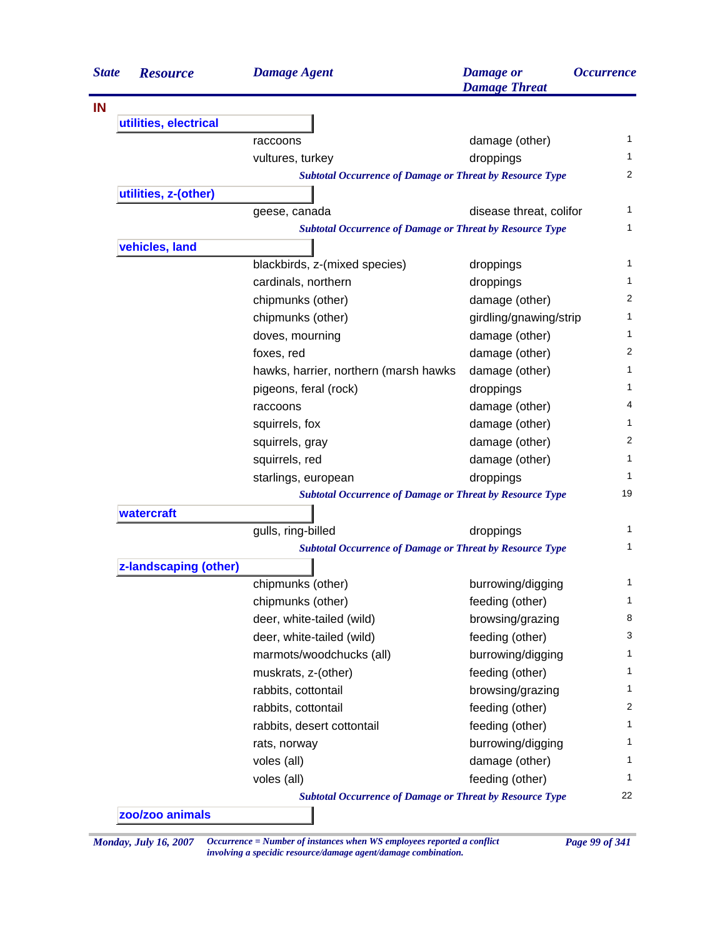| <b>State</b> | <b>Resource</b>       | <b>Damage Agent</b>                                             | <b>Damage</b> or<br><b>Damage Threat</b> | <i><b>Occurrence</b></i> |
|--------------|-----------------------|-----------------------------------------------------------------|------------------------------------------|--------------------------|
|              |                       |                                                                 |                                          |                          |
|              | utilities, electrical |                                                                 |                                          |                          |
|              |                       | raccoons                                                        | damage (other)                           | 1                        |
|              |                       | vultures, turkey                                                | droppings                                | 1                        |
|              |                       | <b>Subtotal Occurrence of Damage or Threat by Resource Type</b> |                                          | 2                        |
|              | utilities, z-(other)  |                                                                 |                                          |                          |
|              |                       | geese, canada                                                   | disease threat, colifor                  | 1                        |
|              |                       | <b>Subtotal Occurrence of Damage or Threat by Resource Type</b> |                                          | 1                        |
|              | vehicles, land        |                                                                 |                                          |                          |
|              |                       | blackbirds, z-(mixed species)                                   | droppings                                | 1                        |
|              |                       | cardinals, northern                                             | droppings                                | 1                        |
|              |                       | chipmunks (other)                                               | damage (other)                           | 2                        |
|              |                       | chipmunks (other)                                               | girdling/gnawing/strip                   | 1                        |
|              |                       | doves, mourning                                                 | damage (other)                           | 1                        |
|              |                       | foxes, red                                                      | damage (other)                           | 2                        |
|              |                       | hawks, harrier, northern (marsh hawks                           | damage (other)                           | 1                        |
|              |                       | pigeons, feral (rock)                                           | droppings                                | 1                        |
|              |                       | raccoons                                                        | damage (other)                           | 4                        |
|              |                       | squirrels, fox                                                  | damage (other)                           | 1                        |
|              |                       | squirrels, gray                                                 | damage (other)                           | 2                        |
|              |                       | squirrels, red                                                  | damage (other)                           | $\mathbf{1}$             |
|              |                       | starlings, european                                             | droppings                                | 1                        |
|              |                       | <b>Subtotal Occurrence of Damage or Threat by Resource Type</b> |                                          | 19                       |
|              | watercraft            |                                                                 |                                          |                          |
|              |                       | gulls, ring-billed                                              | droppings                                | 1                        |
|              |                       | <b>Subtotal Occurrence of Damage or Threat by Resource Type</b> |                                          | 1                        |
|              | z-landscaping (other) |                                                                 |                                          |                          |
|              |                       | chipmunks (other)                                               | burrowing/digging                        | 1                        |
|              |                       | chipmunks (other)                                               | feeding (other)                          | 1                        |
|              |                       | deer, white-tailed (wild)                                       | browsing/grazing                         | 8                        |
|              |                       | deer, white-tailed (wild)                                       | feeding (other)                          | 3                        |
|              |                       | marmots/woodchucks (all)                                        | burrowing/digging                        | 1                        |
|              |                       | muskrats, z-(other)                                             | feeding (other)                          | 1                        |
|              |                       | rabbits, cottontail                                             | browsing/grazing                         | 1                        |
|              |                       | rabbits, cottontail                                             | feeding (other)                          | 2                        |
|              |                       | rabbits, desert cottontail                                      | feeding (other)                          | 1                        |
|              |                       | rats, norway                                                    | burrowing/digging                        | 1                        |
|              |                       | voles (all)                                                     | damage (other)                           | 1                        |
|              |                       | voles (all)                                                     | feeding (other)                          | 1                        |
|              |                       | <b>Subtotal Occurrence of Damage or Threat by Resource Type</b> |                                          | 22                       |
|              | zoo/zoo animals       |                                                                 |                                          |                          |

*Monday, July 16, 2007 Occurrence = Number of instances when WS employees reported a conflict Page 99 of 341 involving a specidic resource/damage agent/damage combination.*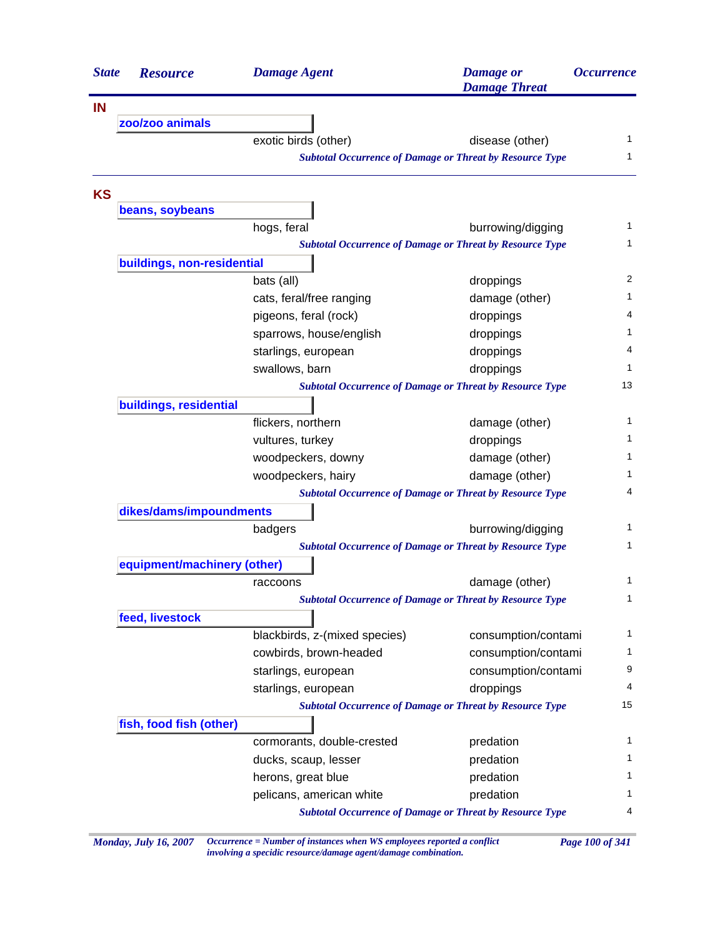| <b>State</b> | <b>Resource</b>             | <b>Damage Agent</b>           | <b>Damage</b> or<br><b>Damage Threat</b>                        | <i><b>Occurrence</b></i> |
|--------------|-----------------------------|-------------------------------|-----------------------------------------------------------------|--------------------------|
| <b>IN</b>    |                             |                               |                                                                 |                          |
|              | zoo/zoo animals             |                               |                                                                 |                          |
|              |                             | exotic birds (other)          | disease (other)                                                 | 1                        |
|              |                             |                               | <b>Subtotal Occurrence of Damage or Threat by Resource Type</b> | 1                        |
| <b>KS</b>    |                             |                               |                                                                 |                          |
|              | beans, soybeans             |                               |                                                                 |                          |
|              |                             | hogs, feral                   | burrowing/digging                                               | 1                        |
|              |                             |                               | <b>Subtotal Occurrence of Damage or Threat by Resource Type</b> | 1                        |
|              | buildings, non-residential  |                               |                                                                 |                          |
|              |                             | bats (all)                    | droppings                                                       | 2                        |
|              |                             | cats, feral/free ranging      | damage (other)                                                  | 1                        |
|              |                             | pigeons, feral (rock)         | droppings                                                       | 4                        |
|              |                             | sparrows, house/english       | droppings                                                       | 1                        |
|              |                             | starlings, european           | droppings                                                       | 4                        |
|              |                             | swallows, barn                | droppings                                                       | 1                        |
|              |                             |                               | <b>Subtotal Occurrence of Damage or Threat by Resource Type</b> | 13                       |
|              | buildings, residential      |                               |                                                                 |                          |
|              |                             | flickers, northern            | damage (other)                                                  | 1                        |
|              |                             | vultures, turkey              | droppings                                                       | 1                        |
|              |                             | woodpeckers, downy            | damage (other)                                                  | 1                        |
|              |                             | woodpeckers, hairy            | damage (other)                                                  | 1                        |
|              |                             |                               | <b>Subtotal Occurrence of Damage or Threat by Resource Type</b> | 4                        |
|              | dikes/dams/impoundments     |                               |                                                                 |                          |
|              |                             | badgers                       | burrowing/digging                                               | 1                        |
|              |                             |                               | <b>Subtotal Occurrence of Damage or Threat by Resource Type</b> | 1                        |
|              | equipment/machinery (other) |                               |                                                                 |                          |
|              |                             | raccoons                      | damage (other)                                                  | 1                        |
|              |                             |                               | <b>Subtotal Occurrence of Damage or Threat by Resource Type</b> | 1                        |
|              | feed, livestock             |                               |                                                                 |                          |
|              |                             | blackbirds, z-(mixed species) | consumption/contami                                             | 1                        |
|              |                             | cowbirds, brown-headed        | consumption/contami                                             | 1                        |
|              |                             | starlings, european           | consumption/contami                                             | 9                        |
|              |                             | starlings, european           | droppings                                                       | 4                        |
|              |                             |                               | <b>Subtotal Occurrence of Damage or Threat by Resource Type</b> | 15                       |
|              | fish, food fish (other)     |                               |                                                                 |                          |
|              |                             | cormorants, double-crested    | predation                                                       | 1                        |
|              |                             | ducks, scaup, lesser          | predation                                                       | 1                        |
|              |                             | herons, great blue            | predation                                                       | 1                        |
|              |                             | pelicans, american white      | predation                                                       | 1                        |
|              |                             |                               | <b>Subtotal Occurrence of Damage or Threat by Resource Type</b> | 4                        |

*Monday, July 16, 2007 Occurrence = Number of instances when WS employees reported a conflict Page 100 of 341 involving a specidic resource/damage agent/damage combination.*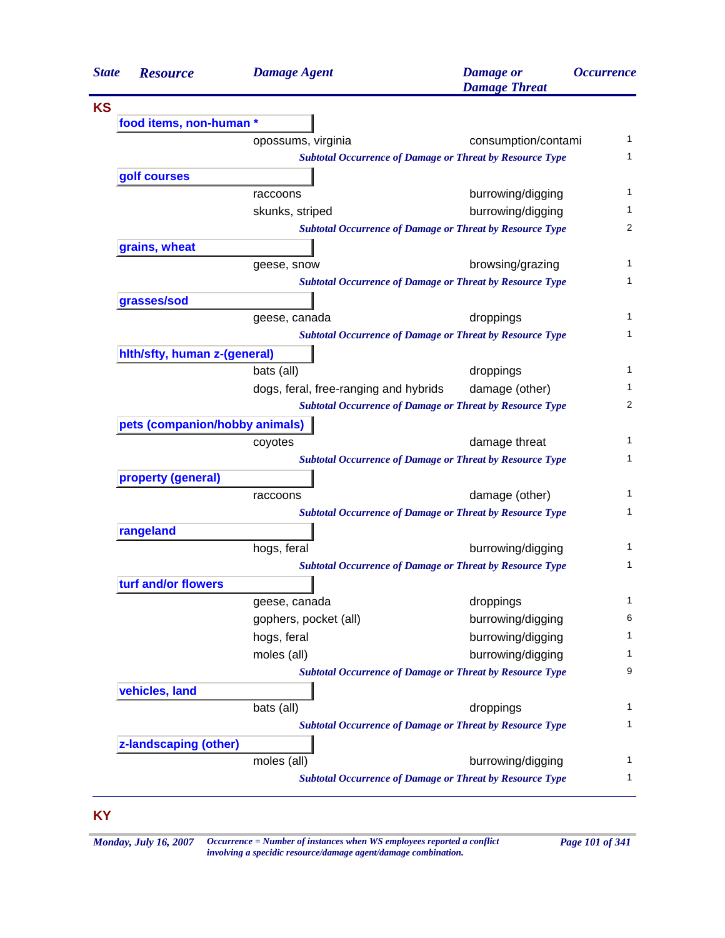| <b>State</b> | <b>Resource</b>                | <b>Damage Agent</b>                   | <b>Damage</b> or<br><b>Damage Threat</b>                        | <i><b>Occurrence</b></i> |
|--------------|--------------------------------|---------------------------------------|-----------------------------------------------------------------|--------------------------|
| <b>KS</b>    |                                |                                       |                                                                 |                          |
|              | food items, non-human *        |                                       |                                                                 |                          |
|              |                                | opossums, virginia                    | consumption/contami                                             | 1                        |
|              |                                |                                       | <b>Subtotal Occurrence of Damage or Threat by Resource Type</b> | 1                        |
|              | golf courses                   |                                       |                                                                 |                          |
|              |                                | raccoons                              | burrowing/digging                                               | 1                        |
|              |                                | skunks, striped                       | burrowing/digging                                               | 1                        |
|              |                                |                                       | <b>Subtotal Occurrence of Damage or Threat by Resource Type</b> | 2                        |
|              | grains, wheat                  |                                       |                                                                 |                          |
|              |                                | geese, snow                           | browsing/grazing                                                | 1                        |
|              |                                |                                       | <b>Subtotal Occurrence of Damage or Threat by Resource Type</b> | 1                        |
|              | grasses/sod                    |                                       |                                                                 |                          |
|              |                                | geese, canada                         | droppings                                                       | 1                        |
|              |                                |                                       | <b>Subtotal Occurrence of Damage or Threat by Resource Type</b> | 1                        |
|              | hith/sfty, human z-(general)   |                                       |                                                                 |                          |
|              |                                | bats (all)                            | droppings                                                       | 1                        |
|              |                                | dogs, feral, free-ranging and hybrids | damage (other)                                                  | 1                        |
|              |                                |                                       | <b>Subtotal Occurrence of Damage or Threat by Resource Type</b> | 2                        |
|              | pets (companion/hobby animals) |                                       |                                                                 |                          |
|              |                                | coyotes                               | damage threat                                                   | 1                        |
|              |                                |                                       | <b>Subtotal Occurrence of Damage or Threat by Resource Type</b> | 1                        |
|              | property (general)             |                                       |                                                                 |                          |
|              |                                | raccoons                              | damage (other)                                                  | 1                        |
|              |                                |                                       | <b>Subtotal Occurrence of Damage or Threat by Resource Type</b> | 1                        |
|              | rangeland                      |                                       |                                                                 |                          |
|              |                                | hogs, feral                           | burrowing/digging                                               | 1                        |
|              |                                |                                       | <b>Subtotal Occurrence of Damage or Threat by Resource Type</b> | 1                        |
|              | turf and/or flowers            |                                       |                                                                 |                          |
|              |                                | geese, canada                         | droppings                                                       | 1                        |
|              |                                | gophers, pocket (all)                 | burrowing/digging                                               | 6                        |
|              |                                | hogs, feral                           | burrowing/digging                                               | 1                        |
|              |                                | moles (all)                           | burrowing/digging                                               | 1                        |
|              |                                |                                       | <b>Subtotal Occurrence of Damage or Threat by Resource Type</b> | 9                        |
|              | vehicles, land                 |                                       |                                                                 |                          |
|              |                                | bats (all)                            | droppings                                                       | 1                        |
|              |                                |                                       | <b>Subtotal Occurrence of Damage or Threat by Resource Type</b> | 1                        |
|              | z-landscaping (other)          |                                       |                                                                 |                          |
|              |                                | moles (all)                           | burrowing/digging                                               | 1                        |
|              |                                |                                       | <b>Subtotal Occurrence of Damage or Threat by Resource Type</b> | 1                        |

## **KY**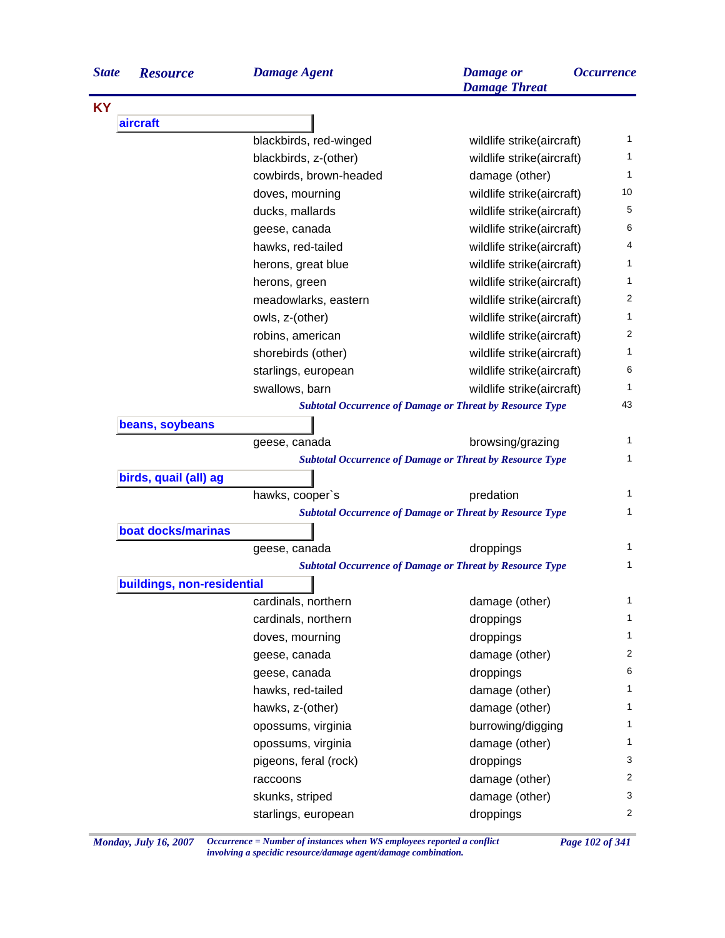| <b>State</b> | <b>Resource</b>            | <b>Damage Agent</b>    | <b>Damage</b> or<br><b>Damage Threat</b>                        | <i><b>Occurrence</b></i> |
|--------------|----------------------------|------------------------|-----------------------------------------------------------------|--------------------------|
| <b>KY</b>    |                            |                        |                                                                 |                          |
|              | aircraft                   |                        |                                                                 |                          |
|              |                            | blackbirds, red-winged | wildlife strike(aircraft)                                       | 1                        |
|              |                            | blackbirds, z-(other)  | wildlife strike(aircraft)                                       | 1                        |
|              |                            | cowbirds, brown-headed | damage (other)                                                  | 1                        |
|              |                            | doves, mourning        | wildlife strike(aircraft)                                       | 10                       |
|              |                            | ducks, mallards        | wildlife strike(aircraft)                                       | 5                        |
|              |                            | geese, canada          | wildlife strike(aircraft)                                       | 6                        |
|              |                            | hawks, red-tailed      | wildlife strike(aircraft)                                       | 4                        |
|              |                            | herons, great blue     | wildlife strike(aircraft)                                       | 1                        |
|              |                            | herons, green          | wildlife strike(aircraft)                                       | 1                        |
|              |                            | meadowlarks, eastern   | wildlife strike(aircraft)                                       | 2                        |
|              |                            | owls, z-(other)        | wildlife strike(aircraft)                                       | 1                        |
|              |                            | robins, american       | wildlife strike(aircraft)                                       | 2                        |
|              |                            | shorebirds (other)     | wildlife strike(aircraft)                                       | 1                        |
|              |                            | starlings, european    | wildlife strike(aircraft)                                       | 6                        |
|              |                            | swallows, barn         | wildlife strike(aircraft)                                       | 1                        |
|              |                            |                        | <b>Subtotal Occurrence of Damage or Threat by Resource Type</b> | 43                       |
|              | beans, soybeans            |                        |                                                                 |                          |
|              |                            | geese, canada          | browsing/grazing                                                | 1                        |
|              |                            |                        | <b>Subtotal Occurrence of Damage or Threat by Resource Type</b> | 1                        |
|              | birds, quail (all) ag      |                        |                                                                 |                          |
|              |                            | hawks, cooper's        | predation                                                       | 1                        |
|              |                            |                        | <b>Subtotal Occurrence of Damage or Threat by Resource Type</b> | 1                        |
|              | boat docks/marinas         |                        |                                                                 |                          |
|              |                            | geese, canada          | droppings                                                       | 1                        |
|              |                            |                        | <b>Subtotal Occurrence of Damage or Threat by Resource Type</b> | 1                        |
|              | buildings, non-residential |                        |                                                                 |                          |
|              |                            | cardinals, northern    | damage (other)                                                  | 1                        |
|              |                            | cardinals, northern    | droppings                                                       | 1                        |
|              |                            | doves, mourning        | droppings                                                       | 1                        |
|              |                            | geese, canada          | damage (other)                                                  | $\overline{2}$           |
|              |                            | geese, canada          | droppings                                                       | 6                        |
|              |                            | hawks, red-tailed      | damage (other)                                                  | 1                        |
|              |                            | hawks, z-(other)       | damage (other)                                                  | 1                        |
|              |                            |                        |                                                                 | 1                        |
|              |                            | opossums, virginia     | burrowing/digging                                               | 1                        |
|              |                            | opossums, virginia     | damage (other)                                                  | 3                        |
|              |                            | pigeons, feral (rock)  | droppings                                                       | 2                        |
|              |                            | raccoons               | damage (other)                                                  |                          |
|              |                            | skunks, striped        | damage (other)                                                  | 3                        |
|              |                            | starlings, european    | droppings                                                       | 2                        |

*Monday, July 16, 2007 Occurrence = Number of instances when WS employees reported a conflict Page 102 of 341 involving a specidic resource/damage agent/damage combination.*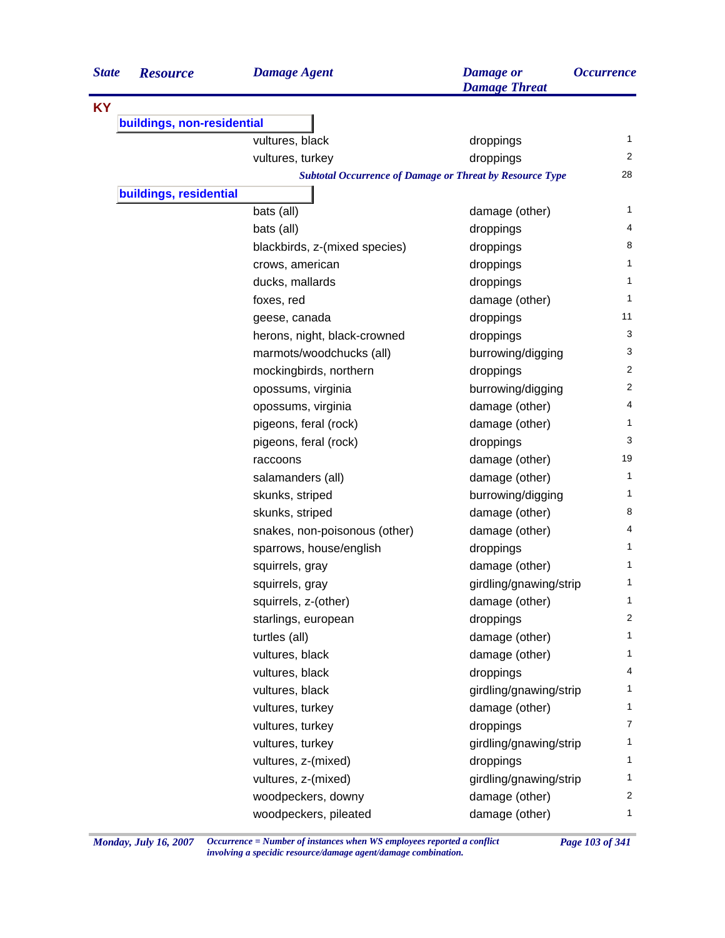| <b>State</b> | <b>Resource</b>            | <b>Damage Agent</b>                                             | <b>Damage</b> or<br><b>Damage Threat</b> | <i><b>Occurrence</b></i> |
|--------------|----------------------------|-----------------------------------------------------------------|------------------------------------------|--------------------------|
| <b>KY</b>    |                            |                                                                 |                                          |                          |
|              | buildings, non-residential |                                                                 |                                          |                          |
|              |                            | vultures, black                                                 | droppings                                | 1                        |
|              |                            | vultures, turkey                                                | droppings                                | 2                        |
|              |                            | <b>Subtotal Occurrence of Damage or Threat by Resource Type</b> |                                          | 28                       |
|              | buildings, residential     |                                                                 |                                          |                          |
|              |                            | bats (all)                                                      | damage (other)                           | 1                        |
|              |                            | bats (all)                                                      | droppings                                | 4                        |
|              |                            | blackbirds, z-(mixed species)                                   | droppings                                | 8                        |
|              |                            | crows, american                                                 | droppings                                | 1                        |
|              |                            | ducks, mallards                                                 | droppings                                | 1                        |
|              |                            | foxes, red                                                      | damage (other)                           | 1                        |
|              |                            | geese, canada                                                   | droppings                                | 11                       |
|              |                            | herons, night, black-crowned                                    | droppings                                | 3                        |
|              |                            | marmots/woodchucks (all)                                        | burrowing/digging                        | 3                        |
|              |                            | mockingbirds, northern                                          | droppings                                | 2                        |
|              |                            | opossums, virginia                                              | burrowing/digging                        | $\overline{2}$           |
|              |                            | opossums, virginia                                              | damage (other)                           | 4                        |
|              |                            | pigeons, feral (rock)                                           | damage (other)                           | 1                        |
|              |                            | pigeons, feral (rock)                                           | droppings                                | 3                        |
|              |                            | raccoons                                                        | damage (other)                           | 19                       |
|              |                            | salamanders (all)                                               | damage (other)                           | 1                        |
|              |                            | skunks, striped                                                 | burrowing/digging                        | 1                        |
|              |                            | skunks, striped                                                 | damage (other)                           | 8                        |
|              |                            | snakes, non-poisonous (other)                                   | damage (other)                           | 4                        |
|              |                            | sparrows, house/english                                         | droppings                                | 1                        |
|              |                            | squirrels, gray                                                 | damage (other)                           | 1                        |
|              |                            | squirrels, gray                                                 | girdling/gnawing/strip                   | 1                        |
|              |                            | squirrels, z-(other)                                            | damage (other)                           | $\mathbf{1}$             |
|              |                            | starlings, european                                             | droppings                                | $\overline{2}$           |
|              |                            | turtles (all)                                                   | damage (other)                           | 1                        |
|              |                            | vultures, black                                                 | damage (other)                           | 1                        |
|              |                            | vultures, black                                                 | droppings                                | 4                        |
|              |                            | vultures, black                                                 | girdling/gnawing/strip                   | 1                        |
|              |                            | vultures, turkey                                                | damage (other)                           | 1                        |
|              |                            | vultures, turkey                                                | droppings                                | $\overline{7}$           |
|              |                            | vultures, turkey                                                | girdling/gnawing/strip                   | 1                        |
|              |                            | vultures, z-(mixed)                                             | droppings                                | 1                        |
|              |                            | vultures, z-(mixed)                                             | girdling/gnawing/strip                   | 1                        |
|              |                            | woodpeckers, downy                                              | damage (other)                           | $\overline{2}$           |
|              |                            | woodpeckers, pileated                                           | damage (other)                           | 1                        |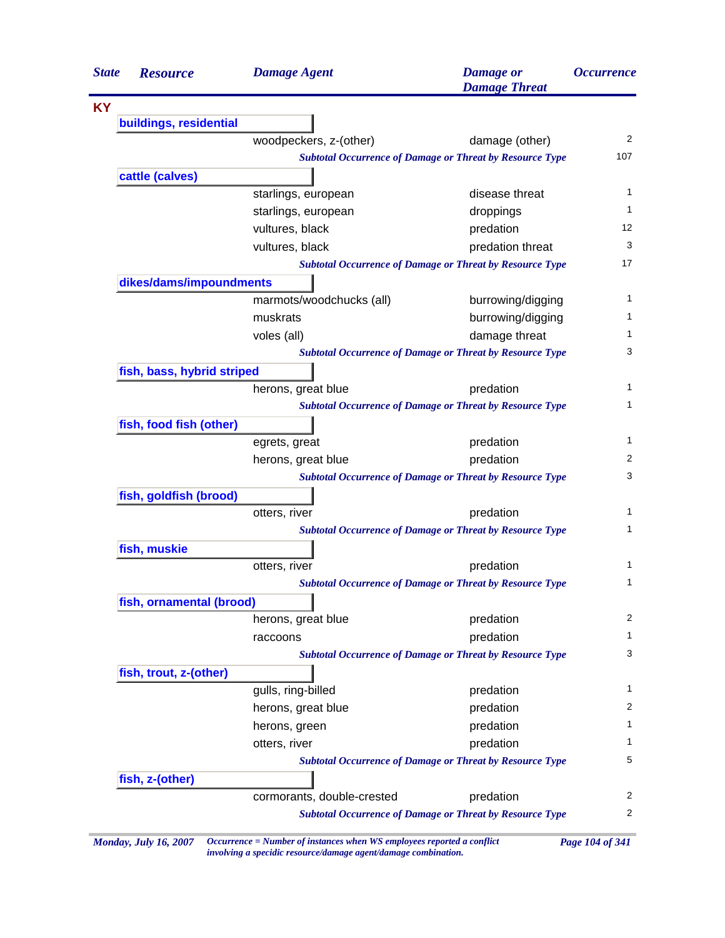| <b>State</b> | <b>Resource</b>            | <b>Damage Agent</b>        | <b>Damage</b> or<br><b>Damage Threat</b>                        | <i><b>Occurrence</b></i> |
|--------------|----------------------------|----------------------------|-----------------------------------------------------------------|--------------------------|
|              |                            |                            |                                                                 |                          |
|              | buildings, residential     |                            |                                                                 |                          |
|              |                            | woodpeckers, z-(other)     | damage (other)                                                  | $\overline{2}$           |
|              |                            |                            | <b>Subtotal Occurrence of Damage or Threat by Resource Type</b> | 107                      |
|              | cattle (calves)            |                            |                                                                 |                          |
|              |                            | starlings, european        | disease threat                                                  | 1                        |
|              |                            | starlings, european        | droppings                                                       | 1                        |
|              |                            | vultures, black            | predation                                                       | 12                       |
|              |                            | vultures, black            | predation threat                                                | 3                        |
|              |                            |                            | <b>Subtotal Occurrence of Damage or Threat by Resource Type</b> | 17                       |
|              | dikes/dams/impoundments    |                            |                                                                 |                          |
|              |                            | marmots/woodchucks (all)   | burrowing/digging                                               | 1                        |
|              |                            | muskrats                   | burrowing/digging                                               | 1                        |
|              |                            | voles (all)                | damage threat                                                   | 1                        |
|              |                            |                            | <b>Subtotal Occurrence of Damage or Threat by Resource Type</b> | 3                        |
|              | fish, bass, hybrid striped |                            |                                                                 |                          |
|              |                            | herons, great blue         | predation                                                       | 1                        |
|              |                            |                            | <b>Subtotal Occurrence of Damage or Threat by Resource Type</b> | 1                        |
|              | fish, food fish (other)    |                            |                                                                 |                          |
|              |                            | egrets, great              | predation                                                       | $\mathbf{1}$             |
|              |                            | herons, great blue         | predation                                                       | 2                        |
|              |                            |                            | <b>Subtotal Occurrence of Damage or Threat by Resource Type</b> | 3                        |
|              | fish, goldfish (brood)     |                            |                                                                 |                          |
|              |                            | otters, river              | predation                                                       | 1                        |
|              |                            |                            | <b>Subtotal Occurrence of Damage or Threat by Resource Type</b> | 1                        |
|              | fish, muskie               |                            |                                                                 |                          |
|              |                            | otters, river              | predation                                                       | 1                        |
|              |                            |                            | <b>Subtotal Occurrence of Damage or Threat by Resource Type</b> | 1                        |
|              | fish, ornamental (brood)   |                            |                                                                 |                          |
|              |                            | herons, great blue         | predation                                                       | 2                        |
|              |                            | raccoons                   | predation                                                       | 1                        |
|              |                            |                            | <b>Subtotal Occurrence of Damage or Threat by Resource Type</b> | 3                        |
|              | fish, trout, z-(other)     |                            |                                                                 |                          |
|              |                            | gulls, ring-billed         | predation                                                       | 1                        |
|              |                            | herons, great blue         | predation                                                       | 2                        |
|              |                            | herons, green              | predation                                                       | 1                        |
|              |                            | otters, river              | predation                                                       | 1                        |
|              |                            |                            | <b>Subtotal Occurrence of Damage or Threat by Resource Type</b> | 5                        |
|              | fish, z-(other)            |                            |                                                                 |                          |
|              |                            | cormorants, double-crested | predation                                                       | 2                        |
|              |                            |                            | <b>Subtotal Occurrence of Damage or Threat by Resource Type</b> | 2                        |

*Monday, July 16, 2007 Occurrence = Number of instances when WS employees reported a conflict Page 104 of 341 involving a specidic resource/damage agent/damage combination.*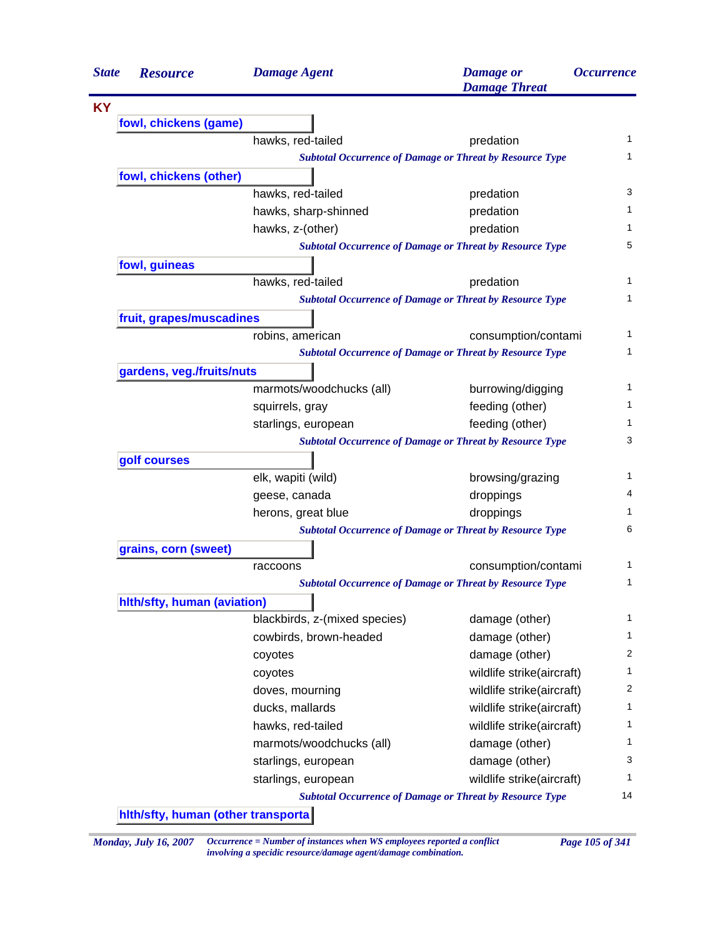| <b>State</b> | <b>Resource</b>             | <b>Damage Agent</b>           | <b>Damage</b> or<br><b>Damage Threat</b>                        | <i><b>Occurrence</b></i> |
|--------------|-----------------------------|-------------------------------|-----------------------------------------------------------------|--------------------------|
|              |                             |                               |                                                                 |                          |
|              | fowl, chickens (game)       |                               |                                                                 |                          |
|              |                             | hawks, red-tailed             | predation                                                       | 1                        |
|              |                             |                               | <b>Subtotal Occurrence of Damage or Threat by Resource Type</b> | 1                        |
|              | fowl, chickens (other)      |                               |                                                                 |                          |
|              |                             | hawks, red-tailed             | predation                                                       | 3                        |
|              |                             | hawks, sharp-shinned          | predation                                                       | 1                        |
|              |                             | hawks, z-(other)              | predation                                                       |                          |
|              |                             |                               | <b>Subtotal Occurrence of Damage or Threat by Resource Type</b> | 5                        |
|              | fowl, guineas               |                               |                                                                 |                          |
|              |                             | hawks, red-tailed             | predation                                                       | 1                        |
|              |                             |                               | <b>Subtotal Occurrence of Damage or Threat by Resource Type</b> |                          |
|              | fruit, grapes/muscadines    |                               |                                                                 |                          |
|              |                             | robins, american              | consumption/contami                                             | 1                        |
|              |                             |                               | <b>Subtotal Occurrence of Damage or Threat by Resource Type</b> |                          |
|              | gardens, veg./fruits/nuts   |                               |                                                                 |                          |
|              |                             | marmots/woodchucks (all)      | burrowing/digging                                               |                          |
|              |                             | squirrels, gray               | feeding (other)                                                 |                          |
|              |                             | starlings, european           | feeding (other)                                                 |                          |
|              |                             |                               | <b>Subtotal Occurrence of Damage or Threat by Resource Type</b> |                          |
|              | golf courses                |                               |                                                                 |                          |
|              |                             | elk, wapiti (wild)            | browsing/grazing                                                |                          |
|              |                             | geese, canada                 | droppings                                                       |                          |
|              |                             | herons, great blue            | droppings                                                       |                          |
|              |                             |                               | <b>Subtotal Occurrence of Damage or Threat by Resource Type</b> | 6                        |
|              | grains, corn (sweet)        |                               |                                                                 |                          |
|              |                             | raccoons                      | consumption/contami                                             |                          |
|              |                             |                               | <b>Subtotal Occurrence of Damage or Threat by Resource Type</b> |                          |
|              | hith/sfty, human (aviation) |                               |                                                                 |                          |
|              |                             | blackbirds, z-(mixed species) | damage (other)                                                  |                          |
|              |                             | cowbirds, brown-headed        | damage (other)                                                  |                          |
|              |                             | coyotes                       | damage (other)                                                  |                          |
|              |                             | coyotes                       | wildlife strike(aircraft)                                       |                          |
|              |                             | doves, mourning               | wildlife strike(aircraft)                                       |                          |
|              |                             | ducks, mallards               | wildlife strike(aircraft)                                       |                          |
|              |                             | hawks, red-tailed             | wildlife strike(aircraft)                                       |                          |
|              |                             | marmots/woodchucks (all)      | damage (other)                                                  |                          |
|              |                             | starlings, european           | damage (other)                                                  |                          |
|              |                             | starlings, european           | wildlife strike(aircraft)                                       |                          |
|              |                             |                               | <b>Subtotal Occurrence of Damage or Threat by Resource Type</b> | 14                       |

*Monday, July 16, 2007 Occurrence = Number of instances when WS employees reported a conflict Page 105 of 341 involving a specidic resource/damage agent/damage combination.*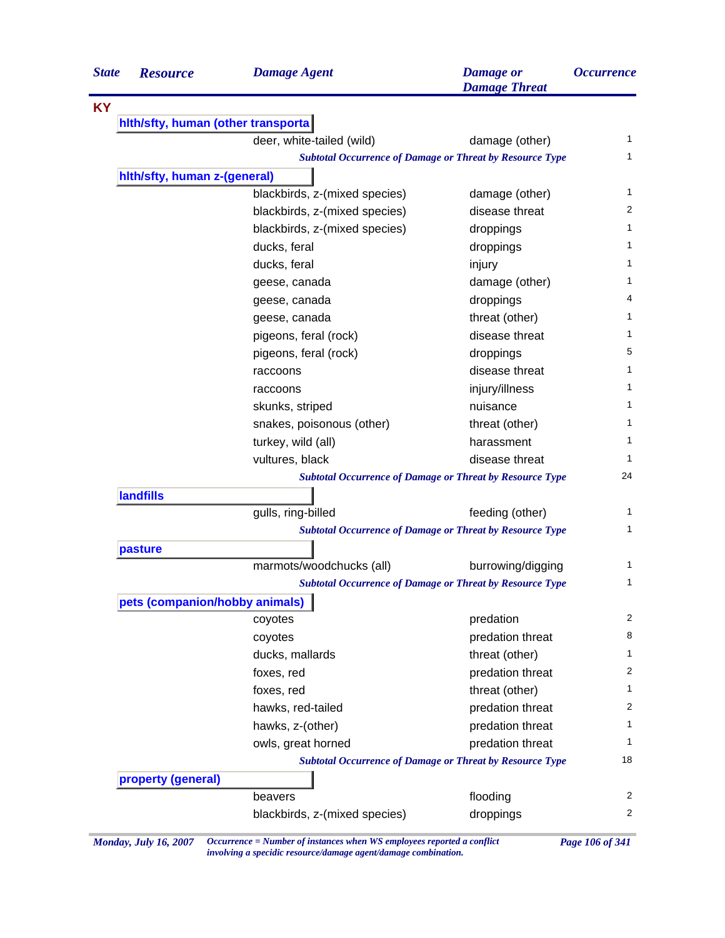| <b>State</b> | <b>Resource</b>                     | <b>Damage Agent</b>                                             | <b>Damage</b> or<br><b>Damage Threat</b> | <i><b>Occurrence</b></i> |  |
|--------------|-------------------------------------|-----------------------------------------------------------------|------------------------------------------|--------------------------|--|
|              |                                     |                                                                 |                                          |                          |  |
|              | hith/sfty, human (other transporta) |                                                                 |                                          |                          |  |
|              |                                     | deer, white-tailed (wild)                                       | damage (other)                           | 1                        |  |
|              |                                     | <b>Subtotal Occurrence of Damage or Threat by Resource Type</b> |                                          | 1                        |  |
|              | hith/sfty, human z-(general)        |                                                                 |                                          |                          |  |
|              |                                     | blackbirds, z-(mixed species)                                   | damage (other)                           | 1                        |  |
|              |                                     | blackbirds, z-(mixed species)                                   | disease threat                           | 2                        |  |
|              |                                     | blackbirds, z-(mixed species)                                   | droppings                                | 1                        |  |
|              |                                     | ducks, feral                                                    | droppings                                | 1                        |  |
|              |                                     | ducks, feral                                                    | injury                                   | 1                        |  |
|              |                                     | geese, canada                                                   | damage (other)                           | 1                        |  |
|              |                                     | geese, canada                                                   | droppings                                | 4                        |  |
|              |                                     | geese, canada                                                   | threat (other)                           | 1                        |  |
|              |                                     | pigeons, feral (rock)                                           | disease threat                           | 1                        |  |
|              |                                     | pigeons, feral (rock)                                           | droppings                                | 5                        |  |
|              |                                     | raccoons                                                        | disease threat                           | 1                        |  |
|              |                                     | raccoons                                                        | injury/illness                           | 1                        |  |
|              |                                     | skunks, striped                                                 | nuisance                                 | 1                        |  |
|              |                                     | snakes, poisonous (other)                                       | threat (other)                           | 1                        |  |
|              |                                     | turkey, wild (all)                                              | harassment                               | 1                        |  |
|              |                                     | vultures, black                                                 | disease threat                           | 1                        |  |
|              |                                     | <b>Subtotal Occurrence of Damage or Threat by Resource Type</b> |                                          | 24                       |  |
|              | <b>landfills</b>                    |                                                                 |                                          |                          |  |
|              |                                     | gulls, ring-billed                                              | feeding (other)                          | 1                        |  |
|              |                                     | <b>Subtotal Occurrence of Damage or Threat by Resource Type</b> |                                          | 1                        |  |
|              | pasture                             |                                                                 |                                          |                          |  |
|              |                                     | marmots/woodchucks (all)                                        | burrowing/digging                        | 1                        |  |
|              |                                     | <b>Subtotal Occurrence of Damage or Threat by Resource Type</b> |                                          | 1                        |  |
|              | pets (companion/hobby animals)      |                                                                 |                                          |                          |  |
|              |                                     | coyotes                                                         | predation                                | 2                        |  |
|              |                                     | coyotes                                                         | predation threat                         | 8                        |  |
|              |                                     | ducks, mallards                                                 | threat (other)                           | 1                        |  |
|              |                                     | foxes, red                                                      | predation threat                         | 2                        |  |
|              |                                     | foxes, red                                                      | threat (other)                           | 1                        |  |
|              |                                     | hawks, red-tailed                                               | predation threat                         | 2                        |  |
|              |                                     | hawks, z-(other)                                                | predation threat                         | 1.                       |  |
|              |                                     | owls, great horned                                              | predation threat                         | 1                        |  |
|              |                                     | <b>Subtotal Occurrence of Damage or Threat by Resource Type</b> |                                          | 18                       |  |
|              | property (general)                  |                                                                 |                                          |                          |  |
|              |                                     | beavers                                                         | flooding                                 | 2                        |  |
|              |                                     | blackbirds, z-(mixed species)                                   | droppings                                | 2                        |  |

*Monday, July 16, 2007 Occurrence = Number of instances when WS employees reported a conflict Page 106 of 341 involving a specidic resource/damage agent/damage combination.*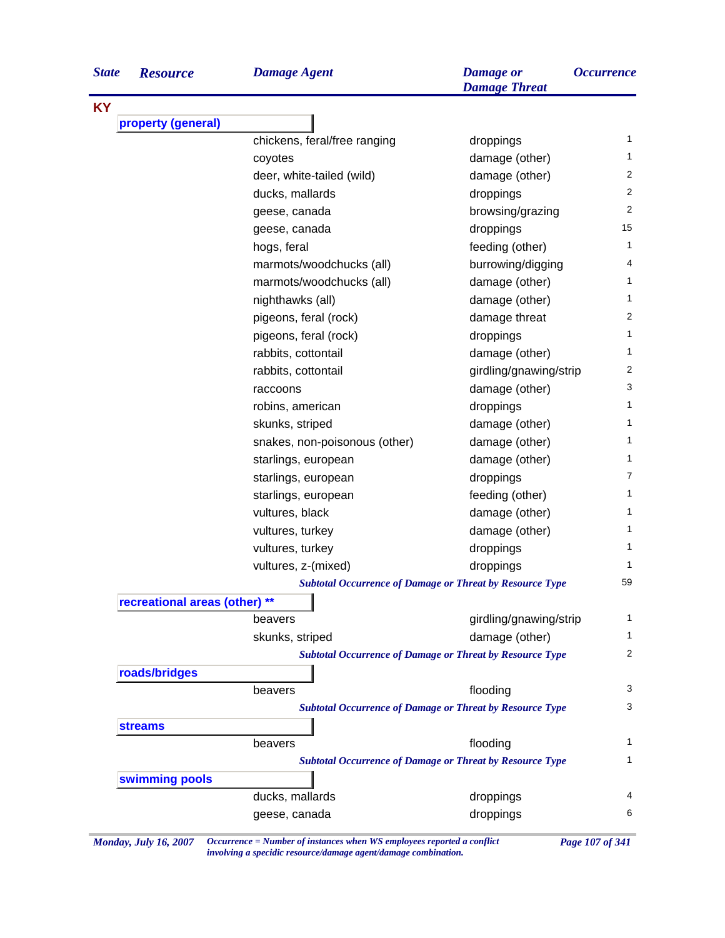| <b>State</b> | <b>Resourc</b> |
|--------------|----------------|
|--------------|----------------|

**KY**

| <b>State</b> | <b>Resource</b>            | <b>Damage Agent</b>                                             | <b>Damage</b> or<br><b>Damage Threat</b> | <i><b>Occurrence</b></i> |
|--------------|----------------------------|-----------------------------------------------------------------|------------------------------------------|--------------------------|
| KY           |                            |                                                                 |                                          |                          |
|              | property (general)         |                                                                 |                                          |                          |
|              |                            | chickens, feral/free ranging                                    | droppings                                | 1                        |
|              |                            | coyotes                                                         | damage (other)                           | 1                        |
|              |                            | deer, white-tailed (wild)                                       | damage (other)                           | $\overline{2}$           |
|              |                            | ducks, mallards                                                 | droppings                                | $\overline{2}$           |
|              |                            | geese, canada                                                   | browsing/grazing                         | $\overline{2}$           |
|              |                            | geese, canada                                                   | droppings                                | 15                       |
|              |                            | hogs, feral                                                     | feeding (other)                          | $\mathbf{1}$             |
|              |                            | marmots/woodchucks (all)                                        | burrowing/digging                        | 4                        |
|              |                            | marmots/woodchucks (all)                                        | damage (other)                           | $\mathbf{1}$             |
|              |                            | nighthawks (all)                                                | damage (other)                           | $\mathbf{1}$             |
|              |                            | pigeons, feral (rock)                                           | damage threat                            | 2                        |
|              |                            | pigeons, feral (rock)                                           | droppings                                | 1                        |
|              |                            | rabbits, cottontail                                             | damage (other)                           | 1                        |
|              |                            | rabbits, cottontail                                             | girdling/gnawing/strip                   | $\overline{c}$           |
|              |                            | raccoons                                                        | damage (other)                           | 3                        |
|              |                            | robins, american                                                | droppings                                | 1                        |
|              |                            | skunks, striped                                                 | damage (other)                           | 1                        |
|              |                            | snakes, non-poisonous (other)                                   | damage (other)                           | 1                        |
|              |                            | starlings, european                                             | damage (other)                           | 1                        |
|              |                            | starlings, european                                             | droppings                                | $\overline{7}$           |
|              |                            | starlings, european                                             | feeding (other)                          | 1                        |
|              |                            | vultures, black                                                 | damage (other)                           | 1                        |
|              |                            | vultures, turkey                                                | damage (other)                           | 1                        |
|              |                            | vultures, turkey                                                | droppings                                | 1                        |
|              |                            | vultures, z-(mixed)                                             | droppings                                | 1                        |
|              |                            | <b>Subtotal Occurrence of Damage or Threat by Resource Type</b> |                                          | 59                       |
|              | recreational areas (other) |                                                                 |                                          |                          |
|              |                            | beavers                                                         | girdling/gnawing/strip                   | 1                        |
|              |                            | skunks, striped                                                 | damage (other)                           | 1                        |
|              |                            | <b>Subtotal Occurrence of Damage or Threat by Resource Type</b> |                                          | 2                        |
|              | roads/bridges              |                                                                 |                                          |                          |
|              |                            | beavers                                                         | flooding                                 | 3                        |
|              |                            | <b>Subtotal Occurrence of Damage or Threat by Resource Type</b> |                                          | 3                        |
|              | <b>streams</b>             |                                                                 |                                          |                          |
|              |                            | beavers                                                         | flooding                                 | 1                        |
|              |                            | <b>Subtotal Occurrence of Damage or Threat by Resource Type</b> |                                          | 1                        |
|              | swimming pools             |                                                                 |                                          |                          |
|              |                            | ducks, mallards                                                 | droppings                                | 4                        |
|              |                            | geese, canada                                                   | droppings                                | 6                        |
|              |                            |                                                                 |                                          |                          |

*Monday, July 16, 2007 Occurrence = Number of instances when WS employees reported a conflict Page 107 of 341 involving a specidic resource/damage agent/damage combination.*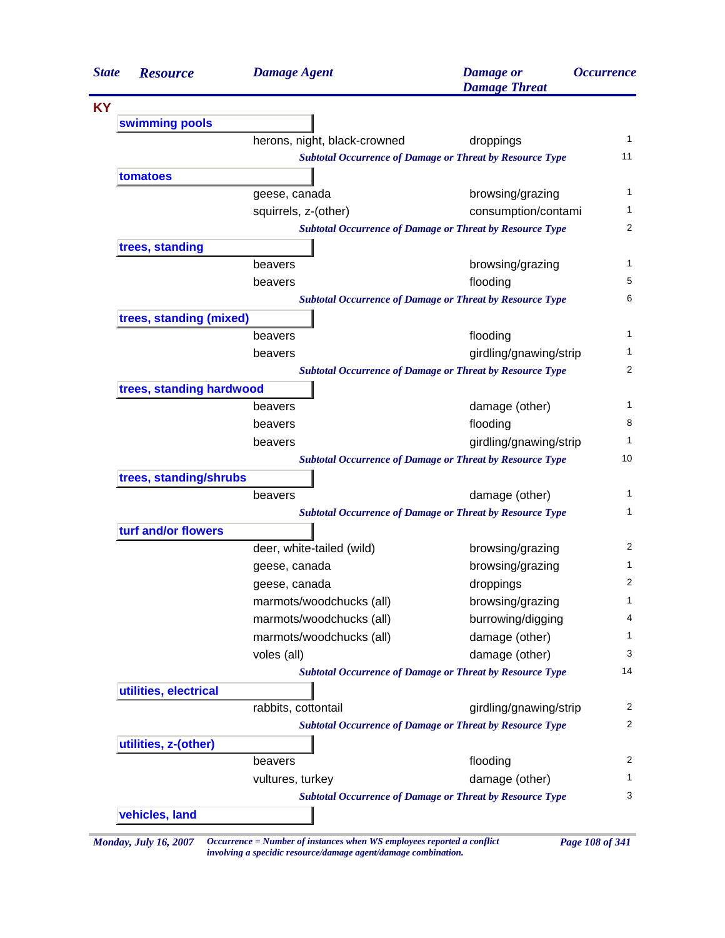| <b>State</b> | <b>Resource</b>                                                 | <b>Damage Agent</b>          | <b>Damage</b> or<br><b>Damage Threat</b>                                                  | <i><b>Occurrence</b></i> |  |
|--------------|-----------------------------------------------------------------|------------------------------|-------------------------------------------------------------------------------------------|--------------------------|--|
| <b>KY</b>    |                                                                 |                              |                                                                                           |                          |  |
|              | swimming pools                                                  |                              |                                                                                           |                          |  |
|              |                                                                 | herons, night, black-crowned | droppings                                                                                 |                          |  |
|              |                                                                 |                              | <b>Subtotal Occurrence of Damage or Threat by Resource Type</b>                           | 11                       |  |
|              | tomatoes                                                        |                              |                                                                                           |                          |  |
|              |                                                                 | geese, canada                | browsing/grazing                                                                          |                          |  |
|              |                                                                 | squirrels, z-(other)         | consumption/contami                                                                       |                          |  |
|              |                                                                 |                              | <b>Subtotal Occurrence of Damage or Threat by Resource Type</b>                           |                          |  |
|              | trees, standing                                                 |                              |                                                                                           |                          |  |
|              |                                                                 | beavers                      | browsing/grazing                                                                          |                          |  |
|              |                                                                 | beavers                      | flooding                                                                                  |                          |  |
|              | <b>Subtotal Occurrence of Damage or Threat by Resource Type</b> |                              |                                                                                           |                          |  |
|              | trees, standing (mixed)                                         |                              |                                                                                           |                          |  |
|              |                                                                 | beavers                      | flooding                                                                                  |                          |  |
|              |                                                                 | beavers                      | girdling/gnawing/strip<br><b>Subtotal Occurrence of Damage or Threat by Resource Type</b> |                          |  |
|              | trees, standing hardwood                                        |                              |                                                                                           |                          |  |
|              |                                                                 | beavers                      | damage (other)                                                                            |                          |  |
|              |                                                                 | beavers                      | flooding                                                                                  |                          |  |
|              |                                                                 | beavers                      | girdling/gnawing/strip                                                                    |                          |  |
|              |                                                                 |                              | <b>Subtotal Occurrence of Damage or Threat by Resource Type</b>                           | 10                       |  |
|              | trees, standing/shrubs                                          |                              |                                                                                           |                          |  |
|              |                                                                 | beavers                      | damage (other)                                                                            |                          |  |
|              |                                                                 |                              | <b>Subtotal Occurrence of Damage or Threat by Resource Type</b>                           |                          |  |
|              | turf and/or flowers                                             |                              |                                                                                           |                          |  |
|              |                                                                 | deer, white-tailed (wild)    | browsing/grazing                                                                          |                          |  |
|              |                                                                 | geese, canada                | browsing/grazing                                                                          |                          |  |
|              |                                                                 | geese, canada                | droppings                                                                                 |                          |  |
|              |                                                                 | marmots/woodchucks (all)     | browsing/grazing                                                                          |                          |  |
|              |                                                                 | marmots/woodchucks (all)     | burrowing/digging                                                                         |                          |  |
|              |                                                                 | marmots/woodchucks (all)     | damage (other)                                                                            |                          |  |
|              |                                                                 | voles (all)                  | damage (other)                                                                            |                          |  |
|              |                                                                 |                              | <b>Subtotal Occurrence of Damage or Threat by Resource Type</b>                           | 14                       |  |
|              | utilities, electrical                                           |                              |                                                                                           |                          |  |
|              |                                                                 | rabbits, cottontail          | girdling/gnawing/strip                                                                    |                          |  |
|              |                                                                 |                              | <b>Subtotal Occurrence of Damage or Threat by Resource Type</b>                           |                          |  |
|              | utilities, z-(other)                                            |                              |                                                                                           |                          |  |
|              |                                                                 | beavers                      | flooding                                                                                  |                          |  |
|              |                                                                 | vultures, turkey             | damage (other)                                                                            |                          |  |
|              |                                                                 |                              | <b>Subtotal Occurrence of Damage or Threat by Resource Type</b>                           |                          |  |
|              | vehicles, land                                                  |                              |                                                                                           |                          |  |

*Monday, July 16, 2007 Occurrence = Number of instances when WS employees reported a conflict Page 108 of 341 involving a specidic resource/damage agent/damage combination.*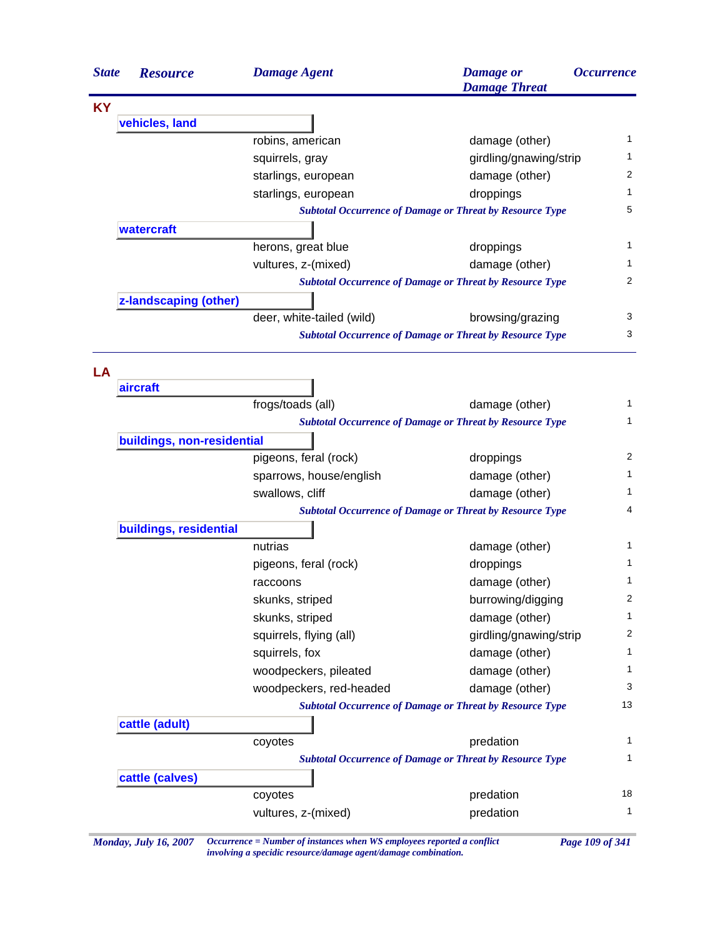

*Monday, July 16, 2007 Occurrence = Number of instances when WS employees reported a conflict Page 109 of 341 involving a specidic resource/damage agent/damage combination.*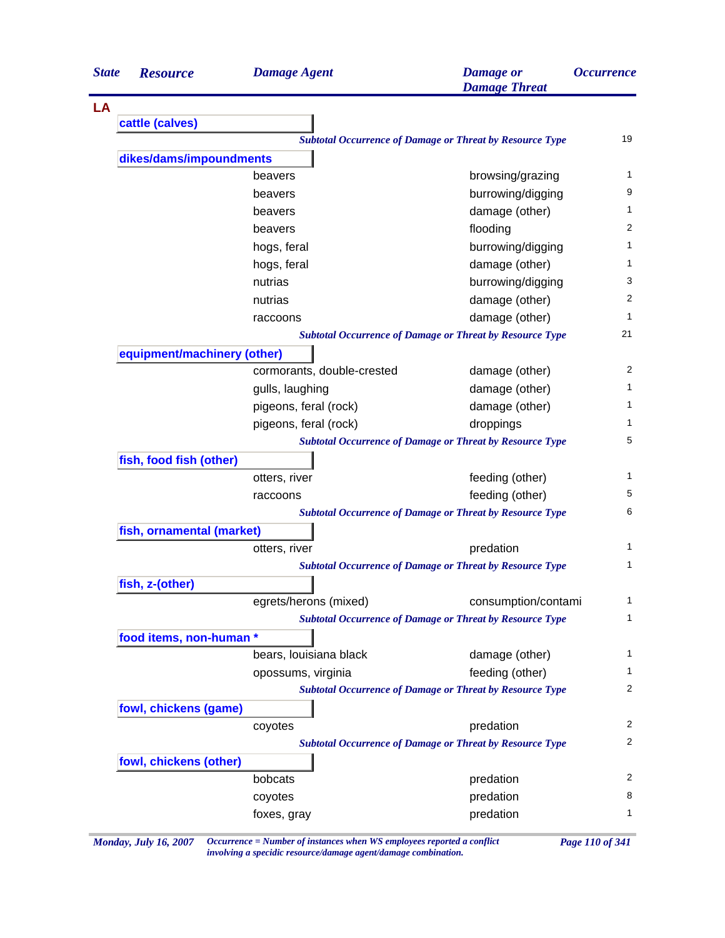| <b>State</b> | <b>Resource</b>             | <b>Damage Agent</b>        | <b>Damage</b> or<br><b>Damage Threat</b>                        | <i><b>Occurrence</b></i> |
|--------------|-----------------------------|----------------------------|-----------------------------------------------------------------|--------------------------|
| LA           |                             |                            |                                                                 |                          |
|              | cattle (calves)             |                            |                                                                 |                          |
|              |                             |                            | <b>Subtotal Occurrence of Damage or Threat by Resource Type</b> | 19                       |
|              | dikes/dams/impoundments     |                            |                                                                 |                          |
|              |                             | beavers                    | browsing/grazing                                                | 1                        |
|              |                             | beavers                    | burrowing/digging                                               | 9                        |
|              |                             | beavers                    | damage (other)                                                  | 1                        |
|              |                             | beavers                    | flooding                                                        | 2                        |
|              |                             | hogs, feral                | burrowing/digging                                               | 1                        |
|              |                             | hogs, feral                | damage (other)                                                  | 1                        |
|              |                             | nutrias                    | burrowing/digging                                               | 3                        |
|              |                             | nutrias                    | damage (other)                                                  | $\overline{c}$           |
|              |                             | raccoons                   | damage (other)                                                  | 1                        |
|              |                             |                            | <b>Subtotal Occurrence of Damage or Threat by Resource Type</b> | 21                       |
|              | equipment/machinery (other) |                            |                                                                 |                          |
|              |                             | cormorants, double-crested | damage (other)                                                  | 2                        |
|              |                             | gulls, laughing            | damage (other)                                                  | 1                        |
|              |                             | pigeons, feral (rock)      | damage (other)                                                  | 1                        |
|              |                             | pigeons, feral (rock)      | droppings                                                       | 1                        |
|              |                             |                            | <b>Subtotal Occurrence of Damage or Threat by Resource Type</b> | 5                        |
|              | fish, food fish (other)     |                            |                                                                 |                          |
|              |                             | otters, river              | feeding (other)                                                 | 1                        |
|              |                             | raccoons                   | feeding (other)                                                 | 5                        |
|              |                             |                            | <b>Subtotal Occurrence of Damage or Threat by Resource Type</b> | 6                        |
|              | fish, ornamental (market)   |                            |                                                                 |                          |
|              |                             | otters, river              | predation                                                       | 1                        |
|              |                             |                            | <b>Subtotal Occurrence of Damage or Threat by Resource Type</b> | 1                        |
|              | fish, z-(other)             |                            |                                                                 |                          |
|              |                             | egrets/herons (mixed)      | consumption/contami                                             | 1                        |
|              |                             |                            | <b>Subtotal Occurrence of Damage or Threat by Resource Type</b> | 1                        |
|              | food items, non-human *     |                            |                                                                 |                          |
|              |                             | bears, louisiana black     | damage (other)                                                  | 1                        |
|              |                             | opossums, virginia         | feeding (other)                                                 | 1                        |
|              |                             |                            | <b>Subtotal Occurrence of Damage or Threat by Resource Type</b> | 2                        |
|              | fowl, chickens (game)       |                            |                                                                 |                          |
|              |                             | coyotes                    | predation                                                       | 2                        |
|              |                             |                            | <b>Subtotal Occurrence of Damage or Threat by Resource Type</b> | 2                        |
|              | fowl, chickens (other)      |                            |                                                                 |                          |
|              |                             | bobcats                    | predation                                                       | 2                        |
|              |                             | coyotes                    | predation                                                       | 8                        |
|              |                             | foxes, gray                | predation                                                       | 1                        |

*Monday, July 16, 2007 Occurrence = Number of instances when WS employees reported a conflict Page 110 of 341 involving a specidic resource/damage agent/damage combination.*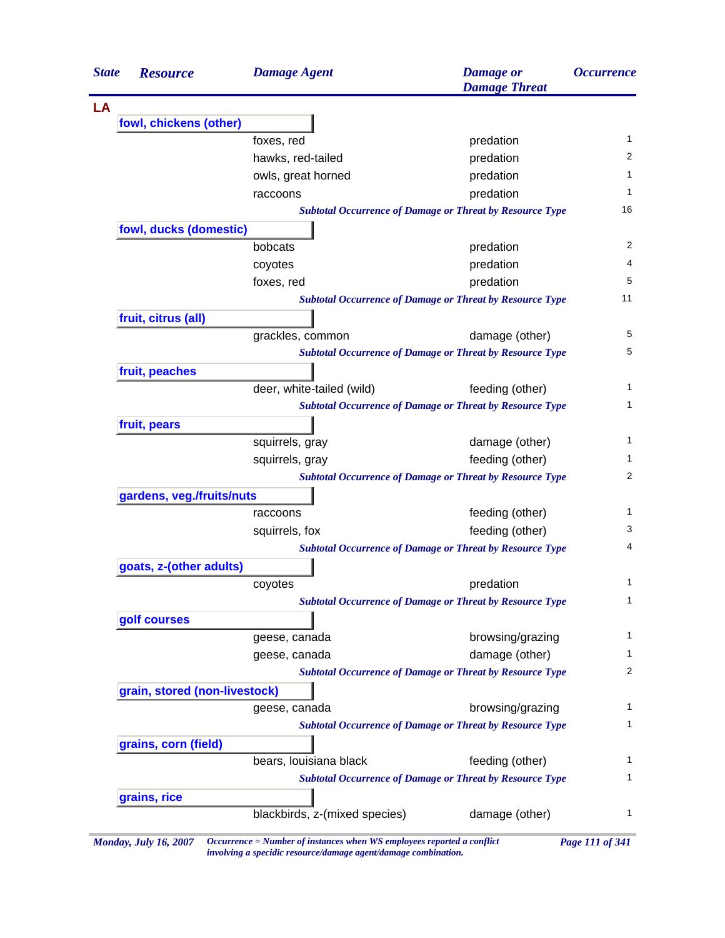| <b>State</b><br><b>Resource</b> | <b>Damage Agent</b>       | <b>Damage</b> or<br><b>Damage Threat</b>                        | <i><b>Occurrence</b></i> |
|---------------------------------|---------------------------|-----------------------------------------------------------------|--------------------------|
|                                 |                           |                                                                 |                          |
| fowl, chickens (other)          |                           |                                                                 |                          |
|                                 | foxes, red                | predation                                                       | $\mathbf{1}$             |
|                                 | hawks, red-tailed         | predation                                                       | 2                        |
|                                 | owls, great horned        | predation                                                       | 1                        |
|                                 | raccoons                  | predation                                                       | 1                        |
|                                 |                           | <b>Subtotal Occurrence of Damage or Threat by Resource Type</b> | 16                       |
| fowl, ducks (domestic)          |                           |                                                                 |                          |
|                                 | bobcats                   | predation                                                       | 2                        |
|                                 | coyotes                   | predation                                                       | 4                        |
|                                 | foxes, red                | predation                                                       | 5                        |
|                                 |                           | <b>Subtotal Occurrence of Damage or Threat by Resource Type</b> | 11                       |
| fruit, citrus (all)             |                           |                                                                 |                          |
|                                 | grackles, common          | damage (other)                                                  | 5                        |
|                                 |                           | <b>Subtotal Occurrence of Damage or Threat by Resource Type</b> | 5                        |
| fruit, peaches                  |                           |                                                                 |                          |
|                                 | deer, white-tailed (wild) | feeding (other)                                                 | 1                        |
|                                 |                           | <b>Subtotal Occurrence of Damage or Threat by Resource Type</b> | 1                        |
| fruit, pears                    |                           |                                                                 |                          |
|                                 | squirrels, gray           | damage (other)                                                  | 1                        |
|                                 | squirrels, gray           | feeding (other)                                                 | 1                        |
|                                 |                           | <b>Subtotal Occurrence of Damage or Threat by Resource Type</b> | 2                        |
| gardens, veg./fruits/nuts       |                           |                                                                 |                          |
|                                 | raccoons                  | feeding (other)                                                 | 1                        |
|                                 | squirrels, fox            | feeding (other)                                                 | 3                        |
|                                 |                           | <b>Subtotal Occurrence of Damage or Threat by Resource Type</b> | 4                        |
| goats, z-(other adults)         |                           |                                                                 |                          |
|                                 | coyotes                   | predation                                                       | 1                        |
|                                 |                           | <b>Subtotal Occurrence of Damage or Threat by Resource Type</b> | 1                        |
| golf courses                    |                           |                                                                 |                          |
|                                 | geese, canada             | browsing/grazing                                                | 1                        |
|                                 | geese, canada             | damage (other)                                                  | 1                        |
|                                 |                           | <b>Subtotal Occurrence of Damage or Threat by Resource Type</b> | 2                        |
| grain, stored (non-livestock)   |                           |                                                                 |                          |
|                                 | geese, canada             | browsing/grazing                                                | 1                        |
|                                 |                           | <b>Subtotal Occurrence of Damage or Threat by Resource Type</b> | 1                        |
| grains, corn (field)            |                           |                                                                 |                          |
|                                 | bears, louisiana black    | feeding (other)                                                 | 1                        |
|                                 |                           | <b>Subtotal Occurrence of Damage or Threat by Resource Type</b> | 1                        |
|                                 |                           |                                                                 |                          |
| grains, rice                    |                           |                                                                 |                          |

*Monday, July 16, 2007 Occurrence = Number of instances when WS employees reported a conflict Page 111 of 341 involving a specidic resource/damage agent/damage combination.*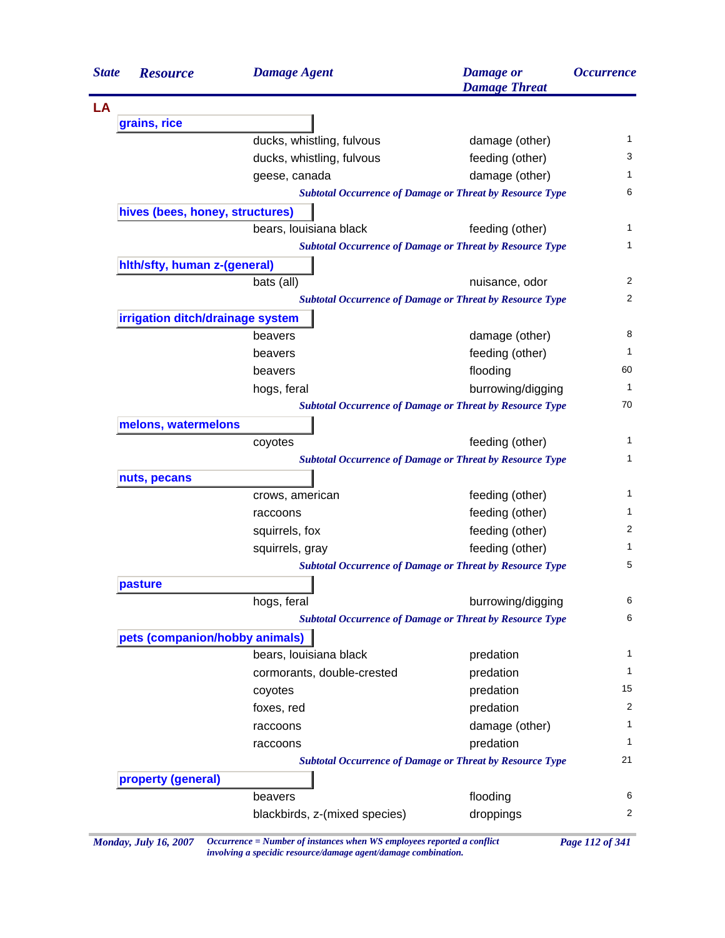| <b>State</b> | <b>Resource</b>                  | <b>Damage Agent</b>        | <b>Damage</b> or<br><b>Damage Threat</b>                        | <i><b>Occurrence</b></i> |
|--------------|----------------------------------|----------------------------|-----------------------------------------------------------------|--------------------------|
|              |                                  |                            |                                                                 |                          |
|              | grains, rice                     |                            |                                                                 |                          |
|              |                                  | ducks, whistling, fulvous  | damage (other)                                                  | 1                        |
|              |                                  | ducks, whistling, fulvous  | feeding (other)                                                 | 3                        |
|              |                                  | geese, canada              | damage (other)                                                  | $\mathbf{1}$             |
|              |                                  |                            | <b>Subtotal Occurrence of Damage or Threat by Resource Type</b> | 6                        |
|              | hives (bees, honey, structures)  |                            |                                                                 |                          |
|              |                                  | bears, louisiana black     | feeding (other)                                                 | 1                        |
|              |                                  |                            | <b>Subtotal Occurrence of Damage or Threat by Resource Type</b> | 1                        |
|              | hith/sfty, human z-(general)     |                            |                                                                 |                          |
|              |                                  | bats (all)                 | nuisance, odor                                                  | 2                        |
|              |                                  |                            | <b>Subtotal Occurrence of Damage or Threat by Resource Type</b> | $\overline{2}$           |
|              | irrigation ditch/drainage system |                            |                                                                 |                          |
|              |                                  | beavers                    | damage (other)                                                  | 8                        |
|              |                                  | beavers                    | feeding (other)                                                 | $\mathbf{1}$             |
|              |                                  | beavers                    | flooding                                                        | 60                       |
|              |                                  | hogs, feral                | burrowing/digging                                               | $\mathbf{1}$             |
|              |                                  |                            | <b>Subtotal Occurrence of Damage or Threat by Resource Type</b> | 70                       |
|              | melons, watermelons              |                            |                                                                 |                          |
|              |                                  | coyotes                    | feeding (other)                                                 | 1                        |
|              |                                  |                            | <b>Subtotal Occurrence of Damage or Threat by Resource Type</b> | 1                        |
|              | nuts, pecans                     |                            |                                                                 |                          |
|              |                                  | crows, american            | feeding (other)                                                 | 1                        |
|              |                                  | raccoons                   | feeding (other)                                                 | 1                        |
|              |                                  | squirrels, fox             | feeding (other)                                                 | 2                        |
|              |                                  | squirrels, gray            | feeding (other)                                                 | 1                        |
|              |                                  |                            | <b>Subtotal Occurrence of Damage or Threat by Resource Type</b> | 5                        |
|              | pasture                          |                            |                                                                 |                          |
|              |                                  | hogs, feral                | burrowing/digging                                               | 6                        |
|              |                                  |                            | <b>Subtotal Occurrence of Damage or Threat by Resource Type</b> | 6                        |
|              | pets (companion/hobby animals)   |                            |                                                                 |                          |
|              |                                  | bears, louisiana black     | predation                                                       | 1                        |
|              |                                  | cormorants, double-crested | predation                                                       | $\mathbf{1}$             |
|              |                                  | coyotes                    | predation                                                       | 15                       |
|              |                                  | foxes, red                 | predation                                                       | 2                        |
|              |                                  | raccoons                   | damage (other)                                                  | 1                        |
|              |                                  | raccoons                   | predation                                                       | $\mathbf{1}$             |
|              |                                  |                            | <b>Subtotal Occurrence of Damage or Threat by Resource Type</b> | 21                       |
|              | property (general)               |                            |                                                                 |                          |
|              |                                  | beavers                    | flooding                                                        | 6                        |
|              |                                  |                            | droppings                                                       | 2                        |

*Monday, July 16, 2007 Occurrence = Number of instances when WS employees reported a conflict Page 112 of 341 involving a specidic resource/damage agent/damage combination.*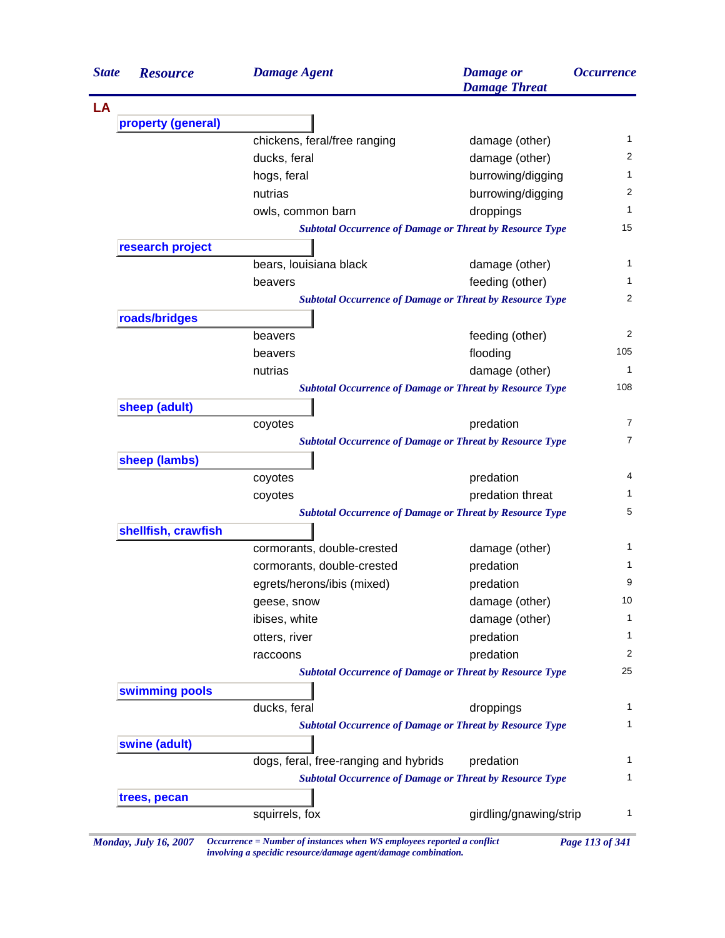| <b>State</b> | <b>Resource</b>     | <b>Damage Agent</b>                                                        | <b>Damage</b> or<br><b>Damage Threat</b> | <i><b>Occurrence</b></i> |
|--------------|---------------------|----------------------------------------------------------------------------|------------------------------------------|--------------------------|
| LA           |                     |                                                                            |                                          |                          |
|              | property (general)  |                                                                            |                                          |                          |
|              |                     | chickens, feral/free ranging                                               | damage (other)                           |                          |
|              |                     | ducks, feral                                                               | damage (other)                           |                          |
|              |                     | hogs, feral                                                                | burrowing/digging                        |                          |
|              |                     | nutrias                                                                    | burrowing/digging                        |                          |
|              |                     | owls, common barn                                                          | droppings                                |                          |
|              |                     | <b>Subtotal Occurrence of Damage or Threat by Resource Type</b>            |                                          | 15                       |
|              | research project    |                                                                            |                                          |                          |
|              |                     | bears, louisiana black                                                     | damage (other)                           |                          |
|              |                     | beavers                                                                    | feeding (other)                          |                          |
|              |                     | <b>Subtotal Occurrence of Damage or Threat by Resource Type</b>            |                                          |                          |
|              | roads/bridges       |                                                                            |                                          |                          |
|              |                     | beavers                                                                    | feeding (other)                          | 105                      |
|              |                     | beavers                                                                    | flooding                                 |                          |
|              |                     | nutrias<br><b>Subtotal Occurrence of Damage or Threat by Resource Type</b> | damage (other)                           | 108                      |
|              | sheep (adult)       |                                                                            |                                          |                          |
|              |                     | coyotes                                                                    | predation                                |                          |
|              |                     | <b>Subtotal Occurrence of Damage or Threat by Resource Type</b>            |                                          |                          |
|              | sheep (lambs)       |                                                                            |                                          |                          |
|              |                     | coyotes                                                                    | predation                                |                          |
|              |                     | coyotes                                                                    | predation threat                         |                          |
|              |                     | <b>Subtotal Occurrence of Damage or Threat by Resource Type</b>            |                                          |                          |
|              | shellfish, crawfish |                                                                            |                                          |                          |
|              |                     | cormorants, double-crested                                                 | damage (other)                           |                          |
|              |                     | cormorants, double-crested                                                 | predation                                |                          |
|              |                     | egrets/herons/ibis (mixed)                                                 | predation                                |                          |
|              |                     | geese, snow                                                                | damage (other)                           | 10                       |
|              |                     | ibises, white                                                              | damage (other)                           |                          |
|              |                     | otters, river                                                              | predation                                |                          |
|              |                     | raccoons                                                                   | predation                                |                          |
|              |                     | <b>Subtotal Occurrence of Damage or Threat by Resource Type</b>            |                                          | 25                       |
|              | swimming pools      |                                                                            |                                          |                          |
|              |                     | ducks, feral                                                               | droppings                                |                          |
|              |                     | <b>Subtotal Occurrence of Damage or Threat by Resource Type</b>            |                                          |                          |
|              | swine (adult)       |                                                                            |                                          |                          |
|              |                     | dogs, feral, free-ranging and hybrids                                      | predation                                |                          |
|              |                     | <b>Subtotal Occurrence of Damage or Threat by Resource Type</b>            |                                          |                          |
|              | trees, pecan        |                                                                            |                                          |                          |
|              |                     | squirrels, fox                                                             | girdling/gnawing/strip                   |                          |

*Monday, July 16, 2007 Occurrence = Number of instances when WS employees reported a conflict Page 113 of 341 involving a specidic resource/damage agent/damage combination.*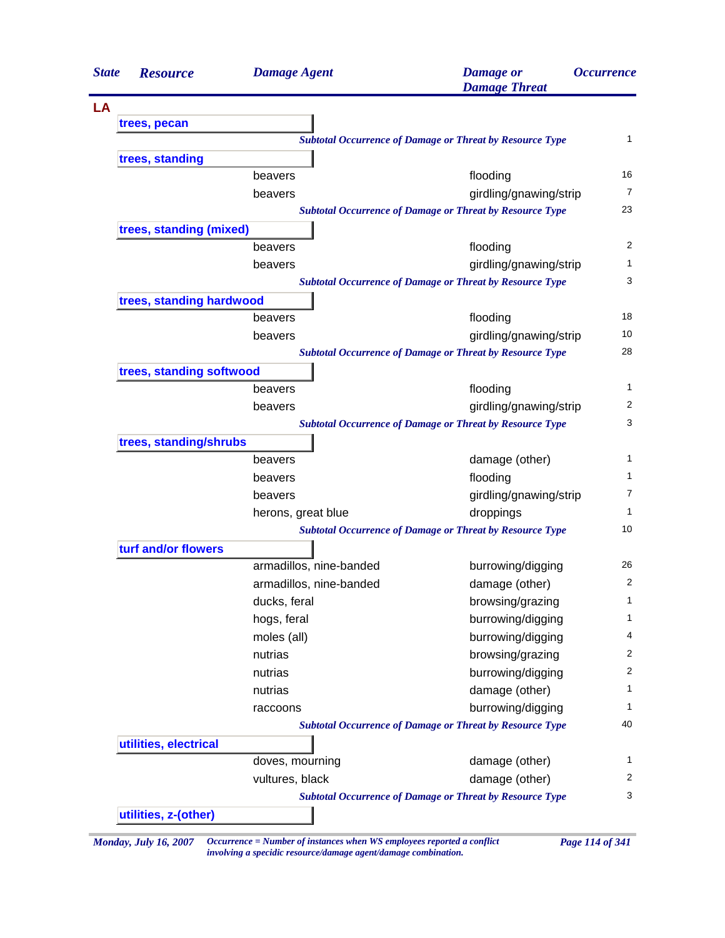| <b>State</b> | <b>Resource</b>          | <b>Damage Agent</b>     | <b>Damage</b> or<br><b>Damage Threat</b>                        | <i><b>Occurrence</b></i> |
|--------------|--------------------------|-------------------------|-----------------------------------------------------------------|--------------------------|
| LA           |                          |                         |                                                                 |                          |
|              | trees, pecan             |                         |                                                                 |                          |
|              |                          |                         | <b>Subtotal Occurrence of Damage or Threat by Resource Type</b> | 1                        |
|              | trees, standing          |                         |                                                                 |                          |
|              |                          | beavers                 | flooding                                                        | 16                       |
|              |                          | beavers                 | girdling/gnawing/strip                                          | 7                        |
|              |                          |                         | <b>Subtotal Occurrence of Damage or Threat by Resource Type</b> | 23                       |
|              | trees, standing (mixed)  |                         |                                                                 |                          |
|              |                          | beavers                 | flooding                                                        | 2                        |
|              |                          | beavers                 | girdling/gnawing/strip                                          | 1                        |
|              |                          |                         | <b>Subtotal Occurrence of Damage or Threat by Resource Type</b> | 3                        |
|              | trees, standing hardwood |                         |                                                                 |                          |
|              |                          | beavers                 | flooding                                                        | 18                       |
|              |                          | beavers                 | girdling/gnawing/strip                                          | 10                       |
|              |                          |                         | <b>Subtotal Occurrence of Damage or Threat by Resource Type</b> | 28                       |
|              | trees, standing softwood |                         |                                                                 |                          |
|              |                          | beavers                 | flooding                                                        | 1                        |
|              |                          | beavers                 | girdling/gnawing/strip                                          | 2                        |
|              |                          |                         | <b>Subtotal Occurrence of Damage or Threat by Resource Type</b> | 3                        |
|              | trees, standing/shrubs   |                         |                                                                 |                          |
|              |                          | beavers                 | damage (other)                                                  | 1                        |
|              |                          | beavers                 | flooding                                                        | 1                        |
|              |                          | beavers                 | girdling/gnawing/strip                                          | 7                        |
|              |                          | herons, great blue      | droppings                                                       | 1                        |
|              |                          |                         | <b>Subtotal Occurrence of Damage or Threat by Resource Type</b> | 10                       |
|              | turf and/or flowers      |                         |                                                                 |                          |
|              |                          | armadillos, nine-banded | burrowing/digging                                               | 26                       |
|              |                          | armadillos, nine-banded | damage (other)                                                  | 2                        |
|              |                          | ducks, feral            | browsing/grazing                                                | 1                        |
|              |                          | hogs, feral             | burrowing/digging                                               | 1                        |
|              |                          | moles (all)             | burrowing/digging                                               | 4                        |
|              |                          | nutrias                 | browsing/grazing                                                | $\overline{c}$           |
|              |                          | nutrias                 | burrowing/digging                                               | $\overline{c}$           |
|              |                          | nutrias                 | damage (other)                                                  | 1                        |
|              |                          | raccoons                | burrowing/digging                                               | 1                        |
|              |                          |                         | <b>Subtotal Occurrence of Damage or Threat by Resource Type</b> | 40                       |
|              | utilities, electrical    |                         |                                                                 |                          |
|              |                          | doves, mourning         | damage (other)                                                  | 1                        |
|              |                          | vultures, black         | damage (other)                                                  | 2                        |
|              |                          |                         | <b>Subtotal Occurrence of Damage or Threat by Resource Type</b> | 3                        |
|              | utilities, z-(other)     |                         |                                                                 |                          |

*Monday, July 16, 2007 Occurrence = Number of instances when WS employees reported a conflict Page 114 of 341 involving a specidic resource/damage agent/damage combination.*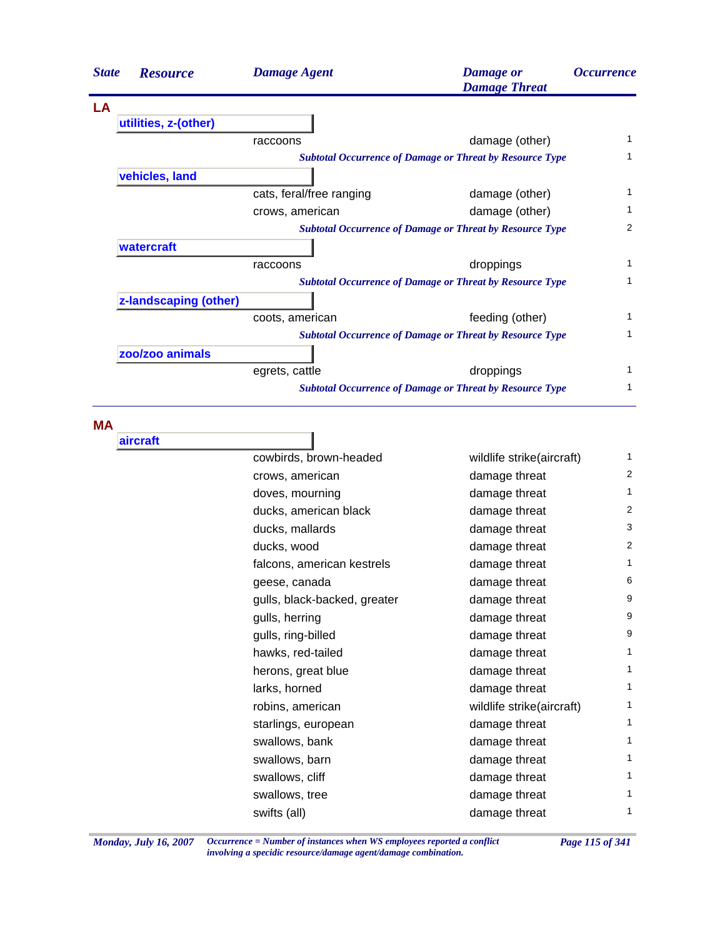| <b>Resource</b>       | <b>Damage Agent</b>      | <b>Damage</b> or<br><b>Damage Threat</b> | <i><b>Occurrence</b></i>                                                                                                                                                                                                                                                                                                                    |
|-----------------------|--------------------------|------------------------------------------|---------------------------------------------------------------------------------------------------------------------------------------------------------------------------------------------------------------------------------------------------------------------------------------------------------------------------------------------|
|                       |                          |                                          |                                                                                                                                                                                                                                                                                                                                             |
| utilities, z-(other)  |                          |                                          |                                                                                                                                                                                                                                                                                                                                             |
|                       | raccoons                 | damage (other)                           | 1                                                                                                                                                                                                                                                                                                                                           |
|                       |                          |                                          | 1                                                                                                                                                                                                                                                                                                                                           |
| vehicles, land        |                          |                                          |                                                                                                                                                                                                                                                                                                                                             |
|                       | cats, feral/free ranging | damage (other)                           | 1                                                                                                                                                                                                                                                                                                                                           |
|                       | crows, american          | damage (other)                           | 1                                                                                                                                                                                                                                                                                                                                           |
|                       |                          |                                          | 2                                                                                                                                                                                                                                                                                                                                           |
| watercraft            |                          |                                          |                                                                                                                                                                                                                                                                                                                                             |
|                       | raccoons                 | droppings                                | 1                                                                                                                                                                                                                                                                                                                                           |
|                       |                          |                                          | 1                                                                                                                                                                                                                                                                                                                                           |
| z-landscaping (other) |                          |                                          |                                                                                                                                                                                                                                                                                                                                             |
|                       | coots, american          | feeding (other)                          | 1                                                                                                                                                                                                                                                                                                                                           |
|                       |                          |                                          | 1                                                                                                                                                                                                                                                                                                                                           |
| zoo/zoo animals       |                          |                                          |                                                                                                                                                                                                                                                                                                                                             |
|                       | egrets, cattle           | droppings                                | 1                                                                                                                                                                                                                                                                                                                                           |
|                       |                          |                                          | 1                                                                                                                                                                                                                                                                                                                                           |
|                       |                          |                                          | <b>Subtotal Occurrence of Damage or Threat by Resource Type</b><br><b>Subtotal Occurrence of Damage or Threat by Resource Type</b><br><b>Subtotal Occurrence of Damage or Threat by Resource Type</b><br><b>Subtotal Occurrence of Damage or Threat by Resource Type</b><br><b>Subtotal Occurrence of Damage or Threat by Resource Type</b> |

**MA**

| aircraft |                              |                           |                |
|----------|------------------------------|---------------------------|----------------|
|          | cowbirds, brown-headed       | wildlife strike(aircraft) | 1              |
|          | crows, american              | damage threat             | $\overline{2}$ |
|          | doves, mourning              | damage threat             | 1              |
|          | ducks, american black        | damage threat             | 2              |
|          | ducks, mallards              | damage threat             | 3              |
|          | ducks, wood                  | damage threat             | $\overline{2}$ |
|          | falcons, american kestrels   | damage threat             | 1              |
|          | geese, canada                | damage threat             | 6              |
|          | gulls, black-backed, greater | damage threat             | 9              |
|          | gulls, herring               | damage threat             | 9              |
|          | gulls, ring-billed           | damage threat             | 9              |
|          | hawks, red-tailed            | damage threat             | 1              |
|          | herons, great blue           | damage threat             | 1              |
|          | larks, horned                | damage threat             | 1              |
|          | robins, american             | wildlife strike(aircraft) | 1              |
|          | starlings, european          | damage threat             | 1              |
|          | swallows, bank               | damage threat             | 1              |
|          | swallows, barn               | damage threat             | 1              |
|          | swallows, cliff              | damage threat             | 1              |
|          | swallows, tree               | damage threat             | 1              |
|          | swifts (all)                 | damage threat             | 1              |
|          |                              |                           |                |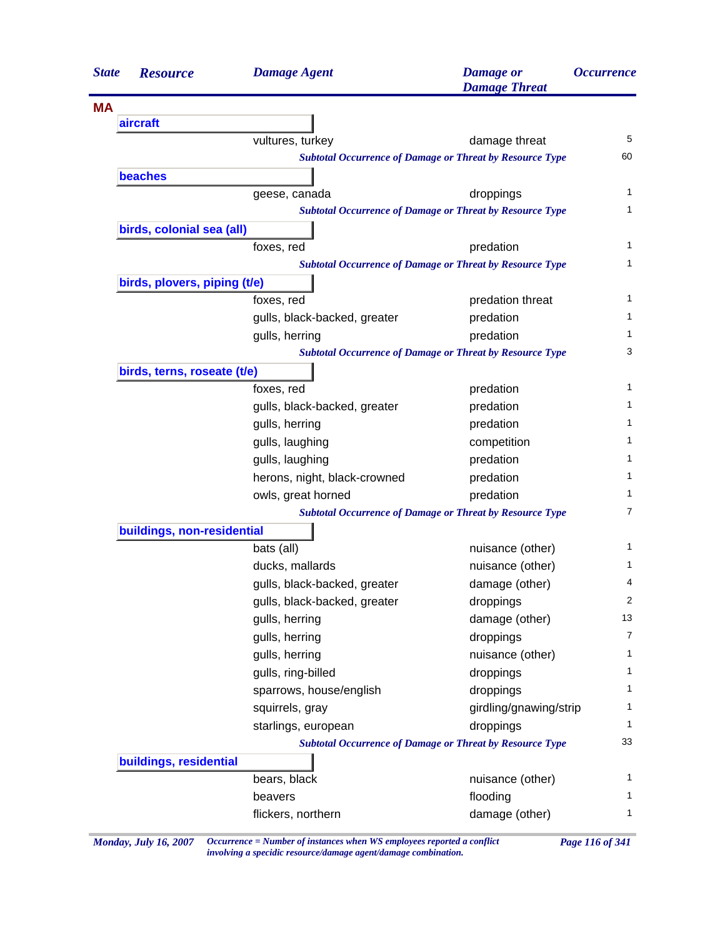| <b>State</b> | <b>Resource</b>              | <b>Damage Agent</b>          | <b>Damage</b> or<br><b>Damage Threat</b>                        | <i><b>Occurrence</b></i> |
|--------------|------------------------------|------------------------------|-----------------------------------------------------------------|--------------------------|
| <b>MA</b>    |                              |                              |                                                                 |                          |
|              | aircraft                     |                              |                                                                 |                          |
|              |                              | vultures, turkey             | damage threat                                                   | 5                        |
|              |                              |                              | <b>Subtotal Occurrence of Damage or Threat by Resource Type</b> | 60                       |
|              | beaches                      |                              |                                                                 |                          |
|              |                              | geese, canada                | droppings                                                       | 1                        |
|              |                              |                              | <b>Subtotal Occurrence of Damage or Threat by Resource Type</b> | 1                        |
|              | birds, colonial sea (all)    |                              |                                                                 |                          |
|              |                              | foxes, red                   | predation                                                       | 1                        |
|              |                              |                              | <b>Subtotal Occurrence of Damage or Threat by Resource Type</b> | 1                        |
|              | birds, plovers, piping (t/e) |                              |                                                                 |                          |
|              |                              | foxes, red                   | predation threat                                                | 1                        |
|              |                              | gulls, black-backed, greater | predation                                                       | 1                        |
|              |                              | gulls, herring               | predation                                                       | 1                        |
|              |                              |                              | <b>Subtotal Occurrence of Damage or Threat by Resource Type</b> | 3                        |
|              | birds, terns, roseate (t/e)  |                              |                                                                 |                          |
|              |                              | foxes, red                   | predation                                                       | 1                        |
|              |                              | gulls, black-backed, greater | predation                                                       | 1                        |
|              |                              | gulls, herring               | predation                                                       | 1                        |
|              |                              | gulls, laughing              | competition                                                     | 1                        |
|              |                              | gulls, laughing              | predation                                                       | 1                        |
|              |                              | herons, night, black-crowned | predation                                                       | 1                        |
|              |                              | owls, great horned           | predation                                                       | 1                        |
|              |                              |                              | <b>Subtotal Occurrence of Damage or Threat by Resource Type</b> | 7                        |
|              | buildings, non-residential   |                              |                                                                 |                          |
|              |                              | bats (all)                   | nuisance (other)                                                | 1                        |
|              |                              | ducks, mallards              | nuisance (other)                                                | 1                        |
|              |                              | gulls, black-backed, greater | damage (other)                                                  | 4                        |
|              |                              | gulls, black-backed, greater | droppings                                                       | 2                        |
|              |                              | gulls, herring               | damage (other)                                                  | 13                       |
|              |                              | gulls, herring               | droppings                                                       | $\overline{7}$           |
|              |                              | gulls, herring               | nuisance (other)                                                | 1                        |
|              |                              | gulls, ring-billed           | droppings                                                       | 1                        |
|              |                              | sparrows, house/english      | droppings                                                       | 1                        |
|              |                              | squirrels, gray              | girdling/gnawing/strip                                          | 1                        |
|              |                              | starlings, european          | droppings                                                       | 1                        |
|              |                              |                              | <b>Subtotal Occurrence of Damage or Threat by Resource Type</b> | 33                       |
|              | buildings, residential       |                              |                                                                 |                          |
|              |                              | bears, black                 | nuisance (other)                                                | 1                        |
|              |                              | beavers                      | flooding                                                        | 1                        |
|              |                              | flickers, northern           | damage (other)                                                  | 1                        |
|              |                              |                              |                                                                 |                          |

*Monday, July 16, 2007 Occurrence = Number of instances when WS employees reported a conflict Page 116 of 341 involving a specidic resource/damage agent/damage combination.*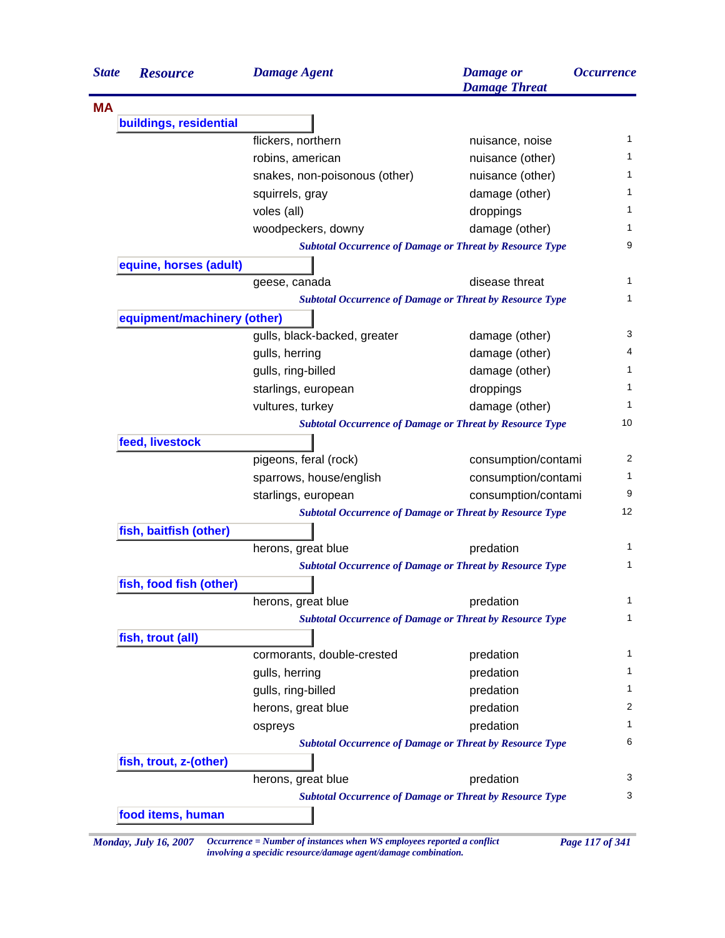| <b>State</b> | <b>Resource</b>             | <b>Damage Agent</b>                                             | <b>Damage</b> or<br><b>Damage Threat</b> | <i><b>Occurrence</b></i> |
|--------------|-----------------------------|-----------------------------------------------------------------|------------------------------------------|--------------------------|
| <b>MA</b>    |                             |                                                                 |                                          |                          |
|              | buildings, residential      |                                                                 |                                          |                          |
|              |                             | flickers, northern                                              | nuisance, noise                          | 1                        |
|              |                             | robins, american                                                | nuisance (other)                         | 1.                       |
|              |                             | snakes, non-poisonous (other)                                   | nuisance (other)                         | 1                        |
|              |                             | squirrels, gray                                                 | damage (other)                           | 1                        |
|              |                             | voles (all)                                                     | droppings                                | 1                        |
|              |                             | woodpeckers, downy                                              | damage (other)                           | 1.                       |
|              |                             | <b>Subtotal Occurrence of Damage or Threat by Resource Type</b> |                                          | 9                        |
|              | equine, horses (adult)      |                                                                 |                                          |                          |
|              |                             | geese, canada                                                   | disease threat                           | 1                        |
|              |                             | <b>Subtotal Occurrence of Damage or Threat by Resource Type</b> |                                          |                          |
|              | equipment/machinery (other) |                                                                 |                                          |                          |
|              |                             | gulls, black-backed, greater                                    | damage (other)                           | 3                        |
|              |                             | gulls, herring                                                  | damage (other)                           | 4                        |
|              |                             | gulls, ring-billed                                              | damage (other)                           |                          |
|              |                             | starlings, european                                             | droppings                                |                          |
|              |                             | vultures, turkey                                                | damage (other)                           |                          |
|              |                             | <b>Subtotal Occurrence of Damage or Threat by Resource Type</b> |                                          | 10                       |
|              | feed, livestock             |                                                                 |                                          |                          |
|              |                             | pigeons, feral (rock)                                           | consumption/contami                      | 2                        |
|              |                             | sparrows, house/english                                         | consumption/contami                      |                          |
|              |                             | starlings, european                                             | consumption/contami                      | 9                        |
|              |                             | <b>Subtotal Occurrence of Damage or Threat by Resource Type</b> |                                          | 12                       |
|              | fish, baitfish (other)      |                                                                 |                                          |                          |
|              |                             | herons, great blue                                              | predation                                |                          |
|              |                             | <b>Subtotal Occurrence of Damage or Threat by Resource Type</b> |                                          |                          |
|              | fish, food fish (other)     |                                                                 |                                          |                          |
|              |                             | herons, great blue                                              | predation                                |                          |
|              |                             | <b>Subtotal Occurrence of Damage or Threat by Resource Type</b> |                                          |                          |
|              | fish, trout (all)           |                                                                 |                                          |                          |
|              |                             | cormorants, double-crested                                      | predation                                |                          |
|              |                             | gulls, herring                                                  | predation                                |                          |
|              |                             | gulls, ring-billed                                              | predation                                |                          |
|              |                             |                                                                 |                                          |                          |
|              |                             | herons, great blue                                              | predation                                |                          |
|              |                             | ospreys                                                         | predation                                |                          |
|              |                             | <b>Subtotal Occurrence of Damage or Threat by Resource Type</b> |                                          |                          |
|              | fish, trout, z-(other)      |                                                                 |                                          |                          |
|              |                             | herons, great blue                                              | predation                                |                          |
|              |                             | <b>Subtotal Occurrence of Damage or Threat by Resource Type</b> |                                          |                          |
|              | food items, human           |                                                                 |                                          |                          |

*Monday, July 16, 2007 Occurrence = Number of instances when WS employees reported a conflict Page 117 of 341 involving a specidic resource/damage agent/damage combination.*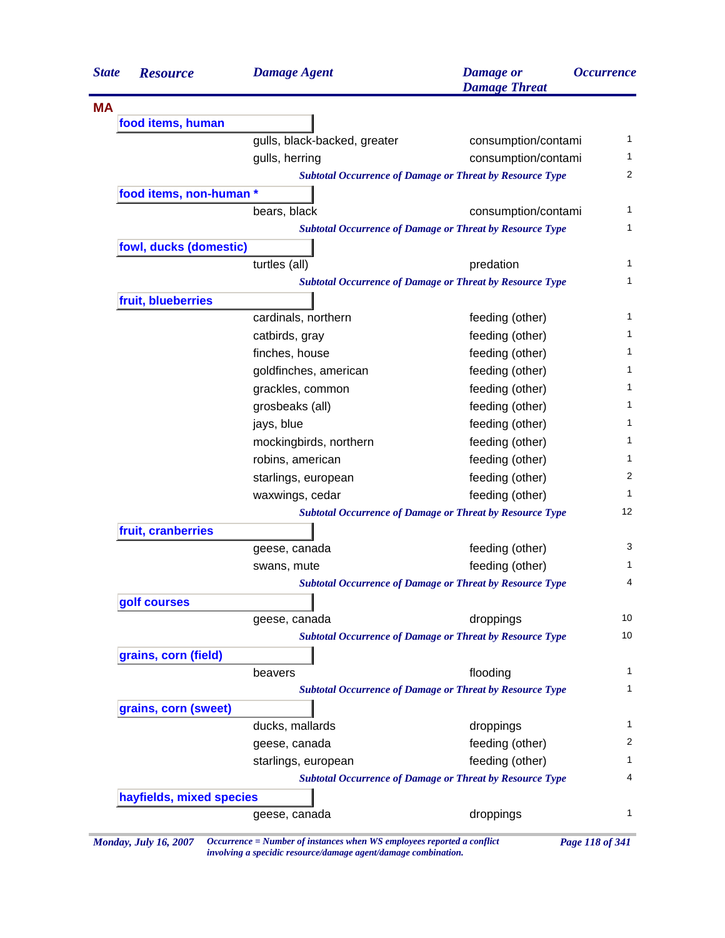| <b>State</b> | <b>Resource</b>          | <b>Damage Agent</b>          | <b>Damage</b> or<br><b>Damage Threat</b>                        | <i><b>Occurrence</b></i> |
|--------------|--------------------------|------------------------------|-----------------------------------------------------------------|--------------------------|
| <b>MA</b>    |                          |                              |                                                                 |                          |
|              | food items, human        |                              |                                                                 |                          |
|              |                          | gulls, black-backed, greater | consumption/contami                                             |                          |
|              |                          | gulls, herring               | consumption/contami                                             |                          |
|              |                          |                              | <b>Subtotal Occurrence of Damage or Threat by Resource Type</b> |                          |
|              | food items, non-human *  |                              |                                                                 |                          |
|              |                          | bears, black                 | consumption/contami                                             |                          |
|              |                          |                              | <b>Subtotal Occurrence of Damage or Threat by Resource Type</b> |                          |
|              | fowl, ducks (domestic)   |                              |                                                                 |                          |
|              |                          | turtles (all)                | predation                                                       |                          |
|              |                          |                              | <b>Subtotal Occurrence of Damage or Threat by Resource Type</b> |                          |
|              | fruit, blueberries       |                              |                                                                 |                          |
|              |                          | cardinals, northern          | feeding (other)                                                 |                          |
|              |                          | catbirds, gray               | feeding (other)                                                 |                          |
|              |                          | finches, house               | feeding (other)                                                 |                          |
|              |                          | goldfinches, american        | feeding (other)                                                 |                          |
|              |                          | grackles, common             | feeding (other)                                                 |                          |
|              |                          | grosbeaks (all)              | feeding (other)                                                 |                          |
|              |                          | jays, blue                   | feeding (other)                                                 |                          |
|              |                          | mockingbirds, northern       | feeding (other)                                                 |                          |
|              |                          | robins, american             | feeding (other)                                                 |                          |
|              |                          | starlings, european          | feeding (other)                                                 |                          |
|              |                          | waxwings, cedar              | feeding (other)                                                 |                          |
|              |                          |                              | <b>Subtotal Occurrence of Damage or Threat by Resource Type</b> | 12                       |
|              | fruit, cranberries       |                              |                                                                 |                          |
|              |                          | geese, canada                | feeding (other)                                                 |                          |
|              |                          | swans, mute                  | feeding (other)                                                 |                          |
|              |                          |                              | <b>Subtotal Occurrence of Damage or Threat by Resource Type</b> |                          |
|              | golf courses             |                              |                                                                 |                          |
|              |                          | geese, canada                | droppings                                                       | 10                       |
|              |                          |                              | <b>Subtotal Occurrence of Damage or Threat by Resource Type</b> | 10                       |
|              | grains, corn (field)     |                              |                                                                 |                          |
|              |                          | beavers                      | flooding                                                        |                          |
|              |                          |                              | <b>Subtotal Occurrence of Damage or Threat by Resource Type</b> |                          |
|              | grains, corn (sweet)     |                              |                                                                 |                          |
|              |                          | ducks, mallards              | droppings                                                       |                          |
|              |                          | geese, canada                | feeding (other)                                                 |                          |
|              |                          | starlings, european          | feeding (other)                                                 |                          |
|              |                          |                              | <b>Subtotal Occurrence of Damage or Threat by Resource Type</b> |                          |
|              | hayfields, mixed species |                              |                                                                 |                          |
|              |                          | geese, canada                | droppings                                                       |                          |

*involving a specidic resource/damage agent/damage combination.*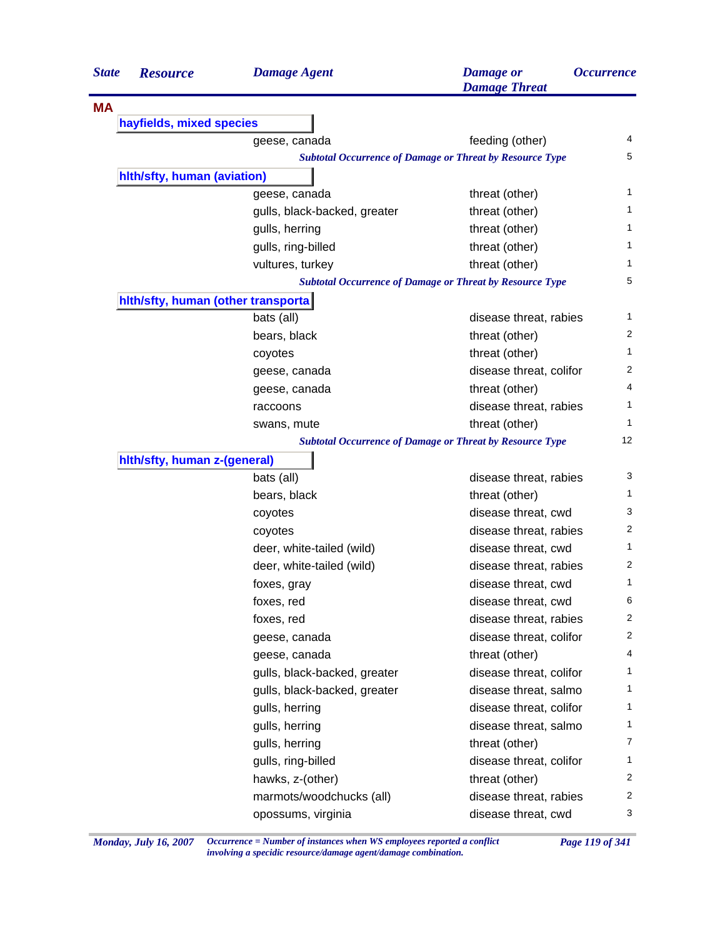| <b>State</b> | <b>Resource</b>                     | <b>Damage Agent</b>          | <b>Damage</b> or<br><b>Damage Threat</b>                        | <i><b>Occurrence</b></i> |
|--------------|-------------------------------------|------------------------------|-----------------------------------------------------------------|--------------------------|
| <b>MA</b>    |                                     |                              |                                                                 |                          |
|              | hayfields, mixed species            |                              |                                                                 |                          |
|              |                                     | geese, canada                | feeding (other)                                                 | 4                        |
|              |                                     |                              | <b>Subtotal Occurrence of Damage or Threat by Resource Type</b> | 5                        |
|              | hith/sfty, human (aviation)         |                              |                                                                 |                          |
|              |                                     | geese, canada                | threat (other)                                                  | 1                        |
|              |                                     | gulls, black-backed, greater | threat (other)                                                  | 1                        |
|              |                                     | gulls, herring               | threat (other)                                                  | 1                        |
|              |                                     | gulls, ring-billed           | threat (other)                                                  | 1                        |
|              |                                     | vultures, turkey             | threat (other)                                                  | 1                        |
|              |                                     |                              | <b>Subtotal Occurrence of Damage or Threat by Resource Type</b> | 5                        |
|              | hith/sfty, human (other transporta) |                              |                                                                 |                          |
|              |                                     | bats (all)                   | disease threat, rabies                                          | 1                        |
|              |                                     | bears, black                 | threat (other)                                                  | 2                        |
|              |                                     | coyotes                      | threat (other)                                                  | 1                        |
|              |                                     | geese, canada                | disease threat, colifor                                         | 2                        |
|              |                                     | geese, canada                | threat (other)                                                  | 4                        |
|              |                                     | raccoons                     | disease threat, rabies                                          | 1                        |
|              |                                     | swans, mute                  | threat (other)                                                  | 1                        |
|              |                                     |                              | <b>Subtotal Occurrence of Damage or Threat by Resource Type</b> | 12                       |
|              | hith/sfty, human z-(general)        |                              |                                                                 |                          |
|              |                                     | bats (all)                   | disease threat, rabies                                          | 3                        |
|              |                                     | bears, black                 | threat (other)                                                  | 1                        |
|              |                                     | coyotes                      | disease threat, cwd                                             | 3                        |
|              |                                     | coyotes                      | disease threat, rabies                                          | $\overline{c}$           |
|              |                                     | deer, white-tailed (wild)    | disease threat, cwd                                             | 1                        |
|              |                                     | deer, white-tailed (wild)    | disease threat, rabies                                          | 2                        |
|              |                                     | foxes, gray                  | disease threat, cwd                                             | 1                        |
|              |                                     | foxes, red                   | disease threat, cwd                                             | 6                        |
|              |                                     | foxes, red                   | disease threat, rabies                                          | $\overline{2}$           |
|              |                                     | geese, canada                | disease threat, colifor                                         | 2                        |
|              |                                     | geese, canada                | threat (other)                                                  | 4                        |
|              |                                     | gulls, black-backed, greater | disease threat, colifor                                         | 1                        |
|              |                                     | gulls, black-backed, greater | disease threat, salmo                                           | 1                        |
|              |                                     | gulls, herring               | disease threat, colifor                                         | 1                        |
|              |                                     | gulls, herring               | disease threat, salmo                                           | $\mathbf{1}$             |
|              |                                     | gulls, herring               | threat (other)                                                  | 7                        |
|              |                                     | gulls, ring-billed           | disease threat, colifor                                         | $\mathbf{1}$             |
|              |                                     | hawks, z-(other)             | threat (other)                                                  | 2                        |
|              |                                     | marmots/woodchucks (all)     | disease threat, rabies                                          | 2                        |
|              |                                     | opossums, virginia           | disease threat, cwd                                             | 3                        |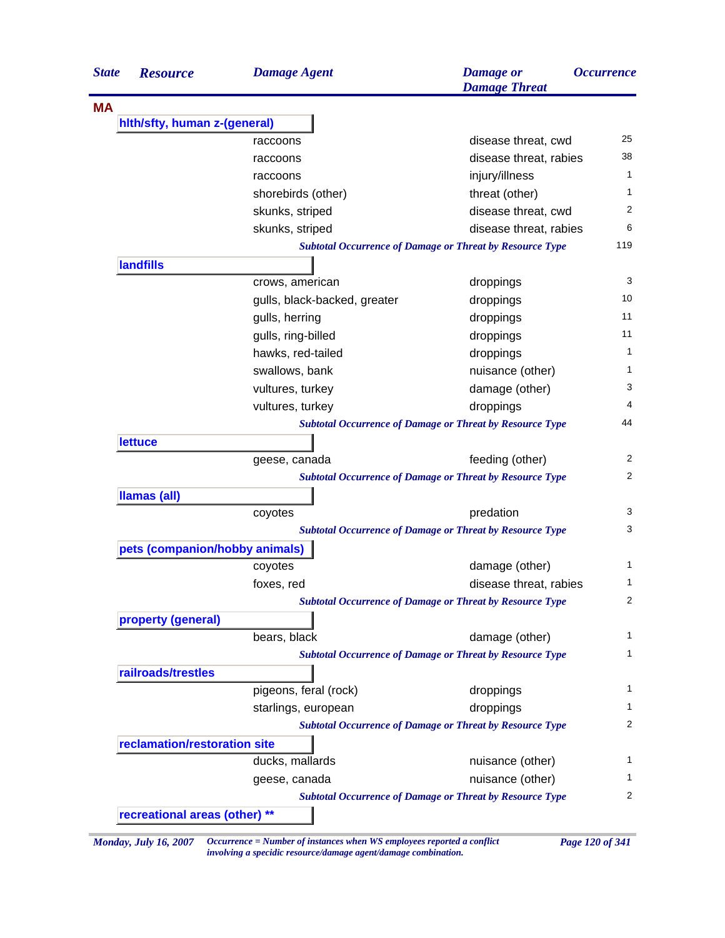| <b>MA</b><br>hith/sfty, human z-(general)<br>disease threat, cwd<br>raccoons<br>disease threat, rabies<br>raccoons<br>injury/illness<br>raccoons<br>threat (other)<br>shorebirds (other)<br>disease threat, cwd<br>skunks, striped<br>skunks, striped<br>disease threat, rabies<br><b>Subtotal Occurrence of Damage or Threat by Resource Type</b><br><b>landfills</b><br>crows, american<br>droppings<br>gulls, black-backed, greater<br>droppings<br>gulls, herring<br>droppings<br>gulls, ring-billed<br>droppings<br>hawks, red-tailed<br>droppings<br>swallows, bank<br>nuisance (other)<br>damage (other)<br>vultures, turkey<br>vultures, turkey<br>droppings<br><b>Subtotal Occurrence of Damage or Threat by Resource Type</b><br><b>lettuce</b><br>feeding (other)<br>geese, canada<br><b>Subtotal Occurrence of Damage or Threat by Resource Type</b><br>Ilamas (all)<br>predation<br>coyotes<br><b>Subtotal Occurrence of Damage or Threat by Resource Type</b><br>pets (companion/hobby animals)<br>damage (other)<br>coyotes<br>disease threat, rabies<br>foxes, red<br><b>Subtotal Occurrence of Damage or Threat by Resource Type</b><br>property (general)<br>bears, black<br>damage (other)<br><b>Subtotal Occurrence of Damage or Threat by Resource Type</b><br>railroads/trestles<br>pigeons, feral (rock)<br>droppings<br>droppings<br>starlings, european<br><b>Subtotal Occurrence of Damage or Threat by Resource Type</b><br>reclamation/restoration site<br>ducks, mallards<br>nuisance (other)<br>geese, canada<br>nuisance (other)<br><b>Subtotal Occurrence of Damage or Threat by Resource Type</b><br>recreational areas (other) **<br>Occurrence = Number of instances when WS employees reported a conflict<br>Page 120 of 341<br><b>Monday, July 16, 2007</b> | <b>State</b> | <b>Resource</b> | <b>Damage Agent</b> | <b>Damage</b> or<br><b>Damage Threat</b> | <b>Occurrence</b> |
|--------------------------------------------------------------------------------------------------------------------------------------------------------------------------------------------------------------------------------------------------------------------------------------------------------------------------------------------------------------------------------------------------------------------------------------------------------------------------------------------------------------------------------------------------------------------------------------------------------------------------------------------------------------------------------------------------------------------------------------------------------------------------------------------------------------------------------------------------------------------------------------------------------------------------------------------------------------------------------------------------------------------------------------------------------------------------------------------------------------------------------------------------------------------------------------------------------------------------------------------------------------------------------------------------------------------------------------------------------------------------------------------------------------------------------------------------------------------------------------------------------------------------------------------------------------------------------------------------------------------------------------------------------------------------------------------------------------------------------------------------------------------------------------------------|--------------|-----------------|---------------------|------------------------------------------|-------------------|
|                                                                                                                                                                                                                                                                                                                                                                                                                                                                                                                                                                                                                                                                                                                                                                                                                                                                                                                                                                                                                                                                                                                                                                                                                                                                                                                                                                                                                                                                                                                                                                                                                                                                                                                                                                                                  |              |                 |                     |                                          |                   |
|                                                                                                                                                                                                                                                                                                                                                                                                                                                                                                                                                                                                                                                                                                                                                                                                                                                                                                                                                                                                                                                                                                                                                                                                                                                                                                                                                                                                                                                                                                                                                                                                                                                                                                                                                                                                  |              |                 |                     |                                          |                   |
|                                                                                                                                                                                                                                                                                                                                                                                                                                                                                                                                                                                                                                                                                                                                                                                                                                                                                                                                                                                                                                                                                                                                                                                                                                                                                                                                                                                                                                                                                                                                                                                                                                                                                                                                                                                                  |              |                 |                     |                                          |                   |
|                                                                                                                                                                                                                                                                                                                                                                                                                                                                                                                                                                                                                                                                                                                                                                                                                                                                                                                                                                                                                                                                                                                                                                                                                                                                                                                                                                                                                                                                                                                                                                                                                                                                                                                                                                                                  |              |                 |                     |                                          |                   |
|                                                                                                                                                                                                                                                                                                                                                                                                                                                                                                                                                                                                                                                                                                                                                                                                                                                                                                                                                                                                                                                                                                                                                                                                                                                                                                                                                                                                                                                                                                                                                                                                                                                                                                                                                                                                  |              |                 |                     |                                          |                   |
|                                                                                                                                                                                                                                                                                                                                                                                                                                                                                                                                                                                                                                                                                                                                                                                                                                                                                                                                                                                                                                                                                                                                                                                                                                                                                                                                                                                                                                                                                                                                                                                                                                                                                                                                                                                                  |              |                 |                     |                                          |                   |
|                                                                                                                                                                                                                                                                                                                                                                                                                                                                                                                                                                                                                                                                                                                                                                                                                                                                                                                                                                                                                                                                                                                                                                                                                                                                                                                                                                                                                                                                                                                                                                                                                                                                                                                                                                                                  |              |                 |                     |                                          |                   |
|                                                                                                                                                                                                                                                                                                                                                                                                                                                                                                                                                                                                                                                                                                                                                                                                                                                                                                                                                                                                                                                                                                                                                                                                                                                                                                                                                                                                                                                                                                                                                                                                                                                                                                                                                                                                  |              |                 |                     |                                          |                   |
|                                                                                                                                                                                                                                                                                                                                                                                                                                                                                                                                                                                                                                                                                                                                                                                                                                                                                                                                                                                                                                                                                                                                                                                                                                                                                                                                                                                                                                                                                                                                                                                                                                                                                                                                                                                                  |              |                 |                     |                                          | 119               |
|                                                                                                                                                                                                                                                                                                                                                                                                                                                                                                                                                                                                                                                                                                                                                                                                                                                                                                                                                                                                                                                                                                                                                                                                                                                                                                                                                                                                                                                                                                                                                                                                                                                                                                                                                                                                  |              |                 |                     |                                          |                   |
|                                                                                                                                                                                                                                                                                                                                                                                                                                                                                                                                                                                                                                                                                                                                                                                                                                                                                                                                                                                                                                                                                                                                                                                                                                                                                                                                                                                                                                                                                                                                                                                                                                                                                                                                                                                                  |              |                 |                     |                                          |                   |
|                                                                                                                                                                                                                                                                                                                                                                                                                                                                                                                                                                                                                                                                                                                                                                                                                                                                                                                                                                                                                                                                                                                                                                                                                                                                                                                                                                                                                                                                                                                                                                                                                                                                                                                                                                                                  |              |                 |                     |                                          |                   |
|                                                                                                                                                                                                                                                                                                                                                                                                                                                                                                                                                                                                                                                                                                                                                                                                                                                                                                                                                                                                                                                                                                                                                                                                                                                                                                                                                                                                                                                                                                                                                                                                                                                                                                                                                                                                  |              |                 |                     |                                          |                   |
|                                                                                                                                                                                                                                                                                                                                                                                                                                                                                                                                                                                                                                                                                                                                                                                                                                                                                                                                                                                                                                                                                                                                                                                                                                                                                                                                                                                                                                                                                                                                                                                                                                                                                                                                                                                                  |              |                 |                     |                                          |                   |
|                                                                                                                                                                                                                                                                                                                                                                                                                                                                                                                                                                                                                                                                                                                                                                                                                                                                                                                                                                                                                                                                                                                                                                                                                                                                                                                                                                                                                                                                                                                                                                                                                                                                                                                                                                                                  |              |                 |                     |                                          |                   |
|                                                                                                                                                                                                                                                                                                                                                                                                                                                                                                                                                                                                                                                                                                                                                                                                                                                                                                                                                                                                                                                                                                                                                                                                                                                                                                                                                                                                                                                                                                                                                                                                                                                                                                                                                                                                  |              |                 |                     |                                          |                   |
|                                                                                                                                                                                                                                                                                                                                                                                                                                                                                                                                                                                                                                                                                                                                                                                                                                                                                                                                                                                                                                                                                                                                                                                                                                                                                                                                                                                                                                                                                                                                                                                                                                                                                                                                                                                                  |              |                 |                     |                                          |                   |
|                                                                                                                                                                                                                                                                                                                                                                                                                                                                                                                                                                                                                                                                                                                                                                                                                                                                                                                                                                                                                                                                                                                                                                                                                                                                                                                                                                                                                                                                                                                                                                                                                                                                                                                                                                                                  |              |                 |                     |                                          |                   |
|                                                                                                                                                                                                                                                                                                                                                                                                                                                                                                                                                                                                                                                                                                                                                                                                                                                                                                                                                                                                                                                                                                                                                                                                                                                                                                                                                                                                                                                                                                                                                                                                                                                                                                                                                                                                  |              |                 |                     |                                          |                   |
|                                                                                                                                                                                                                                                                                                                                                                                                                                                                                                                                                                                                                                                                                                                                                                                                                                                                                                                                                                                                                                                                                                                                                                                                                                                                                                                                                                                                                                                                                                                                                                                                                                                                                                                                                                                                  |              |                 |                     |                                          |                   |
|                                                                                                                                                                                                                                                                                                                                                                                                                                                                                                                                                                                                                                                                                                                                                                                                                                                                                                                                                                                                                                                                                                                                                                                                                                                                                                                                                                                                                                                                                                                                                                                                                                                                                                                                                                                                  |              |                 |                     |                                          |                   |
|                                                                                                                                                                                                                                                                                                                                                                                                                                                                                                                                                                                                                                                                                                                                                                                                                                                                                                                                                                                                                                                                                                                                                                                                                                                                                                                                                                                                                                                                                                                                                                                                                                                                                                                                                                                                  |              |                 |                     |                                          |                   |
|                                                                                                                                                                                                                                                                                                                                                                                                                                                                                                                                                                                                                                                                                                                                                                                                                                                                                                                                                                                                                                                                                                                                                                                                                                                                                                                                                                                                                                                                                                                                                                                                                                                                                                                                                                                                  |              |                 |                     |                                          |                   |
|                                                                                                                                                                                                                                                                                                                                                                                                                                                                                                                                                                                                                                                                                                                                                                                                                                                                                                                                                                                                                                                                                                                                                                                                                                                                                                                                                                                                                                                                                                                                                                                                                                                                                                                                                                                                  |              |                 |                     |                                          |                   |
|                                                                                                                                                                                                                                                                                                                                                                                                                                                                                                                                                                                                                                                                                                                                                                                                                                                                                                                                                                                                                                                                                                                                                                                                                                                                                                                                                                                                                                                                                                                                                                                                                                                                                                                                                                                                  |              |                 |                     |                                          |                   |
|                                                                                                                                                                                                                                                                                                                                                                                                                                                                                                                                                                                                                                                                                                                                                                                                                                                                                                                                                                                                                                                                                                                                                                                                                                                                                                                                                                                                                                                                                                                                                                                                                                                                                                                                                                                                  |              |                 |                     |                                          |                   |
|                                                                                                                                                                                                                                                                                                                                                                                                                                                                                                                                                                                                                                                                                                                                                                                                                                                                                                                                                                                                                                                                                                                                                                                                                                                                                                                                                                                                                                                                                                                                                                                                                                                                                                                                                                                                  |              |                 |                     |                                          |                   |
|                                                                                                                                                                                                                                                                                                                                                                                                                                                                                                                                                                                                                                                                                                                                                                                                                                                                                                                                                                                                                                                                                                                                                                                                                                                                                                                                                                                                                                                                                                                                                                                                                                                                                                                                                                                                  |              |                 |                     |                                          |                   |
|                                                                                                                                                                                                                                                                                                                                                                                                                                                                                                                                                                                                                                                                                                                                                                                                                                                                                                                                                                                                                                                                                                                                                                                                                                                                                                                                                                                                                                                                                                                                                                                                                                                                                                                                                                                                  |              |                 |                     |                                          |                   |
|                                                                                                                                                                                                                                                                                                                                                                                                                                                                                                                                                                                                                                                                                                                                                                                                                                                                                                                                                                                                                                                                                                                                                                                                                                                                                                                                                                                                                                                                                                                                                                                                                                                                                                                                                                                                  |              |                 |                     |                                          |                   |
|                                                                                                                                                                                                                                                                                                                                                                                                                                                                                                                                                                                                                                                                                                                                                                                                                                                                                                                                                                                                                                                                                                                                                                                                                                                                                                                                                                                                                                                                                                                                                                                                                                                                                                                                                                                                  |              |                 |                     |                                          |                   |
|                                                                                                                                                                                                                                                                                                                                                                                                                                                                                                                                                                                                                                                                                                                                                                                                                                                                                                                                                                                                                                                                                                                                                                                                                                                                                                                                                                                                                                                                                                                                                                                                                                                                                                                                                                                                  |              |                 |                     |                                          |                   |
|                                                                                                                                                                                                                                                                                                                                                                                                                                                                                                                                                                                                                                                                                                                                                                                                                                                                                                                                                                                                                                                                                                                                                                                                                                                                                                                                                                                                                                                                                                                                                                                                                                                                                                                                                                                                  |              |                 |                     |                                          |                   |
|                                                                                                                                                                                                                                                                                                                                                                                                                                                                                                                                                                                                                                                                                                                                                                                                                                                                                                                                                                                                                                                                                                                                                                                                                                                                                                                                                                                                                                                                                                                                                                                                                                                                                                                                                                                                  |              |                 |                     |                                          |                   |
|                                                                                                                                                                                                                                                                                                                                                                                                                                                                                                                                                                                                                                                                                                                                                                                                                                                                                                                                                                                                                                                                                                                                                                                                                                                                                                                                                                                                                                                                                                                                                                                                                                                                                                                                                                                                  |              |                 |                     |                                          |                   |
|                                                                                                                                                                                                                                                                                                                                                                                                                                                                                                                                                                                                                                                                                                                                                                                                                                                                                                                                                                                                                                                                                                                                                                                                                                                                                                                                                                                                                                                                                                                                                                                                                                                                                                                                                                                                  |              |                 |                     |                                          |                   |
|                                                                                                                                                                                                                                                                                                                                                                                                                                                                                                                                                                                                                                                                                                                                                                                                                                                                                                                                                                                                                                                                                                                                                                                                                                                                                                                                                                                                                                                                                                                                                                                                                                                                                                                                                                                                  |              |                 |                     |                                          |                   |
|                                                                                                                                                                                                                                                                                                                                                                                                                                                                                                                                                                                                                                                                                                                                                                                                                                                                                                                                                                                                                                                                                                                                                                                                                                                                                                                                                                                                                                                                                                                                                                                                                                                                                                                                                                                                  |              |                 |                     |                                          |                   |
|                                                                                                                                                                                                                                                                                                                                                                                                                                                                                                                                                                                                                                                                                                                                                                                                                                                                                                                                                                                                                                                                                                                                                                                                                                                                                                                                                                                                                                                                                                                                                                                                                                                                                                                                                                                                  |              |                 |                     |                                          |                   |
|                                                                                                                                                                                                                                                                                                                                                                                                                                                                                                                                                                                                                                                                                                                                                                                                                                                                                                                                                                                                                                                                                                                                                                                                                                                                                                                                                                                                                                                                                                                                                                                                                                                                                                                                                                                                  |              |                 |                     |                                          |                   |
|                                                                                                                                                                                                                                                                                                                                                                                                                                                                                                                                                                                                                                                                                                                                                                                                                                                                                                                                                                                                                                                                                                                                                                                                                                                                                                                                                                                                                                                                                                                                                                                                                                                                                                                                                                                                  |              |                 |                     |                                          |                   |
|                                                                                                                                                                                                                                                                                                                                                                                                                                                                                                                                                                                                                                                                                                                                                                                                                                                                                                                                                                                                                                                                                                                                                                                                                                                                                                                                                                                                                                                                                                                                                                                                                                                                                                                                                                                                  |              |                 |                     |                                          |                   |

*involving a specidic resource/damage agent/damage combination.*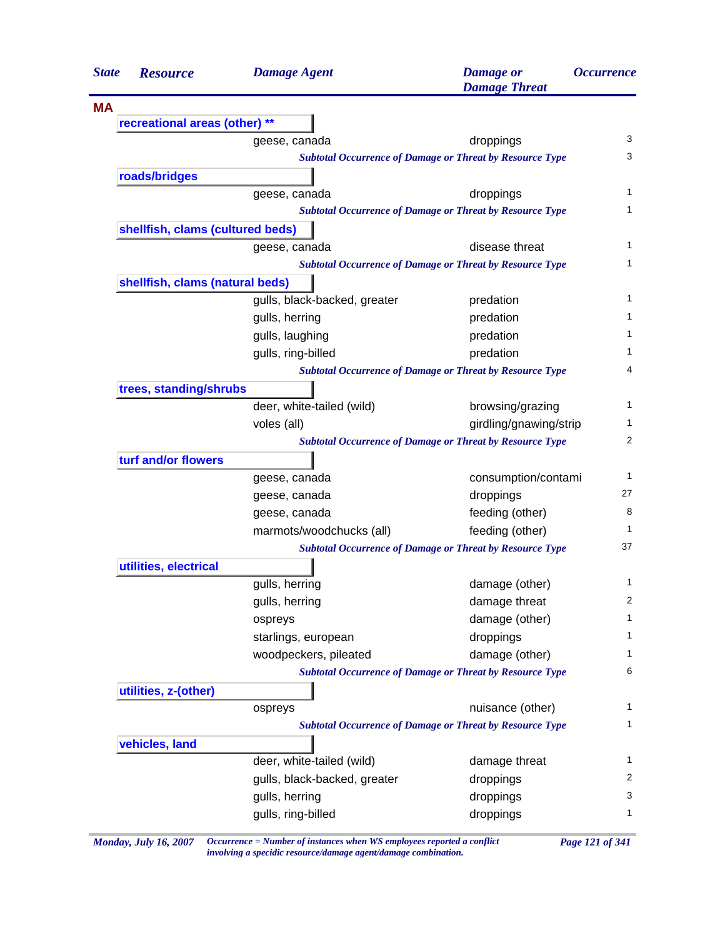| <b>State</b> | <b>Resource</b>                  | <b>Damage Agent</b>          | <b>Damage</b> or<br><b>Damage Threat</b>                        | <i><b>Occurrence</b></i> |
|--------------|----------------------------------|------------------------------|-----------------------------------------------------------------|--------------------------|
| <b>MA</b>    |                                  |                              |                                                                 |                          |
|              | recreational areas (other) **    |                              |                                                                 |                          |
|              |                                  | geese, canada                | droppings                                                       | 3                        |
|              |                                  |                              | <b>Subtotal Occurrence of Damage or Threat by Resource Type</b> | 3                        |
|              | roads/bridges                    |                              |                                                                 |                          |
|              |                                  | geese, canada                | droppings                                                       | 1                        |
|              |                                  |                              | <b>Subtotal Occurrence of Damage or Threat by Resource Type</b> | 1                        |
|              | shellfish, clams (cultured beds) |                              |                                                                 |                          |
|              |                                  | geese, canada                | disease threat                                                  | 1                        |
|              |                                  |                              | <b>Subtotal Occurrence of Damage or Threat by Resource Type</b> | 1                        |
|              | shellfish, clams (natural beds)  |                              |                                                                 |                          |
|              |                                  | gulls, black-backed, greater | predation                                                       | 1                        |
|              |                                  | gulls, herring               | predation                                                       | 1                        |
|              |                                  | gulls, laughing              | predation                                                       | 1                        |
|              |                                  | gulls, ring-billed           | predation                                                       | 1                        |
|              |                                  |                              | <b>Subtotal Occurrence of Damage or Threat by Resource Type</b> | 4                        |
|              | trees, standing/shrubs           |                              |                                                                 |                          |
|              |                                  | deer, white-tailed (wild)    | browsing/grazing                                                | 1                        |
|              |                                  | voles (all)                  | girdling/gnawing/strip                                          | 1                        |
|              |                                  |                              | <b>Subtotal Occurrence of Damage or Threat by Resource Type</b> | 2                        |
|              | turf and/or flowers              |                              |                                                                 |                          |
|              |                                  | geese, canada                | consumption/contami                                             | 1                        |
|              |                                  | geese, canada                | droppings                                                       | 27                       |
|              |                                  | geese, canada                | feeding (other)                                                 | 8                        |
|              |                                  | marmots/woodchucks (all)     | feeding (other)                                                 | 1                        |
|              |                                  |                              | <b>Subtotal Occurrence of Damage or Threat by Resource Type</b> | 37                       |
|              | utilities, electrical            |                              |                                                                 |                          |
|              |                                  | gulls, herring               | damage (other)                                                  | 1                        |
|              |                                  | gulls, herring               | damage threat                                                   | 2                        |
|              |                                  | ospreys                      | damage (other)                                                  | 1                        |
|              |                                  | starlings, european          | droppings                                                       | 1                        |
|              |                                  | woodpeckers, pileated        | damage (other)                                                  | 1                        |
|              |                                  |                              | <b>Subtotal Occurrence of Damage or Threat by Resource Type</b> | 6                        |
|              | utilities, z-(other)             |                              |                                                                 |                          |
|              |                                  | ospreys                      | nuisance (other)                                                | 1                        |
|              |                                  |                              | <b>Subtotal Occurrence of Damage or Threat by Resource Type</b> | 1                        |
|              | vehicles, land                   |                              |                                                                 |                          |
|              |                                  | deer, white-tailed (wild)    | damage threat                                                   | $\mathbf{1}$             |
|              |                                  | gulls, black-backed, greater | droppings                                                       | 2                        |
|              |                                  | gulls, herring               | droppings                                                       | 3                        |
|              |                                  | gulls, ring-billed           | droppings                                                       | 1                        |

*Monday, July 16, 2007 Occurrence = Number of instances when WS employees reported a conflict Page 121 of 341 involving a specidic resource/damage agent/damage combination.*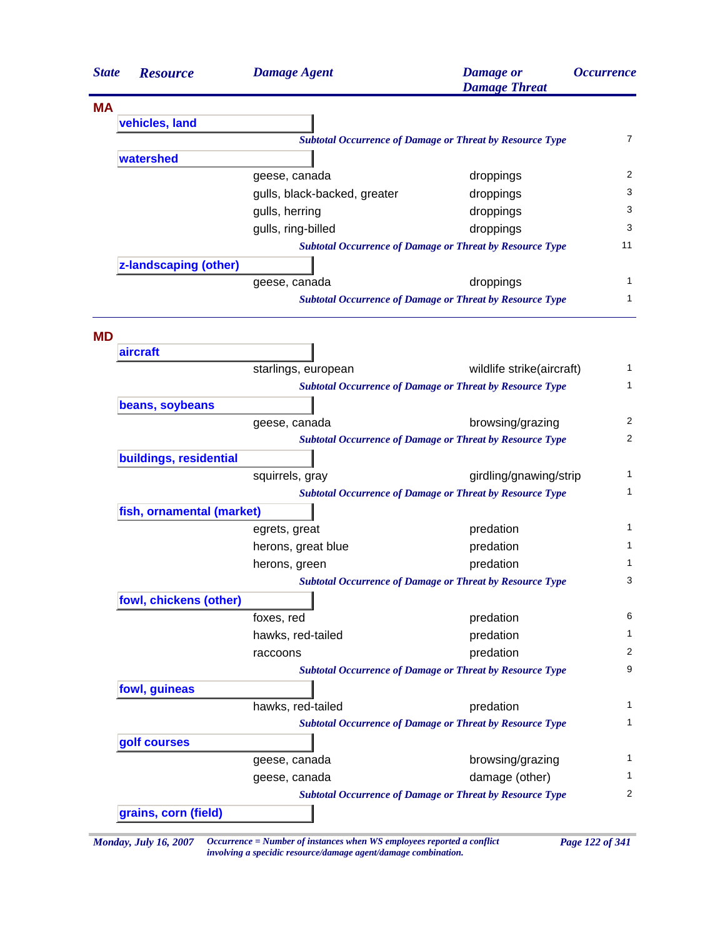| <b>State</b> | <b>Resource</b>           | <b>Damage Agent</b>          | <b>Damage</b> or<br><b>Damage Threat</b>                        | <b>Occurrence</b> |
|--------------|---------------------------|------------------------------|-----------------------------------------------------------------|-------------------|
| ΜA           |                           |                              |                                                                 |                   |
|              | vehicles, land            |                              |                                                                 |                   |
|              |                           |                              | <b>Subtotal Occurrence of Damage or Threat by Resource Type</b> | $\overline{7}$    |
|              | watershed                 |                              |                                                                 |                   |
|              |                           | geese, canada                | droppings                                                       | 2                 |
|              |                           | gulls, black-backed, greater | droppings                                                       | 3                 |
|              |                           | gulls, herring               | droppings                                                       | 3                 |
|              |                           | gulls, ring-billed           | droppings                                                       | 3                 |
|              |                           |                              | <b>Subtotal Occurrence of Damage or Threat by Resource Type</b> | 11                |
|              | z-landscaping (other)     |                              |                                                                 |                   |
|              |                           | geese, canada                | droppings                                                       | 1                 |
|              |                           |                              | <b>Subtotal Occurrence of Damage or Threat by Resource Type</b> | 1                 |
| <b>MD</b>    |                           |                              |                                                                 |                   |
|              | aircraft                  | starlings, european          | wildlife strike(aircraft)                                       | 1                 |
|              |                           |                              | <b>Subtotal Occurrence of Damage or Threat by Resource Type</b> | 1                 |
|              | beans, soybeans           |                              |                                                                 |                   |
|              |                           | geese, canada                | browsing/grazing                                                | 2                 |
|              |                           |                              | <b>Subtotal Occurrence of Damage or Threat by Resource Type</b> | 2                 |
|              | buildings, residential    |                              |                                                                 |                   |
|              |                           | squirrels, gray              | girdling/gnawing/strip                                          | 1                 |
|              |                           |                              | <b>Subtotal Occurrence of Damage or Threat by Resource Type</b> | 1                 |
|              | fish, ornamental (market) |                              |                                                                 |                   |
|              |                           | egrets, great                | predation                                                       | 1                 |
|              |                           | herons, great blue           | predation                                                       | 1                 |
|              |                           | herons, green                | predation                                                       | 1                 |
|              |                           |                              | <b>Subtotal Occurrence of Damage or Threat by Resource Type</b> | 3                 |
|              | fowl, chickens (other)    |                              |                                                                 |                   |
|              |                           | foxes, red                   | predation                                                       | 6                 |
|              |                           | hawks, red-tailed            | predation                                                       | 1                 |
|              |                           | raccoons                     | predation                                                       | 2                 |
|              |                           |                              | <b>Subtotal Occurrence of Damage or Threat by Resource Type</b> | 9                 |
|              | fowl, guineas             |                              |                                                                 |                   |
|              |                           | hawks, red-tailed            | predation                                                       | 1                 |
|              |                           |                              | <b>Subtotal Occurrence of Damage or Threat by Resource Type</b> | 1                 |
|              | golf courses              |                              |                                                                 |                   |
|              |                           | geese, canada                | browsing/grazing                                                | 1                 |
|              |                           | geese, canada                | damage (other)                                                  | 1                 |
|              |                           |                              | <b>Subtotal Occurrence of Damage or Threat by Resource Type</b> | 2                 |
|              | grains, corn (field)      |                              |                                                                 |                   |
|              |                           |                              |                                                                 |                   |

*Monday, July 16, 2007 Occurrence = Number of instances when WS employees reported a conflict Page 122 of 341 involving a specidic resource/damage agent/damage combination.*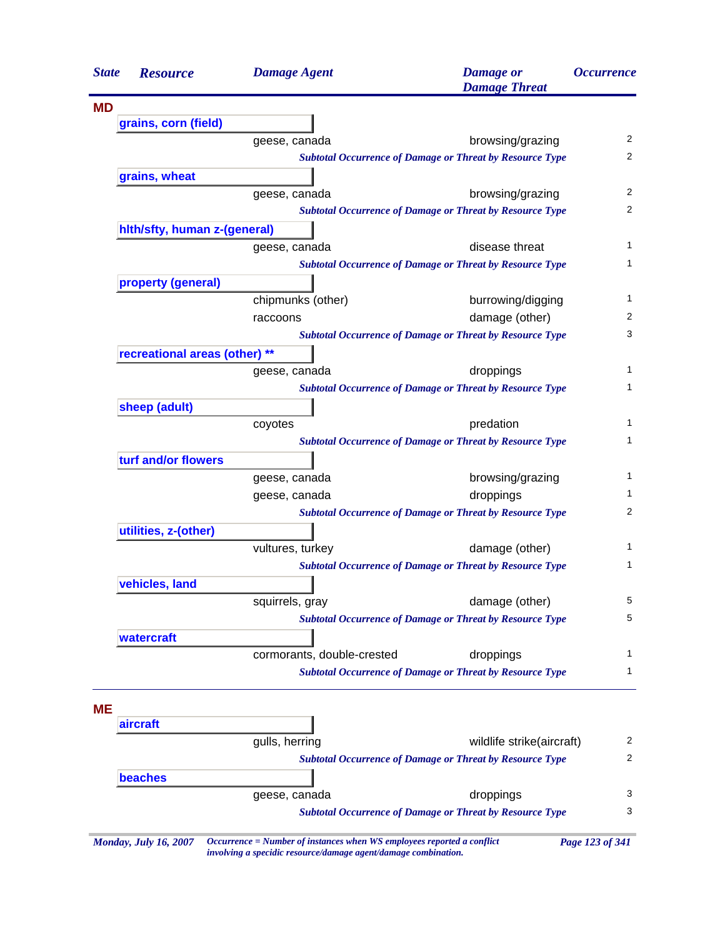| <b>State</b> | <b>Resource</b>               | <b>Damage Agent</b>        | <b>Damage</b> or<br><b>Damage Threat</b>                        | <b>Occurrence</b> |
|--------------|-------------------------------|----------------------------|-----------------------------------------------------------------|-------------------|
| <b>MD</b>    |                               |                            |                                                                 |                   |
|              | grains, corn (field)          |                            |                                                                 |                   |
|              |                               | geese, canada              | browsing/grazing                                                |                   |
|              |                               |                            | <b>Subtotal Occurrence of Damage or Threat by Resource Type</b> |                   |
|              | grains, wheat                 |                            |                                                                 |                   |
|              |                               | geese, canada              | browsing/grazing                                                |                   |
|              |                               |                            | <b>Subtotal Occurrence of Damage or Threat by Resource Type</b> |                   |
|              | hith/sfty, human z-(general)  |                            |                                                                 |                   |
|              |                               | geese, canada              | disease threat                                                  |                   |
|              |                               |                            | <b>Subtotal Occurrence of Damage or Threat by Resource Type</b> |                   |
|              | property (general)            |                            |                                                                 |                   |
|              |                               | chipmunks (other)          | burrowing/digging                                               |                   |
|              |                               | raccoons                   | damage (other)                                                  |                   |
|              |                               |                            | <b>Subtotal Occurrence of Damage or Threat by Resource Type</b> |                   |
|              | recreational areas (other) ** |                            |                                                                 |                   |
|              |                               | geese, canada              | droppings                                                       |                   |
|              |                               |                            | <b>Subtotal Occurrence of Damage or Threat by Resource Type</b> |                   |
|              | sheep (adult)                 |                            |                                                                 |                   |
|              |                               | coyotes                    | predation                                                       |                   |
|              |                               |                            | <b>Subtotal Occurrence of Damage or Threat by Resource Type</b> |                   |
|              | turf and/or flowers           |                            |                                                                 |                   |
|              |                               | geese, canada              | browsing/grazing                                                |                   |
|              |                               | geese, canada              | droppings                                                       |                   |
|              |                               |                            | <b>Subtotal Occurrence of Damage or Threat by Resource Type</b> |                   |
|              | utilities, z-(other)          |                            |                                                                 |                   |
|              |                               | vultures, turkey           | damage (other)                                                  |                   |
|              |                               |                            | <b>Subtotal Occurrence of Damage or Threat by Resource Type</b> |                   |
|              |                               |                            |                                                                 |                   |
|              | vehicles, land                |                            |                                                                 |                   |
|              |                               | squirrels, gray            | damage (other)                                                  |                   |
|              |                               |                            | <b>Subtotal Occurrence of Damage or Threat by Resource Type</b> |                   |
|              | watercraft                    |                            |                                                                 |                   |
|              |                               | cormorants, double-crested | droppings                                                       |                   |
|              |                               |                            | <b>Subtotal Occurrence of Damage or Threat by Resource Type</b> |                   |
|              |                               |                            |                                                                 |                   |
| MЕ           |                               |                            |                                                                 |                   |
|              | aircraft                      |                            |                                                                 |                   |
|              |                               | gulls, herring             | wildlife strike(aircraft)                                       |                   |
|              |                               |                            | <b>Subtotal Occurrence of Damage or Threat by Resource Type</b> |                   |
|              | beaches                       |                            |                                                                 |                   |
|              |                               | geese, canada              | droppings                                                       |                   |
|              |                               |                            | <b>Subtotal Occurrence of Damage or Threat by Resource Type</b> |                   |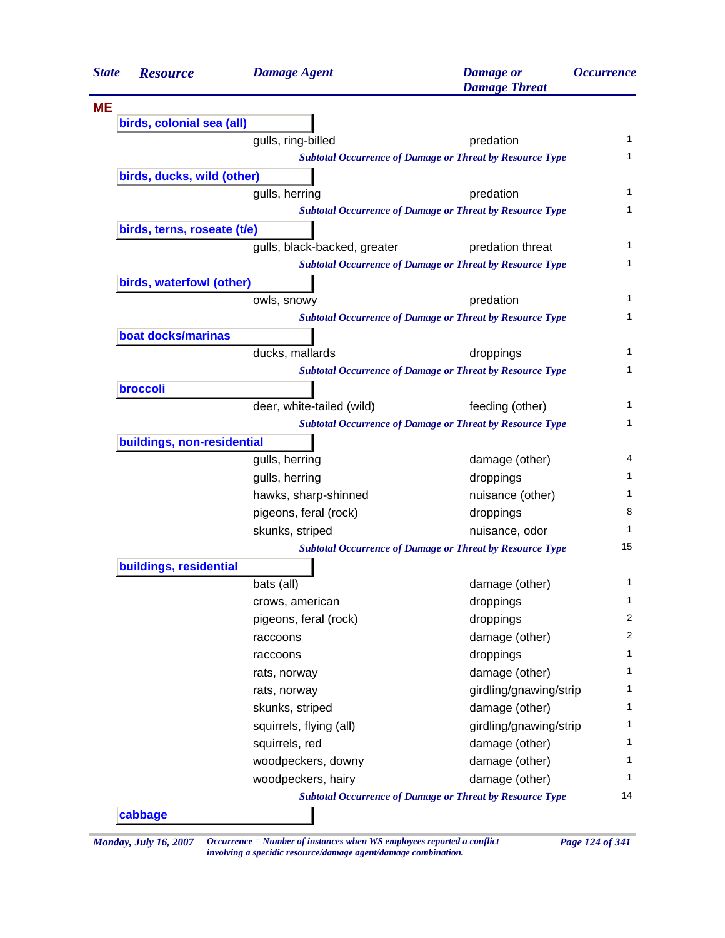| <b>State</b> | <b>Resource</b>             | <b>Damage Agent</b>          | <b>Damage</b> or<br><b>Damage Threat</b>                        | <i><b>Occurrence</b></i> |
|--------------|-----------------------------|------------------------------|-----------------------------------------------------------------|--------------------------|
| <b>ME</b>    |                             |                              |                                                                 |                          |
|              | birds, colonial sea (all)   |                              |                                                                 |                          |
|              |                             | gulls, ring-billed           | predation                                                       | 1                        |
|              |                             |                              | <b>Subtotal Occurrence of Damage or Threat by Resource Type</b> | 1                        |
|              | birds, ducks, wild (other)  |                              |                                                                 |                          |
|              |                             | gulls, herring               | predation                                                       | 1                        |
|              |                             |                              | <b>Subtotal Occurrence of Damage or Threat by Resource Type</b> | 1                        |
|              | birds, terns, roseate (t/e) |                              |                                                                 |                          |
|              |                             | gulls, black-backed, greater | predation threat                                                | 1                        |
|              |                             |                              | <b>Subtotal Occurrence of Damage or Threat by Resource Type</b> | 1                        |
|              | birds, waterfowl (other)    |                              |                                                                 |                          |
|              |                             | owls, snowy                  | predation                                                       | 1                        |
|              |                             |                              | <b>Subtotal Occurrence of Damage or Threat by Resource Type</b> | 1                        |
|              | boat docks/marinas          |                              |                                                                 |                          |
|              |                             | ducks, mallards              | droppings                                                       | 1                        |
|              |                             |                              | <b>Subtotal Occurrence of Damage or Threat by Resource Type</b> | 1                        |
|              | broccoli                    |                              |                                                                 |                          |
|              |                             | deer, white-tailed (wild)    | feeding (other)                                                 | 1                        |
|              |                             |                              | <b>Subtotal Occurrence of Damage or Threat by Resource Type</b> | 1                        |
|              | buildings, non-residential  |                              |                                                                 |                          |
|              |                             | gulls, herring               | damage (other)                                                  | 4                        |
|              |                             | gulls, herring               | droppings                                                       | 1                        |
|              |                             | hawks, sharp-shinned         | nuisance (other)                                                | 1                        |
|              |                             | pigeons, feral (rock)        | droppings                                                       | 8                        |
|              |                             | skunks, striped              | nuisance, odor                                                  | 1                        |
|              |                             |                              | <b>Subtotal Occurrence of Damage or Threat by Resource Type</b> | 15                       |
|              | buildings, residential      |                              |                                                                 |                          |
|              |                             | bats (all)                   | damage (other)                                                  | 1                        |
|              |                             | crows, american              | droppings                                                       | 1                        |
|              |                             | pigeons, feral (rock)        | droppings                                                       | 2                        |
|              |                             | raccoons                     | damage (other)                                                  | 2                        |
|              |                             | raccoons                     | droppings                                                       | 1                        |
|              |                             | rats, norway                 | damage (other)                                                  | 1                        |
|              |                             | rats, norway                 | girdling/gnawing/strip                                          | 1                        |
|              |                             | skunks, striped              | damage (other)                                                  | 1                        |
|              |                             | squirrels, flying (all)      | girdling/gnawing/strip                                          | 1                        |
|              |                             | squirrels, red               | damage (other)                                                  | 1                        |
|              |                             | woodpeckers, downy           | damage (other)                                                  | 1                        |
|              |                             | woodpeckers, hairy           | damage (other)                                                  | 1                        |
|              |                             |                              | <b>Subtotal Occurrence of Damage or Threat by Resource Type</b> | 14                       |

*Monday, July 16, 2007 Occurrence = Number of instances when WS employees reported a conflict Page 124 of 341 involving a specidic resource/damage agent/damage combination.*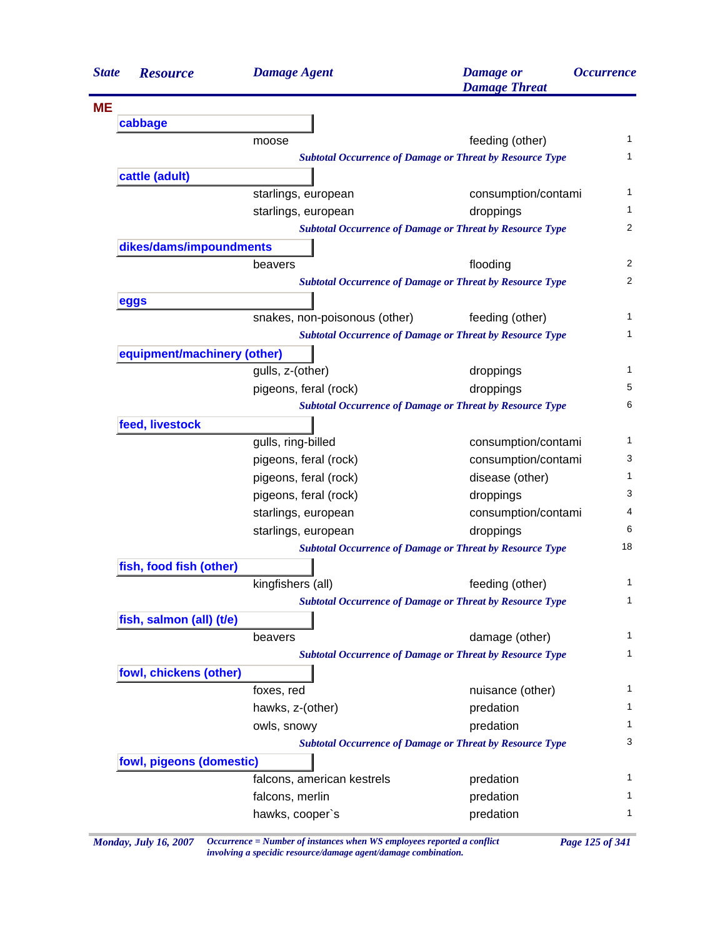| <i><b>Occurrence</b></i> | <b>Damage</b> or<br><b>Damage Threat</b>                        | <b>Damage Agent</b>           | <b>Resource</b>             |
|--------------------------|-----------------------------------------------------------------|-------------------------------|-----------------------------|
|                          |                                                                 |                               |                             |
|                          |                                                                 |                               | cabbage                     |
| 1                        | feeding (other)                                                 |                               | moose                       |
| 1                        | <b>Subtotal Occurrence of Damage or Threat by Resource Type</b> |                               |                             |
|                          |                                                                 |                               | cattle (adult)              |
| 1                        | consumption/contami                                             | starlings, european           |                             |
| 1                        | droppings                                                       | starlings, european           |                             |
| 2                        | <b>Subtotal Occurrence of Damage or Threat by Resource Type</b> |                               |                             |
|                          |                                                                 |                               | dikes/dams/impoundments     |
| 2                        | flooding                                                        | beavers                       |                             |
| 2                        | <b>Subtotal Occurrence of Damage or Threat by Resource Type</b> |                               |                             |
|                          |                                                                 |                               | eggs                        |
| 1                        | feeding (other)                                                 | snakes, non-poisonous (other) |                             |
| 1                        | <b>Subtotal Occurrence of Damage or Threat by Resource Type</b> |                               |                             |
|                          |                                                                 |                               | equipment/machinery (other) |
| 1                        | droppings                                                       | gulls, z-(other)              |                             |
| 5                        | droppings                                                       | pigeons, feral (rock)         |                             |
| 6                        | <b>Subtotal Occurrence of Damage or Threat by Resource Type</b> |                               |                             |
|                          |                                                                 |                               | feed, livestock             |
| 1                        | consumption/contami                                             | gulls, ring-billed            |                             |
| 3                        | consumption/contami                                             | pigeons, feral (rock)         |                             |
| 1                        | disease (other)                                                 | pigeons, feral (rock)         |                             |
| 3                        | droppings                                                       | pigeons, feral (rock)         |                             |
| 4                        | consumption/contami                                             | starlings, european           |                             |
| 6                        | droppings                                                       | starlings, european           |                             |
| 18                       | <b>Subtotal Occurrence of Damage or Threat by Resource Type</b> |                               |                             |
|                          |                                                                 |                               | fish, food fish (other)     |
| 1                        | feeding (other)                                                 | kingfishers (all)             |                             |
| $\mathbf{1}$             | <b>Subtotal Occurrence of Damage or Threat by Resource Type</b> |                               |                             |
|                          |                                                                 |                               | fish, salmon (all) (t/e)    |
| 1                        | damage (other)                                                  | beavers                       |                             |
| 1                        | <b>Subtotal Occurrence of Damage or Threat by Resource Type</b> |                               |                             |
|                          |                                                                 |                               | fowl, chickens (other)      |
| 1                        | nuisance (other)                                                | foxes, red                    |                             |
| 1                        | predation                                                       | hawks, z-(other)              |                             |
| 1                        | predation                                                       | owls, snowy                   |                             |
| 3                        | <b>Subtotal Occurrence of Damage or Threat by Resource Type</b> |                               |                             |
|                          |                                                                 |                               |                             |
| 1                        |                                                                 |                               | fowl, pigeons (domestic)    |
|                          | predation                                                       | falcons, american kestrels    |                             |
| 1<br>1                   | predation                                                       | falcons, merlin               |                             |
|                          | predation                                                       | hawks, cooper's               |                             |

*Monday, July 16, 2007 Occurrence = Number of instances when WS employees reported a conflict Page 125 of 341 involving a specidic resource/damage agent/damage combination.*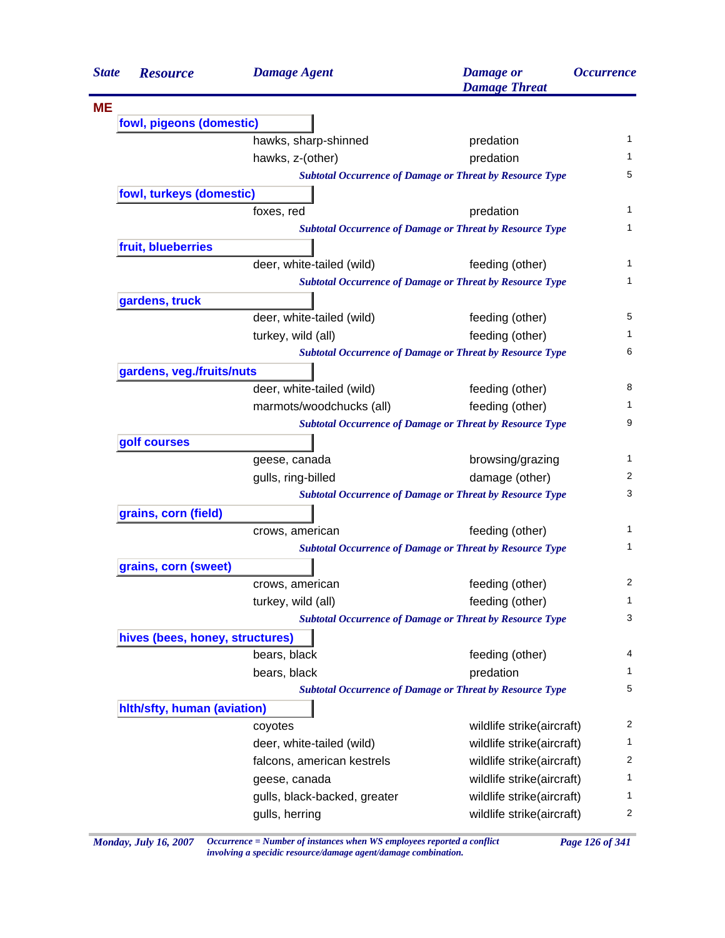| <b>State</b> | <b>Resource</b>                 | <b>Damage Agent</b>          | <b>Damage</b> or<br><b>Damage Threat</b>                        | <i><b>Occurrence</b></i> |
|--------------|---------------------------------|------------------------------|-----------------------------------------------------------------|--------------------------|
| MЕ           |                                 |                              |                                                                 |                          |
|              | fowl, pigeons (domestic)        |                              |                                                                 |                          |
|              |                                 | hawks, sharp-shinned         | predation                                                       | 1                        |
|              |                                 | hawks, z-(other)             | predation                                                       | 1                        |
|              |                                 |                              | <b>Subtotal Occurrence of Damage or Threat by Resource Type</b> | 5                        |
|              | fowl, turkeys (domestic)        |                              |                                                                 |                          |
|              |                                 | foxes, red                   | predation                                                       | 1                        |
|              |                                 |                              | <b>Subtotal Occurrence of Damage or Threat by Resource Type</b> | 1                        |
|              | fruit, blueberries              |                              |                                                                 |                          |
|              |                                 | deer, white-tailed (wild)    | feeding (other)                                                 | 1                        |
|              |                                 |                              | <b>Subtotal Occurrence of Damage or Threat by Resource Type</b> | 1                        |
|              | gardens, truck                  |                              |                                                                 |                          |
|              |                                 | deer, white-tailed (wild)    | feeding (other)                                                 | 5                        |
|              |                                 | turkey, wild (all)           | feeding (other)                                                 | 1                        |
|              |                                 |                              | <b>Subtotal Occurrence of Damage or Threat by Resource Type</b> | 6                        |
|              | gardens, veg./fruits/nuts       |                              |                                                                 |                          |
|              |                                 | deer, white-tailed (wild)    | feeding (other)                                                 | 8                        |
|              |                                 | marmots/woodchucks (all)     | feeding (other)                                                 | 1                        |
|              |                                 |                              | <b>Subtotal Occurrence of Damage or Threat by Resource Type</b> | 9                        |
|              | golf courses                    |                              |                                                                 |                          |
|              |                                 | geese, canada                | browsing/grazing                                                | 1                        |
|              |                                 | gulls, ring-billed           | damage (other)                                                  | 2                        |
|              |                                 |                              | <b>Subtotal Occurrence of Damage or Threat by Resource Type</b> | 3                        |
|              | grains, corn (field)            |                              |                                                                 |                          |
|              |                                 | crows, american              | feeding (other)                                                 | 1                        |
|              |                                 |                              | <b>Subtotal Occurrence of Damage or Threat by Resource Type</b> | 1                        |
|              | grains, corn (sweet)            |                              |                                                                 |                          |
|              |                                 | crows, american              | feeding (other)                                                 | $\overline{c}$           |
|              |                                 | turkey, wild (all)           | feeding (other)                                                 | 1                        |
|              |                                 |                              | <b>Subtotal Occurrence of Damage or Threat by Resource Type</b> | 3                        |
|              | hives (bees, honey, structures) |                              |                                                                 |                          |
|              |                                 | bears, black                 | feeding (other)                                                 | 4                        |
|              |                                 | bears, black                 | predation                                                       | 1                        |
|              |                                 |                              | <b>Subtotal Occurrence of Damage or Threat by Resource Type</b> | 5                        |
|              |                                 |                              |                                                                 |                          |
|              | hith/sfty, human (aviation)     |                              |                                                                 | 2                        |
|              |                                 | coyotes                      | wildlife strike(aircraft)                                       |                          |
|              |                                 | deer, white-tailed (wild)    | wildlife strike(aircraft)                                       | 1<br>2                   |
|              |                                 | falcons, american kestrels   | wildlife strike(aircraft)                                       |                          |
|              |                                 | geese, canada                | wildlife strike(aircraft)                                       | 1                        |
|              |                                 | gulls, black-backed, greater | wildlife strike(aircraft)                                       | 1                        |
|              |                                 | gulls, herring               | wildlife strike(aircraft)                                       | $\overline{c}$           |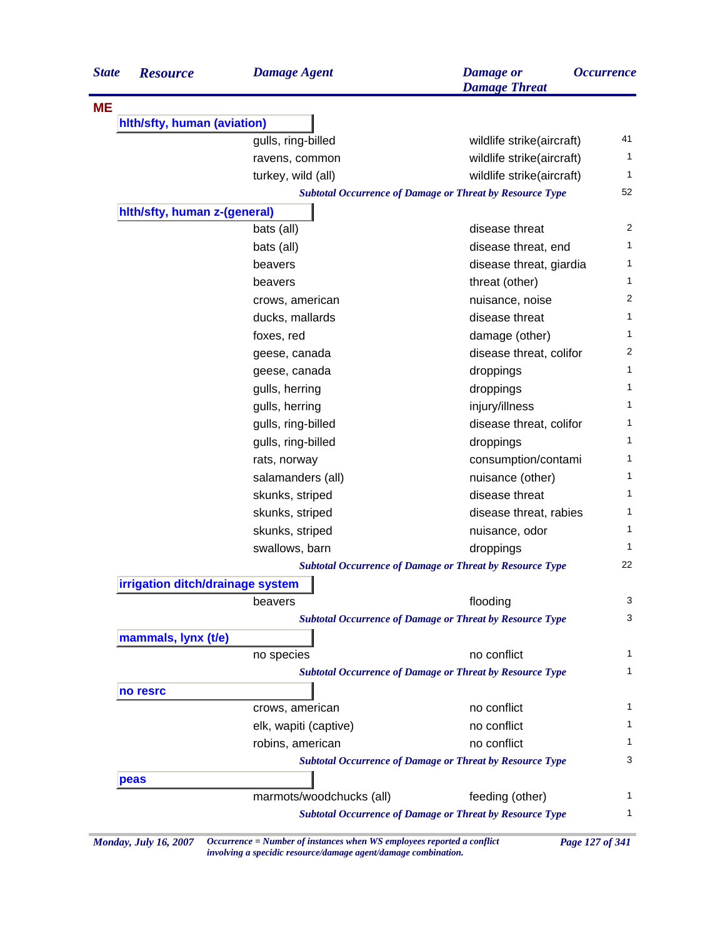| <b>State</b> | <b>Resource</b>                  | <b>Damage Agent</b>      | <b>Damage</b> or<br><b>Damage Threat</b>                        | <i><b>Occurrence</b></i> |
|--------------|----------------------------------|--------------------------|-----------------------------------------------------------------|--------------------------|
| <b>ME</b>    |                                  |                          |                                                                 |                          |
|              | hith/sfty, human (aviation)      |                          |                                                                 |                          |
|              |                                  | gulls, ring-billed       | wildlife strike(aircraft)                                       | 41                       |
|              |                                  | ravens, common           | wildlife strike(aircraft)                                       | 1                        |
|              |                                  | turkey, wild (all)       | wildlife strike(aircraft)                                       | 1                        |
|              |                                  |                          | <b>Subtotal Occurrence of Damage or Threat by Resource Type</b> | 52                       |
|              | hith/sfty, human z-(general)     |                          |                                                                 |                          |
|              |                                  | bats (all)               | disease threat                                                  | 2                        |
|              |                                  | bats (all)               | disease threat, end                                             | $\mathbf{1}$             |
|              |                                  | beavers                  | disease threat, giardia                                         | 1                        |
|              |                                  | beavers                  | threat (other)                                                  | 1                        |
|              |                                  | crows, american          | nuisance, noise                                                 | 2                        |
|              |                                  | ducks, mallards          | disease threat                                                  | 1                        |
|              |                                  | foxes, red               | damage (other)                                                  | 1                        |
|              |                                  | geese, canada            | disease threat, colifor                                         | 2                        |
|              |                                  | geese, canada            | droppings                                                       | 1                        |
|              |                                  | gulls, herring           | droppings                                                       | 1                        |
|              |                                  | gulls, herring           | injury/illness                                                  | 1                        |
|              |                                  | gulls, ring-billed       | disease threat, colifor                                         | 1                        |
|              |                                  | gulls, ring-billed       | droppings                                                       | 1                        |
|              |                                  | rats, norway             | consumption/contami                                             | $\mathbf{1}$             |
|              |                                  | salamanders (all)        | nuisance (other)                                                | 1                        |
|              |                                  | skunks, striped          | disease threat                                                  | 1                        |
|              |                                  | skunks, striped          | disease threat, rabies                                          | 1                        |
|              |                                  | skunks, striped          | nuisance, odor                                                  | 1                        |
|              |                                  | swallows, barn           | droppings                                                       | 1                        |
|              |                                  |                          | <b>Subtotal Occurrence of Damage or Threat by Resource Type</b> | 22                       |
|              | irrigation ditch/drainage system |                          |                                                                 |                          |
|              |                                  | beavers                  | flooding                                                        | 3                        |
|              |                                  |                          | <b>Subtotal Occurrence of Damage or Threat by Resource Type</b> | 3                        |
|              | mammals, lynx (t/e)              |                          |                                                                 |                          |
|              |                                  | no species               | no conflict                                                     | 1                        |
|              |                                  |                          | <b>Subtotal Occurrence of Damage or Threat by Resource Type</b> | 1                        |
|              | no resrc                         |                          |                                                                 |                          |
|              |                                  | crows, american          | no conflict                                                     | 1                        |
|              |                                  | elk, wapiti (captive)    | no conflict                                                     | 1                        |
|              |                                  | robins, american         | no conflict                                                     | 1                        |
|              |                                  |                          | <b>Subtotal Occurrence of Damage or Threat by Resource Type</b> | 3                        |
|              | peas                             |                          |                                                                 |                          |
|              |                                  | marmots/woodchucks (all) | feeding (other)                                                 | 1                        |
|              |                                  |                          | <b>Subtotal Occurrence of Damage or Threat by Resource Type</b> | 1                        |

*Monday, July 16, 2007 Occurrence = Number of instances when WS employees reported a conflict Page 127 of 341 involving a specidic resource/damage agent/damage combination.*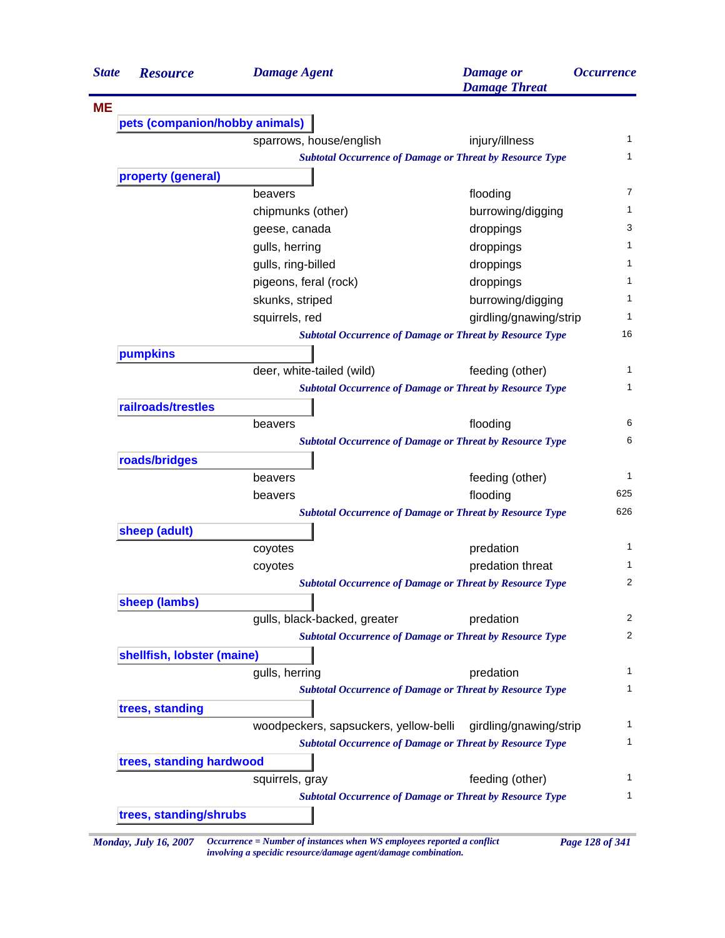| property (general)<br>pumpkins<br>roads/bridges<br>sheep (adult)<br>sheep (lambs) | pets (companion/hobby animals) | sparrows, house/english                                      |                                                                 |     |
|-----------------------------------------------------------------------------------|--------------------------------|--------------------------------------------------------------|-----------------------------------------------------------------|-----|
|                                                                                   |                                |                                                              |                                                                 |     |
|                                                                                   |                                |                                                              |                                                                 |     |
|                                                                                   |                                |                                                              | injury/illness                                                  |     |
|                                                                                   |                                |                                                              | <b>Subtotal Occurrence of Damage or Threat by Resource Type</b> |     |
|                                                                                   |                                |                                                              |                                                                 |     |
|                                                                                   |                                | beavers                                                      | flooding                                                        |     |
|                                                                                   |                                | chipmunks (other)                                            | burrowing/digging                                               |     |
|                                                                                   |                                | geese, canada                                                | droppings                                                       |     |
|                                                                                   |                                | gulls, herring                                               | droppings                                                       |     |
|                                                                                   |                                | gulls, ring-billed                                           | droppings                                                       |     |
|                                                                                   |                                | pigeons, feral (rock)                                        | droppings                                                       |     |
|                                                                                   |                                | skunks, striped                                              | burrowing/digging                                               |     |
|                                                                                   |                                | squirrels, red                                               | girdling/gnawing/strip                                          |     |
|                                                                                   |                                |                                                              | <b>Subtotal Occurrence of Damage or Threat by Resource Type</b> |     |
|                                                                                   |                                |                                                              |                                                                 |     |
|                                                                                   |                                | deer, white-tailed (wild)                                    | feeding (other)                                                 |     |
|                                                                                   |                                |                                                              | <b>Subtotal Occurrence of Damage or Threat by Resource Type</b> |     |
|                                                                                   | railroads/trestles             |                                                              |                                                                 |     |
|                                                                                   |                                | beavers                                                      | flooding                                                        |     |
|                                                                                   |                                |                                                              | <b>Subtotal Occurrence of Damage or Threat by Resource Type</b> |     |
|                                                                                   |                                |                                                              |                                                                 |     |
|                                                                                   |                                | beavers                                                      | feeding (other)                                                 |     |
|                                                                                   |                                | beavers                                                      | flooding                                                        | 625 |
|                                                                                   |                                |                                                              | <b>Subtotal Occurrence of Damage or Threat by Resource Type</b> | 626 |
|                                                                                   |                                |                                                              |                                                                 |     |
|                                                                                   |                                | coyotes                                                      | predation                                                       |     |
|                                                                                   |                                | coyotes                                                      | predation threat                                                |     |
|                                                                                   |                                |                                                              | <b>Subtotal Occurrence of Damage or Threat by Resource Type</b> |     |
|                                                                                   |                                |                                                              |                                                                 |     |
|                                                                                   |                                | gulls, black-backed, greater                                 | predation                                                       |     |
|                                                                                   |                                |                                                              | <b>Subtotal Occurrence of Damage or Threat by Resource Type</b> |     |
|                                                                                   | shellfish, lobster (maine)     |                                                              |                                                                 |     |
|                                                                                   |                                | gulls, herring                                               | predation                                                       |     |
|                                                                                   |                                |                                                              | <b>Subtotal Occurrence of Damage or Threat by Resource Type</b> |     |
| trees, standing                                                                   |                                |                                                              |                                                                 |     |
|                                                                                   |                                | woodpeckers, sapsuckers, yellow-belli girdling/gnawing/strip |                                                                 |     |
|                                                                                   |                                |                                                              | <b>Subtotal Occurrence of Damage or Threat by Resource Type</b> |     |
|                                                                                   |                                |                                                              |                                                                 |     |
|                                                                                   | trees, standing hardwood       |                                                              |                                                                 |     |
|                                                                                   |                                | squirrels, gray                                              | feeding (other)                                                 |     |
|                                                                                   | trees, standing/shrubs         |                                                              | <b>Subtotal Occurrence of Damage or Threat by Resource Type</b> |     |

*involving a specidic resource/damage agent/damage combination.*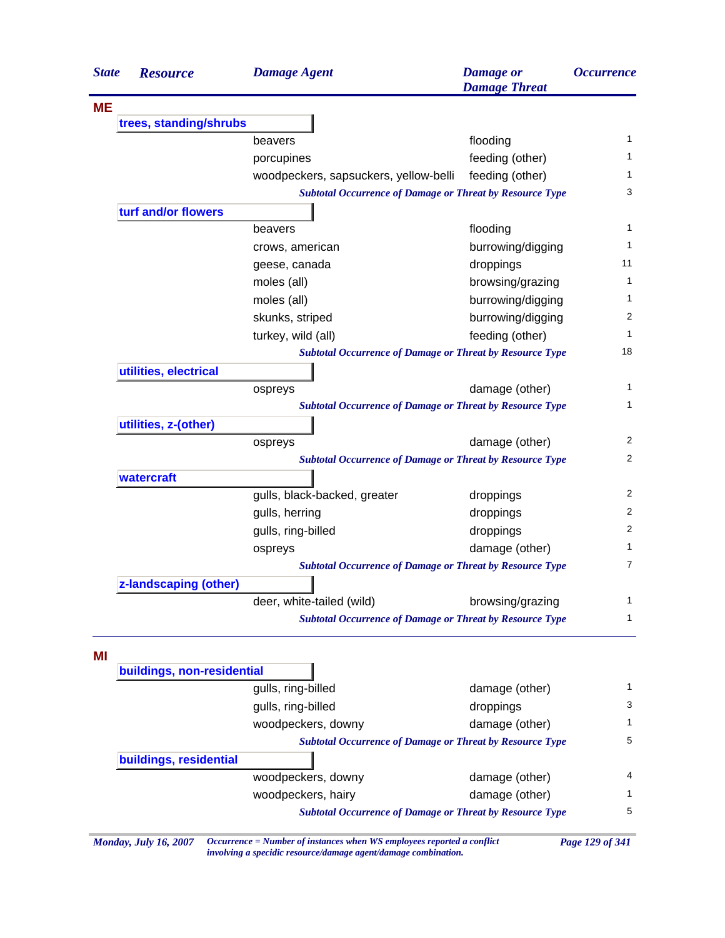| <b>State</b> | <b>Resource</b>                                                 | <b>Damage Agent</b>                                                    | <b>Damage</b> or<br><b>Damage Threat</b> | <i><b>Occurrence</b></i> |
|--------------|-----------------------------------------------------------------|------------------------------------------------------------------------|------------------------------------------|--------------------------|
| <b>ME</b>    |                                                                 |                                                                        |                                          |                          |
|              | trees, standing/shrubs                                          |                                                                        |                                          |                          |
|              |                                                                 | beavers                                                                | flooding                                 | $\mathbf{1}$             |
|              |                                                                 | porcupines                                                             | feeding (other)                          | 1                        |
|              |                                                                 | woodpeckers, sapsuckers, yellow-belli                                  | feeding (other)                          | 1                        |
|              |                                                                 | <b>Subtotal Occurrence of Damage or Threat by Resource Type</b>        |                                          | 3                        |
|              | turf and/or flowers                                             |                                                                        |                                          |                          |
|              |                                                                 | beavers                                                                | flooding                                 | 1                        |
|              |                                                                 | crows, american                                                        | burrowing/digging                        | 1                        |
|              |                                                                 | geese, canada                                                          | droppings                                | 11                       |
|              |                                                                 | moles (all)                                                            | browsing/grazing                         | 1                        |
|              |                                                                 | moles (all)                                                            | burrowing/digging                        | 1                        |
|              |                                                                 | skunks, striped                                                        | burrowing/digging                        | 2                        |
|              |                                                                 | turkey, wild (all)                                                     | feeding (other)                          | $\mathbf{1}$             |
|              |                                                                 | <b>Subtotal Occurrence of Damage or Threat by Resource Type</b>        |                                          | 18                       |
|              | utilities, electrical                                           |                                                                        |                                          |                          |
|              |                                                                 | ospreys                                                                | damage (other)                           | 1                        |
|              |                                                                 | <b>Subtotal Occurrence of Damage or Threat by Resource Type</b>        |                                          | 1                        |
|              | utilities, z-(other)                                            |                                                                        |                                          |                          |
|              |                                                                 | ospreys                                                                | damage (other)                           | 2                        |
|              |                                                                 | <b>Subtotal Occurrence of Damage or Threat by Resource Type</b>        |                                          | 2                        |
|              | watercraft                                                      |                                                                        |                                          |                          |
|              |                                                                 | gulls, black-backed, greater                                           | droppings                                | 2                        |
|              |                                                                 | gulls, herring                                                         | droppings                                | 2                        |
|              |                                                                 | gulls, ring-billed                                                     | droppings                                | 2                        |
|              |                                                                 | ospreys                                                                | damage (other)                           | 1                        |
|              | <b>Subtotal Occurrence of Damage or Threat by Resource Type</b> |                                                                        |                                          |                          |
|              | z-landscaping (other)                                           |                                                                        |                                          |                          |
|              |                                                                 | deer, white-tailed (wild)                                              | browsing/grazing                         | 1                        |
|              |                                                                 | <b>Subtotal Occurrence of Damage or Threat by Resource Type</b>        |                                          | 1                        |
| MI           |                                                                 |                                                                        |                                          |                          |
|              | buildings, non-residential                                      |                                                                        |                                          |                          |
|              |                                                                 | gulls, ring-billed                                                     | damage (other)                           | 1                        |
|              |                                                                 | gulls, ring-billed                                                     | droppings                                | 3                        |
|              |                                                                 | woodpeckers, downy                                                     | damage (other)                           | 1                        |
|              |                                                                 | <b>Subtotal Occurrence of Damage or Threat by Resource Type</b>        |                                          | 5                        |
|              | buildings, residential                                          |                                                                        |                                          |                          |
|              |                                                                 | woodpeckers, downy                                                     | damage (other)                           | 4                        |
|              |                                                                 | woodpeckers, hairy                                                     | damage (other)                           | 1                        |
|              |                                                                 | <b>Subtotal Occurrence of Damage or Threat by Resource Type</b>        |                                          | 5                        |
|              | <b>Monday, July 16, 2007</b>                                    | Occurrence = Number of instances when WS employees reported a conflict |                                          | Page 129 of 341          |

*involving a specidic resource/damage agent/damage combination.*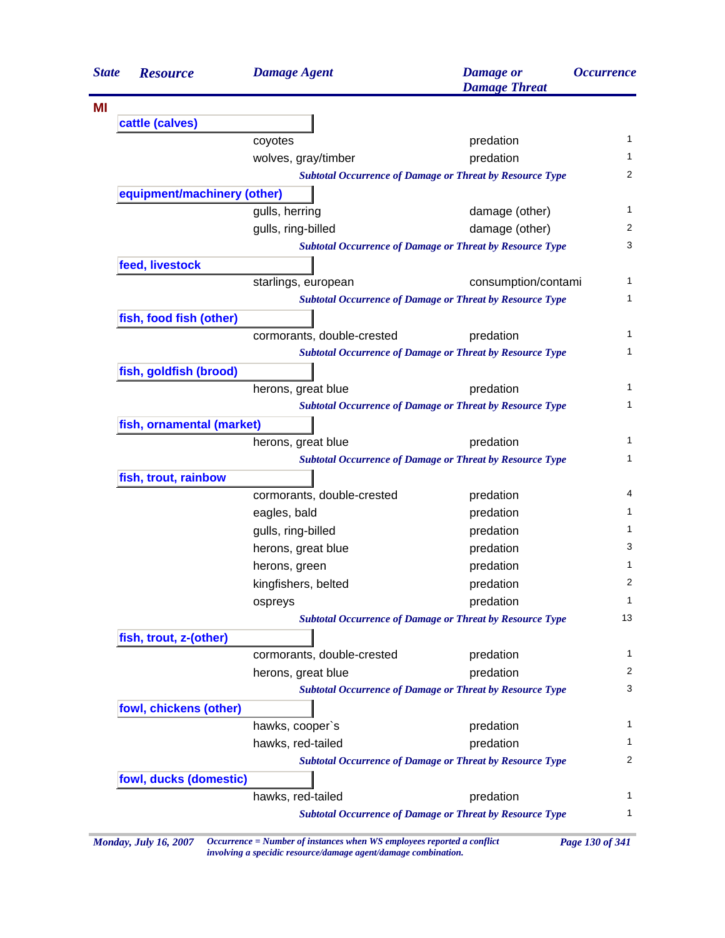| <b>State</b> | <b>Resource</b>             | <b>Damage Agent</b>                                                                                                                                                                                                                                                                                                                                                                                                                                                                                                                                                                                                                                                                                                      | <b>Damage</b> or<br><b>Damage Threat</b>                        |                                                                                                                                                                                            |  |  |
|--------------|-----------------------------|--------------------------------------------------------------------------------------------------------------------------------------------------------------------------------------------------------------------------------------------------------------------------------------------------------------------------------------------------------------------------------------------------------------------------------------------------------------------------------------------------------------------------------------------------------------------------------------------------------------------------------------------------------------------------------------------------------------------------|-----------------------------------------------------------------|--------------------------------------------------------------------------------------------------------------------------------------------------------------------------------------------|--|--|
|              |                             |                                                                                                                                                                                                                                                                                                                                                                                                                                                                                                                                                                                                                                                                                                                          |                                                                 |                                                                                                                                                                                            |  |  |
|              | cattle (calves)             |                                                                                                                                                                                                                                                                                                                                                                                                                                                                                                                                                                                                                                                                                                                          |                                                                 |                                                                                                                                                                                            |  |  |
|              |                             | coyotes                                                                                                                                                                                                                                                                                                                                                                                                                                                                                                                                                                                                                                                                                                                  | predation                                                       |                                                                                                                                                                                            |  |  |
|              |                             | wolves, gray/timber                                                                                                                                                                                                                                                                                                                                                                                                                                                                                                                                                                                                                                                                                                      | predation                                                       |                                                                                                                                                                                            |  |  |
|              |                             |                                                                                                                                                                                                                                                                                                                                                                                                                                                                                                                                                                                                                                                                                                                          | <b>Subtotal Occurrence of Damage or Threat by Resource Type</b> |                                                                                                                                                                                            |  |  |
|              | equipment/machinery (other) |                                                                                                                                                                                                                                                                                                                                                                                                                                                                                                                                                                                                                                                                                                                          |                                                                 |                                                                                                                                                                                            |  |  |
|              |                             | gulls, herring                                                                                                                                                                                                                                                                                                                                                                                                                                                                                                                                                                                                                                                                                                           | damage (other)                                                  |                                                                                                                                                                                            |  |  |
|              |                             | gulls, ring-billed                                                                                                                                                                                                                                                                                                                                                                                                                                                                                                                                                                                                                                                                                                       | damage (other)                                                  |                                                                                                                                                                                            |  |  |
|              |                             |                                                                                                                                                                                                                                                                                                                                                                                                                                                                                                                                                                                                                                                                                                                          |                                                                 |                                                                                                                                                                                            |  |  |
|              | feed, livestock             |                                                                                                                                                                                                                                                                                                                                                                                                                                                                                                                                                                                                                                                                                                                          |                                                                 |                                                                                                                                                                                            |  |  |
|              |                             | starlings, european                                                                                                                                                                                                                                                                                                                                                                                                                                                                                                                                                                                                                                                                                                      |                                                                 |                                                                                                                                                                                            |  |  |
|              |                             |                                                                                                                                                                                                                                                                                                                                                                                                                                                                                                                                                                                                                                                                                                                          |                                                                 |                                                                                                                                                                                            |  |  |
|              | fish, food fish (other)     |                                                                                                                                                                                                                                                                                                                                                                                                                                                                                                                                                                                                                                                                                                                          |                                                                 |                                                                                                                                                                                            |  |  |
|              |                             | cormorants, double-crested                                                                                                                                                                                                                                                                                                                                                                                                                                                                                                                                                                                                                                                                                               | predation                                                       |                                                                                                                                                                                            |  |  |
|              |                             |                                                                                                                                                                                                                                                                                                                                                                                                                                                                                                                                                                                                                                                                                                                          |                                                                 |                                                                                                                                                                                            |  |  |
|              | fish, goldfish (brood)      |                                                                                                                                                                                                                                                                                                                                                                                                                                                                                                                                                                                                                                                                                                                          |                                                                 |                                                                                                                                                                                            |  |  |
|              |                             | herons, great blue                                                                                                                                                                                                                                                                                                                                                                                                                                                                                                                                                                                                                                                                                                       | predation                                                       |                                                                                                                                                                                            |  |  |
|              |                             |                                                                                                                                                                                                                                                                                                                                                                                                                                                                                                                                                                                                                                                                                                                          |                                                                 |                                                                                                                                                                                            |  |  |
|              | fish, ornamental (market)   |                                                                                                                                                                                                                                                                                                                                                                                                                                                                                                                                                                                                                                                                                                                          |                                                                 | <i><b>Occurrence</b></i><br>$\mathbf{1}$<br>1<br>2<br>1<br>2<br>3<br>1<br>1<br>1<br>1<br>1<br>1<br>1<br>1<br>4<br>1<br>1<br>3<br>1<br>2<br>1<br>13<br>1<br>2<br>3<br>1<br>1<br>2<br>1<br>1 |  |  |
|              |                             | herons, great blue                                                                                                                                                                                                                                                                                                                                                                                                                                                                                                                                                                                                                                                                                                       | predation                                                       |                                                                                                                                                                                            |  |  |
|              |                             | <b>Subtotal Occurrence of Damage or Threat by Resource Type</b><br>consumption/contami<br><b>Subtotal Occurrence of Damage or Threat by Resource Type</b><br><b>Subtotal Occurrence of Damage or Threat by Resource Type</b><br><b>Subtotal Occurrence of Damage or Threat by Resource Type</b><br><b>Subtotal Occurrence of Damage or Threat by Resource Type</b><br>cormorants, double-crested<br>predation<br>eagles, bald<br>predation<br>gulls, ring-billed<br>predation<br>herons, great blue<br>predation<br>predation<br>herons, green<br>kingfishers, belted<br>predation<br>predation<br>ospreys<br><b>Subtotal Occurrence of Damage or Threat by Resource Type</b><br>cormorants, double-crested<br>predation |                                                                 |                                                                                                                                                                                            |  |  |
|              | fish, trout, rainbow        |                                                                                                                                                                                                                                                                                                                                                                                                                                                                                                                                                                                                                                                                                                                          |                                                                 |                                                                                                                                                                                            |  |  |
|              |                             |                                                                                                                                                                                                                                                                                                                                                                                                                                                                                                                                                                                                                                                                                                                          |                                                                 |                                                                                                                                                                                            |  |  |
|              |                             |                                                                                                                                                                                                                                                                                                                                                                                                                                                                                                                                                                                                                                                                                                                          |                                                                 |                                                                                                                                                                                            |  |  |
|              |                             |                                                                                                                                                                                                                                                                                                                                                                                                                                                                                                                                                                                                                                                                                                                          |                                                                 |                                                                                                                                                                                            |  |  |
|              |                             |                                                                                                                                                                                                                                                                                                                                                                                                                                                                                                                                                                                                                                                                                                                          |                                                                 |                                                                                                                                                                                            |  |  |
|              |                             |                                                                                                                                                                                                                                                                                                                                                                                                                                                                                                                                                                                                                                                                                                                          |                                                                 |                                                                                                                                                                                            |  |  |
|              |                             |                                                                                                                                                                                                                                                                                                                                                                                                                                                                                                                                                                                                                                                                                                                          |                                                                 |                                                                                                                                                                                            |  |  |
|              |                             |                                                                                                                                                                                                                                                                                                                                                                                                                                                                                                                                                                                                                                                                                                                          |                                                                 |                                                                                                                                                                                            |  |  |
|              |                             |                                                                                                                                                                                                                                                                                                                                                                                                                                                                                                                                                                                                                                                                                                                          |                                                                 |                                                                                                                                                                                            |  |  |
|              | fish, trout, z-(other)      |                                                                                                                                                                                                                                                                                                                                                                                                                                                                                                                                                                                                                                                                                                                          |                                                                 |                                                                                                                                                                                            |  |  |
|              |                             |                                                                                                                                                                                                                                                                                                                                                                                                                                                                                                                                                                                                                                                                                                                          |                                                                 |                                                                                                                                                                                            |  |  |
|              |                             | herons, great blue                                                                                                                                                                                                                                                                                                                                                                                                                                                                                                                                                                                                                                                                                                       | predation                                                       |                                                                                                                                                                                            |  |  |
|              |                             |                                                                                                                                                                                                                                                                                                                                                                                                                                                                                                                                                                                                                                                                                                                          | <b>Subtotal Occurrence of Damage or Threat by Resource Type</b> |                                                                                                                                                                                            |  |  |
|              | fowl, chickens (other)      |                                                                                                                                                                                                                                                                                                                                                                                                                                                                                                                                                                                                                                                                                                                          |                                                                 |                                                                                                                                                                                            |  |  |
|              |                             | hawks, cooper's                                                                                                                                                                                                                                                                                                                                                                                                                                                                                                                                                                                                                                                                                                          | predation                                                       |                                                                                                                                                                                            |  |  |
|              |                             | hawks, red-tailed                                                                                                                                                                                                                                                                                                                                                                                                                                                                                                                                                                                                                                                                                                        | predation                                                       |                                                                                                                                                                                            |  |  |
|              |                             |                                                                                                                                                                                                                                                                                                                                                                                                                                                                                                                                                                                                                                                                                                                          | <b>Subtotal Occurrence of Damage or Threat by Resource Type</b> |                                                                                                                                                                                            |  |  |
|              | fowl, ducks (domestic)      |                                                                                                                                                                                                                                                                                                                                                                                                                                                                                                                                                                                                                                                                                                                          |                                                                 |                                                                                                                                                                                            |  |  |
|              |                             | hawks, red-tailed                                                                                                                                                                                                                                                                                                                                                                                                                                                                                                                                                                                                                                                                                                        | predation                                                       |                                                                                                                                                                                            |  |  |
|              |                             |                                                                                                                                                                                                                                                                                                                                                                                                                                                                                                                                                                                                                                                                                                                          | <b>Subtotal Occurrence of Damage or Threat by Resource Type</b> |                                                                                                                                                                                            |  |  |

*Monday, July 16, 2007 Occurrence = Number of instances when WS employees reported a conflict Page 130 of 341 involving a specidic resource/damage agent/damage combination.*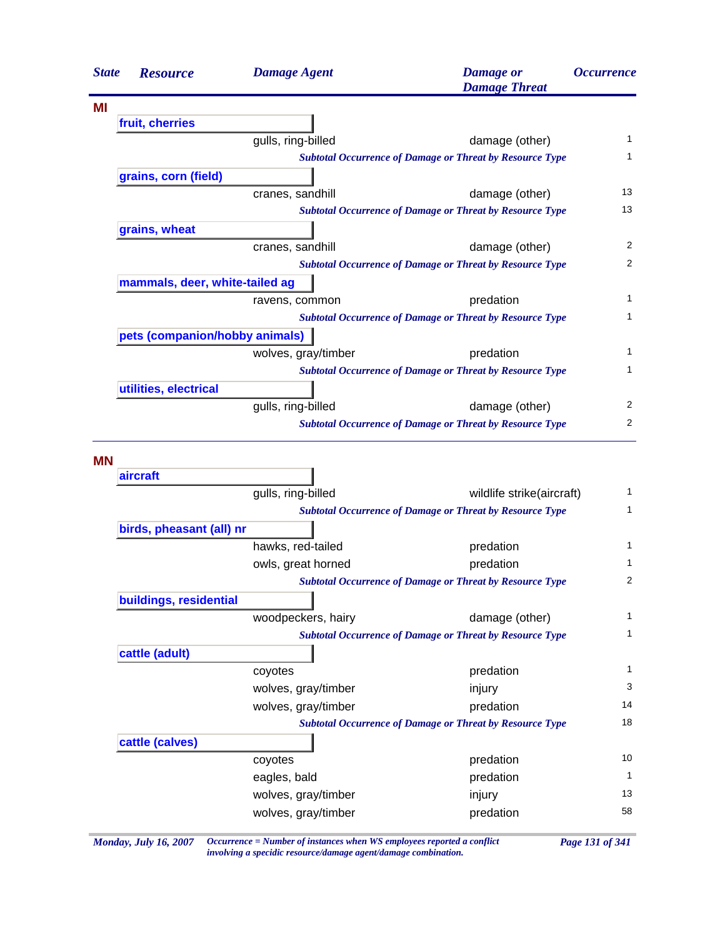|           | <b>Resource</b>                | <b>Damage Agent</b>                        | <b>Damage</b> or<br><b>Damage Threat</b>                        | <b>Occurrence</b>                                                                                  |
|-----------|--------------------------------|--------------------------------------------|-----------------------------------------------------------------|----------------------------------------------------------------------------------------------------|
| ΜI        |                                |                                            |                                                                 |                                                                                                    |
|           | fruit, cherries                |                                            |                                                                 |                                                                                                    |
|           |                                | gulls, ring-billed                         | damage (other)                                                  | 1                                                                                                  |
|           |                                |                                            | <b>Subtotal Occurrence of Damage or Threat by Resource Type</b> | 1                                                                                                  |
|           | grains, corn (field)           |                                            |                                                                 |                                                                                                    |
|           |                                | cranes, sandhill                           | damage (other)                                                  | 13                                                                                                 |
|           |                                |                                            | <b>Subtotal Occurrence of Damage or Threat by Resource Type</b> | 13                                                                                                 |
|           | grains, wheat                  |                                            |                                                                 |                                                                                                    |
|           |                                | cranes, sandhill                           | damage (other)                                                  | 2                                                                                                  |
|           |                                |                                            | <b>Subtotal Occurrence of Damage or Threat by Resource Type</b> | 2                                                                                                  |
|           | mammals, deer, white-tailed ag |                                            |                                                                 |                                                                                                    |
|           |                                | ravens, common                             | predation                                                       | 1                                                                                                  |
|           |                                |                                            | <b>Subtotal Occurrence of Damage or Threat by Resource Type</b> | 1                                                                                                  |
|           | pets (companion/hobby animals) |                                            |                                                                 |                                                                                                    |
|           |                                | wolves, gray/timber                        | predation                                                       | 1                                                                                                  |
|           |                                |                                            | <b>Subtotal Occurrence of Damage or Threat by Resource Type</b> | $\mathbf{1}$                                                                                       |
|           | utilities, electrical          |                                            |                                                                 |                                                                                                    |
|           |                                | gulls, ring-billed                         | damage (other)                                                  | 2                                                                                                  |
|           |                                |                                            | <b>Subtotal Occurrence of Damage or Threat by Resource Type</b> | 2                                                                                                  |
|           |                                |                                            |                                                                 |                                                                                                    |
| <b>MN</b> |                                |                                            |                                                                 |                                                                                                    |
|           | aircraft                       |                                            |                                                                 |                                                                                                    |
|           |                                | gulls, ring-billed                         | wildlife strike(aircraft)                                       |                                                                                                    |
|           |                                |                                            | <b>Subtotal Occurrence of Damage or Threat by Resource Type</b> |                                                                                                    |
|           | birds, pheasant (all) nr       |                                            |                                                                 |                                                                                                    |
|           |                                | hawks, red-tailed                          | predation                                                       |                                                                                                    |
|           |                                | owls, great horned                         | predation                                                       |                                                                                                    |
|           |                                |                                            | <b>Subtotal Occurrence of Damage or Threat by Resource Type</b> |                                                                                                    |
|           | buildings, residential         |                                            |                                                                 |                                                                                                    |
|           |                                | woodpeckers, hairy                         | damage (other)                                                  |                                                                                                    |
|           |                                |                                            | <b>Subtotal Occurrence of Damage or Threat by Resource Type</b> |                                                                                                    |
|           | cattle (adult)                 |                                            |                                                                 |                                                                                                    |
|           |                                | coyotes                                    | predation                                                       |                                                                                                    |
|           |                                | wolves, gray/timber                        | injury                                                          |                                                                                                    |
|           |                                | wolves, gray/timber                        | predation                                                       |                                                                                                    |
|           |                                |                                            | <b>Subtotal Occurrence of Damage or Threat by Resource Type</b> |                                                                                                    |
|           | cattle (calves)                |                                            |                                                                 |                                                                                                    |
|           |                                | coyotes                                    | predation                                                       |                                                                                                    |
|           |                                | eagles, bald                               | predation                                                       |                                                                                                    |
|           |                                | wolves, gray/timber<br>wolves, gray/timber | injury<br>predation                                             | 1<br>1<br>1<br>1<br>2<br>1<br>$\mathbf{1}$<br>1<br>3<br>14<br>18<br>10<br>$\mathbf{1}$<br>13<br>58 |

*Monday, July 16, 2007 Occurrence = Number of instances when WS employees reported a conflict Page 131 of 341 involving a specidic resource/damage agent/damage combination.*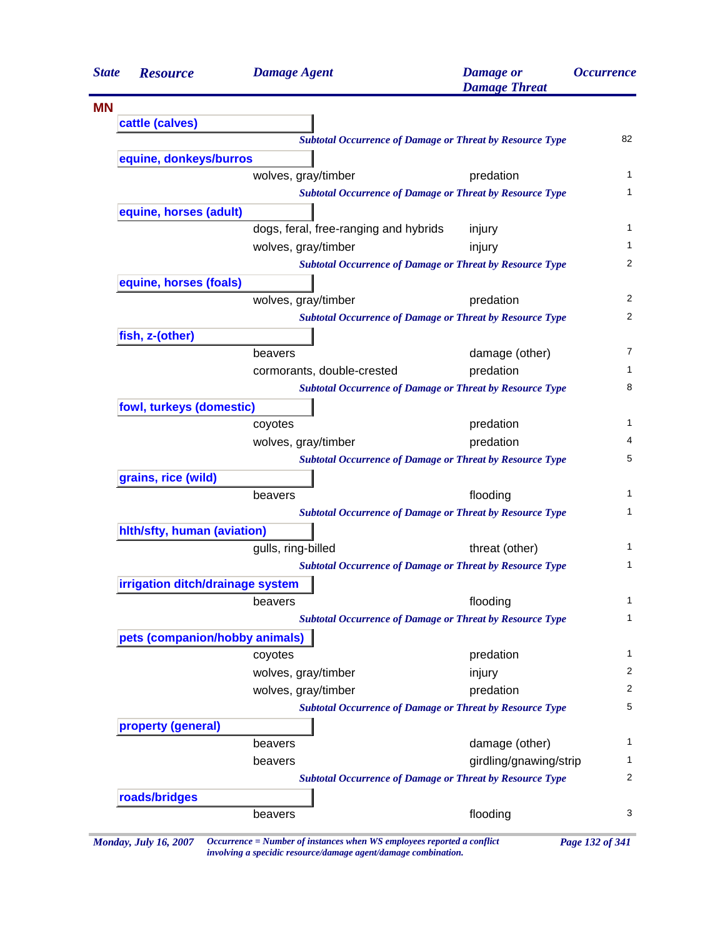| <b>State</b> | <b>Resource</b>                  | <b>Damage Agent</b>                                                        | <b>Damage</b> or<br><b>Damage Threat</b> | <i><b>Occurrence</b></i> |
|--------------|----------------------------------|----------------------------------------------------------------------------|------------------------------------------|--------------------------|
| <b>MN</b>    |                                  |                                                                            |                                          |                          |
|              | cattle (calves)                  |                                                                            |                                          |                          |
|              |                                  | <b>Subtotal Occurrence of Damage or Threat by Resource Type</b>            |                                          | 82                       |
|              | equine, donkeys/burros           |                                                                            |                                          |                          |
|              |                                  | wolves, gray/timber                                                        | predation                                | 1                        |
|              |                                  | <b>Subtotal Occurrence of Damage or Threat by Resource Type</b>            |                                          | 1                        |
|              | equine, horses (adult)           |                                                                            |                                          |                          |
|              |                                  | dogs, feral, free-ranging and hybrids                                      | injury                                   | $\mathbf{1}$             |
|              |                                  | wolves, gray/timber                                                        | injury                                   | $\mathbf{1}$             |
|              |                                  | <b>Subtotal Occurrence of Damage or Threat by Resource Type</b>            |                                          | 2                        |
|              | equine, horses (foals)           |                                                                            |                                          |                          |
|              |                                  | wolves, gray/timber                                                        | predation                                | 2                        |
|              |                                  | <b>Subtotal Occurrence of Damage or Threat by Resource Type</b>            |                                          | 2                        |
|              | fish, z-(other)                  |                                                                            |                                          |                          |
|              |                                  | beavers                                                                    | damage (other)                           | 7                        |
|              |                                  | cormorants, double-crested                                                 | predation                                | 1                        |
|              |                                  | <b>Subtotal Occurrence of Damage or Threat by Resource Type</b>            |                                          | 8                        |
|              | fowl, turkeys (domestic)         |                                                                            |                                          |                          |
|              |                                  | coyotes                                                                    | predation                                | 1                        |
|              |                                  | wolves, gray/timber                                                        | predation                                | 4                        |
|              |                                  | <b>Subtotal Occurrence of Damage or Threat by Resource Type</b>            |                                          | 5                        |
|              | grains, rice (wild)              |                                                                            |                                          |                          |
|              |                                  | beavers                                                                    | flooding                                 | 1<br>1                   |
|              |                                  | <b>Subtotal Occurrence of Damage or Threat by Resource Type</b>            |                                          |                          |
|              | hith/sfty, human (aviation)      |                                                                            |                                          | 1                        |
|              |                                  | gulls, ring-billed                                                         | threat (other)                           | 1                        |
|              |                                  | <b>Subtotal Occurrence of Damage or Threat by Resource Type</b>            |                                          |                          |
|              | irrigation ditch/drainage system |                                                                            | flooding                                 | 1                        |
|              |                                  | beavers<br><b>Subtotal Occurrence of Damage or Threat by Resource Type</b> |                                          | 1                        |
|              | pets (companion/hobby animals)   |                                                                            |                                          |                          |
|              |                                  | coyotes                                                                    | predation                                | 1                        |
|              |                                  | wolves, gray/timber                                                        | injury                                   | 2                        |
|              |                                  | wolves, gray/timber                                                        | predation                                | $\overline{2}$           |
|              |                                  | <b>Subtotal Occurrence of Damage or Threat by Resource Type</b>            |                                          | 5                        |
|              | property (general)               |                                                                            |                                          |                          |
|              |                                  | beavers                                                                    | damage (other)                           | 1                        |
|              |                                  | beavers                                                                    | girdling/gnawing/strip                   | 1                        |
|              |                                  | <b>Subtotal Occurrence of Damage or Threat by Resource Type</b>            |                                          | 2                        |
|              | roads/bridges                    |                                                                            |                                          |                          |
|              |                                  | beavers                                                                    | flooding                                 | 3                        |
|              |                                  |                                                                            |                                          |                          |
|              |                                  |                                                                            |                                          |                          |

*Monday, July 16, 2007 Occurrence = Number of instances when WS employees reported a conflict Page 132 of 341 involving a specidic resource/damage agent/damage combination.*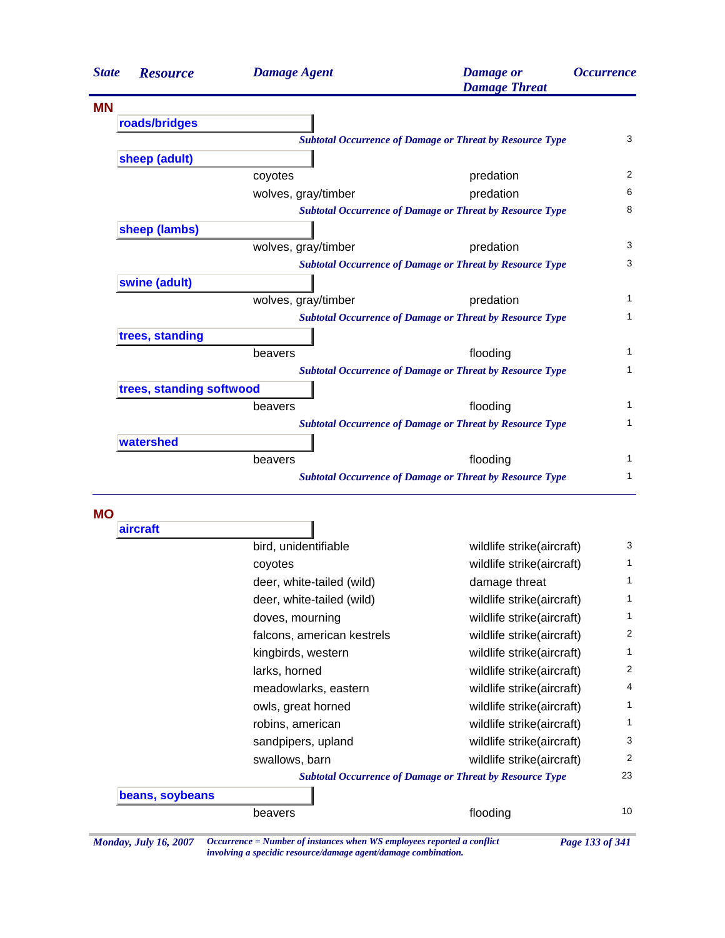| <b>State</b> | <b>Resource</b>          | <b>Damage Agent</b> | <b>Damage</b> or<br><b>Damage Threat</b>                        | <i><b>Occurrence</b></i> |
|--------------|--------------------------|---------------------|-----------------------------------------------------------------|--------------------------|
| <b>MN</b>    |                          |                     |                                                                 |                          |
|              | roads/bridges            |                     |                                                                 |                          |
|              |                          |                     | <b>Subtotal Occurrence of Damage or Threat by Resource Type</b> | 3                        |
|              | sheep (adult)            |                     |                                                                 |                          |
|              |                          | coyotes             | predation                                                       | 2                        |
|              |                          | wolves, gray/timber | predation                                                       | 6                        |
|              |                          |                     | <b>Subtotal Occurrence of Damage or Threat by Resource Type</b> | 8                        |
|              | sheep (lambs)            |                     |                                                                 |                          |
|              |                          | wolves, gray/timber | predation                                                       | 3                        |
|              |                          |                     | <b>Subtotal Occurrence of Damage or Threat by Resource Type</b> | 3                        |
|              | swine (adult)            |                     |                                                                 |                          |
|              |                          | wolves, gray/timber | predation                                                       | 1                        |
|              |                          |                     | <b>Subtotal Occurrence of Damage or Threat by Resource Type</b> | 1                        |
|              | trees, standing          |                     |                                                                 |                          |
|              |                          | beavers             | flooding                                                        | 1                        |
|              |                          |                     | <b>Subtotal Occurrence of Damage or Threat by Resource Type</b> | 1                        |
|              | trees, standing softwood |                     |                                                                 |                          |
|              |                          | beavers             | flooding                                                        | 1                        |
|              |                          |                     | <b>Subtotal Occurrence of Damage or Threat by Resource Type</b> | 1                        |
|              | watershed                |                     |                                                                 |                          |
|              |                          | beavers             | flooding                                                        | 1                        |
|              |                          |                     | <b>Subtotal Occurrence of Damage or Threat by Resource Type</b> | 1                        |

**MO**

| aircraft        |                            |                                                                 |    |
|-----------------|----------------------------|-----------------------------------------------------------------|----|
|                 | bird, unidentifiable       | wildlife strike(aircraft)                                       | 3  |
|                 | coyotes                    | wildlife strike(aircraft)                                       | 1  |
|                 | deer, white-tailed (wild)  | damage threat                                                   | 1  |
|                 | deer, white-tailed (wild)  | wildlife strike(aircraft)                                       | 1  |
|                 | doves, mourning            | wildlife strike(aircraft)                                       | 1  |
|                 | falcons, american kestrels | wildlife strike(aircraft)                                       | 2  |
|                 | kingbirds, western         | wildlife strike(aircraft)                                       | 1  |
|                 | larks, horned              | wildlife strike(aircraft)                                       | 2  |
|                 | meadowlarks, eastern       | wildlife strike(aircraft)                                       | 4  |
|                 | owls, great horned         | wildlife strike(aircraft)                                       | 1  |
|                 | robins, american           | wildlife strike(aircraft)                                       | 1  |
|                 | sandpipers, upland         | wildlife strike(aircraft)                                       | 3  |
|                 | swallows, barn             | wildlife strike(aircraft)                                       | 2  |
|                 |                            | <b>Subtotal Occurrence of Damage or Threat by Resource Type</b> | 23 |
| beans, soybeans |                            |                                                                 |    |
|                 | beavers                    | flooding                                                        | 10 |

*Monday, July 16, 2007 Occurrence = Number of instances when WS employees reported a conflict Page 133 of 341 involving a specidic resource/damage agent/damage combination.*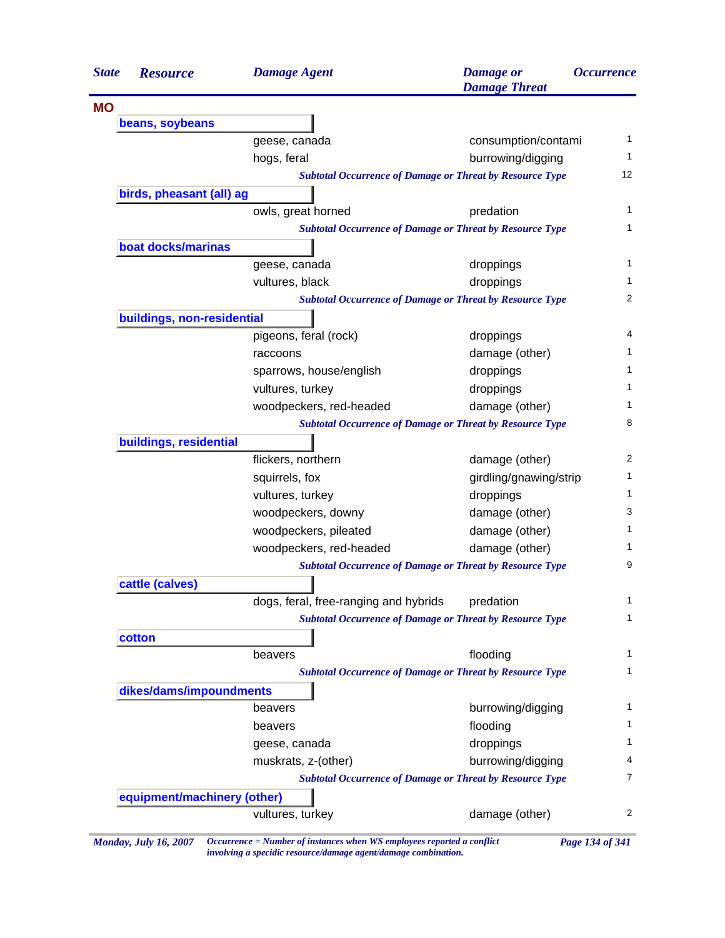| <b>State</b> | <b>Resource</b>             | <b>Damage Agent</b>                                             | <b>Damage</b> or<br><b>Damage Threat</b> | <i><b>Occurrence</b></i> |
|--------------|-----------------------------|-----------------------------------------------------------------|------------------------------------------|--------------------------|
| <b>MO</b>    |                             |                                                                 |                                          |                          |
|              | beans, soybeans             |                                                                 |                                          |                          |
|              |                             | geese, canada                                                   | consumption/contami                      |                          |
|              |                             | hogs, feral                                                     | burrowing/digging                        |                          |
|              |                             | <b>Subtotal Occurrence of Damage or Threat by Resource Type</b> |                                          |                          |
|              | birds, pheasant (all) ag    |                                                                 |                                          |                          |
|              |                             | owls, great horned                                              | predation                                |                          |
|              |                             | <b>Subtotal Occurrence of Damage or Threat by Resource Type</b> |                                          |                          |
|              | boat docks/marinas          |                                                                 |                                          |                          |
|              |                             | geese, canada                                                   | droppings                                |                          |
|              |                             | vultures, black                                                 | droppings                                |                          |
|              |                             | <b>Subtotal Occurrence of Damage or Threat by Resource Type</b> |                                          |                          |
|              | buildings, non-residential  |                                                                 |                                          |                          |
|              |                             | pigeons, feral (rock)                                           | droppings                                |                          |
|              |                             | raccoons                                                        | damage (other)                           |                          |
|              |                             | sparrows, house/english                                         | droppings                                |                          |
|              |                             | vultures, turkey                                                | droppings                                |                          |
|              |                             | woodpeckers, red-headed                                         | damage (other)                           |                          |
|              |                             | <b>Subtotal Occurrence of Damage or Threat by Resource Type</b> |                                          |                          |
|              | buildings, residential      |                                                                 |                                          |                          |
|              |                             | flickers, northern                                              | damage (other)                           |                          |
|              |                             | squirrels, fox                                                  | girdling/gnawing/strip                   |                          |
|              |                             | vultures, turkey                                                | droppings                                |                          |
|              |                             | woodpeckers, downy                                              | damage (other)                           |                          |
|              |                             | woodpeckers, pileated                                           | damage (other)                           |                          |
|              |                             | woodpeckers, red-headed                                         | damage (other)                           |                          |
|              |                             | <b>Subtotal Occurrence of Damage or Threat by Resource Type</b> |                                          |                          |
|              | cattle (calves)             |                                                                 |                                          |                          |
|              |                             | dogs, feral, free-ranging and hybrids                           | predation                                |                          |
|              |                             | <b>Subtotal Occurrence of Damage or Threat by Resource Type</b> |                                          |                          |
|              | cotton                      |                                                                 |                                          |                          |
|              |                             | beavers                                                         | flooding                                 |                          |
|              |                             | <b>Subtotal Occurrence of Damage or Threat by Resource Type</b> |                                          |                          |
|              | dikes/dams/impoundments     |                                                                 |                                          |                          |
|              |                             | beavers                                                         | burrowing/digging                        |                          |
|              |                             | beavers                                                         | flooding                                 |                          |
|              |                             |                                                                 | droppings                                |                          |
|              |                             | geese, canada                                                   |                                          |                          |
|              |                             | muskrats, z-(other)                                             | burrowing/digging                        |                          |
|              |                             | <b>Subtotal Occurrence of Damage or Threat by Resource Type</b> |                                          |                          |
|              | equipment/machinery (other) |                                                                 |                                          |                          |
|              |                             | vultures, turkey                                                | damage (other)                           |                          |

*Monday, July 16, 2007 Occurrence = Number of instances when WS employees reported a conflict Page 134 of 341 involving a specidic resource/damage agent/damage combination.*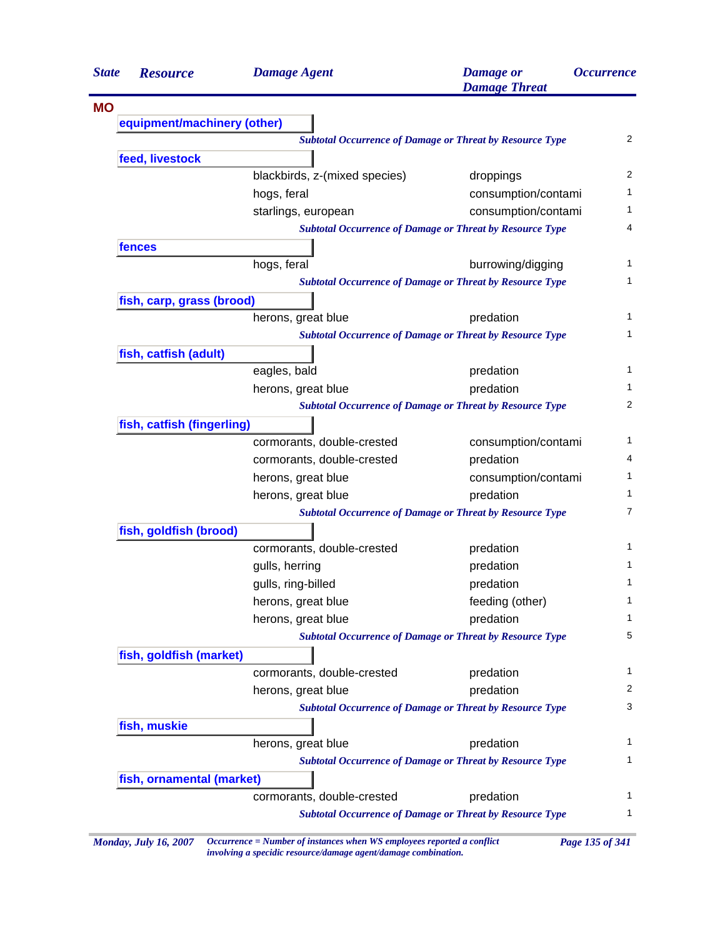| <b>State</b> | <b>Resource</b>             | <b>Damage Agent</b>           | <b>Damage</b> or<br><b>Damage Threat</b>                        | <b>Occurrence</b> |
|--------------|-----------------------------|-------------------------------|-----------------------------------------------------------------|-------------------|
| <b>MO</b>    |                             |                               |                                                                 |                   |
|              | equipment/machinery (other) |                               |                                                                 |                   |
|              |                             |                               | <b>Subtotal Occurrence of Damage or Threat by Resource Type</b> | $\overline{2}$    |
|              | feed, livestock             |                               |                                                                 |                   |
|              |                             | blackbirds, z-(mixed species) | droppings                                                       | 2                 |
|              |                             | hogs, feral                   | consumption/contami                                             | $\mathbf{1}$      |
|              |                             | starlings, european           | consumption/contami                                             | 1                 |
|              |                             |                               | <b>Subtotal Occurrence of Damage or Threat by Resource Type</b> | 4                 |
|              | fences                      |                               |                                                                 |                   |
|              |                             | hogs, feral                   | burrowing/digging                                               | 1                 |
|              |                             |                               | <b>Subtotal Occurrence of Damage or Threat by Resource Type</b> | 1                 |
|              | fish, carp, grass (brood)   |                               |                                                                 |                   |
|              |                             | herons, great blue            | predation                                                       | 1                 |
|              |                             |                               | <b>Subtotal Occurrence of Damage or Threat by Resource Type</b> | 1                 |
|              | fish, catfish (adult)       |                               |                                                                 |                   |
|              |                             | eagles, bald                  | predation                                                       | $\mathbf{1}$      |
|              |                             | herons, great blue            | predation                                                       | 1                 |
|              |                             |                               | <b>Subtotal Occurrence of Damage or Threat by Resource Type</b> | 2                 |
|              | fish, catfish (fingerling)  |                               |                                                                 |                   |
|              |                             | cormorants, double-crested    | consumption/contami                                             | $\mathbf{1}$      |
|              |                             | cormorants, double-crested    | predation                                                       | 4                 |
|              |                             | herons, great blue            | consumption/contami                                             | 1                 |
|              |                             | herons, great blue            | predation                                                       | $\mathbf{1}$      |
|              |                             |                               | <b>Subtotal Occurrence of Damage or Threat by Resource Type</b> | $\overline{7}$    |
|              | fish, goldfish (brood)      |                               |                                                                 |                   |
|              |                             | cormorants, double-crested    | predation                                                       | 1                 |
|              |                             | gulls, herring                | predation                                                       | 1                 |
|              |                             | gulls, ring-billed            | predation                                                       | 1                 |
|              |                             | herons, great blue            | feeding (other)                                                 | $\mathbf{1}$      |
|              |                             | herons, great blue            | predation                                                       | 1                 |
|              |                             |                               | <b>Subtotal Occurrence of Damage or Threat by Resource Type</b> | 5                 |
|              | fish, goldfish (market)     |                               |                                                                 |                   |
|              |                             | cormorants, double-crested    | predation                                                       | $\mathbf{1}$      |
|              |                             | herons, great blue            | predation                                                       | 2                 |
|              |                             |                               | <b>Subtotal Occurrence of Damage or Threat by Resource Type</b> | 3                 |
|              | fish, muskie                |                               |                                                                 |                   |
|              |                             | herons, great blue            | predation                                                       | $\mathbf 1$       |
|              |                             |                               | <b>Subtotal Occurrence of Damage or Threat by Resource Type</b> | 1                 |
|              | fish, ornamental (market)   |                               |                                                                 |                   |
|              |                             | cormorants, double-crested    | predation                                                       | 1                 |
|              |                             |                               | <b>Subtotal Occurrence of Damage or Threat by Resource Type</b> | 1                 |

*Monday, July 16, 2007 Occurrence = Number of instances when WS employees reported a conflict Page 135 of 341 involving a specidic resource/damage agent/damage combination.*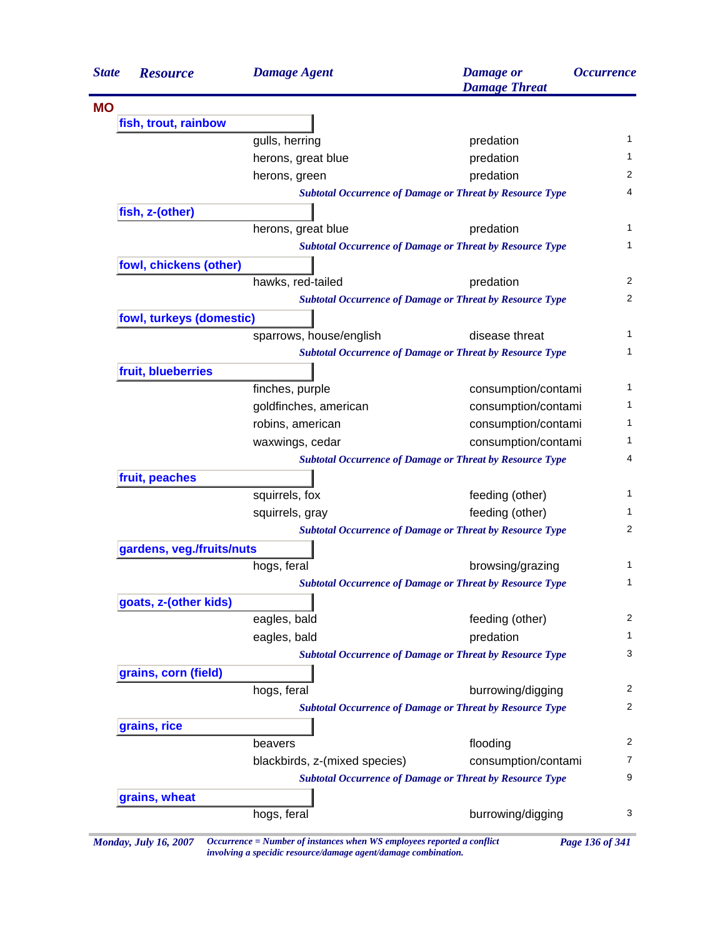| <b>State</b> | <b>Resource</b>           | <b>Damage Agent</b>           | <b>Damage</b> or<br><b>Damage Threat</b>                        | <i><b>Occurrence</b></i> |
|--------------|---------------------------|-------------------------------|-----------------------------------------------------------------|--------------------------|
| <b>MO</b>    |                           |                               |                                                                 |                          |
|              | fish, trout, rainbow      |                               |                                                                 |                          |
|              |                           | gulls, herring                | predation                                                       | 1                        |
|              |                           | herons, great blue            | predation                                                       | 1                        |
|              |                           | herons, green                 | predation                                                       | 2                        |
|              |                           |                               | <b>Subtotal Occurrence of Damage or Threat by Resource Type</b> | 4                        |
|              | fish, z-(other)           |                               |                                                                 |                          |
|              |                           | herons, great blue            | predation                                                       |                          |
|              |                           |                               | <b>Subtotal Occurrence of Damage or Threat by Resource Type</b> | 1                        |
|              | fowl, chickens (other)    |                               |                                                                 |                          |
|              |                           | hawks, red-tailed             | predation                                                       | 2                        |
|              |                           |                               | <b>Subtotal Occurrence of Damage or Threat by Resource Type</b> | 2                        |
|              | fowl, turkeys (domestic)  |                               |                                                                 |                          |
|              |                           | sparrows, house/english       | disease threat                                                  | 1                        |
|              |                           |                               | <b>Subtotal Occurrence of Damage or Threat by Resource Type</b> | 1                        |
|              | fruit, blueberries        |                               |                                                                 |                          |
|              |                           | finches, purple               | consumption/contami                                             | 1                        |
|              |                           | goldfinches, american         | consumption/contami                                             | 1                        |
|              |                           | robins, american              | consumption/contami                                             | 1                        |
|              |                           | waxwings, cedar               | consumption/contami                                             | 1                        |
|              |                           |                               | <b>Subtotal Occurrence of Damage or Threat by Resource Type</b> | 4                        |
|              | fruit, peaches            |                               |                                                                 |                          |
|              |                           | squirrels, fox                | feeding (other)                                                 | 1                        |
|              |                           | squirrels, gray               | feeding (other)                                                 | 1                        |
|              |                           |                               | <b>Subtotal Occurrence of Damage or Threat by Resource Type</b> | 2                        |
|              | gardens, veg./fruits/nuts |                               |                                                                 |                          |
|              |                           | hogs, feral                   | browsing/grazing                                                | 1                        |
|              |                           |                               | <b>Subtotal Occurrence of Damage or Threat by Resource Type</b> | 1                        |
|              | goats, z-(other kids)     |                               |                                                                 |                          |
|              |                           | eagles, bald                  | feeding (other)                                                 | $\overline{c}$           |
|              |                           | eagles, bald                  | predation                                                       | $\mathbf{1}$             |
|              |                           |                               | <b>Subtotal Occurrence of Damage or Threat by Resource Type</b> | 3                        |
|              | grains, corn (field)      |                               |                                                                 |                          |
|              |                           | hogs, feral                   | burrowing/digging                                               | 2                        |
|              |                           |                               | <b>Subtotal Occurrence of Damage or Threat by Resource Type</b> | 2                        |
|              | grains, rice              |                               |                                                                 |                          |
|              |                           | beavers                       | flooding                                                        | $\overline{c}$           |
|              |                           | blackbirds, z-(mixed species) | consumption/contami                                             | 7                        |
|              |                           |                               | <b>Subtotal Occurrence of Damage or Threat by Resource Type</b> | 9                        |
|              | grains, wheat             |                               |                                                                 |                          |
|              |                           | hogs, feral                   | burrowing/digging                                               | 3                        |

*Monday, July 16, 2007 Occurrence = Number of instances when WS employees reported a conflict Page 136 of 341 involving a specidic resource/damage agent/damage combination.*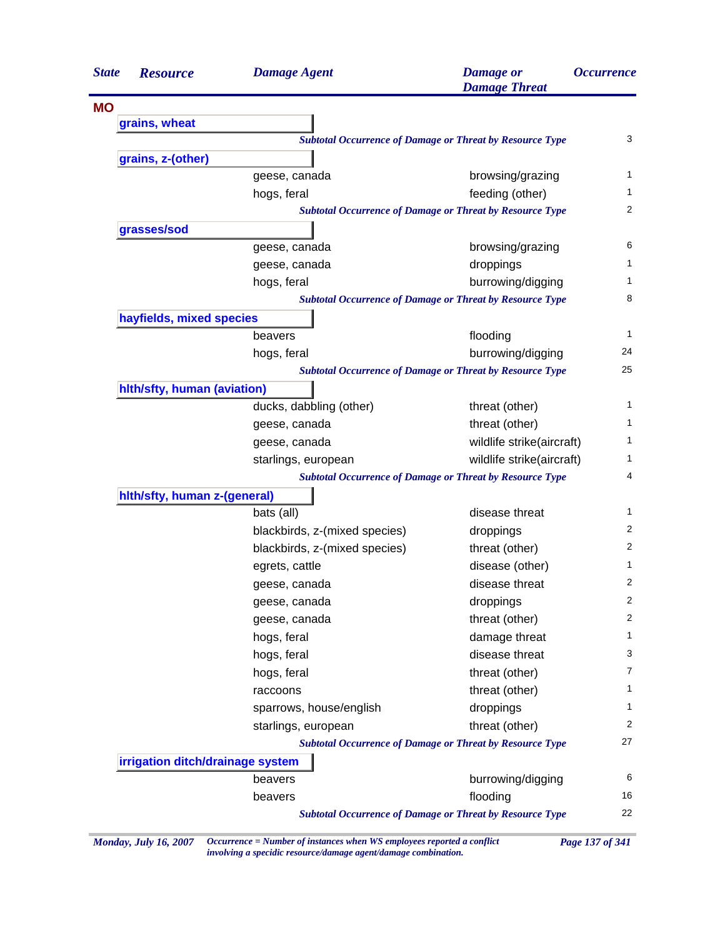| <b>State</b> | <b>Resource</b>                  | <b>Damage Agent</b>           | <b>Damage</b> or<br><b>Damage Threat</b>                        | <i><b>Occurrence</b></i> |
|--------------|----------------------------------|-------------------------------|-----------------------------------------------------------------|--------------------------|
| <b>MO</b>    |                                  |                               |                                                                 |                          |
|              | grains, wheat                    |                               |                                                                 |                          |
|              |                                  |                               | <b>Subtotal Occurrence of Damage or Threat by Resource Type</b> | 3                        |
|              | grains, z-(other)                |                               |                                                                 |                          |
|              |                                  | geese, canada                 | browsing/grazing                                                | 1                        |
|              |                                  | hogs, feral                   | feeding (other)                                                 | 1                        |
|              |                                  |                               | <b>Subtotal Occurrence of Damage or Threat by Resource Type</b> | 2                        |
|              | grasses/sod                      |                               |                                                                 |                          |
|              |                                  | geese, canada                 | browsing/grazing                                                | 6                        |
|              |                                  | geese, canada                 | droppings                                                       | 1                        |
|              |                                  | hogs, feral                   | burrowing/digging                                               | 1                        |
|              |                                  |                               | <b>Subtotal Occurrence of Damage or Threat by Resource Type</b> | 8                        |
|              | hayfields, mixed species         |                               |                                                                 |                          |
|              |                                  | beavers                       | flooding                                                        | 1                        |
|              |                                  | hogs, feral                   | burrowing/digging                                               | 24                       |
|              |                                  |                               | <b>Subtotal Occurrence of Damage or Threat by Resource Type</b> | 25                       |
|              | hith/sfty, human (aviation)      |                               |                                                                 |                          |
|              |                                  | ducks, dabbling (other)       | threat (other)                                                  | 1                        |
|              |                                  | geese, canada                 | threat (other)                                                  | 1                        |
|              |                                  | geese, canada                 | wildlife strike(aircraft)                                       | 1                        |
|              |                                  | starlings, european           | wildlife strike(aircraft)                                       | 1                        |
|              |                                  |                               | <b>Subtotal Occurrence of Damage or Threat by Resource Type</b> | 4                        |
|              | hith/sfty, human z-(general)     |                               |                                                                 |                          |
|              |                                  | bats (all)                    | disease threat                                                  | 1                        |
|              |                                  | blackbirds, z-(mixed species) | droppings                                                       | 2                        |
|              |                                  | blackbirds, z-(mixed species) | threat (other)                                                  | 2                        |
|              |                                  | egrets, cattle                | disease (other)                                                 | 1                        |
|              |                                  | geese, canada                 | disease threat                                                  | 2                        |
|              |                                  | geese, canada                 | droppings                                                       | 2                        |
|              |                                  | geese, canada                 | threat (other)                                                  | 2                        |
|              |                                  | hogs, feral                   | damage threat                                                   | 1                        |
|              |                                  | hogs, feral                   | disease threat                                                  | 3                        |
|              |                                  | hogs, feral                   | threat (other)                                                  | 7                        |
|              |                                  | raccoons                      | threat (other)                                                  | 1                        |
|              |                                  | sparrows, house/english       | droppings                                                       | 1                        |
|              |                                  | starlings, european           | threat (other)                                                  | 2                        |
|              |                                  |                               | <b>Subtotal Occurrence of Damage or Threat by Resource Type</b> | 27                       |
|              | irrigation ditch/drainage system |                               |                                                                 |                          |
|              |                                  | beavers                       | burrowing/digging                                               | 6                        |
|              |                                  | beavers                       | flooding                                                        | 16                       |
|              |                                  |                               | <b>Subtotal Occurrence of Damage or Threat by Resource Type</b> | 22                       |

*Monday, July 16, 2007 Occurrence = Number of instances when WS employees reported a conflict Page 137 of 341 involving a specidic resource/damage agent/damage combination.*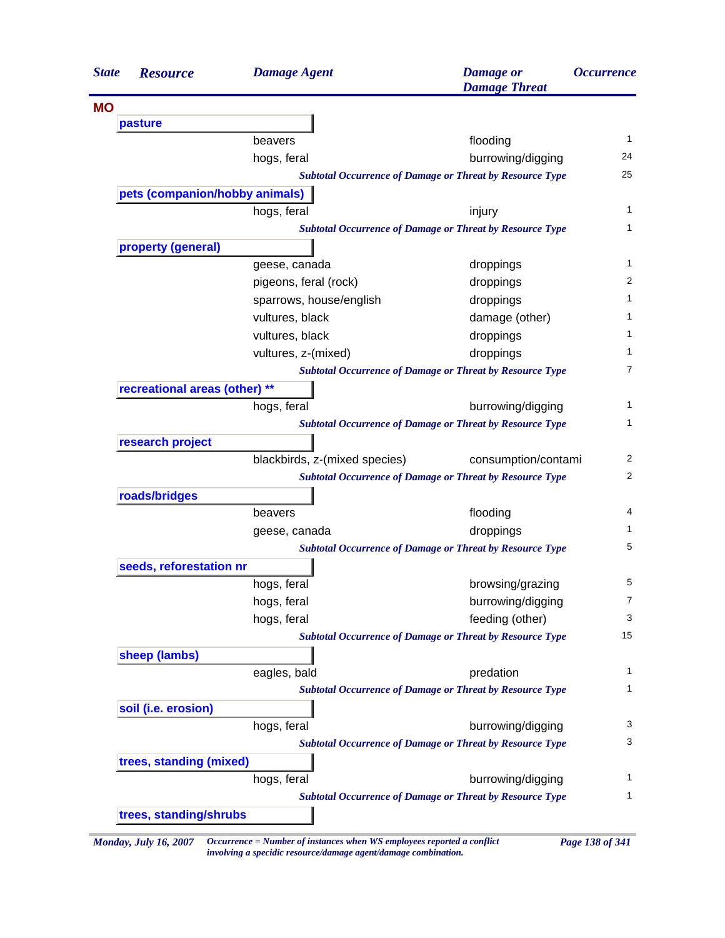| <b>State</b> | <b>Resource</b>                | <b>Damage Agent</b>           | <b>Damage</b> or<br><b>Damage Threat</b>                        | <i><b>Occurrence</b></i> |
|--------------|--------------------------------|-------------------------------|-----------------------------------------------------------------|--------------------------|
| <b>MO</b>    |                                |                               |                                                                 |                          |
|              | pasture                        |                               |                                                                 |                          |
|              |                                | beavers                       | flooding                                                        | $\mathbf 1$              |
|              |                                | hogs, feral                   | burrowing/digging                                               | 24                       |
|              |                                |                               | <b>Subtotal Occurrence of Damage or Threat by Resource Type</b> | 25                       |
|              | pets (companion/hobby animals) |                               |                                                                 |                          |
|              |                                | hogs, feral                   | injury                                                          |                          |
|              |                                |                               | <b>Subtotal Occurrence of Damage or Threat by Resource Type</b> |                          |
|              | property (general)             |                               |                                                                 |                          |
|              |                                | geese, canada                 | droppings                                                       |                          |
|              |                                | pigeons, feral (rock)         | droppings                                                       |                          |
|              |                                | sparrows, house/english       | droppings                                                       |                          |
|              |                                | vultures, black               | damage (other)                                                  |                          |
|              |                                | vultures, black               | droppings                                                       |                          |
|              |                                | vultures, z-(mixed)           | droppings                                                       |                          |
|              |                                |                               | <b>Subtotal Occurrence of Damage or Threat by Resource Type</b> |                          |
|              | recreational areas (other) **  |                               |                                                                 |                          |
|              |                                | hogs, feral                   | burrowing/digging                                               |                          |
|              |                                |                               | <b>Subtotal Occurrence of Damage or Threat by Resource Type</b> |                          |
|              | research project               |                               |                                                                 |                          |
|              |                                | blackbirds, z-(mixed species) | consumption/contami                                             |                          |
|              |                                |                               | <b>Subtotal Occurrence of Damage or Threat by Resource Type</b> |                          |
|              | roads/bridges                  |                               |                                                                 |                          |
|              |                                | beavers                       | flooding                                                        |                          |
|              |                                | geese, canada                 | droppings                                                       |                          |
|              |                                |                               | <b>Subtotal Occurrence of Damage or Threat by Resource Type</b> |                          |
|              | seeds, reforestation nr        |                               |                                                                 |                          |
|              |                                | hogs, feral                   | browsing/grazing                                                |                          |
|              |                                | hogs, feral                   | burrowing/digging                                               |                          |
|              |                                | hogs, feral                   | feeding (other)                                                 |                          |
|              |                                |                               | <b>Subtotal Occurrence of Damage or Threat by Resource Type</b> | 15                       |
|              | sheep (lambs)                  |                               |                                                                 |                          |
|              |                                | eagles, bald                  | predation                                                       |                          |
|              |                                |                               | <b>Subtotal Occurrence of Damage or Threat by Resource Type</b> |                          |
|              | soil (i.e. erosion)            |                               |                                                                 |                          |
|              |                                | hogs, feral                   | burrowing/digging                                               |                          |
|              |                                |                               | <b>Subtotal Occurrence of Damage or Threat by Resource Type</b> |                          |
|              | trees, standing (mixed)        |                               |                                                                 |                          |
|              |                                | hogs, feral                   | burrowing/digging                                               |                          |
|              |                                |                               | <b>Subtotal Occurrence of Damage or Threat by Resource Type</b> |                          |
|              |                                |                               |                                                                 |                          |

*Monday, July 16, 2007 Occurrence = Number of instances when WS employees reported a conflict Page 138 of 341 involving a specidic resource/damage agent/damage combination.*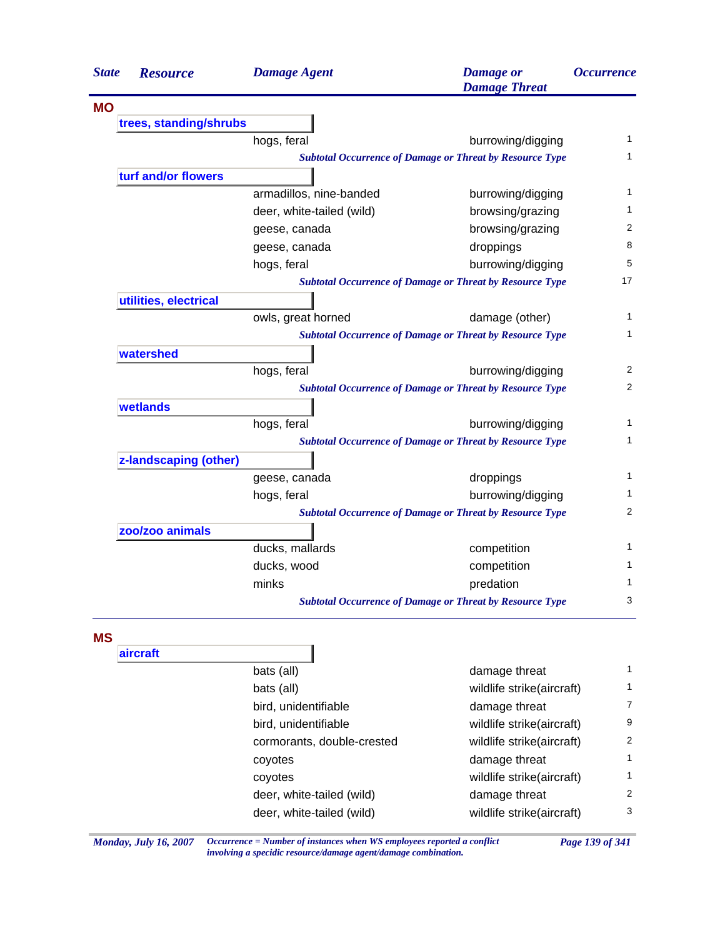| <b>State</b> | <b>Resource</b>        | <b>Damage Agent</b>       | <b>Damage</b> or<br><b>Damage Threat</b>                        | <i><b>Occurrence</b></i> |
|--------------|------------------------|---------------------------|-----------------------------------------------------------------|--------------------------|
| <b>MO</b>    |                        |                           |                                                                 |                          |
|              | trees, standing/shrubs |                           |                                                                 |                          |
|              |                        | hogs, feral               | burrowing/digging                                               | 1                        |
|              |                        |                           | <b>Subtotal Occurrence of Damage or Threat by Resource Type</b> | $\mathbf{1}$             |
|              | turf and/or flowers    |                           |                                                                 |                          |
|              |                        | armadillos, nine-banded   | burrowing/digging                                               | $\mathbf{1}$             |
|              |                        | deer, white-tailed (wild) | browsing/grazing                                                | 1                        |
|              |                        | geese, canada             | browsing/grazing                                                | 2                        |
|              |                        | geese, canada             | droppings                                                       | 8                        |
|              |                        | hogs, feral               | burrowing/digging                                               | 5                        |
|              |                        |                           | <b>Subtotal Occurrence of Damage or Threat by Resource Type</b> | 17                       |
|              | utilities, electrical  |                           |                                                                 |                          |
|              |                        | owls, great horned        | damage (other)                                                  | 1                        |
|              |                        |                           | <b>Subtotal Occurrence of Damage or Threat by Resource Type</b> | 1                        |
|              | watershed              |                           |                                                                 |                          |
|              |                        | hogs, feral               | burrowing/digging                                               | 2                        |
|              |                        |                           | <b>Subtotal Occurrence of Damage or Threat by Resource Type</b> | 2                        |
|              | wetlands               |                           |                                                                 |                          |
|              |                        | hogs, feral               | burrowing/digging                                               | $\mathbf{1}$             |
|              |                        |                           | <b>Subtotal Occurrence of Damage or Threat by Resource Type</b> | 1                        |
|              | z-landscaping (other)  |                           |                                                                 |                          |
|              |                        | geese, canada             | droppings                                                       | 1                        |
|              |                        | hogs, feral               | burrowing/digging                                               | 1                        |
|              |                        |                           | <b>Subtotal Occurrence of Damage or Threat by Resource Type</b> | 2                        |
|              | zoo/zoo animals        |                           |                                                                 |                          |
|              |                        | ducks, mallards           | competition                                                     | 1                        |
|              |                        | ducks, wood               | competition                                                     | 1                        |
|              |                        | minks                     | predation                                                       | 1                        |
|              |                        |                           | <b>Subtotal Occurrence of Damage or Threat by Resource Type</b> | 3                        |

| bats (all)                 | damage threat             | 1 |
|----------------------------|---------------------------|---|
| bats (all)                 | wildlife strike(aircraft) |   |
| bird, unidentifiable       | damage threat             | 7 |
| bird, unidentifiable       | wildlife strike(aircraft) | 9 |
| cormorants, double-crested | wildlife strike(aircraft) | 2 |
| covotes                    | damage threat             |   |
| coyotes                    | wildlife strike(aircraft) | 1 |
| deer, white-tailed (wild)  | damage threat             | 2 |
| deer, white-tailed (wild)  | wildlife strike(aircraft) | 3 |
|                            |                           |   |

*Monday, July 16, 2007 Occurrence = Number of instances when WS employees reported a conflict Page 139 of 341 involving a specidic resource/damage agent/damage combination.*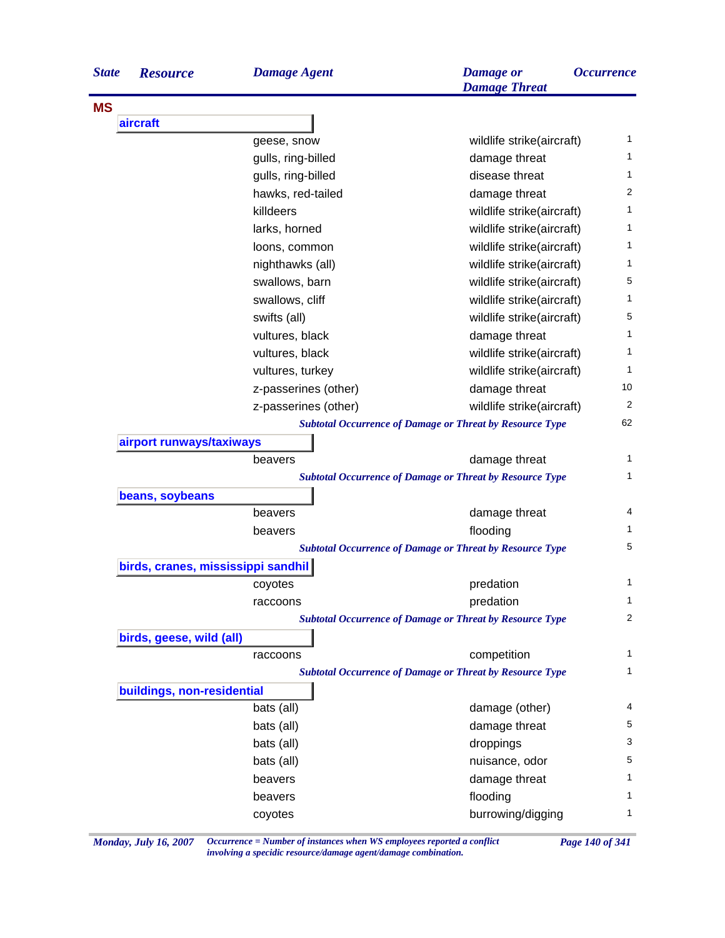| <b>State</b> | <b>Resource</b>                    | <b>Damage Agent</b>                                             | <b>Damage</b> or<br><b>Damage Threat</b> | <i><b>Occurrence</b></i> |
|--------------|------------------------------------|-----------------------------------------------------------------|------------------------------------------|--------------------------|
| <b>MS</b>    |                                    |                                                                 |                                          |                          |
|              | aircraft                           |                                                                 |                                          |                          |
|              |                                    | geese, snow                                                     | wildlife strike(aircraft)                | 1                        |
|              |                                    | gulls, ring-billed                                              | damage threat                            | 1                        |
|              |                                    | gulls, ring-billed                                              | disease threat                           | 1                        |
|              |                                    | hawks, red-tailed                                               | damage threat                            | 2                        |
|              |                                    | killdeers                                                       | wildlife strike(aircraft)                | 1                        |
|              |                                    | larks, horned                                                   | wildlife strike(aircraft)                | 1                        |
|              |                                    | loons, common                                                   | wildlife strike(aircraft)                | 1                        |
|              |                                    | nighthawks (all)                                                | wildlife strike(aircraft)                | 1                        |
|              |                                    | swallows, barn                                                  | wildlife strike(aircraft)                | 5                        |
|              |                                    | swallows, cliff                                                 | wildlife strike(aircraft)                | 1                        |
|              |                                    | swifts (all)                                                    | wildlife strike(aircraft)                | 5                        |
|              |                                    | vultures, black                                                 | damage threat                            | 1                        |
|              |                                    | vultures, black                                                 | wildlife strike(aircraft)                | 1                        |
|              |                                    | vultures, turkey                                                | wildlife strike(aircraft)                | 1                        |
|              |                                    | z-passerines (other)                                            | damage threat                            | 10                       |
|              |                                    | z-passerines (other)                                            | wildlife strike(aircraft)                | 2                        |
|              |                                    | <b>Subtotal Occurrence of Damage or Threat by Resource Type</b> |                                          | 62                       |
|              | airport runways/taxiways           |                                                                 |                                          |                          |
|              |                                    | beavers                                                         | damage threat                            | 1                        |
|              |                                    | <b>Subtotal Occurrence of Damage or Threat by Resource Type</b> |                                          | 1                        |
|              | beans, soybeans                    |                                                                 |                                          |                          |
|              |                                    | beavers                                                         | damage threat                            | 4                        |
|              |                                    | beavers                                                         | flooding                                 | 1                        |
|              |                                    | <b>Subtotal Occurrence of Damage or Threat by Resource Type</b> |                                          | 5                        |
|              | birds, cranes, mississippi sandhil |                                                                 |                                          |                          |
|              |                                    | coyotes                                                         | predation                                | 1                        |
|              |                                    | raccoons                                                        | predation                                | 1                        |
|              |                                    | <b>Subtotal Occurrence of Damage or Threat by Resource Type</b> |                                          | 2                        |
|              | birds, geese, wild (all)           |                                                                 |                                          |                          |
|              |                                    | raccoons                                                        | competition                              | 1                        |
|              |                                    | <b>Subtotal Occurrence of Damage or Threat by Resource Type</b> |                                          | 1                        |
|              | buildings, non-residential         |                                                                 |                                          |                          |
|              |                                    | bats (all)                                                      | damage (other)                           | 4                        |
|              |                                    | bats (all)                                                      | damage threat                            | 5                        |
|              |                                    | bats (all)                                                      | droppings                                | 3                        |
|              |                                    | bats (all)                                                      | nuisance, odor                           | 5                        |
|              |                                    | beavers                                                         | damage threat                            | 1                        |
|              |                                    | beavers                                                         | flooding                                 | 1                        |
|              |                                    | coyotes                                                         | burrowing/digging                        | 1                        |
|              |                                    |                                                                 |                                          |                          |

*Monday, July 16, 2007 Occurrence = Number of instances when WS employees reported a conflict Page 140 of 341 involving a specidic resource/damage agent/damage combination.*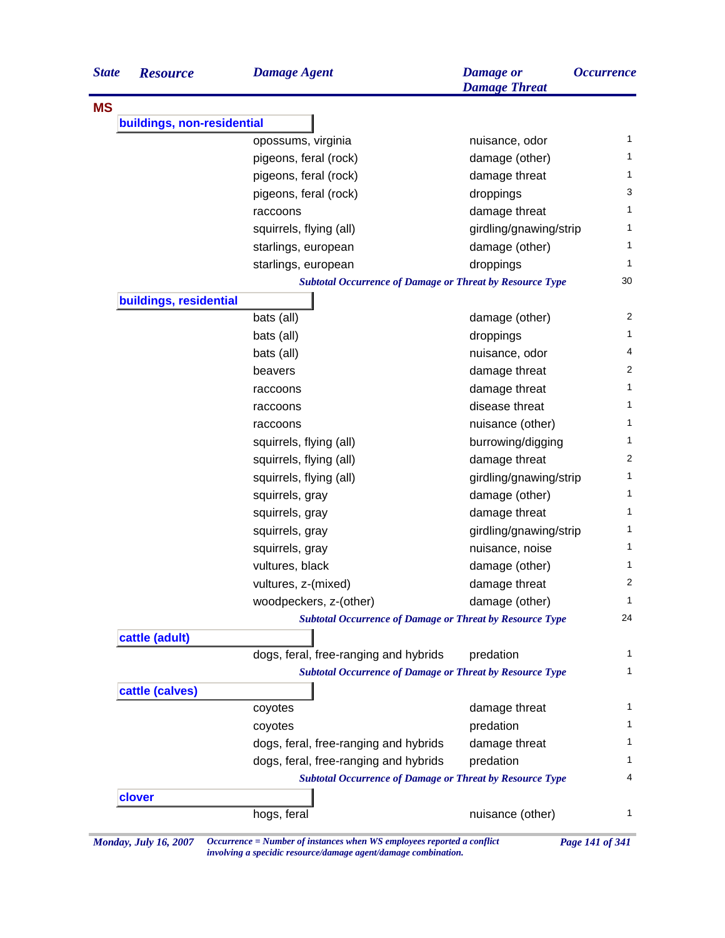| <b>State</b> | <b>Resource</b>            | <b>Damage Agent</b>                                             | <b>Damage</b> or<br><b>Damage Threat</b> | <i><b>Occurrence</b></i> |
|--------------|----------------------------|-----------------------------------------------------------------|------------------------------------------|--------------------------|
| <b>MS</b>    |                            |                                                                 |                                          |                          |
|              | buildings, non-residential |                                                                 |                                          |                          |
|              |                            | opossums, virginia                                              | nuisance, odor                           | 1                        |
|              |                            | pigeons, feral (rock)                                           | damage (other)                           | 1                        |
|              |                            | pigeons, feral (rock)                                           | damage threat                            | 1                        |
|              |                            | pigeons, feral (rock)                                           | droppings                                | 3                        |
|              |                            | raccoons                                                        | damage threat                            | 1                        |
|              |                            | squirrels, flying (all)                                         | girdling/gnawing/strip                   | 1                        |
|              |                            | starlings, european                                             | damage (other)                           | 1                        |
|              |                            | starlings, european                                             | droppings                                | 1                        |
|              |                            | <b>Subtotal Occurrence of Damage or Threat by Resource Type</b> |                                          | 30                       |
|              | buildings, residential     |                                                                 |                                          |                          |
|              |                            | bats (all)                                                      | damage (other)                           | 2                        |
|              |                            | bats (all)                                                      | droppings                                | 1                        |
|              |                            | bats (all)                                                      | nuisance, odor                           | 4                        |
|              |                            | beavers                                                         | damage threat                            | 2                        |
|              |                            | raccoons                                                        | damage threat                            | 1                        |
|              |                            | raccoons                                                        | disease threat                           | 1                        |
|              |                            | raccoons                                                        | nuisance (other)                         | 1                        |
|              |                            | squirrels, flying (all)                                         | burrowing/digging                        | 1                        |
|              |                            | squirrels, flying (all)                                         | damage threat                            | 2                        |
|              |                            | squirrels, flying (all)                                         | girdling/gnawing/strip                   | 1                        |
|              |                            | squirrels, gray                                                 | damage (other)                           | 1                        |
|              |                            | squirrels, gray                                                 | damage threat                            | 1                        |
|              |                            | squirrels, gray                                                 | girdling/gnawing/strip                   | 1                        |
|              |                            | squirrels, gray                                                 | nuisance, noise                          | 1                        |
|              |                            | vultures, black                                                 | damage (other)                           | 1                        |
|              |                            | vultures, z-(mixed)                                             | damage threat                            | $\overline{c}$           |
|              |                            | woodpeckers, z-(other)                                          | damage (other)                           | $\mathbf{1}$             |
|              |                            | <b>Subtotal Occurrence of Damage or Threat by Resource Type</b> |                                          | 24                       |
|              | cattle (adult)             |                                                                 |                                          |                          |
|              |                            | dogs, feral, free-ranging and hybrids                           | predation                                | 1                        |
|              |                            | <b>Subtotal Occurrence of Damage or Threat by Resource Type</b> |                                          | $\mathbf{1}$             |
|              | cattle (calves)            |                                                                 |                                          |                          |
|              |                            | coyotes                                                         | damage threat                            | 1                        |
|              |                            | coyotes                                                         | predation                                | 1                        |
|              |                            | dogs, feral, free-ranging and hybrids                           | damage threat                            | 1                        |
|              |                            | dogs, feral, free-ranging and hybrids                           | predation                                | 1                        |
|              |                            | <b>Subtotal Occurrence of Damage or Threat by Resource Type</b> |                                          | 4                        |
|              | clover                     |                                                                 |                                          |                          |
|              |                            | hogs, feral                                                     | nuisance (other)                         | 1                        |

*Monday, July 16, 2007 Occurrence = Number of instances when WS employees reported a conflict Page 141 of 341 involving a specidic resource/damage agent/damage combination.*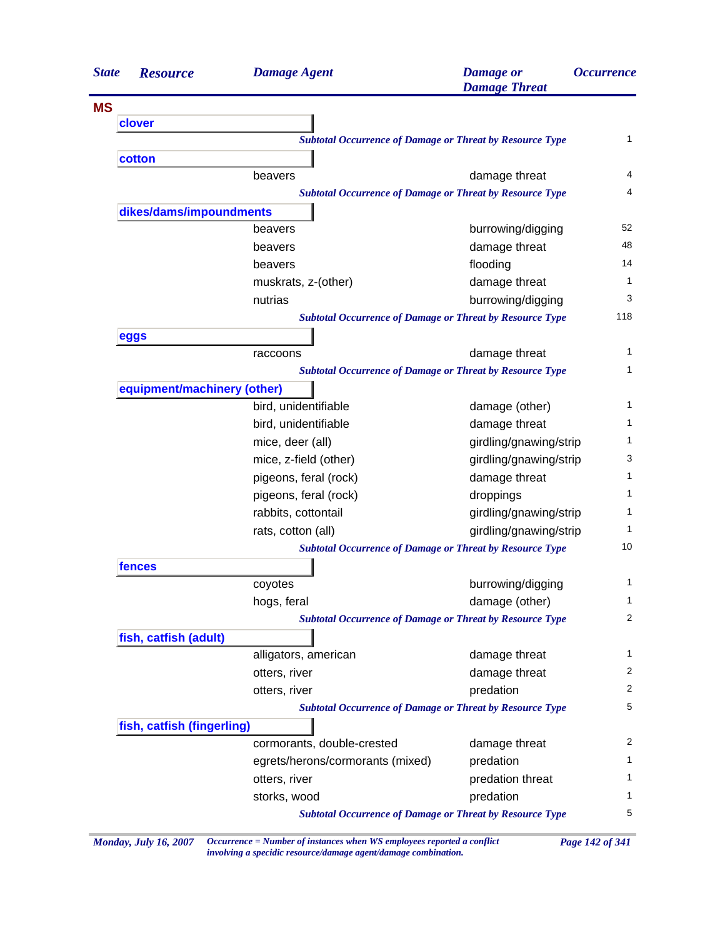| <b>State</b> | <b>Resource</b>             | <b>Damage Agent</b>                                             | <b>Damage</b> or<br><b>Damage Threat</b> | <i><b>Occurrence</b></i> |
|--------------|-----------------------------|-----------------------------------------------------------------|------------------------------------------|--------------------------|
| <b>MS</b>    |                             |                                                                 |                                          |                          |
|              | clover                      |                                                                 |                                          |                          |
|              |                             | <b>Subtotal Occurrence of Damage or Threat by Resource Type</b> |                                          | $\mathbf{1}$             |
|              | cotton                      |                                                                 |                                          |                          |
|              |                             | beavers                                                         | damage threat                            |                          |
|              |                             | <b>Subtotal Occurrence of Damage or Threat by Resource Type</b> |                                          |                          |
|              | dikes/dams/impoundments     |                                                                 |                                          |                          |
|              |                             | beavers                                                         | burrowing/digging                        | 52                       |
|              |                             | beavers                                                         | damage threat                            | 48                       |
|              |                             | beavers                                                         | flooding                                 | 14                       |
|              |                             | muskrats, z-(other)                                             | damage threat                            |                          |
|              |                             | nutrias                                                         | burrowing/digging                        |                          |
|              |                             | <b>Subtotal Occurrence of Damage or Threat by Resource Type</b> |                                          | 118                      |
|              | eggs                        |                                                                 |                                          |                          |
|              |                             | raccoons                                                        | damage threat                            |                          |
|              |                             | <b>Subtotal Occurrence of Damage or Threat by Resource Type</b> |                                          |                          |
|              | equipment/machinery (other) |                                                                 |                                          |                          |
|              |                             | bird, unidentifiable                                            | damage (other)                           |                          |
|              |                             | bird, unidentifiable                                            | damage threat                            |                          |
|              |                             | mice, deer (all)                                                | girdling/gnawing/strip                   |                          |
|              |                             | mice, z-field (other)                                           | girdling/gnawing/strip                   |                          |
|              |                             | pigeons, feral (rock)                                           | damage threat                            |                          |
|              |                             | pigeons, feral (rock)                                           | droppings                                |                          |
|              |                             | rabbits, cottontail                                             | girdling/gnawing/strip                   |                          |
|              |                             | rats, cotton (all)                                              | girdling/gnawing/strip                   |                          |
|              |                             | <b>Subtotal Occurrence of Damage or Threat by Resource Type</b> |                                          | 10                       |
|              | fences                      |                                                                 |                                          |                          |
|              |                             | coyotes                                                         | burrowing/digging                        |                          |
|              |                             | hogs, feral                                                     | damage (other)                           |                          |
|              |                             | <b>Subtotal Occurrence of Damage or Threat by Resource Type</b> |                                          |                          |
|              | fish, catfish (adult)       |                                                                 |                                          |                          |
|              |                             | alligators, american                                            | damage threat                            |                          |
|              |                             | otters, river                                                   | damage threat                            |                          |
|              |                             | otters, river                                                   | predation                                |                          |
|              |                             | <b>Subtotal Occurrence of Damage or Threat by Resource Type</b> |                                          |                          |
|              | fish, catfish (fingerling)  |                                                                 |                                          |                          |
|              |                             | cormorants, double-crested                                      | damage threat                            |                          |
|              |                             | egrets/herons/cormorants (mixed)                                | predation                                |                          |
|              |                             | otters, river                                                   | predation threat                         |                          |
|              |                             | storks, wood                                                    | predation                                |                          |
|              |                             | <b>Subtotal Occurrence of Damage or Threat by Resource Type</b> |                                          |                          |

*Monday, July 16, 2007 Occurrence = Number of instances when WS employees reported a conflict Page 142 of 341 involving a specidic resource/damage agent/damage combination.*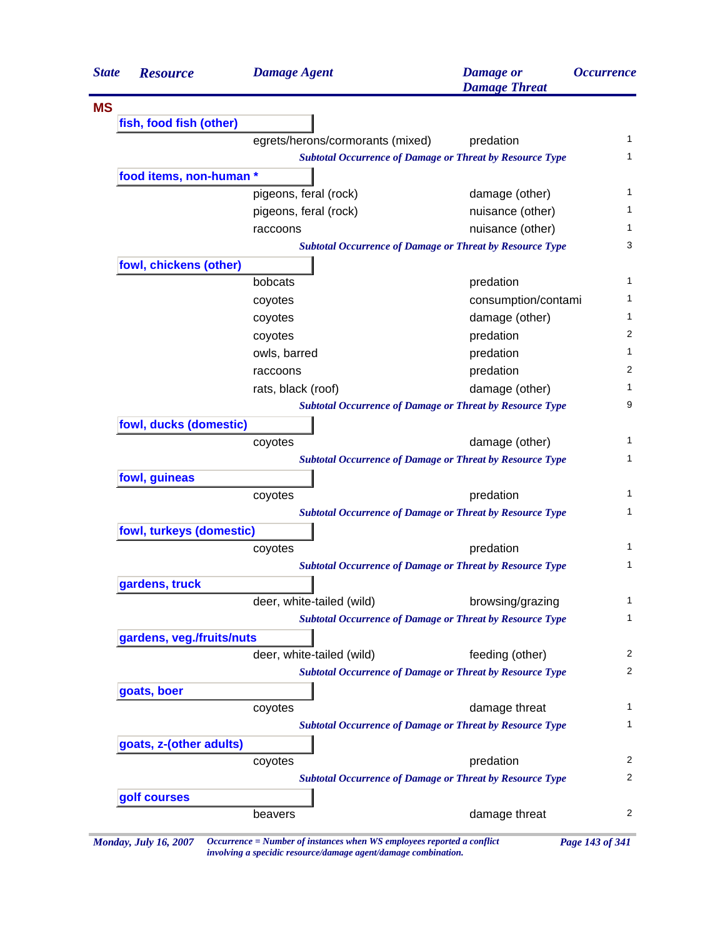| <b>State</b> | <b>Resource</b>                                                 | <b>Damage Agent</b>              | <b>Damage</b> or<br><b>Damage Threat</b>                        | <i><b>Occurrence</b></i> |  |
|--------------|-----------------------------------------------------------------|----------------------------------|-----------------------------------------------------------------|--------------------------|--|
| <b>MS</b>    |                                                                 |                                  |                                                                 |                          |  |
|              | fish, food fish (other)                                         |                                  |                                                                 |                          |  |
|              |                                                                 | egrets/herons/cormorants (mixed) | predation                                                       | $\mathbf{1}$             |  |
|              | <b>Subtotal Occurrence of Damage or Threat by Resource Type</b> |                                  |                                                                 |                          |  |
|              | food items, non-human *                                         |                                  |                                                                 |                          |  |
|              |                                                                 | pigeons, feral (rock)            | damage (other)                                                  | 1                        |  |
|              |                                                                 | pigeons, feral (rock)            | nuisance (other)                                                | 1                        |  |
|              |                                                                 | raccoons                         | nuisance (other)                                                |                          |  |
|              | <b>Subtotal Occurrence of Damage or Threat by Resource Type</b> |                                  |                                                                 |                          |  |
|              | fowl, chickens (other)                                          |                                  |                                                                 |                          |  |
|              |                                                                 | bobcats                          | predation                                                       | 1                        |  |
|              |                                                                 | coyotes                          | consumption/contami                                             | 1.                       |  |
|              |                                                                 | coyotes                          | damage (other)                                                  | 1                        |  |
|              |                                                                 | coyotes                          | predation                                                       | 2                        |  |
|              |                                                                 | owls, barred                     | predation                                                       | 1                        |  |
|              |                                                                 | raccoons                         | predation                                                       | 2                        |  |
|              |                                                                 | rats, black (roof)               | damage (other)                                                  | 1                        |  |
|              |                                                                 |                                  | <b>Subtotal Occurrence of Damage or Threat by Resource Type</b> | 9                        |  |
|              | fowl, ducks (domestic)                                          |                                  |                                                                 |                          |  |
|              |                                                                 | coyotes                          | damage (other)                                                  | 1.                       |  |
|              |                                                                 |                                  | <b>Subtotal Occurrence of Damage or Threat by Resource Type</b> | $\mathbf{1}$             |  |
|              | fowl, guineas                                                   |                                  |                                                                 |                          |  |
|              |                                                                 | coyotes                          | predation                                                       | 1                        |  |
|              | <b>Subtotal Occurrence of Damage or Threat by Resource Type</b> |                                  |                                                                 |                          |  |
|              | fowl, turkeys (domestic)                                        |                                  |                                                                 |                          |  |
|              |                                                                 | coyotes                          | predation                                                       | 1                        |  |
|              |                                                                 |                                  | <b>Subtotal Occurrence of Damage or Threat by Resource Type</b> | 1                        |  |
|              | gardens, truck                                                  |                                  |                                                                 |                          |  |
|              |                                                                 | deer, white-tailed (wild)        | browsing/grazing                                                | 1                        |  |
|              |                                                                 |                                  | <b>Subtotal Occurrence of Damage or Threat by Resource Type</b> | 1                        |  |
|              | gardens, veg./fruits/nuts                                       |                                  |                                                                 |                          |  |
|              |                                                                 | deer, white-tailed (wild)        | feeding (other)                                                 | 2                        |  |
|              |                                                                 |                                  | <b>Subtotal Occurrence of Damage or Threat by Resource Type</b> | 2                        |  |
|              | goats, boer                                                     |                                  |                                                                 |                          |  |
|              |                                                                 | coyotes                          | damage threat                                                   | 1                        |  |
|              |                                                                 |                                  | <b>Subtotal Occurrence of Damage or Threat by Resource Type</b> | 1                        |  |
|              | goats, z-(other adults)                                         |                                  |                                                                 |                          |  |
|              |                                                                 | coyotes                          | predation                                                       | 2                        |  |
|              |                                                                 |                                  | <b>Subtotal Occurrence of Damage or Threat by Resource Type</b> | 2                        |  |
|              | golf courses                                                    |                                  |                                                                 |                          |  |
|              |                                                                 | beavers                          | damage threat                                                   | $\overline{c}$           |  |

*Monday, July 16, 2007 Occurrence = Number of instances when WS employees reported a conflict Page 143 of 341 involving a specidic resource/damage agent/damage combination.*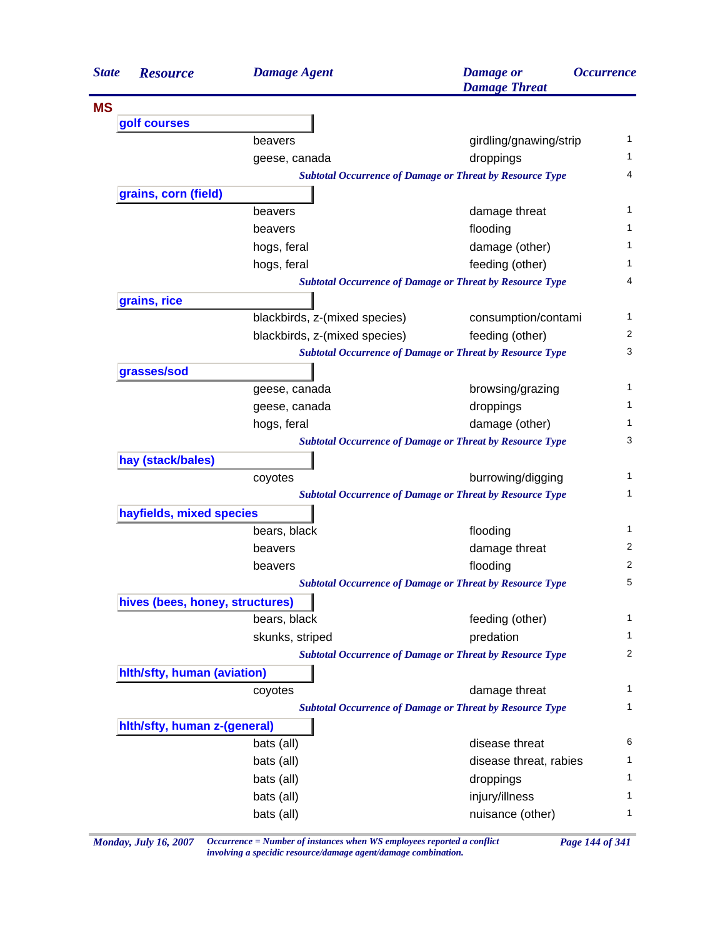| <b>State</b> | <b>Resource</b>                 | <b>Damage Agent</b>                                             | <b>Damage</b> or<br><b>Damage Threat</b> | <i><b>Occurrence</b></i> |  |
|--------------|---------------------------------|-----------------------------------------------------------------|------------------------------------------|--------------------------|--|
| <b>MS</b>    |                                 |                                                                 |                                          |                          |  |
|              | golf courses                    |                                                                 |                                          |                          |  |
|              |                                 | beavers                                                         | girdling/gnawing/strip                   | 1                        |  |
|              |                                 | geese, canada                                                   | droppings                                | 1.                       |  |
|              |                                 | <b>Subtotal Occurrence of Damage or Threat by Resource Type</b> |                                          | 4                        |  |
|              | grains, corn (field)            |                                                                 |                                          |                          |  |
|              |                                 | beavers                                                         | damage threat                            | 1                        |  |
|              |                                 | beavers                                                         | flooding                                 | 1                        |  |
|              |                                 | hogs, feral                                                     | damage (other)                           | 1                        |  |
|              |                                 | hogs, feral                                                     | feeding (other)                          | 1                        |  |
|              |                                 | <b>Subtotal Occurrence of Damage or Threat by Resource Type</b> |                                          | 4                        |  |
|              | grains, rice                    |                                                                 |                                          |                          |  |
|              |                                 | blackbirds, z-(mixed species)                                   | consumption/contami                      | 1                        |  |
|              |                                 | blackbirds, z-(mixed species)                                   | feeding (other)                          | 2                        |  |
|              |                                 | <b>Subtotal Occurrence of Damage or Threat by Resource Type</b> |                                          | 3                        |  |
|              | grasses/sod                     |                                                                 |                                          |                          |  |
|              |                                 | geese, canada                                                   | browsing/grazing                         | 1                        |  |
|              |                                 | geese, canada                                                   | droppings                                | 1                        |  |
|              |                                 | hogs, feral                                                     | damage (other)                           | 1                        |  |
|              |                                 | <b>Subtotal Occurrence of Damage or Threat by Resource Type</b> |                                          | 3                        |  |
|              | hay (stack/bales)               |                                                                 |                                          |                          |  |
|              |                                 | coyotes                                                         | burrowing/digging                        | 1                        |  |
|              |                                 | <b>Subtotal Occurrence of Damage or Threat by Resource Type</b> |                                          | 1                        |  |
|              | hayfields, mixed species        |                                                                 |                                          |                          |  |
|              |                                 | bears, black                                                    | flooding                                 | 1                        |  |
|              |                                 | beavers                                                         | damage threat                            | 2                        |  |
|              |                                 | beavers                                                         | flooding                                 | 2                        |  |
|              |                                 | <b>Subtotal Occurrence of Damage or Threat by Resource Type</b> |                                          | 5                        |  |
|              | hives (bees, honey, structures) |                                                                 |                                          |                          |  |
|              |                                 | bears, black                                                    | feeding (other)                          | $\mathbf{1}$             |  |
|              |                                 | skunks, striped                                                 | predation                                | $\mathbf{1}$             |  |
|              |                                 | <b>Subtotal Occurrence of Damage or Threat by Resource Type</b> |                                          | 2                        |  |
|              | hith/sfty, human (aviation)     |                                                                 |                                          |                          |  |
|              |                                 | coyotes                                                         | damage threat                            | $\mathbf{1}$             |  |
|              |                                 | <b>Subtotal Occurrence of Damage or Threat by Resource Type</b> |                                          | 1                        |  |
|              | hith/sfty, human z-(general)    |                                                                 |                                          |                          |  |
|              |                                 | bats (all)                                                      | disease threat                           | 6                        |  |
|              |                                 | bats (all)                                                      | disease threat, rabies                   | 1                        |  |
|              |                                 | bats (all)                                                      | droppings                                | 1                        |  |
|              |                                 | bats (all)                                                      |                                          | 1                        |  |
|              |                                 |                                                                 | injury/illness                           | 1                        |  |
|              |                                 | bats (all)                                                      | nuisance (other)                         |                          |  |

*Monday, July 16, 2007 Occurrence = Number of instances when WS employees reported a conflict Page 144 of 341 involving a specidic resource/damage agent/damage combination.*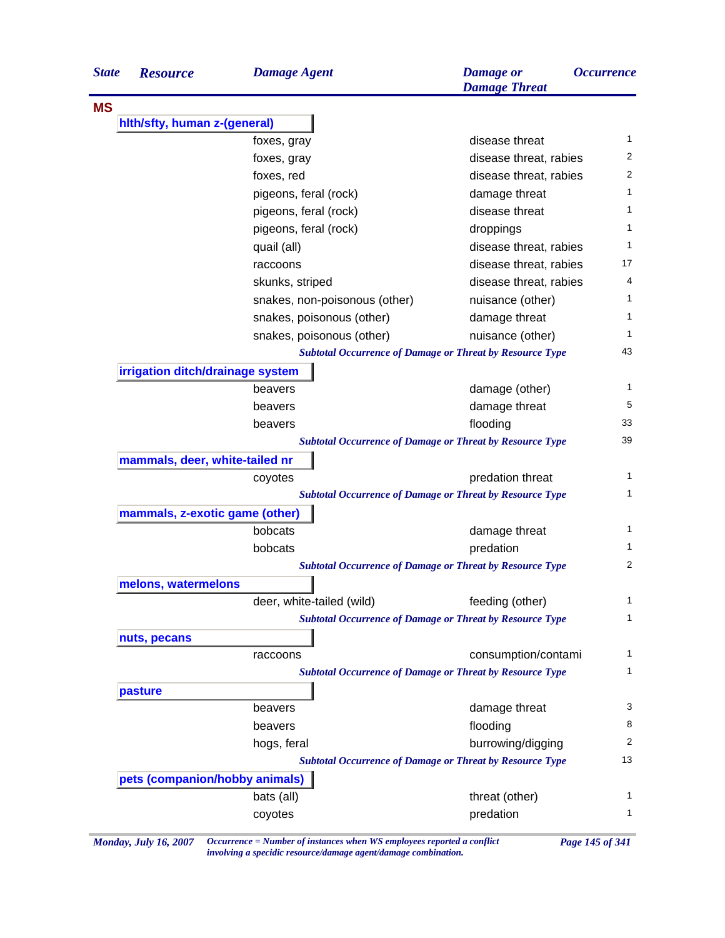| <b>State</b> | <b>Resource</b>                  | <b>Damage Agent</b>           | <b>Damage</b> or<br><b>Damage Threat</b>                        | <i><b>Occurrence</b></i> |
|--------------|----------------------------------|-------------------------------|-----------------------------------------------------------------|--------------------------|
| <b>MS</b>    |                                  |                               |                                                                 |                          |
|              | hith/sfty, human z-(general)     |                               |                                                                 |                          |
|              |                                  | foxes, gray                   | disease threat                                                  | 1                        |
|              |                                  | foxes, gray                   | disease threat, rabies                                          | 2                        |
|              |                                  | foxes, red                    | disease threat, rabies                                          | $\overline{2}$           |
|              |                                  | pigeons, feral (rock)         | damage threat                                                   | 1                        |
|              |                                  | pigeons, feral (rock)         | disease threat                                                  | 1                        |
|              |                                  | pigeons, feral (rock)         | droppings                                                       | 1                        |
|              |                                  | quail (all)                   | disease threat, rabies                                          | 1                        |
|              |                                  | raccoons                      | disease threat, rabies                                          | 17                       |
|              |                                  | skunks, striped               | disease threat, rabies                                          | 4                        |
|              |                                  | snakes, non-poisonous (other) | nuisance (other)                                                | 1                        |
|              |                                  | snakes, poisonous (other)     | damage threat                                                   | 1                        |
|              |                                  | snakes, poisonous (other)     | nuisance (other)                                                | 1                        |
|              |                                  |                               | <b>Subtotal Occurrence of Damage or Threat by Resource Type</b> | 43                       |
|              | irrigation ditch/drainage system |                               |                                                                 |                          |
|              |                                  | beavers                       | damage (other)                                                  | 1                        |
|              |                                  | beavers                       | damage threat                                                   | 5                        |
|              |                                  | beavers                       | flooding                                                        | 33                       |
|              |                                  |                               | <b>Subtotal Occurrence of Damage or Threat by Resource Type</b> | 39                       |
|              | mammals, deer, white-tailed nr   |                               |                                                                 |                          |
|              |                                  | coyotes                       | predation threat                                                | 1                        |
|              |                                  |                               | <b>Subtotal Occurrence of Damage or Threat by Resource Type</b> | 1                        |
|              | mammals, z-exotic game (other)   |                               |                                                                 |                          |
|              |                                  | bobcats                       | damage threat                                                   | 1                        |
|              |                                  | bobcats                       | predation                                                       | 1                        |
|              |                                  |                               | <b>Subtotal Occurrence of Damage or Threat by Resource Type</b> | 2                        |
|              | melons, watermelons              |                               |                                                                 |                          |
|              |                                  | deer, white-tailed (wild)     | feeding (other)                                                 | 1                        |
|              |                                  |                               | <b>Subtotal Occurrence of Damage or Threat by Resource Type</b> | 1                        |
|              | nuts, pecans                     |                               |                                                                 |                          |
|              |                                  | raccoons                      | consumption/contami                                             | 1                        |
|              |                                  |                               | <b>Subtotal Occurrence of Damage or Threat by Resource Type</b> | 1                        |
|              | pasture                          |                               |                                                                 |                          |
|              |                                  | beavers                       | damage threat                                                   | 3                        |
|              |                                  | beavers                       | flooding                                                        | 8                        |
|              |                                  | hogs, feral                   | burrowing/digging                                               | 2                        |
|              |                                  |                               | <b>Subtotal Occurrence of Damage or Threat by Resource Type</b> | 13                       |
|              | pets (companion/hobby animals)   |                               |                                                                 |                          |
|              |                                  | bats (all)                    | threat (other)                                                  | 1                        |
|              |                                  | coyotes                       | predation                                                       | 1                        |

*Monday, July 16, 2007 Occurrence = Number of instances when WS employees reported a conflict Page 145 of 341 involving a specidic resource/damage agent/damage combination.*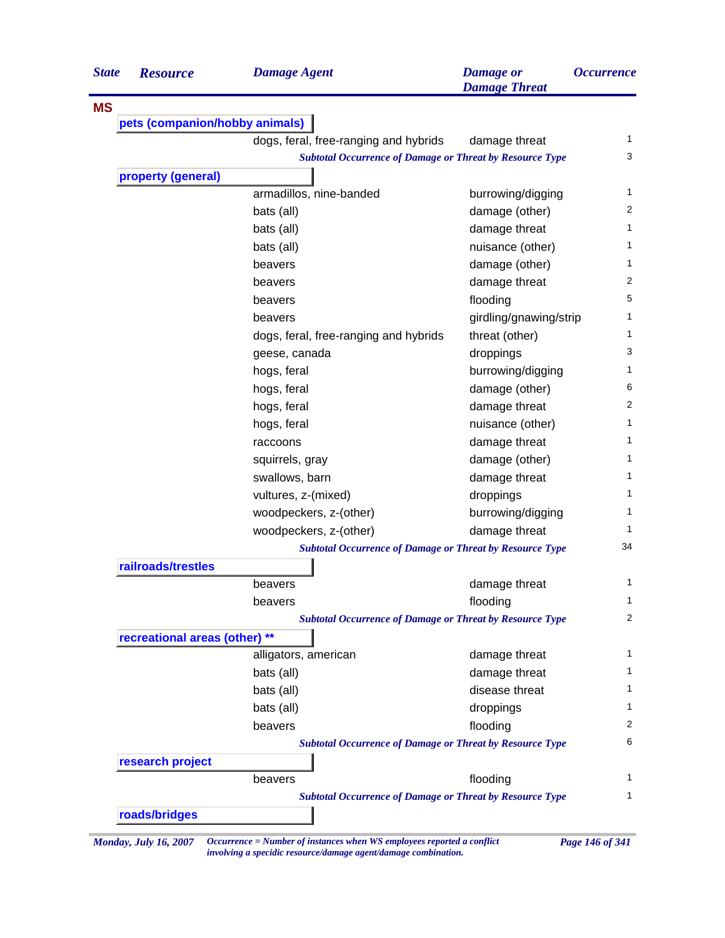| <b>State</b> | <b>Resource</b>                                                                                                                                                                                                                                                                                                                                                                                                                                                                                                                                                                                                                                       | <b>Damage Agent</b>                                             | <b>Damage</b> or<br><b>Damage Threat</b> | <i><b>Occurrence</b></i> |  |
|--------------|-------------------------------------------------------------------------------------------------------------------------------------------------------------------------------------------------------------------------------------------------------------------------------------------------------------------------------------------------------------------------------------------------------------------------------------------------------------------------------------------------------------------------------------------------------------------------------------------------------------------------------------------------------|-----------------------------------------------------------------|------------------------------------------|--------------------------|--|
| <b>MS</b>    |                                                                                                                                                                                                                                                                                                                                                                                                                                                                                                                                                                                                                                                       |                                                                 |                                          |                          |  |
|              |                                                                                                                                                                                                                                                                                                                                                                                                                                                                                                                                                                                                                                                       |                                                                 |                                          |                          |  |
|              | pets (companion/hobby animals)<br>dogs, feral, free-ranging and hybrids<br>damage threat<br><b>Subtotal Occurrence of Damage or Threat by Resource Type</b><br>property (general)<br>armadillos, nine-banded<br>burrowing/digging<br>bats (all)<br>damage (other)<br>damage threat<br>bats (all)<br>bats (all)<br>nuisance (other)<br>damage (other)<br>beavers<br>damage threat<br>beavers<br>flooding<br>beavers<br>girdling/gnawing/strip<br>beavers<br>threat (other)<br>dogs, feral, free-ranging and hybrids<br>droppings<br>geese, canada<br>burrowing/digging<br>hogs, feral<br>hogs, feral<br>damage (other)<br>hogs, feral<br>damage threat |                                                                 |                                          |                          |  |
|              |                                                                                                                                                                                                                                                                                                                                                                                                                                                                                                                                                                                                                                                       |                                                                 |                                          |                          |  |
|              |                                                                                                                                                                                                                                                                                                                                                                                                                                                                                                                                                                                                                                                       |                                                                 |                                          |                          |  |
|              |                                                                                                                                                                                                                                                                                                                                                                                                                                                                                                                                                                                                                                                       |                                                                 |                                          | 1                        |  |
|              |                                                                                                                                                                                                                                                                                                                                                                                                                                                                                                                                                                                                                                                       |                                                                 |                                          | 2                        |  |
|              |                                                                                                                                                                                                                                                                                                                                                                                                                                                                                                                                                                                                                                                       |                                                                 |                                          | 1                        |  |
|              |                                                                                                                                                                                                                                                                                                                                                                                                                                                                                                                                                                                                                                                       |                                                                 |                                          | 1                        |  |
|              |                                                                                                                                                                                                                                                                                                                                                                                                                                                                                                                                                                                                                                                       |                                                                 |                                          | 1                        |  |
|              |                                                                                                                                                                                                                                                                                                                                                                                                                                                                                                                                                                                                                                                       |                                                                 |                                          | 2                        |  |
|              |                                                                                                                                                                                                                                                                                                                                                                                                                                                                                                                                                                                                                                                       |                                                                 |                                          | 5                        |  |
|              |                                                                                                                                                                                                                                                                                                                                                                                                                                                                                                                                                                                                                                                       |                                                                 |                                          | 1                        |  |
|              |                                                                                                                                                                                                                                                                                                                                                                                                                                                                                                                                                                                                                                                       |                                                                 |                                          | 1                        |  |
|              |                                                                                                                                                                                                                                                                                                                                                                                                                                                                                                                                                                                                                                                       |                                                                 |                                          | 3                        |  |
|              |                                                                                                                                                                                                                                                                                                                                                                                                                                                                                                                                                                                                                                                       |                                                                 |                                          | 1                        |  |
|              |                                                                                                                                                                                                                                                                                                                                                                                                                                                                                                                                                                                                                                                       |                                                                 |                                          | 6                        |  |
|              |                                                                                                                                                                                                                                                                                                                                                                                                                                                                                                                                                                                                                                                       |                                                                 |                                          | 2                        |  |
|              |                                                                                                                                                                                                                                                                                                                                                                                                                                                                                                                                                                                                                                                       | hogs, feral                                                     | nuisance (other)                         | 1                        |  |
|              |                                                                                                                                                                                                                                                                                                                                                                                                                                                                                                                                                                                                                                                       | raccoons                                                        | damage threat                            | 1                        |  |
|              |                                                                                                                                                                                                                                                                                                                                                                                                                                                                                                                                                                                                                                                       | squirrels, gray                                                 | damage (other)                           | 1                        |  |
|              |                                                                                                                                                                                                                                                                                                                                                                                                                                                                                                                                                                                                                                                       | swallows, barn                                                  | damage threat                            | 1                        |  |
|              |                                                                                                                                                                                                                                                                                                                                                                                                                                                                                                                                                                                                                                                       | vultures, z-(mixed)                                             | droppings                                | 1                        |  |
|              |                                                                                                                                                                                                                                                                                                                                                                                                                                                                                                                                                                                                                                                       | woodpeckers, z-(other)                                          | burrowing/digging                        | 1                        |  |
|              |                                                                                                                                                                                                                                                                                                                                                                                                                                                                                                                                                                                                                                                       | woodpeckers, z-(other)                                          | damage threat                            | 1                        |  |
|              |                                                                                                                                                                                                                                                                                                                                                                                                                                                                                                                                                                                                                                                       | <b>Subtotal Occurrence of Damage or Threat by Resource Type</b> |                                          | 34                       |  |
|              | railroads/trestles                                                                                                                                                                                                                                                                                                                                                                                                                                                                                                                                                                                                                                    |                                                                 |                                          |                          |  |
|              |                                                                                                                                                                                                                                                                                                                                                                                                                                                                                                                                                                                                                                                       | beavers                                                         | damage threat                            | 1                        |  |
|              |                                                                                                                                                                                                                                                                                                                                                                                                                                                                                                                                                                                                                                                       | beavers                                                         | flooding                                 | $\mathbf{1}$             |  |
|              |                                                                                                                                                                                                                                                                                                                                                                                                                                                                                                                                                                                                                                                       | <b>Subtotal Occurrence of Damage or Threat by Resource Type</b> |                                          | 2                        |  |
|              | recreational areas (other) **                                                                                                                                                                                                                                                                                                                                                                                                                                                                                                                                                                                                                         |                                                                 |                                          |                          |  |
|              |                                                                                                                                                                                                                                                                                                                                                                                                                                                                                                                                                                                                                                                       | alligators, american                                            | damage threat                            | 1                        |  |
|              |                                                                                                                                                                                                                                                                                                                                                                                                                                                                                                                                                                                                                                                       | bats (all)                                                      | damage threat                            | 1.                       |  |
|              |                                                                                                                                                                                                                                                                                                                                                                                                                                                                                                                                                                                                                                                       | bats (all)                                                      | disease threat                           | 1.                       |  |
|              |                                                                                                                                                                                                                                                                                                                                                                                                                                                                                                                                                                                                                                                       | bats (all)                                                      | droppings                                | 1                        |  |
|              |                                                                                                                                                                                                                                                                                                                                                                                                                                                                                                                                                                                                                                                       | beavers                                                         | flooding                                 | 2                        |  |
|              |                                                                                                                                                                                                                                                                                                                                                                                                                                                                                                                                                                                                                                                       | <b>Subtotal Occurrence of Damage or Threat by Resource Type</b> |                                          | 6                        |  |
|              | research project                                                                                                                                                                                                                                                                                                                                                                                                                                                                                                                                                                                                                                      |                                                                 |                                          |                          |  |
|              |                                                                                                                                                                                                                                                                                                                                                                                                                                                                                                                                                                                                                                                       | beavers                                                         | flooding                                 | 1                        |  |
|              |                                                                                                                                                                                                                                                                                                                                                                                                                                                                                                                                                                                                                                                       | <b>Subtotal Occurrence of Damage or Threat by Resource Type</b> |                                          | 1                        |  |
|              | roads/bridges                                                                                                                                                                                                                                                                                                                                                                                                                                                                                                                                                                                                                                         |                                                                 |                                          |                          |  |

*Monday, July 16, 2007 Occurrence = Number of instances when WS employees reported a conflict Page 146 of 341 involving a specidic resource/damage agent/damage combination.*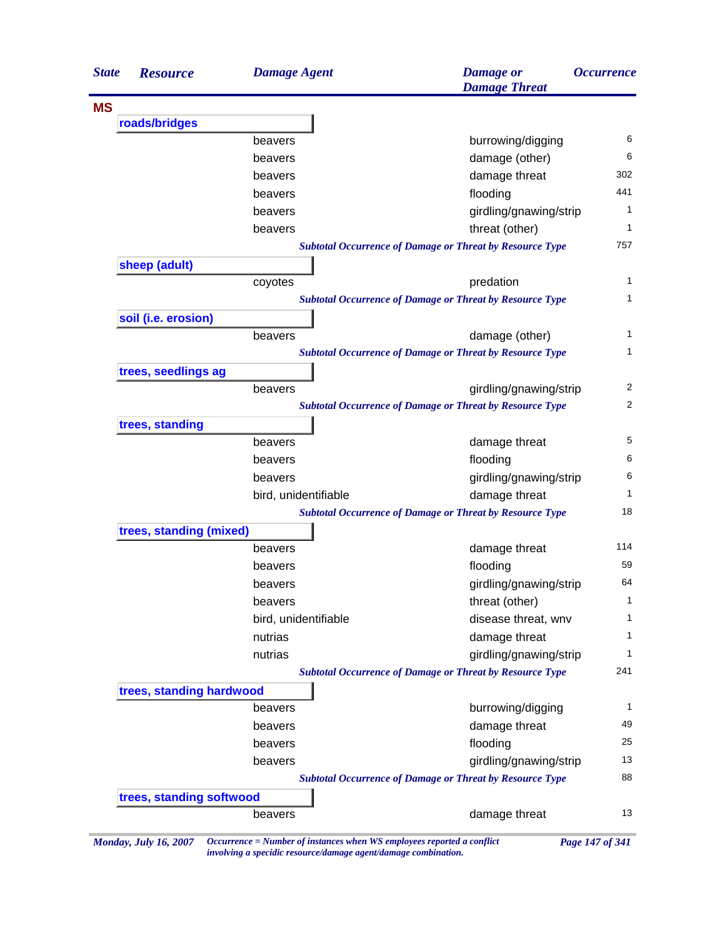| roads/bridges<br>sheep (adult)<br>soil (i.e. erosion)<br>trees, seedlings ag<br>trees, standing<br>trees, standing (mixed) | beavers<br>beavers<br>beavers<br>beavers<br>beavers<br>beavers<br>coyotes<br>beavers | burrowing/digging<br>damage (other)<br>damage threat<br>flooding<br>girdling/gnawing/strip<br>threat (other)<br><b>Subtotal Occurrence of Damage or Threat by Resource Type</b><br>predation<br><b>Subtotal Occurrence of Damage or Threat by Resource Type</b> | 6<br>6<br>302<br>441<br>$\mathbf{1}$<br>1<br>757<br>$\mathbf{1}$ |
|----------------------------------------------------------------------------------------------------------------------------|--------------------------------------------------------------------------------------|-----------------------------------------------------------------------------------------------------------------------------------------------------------------------------------------------------------------------------------------------------------------|------------------------------------------------------------------|
|                                                                                                                            |                                                                                      |                                                                                                                                                                                                                                                                 |                                                                  |
|                                                                                                                            |                                                                                      |                                                                                                                                                                                                                                                                 |                                                                  |
|                                                                                                                            |                                                                                      |                                                                                                                                                                                                                                                                 |                                                                  |
|                                                                                                                            |                                                                                      |                                                                                                                                                                                                                                                                 |                                                                  |
|                                                                                                                            |                                                                                      |                                                                                                                                                                                                                                                                 |                                                                  |
|                                                                                                                            |                                                                                      |                                                                                                                                                                                                                                                                 |                                                                  |
|                                                                                                                            |                                                                                      |                                                                                                                                                                                                                                                                 |                                                                  |
|                                                                                                                            |                                                                                      |                                                                                                                                                                                                                                                                 |                                                                  |
|                                                                                                                            |                                                                                      |                                                                                                                                                                                                                                                                 |                                                                  |
|                                                                                                                            |                                                                                      |                                                                                                                                                                                                                                                                 |                                                                  |
|                                                                                                                            |                                                                                      |                                                                                                                                                                                                                                                                 |                                                                  |
|                                                                                                                            |                                                                                      |                                                                                                                                                                                                                                                                 | $\mathbf{1}$                                                     |
|                                                                                                                            |                                                                                      |                                                                                                                                                                                                                                                                 |                                                                  |
|                                                                                                                            |                                                                                      | damage (other)                                                                                                                                                                                                                                                  | 1                                                                |
|                                                                                                                            |                                                                                      | <b>Subtotal Occurrence of Damage or Threat by Resource Type</b>                                                                                                                                                                                                 |                                                                  |
|                                                                                                                            |                                                                                      |                                                                                                                                                                                                                                                                 |                                                                  |
|                                                                                                                            | beavers                                                                              | girdling/gnawing/strip                                                                                                                                                                                                                                          | 2                                                                |
|                                                                                                                            |                                                                                      | <b>Subtotal Occurrence of Damage or Threat by Resource Type</b>                                                                                                                                                                                                 | 2                                                                |
|                                                                                                                            |                                                                                      |                                                                                                                                                                                                                                                                 |                                                                  |
|                                                                                                                            | beavers                                                                              | damage threat                                                                                                                                                                                                                                                   | 5                                                                |
|                                                                                                                            | beavers                                                                              | flooding                                                                                                                                                                                                                                                        | 6                                                                |
|                                                                                                                            | beavers                                                                              | girdling/gnawing/strip                                                                                                                                                                                                                                          | 6                                                                |
|                                                                                                                            | bird, unidentifiable                                                                 | damage threat                                                                                                                                                                                                                                                   | 1                                                                |
|                                                                                                                            |                                                                                      | <b>Subtotal Occurrence of Damage or Threat by Resource Type</b>                                                                                                                                                                                                 | 18                                                               |
|                                                                                                                            |                                                                                      |                                                                                                                                                                                                                                                                 |                                                                  |
|                                                                                                                            | beavers                                                                              | damage threat                                                                                                                                                                                                                                                   | 114                                                              |
|                                                                                                                            | beavers                                                                              | flooding                                                                                                                                                                                                                                                        | 59                                                               |
|                                                                                                                            | beavers                                                                              | girdling/gnawing/strip                                                                                                                                                                                                                                          | 64                                                               |
|                                                                                                                            | beavers                                                                              | threat (other)                                                                                                                                                                                                                                                  | $\mathbf{1}$                                                     |
|                                                                                                                            | bird, unidentifiable                                                                 | disease threat, wnv                                                                                                                                                                                                                                             |                                                                  |
|                                                                                                                            | nutrias                                                                              | damage threat                                                                                                                                                                                                                                                   | $\mathbf{1}$                                                     |
|                                                                                                                            | nutrias                                                                              | girdling/gnawing/strip                                                                                                                                                                                                                                          | 1                                                                |
|                                                                                                                            |                                                                                      | <b>Subtotal Occurrence of Damage or Threat by Resource Type</b>                                                                                                                                                                                                 | 241                                                              |
| trees, standing hardwood                                                                                                   |                                                                                      |                                                                                                                                                                                                                                                                 |                                                                  |
|                                                                                                                            | beavers                                                                              | burrowing/digging                                                                                                                                                                                                                                               | $\mathbf{1}$                                                     |
|                                                                                                                            | beavers                                                                              | damage threat                                                                                                                                                                                                                                                   | 49                                                               |
|                                                                                                                            | beavers                                                                              | flooding                                                                                                                                                                                                                                                        | 25                                                               |
|                                                                                                                            | beavers                                                                              | girdling/gnawing/strip                                                                                                                                                                                                                                          | 13                                                               |
|                                                                                                                            |                                                                                      | <b>Subtotal Occurrence of Damage or Threat by Resource Type</b>                                                                                                                                                                                                 | 88                                                               |
| trees, standing softwood                                                                                                   |                                                                                      |                                                                                                                                                                                                                                                                 |                                                                  |
|                                                                                                                            | beavers                                                                              | damage threat                                                                                                                                                                                                                                                   | 13                                                               |

*involving a specidic resource/damage agent/damage combination.*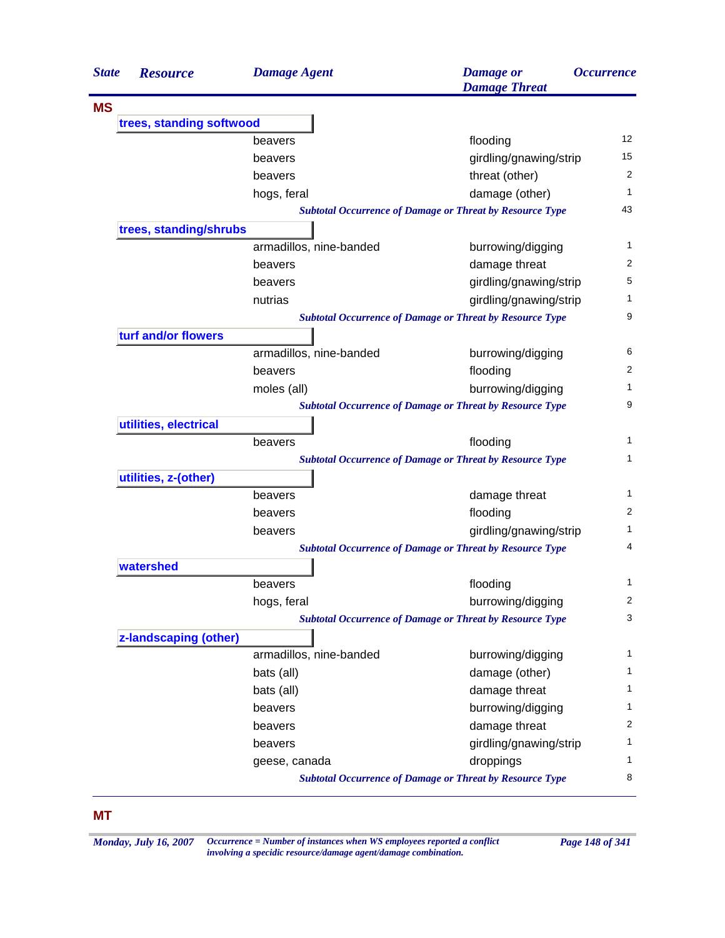| <b>State</b> | <b>Resource</b>          | <b>Damage Agent</b>     | <b>Damage</b> or<br><b>Damage Threat</b>                        | <i><b>Occurrence</b></i> |
|--------------|--------------------------|-------------------------|-----------------------------------------------------------------|--------------------------|
| <b>MS</b>    |                          |                         |                                                                 |                          |
|              | trees, standing softwood |                         |                                                                 |                          |
|              |                          | beavers                 | flooding                                                        | $12 \overline{ }$        |
|              |                          | beavers                 | girdling/gnawing/strip                                          | 15                       |
|              |                          | beavers                 | threat (other)                                                  | $\overline{2}$           |
|              |                          | hogs, feral             | damage (other)                                                  | 1                        |
|              |                          |                         | <b>Subtotal Occurrence of Damage or Threat by Resource Type</b> | 43                       |
|              | trees, standing/shrubs   |                         |                                                                 |                          |
|              |                          | armadillos, nine-banded | burrowing/digging                                               | 1                        |
|              |                          | beavers                 | damage threat                                                   | 2                        |
|              |                          | beavers                 | girdling/gnawing/strip                                          | 5                        |
|              |                          | nutrias                 | girdling/gnawing/strip                                          | 1                        |
|              |                          |                         | <b>Subtotal Occurrence of Damage or Threat by Resource Type</b> | 9                        |
|              | turf and/or flowers      |                         |                                                                 |                          |
|              |                          | armadillos, nine-banded | burrowing/digging                                               | 6                        |
|              |                          | beavers                 | flooding                                                        | 2                        |
|              |                          | moles (all)             | burrowing/digging                                               | 1                        |
|              |                          |                         | <b>Subtotal Occurrence of Damage or Threat by Resource Type</b> | 9                        |
|              | utilities, electrical    |                         |                                                                 |                          |
|              |                          | beavers                 | flooding                                                        | 1                        |
|              |                          |                         | <b>Subtotal Occurrence of Damage or Threat by Resource Type</b> | 1                        |
|              | utilities, z-(other)     |                         |                                                                 |                          |
|              |                          | beavers                 | damage threat                                                   | 1                        |
|              |                          | beavers                 | flooding                                                        | 2                        |
|              |                          | beavers                 | girdling/gnawing/strip                                          | 1                        |
|              |                          |                         | <b>Subtotal Occurrence of Damage or Threat by Resource Type</b> | 4                        |
|              | watershed                |                         |                                                                 |                          |
|              |                          | beavers                 | flooding                                                        | 1                        |
|              |                          | hogs, feral             | burrowing/digging                                               | 2                        |
|              |                          |                         | <b>Subtotal Occurrence of Damage or Threat by Resource Type</b> | 3                        |
|              | z-landscaping (other)    |                         |                                                                 |                          |
|              |                          | armadillos, nine-banded | burrowing/digging                                               | 1                        |
|              |                          | bats (all)              | damage (other)                                                  | 1                        |
|              |                          | bats (all)              | damage threat                                                   | 1                        |
|              |                          | beavers                 | burrowing/digging                                               | 1                        |
|              |                          | beavers                 | damage threat                                                   | 2                        |
|              |                          | beavers                 | girdling/gnawing/strip                                          | 1                        |
|              |                          | geese, canada           | droppings                                                       | 1                        |
|              |                          |                         | <b>Subtotal Occurrence of Damage or Threat by Resource Type</b> | 8                        |

*Monday, July 16, 2007 Occurrence = Number of instances when WS employees reported a conflict Page 148 of 341 involving a specidic resource/damage agent/damage combination.*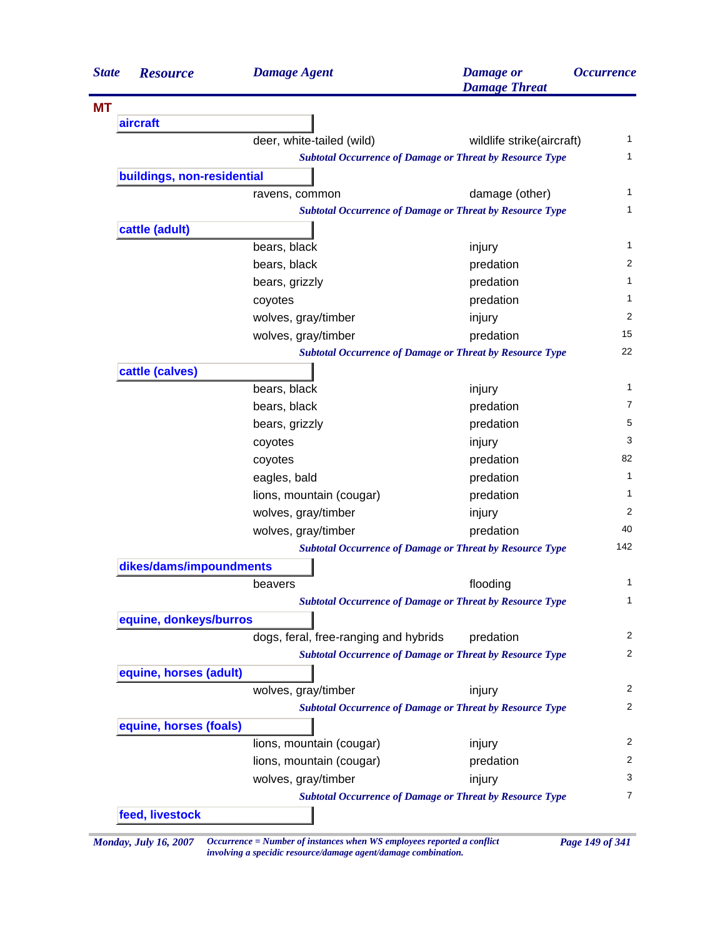| <b>State</b> | <b>Resource</b>            | <b>Damage Agent</b>                                             | <b>Damage</b> or<br><b>Damage Threat</b> | <i><b>Occurrence</b></i> |
|--------------|----------------------------|-----------------------------------------------------------------|------------------------------------------|--------------------------|
| <b>MT</b>    |                            |                                                                 |                                          |                          |
|              | aircraft                   |                                                                 |                                          |                          |
|              |                            | deer, white-tailed (wild)                                       | wildlife strike(aircraft)                | $\mathbf{1}$             |
|              |                            | <b>Subtotal Occurrence of Damage or Threat by Resource Type</b> |                                          | 1                        |
|              | buildings, non-residential |                                                                 |                                          |                          |
|              |                            | ravens, common                                                  | damage (other)                           | 1                        |
|              |                            | <b>Subtotal Occurrence of Damage or Threat by Resource Type</b> |                                          | 1                        |
|              | cattle (adult)             |                                                                 |                                          |                          |
|              |                            | bears, black                                                    | injury                                   | 1                        |
|              |                            | bears, black                                                    | predation                                | 2                        |
|              |                            | bears, grizzly                                                  | predation                                | 1                        |
|              |                            | coyotes                                                         | predation                                | 1                        |
|              |                            | wolves, gray/timber                                             | injury                                   | 2                        |
|              |                            | wolves, gray/timber                                             | predation                                | 15                       |
|              |                            | <b>Subtotal Occurrence of Damage or Threat by Resource Type</b> |                                          | 22                       |
|              | cattle (calves)            |                                                                 |                                          |                          |
|              |                            | bears, black                                                    | injury                                   | 1                        |
|              |                            | bears, black                                                    | predation                                | 7                        |
|              |                            | bears, grizzly                                                  | predation                                | 5                        |
|              |                            | coyotes                                                         | injury                                   | 3                        |
|              |                            | coyotes                                                         | predation                                | 82                       |
|              |                            | eagles, bald                                                    | predation                                | 1                        |
|              |                            | lions, mountain (cougar)                                        | predation                                | 1                        |
|              |                            | wolves, gray/timber                                             | injury                                   | 2                        |
|              |                            | wolves, gray/timber                                             | predation                                | 40                       |
|              |                            | <b>Subtotal Occurrence of Damage or Threat by Resource Type</b> |                                          | 142                      |
|              | dikes/dams/impoundments    |                                                                 |                                          |                          |
|              |                            | beavers                                                         | flooding                                 | 1                        |
|              |                            | <b>Subtotal Occurrence of Damage or Threat by Resource Type</b> |                                          | $\mathbf{1}$             |
|              | equine, donkeys/burros     |                                                                 |                                          |                          |
|              |                            | dogs, feral, free-ranging and hybrids                           | predation                                | 2                        |
|              |                            | <b>Subtotal Occurrence of Damage or Threat by Resource Type</b> |                                          | $\overline{2}$           |
|              | equine, horses (adult)     |                                                                 |                                          |                          |
|              |                            | wolves, gray/timber                                             | injury                                   | 2                        |
|              |                            | <b>Subtotal Occurrence of Damage or Threat by Resource Type</b> |                                          | 2                        |
|              | equine, horses (foals)     |                                                                 |                                          |                          |
|              |                            | lions, mountain (cougar)                                        | injury                                   | 2                        |
|              |                            | lions, mountain (cougar)                                        | predation                                | 2                        |
|              |                            | wolves, gray/timber                                             | injury                                   | 3                        |
|              |                            | <b>Subtotal Occurrence of Damage or Threat by Resource Type</b> |                                          | 7                        |
|              | feed, livestock            |                                                                 |                                          |                          |

*Monday, July 16, 2007 Occurrence = Number of instances when WS employees reported a conflict Page 149 of 341 involving a specidic resource/damage agent/damage combination.*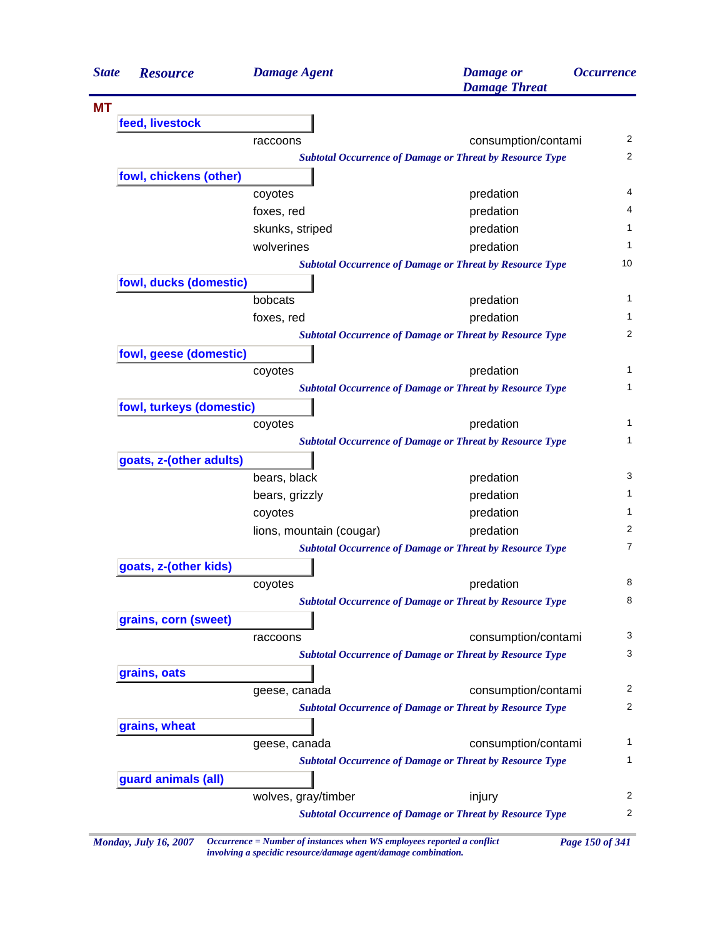| <b>State</b> | <b>Resource</b>          | <b>Damage Agent</b>      | <b>Damage</b> or<br><b>Damage Threat</b>                        | <b>Occurrence</b> |
|--------------|--------------------------|--------------------------|-----------------------------------------------------------------|-------------------|
| <b>MT</b>    |                          |                          |                                                                 |                   |
|              | feed, livestock          |                          |                                                                 |                   |
|              |                          | raccoons                 | consumption/contami                                             |                   |
|              |                          |                          | <b>Subtotal Occurrence of Damage or Threat by Resource Type</b> |                   |
|              | fowl, chickens (other)   |                          |                                                                 |                   |
|              |                          | coyotes                  | predation                                                       |                   |
|              |                          | foxes, red               | predation                                                       |                   |
|              |                          | skunks, striped          | predation                                                       |                   |
|              |                          | wolverines               | predation                                                       |                   |
|              |                          |                          | <b>Subtotal Occurrence of Damage or Threat by Resource Type</b> | 10                |
|              | fowl, ducks (domestic)   |                          |                                                                 |                   |
|              |                          | bobcats                  | predation                                                       |                   |
|              |                          | foxes, red               | predation                                                       |                   |
|              |                          |                          | <b>Subtotal Occurrence of Damage or Threat by Resource Type</b> |                   |
|              | fowl, geese (domestic)   |                          |                                                                 |                   |
|              |                          | coyotes                  | predation                                                       |                   |
|              |                          |                          | <b>Subtotal Occurrence of Damage or Threat by Resource Type</b> |                   |
|              | fowl, turkeys (domestic) |                          |                                                                 |                   |
|              |                          | coyotes                  | predation                                                       |                   |
|              |                          |                          | <b>Subtotal Occurrence of Damage or Threat by Resource Type</b> |                   |
|              | goats, z-(other adults)  |                          |                                                                 |                   |
|              |                          | bears, black             | predation                                                       |                   |
|              |                          | bears, grizzly           | predation                                                       |                   |
|              |                          | coyotes                  | predation                                                       |                   |
|              |                          | lions, mountain (cougar) | predation                                                       |                   |
|              |                          |                          | <b>Subtotal Occurrence of Damage or Threat by Resource Type</b> |                   |
|              | goats, z-(other kids)    |                          |                                                                 |                   |
|              |                          | coyotes                  | predation                                                       |                   |
|              |                          |                          | <b>Subtotal Occurrence of Damage or Threat by Resource Type</b> |                   |
|              | grains, corn (sweet)     |                          |                                                                 |                   |
|              |                          | raccoons                 | consumption/contami                                             |                   |
|              |                          |                          | <b>Subtotal Occurrence of Damage or Threat by Resource Type</b> |                   |
|              | grains, oats             |                          |                                                                 |                   |
|              |                          | geese, canada            | consumption/contami                                             |                   |
|              |                          |                          | <b>Subtotal Occurrence of Damage or Threat by Resource Type</b> |                   |
|              | grains, wheat            |                          |                                                                 |                   |
|              |                          | geese, canada            | consumption/contami                                             |                   |
|              |                          |                          | <b>Subtotal Occurrence of Damage or Threat by Resource Type</b> |                   |
|              | guard animals (all)      |                          |                                                                 |                   |
|              |                          | wolves, gray/timber      | injury                                                          |                   |
|              |                          |                          | <b>Subtotal Occurrence of Damage or Threat by Resource Type</b> |                   |

*involving a specidic resource/damage agent/damage combination.*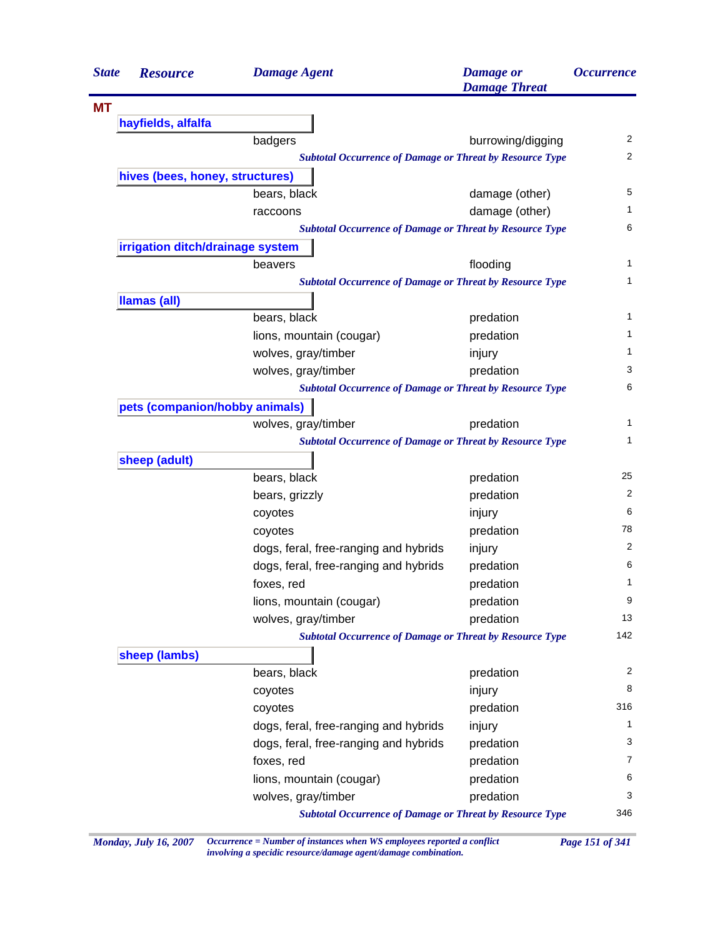| <b>State</b> | <b>Resource</b>                                                 | <b>Damage Agent</b>                                             | <b>Damage</b> or<br><b>Damage Threat</b> | <i><b>Occurrence</b></i> |  |  |
|--------------|-----------------------------------------------------------------|-----------------------------------------------------------------|------------------------------------------|--------------------------|--|--|
| <b>MT</b>    |                                                                 |                                                                 |                                          |                          |  |  |
|              | hayfields, alfalfa                                              |                                                                 |                                          |                          |  |  |
|              |                                                                 | badgers                                                         | burrowing/digging                        | 2                        |  |  |
|              |                                                                 | <b>Subtotal Occurrence of Damage or Threat by Resource Type</b> |                                          | 2                        |  |  |
|              | hives (bees, honey, structures)                                 |                                                                 |                                          |                          |  |  |
|              |                                                                 | bears, black                                                    | damage (other)                           | 5                        |  |  |
|              |                                                                 | raccoons                                                        | damage (other)                           | 1                        |  |  |
|              |                                                                 | <b>Subtotal Occurrence of Damage or Threat by Resource Type</b> |                                          | 6                        |  |  |
|              | irrigation ditch/drainage system                                |                                                                 |                                          |                          |  |  |
|              |                                                                 | beavers                                                         | flooding                                 | 1                        |  |  |
|              |                                                                 | <b>Subtotal Occurrence of Damage or Threat by Resource Type</b> |                                          | 1                        |  |  |
|              | Ilamas (all)                                                    |                                                                 |                                          |                          |  |  |
|              |                                                                 | bears, black                                                    | predation                                | 1                        |  |  |
|              |                                                                 | lions, mountain (cougar)                                        | predation                                | 1                        |  |  |
|              |                                                                 | wolves, gray/timber                                             | injury                                   | 1                        |  |  |
|              |                                                                 | wolves, gray/timber                                             | predation                                | 3                        |  |  |
|              |                                                                 | <b>Subtotal Occurrence of Damage or Threat by Resource Type</b> |                                          | 6                        |  |  |
|              | pets (companion/hobby animals)                                  |                                                                 |                                          |                          |  |  |
|              |                                                                 | wolves, gray/timber                                             | predation                                | 1                        |  |  |
|              | <b>Subtotal Occurrence of Damage or Threat by Resource Type</b> |                                                                 |                                          |                          |  |  |
|              | sheep (adult)                                                   |                                                                 |                                          |                          |  |  |
|              |                                                                 | bears, black                                                    | predation                                | 25                       |  |  |
|              |                                                                 | bears, grizzly                                                  | predation                                | 2                        |  |  |
|              |                                                                 | coyotes                                                         | injury                                   | 6                        |  |  |
|              |                                                                 | coyotes                                                         | predation                                | 78                       |  |  |
|              |                                                                 | dogs, feral, free-ranging and hybrids                           | injury                                   | 2                        |  |  |
|              |                                                                 | dogs, feral, free-ranging and hybrids                           | predation                                | 6                        |  |  |
|              |                                                                 | foxes, red                                                      | predation                                | 1                        |  |  |
|              |                                                                 | lions, mountain (cougar)                                        | predation                                | 9                        |  |  |
|              |                                                                 | wolves, gray/timber                                             | predation                                | 13                       |  |  |
|              |                                                                 | <b>Subtotal Occurrence of Damage or Threat by Resource Type</b> |                                          | 142                      |  |  |
|              | sheep (lambs)                                                   |                                                                 |                                          |                          |  |  |
|              |                                                                 | bears, black                                                    | predation                                | 2                        |  |  |
|              |                                                                 | coyotes                                                         | injury                                   | 8                        |  |  |
|              |                                                                 | coyotes                                                         | predation                                | 316                      |  |  |
|              |                                                                 | dogs, feral, free-ranging and hybrids                           | injury                                   | 1                        |  |  |
|              |                                                                 | dogs, feral, free-ranging and hybrids                           | predation                                | 3                        |  |  |
|              |                                                                 | foxes, red                                                      | predation                                | 7                        |  |  |
|              |                                                                 | lions, mountain (cougar)                                        | predation                                | 6                        |  |  |
|              |                                                                 | wolves, gray/timber                                             | predation                                | 3                        |  |  |
|              |                                                                 | <b>Subtotal Occurrence of Damage or Threat by Resource Type</b> |                                          | 346                      |  |  |

*Monday, July 16, 2007 Occurrence = Number of instances when WS employees reported a conflict Page 151 of 341 involving a specidic resource/damage agent/damage combination.*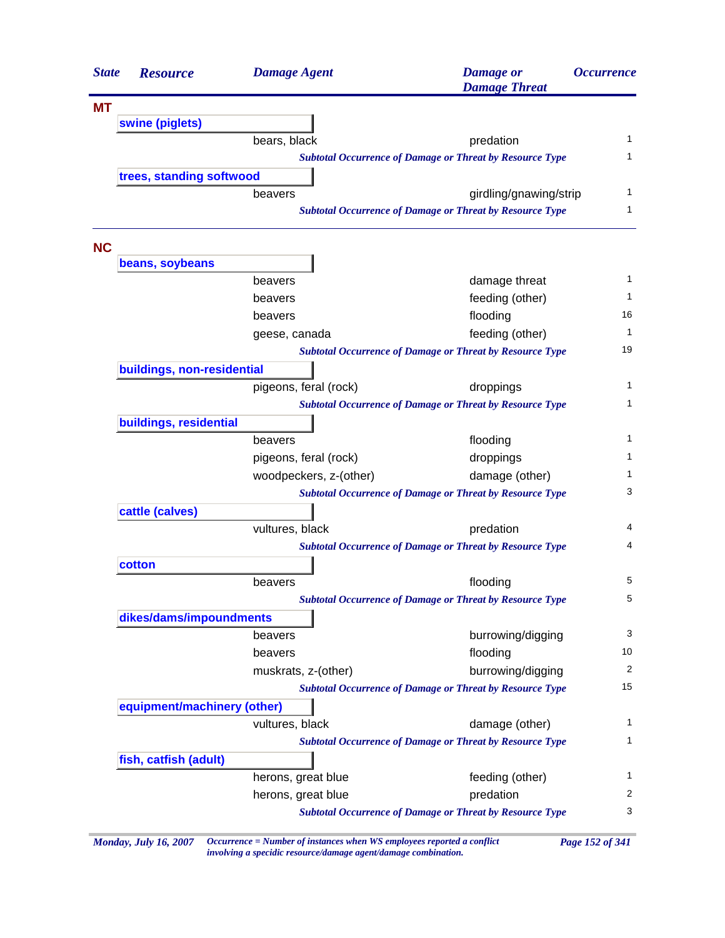| <b>State</b> | <b>Resource</b>             | <b>Damage Agent</b>    | <b>Damage</b> or<br><b>Damage Threat</b>                        | <b>Occurrence</b> |
|--------------|-----------------------------|------------------------|-----------------------------------------------------------------|-------------------|
| <b>MT</b>    |                             |                        |                                                                 |                   |
|              | swine (piglets)             |                        |                                                                 |                   |
|              |                             | bears, black           | predation                                                       | 1                 |
|              |                             |                        | <b>Subtotal Occurrence of Damage or Threat by Resource Type</b> | 1                 |
|              | trees, standing softwood    |                        |                                                                 |                   |
|              |                             | beavers                | girdling/gnawing/strip                                          | 1                 |
|              |                             |                        | <b>Subtotal Occurrence of Damage or Threat by Resource Type</b> | 1                 |
| <b>NC</b>    |                             |                        |                                                                 |                   |
|              | beans, soybeans             |                        |                                                                 |                   |
|              |                             | beavers                | damage threat                                                   | 1                 |
|              |                             | beavers                | feeding (other)                                                 | 1                 |
|              |                             | beavers                | flooding                                                        | 16                |
|              |                             | geese, canada          | feeding (other)                                                 | 1                 |
|              |                             |                        | <b>Subtotal Occurrence of Damage or Threat by Resource Type</b> | 19                |
|              | buildings, non-residential  |                        |                                                                 |                   |
|              |                             | pigeons, feral (rock)  | droppings                                                       | 1                 |
|              |                             |                        | <b>Subtotal Occurrence of Damage or Threat by Resource Type</b> | 1                 |
|              | buildings, residential      |                        |                                                                 |                   |
|              |                             | beavers                | flooding                                                        | 1                 |
|              |                             | pigeons, feral (rock)  | droppings                                                       | 1                 |
|              |                             | woodpeckers, z-(other) | damage (other)                                                  | 1                 |
|              |                             |                        | <b>Subtotal Occurrence of Damage or Threat by Resource Type</b> | 3                 |
|              | cattle (calves)             |                        |                                                                 |                   |
|              |                             | vultures, black        | predation                                                       | 4                 |
|              |                             |                        | <b>Subtotal Occurrence of Damage or Threat by Resource Type</b> | 4                 |
|              | cotton                      |                        |                                                                 |                   |
|              |                             | beavers                | flooding                                                        | 5                 |
|              |                             |                        | <b>Subtotal Occurrence of Damage or Threat by Resource Type</b> | 5                 |
|              | dikes/dams/impoundments     |                        |                                                                 |                   |
|              |                             | beavers                | burrowing/digging                                               | 3                 |
|              |                             | beavers                | flooding                                                        | 10                |
|              |                             | muskrats, z-(other)    | burrowing/digging                                               | 2                 |
|              |                             |                        | <b>Subtotal Occurrence of Damage or Threat by Resource Type</b> | 15                |
|              | equipment/machinery (other) |                        |                                                                 |                   |
|              |                             | vultures, black        | damage (other)                                                  | 1                 |
|              |                             |                        | <b>Subtotal Occurrence of Damage or Threat by Resource Type</b> | 1                 |
|              | fish, catfish (adult)       |                        |                                                                 |                   |
|              |                             | herons, great blue     | feeding (other)                                                 | 1                 |
|              |                             | herons, great blue     | predation                                                       | 2                 |
|              |                             |                        | <b>Subtotal Occurrence of Damage or Threat by Resource Type</b> | 3                 |

*Monday, July 16, 2007 Occurrence = Number of instances when WS employees reported a conflict Page 152 of 341 involving a specidic resource/damage agent/damage combination.*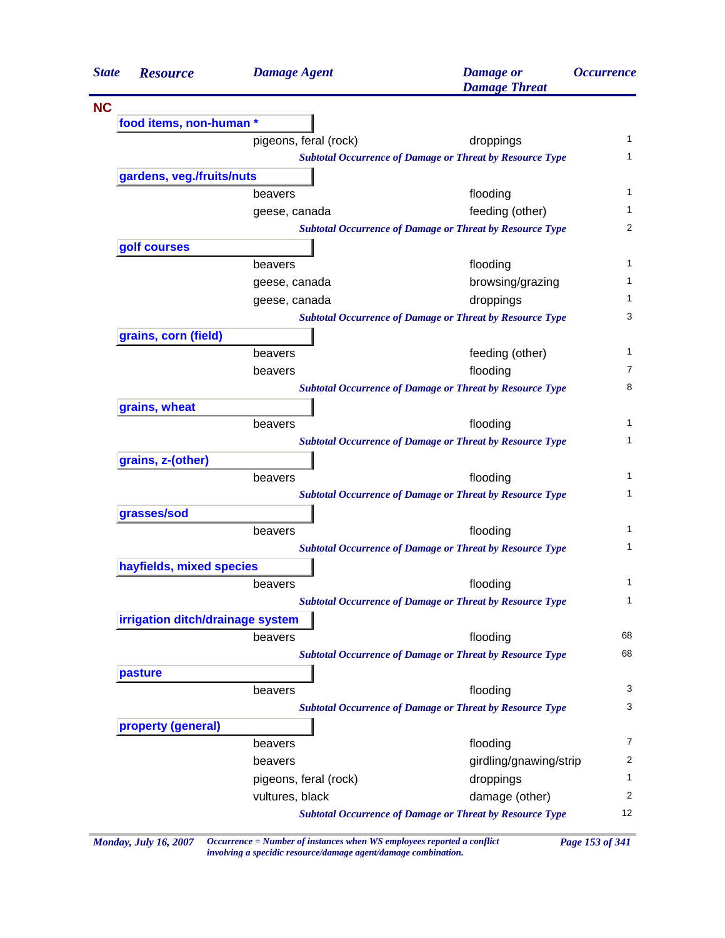| <b>State</b> | <b>Resource</b>                                                                                                                                                                                                                                                                                                                                                                                                                                                                                                                                                                                                                                                                                                                                                                                                                                                                                                                                                                                                                                                                                                                 |                 |                       | <b>Damage</b> or<br><b>Damage Threat</b>                        | <i><b>Occurrence</b></i> |
|--------------|---------------------------------------------------------------------------------------------------------------------------------------------------------------------------------------------------------------------------------------------------------------------------------------------------------------------------------------------------------------------------------------------------------------------------------------------------------------------------------------------------------------------------------------------------------------------------------------------------------------------------------------------------------------------------------------------------------------------------------------------------------------------------------------------------------------------------------------------------------------------------------------------------------------------------------------------------------------------------------------------------------------------------------------------------------------------------------------------------------------------------------|-----------------|-----------------------|-----------------------------------------------------------------|--------------------------|
| <b>NC</b>    |                                                                                                                                                                                                                                                                                                                                                                                                                                                                                                                                                                                                                                                                                                                                                                                                                                                                                                                                                                                                                                                                                                                                 |                 |                       |                                                                 |                          |
|              |                                                                                                                                                                                                                                                                                                                                                                                                                                                                                                                                                                                                                                                                                                                                                                                                                                                                                                                                                                                                                                                                                                                                 |                 |                       |                                                                 |                          |
|              |                                                                                                                                                                                                                                                                                                                                                                                                                                                                                                                                                                                                                                                                                                                                                                                                                                                                                                                                                                                                                                                                                                                                 |                 |                       | droppings                                                       | 1                        |
|              |                                                                                                                                                                                                                                                                                                                                                                                                                                                                                                                                                                                                                                                                                                                                                                                                                                                                                                                                                                                                                                                                                                                                 |                 |                       |                                                                 | 1                        |
|              | <b>Damage Agent</b><br>food items, non-human *<br>pigeons, feral (rock)<br><b>Subtotal Occurrence of Damage or Threat by Resource Type</b><br>gardens, veg./fruits/nuts<br>flooding<br>beavers<br>feeding (other)<br>geese, canada<br><b>Subtotal Occurrence of Damage or Threat by Resource Type</b><br>golf courses<br>flooding<br>beavers<br>browsing/grazing<br>geese, canada<br>geese, canada<br>droppings<br><b>Subtotal Occurrence of Damage or Threat by Resource Type</b><br>grains, corn (field)<br>feeding (other)<br>beavers<br>flooding<br>beavers<br><b>Subtotal Occurrence of Damage or Threat by Resource Type</b><br>grains, wheat<br>beavers<br>flooding<br><b>Subtotal Occurrence of Damage or Threat by Resource Type</b><br>grains, z-(other)<br>flooding<br>beavers<br><b>Subtotal Occurrence of Damage or Threat by Resource Type</b><br>grasses/sod<br>flooding<br>beavers<br><b>Subtotal Occurrence of Damage or Threat by Resource Type</b><br>hayfields, mixed species<br>flooding<br>beavers<br><b>Subtotal Occurrence of Damage or Threat by Resource Type</b><br>irrigation ditch/drainage system |                 |                       |                                                                 |                          |
|              |                                                                                                                                                                                                                                                                                                                                                                                                                                                                                                                                                                                                                                                                                                                                                                                                                                                                                                                                                                                                                                                                                                                                 |                 |                       |                                                                 | 1                        |
|              |                                                                                                                                                                                                                                                                                                                                                                                                                                                                                                                                                                                                                                                                                                                                                                                                                                                                                                                                                                                                                                                                                                                                 |                 |                       |                                                                 | 1                        |
|              |                                                                                                                                                                                                                                                                                                                                                                                                                                                                                                                                                                                                                                                                                                                                                                                                                                                                                                                                                                                                                                                                                                                                 |                 |                       |                                                                 | 2                        |
|              |                                                                                                                                                                                                                                                                                                                                                                                                                                                                                                                                                                                                                                                                                                                                                                                                                                                                                                                                                                                                                                                                                                                                 |                 |                       |                                                                 |                          |
|              |                                                                                                                                                                                                                                                                                                                                                                                                                                                                                                                                                                                                                                                                                                                                                                                                                                                                                                                                                                                                                                                                                                                                 |                 |                       |                                                                 | 1                        |
|              |                                                                                                                                                                                                                                                                                                                                                                                                                                                                                                                                                                                                                                                                                                                                                                                                                                                                                                                                                                                                                                                                                                                                 |                 |                       |                                                                 | 1                        |
|              |                                                                                                                                                                                                                                                                                                                                                                                                                                                                                                                                                                                                                                                                                                                                                                                                                                                                                                                                                                                                                                                                                                                                 |                 |                       |                                                                 | 1                        |
|              |                                                                                                                                                                                                                                                                                                                                                                                                                                                                                                                                                                                                                                                                                                                                                                                                                                                                                                                                                                                                                                                                                                                                 |                 |                       |                                                                 | 3                        |
|              |                                                                                                                                                                                                                                                                                                                                                                                                                                                                                                                                                                                                                                                                                                                                                                                                                                                                                                                                                                                                                                                                                                                                 |                 |                       |                                                                 |                          |
|              |                                                                                                                                                                                                                                                                                                                                                                                                                                                                                                                                                                                                                                                                                                                                                                                                                                                                                                                                                                                                                                                                                                                                 |                 |                       |                                                                 | 1                        |
|              |                                                                                                                                                                                                                                                                                                                                                                                                                                                                                                                                                                                                                                                                                                                                                                                                                                                                                                                                                                                                                                                                                                                                 |                 |                       |                                                                 | 7                        |
|              |                                                                                                                                                                                                                                                                                                                                                                                                                                                                                                                                                                                                                                                                                                                                                                                                                                                                                                                                                                                                                                                                                                                                 |                 |                       |                                                                 | 8                        |
|              |                                                                                                                                                                                                                                                                                                                                                                                                                                                                                                                                                                                                                                                                                                                                                                                                                                                                                                                                                                                                                                                                                                                                 |                 |                       |                                                                 | 1                        |
|              |                                                                                                                                                                                                                                                                                                                                                                                                                                                                                                                                                                                                                                                                                                                                                                                                                                                                                                                                                                                                                                                                                                                                 |                 |                       |                                                                 | 1                        |
|              |                                                                                                                                                                                                                                                                                                                                                                                                                                                                                                                                                                                                                                                                                                                                                                                                                                                                                                                                                                                                                                                                                                                                 |                 |                       |                                                                 |                          |
|              |                                                                                                                                                                                                                                                                                                                                                                                                                                                                                                                                                                                                                                                                                                                                                                                                                                                                                                                                                                                                                                                                                                                                 |                 |                       |                                                                 | 1                        |
|              |                                                                                                                                                                                                                                                                                                                                                                                                                                                                                                                                                                                                                                                                                                                                                                                                                                                                                                                                                                                                                                                                                                                                 |                 |                       |                                                                 | 1                        |
|              |                                                                                                                                                                                                                                                                                                                                                                                                                                                                                                                                                                                                                                                                                                                                                                                                                                                                                                                                                                                                                                                                                                                                 |                 |                       |                                                                 |                          |
|              |                                                                                                                                                                                                                                                                                                                                                                                                                                                                                                                                                                                                                                                                                                                                                                                                                                                                                                                                                                                                                                                                                                                                 |                 |                       |                                                                 | 1                        |
|              |                                                                                                                                                                                                                                                                                                                                                                                                                                                                                                                                                                                                                                                                                                                                                                                                                                                                                                                                                                                                                                                                                                                                 |                 |                       |                                                                 | 1                        |
|              |                                                                                                                                                                                                                                                                                                                                                                                                                                                                                                                                                                                                                                                                                                                                                                                                                                                                                                                                                                                                                                                                                                                                 |                 |                       |                                                                 |                          |
|              |                                                                                                                                                                                                                                                                                                                                                                                                                                                                                                                                                                                                                                                                                                                                                                                                                                                                                                                                                                                                                                                                                                                                 |                 |                       |                                                                 | 1                        |
|              |                                                                                                                                                                                                                                                                                                                                                                                                                                                                                                                                                                                                                                                                                                                                                                                                                                                                                                                                                                                                                                                                                                                                 |                 |                       |                                                                 | $\mathbf{1}$             |
|              |                                                                                                                                                                                                                                                                                                                                                                                                                                                                                                                                                                                                                                                                                                                                                                                                                                                                                                                                                                                                                                                                                                                                 |                 |                       |                                                                 |                          |
|              |                                                                                                                                                                                                                                                                                                                                                                                                                                                                                                                                                                                                                                                                                                                                                                                                                                                                                                                                                                                                                                                                                                                                 | beavers         |                       | flooding                                                        | 68                       |
|              |                                                                                                                                                                                                                                                                                                                                                                                                                                                                                                                                                                                                                                                                                                                                                                                                                                                                                                                                                                                                                                                                                                                                 |                 |                       | <b>Subtotal Occurrence of Damage or Threat by Resource Type</b> | 68                       |
|              | pasture                                                                                                                                                                                                                                                                                                                                                                                                                                                                                                                                                                                                                                                                                                                                                                                                                                                                                                                                                                                                                                                                                                                         |                 |                       |                                                                 |                          |
|              |                                                                                                                                                                                                                                                                                                                                                                                                                                                                                                                                                                                                                                                                                                                                                                                                                                                                                                                                                                                                                                                                                                                                 | beavers         |                       | flooding                                                        | 3                        |
|              |                                                                                                                                                                                                                                                                                                                                                                                                                                                                                                                                                                                                                                                                                                                                                                                                                                                                                                                                                                                                                                                                                                                                 |                 |                       | <b>Subtotal Occurrence of Damage or Threat by Resource Type</b> | 3                        |
|              | property (general)                                                                                                                                                                                                                                                                                                                                                                                                                                                                                                                                                                                                                                                                                                                                                                                                                                                                                                                                                                                                                                                                                                              |                 |                       |                                                                 |                          |
|              |                                                                                                                                                                                                                                                                                                                                                                                                                                                                                                                                                                                                                                                                                                                                                                                                                                                                                                                                                                                                                                                                                                                                 | beavers         |                       | flooding                                                        | 7                        |
|              |                                                                                                                                                                                                                                                                                                                                                                                                                                                                                                                                                                                                                                                                                                                                                                                                                                                                                                                                                                                                                                                                                                                                 | beavers         |                       | girdling/gnawing/strip                                          | $\overline{2}$           |
|              |                                                                                                                                                                                                                                                                                                                                                                                                                                                                                                                                                                                                                                                                                                                                                                                                                                                                                                                                                                                                                                                                                                                                 |                 | pigeons, feral (rock) | droppings                                                       | $\mathbf{1}$             |
|              |                                                                                                                                                                                                                                                                                                                                                                                                                                                                                                                                                                                                                                                                                                                                                                                                                                                                                                                                                                                                                                                                                                                                 | vultures, black |                       | damage (other)                                                  | $\overline{c}$           |
|              |                                                                                                                                                                                                                                                                                                                                                                                                                                                                                                                                                                                                                                                                                                                                                                                                                                                                                                                                                                                                                                                                                                                                 |                 |                       | <b>Subtotal Occurrence of Damage or Threat by Resource Type</b> | 12                       |

*Monday, July 16, 2007 Occurrence = Number of instances when WS employees reported a conflict Page 153 of 341 involving a specidic resource/damage agent/damage combination.*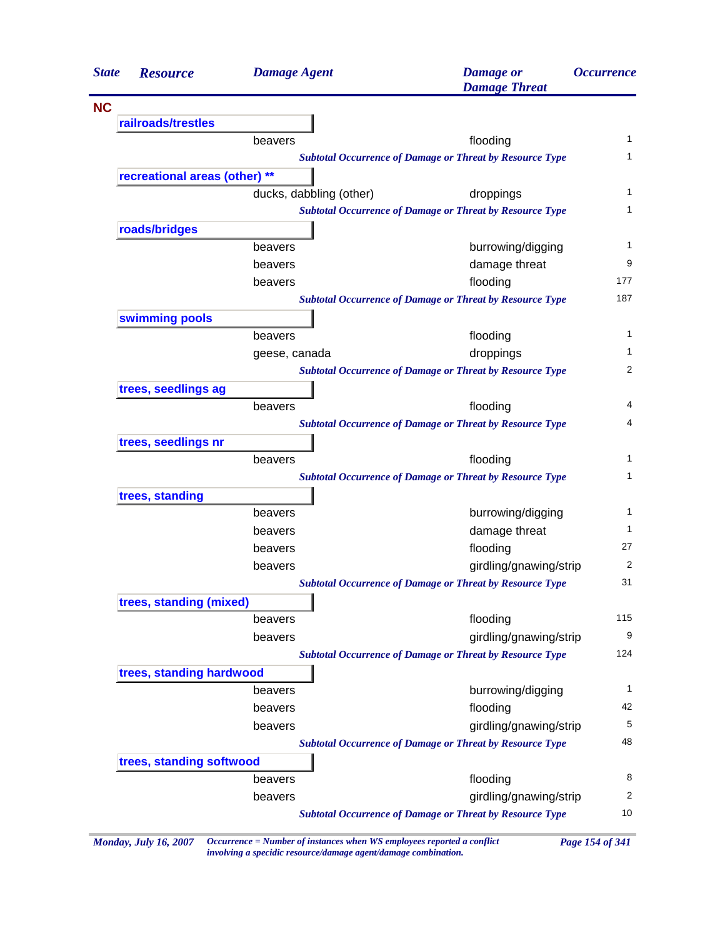| <b>State</b> | <b>Resource</b>                                                                                                                                                                                                      | <b>Damage Agent</b>     | <b>Damage</b> or<br><b>Damage Threat</b>                        | <i><b>Occurrence</b></i> |
|--------------|----------------------------------------------------------------------------------------------------------------------------------------------------------------------------------------------------------------------|-------------------------|-----------------------------------------------------------------|--------------------------|
| <b>NC</b>    |                                                                                                                                                                                                                      |                         |                                                                 |                          |
|              | railroads/trestles                                                                                                                                                                                                   |                         |                                                                 |                          |
|              |                                                                                                                                                                                                                      | beavers                 | flooding                                                        | 1                        |
|              |                                                                                                                                                                                                                      |                         | <b>Subtotal Occurrence of Damage or Threat by Resource Type</b> | 1                        |
|              |                                                                                                                                                                                                                      |                         |                                                                 |                          |
|              |                                                                                                                                                                                                                      | ducks, dabbling (other) | droppings                                                       | 1                        |
|              |                                                                                                                                                                                                                      |                         | <b>Subtotal Occurrence of Damage or Threat by Resource Type</b> | 1                        |
|              |                                                                                                                                                                                                                      |                         |                                                                 |                          |
|              |                                                                                                                                                                                                                      | beavers                 | burrowing/digging                                               | 1                        |
|              |                                                                                                                                                                                                                      | beavers                 | damage threat                                                   | 9                        |
|              |                                                                                                                                                                                                                      | beavers                 | flooding                                                        | 177                      |
|              |                                                                                                                                                                                                                      |                         | <b>Subtotal Occurrence of Damage or Threat by Resource Type</b> | 187                      |
|              |                                                                                                                                                                                                                      |                         |                                                                 |                          |
|              |                                                                                                                                                                                                                      | beavers                 | flooding                                                        | 1                        |
|              |                                                                                                                                                                                                                      | geese, canada           | droppings                                                       | 1                        |
|              |                                                                                                                                                                                                                      |                         | <b>Subtotal Occurrence of Damage or Threat by Resource Type</b> | 2                        |
|              |                                                                                                                                                                                                                      |                         |                                                                 |                          |
|              |                                                                                                                                                                                                                      | beavers                 | flooding                                                        | 4                        |
|              |                                                                                                                                                                                                                      |                         | <b>Subtotal Occurrence of Damage or Threat by Resource Type</b> | 4                        |
|              |                                                                                                                                                                                                                      |                         |                                                                 |                          |
|              |                                                                                                                                                                                                                      | beavers                 | flooding                                                        | 1                        |
|              |                                                                                                                                                                                                                      |                         | <b>Subtotal Occurrence of Damage or Threat by Resource Type</b> | 1                        |
|              |                                                                                                                                                                                                                      |                         |                                                                 |                          |
|              |                                                                                                                                                                                                                      | beavers                 | burrowing/digging                                               | 1                        |
|              |                                                                                                                                                                                                                      | beavers                 | damage threat                                                   | 1                        |
|              |                                                                                                                                                                                                                      | beavers                 | flooding                                                        | 27                       |
|              |                                                                                                                                                                                                                      | beavers                 | girdling/gnawing/strip                                          | 2                        |
|              |                                                                                                                                                                                                                      |                         | <b>Subtotal Occurrence of Damage or Threat by Resource Type</b> | 31                       |
|              |                                                                                                                                                                                                                      |                         |                                                                 |                          |
|              |                                                                                                                                                                                                                      | beavers                 | flooding                                                        | 115                      |
|              |                                                                                                                                                                                                                      | beavers                 | girdling/gnawing/strip                                          | 9                        |
|              |                                                                                                                                                                                                                      |                         | <b>Subtotal Occurrence of Damage or Threat by Resource Type</b> | 124                      |
|              |                                                                                                                                                                                                                      |                         |                                                                 |                          |
|              |                                                                                                                                                                                                                      | beavers                 | burrowing/digging                                               | $\mathbf{1}$             |
|              |                                                                                                                                                                                                                      | beavers                 | flooding                                                        | 42                       |
|              |                                                                                                                                                                                                                      | beavers                 | girdling/gnawing/strip                                          | 5                        |
|              |                                                                                                                                                                                                                      |                         | <b>Subtotal Occurrence of Damage or Threat by Resource Type</b> | 48                       |
|              |                                                                                                                                                                                                                      |                         |                                                                 |                          |
|              | recreational areas (other) **<br>roads/bridges<br>swimming pools<br>trees, seedlings ag<br>trees, seedlings nr<br>trees, standing<br>trees, standing (mixed)<br>trees, standing hardwood<br>trees, standing softwood | beavers                 | flooding                                                        | 8                        |
|              |                                                                                                                                                                                                                      | beavers                 | girdling/gnawing/strip                                          | 2                        |
|              |                                                                                                                                                                                                                      |                         | <b>Subtotal Occurrence of Damage or Threat by Resource Type</b> | 10                       |

*Monday, July 16, 2007 Occurrence = Number of instances when WS employees reported a conflict Page 154 of 341 involving a specidic resource/damage agent/damage combination.*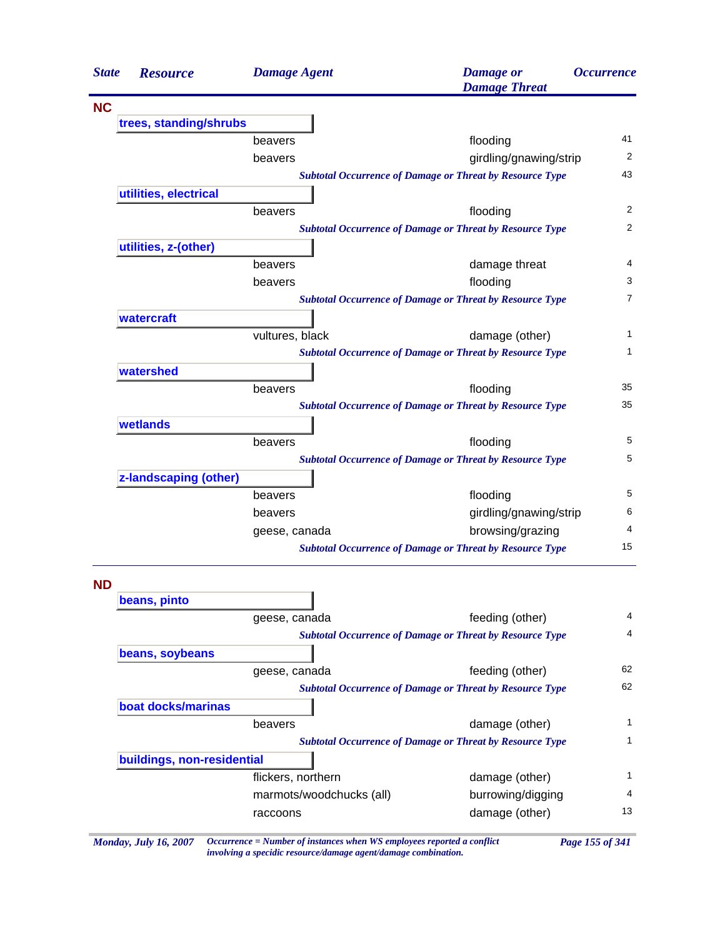| <b>State</b> | <b>Resource</b>            | <b>Damage Agent</b>      | <b>Damage</b> or<br><b>Damage Threat</b>                        | <i><b>Occurrence</b></i> |
|--------------|----------------------------|--------------------------|-----------------------------------------------------------------|--------------------------|
| <b>NC</b>    |                            |                          |                                                                 |                          |
|              | trees, standing/shrubs     |                          |                                                                 |                          |
|              |                            | beavers                  | flooding                                                        | 41                       |
|              |                            | beavers                  | girdling/gnawing/strip                                          | 2                        |
|              |                            |                          | <b>Subtotal Occurrence of Damage or Threat by Resource Type</b> | 43                       |
|              | utilities, electrical      |                          |                                                                 |                          |
|              |                            | beavers                  | flooding                                                        | 2                        |
|              |                            |                          | <b>Subtotal Occurrence of Damage or Threat by Resource Type</b> | 2                        |
|              | utilities, z-(other)       |                          |                                                                 |                          |
|              |                            | beavers                  | damage threat                                                   | 4                        |
|              |                            | beavers                  | flooding                                                        | 3                        |
|              |                            |                          | <b>Subtotal Occurrence of Damage or Threat by Resource Type</b> | $\overline{7}$           |
|              | watercraft                 |                          |                                                                 |                          |
|              |                            | vultures, black          | damage (other)                                                  | 1                        |
|              |                            |                          | <b>Subtotal Occurrence of Damage or Threat by Resource Type</b> | 1                        |
|              | watershed                  |                          |                                                                 |                          |
|              |                            | beavers                  | flooding                                                        | 35                       |
|              |                            |                          | <b>Subtotal Occurrence of Damage or Threat by Resource Type</b> | 35                       |
|              | wetlands                   |                          |                                                                 |                          |
|              |                            | beavers                  | flooding                                                        | 5                        |
|              |                            |                          | <b>Subtotal Occurrence of Damage or Threat by Resource Type</b> | 5                        |
|              | z-landscaping (other)      |                          |                                                                 |                          |
|              |                            | beavers                  | flooding                                                        | 5                        |
|              |                            | beavers                  | girdling/gnawing/strip                                          | 6                        |
|              |                            | geese, canada            | browsing/grazing                                                | 4                        |
|              |                            |                          | <b>Subtotal Occurrence of Damage or Threat by Resource Type</b> | 15                       |
| ND           |                            |                          |                                                                 |                          |
|              | beans, pinto               |                          |                                                                 |                          |
|              |                            | geese, canada            | feeding (other)                                                 | 4                        |
|              |                            |                          | <b>Subtotal Occurrence of Damage or Threat by Resource Type</b> | 4                        |
|              | beans, soybeans            |                          |                                                                 |                          |
|              |                            | geese, canada            | feeding (other)                                                 | 62                       |
|              |                            |                          | <b>Subtotal Occurrence of Damage or Threat by Resource Type</b> | 62                       |
|              | boat docks/marinas         |                          |                                                                 |                          |
|              |                            | beavers                  | damage (other)                                                  | 1                        |
|              |                            |                          | <b>Subtotal Occurrence of Damage or Threat by Resource Type</b> | 1                        |
|              | buildings, non-residential |                          |                                                                 |                          |
|              |                            | flickers, northern       | damage (other)                                                  | 1                        |
|              |                            | marmots/woodchucks (all) | burrowing/digging                                               | 4                        |
|              |                            | raccoons                 | damage (other)                                                  | 13                       |

*Monday, July 16, 2007 Occurrence = Number of instances when WS employees reported a conflict Page 155 of 341 involving a specidic resource/damage agent/damage combination.*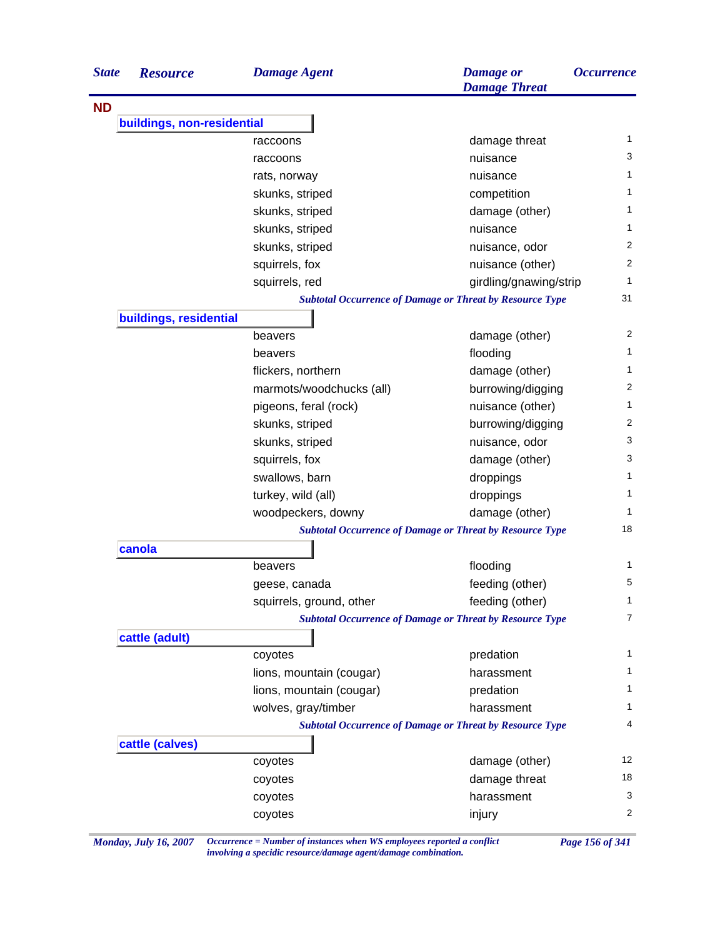| <b>State</b> | <b>Resource</b>            | <b>Damage Agent</b>      | <b>Damage</b> or<br><b>Damage Threat</b>                        | <i><b>Occurrence</b></i> |
|--------------|----------------------------|--------------------------|-----------------------------------------------------------------|--------------------------|
| <b>ND</b>    |                            |                          |                                                                 |                          |
|              | buildings, non-residential |                          |                                                                 |                          |
|              |                            | raccoons                 | damage threat                                                   | 1                        |
|              |                            | raccoons                 | nuisance                                                        | 3                        |
|              |                            | rats, norway             | nuisance                                                        | 1                        |
|              |                            | skunks, striped          | competition                                                     | 1                        |
|              |                            | skunks, striped          | damage (other)                                                  | 1                        |
|              |                            | skunks, striped          | nuisance                                                        | 1                        |
|              |                            | skunks, striped          | nuisance, odor                                                  | 2                        |
|              |                            | squirrels, fox           | nuisance (other)                                                | 2                        |
|              |                            | squirrels, red           | girdling/gnawing/strip                                          | 1                        |
|              |                            |                          | <b>Subtotal Occurrence of Damage or Threat by Resource Type</b> | 31                       |
|              | buildings, residential     |                          |                                                                 |                          |
|              |                            | beavers                  | damage (other)                                                  | 2                        |
|              |                            | beavers                  | flooding                                                        | 1                        |
|              |                            | flickers, northern       | damage (other)                                                  | 1                        |
|              |                            | marmots/woodchucks (all) | burrowing/digging                                               | 2                        |
|              |                            | pigeons, feral (rock)    | nuisance (other)                                                | 1                        |
|              |                            | skunks, striped          | burrowing/digging                                               | 2                        |
|              |                            | skunks, striped          | nuisance, odor                                                  | 3                        |
|              |                            | squirrels, fox           | damage (other)                                                  | 3                        |
|              |                            | swallows, barn           | droppings                                                       | 1                        |
|              |                            | turkey, wild (all)       | droppings                                                       | 1                        |
|              |                            | woodpeckers, downy       | damage (other)                                                  | 1                        |
|              |                            |                          | <b>Subtotal Occurrence of Damage or Threat by Resource Type</b> | 18                       |
|              | canola                     |                          |                                                                 |                          |
|              |                            | beavers                  | flooding                                                        | 1                        |
|              |                            | geese, canada            | feeding (other)                                                 | 5                        |
|              |                            | squirrels, ground, other | feeding (other)                                                 | 1                        |
|              |                            |                          | <b>Subtotal Occurrence of Damage or Threat by Resource Type</b> | $\overline{7}$           |
|              | cattle (adult)             |                          |                                                                 |                          |
|              |                            | coyotes                  | predation                                                       | 1                        |
|              |                            | lions, mountain (cougar) | harassment                                                      | 1                        |
|              |                            | lions, mountain (cougar) | predation                                                       | 1                        |
|              |                            | wolves, gray/timber      | harassment                                                      | 1                        |
|              |                            |                          | <b>Subtotal Occurrence of Damage or Threat by Resource Type</b> | 4                        |
|              | cattle (calves)            |                          |                                                                 |                          |
|              |                            | coyotes                  | damage (other)                                                  | 12                       |
|              |                            | coyotes                  | damage threat                                                   | 18                       |
|              |                            | coyotes                  | harassment                                                      | 3                        |
|              |                            |                          |                                                                 |                          |

*Monday, July 16, 2007 Occurrence = Number of instances when WS employees reported a conflict Page 156 of 341 involving a specidic resource/damage agent/damage combination.*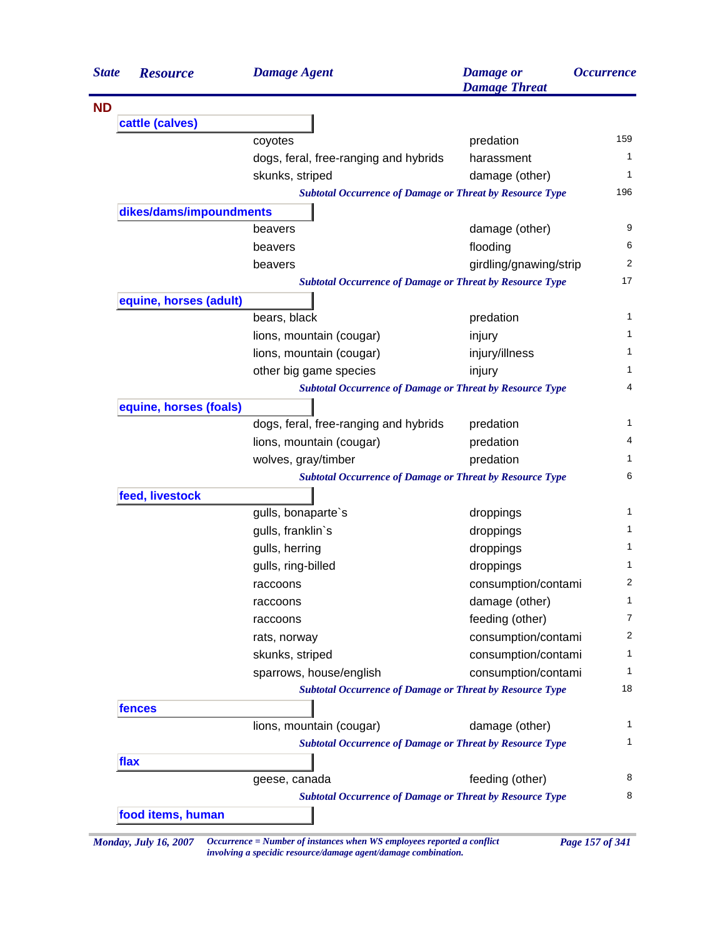| <b>State</b> | <b>Resource</b>         | <b>Damage Agent</b>                                             | <b>Damage</b> or<br><b>Damage Threat</b> | <i><b>Occurrence</b></i> |
|--------------|-------------------------|-----------------------------------------------------------------|------------------------------------------|--------------------------|
| <b>ND</b>    |                         |                                                                 |                                          |                          |
|              | cattle (calves)         |                                                                 |                                          |                          |
|              |                         | coyotes                                                         | predation                                |                          |
|              |                         | dogs, feral, free-ranging and hybrids                           | harassment                               |                          |
|              |                         | skunks, striped                                                 | damage (other)                           |                          |
|              |                         | <b>Subtotal Occurrence of Damage or Threat by Resource Type</b> |                                          |                          |
|              | dikes/dams/impoundments |                                                                 |                                          |                          |
|              |                         | beavers                                                         | damage (other)                           |                          |
|              |                         | beavers                                                         | flooding                                 |                          |
|              |                         | beavers                                                         | girdling/gnawing/strip                   |                          |
|              |                         | <b>Subtotal Occurrence of Damage or Threat by Resource Type</b> |                                          |                          |
|              | equine, horses (adult)  |                                                                 |                                          |                          |
|              |                         | bears, black                                                    | predation                                |                          |
|              |                         | lions, mountain (cougar)                                        | injury                                   |                          |
|              |                         | lions, mountain (cougar)                                        | injury/illness                           |                          |
|              |                         | other big game species                                          | injury                                   |                          |
|              |                         | <b>Subtotal Occurrence of Damage or Threat by Resource Type</b> |                                          |                          |
|              | equine, horses (foals)  |                                                                 |                                          |                          |
|              |                         | dogs, feral, free-ranging and hybrids                           | predation                                |                          |
|              |                         | lions, mountain (cougar)                                        | predation                                |                          |
|              |                         | wolves, gray/timber                                             | predation                                |                          |
|              |                         | <b>Subtotal Occurrence of Damage or Threat by Resource Type</b> |                                          |                          |
|              | feed, livestock         |                                                                 |                                          |                          |
|              |                         | gulls, bonaparte's                                              | droppings                                |                          |
|              |                         | gulls, franklin's                                               | droppings                                |                          |
|              |                         | gulls, herring                                                  | droppings                                |                          |
|              |                         | gulls, ring-billed                                              | droppings                                |                          |
|              |                         | raccoons                                                        | consumption/contami                      |                          |
|              |                         | raccoons                                                        | damage (other)                           |                          |
|              |                         | raccoons                                                        | feeding (other)                          |                          |
|              |                         | rats, norway                                                    | consumption/contami                      |                          |
|              |                         | skunks, striped                                                 | consumption/contami                      |                          |
|              |                         | sparrows, house/english                                         | consumption/contami                      |                          |
|              |                         | <b>Subtotal Occurrence of Damage or Threat by Resource Type</b> |                                          |                          |
|              | fences                  |                                                                 |                                          |                          |
|              |                         | lions, mountain (cougar)                                        | damage (other)                           |                          |
|              |                         | <b>Subtotal Occurrence of Damage or Threat by Resource Type</b> |                                          |                          |
|              | flax                    |                                                                 |                                          |                          |
|              |                         | geese, canada                                                   | feeding (other)                          |                          |
|              |                         | <b>Subtotal Occurrence of Damage or Threat by Resource Type</b> |                                          |                          |
|              | food items, human       |                                                                 |                                          |                          |

*involving a specidic resource/damage agent/damage combination.*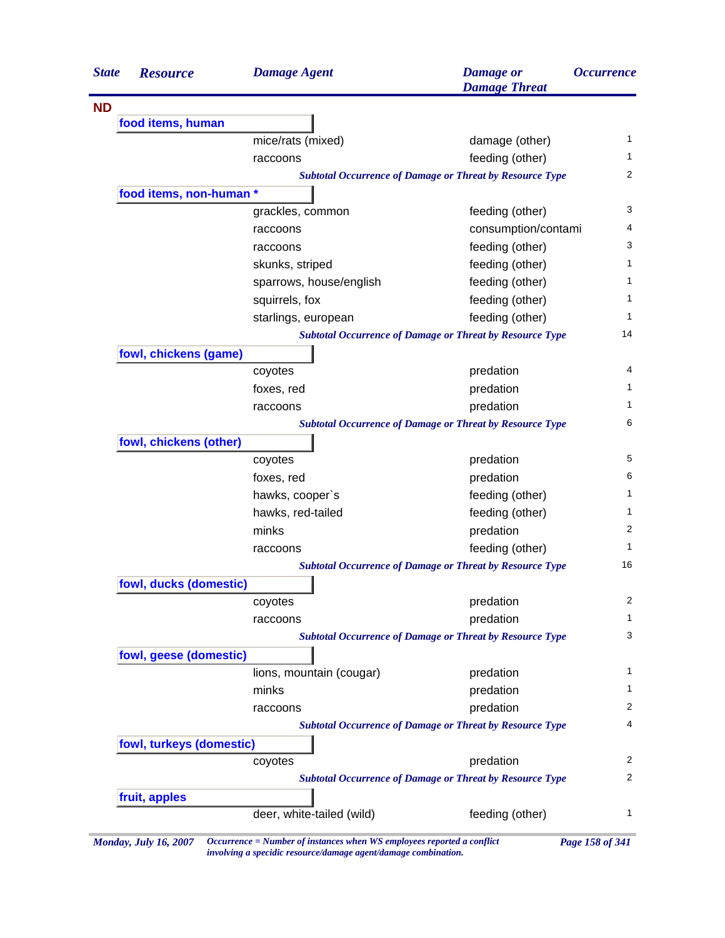| <b>State</b><br><b>Resource</b> | <b>Damage Agent</b>       | <b>Damage</b> or<br><b>Damage Threat</b>                        | <i><b>Occurrence</b></i> |
|---------------------------------|---------------------------|-----------------------------------------------------------------|--------------------------|
|                                 |                           |                                                                 |                          |
| food items, human               |                           |                                                                 |                          |
|                                 | mice/rats (mixed)         | damage (other)                                                  | 1                        |
|                                 | raccoons                  | feeding (other)                                                 | 1                        |
|                                 |                           | <b>Subtotal Occurrence of Damage or Threat by Resource Type</b> | 2                        |
| food items, non-human *         |                           |                                                                 |                          |
|                                 | grackles, common          | feeding (other)                                                 | 3                        |
|                                 | raccoons                  | consumption/contami                                             | 4                        |
|                                 | raccoons                  | feeding (other)                                                 | 3                        |
|                                 | skunks, striped           | feeding (other)                                                 | 1                        |
|                                 | sparrows, house/english   | feeding (other)                                                 | 1                        |
|                                 | squirrels, fox            | feeding (other)                                                 | 1                        |
|                                 | starlings, european       | feeding (other)                                                 | 1                        |
|                                 |                           | <b>Subtotal Occurrence of Damage or Threat by Resource Type</b> | 14                       |
| fowl, chickens (game)           |                           |                                                                 |                          |
|                                 | coyotes                   | predation                                                       | 4                        |
|                                 | foxes, red                | predation                                                       | 1                        |
|                                 | raccoons                  | predation                                                       | 1                        |
|                                 |                           | <b>Subtotal Occurrence of Damage or Threat by Resource Type</b> | 6                        |
| fowl, chickens (other)          |                           |                                                                 |                          |
|                                 | coyotes                   | predation                                                       | 5                        |
|                                 | foxes, red                | predation                                                       | 6                        |
|                                 | hawks, cooper's           | feeding (other)                                                 | 1                        |
|                                 | hawks, red-tailed         | feeding (other)                                                 | 1                        |
|                                 | minks                     | predation                                                       | $\overline{2}$           |
|                                 | raccoons                  | feeding (other)                                                 | 1                        |
|                                 |                           | <b>Subtotal Occurrence of Damage or Threat by Resource Type</b> | 16                       |
| fowl, ducks (domestic)          |                           |                                                                 |                          |
|                                 | coyotes                   | predation                                                       | 2                        |
|                                 | raccoons                  | predation                                                       | 1                        |
|                                 |                           | <b>Subtotal Occurrence of Damage or Threat by Resource Type</b> | 3                        |
| fowl, geese (domestic)          |                           |                                                                 |                          |
|                                 | lions, mountain (cougar)  | predation                                                       | 1                        |
|                                 | minks                     | predation                                                       | 1                        |
|                                 | raccoons                  | predation                                                       | 2                        |
|                                 |                           | <b>Subtotal Occurrence of Damage or Threat by Resource Type</b> | 4                        |
| fowl, turkeys (domestic)        |                           |                                                                 |                          |
|                                 | coyotes                   | predation                                                       | 2                        |
|                                 |                           | <b>Subtotal Occurrence of Damage or Threat by Resource Type</b> | 2                        |
| fruit, apples                   |                           |                                                                 |                          |
|                                 | deer, white-tailed (wild) | feeding (other)                                                 | 1                        |

*Monday, July 16, 2007 Occurrence = Number of instances when WS employees reported a conflict Page 158 of 341 involving a specidic resource/damage agent/damage combination.*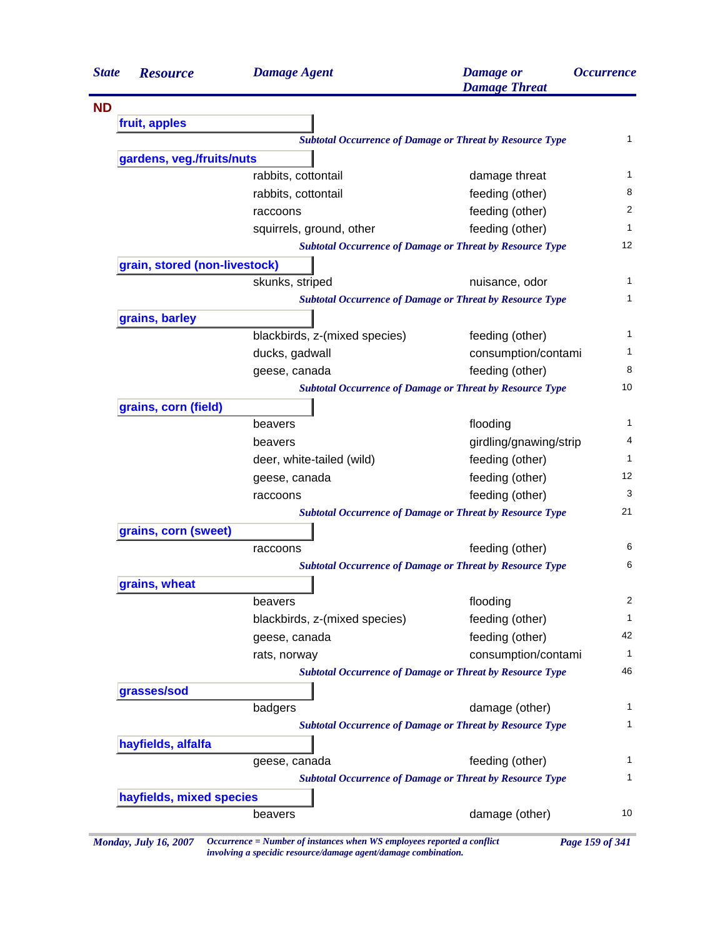| <b>State</b> | <b>Resource</b>               | <b>Damage Agent</b>           | <b>Damage</b> or<br><b>Damage Threat</b>                        | <i><b>Occurrence</b></i> |
|--------------|-------------------------------|-------------------------------|-----------------------------------------------------------------|--------------------------|
| <b>ND</b>    |                               |                               |                                                                 |                          |
|              | fruit, apples                 |                               |                                                                 |                          |
|              |                               |                               | <b>Subtotal Occurrence of Damage or Threat by Resource Type</b> | 1                        |
|              | gardens, veg./fruits/nuts     |                               |                                                                 |                          |
|              |                               | rabbits, cottontail           | damage threat                                                   | 1                        |
|              |                               | rabbits, cottontail           | feeding (other)                                                 | 8                        |
|              |                               | raccoons                      | feeding (other)                                                 | 2                        |
|              |                               | squirrels, ground, other      | feeding (other)                                                 | 1                        |
|              |                               |                               | <b>Subtotal Occurrence of Damage or Threat by Resource Type</b> | 12                       |
|              | grain, stored (non-livestock) |                               |                                                                 |                          |
|              |                               | skunks, striped               | nuisance, odor                                                  | 1                        |
|              |                               |                               | <b>Subtotal Occurrence of Damage or Threat by Resource Type</b> | 1                        |
|              | grains, barley                |                               |                                                                 |                          |
|              |                               | blackbirds, z-(mixed species) | feeding (other)                                                 | 1                        |
|              |                               | ducks, gadwall                | consumption/contami                                             | 1                        |
|              |                               | geese, canada                 | feeding (other)                                                 | 8                        |
|              |                               |                               | <b>Subtotal Occurrence of Damage or Threat by Resource Type</b> | 10                       |
|              | grains, corn (field)          |                               |                                                                 |                          |
|              |                               | beavers                       | flooding                                                        | 1                        |
|              |                               | beavers                       | girdling/gnawing/strip                                          | 4                        |
|              |                               | deer, white-tailed (wild)     | feeding (other)                                                 | 1                        |
|              |                               | geese, canada                 | feeding (other)                                                 | 12                       |
|              |                               | raccoons                      | feeding (other)                                                 | 3                        |
|              |                               |                               | <b>Subtotal Occurrence of Damage or Threat by Resource Type</b> | 21                       |
|              | grains, corn (sweet)          |                               |                                                                 |                          |
|              |                               | raccoons                      | feeding (other)                                                 | 6                        |
|              |                               |                               | <b>Subtotal Occurrence of Damage or Threat by Resource Type</b> | 6                        |
|              | grains, wheat                 |                               |                                                                 |                          |
|              |                               | beavers                       | flooding                                                        | 2                        |
|              |                               | blackbirds, z-(mixed species) | feeding (other)                                                 | $\mathbf{1}$             |
|              |                               | geese, canada                 | feeding (other)                                                 | 42                       |
|              |                               | rats, norway                  | consumption/contami                                             | $\mathbf{1}$             |
|              |                               |                               | <b>Subtotal Occurrence of Damage or Threat by Resource Type</b> | 46                       |
|              | grasses/sod                   |                               |                                                                 |                          |
|              |                               | badgers                       | damage (other)                                                  | 1                        |
|              |                               |                               | <b>Subtotal Occurrence of Damage or Threat by Resource Type</b> | 1                        |
|              | hayfields, alfalfa            |                               |                                                                 |                          |
|              |                               | geese, canada                 | feeding (other)                                                 | $\mathbf 1$              |
|              |                               |                               | <b>Subtotal Occurrence of Damage or Threat by Resource Type</b> | 1                        |
|              | hayfields, mixed species      |                               |                                                                 |                          |
|              |                               | beavers                       | damage (other)                                                  | 10                       |

*Monday, July 16, 2007 Occurrence = Number of instances when WS employees reported a conflict Page 159 of 341 involving a specidic resource/damage agent/damage combination.*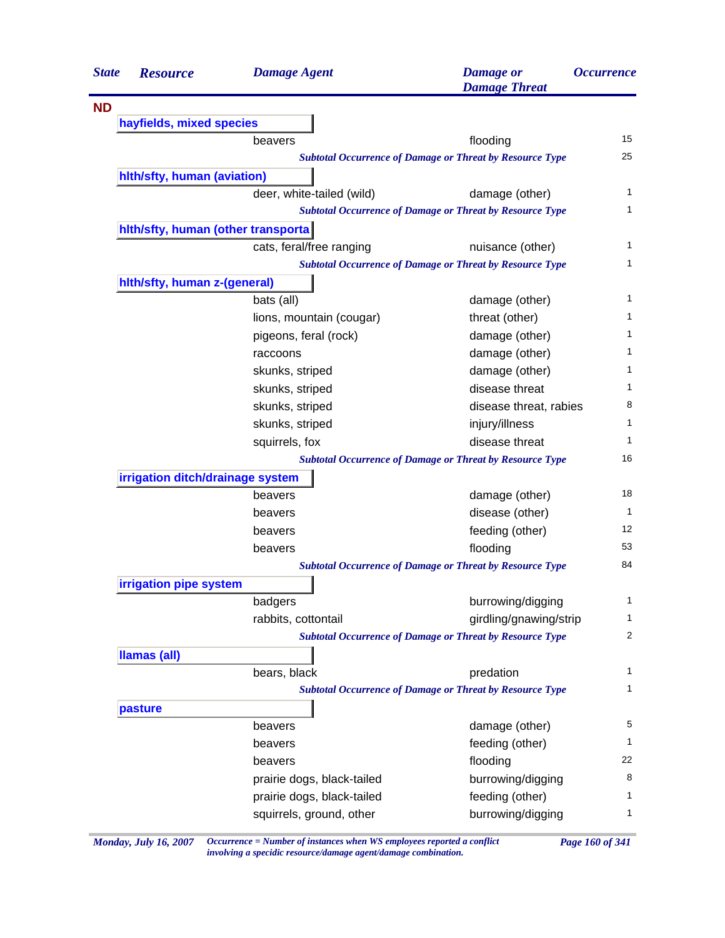| <b>State</b> | <b>Resource</b>                     | <b>Damage Agent</b>        | <b>Damage</b> or<br><b>Damage Threat</b>                        | <i><b>Occurrence</b></i> |
|--------------|-------------------------------------|----------------------------|-----------------------------------------------------------------|--------------------------|
| <b>ND</b>    |                                     |                            |                                                                 |                          |
|              | hayfields, mixed species            |                            |                                                                 |                          |
|              |                                     | beavers                    | flooding                                                        | 15                       |
|              |                                     |                            | <b>Subtotal Occurrence of Damage or Threat by Resource Type</b> | 25                       |
|              | hith/sfty, human (aviation)         |                            |                                                                 |                          |
|              |                                     | deer, white-tailed (wild)  | damage (other)                                                  | 1                        |
|              |                                     |                            | <b>Subtotal Occurrence of Damage or Threat by Resource Type</b> | 1                        |
|              | hith/sfty, human (other transporta) |                            |                                                                 |                          |
|              |                                     | cats, feral/free ranging   | nuisance (other)                                                | 1                        |
|              |                                     |                            | <b>Subtotal Occurrence of Damage or Threat by Resource Type</b> | 1                        |
|              | hith/sfty, human z-(general)        |                            |                                                                 |                          |
|              |                                     | bats (all)                 | damage (other)                                                  | 1                        |
|              |                                     | lions, mountain (cougar)   | threat (other)                                                  | 1                        |
|              |                                     | pigeons, feral (rock)      | damage (other)                                                  | 1                        |
|              |                                     | raccoons                   | damage (other)                                                  | 1                        |
|              |                                     | skunks, striped            | damage (other)                                                  | 1                        |
|              |                                     | skunks, striped            | disease threat                                                  | 1                        |
|              |                                     | skunks, striped            | disease threat, rabies                                          | 8                        |
|              |                                     | skunks, striped            | injury/illness                                                  | 1                        |
|              |                                     | squirrels, fox             | disease threat                                                  | 1                        |
|              |                                     |                            | <b>Subtotal Occurrence of Damage or Threat by Resource Type</b> | 16                       |
|              | irrigation ditch/drainage system    |                            |                                                                 |                          |
|              |                                     | beavers                    | damage (other)                                                  | 18                       |
|              |                                     | beavers                    | disease (other)                                                 | 1                        |
|              |                                     | beavers                    | feeding (other)                                                 | 12                       |
|              |                                     | beavers                    | flooding                                                        | 53                       |
|              |                                     |                            | <b>Subtotal Occurrence of Damage or Threat by Resource Type</b> | 84                       |
|              | irrigation pipe system              |                            |                                                                 |                          |
|              |                                     | badgers                    | burrowing/digging                                               | 1                        |
|              |                                     | rabbits, cottontail        | girdling/gnawing/strip                                          | 1                        |
|              |                                     |                            | <b>Subtotal Occurrence of Damage or Threat by Resource Type</b> | 2                        |
|              | <b>Ilamas (all)</b>                 |                            |                                                                 |                          |
|              |                                     | bears, black               | predation                                                       | 1                        |
|              |                                     |                            | <b>Subtotal Occurrence of Damage or Threat by Resource Type</b> | 1                        |
|              | pasture                             |                            |                                                                 |                          |
|              |                                     | beavers                    | damage (other)                                                  | 5                        |
|              |                                     | beavers                    | feeding (other)                                                 | 1                        |
|              |                                     | beavers                    | flooding                                                        | 22                       |
|              |                                     | prairie dogs, black-tailed | burrowing/digging                                               | 8                        |
|              |                                     | prairie dogs, black-tailed | feeding (other)                                                 | 1                        |
|              |                                     | squirrels, ground, other   | burrowing/digging                                               | 1                        |
|              |                                     |                            |                                                                 |                          |

*Monday, July 16, 2007 Occurrence = Number of instances when WS employees reported a conflict Page 160 of 341 involving a specidic resource/damage agent/damage combination.*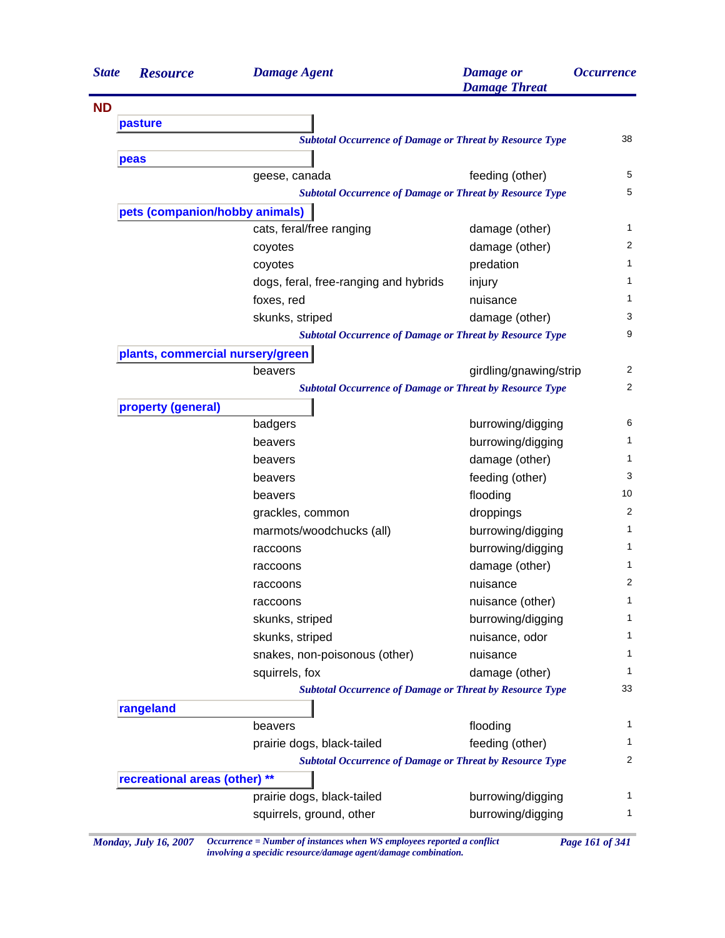| <b>State</b> | <b>Resource</b>                  | <b>Damage Agent</b>                                             | <b>Damage</b> or<br><b>Damage Threat</b> | <i><b>Occurrence</b></i> |
|--------------|----------------------------------|-----------------------------------------------------------------|------------------------------------------|--------------------------|
| <b>ND</b>    |                                  |                                                                 |                                          |                          |
|              | pasture                          |                                                                 |                                          |                          |
|              |                                  | <b>Subtotal Occurrence of Damage or Threat by Resource Type</b> |                                          | 38                       |
|              | peas                             |                                                                 |                                          |                          |
|              |                                  | geese, canada                                                   | feeding (other)                          | 5                        |
|              |                                  | <b>Subtotal Occurrence of Damage or Threat by Resource Type</b> |                                          | $\mathbf 5$              |
|              | pets (companion/hobby animals)   |                                                                 |                                          |                          |
|              |                                  | cats, feral/free ranging                                        | damage (other)                           | 1                        |
|              |                                  | coyotes                                                         | damage (other)                           | 2                        |
|              |                                  | coyotes                                                         | predation                                | 1                        |
|              |                                  | dogs, feral, free-ranging and hybrids                           | injury                                   | 1                        |
|              |                                  | foxes, red                                                      | nuisance                                 | 1                        |
|              |                                  | skunks, striped                                                 | damage (other)                           | 3                        |
|              |                                  | <b>Subtotal Occurrence of Damage or Threat by Resource Type</b> |                                          | 9                        |
|              | plants, commercial nursery/green |                                                                 |                                          |                          |
|              |                                  | beavers                                                         | girdling/gnawing/strip                   | 2                        |
|              |                                  | <b>Subtotal Occurrence of Damage or Threat by Resource Type</b> |                                          | $\overline{2}$           |
|              | property (general)               |                                                                 |                                          |                          |
|              |                                  | badgers                                                         | burrowing/digging                        | 6                        |
|              |                                  | beavers                                                         | burrowing/digging                        | 1                        |
|              |                                  | beavers                                                         | damage (other)                           | 1                        |
|              |                                  | beavers                                                         | feeding (other)                          | 3                        |
|              |                                  | beavers                                                         | flooding                                 | 10                       |
|              |                                  | grackles, common                                                | droppings                                | 2                        |
|              |                                  | marmots/woodchucks (all)                                        | burrowing/digging                        | 1                        |
|              |                                  | raccoons                                                        | burrowing/digging                        | 1                        |
|              |                                  | raccoons                                                        | damage (other)                           | 1                        |
|              |                                  | raccoons                                                        | nuisance                                 | 2                        |
|              |                                  | raccoons                                                        | nuisance (other)                         | $\mathbf{1}$             |
|              |                                  | skunks, striped                                                 | burrowing/digging                        | $\mathbf{1}$             |
|              |                                  | skunks, striped                                                 | nuisance, odor                           | 1                        |
|              |                                  | snakes, non-poisonous (other)                                   | nuisance                                 | 1                        |
|              |                                  | squirrels, fox                                                  | damage (other)                           | 1                        |
|              |                                  | <b>Subtotal Occurrence of Damage or Threat by Resource Type</b> |                                          | 33                       |
|              | rangeland                        |                                                                 |                                          |                          |
|              |                                  | beavers                                                         | flooding                                 | 1                        |
|              |                                  | prairie dogs, black-tailed                                      | feeding (other)                          | 1                        |
|              |                                  | <b>Subtotal Occurrence of Damage or Threat by Resource Type</b> |                                          | 2                        |
|              | recreational areas (other) **    |                                                                 |                                          |                          |
|              |                                  | prairie dogs, black-tailed                                      | burrowing/digging                        | 1                        |
|              |                                  | squirrels, ground, other                                        | burrowing/digging                        | 1                        |
|              |                                  |                                                                 |                                          |                          |

*Monday, July 16, 2007 Occurrence = Number of instances when WS employees reported a conflict Page 161 of 341 involving a specidic resource/damage agent/damage combination.*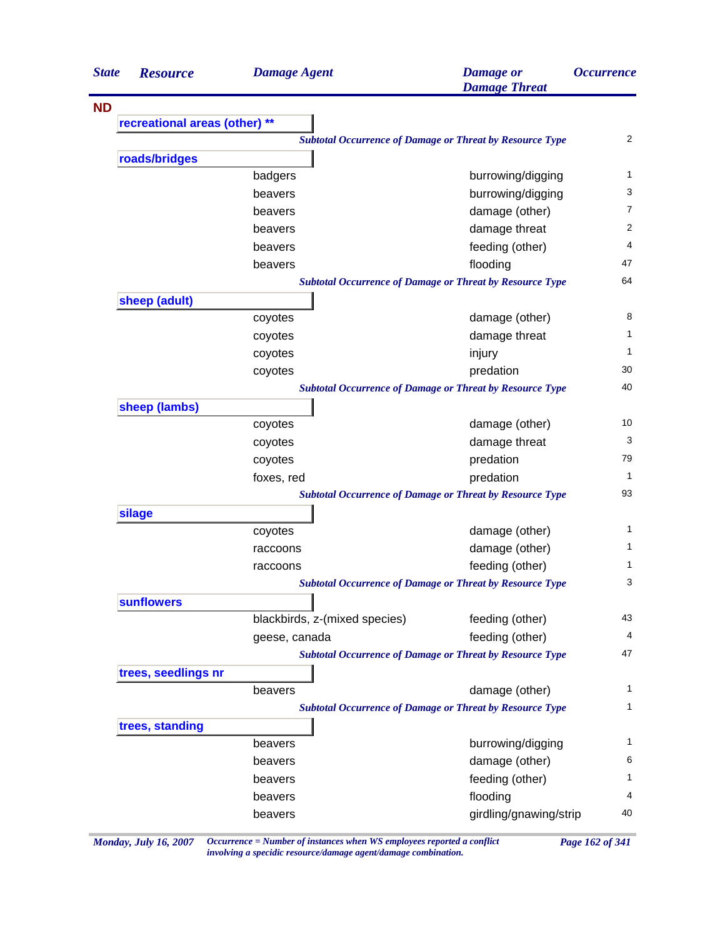| <b>State</b> | <b>Resource</b>               | <b>Damage Agent</b>           | <b>Damage</b> or<br><b>Damage Threat</b>                        | <i><b>Occurrence</b></i> |
|--------------|-------------------------------|-------------------------------|-----------------------------------------------------------------|--------------------------|
| <b>ND</b>    |                               |                               |                                                                 |                          |
|              | recreational areas (other) ** |                               |                                                                 |                          |
|              |                               |                               | <b>Subtotal Occurrence of Damage or Threat by Resource Type</b> | $\overline{2}$           |
|              | roads/bridges                 |                               |                                                                 |                          |
|              |                               | badgers                       | burrowing/digging                                               | 1                        |
|              |                               | beavers                       | burrowing/digging                                               | 3                        |
|              |                               | beavers                       | damage (other)                                                  | $\overline{7}$           |
|              |                               | beavers                       | damage threat                                                   | 2                        |
|              |                               | beavers                       | feeding (other)                                                 | 4                        |
|              |                               | beavers                       | flooding                                                        | 47                       |
|              |                               |                               | <b>Subtotal Occurrence of Damage or Threat by Resource Type</b> | 64                       |
|              | sheep (adult)                 |                               |                                                                 |                          |
|              |                               | coyotes                       | damage (other)                                                  | 8                        |
|              |                               | coyotes                       | damage threat                                                   | 1                        |
|              |                               | coyotes                       | injury                                                          | 1                        |
|              |                               | coyotes                       | predation                                                       | 30                       |
|              |                               |                               | <b>Subtotal Occurrence of Damage or Threat by Resource Type</b> | 40                       |
|              | sheep (lambs)                 |                               |                                                                 |                          |
|              |                               | coyotes                       | damage (other)                                                  | 10                       |
|              |                               | coyotes                       | damage threat                                                   | 3                        |
|              |                               | coyotes                       | predation                                                       | 79                       |
|              |                               | foxes, red                    | predation                                                       | 1                        |
|              |                               |                               | <b>Subtotal Occurrence of Damage or Threat by Resource Type</b> | 93                       |
|              | silage                        |                               |                                                                 |                          |
|              |                               | coyotes                       | damage (other)                                                  | 1                        |
|              |                               | raccoons                      | damage (other)                                                  | 1                        |
|              |                               | raccoons                      | feeding (other)                                                 | 1                        |
|              |                               |                               | <b>Subtotal Occurrence of Damage or Threat by Resource Type</b> | 3                        |
|              | <b>sunflowers</b>             |                               |                                                                 |                          |
|              |                               | blackbirds, z-(mixed species) | feeding (other)                                                 | 43                       |
|              |                               | geese, canada                 | feeding (other)                                                 | 4                        |
|              |                               |                               | <b>Subtotal Occurrence of Damage or Threat by Resource Type</b> | 47                       |
|              | trees, seedlings nr           |                               |                                                                 |                          |
|              |                               | beavers                       | damage (other)                                                  | 1                        |
|              |                               |                               | <b>Subtotal Occurrence of Damage or Threat by Resource Type</b> | $\mathbf{1}$             |
|              | trees, standing               |                               |                                                                 |                          |
|              |                               | beavers                       | burrowing/digging                                               | 1                        |
|              |                               | beavers                       | damage (other)                                                  | 6                        |
|              |                               | beavers                       | feeding (other)                                                 | 1                        |
|              |                               | beavers                       | flooding                                                        | 4                        |
|              |                               | beavers                       | girdling/gnawing/strip                                          | 40                       |

*Monday, July 16, 2007 Occurrence = Number of instances when WS employees reported a conflict Page 162 of 341 involving a specidic resource/damage agent/damage combination.*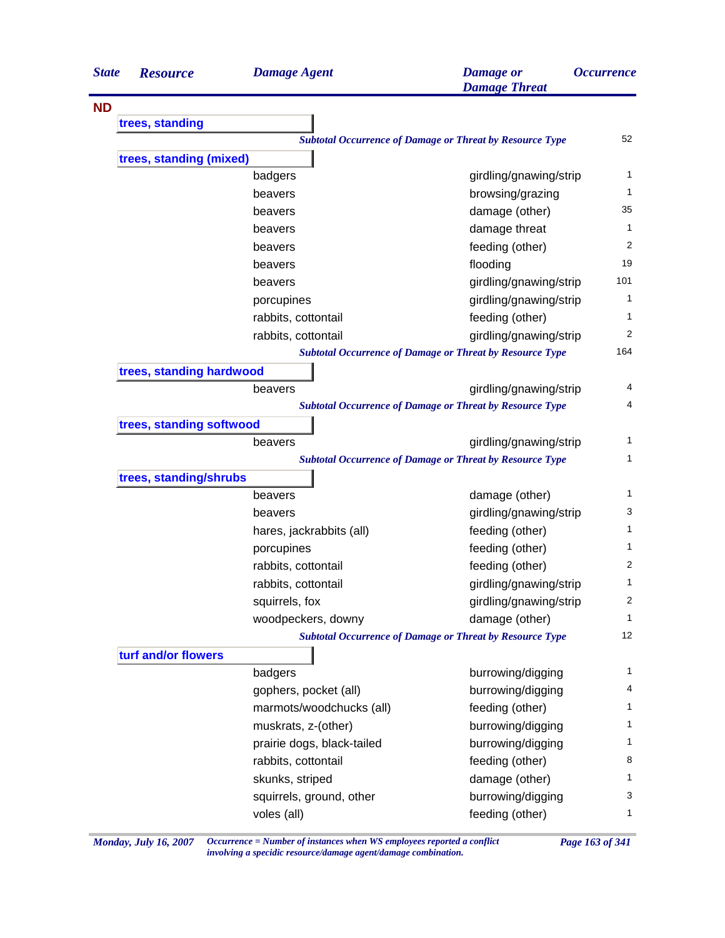| <b>State</b> | <b>Resource</b>          | <b>Damage Agent</b>        | <b>Damage</b> or<br><b>Damage Threat</b>                        | <i><b>Occurrence</b></i> |
|--------------|--------------------------|----------------------------|-----------------------------------------------------------------|--------------------------|
| <b>ND</b>    |                          |                            |                                                                 |                          |
|              | trees, standing          |                            |                                                                 |                          |
|              |                          |                            | <b>Subtotal Occurrence of Damage or Threat by Resource Type</b> | 52                       |
|              | trees, standing (mixed)  |                            |                                                                 |                          |
|              |                          | badgers                    | girdling/gnawing/strip                                          | 1                        |
|              |                          | beavers                    | browsing/grazing                                                | 1                        |
|              |                          | beavers                    | damage (other)                                                  | 35                       |
|              |                          | beavers                    | damage threat                                                   | 1                        |
|              |                          | beavers                    | feeding (other)                                                 | 2                        |
|              |                          | beavers                    | flooding                                                        | 19                       |
|              |                          | beavers                    | girdling/gnawing/strip                                          | 101                      |
|              |                          | porcupines                 | girdling/gnawing/strip                                          | 1                        |
|              |                          | rabbits, cottontail        | feeding (other)                                                 | 1                        |
|              |                          | rabbits, cottontail        | girdling/gnawing/strip                                          | 2                        |
|              |                          |                            | <b>Subtotal Occurrence of Damage or Threat by Resource Type</b> | 164                      |
|              | trees, standing hardwood |                            |                                                                 |                          |
|              |                          | beavers                    | girdling/gnawing/strip                                          | 4                        |
|              |                          |                            | <b>Subtotal Occurrence of Damage or Threat by Resource Type</b> | 4                        |
|              | trees, standing softwood |                            |                                                                 |                          |
|              |                          | beavers                    | girdling/gnawing/strip                                          | 1                        |
|              |                          |                            | <b>Subtotal Occurrence of Damage or Threat by Resource Type</b> | 1                        |
|              | trees, standing/shrubs   |                            |                                                                 |                          |
|              |                          | beavers                    | damage (other)                                                  | 1                        |
|              |                          | beavers                    | girdling/gnawing/strip                                          | 3                        |
|              |                          | hares, jackrabbits (all)   | feeding (other)                                                 | 1                        |
|              |                          | porcupines                 | feeding (other)                                                 | 1                        |
|              |                          | rabbits, cottontail        | feeding (other)                                                 | 2                        |
|              |                          | rabbits, cottontail        | girdling/gnawing/strip                                          | 1                        |
|              |                          | squirrels, fox             | girdling/gnawing/strip                                          | 2                        |
|              |                          | woodpeckers, downy         | damage (other)                                                  | 1                        |
|              |                          |                            | <b>Subtotal Occurrence of Damage or Threat by Resource Type</b> | 12                       |
|              | turf and/or flowers      |                            |                                                                 |                          |
|              |                          | badgers                    | burrowing/digging                                               | 1                        |
|              |                          | gophers, pocket (all)      | burrowing/digging                                               | 4                        |
|              |                          | marmots/woodchucks (all)   | feeding (other)                                                 | 1                        |
|              |                          | muskrats, z-(other)        | burrowing/digging                                               | 1                        |
|              |                          | prairie dogs, black-tailed | burrowing/digging                                               | 1                        |
|              |                          | rabbits, cottontail        | feeding (other)                                                 | 8                        |
|              |                          | skunks, striped            | damage (other)                                                  | 1                        |
|              |                          |                            |                                                                 |                          |
|              |                          | squirrels, ground, other   | burrowing/digging                                               | 3                        |

*Monday, July 16, 2007 Occurrence = Number of instances when WS employees reported a conflict Page 163 of 341 involving a specidic resource/damage agent/damage combination.*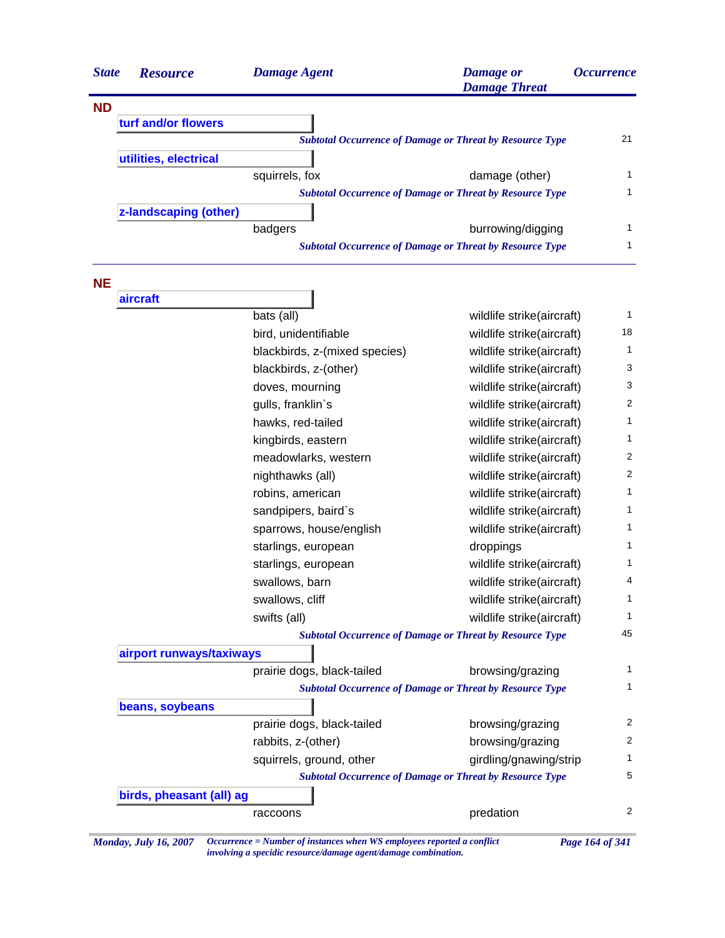| <b>Resource</b>       | <b>Damage Agent</b> | <b>Damage</b> or<br><b>Damage Threat</b> | <i><b>Occurrence</b></i>                                                                                                                                                                              |
|-----------------------|---------------------|------------------------------------------|-------------------------------------------------------------------------------------------------------------------------------------------------------------------------------------------------------|
|                       |                     |                                          |                                                                                                                                                                                                       |
| turf and/or flowers   |                     |                                          |                                                                                                                                                                                                       |
|                       |                     |                                          | 21                                                                                                                                                                                                    |
| utilities, electrical |                     |                                          |                                                                                                                                                                                                       |
|                       | squirrels, fox      | damage (other)                           |                                                                                                                                                                                                       |
|                       |                     |                                          |                                                                                                                                                                                                       |
| z-landscaping (other) |                     |                                          |                                                                                                                                                                                                       |
|                       | badgers             | burrowing/digging                        |                                                                                                                                                                                                       |
|                       |                     |                                          |                                                                                                                                                                                                       |
|                       | <b>State</b>        |                                          | <b>Subtotal Occurrence of Damage or Threat by Resource Type</b><br><b>Subtotal Occurrence of Damage or Threat by Resource Type</b><br><b>Subtotal Occurrence of Damage or Threat by Resource Type</b> |

| aircraft                 |                               |                                                                 |                |
|--------------------------|-------------------------------|-----------------------------------------------------------------|----------------|
|                          | bats (all)                    | wildlife strike(aircraft)                                       | $\mathbf{1}$   |
|                          | bird, unidentifiable          | wildlife strike(aircraft)                                       | 18             |
|                          | blackbirds, z-(mixed species) | wildlife strike(aircraft)                                       | $\mathbf{1}$   |
|                          | blackbirds, z-(other)         | wildlife strike(aircraft)                                       | 3              |
|                          | doves, mourning               | wildlife strike(aircraft)                                       | 3              |
|                          | gulls, franklin's             | wildlife strike(aircraft)                                       | $\overline{2}$ |
|                          | hawks, red-tailed             | wildlife strike(aircraft)                                       | $\mathbf{1}$   |
|                          | kingbirds, eastern            | wildlife strike(aircraft)                                       | $\mathbf{1}$   |
|                          | meadowlarks, western          | wildlife strike(aircraft)                                       | $\overline{2}$ |
|                          | nighthawks (all)              | wildlife strike(aircraft)                                       | $\overline{2}$ |
|                          | robins, american              | wildlife strike(aircraft)                                       | $\mathbf{1}$   |
|                          | sandpipers, baird's           | wildlife strike(aircraft)                                       | $\mathbf{1}$   |
|                          | sparrows, house/english       | wildlife strike(aircraft)                                       | 1              |
|                          | starlings, european           | droppings                                                       | $\mathbf{1}$   |
|                          | starlings, european           | wildlife strike(aircraft)                                       | $\mathbf{1}$   |
|                          | swallows, barn                | wildlife strike(aircraft)                                       | $\overline{4}$ |
|                          | swallows, cliff               | wildlife strike(aircraft)                                       | $\mathbf{1}$   |
|                          | swifts (all)                  | wildlife strike(aircraft)                                       | $\mathbf{1}$   |
|                          |                               | <b>Subtotal Occurrence of Damage or Threat by Resource Type</b> | 45             |
| airport runways/taxiways |                               |                                                                 |                |
|                          | prairie dogs, black-tailed    | browsing/grazing                                                | 1              |
|                          |                               | <b>Subtotal Occurrence of Damage or Threat by Resource Type</b> | $\mathbf{1}$   |
| beans, soybeans          |                               |                                                                 |                |
|                          | prairie dogs, black-tailed    | browsing/grazing                                                | 2              |
|                          | rabbits, z-(other)            | browsing/grazing                                                | 2              |
|                          | squirrels, ground, other      | girdling/gnawing/strip                                          | 1              |
|                          |                               | <b>Subtotal Occurrence of Damage or Threat by Resource Type</b> | 5              |
| birds, pheasant (all) ag |                               |                                                                 |                |
|                          | raccoons                      | predation                                                       | 2              |

*Monday, July 16, 2007 Occurrence = Number of instances when WS employees reported a conflict Page 164 of 341 involving a specidic resource/damage agent/damage combination.*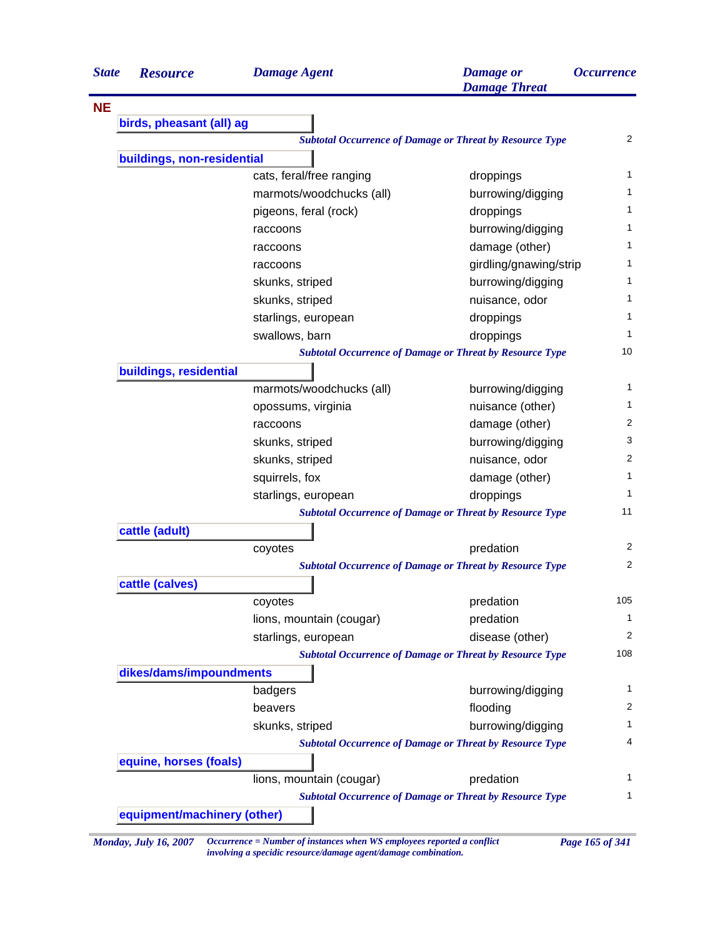| <b>State</b> | <b>Resource</b>             | <b>Damage Agent</b>      | <b>Damage</b> or<br><b>Damage Threat</b>                        | <i><b>Occurrence</b></i> |
|--------------|-----------------------------|--------------------------|-----------------------------------------------------------------|--------------------------|
| <b>NE</b>    |                             |                          |                                                                 |                          |
|              | birds, pheasant (all) ag    |                          |                                                                 |                          |
|              |                             |                          | <b>Subtotal Occurrence of Damage or Threat by Resource Type</b> | $\overline{2}$           |
|              | buildings, non-residential  |                          |                                                                 |                          |
|              |                             | cats, feral/free ranging | droppings                                                       | $\mathbf{1}$             |
|              |                             | marmots/woodchucks (all) | burrowing/digging                                               | 1                        |
|              |                             | pigeons, feral (rock)    | droppings                                                       | 1                        |
|              |                             | raccoons                 | burrowing/digging                                               | 1                        |
|              |                             | raccoons                 | damage (other)                                                  | 1                        |
|              |                             | raccoons                 | girdling/gnawing/strip                                          | 1                        |
|              |                             | skunks, striped          | burrowing/digging                                               | 1                        |
|              |                             | skunks, striped          | nuisance, odor                                                  | 1                        |
|              |                             | starlings, european      | droppings                                                       | 1                        |
|              |                             | swallows, barn           | droppings                                                       | 1                        |
|              |                             |                          | <b>Subtotal Occurrence of Damage or Threat by Resource Type</b> | 10                       |
|              | buildings, residential      |                          |                                                                 |                          |
|              |                             | marmots/woodchucks (all) | burrowing/digging                                               | $\mathbf{1}$             |
|              |                             | opossums, virginia       | nuisance (other)                                                | 1                        |
|              |                             | raccoons                 | damage (other)                                                  | 2                        |
|              |                             | skunks, striped          | burrowing/digging                                               | 3                        |
|              |                             | skunks, striped          | nuisance, odor                                                  | 2                        |
|              |                             | squirrels, fox           | damage (other)                                                  | 1                        |
|              |                             | starlings, european      | droppings                                                       | 1                        |
|              |                             |                          | <b>Subtotal Occurrence of Damage or Threat by Resource Type</b> | 11                       |
|              | cattle (adult)              |                          |                                                                 |                          |
|              |                             | coyotes                  | predation                                                       | 2                        |
|              |                             |                          | <b>Subtotal Occurrence of Damage or Threat by Resource Type</b> | $\overline{2}$           |
|              | cattle (calves)             |                          |                                                                 |                          |
|              |                             | coyotes                  | predation                                                       | 105                      |
|              |                             | lions, mountain (cougar) | predation                                                       | 1                        |
|              |                             | starlings, european      | disease (other)                                                 | 2                        |
|              |                             |                          | <b>Subtotal Occurrence of Damage or Threat by Resource Type</b> | 108                      |
|              | dikes/dams/impoundments     |                          |                                                                 |                          |
|              |                             | badgers                  | burrowing/digging                                               | 1                        |
|              |                             | beavers                  | flooding                                                        | 2                        |
|              |                             | skunks, striped          | burrowing/digging                                               | 1                        |
|              |                             |                          | <b>Subtotal Occurrence of Damage or Threat by Resource Type</b> | 4                        |
|              | equine, horses (foals)      |                          |                                                                 |                          |
|              |                             | lions, mountain (cougar) | predation                                                       | 1                        |
|              |                             |                          | <b>Subtotal Occurrence of Damage or Threat by Resource Type</b> | 1                        |
|              |                             |                          |                                                                 |                          |
|              | equipment/machinery (other) |                          |                                                                 |                          |

*Monday, July 16, 2007 Occurrence = Number of instances when WS employees reported a conflict Page 165 of 341*

*involving a specidic resource/damage agent/damage combination.*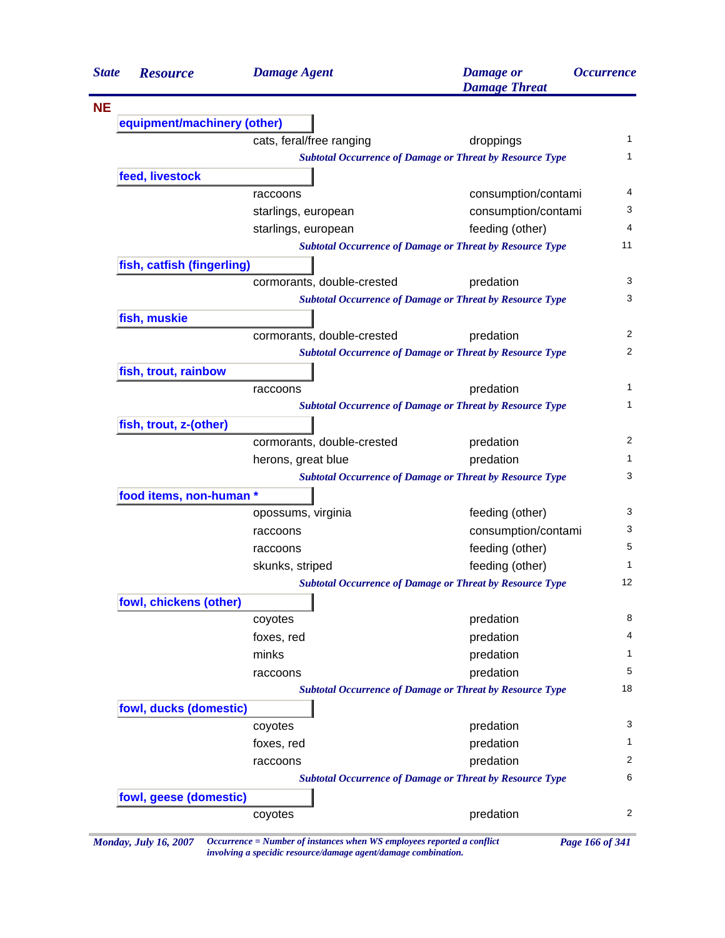| <b>State</b> | <b>Resource</b>             | <b>Damage Agent</b>        | <b>Damage</b> or<br><b>Damage Threat</b>                        | <i><b>Occurrence</b></i> |
|--------------|-----------------------------|----------------------------|-----------------------------------------------------------------|--------------------------|
| <b>NE</b>    |                             |                            |                                                                 |                          |
|              | equipment/machinery (other) |                            |                                                                 |                          |
|              |                             | cats, feral/free ranging   | droppings                                                       |                          |
|              |                             |                            | <b>Subtotal Occurrence of Damage or Threat by Resource Type</b> |                          |
|              | feed, livestock             |                            |                                                                 |                          |
|              |                             | raccoons                   | consumption/contami                                             | 4                        |
|              |                             | starlings, european        | consumption/contami                                             | 3<br>4                   |
|              |                             | starlings, european        | feeding (other)                                                 |                          |
|              |                             |                            | <b>Subtotal Occurrence of Damage or Threat by Resource Type</b> | 11                       |
|              | fish, catfish (fingerling)  |                            |                                                                 |                          |
|              |                             | cormorants, double-crested | predation                                                       | 3                        |
|              |                             |                            | <b>Subtotal Occurrence of Damage or Threat by Resource Type</b> |                          |
|              | fish, muskie                |                            |                                                                 |                          |
|              |                             | cormorants, double-crested | predation                                                       | 2                        |
|              |                             |                            | <b>Subtotal Occurrence of Damage or Threat by Resource Type</b> | 2                        |
|              | fish, trout, rainbow        |                            |                                                                 | $\mathbf{1}$             |
|              |                             | raccoons                   | predation                                                       |                          |
|              |                             |                            | <b>Subtotal Occurrence of Damage or Threat by Resource Type</b> |                          |
|              | fish, trout, z-(other)      |                            |                                                                 | 2                        |
|              |                             | cormorants, double-crested | predation                                                       | 1                        |
|              |                             | herons, great blue         | predation                                                       |                          |
|              |                             |                            | <b>Subtotal Occurrence of Damage or Threat by Resource Type</b> | 3                        |
|              | food items, non-human *     | opossums, virginia         | feeding (other)                                                 | 3                        |
|              |                             |                            | consumption/contami                                             | 3                        |
|              |                             | raccoons<br>raccoons       | feeding (other)                                                 | 5                        |
|              |                             | skunks, striped            | feeding (other)                                                 | 1                        |
|              |                             |                            | <b>Subtotal Occurrence of Damage or Threat by Resource Type</b> | 12                       |
|              | fowl, chickens (other)      |                            |                                                                 |                          |
|              |                             | coyotes                    | predation                                                       | 8                        |
|              |                             | foxes, red                 | predation                                                       | 4                        |
|              |                             | minks                      | predation                                                       | 1                        |
|              |                             | raccoons                   | predation                                                       | 5                        |
|              |                             |                            | <b>Subtotal Occurrence of Damage or Threat by Resource Type</b> | 18                       |
|              | fowl, ducks (domestic)      |                            |                                                                 |                          |
|              |                             | coyotes                    | predation                                                       | 3                        |
|              |                             | foxes, red                 | predation                                                       | 1                        |
|              |                             | raccoons                   | predation                                                       | 2                        |
|              |                             |                            | <b>Subtotal Occurrence of Damage or Threat by Resource Type</b> |                          |
|              | fowl, geese (domestic)      |                            |                                                                 |                          |
|              |                             | coyotes                    | predation                                                       | 2                        |

*involving a specidic resource/damage agent/damage combination.*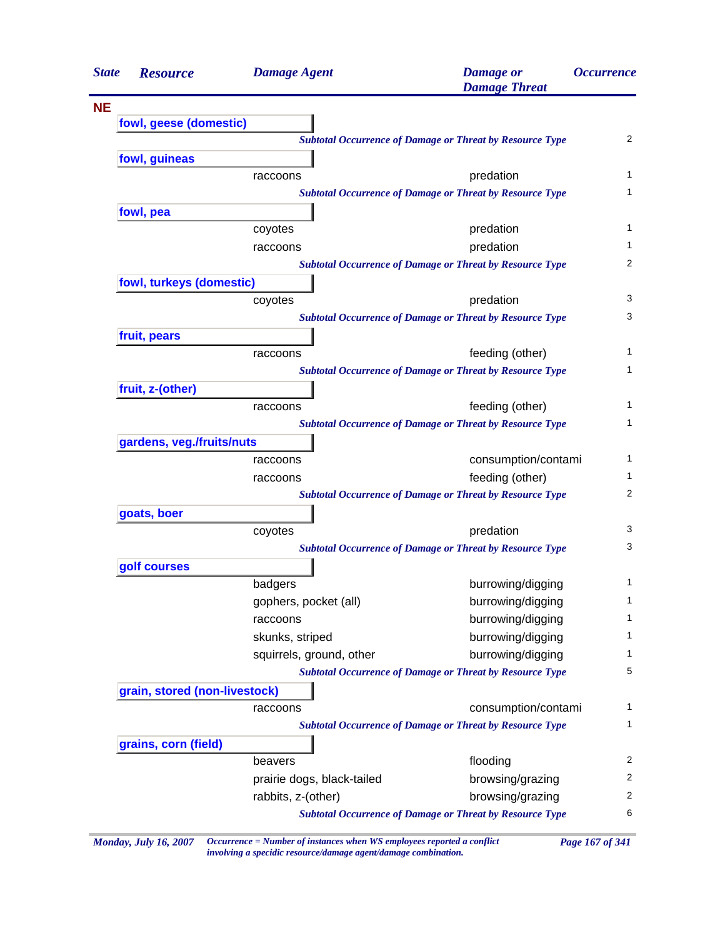| <b>State</b> | <b>Resource</b>               | <b>Damage Agent</b>        | <b>Damage</b> or<br><b>Damage Threat</b>                        | <b>Occurrence</b> |
|--------------|-------------------------------|----------------------------|-----------------------------------------------------------------|-------------------|
| <b>NE</b>    |                               |                            |                                                                 |                   |
|              | fowl, geese (domestic)        |                            |                                                                 |                   |
|              |                               |                            | <b>Subtotal Occurrence of Damage or Threat by Resource Type</b> | 2                 |
|              | fowl, guineas                 |                            |                                                                 |                   |
|              |                               | raccoons                   | predation                                                       | 1                 |
|              |                               |                            | <b>Subtotal Occurrence of Damage or Threat by Resource Type</b> | 1                 |
|              | fowl, pea                     |                            |                                                                 |                   |
|              |                               | coyotes                    | predation                                                       | 1                 |
|              |                               | raccoons                   | predation                                                       | 1                 |
|              |                               |                            | <b>Subtotal Occurrence of Damage or Threat by Resource Type</b> | 2                 |
|              | fowl, turkeys (domestic)      |                            |                                                                 |                   |
|              |                               | coyotes                    | predation                                                       | 3                 |
|              |                               |                            | <b>Subtotal Occurrence of Damage or Threat by Resource Type</b> | 3                 |
|              | fruit, pears                  |                            |                                                                 |                   |
|              |                               | raccoons                   | feeding (other)                                                 | 1                 |
|              |                               |                            | <b>Subtotal Occurrence of Damage or Threat by Resource Type</b> | 1                 |
|              | fruit, z-(other)              |                            |                                                                 |                   |
|              |                               | raccoons                   | feeding (other)                                                 | 1                 |
|              |                               |                            | <b>Subtotal Occurrence of Damage or Threat by Resource Type</b> | 1                 |
|              | gardens, veg./fruits/nuts     |                            |                                                                 |                   |
|              |                               | raccoons                   | consumption/contami                                             | 1                 |
|              |                               | raccoons                   | feeding (other)                                                 | 1                 |
|              |                               |                            | <b>Subtotal Occurrence of Damage or Threat by Resource Type</b> | 2                 |
|              | goats, boer                   |                            |                                                                 |                   |
|              |                               | coyotes                    | predation                                                       | 3                 |
|              |                               |                            | <b>Subtotal Occurrence of Damage or Threat by Resource Type</b> | 3                 |
|              | golf courses                  |                            |                                                                 |                   |
|              |                               | badgers                    | burrowing/digging                                               | 1                 |
|              |                               | gophers, pocket (all)      | burrowing/digging                                               | 1                 |
|              |                               | raccoons                   | burrowing/digging                                               | 1                 |
|              |                               | skunks, striped            | burrowing/digging                                               | 1                 |
|              |                               | squirrels, ground, other   | burrowing/digging                                               | 1                 |
|              |                               |                            | <b>Subtotal Occurrence of Damage or Threat by Resource Type</b> | 5                 |
|              | grain, stored (non-livestock) |                            |                                                                 |                   |
|              |                               | raccoons                   | consumption/contami                                             | 1                 |
|              |                               |                            | <b>Subtotal Occurrence of Damage or Threat by Resource Type</b> | 1                 |
|              | grains, corn (field)          |                            |                                                                 |                   |
|              |                               | beavers                    | flooding                                                        | $\overline{2}$    |
|              |                               | prairie dogs, black-tailed | browsing/grazing                                                | $\overline{2}$    |
|              |                               |                            |                                                                 |                   |
|              |                               | rabbits, z-(other)         | browsing/grazing                                                | $\overline{c}$    |

*Monday, July 16, 2007 Occurrence = Number of instances when WS employees reported a conflict Page 167 of 341 involving a specidic resource/damage agent/damage combination.*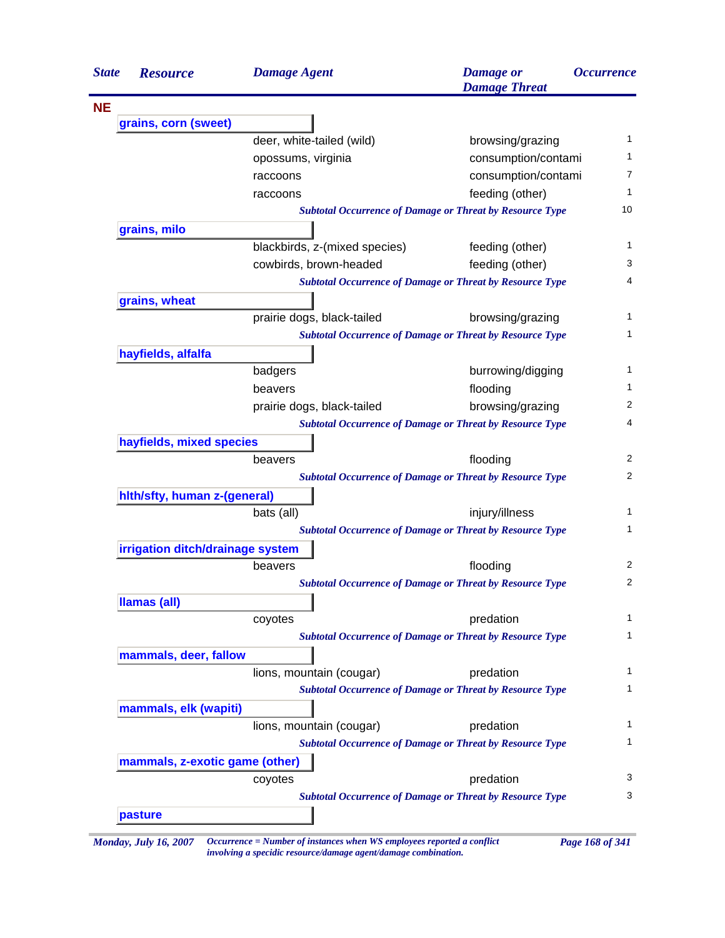| <b>State</b> | <b>Resource</b>                  | <b>Damage Agent</b>           | <b>Damage</b> or<br><b>Damage Threat</b>                        | <i><b>Occurrence</b></i> |  |  |  |
|--------------|----------------------------------|-------------------------------|-----------------------------------------------------------------|--------------------------|--|--|--|
|              |                                  |                               |                                                                 |                          |  |  |  |
|              | grains, corn (sweet)             |                               |                                                                 |                          |  |  |  |
|              |                                  | deer, white-tailed (wild)     | browsing/grazing                                                |                          |  |  |  |
|              |                                  | opossums, virginia            | consumption/contami                                             |                          |  |  |  |
|              |                                  | raccoons                      | consumption/contami                                             |                          |  |  |  |
|              |                                  | raccoons                      | feeding (other)                                                 |                          |  |  |  |
|              |                                  |                               | <b>Subtotal Occurrence of Damage or Threat by Resource Type</b> |                          |  |  |  |
|              | grains, milo                     |                               |                                                                 |                          |  |  |  |
|              |                                  | blackbirds, z-(mixed species) | feeding (other)                                                 |                          |  |  |  |
|              |                                  | cowbirds, brown-headed        | feeding (other)                                                 |                          |  |  |  |
|              |                                  |                               | <b>Subtotal Occurrence of Damage or Threat by Resource Type</b> |                          |  |  |  |
|              | grains, wheat                    |                               |                                                                 |                          |  |  |  |
|              |                                  | prairie dogs, black-tailed    | browsing/grazing                                                |                          |  |  |  |
|              |                                  |                               | <b>Subtotal Occurrence of Damage or Threat by Resource Type</b> |                          |  |  |  |
|              | hayfields, alfalfa               |                               |                                                                 |                          |  |  |  |
|              |                                  | badgers                       | burrowing/digging                                               |                          |  |  |  |
|              |                                  | beavers                       | flooding                                                        |                          |  |  |  |
|              |                                  | prairie dogs, black-tailed    | browsing/grazing                                                |                          |  |  |  |
|              |                                  |                               | <b>Subtotal Occurrence of Damage or Threat by Resource Type</b> |                          |  |  |  |
|              | hayfields, mixed species         |                               |                                                                 |                          |  |  |  |
|              |                                  | beavers                       | flooding                                                        |                          |  |  |  |
|              |                                  |                               | <b>Subtotal Occurrence of Damage or Threat by Resource Type</b> |                          |  |  |  |
|              | hith/sfty, human z-(general)     |                               |                                                                 |                          |  |  |  |
|              |                                  | bats (all)                    | injury/illness                                                  |                          |  |  |  |
|              |                                  |                               | <b>Subtotal Occurrence of Damage or Threat by Resource Type</b> |                          |  |  |  |
|              | irrigation ditch/drainage system |                               |                                                                 |                          |  |  |  |
|              |                                  | beavers                       | flooding                                                        |                          |  |  |  |
|              |                                  |                               | <b>Subtotal Occurrence of Damage or Threat by Resource Type</b> |                          |  |  |  |
|              | Ilamas (all)                     |                               |                                                                 |                          |  |  |  |
|              |                                  | coyotes                       | predation                                                       |                          |  |  |  |
|              |                                  |                               | <b>Subtotal Occurrence of Damage or Threat by Resource Type</b> |                          |  |  |  |
|              | mammals, deer, fallow            |                               |                                                                 |                          |  |  |  |
|              |                                  | lions, mountain (cougar)      | predation                                                       |                          |  |  |  |
|              |                                  |                               | <b>Subtotal Occurrence of Damage or Threat by Resource Type</b> |                          |  |  |  |
|              | mammals, elk (wapiti)            |                               |                                                                 |                          |  |  |  |
|              |                                  | lions, mountain (cougar)      | predation                                                       |                          |  |  |  |
|              |                                  |                               | <b>Subtotal Occurrence of Damage or Threat by Resource Type</b> |                          |  |  |  |
|              | mammals, z-exotic game (other)   |                               |                                                                 |                          |  |  |  |
|              |                                  | coyotes                       | predation                                                       |                          |  |  |  |
|              |                                  |                               | <b>Subtotal Occurrence of Damage or Threat by Resource Type</b> |                          |  |  |  |
|              | pasture                          |                               |                                                                 |                          |  |  |  |

*involving a specidic resource/damage agent/damage combination.*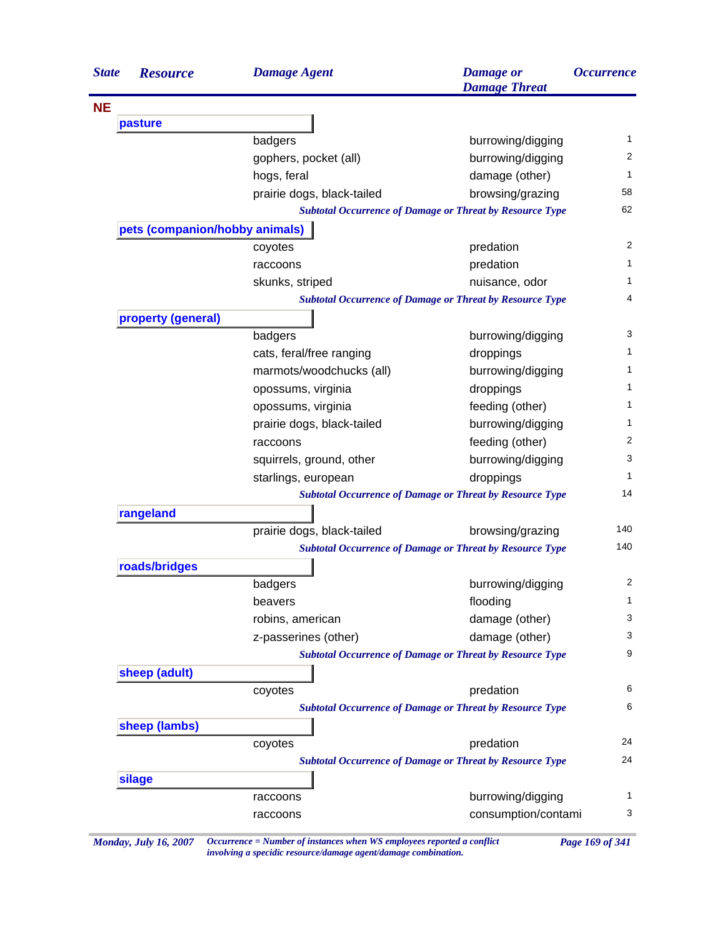| <b>State</b> | <b>Resource</b>                                                                                                                                                                                                                                                                                                                                                                                                                                                                                    | <b>Damage Agent</b>        | <b>Damage</b> or<br><b>Damage Threat</b>                        | <i><b>Occurrence</b></i> |
|--------------|----------------------------------------------------------------------------------------------------------------------------------------------------------------------------------------------------------------------------------------------------------------------------------------------------------------------------------------------------------------------------------------------------------------------------------------------------------------------------------------------------|----------------------------|-----------------------------------------------------------------|--------------------------|
| <b>NE</b>    |                                                                                                                                                                                                                                                                                                                                                                                                                                                                                                    |                            |                                                                 |                          |
|              | pasture                                                                                                                                                                                                                                                                                                                                                                                                                                                                                            |                            |                                                                 |                          |
|              |                                                                                                                                                                                                                                                                                                                                                                                                                                                                                                    | badgers                    | burrowing/digging                                               | 1                        |
|              |                                                                                                                                                                                                                                                                                                                                                                                                                                                                                                    | gophers, pocket (all)      | burrowing/digging                                               | 2                        |
|              |                                                                                                                                                                                                                                                                                                                                                                                                                                                                                                    | hogs, feral                | damage (other)                                                  | 1                        |
|              |                                                                                                                                                                                                                                                                                                                                                                                                                                                                                                    | prairie dogs, black-tailed | browsing/grazing                                                | 58                       |
|              |                                                                                                                                                                                                                                                                                                                                                                                                                                                                                                    |                            | <b>Subtotal Occurrence of Damage or Threat by Resource Type</b> | 62                       |
|              | pets (companion/hobby animals)                                                                                                                                                                                                                                                                                                                                                                                                                                                                     |                            |                                                                 |                          |
|              |                                                                                                                                                                                                                                                                                                                                                                                                                                                                                                    | coyotes                    | predation                                                       | 2                        |
|              |                                                                                                                                                                                                                                                                                                                                                                                                                                                                                                    | raccoons                   | predation                                                       | 1                        |
|              |                                                                                                                                                                                                                                                                                                                                                                                                                                                                                                    | skunks, striped            | nuisance, odor                                                  | 1.                       |
|              |                                                                                                                                                                                                                                                                                                                                                                                                                                                                                                    |                            | <b>Subtotal Occurrence of Damage or Threat by Resource Type</b> | 4                        |
|              |                                                                                                                                                                                                                                                                                                                                                                                                                                                                                                    |                            |                                                                 |                          |
|              |                                                                                                                                                                                                                                                                                                                                                                                                                                                                                                    | badgers                    | burrowing/digging                                               | 3                        |
|              |                                                                                                                                                                                                                                                                                                                                                                                                                                                                                                    | cats, feral/free ranging   | droppings                                                       | 1                        |
|              |                                                                                                                                                                                                                                                                                                                                                                                                                                                                                                    | marmots/woodchucks (all)   | burrowing/digging                                               | 1                        |
|              |                                                                                                                                                                                                                                                                                                                                                                                                                                                                                                    | opossums, virginia         | droppings                                                       | 1                        |
|              |                                                                                                                                                                                                                                                                                                                                                                                                                                                                                                    | opossums, virginia         | feeding (other)                                                 | 1                        |
|              |                                                                                                                                                                                                                                                                                                                                                                                                                                                                                                    | prairie dogs, black-tailed | burrowing/digging                                               | 1                        |
|              |                                                                                                                                                                                                                                                                                                                                                                                                                                                                                                    | raccoons                   | feeding (other)                                                 | 2                        |
|              |                                                                                                                                                                                                                                                                                                                                                                                                                                                                                                    | squirrels, ground, other   | burrowing/digging                                               | 3                        |
|              |                                                                                                                                                                                                                                                                                                                                                                                                                                                                                                    | starlings, european        | droppings                                                       | 1                        |
|              |                                                                                                                                                                                                                                                                                                                                                                                                                                                                                                    |                            |                                                                 | 14                       |
|              |                                                                                                                                                                                                                                                                                                                                                                                                                                                                                                    |                            |                                                                 |                          |
|              |                                                                                                                                                                                                                                                                                                                                                                                                                                                                                                    | prairie dogs, black-tailed | browsing/grazing                                                | 140                      |
|              |                                                                                                                                                                                                                                                                                                                                                                                                                                                                                                    |                            |                                                                 | 140                      |
|              |                                                                                                                                                                                                                                                                                                                                                                                                                                                                                                    |                            |                                                                 |                          |
|              |                                                                                                                                                                                                                                                                                                                                                                                                                                                                                                    |                            | burrowing/digging                                               | $\overline{c}$           |
|              |                                                                                                                                                                                                                                                                                                                                                                                                                                                                                                    | beavers                    | flooding                                                        | 1                        |
|              |                                                                                                                                                                                                                                                                                                                                                                                                                                                                                                    | robins, american           | damage (other)                                                  | 3                        |
|              |                                                                                                                                                                                                                                                                                                                                                                                                                                                                                                    | z-passerines (other)       | damage (other)                                                  | 3                        |
|              |                                                                                                                                                                                                                                                                                                                                                                                                                                                                                                    |                            |                                                                 | 9                        |
|              |                                                                                                                                                                                                                                                                                                                                                                                                                                                                                                    |                            |                                                                 |                          |
|              |                                                                                                                                                                                                                                                                                                                                                                                                                                                                                                    |                            | predation                                                       | 6                        |
|              |                                                                                                                                                                                                                                                                                                                                                                                                                                                                                                    |                            |                                                                 | 6                        |
|              |                                                                                                                                                                                                                                                                                                                                                                                                                                                                                                    |                            |                                                                 |                          |
|              |                                                                                                                                                                                                                                                                                                                                                                                                                                                                                                    | coyotes                    | predation                                                       | 24                       |
|              |                                                                                                                                                                                                                                                                                                                                                                                                                                                                                                    |                            |                                                                 | 24                       |
|              | property (general)<br><b>Subtotal Occurrence of Damage or Threat by Resource Type</b><br>rangeland<br><b>Subtotal Occurrence of Damage or Threat by Resource Type</b><br>roads/bridges<br>badgers<br><b>Subtotal Occurrence of Damage or Threat by Resource Type</b><br>sheep (adult)<br>coyotes<br><b>Subtotal Occurrence of Damage or Threat by Resource Type</b><br>sheep (lambs)<br><b>Subtotal Occurrence of Damage or Threat by Resource Type</b><br>silage<br>burrowing/digging<br>raccoons |                            |                                                                 |                          |
|              |                                                                                                                                                                                                                                                                                                                                                                                                                                                                                                    |                            |                                                                 | 1                        |
|              |                                                                                                                                                                                                                                                                                                                                                                                                                                                                                                    | raccoons                   | consumption/contami                                             | 3                        |

*Monday, July 16, 2007 Occurrence = Number of instances when WS employees reported a conflict Page 169 of 341 involving a specidic resource/damage agent/damage combination.*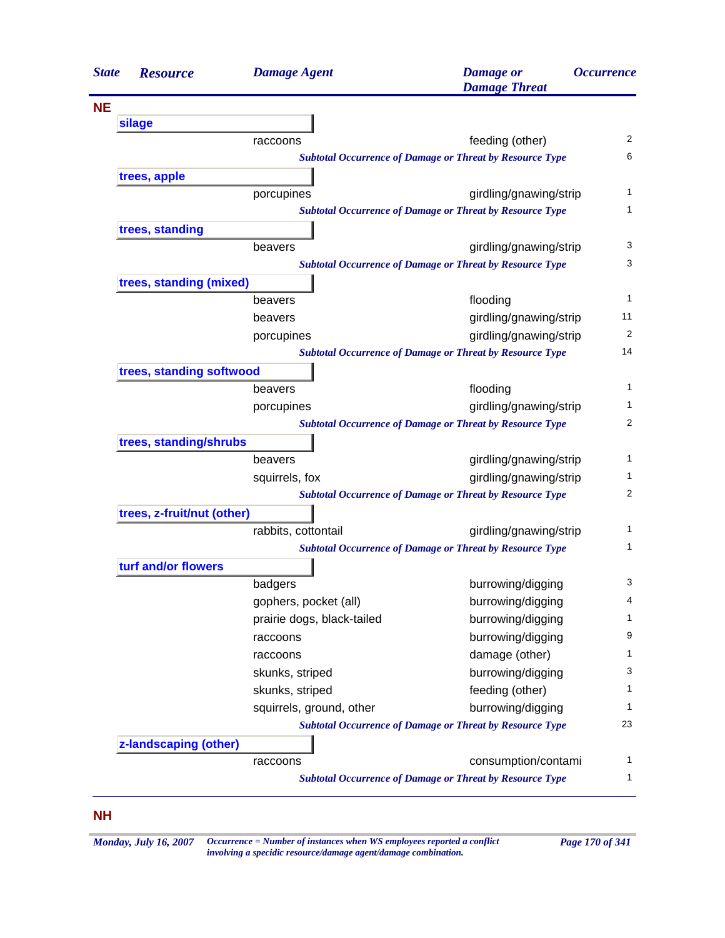| <b>State</b> | <b>Resource</b>            | <b>Damage Agent</b>        | <b>Damage</b> or<br><b>Damage Threat</b>                                                  | <i><b>Occurrence</b></i> |
|--------------|----------------------------|----------------------------|-------------------------------------------------------------------------------------------|--------------------------|
| <b>NE</b>    |                            |                            |                                                                                           |                          |
|              | silage                     |                            |                                                                                           |                          |
|              |                            | raccoons                   | feeding (other)                                                                           | $\overline{c}$           |
|              |                            |                            | <b>Subtotal Occurrence of Damage or Threat by Resource Type</b>                           | 6                        |
|              | trees, apple               |                            |                                                                                           |                          |
|              |                            | porcupines                 | girdling/gnawing/strip                                                                    | 1                        |
|              |                            |                            | <b>Subtotal Occurrence of Damage or Threat by Resource Type</b>                           | 1                        |
|              | trees, standing            |                            |                                                                                           |                          |
|              |                            | beavers                    | girdling/gnawing/strip                                                                    | 3                        |
|              |                            |                            | <b>Subtotal Occurrence of Damage or Threat by Resource Type</b>                           | 3                        |
|              | trees, standing (mixed)    |                            |                                                                                           |                          |
|              |                            | beavers                    | flooding                                                                                  | 1                        |
|              |                            | beavers                    | girdling/gnawing/strip                                                                    | 11                       |
|              |                            | porcupines                 | girdling/gnawing/strip                                                                    | 2                        |
|              |                            |                            | <b>Subtotal Occurrence of Damage or Threat by Resource Type</b>                           | 14                       |
|              | trees, standing softwood   |                            |                                                                                           |                          |
|              |                            | beavers                    | flooding                                                                                  | 1                        |
|              |                            | porcupines                 | girdling/gnawing/strip                                                                    | 1                        |
|              |                            |                            | <b>Subtotal Occurrence of Damage or Threat by Resource Type</b>                           | 2                        |
|              | trees, standing/shrubs     |                            |                                                                                           | 1                        |
|              |                            | beavers                    | girdling/gnawing/strip                                                                    | 1                        |
|              |                            | squirrels, fox             | girdling/gnawing/strip<br><b>Subtotal Occurrence of Damage or Threat by Resource Type</b> | 2                        |
|              | trees, z-fruit/nut (other) |                            |                                                                                           |                          |
|              |                            | rabbits, cottontail        | girdling/gnawing/strip                                                                    | 1                        |
|              |                            |                            | <b>Subtotal Occurrence of Damage or Threat by Resource Type</b>                           | 1                        |
|              | turf and/or flowers        |                            |                                                                                           |                          |
|              |                            | badgers                    | burrowing/digging                                                                         | 3                        |
|              |                            | gophers, pocket (all)      | burrowing/digging                                                                         | 4                        |
|              |                            | prairie dogs, black-tailed | burrowing/digging                                                                         | 1                        |
|              |                            | raccoons                   | burrowing/digging                                                                         | 9                        |
|              |                            | raccoons                   | damage (other)                                                                            | 1                        |
|              |                            | skunks, striped            | burrowing/digging                                                                         | 3                        |
|              |                            | skunks, striped            | feeding (other)                                                                           | 1                        |
|              |                            | squirrels, ground, other   | burrowing/digging                                                                         | 1                        |
|              |                            |                            | <b>Subtotal Occurrence of Damage or Threat by Resource Type</b>                           | 23                       |
|              | z-landscaping (other)      |                            |                                                                                           |                          |
|              |                            | raccoons                   | consumption/contami                                                                       | 1                        |
|              |                            |                            | <b>Subtotal Occurrence of Damage or Threat by Resource Type</b>                           | 1                        |

## **NH**

*Monday, July 16, 2007 Occurrence = Number of instances when WS employees reported a conflict Page 170 of 341 involving a specidic resource/damage agent/damage combination.*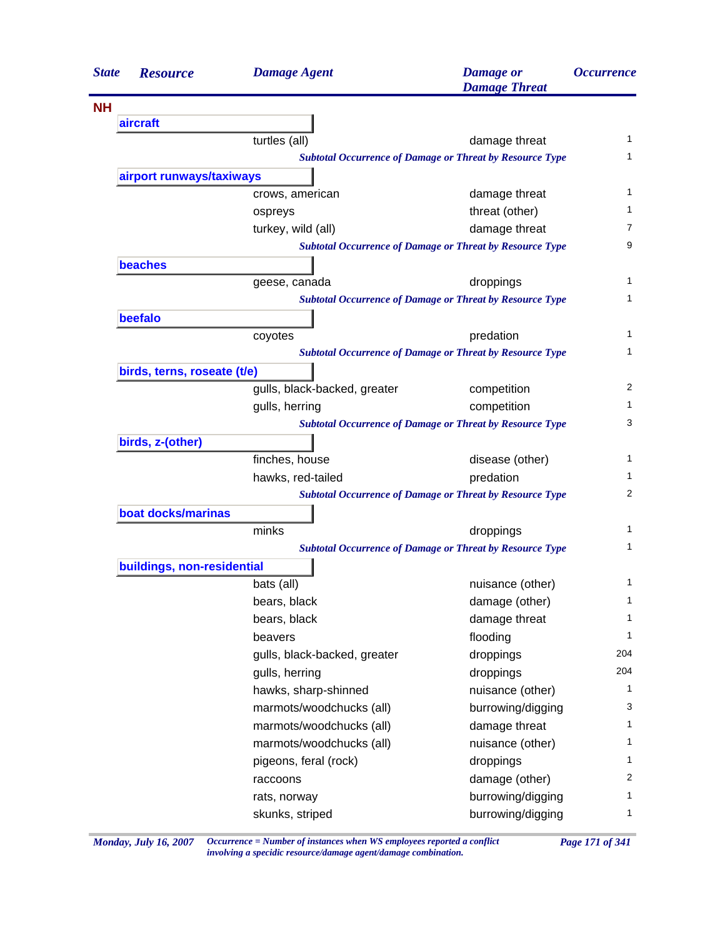| <b>State</b> | <b>Resource</b>             | <b>Damage Agent</b>          | <b>Damage</b> or<br><b>Damage Threat</b>                        | <i><b>Occurrence</b></i> |
|--------------|-----------------------------|------------------------------|-----------------------------------------------------------------|--------------------------|
| <b>NH</b>    |                             |                              |                                                                 |                          |
|              | aircraft                    |                              |                                                                 |                          |
|              |                             | turtles (all)                | damage threat                                                   | 1                        |
|              |                             |                              | <b>Subtotal Occurrence of Damage or Threat by Resource Type</b> | 1                        |
|              | airport runways/taxiways    |                              |                                                                 |                          |
|              |                             | crows, american              | damage threat                                                   | 1                        |
|              |                             | ospreys                      | threat (other)                                                  | 1                        |
|              |                             | turkey, wild (all)           | damage threat                                                   | 7                        |
|              |                             |                              | <b>Subtotal Occurrence of Damage or Threat by Resource Type</b> | 9                        |
|              | <b>beaches</b>              |                              |                                                                 |                          |
|              |                             | geese, canada                | droppings                                                       | 1                        |
|              |                             |                              | <b>Subtotal Occurrence of Damage or Threat by Resource Type</b> | 1                        |
|              | beefalo                     |                              |                                                                 |                          |
|              |                             | coyotes                      | predation                                                       | 1                        |
|              |                             |                              | <b>Subtotal Occurrence of Damage or Threat by Resource Type</b> | 1                        |
|              | birds, terns, roseate (t/e) |                              |                                                                 |                          |
|              |                             | gulls, black-backed, greater | competition                                                     | 2                        |
|              |                             | gulls, herring               | competition                                                     | 1                        |
|              |                             |                              | <b>Subtotal Occurrence of Damage or Threat by Resource Type</b> | 3                        |
|              | birds, z-(other)            |                              |                                                                 |                          |
|              |                             | finches, house               | disease (other)                                                 | 1                        |
|              |                             | hawks, red-tailed            | predation                                                       | 1                        |
|              |                             |                              | <b>Subtotal Occurrence of Damage or Threat by Resource Type</b> | 2                        |
|              | boat docks/marinas          |                              |                                                                 |                          |
|              |                             | minks                        | droppings                                                       | 1                        |
|              |                             |                              | <b>Subtotal Occurrence of Damage or Threat by Resource Type</b> | 1                        |
|              | buildings, non-residential  |                              |                                                                 |                          |
|              |                             | bats (all)                   | nuisance (other)                                                | 1                        |
|              |                             | bears, black                 | damage (other)                                                  | 1                        |
|              |                             | bears, black                 | damage threat                                                   | 1                        |
|              |                             | beavers                      | flooding                                                        | $\mathbf{1}$             |
|              |                             | gulls, black-backed, greater | droppings                                                       | 204                      |
|              |                             | gulls, herring               | droppings                                                       | 204                      |
|              |                             | hawks, sharp-shinned         | nuisance (other)                                                | 1                        |
|              |                             | marmots/woodchucks (all)     | burrowing/digging                                               | 3                        |
|              |                             | marmots/woodchucks (all)     | damage threat                                                   | 1                        |
|              |                             | marmots/woodchucks (all)     | nuisance (other)                                                | 1                        |
|              |                             | pigeons, feral (rock)        | droppings                                                       | 1                        |
|              |                             | raccoons                     | damage (other)                                                  | 2                        |
|              |                             | rats, norway                 | burrowing/digging                                               | 1                        |
|              |                             | skunks, striped              | burrowing/digging                                               | $\mathbf{1}$             |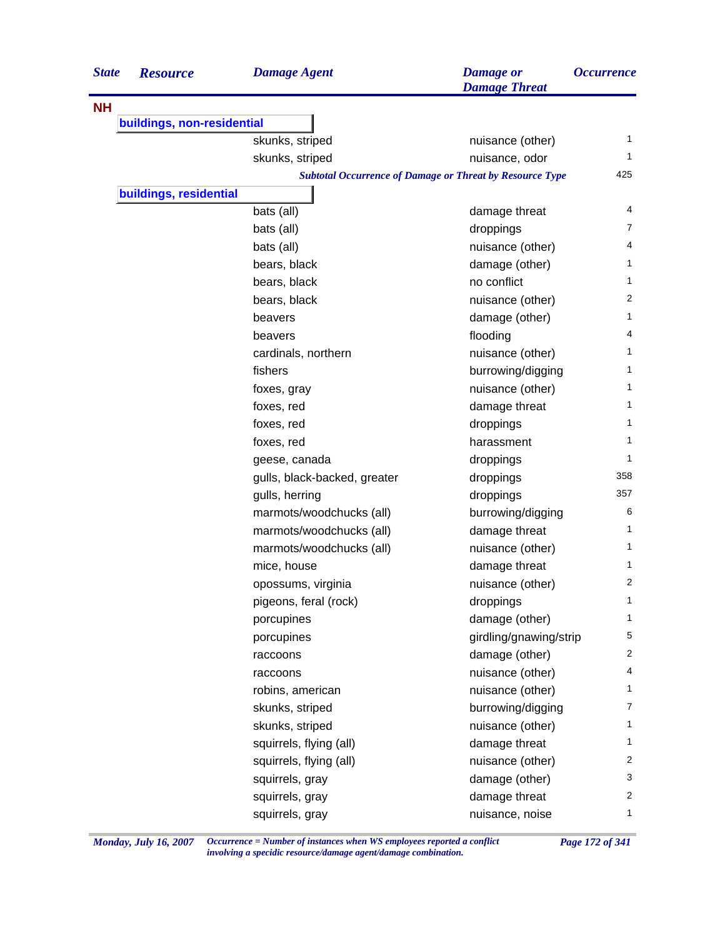| <b>State</b> | <b>Resource</b>            | <b>Damage Agent</b>          | <b>Damage</b> or<br><b>Damage Threat</b>                        | <i><b>Occurrence</b></i> |
|--------------|----------------------------|------------------------------|-----------------------------------------------------------------|--------------------------|
| <b>NH</b>    |                            |                              |                                                                 |                          |
|              | buildings, non-residential |                              |                                                                 |                          |
|              |                            | skunks, striped              | nuisance (other)                                                | 1                        |
|              |                            | skunks, striped              | nuisance, odor                                                  | 1                        |
|              |                            |                              | <b>Subtotal Occurrence of Damage or Threat by Resource Type</b> | 425                      |
|              | buildings, residential     |                              |                                                                 |                          |
|              |                            | bats (all)                   | damage threat                                                   | 4                        |
|              |                            | bats (all)                   | droppings                                                       | 7                        |
|              |                            | bats (all)                   | nuisance (other)                                                | 4                        |
|              |                            | bears, black                 | damage (other)                                                  | 1                        |
|              |                            | bears, black                 | no conflict                                                     | 1                        |
|              |                            | bears, black                 | nuisance (other)                                                | 2                        |
|              |                            | beavers                      | damage (other)                                                  | 1                        |
|              |                            | beavers                      | flooding                                                        | 4                        |
|              |                            | cardinals, northern          | nuisance (other)                                                | 1                        |
|              |                            | fishers                      | burrowing/digging                                               | 1                        |
|              |                            | foxes, gray                  | nuisance (other)                                                | 1                        |
|              |                            | foxes, red                   | damage threat                                                   | 1                        |
|              |                            | foxes, red                   | droppings                                                       | 1                        |
|              |                            | foxes, red                   | harassment                                                      | 1                        |
|              |                            | geese, canada                | droppings                                                       | 1                        |
|              |                            | gulls, black-backed, greater | droppings                                                       | 358                      |
|              |                            | gulls, herring               | droppings                                                       | 357                      |
|              |                            | marmots/woodchucks (all)     | burrowing/digging                                               | 6                        |
|              |                            | marmots/woodchucks (all)     | damage threat                                                   | 1                        |
|              |                            | marmots/woodchucks (all)     | nuisance (other)                                                | 1                        |
|              |                            | mice, house                  | damage threat                                                   | 1                        |
|              |                            | opossums, virginia           | nuisance (other)                                                | 2                        |
|              |                            | pigeons, feral (rock)        | droppings                                                       | 1                        |
|              |                            | porcupines                   | damage (other)                                                  | 1                        |
|              |                            | porcupines                   | girdling/gnawing/strip                                          | 5                        |
|              |                            | raccoons                     | damage (other)                                                  | $\overline{2}$           |
|              |                            | raccoons                     | nuisance (other)                                                | 4                        |
|              |                            | robins, american             | nuisance (other)                                                | $\mathbf{1}$             |
|              |                            | skunks, striped              | burrowing/digging                                               | $\overline{7}$           |
|              |                            | skunks, striped              | nuisance (other)                                                | $\mathbf{1}$             |
|              |                            | squirrels, flying (all)      | damage threat                                                   | 1                        |
|              |                            | squirrels, flying (all)      | nuisance (other)                                                | 2                        |
|              |                            | squirrels, gray              | damage (other)                                                  | 3                        |
|              |                            | squirrels, gray              | damage threat                                                   | 2                        |
|              |                            | squirrels, gray              | nuisance, noise                                                 | 1                        |

*Monday, July 16, 2007 Occurrence = Number of instances when WS employees reported a conflict Page 172 of 341 involving a specidic resource/damage agent/damage combination.*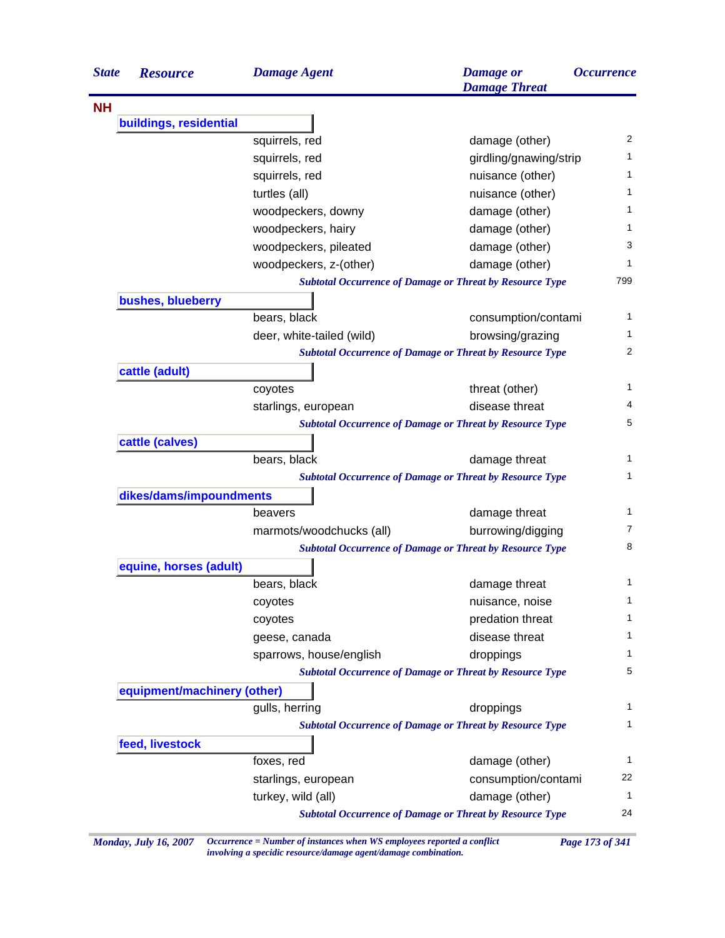| <b>State</b> | <b>Resource</b>             | <b>Damage Agent</b>       | <b>Damage</b> or<br><b>Damage Threat</b>                        | <i><b>Occurrence</b></i> |
|--------------|-----------------------------|---------------------------|-----------------------------------------------------------------|--------------------------|
| <b>NH</b>    |                             |                           |                                                                 |                          |
|              | buildings, residential      |                           |                                                                 |                          |
|              |                             | squirrels, red            | damage (other)                                                  | 2                        |
|              |                             | squirrels, red            | girdling/gnawing/strip                                          | 1                        |
|              |                             | squirrels, red            | nuisance (other)                                                | 1                        |
|              |                             | turtles (all)             | nuisance (other)                                                | 1                        |
|              |                             | woodpeckers, downy        | damage (other)                                                  | 1                        |
|              |                             | woodpeckers, hairy        | damage (other)                                                  | 1                        |
|              |                             | woodpeckers, pileated     | damage (other)                                                  | 3                        |
|              |                             | woodpeckers, z-(other)    | damage (other)                                                  | 1                        |
|              |                             |                           | <b>Subtotal Occurrence of Damage or Threat by Resource Type</b> | 799                      |
|              | bushes, blueberry           |                           |                                                                 |                          |
|              |                             | bears, black              | consumption/contami                                             | 1                        |
|              |                             | deer, white-tailed (wild) | browsing/grazing                                                | 1                        |
|              |                             |                           | <b>Subtotal Occurrence of Damage or Threat by Resource Type</b> | $\overline{2}$           |
|              | cattle (adult)              |                           |                                                                 |                          |
|              |                             | coyotes                   | threat (other)                                                  | $\mathbf{1}$             |
|              |                             | starlings, european       | disease threat                                                  | 4                        |
|              |                             |                           | <b>Subtotal Occurrence of Damage or Threat by Resource Type</b> | 5                        |
|              | cattle (calves)             |                           |                                                                 |                          |
|              |                             | bears, black              | damage threat                                                   | 1                        |
|              |                             |                           | <b>Subtotal Occurrence of Damage or Threat by Resource Type</b> | 1                        |
|              | dikes/dams/impoundments     |                           |                                                                 |                          |
|              |                             | beavers                   | damage threat                                                   | 1                        |
|              |                             | marmots/woodchucks (all)  | burrowing/digging                                               | 7                        |
|              |                             |                           | <b>Subtotal Occurrence of Damage or Threat by Resource Type</b> | 8                        |
|              | equine, horses (adult)      |                           |                                                                 |                          |
|              |                             | bears, black              | damage threat                                                   | 1                        |
|              |                             | coyotes                   | nuisance, noise                                                 | 1                        |
|              |                             | coyotes                   | predation threat                                                | 1                        |
|              |                             | geese, canada             | disease threat                                                  | 1                        |
|              |                             | sparrows, house/english   | droppings                                                       | 1                        |
|              |                             |                           | <b>Subtotal Occurrence of Damage or Threat by Resource Type</b> | 5                        |
|              | equipment/machinery (other) |                           |                                                                 |                          |
|              |                             | gulls, herring            | droppings                                                       |                          |
|              |                             |                           | <b>Subtotal Occurrence of Damage or Threat by Resource Type</b> | 1                        |
|              | feed, livestock             |                           |                                                                 |                          |
|              |                             | foxes, red                | damage (other)                                                  | 1                        |
|              |                             | starlings, european       | consumption/contami                                             | 22                       |
|              |                             | turkey, wild (all)        | damage (other)                                                  | $\mathbf{1}$             |
|              |                             |                           | <b>Subtotal Occurrence of Damage or Threat by Resource Type</b> | 24                       |

*Monday, July 16, 2007 Occurrence = Number of instances when WS employees reported a conflict Page 173 of 341 involving a specidic resource/damage agent/damage combination.*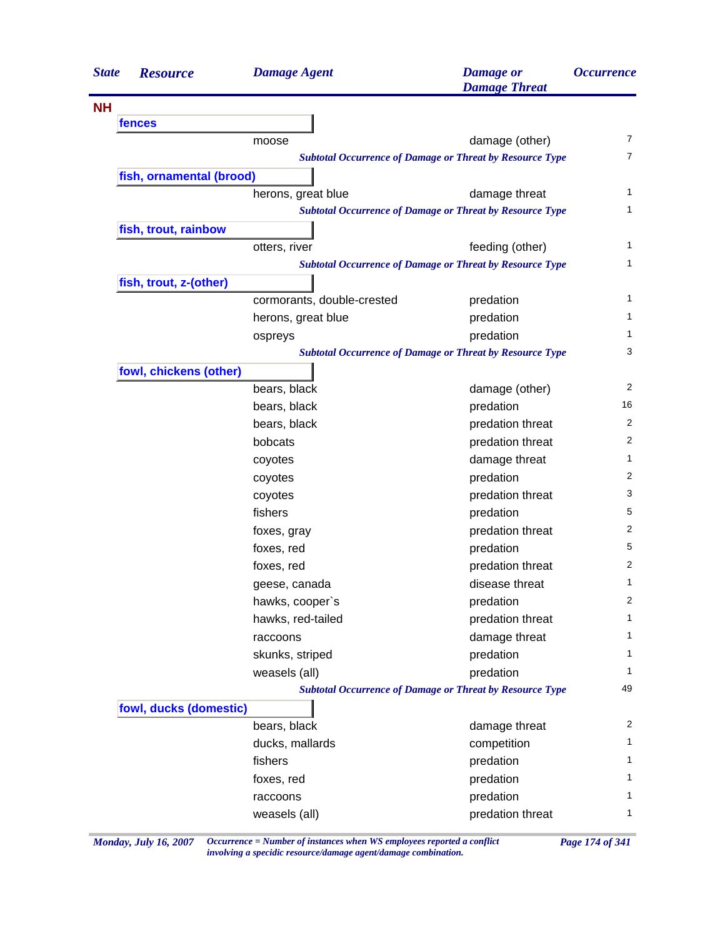| <b>State</b> | <b>Resource</b>          | <b>Damage Agent</b>        | <b>Damage</b> or<br><b>Damage Threat</b>                        | <i><b>Occurrence</b></i> |
|--------------|--------------------------|----------------------------|-----------------------------------------------------------------|--------------------------|
| <b>NH</b>    |                          |                            |                                                                 |                          |
|              | fences                   |                            |                                                                 |                          |
|              |                          | moose                      | damage (other)                                                  | 7                        |
|              |                          |                            | <b>Subtotal Occurrence of Damage or Threat by Resource Type</b> | $\overline{7}$           |
|              | fish, ornamental (brood) |                            |                                                                 |                          |
|              |                          | herons, great blue         | damage threat                                                   | 1                        |
|              |                          |                            | <b>Subtotal Occurrence of Damage or Threat by Resource Type</b> | 1                        |
|              | fish, trout, rainbow     |                            |                                                                 |                          |
|              |                          | otters, river              | feeding (other)                                                 | 1                        |
|              |                          |                            | <b>Subtotal Occurrence of Damage or Threat by Resource Type</b> | 1                        |
|              | fish, trout, z-(other)   |                            |                                                                 |                          |
|              |                          | cormorants, double-crested | predation                                                       | 1                        |
|              |                          | herons, great blue         | predation                                                       | 1                        |
|              |                          | ospreys                    | predation                                                       | 1                        |
|              |                          |                            | <b>Subtotal Occurrence of Damage or Threat by Resource Type</b> | 3                        |
|              | fowl, chickens (other)   |                            |                                                                 |                          |
|              |                          | bears, black               | damage (other)                                                  | $\overline{2}$           |
|              |                          | bears, black               | predation                                                       | 16                       |
|              |                          | bears, black               | predation threat                                                | 2                        |
|              |                          | bobcats                    | predation threat                                                | 2                        |
|              |                          | coyotes                    | damage threat                                                   | 1                        |
|              |                          | coyotes                    | predation                                                       | 2                        |
|              |                          | coyotes                    | predation threat                                                | 3                        |
|              |                          | fishers                    | predation                                                       | 5                        |
|              |                          | foxes, gray                | predation threat                                                | 2                        |
|              |                          | foxes, red                 | predation                                                       | 5                        |
|              |                          | foxes, red                 | predation threat                                                | 2                        |
|              |                          | geese, canada              | disease threat                                                  | 1                        |
|              |                          | hawks, cooper's            | predation                                                       | 2                        |
|              |                          | hawks, red-tailed          | predation threat                                                | $\mathbf{1}$             |
|              |                          | raccoons                   | damage threat                                                   | 1                        |
|              |                          | skunks, striped            | predation                                                       | 1                        |
|              |                          | weasels (all)              | predation                                                       | 1                        |
|              |                          |                            | <b>Subtotal Occurrence of Damage or Threat by Resource Type</b> | 49                       |
|              | fowl, ducks (domestic)   |                            |                                                                 |                          |
|              |                          | bears, black               | damage threat                                                   | 2                        |
|              |                          | ducks, mallards            | competition                                                     | 1                        |
|              |                          | fishers                    | predation                                                       | 1                        |
|              |                          | foxes, red                 | predation                                                       | 1                        |
|              |                          | raccoons                   | predation                                                       | 1                        |
|              |                          | weasels (all)              | predation threat                                                | 1                        |

*Monday, July 16, 2007 Occurrence = Number of instances when WS employees reported a conflict Page 174 of 341 involving a specidic resource/damage agent/damage combination.*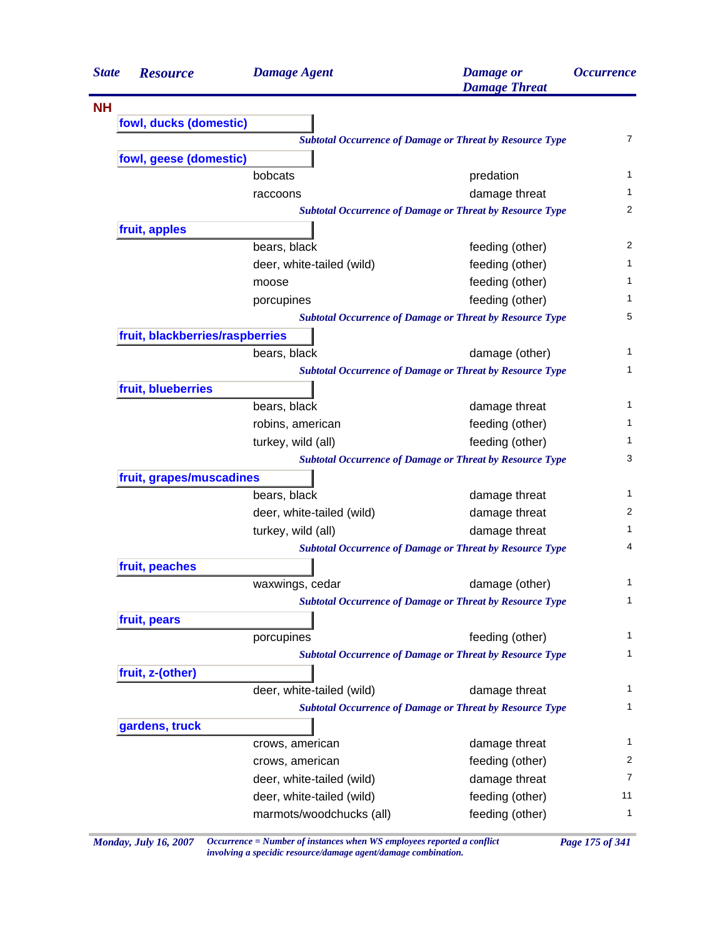| <b>State</b> | <b>Resource</b>                 | <b>Damage Agent</b>       | <b>Damage</b> or<br><b>Damage Threat</b>                        | <i><b>Occurrence</b></i> |
|--------------|---------------------------------|---------------------------|-----------------------------------------------------------------|--------------------------|
| <b>NH</b>    |                                 |                           |                                                                 |                          |
|              | fowl, ducks (domestic)          |                           |                                                                 |                          |
|              |                                 |                           | <b>Subtotal Occurrence of Damage or Threat by Resource Type</b> | $\overline{7}$           |
|              | fowl, geese (domestic)          |                           |                                                                 |                          |
|              |                                 | bobcats                   | predation                                                       | 1                        |
|              |                                 | raccoons                  | damage threat                                                   | 1                        |
|              |                                 |                           | <b>Subtotal Occurrence of Damage or Threat by Resource Type</b> | 2                        |
|              | fruit, apples                   |                           |                                                                 |                          |
|              |                                 | bears, black              | feeding (other)                                                 | 2                        |
|              |                                 | deer, white-tailed (wild) | feeding (other)                                                 | 1                        |
|              |                                 | moose                     | feeding (other)                                                 | 1                        |
|              |                                 | porcupines                | feeding (other)                                                 | 1                        |
|              |                                 |                           | <b>Subtotal Occurrence of Damage or Threat by Resource Type</b> | 5                        |
|              | fruit, blackberries/raspberries |                           |                                                                 |                          |
|              |                                 | bears, black              | damage (other)                                                  | 1                        |
|              |                                 |                           | <b>Subtotal Occurrence of Damage or Threat by Resource Type</b> | 1                        |
|              | fruit, blueberries              |                           |                                                                 |                          |
|              |                                 | bears, black              | damage threat                                                   | 1                        |
|              |                                 | robins, american          | feeding (other)                                                 | 1                        |
|              |                                 | turkey, wild (all)        | feeding (other)                                                 | 1                        |
|              |                                 |                           | <b>Subtotal Occurrence of Damage or Threat by Resource Type</b> | 3                        |
|              | fruit, grapes/muscadines        |                           |                                                                 |                          |
|              |                                 | bears, black              | damage threat                                                   | 1                        |
|              |                                 | deer, white-tailed (wild) | damage threat                                                   | 2                        |
|              |                                 | turkey, wild (all)        | damage threat                                                   | 1                        |
|              |                                 |                           | <b>Subtotal Occurrence of Damage or Threat by Resource Type</b> | 4                        |
|              | fruit, peaches                  |                           |                                                                 |                          |
|              |                                 | waxwings, cedar           | damage (other)                                                  | 1                        |
|              |                                 |                           | <b>Subtotal Occurrence of Damage or Threat by Resource Type</b> | 1                        |
|              | fruit, pears                    |                           |                                                                 |                          |
|              |                                 | porcupines                | feeding (other)                                                 | 1                        |
|              |                                 |                           | <b>Subtotal Occurrence of Damage or Threat by Resource Type</b> | 1                        |
|              | fruit, z-(other)                |                           |                                                                 |                          |
|              |                                 | deer, white-tailed (wild) | damage threat                                                   | 1                        |
|              |                                 |                           | <b>Subtotal Occurrence of Damage or Threat by Resource Type</b> | 1                        |
|              | gardens, truck                  |                           |                                                                 |                          |
|              |                                 | crows, american           | damage threat                                                   | 1                        |
|              |                                 | crows, american           | feeding (other)                                                 | 2                        |
|              |                                 | deer, white-tailed (wild) | damage threat                                                   | 7                        |
|              |                                 | deer, white-tailed (wild) | feeding (other)                                                 | 11                       |
|              |                                 | marmots/woodchucks (all)  | feeding (other)                                                 | 1                        |
|              |                                 |                           |                                                                 |                          |

*Monday, July 16, 2007 Occurrence = Number of instances when WS employees reported a conflict Page 175 of 341 involving a specidic resource/damage agent/damage combination.*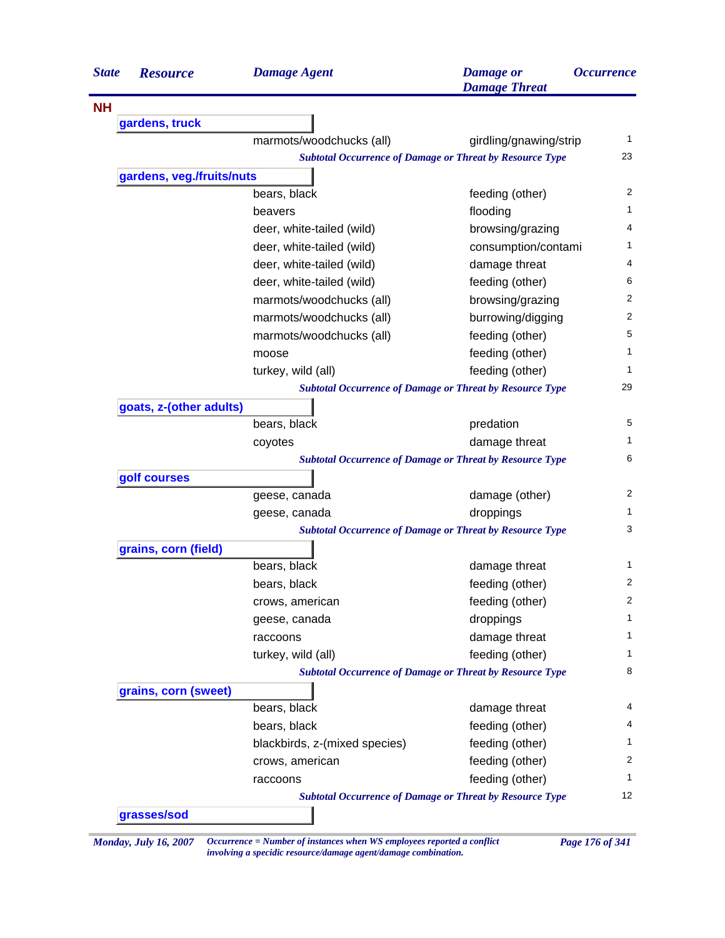| <b>State</b> | <b>Resource</b>           | <b>Damage Agent</b>                                             | <b>Damage</b> or<br><b>Damage Threat</b> | <i><b>Occurrence</b></i> |
|--------------|---------------------------|-----------------------------------------------------------------|------------------------------------------|--------------------------|
| <b>NH</b>    |                           |                                                                 |                                          |                          |
|              | gardens, truck            |                                                                 |                                          |                          |
|              |                           | marmots/woodchucks (all)                                        | girdling/gnawing/strip                   | 1                        |
|              |                           | <b>Subtotal Occurrence of Damage or Threat by Resource Type</b> |                                          | 23                       |
|              | gardens, veg./fruits/nuts |                                                                 |                                          |                          |
|              |                           | bears, black                                                    | feeding (other)                          | 2                        |
|              |                           | beavers                                                         | flooding                                 | 1                        |
|              |                           | deer, white-tailed (wild)                                       | browsing/grazing                         | 4                        |
|              |                           | deer, white-tailed (wild)                                       | consumption/contami                      | 1                        |
|              |                           | deer, white-tailed (wild)                                       | damage threat                            | 4                        |
|              |                           | deer, white-tailed (wild)                                       | feeding (other)                          | 6                        |
|              |                           | marmots/woodchucks (all)                                        | browsing/grazing                         | 2                        |
|              |                           | marmots/woodchucks (all)                                        | burrowing/digging                        | 2                        |
|              |                           | marmots/woodchucks (all)                                        | feeding (other)                          | 5                        |
|              |                           | moose                                                           | feeding (other)                          | 1                        |
|              |                           | turkey, wild (all)                                              | feeding (other)                          | 1                        |
|              |                           | <b>Subtotal Occurrence of Damage or Threat by Resource Type</b> |                                          | 29                       |
|              | goats, z-(other adults)   |                                                                 |                                          |                          |
|              |                           | bears, black                                                    | predation                                | 5                        |
|              |                           | coyotes                                                         | damage threat                            | 1                        |
|              |                           | <b>Subtotal Occurrence of Damage or Threat by Resource Type</b> |                                          | 6                        |
|              | golf courses              |                                                                 |                                          |                          |
|              |                           | geese, canada                                                   | damage (other)                           | 2                        |
|              |                           | geese, canada                                                   | droppings                                | 1.                       |
|              |                           | <b>Subtotal Occurrence of Damage or Threat by Resource Type</b> |                                          | 3                        |
|              | grains, corn (field)      |                                                                 |                                          |                          |
|              |                           | bears, black                                                    | damage threat                            | 1                        |
|              |                           | bears, black                                                    | feeding (other)                          | 2                        |
|              |                           | crows, american                                                 | feeding (other)                          | 2                        |
|              |                           | geese, canada                                                   | droppings                                | 1                        |
|              |                           | raccoons                                                        | damage threat                            | 1                        |
|              |                           | turkey, wild (all)                                              | feeding (other)                          | 1                        |
|              |                           | <b>Subtotal Occurrence of Damage or Threat by Resource Type</b> |                                          | 8                        |
|              | grains, corn (sweet)      |                                                                 |                                          |                          |
|              |                           | bears, black                                                    | damage threat                            | 4                        |
|              |                           | bears, black                                                    | feeding (other)                          | 4                        |
|              |                           | blackbirds, z-(mixed species)                                   | feeding (other)                          | 1                        |
|              |                           | crows, american                                                 | feeding (other)                          | 2                        |
|              |                           | raccoons                                                        | feeding (other)                          | 1                        |
|              |                           | <b>Subtotal Occurrence of Damage or Threat by Resource Type</b> |                                          | 12                       |
|              | grasses/sod               |                                                                 |                                          |                          |

*Monday, July 16, 2007 Occurrence = Number of instances when WS employees reported a conflict Page 176 of 341 involving a specidic resource/damage agent/damage combination.*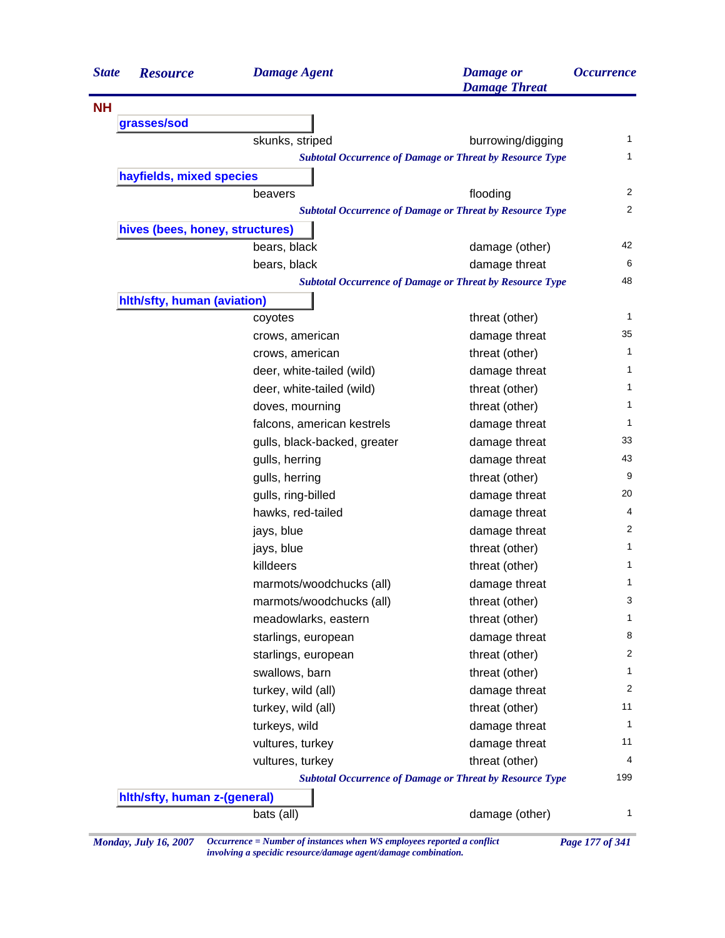| <b>State</b> | <b>Resource</b>                 | <b>Damage Agent</b>          | <b>Damage</b> or<br><b>Damage Threat</b>                        | <i><b>Occurrence</b></i> |
|--------------|---------------------------------|------------------------------|-----------------------------------------------------------------|--------------------------|
| <b>NH</b>    |                                 |                              |                                                                 |                          |
|              | grasses/sod                     |                              |                                                                 |                          |
|              |                                 | skunks, striped              | burrowing/digging                                               | 1                        |
|              |                                 |                              | <b>Subtotal Occurrence of Damage or Threat by Resource Type</b> | 1                        |
|              | hayfields, mixed species        |                              |                                                                 |                          |
|              |                                 | beavers                      | flooding                                                        | 2                        |
|              |                                 |                              | <b>Subtotal Occurrence of Damage or Threat by Resource Type</b> | $\overline{2}$           |
|              | hives (bees, honey, structures) |                              |                                                                 |                          |
|              |                                 | bears, black                 | damage (other)                                                  | 42                       |
|              |                                 | bears, black                 | damage threat                                                   | 6                        |
|              |                                 |                              | <b>Subtotal Occurrence of Damage or Threat by Resource Type</b> | 48                       |
|              | hith/sfty, human (aviation)     |                              |                                                                 |                          |
|              |                                 | coyotes                      | threat (other)                                                  | 1                        |
|              |                                 | crows, american              | damage threat                                                   | 35                       |
|              |                                 | crows, american              | threat (other)                                                  | 1                        |
|              |                                 | deer, white-tailed (wild)    | damage threat                                                   | 1                        |
|              |                                 | deer, white-tailed (wild)    | threat (other)                                                  | 1                        |
|              |                                 | doves, mourning              | threat (other)                                                  | 1                        |
|              |                                 | falcons, american kestrels   | damage threat                                                   | 1                        |
|              |                                 | gulls, black-backed, greater | damage threat                                                   | 33                       |
|              |                                 | gulls, herring               | damage threat                                                   | 43                       |
|              |                                 | gulls, herring               | threat (other)                                                  | 9                        |
|              |                                 | gulls, ring-billed           | damage threat                                                   | 20                       |
|              |                                 | hawks, red-tailed            | damage threat                                                   | 4                        |
|              |                                 | jays, blue                   | damage threat                                                   | 2                        |
|              |                                 | jays, blue                   | threat (other)                                                  | 1                        |
|              |                                 | killdeers                    | threat (other)                                                  | 1                        |
|              |                                 | marmots/woodchucks (all)     | damage threat                                                   | 1                        |
|              |                                 | marmots/woodchucks (all)     | threat (other)                                                  | 3                        |
|              |                                 | meadowlarks, eastern         | threat (other)                                                  | 1                        |
|              |                                 | starlings, european          | damage threat                                                   | 8                        |
|              |                                 | starlings, european          | threat (other)                                                  | 2                        |
|              |                                 | swallows, barn               | threat (other)                                                  | 1                        |
|              |                                 | turkey, wild (all)           | damage threat                                                   | 2                        |
|              |                                 | turkey, wild (all)           | threat (other)                                                  | 11                       |
|              |                                 | turkeys, wild                | damage threat                                                   | 1                        |
|              |                                 | vultures, turkey             | damage threat                                                   | 11                       |
|              |                                 | vultures, turkey             | threat (other)                                                  | 4                        |
|              |                                 |                              | <b>Subtotal Occurrence of Damage or Threat by Resource Type</b> | 199                      |
|              | hith/sfty, human z-(general)    |                              |                                                                 |                          |
|              |                                 | bats (all)                   | damage (other)                                                  | 1                        |

*Monday, July 16, 2007 Occurrence = Number of instances when WS employees reported a conflict Page 177 of 341 involving a specidic resource/damage agent/damage combination.*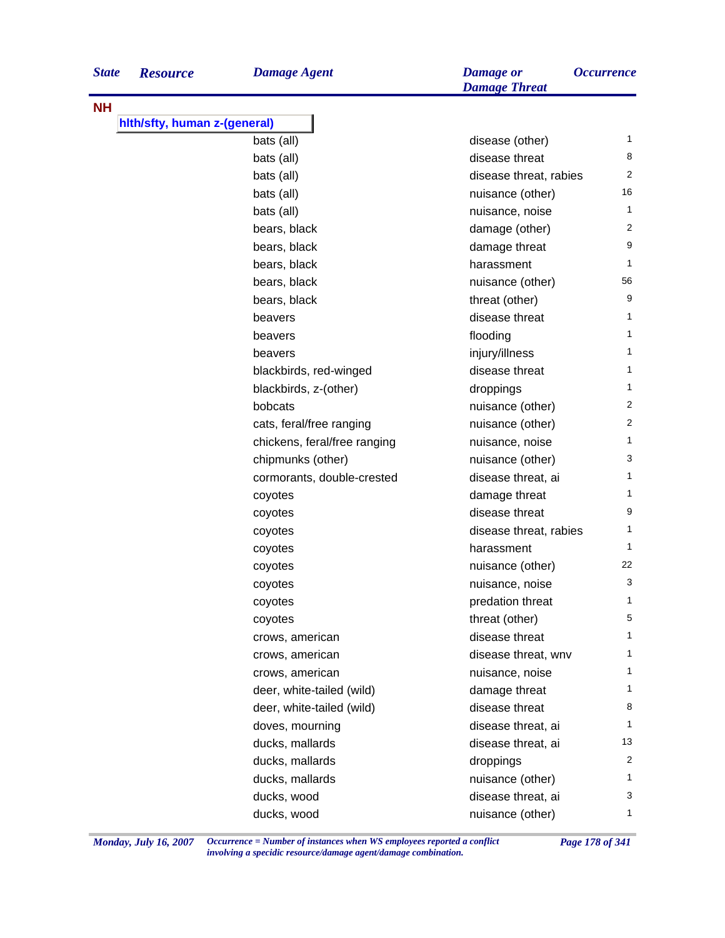| <b>State</b> | <b>Resource</b>              | <b>Damage Agent</b>          | <b>Damage</b> or<br><b>Damage Threat</b> | <i><b>Occurrence</b></i> |
|--------------|------------------------------|------------------------------|------------------------------------------|--------------------------|
| <b>NH</b>    |                              |                              |                                          |                          |
|              | hith/sfty, human z-(general) |                              |                                          |                          |
|              |                              | bats (all)                   | disease (other)                          | $\mathbf{1}$             |
|              |                              | bats (all)                   | disease threat                           | 8                        |
|              |                              | bats (all)                   | disease threat, rabies                   | $\overline{2}$           |
|              |                              | bats (all)                   | nuisance (other)                         | 16                       |
|              |                              | bats (all)                   | nuisance, noise                          | $\mathbf{1}$             |
|              |                              | bears, black                 | damage (other)                           | 2                        |
|              |                              | bears, black                 | damage threat                            | 9                        |
|              |                              | bears, black                 | harassment                               | $\mathbf{1}$             |
|              |                              | bears, black                 | nuisance (other)                         | 56                       |
|              |                              | bears, black                 | threat (other)                           | 9                        |
|              |                              | beavers                      | disease threat                           | 1                        |
|              |                              | beavers                      | flooding                                 | $\mathbf{1}$             |
|              |                              | beavers                      | injury/illness                           | $\mathbf{1}$             |
|              |                              | blackbirds, red-winged       | disease threat                           | 1                        |
|              |                              | blackbirds, z-(other)        | droppings                                | $\mathbf{1}$             |
|              |                              | bobcats                      | nuisance (other)                         | 2                        |
|              |                              | cats, feral/free ranging     | nuisance (other)                         | 2                        |
|              |                              | chickens, feral/free ranging | nuisance, noise                          | $\mathbf{1}$             |
|              |                              | chipmunks (other)            | nuisance (other)                         | 3                        |
|              |                              | cormorants, double-crested   | disease threat, ai                       | $\mathbf{1}$             |
|              |                              | coyotes                      | damage threat                            | $\mathbf 1$              |
|              |                              | coyotes                      | disease threat                           | 9                        |
|              |                              | coyotes                      | disease threat, rabies                   | 1                        |
|              |                              | coyotes                      | harassment                               | $\mathbf{1}$             |
|              |                              | coyotes                      | nuisance (other)                         | 22                       |
|              |                              | coyotes                      | nuisance, noise                          | 3                        |
|              |                              | coyotes                      | predation threat                         | 1                        |
|              |                              | coyotes                      | threat (other)                           | 5                        |
|              |                              | crows, american              | disease threat                           | $\mathbf 1$              |
|              |                              | crows, american              | disease threat, wnv                      | 1                        |
|              |                              | crows, american              | nuisance, noise                          | $\mathbf 1$              |
|              |                              | deer, white-tailed (wild)    | damage threat                            | 1                        |
|              |                              | deer, white-tailed (wild)    | disease threat                           | 8                        |
|              |                              | doves, mourning              | disease threat, ai                       | $\mathbf{1}$             |
|              |                              | ducks, mallards              | disease threat, ai                       | 13                       |
|              |                              | ducks, mallards              | droppings                                | 2                        |
|              |                              | ducks, mallards              | nuisance (other)                         | 1                        |
|              |                              | ducks, wood                  | disease threat, ai                       | 3                        |
|              |                              | ducks, wood                  | nuisance (other)                         | 1                        |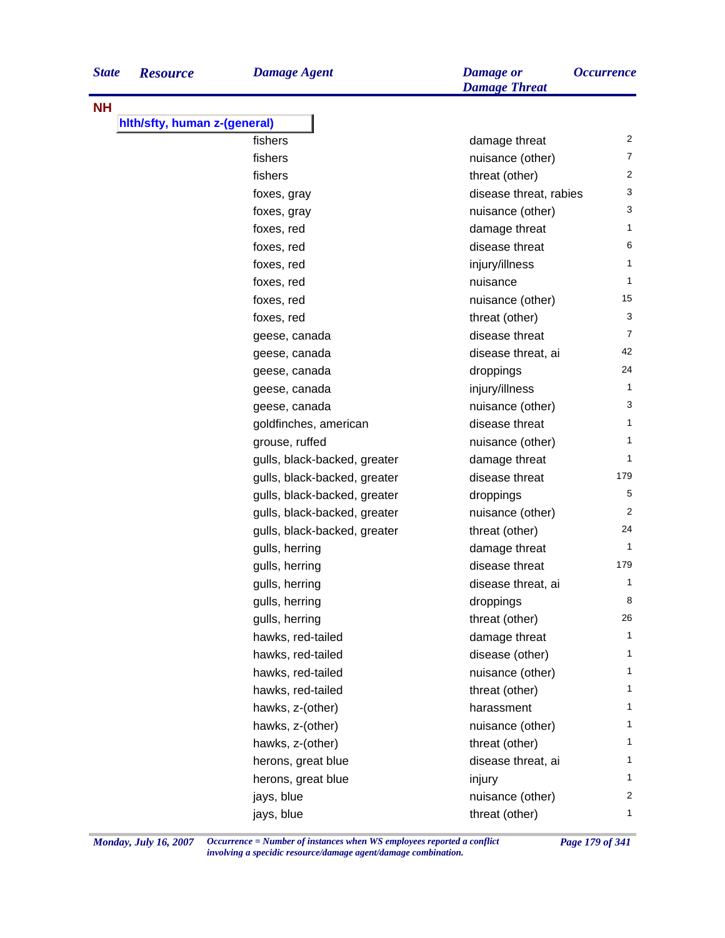**NH**

J.

| hith/sfty, human z-(general) |                              |                        |                |
|------------------------------|------------------------------|------------------------|----------------|
|                              | fishers                      | damage threat          | 2              |
|                              | fishers                      | nuisance (other)       | $\overline{7}$ |
|                              | fishers                      | threat (other)         | $\overline{c}$ |
|                              | foxes, gray                  | disease threat, rabies | 3              |
|                              | foxes, gray                  | nuisance (other)       | 3              |
|                              | foxes, red                   | damage threat          | 1              |
|                              | foxes, red                   | disease threat         | 6              |
|                              | foxes, red                   | injury/illness         | 1              |
|                              | foxes, red                   | nuisance               | $\mathbf{1}$   |
|                              | foxes, red                   | nuisance (other)       | 15             |
|                              | foxes, red                   | threat (other)         | $\sqrt{3}$     |
|                              | geese, canada                | disease threat         | $\overline{7}$ |
|                              | geese, canada                | disease threat, ai     | 42             |
|                              | geese, canada                | droppings              | 24             |
|                              | geese, canada                | injury/illness         | $\mathbf{1}$   |
|                              | geese, canada                | nuisance (other)       | 3              |
|                              | goldfinches, american        | disease threat         | $\mathbf{1}$   |
|                              | grouse, ruffed               | nuisance (other)       | $\mathbf{1}$   |
|                              | gulls, black-backed, greater | damage threat          | $\mathbf{1}$   |
|                              | gulls, black-backed, greater | disease threat         | 179            |
|                              | gulls, black-backed, greater | droppings              | 5              |
|                              | gulls, black-backed, greater | nuisance (other)       | $\overline{2}$ |
|                              | gulls, black-backed, greater | threat (other)         | 24             |
|                              | gulls, herring               | damage threat          | $\mathbf{1}$   |
|                              | gulls, herring               | disease threat         | 179            |
|                              | gulls, herring               | disease threat, ai     | 1              |
|                              | gulls, herring               | droppings              | 8              |
|                              | gulls, herring               | threat (other)         | 26             |
|                              | hawks, red-tailed            | damage threat          | 1              |
|                              | hawks, red-tailed            | disease (other)        | 1              |
|                              | hawks, red-tailed            | nuisance (other)       | 1              |
|                              | hawks, red-tailed            | threat (other)         | 1              |
|                              | hawks, z-(other)             | harassment             | 1              |
|                              | hawks, z-(other)             | nuisance (other)       | 1              |
|                              | hawks, z-(other)             | threat (other)         | 1              |
|                              | herons, great blue           | disease threat, ai     | 1              |
|                              | herons, great blue           | injury                 | 1              |
|                              | jays, blue                   | nuisance (other)       | $\overline{c}$ |
|                              | jays, blue                   | threat (other)         | 1              |

*Monday, July 16, 2007 Occurrence = Number of instances when WS employees reported a conflict Page 179 of 341 involving a specidic resource/damage agent/damage combination.*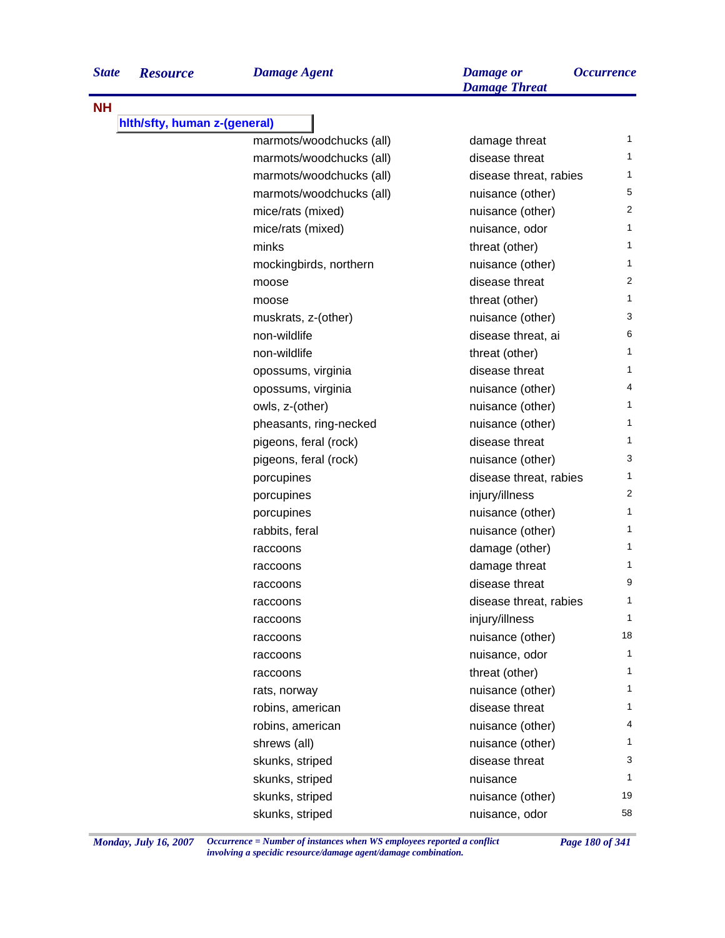| Damage Agent | Damage or |
|--------------|-----------|
|              |           |

| eral)                    |                        |              |
|--------------------------|------------------------|--------------|
| marmots/woodchucks (all) | damage threat          | 1            |
| marmots/woodchucks (all) | disease threat         | 1            |
| marmots/woodchucks (all) | disease threat, rabies | 1            |
| marmots/woodchucks (all) | nuisance (other)       | 5            |
| mice/rats (mixed)        | nuisance (other)       | 2            |
| mice/rats (mixed)        | nuisance, odor         | 1            |
| minks                    | threat (other)         | 1            |
| mockingbirds, northern   | nuisance (other)       | $\mathbf{1}$ |
| moose                    | disease threat         | 2            |
| moose                    | threat (other)         | 1            |
| muskrats, z-(other)      | nuisance (other)       | 3            |
| non-wildlife             | disease threat, ai     | 6            |
| non-wildlife             | threat (other)         | 1            |
| opossums, virginia       | disease threat         | 1            |
| opossums, virginia       | nuisance (other)       | 4            |
| owls, z-(other)          | nuisance (other)       | 1            |
| pheasants, ring-necked   | nuisance (other)       | 1            |
| pigeons, feral (rock)    | disease threat         | 1            |
| pigeons, feral (rock)    | nuisance (other)       | 3            |
| porcupines               | disease threat, rabies | 1            |
| porcupines               | injury/illness         | 2            |
| porcupines               | nuisance (other)       | 1            |
| rabbits, feral           | nuisance (other)       | 1            |
| raccoons                 | damage (other)         | 1            |
| raccoons                 | damage threat          | 1            |
| raccoons                 | disease threat         | 9            |
| raccoons                 | disease threat, rabies | 1            |
| raccoons                 | injury/illness         | 1            |
| raccoons                 | nuisance (other)       | 18           |
| raccoons                 | nuisance, odor         | 1            |
| raccoons                 | threat (other)         | 1            |
| rats, norway             | nuisance (other)       | 1            |
| robins, american         | disease threat         | 1            |
| robins, american         | nuisance (other)       | 4            |
| shrews (all)             | nuisance (other)       | 1            |
| skunks, striped          | disease threat         | 3            |
| skunks, striped          | nuisance               | 1            |
| skunks, striped          | nuisance (other)       | 19           |

skunks, striped and striped skunks, striped striped and striped striped striped and striped striped and stripe

*Damage Threat*

*Monday, July 16, 2007 Occurrence = Number of instances when WS employees reported a conflict Page 180 of 341 involving a specidic resource/damage agent/damage combination.*

**NH**

**hlth/sfty, human z-(general)**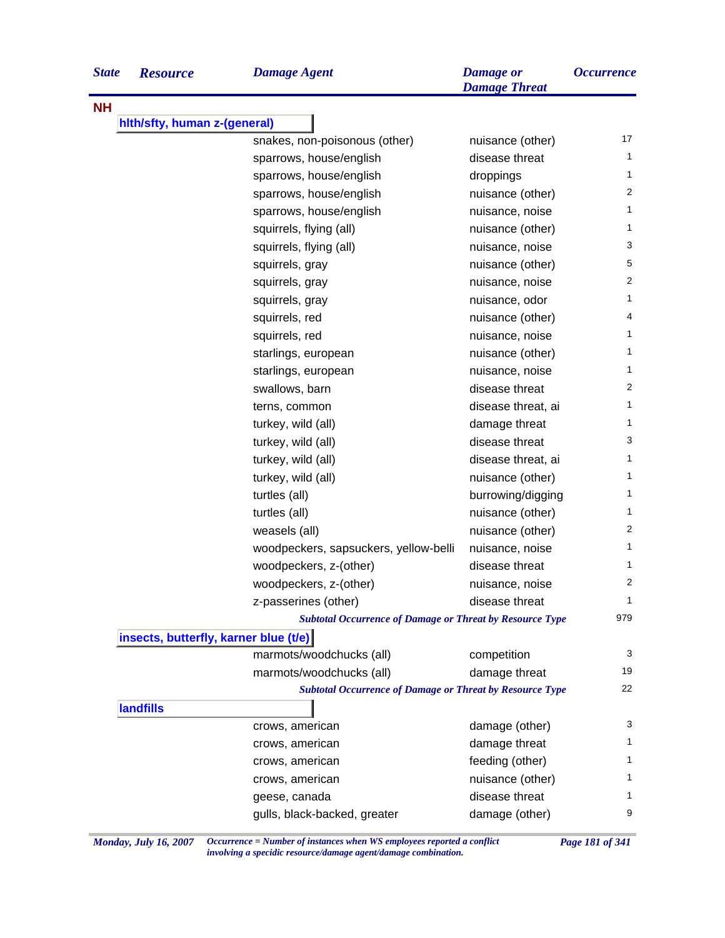| <b>State</b> | <b>Resource</b>                       | <b>Damage Agent</b>                                             | <b>Damage</b> or<br><b>Damage Threat</b> | <i><b>Occurrence</b></i> |
|--------------|---------------------------------------|-----------------------------------------------------------------|------------------------------------------|--------------------------|
| <b>NH</b>    |                                       |                                                                 |                                          |                          |
|              | hith/sfty, human z-(general)          |                                                                 |                                          |                          |
|              |                                       | snakes, non-poisonous (other)                                   | nuisance (other)                         | 17                       |
|              |                                       | sparrows, house/english                                         | disease threat                           | 1                        |
|              |                                       | sparrows, house/english                                         | droppings                                | 1                        |
|              |                                       | sparrows, house/english                                         | nuisance (other)                         | 2                        |
|              |                                       | sparrows, house/english                                         | nuisance, noise                          | 1                        |
|              |                                       | squirrels, flying (all)                                         | nuisance (other)                         | 1                        |
|              |                                       | squirrels, flying (all)                                         | nuisance, noise                          | 3                        |
|              |                                       | squirrels, gray                                                 | nuisance (other)                         | 5                        |
|              |                                       | squirrels, gray                                                 | nuisance, noise                          | 2                        |
|              |                                       | squirrels, gray                                                 | nuisance, odor                           | 1                        |
|              |                                       | squirrels, red                                                  | nuisance (other)                         | 4                        |
|              |                                       | squirrels, red                                                  | nuisance, noise                          | 1.                       |
|              |                                       | starlings, european                                             | nuisance (other)                         | 1                        |
|              |                                       | starlings, european                                             | nuisance, noise                          | 1.                       |
|              |                                       | swallows, barn                                                  | disease threat                           | 2                        |
|              |                                       | terns, common                                                   | disease threat, ai                       | 1                        |
|              |                                       | turkey, wild (all)                                              | damage threat                            | 1.                       |
|              |                                       | turkey, wild (all)                                              | disease threat                           | 3                        |
|              |                                       | turkey, wild (all)                                              | disease threat, ai                       | 1                        |
|              |                                       | turkey, wild (all)                                              | nuisance (other)                         | 1                        |
|              |                                       | turtles (all)                                                   | burrowing/digging                        | 1                        |
|              |                                       | turtles (all)                                                   | nuisance (other)                         | 1                        |
|              |                                       | weasels (all)                                                   | nuisance (other)                         | 2                        |
|              |                                       | woodpeckers, sapsuckers, yellow-belli                           | nuisance, noise                          | 1                        |
|              |                                       | woodpeckers, z-(other)                                          | disease threat                           | 1                        |
|              |                                       | woodpeckers, z-(other)                                          | nuisance, noise                          | 2                        |
|              |                                       | z-passerines (other)                                            | disease threat                           | 1                        |
|              |                                       | <b>Subtotal Occurrence of Damage or Threat by Resource Type</b> |                                          | 979                      |
|              | insects, butterfly, karner blue (t/e) |                                                                 |                                          |                          |
|              |                                       | marmots/woodchucks (all)                                        | competition                              | 3                        |
|              |                                       | marmots/woodchucks (all)                                        | damage threat                            | 19                       |
|              |                                       | <b>Subtotal Occurrence of Damage or Threat by Resource Type</b> |                                          | 22                       |
|              | <b>landfills</b>                      |                                                                 |                                          |                          |
|              |                                       | crows, american                                                 | damage (other)                           | 3                        |
|              |                                       | crows, american                                                 | damage threat                            | 1                        |
|              |                                       | crows, american                                                 | feeding (other)                          | 1                        |
|              |                                       | crows, american                                                 | nuisance (other)                         | 1                        |
|              |                                       | geese, canada                                                   | disease threat                           | 1                        |
|              |                                       | gulls, black-backed, greater                                    | damage (other)                           | 9                        |

*Monday, July 16, 2007 Occurrence = Number of instances when WS employees reported a conflict Page 181 of 341 involving a specidic resource/damage agent/damage combination.*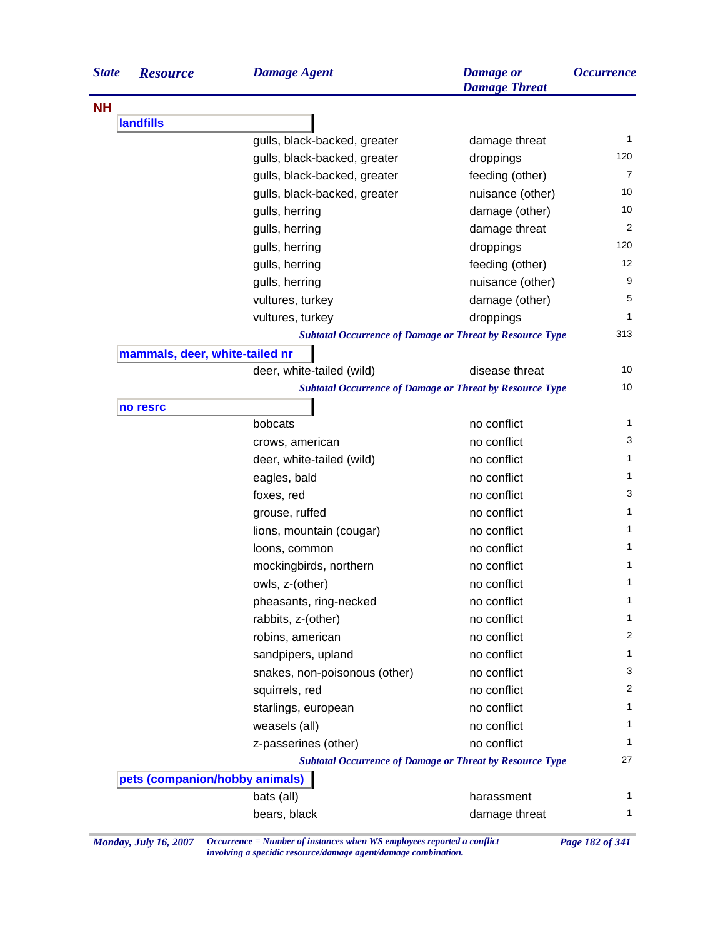| <b>State</b> | <b>Resource</b>                | <b>Damage Agent</b>                                             | <b>Damage</b> or<br><b>Damage Threat</b> | <i><b>Occurrence</b></i> |
|--------------|--------------------------------|-----------------------------------------------------------------|------------------------------------------|--------------------------|
| <b>NH</b>    |                                |                                                                 |                                          |                          |
|              | <b>landfills</b>               |                                                                 |                                          |                          |
|              |                                | gulls, black-backed, greater                                    | damage threat                            | $\mathbf{1}$             |
|              |                                | gulls, black-backed, greater                                    | droppings                                | 120                      |
|              |                                | gulls, black-backed, greater                                    | feeding (other)                          | 7                        |
|              |                                | gulls, black-backed, greater                                    | nuisance (other)                         | 10                       |
|              |                                | gulls, herring                                                  | damage (other)                           | 10                       |
|              |                                | gulls, herring                                                  | damage threat                            | 2                        |
|              |                                | gulls, herring                                                  | droppings                                | 120                      |
|              |                                | gulls, herring                                                  | feeding (other)                          | 12                       |
|              |                                | gulls, herring                                                  | nuisance (other)                         | 9                        |
|              |                                | vultures, turkey                                                | damage (other)                           | 5                        |
|              |                                | vultures, turkey                                                | droppings                                | 1                        |
|              |                                | <b>Subtotal Occurrence of Damage or Threat by Resource Type</b> |                                          | 313                      |
|              | mammals, deer, white-tailed nr |                                                                 |                                          |                          |
|              |                                | deer, white-tailed (wild)                                       | disease threat                           | 10                       |
|              |                                | <b>Subtotal Occurrence of Damage or Threat by Resource Type</b> |                                          | 10                       |
|              | no resrc                       |                                                                 |                                          |                          |
|              |                                | bobcats                                                         | no conflict                              | 1                        |
|              |                                | crows, american                                                 | no conflict                              | 3                        |
|              |                                | deer, white-tailed (wild)                                       | no conflict                              | 1                        |
|              |                                | eagles, bald                                                    | no conflict                              | 1                        |
|              |                                | foxes, red                                                      | no conflict                              | 3                        |
|              |                                | grouse, ruffed                                                  | no conflict                              | 1                        |
|              |                                | lions, mountain (cougar)                                        | no conflict                              | 1                        |
|              |                                | loons, common                                                   | no conflict                              | 1                        |
|              |                                | mockingbirds, northern                                          | no conflict                              | 1                        |
|              |                                | owls, z-(other)                                                 | no conflict                              | 1                        |
|              |                                | pheasants, ring-necked                                          | no conflict                              | 1                        |
|              |                                | rabbits, z-(other)                                              | no conflict                              | 1                        |
|              |                                | robins, american                                                | no conflict                              | 2                        |
|              |                                | sandpipers, upland                                              | no conflict                              | 1                        |
|              |                                | snakes, non-poisonous (other)                                   | no conflict                              | 3                        |
|              |                                | squirrels, red                                                  | no conflict                              | $\overline{c}$           |
|              |                                | starlings, european                                             | no conflict                              | 1                        |
|              |                                | weasels (all)                                                   | no conflict                              | 1                        |
|              |                                | z-passerines (other)                                            | no conflict                              | 1                        |
|              |                                | <b>Subtotal Occurrence of Damage or Threat by Resource Type</b> |                                          | 27                       |
|              | pets (companion/hobby animals) |                                                                 |                                          |                          |
|              |                                | bats (all)                                                      | harassment                               | 1                        |
|              |                                | bears, black                                                    | damage threat                            | 1                        |

*Monday, July 16, 2007 Occurrence = Number of instances when WS employees reported a conflict Page 182 of 341 involving a specidic resource/damage agent/damage combination.*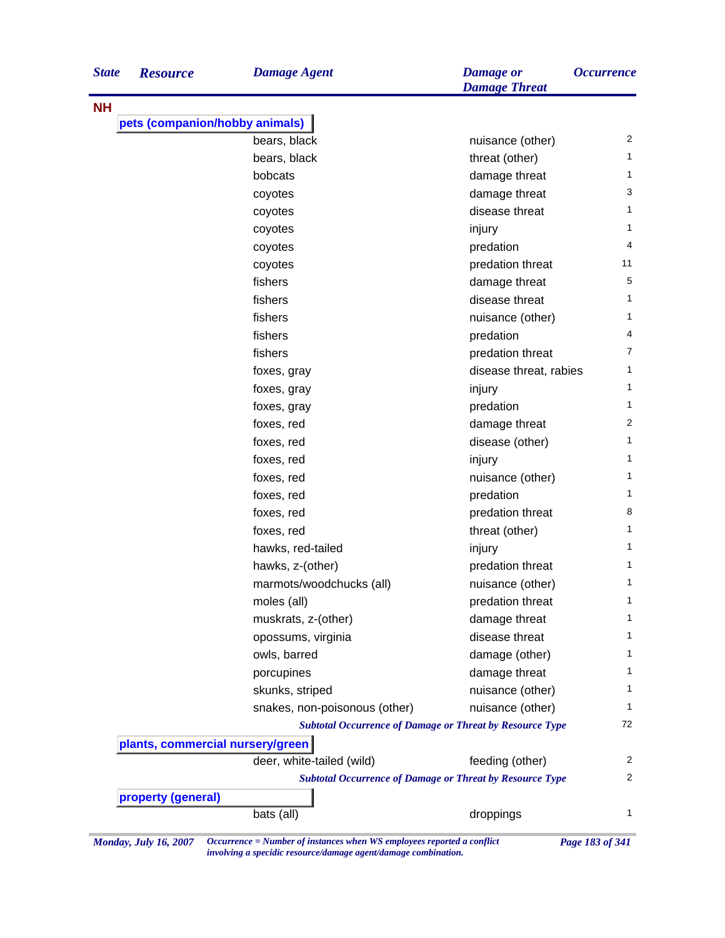| <b>State</b> | <b>Resource</b>                  | <b>Damage Agent</b>                                             | <b>Damage</b> or<br><b>Damage Threat</b> | <i><b>Occurrence</b></i> |
|--------------|----------------------------------|-----------------------------------------------------------------|------------------------------------------|--------------------------|
| <b>NH</b>    |                                  |                                                                 |                                          |                          |
|              | pets (companion/hobby animals)   |                                                                 |                                          |                          |
|              |                                  | bears, black                                                    | nuisance (other)                         | 2                        |
|              |                                  | bears, black                                                    | threat (other)                           | 1                        |
|              |                                  | bobcats                                                         | damage threat                            | 1                        |
|              |                                  | coyotes                                                         | damage threat                            | 3                        |
|              |                                  | coyotes                                                         | disease threat                           | 1                        |
|              |                                  | coyotes                                                         | injury                                   | 1                        |
|              |                                  | coyotes                                                         | predation                                | 4                        |
|              |                                  | coyotes                                                         | predation threat                         | 11                       |
|              |                                  | fishers                                                         | damage threat                            | 5                        |
|              |                                  | fishers                                                         | disease threat                           | 1                        |
|              |                                  | fishers                                                         | nuisance (other)                         | 1                        |
|              |                                  | fishers                                                         | predation                                | 4                        |
|              |                                  | fishers                                                         | predation threat                         | 7                        |
|              |                                  | foxes, gray                                                     | disease threat, rabies                   | 1                        |
|              |                                  | foxes, gray                                                     | injury                                   | 1                        |
|              |                                  | foxes, gray                                                     | predation                                | 1                        |
|              |                                  | foxes, red                                                      | damage threat                            | 2                        |
|              |                                  | foxes, red                                                      | disease (other)                          | 1                        |
|              |                                  | foxes, red                                                      | injury                                   | 1                        |
|              |                                  | foxes, red                                                      | nuisance (other)                         | 1                        |
|              |                                  | foxes, red                                                      | predation                                | 1                        |
|              |                                  | foxes, red                                                      | predation threat                         | 8                        |
|              |                                  | foxes, red                                                      | threat (other)                           | 1                        |
|              |                                  | hawks, red-tailed                                               | injury                                   | 1                        |
|              |                                  | hawks, z-(other)                                                | predation threat                         | 1                        |
|              |                                  | marmots/woodchucks (all)                                        | nuisance (other)                         | 1                        |
|              |                                  | moles (all)                                                     | predation threat                         | 1                        |
|              |                                  | muskrats, z-(other)                                             | damage threat                            | 1                        |
|              |                                  | opossums, virginia                                              | disease threat                           | 1                        |
|              |                                  | owls, barred                                                    | damage (other)                           | 1                        |
|              |                                  | porcupines                                                      | damage threat                            | 1                        |
|              |                                  | skunks, striped                                                 | nuisance (other)                         | 1                        |
|              |                                  | snakes, non-poisonous (other)                                   | nuisance (other)                         | 1                        |
|              |                                  | <b>Subtotal Occurrence of Damage or Threat by Resource Type</b> |                                          | 72                       |
|              | plants, commercial nursery/green |                                                                 |                                          |                          |
|              |                                  | deer, white-tailed (wild)                                       | feeding (other)                          | 2                        |
|              |                                  | <b>Subtotal Occurrence of Damage or Threat by Resource Type</b> |                                          | 2                        |
|              | property (general)               |                                                                 |                                          |                          |
|              |                                  | bats (all)                                                      | droppings                                | 1                        |
|              |                                  |                                                                 |                                          |                          |

*Monday, July 16, 2007 Occurrence = Number of instances when WS employees reported a conflict Page 183 of 341 involving a specidic resource/damage agent/damage combination.*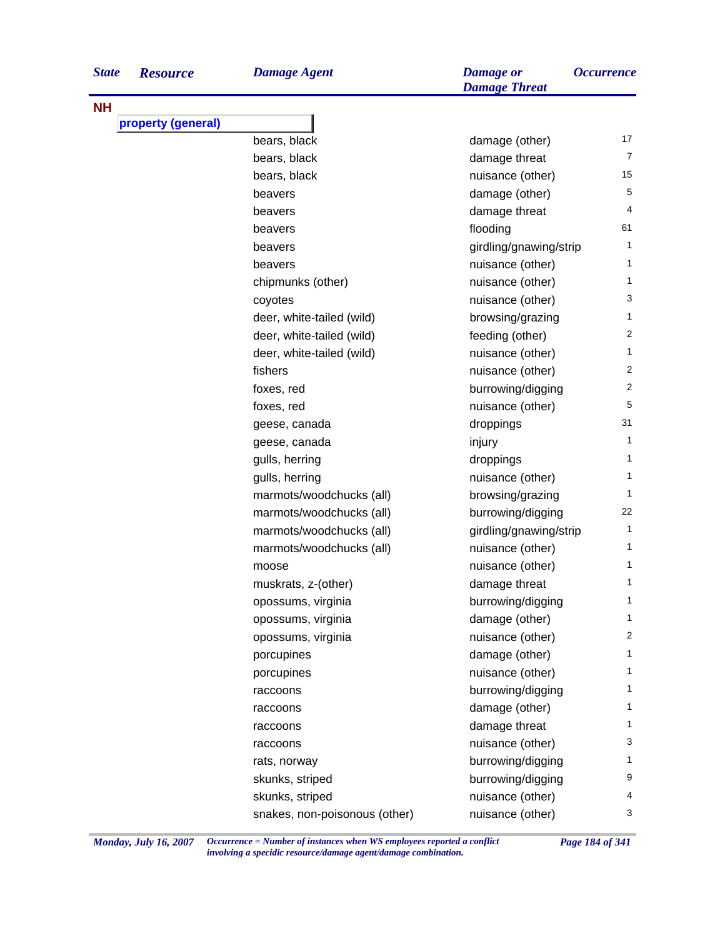| <b>State</b> | <b>Resource</b>    | <b>Damage Agent</b>           | <b>Damage</b> or<br><b>Damage Threat</b> | <i><b>Occurrence</b></i> |
|--------------|--------------------|-------------------------------|------------------------------------------|--------------------------|
| <b>NH</b>    |                    |                               |                                          |                          |
|              | property (general) |                               |                                          |                          |
|              |                    | bears, black                  | damage (other)                           | 17                       |
|              |                    | bears, black                  | damage threat                            | $\overline{7}$           |
|              |                    | bears, black                  | nuisance (other)                         | 15                       |
|              |                    | beavers                       | damage (other)                           | 5                        |
|              |                    | beavers                       | damage threat                            | 4                        |
|              |                    | beavers                       | flooding                                 | 61                       |
|              |                    | beavers                       | girdling/gnawing/strip                   | 1.                       |
|              |                    | beavers                       | nuisance (other)                         | 1                        |
|              |                    | chipmunks (other)             | nuisance (other)                         | 1                        |
|              |                    | coyotes                       | nuisance (other)                         | 3                        |
|              |                    | deer, white-tailed (wild)     | browsing/grazing                         | 1.                       |
|              |                    | deer, white-tailed (wild)     | feeding (other)                          | 2                        |
|              |                    | deer, white-tailed (wild)     | nuisance (other)                         | 1                        |
|              |                    | fishers                       | nuisance (other)                         | 2                        |
|              |                    | foxes, red                    | burrowing/digging                        | 2                        |
|              |                    | foxes, red                    | nuisance (other)                         | 5                        |
|              |                    | geese, canada                 | droppings                                | 31                       |
|              |                    | geese, canada                 | injury                                   | 1                        |
|              |                    | gulls, herring                | droppings                                | 1                        |
|              |                    | gulls, herring                | nuisance (other)                         | 1                        |
|              |                    | marmots/woodchucks (all)      | browsing/grazing                         | 1                        |
|              |                    | marmots/woodchucks (all)      | burrowing/digging                        | 22                       |
|              |                    | marmots/woodchucks (all)      | girdling/gnawing/strip                   | 1                        |
|              |                    | marmots/woodchucks (all)      | nuisance (other)                         | 1                        |
|              |                    | moose                         | nuisance (other)                         | 1                        |
|              |                    | muskrats, z-(other)           | damage threat                            | 1                        |
|              |                    | opossums, virginia            | burrowing/digging                        | 1                        |
|              |                    | opossums, virginia            | damage (other)                           | 1                        |
|              |                    | opossums, virginia            | nuisance (other)                         | 2                        |
|              |                    | porcupines                    | damage (other)                           | 1.                       |
|              |                    | porcupines                    | nuisance (other)                         | 1                        |
|              |                    | raccoons                      | burrowing/digging                        | 1                        |
|              |                    | raccoons                      | damage (other)                           | 1                        |
|              |                    | raccoons                      | damage threat                            | 1                        |
|              |                    | raccoons                      | nuisance (other)                         | 3                        |
|              |                    | rats, norway                  | burrowing/digging                        | 1                        |
|              |                    | skunks, striped               | burrowing/digging                        | 9                        |
|              |                    | skunks, striped               | nuisance (other)                         | 4                        |
|              |                    | snakes, non-poisonous (other) | nuisance (other)                         | 3                        |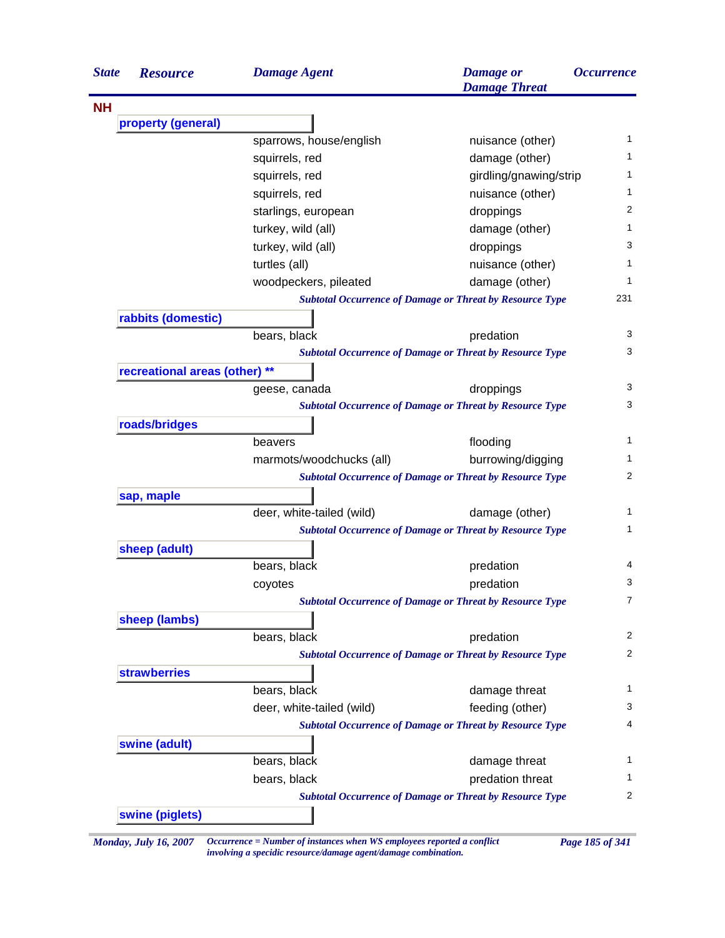| <b>NH</b><br>property (general)<br>sparrows, house/english<br>squirrels, red<br>squirrels, red<br>squirrels, red<br>starlings, european<br>turkey, wild (all)<br>turkey, wild (all)<br>turtles (all)<br>woodpeckers, pileated<br>rabbits (domestic)<br>bears, black<br>recreational areas (other) **<br>geese, canada<br>roads/bridges<br>beavers<br>marmots/woodchucks (all)<br>sap, maple<br>deer, white-tailed (wild)<br>sheep (adult)<br>bears, black<br>coyotes<br>sheep (lambs)<br>bears, black<br><b>strawberries</b><br>bears, black | <b>Damage</b> or<br><b>Damage Threat</b>                        | <i><b>Occurrence</b></i> |
|----------------------------------------------------------------------------------------------------------------------------------------------------------------------------------------------------------------------------------------------------------------------------------------------------------------------------------------------------------------------------------------------------------------------------------------------------------------------------------------------------------------------------------------------|-----------------------------------------------------------------|--------------------------|
|                                                                                                                                                                                                                                                                                                                                                                                                                                                                                                                                              |                                                                 |                          |
|                                                                                                                                                                                                                                                                                                                                                                                                                                                                                                                                              |                                                                 |                          |
|                                                                                                                                                                                                                                                                                                                                                                                                                                                                                                                                              | nuisance (other)                                                | 1                        |
|                                                                                                                                                                                                                                                                                                                                                                                                                                                                                                                                              | damage (other)                                                  | 1                        |
|                                                                                                                                                                                                                                                                                                                                                                                                                                                                                                                                              | girdling/gnawing/strip                                          | $\mathbf{1}$             |
|                                                                                                                                                                                                                                                                                                                                                                                                                                                                                                                                              | nuisance (other)                                                | 1                        |
|                                                                                                                                                                                                                                                                                                                                                                                                                                                                                                                                              | droppings                                                       | 2                        |
|                                                                                                                                                                                                                                                                                                                                                                                                                                                                                                                                              | damage (other)                                                  | 1                        |
|                                                                                                                                                                                                                                                                                                                                                                                                                                                                                                                                              | droppings                                                       | 3                        |
|                                                                                                                                                                                                                                                                                                                                                                                                                                                                                                                                              | nuisance (other)                                                | 1                        |
|                                                                                                                                                                                                                                                                                                                                                                                                                                                                                                                                              | damage (other)                                                  | 1                        |
|                                                                                                                                                                                                                                                                                                                                                                                                                                                                                                                                              | <b>Subtotal Occurrence of Damage or Threat by Resource Type</b> | 231                      |
|                                                                                                                                                                                                                                                                                                                                                                                                                                                                                                                                              |                                                                 |                          |
|                                                                                                                                                                                                                                                                                                                                                                                                                                                                                                                                              | predation                                                       | 3                        |
|                                                                                                                                                                                                                                                                                                                                                                                                                                                                                                                                              | <b>Subtotal Occurrence of Damage or Threat by Resource Type</b> | 3                        |
|                                                                                                                                                                                                                                                                                                                                                                                                                                                                                                                                              |                                                                 |                          |
|                                                                                                                                                                                                                                                                                                                                                                                                                                                                                                                                              | droppings                                                       | 3                        |
|                                                                                                                                                                                                                                                                                                                                                                                                                                                                                                                                              | <b>Subtotal Occurrence of Damage or Threat by Resource Type</b> | 3                        |
|                                                                                                                                                                                                                                                                                                                                                                                                                                                                                                                                              |                                                                 |                          |
|                                                                                                                                                                                                                                                                                                                                                                                                                                                                                                                                              | flooding                                                        | 1                        |
|                                                                                                                                                                                                                                                                                                                                                                                                                                                                                                                                              | burrowing/digging                                               | 1                        |
|                                                                                                                                                                                                                                                                                                                                                                                                                                                                                                                                              | <b>Subtotal Occurrence of Damage or Threat by Resource Type</b> | 2                        |
|                                                                                                                                                                                                                                                                                                                                                                                                                                                                                                                                              |                                                                 |                          |
|                                                                                                                                                                                                                                                                                                                                                                                                                                                                                                                                              | damage (other)                                                  | 1                        |
|                                                                                                                                                                                                                                                                                                                                                                                                                                                                                                                                              | <b>Subtotal Occurrence of Damage or Threat by Resource Type</b> | 1                        |
|                                                                                                                                                                                                                                                                                                                                                                                                                                                                                                                                              |                                                                 |                          |
|                                                                                                                                                                                                                                                                                                                                                                                                                                                                                                                                              | predation                                                       | 4                        |
|                                                                                                                                                                                                                                                                                                                                                                                                                                                                                                                                              | predation                                                       | 3                        |
|                                                                                                                                                                                                                                                                                                                                                                                                                                                                                                                                              | <b>Subtotal Occurrence of Damage or Threat by Resource Type</b> | 7                        |
|                                                                                                                                                                                                                                                                                                                                                                                                                                                                                                                                              |                                                                 |                          |
|                                                                                                                                                                                                                                                                                                                                                                                                                                                                                                                                              | predation                                                       | $\overline{c}$           |
|                                                                                                                                                                                                                                                                                                                                                                                                                                                                                                                                              | <b>Subtotal Occurrence of Damage or Threat by Resource Type</b> | 2                        |
|                                                                                                                                                                                                                                                                                                                                                                                                                                                                                                                                              |                                                                 |                          |
|                                                                                                                                                                                                                                                                                                                                                                                                                                                                                                                                              | damage threat                                                   | 1                        |
| deer, white-tailed (wild)                                                                                                                                                                                                                                                                                                                                                                                                                                                                                                                    | feeding (other)                                                 | 3                        |
|                                                                                                                                                                                                                                                                                                                                                                                                                                                                                                                                              | <b>Subtotal Occurrence of Damage or Threat by Resource Type</b> | 4                        |
| swine (adult)                                                                                                                                                                                                                                                                                                                                                                                                                                                                                                                                |                                                                 |                          |
| bears, black                                                                                                                                                                                                                                                                                                                                                                                                                                                                                                                                 | damage threat                                                   | 1                        |
| bears, black                                                                                                                                                                                                                                                                                                                                                                                                                                                                                                                                 | predation threat                                                | 1                        |
|                                                                                                                                                                                                                                                                                                                                                                                                                                                                                                                                              | <b>Subtotal Occurrence of Damage or Threat by Resource Type</b> | 2                        |

*Monday, July 16, 2007 Occurrence = Number of instances when WS employees reported a conflict Page 185 of 341 involving a specidic resource/damage agent/damage combination.*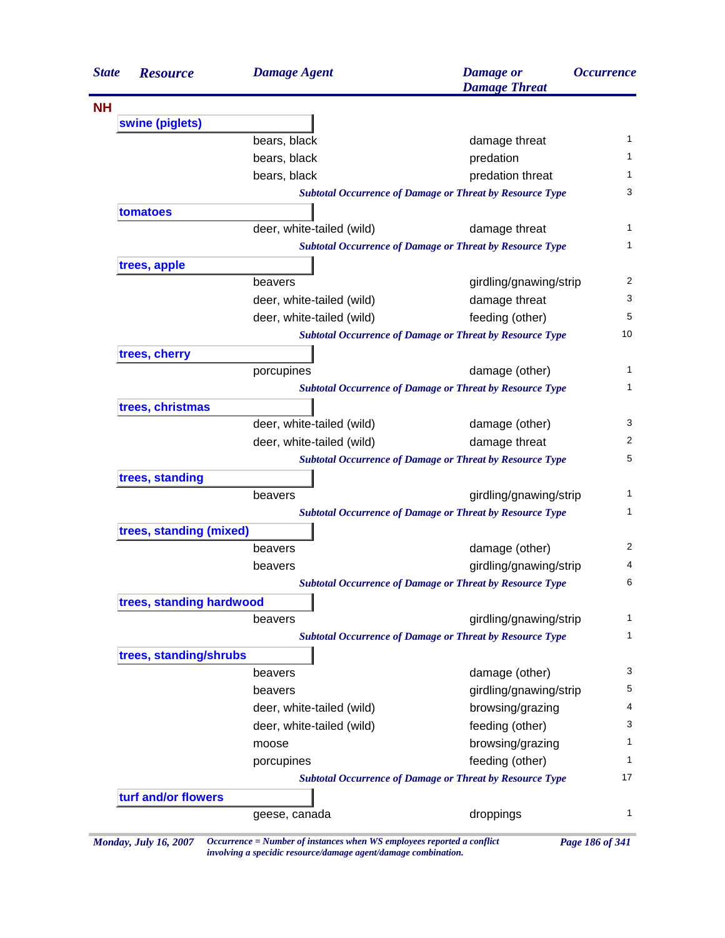| <b>State</b> | <b>Resource</b>          | <b>Damage Agent</b>       | <b>Damage</b> or<br><b>Damage Threat</b>                        | <i><b>Occurrence</b></i> |
|--------------|--------------------------|---------------------------|-----------------------------------------------------------------|--------------------------|
|              |                          |                           |                                                                 |                          |
|              | swine (piglets)          |                           |                                                                 |                          |
|              |                          | bears, black              | damage threat                                                   | 1                        |
|              |                          | bears, black              | predation                                                       | 1.                       |
|              |                          | bears, black              | predation threat                                                | 1                        |
|              |                          |                           | <b>Subtotal Occurrence of Damage or Threat by Resource Type</b> | 3                        |
|              | tomatoes                 |                           |                                                                 |                          |
|              |                          | deer, white-tailed (wild) | damage threat                                                   |                          |
|              |                          |                           | <b>Subtotal Occurrence of Damage or Threat by Resource Type</b> | 1                        |
|              | trees, apple             |                           |                                                                 |                          |
|              |                          | beavers                   | girdling/gnawing/strip                                          | 2                        |
|              |                          | deer, white-tailed (wild) | damage threat                                                   | 3                        |
|              |                          | deer, white-tailed (wild) | feeding (other)                                                 | 5                        |
|              |                          |                           | <b>Subtotal Occurrence of Damage or Threat by Resource Type</b> | 10                       |
|              | trees, cherry            |                           |                                                                 |                          |
|              |                          | porcupines                | damage (other)                                                  | 1                        |
|              |                          |                           | <b>Subtotal Occurrence of Damage or Threat by Resource Type</b> | 1                        |
|              | trees, christmas         |                           |                                                                 |                          |
|              |                          | deer, white-tailed (wild) | damage (other)                                                  | 3                        |
|              |                          | deer, white-tailed (wild) | damage threat                                                   | 2                        |
|              |                          |                           | <b>Subtotal Occurrence of Damage or Threat by Resource Type</b> | 5                        |
|              | trees, standing          |                           |                                                                 |                          |
|              |                          | beavers                   | girdling/gnawing/strip                                          | 1                        |
|              |                          |                           | <b>Subtotal Occurrence of Damage or Threat by Resource Type</b> | 1                        |
|              | trees, standing (mixed)  |                           |                                                                 |                          |
|              |                          | beavers                   | damage (other)                                                  | 2                        |
|              |                          | beavers                   | girdling/gnawing/strip                                          | 4                        |
|              |                          |                           | <b>Subtotal Occurrence of Damage or Threat by Resource Type</b> | 6                        |
|              | trees, standing hardwood |                           |                                                                 |                          |
|              |                          | beavers                   | girdling/gnawing/strip                                          | 1                        |
|              |                          |                           | <b>Subtotal Occurrence of Damage or Threat by Resource Type</b> | $\mathbf{1}$             |
|              | trees, standing/shrubs   |                           |                                                                 |                          |
|              |                          | beavers                   | damage (other)                                                  | 3                        |
|              |                          | beavers                   | girdling/gnawing/strip                                          | 5                        |
|              |                          | deer, white-tailed (wild) | browsing/grazing                                                | 4                        |
|              |                          | deer, white-tailed (wild) | feeding (other)                                                 | 3                        |
|              |                          | moose                     | browsing/grazing                                                | 1                        |
|              |                          | porcupines                | feeding (other)                                                 | 1                        |
|              |                          |                           | <b>Subtotal Occurrence of Damage or Threat by Resource Type</b> | 17                       |
|              | turf and/or flowers      |                           |                                                                 |                          |
|              |                          | geese, canada             | droppings                                                       | 1                        |

*Monday, July 16, 2007 Occurrence = Number of instances when WS employees reported a conflict Page 186 of 341 involving a specidic resource/damage agent/damage combination.*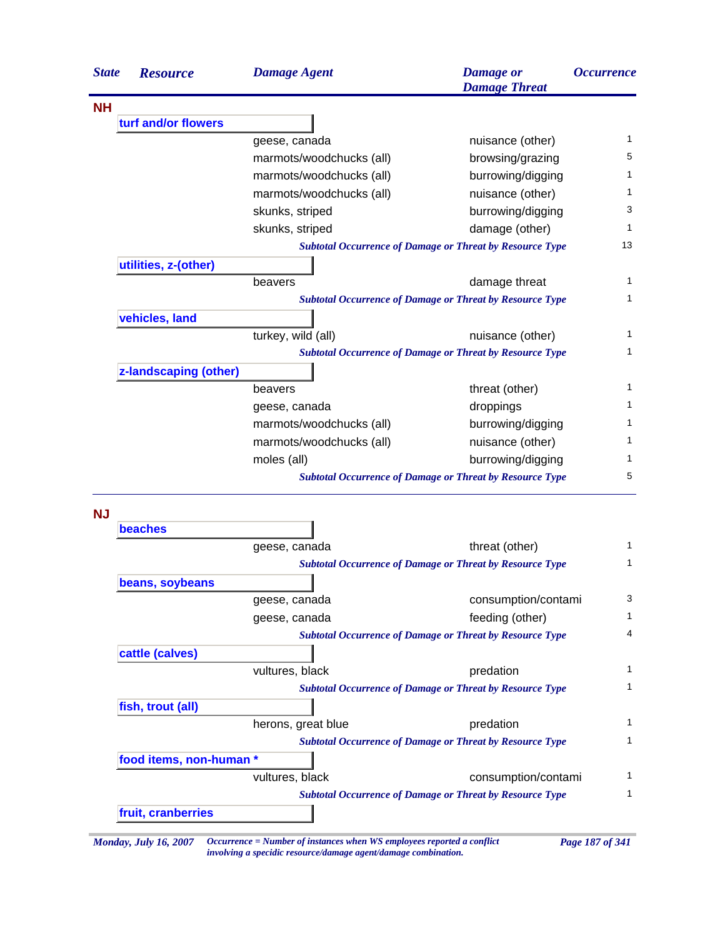| <b>State</b> | <b>Resource</b>       | <b>Damage Agent</b>                                             | <b>Damage</b> or<br><b>Damage Threat</b> | <i><b>Occurrence</b></i> |
|--------------|-----------------------|-----------------------------------------------------------------|------------------------------------------|--------------------------|
| <b>NH</b>    |                       |                                                                 |                                          |                          |
|              | turf and/or flowers   |                                                                 |                                          |                          |
|              |                       | geese, canada                                                   | nuisance (other)                         | 1                        |
|              |                       | marmots/woodchucks (all)                                        | browsing/grazing                         | 5                        |
|              |                       | marmots/woodchucks (all)                                        | burrowing/digging                        | 1                        |
|              |                       | marmots/woodchucks (all)                                        | nuisance (other)                         | 1                        |
|              |                       | skunks, striped                                                 | burrowing/digging                        | 3                        |
|              |                       | skunks, striped                                                 | damage (other)                           | 1                        |
|              |                       | <b>Subtotal Occurrence of Damage or Threat by Resource Type</b> |                                          | 13                       |
|              | utilities, z-(other)  |                                                                 |                                          |                          |
|              |                       | beavers                                                         | damage threat                            | 1                        |
|              |                       | <b>Subtotal Occurrence of Damage or Threat by Resource Type</b> |                                          | 1                        |
|              | vehicles, land        |                                                                 |                                          |                          |
|              |                       | turkey, wild (all)                                              | nuisance (other)                         | 1                        |
|              |                       | <b>Subtotal Occurrence of Damage or Threat by Resource Type</b> |                                          | 1                        |
|              | z-landscaping (other) |                                                                 |                                          |                          |
|              |                       | beavers                                                         | threat (other)                           | 1                        |
|              |                       | geese, canada                                                   | droppings                                | 1                        |
|              |                       | marmots/woodchucks (all)                                        | burrowing/digging                        | 1                        |
|              |                       | marmots/woodchucks (all)                                        | nuisance (other)                         | 1                        |
|              |                       | moles (all)                                                     | burrowing/digging                        | 1                        |
|              |                       | <b>Subtotal Occurrence of Damage or Threat by Resource Type</b> |                                          | 5                        |

**NJ**

| <b>beaches</b>          |                    |                                                                 |  |
|-------------------------|--------------------|-----------------------------------------------------------------|--|
|                         | geese, canada      | threat (other)                                                  |  |
|                         |                    | <b>Subtotal Occurrence of Damage or Threat by Resource Type</b> |  |
| beans, soybeans         |                    |                                                                 |  |
|                         | geese, canada      | consumption/contami                                             |  |
|                         | geese, canada      | feeding (other)                                                 |  |
|                         |                    | <b>Subtotal Occurrence of Damage or Threat by Resource Type</b> |  |
| cattle (calves)         |                    |                                                                 |  |
|                         | vultures, black    | predation                                                       |  |
|                         |                    | <b>Subtotal Occurrence of Damage or Threat by Resource Type</b> |  |
| fish, trout (all)       |                    |                                                                 |  |
|                         | herons, great blue | predation                                                       |  |
|                         |                    | <b>Subtotal Occurrence of Damage or Threat by Resource Type</b> |  |
| food items, non-human * |                    |                                                                 |  |
|                         | vultures, black    | consumption/contami                                             |  |
|                         |                    | <b>Subtotal Occurrence of Damage or Threat by Resource Type</b> |  |
| fruit, cranberries      |                    |                                                                 |  |

*involving a specidic resource/damage agent/damage combination.*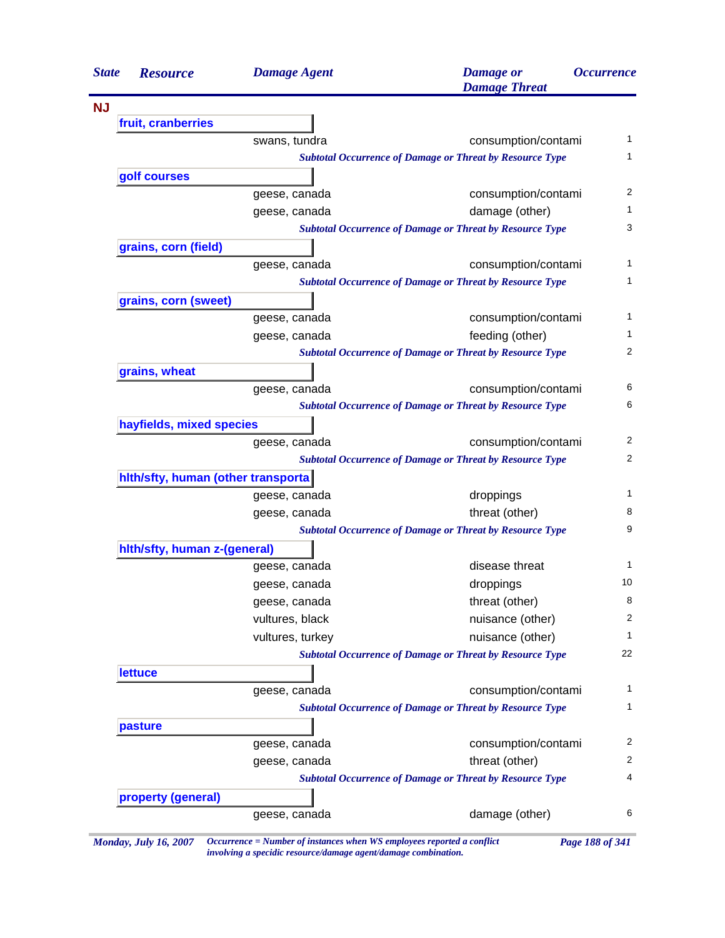| <b>State</b> | <b>Resource</b>                     | <b>Damage Agent</b> | <b>Damage</b> or<br><b>Damage Threat</b>                        | <i><b>Occurrence</b></i> |
|--------------|-------------------------------------|---------------------|-----------------------------------------------------------------|--------------------------|
|              |                                     |                     |                                                                 |                          |
|              | fruit, cranberries                  |                     |                                                                 |                          |
|              |                                     | swans, tundra       | consumption/contami                                             | 1                        |
|              |                                     |                     | <b>Subtotal Occurrence of Damage or Threat by Resource Type</b> | 1                        |
|              | golf courses                        |                     |                                                                 |                          |
|              |                                     | geese, canada       | consumption/contami                                             | 2                        |
|              |                                     | geese, canada       | damage (other)                                                  | 1                        |
|              |                                     |                     | <b>Subtotal Occurrence of Damage or Threat by Resource Type</b> | 3                        |
|              | grains, corn (field)                |                     |                                                                 |                          |
|              |                                     | geese, canada       | consumption/contami                                             | 1                        |
|              |                                     |                     | <b>Subtotal Occurrence of Damage or Threat by Resource Type</b> | 1                        |
|              | grains, corn (sweet)                |                     |                                                                 |                          |
|              |                                     | geese, canada       | consumption/contami                                             | 1                        |
|              |                                     | geese, canada       | feeding (other)                                                 | 1                        |
|              |                                     |                     | <b>Subtotal Occurrence of Damage or Threat by Resource Type</b> | 2                        |
|              | grains, wheat                       |                     |                                                                 |                          |
|              |                                     | geese, canada       | consumption/contami                                             | 6                        |
|              |                                     |                     | <b>Subtotal Occurrence of Damage or Threat by Resource Type</b> | 6                        |
|              | hayfields, mixed species            |                     |                                                                 |                          |
|              |                                     | geese, canada       | consumption/contami                                             | 2                        |
|              |                                     |                     | <b>Subtotal Occurrence of Damage or Threat by Resource Type</b> | $\overline{2}$           |
|              | hith/sfty, human (other transporta) |                     |                                                                 |                          |
|              |                                     | geese, canada       | droppings                                                       | 1                        |
|              |                                     | geese, canada       | threat (other)                                                  | 8                        |
|              |                                     |                     | <b>Subtotal Occurrence of Damage or Threat by Resource Type</b> | 9                        |
|              | hith/sfty, human z-(general)        |                     |                                                                 |                          |
|              |                                     | geese, canada       | disease threat                                                  | 1                        |
|              |                                     | geese, canada       | droppings                                                       | 10                       |
|              |                                     | geese, canada       | threat (other)                                                  | 8                        |
|              |                                     | vultures, black     | nuisance (other)                                                | 2                        |
|              |                                     | vultures, turkey    | nuisance (other)                                                | 1                        |
|              |                                     |                     | <b>Subtotal Occurrence of Damage or Threat by Resource Type</b> | 22                       |
|              | <b>lettuce</b>                      |                     |                                                                 |                          |
|              |                                     | geese, canada       | consumption/contami                                             | 1                        |
|              |                                     |                     | <b>Subtotal Occurrence of Damage or Threat by Resource Type</b> | 1                        |
|              | pasture                             |                     |                                                                 |                          |
|              |                                     | geese, canada       | consumption/contami                                             | $\overline{c}$           |
|              |                                     | geese, canada       | threat (other)                                                  | $\overline{c}$           |
|              |                                     |                     | <b>Subtotal Occurrence of Damage or Threat by Resource Type</b> | 4                        |
|              | property (general)                  |                     |                                                                 |                          |
|              |                                     | geese, canada       | damage (other)                                                  | 6                        |

*Monday, July 16, 2007 Occurrence = Number of instances when WS employees reported a conflict Page 188 of 341 involving a specidic resource/damage agent/damage combination.*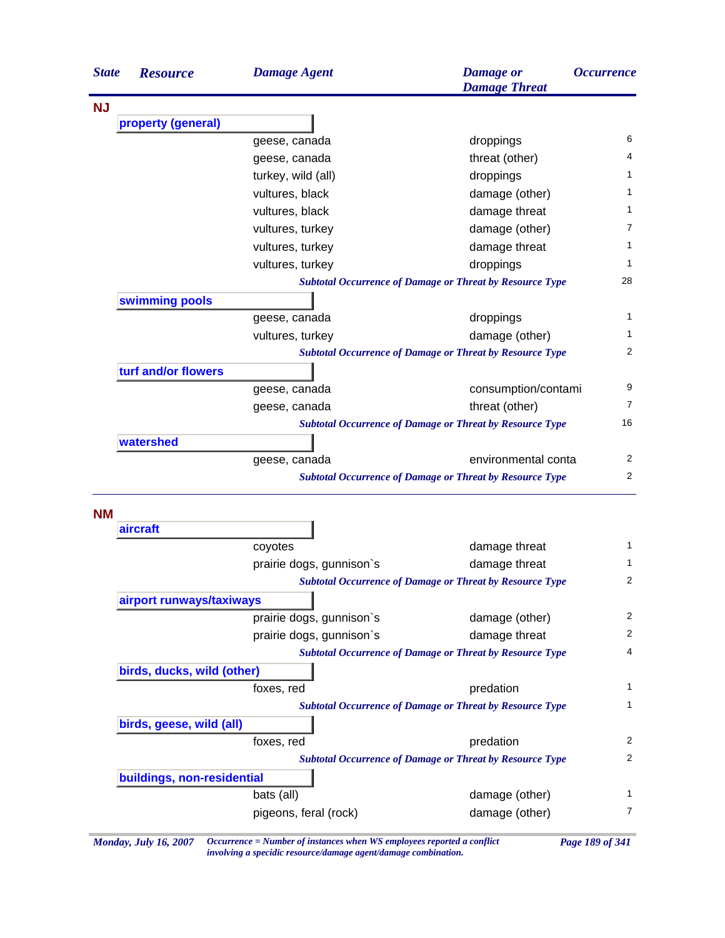| <b>State</b> | <b>Resource</b>            | <b>Damage Agent</b>      | <b>Damage</b> or<br><b>Damage Threat</b>                        | <i><b>Occurrence</b></i> |
|--------------|----------------------------|--------------------------|-----------------------------------------------------------------|--------------------------|
| <b>NJ</b>    |                            |                          |                                                                 |                          |
|              | property (general)         |                          |                                                                 |                          |
|              |                            | geese, canada            | droppings                                                       | 6                        |
|              |                            | geese, canada            | threat (other)                                                  | 4                        |
|              |                            | turkey, wild (all)       | droppings                                                       | 1                        |
|              |                            | vultures, black          | damage (other)                                                  | 1                        |
|              |                            | vultures, black          | damage threat                                                   | 1                        |
|              |                            | vultures, turkey         | damage (other)                                                  | $\overline{7}$           |
|              |                            | vultures, turkey         | damage threat                                                   | 1                        |
|              |                            | vultures, turkey         | droppings                                                       | 1                        |
|              |                            |                          | <b>Subtotal Occurrence of Damage or Threat by Resource Type</b> | 28                       |
|              | swimming pools             |                          |                                                                 |                          |
|              |                            | geese, canada            | droppings                                                       | $\mathbf{1}$             |
|              |                            | vultures, turkey         | damage (other)                                                  | 1                        |
|              |                            |                          | <b>Subtotal Occurrence of Damage or Threat by Resource Type</b> | 2                        |
|              | turf and/or flowers        |                          |                                                                 |                          |
|              |                            | geese, canada            | consumption/contami                                             | 9                        |
|              |                            | geese, canada            | threat (other)                                                  | $\overline{7}$           |
|              |                            |                          | <b>Subtotal Occurrence of Damage or Threat by Resource Type</b> | 16                       |
|              | watershed                  |                          |                                                                 |                          |
|              |                            | geese, canada            | environmental conta                                             | 2                        |
|              |                            |                          | <b>Subtotal Occurrence of Damage or Threat by Resource Type</b> | 2                        |
| <b>NM</b>    | aircraft                   |                          |                                                                 |                          |
|              |                            | coyotes                  | damage threat                                                   | 1                        |
|              |                            | prairie dogs, gunnison's | damage threat                                                   | 1                        |
|              |                            |                          | <b>Subtotal Occurrence of Damage or Threat by Resource Type</b> | 2                        |
|              | airport runways/taxiways   |                          |                                                                 |                          |
|              |                            | prairie dogs, gunnison's | damage (other)                                                  | 2                        |
|              |                            | prairie dogs, gunnison's | damage threat                                                   | 2                        |
|              |                            |                          | <b>Subtotal Occurrence of Damage or Threat by Resource Type</b> | 4                        |
|              | birds, ducks, wild (other) |                          |                                                                 |                          |
|              |                            | foxes, red               | predation                                                       | $\mathbf{1}$             |
|              |                            |                          | <b>Subtotal Occurrence of Damage or Threat by Resource Type</b> | $\mathbf{1}$             |
|              | birds, geese, wild (all)   |                          |                                                                 |                          |
|              |                            | foxes, red               | predation                                                       | 2                        |
|              |                            |                          | <b>Subtotal Occurrence of Damage or Threat by Resource Type</b> | 2                        |
|              | buildings, non-residential |                          |                                                                 |                          |
|              |                            | bats (all)               | damage (other)                                                  | $\mathbf{1}$             |
|              |                            | pigeons, feral (rock)    | damage (other)                                                  | $\overline{7}$           |
|              |                            |                          |                                                                 |                          |

*Monday, July 16, 2007 Occurrence = Number of instances when WS employees reported a conflict Page 189 of 341 involving a specidic resource/damage agent/damage combination.*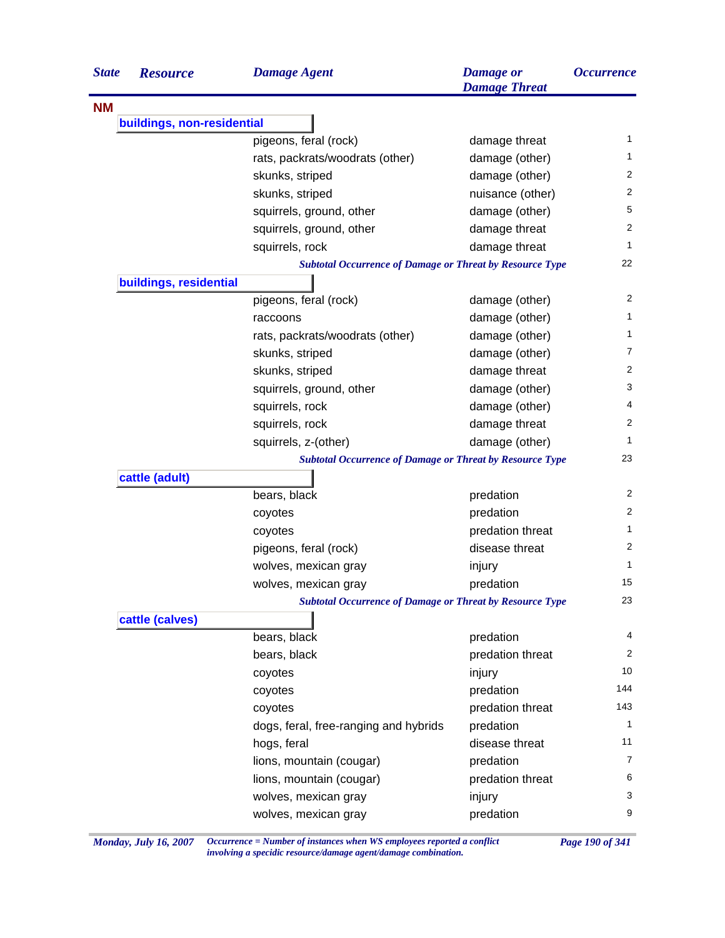| <b>State</b> | <b>Resource</b>            | <b>Damage Agent</b>                                             | <b>Damage</b> or<br><b>Damage Threat</b> | <i><b>Occurrence</b></i> |
|--------------|----------------------------|-----------------------------------------------------------------|------------------------------------------|--------------------------|
| <b>NM</b>    |                            |                                                                 |                                          |                          |
|              | buildings, non-residential |                                                                 |                                          |                          |
|              |                            | pigeons, feral (rock)                                           | damage threat                            | 1                        |
|              |                            | rats, packrats/woodrats (other)                                 | damage (other)                           | $\mathbf{1}$             |
|              |                            | skunks, striped                                                 | damage (other)                           | $\overline{2}$           |
|              |                            | skunks, striped                                                 | nuisance (other)                         | $\overline{2}$           |
|              |                            | squirrels, ground, other                                        | damage (other)                           | 5                        |
|              |                            | squirrels, ground, other                                        | damage threat                            | 2                        |
|              |                            | squirrels, rock                                                 | damage threat                            | $\mathbf{1}$             |
|              |                            | <b>Subtotal Occurrence of Damage or Threat by Resource Type</b> |                                          | 22                       |
|              | buildings, residential     |                                                                 |                                          |                          |
|              |                            | pigeons, feral (rock)                                           | damage (other)                           | 2                        |
|              |                            | raccoons                                                        | damage (other)                           | $\mathbf{1}$             |
|              |                            | rats, packrats/woodrats (other)                                 | damage (other)                           | 1                        |
|              |                            | skunks, striped                                                 | damage (other)                           | 7                        |
|              |                            | skunks, striped                                                 | damage threat                            | $\overline{2}$           |
|              |                            | squirrels, ground, other                                        | damage (other)                           | 3                        |
|              |                            | squirrels, rock                                                 | damage (other)                           | 4                        |
|              |                            | squirrels, rock                                                 | damage threat                            | 2                        |
|              |                            | squirrels, z-(other)                                            | damage (other)                           | 1                        |
|              |                            | <b>Subtotal Occurrence of Damage or Threat by Resource Type</b> |                                          | 23                       |
|              | cattle (adult)             |                                                                 |                                          |                          |
|              |                            | bears, black                                                    | predation                                | 2                        |
|              |                            | coyotes                                                         | predation                                | 2                        |
|              |                            | coyotes                                                         | predation threat                         | 1                        |
|              |                            | pigeons, feral (rock)                                           | disease threat                           | 2                        |
|              |                            | wolves, mexican gray                                            | injury                                   | $\mathbf{1}$             |
|              |                            | wolves, mexican gray                                            | predation                                | 15                       |
|              |                            | <b>Subtotal Occurrence of Damage or Threat by Resource Type</b> |                                          | 23                       |
|              | cattle (calves)            |                                                                 |                                          |                          |
|              |                            | bears, black                                                    | predation                                | 4                        |
|              |                            | bears, black                                                    | predation threat                         | 2                        |
|              |                            | coyotes                                                         | injury                                   | 10                       |
|              |                            | coyotes                                                         | predation                                | 144                      |
|              |                            | coyotes                                                         | predation threat                         | 143                      |
|              |                            | dogs, feral, free-ranging and hybrids                           | predation                                | 1                        |
|              |                            | hogs, feral                                                     | disease threat                           | 11                       |
|              |                            | lions, mountain (cougar)                                        | predation                                | 7                        |
|              |                            | lions, mountain (cougar)                                        | predation threat                         | 6                        |
|              |                            | wolves, mexican gray                                            | injury                                   | 3                        |
|              |                            | wolves, mexican gray                                            | predation                                | 9                        |
|              |                            |                                                                 |                                          |                          |

*Monday, July 16, 2007 Occurrence = Number of instances when WS employees reported a conflict Page 190 of 341 involving a specidic resource/damage agent/damage combination.*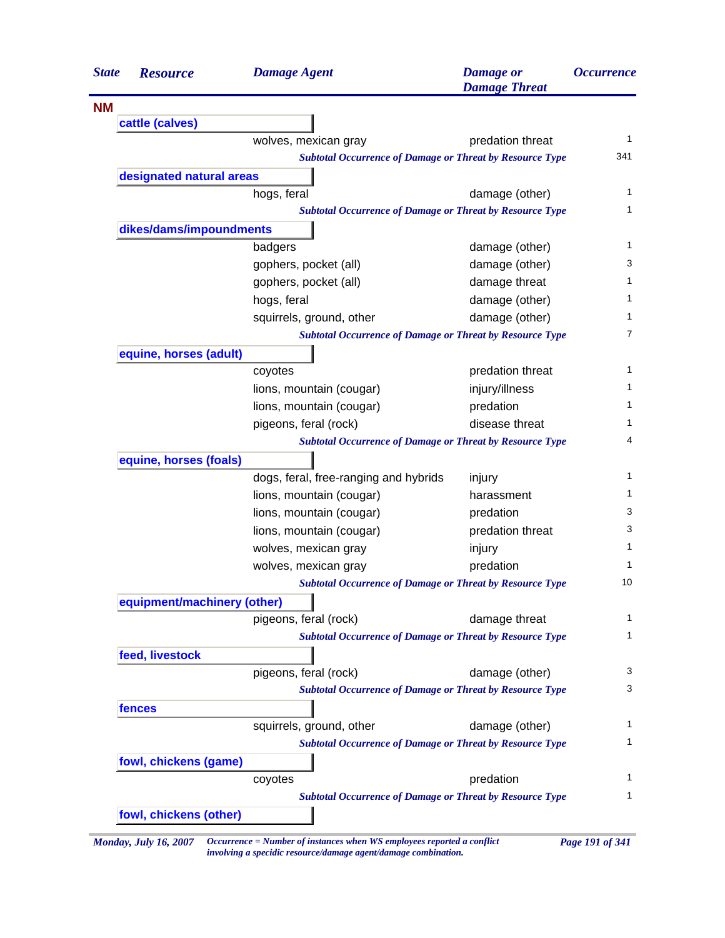| <b>State</b> | <b>Resource</b>             | <b>Damage Agent</b>                                             | <b>Damage</b> or<br><b>Damage Threat</b> | <i><b>Occurrence</b></i> |
|--------------|-----------------------------|-----------------------------------------------------------------|------------------------------------------|--------------------------|
| <b>NM</b>    |                             |                                                                 |                                          |                          |
|              | cattle (calves)             |                                                                 |                                          |                          |
|              |                             | wolves, mexican gray                                            | predation threat                         |                          |
|              |                             | <b>Subtotal Occurrence of Damage or Threat by Resource Type</b> |                                          | 341                      |
|              | designated natural areas    |                                                                 |                                          |                          |
|              |                             | hogs, feral                                                     | damage (other)                           |                          |
|              |                             | <b>Subtotal Occurrence of Damage or Threat by Resource Type</b> |                                          |                          |
|              | dikes/dams/impoundments     |                                                                 |                                          |                          |
|              |                             | badgers                                                         | damage (other)                           |                          |
|              |                             | gophers, pocket (all)                                           | damage (other)                           |                          |
|              |                             | gophers, pocket (all)                                           | damage threat                            |                          |
|              |                             | hogs, feral                                                     | damage (other)                           |                          |
|              |                             | squirrels, ground, other                                        | damage (other)                           |                          |
|              |                             | <b>Subtotal Occurrence of Damage or Threat by Resource Type</b> |                                          |                          |
|              | equine, horses (adult)      |                                                                 |                                          |                          |
|              |                             | coyotes                                                         | predation threat                         |                          |
|              |                             | lions, mountain (cougar)                                        | injury/illness                           |                          |
|              |                             | lions, mountain (cougar)                                        | predation                                |                          |
|              |                             | pigeons, feral (rock)                                           | disease threat                           |                          |
|              |                             | <b>Subtotal Occurrence of Damage or Threat by Resource Type</b> |                                          |                          |
|              | equine, horses (foals)      |                                                                 |                                          |                          |
|              |                             | dogs, feral, free-ranging and hybrids                           | injury                                   |                          |
|              |                             | lions, mountain (cougar)                                        | harassment                               |                          |
|              |                             | lions, mountain (cougar)                                        | predation                                |                          |
|              |                             | lions, mountain (cougar)                                        | predation threat                         |                          |
|              |                             | wolves, mexican gray                                            | injury                                   |                          |
|              |                             | wolves, mexican gray                                            | predation                                |                          |
|              |                             | <b>Subtotal Occurrence of Damage or Threat by Resource Type</b> |                                          |                          |
|              | equipment/machinery (other) |                                                                 |                                          |                          |
|              |                             | pigeons, feral (rock)                                           | damage threat                            |                          |
|              |                             | <b>Subtotal Occurrence of Damage or Threat by Resource Type</b> |                                          |                          |
|              | feed, livestock             |                                                                 |                                          |                          |
|              |                             |                                                                 |                                          |                          |
|              |                             | pigeons, feral (rock)                                           | damage (other)                           |                          |
|              |                             | <b>Subtotal Occurrence of Damage or Threat by Resource Type</b> |                                          |                          |
|              | fences                      |                                                                 |                                          |                          |
|              |                             | squirrels, ground, other                                        | damage (other)                           |                          |
|              |                             | <b>Subtotal Occurrence of Damage or Threat by Resource Type</b> |                                          |                          |
|              | fowl, chickens (game)       |                                                                 |                                          |                          |
|              |                             | coyotes                                                         | predation                                |                          |
|              |                             | <b>Subtotal Occurrence of Damage or Threat by Resource Type</b> |                                          |                          |
|              | fowl, chickens (other)      |                                                                 |                                          |                          |

*involving a specidic resource/damage agent/damage combination.*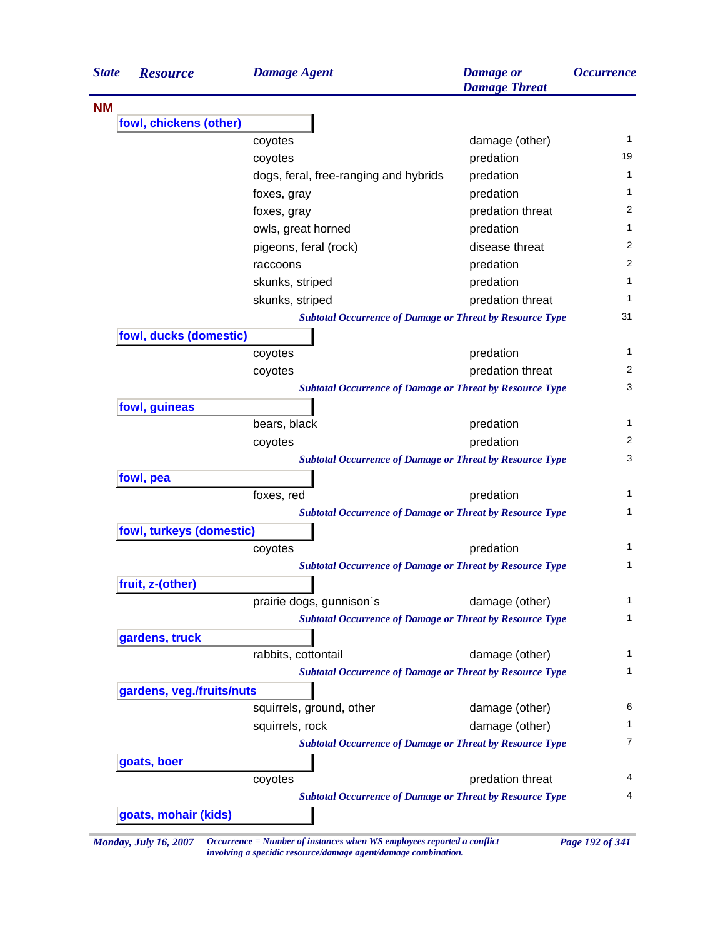| <b>State</b> | <b>Resource</b>              | <b>Damage Agent</b>                                                                    | <b>Damage</b> or<br><b>Damage Threat</b> | <i><b>Occurrence</b></i> |
|--------------|------------------------------|----------------------------------------------------------------------------------------|------------------------------------------|--------------------------|
| <b>NM</b>    |                              |                                                                                        |                                          |                          |
|              | fowl, chickens (other)       |                                                                                        |                                          |                          |
|              |                              | coyotes                                                                                | damage (other)                           | 1                        |
|              |                              | coyotes                                                                                | predation                                | 19                       |
|              |                              | dogs, feral, free-ranging and hybrids                                                  | predation                                | 1                        |
|              |                              | foxes, gray                                                                            | predation                                | 1                        |
|              |                              | foxes, gray                                                                            | predation threat                         | 2                        |
|              |                              | owls, great horned                                                                     | predation                                | 1                        |
|              |                              | pigeons, feral (rock)                                                                  | disease threat                           | 2                        |
|              |                              | raccoons                                                                               | predation                                | 2                        |
|              |                              | skunks, striped                                                                        | predation                                | 1                        |
|              |                              | skunks, striped                                                                        | predation threat                         | 1                        |
|              |                              | <b>Subtotal Occurrence of Damage or Threat by Resource Type</b>                        |                                          | 31                       |
|              | fowl, ducks (domestic)       |                                                                                        |                                          |                          |
|              |                              | coyotes                                                                                | predation                                | 1                        |
|              |                              | coyotes                                                                                | predation threat                         | 2                        |
|              |                              | <b>Subtotal Occurrence of Damage or Threat by Resource Type</b>                        |                                          | 3                        |
|              | fowl, guineas                |                                                                                        |                                          |                          |
|              |                              | bears, black                                                                           | predation                                | 1                        |
|              |                              | coyotes                                                                                | predation                                | 2                        |
|              |                              | <b>Subtotal Occurrence of Damage or Threat by Resource Type</b>                        |                                          | 3                        |
|              | fowl, pea                    |                                                                                        |                                          |                          |
|              |                              | foxes, red                                                                             | predation                                | 1                        |
|              |                              | <b>Subtotal Occurrence of Damage or Threat by Resource Type</b>                        |                                          | 1                        |
|              | fowl, turkeys (domestic)     |                                                                                        |                                          |                          |
|              |                              | coyotes                                                                                | predation                                | 1                        |
|              |                              | <b>Subtotal Occurrence of Damage or Threat by Resource Type</b>                        |                                          | 1                        |
|              | fruit, z-(other)             |                                                                                        |                                          |                          |
|              |                              | prairie dogs, gunnison's                                                               | damage (other)                           | 1                        |
|              |                              | <b>Subtotal Occurrence of Damage or Threat by Resource Type</b>                        |                                          | 1                        |
|              |                              |                                                                                        |                                          |                          |
|              | gardens, truck               |                                                                                        |                                          | 1                        |
|              |                              | rabbits, cottontail<br><b>Subtotal Occurrence of Damage or Threat by Resource Type</b> | damage (other)                           | 1                        |
|              |                              |                                                                                        |                                          |                          |
|              | gardens, veg./fruits/nuts    |                                                                                        |                                          | 6                        |
|              |                              | squirrels, ground, other                                                               | damage (other)                           | 1                        |
|              |                              | squirrels, rock                                                                        | damage (other)                           |                          |
|              |                              | <b>Subtotal Occurrence of Damage or Threat by Resource Type</b>                        |                                          | 7                        |
|              | goats, boer                  |                                                                                        |                                          |                          |
|              |                              | coyotes                                                                                | predation threat                         | 4                        |
|              |                              | <b>Subtotal Occurrence of Damage or Threat by Resource Type</b>                        |                                          | 4                        |
|              | goats, mohair (kids)         |                                                                                        |                                          |                          |
|              | <b>Monday, July 16, 2007</b> | Occurrence = Number of instances when WS employees reported a conflict                 |                                          | Page 192 of 341          |

*involving a specidic resource/damage agent/damage combination.*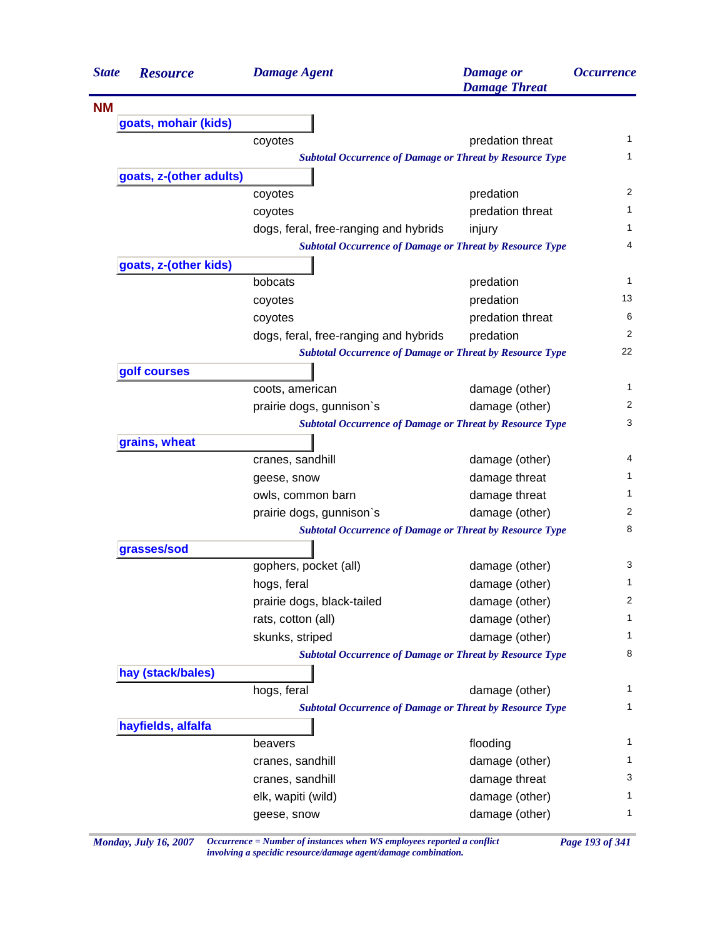| <b>State</b> | <b>Resource</b>         | <b>Damage Agent</b>                                             | <b>Damage</b> or<br><b>Damage Threat</b> | <i><b>Occurrence</b></i> |
|--------------|-------------------------|-----------------------------------------------------------------|------------------------------------------|--------------------------|
| <b>NM</b>    |                         |                                                                 |                                          |                          |
|              | goats, mohair (kids)    |                                                                 |                                          |                          |
|              |                         | coyotes                                                         | predation threat                         | 1                        |
|              |                         | <b>Subtotal Occurrence of Damage or Threat by Resource Type</b> |                                          | 1                        |
|              | goats, z-(other adults) |                                                                 |                                          |                          |
|              |                         | coyotes                                                         | predation                                | 2                        |
|              |                         | coyotes                                                         | predation threat                         | 1                        |
|              |                         | dogs, feral, free-ranging and hybrids                           | injury                                   | 1                        |
|              |                         | <b>Subtotal Occurrence of Damage or Threat by Resource Type</b> |                                          | 4                        |
|              | goats, z-(other kids)   |                                                                 |                                          |                          |
|              |                         | bobcats                                                         | predation                                | 1                        |
|              |                         | coyotes                                                         | predation                                | 13                       |
|              |                         | coyotes                                                         | predation threat                         | 6                        |
|              |                         | dogs, feral, free-ranging and hybrids                           | predation                                | 2                        |
|              |                         | <b>Subtotal Occurrence of Damage or Threat by Resource Type</b> |                                          | 22                       |
|              | golf courses            |                                                                 |                                          |                          |
|              |                         | coots, american                                                 | damage (other)                           | 1                        |
|              |                         | prairie dogs, gunnison's                                        | damage (other)                           | 2                        |
|              |                         | <b>Subtotal Occurrence of Damage or Threat by Resource Type</b> |                                          | 3                        |
|              | grains, wheat           |                                                                 |                                          |                          |
|              |                         | cranes, sandhill                                                | damage (other)                           | 4                        |
|              |                         | geese, snow                                                     | damage threat                            | 1.                       |
|              |                         | owls, common barn                                               | damage threat                            | 1.                       |
|              |                         | prairie dogs, gunnison's                                        | damage (other)                           | 2                        |
|              |                         | <b>Subtotal Occurrence of Damage or Threat by Resource Type</b> |                                          | 8                        |
|              | grasses/sod             |                                                                 |                                          |                          |
|              |                         | gophers, pocket (all)                                           | damage (other)                           | 3                        |
|              |                         | hogs, feral                                                     | damage (other)                           | 1                        |
|              |                         | prairie dogs, black-tailed                                      | damage (other)                           | 2                        |
|              |                         | rats, cotton (all)                                              | damage (other)                           | 1                        |
|              |                         | skunks, striped                                                 | damage (other)                           | 1                        |
|              |                         | <b>Subtotal Occurrence of Damage or Threat by Resource Type</b> |                                          | 8                        |
|              | hay (stack/bales)       |                                                                 |                                          |                          |
|              |                         | hogs, feral                                                     | damage (other)                           | 1                        |
|              |                         | <b>Subtotal Occurrence of Damage or Threat by Resource Type</b> |                                          | 1                        |
|              | hayfields, alfalfa      |                                                                 |                                          |                          |
|              |                         | beavers                                                         | flooding                                 | 1                        |
|              |                         | cranes, sandhill                                                | damage (other)                           | 1                        |
|              |                         | cranes, sandhill                                                | damage threat                            | 3                        |
|              |                         | elk, wapiti (wild)                                              | damage (other)                           | 1                        |
|              |                         | geese, snow                                                     | damage (other)                           | 1                        |

*Monday, July 16, 2007 Occurrence = Number of instances when WS employees reported a conflict Page 193 of 341 involving a specidic resource/damage agent/damage combination.*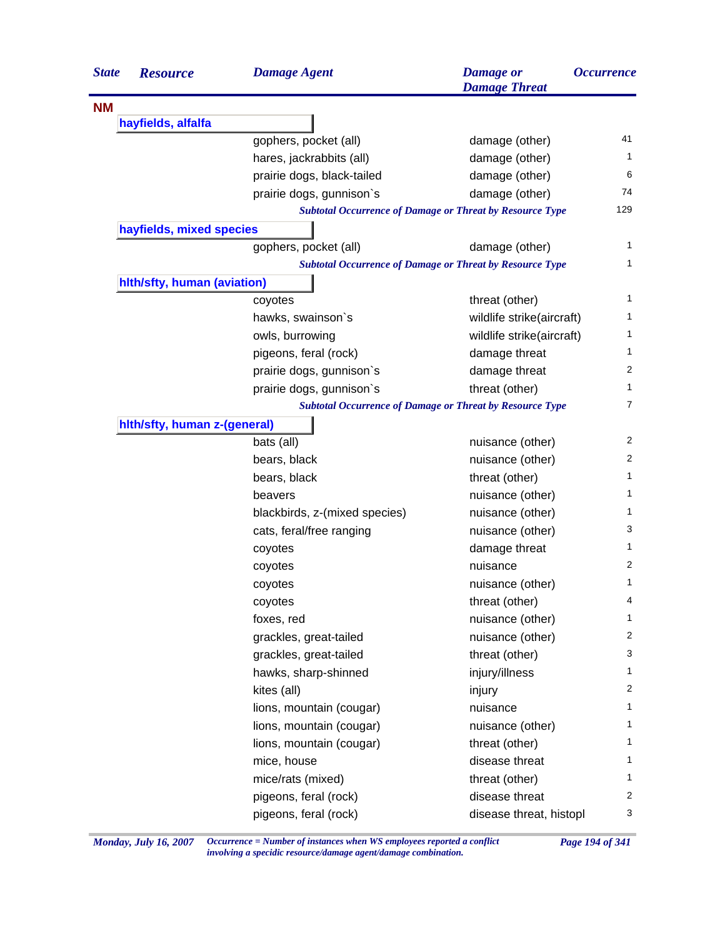| <b>State</b> | <b>Resource</b>              | <b>Damage Agent</b>                                             | <b>Damage</b> or<br><b>Damage Threat</b> | <i><b>Occurrence</b></i> |
|--------------|------------------------------|-----------------------------------------------------------------|------------------------------------------|--------------------------|
| <b>NM</b>    |                              |                                                                 |                                          |                          |
|              | hayfields, alfalfa           |                                                                 |                                          |                          |
|              |                              | gophers, pocket (all)                                           | damage (other)                           | 41                       |
|              |                              | hares, jackrabbits (all)                                        | damage (other)                           | 1                        |
|              |                              | prairie dogs, black-tailed                                      | damage (other)                           | 6                        |
|              |                              | prairie dogs, gunnison's                                        | damage (other)                           | 74                       |
|              |                              | <b>Subtotal Occurrence of Damage or Threat by Resource Type</b> |                                          | 129                      |
|              | hayfields, mixed species     |                                                                 |                                          |                          |
|              |                              | gophers, pocket (all)                                           | damage (other)                           | 1                        |
|              |                              | <b>Subtotal Occurrence of Damage or Threat by Resource Type</b> |                                          | 1                        |
|              | hith/sfty, human (aviation)  |                                                                 |                                          |                          |
|              |                              | coyotes                                                         | threat (other)                           | 1                        |
|              |                              | hawks, swainson's                                               | wildlife strike(aircraft)                | 1                        |
|              |                              | owls, burrowing                                                 | wildlife strike(aircraft)                | 1                        |
|              |                              | pigeons, feral (rock)                                           | damage threat                            | 1                        |
|              |                              | prairie dogs, gunnison's                                        | damage threat                            | $\overline{2}$           |
|              |                              | prairie dogs, gunnison's                                        | threat (other)                           | 1                        |
|              |                              | <b>Subtotal Occurrence of Damage or Threat by Resource Type</b> |                                          | 7                        |
|              | hith/sfty, human z-(general) |                                                                 |                                          |                          |
|              |                              | bats (all)                                                      | nuisance (other)                         | 2                        |
|              |                              | bears, black                                                    | nuisance (other)                         | 2                        |
|              |                              | bears, black                                                    | threat (other)                           | 1                        |
|              |                              | beavers                                                         | nuisance (other)                         | 1                        |
|              |                              | blackbirds, z-(mixed species)                                   | nuisance (other)                         | 1                        |
|              |                              | cats, feral/free ranging                                        | nuisance (other)                         | 3                        |
|              |                              | coyotes                                                         | damage threat                            | 1                        |
|              |                              | coyotes                                                         | nuisance                                 | 2                        |
|              |                              | coyotes                                                         | nuisance (other)                         | 1                        |
|              |                              | coyotes                                                         | threat (other)                           | 4                        |
|              |                              | foxes, red                                                      | nuisance (other)                         | 1                        |
|              |                              | grackles, great-tailed                                          | nuisance (other)                         | 2                        |
|              |                              | grackles, great-tailed                                          | threat (other)                           | 3                        |
|              |                              | hawks, sharp-shinned                                            | injury/illness                           | $\mathbf{1}$             |
|              |                              | kites (all)                                                     | injury                                   | $\overline{2}$           |
|              |                              | lions, mountain (cougar)                                        | nuisance                                 | $\mathbf{1}$             |
|              |                              | lions, mountain (cougar)                                        | nuisance (other)                         | $\mathbf{1}$             |
|              |                              | lions, mountain (cougar)                                        | threat (other)                           | $\mathbf{1}$             |
|              |                              | mice, house                                                     | disease threat                           | 1                        |
|              |                              | mice/rats (mixed)                                               | threat (other)                           | $\mathbf{1}$             |
|              |                              | pigeons, feral (rock)                                           | disease threat                           | 2                        |
|              |                              | pigeons, feral (rock)                                           | disease threat, histopl                  | 3                        |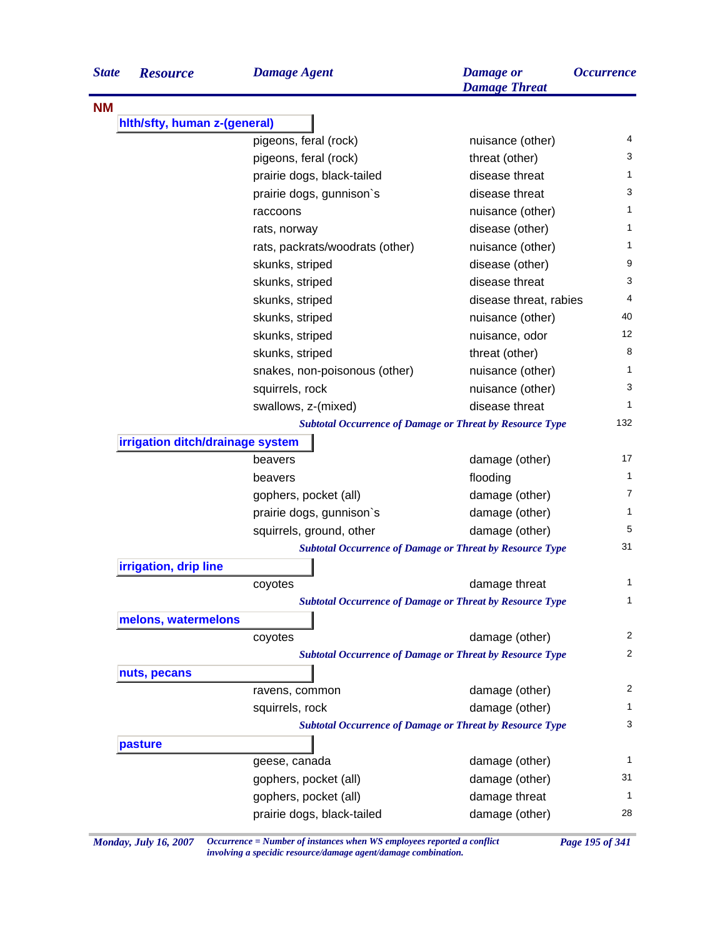| <b>State</b> | <b>Resource</b>                  | <b>Damage Agent</b>                                             | <b>Damage</b> or<br><b>Damage Threat</b> | <i><b>Occurrence</b></i> |
|--------------|----------------------------------|-----------------------------------------------------------------|------------------------------------------|--------------------------|
| <b>NM</b>    |                                  |                                                                 |                                          |                          |
|              | hith/sfty, human z-(general)     |                                                                 |                                          |                          |
|              |                                  | pigeons, feral (rock)                                           | nuisance (other)                         | 4                        |
|              |                                  | pigeons, feral (rock)                                           | threat (other)                           | 3                        |
|              |                                  | prairie dogs, black-tailed                                      | disease threat                           | 1                        |
|              |                                  | prairie dogs, gunnison's                                        | disease threat                           | 3                        |
|              |                                  | raccoons                                                        | nuisance (other)                         | 1                        |
|              |                                  | rats, norway                                                    | disease (other)                          | 1                        |
|              |                                  | rats, packrats/woodrats (other)                                 | nuisance (other)                         | 1                        |
|              |                                  | skunks, striped                                                 | disease (other)                          | 9                        |
|              |                                  | skunks, striped                                                 | disease threat                           | 3                        |
|              |                                  | skunks, striped                                                 | disease threat, rabies                   | 4                        |
|              |                                  | skunks, striped                                                 | nuisance (other)                         | 40                       |
|              |                                  | skunks, striped                                                 | nuisance, odor                           | 12                       |
|              |                                  | skunks, striped                                                 | threat (other)                           | 8                        |
|              |                                  | snakes, non-poisonous (other)                                   | nuisance (other)                         | 1                        |
|              |                                  | squirrels, rock                                                 | nuisance (other)                         | 3                        |
|              |                                  | swallows, z-(mixed)                                             | disease threat                           | 1                        |
|              |                                  | <b>Subtotal Occurrence of Damage or Threat by Resource Type</b> |                                          | 132                      |
|              | irrigation ditch/drainage system |                                                                 |                                          |                          |
|              |                                  | beavers                                                         | damage (other)                           | 17                       |
|              |                                  | beavers                                                         | flooding                                 | 1                        |
|              |                                  | gophers, pocket (all)                                           | damage (other)                           | 7                        |
|              |                                  | prairie dogs, gunnison's                                        | damage (other)                           | 1                        |
|              |                                  | squirrels, ground, other                                        | damage (other)                           | 5                        |
|              |                                  | <b>Subtotal Occurrence of Damage or Threat by Resource Type</b> |                                          | 31                       |
|              | irrigation, drip line            |                                                                 |                                          |                          |
|              |                                  | coyotes                                                         | damage threat                            | 1                        |
|              |                                  | <b>Subtotal Occurrence of Damage or Threat by Resource Type</b> |                                          | 1                        |
|              | melons, watermelons              |                                                                 |                                          |                          |
|              |                                  | coyotes                                                         | damage (other)                           | 2                        |
|              |                                  | <b>Subtotal Occurrence of Damage or Threat by Resource Type</b> |                                          | 2                        |
|              | nuts, pecans                     |                                                                 |                                          |                          |
|              |                                  | ravens, common                                                  | damage (other)                           | 2                        |
|              |                                  | squirrels, rock                                                 | damage (other)                           | 1                        |
|              |                                  | <b>Subtotal Occurrence of Damage or Threat by Resource Type</b> |                                          | 3                        |
|              | pasture                          |                                                                 |                                          |                          |
|              |                                  | geese, canada                                                   | damage (other)                           | 1                        |
|              |                                  | gophers, pocket (all)                                           | damage (other)                           | 31                       |
|              |                                  | gophers, pocket (all)                                           | damage threat                            | 1                        |
|              |                                  |                                                                 |                                          | 28                       |
|              |                                  | prairie dogs, black-tailed                                      | damage (other)                           |                          |

*Monday, July 16, 2007 Occurrence = Number of instances when WS employees reported a conflict Page 195 of 341 involving a specidic resource/damage agent/damage combination.*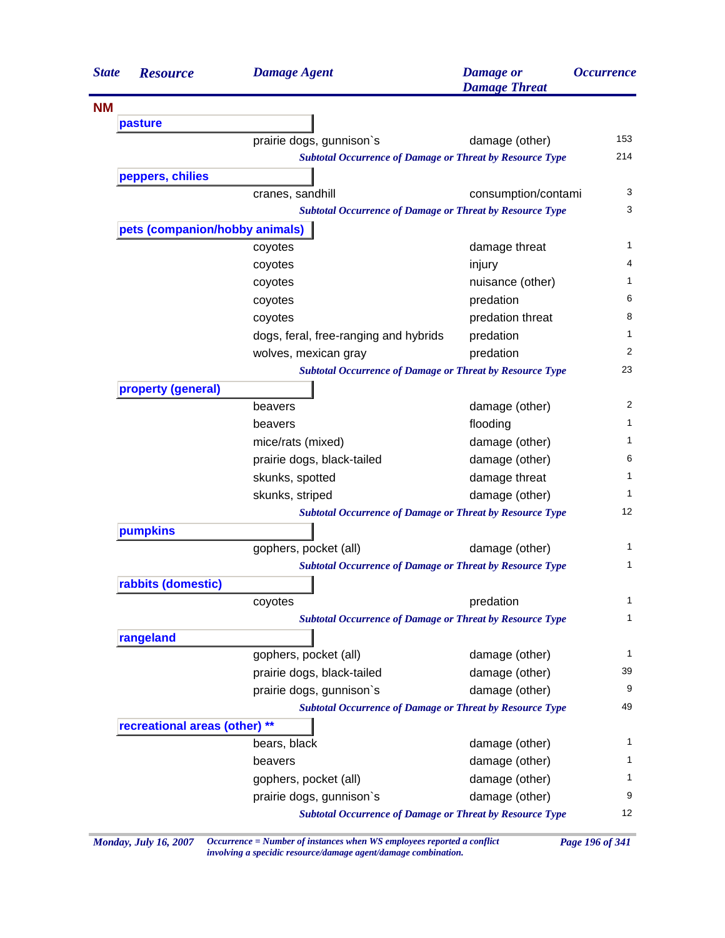| <b>State</b><br><b>Resource</b> | <b>Damage Agent</b>                                             | <b>Damage</b> or<br><b>Damage Threat</b> | <b>Occurrence</b> |
|---------------------------------|-----------------------------------------------------------------|------------------------------------------|-------------------|
| <b>NM</b>                       |                                                                 |                                          |                   |
| pasture                         |                                                                 |                                          |                   |
|                                 | prairie dogs, gunnison's                                        | damage (other)                           | 153               |
|                                 | <b>Subtotal Occurrence of Damage or Threat by Resource Type</b> |                                          | 214               |
| peppers, chilies                |                                                                 |                                          |                   |
|                                 | cranes, sandhill                                                | consumption/contami                      | 3                 |
|                                 | <b>Subtotal Occurrence of Damage or Threat by Resource Type</b> |                                          | 3                 |
| pets (companion/hobby animals)  |                                                                 |                                          |                   |
|                                 | coyotes                                                         | damage threat                            | 1                 |
|                                 | coyotes                                                         | injury                                   | 4                 |
|                                 | coyotes                                                         | nuisance (other)                         | 1                 |
|                                 | coyotes                                                         | predation                                | 6                 |
|                                 | coyotes                                                         | predation threat                         | 8                 |
|                                 | dogs, feral, free-ranging and hybrids                           | predation                                | 1                 |
|                                 | wolves, mexican gray                                            | predation                                | 2                 |
|                                 | <b>Subtotal Occurrence of Damage or Threat by Resource Type</b> |                                          | 23                |
| property (general)              |                                                                 |                                          |                   |
|                                 | beavers                                                         | damage (other)                           | 2                 |
|                                 | beavers                                                         | flooding                                 | 1                 |
|                                 | mice/rats (mixed)                                               | damage (other)                           | 1                 |
|                                 | prairie dogs, black-tailed                                      | damage (other)                           | 6                 |
|                                 | skunks, spotted                                                 | damage threat                            | 1                 |
|                                 | skunks, striped                                                 | damage (other)                           | 1                 |
|                                 | <b>Subtotal Occurrence of Damage or Threat by Resource Type</b> |                                          | 12                |
| pumpkins                        |                                                                 |                                          |                   |
|                                 | gophers, pocket (all)                                           | damage (other)                           | 1                 |
|                                 | <b>Subtotal Occurrence of Damage or Threat by Resource Type</b> |                                          | 1                 |
| rabbits (domestic)              |                                                                 |                                          |                   |
|                                 | coyotes                                                         | predation                                | 1                 |
|                                 | <b>Subtotal Occurrence of Damage or Threat by Resource Type</b> |                                          | 1                 |
| rangeland                       |                                                                 |                                          |                   |
|                                 | gophers, pocket (all)                                           | damage (other)                           | 1                 |
|                                 | prairie dogs, black-tailed                                      | damage (other)                           | 39                |
|                                 | prairie dogs, gunnison's                                        | damage (other)                           | 9                 |
|                                 | <b>Subtotal Occurrence of Damage or Threat by Resource Type</b> |                                          | 49                |
| recreational areas (other) **   |                                                                 |                                          |                   |
|                                 | bears, black                                                    | damage (other)                           | 1                 |
|                                 | beavers                                                         | damage (other)                           | 1                 |
|                                 | gophers, pocket (all)                                           | damage (other)                           | 1                 |
|                                 | prairie dogs, gunnison's                                        | damage (other)                           | 9                 |
|                                 | <b>Subtotal Occurrence of Damage or Threat by Resource Type</b> |                                          | 12                |

*Monday, July 16, 2007 Occurrence = Number of instances when WS employees reported a conflict Page 196 of 341 involving a specidic resource/damage agent/damage combination.*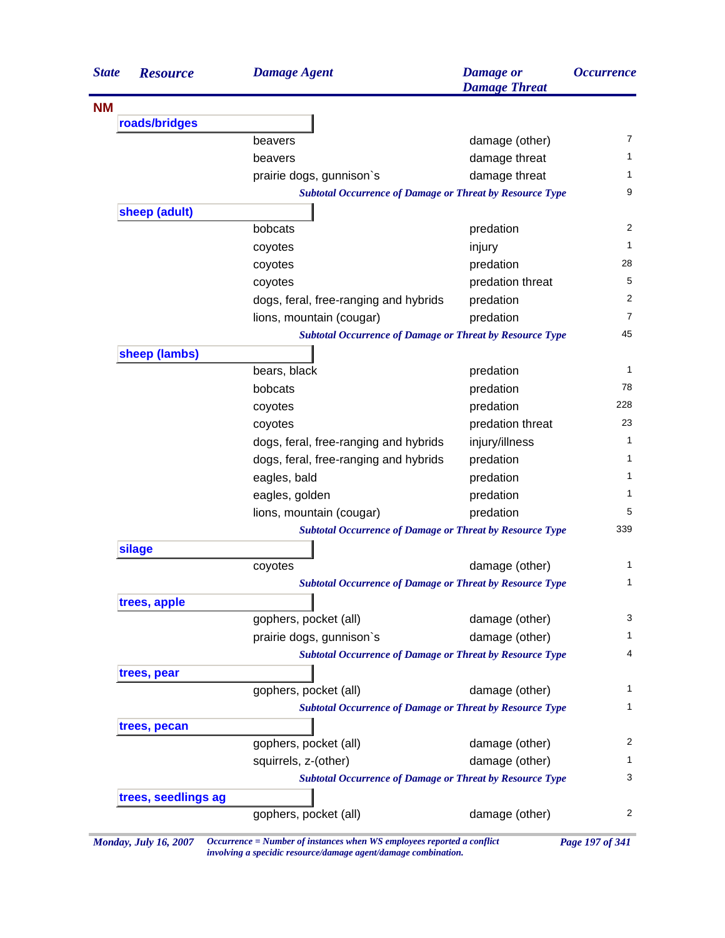| <b>State</b><br><b>Resource</b> | <b>Damage Agent</b>                                             | <b>Damage</b> or<br><b>Damage Threat</b> | <i><b>Occurrence</b></i> |
|---------------------------------|-----------------------------------------------------------------|------------------------------------------|--------------------------|
| <b>NM</b>                       |                                                                 |                                          |                          |
| roads/bridges                   |                                                                 |                                          |                          |
|                                 | beavers                                                         | damage (other)                           | 7                        |
|                                 | beavers                                                         | damage threat                            | 1                        |
|                                 | prairie dogs, gunnison's                                        | damage threat                            | 1                        |
|                                 | <b>Subtotal Occurrence of Damage or Threat by Resource Type</b> |                                          | 9                        |
| sheep (adult)                   |                                                                 |                                          |                          |
|                                 | bobcats                                                         | predation                                | 2                        |
|                                 | coyotes                                                         | injury                                   | 1                        |
|                                 | coyotes                                                         | predation                                | 28                       |
|                                 | coyotes                                                         | predation threat                         | 5                        |
|                                 | dogs, feral, free-ranging and hybrids                           | predation                                | 2                        |
|                                 | lions, mountain (cougar)                                        | predation                                | $\overline{7}$           |
|                                 | <b>Subtotal Occurrence of Damage or Threat by Resource Type</b> |                                          | 45                       |
| sheep (lambs)                   |                                                                 |                                          |                          |
|                                 | bears, black                                                    | predation                                | 1                        |
|                                 | bobcats                                                         | predation                                | 78                       |
|                                 | coyotes                                                         | predation                                | 228                      |
|                                 | coyotes                                                         | predation threat                         | 23                       |
|                                 | dogs, feral, free-ranging and hybrids                           | injury/illness                           | 1                        |
|                                 | dogs, feral, free-ranging and hybrids                           | predation                                | 1                        |
|                                 | eagles, bald                                                    | predation                                | 1                        |
|                                 | eagles, golden                                                  | predation                                | 1                        |
|                                 | lions, mountain (cougar)                                        | predation                                | 5                        |
|                                 | <b>Subtotal Occurrence of Damage or Threat by Resource Type</b> |                                          | 339                      |
| silage                          |                                                                 |                                          |                          |
|                                 | coyotes                                                         | damage (other)                           | 1                        |
|                                 | <b>Subtotal Occurrence of Damage or Threat by Resource Type</b> |                                          | 1                        |
| trees, apple                    |                                                                 |                                          |                          |
|                                 | gophers, pocket (all)                                           | damage (other)                           | 3                        |
|                                 | prairie dogs, gunnison's                                        | damage (other)                           | 1                        |
|                                 | <b>Subtotal Occurrence of Damage or Threat by Resource Type</b> |                                          | 4                        |
| trees, pear                     |                                                                 |                                          |                          |
|                                 | gophers, pocket (all)                                           | damage (other)                           | 1                        |
|                                 | <b>Subtotal Occurrence of Damage or Threat by Resource Type</b> |                                          | 1                        |
| trees, pecan                    |                                                                 |                                          |                          |
|                                 | gophers, pocket (all)                                           | damage (other)                           | $\overline{c}$           |
|                                 | squirrels, z-(other)                                            | damage (other)                           | 1                        |
|                                 | <b>Subtotal Occurrence of Damage or Threat by Resource Type</b> |                                          | 3                        |
| trees, seedlings ag             |                                                                 |                                          |                          |
|                                 | gophers, pocket (all)                                           | damage (other)                           | 2                        |

*Monday, July 16, 2007 Occurrence = Number of instances when WS employees reported a conflict Page 197 of 341 involving a specidic resource/damage agent/damage combination.*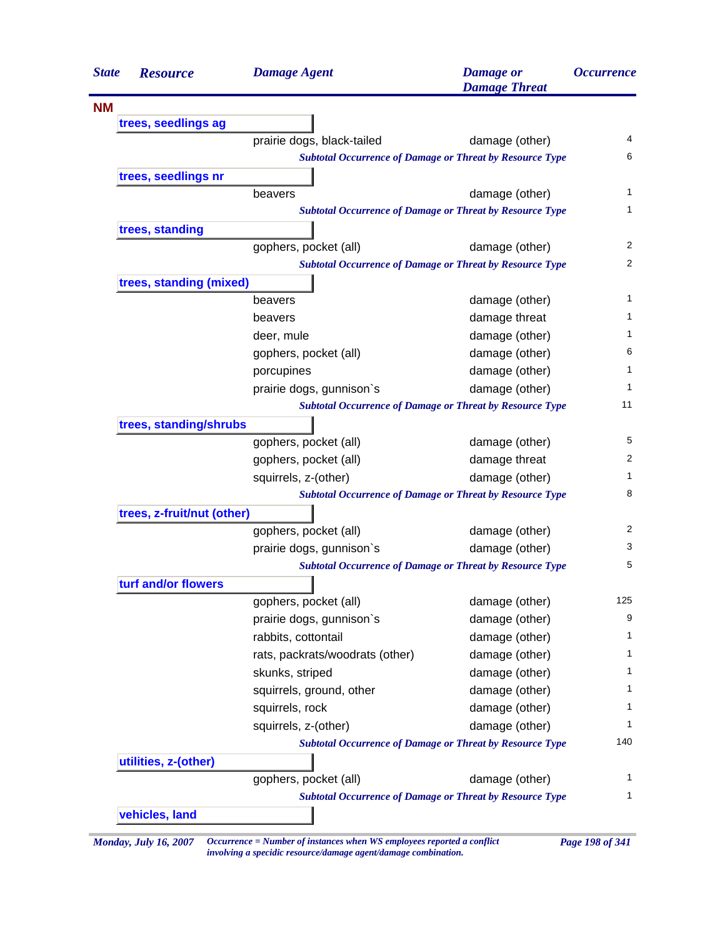| <b>State</b> | <b>Resource</b>            | <b>Damage Agent</b>                                             | <b>Damage</b> or<br><b>Damage Threat</b> | <i><b>Occurrence</b></i> |
|--------------|----------------------------|-----------------------------------------------------------------|------------------------------------------|--------------------------|
| <b>NM</b>    |                            |                                                                 |                                          |                          |
|              | trees, seedlings ag        |                                                                 |                                          |                          |
|              |                            | prairie dogs, black-tailed                                      | damage (other)                           | 4                        |
|              |                            | <b>Subtotal Occurrence of Damage or Threat by Resource Type</b> |                                          | 6                        |
|              | trees, seedlings nr        |                                                                 |                                          |                          |
|              |                            | beavers                                                         | damage (other)                           |                          |
|              |                            | <b>Subtotal Occurrence of Damage or Threat by Resource Type</b> |                                          |                          |
|              | trees, standing            |                                                                 |                                          |                          |
|              |                            | gophers, pocket (all)                                           | damage (other)                           |                          |
|              |                            | <b>Subtotal Occurrence of Damage or Threat by Resource Type</b> |                                          |                          |
|              | trees, standing (mixed)    |                                                                 |                                          |                          |
|              |                            | beavers                                                         | damage (other)                           |                          |
|              |                            | beavers                                                         | damage threat                            |                          |
|              |                            | deer, mule                                                      | damage (other)                           |                          |
|              |                            | gophers, pocket (all)                                           | damage (other)                           |                          |
|              |                            | porcupines                                                      | damage (other)                           |                          |
|              |                            | prairie dogs, gunnison's                                        | damage (other)                           |                          |
|              |                            | <b>Subtotal Occurrence of Damage or Threat by Resource Type</b> |                                          | 11                       |
|              | trees, standing/shrubs     |                                                                 |                                          |                          |
|              |                            | gophers, pocket (all)                                           | damage (other)                           |                          |
|              |                            | gophers, pocket (all)                                           | damage threat                            |                          |
|              |                            | squirrels, z-(other)                                            | damage (other)                           |                          |
|              |                            | <b>Subtotal Occurrence of Damage or Threat by Resource Type</b> |                                          |                          |
|              | trees, z-fruit/nut (other) |                                                                 |                                          |                          |
|              |                            | gophers, pocket (all)                                           | damage (other)                           |                          |
|              |                            | prairie dogs, gunnison's                                        | damage (other)                           |                          |
|              |                            | <b>Subtotal Occurrence of Damage or Threat by Resource Type</b> |                                          |                          |
|              | turf and/or flowers        |                                                                 |                                          |                          |
|              |                            | gophers, pocket (all)                                           | damage (other)                           | 125                      |
|              |                            | prairie dogs, gunnison's                                        | damage (other)                           |                          |
|              |                            | rabbits, cottontail                                             | damage (other)                           |                          |
|              |                            | rats, packrats/woodrats (other)                                 | damage (other)                           |                          |
|              |                            | skunks, striped                                                 | damage (other)                           |                          |
|              |                            | squirrels, ground, other                                        | damage (other)                           |                          |
|              |                            | squirrels, rock                                                 | damage (other)                           |                          |
|              |                            | squirrels, z-(other)                                            | damage (other)                           |                          |
|              |                            | <b>Subtotal Occurrence of Damage or Threat by Resource Type</b> |                                          | 140                      |
|              |                            |                                                                 |                                          |                          |
|              | utilities, z-(other)       | gophers, pocket (all)                                           | damage (other)                           |                          |
|              |                            | <b>Subtotal Occurrence of Damage or Threat by Resource Type</b> |                                          |                          |
|              | vehicles, land             |                                                                 |                                          |                          |

*Monday, July 16, 2007 Occurrence = Number of instances when WS employees reported a conflict Page 198 of 341 involving a specidic resource/damage agent/damage combination.*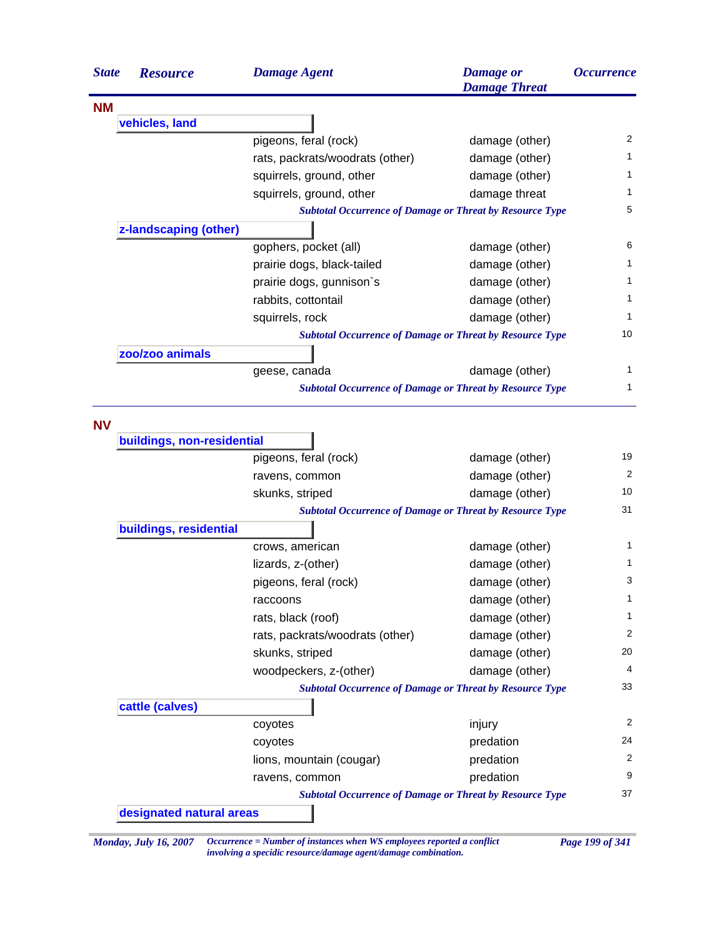| <b>State</b> | <b>Resource</b>            | <b>Damage Agent</b>             | <b>Damage</b> or<br><b>Damage Threat</b>                        | <i><b>Occurrence</b></i> |
|--------------|----------------------------|---------------------------------|-----------------------------------------------------------------|--------------------------|
| <b>NM</b>    |                            |                                 |                                                                 |                          |
|              | vehicles, land             |                                 |                                                                 |                          |
|              |                            | pigeons, feral (rock)           | damage (other)                                                  | 2                        |
|              |                            | rats, packrats/woodrats (other) | damage (other)                                                  | 1                        |
|              |                            | squirrels, ground, other        | damage (other)                                                  | 1                        |
|              |                            | squirrels, ground, other        | damage threat                                                   | 1                        |
|              |                            |                                 | <b>Subtotal Occurrence of Damage or Threat by Resource Type</b> | 5                        |
|              | z-landscaping (other)      |                                 |                                                                 |                          |
|              |                            | gophers, pocket (all)           | damage (other)                                                  | 6                        |
|              |                            | prairie dogs, black-tailed      | damage (other)                                                  | 1                        |
|              |                            | prairie dogs, gunnison's        | damage (other)                                                  | 1                        |
|              |                            | rabbits, cottontail             | damage (other)                                                  | 1                        |
|              |                            | squirrels, rock                 | damage (other)                                                  | 1                        |
|              |                            |                                 | <b>Subtotal Occurrence of Damage or Threat by Resource Type</b> | 10                       |
|              | zoo/zoo animals            |                                 |                                                                 |                          |
|              |                            | geese, canada                   | damage (other)                                                  | 1                        |
|              |                            |                                 | <b>Subtotal Occurrence of Damage or Threat by Resource Type</b> | 1                        |
| <b>NV</b>    |                            |                                 |                                                                 |                          |
|              | buildings, non-residential |                                 |                                                                 |                          |
|              |                            | pigeons, feral (rock)           | damage (other)                                                  | 19                       |
|              |                            | ravens, common                  | damage (other)                                                  | 2                        |
|              |                            | skunks, striped                 | damage (other)                                                  | 10                       |
|              |                            |                                 | <b>Subtotal Occurrence of Damage or Threat by Resource Type</b> | 31                       |
|              | buildings, residential     |                                 |                                                                 |                          |
|              |                            | crows, american                 | damage (other)                                                  | 1                        |
|              |                            | lizards, z-(other)              | damage (other)                                                  | 1                        |
|              |                            | pigeons, feral (rock)           | damage (other)                                                  | 3                        |
|              |                            | raccoons                        | damage (other)                                                  | 1                        |
|              |                            | rats, black (roof)              | damage (other)                                                  | 1                        |
|              |                            | rats, packrats/woodrats (other) | damage (other)                                                  | 2                        |
|              |                            | skunks, striped                 | damage (other)                                                  | 20                       |
|              |                            | woodpeckers, z-(other)          | damage (other)                                                  | 4                        |
|              |                            |                                 | <b>Subtotal Occurrence of Damage or Threat by Resource Type</b> | 33                       |
|              | cattle (calves)            |                                 |                                                                 |                          |
|              |                            | coyotes                         | injury                                                          | 2                        |
|              |                            | coyotes                         | predation                                                       | 24                       |
|              |                            | lions, mountain (cougar)        | predation                                                       | 2                        |
|              |                            | ravens, common                  | predation                                                       | 9                        |
|              |                            |                                 | <b>Subtotal Occurrence of Damage or Threat by Resource Type</b> | 37                       |
|              | designated natural areas   |                                 |                                                                 |                          |

*Monday, July 16, 2007 Occurrence = Number of instances when WS employees reported a conflict Page 199 of 341 involving a specidic resource/damage agent/damage combination.*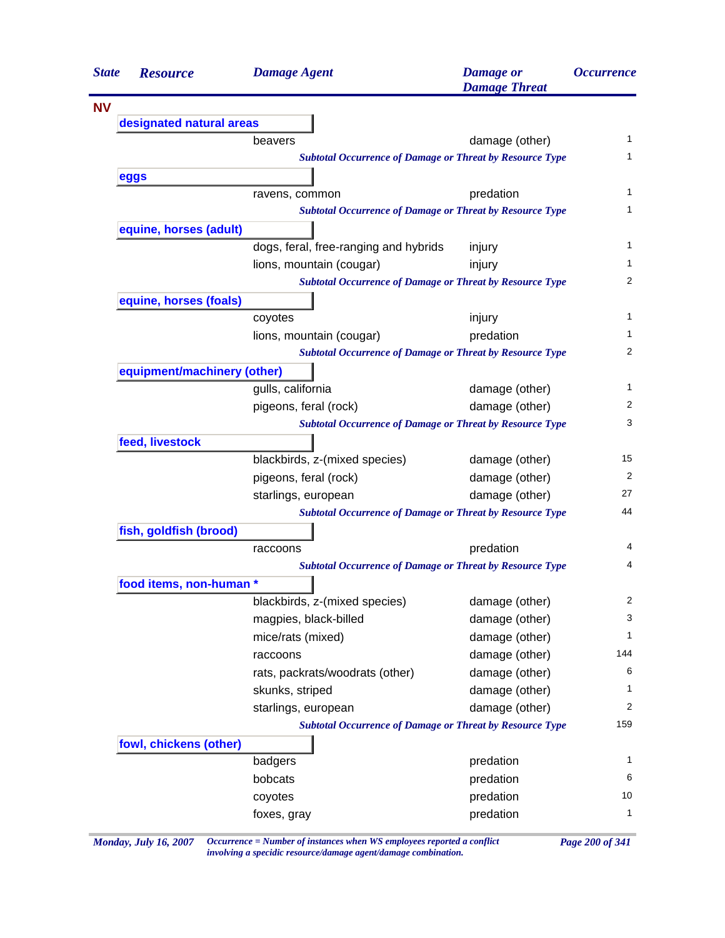| <b>State</b> | <b>Resource</b>             | <b>Damage Agent</b>                   | <b>Damage</b> or<br><b>Damage Threat</b>                        | <i><b>Occurrence</b></i> |
|--------------|-----------------------------|---------------------------------------|-----------------------------------------------------------------|--------------------------|
| <b>NV</b>    |                             |                                       |                                                                 |                          |
|              | designated natural areas    |                                       |                                                                 |                          |
|              |                             | beavers                               | damage (other)                                                  | 1                        |
|              |                             |                                       | <b>Subtotal Occurrence of Damage or Threat by Resource Type</b> | 1                        |
|              | eggs                        |                                       |                                                                 |                          |
|              |                             | ravens, common                        | predation                                                       | 1                        |
|              |                             |                                       | <b>Subtotal Occurrence of Damage or Threat by Resource Type</b> | 1                        |
|              | equine, horses (adult)      |                                       |                                                                 |                          |
|              |                             | dogs, feral, free-ranging and hybrids | injury                                                          | 1                        |
|              |                             | lions, mountain (cougar)              | injury                                                          | 1                        |
|              |                             |                                       | <b>Subtotal Occurrence of Damage or Threat by Resource Type</b> | 2                        |
|              | equine, horses (foals)      |                                       |                                                                 |                          |
|              |                             | coyotes                               | injury                                                          | $\mathbf{1}$             |
|              |                             | lions, mountain (cougar)              | predation                                                       | 1                        |
|              |                             |                                       | <b>Subtotal Occurrence of Damage or Threat by Resource Type</b> | $\overline{2}$           |
|              | equipment/machinery (other) |                                       |                                                                 |                          |
|              |                             | gulls, california                     | damage (other)                                                  | 1                        |
|              |                             | pigeons, feral (rock)                 | damage (other)                                                  | 2                        |
|              |                             |                                       | <b>Subtotal Occurrence of Damage or Threat by Resource Type</b> | 3                        |
|              | feed, livestock             |                                       |                                                                 |                          |
|              |                             | blackbirds, z-(mixed species)         | damage (other)                                                  | 15                       |
|              |                             | pigeons, feral (rock)                 | damage (other)                                                  | 2                        |
|              |                             | starlings, european                   | damage (other)                                                  | 27                       |
|              |                             |                                       | <b>Subtotal Occurrence of Damage or Threat by Resource Type</b> | 44                       |
|              | fish, goldfish (brood)      |                                       |                                                                 |                          |
|              |                             | raccoons                              | predation                                                       | 4                        |
|              |                             |                                       | <b>Subtotal Occurrence of Damage or Threat by Resource Type</b> | 4                        |
|              | food items, non-human *     |                                       |                                                                 |                          |
|              |                             | blackbirds, z-(mixed species)         | damage (other)                                                  | 2                        |
|              |                             | magpies, black-billed                 | damage (other)                                                  | 3                        |
|              |                             | mice/rats (mixed)                     | damage (other)                                                  | $\mathbf{1}$             |
|              |                             | raccoons                              | damage (other)                                                  | 144                      |
|              |                             | rats, packrats/woodrats (other)       | damage (other)                                                  | 6                        |
|              |                             | skunks, striped                       | damage (other)                                                  | 1                        |
|              |                             | starlings, european                   | damage (other)                                                  | 2                        |
|              |                             |                                       | <b>Subtotal Occurrence of Damage or Threat by Resource Type</b> | 159                      |
|              | fowl, chickens (other)      |                                       |                                                                 |                          |
|              |                             | badgers                               | predation                                                       | 1                        |
|              |                             | bobcats                               | predation                                                       | 6                        |
|              |                             | coyotes                               | predation                                                       | 10                       |
|              |                             |                                       | predation                                                       |                          |

*Monday, July 16, 2007 Occurrence = Number of instances when WS employees reported a conflict Page 200 of 341 involving a specidic resource/damage agent/damage combination.*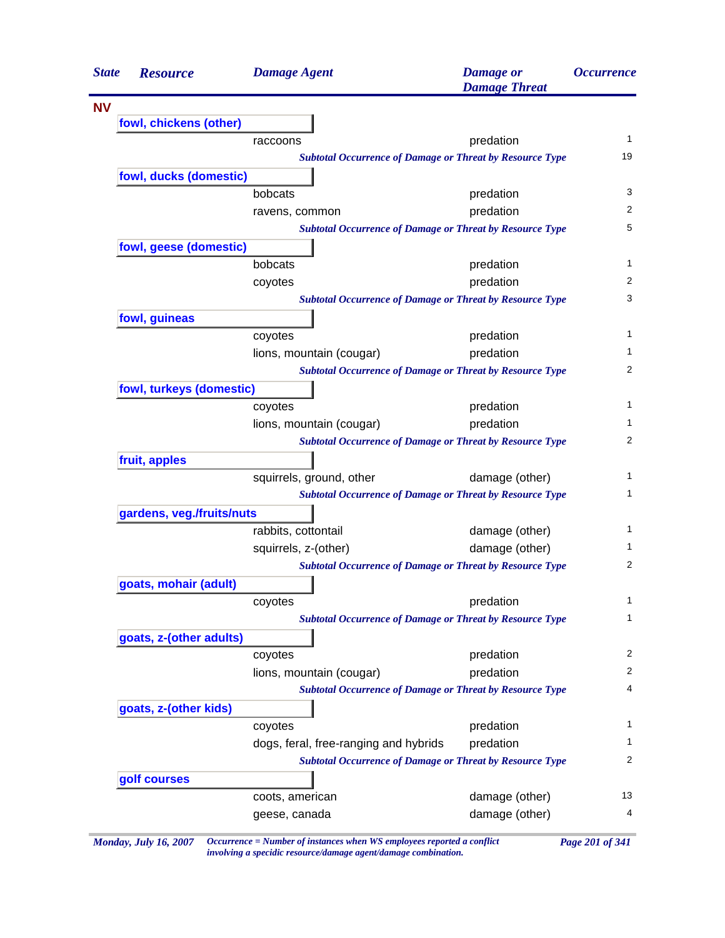| <b>State</b> | <b>Resource</b>           | <b>Damage Agent</b>                                                                         | <b>Damage</b> or<br><b>Damage Threat</b> | <i><b>Occurrence</b></i> |
|--------------|---------------------------|---------------------------------------------------------------------------------------------|------------------------------------------|--------------------------|
| <b>NV</b>    |                           |                                                                                             |                                          |                          |
|              | fowl, chickens (other)    |                                                                                             |                                          |                          |
|              |                           | raccoons                                                                                    | predation                                | 1                        |
|              |                           | <b>Subtotal Occurrence of Damage or Threat by Resource Type</b>                             |                                          | 19                       |
|              | fowl, ducks (domestic)    |                                                                                             |                                          |                          |
|              |                           | bobcats                                                                                     | predation                                | 3                        |
|              |                           | ravens, common                                                                              | predation                                | 2                        |
|              |                           | <b>Subtotal Occurrence of Damage or Threat by Resource Type</b>                             |                                          | 5                        |
|              | fowl, geese (domestic)    |                                                                                             |                                          |                          |
|              |                           | bobcats                                                                                     | predation                                | 1                        |
|              |                           | coyotes                                                                                     | predation                                | 2                        |
|              |                           | <b>Subtotal Occurrence of Damage or Threat by Resource Type</b>                             |                                          | 3                        |
|              | fowl, guineas             |                                                                                             |                                          | 1                        |
|              |                           | coyotes                                                                                     | predation                                | 1                        |
|              |                           | lions, mountain (cougar)<br><b>Subtotal Occurrence of Damage or Threat by Resource Type</b> | predation                                | 2                        |
|              | fowl, turkeys (domestic)  |                                                                                             |                                          |                          |
|              |                           | coyotes                                                                                     | predation                                | 1                        |
|              |                           | lions, mountain (cougar)                                                                    | predation                                | 1                        |
|              |                           | <b>Subtotal Occurrence of Damage or Threat by Resource Type</b>                             |                                          | 2                        |
|              | fruit, apples             |                                                                                             |                                          |                          |
|              |                           | squirrels, ground, other                                                                    | damage (other)                           | 1                        |
|              |                           | <b>Subtotal Occurrence of Damage or Threat by Resource Type</b>                             |                                          | 1                        |
|              | gardens, veg./fruits/nuts |                                                                                             |                                          |                          |
|              |                           | rabbits, cottontail                                                                         | damage (other)                           | 1                        |
|              |                           | squirrels, z-(other)                                                                        | damage (other)                           | 1                        |
|              |                           | <b>Subtotal Occurrence of Damage or Threat by Resource Type</b>                             |                                          | 2                        |
|              | goats, mohair (adult)     |                                                                                             |                                          |                          |
|              |                           | coyotes                                                                                     | predation                                | 1                        |
|              |                           | <b>Subtotal Occurrence of Damage or Threat by Resource Type</b>                             |                                          | 1                        |
|              | goats, z-(other adults)   |                                                                                             |                                          |                          |
|              |                           | coyotes                                                                                     | predation                                | 2                        |
|              |                           | lions, mountain (cougar)                                                                    | predation                                | 2                        |
|              |                           | <b>Subtotal Occurrence of Damage or Threat by Resource Type</b>                             |                                          | 4                        |
|              | goats, z-(other kids)     |                                                                                             |                                          |                          |
|              |                           | coyotes                                                                                     | predation                                | 1                        |
|              |                           | dogs, feral, free-ranging and hybrids                                                       | predation                                | 1                        |
|              |                           | <b>Subtotal Occurrence of Damage or Threat by Resource Type</b>                             |                                          | 2                        |
|              | golf courses              |                                                                                             |                                          |                          |
|              |                           | coots, american                                                                             | damage (other)                           | 13                       |
|              |                           | geese, canada                                                                               | damage (other)                           | 4                        |

*Monday, July 16, 2007 Occurrence = Number of instances when WS employees reported a conflict Page 201 of 341 involving a specidic resource/damage agent/damage combination.*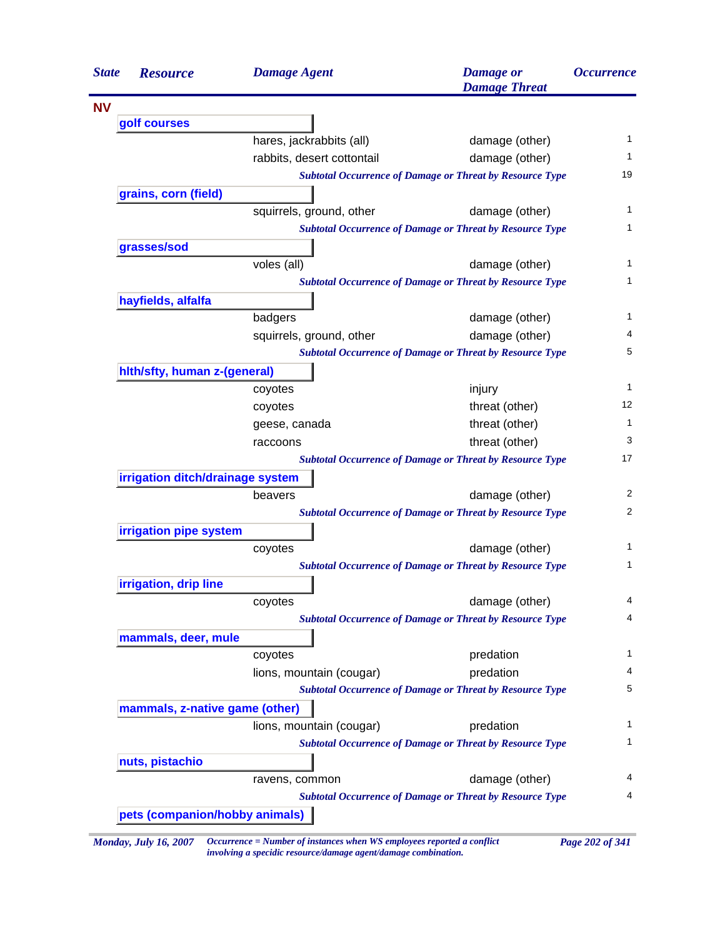| <b>State</b> | <b>Resource</b>                  | <b>Damage Agent</b>            | <b>Damage</b> or<br><b>Damage Threat</b>                        | <i><b>Occurrence</b></i> |
|--------------|----------------------------------|--------------------------------|-----------------------------------------------------------------|--------------------------|
| <b>NV</b>    |                                  |                                |                                                                 |                          |
|              | golf courses                     |                                |                                                                 |                          |
|              |                                  | hares, jackrabbits (all)       | damage (other)                                                  |                          |
|              |                                  | rabbits, desert cottontail     | damage (other)                                                  |                          |
|              |                                  |                                | <b>Subtotal Occurrence of Damage or Threat by Resource Type</b> | 19                       |
|              | grains, corn (field)             |                                |                                                                 |                          |
|              |                                  | squirrels, ground, other       | damage (other)                                                  |                          |
|              |                                  |                                | <b>Subtotal Occurrence of Damage or Threat by Resource Type</b> |                          |
|              | grasses/sod                      |                                |                                                                 |                          |
|              |                                  | voles (all)                    | damage (other)                                                  |                          |
|              |                                  |                                | <b>Subtotal Occurrence of Damage or Threat by Resource Type</b> |                          |
|              | hayfields, alfalfa               |                                |                                                                 |                          |
|              |                                  | badgers                        | damage (other)                                                  |                          |
|              |                                  | squirrels, ground, other       | damage (other)                                                  |                          |
|              |                                  |                                | <b>Subtotal Occurrence of Damage or Threat by Resource Type</b> |                          |
|              | hith/sfty, human z-(general)     |                                |                                                                 |                          |
|              |                                  | coyotes                        | injury                                                          |                          |
|              |                                  | coyotes                        | threat (other)                                                  | 12                       |
|              |                                  | geese, canada                  | threat (other)                                                  |                          |
|              |                                  | raccoons                       | threat (other)                                                  |                          |
|              |                                  |                                | <b>Subtotal Occurrence of Damage or Threat by Resource Type</b> | 17                       |
|              | irrigation ditch/drainage system |                                |                                                                 |                          |
|              |                                  | beavers                        | damage (other)                                                  |                          |
|              |                                  |                                | <b>Subtotal Occurrence of Damage or Threat by Resource Type</b> |                          |
|              | irrigation pipe system           |                                |                                                                 |                          |
|              |                                  | coyotes                        | damage (other)                                                  |                          |
|              |                                  |                                | <b>Subtotal Occurrence of Damage or Threat by Resource Type</b> |                          |
|              | irrigation, drip line            |                                |                                                                 |                          |
|              |                                  | coyotes                        | damage (other)                                                  |                          |
|              |                                  |                                | <b>Subtotal Occurrence of Damage or Threat by Resource Type</b> |                          |
|              | mammals, deer, mule              |                                |                                                                 |                          |
|              |                                  | coyotes                        | predation                                                       |                          |
|              |                                  | lions, mountain (cougar)       | predation                                                       |                          |
|              |                                  |                                | <b>Subtotal Occurrence of Damage or Threat by Resource Type</b> |                          |
|              | mammals, z-native game (other)   |                                |                                                                 |                          |
|              |                                  | lions, mountain (cougar)       | predation                                                       |                          |
|              |                                  |                                | <b>Subtotal Occurrence of Damage or Threat by Resource Type</b> |                          |
|              | nuts, pistachio                  |                                |                                                                 |                          |
|              |                                  | ravens, common                 | damage (other)                                                  |                          |
|              |                                  |                                | <b>Subtotal Occurrence of Damage or Threat by Resource Type</b> |                          |
|              |                                  | pets (companion/hobby animals) |                                                                 |                          |

*Monday, July 16, 2007 Occurrence = Number of instances when WS employees reported a conflict Page 202 of 341 involving a specidic resource/damage agent/damage combination.*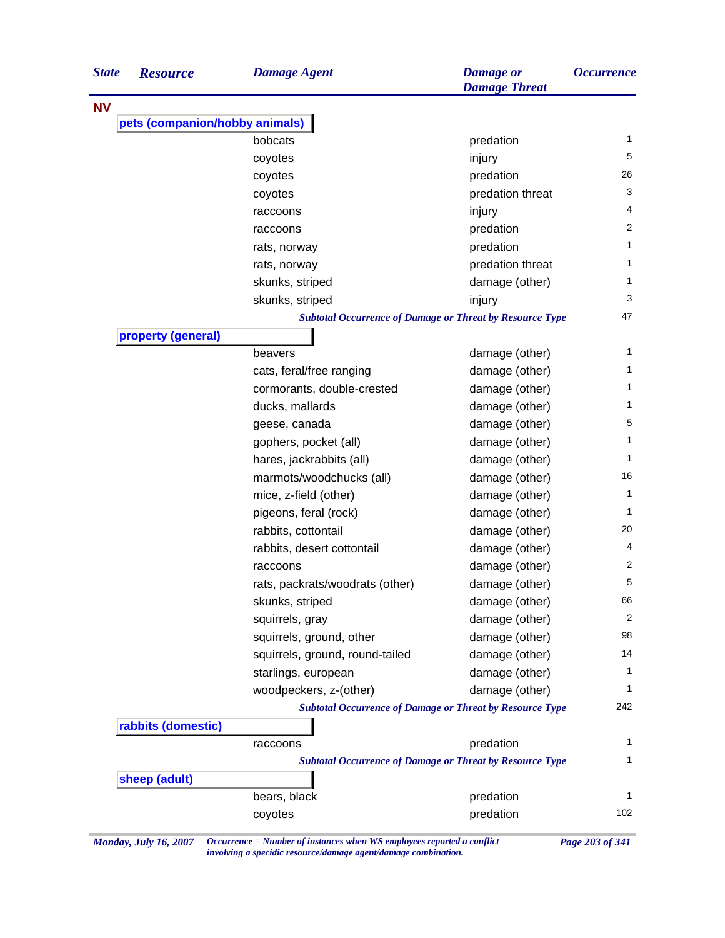| <b>State</b> | <b>Resource</b>                | <b>Damage Agent</b>                                             | <b>Damage or</b><br><b>Damage Threat</b> | <i><b>Occurrence</b></i> |
|--------------|--------------------------------|-----------------------------------------------------------------|------------------------------------------|--------------------------|
| <b>NV</b>    |                                |                                                                 |                                          |                          |
|              | pets (companion/hobby animals) |                                                                 |                                          |                          |
|              |                                | bobcats                                                         | predation                                | 1                        |
|              |                                | coyotes                                                         | injury                                   | 5                        |
|              |                                | coyotes                                                         | predation                                | 26                       |
|              |                                | coyotes                                                         | predation threat                         | 3                        |
|              |                                | raccoons                                                        | injury                                   | 4                        |
|              |                                | raccoons                                                        | predation                                | $\overline{2}$           |
|              |                                | rats, norway                                                    | predation                                | 1                        |
|              |                                | rats, norway                                                    | predation threat                         | 1                        |
|              |                                | skunks, striped                                                 | damage (other)                           | 1                        |
|              |                                | skunks, striped                                                 | injury                                   | 3                        |
|              |                                | <b>Subtotal Occurrence of Damage or Threat by Resource Type</b> |                                          | 47                       |
|              | property (general)             |                                                                 |                                          |                          |
|              |                                | beavers                                                         | damage (other)                           | 1                        |
|              |                                | cats, feral/free ranging                                        | damage (other)                           | 1                        |
|              |                                | cormorants, double-crested                                      | damage (other)                           | 1                        |
|              |                                | ducks, mallards                                                 | damage (other)                           | 1                        |
|              |                                | geese, canada                                                   | damage (other)                           | 5                        |
|              |                                | gophers, pocket (all)                                           | damage (other)                           | $\mathbf{1}$             |
|              |                                | hares, jackrabbits (all)                                        | damage (other)                           | $\mathbf{1}$             |
|              |                                | marmots/woodchucks (all)                                        | damage (other)                           | 16                       |
|              |                                | mice, z-field (other)                                           | damage (other)                           | 1                        |
|              |                                | pigeons, feral (rock)                                           | damage (other)                           | $\mathbf{1}$             |
|              |                                | rabbits, cottontail                                             | damage (other)                           | 20                       |
|              |                                | rabbits, desert cottontail                                      | damage (other)                           | 4                        |
|              |                                | raccoons                                                        | damage (other)                           | 2                        |
|              |                                | rats, packrats/woodrats (other)                                 | damage (other)                           | 5                        |
|              |                                | skunks, striped                                                 | damage (other)                           | 66                       |
|              |                                | squirrels, gray                                                 | damage (other)                           | 2                        |
|              |                                | squirrels, ground, other                                        | damage (other)                           | 98                       |
|              |                                | squirrels, ground, round-tailed                                 | damage (other)                           | 14                       |
|              |                                | starlings, european                                             | damage (other)                           | 1                        |
|              |                                | woodpeckers, z-(other)                                          | damage (other)                           | 1                        |
|              |                                | <b>Subtotal Occurrence of Damage or Threat by Resource Type</b> |                                          | 242                      |
|              | rabbits (domestic)             |                                                                 |                                          |                          |
|              |                                | raccoons                                                        | predation                                | 1                        |
|              |                                | <b>Subtotal Occurrence of Damage or Threat by Resource Type</b> |                                          | 1                        |
|              | sheep (adult)                  |                                                                 |                                          |                          |
|              |                                | bears, black                                                    | predation                                | 1                        |
|              |                                | coyotes                                                         | predation                                | 102                      |
|              |                                |                                                                 |                                          |                          |

*Monday, July 16, 2007 Occurrence = Number of instances when WS employees reported a conflict Page 203 of 341 involving a specidic resource/damage agent/damage combination.*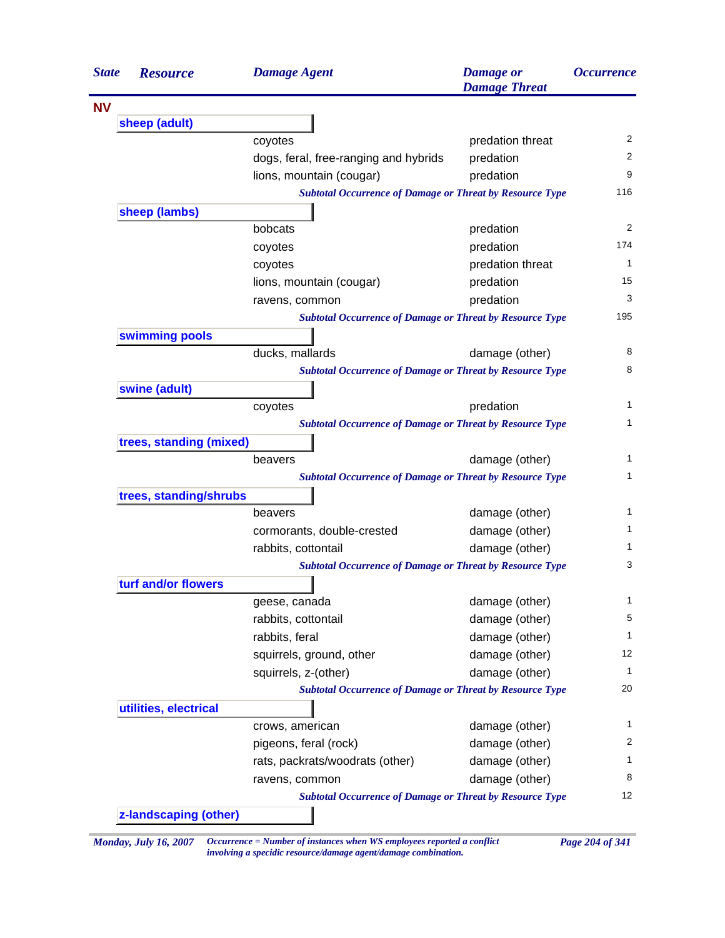| <b>State</b> | <b>Resource</b>         | <b>Damage Agent</b>                                             | <b>Damage</b> or<br><b>Damage Threat</b> | <i><b>Occurrence</b></i> |
|--------------|-------------------------|-----------------------------------------------------------------|------------------------------------------|--------------------------|
| <b>NV</b>    |                         |                                                                 |                                          |                          |
|              | sheep (adult)           |                                                                 |                                          |                          |
|              |                         | coyotes                                                         | predation threat                         | 2                        |
|              |                         | dogs, feral, free-ranging and hybrids                           | predation                                | 2                        |
|              |                         | lions, mountain (cougar)                                        | predation                                | 9                        |
|              |                         | <b>Subtotal Occurrence of Damage or Threat by Resource Type</b> |                                          | 116                      |
|              | sheep (lambs)           |                                                                 |                                          | 2                        |
|              |                         | bobcats                                                         | predation                                | 174                      |
|              |                         | coyotes                                                         | predation                                | 1                        |
|              |                         | coyotes                                                         | predation threat                         |                          |
|              |                         | lions, mountain (cougar)                                        | predation                                | 15                       |
|              |                         | ravens, common                                                  | predation                                | 3                        |
|              |                         | <b>Subtotal Occurrence of Damage or Threat by Resource Type</b> |                                          | 195                      |
|              | swimming pools          | ducks, mallards                                                 | damage (other)                           | 8                        |
|              |                         | <b>Subtotal Occurrence of Damage or Threat by Resource Type</b> |                                          | 8                        |
|              | swine (adult)           |                                                                 |                                          |                          |
|              |                         | coyotes                                                         | predation                                | 1                        |
|              |                         | <b>Subtotal Occurrence of Damage or Threat by Resource Type</b> |                                          | 1                        |
|              | trees, standing (mixed) |                                                                 |                                          |                          |
|              |                         | beavers                                                         | damage (other)                           | 1                        |
|              |                         | <b>Subtotal Occurrence of Damage or Threat by Resource Type</b> |                                          | 1                        |
|              | trees, standing/shrubs  |                                                                 |                                          |                          |
|              |                         | beavers                                                         | damage (other)                           | 1                        |
|              |                         | cormorants, double-crested                                      | damage (other)                           | 1                        |
|              |                         | rabbits, cottontail                                             | damage (other)                           | 1                        |
|              |                         | <b>Subtotal Occurrence of Damage or Threat by Resource Type</b> |                                          | 3                        |
|              | turf and/or flowers     |                                                                 |                                          |                          |
|              |                         | geese, canada                                                   | damage (other)                           | 1                        |
|              |                         | rabbits, cottontail                                             | damage (other)                           | 5                        |
|              |                         | rabbits, feral                                                  | damage (other)                           | $\mathbf{1}$             |
|              |                         | squirrels, ground, other                                        | damage (other)                           | 12                       |
|              |                         | squirrels, z-(other)                                            | damage (other)                           | 1                        |
|              |                         | <b>Subtotal Occurrence of Damage or Threat by Resource Type</b> |                                          | 20                       |
|              | utilities, electrical   |                                                                 |                                          |                          |
|              |                         | crows, american                                                 | damage (other)                           | $\mathbf{1}$             |
|              |                         | pigeons, feral (rock)                                           | damage (other)                           | 2                        |
|              |                         | rats, packrats/woodrats (other)                                 | damage (other)                           | 1                        |
|              |                         | ravens, common                                                  | damage (other)                           | 8                        |
|              |                         | <b>Subtotal Occurrence of Damage or Threat by Resource Type</b> |                                          | 12                       |
|              | z-landscaping (other)   |                                                                 |                                          |                          |

*Monday, July 16, 2007 Occurrence = Number of instances when WS employees reported a conflict Page 204 of 341 involving a specidic resource/damage agent/damage combination.*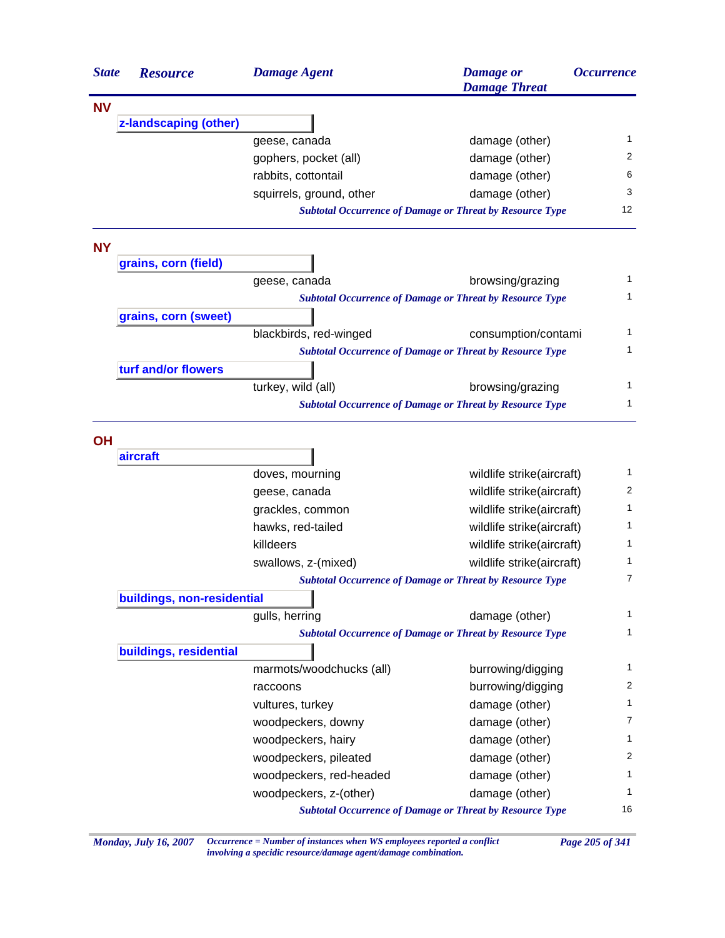| <b>State</b> | <b>Resource</b>            | <b>Damage Agent</b>                                             | <b>Damage</b> or<br><b>Damage Threat</b> | <i><b>Occurrence</b></i> |
|--------------|----------------------------|-----------------------------------------------------------------|------------------------------------------|--------------------------|
| <b>NV</b>    |                            |                                                                 |                                          |                          |
|              | z-landscaping (other)      |                                                                 |                                          |                          |
|              |                            | geese, canada                                                   | damage (other)                           | 1                        |
|              |                            | gophers, pocket (all)                                           | damage (other)                           | 2                        |
|              |                            | rabbits, cottontail                                             | damage (other)                           | 6                        |
|              |                            | squirrels, ground, other                                        | damage (other)                           | 3                        |
|              |                            | <b>Subtotal Occurrence of Damage or Threat by Resource Type</b> |                                          | 12                       |
| <b>NY</b>    |                            |                                                                 |                                          |                          |
|              | grains, corn (field)       |                                                                 |                                          |                          |
|              |                            | geese, canada                                                   | browsing/grazing                         | 1                        |
|              |                            | <b>Subtotal Occurrence of Damage or Threat by Resource Type</b> |                                          | 1                        |
|              | grains, corn (sweet)       |                                                                 |                                          |                          |
|              |                            | blackbirds, red-winged                                          | consumption/contami                      | 1                        |
|              |                            | <b>Subtotal Occurrence of Damage or Threat by Resource Type</b> |                                          | 1                        |
|              | turf and/or flowers        |                                                                 |                                          |                          |
|              |                            | turkey, wild (all)                                              | browsing/grazing                         | 1                        |
|              |                            | <b>Subtotal Occurrence of Damage or Threat by Resource Type</b> |                                          | 1                        |
|              |                            |                                                                 |                                          |                          |
| <b>OH</b>    |                            |                                                                 |                                          |                          |
|              | aircraft                   |                                                                 |                                          | 1                        |
|              |                            | doves, mourning                                                 | wildlife strike(aircraft)                |                          |
|              |                            | geese, canada                                                   | wildlife strike(aircraft)                | 2                        |
|              |                            | grackles, common                                                | wildlife strike(aircraft)                | 1                        |
|              |                            | hawks, red-tailed                                               | wildlife strike(aircraft)                | 1                        |
|              |                            | killdeers                                                       | wildlife strike(aircraft)                | 1                        |
|              |                            | swallows, z-(mixed)                                             | wildlife strike(aircraft)                | 1                        |
|              |                            | <b>Subtotal Occurrence of Damage or Threat by Resource Type</b> |                                          | 7                        |
|              | buildings, non-residential |                                                                 |                                          |                          |
|              |                            | gulls, herring                                                  | damage (other)                           | 1                        |
|              |                            | <b>Subtotal Occurrence of Damage or Threat by Resource Type</b> |                                          | 1                        |
|              | buildings, residential     |                                                                 |                                          |                          |
|              |                            | marmots/woodchucks (all)                                        | burrowing/digging                        | 1                        |
|              |                            | raccoons                                                        | burrowing/digging                        | 2                        |
|              |                            | vultures, turkey                                                | damage (other)                           | 1                        |
|              |                            | woodpeckers, downy                                              | damage (other)                           | 7                        |
|              |                            | woodpeckers, hairy                                              | damage (other)                           | 1                        |
|              |                            | woodpeckers, pileated                                           | damage (other)                           | 2                        |
|              |                            | woodpeckers, red-headed                                         | damage (other)                           | 1                        |
|              |                            | woodpeckers, z-(other)                                          | damage (other)                           | 1                        |
|              |                            | <b>Subtotal Occurrence of Damage or Threat by Resource Type</b> |                                          | 16                       |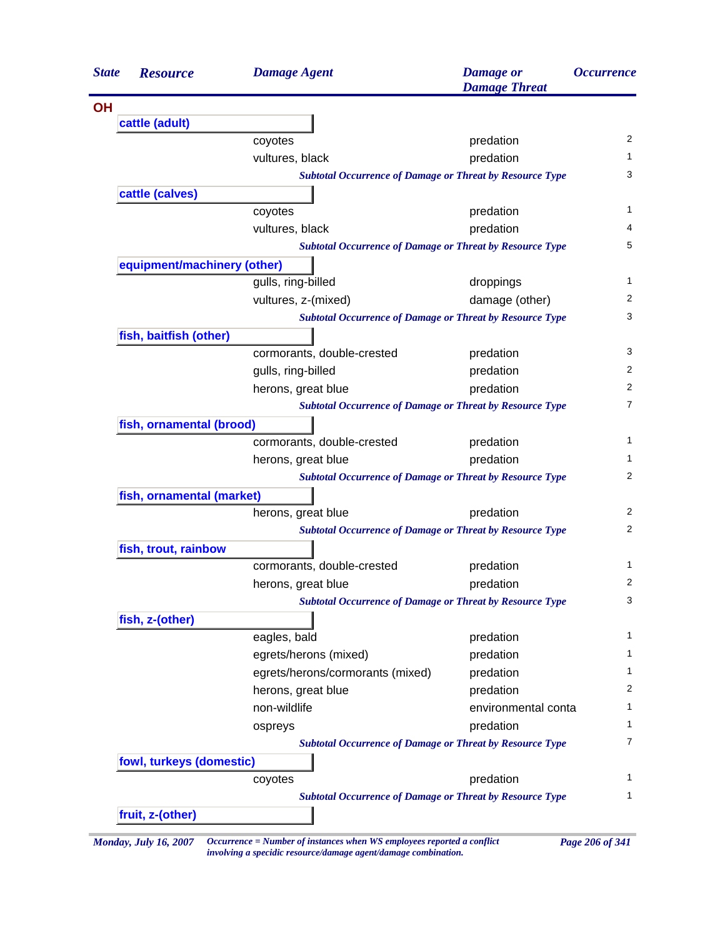| <b>State</b> | <b>Resource</b>             | <b>Damage Agent</b>                                             | <b>Damage</b> or<br><b>Damage Threat</b> | <i><b>Occurrence</b></i> |  |  |  |  |
|--------------|-----------------------------|-----------------------------------------------------------------|------------------------------------------|--------------------------|--|--|--|--|
| <b>OH</b>    |                             |                                                                 |                                          |                          |  |  |  |  |
|              | cattle (adult)              |                                                                 |                                          |                          |  |  |  |  |
|              |                             | coyotes                                                         | predation                                |                          |  |  |  |  |
|              |                             | vultures, black                                                 | predation                                |                          |  |  |  |  |
|              |                             | <b>Subtotal Occurrence of Damage or Threat by Resource Type</b> |                                          |                          |  |  |  |  |
|              | cattle (calves)             |                                                                 |                                          |                          |  |  |  |  |
|              |                             | coyotes                                                         | predation                                |                          |  |  |  |  |
|              |                             | vultures, black                                                 | predation                                |                          |  |  |  |  |
|              |                             | <b>Subtotal Occurrence of Damage or Threat by Resource Type</b> |                                          |                          |  |  |  |  |
|              | equipment/machinery (other) |                                                                 |                                          |                          |  |  |  |  |
|              |                             | gulls, ring-billed                                              | droppings                                |                          |  |  |  |  |
|              |                             | vultures, z-(mixed)                                             | damage (other)                           |                          |  |  |  |  |
|              |                             | <b>Subtotal Occurrence of Damage or Threat by Resource Type</b> |                                          |                          |  |  |  |  |
|              | fish, baitfish (other)      |                                                                 |                                          |                          |  |  |  |  |
|              |                             | cormorants, double-crested                                      | predation                                |                          |  |  |  |  |
|              |                             | gulls, ring-billed                                              | predation                                |                          |  |  |  |  |
|              |                             | herons, great blue                                              | predation                                |                          |  |  |  |  |
|              |                             | <b>Subtotal Occurrence of Damage or Threat by Resource Type</b> |                                          |                          |  |  |  |  |
|              | fish, ornamental (brood)    |                                                                 |                                          | 2<br>7<br>$\mathbf{1}$   |  |  |  |  |
|              |                             | cormorants, double-crested                                      | predation                                |                          |  |  |  |  |
|              |                             | herons, great blue                                              | predation                                |                          |  |  |  |  |
|              |                             | <b>Subtotal Occurrence of Damage or Threat by Resource Type</b> |                                          |                          |  |  |  |  |
|              | fish, ornamental (market)   |                                                                 |                                          |                          |  |  |  |  |
|              |                             | herons, great blue                                              | predation                                |                          |  |  |  |  |
|              |                             | <b>Subtotal Occurrence of Damage or Threat by Resource Type</b> |                                          |                          |  |  |  |  |
|              | fish, trout, rainbow        |                                                                 |                                          |                          |  |  |  |  |
|              |                             | cormorants, double-crested                                      | predation                                |                          |  |  |  |  |
|              |                             | herons, great blue                                              | predation                                |                          |  |  |  |  |
|              |                             | <b>Subtotal Occurrence of Damage or Threat by Resource Type</b> |                                          |                          |  |  |  |  |
|              | fish, z-(other)             |                                                                 |                                          |                          |  |  |  |  |
|              |                             | eagles, bald                                                    | predation                                |                          |  |  |  |  |
|              |                             | egrets/herons (mixed)                                           | predation                                |                          |  |  |  |  |
|              |                             | egrets/herons/cormorants (mixed)                                | predation                                |                          |  |  |  |  |
|              |                             | herons, great blue                                              | predation                                |                          |  |  |  |  |
|              |                             | non-wildlife                                                    | environmental conta                      |                          |  |  |  |  |
|              |                             | ospreys                                                         | predation                                |                          |  |  |  |  |
|              |                             | <b>Subtotal Occurrence of Damage or Threat by Resource Type</b> |                                          |                          |  |  |  |  |
|              | fowl, turkeys (domestic)    |                                                                 |                                          |                          |  |  |  |  |
|              |                             | coyotes                                                         | predation                                |                          |  |  |  |  |
|              |                             | <b>Subtotal Occurrence of Damage or Threat by Resource Type</b> |                                          |                          |  |  |  |  |
|              | fruit, z-(other)            |                                                                 |                                          |                          |  |  |  |  |

*Monday, July 16, 2007 Occurrence = Number of instances when WS employees reported a conflict Page 206 of 341 involving a specidic resource/damage agent/damage combination.*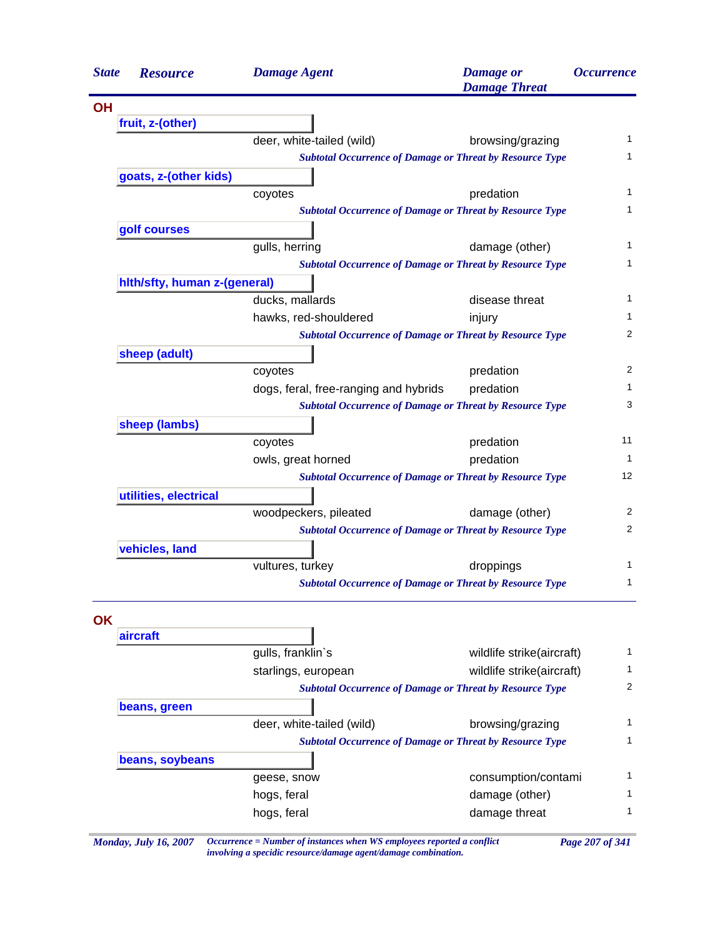| <b>State</b> | <b>Resource</b>              | <b>Damage Agent</b>                                                    | <b>Damage</b> or<br><b>Damage Threat</b> | <i><b>Occurrence</b></i> |
|--------------|------------------------------|------------------------------------------------------------------------|------------------------------------------|--------------------------|
| <b>OH</b>    |                              |                                                                        |                                          |                          |
|              | fruit, z-(other)             |                                                                        |                                          |                          |
|              |                              | deer, white-tailed (wild)                                              | browsing/grazing                         | 1                        |
|              |                              | <b>Subtotal Occurrence of Damage or Threat by Resource Type</b>        |                                          | 1                        |
|              | goats, z-(other kids)        |                                                                        |                                          |                          |
|              |                              | coyotes                                                                | predation                                | 1                        |
|              |                              | <b>Subtotal Occurrence of Damage or Threat by Resource Type</b>        |                                          | 1                        |
|              | golf courses                 |                                                                        |                                          |                          |
|              |                              | gulls, herring                                                         | damage (other)                           | 1                        |
|              |                              | <b>Subtotal Occurrence of Damage or Threat by Resource Type</b>        |                                          | 1                        |
|              | hith/sfty, human z-(general) |                                                                        |                                          |                          |
|              |                              | ducks, mallards                                                        | disease threat                           | 1                        |
|              |                              | hawks, red-shouldered                                                  | injury                                   | 1                        |
|              |                              | <b>Subtotal Occurrence of Damage or Threat by Resource Type</b>        |                                          | 2                        |
|              | sheep (adult)                |                                                                        |                                          |                          |
|              |                              | coyotes                                                                | predation                                | 2                        |
|              |                              | dogs, feral, free-ranging and hybrids                                  | predation                                | 1                        |
|              |                              | <b>Subtotal Occurrence of Damage or Threat by Resource Type</b>        |                                          | 3                        |
|              | sheep (lambs)                |                                                                        |                                          |                          |
|              |                              | coyotes                                                                | predation                                | 11                       |
|              |                              | owls, great horned                                                     | predation                                | $\mathbf{1}$             |
|              |                              | <b>Subtotal Occurrence of Damage or Threat by Resource Type</b>        |                                          | 12                       |
|              | utilities, electrical        |                                                                        |                                          |                          |
|              |                              | woodpeckers, pileated                                                  | damage (other)                           | 2<br>2                   |
|              |                              | <b>Subtotal Occurrence of Damage or Threat by Resource Type</b>        |                                          |                          |
|              | vehicles, land               |                                                                        |                                          | 1                        |
|              |                              | vultures, turkey                                                       | droppings                                | 1                        |
|              |                              | <b>Subtotal Occurrence of Damage or Threat by Resource Type</b>        |                                          |                          |
|              |                              |                                                                        |                                          |                          |
| OK           | aircraft                     |                                                                        |                                          |                          |
|              |                              | gulls, franklin's                                                      | wildlife strike(aircraft)                | 1                        |
|              |                              | starlings, european                                                    | wildlife strike(aircraft)                | 1                        |
|              |                              | <b>Subtotal Occurrence of Damage or Threat by Resource Type</b>        |                                          | 2                        |
|              | beans, green                 |                                                                        |                                          |                          |
|              |                              | deer, white-tailed (wild)                                              | browsing/grazing                         | 1                        |
|              |                              | <b>Subtotal Occurrence of Damage or Threat by Resource Type</b>        |                                          | 1                        |
|              | beans, soybeans              |                                                                        |                                          |                          |
|              |                              | geese, snow                                                            | consumption/contami                      | 1                        |
|              |                              | hogs, feral                                                            | damage (other)                           | 1                        |
|              |                              | hogs, feral                                                            | damage threat                            | 1                        |
|              |                              |                                                                        |                                          |                          |
|              | <b>Monday, July 16, 2007</b> | Occurrence = Number of instances when WS employees reported a conflict |                                          | Page 207 of 341          |

*involving a specidic resource/damage agent/damage combination.*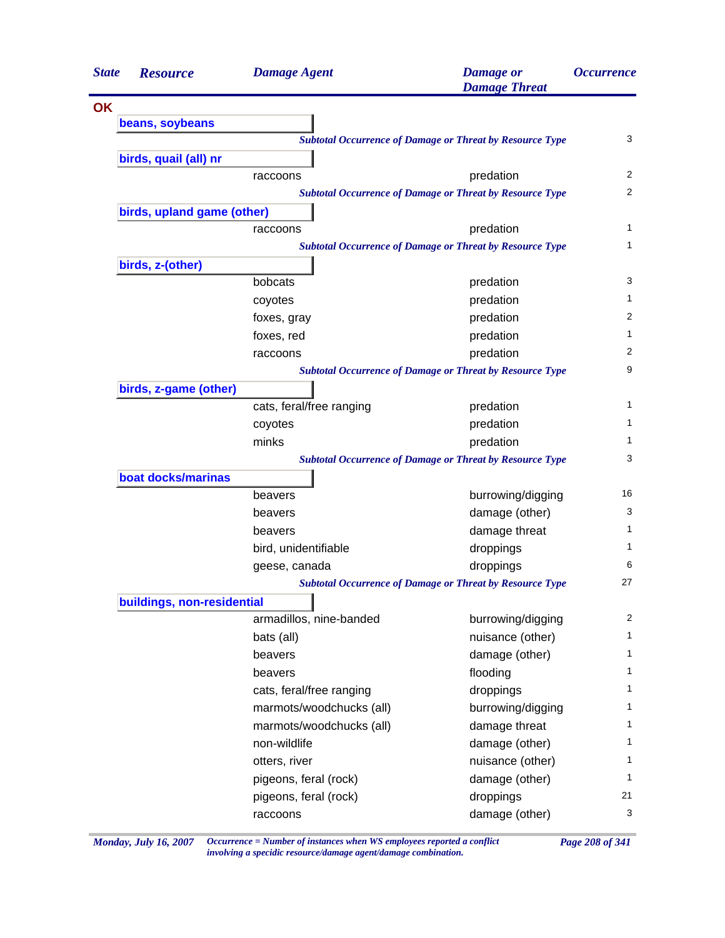| <b>State</b> | <b>Resource</b>            | <b>Damage Agent</b>      | <b>Damage</b> or<br><b>Damage Threat</b>                        | <i><b>Occurrence</b></i> |
|--------------|----------------------------|--------------------------|-----------------------------------------------------------------|--------------------------|
| <b>OK</b>    |                            |                          |                                                                 |                          |
|              | beans, soybeans            |                          |                                                                 |                          |
|              |                            |                          | <b>Subtotal Occurrence of Damage or Threat by Resource Type</b> | 3                        |
|              | birds, quail (all) nr      |                          |                                                                 |                          |
|              |                            | raccoons                 | predation                                                       | 2                        |
|              |                            |                          | <b>Subtotal Occurrence of Damage or Threat by Resource Type</b> | 2                        |
|              | birds, upland game (other) |                          |                                                                 |                          |
|              |                            | raccoons                 | predation                                                       | 1                        |
|              |                            |                          | <b>Subtotal Occurrence of Damage or Threat by Resource Type</b> | $\mathbf{1}$             |
|              | birds, z-(other)           |                          |                                                                 |                          |
|              |                            | bobcats                  | predation                                                       | 3                        |
|              |                            | coyotes                  | predation                                                       | 1                        |
|              |                            | foxes, gray              | predation                                                       | 2                        |
|              |                            | foxes, red               | predation                                                       | 1                        |
|              |                            | raccoons                 | predation                                                       | 2                        |
|              |                            |                          | <b>Subtotal Occurrence of Damage or Threat by Resource Type</b> | 9                        |
|              | birds, z-game (other)      |                          |                                                                 |                          |
|              |                            | cats, feral/free ranging | predation                                                       | 1                        |
|              |                            | coyotes                  | predation                                                       | 1                        |
|              |                            | minks                    | predation                                                       | 1                        |
|              |                            |                          | <b>Subtotal Occurrence of Damage or Threat by Resource Type</b> | 3                        |
|              | boat docks/marinas         |                          |                                                                 |                          |
|              |                            | beavers                  | burrowing/digging                                               | 16                       |
|              |                            | beavers                  | damage (other)                                                  | 3                        |
|              |                            | beavers                  | damage threat                                                   | 1                        |
|              |                            | bird, unidentifiable     | droppings                                                       | 1                        |
|              |                            | geese, canada            | droppings                                                       | 6                        |
|              |                            |                          | <b>Subtotal Occurrence of Damage or Threat by Resource Type</b> | 27                       |
|              | buildings, non-residential |                          |                                                                 |                          |
|              |                            | armadillos, nine-banded  | burrowing/digging                                               | 2                        |
|              |                            |                          | nuisance (other)                                                | $\mathbf{1}$             |
|              |                            | bats (all)               |                                                                 | 1                        |
|              |                            | beavers                  | damage (other)                                                  |                          |
|              |                            | beavers                  | flooding                                                        | 1<br>1                   |
|              |                            | cats, feral/free ranging | droppings                                                       |                          |
|              |                            | marmots/woodchucks (all) | burrowing/digging                                               | 1                        |
|              |                            | marmots/woodchucks (all) | damage threat                                                   | 1                        |
|              |                            | non-wildlife             | damage (other)                                                  | 1                        |
|              |                            | otters, river            | nuisance (other)                                                | 1                        |
|              |                            | pigeons, feral (rock)    | damage (other)                                                  | 1                        |
|              |                            | pigeons, feral (rock)    | droppings                                                       | 21                       |
|              |                            | raccoons                 | damage (other)                                                  | 3                        |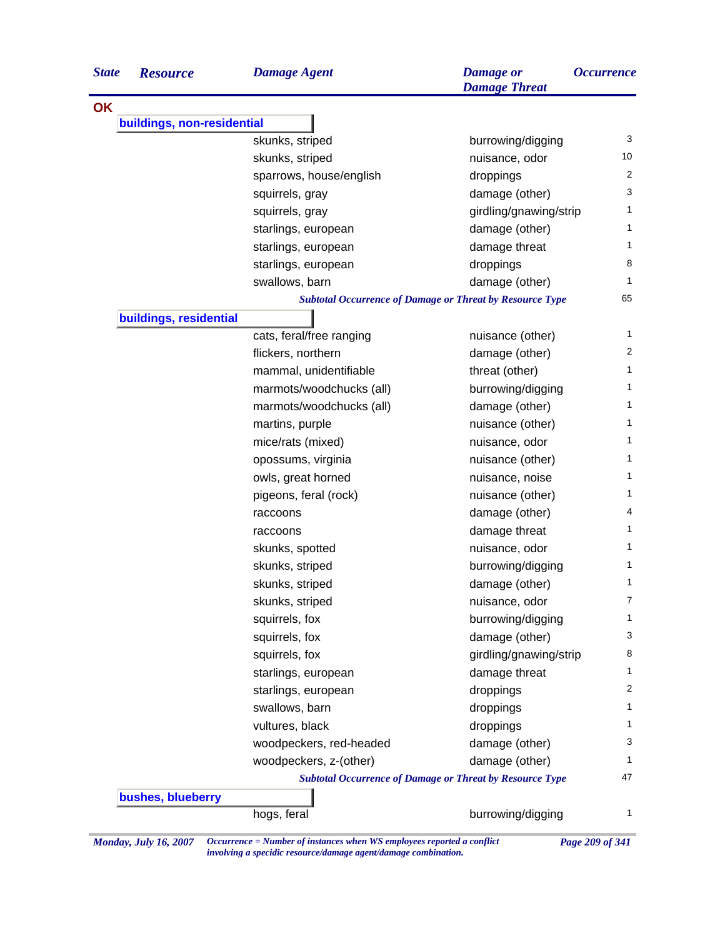| <b>State</b> | <b>Resource</b>            | <b>Damage Agent</b>                                             | <b>Damage</b> or<br><b>Damage Threat</b> | <i><b>Occurrence</b></i> |
|--------------|----------------------------|-----------------------------------------------------------------|------------------------------------------|--------------------------|
| <b>OK</b>    |                            |                                                                 |                                          |                          |
|              | buildings, non-residential |                                                                 |                                          |                          |
|              |                            | skunks, striped                                                 | burrowing/digging                        | 3                        |
|              |                            | skunks, striped                                                 | nuisance, odor                           | 10                       |
|              |                            | sparrows, house/english                                         | droppings                                | 2                        |
|              |                            | squirrels, gray                                                 | damage (other)                           | 3                        |
|              |                            | squirrels, gray                                                 | girdling/gnawing/strip                   | 1                        |
|              |                            | starlings, european                                             | damage (other)                           | $\mathbf{1}$             |
|              |                            | starlings, european                                             | damage threat                            | 1                        |
|              |                            | starlings, european                                             | droppings                                | 8                        |
|              |                            | swallows, barn                                                  | damage (other)                           | 1                        |
|              |                            | <b>Subtotal Occurrence of Damage or Threat by Resource Type</b> |                                          | 65                       |
|              | buildings, residential     |                                                                 |                                          |                          |
|              |                            | cats, feral/free ranging                                        | nuisance (other)                         | 1                        |
|              |                            | flickers, northern                                              | damage (other)                           | $\overline{2}$           |
|              |                            | mammal, unidentifiable                                          | threat (other)                           | 1                        |
|              |                            | marmots/woodchucks (all)                                        | burrowing/digging                        | 1                        |
|              |                            | marmots/woodchucks (all)                                        | damage (other)                           | 1                        |
|              |                            | martins, purple                                                 | nuisance (other)                         | 1                        |
|              |                            | mice/rats (mixed)                                               | nuisance, odor                           | 1                        |
|              |                            | opossums, virginia                                              | nuisance (other)                         | 1                        |
|              |                            | owls, great horned                                              | nuisance, noise                          | 1                        |
|              |                            | pigeons, feral (rock)                                           | nuisance (other)                         | 1                        |
|              |                            | raccoons                                                        | damage (other)                           | 4                        |
|              |                            | raccoons                                                        | damage threat                            | 1                        |
|              |                            | skunks, spotted                                                 | nuisance, odor                           | 1                        |
|              |                            | skunks, striped                                                 | burrowing/digging                        | 1                        |
|              |                            | skunks, striped                                                 | damage (other)                           | 1                        |
|              |                            | skunks, striped                                                 | nuisance, odor                           | 7                        |
|              |                            | squirrels, fox                                                  | burrowing/digging                        | $\mathbf{1}$             |
|              |                            | squirrels, fox                                                  | damage (other)                           | 3                        |
|              |                            | squirrels, fox                                                  | girdling/gnawing/strip                   | 8                        |
|              |                            | starlings, european                                             | damage threat                            | 1                        |
|              |                            | starlings, european                                             | droppings                                | 2                        |
|              |                            | swallows, barn                                                  | droppings                                | 1                        |
|              |                            | vultures, black                                                 | droppings                                | 1                        |
|              |                            | woodpeckers, red-headed                                         | damage (other)                           | 3                        |
|              |                            | woodpeckers, z-(other)                                          | damage (other)                           | 1                        |
|              |                            | <b>Subtotal Occurrence of Damage or Threat by Resource Type</b> |                                          | 47                       |
|              | bushes, blueberry          |                                                                 |                                          |                          |
|              |                            | hogs, feral                                                     | burrowing/digging                        | $\mathbf{1}$             |

*Monday, July 16, 2007 Occurrence = Number of instances when WS employees reported a conflict Page 209 of 341 involving a specidic resource/damage agent/damage combination.*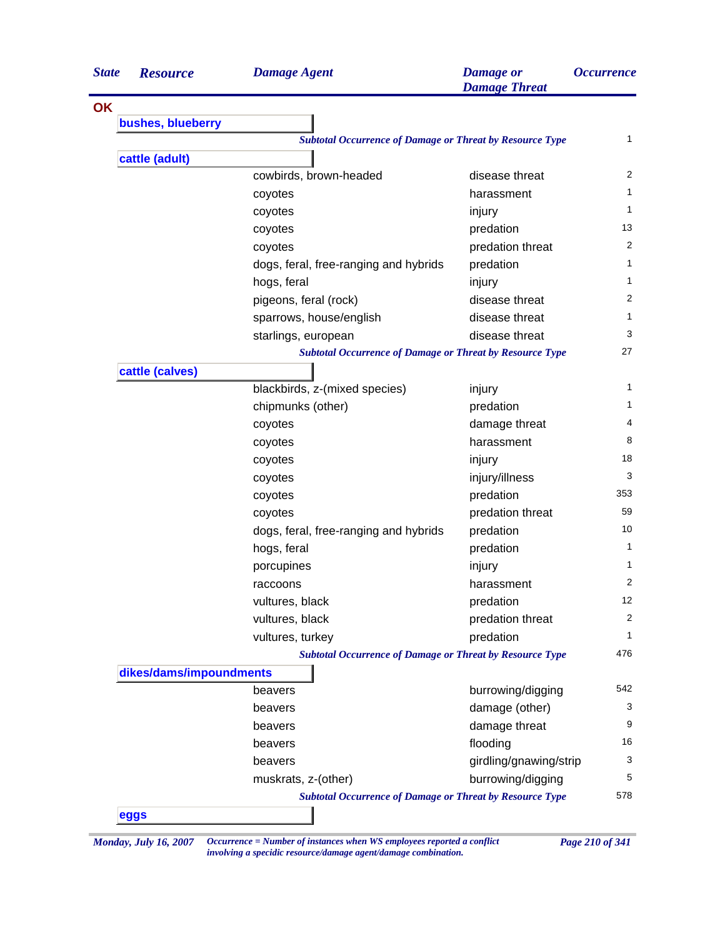| <b>State</b> | <b>Resource</b>         | <b>Damage Agent</b>                                             | <b>Damage</b> or<br><b>Damage Threat</b> | <i><b>Occurrence</b></i> |
|--------------|-------------------------|-----------------------------------------------------------------|------------------------------------------|--------------------------|
| <b>OK</b>    |                         |                                                                 |                                          |                          |
|              | bushes, blueberry       |                                                                 |                                          |                          |
|              |                         | <b>Subtotal Occurrence of Damage or Threat by Resource Type</b> |                                          | 1                        |
|              | cattle (adult)          |                                                                 |                                          |                          |
|              |                         | cowbirds, brown-headed                                          | disease threat                           | 2                        |
|              |                         | coyotes                                                         | harassment                               | 1                        |
|              |                         | coyotes                                                         | injury                                   | $\mathbf{1}$             |
|              |                         | coyotes                                                         | predation                                | 13                       |
|              |                         | coyotes                                                         | predation threat                         | $\overline{2}$           |
|              |                         | dogs, feral, free-ranging and hybrids                           | predation                                | 1                        |
|              |                         | hogs, feral                                                     | injury                                   | 1                        |
|              |                         | pigeons, feral (rock)                                           | disease threat                           | 2                        |
|              |                         | sparrows, house/english                                         | disease threat                           | 1                        |
|              |                         | starlings, european                                             | disease threat                           | 3                        |
|              |                         | <b>Subtotal Occurrence of Damage or Threat by Resource Type</b> |                                          | 27                       |
|              | cattle (calves)         |                                                                 |                                          |                          |
|              |                         | blackbirds, z-(mixed species)                                   | injury                                   | 1                        |
|              |                         | chipmunks (other)                                               | predation                                | 1                        |
|              |                         | coyotes                                                         | damage threat                            | 4                        |
|              |                         | coyotes                                                         | harassment                               | 8                        |
|              |                         | coyotes                                                         | injury                                   | 18                       |
|              |                         | coyotes                                                         | injury/illness                           | 3                        |
|              |                         | coyotes                                                         | predation                                | 353                      |
|              |                         | coyotes                                                         | predation threat                         | 59                       |
|              |                         | dogs, feral, free-ranging and hybrids                           | predation                                | 10                       |
|              |                         | hogs, feral                                                     | predation                                | $\mathbf{1}$             |
|              |                         | porcupines                                                      | injury                                   | 1                        |
|              |                         | raccoons                                                        | harassment                               | 2                        |
|              |                         | vultures, black                                                 | predation                                | 12                       |
|              |                         | vultures, black                                                 | predation threat                         | 2                        |
|              |                         | vultures, turkey                                                | predation                                | 1                        |
|              |                         | <b>Subtotal Occurrence of Damage or Threat by Resource Type</b> |                                          | 476                      |
|              | dikes/dams/impoundments |                                                                 |                                          |                          |
|              |                         | beavers                                                         | burrowing/digging                        | 542                      |
|              |                         | beavers                                                         | damage (other)                           | 3                        |
|              |                         | beavers                                                         | damage threat                            | 9                        |
|              |                         | beavers                                                         | flooding                                 | 16                       |
|              |                         | beavers                                                         | girdling/gnawing/strip                   | 3                        |
|              |                         | muskrats, z-(other)                                             | burrowing/digging                        | 5                        |
|              |                         | <b>Subtotal Occurrence of Damage or Threat by Resource Type</b> |                                          | 578                      |
|              | eggs                    |                                                                 |                                          |                          |

*Monday, July 16, 2007 Occurrence = Number of instances when WS employees reported a conflict Page 210 of 341 involving a specidic resource/damage agent/damage combination.*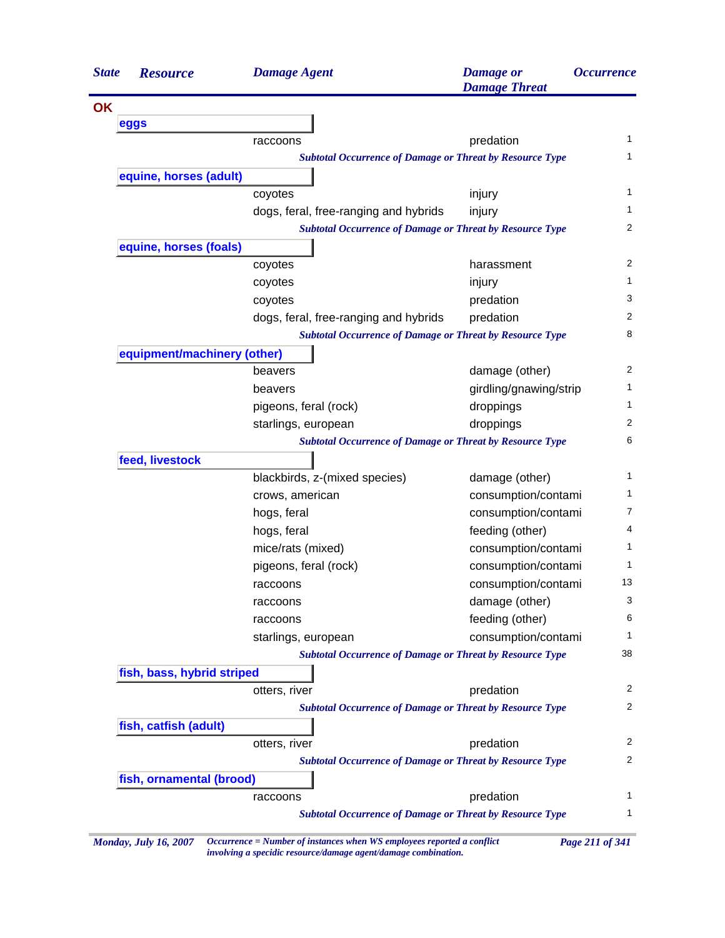| <b>State</b> | <b>Resource</b>             | <b>Damage Agent</b>                                             | <b>Damage</b> or<br><b>Damage Threat</b> | <i><b>Occurrence</b></i> |
|--------------|-----------------------------|-----------------------------------------------------------------|------------------------------------------|--------------------------|
| <b>OK</b>    |                             |                                                                 |                                          |                          |
|              | eggs                        |                                                                 |                                          |                          |
|              |                             | raccoons                                                        | predation                                | 1                        |
|              |                             | <b>Subtotal Occurrence of Damage or Threat by Resource Type</b> |                                          | 1                        |
|              | equine, horses (adult)      |                                                                 |                                          |                          |
|              |                             | coyotes                                                         | injury                                   | 1                        |
|              |                             | dogs, feral, free-ranging and hybrids                           | injury                                   | 1                        |
|              |                             | <b>Subtotal Occurrence of Damage or Threat by Resource Type</b> |                                          | 2                        |
|              | equine, horses (foals)      |                                                                 |                                          |                          |
|              |                             | coyotes                                                         | harassment                               | 2                        |
|              |                             | coyotes                                                         | injury                                   | 1                        |
|              |                             | coyotes                                                         | predation                                | 3                        |
|              |                             | dogs, feral, free-ranging and hybrids                           | predation                                | 2                        |
|              |                             | <b>Subtotal Occurrence of Damage or Threat by Resource Type</b> |                                          | 8                        |
|              | equipment/machinery (other) |                                                                 |                                          |                          |
|              |                             | beavers                                                         | damage (other)                           | 2                        |
|              |                             | beavers                                                         | girdling/gnawing/strip                   | 1                        |
|              |                             | pigeons, feral (rock)                                           | droppings                                | 1                        |
|              |                             | starlings, european                                             | droppings                                | 2                        |
|              |                             | <b>Subtotal Occurrence of Damage or Threat by Resource Type</b> |                                          | 6                        |
|              | feed, livestock             |                                                                 |                                          |                          |
|              |                             | blackbirds, z-(mixed species)                                   | damage (other)                           | 1                        |
|              |                             | crows, american                                                 | consumption/contami                      | 1                        |
|              |                             | hogs, feral                                                     | consumption/contami                      | 7                        |
|              |                             | hogs, feral                                                     | feeding (other)                          | 4                        |
|              |                             | mice/rats (mixed)                                               | consumption/contami                      | 1                        |
|              |                             | pigeons, feral (rock)                                           | consumption/contami                      | 1                        |
|              |                             | raccoons                                                        | consumption/contami                      | 13                       |
|              |                             | raccoons                                                        | damage (other)                           | 3                        |
|              |                             | raccoons                                                        | feeding (other)                          | 6                        |
|              |                             | starlings, european                                             | consumption/contami                      | 1                        |
|              |                             | <b>Subtotal Occurrence of Damage or Threat by Resource Type</b> |                                          | 38                       |
|              | fish, bass, hybrid striped  |                                                                 |                                          |                          |
|              |                             | otters, river                                                   | predation                                | 2                        |
|              |                             | <b>Subtotal Occurrence of Damage or Threat by Resource Type</b> |                                          | 2                        |
|              | fish, catfish (adult)       |                                                                 |                                          |                          |
|              |                             | otters, river                                                   | predation                                | 2                        |
|              |                             | <b>Subtotal Occurrence of Damage or Threat by Resource Type</b> |                                          | $\overline{2}$           |
|              | fish, ornamental (brood)    |                                                                 |                                          |                          |
|              |                             | raccoons                                                        | predation                                | 1                        |
|              |                             | <b>Subtotal Occurrence of Damage or Threat by Resource Type</b> |                                          | 1                        |

*Monday, July 16, 2007 Occurrence = Number of instances when WS employees reported a conflict Page 211 of 341 involving a specidic resource/damage agent/damage combination.*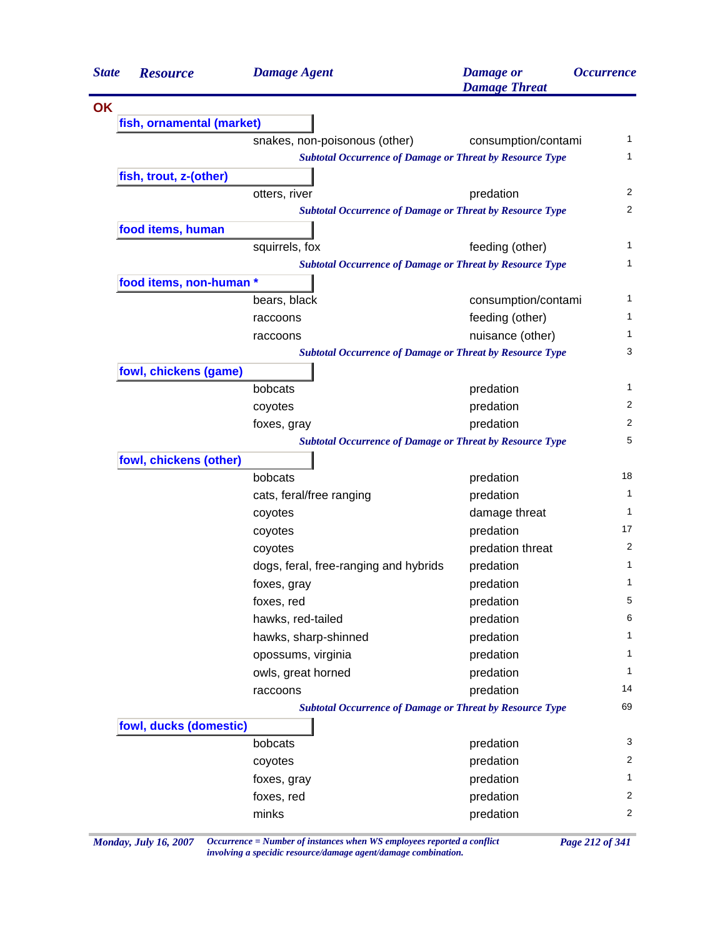| <b>State</b> | <b>Resource</b>           | <b>Damage Agent</b>                                             | <b>Damage</b> or<br><b>Damage Threat</b> | <i><b>Occurrence</b></i> |
|--------------|---------------------------|-----------------------------------------------------------------|------------------------------------------|--------------------------|
| <b>OK</b>    |                           |                                                                 |                                          |                          |
|              | fish, ornamental (market) |                                                                 |                                          |                          |
|              |                           | snakes, non-poisonous (other)                                   | consumption/contami                      | 1                        |
|              |                           | <b>Subtotal Occurrence of Damage or Threat by Resource Type</b> |                                          | 1                        |
|              | fish, trout, z-(other)    |                                                                 |                                          |                          |
|              |                           | otters, river                                                   | predation                                | 2                        |
|              |                           | <b>Subtotal Occurrence of Damage or Threat by Resource Type</b> |                                          | 2                        |
|              | food items, human         |                                                                 |                                          |                          |
|              |                           | squirrels, fox                                                  | feeding (other)                          | 1                        |
|              |                           | <b>Subtotal Occurrence of Damage or Threat by Resource Type</b> |                                          | 1                        |
|              | food items, non-human *   |                                                                 |                                          |                          |
|              |                           | bears, black                                                    | consumption/contami                      | 1                        |
|              |                           | raccoons                                                        | feeding (other)                          | 1                        |
|              |                           | raccoons                                                        | nuisance (other)                         | 1                        |
|              |                           | <b>Subtotal Occurrence of Damage or Threat by Resource Type</b> |                                          | 3                        |
|              | fowl, chickens (game)     |                                                                 |                                          |                          |
|              |                           | bobcats                                                         | predation                                | 1                        |
|              |                           | coyotes                                                         | predation                                | $\overline{2}$           |
|              |                           | foxes, gray                                                     | predation                                | 2                        |
|              |                           | <b>Subtotal Occurrence of Damage or Threat by Resource Type</b> |                                          | 5                        |
|              | fowl, chickens (other)    |                                                                 |                                          |                          |
|              |                           | bobcats                                                         | predation                                | 18                       |
|              |                           | cats, feral/free ranging                                        | predation                                | 1                        |
|              |                           | coyotes                                                         | damage threat                            | 1                        |
|              |                           | coyotes                                                         | predation                                | 17                       |
|              |                           | coyotes                                                         | predation threat                         | 2                        |
|              |                           | dogs, feral, free-ranging and hybrids                           | predation                                | 1                        |
|              |                           | foxes, gray                                                     | predation                                | 1                        |
|              |                           | foxes, red                                                      | predation                                | 5                        |
|              |                           | hawks, red-tailed                                               | predation                                | 6                        |
|              |                           | hawks, sharp-shinned                                            | predation                                | 1                        |
|              |                           | opossums, virginia                                              | predation                                | 1                        |
|              |                           | owls, great horned                                              | predation                                | 1                        |
|              |                           | raccoons                                                        | predation                                | 14                       |
|              |                           | <b>Subtotal Occurrence of Damage or Threat by Resource Type</b> |                                          | 69                       |
|              | fowl, ducks (domestic)    |                                                                 |                                          |                          |
|              |                           | bobcats                                                         | predation                                | 3                        |
|              |                           | coyotes                                                         | predation                                | 2                        |
|              |                           | foxes, gray                                                     | predation                                | 1                        |
|              |                           | foxes, red                                                      | predation                                | 2                        |
|              |                           | minks                                                           | predation                                | 2                        |

*Monday, July 16, 2007 Occurrence = Number of instances when WS employees reported a conflict Page 212 of 341 involving a specidic resource/damage agent/damage combination.*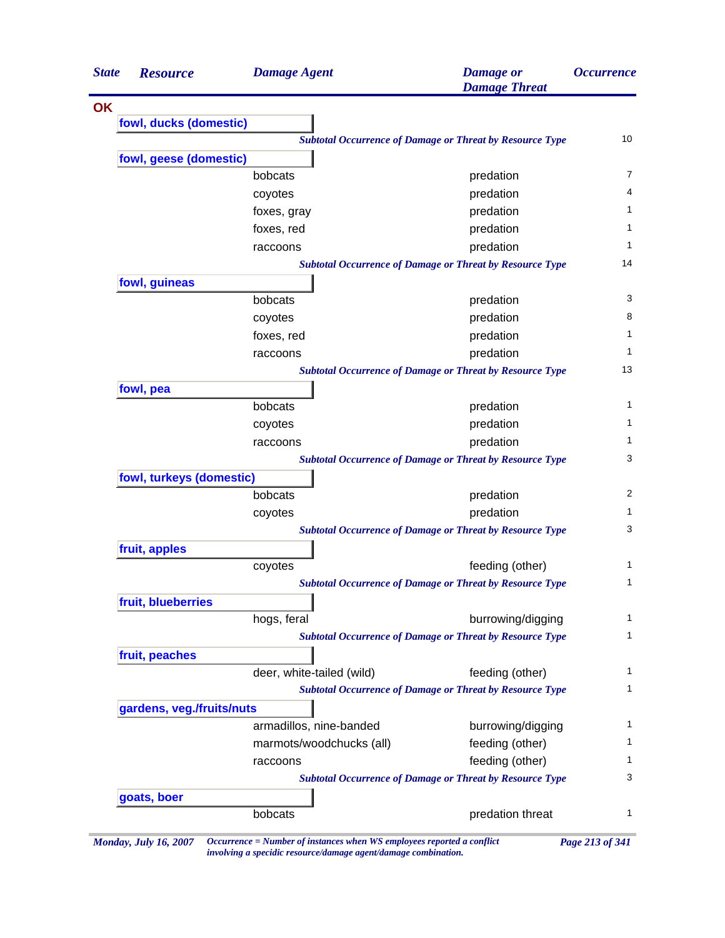| <b>State</b> | <b>Resource</b>           | <b>Damage Agent</b>       | <b>Damage</b> or<br><b>Damage Threat</b>                        | <i><b>Occurrence</b></i> |
|--------------|---------------------------|---------------------------|-----------------------------------------------------------------|--------------------------|
| OK           |                           |                           |                                                                 |                          |
|              | fowl, ducks (domestic)    |                           |                                                                 |                          |
|              |                           |                           | <b>Subtotal Occurrence of Damage or Threat by Resource Type</b> | 10                       |
|              | fowl, geese (domestic)    |                           |                                                                 |                          |
|              |                           | bobcats                   | predation                                                       | $\overline{7}$           |
|              |                           | coyotes                   | predation                                                       | 4                        |
|              |                           | foxes, gray               | predation                                                       | 1                        |
|              |                           | foxes, red                | predation                                                       | 1                        |
|              |                           | raccoons                  | predation                                                       | 1                        |
|              |                           |                           | <b>Subtotal Occurrence of Damage or Threat by Resource Type</b> | 14                       |
|              | fowl, guineas             |                           |                                                                 |                          |
|              |                           | bobcats                   | predation                                                       | 3                        |
|              |                           | coyotes                   | predation                                                       | 8                        |
|              |                           | foxes, red                | predation                                                       | $\mathbf{1}$             |
|              |                           | raccoons                  | predation                                                       | 1                        |
|              |                           |                           | <b>Subtotal Occurrence of Damage or Threat by Resource Type</b> | 13                       |
|              | fowl, pea                 |                           |                                                                 |                          |
|              |                           | bobcats                   | predation                                                       | $\mathbf{1}$             |
|              |                           | coyotes                   | predation                                                       | $\mathbf 1$              |
|              |                           | raccoons                  | predation                                                       | 1                        |
|              |                           |                           | <b>Subtotal Occurrence of Damage or Threat by Resource Type</b> | 3                        |
|              | fowl, turkeys (domestic)  |                           |                                                                 |                          |
|              |                           | bobcats                   | predation                                                       | 2                        |
|              |                           | coyotes                   | predation                                                       | 1                        |
|              |                           |                           | <b>Subtotal Occurrence of Damage or Threat by Resource Type</b> | 3                        |
|              | fruit, apples             |                           |                                                                 |                          |
|              |                           | coyotes                   | feeding (other)                                                 | $\mathbf{1}$             |
|              |                           |                           | <b>Subtotal Occurrence of Damage or Threat by Resource Type</b> | 1                        |
|              | fruit, blueberries        |                           |                                                                 |                          |
|              |                           | hogs, feral               | burrowing/digging                                               | $\mathbf 1$              |
|              |                           |                           | <b>Subtotal Occurrence of Damage or Threat by Resource Type</b> | $\mathbf{1}$             |
|              | fruit, peaches            |                           |                                                                 |                          |
|              |                           | deer, white-tailed (wild) | feeding (other)                                                 | $\mathbf{1}$             |
|              |                           |                           | <b>Subtotal Occurrence of Damage or Threat by Resource Type</b> | 1                        |
|              | gardens, veg./fruits/nuts |                           |                                                                 |                          |
|              |                           | armadillos, nine-banded   | burrowing/digging                                               | 1                        |
|              |                           | marmots/woodchucks (all)  | feeding (other)                                                 | $\mathbf{1}$             |
|              |                           | raccoons                  | feeding (other)                                                 | 1                        |
|              |                           |                           | <b>Subtotal Occurrence of Damage or Threat by Resource Type</b> | 3                        |
|              |                           |                           |                                                                 |                          |
|              | goats, boer               |                           |                                                                 |                          |

*Monday, July 16, 2007 Occurrence = Number of instances when WS employees reported a conflict Page 213 of 341 involving a specidic resource/damage agent/damage combination.*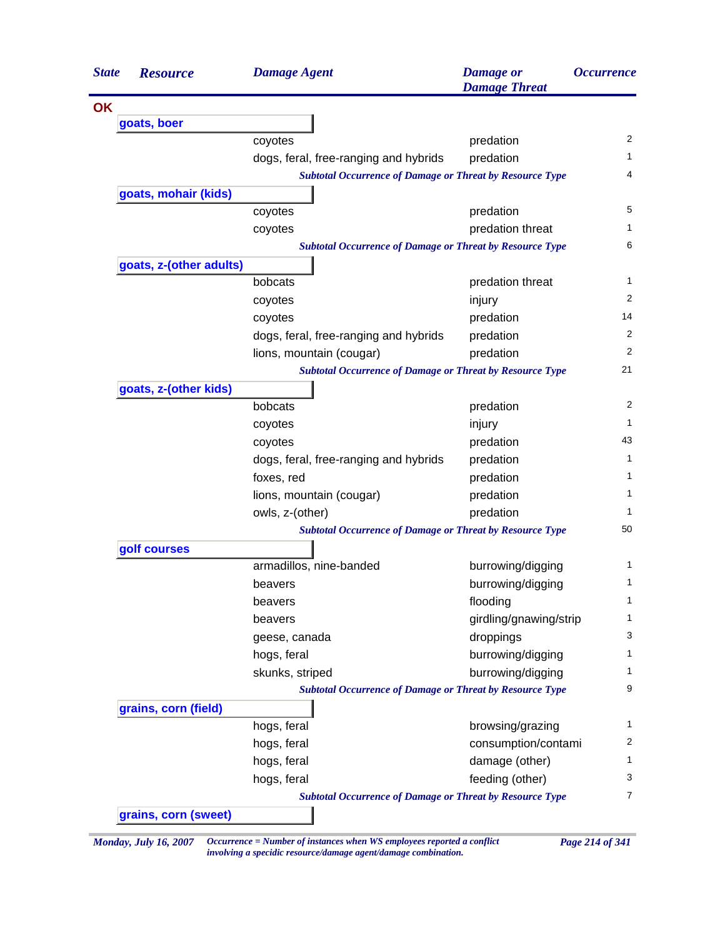| <b>State</b> | <b>Resource</b>         | <b>Damage Agent</b>                                             | <b>Damage</b> or<br><b>Damage Threat</b> | <i><b>Occurrence</b></i> |
|--------------|-------------------------|-----------------------------------------------------------------|------------------------------------------|--------------------------|
| <b>OK</b>    |                         |                                                                 |                                          |                          |
|              | goats, boer             |                                                                 |                                          |                          |
|              |                         | coyotes                                                         | predation                                | 2                        |
|              |                         | dogs, feral, free-ranging and hybrids                           | predation                                | 1.                       |
|              |                         | <b>Subtotal Occurrence of Damage or Threat by Resource Type</b> |                                          | 4                        |
|              | goats, mohair (kids)    |                                                                 |                                          |                          |
|              |                         | coyotes                                                         | predation                                | 5                        |
|              |                         | coyotes                                                         | predation threat                         | 1                        |
|              |                         | <b>Subtotal Occurrence of Damage or Threat by Resource Type</b> |                                          | 6                        |
|              | goats, z-(other adults) |                                                                 |                                          |                          |
|              |                         | bobcats                                                         | predation threat                         | 1                        |
|              |                         | coyotes                                                         | injury                                   | 2                        |
|              |                         | coyotes                                                         | predation                                | 14                       |
|              |                         | dogs, feral, free-ranging and hybrids                           | predation                                | 2                        |
|              |                         | lions, mountain (cougar)                                        | predation                                | 2                        |
|              |                         | <b>Subtotal Occurrence of Damage or Threat by Resource Type</b> |                                          | 21                       |
|              | goats, z-(other kids)   |                                                                 |                                          |                          |
|              |                         | bobcats                                                         | predation                                | 2                        |
|              |                         | coyotes                                                         | injury                                   | 1                        |
|              |                         | coyotes                                                         | predation                                | 43                       |
|              |                         | dogs, feral, free-ranging and hybrids                           | predation                                | 1                        |
|              |                         | foxes, red                                                      | predation                                | 1                        |
|              |                         | lions, mountain (cougar)                                        | predation                                | 1                        |
|              |                         | owls, z-(other)                                                 | predation                                | 1                        |
|              |                         | <b>Subtotal Occurrence of Damage or Threat by Resource Type</b> |                                          | 50                       |
|              | golf courses            |                                                                 |                                          |                          |
|              |                         | armadillos, nine-banded                                         | burrowing/digging                        | 1                        |
|              |                         | beavers                                                         | burrowing/digging                        | 1                        |
|              |                         | beavers                                                         | flooding                                 | 1                        |
|              |                         | beavers                                                         | girdling/gnawing/strip                   | 1                        |
|              |                         | geese, canada                                                   | droppings                                | 3                        |
|              |                         | hogs, feral                                                     | burrowing/digging                        | 1                        |
|              |                         | skunks, striped                                                 | burrowing/digging                        | 1                        |
|              |                         | <b>Subtotal Occurrence of Damage or Threat by Resource Type</b> |                                          | 9                        |
|              | grains, corn (field)    |                                                                 |                                          |                          |
|              |                         | hogs, feral                                                     | browsing/grazing                         | 1                        |
|              |                         | hogs, feral                                                     | consumption/contami                      | $\overline{2}$           |
|              |                         | hogs, feral                                                     | damage (other)                           | 1                        |
|              |                         | hogs, feral                                                     | feeding (other)                          | 3                        |
|              |                         | <b>Subtotal Occurrence of Damage or Threat by Resource Type</b> |                                          | 7                        |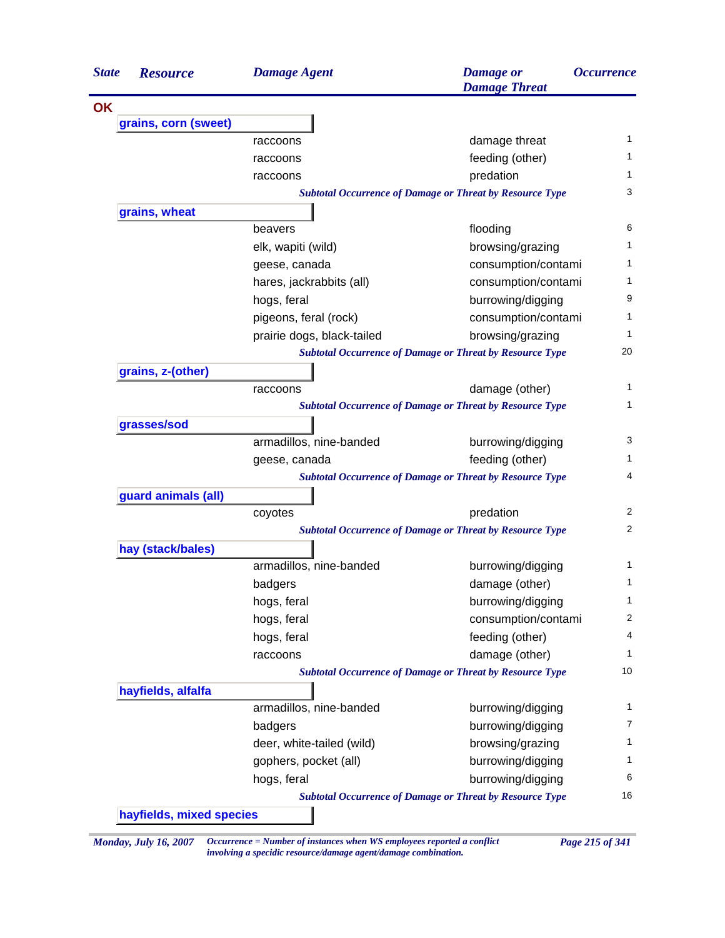| <b>State</b> | <b>Resource</b>      | <b>Damage Agent</b>        | <b>Damage</b> or<br><b>Damage Threat</b>                        | <i><b>Occurrence</b></i> |
|--------------|----------------------|----------------------------|-----------------------------------------------------------------|--------------------------|
| <b>OK</b>    |                      |                            |                                                                 |                          |
|              | grains, corn (sweet) |                            |                                                                 |                          |
|              |                      | raccoons                   | damage threat                                                   | 1                        |
|              |                      | raccoons                   | feeding (other)                                                 | 1                        |
|              |                      | raccoons                   | predation                                                       | 1                        |
|              |                      |                            | <b>Subtotal Occurrence of Damage or Threat by Resource Type</b> | 3                        |
|              | grains, wheat        |                            |                                                                 |                          |
|              |                      | beavers                    | flooding                                                        | 6                        |
|              |                      | elk, wapiti (wild)         | browsing/grazing                                                | 1                        |
|              |                      | geese, canada              | consumption/contami                                             | 1                        |
|              |                      | hares, jackrabbits (all)   | consumption/contami                                             | 1                        |
|              |                      | hogs, feral                | burrowing/digging                                               | 9                        |
|              |                      | pigeons, feral (rock)      | consumption/contami                                             | 1                        |
|              |                      | prairie dogs, black-tailed | browsing/grazing                                                | 1                        |
|              |                      |                            | <b>Subtotal Occurrence of Damage or Threat by Resource Type</b> | 20                       |
|              | grains, z-(other)    |                            |                                                                 |                          |
|              |                      | raccoons                   | damage (other)                                                  | 1                        |
|              |                      |                            | <b>Subtotal Occurrence of Damage or Threat by Resource Type</b> | 1                        |
|              | grasses/sod          |                            |                                                                 |                          |
|              |                      | armadillos, nine-banded    | burrowing/digging                                               | 3                        |
|              |                      | geese, canada              | feeding (other)                                                 | 1                        |
|              |                      |                            | <b>Subtotal Occurrence of Damage or Threat by Resource Type</b> | 4                        |
|              | guard animals (all)  |                            |                                                                 |                          |
|              |                      | coyotes                    | predation                                                       | 2                        |
|              |                      |                            | <b>Subtotal Occurrence of Damage or Threat by Resource Type</b> | 2                        |
|              | hay (stack/bales)    |                            |                                                                 |                          |
|              |                      | armadillos, nine-banded    | burrowing/digging                                               | 1                        |
|              |                      | badgers                    | damage (other)                                                  | 1                        |
|              |                      | hogs, feral                | burrowing/digging                                               | $\mathbf{1}$             |
|              |                      | hogs, feral                | consumption/contami                                             | 2                        |
|              |                      | hogs, feral                | feeding (other)                                                 | 4                        |
|              |                      | raccoons                   | damage (other)                                                  | 1                        |
|              |                      |                            | <b>Subtotal Occurrence of Damage or Threat by Resource Type</b> | 10                       |
|              | hayfields, alfalfa   |                            |                                                                 |                          |
|              |                      | armadillos, nine-banded    | burrowing/digging                                               | 1                        |
|              |                      | badgers                    | burrowing/digging                                               | 7                        |
|              |                      | deer, white-tailed (wild)  | browsing/grazing                                                | 1                        |
|              |                      | gophers, pocket (all)      | burrowing/digging                                               |                          |
|              |                      | hogs, feral                | burrowing/digging                                               | 6                        |
|              |                      |                            | <b>Subtotal Occurrence of Damage or Threat by Resource Type</b> | 16                       |

*Monday, July 16, 2007 Occurrence = Number of instances when WS employees reported a conflict Page 215 of 341 involving a specidic resource/damage agent/damage combination.*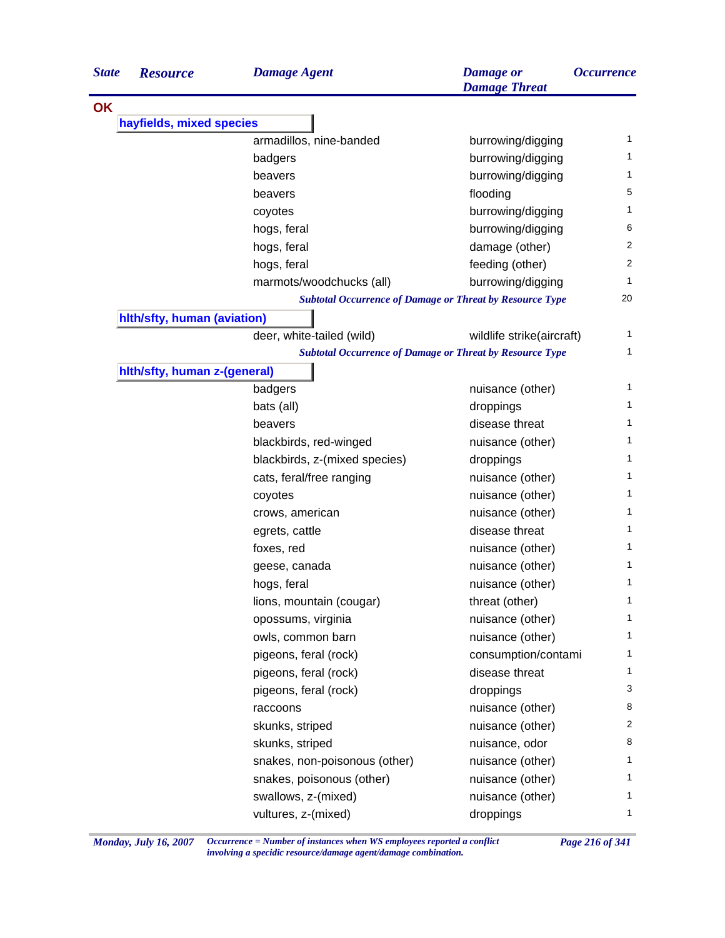| <i><b>Occurrence</b></i> |
|--------------------------|
|                          |
|                          |
| 1                        |
| 1                        |
| 1                        |
| 5                        |
| 1                        |
| 6                        |
| 2                        |
| 2                        |
| 1                        |
| 20                       |
|                          |
| 1                        |
| 1                        |
|                          |
| 1                        |
| 1                        |
| 1                        |
| 1                        |
| 1                        |
| 1                        |
| 1                        |
| 1                        |
| 1                        |
| 1                        |
| 1                        |
| 1                        |
| 1                        |
| 1                        |
| 1                        |
| 1                        |
| 1                        |
| 3                        |
| 8                        |
| $\overline{c}$           |
| 8                        |
| 1                        |
| 1                        |
| 1                        |
| 1                        |
|                          |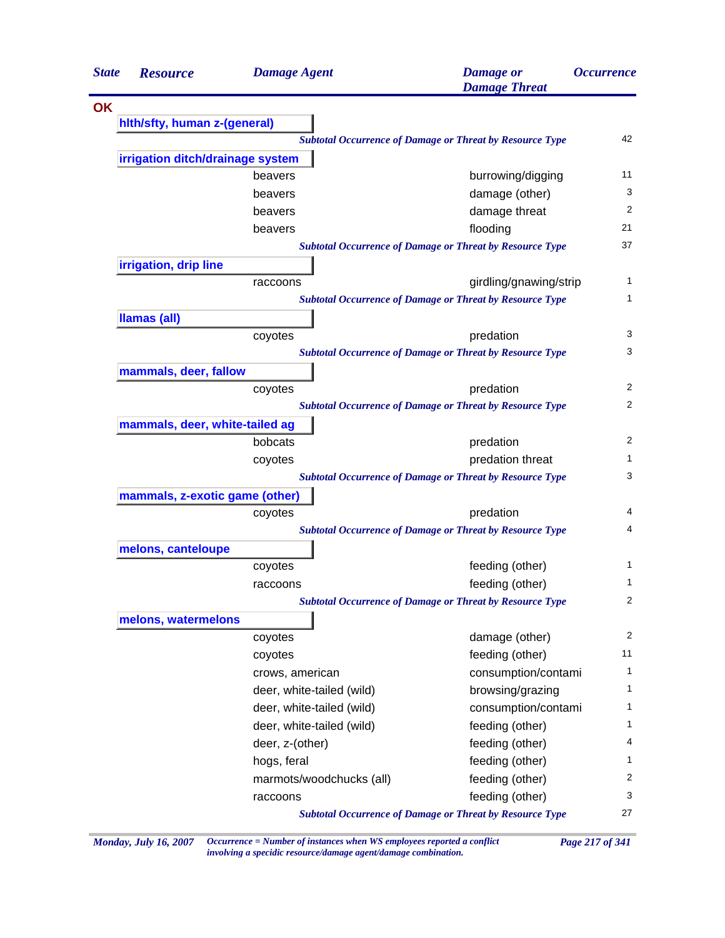| <b>State</b> | <b>Resource</b>                  | <b>Damage Agent</b>       | <b>Damage</b> or<br><b>Damage Threat</b>                        | <i><b>Occurrence</b></i> |
|--------------|----------------------------------|---------------------------|-----------------------------------------------------------------|--------------------------|
| OK           |                                  |                           |                                                                 |                          |
|              | hith/sfty, human z-(general)     |                           |                                                                 |                          |
|              |                                  |                           | <b>Subtotal Occurrence of Damage or Threat by Resource Type</b> | 42                       |
|              | irrigation ditch/drainage system |                           |                                                                 |                          |
|              |                                  | beavers                   | burrowing/digging                                               | 11                       |
|              |                                  | beavers                   | damage (other)                                                  | 3                        |
|              |                                  | beavers                   | damage threat                                                   | 2                        |
|              |                                  | beavers                   | flooding                                                        | 21                       |
|              |                                  |                           | <b>Subtotal Occurrence of Damage or Threat by Resource Type</b> | 37                       |
|              | irrigation, drip line            |                           |                                                                 |                          |
|              |                                  | raccoons                  | girdling/gnawing/strip                                          | 1                        |
|              |                                  |                           | <b>Subtotal Occurrence of Damage or Threat by Resource Type</b> | 1                        |
|              | <b>Ilamas (all)</b>              |                           |                                                                 |                          |
|              |                                  | coyotes                   | predation                                                       | 3                        |
|              |                                  |                           | <b>Subtotal Occurrence of Damage or Threat by Resource Type</b> | 3                        |
|              | mammals, deer, fallow            |                           |                                                                 |                          |
|              |                                  | coyotes                   | predation                                                       | $\overline{2}$           |
|              |                                  |                           | <b>Subtotal Occurrence of Damage or Threat by Resource Type</b> | 2                        |
|              | mammals, deer, white-tailed ag   |                           |                                                                 |                          |
|              |                                  | bobcats                   | predation                                                       | 2                        |
|              |                                  | coyotes                   | predation threat                                                | 1                        |
|              |                                  |                           | <b>Subtotal Occurrence of Damage or Threat by Resource Type</b> | 3                        |
|              | mammals, z-exotic game (other)   |                           |                                                                 |                          |
|              |                                  | coyotes                   | predation                                                       | 4                        |
|              |                                  |                           | <b>Subtotal Occurrence of Damage or Threat by Resource Type</b> | 4                        |
|              | melons, canteloupe               |                           |                                                                 |                          |
|              |                                  | coyotes                   | feeding (other)                                                 | 1                        |
|              |                                  | raccoons                  | feeding (other)                                                 | 1                        |
|              |                                  |                           | <b>Subtotal Occurrence of Damage or Threat by Resource Type</b> | 2                        |
|              | melons, watermelons              |                           |                                                                 |                          |
|              |                                  | coyotes                   | damage (other)                                                  | $\overline{2}$           |
|              |                                  | coyotes                   | feeding (other)                                                 | 11                       |
|              |                                  | crows, american           | consumption/contami                                             | 1                        |
|              |                                  | deer, white-tailed (wild) | browsing/grazing                                                | 1                        |
|              |                                  | deer, white-tailed (wild) | consumption/contami                                             | 1                        |
|              |                                  | deer, white-tailed (wild) | feeding (other)                                                 | 1                        |
|              |                                  | deer, z-(other)           | feeding (other)                                                 | 4                        |
|              |                                  | hogs, feral               | feeding (other)                                                 | 1                        |
|              |                                  | marmots/woodchucks (all)  | feeding (other)                                                 | 2                        |
|              |                                  | raccoons                  | feeding (other)                                                 | 3                        |
|              |                                  |                           | <b>Subtotal Occurrence of Damage or Threat by Resource Type</b> | 27                       |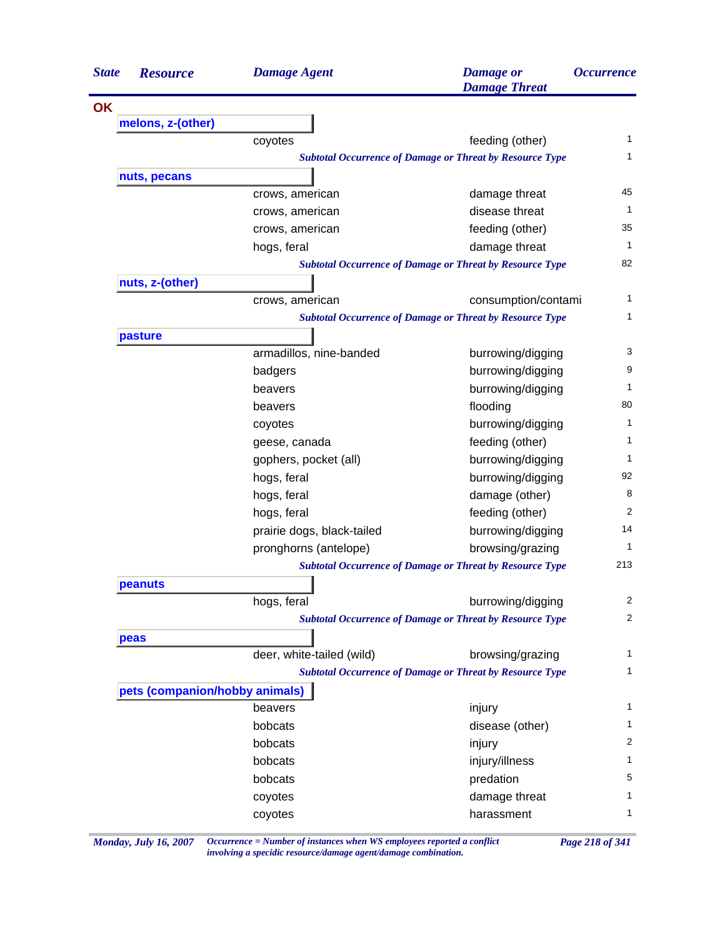| <b>State</b> | <b>Resource</b>                | <b>Damage Agent</b>        | <b>Damage</b> or<br><b>Damage Threat</b>                        | <i><b>Occurrence</b></i> |
|--------------|--------------------------------|----------------------------|-----------------------------------------------------------------|--------------------------|
| <b>OK</b>    |                                |                            |                                                                 |                          |
|              | melons, z-(other)              |                            |                                                                 |                          |
|              |                                | coyotes                    | feeding (other)                                                 | 1                        |
|              |                                |                            | <b>Subtotal Occurrence of Damage or Threat by Resource Type</b> | 1                        |
|              | nuts, pecans                   |                            |                                                                 |                          |
|              |                                | crows, american            | damage threat                                                   | 45                       |
|              |                                | crows, american            | disease threat                                                  | 1                        |
|              |                                | crows, american            | feeding (other)                                                 | 35                       |
|              |                                | hogs, feral                | damage threat                                                   | 1                        |
|              |                                |                            | <b>Subtotal Occurrence of Damage or Threat by Resource Type</b> | 82                       |
|              | nuts, z-(other)                |                            |                                                                 |                          |
|              |                                | crows, american            | consumption/contami                                             | 1                        |
|              |                                |                            | <b>Subtotal Occurrence of Damage or Threat by Resource Type</b> | 1                        |
|              | pasture                        |                            |                                                                 |                          |
|              |                                | armadillos, nine-banded    | burrowing/digging                                               | 3                        |
|              |                                | badgers                    | burrowing/digging                                               | 9                        |
|              |                                | beavers                    | burrowing/digging                                               | 1                        |
|              |                                | beavers                    | flooding                                                        | 80                       |
|              |                                | coyotes                    | burrowing/digging                                               | 1                        |
|              |                                | geese, canada              | feeding (other)                                                 | 1                        |
|              |                                | gophers, pocket (all)      | burrowing/digging                                               | 1                        |
|              |                                | hogs, feral                | burrowing/digging                                               | 92                       |
|              |                                | hogs, feral                | damage (other)                                                  | 8                        |
|              |                                | hogs, feral                | feeding (other)                                                 | 2                        |
|              |                                | prairie dogs, black-tailed | burrowing/digging                                               | 14                       |
|              |                                | pronghorns (antelope)      | browsing/grazing                                                | 1                        |
|              |                                |                            | <b>Subtotal Occurrence of Damage or Threat by Resource Type</b> | 213                      |
|              | peanuts                        |                            |                                                                 |                          |
|              |                                | hogs, feral                | burrowing/digging                                               | 2                        |
|              |                                |                            | <b>Subtotal Occurrence of Damage or Threat by Resource Type</b> | $\overline{c}$           |
|              | peas                           |                            |                                                                 |                          |
|              |                                | deer, white-tailed (wild)  | browsing/grazing                                                | 1                        |
|              |                                |                            | <b>Subtotal Occurrence of Damage or Threat by Resource Type</b> | 1                        |
|              | pets (companion/hobby animals) |                            |                                                                 |                          |
|              |                                | beavers                    | injury                                                          | 1                        |
|              |                                | bobcats                    | disease (other)                                                 | 1                        |
|              |                                | bobcats                    | injury                                                          | 2                        |
|              |                                | bobcats                    | injury/illness                                                  | 1                        |
|              |                                | bobcats                    |                                                                 | 5                        |
|              |                                |                            | predation                                                       | 1                        |
|              |                                | coyotes                    | damage threat                                                   | 1                        |
|              |                                | coyotes                    | harassment                                                      |                          |

*Monday, July 16, 2007 Occurrence = Number of instances when WS employees reported a conflict Page 218 of 341 involving a specidic resource/damage agent/damage combination.*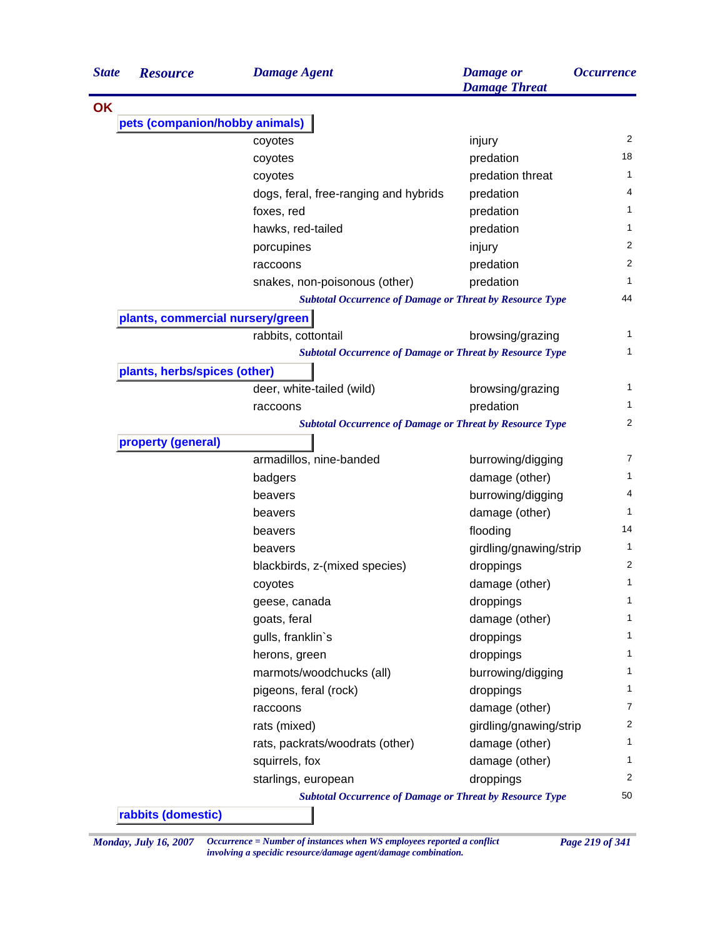| injury<br>predation<br>predation threat<br>predation<br>predation | 2<br>18<br>1                                                                                                                                                                                                                                                                           |
|-------------------------------------------------------------------|----------------------------------------------------------------------------------------------------------------------------------------------------------------------------------------------------------------------------------------------------------------------------------------|
|                                                                   |                                                                                                                                                                                                                                                                                        |
|                                                                   |                                                                                                                                                                                                                                                                                        |
|                                                                   |                                                                                                                                                                                                                                                                                        |
|                                                                   |                                                                                                                                                                                                                                                                                        |
|                                                                   |                                                                                                                                                                                                                                                                                        |
|                                                                   | 4                                                                                                                                                                                                                                                                                      |
|                                                                   | 1                                                                                                                                                                                                                                                                                      |
| predation                                                         | 1                                                                                                                                                                                                                                                                                      |
| injury                                                            | $\overline{2}$                                                                                                                                                                                                                                                                         |
| predation                                                         | 2                                                                                                                                                                                                                                                                                      |
| predation                                                         | 1                                                                                                                                                                                                                                                                                      |
| <b>Subtotal Occurrence of Damage or Threat by Resource Type</b>   | 44                                                                                                                                                                                                                                                                                     |
|                                                                   |                                                                                                                                                                                                                                                                                        |
| browsing/grazing                                                  | 1                                                                                                                                                                                                                                                                                      |
| <b>Subtotal Occurrence of Damage or Threat by Resource Type</b>   | 1                                                                                                                                                                                                                                                                                      |
|                                                                   |                                                                                                                                                                                                                                                                                        |
| browsing/grazing                                                  | 1                                                                                                                                                                                                                                                                                      |
| predation                                                         | 1                                                                                                                                                                                                                                                                                      |
| <b>Subtotal Occurrence of Damage or Threat by Resource Type</b>   | 2                                                                                                                                                                                                                                                                                      |
|                                                                   |                                                                                                                                                                                                                                                                                        |
| burrowing/digging                                                 | 7                                                                                                                                                                                                                                                                                      |
| damage (other)                                                    | 1                                                                                                                                                                                                                                                                                      |
| burrowing/digging                                                 | 4                                                                                                                                                                                                                                                                                      |
| damage (other)                                                    | 1                                                                                                                                                                                                                                                                                      |
| flooding                                                          | 14                                                                                                                                                                                                                                                                                     |
| girdling/gnawing/strip                                            | 1                                                                                                                                                                                                                                                                                      |
|                                                                   | 2                                                                                                                                                                                                                                                                                      |
|                                                                   | 1                                                                                                                                                                                                                                                                                      |
|                                                                   | 1                                                                                                                                                                                                                                                                                      |
|                                                                   | 1                                                                                                                                                                                                                                                                                      |
|                                                                   | 1                                                                                                                                                                                                                                                                                      |
|                                                                   | 1                                                                                                                                                                                                                                                                                      |
|                                                                   | 1                                                                                                                                                                                                                                                                                      |
|                                                                   | 1                                                                                                                                                                                                                                                                                      |
|                                                                   | 7                                                                                                                                                                                                                                                                                      |
|                                                                   | 2                                                                                                                                                                                                                                                                                      |
|                                                                   | 1                                                                                                                                                                                                                                                                                      |
|                                                                   | 1                                                                                                                                                                                                                                                                                      |
|                                                                   |                                                                                                                                                                                                                                                                                        |
|                                                                   | 2                                                                                                                                                                                                                                                                                      |
|                                                                   | 50                                                                                                                                                                                                                                                                                     |
|                                                                   | droppings<br>damage (other)<br>droppings<br>damage (other)<br>droppings<br>droppings<br>burrowing/digging<br>droppings<br>damage (other)<br>girdling/gnawing/strip<br>damage (other)<br>damage (other)<br>droppings<br><b>Subtotal Occurrence of Damage or Threat by Resource Type</b> |

*Monday, July 16, 2007 Occurrence = Number of instances when WS employees reported a conflict Page 219 of 341 involving a specidic resource/damage agent/damage combination.*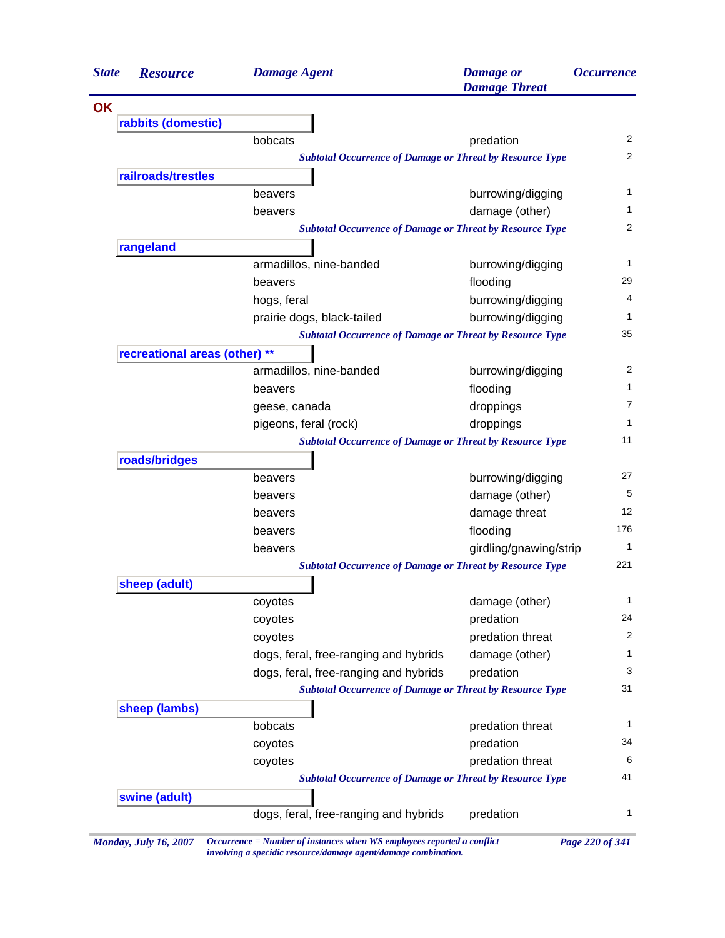| <b>State</b> | <b>Resource</b>               | <b>Damage Agent</b>                                             | <b>Damage</b> or<br><b>Damage Threat</b> | <i><b>Occurrence</b></i> |
|--------------|-------------------------------|-----------------------------------------------------------------|------------------------------------------|--------------------------|
| OK           |                               |                                                                 |                                          |                          |
|              | rabbits (domestic)            |                                                                 |                                          |                          |
|              |                               | bobcats                                                         | predation                                | $\overline{2}$           |
|              |                               | <b>Subtotal Occurrence of Damage or Threat by Resource Type</b> |                                          | $\overline{2}$           |
|              | railroads/trestles            |                                                                 |                                          |                          |
|              |                               | beavers                                                         | burrowing/digging                        | 1                        |
|              |                               | beavers                                                         | damage (other)                           | 1                        |
|              |                               | <b>Subtotal Occurrence of Damage or Threat by Resource Type</b> |                                          | 2                        |
|              | rangeland                     |                                                                 |                                          |                          |
|              |                               | armadillos, nine-banded                                         | burrowing/digging                        | 1                        |
|              |                               | beavers                                                         | flooding                                 | 29                       |
|              |                               | hogs, feral                                                     | burrowing/digging                        | 4                        |
|              |                               | prairie dogs, black-tailed                                      | burrowing/digging                        | 1                        |
|              |                               | <b>Subtotal Occurrence of Damage or Threat by Resource Type</b> |                                          | 35                       |
|              | recreational areas (other) ** |                                                                 |                                          |                          |
|              |                               | armadillos, nine-banded                                         | burrowing/digging                        | 2                        |
|              |                               | beavers                                                         | flooding                                 | 1                        |
|              |                               | geese, canada                                                   | droppings                                | 7                        |
|              |                               | pigeons, feral (rock)                                           | droppings                                | 1                        |
|              |                               | <b>Subtotal Occurrence of Damage or Threat by Resource Type</b> |                                          | 11                       |
|              | roads/bridges                 |                                                                 |                                          |                          |
|              |                               | beavers                                                         | burrowing/digging                        | 27                       |
|              |                               | beavers                                                         | damage (other)                           | 5                        |
|              |                               | beavers                                                         | damage threat                            | 12                       |
|              |                               | beavers                                                         | flooding                                 | 176                      |
|              |                               | beavers                                                         | girdling/gnawing/strip                   | 1                        |
|              |                               | <b>Subtotal Occurrence of Damage or Threat by Resource Type</b> |                                          | 221                      |
|              | sheep (adult)                 |                                                                 |                                          |                          |
|              |                               | coyotes                                                         | damage (other)                           | 1                        |
|              |                               | coyotes                                                         | predation                                | 24                       |
|              |                               | coyotes                                                         | predation threat                         | 2                        |
|              |                               | dogs, feral, free-ranging and hybrids                           | damage (other)                           | 1                        |
|              |                               | dogs, feral, free-ranging and hybrids                           | predation                                | 3                        |
|              |                               | <b>Subtotal Occurrence of Damage or Threat by Resource Type</b> |                                          | 31                       |
|              | sheep (lambs)                 |                                                                 |                                          |                          |
|              |                               | bobcats                                                         | predation threat                         | 1                        |
|              |                               | coyotes                                                         | predation                                | 34                       |
|              |                               | coyotes                                                         | predation threat                         | 6                        |
|              |                               | <b>Subtotal Occurrence of Damage or Threat by Resource Type</b> |                                          | 41                       |
|              | swine (adult)                 |                                                                 |                                          |                          |
|              |                               | dogs, feral, free-ranging and hybrids                           | predation                                | 1                        |

*Monday, July 16, 2007 Occurrence = Number of instances when WS employees reported a conflict Page 220 of 341 involving a specidic resource/damage agent/damage combination.*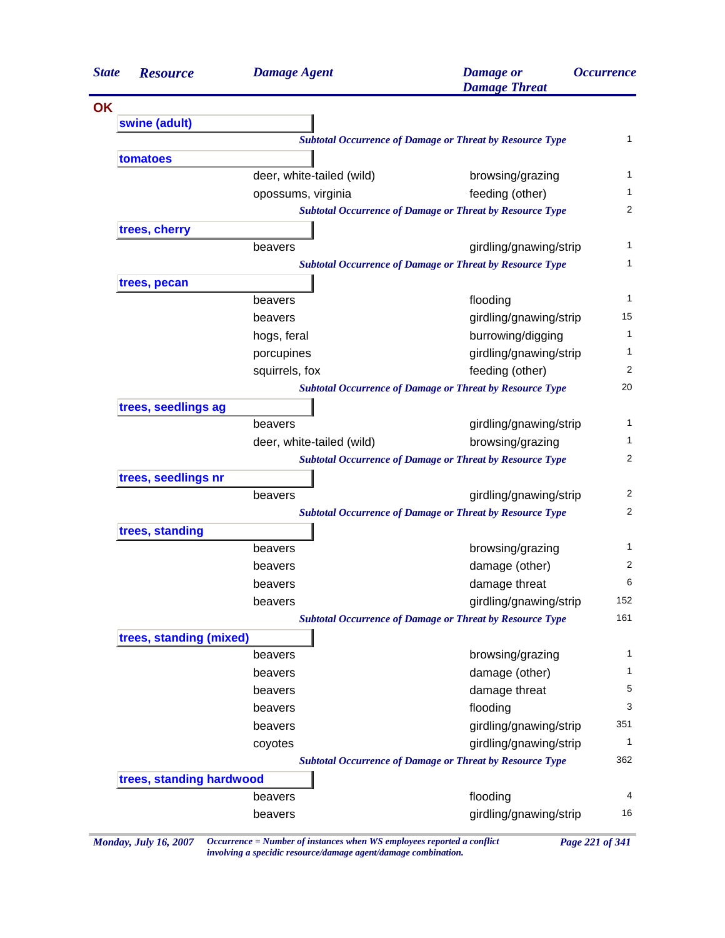| <b>State</b> | <b>Resource</b>          | <b>Damage Agent</b>       | <b>Damage</b> or<br><b>Damage Threat</b>                        | <i><b>Occurrence</b></i> |
|--------------|--------------------------|---------------------------|-----------------------------------------------------------------|--------------------------|
| OK           |                          |                           |                                                                 |                          |
|              | swine (adult)            |                           |                                                                 |                          |
|              |                          |                           | <b>Subtotal Occurrence of Damage or Threat by Resource Type</b> |                          |
|              | tomatoes                 |                           |                                                                 |                          |
|              |                          | deer, white-tailed (wild) | browsing/grazing                                                |                          |
|              |                          | opossums, virginia        | feeding (other)                                                 |                          |
|              |                          |                           | <b>Subtotal Occurrence of Damage or Threat by Resource Type</b> |                          |
|              | trees, cherry            |                           |                                                                 |                          |
|              |                          | beavers                   | girdling/gnawing/strip                                          |                          |
|              |                          |                           | <b>Subtotal Occurrence of Damage or Threat by Resource Type</b> |                          |
|              | trees, pecan             |                           |                                                                 |                          |
|              |                          | beavers                   | flooding                                                        |                          |
|              |                          | beavers                   | girdling/gnawing/strip                                          |                          |
|              |                          | hogs, feral               | burrowing/digging                                               |                          |
|              |                          | porcupines                | girdling/gnawing/strip                                          |                          |
|              |                          | squirrels, fox            | feeding (other)                                                 |                          |
|              |                          |                           | <b>Subtotal Occurrence of Damage or Threat by Resource Type</b> |                          |
|              | trees, seedlings ag      |                           |                                                                 |                          |
|              |                          | beavers                   | girdling/gnawing/strip                                          |                          |
|              |                          | deer, white-tailed (wild) | browsing/grazing                                                |                          |
|              |                          |                           | <b>Subtotal Occurrence of Damage or Threat by Resource Type</b> |                          |
|              | trees, seedlings nr      |                           |                                                                 |                          |
|              |                          | beavers                   | girdling/gnawing/strip                                          |                          |
|              |                          |                           | <b>Subtotal Occurrence of Damage or Threat by Resource Type</b> |                          |
|              | trees, standing          |                           |                                                                 |                          |
|              |                          | beavers                   | browsing/grazing                                                |                          |
|              |                          | beavers                   | damage (other)                                                  |                          |
|              |                          | beavers                   | damage threat                                                   |                          |
|              |                          | beavers                   | girdling/gnawing/strip                                          | 152                      |
|              |                          |                           | <b>Subtotal Occurrence of Damage or Threat by Resource Type</b> | 161                      |
|              | trees, standing (mixed)  |                           |                                                                 |                          |
|              |                          | beavers                   | browsing/grazing                                                |                          |
|              |                          | beavers                   | damage (other)                                                  |                          |
|              |                          | beavers                   | damage threat                                                   |                          |
|              |                          | beavers                   | flooding                                                        |                          |
|              |                          | beavers                   | girdling/gnawing/strip                                          | 351                      |
|              |                          | coyotes                   | girdling/gnawing/strip                                          |                          |
|              |                          |                           | <b>Subtotal Occurrence of Damage or Threat by Resource Type</b> | 362                      |
|              | trees, standing hardwood |                           |                                                                 |                          |
|              |                          | beavers                   | flooding                                                        |                          |
|              |                          |                           |                                                                 |                          |

*Monday, July 16, 2007 Occurrence = Number of instances when WS employees reported a conflict Page 221 of 341 involving a specidic resource/damage agent/damage combination.*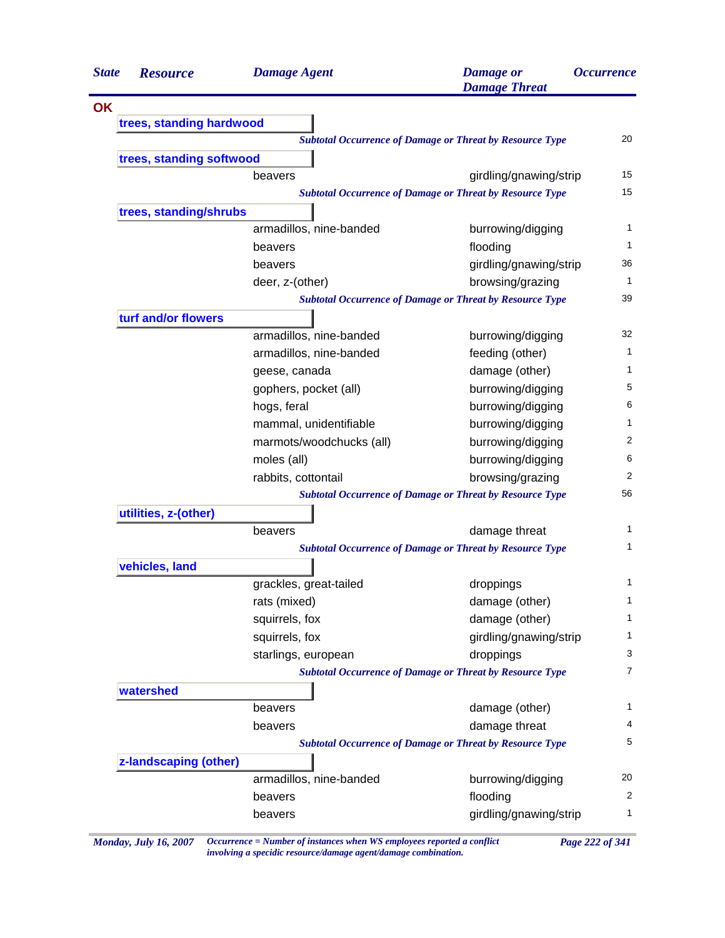| <b>State</b> | <b>Resource</b>          | <b>Damage Agent</b>      | <b>Damage</b> or<br><b>Damage Threat</b>                        | <i><b>Occurrence</b></i> |
|--------------|--------------------------|--------------------------|-----------------------------------------------------------------|--------------------------|
| <b>OK</b>    |                          |                          |                                                                 |                          |
|              | trees, standing hardwood |                          |                                                                 |                          |
|              |                          |                          | <b>Subtotal Occurrence of Damage or Threat by Resource Type</b> | 20                       |
|              | trees, standing softwood |                          |                                                                 |                          |
|              |                          | beavers                  | girdling/gnawing/strip                                          | 15                       |
|              |                          |                          | <b>Subtotal Occurrence of Damage or Threat by Resource Type</b> | 15                       |
|              | trees, standing/shrubs   |                          |                                                                 |                          |
|              |                          | armadillos, nine-banded  | burrowing/digging                                               | 1                        |
|              |                          | beavers                  | flooding                                                        | 1                        |
|              |                          | beavers                  | girdling/gnawing/strip                                          | 36                       |
|              |                          | deer, z-(other)          | browsing/grazing                                                | 1                        |
|              |                          |                          | <b>Subtotal Occurrence of Damage or Threat by Resource Type</b> | 39                       |
|              | turf and/or flowers      |                          |                                                                 |                          |
|              |                          | armadillos, nine-banded  | burrowing/digging                                               | 32                       |
|              |                          | armadillos, nine-banded  | feeding (other)                                                 | 1                        |
|              |                          | geese, canada            | damage (other)                                                  | 1                        |
|              |                          | gophers, pocket (all)    | burrowing/digging                                               | 5                        |
|              |                          | hogs, feral              | burrowing/digging                                               | 6                        |
|              |                          | mammal, unidentifiable   | burrowing/digging                                               | 1                        |
|              |                          | marmots/woodchucks (all) | burrowing/digging                                               | 2                        |
|              |                          | moles (all)              | burrowing/digging                                               | 6                        |
|              |                          | rabbits, cottontail      | browsing/grazing                                                | 2                        |
|              |                          |                          | <b>Subtotal Occurrence of Damage or Threat by Resource Type</b> | 56                       |
|              | utilities, z-(other)     |                          |                                                                 |                          |
|              |                          | beavers                  | damage threat                                                   | 1                        |
|              |                          |                          | <b>Subtotal Occurrence of Damage or Threat by Resource Type</b> | 1                        |
|              | vehicles, land           |                          |                                                                 |                          |
|              |                          | grackles, great-tailed   | droppings                                                       | 1                        |
|              |                          | rats (mixed)             | damage (other)                                                  | 1                        |
|              |                          | squirrels, fox           | damage (other)                                                  | 1                        |
|              |                          | squirrels, fox           | girdling/gnawing/strip                                          | 1                        |
|              |                          | starlings, european      | droppings                                                       | 3                        |
|              |                          |                          | <b>Subtotal Occurrence of Damage or Threat by Resource Type</b> | $\overline{7}$           |
|              | watershed                |                          |                                                                 |                          |
|              |                          | beavers                  | damage (other)                                                  | 1                        |
|              |                          | beavers                  | damage threat                                                   | 4                        |
|              |                          |                          | <b>Subtotal Occurrence of Damage or Threat by Resource Type</b> | 5                        |
|              | z-landscaping (other)    |                          |                                                                 |                          |
|              |                          | armadillos, nine-banded  | burrowing/digging                                               | 20                       |
|              |                          | beavers                  | flooding                                                        | $\overline{2}$           |
|              |                          | beavers                  | girdling/gnawing/strip                                          | 1                        |

*Monday, July 16, 2007 Occurrence = Number of instances when WS employees reported a conflict Page 222 of 341 involving a specidic resource/damage agent/damage combination.*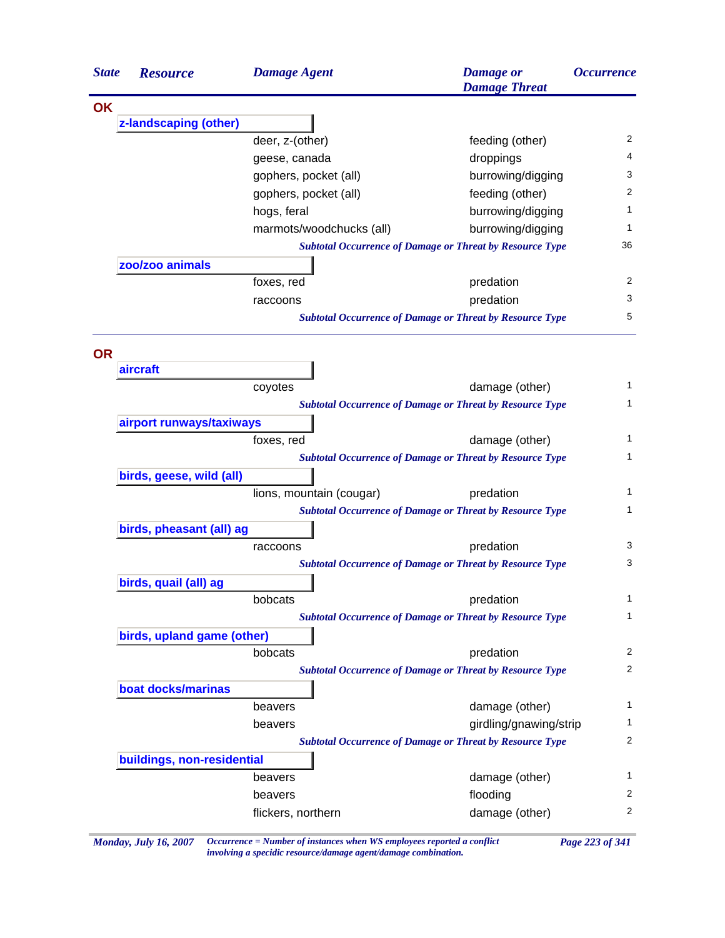| <b>State</b> | <b>Resource</b>            | <b>Damage Agent</b>      | <b>Damage</b> or<br><b>Damage Threat</b>                        | <i><b>Occurrence</b></i> |
|--------------|----------------------------|--------------------------|-----------------------------------------------------------------|--------------------------|
| <b>OK</b>    |                            |                          |                                                                 |                          |
|              | z-landscaping (other)      |                          |                                                                 |                          |
|              |                            | deer, z-(other)          | feeding (other)                                                 | 2                        |
|              |                            | geese, canada            | droppings                                                       | 4                        |
|              |                            | gophers, pocket (all)    | burrowing/digging                                               | 3                        |
|              |                            | gophers, pocket (all)    | feeding (other)                                                 | 2                        |
|              |                            | hogs, feral              | burrowing/digging                                               | 1                        |
|              |                            | marmots/woodchucks (all) | burrowing/digging                                               | 1                        |
|              |                            |                          | <b>Subtotal Occurrence of Damage or Threat by Resource Type</b> | 36                       |
|              | zoo/zoo animals            |                          |                                                                 |                          |
|              |                            | foxes, red               | predation                                                       | 2                        |
|              |                            | raccoons                 | predation                                                       | 3                        |
|              |                            |                          | <b>Subtotal Occurrence of Damage or Threat by Resource Type</b> | 5                        |
| <b>OR</b>    |                            |                          |                                                                 |                          |
|              | aircraft                   |                          |                                                                 |                          |
|              |                            | coyotes                  | damage (other)                                                  | 1                        |
|              |                            |                          | <b>Subtotal Occurrence of Damage or Threat by Resource Type</b> | 1                        |
|              | airport runways/taxiways   |                          |                                                                 |                          |
|              |                            | foxes, red               | damage (other)                                                  | 1                        |
|              |                            |                          | <b>Subtotal Occurrence of Damage or Threat by Resource Type</b> | 1                        |
|              | birds, geese, wild (all)   |                          |                                                                 |                          |
|              |                            | lions, mountain (cougar) | predation                                                       | 1                        |
|              |                            |                          | <b>Subtotal Occurrence of Damage or Threat by Resource Type</b> | 1                        |
|              | birds, pheasant (all) ag   |                          |                                                                 |                          |
|              |                            | raccoons                 | predation                                                       | 3                        |
|              |                            |                          | <b>Subtotal Occurrence of Damage or Threat by Resource Type</b> | 3                        |
|              | birds, quail (all) ag      |                          |                                                                 |                          |
|              |                            | bobcats                  | predation                                                       | 1                        |
|              |                            |                          | <b>Subtotal Occurrence of Damage or Threat by Resource Type</b> | 1                        |
|              | birds, upland game (other) |                          |                                                                 |                          |
|              |                            | bobcats                  | predation                                                       | $\overline{2}$           |
|              |                            |                          | <b>Subtotal Occurrence of Damage or Threat by Resource Type</b> | 2                        |
|              | boat docks/marinas         |                          |                                                                 |                          |
|              |                            | beavers                  | damage (other)                                                  | 1                        |
|              |                            | beavers                  | girdling/gnawing/strip                                          | 1                        |
|              |                            |                          | <b>Subtotal Occurrence of Damage or Threat by Resource Type</b> | 2                        |
|              | buildings, non-residential |                          |                                                                 |                          |
|              |                            | beavers                  | damage (other)                                                  | 1                        |
|              |                            | beavers                  | flooding                                                        | 2                        |
|              |                            | flickers, northern       | damage (other)                                                  | 2                        |
|              |                            |                          |                                                                 |                          |

*Monday, July 16, 2007 Occurrence = Number of instances when WS employees reported a conflict Page 223 of 341 involving a specidic resource/damage agent/damage combination.*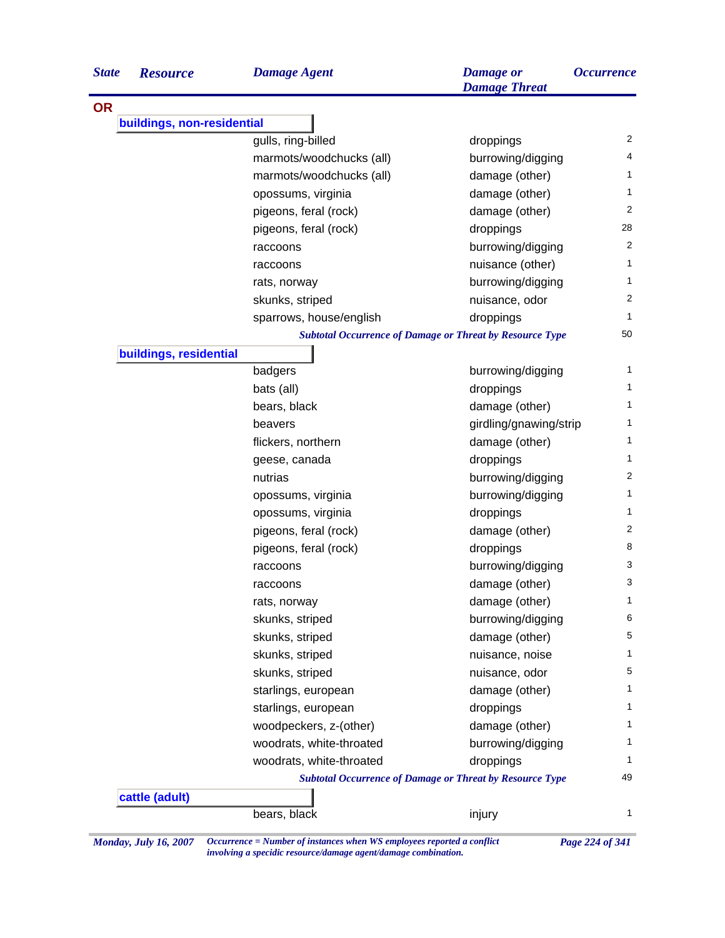| <b>State</b> | <b>Resource</b>            | <b>Damage Agent</b>                                             | <b>Damage</b> or<br><b>Damage Threat</b> | <i><b>Occurrence</b></i> |
|--------------|----------------------------|-----------------------------------------------------------------|------------------------------------------|--------------------------|
| <b>OR</b>    |                            |                                                                 |                                          |                          |
|              | buildings, non-residential |                                                                 |                                          |                          |
|              |                            | gulls, ring-billed                                              | droppings                                | $\overline{2}$           |
|              |                            | marmots/woodchucks (all)                                        | burrowing/digging                        | 4                        |
|              |                            | marmots/woodchucks (all)                                        | damage (other)                           | 1                        |
|              |                            | opossums, virginia                                              | damage (other)                           | 1                        |
|              |                            | pigeons, feral (rock)                                           | damage (other)                           | $\overline{2}$           |
|              |                            | pigeons, feral (rock)                                           | droppings                                | 28                       |
|              |                            | raccoons                                                        | burrowing/digging                        | 2                        |
|              |                            | raccoons                                                        | nuisance (other)                         | 1                        |
|              |                            | rats, norway                                                    | burrowing/digging                        | 1                        |
|              |                            | skunks, striped                                                 | nuisance, odor                           | 2                        |
|              |                            | sparrows, house/english                                         | droppings                                | 1                        |
|              |                            | <b>Subtotal Occurrence of Damage or Threat by Resource Type</b> |                                          | 50                       |
|              | buildings, residential     |                                                                 |                                          |                          |
|              |                            | badgers                                                         | burrowing/digging                        | 1                        |
|              |                            | bats (all)                                                      | droppings                                | 1                        |
|              |                            | bears, black                                                    | damage (other)                           | 1                        |
|              |                            | beavers                                                         | girdling/gnawing/strip                   | 1                        |
|              |                            | flickers, northern                                              | damage (other)                           | 1                        |
|              |                            | geese, canada                                                   | droppings                                | 1                        |
|              |                            | nutrias                                                         | burrowing/digging                        | 2                        |
|              |                            | opossums, virginia                                              | burrowing/digging                        | 1                        |
|              |                            | opossums, virginia                                              | droppings                                | 1                        |
|              |                            | pigeons, feral (rock)                                           | damage (other)                           | 2                        |
|              |                            | pigeons, feral (rock)                                           | droppings                                | 8                        |
|              |                            | raccoons                                                        | burrowing/digging                        | 3                        |
|              |                            | raccoons                                                        | damage (other)                           | 3                        |
|              |                            | rats, norway                                                    | damage (other)                           | 1                        |
|              |                            | skunks, striped                                                 | burrowing/digging                        | 6                        |
|              |                            | skunks, striped                                                 | damage (other)                           | 5                        |
|              |                            | skunks, striped                                                 | nuisance, noise                          | 1                        |
|              |                            | skunks, striped                                                 | nuisance, odor                           | 5                        |
|              |                            | starlings, european                                             | damage (other)                           | 1                        |
|              |                            | starlings, european                                             | droppings                                | $\mathbf{1}$             |
|              |                            | woodpeckers, z-(other)                                          | damage (other)                           | 1                        |
|              |                            | woodrats, white-throated                                        | burrowing/digging                        | 1                        |
|              |                            | woodrats, white-throated                                        | droppings                                | 1                        |
|              |                            | <b>Subtotal Occurrence of Damage or Threat by Resource Type</b> |                                          | 49                       |
|              | cattle (adult)             |                                                                 |                                          |                          |
|              |                            | bears, black                                                    | injury                                   | 1                        |

*Monday, July 16, 2007 Occurrence = Number of instances when WS employees reported a conflict Page 224 of 341 involving a specidic resource/damage agent/damage combination.*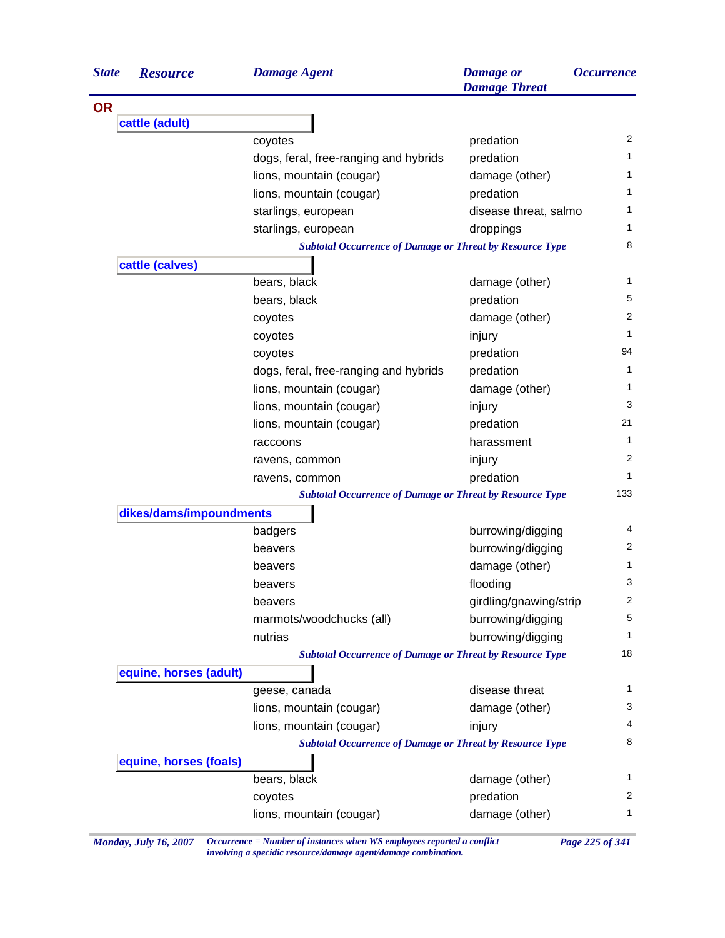| <b>State</b> | <b>Resource</b>         | <b>Damage Agent</b>                                             | <b>Damage</b> or<br><b>Damage Threat</b> | <i><b>Occurrence</b></i> |
|--------------|-------------------------|-----------------------------------------------------------------|------------------------------------------|--------------------------|
| <b>OR</b>    |                         |                                                                 |                                          |                          |
|              | cattle (adult)          |                                                                 |                                          |                          |
|              |                         | coyotes                                                         | predation                                | $\overline{2}$           |
|              |                         | dogs, feral, free-ranging and hybrids                           | predation                                | 1                        |
|              |                         | lions, mountain (cougar)                                        | damage (other)                           | 1                        |
|              |                         | lions, mountain (cougar)                                        | predation                                | 1                        |
|              |                         | starlings, european                                             | disease threat, salmo                    | 1                        |
|              |                         | starlings, european                                             | droppings                                | 1                        |
|              |                         | <b>Subtotal Occurrence of Damage or Threat by Resource Type</b> |                                          | 8                        |
|              | cattle (calves)         |                                                                 |                                          |                          |
|              |                         | bears, black                                                    | damage (other)                           | 1                        |
|              |                         | bears, black                                                    | predation                                | 5                        |
|              |                         | coyotes                                                         | damage (other)                           | 2                        |
|              |                         | coyotes                                                         | injury                                   | 1                        |
|              |                         | coyotes                                                         | predation                                | 94                       |
|              |                         | dogs, feral, free-ranging and hybrids                           | predation                                | 1                        |
|              |                         | lions, mountain (cougar)                                        | damage (other)                           | 1                        |
|              |                         | lions, mountain (cougar)                                        | injury                                   | 3                        |
|              |                         | lions, mountain (cougar)                                        | predation                                | 21                       |
|              |                         | raccoons                                                        | harassment                               | 1                        |
|              |                         | ravens, common                                                  | injury                                   | 2                        |
|              |                         | ravens, common                                                  | predation                                | 1                        |
|              |                         | <b>Subtotal Occurrence of Damage or Threat by Resource Type</b> |                                          | 133                      |
|              | dikes/dams/impoundments |                                                                 |                                          |                          |
|              |                         | badgers                                                         | burrowing/digging                        | 4                        |
|              |                         | beavers                                                         | burrowing/digging                        | 2                        |
|              |                         | beavers                                                         | damage (other)                           | 1                        |
|              |                         | beavers                                                         | flooding                                 | 3                        |
|              |                         | beavers                                                         | girdling/gnawing/strip                   | 2                        |
|              |                         | marmots/woodchucks (all)                                        | burrowing/digging                        | 5                        |
|              |                         | nutrias                                                         | burrowing/digging                        | 1                        |
|              |                         | <b>Subtotal Occurrence of Damage or Threat by Resource Type</b> |                                          | 18                       |
|              | equine, horses (adult)  |                                                                 |                                          |                          |
|              |                         | geese, canada                                                   | disease threat                           | 1                        |
|              |                         | lions, mountain (cougar)                                        | damage (other)                           | 3                        |
|              |                         | lions, mountain (cougar)                                        | injury                                   | 4                        |
|              |                         | <b>Subtotal Occurrence of Damage or Threat by Resource Type</b> |                                          | 8                        |
|              | equine, horses (foals)  |                                                                 |                                          |                          |
|              |                         | bears, black                                                    | damage (other)                           | 1                        |
|              |                         | coyotes                                                         | predation                                | 2                        |
|              |                         | lions, mountain (cougar)                                        | damage (other)                           | 1                        |

*Monday, July 16, 2007 Occurrence = Number of instances when WS employees reported a conflict Page 225 of 341 involving a specidic resource/damage agent/damage combination.*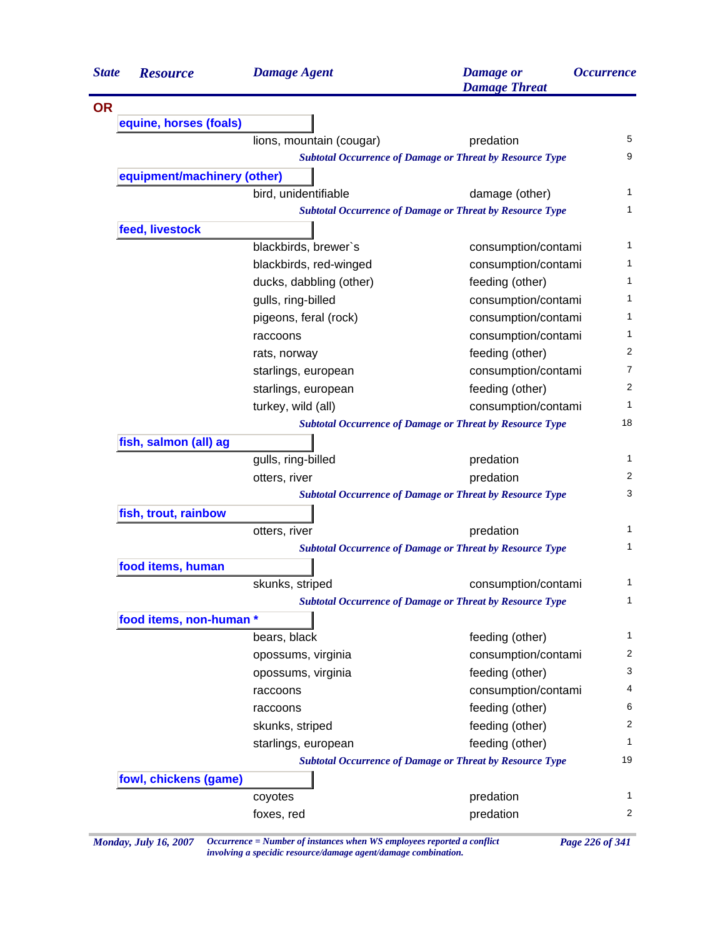| <b>State</b> | <b>Resource</b>             | <b>Damage Agent</b>      | <b>Damage</b> or<br><b>Damage Threat</b>                        | <i><b>Occurrence</b></i> |
|--------------|-----------------------------|--------------------------|-----------------------------------------------------------------|--------------------------|
| <b>OR</b>    |                             |                          |                                                                 |                          |
|              | equine, horses (foals)      |                          |                                                                 |                          |
|              |                             | lions, mountain (cougar) | predation                                                       |                          |
|              |                             |                          | <b>Subtotal Occurrence of Damage or Threat by Resource Type</b> |                          |
|              | equipment/machinery (other) |                          |                                                                 |                          |
|              |                             | bird, unidentifiable     | damage (other)                                                  |                          |
|              |                             |                          | <b>Subtotal Occurrence of Damage or Threat by Resource Type</b> |                          |
|              | feed, livestock             |                          |                                                                 |                          |
|              |                             | blackbirds, brewer's     | consumption/contami                                             |                          |
|              |                             | blackbirds, red-winged   | consumption/contami                                             |                          |
|              |                             | ducks, dabbling (other)  | feeding (other)                                                 |                          |
|              |                             | gulls, ring-billed       | consumption/contami                                             |                          |
|              |                             | pigeons, feral (rock)    | consumption/contami                                             |                          |
|              |                             | raccoons                 | consumption/contami                                             |                          |
|              |                             | rats, norway             | feeding (other)                                                 |                          |
|              |                             | starlings, european      | consumption/contami                                             |                          |
|              |                             | starlings, european      | feeding (other)                                                 |                          |
|              |                             | turkey, wild (all)       | consumption/contami                                             |                          |
|              |                             |                          | <b>Subtotal Occurrence of Damage or Threat by Resource Type</b> | 18                       |
|              | fish, salmon (all) ag       |                          |                                                                 |                          |
|              |                             | gulls, ring-billed       | predation                                                       |                          |
|              |                             | otters, river            | predation                                                       |                          |
|              |                             |                          | <b>Subtotal Occurrence of Damage or Threat by Resource Type</b> |                          |
|              | fish, trout, rainbow        |                          |                                                                 |                          |
|              |                             | otters, river            | predation                                                       |                          |
|              |                             |                          | <b>Subtotal Occurrence of Damage or Threat by Resource Type</b> |                          |
|              | food items, human           |                          |                                                                 |                          |
|              |                             | skunks, striped          | consumption/contami                                             |                          |
|              |                             |                          | <b>Subtotal Occurrence of Damage or Threat by Resource Type</b> |                          |
|              | food items, non-human *     |                          |                                                                 |                          |
|              |                             | bears, black             | feeding (other)                                                 |                          |
|              |                             | opossums, virginia       | consumption/contami                                             |                          |
|              |                             | opossums, virginia       | feeding (other)                                                 |                          |
|              |                             | raccoons                 | consumption/contami                                             |                          |
|              |                             | raccoons                 | feeding (other)                                                 |                          |
|              |                             | skunks, striped          | feeding (other)                                                 |                          |
|              |                             | starlings, european      | feeding (other)                                                 |                          |
|              |                             |                          | <b>Subtotal Occurrence of Damage or Threat by Resource Type</b> | 19                       |
|              | fowl, chickens (game)       |                          |                                                                 |                          |
|              |                             | coyotes                  | predation                                                       |                          |
|              |                             |                          | predation                                                       |                          |

*Monday, July 16, 2007 Occurrence = Number of instances when WS employees reported a conflict Page 226 of 341 involving a specidic resource/damage agent/damage combination.*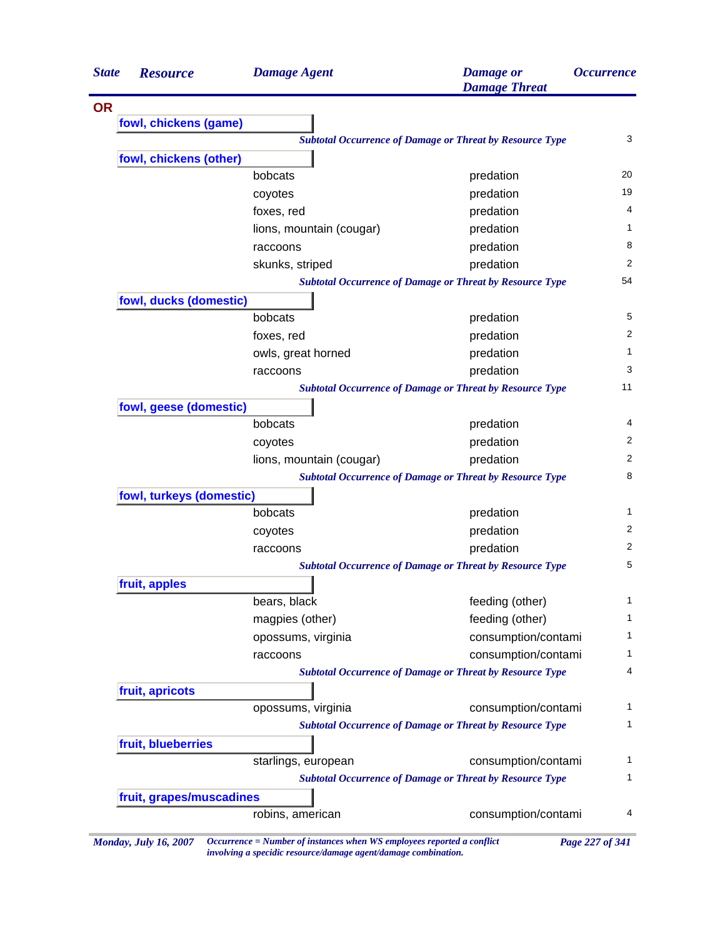| <b>State</b> | <b>Resource</b>          | <b>Damage Agent</b>      | <b>Damage</b> or<br><b>Damage Threat</b>                        | <i><b>Occurrence</b></i> |
|--------------|--------------------------|--------------------------|-----------------------------------------------------------------|--------------------------|
| <b>OR</b>    |                          |                          |                                                                 |                          |
|              | fowl, chickens (game)    |                          |                                                                 |                          |
|              |                          |                          | <b>Subtotal Occurrence of Damage or Threat by Resource Type</b> | 3                        |
|              | fowl, chickens (other)   |                          |                                                                 |                          |
|              |                          | bobcats                  | predation                                                       | 20                       |
|              |                          | coyotes                  | predation                                                       | 19                       |
|              |                          | foxes, red               | predation                                                       | 4                        |
|              |                          | lions, mountain (cougar) | predation                                                       | 1                        |
|              |                          | raccoons                 | predation                                                       | 8                        |
|              |                          | skunks, striped          | predation                                                       | 2                        |
|              |                          |                          | <b>Subtotal Occurrence of Damage or Threat by Resource Type</b> | 54                       |
|              | fowl, ducks (domestic)   |                          |                                                                 |                          |
|              |                          | bobcats                  | predation                                                       | 5                        |
|              |                          | foxes, red               | predation                                                       | 2                        |
|              |                          | owls, great horned       | predation                                                       | $\mathbf{1}$             |
|              |                          | raccoons                 | predation                                                       | 3                        |
|              |                          |                          | <b>Subtotal Occurrence of Damage or Threat by Resource Type</b> | 11                       |
|              | fowl, geese (domestic)   |                          |                                                                 |                          |
|              |                          | bobcats                  | predation                                                       | 4                        |
|              |                          | coyotes                  | predation                                                       | 2                        |
|              |                          | lions, mountain (cougar) | predation                                                       | 2                        |
|              |                          |                          | <b>Subtotal Occurrence of Damage or Threat by Resource Type</b> | 8                        |
|              | fowl, turkeys (domestic) |                          |                                                                 |                          |
|              |                          | bobcats                  | predation                                                       | $\mathbf{1}$             |
|              |                          | coyotes                  | predation                                                       | 2                        |
|              |                          | raccoons                 | predation                                                       | 2                        |
|              |                          |                          | <b>Subtotal Occurrence of Damage or Threat by Resource Type</b> | 5                        |
|              | fruit, apples            |                          |                                                                 |                          |
|              |                          | bears, black             | feeding (other)                                                 | 1                        |
|              |                          | magpies (other)          | feeding (other)                                                 | 1                        |
|              |                          | opossums, virginia       | consumption/contami                                             | 1                        |
|              |                          | raccoons                 | consumption/contami                                             | $\mathbf{1}$             |
|              |                          |                          | <b>Subtotal Occurrence of Damage or Threat by Resource Type</b> | 4                        |
|              | fruit, apricots          |                          |                                                                 |                          |
|              |                          | opossums, virginia       | consumption/contami                                             | 1                        |
|              |                          |                          | <b>Subtotal Occurrence of Damage or Threat by Resource Type</b> | 1                        |
|              | fruit, blueberries       |                          |                                                                 |                          |
|              |                          | starlings, european      | consumption/contami                                             | 1                        |
|              |                          |                          | <b>Subtotal Occurrence of Damage or Threat by Resource Type</b> | $\mathbf{1}$             |
|              | fruit, grapes/muscadines |                          |                                                                 |                          |
|              |                          | robins, american         | consumption/contami                                             | 4                        |

*Monday, July 16, 2007 Occurrence = Number of instances when WS employees reported a conflict Page 227 of 341 involving a specidic resource/damage agent/damage combination.*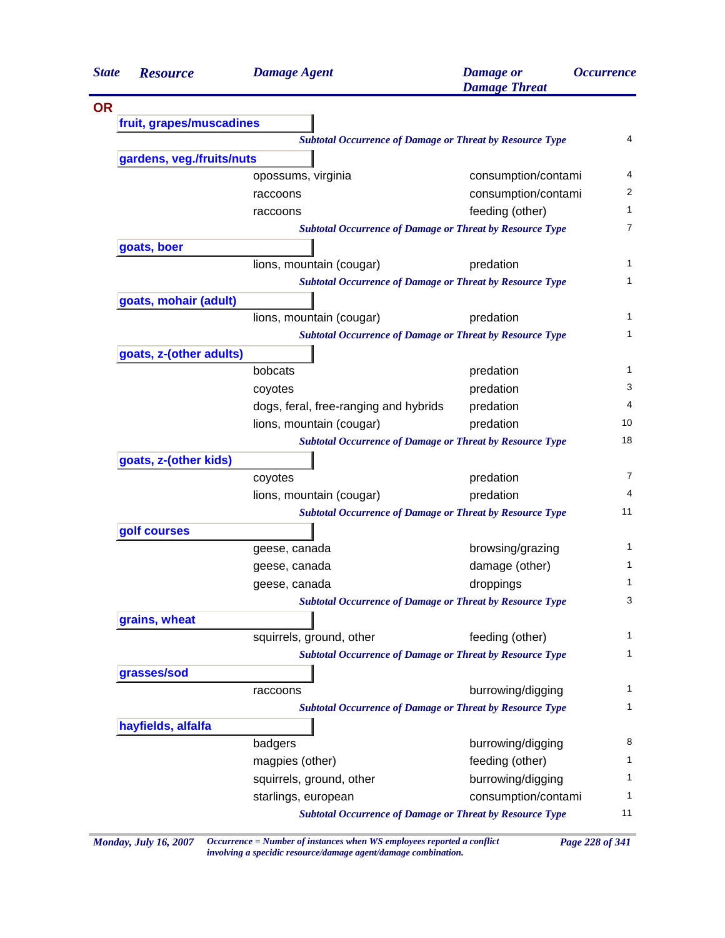| <b>State</b> | <b>Resource</b>           | <b>Damage Agent</b>                                             | <b>Damage</b> or<br><b>Damage Threat</b> | <b>Occurrence</b> |
|--------------|---------------------------|-----------------------------------------------------------------|------------------------------------------|-------------------|
| <b>OR</b>    |                           |                                                                 |                                          |                   |
|              | fruit, grapes/muscadines  |                                                                 |                                          |                   |
|              |                           | <b>Subtotal Occurrence of Damage or Threat by Resource Type</b> |                                          | 4                 |
|              | gardens, veg./fruits/nuts |                                                                 |                                          |                   |
|              |                           | opossums, virginia                                              | consumption/contami                      | 4                 |
|              |                           | raccoons                                                        | consumption/contami                      | 2                 |
|              |                           | raccoons                                                        | feeding (other)                          | 1                 |
|              |                           | <b>Subtotal Occurrence of Damage or Threat by Resource Type</b> |                                          | 7                 |
|              | goats, boer               |                                                                 |                                          |                   |
|              |                           | lions, mountain (cougar)                                        | predation                                | 1                 |
|              |                           | <b>Subtotal Occurrence of Damage or Threat by Resource Type</b> |                                          | 1                 |
|              | goats, mohair (adult)     |                                                                 |                                          |                   |
|              |                           | lions, mountain (cougar)                                        | predation                                | 1                 |
|              |                           | <b>Subtotal Occurrence of Damage or Threat by Resource Type</b> |                                          | 1                 |
|              | goats, z-(other adults)   |                                                                 |                                          |                   |
|              |                           | bobcats                                                         | predation                                | 1                 |
|              |                           | coyotes                                                         | predation                                | 3                 |
|              |                           | dogs, feral, free-ranging and hybrids                           | predation                                | 4                 |
|              |                           | lions, mountain (cougar)                                        | predation                                | 10                |
|              |                           | <b>Subtotal Occurrence of Damage or Threat by Resource Type</b> |                                          | 18                |
|              | goats, z-(other kids)     |                                                                 |                                          |                   |
|              |                           | coyotes                                                         | predation                                | 7                 |
|              |                           | lions, mountain (cougar)                                        | predation                                | 4                 |
|              |                           | <b>Subtotal Occurrence of Damage or Threat by Resource Type</b> |                                          | 11                |
|              | golf courses              |                                                                 |                                          |                   |
|              |                           | geese, canada                                                   | browsing/grazing                         | 1                 |
|              |                           | geese, canada                                                   | damage (other)                           | 1                 |
|              |                           | geese, canada                                                   | droppings                                | 1                 |
|              |                           | <b>Subtotal Occurrence of Damage or Threat by Resource Type</b> |                                          | 3                 |
|              | grains, wheat             |                                                                 |                                          |                   |
|              |                           | squirrels, ground, other                                        | feeding (other)                          | 1                 |
|              |                           | <b>Subtotal Occurrence of Damage or Threat by Resource Type</b> |                                          | 1                 |
|              | grasses/sod               |                                                                 |                                          |                   |
|              |                           | raccoons                                                        | burrowing/digging                        | 1                 |
|              |                           | <b>Subtotal Occurrence of Damage or Threat by Resource Type</b> |                                          | 1                 |
|              | hayfields, alfalfa        |                                                                 |                                          |                   |
|              |                           | badgers                                                         | burrowing/digging                        | 8                 |
|              |                           | magpies (other)                                                 | feeding (other)                          | 1                 |
|              |                           | squirrels, ground, other                                        | burrowing/digging                        | 1                 |
|              |                           | starlings, european                                             | consumption/contami                      | 1                 |
|              |                           | <b>Subtotal Occurrence of Damage or Threat by Resource Type</b> |                                          | 11                |

*Monday, July 16, 2007 Occurrence = Number of instances when WS employees reported a conflict Page 228 of 341 involving a specidic resource/damage agent/damage combination.*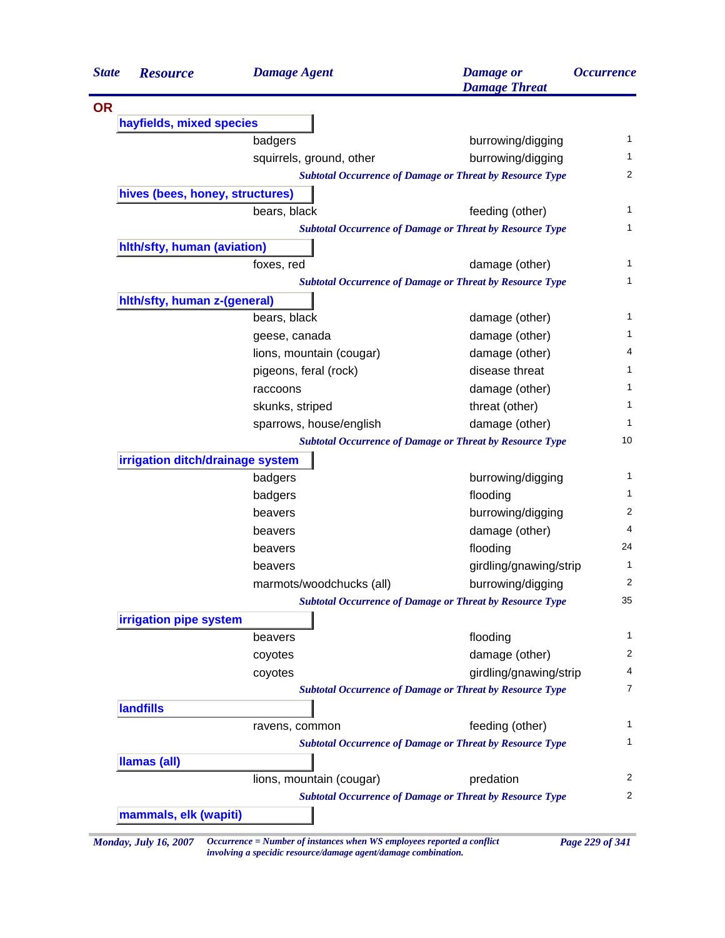| <b>State</b> | <b>Resource</b>                  | <b>Damage Agent</b>      | <b>Damage</b> or<br><b>Damage Threat</b>                        | <i><b>Occurrence</b></i> |
|--------------|----------------------------------|--------------------------|-----------------------------------------------------------------|--------------------------|
| <b>OR</b>    |                                  |                          |                                                                 |                          |
|              | hayfields, mixed species         |                          |                                                                 |                          |
|              |                                  | badgers                  | burrowing/digging                                               |                          |
|              |                                  | squirrels, ground, other | burrowing/digging                                               |                          |
|              |                                  |                          | <b>Subtotal Occurrence of Damage or Threat by Resource Type</b> |                          |
|              | hives (bees, honey, structures)  |                          |                                                                 |                          |
|              |                                  | bears, black             | feeding (other)                                                 |                          |
|              |                                  |                          | <b>Subtotal Occurrence of Damage or Threat by Resource Type</b> |                          |
|              | hith/sfty, human (aviation)      |                          |                                                                 |                          |
|              |                                  | foxes, red               | damage (other)                                                  |                          |
|              |                                  |                          | <b>Subtotal Occurrence of Damage or Threat by Resource Type</b> |                          |
|              | hith/sfty, human z-(general)     |                          |                                                                 |                          |
|              |                                  | bears, black             | damage (other)                                                  |                          |
|              |                                  | geese, canada            | damage (other)                                                  |                          |
|              |                                  | lions, mountain (cougar) | damage (other)                                                  |                          |
|              |                                  | pigeons, feral (rock)    | disease threat                                                  |                          |
|              |                                  | raccoons                 | damage (other)                                                  |                          |
|              |                                  | skunks, striped          | threat (other)                                                  |                          |
|              |                                  | sparrows, house/english  | damage (other)                                                  |                          |
|              |                                  |                          | <b>Subtotal Occurrence of Damage or Threat by Resource Type</b> |                          |
|              | irrigation ditch/drainage system |                          |                                                                 |                          |
|              |                                  | badgers                  | burrowing/digging                                               |                          |
|              |                                  | badgers                  | flooding                                                        |                          |
|              |                                  | beavers                  | burrowing/digging                                               |                          |
|              |                                  | beavers                  | damage (other)                                                  |                          |
|              |                                  | beavers                  | flooding                                                        |                          |
|              |                                  | beavers                  | girdling/gnawing/strip                                          |                          |
|              |                                  | marmots/woodchucks (all) | burrowing/digging                                               |                          |
|              |                                  |                          | <b>Subtotal Occurrence of Damage or Threat by Resource Type</b> |                          |
|              | irrigation pipe system           |                          |                                                                 |                          |
|              |                                  | beavers                  | flooding                                                        |                          |
|              |                                  | coyotes                  | damage (other)                                                  |                          |
|              |                                  | coyotes                  | girdling/gnawing/strip                                          |                          |
|              |                                  |                          | <b>Subtotal Occurrence of Damage or Threat by Resource Type</b> |                          |
|              | <b>landfills</b>                 |                          |                                                                 |                          |
|              |                                  | ravens, common           | feeding (other)                                                 |                          |
|              |                                  |                          | <b>Subtotal Occurrence of Damage or Threat by Resource Type</b> |                          |
|              | <b>Ilamas (all)</b>              |                          |                                                                 |                          |
|              |                                  | lions, mountain (cougar) | predation                                                       |                          |
|              |                                  |                          | <b>Subtotal Occurrence of Damage or Threat by Resource Type</b> |                          |
|              | mammals, elk (wapiti)            |                          |                                                                 |                          |

*involving a specidic resource/damage agent/damage combination.*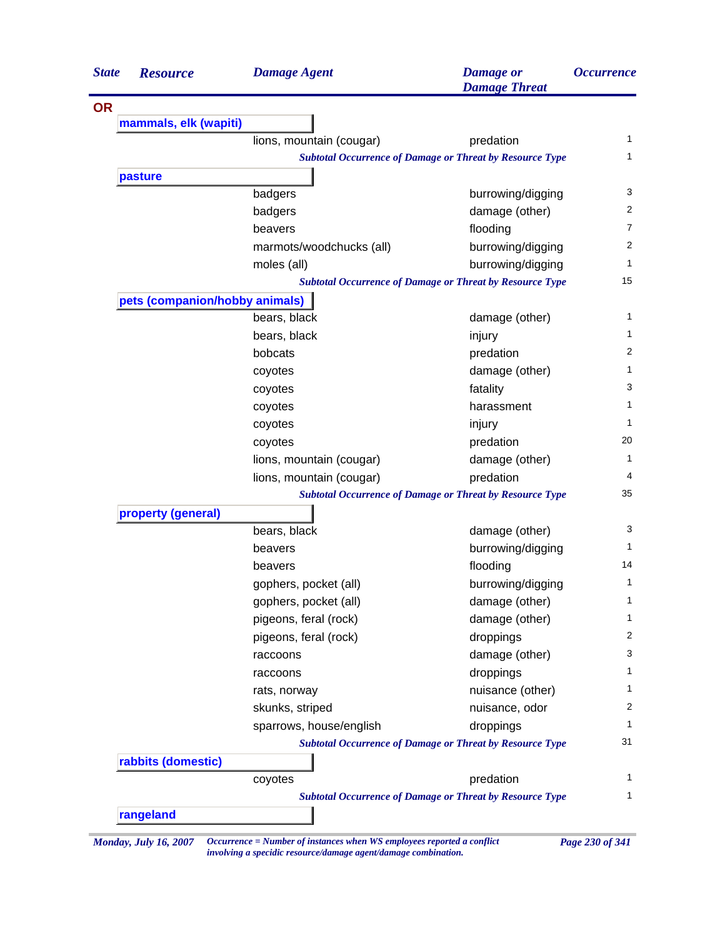| <b>State</b> | <b>Resource</b>                | <b>Damage Agent</b>      | <b>Damage</b> or<br><b>Damage Threat</b>                        | <i><b>Occurrence</b></i> |
|--------------|--------------------------------|--------------------------|-----------------------------------------------------------------|--------------------------|
| <b>OR</b>    |                                |                          |                                                                 |                          |
|              | mammals, elk (wapiti)          |                          |                                                                 |                          |
|              |                                | lions, mountain (cougar) | predation                                                       | 1                        |
|              |                                |                          | <b>Subtotal Occurrence of Damage or Threat by Resource Type</b> | 1                        |
|              | pasture                        |                          |                                                                 |                          |
|              |                                | badgers                  | burrowing/digging                                               | 3                        |
|              |                                | badgers                  | damage (other)                                                  | 2                        |
|              |                                | beavers                  | flooding                                                        | 7                        |
|              |                                | marmots/woodchucks (all) | burrowing/digging                                               | 2                        |
|              |                                | moles (all)              | burrowing/digging                                               | $\mathbf{1}$             |
|              |                                |                          | <b>Subtotal Occurrence of Damage or Threat by Resource Type</b> | 15                       |
|              | pets (companion/hobby animals) |                          |                                                                 |                          |
|              |                                | bears, black             | damage (other)                                                  | 1                        |
|              |                                | bears, black             | injury                                                          | 1                        |
|              |                                | bobcats                  | predation                                                       | 2                        |
|              |                                | coyotes                  | damage (other)                                                  | 1                        |
|              |                                | coyotes                  | fatality                                                        | 3                        |
|              |                                | coyotes                  | harassment                                                      | 1                        |
|              |                                | coyotes                  | injury                                                          | $\mathbf{1}$             |
|              |                                | coyotes                  | predation                                                       | 20                       |
|              |                                | lions, mountain (cougar) | damage (other)                                                  | 1                        |
|              |                                | lions, mountain (cougar) | predation                                                       | 4                        |
|              |                                |                          | <b>Subtotal Occurrence of Damage or Threat by Resource Type</b> | 35                       |
|              | property (general)             |                          |                                                                 |                          |
|              |                                | bears, black             | damage (other)                                                  | 3                        |
|              |                                | beavers                  | burrowing/digging                                               | $\mathbf{1}$             |
|              |                                | beavers                  | flooding                                                        | 14                       |
|              |                                | gophers, pocket (all)    | burrowing/digging                                               | 1                        |
|              |                                | gophers, pocket (all)    | damage (other)                                                  | 1                        |
|              |                                | pigeons, feral (rock)    | damage (other)                                                  | 1                        |
|              |                                | pigeons, feral (rock)    | droppings                                                       | 2                        |
|              |                                | raccoons                 | damage (other)                                                  | 3                        |
|              |                                | raccoons                 | droppings                                                       | 1                        |
|              |                                | rats, norway             | nuisance (other)                                                | 1                        |
|              |                                | skunks, striped          | nuisance, odor                                                  | 2                        |
|              |                                | sparrows, house/english  | droppings                                                       | 1                        |
|              |                                |                          | <b>Subtotal Occurrence of Damage or Threat by Resource Type</b> | 31                       |
|              | rabbits (domestic)             |                          |                                                                 |                          |
|              |                                | coyotes                  | predation                                                       | $\mathbf{1}$             |
|              |                                |                          | <b>Subtotal Occurrence of Damage or Threat by Resource Type</b> | 1                        |
|              | rangeland                      |                          |                                                                 |                          |

*Monday, July 16, 2007 Occurrence = Number of instances when WS employees reported a conflict Page 230 of 341 involving a specidic resource/damage agent/damage combination.*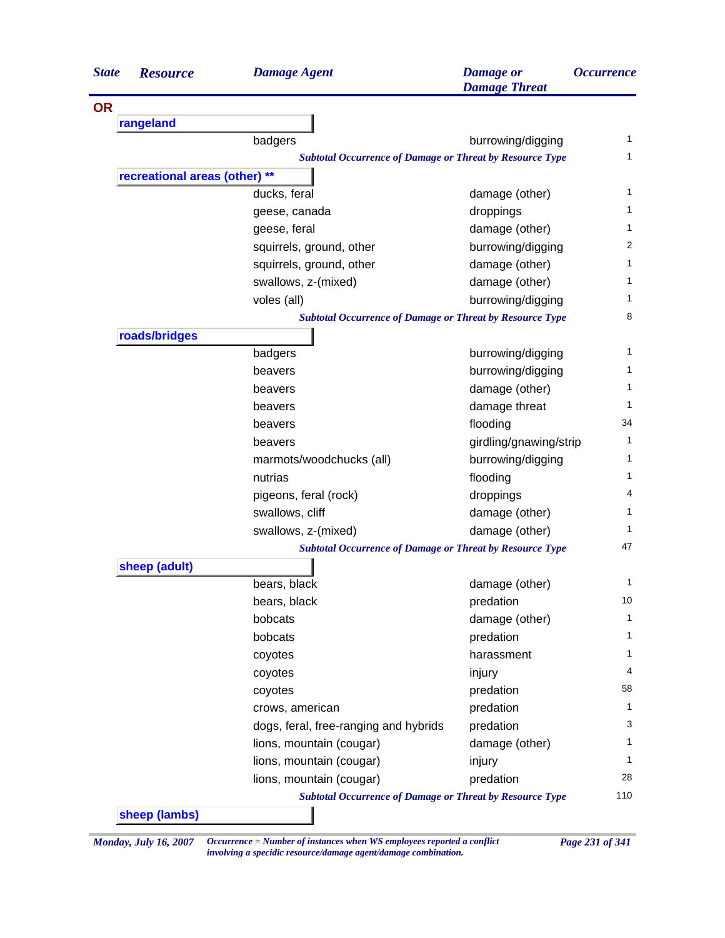| <b>State</b> | <b>Resource</b>               | <b>Damage Agent</b>                                             | <b>Damage</b> or<br><b>Damage Threat</b> | <i><b>Occurrence</b></i> |
|--------------|-------------------------------|-----------------------------------------------------------------|------------------------------------------|--------------------------|
| <b>OR</b>    |                               |                                                                 |                                          |                          |
|              | rangeland                     |                                                                 |                                          |                          |
|              |                               | badgers                                                         | burrowing/digging                        | 1                        |
|              |                               | <b>Subtotal Occurrence of Damage or Threat by Resource Type</b> |                                          | 1.                       |
|              | recreational areas (other) ** |                                                                 |                                          |                          |
|              |                               | ducks, feral                                                    | damage (other)                           | 1                        |
|              |                               | geese, canada                                                   | droppings                                | 1                        |
|              |                               | geese, feral                                                    | damage (other)                           | 1                        |
|              |                               | squirrels, ground, other                                        | burrowing/digging                        | 2                        |
|              |                               | squirrels, ground, other                                        | damage (other)                           | 1                        |
|              |                               | swallows, z-(mixed)                                             | damage (other)                           | 1                        |
|              |                               | voles (all)                                                     | burrowing/digging                        | 1.                       |
|              |                               | <b>Subtotal Occurrence of Damage or Threat by Resource Type</b> |                                          | 8                        |
|              | roads/bridges                 |                                                                 |                                          |                          |
|              |                               | badgers                                                         | burrowing/digging                        | 1                        |
|              |                               | beavers                                                         | burrowing/digging                        | 1.                       |
|              |                               | beavers                                                         | damage (other)                           | 1                        |
|              |                               | beavers                                                         | damage threat                            | 1                        |
|              |                               | beavers                                                         | flooding                                 | 34                       |
|              |                               | beavers                                                         | girdling/gnawing/strip                   | 1                        |
|              |                               | marmots/woodchucks (all)                                        | burrowing/digging                        | 1                        |
|              |                               | nutrias                                                         | flooding                                 | 1                        |
|              |                               | pigeons, feral (rock)                                           | droppings                                | 4                        |
|              |                               | swallows, cliff                                                 | damage (other)                           | 1                        |
|              |                               | swallows, z-(mixed)                                             | damage (other)                           | 1                        |
|              |                               | <b>Subtotal Occurrence of Damage or Threat by Resource Type</b> |                                          | 47                       |
|              | sheep (adult)                 |                                                                 |                                          |                          |
|              |                               | bears, black                                                    | damage (other)                           | 1                        |
|              |                               | bears, black                                                    | predation                                | 10                       |
|              |                               | bobcats                                                         | damage (other)                           | 1                        |
|              |                               | bobcats                                                         | predation                                | 1.                       |
|              |                               | coyotes                                                         | harassment                               | 1                        |
|              |                               | coyotes                                                         | injury                                   | 4                        |
|              |                               | coyotes                                                         | predation                                | 58                       |
|              |                               | crows, american                                                 | predation                                | 1                        |
|              |                               | dogs, feral, free-ranging and hybrids                           | predation                                | 3                        |
|              |                               | lions, mountain (cougar)                                        | damage (other)                           | 1                        |
|              |                               | lions, mountain (cougar)                                        | injury                                   | 1                        |
|              |                               | lions, mountain (cougar)                                        | predation                                | 28                       |
|              |                               | <b>Subtotal Occurrence of Damage or Threat by Resource Type</b> |                                          | 110                      |
|              | sheep (lambs)                 |                                                                 |                                          |                          |

*Monday, July 16, 2007 Occurrence = Number of instances when WS employees reported a conflict Page 231 of 341 involving a specidic resource/damage agent/damage combination.*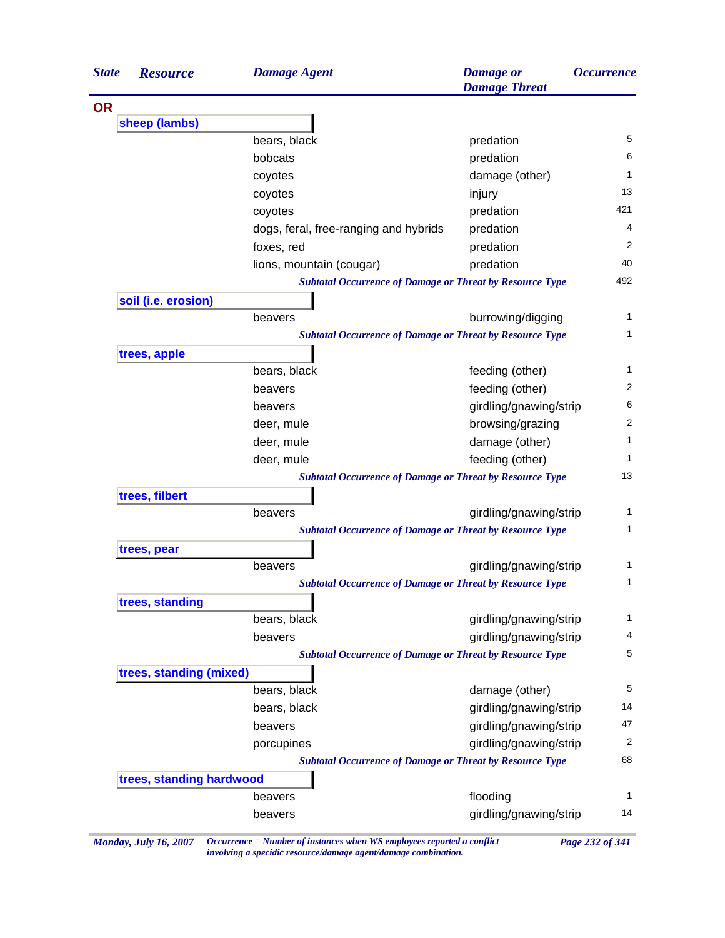| <b>State</b>             | <b>Resource</b>         | <b>Damage Agent</b>                                             | <b>Damage</b> or<br><b>Damage Threat</b> | <i><b>Occurrence</b></i> |  |
|--------------------------|-------------------------|-----------------------------------------------------------------|------------------------------------------|--------------------------|--|
| <b>OR</b>                |                         |                                                                 |                                          |                          |  |
|                          | sheep (lambs)           |                                                                 |                                          |                          |  |
|                          |                         | bears, black                                                    | predation                                | 5                        |  |
|                          |                         | bobcats                                                         | predation                                | 6                        |  |
|                          |                         | coyotes                                                         | damage (other)                           | $\mathbf{1}$             |  |
|                          |                         | coyotes                                                         | injury                                   | 13                       |  |
|                          |                         | coyotes                                                         | predation                                | 421                      |  |
|                          |                         | dogs, feral, free-ranging and hybrids                           | predation                                | 4                        |  |
|                          |                         | foxes, red                                                      | predation                                | 2                        |  |
|                          |                         | lions, mountain (cougar)                                        | predation                                | 40                       |  |
|                          |                         | <b>Subtotal Occurrence of Damage or Threat by Resource Type</b> |                                          | 492                      |  |
|                          | soil (i.e. erosion)     |                                                                 |                                          |                          |  |
|                          |                         | beavers                                                         | burrowing/digging                        | 1                        |  |
|                          |                         | <b>Subtotal Occurrence of Damage or Threat by Resource Type</b> |                                          | 1                        |  |
|                          | trees, apple            |                                                                 |                                          |                          |  |
|                          |                         | bears, black                                                    | feeding (other)                          | 1                        |  |
|                          |                         | beavers                                                         | feeding (other)                          | 2                        |  |
|                          |                         | beavers                                                         | girdling/gnawing/strip                   | 6                        |  |
|                          |                         | deer, mule                                                      | browsing/grazing                         | 2                        |  |
|                          |                         | deer, mule                                                      | damage (other)                           | 1                        |  |
|                          |                         | deer, mule                                                      | feeding (other)                          | 1                        |  |
|                          |                         | <b>Subtotal Occurrence of Damage or Threat by Resource Type</b> |                                          | 13                       |  |
|                          | trees, filbert          |                                                                 |                                          |                          |  |
|                          |                         | beavers                                                         | girdling/gnawing/strip                   | 1                        |  |
|                          |                         | <b>Subtotal Occurrence of Damage or Threat by Resource Type</b> |                                          | $\mathbf{1}$             |  |
|                          | trees, pear             |                                                                 |                                          |                          |  |
|                          |                         | beavers                                                         | girdling/gnawing/strip                   | 1                        |  |
|                          |                         | <b>Subtotal Occurrence of Damage or Threat by Resource Type</b> |                                          | 1                        |  |
|                          | trees, standing         |                                                                 |                                          |                          |  |
|                          |                         | bears, black                                                    | girdling/gnawing/strip                   | 1                        |  |
|                          |                         | beavers                                                         | girdling/gnawing/strip                   | 4                        |  |
|                          |                         | <b>Subtotal Occurrence of Damage or Threat by Resource Type</b> |                                          | 5                        |  |
|                          | trees, standing (mixed) |                                                                 |                                          |                          |  |
|                          |                         | bears, black                                                    | damage (other)                           | 5                        |  |
|                          |                         | bears, black                                                    | girdling/gnawing/strip                   | 14                       |  |
|                          |                         | beavers                                                         | girdling/gnawing/strip                   | 47                       |  |
|                          |                         | porcupines                                                      | girdling/gnawing/strip                   | 2                        |  |
|                          |                         | <b>Subtotal Occurrence of Damage or Threat by Resource Type</b> |                                          | 68                       |  |
| trees, standing hardwood |                         |                                                                 |                                          |                          |  |
|                          |                         | beavers                                                         | flooding                                 | 1                        |  |
|                          |                         | beavers                                                         | girdling/gnawing/strip                   | 14                       |  |
|                          |                         |                                                                 |                                          |                          |  |

*Monday, July 16, 2007 Occurrence = Number of instances when WS employees reported a conflict Page 232 of 341 involving a specidic resource/damage agent/damage combination.*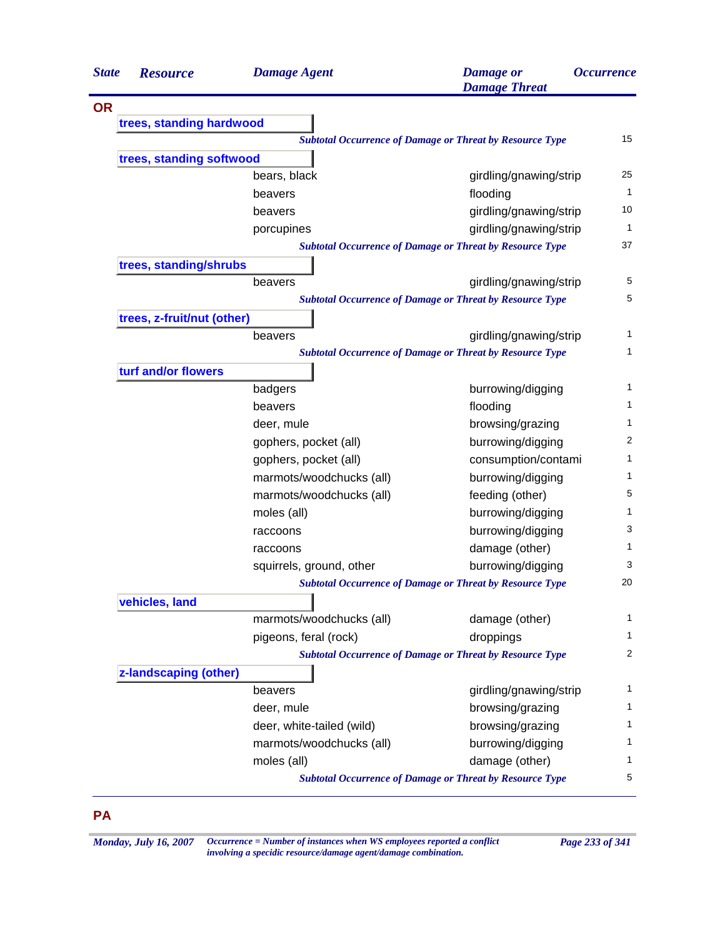| <b>State</b> | <b>Resource</b>                                                 | <b>Damage Agent</b>       | <b>Damage</b> or<br><b>Damage Threat</b>                        | <i><b>Occurrence</b></i> |  |  |  |
|--------------|-----------------------------------------------------------------|---------------------------|-----------------------------------------------------------------|--------------------------|--|--|--|
| <b>OR</b>    |                                                                 |                           |                                                                 |                          |  |  |  |
|              | trees, standing hardwood                                        |                           |                                                                 |                          |  |  |  |
|              | <b>Subtotal Occurrence of Damage or Threat by Resource Type</b> |                           |                                                                 |                          |  |  |  |
|              | trees, standing softwood                                        |                           |                                                                 |                          |  |  |  |
|              |                                                                 | bears, black              | girdling/gnawing/strip                                          | 25                       |  |  |  |
|              |                                                                 | beavers                   | flooding                                                        | 1                        |  |  |  |
|              |                                                                 | beavers                   | girdling/gnawing/strip                                          | 10                       |  |  |  |
|              |                                                                 | porcupines                | girdling/gnawing/strip                                          | 1                        |  |  |  |
|              |                                                                 |                           | <b>Subtotal Occurrence of Damage or Threat by Resource Type</b> | 37                       |  |  |  |
|              | trees, standing/shrubs                                          |                           |                                                                 |                          |  |  |  |
|              |                                                                 | beavers                   | girdling/gnawing/strip                                          | 5                        |  |  |  |
|              |                                                                 |                           | <b>Subtotal Occurrence of Damage or Threat by Resource Type</b> | 5                        |  |  |  |
|              | trees, z-fruit/nut (other)                                      |                           |                                                                 |                          |  |  |  |
|              |                                                                 | beavers                   | girdling/gnawing/strip                                          | 1                        |  |  |  |
|              |                                                                 |                           | <b>Subtotal Occurrence of Damage or Threat by Resource Type</b> | $\mathbf{1}$             |  |  |  |
|              | turf and/or flowers                                             |                           |                                                                 |                          |  |  |  |
|              |                                                                 | badgers                   | burrowing/digging                                               | 1                        |  |  |  |
|              |                                                                 | beavers                   | flooding                                                        | 1                        |  |  |  |
|              |                                                                 | deer, mule                | browsing/grazing                                                | 1                        |  |  |  |
|              |                                                                 | gophers, pocket (all)     | burrowing/digging                                               | $\overline{c}$           |  |  |  |
|              |                                                                 | gophers, pocket (all)     | consumption/contami                                             | 1                        |  |  |  |
|              |                                                                 | marmots/woodchucks (all)  | burrowing/digging                                               | 1                        |  |  |  |
|              |                                                                 | marmots/woodchucks (all)  | feeding (other)                                                 | 5                        |  |  |  |
|              |                                                                 | moles (all)               | burrowing/digging                                               | 1                        |  |  |  |
|              |                                                                 | raccoons                  | burrowing/digging                                               | 3                        |  |  |  |
|              |                                                                 | raccoons                  | damage (other)                                                  | 1                        |  |  |  |
|              |                                                                 | squirrels, ground, other  | burrowing/digging                                               | 3                        |  |  |  |
|              |                                                                 |                           | <b>Subtotal Occurrence of Damage or Threat by Resource Type</b> | 20                       |  |  |  |
|              | vehicles, land                                                  |                           |                                                                 |                          |  |  |  |
|              |                                                                 | marmots/woodchucks (all)  | damage (other)                                                  | 1                        |  |  |  |
|              |                                                                 | pigeons, feral (rock)     | droppings                                                       | 1                        |  |  |  |
|              |                                                                 |                           | <b>Subtotal Occurrence of Damage or Threat by Resource Type</b> | 2                        |  |  |  |
|              | z-landscaping (other)                                           |                           |                                                                 |                          |  |  |  |
|              |                                                                 | beavers                   | girdling/gnawing/strip                                          | 1                        |  |  |  |
|              |                                                                 | deer, mule                | browsing/grazing                                                | 1                        |  |  |  |
|              |                                                                 | deer, white-tailed (wild) | browsing/grazing                                                | 1                        |  |  |  |
|              |                                                                 | marmots/woodchucks (all)  | burrowing/digging                                               | 1                        |  |  |  |
|              |                                                                 | moles (all)               | damage (other)                                                  | 1                        |  |  |  |
|              |                                                                 |                           | <b>Subtotal Occurrence of Damage or Threat by Resource Type</b> | 5                        |  |  |  |

*Monday, July 16, 2007 Occurrence = Number of instances when WS employees reported a conflict Page 233 of 341 involving a specidic resource/damage agent/damage combination.*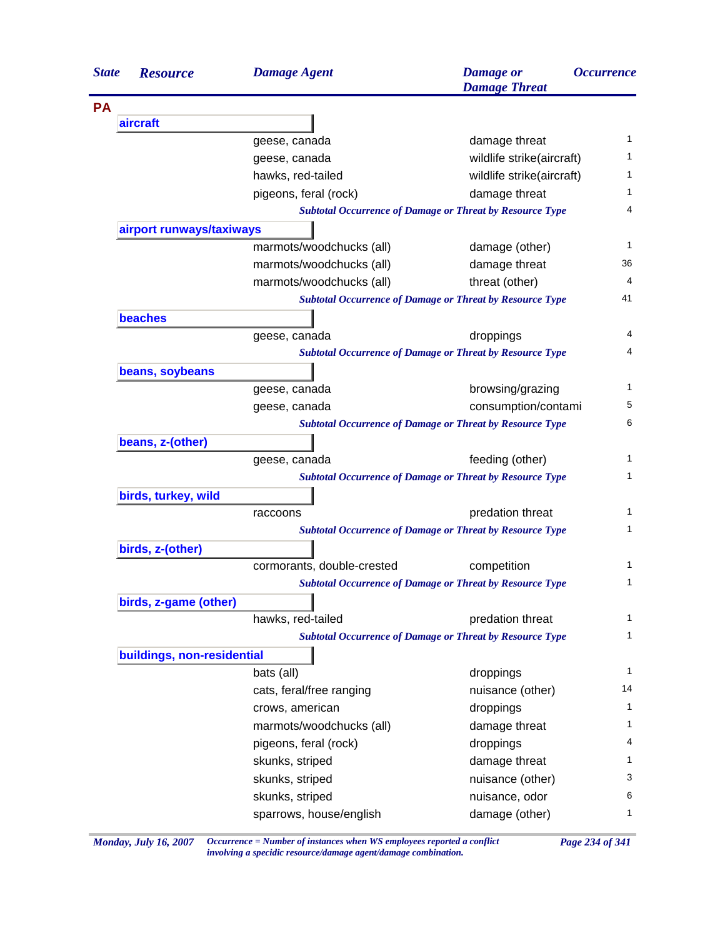| <b>State</b>    | <b>Resource</b>            | <b>Damage Agent</b>        | <b>Damage</b> or<br><b>Damage Threat</b>                        | <i><b>Occurrence</b></i> |
|-----------------|----------------------------|----------------------------|-----------------------------------------------------------------|--------------------------|
| <b>PA</b>       |                            |                            |                                                                 |                          |
| aircraft        |                            |                            |                                                                 |                          |
|                 |                            | geese, canada              | damage threat                                                   | 1                        |
|                 |                            | geese, canada              | wildlife strike(aircraft)                                       | 1                        |
|                 |                            | hawks, red-tailed          | wildlife strike(aircraft)                                       | 1                        |
|                 |                            | pigeons, feral (rock)      | damage threat                                                   | 1                        |
|                 |                            |                            | <b>Subtotal Occurrence of Damage or Threat by Resource Type</b> | 4                        |
|                 | airport runways/taxiways   |                            |                                                                 |                          |
|                 |                            | marmots/woodchucks (all)   | damage (other)                                                  | 1                        |
|                 |                            | marmots/woodchucks (all)   | damage threat                                                   | 36                       |
|                 |                            | marmots/woodchucks (all)   | threat (other)                                                  | 4                        |
|                 |                            |                            | <b>Subtotal Occurrence of Damage or Threat by Resource Type</b> | 41                       |
|                 | <b>beaches</b>             |                            |                                                                 |                          |
|                 |                            | geese, canada              | droppings                                                       | 4                        |
|                 |                            |                            | <b>Subtotal Occurrence of Damage or Threat by Resource Type</b> | 4                        |
| beans, soybeans |                            |                            |                                                                 |                          |
|                 |                            | geese, canada              | browsing/grazing                                                | 1                        |
|                 |                            | geese, canada              | consumption/contami                                             | 5                        |
|                 |                            |                            | <b>Subtotal Occurrence of Damage or Threat by Resource Type</b> | 6                        |
|                 | beans, z-(other)           |                            |                                                                 |                          |
|                 |                            | geese, canada              | feeding (other)                                                 | 1                        |
|                 |                            |                            | <b>Subtotal Occurrence of Damage or Threat by Resource Type</b> | 1                        |
|                 | birds, turkey, wild        |                            |                                                                 |                          |
|                 |                            | raccoons                   | predation threat                                                | 1                        |
|                 |                            |                            | <b>Subtotal Occurrence of Damage or Threat by Resource Type</b> | 1                        |
|                 | birds, z-(other)           |                            |                                                                 |                          |
|                 |                            | cormorants, double-crested | competition                                                     | 1                        |
|                 |                            |                            | <b>Subtotal Occurrence of Damage or Threat by Resource Type</b> | 1                        |
|                 | birds, z-game (other)      |                            |                                                                 |                          |
|                 |                            | hawks, red-tailed          | predation threat                                                | 1                        |
|                 |                            |                            | <b>Subtotal Occurrence of Damage or Threat by Resource Type</b> | $\mathbf{1}$             |
|                 | buildings, non-residential |                            |                                                                 |                          |
|                 |                            | bats (all)                 | droppings                                                       | $\mathbf{1}$             |
|                 |                            | cats, feral/free ranging   | nuisance (other)                                                | 14                       |
|                 |                            | crows, american            | droppings                                                       | 1                        |
|                 |                            | marmots/woodchucks (all)   | damage threat                                                   | 1                        |
|                 |                            | pigeons, feral (rock)      | droppings                                                       | 4                        |
|                 |                            | skunks, striped            | damage threat                                                   | 1                        |
|                 |                            | skunks, striped            |                                                                 | 3                        |
|                 |                            |                            | nuisance (other)                                                | 6                        |
|                 |                            | skunks, striped            | nuisance, odor                                                  |                          |
|                 |                            | sparrows, house/english    | damage (other)                                                  | 1                        |

*Monday, July 16, 2007 Occurrence = Number of instances when WS employees reported a conflict Page 234 of 341 involving a specidic resource/damage agent/damage combination.*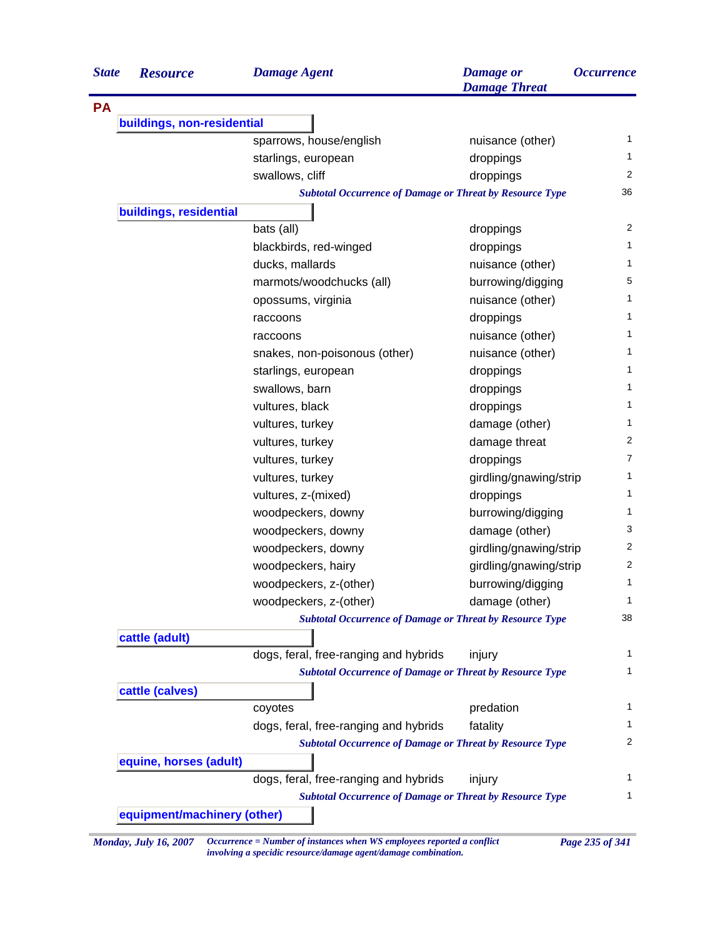| <b>State</b> | <b>Resource</b>             | <b>Damage Agent</b>                                             | <b>Damage</b> or<br><b>Damage Threat</b> | <i><b>Occurrence</b></i> |  |  |
|--------------|-----------------------------|-----------------------------------------------------------------|------------------------------------------|--------------------------|--|--|
| <b>PA</b>    |                             |                                                                 |                                          |                          |  |  |
|              | buildings, non-residential  |                                                                 |                                          |                          |  |  |
|              |                             | sparrows, house/english                                         | nuisance (other)                         |                          |  |  |
|              |                             | starlings, european                                             | droppings                                |                          |  |  |
|              |                             | swallows, cliff                                                 | droppings                                | 2                        |  |  |
|              |                             | <b>Subtotal Occurrence of Damage or Threat by Resource Type</b> |                                          | 36                       |  |  |
|              | buildings, residential      |                                                                 |                                          |                          |  |  |
|              |                             | bats (all)                                                      | droppings                                | 2                        |  |  |
|              |                             | blackbirds, red-winged                                          | droppings                                |                          |  |  |
|              |                             | ducks, mallards                                                 | nuisance (other)                         |                          |  |  |
|              |                             | marmots/woodchucks (all)                                        | burrowing/digging                        |                          |  |  |
|              |                             | opossums, virginia                                              | nuisance (other)                         |                          |  |  |
|              |                             | raccoons                                                        | droppings                                |                          |  |  |
|              |                             | raccoons                                                        | nuisance (other)                         |                          |  |  |
|              |                             | snakes, non-poisonous (other)                                   | nuisance (other)                         |                          |  |  |
|              |                             | starlings, european                                             | droppings                                |                          |  |  |
|              |                             | swallows, barn                                                  | droppings                                |                          |  |  |
|              |                             | vultures, black                                                 | droppings                                |                          |  |  |
|              |                             | vultures, turkey                                                | damage (other)                           |                          |  |  |
|              |                             | vultures, turkey                                                | damage threat                            |                          |  |  |
|              |                             | vultures, turkey                                                | droppings                                |                          |  |  |
|              |                             | vultures, turkey                                                | girdling/gnawing/strip                   |                          |  |  |
|              |                             | vultures, z-(mixed)                                             | droppings                                |                          |  |  |
|              |                             | woodpeckers, downy                                              | burrowing/digging                        |                          |  |  |
|              |                             | woodpeckers, downy                                              | damage (other)                           |                          |  |  |
|              |                             | woodpeckers, downy                                              | girdling/gnawing/strip                   |                          |  |  |
|              |                             | woodpeckers, hairy                                              | girdling/gnawing/strip                   |                          |  |  |
|              |                             | woodpeckers, z-(other)                                          | burrowing/digging                        |                          |  |  |
|              |                             | woodpeckers, z-(other)                                          | damage (other)                           |                          |  |  |
|              |                             | <b>Subtotal Occurrence of Damage or Threat by Resource Type</b> |                                          | 38                       |  |  |
|              | cattle (adult)              |                                                                 |                                          |                          |  |  |
|              |                             | dogs, feral, free-ranging and hybrids                           | injury                                   |                          |  |  |
|              |                             | <b>Subtotal Occurrence of Damage or Threat by Resource Type</b> |                                          |                          |  |  |
|              | cattle (calves)             |                                                                 |                                          |                          |  |  |
|              |                             | coyotes                                                         | predation                                |                          |  |  |
|              |                             | dogs, feral, free-ranging and hybrids                           | fatality                                 |                          |  |  |
|              |                             | <b>Subtotal Occurrence of Damage or Threat by Resource Type</b> |                                          |                          |  |  |
|              | equine, horses (adult)      |                                                                 |                                          |                          |  |  |
|              |                             | dogs, feral, free-ranging and hybrids                           |                                          |                          |  |  |
|              |                             | <b>Subtotal Occurrence of Damage or Threat by Resource Type</b> | injury                                   |                          |  |  |
|              | equipment/machinery (other) |                                                                 |                                          |                          |  |  |

*Monday, July 16, 2007 Occurrence = Number of instances when WS employees reported a conflict Page 235 of 341 involving a specidic resource/damage agent/damage combination.*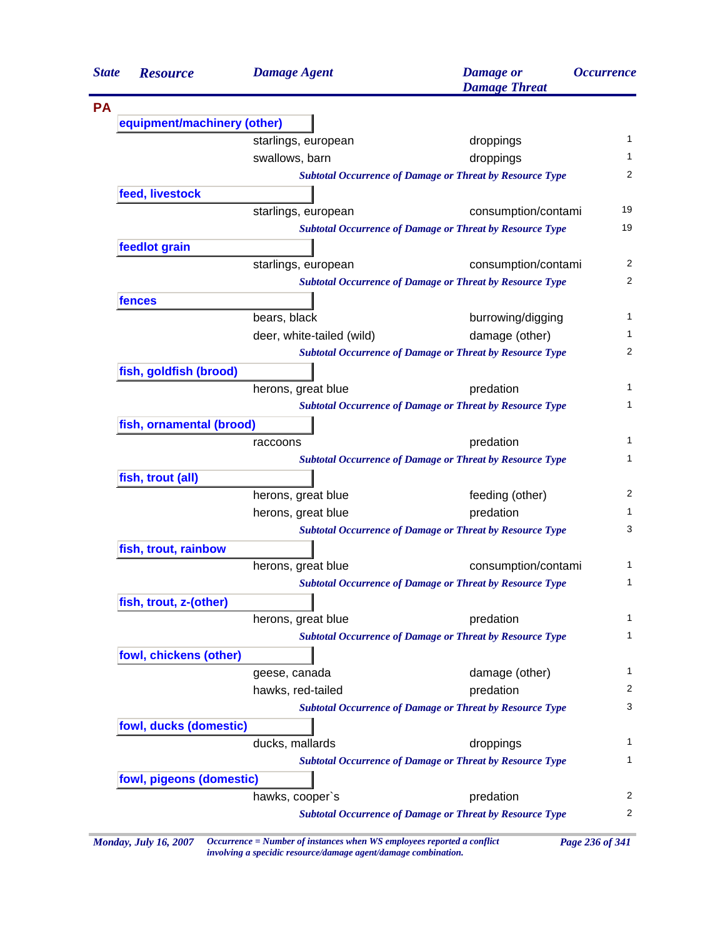| <b>State</b> | <b>Resource</b>             | <b>Damage Agent</b>       | <b>Damage</b> or<br><b>Damage Threat</b>                        | <i><b>Occurrence</b></i> |
|--------------|-----------------------------|---------------------------|-----------------------------------------------------------------|--------------------------|
|              |                             |                           |                                                                 |                          |
|              | equipment/machinery (other) |                           |                                                                 |                          |
|              |                             | starlings, european       | droppings                                                       |                          |
|              |                             | swallows, barn            | droppings                                                       |                          |
|              |                             |                           | <b>Subtotal Occurrence of Damage or Threat by Resource Type</b> |                          |
|              | feed, livestock             |                           |                                                                 |                          |
|              |                             | starlings, european       | consumption/contami                                             | 19                       |
|              |                             |                           | <b>Subtotal Occurrence of Damage or Threat by Resource Type</b> | 19                       |
|              | feedlot grain               |                           |                                                                 |                          |
|              |                             | starlings, european       | consumption/contami                                             |                          |
|              |                             |                           | <b>Subtotal Occurrence of Damage or Threat by Resource Type</b> |                          |
|              | fences                      |                           |                                                                 |                          |
|              |                             | bears, black              | burrowing/digging                                               |                          |
|              |                             | deer, white-tailed (wild) | damage (other)                                                  |                          |
|              |                             |                           | <b>Subtotal Occurrence of Damage or Threat by Resource Type</b> |                          |
|              | fish, goldfish (brood)      |                           |                                                                 |                          |
|              |                             | herons, great blue        | predation                                                       |                          |
|              |                             |                           | <b>Subtotal Occurrence of Damage or Threat by Resource Type</b> |                          |
|              | fish, ornamental (brood)    |                           |                                                                 |                          |
|              |                             | raccoons                  | predation                                                       |                          |
|              |                             |                           | <b>Subtotal Occurrence of Damage or Threat by Resource Type</b> |                          |
|              | fish, trout (all)           |                           |                                                                 |                          |
|              |                             | herons, great blue        | feeding (other)                                                 |                          |
|              |                             | herons, great blue        | predation                                                       |                          |
|              |                             |                           | <b>Subtotal Occurrence of Damage or Threat by Resource Type</b> |                          |
|              | fish, trout, rainbow        |                           |                                                                 |                          |
|              |                             | herons, great blue        | consumption/contami                                             |                          |
|              |                             |                           | <b>Subtotal Occurrence of Damage or Threat by Resource Type</b> |                          |
|              | fish, trout, z-(other)      |                           |                                                                 |                          |
|              |                             | herons, great blue        | predation                                                       |                          |
|              |                             |                           | <b>Subtotal Occurrence of Damage or Threat by Resource Type</b> |                          |
|              | fowl, chickens (other)      |                           |                                                                 |                          |
|              |                             | geese, canada             | damage (other)                                                  |                          |
|              |                             | hawks, red-tailed         | predation                                                       |                          |
|              |                             |                           | <b>Subtotal Occurrence of Damage or Threat by Resource Type</b> |                          |
|              | fowl, ducks (domestic)      |                           |                                                                 |                          |
|              |                             | ducks, mallards           | droppings                                                       |                          |
|              |                             |                           | <b>Subtotal Occurrence of Damage or Threat by Resource Type</b> |                          |
|              | fowl, pigeons (domestic)    |                           |                                                                 |                          |
|              |                             | hawks, cooper's           | predation                                                       |                          |
|              |                             |                           | <b>Subtotal Occurrence of Damage or Threat by Resource Type</b> |                          |

*Monday, July 16, 2007 Occurrence = Number of instances when WS employees reported a conflict Page 236 of 341 involving a specidic resource/damage agent/damage combination.*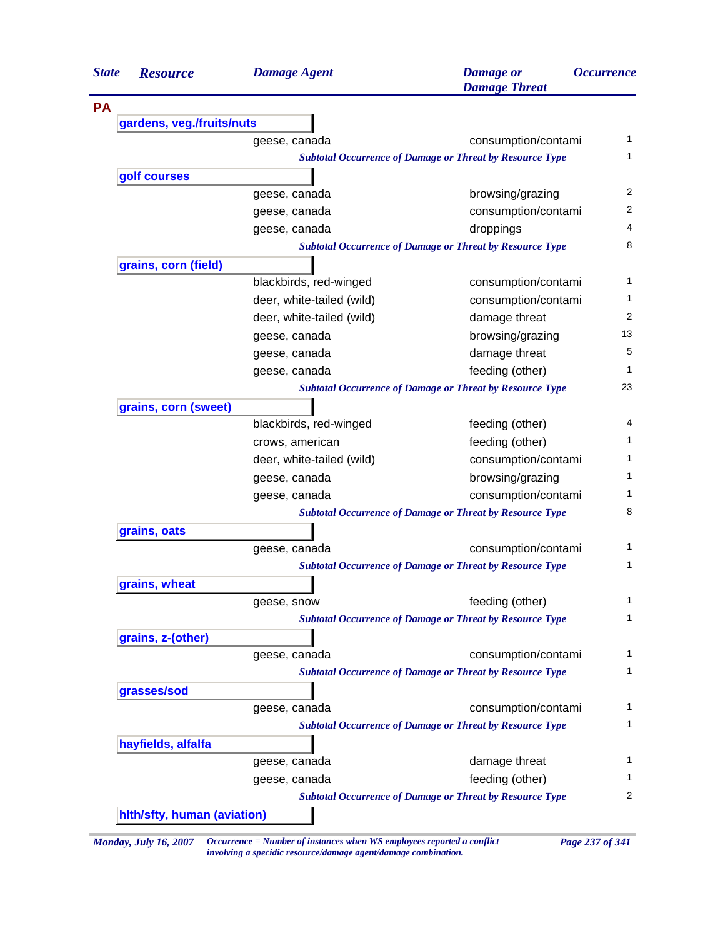| <b>State</b> | <b>Resource</b>             | <b>Damage Agent</b>       | <b>Damage</b> or<br><b>Damage Threat</b>                        | <i><b>Occurrence</b></i> |
|--------------|-----------------------------|---------------------------|-----------------------------------------------------------------|--------------------------|
| <b>PA</b>    |                             |                           |                                                                 |                          |
|              | gardens, veg./fruits/nuts   |                           |                                                                 |                          |
|              |                             | geese, canada             | consumption/contami                                             |                          |
|              |                             |                           | <b>Subtotal Occurrence of Damage or Threat by Resource Type</b> |                          |
|              | golf courses                |                           |                                                                 |                          |
|              |                             | geese, canada             | browsing/grazing                                                |                          |
|              |                             | geese, canada             | consumption/contami                                             |                          |
|              |                             | geese, canada             | droppings                                                       |                          |
|              |                             |                           | <b>Subtotal Occurrence of Damage or Threat by Resource Type</b> |                          |
|              | grains, corn (field)        |                           |                                                                 |                          |
|              |                             | blackbirds, red-winged    | consumption/contami                                             |                          |
|              |                             | deer, white-tailed (wild) | consumption/contami                                             |                          |
|              |                             | deer, white-tailed (wild) | damage threat                                                   |                          |
|              |                             | geese, canada             | browsing/grazing                                                |                          |
|              |                             | geese, canada             | damage threat                                                   |                          |
|              |                             | geese, canada             | feeding (other)                                                 |                          |
|              |                             |                           | <b>Subtotal Occurrence of Damage or Threat by Resource Type</b> |                          |
|              | grains, corn (sweet)        |                           |                                                                 |                          |
|              |                             | blackbirds, red-winged    | feeding (other)                                                 |                          |
|              |                             | crows, american           | feeding (other)                                                 |                          |
|              |                             | deer, white-tailed (wild) | consumption/contami                                             |                          |
|              |                             | geese, canada             | browsing/grazing                                                |                          |
|              |                             | geese, canada             | consumption/contami                                             |                          |
|              |                             |                           | <b>Subtotal Occurrence of Damage or Threat by Resource Type</b> |                          |
|              | grains, oats                |                           |                                                                 |                          |
|              |                             | geese, canada             | consumption/contami                                             |                          |
|              |                             |                           | <b>Subtotal Occurrence of Damage or Threat by Resource Type</b> |                          |
|              | grains, wheat               |                           |                                                                 |                          |
|              |                             | geese, snow               | feeding (other)                                                 |                          |
|              |                             |                           | <b>Subtotal Occurrence of Damage or Threat by Resource Type</b> |                          |
|              | grains, z-(other)           |                           |                                                                 |                          |
|              |                             | geese, canada             | consumption/contami                                             |                          |
|              |                             |                           | <b>Subtotal Occurrence of Damage or Threat by Resource Type</b> |                          |
|              | grasses/sod                 |                           |                                                                 |                          |
|              |                             | geese, canada             | consumption/contami                                             |                          |
|              |                             |                           | <b>Subtotal Occurrence of Damage or Threat by Resource Type</b> |                          |
|              | hayfields, alfalfa          |                           |                                                                 |                          |
|              |                             | geese, canada             | damage threat                                                   |                          |
|              |                             | geese, canada             | feeding (other)                                                 |                          |
|              |                             |                           | <b>Subtotal Occurrence of Damage or Threat by Resource Type</b> |                          |
|              | hith/sfty, human (aviation) |                           |                                                                 |                          |

*involving a specidic resource/damage agent/damage combination.*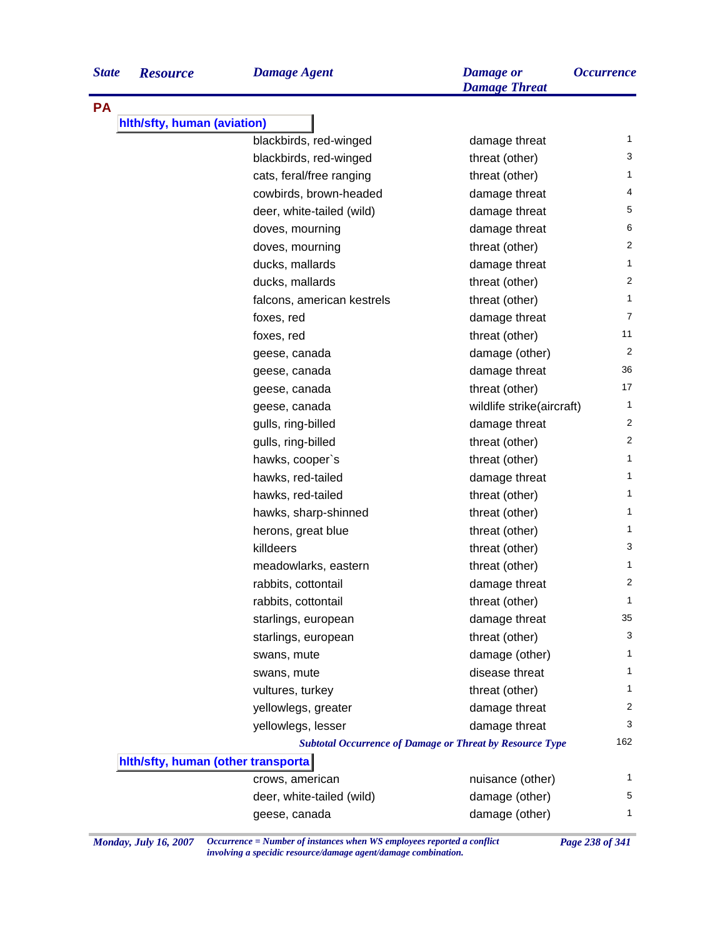| <b>State</b> |  |  |  | <b>Resourc</b> |  |
|--------------|--|--|--|----------------|--|
|--------------|--|--|--|----------------|--|

**PA**

|  |  | Dan |
|--|--|-----|
|  |  |     |

| <b>State</b> | <b>Resource</b>                     | <b>Damage Agent</b>        | <b>Damage</b> or<br><b>Damage Threat</b>                        | <b>Occurrence</b> |
|--------------|-------------------------------------|----------------------------|-----------------------------------------------------------------|-------------------|
| PA           |                                     |                            |                                                                 |                   |
|              | hlth/sfty, human (aviation)         |                            |                                                                 |                   |
|              |                                     | blackbirds, red-winged     | damage threat                                                   | 1                 |
|              |                                     | blackbirds, red-winged     | threat (other)                                                  | 3                 |
|              |                                     | cats, feral/free ranging   | threat (other)                                                  | 1                 |
|              |                                     | cowbirds, brown-headed     | damage threat                                                   | 4                 |
|              |                                     | deer, white-tailed (wild)  | damage threat                                                   | 5                 |
|              |                                     | doves, mourning            | damage threat                                                   | 6                 |
|              |                                     | doves, mourning            | threat (other)                                                  | $\overline{2}$    |
|              |                                     | ducks, mallards            | damage threat                                                   | $\mathbf{1}$      |
|              |                                     | ducks, mallards            | threat (other)                                                  | $\overline{2}$    |
|              |                                     | falcons, american kestrels | threat (other)                                                  | $\mathbf{1}$      |
|              |                                     | foxes, red                 | damage threat                                                   | $\overline{7}$    |
|              |                                     | foxes, red                 | threat (other)                                                  | 11                |
|              |                                     | geese, canada              | damage (other)                                                  | $\overline{2}$    |
|              |                                     | geese, canada              | damage threat                                                   | 36                |
|              |                                     | geese, canada              | threat (other)                                                  | 17                |
|              |                                     | geese, canada              | wildlife strike(aircraft)                                       | $\mathbf{1}$      |
|              |                                     | gulls, ring-billed         | damage threat                                                   | 2                 |
|              |                                     | gulls, ring-billed         | threat (other)                                                  | $\overline{2}$    |
|              |                                     | hawks, cooper's            | threat (other)                                                  | 1                 |
|              |                                     | hawks, red-tailed          | damage threat                                                   | 1                 |
|              |                                     | hawks, red-tailed          | threat (other)                                                  | 1                 |
|              |                                     | hawks, sharp-shinned       | threat (other)                                                  | 1                 |
|              |                                     | herons, great blue         | threat (other)                                                  | 1                 |
|              |                                     | killdeers                  | threat (other)                                                  | 3                 |
|              |                                     | meadowlarks, eastern       | threat (other)                                                  | 1                 |
|              |                                     | rabbits, cottontail        | damage threat                                                   | $\overline{c}$    |
|              |                                     | rabbits, cottontail        | threat (other)                                                  | 1                 |
|              |                                     | starlings, european        | damage threat                                                   | 35                |
|              |                                     | starlings, european        | threat (other)                                                  | 3                 |
|              |                                     | swans, mute                | damage (other)                                                  | 1                 |
|              |                                     | swans, mute                | disease threat                                                  | 1                 |
|              |                                     | vultures, turkey           | threat (other)                                                  | 1                 |
|              |                                     | yellowlegs, greater        | damage threat                                                   | 2                 |
|              |                                     | yellowlegs, lesser         | damage threat                                                   | 3                 |
|              |                                     |                            | <b>Subtotal Occurrence of Damage or Threat by Resource Type</b> | 162               |
|              | hith/sfty, human (other transporta) |                            |                                                                 |                   |
|              |                                     | crows, american            | nuisance (other)                                                | 1                 |
|              |                                     | deer, white-tailed (wild)  | damage (other)                                                  | 5                 |
|              |                                     | geese, canada              | damage (other)                                                  | 1                 |

*Monday, July 16, 2007 Occurrence = Number of instances when WS employees reported a conflict Page 238 of 341 involving a specidic resource/damage agent/damage combination.*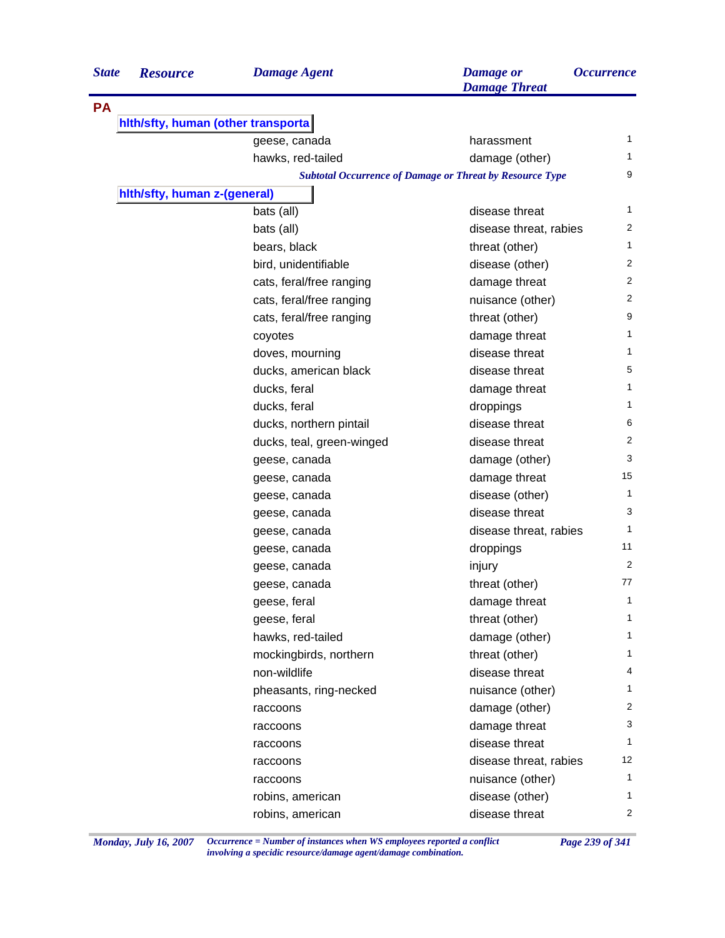| hith/sfty, human (other transporta)<br>geese, canada<br>harassment<br>hawks, red-tailed<br>damage (other)<br><b>Subtotal Occurrence of Damage or Threat by Resource Type</b><br>hith/sfty, human z-(general)<br>bats (all)<br>disease threat<br>bats (all)<br>disease threat, rabies<br>bears, black<br>threat (other)<br>bird, unidentifiable<br>disease (other)<br>cats, feral/free ranging<br>damage threat<br>cats, feral/free ranging<br>nuisance (other)<br>cats, feral/free ranging<br>threat (other)<br>damage threat<br>coyotes<br>disease threat<br>doves, mourning<br>ducks, american black<br>disease threat<br>ducks, feral<br>damage threat<br>ducks, feral<br>droppings<br>disease threat<br>ducks, northern pintail<br>disease threat<br>ducks, teal, green-winged<br>damage (other)<br>geese, canada<br>damage threat<br>geese, canada<br>disease (other)<br>geese, canada<br>disease threat<br>geese, canada<br>disease threat, rabies<br>geese, canada<br>droppings<br>geese, canada<br>injury<br>geese, canada<br>geese, canada<br>threat (other)<br>damage threat<br>geese, feral<br>geese, feral<br>threat (other)<br>hawks, red-tailed<br>damage (other)<br>mockingbirds, northern<br>threat (other)<br>disease threat<br>non-wildlife<br>pheasants, ring-necked<br>nuisance (other)<br>damage (other)<br>raccoons<br>damage threat<br>raccoons<br>disease threat<br>raccoons<br>disease threat, rabies<br>raccoons<br>nuisance (other)<br>raccoons<br>disease (other)<br>robins, american | <b>State</b> | <b>Resource</b> | <b>Damage Agent</b> | <b>Damage</b> or<br><b>Damage Threat</b> | <i><b>Occurrence</b></i> |
|-------------------------------------------------------------------------------------------------------------------------------------------------------------------------------------------------------------------------------------------------------------------------------------------------------------------------------------------------------------------------------------------------------------------------------------------------------------------------------------------------------------------------------------------------------------------------------------------------------------------------------------------------------------------------------------------------------------------------------------------------------------------------------------------------------------------------------------------------------------------------------------------------------------------------------------------------------------------------------------------------------------------------------------------------------------------------------------------------------------------------------------------------------------------------------------------------------------------------------------------------------------------------------------------------------------------------------------------------------------------------------------------------------------------------------------------------------------------------------------------------------------------|--------------|-----------------|---------------------|------------------------------------------|--------------------------|
|                                                                                                                                                                                                                                                                                                                                                                                                                                                                                                                                                                                                                                                                                                                                                                                                                                                                                                                                                                                                                                                                                                                                                                                                                                                                                                                                                                                                                                                                                                                   | <b>PA</b>    |                 |                     |                                          |                          |
|                                                                                                                                                                                                                                                                                                                                                                                                                                                                                                                                                                                                                                                                                                                                                                                                                                                                                                                                                                                                                                                                                                                                                                                                                                                                                                                                                                                                                                                                                                                   |              |                 |                     |                                          |                          |
|                                                                                                                                                                                                                                                                                                                                                                                                                                                                                                                                                                                                                                                                                                                                                                                                                                                                                                                                                                                                                                                                                                                                                                                                                                                                                                                                                                                                                                                                                                                   |              |                 |                     |                                          | 1                        |
|                                                                                                                                                                                                                                                                                                                                                                                                                                                                                                                                                                                                                                                                                                                                                                                                                                                                                                                                                                                                                                                                                                                                                                                                                                                                                                                                                                                                                                                                                                                   |              |                 |                     |                                          | 1                        |
|                                                                                                                                                                                                                                                                                                                                                                                                                                                                                                                                                                                                                                                                                                                                                                                                                                                                                                                                                                                                                                                                                                                                                                                                                                                                                                                                                                                                                                                                                                                   |              |                 |                     |                                          | 9                        |
|                                                                                                                                                                                                                                                                                                                                                                                                                                                                                                                                                                                                                                                                                                                                                                                                                                                                                                                                                                                                                                                                                                                                                                                                                                                                                                                                                                                                                                                                                                                   |              |                 |                     |                                          |                          |
|                                                                                                                                                                                                                                                                                                                                                                                                                                                                                                                                                                                                                                                                                                                                                                                                                                                                                                                                                                                                                                                                                                                                                                                                                                                                                                                                                                                                                                                                                                                   |              |                 |                     |                                          | 1                        |
|                                                                                                                                                                                                                                                                                                                                                                                                                                                                                                                                                                                                                                                                                                                                                                                                                                                                                                                                                                                                                                                                                                                                                                                                                                                                                                                                                                                                                                                                                                                   |              |                 |                     |                                          | 2                        |
|                                                                                                                                                                                                                                                                                                                                                                                                                                                                                                                                                                                                                                                                                                                                                                                                                                                                                                                                                                                                                                                                                                                                                                                                                                                                                                                                                                                                                                                                                                                   |              |                 |                     |                                          | 1                        |
|                                                                                                                                                                                                                                                                                                                                                                                                                                                                                                                                                                                                                                                                                                                                                                                                                                                                                                                                                                                                                                                                                                                                                                                                                                                                                                                                                                                                                                                                                                                   |              |                 |                     |                                          | 2                        |
|                                                                                                                                                                                                                                                                                                                                                                                                                                                                                                                                                                                                                                                                                                                                                                                                                                                                                                                                                                                                                                                                                                                                                                                                                                                                                                                                                                                                                                                                                                                   |              |                 |                     |                                          | 2                        |
|                                                                                                                                                                                                                                                                                                                                                                                                                                                                                                                                                                                                                                                                                                                                                                                                                                                                                                                                                                                                                                                                                                                                                                                                                                                                                                                                                                                                                                                                                                                   |              |                 |                     |                                          | $\overline{2}$           |
|                                                                                                                                                                                                                                                                                                                                                                                                                                                                                                                                                                                                                                                                                                                                                                                                                                                                                                                                                                                                                                                                                                                                                                                                                                                                                                                                                                                                                                                                                                                   |              |                 |                     |                                          | 9                        |
|                                                                                                                                                                                                                                                                                                                                                                                                                                                                                                                                                                                                                                                                                                                                                                                                                                                                                                                                                                                                                                                                                                                                                                                                                                                                                                                                                                                                                                                                                                                   |              |                 |                     |                                          | 1                        |
|                                                                                                                                                                                                                                                                                                                                                                                                                                                                                                                                                                                                                                                                                                                                                                                                                                                                                                                                                                                                                                                                                                                                                                                                                                                                                                                                                                                                                                                                                                                   |              |                 |                     |                                          | 1                        |
|                                                                                                                                                                                                                                                                                                                                                                                                                                                                                                                                                                                                                                                                                                                                                                                                                                                                                                                                                                                                                                                                                                                                                                                                                                                                                                                                                                                                                                                                                                                   |              |                 |                     |                                          | 5                        |
|                                                                                                                                                                                                                                                                                                                                                                                                                                                                                                                                                                                                                                                                                                                                                                                                                                                                                                                                                                                                                                                                                                                                                                                                                                                                                                                                                                                                                                                                                                                   |              |                 |                     |                                          | $\mathbf{1}$             |
|                                                                                                                                                                                                                                                                                                                                                                                                                                                                                                                                                                                                                                                                                                                                                                                                                                                                                                                                                                                                                                                                                                                                                                                                                                                                                                                                                                                                                                                                                                                   |              |                 |                     |                                          | 1                        |
|                                                                                                                                                                                                                                                                                                                                                                                                                                                                                                                                                                                                                                                                                                                                                                                                                                                                                                                                                                                                                                                                                                                                                                                                                                                                                                                                                                                                                                                                                                                   |              |                 |                     |                                          | 6                        |
|                                                                                                                                                                                                                                                                                                                                                                                                                                                                                                                                                                                                                                                                                                                                                                                                                                                                                                                                                                                                                                                                                                                                                                                                                                                                                                                                                                                                                                                                                                                   |              |                 |                     |                                          | $\overline{2}$           |
|                                                                                                                                                                                                                                                                                                                                                                                                                                                                                                                                                                                                                                                                                                                                                                                                                                                                                                                                                                                                                                                                                                                                                                                                                                                                                                                                                                                                                                                                                                                   |              |                 |                     |                                          | 3                        |
|                                                                                                                                                                                                                                                                                                                                                                                                                                                                                                                                                                                                                                                                                                                                                                                                                                                                                                                                                                                                                                                                                                                                                                                                                                                                                                                                                                                                                                                                                                                   |              |                 |                     |                                          | 15                       |
|                                                                                                                                                                                                                                                                                                                                                                                                                                                                                                                                                                                                                                                                                                                                                                                                                                                                                                                                                                                                                                                                                                                                                                                                                                                                                                                                                                                                                                                                                                                   |              |                 |                     |                                          | 1                        |
|                                                                                                                                                                                                                                                                                                                                                                                                                                                                                                                                                                                                                                                                                                                                                                                                                                                                                                                                                                                                                                                                                                                                                                                                                                                                                                                                                                                                                                                                                                                   |              |                 |                     |                                          | 3                        |
|                                                                                                                                                                                                                                                                                                                                                                                                                                                                                                                                                                                                                                                                                                                                                                                                                                                                                                                                                                                                                                                                                                                                                                                                                                                                                                                                                                                                                                                                                                                   |              |                 |                     |                                          | 1                        |
|                                                                                                                                                                                                                                                                                                                                                                                                                                                                                                                                                                                                                                                                                                                                                                                                                                                                                                                                                                                                                                                                                                                                                                                                                                                                                                                                                                                                                                                                                                                   |              |                 |                     |                                          | 11                       |
|                                                                                                                                                                                                                                                                                                                                                                                                                                                                                                                                                                                                                                                                                                                                                                                                                                                                                                                                                                                                                                                                                                                                                                                                                                                                                                                                                                                                                                                                                                                   |              |                 |                     |                                          | 2                        |
|                                                                                                                                                                                                                                                                                                                                                                                                                                                                                                                                                                                                                                                                                                                                                                                                                                                                                                                                                                                                                                                                                                                                                                                                                                                                                                                                                                                                                                                                                                                   |              |                 |                     |                                          | 77                       |
|                                                                                                                                                                                                                                                                                                                                                                                                                                                                                                                                                                                                                                                                                                                                                                                                                                                                                                                                                                                                                                                                                                                                                                                                                                                                                                                                                                                                                                                                                                                   |              |                 |                     |                                          | 1                        |
|                                                                                                                                                                                                                                                                                                                                                                                                                                                                                                                                                                                                                                                                                                                                                                                                                                                                                                                                                                                                                                                                                                                                                                                                                                                                                                                                                                                                                                                                                                                   |              |                 |                     |                                          | 1                        |
|                                                                                                                                                                                                                                                                                                                                                                                                                                                                                                                                                                                                                                                                                                                                                                                                                                                                                                                                                                                                                                                                                                                                                                                                                                                                                                                                                                                                                                                                                                                   |              |                 |                     |                                          | 1                        |
|                                                                                                                                                                                                                                                                                                                                                                                                                                                                                                                                                                                                                                                                                                                                                                                                                                                                                                                                                                                                                                                                                                                                                                                                                                                                                                                                                                                                                                                                                                                   |              |                 |                     |                                          | 1                        |
|                                                                                                                                                                                                                                                                                                                                                                                                                                                                                                                                                                                                                                                                                                                                                                                                                                                                                                                                                                                                                                                                                                                                                                                                                                                                                                                                                                                                                                                                                                                   |              |                 |                     |                                          | 4                        |
|                                                                                                                                                                                                                                                                                                                                                                                                                                                                                                                                                                                                                                                                                                                                                                                                                                                                                                                                                                                                                                                                                                                                                                                                                                                                                                                                                                                                                                                                                                                   |              |                 |                     |                                          | 1                        |
|                                                                                                                                                                                                                                                                                                                                                                                                                                                                                                                                                                                                                                                                                                                                                                                                                                                                                                                                                                                                                                                                                                                                                                                                                                                                                                                                                                                                                                                                                                                   |              |                 |                     |                                          | 2                        |
|                                                                                                                                                                                                                                                                                                                                                                                                                                                                                                                                                                                                                                                                                                                                                                                                                                                                                                                                                                                                                                                                                                                                                                                                                                                                                                                                                                                                                                                                                                                   |              |                 |                     |                                          | 3                        |
|                                                                                                                                                                                                                                                                                                                                                                                                                                                                                                                                                                                                                                                                                                                                                                                                                                                                                                                                                                                                                                                                                                                                                                                                                                                                                                                                                                                                                                                                                                                   |              |                 |                     |                                          | 1                        |
|                                                                                                                                                                                                                                                                                                                                                                                                                                                                                                                                                                                                                                                                                                                                                                                                                                                                                                                                                                                                                                                                                                                                                                                                                                                                                                                                                                                                                                                                                                                   |              |                 |                     |                                          | 12                       |
|                                                                                                                                                                                                                                                                                                                                                                                                                                                                                                                                                                                                                                                                                                                                                                                                                                                                                                                                                                                                                                                                                                                                                                                                                                                                                                                                                                                                                                                                                                                   |              |                 |                     |                                          | 1                        |
|                                                                                                                                                                                                                                                                                                                                                                                                                                                                                                                                                                                                                                                                                                                                                                                                                                                                                                                                                                                                                                                                                                                                                                                                                                                                                                                                                                                                                                                                                                                   |              |                 |                     |                                          | 1                        |
|                                                                                                                                                                                                                                                                                                                                                                                                                                                                                                                                                                                                                                                                                                                                                                                                                                                                                                                                                                                                                                                                                                                                                                                                                                                                                                                                                                                                                                                                                                                   |              |                 | robins, american    | disease threat                           | $\overline{2}$           |

*Monday, July 16, 2007 Occurrence = Number of instances when WS employees reported a conflict Page 239 of 341 involving a specidic resource/damage agent/damage combination.*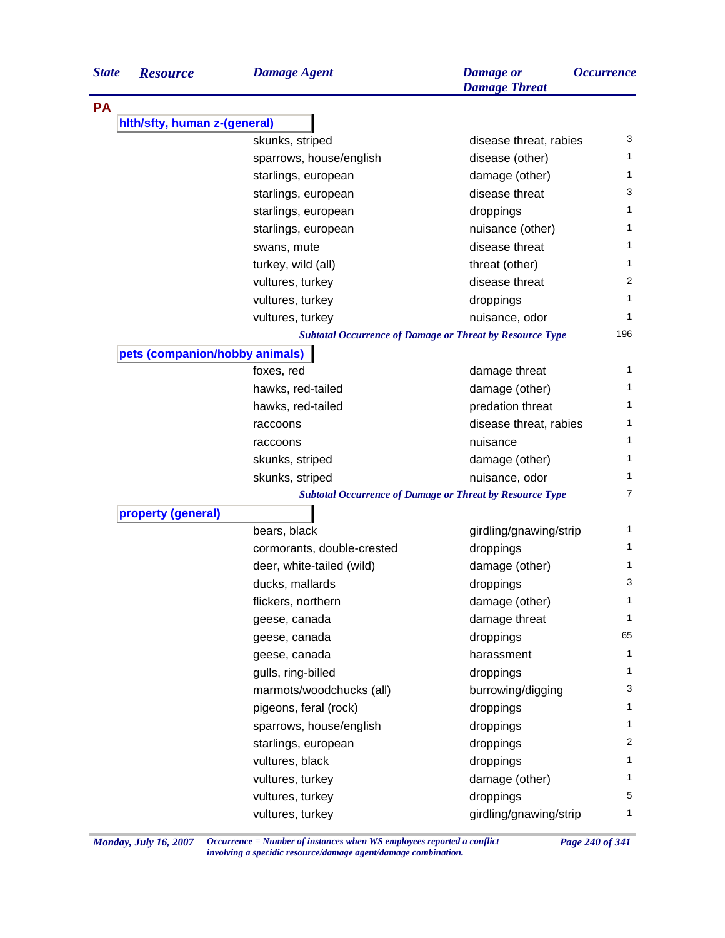| <b>State</b> | <b>Resource</b>                | <b>Damage Agent</b>        | <b>Damage</b> or<br><b>Damage Threat</b>                        | <i><b>Occurrence</b></i> |
|--------------|--------------------------------|----------------------------|-----------------------------------------------------------------|--------------------------|
| <b>PA</b>    |                                |                            |                                                                 |                          |
|              | hith/sfty, human z-(general)   |                            |                                                                 |                          |
|              |                                | skunks, striped            | disease threat, rabies                                          | 3                        |
|              |                                | sparrows, house/english    | disease (other)                                                 | 1                        |
|              |                                | starlings, european        | damage (other)                                                  | 1                        |
|              |                                | starlings, european        | disease threat                                                  | 3                        |
|              |                                | starlings, european        | droppings                                                       | 1                        |
|              |                                | starlings, european        | nuisance (other)                                                | 1                        |
|              |                                | swans, mute                | disease threat                                                  | 1                        |
|              |                                | turkey, wild (all)         | threat (other)                                                  | 1                        |
|              |                                | vultures, turkey           | disease threat                                                  | 2                        |
|              |                                | vultures, turkey           | droppings                                                       | 1                        |
|              |                                | vultures, turkey           | nuisance, odor                                                  | 1                        |
|              |                                |                            | <b>Subtotal Occurrence of Damage or Threat by Resource Type</b> | 196                      |
|              | pets (companion/hobby animals) |                            |                                                                 |                          |
|              |                                | foxes, red                 | damage threat                                                   | 1                        |
|              |                                | hawks, red-tailed          | damage (other)                                                  | 1                        |
|              |                                | hawks, red-tailed          | predation threat                                                | 1                        |
|              |                                | raccoons                   | disease threat, rabies                                          | 1                        |
|              |                                | raccoons                   | nuisance                                                        | 1                        |
|              |                                | skunks, striped            | damage (other)                                                  | 1                        |
|              |                                | skunks, striped            | nuisance, odor                                                  | 1                        |
|              |                                |                            | <b>Subtotal Occurrence of Damage or Threat by Resource Type</b> | 7                        |
|              | property (general)             |                            |                                                                 |                          |
|              |                                | bears, black               | girdling/gnawing/strip                                          | 1                        |
|              |                                | cormorants, double-crested | droppings                                                       | 1                        |
|              |                                | deer, white-tailed (wild)  | damage (other)                                                  | 1                        |
|              |                                | ducks, mallards            | droppings                                                       | 3                        |
|              |                                | flickers, northern         | damage (other)                                                  | 1                        |
|              |                                | geese, canada              | damage threat                                                   | 1                        |
|              |                                | geese, canada              | droppings                                                       | 65                       |
|              |                                | geese, canada              | harassment                                                      | 1                        |
|              |                                | gulls, ring-billed         | droppings                                                       | 1                        |
|              |                                | marmots/woodchucks (all)   | burrowing/digging                                               | 3                        |
|              |                                | pigeons, feral (rock)      | droppings                                                       | 1                        |
|              |                                | sparrows, house/english    | droppings                                                       | 1                        |
|              |                                | starlings, european        | droppings                                                       | 2                        |
|              |                                | vultures, black            | droppings                                                       | 1                        |
|              |                                | vultures, turkey           | damage (other)                                                  | 1                        |
|              |                                | vultures, turkey           | droppings                                                       | 5                        |
|              |                                | vultures, turkey           | girdling/gnawing/strip                                          | 1                        |

*Monday, July 16, 2007 Occurrence = Number of instances when WS employees reported a conflict Page 240 of 341 involving a specidic resource/damage agent/damage combination.*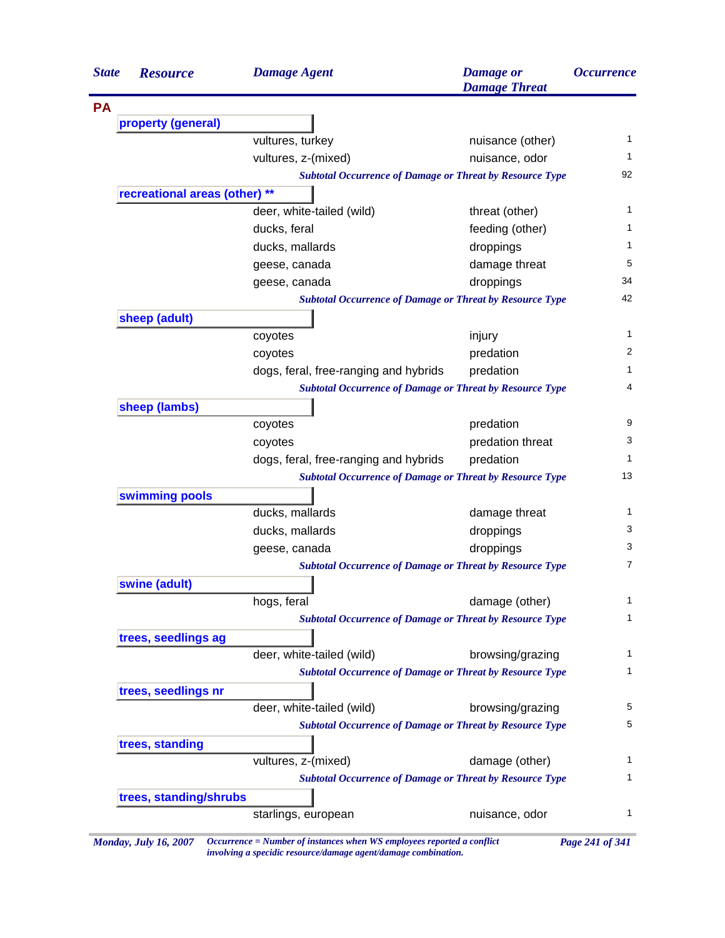| <b>State</b> | <b>Resource</b>               | <b>Damage Agent</b>                                             | <b>Damage</b> or<br><b>Damage Threat</b> | <i><b>Occurrence</b></i> |
|--------------|-------------------------------|-----------------------------------------------------------------|------------------------------------------|--------------------------|
| <b>PA</b>    |                               |                                                                 |                                          |                          |
|              | property (general)            |                                                                 |                                          |                          |
|              |                               | vultures, turkey                                                | nuisance (other)                         | 1                        |
|              |                               | vultures, z-(mixed)                                             | nuisance, odor                           | 1                        |
|              |                               | <b>Subtotal Occurrence of Damage or Threat by Resource Type</b> |                                          | 92                       |
|              | recreational areas (other) ** |                                                                 |                                          |                          |
|              |                               | deer, white-tailed (wild)                                       | threat (other)                           | 1                        |
|              |                               | ducks, feral                                                    | feeding (other)                          | 1                        |
|              |                               | ducks, mallards                                                 | droppings                                | 1                        |
|              |                               | geese, canada                                                   | damage threat                            | 5                        |
|              |                               | geese, canada                                                   | droppings                                | 34                       |
|              |                               | <b>Subtotal Occurrence of Damage or Threat by Resource Type</b> |                                          | 42                       |
|              | sheep (adult)                 |                                                                 |                                          |                          |
|              |                               | coyotes                                                         | injury                                   | 1                        |
|              |                               | coyotes                                                         | predation                                | 2                        |
|              |                               | dogs, feral, free-ranging and hybrids                           | predation                                | 1                        |
|              |                               | <b>Subtotal Occurrence of Damage or Threat by Resource Type</b> |                                          | 4                        |
|              | sheep (lambs)                 |                                                                 |                                          |                          |
|              |                               | coyotes                                                         | predation                                | 9                        |
|              |                               | coyotes                                                         | predation threat                         | 3                        |
|              |                               | dogs, feral, free-ranging and hybrids                           | predation                                | 1                        |
|              |                               | <b>Subtotal Occurrence of Damage or Threat by Resource Type</b> |                                          | 13                       |
|              | swimming pools                |                                                                 |                                          |                          |
|              |                               | ducks, mallards                                                 | damage threat                            | 1                        |
|              |                               | ducks, mallards                                                 | droppings                                | 3                        |
|              |                               | geese, canada                                                   | droppings                                | 3                        |
|              |                               | <b>Subtotal Occurrence of Damage or Threat by Resource Type</b> |                                          | $\overline{7}$           |
|              | swine (adult)                 |                                                                 |                                          |                          |
|              |                               | hogs, feral                                                     | damage (other)                           | 1                        |
|              |                               | <b>Subtotal Occurrence of Damage or Threat by Resource Type</b> |                                          | 1                        |
|              | trees, seedlings ag           |                                                                 |                                          |                          |
|              |                               | deer, white-tailed (wild)                                       | browsing/grazing                         | 1                        |
|              |                               | <b>Subtotal Occurrence of Damage or Threat by Resource Type</b> |                                          | 1                        |
|              | trees, seedlings nr           |                                                                 |                                          |                          |
|              |                               | deer, white-tailed (wild)                                       | browsing/grazing                         | 5                        |
|              |                               | <b>Subtotal Occurrence of Damage or Threat by Resource Type</b> |                                          | 5                        |
|              | trees, standing               |                                                                 |                                          |                          |
|              |                               | vultures, z-(mixed)                                             | damage (other)                           | 1                        |
|              |                               | <b>Subtotal Occurrence of Damage or Threat by Resource Type</b> |                                          | 1                        |
|              | trees, standing/shrubs        |                                                                 |                                          |                          |
|              |                               | starlings, european                                             | nuisance, odor                           | 1                        |
|              |                               |                                                                 |                                          |                          |

*Monday, July 16, 2007 Occurrence = Number of instances when WS employees reported a conflict Page 241 of 341 involving a specidic resource/damage agent/damage combination.*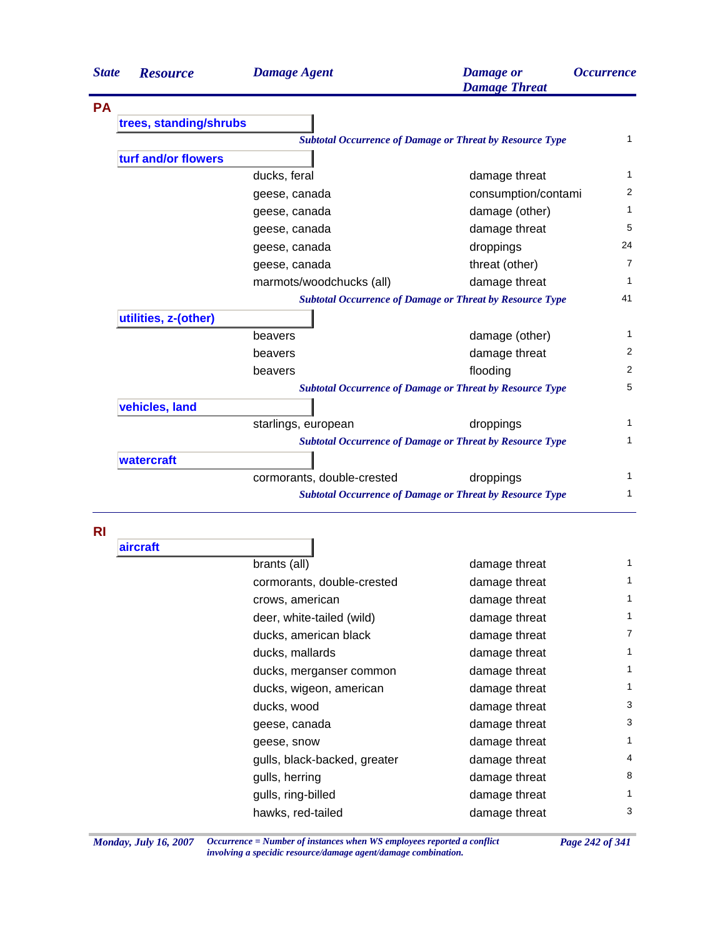| <b>State</b> | <b>Resource</b>        | <b>Damage Agent</b>        | <b>Damage</b> or<br><b>Damage Threat</b>                        | <i><b>Occurrence</b></i> |
|--------------|------------------------|----------------------------|-----------------------------------------------------------------|--------------------------|
| <b>PA</b>    |                        |                            |                                                                 |                          |
|              | trees, standing/shrubs |                            |                                                                 |                          |
|              |                        |                            | <b>Subtotal Occurrence of Damage or Threat by Resource Type</b> | $\mathbf 1$              |
|              | turf and/or flowers    |                            |                                                                 |                          |
|              |                        | ducks, feral               | damage threat                                                   | 1                        |
|              |                        | geese, canada              | consumption/contami                                             | 2                        |
|              |                        | geese, canada              | damage (other)                                                  | 1                        |
|              |                        | geese, canada              | damage threat                                                   | 5                        |
|              |                        | geese, canada              | droppings                                                       | 24                       |
|              |                        | geese, canada              | threat (other)                                                  | $\overline{7}$           |
|              |                        | marmots/woodchucks (all)   | damage threat                                                   | 1                        |
|              |                        |                            | <b>Subtotal Occurrence of Damage or Threat by Resource Type</b> | 41                       |
|              | utilities, z-(other)   |                            |                                                                 |                          |
|              |                        | beavers                    | damage (other)                                                  | 1                        |
|              |                        | beavers                    | damage threat                                                   | $\overline{2}$           |
|              |                        | beavers                    | flooding                                                        | 2                        |
|              |                        |                            | <b>Subtotal Occurrence of Damage or Threat by Resource Type</b> | 5                        |
|              | vehicles, land         |                            |                                                                 |                          |
|              |                        | starlings, european        | droppings                                                       | $\mathbf{1}$             |
|              |                        |                            | <b>Subtotal Occurrence of Damage or Threat by Resource Type</b> | 1                        |
|              | watercraft             |                            |                                                                 |                          |
|              |                        | cormorants, double-crested | droppings                                                       | 1                        |
|              |                        |                            | <b>Subtotal Occurrence of Damage or Threat by Resource Type</b> | 1                        |

**RI**

| aircraft |                              |               |              |
|----------|------------------------------|---------------|--------------|
|          | brants (all)                 | damage threat | $\mathbf{1}$ |
|          | cormorants, double-crested   | damage threat | 1            |
|          | crows, american              | damage threat | 1            |
|          | deer, white-tailed (wild)    | damage threat | 1            |
|          | ducks, american black        | damage threat | 7            |
|          | ducks, mallards              | damage threat | 1            |
|          | ducks, merganser common      | damage threat | $\mathbf{1}$ |
|          | ducks, wigeon, american      | damage threat | 1            |
|          | ducks, wood                  | damage threat | 3            |
|          | geese, canada                | damage threat | 3            |
|          | geese, snow                  | damage threat | $\mathbf{1}$ |
|          | gulls, black-backed, greater | damage threat | 4            |
|          | gulls, herring               | damage threat | 8            |
|          | gulls, ring-billed           | damage threat | 1            |
|          | hawks, red-tailed            | damage threat | 3            |
|          |                              |               |              |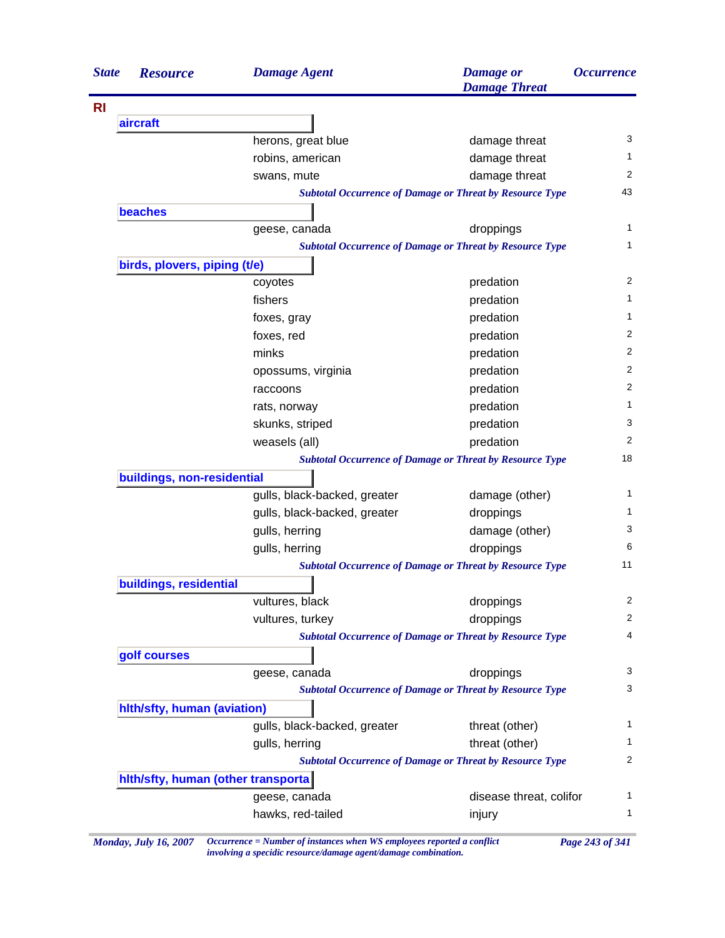| <b>State</b> | <b>Resource</b>              | <b>Damage Agent</b>                | <b>Damage</b> or<br><b>Damage Threat</b>                        | <i><b>Occurrence</b></i> |
|--------------|------------------------------|------------------------------------|-----------------------------------------------------------------|--------------------------|
|              |                              |                                    |                                                                 |                          |
|              | aircraft                     |                                    |                                                                 |                          |
|              |                              | herons, great blue                 | damage threat                                                   | 3                        |
|              |                              | robins, american                   | damage threat                                                   |                          |
|              |                              | swans, mute                        | damage threat                                                   | 2                        |
|              |                              |                                    | <b>Subtotal Occurrence of Damage or Threat by Resource Type</b> | 43                       |
|              | <b>beaches</b>               |                                    |                                                                 |                          |
|              |                              | geese, canada                      | droppings                                                       |                          |
|              |                              |                                    | <b>Subtotal Occurrence of Damage or Threat by Resource Type</b> |                          |
|              | birds, plovers, piping (t/e) |                                    |                                                                 |                          |
|              |                              | coyotes                            | predation                                                       |                          |
|              |                              | fishers                            | predation                                                       |                          |
|              |                              | foxes, gray                        | predation                                                       |                          |
|              |                              | foxes, red                         | predation                                                       |                          |
|              |                              | minks                              | predation                                                       |                          |
|              |                              | opossums, virginia                 | predation                                                       |                          |
|              |                              | raccoons                           | predation                                                       |                          |
|              |                              | rats, norway                       | predation                                                       |                          |
|              |                              | skunks, striped                    | predation                                                       |                          |
|              |                              | weasels (all)                      | predation                                                       |                          |
|              |                              |                                    | <b>Subtotal Occurrence of Damage or Threat by Resource Type</b> | 18                       |
|              | buildings, non-residential   |                                    |                                                                 |                          |
|              |                              | gulls, black-backed, greater       | damage (other)                                                  |                          |
|              |                              | gulls, black-backed, greater       | droppings                                                       |                          |
|              |                              | gulls, herring                     | damage (other)                                                  |                          |
|              |                              | gulls, herring                     | droppings                                                       |                          |
|              |                              |                                    | <b>Subtotal Occurrence of Damage or Threat by Resource Type</b> | 11                       |
|              | buildings, residential       |                                    |                                                                 |                          |
|              |                              | vultures, black                    | droppings                                                       |                          |
|              |                              | vultures, turkey                   | droppings                                                       |                          |
|              |                              |                                    | <b>Subtotal Occurrence of Damage or Threat by Resource Type</b> |                          |
|              | golf courses                 |                                    |                                                                 |                          |
|              |                              | geese, canada                      | droppings                                                       |                          |
|              |                              |                                    | <b>Subtotal Occurrence of Damage or Threat by Resource Type</b> |                          |
|              | hith/sfty, human (aviation)  |                                    |                                                                 |                          |
|              |                              | gulls, black-backed, greater       | threat (other)                                                  |                          |
|              |                              | gulls, herring                     | threat (other)                                                  |                          |
|              |                              |                                    | <b>Subtotal Occurrence of Damage or Threat by Resource Type</b> |                          |
|              |                              | hith/sfty, human (other transporta |                                                                 |                          |
|              |                              |                                    |                                                                 |                          |
|              |                              | geese, canada                      | disease threat, colifor                                         |                          |

*Monday, July 16, 2007 Occurrence = Number of instances when WS employees reported a conflict Page 243 of 341 involving a specidic resource/damage agent/damage combination.*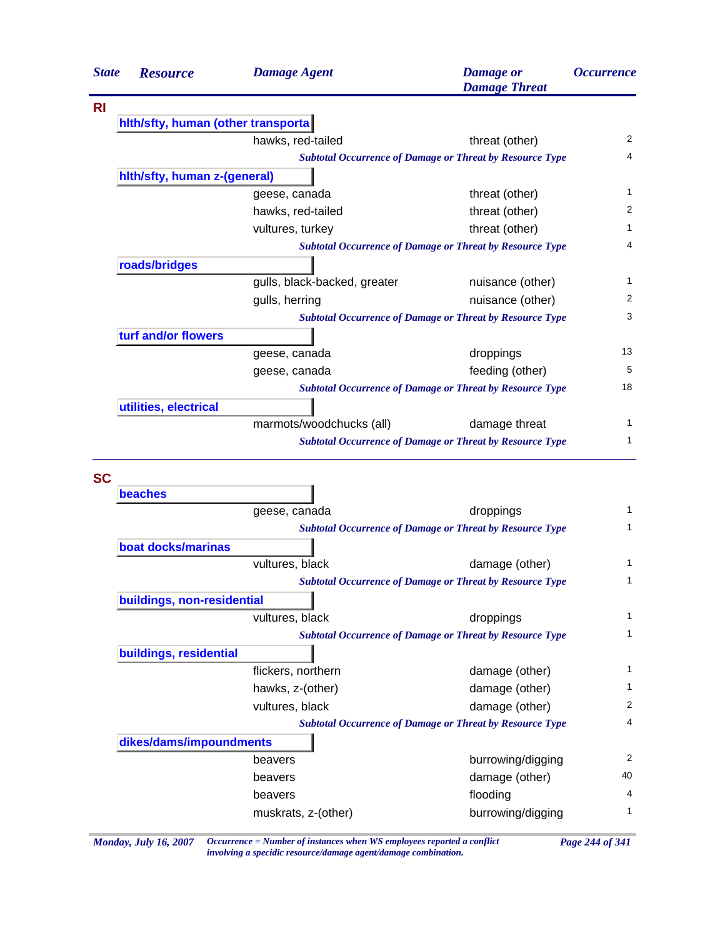| <b>State</b> | <b>Resource</b>                    | <b>Damage Agent</b>          | <b>Damage</b> or<br><b>Damage Threat</b>                        | <i><b>Occurrence</b></i> |
|--------------|------------------------------------|------------------------------|-----------------------------------------------------------------|--------------------------|
| <b>RI</b>    |                                    |                              |                                                                 |                          |
|              | hith/sfty, human (other transporta |                              |                                                                 |                          |
|              |                                    | hawks, red-tailed            | threat (other)                                                  | 2                        |
|              |                                    |                              | <b>Subtotal Occurrence of Damage or Threat by Resource Type</b> | 4                        |
|              | hith/sfty, human z-(general)       |                              |                                                                 |                          |
|              |                                    | geese, canada                | threat (other)                                                  | 1                        |
|              |                                    | hawks, red-tailed            | threat (other)                                                  | 2                        |
|              |                                    | vultures, turkey             | threat (other)                                                  | 1                        |
|              |                                    |                              | <b>Subtotal Occurrence of Damage or Threat by Resource Type</b> | 4                        |
|              | roads/bridges                      |                              |                                                                 |                          |
|              |                                    | gulls, black-backed, greater | nuisance (other)                                                | 1                        |
|              |                                    | gulls, herring               | nuisance (other)                                                | 2                        |
|              |                                    |                              | <b>Subtotal Occurrence of Damage or Threat by Resource Type</b> | 3                        |
|              | turf and/or flowers                |                              |                                                                 |                          |
|              |                                    | geese, canada                | droppings                                                       | 13                       |
|              |                                    | geese, canada                | feeding (other)                                                 | 5                        |
|              |                                    |                              | <b>Subtotal Occurrence of Damage or Threat by Resource Type</b> | 18                       |
|              | utilities, electrical              |                              |                                                                 |                          |
|              |                                    | marmots/woodchucks (all)     | damage threat                                                   | 1                        |
|              |                                    |                              | <b>Subtotal Occurrence of Damage or Threat by Resource Type</b> | 1                        |
|              |                                    |                              |                                                                 |                          |
| <b>SC</b>    |                                    |                              |                                                                 |                          |
|              | beaches                            |                              |                                                                 |                          |
|              |                                    | geese, canada                | droppings                                                       | 1                        |
|              |                                    |                              | <b>Subtotal Occurrence of Damage or Threat by Resource Type</b> | 1                        |
|              | boat docks/marinas                 |                              |                                                                 |                          |
|              |                                    | vultures, black              | damage (other)                                                  | 1                        |
|              |                                    |                              | <b>Subtotal Occurrence of Damage or Threat by Resource Type</b> | 1                        |
|              | buildings, non-residential         |                              |                                                                 |                          |
|              |                                    | vultures, black              | droppings                                                       | 1                        |
|              |                                    |                              | <b>Subtotal Occurrence of Damage or Threat by Resource Type</b> | $\mathbf{1}$             |
|              | buildings, residential             |                              |                                                                 |                          |
|              |                                    | flickers, northern           | damage (other)                                                  | 1                        |
|              |                                    | hawks, z-(other)             | damage (other)                                                  | 1                        |
|              |                                    | vultures, black              | damage (other)                                                  | $\overline{c}$           |
|              |                                    |                              | <b>Subtotal Occurrence of Damage or Threat by Resource Type</b> | 4                        |
|              | dikes/dams/impoundments            |                              |                                                                 |                          |
|              |                                    | beavers                      | burrowing/digging                                               | 2                        |
|              |                                    | beavers                      | damage (other)                                                  | 40                       |
|              |                                    | beavers                      | flooding                                                        | 4                        |
|              |                                    | muskrats, z-(other)          | burrowing/digging                                               | 1                        |
|              |                                    |                              |                                                                 |                          |

*Monday, July 16, 2007 Occurrence = Number of instances when WS employees reported a conflict Page 244 of 341 involving a specidic resource/damage agent/damage combination.*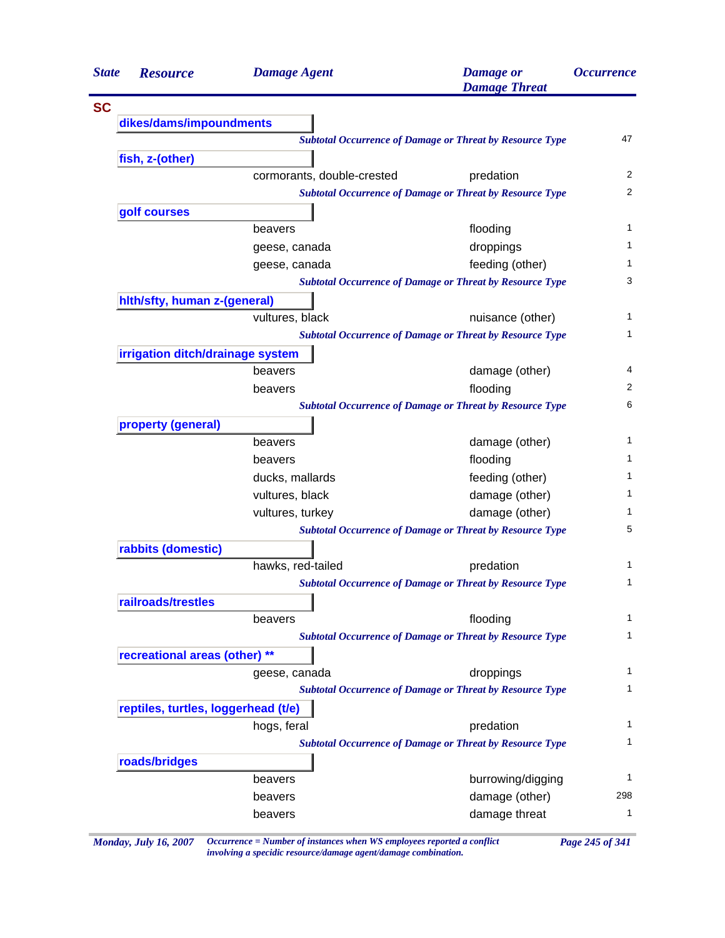| <b>State</b> | <b>Resource</b>                     | <b>Damage Agent</b>                                             | <b>Damage</b> or<br><b>Damage Threat</b> | <i><b>Occurrence</b></i> |
|--------------|-------------------------------------|-----------------------------------------------------------------|------------------------------------------|--------------------------|
| <b>SC</b>    |                                     |                                                                 |                                          |                          |
|              | dikes/dams/impoundments             |                                                                 |                                          |                          |
|              |                                     | <b>Subtotal Occurrence of Damage or Threat by Resource Type</b> |                                          | 47                       |
|              | fish, z-(other)                     |                                                                 |                                          |                          |
|              |                                     | cormorants, double-crested                                      | predation                                | 2                        |
|              |                                     | <b>Subtotal Occurrence of Damage or Threat by Resource Type</b> |                                          | 2                        |
|              | golf courses                        |                                                                 |                                          |                          |
|              |                                     | beavers                                                         | flooding                                 | $\mathbf 1$              |
|              |                                     | geese, canada                                                   | droppings                                | $\mathbf 1$              |
|              |                                     | geese, canada                                                   | feeding (other)                          | 1                        |
|              |                                     | <b>Subtotal Occurrence of Damage or Threat by Resource Type</b> |                                          | 3                        |
|              | hith/sfty, human z-(general)        |                                                                 |                                          |                          |
|              |                                     | vultures, black                                                 | nuisance (other)                         | 1                        |
|              |                                     | <b>Subtotal Occurrence of Damage or Threat by Resource Type</b> |                                          | 1                        |
|              | irrigation ditch/drainage system    |                                                                 |                                          |                          |
|              |                                     | beavers                                                         | damage (other)                           | 4                        |
|              |                                     | beavers                                                         | flooding                                 | 2                        |
|              |                                     | <b>Subtotal Occurrence of Damage or Threat by Resource Type</b> |                                          | 6                        |
|              | property (general)                  |                                                                 |                                          |                          |
|              |                                     | beavers                                                         | damage (other)                           | 1                        |
|              |                                     | beavers                                                         | flooding                                 | 1                        |
|              |                                     | ducks, mallards                                                 | feeding (other)                          | 1                        |
|              |                                     | vultures, black                                                 | damage (other)                           | 1                        |
|              |                                     | vultures, turkey                                                | damage (other)                           | 1                        |
|              |                                     | <b>Subtotal Occurrence of Damage or Threat by Resource Type</b> |                                          | 5                        |
|              | rabbits (domestic)                  |                                                                 |                                          |                          |
|              |                                     | hawks, red-tailed                                               | predation                                | 1                        |
|              |                                     | <b>Subtotal Occurrence of Damage or Threat by Resource Type</b> |                                          | 1                        |
|              | railroads/trestles                  |                                                                 |                                          |                          |
|              |                                     | beavers                                                         | flooding                                 | 1                        |
|              |                                     | <b>Subtotal Occurrence of Damage or Threat by Resource Type</b> |                                          | $\mathbf{1}$             |
|              | recreational areas (other) **       |                                                                 |                                          |                          |
|              |                                     | geese, canada                                                   | droppings                                | 1                        |
|              |                                     | <b>Subtotal Occurrence of Damage or Threat by Resource Type</b> |                                          | 1                        |
|              | reptiles, turtles, loggerhead (t/e) |                                                                 |                                          |                          |
|              |                                     | hogs, feral                                                     | predation                                | 1                        |
|              |                                     | <b>Subtotal Occurrence of Damage or Threat by Resource Type</b> |                                          | 1                        |
|              | roads/bridges                       |                                                                 |                                          |                          |
|              |                                     | beavers                                                         | burrowing/digging                        | 1                        |
|              |                                     | beavers                                                         | damage (other)                           | 298                      |
|              |                                     | beavers                                                         | damage threat                            | 1                        |
|              |                                     |                                                                 |                                          |                          |

*Monday, July 16, 2007 Occurrence = Number of instances when WS employees reported a conflict Page 245 of 341 involving a specidic resource/damage agent/damage combination.*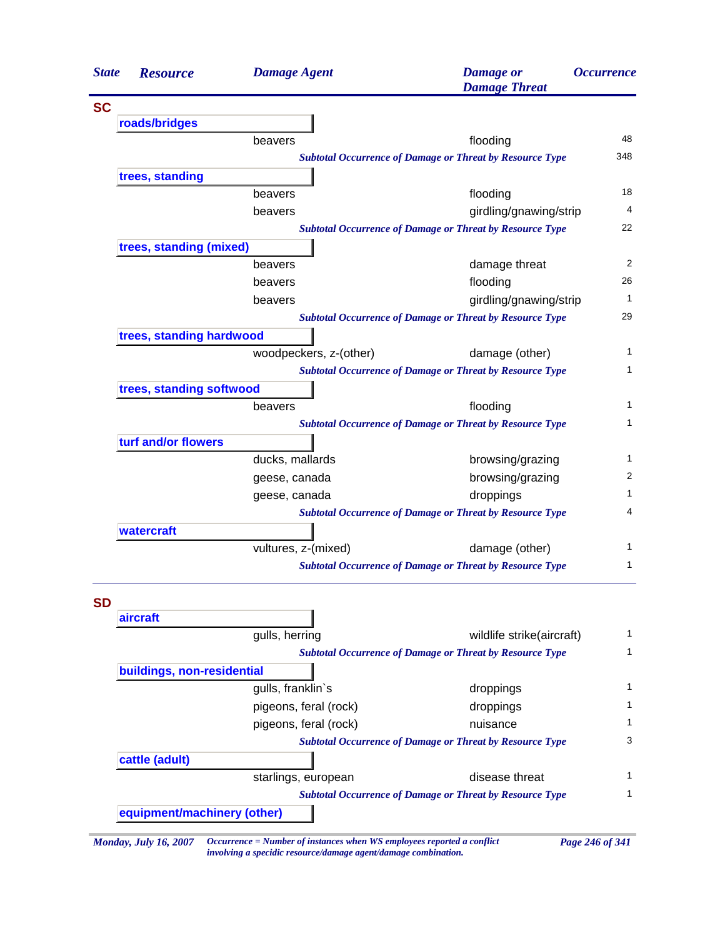| <b>State</b> | <b>Resource</b>             | <b>Damage Agent</b>    | <b>Damage</b> or<br><b>Damage Threat</b>                                          | <b>Occurrence</b> |
|--------------|-----------------------------|------------------------|-----------------------------------------------------------------------------------|-------------------|
| <b>SC</b>    |                             |                        |                                                                                   |                   |
|              | roads/bridges               |                        |                                                                                   |                   |
|              |                             | beavers                | flooding                                                                          | 48                |
|              |                             |                        | <b>Subtotal Occurrence of Damage or Threat by Resource Type</b>                   | 348               |
|              | trees, standing             |                        |                                                                                   |                   |
|              |                             | beavers                | flooding                                                                          | 18                |
|              |                             | beavers                | girdling/gnawing/strip                                                            | 4                 |
|              |                             |                        | <b>Subtotal Occurrence of Damage or Threat by Resource Type</b>                   | 22                |
|              | trees, standing (mixed)     |                        |                                                                                   |                   |
|              |                             | beavers                | damage threat                                                                     | 2                 |
|              |                             | beavers                | flooding                                                                          | 26                |
|              |                             | beavers                | girdling/gnawing/strip                                                            | $\mathbf{1}$      |
|              |                             |                        | <b>Subtotal Occurrence of Damage or Threat by Resource Type</b>                   | 29                |
|              | trees, standing hardwood    |                        |                                                                                   |                   |
|              |                             | woodpeckers, z-(other) | damage (other)                                                                    | 1                 |
|              |                             |                        | <b>Subtotal Occurrence of Damage or Threat by Resource Type</b>                   | 1                 |
|              | trees, standing softwood    |                        |                                                                                   | 1                 |
|              |                             | beavers                | flooding                                                                          | 1                 |
|              |                             |                        | <b>Subtotal Occurrence of Damage or Threat by Resource Type</b>                   |                   |
|              | turf and/or flowers         |                        |                                                                                   | 1                 |
|              |                             | ducks, mallards        | browsing/grazing                                                                  | 2                 |
|              |                             | geese, canada          | browsing/grazing                                                                  | 1                 |
|              |                             | geese, canada          | droppings                                                                         | 4                 |
|              |                             |                        | <b>Subtotal Occurrence of Damage or Threat by Resource Type</b>                   |                   |
|              | watercraft                  |                        |                                                                                   | 1                 |
|              |                             | vultures, z-(mixed)    | damage (other)<br><b>Subtotal Occurrence of Damage or Threat by Resource Type</b> | 1                 |
|              |                             |                        |                                                                                   |                   |
| <b>SD</b>    |                             |                        |                                                                                   |                   |
|              | aircraft                    |                        |                                                                                   |                   |
|              |                             | gulls, herring         | wildlife strike(aircraft)                                                         | 1                 |
|              |                             |                        | <b>Subtotal Occurrence of Damage or Threat by Resource Type</b>                   | 1                 |
|              | buildings, non-residential  |                        |                                                                                   |                   |
|              |                             | gulls, franklin's      | droppings                                                                         | 1                 |
|              |                             | pigeons, feral (rock)  | droppings                                                                         | 1                 |
|              |                             | pigeons, feral (rock)  | nuisance                                                                          | 1                 |
|              |                             |                        | <b>Subtotal Occurrence of Damage or Threat by Resource Type</b>                   | 3                 |
|              | cattle (adult)              |                        |                                                                                   |                   |
|              |                             | starlings, european    | disease threat                                                                    | 1                 |
|              |                             |                        | <b>Subtotal Occurrence of Damage or Threat by Resource Type</b>                   | 1                 |
|              | equipment/machinery (other) |                        |                                                                                   |                   |
|              |                             |                        |                                                                                   |                   |

*Monday, July 16, 2007 Occurrence = Number of instances when WS employees reported a conflict Page 246 of 341 involving a specidic resource/damage agent/damage combination.*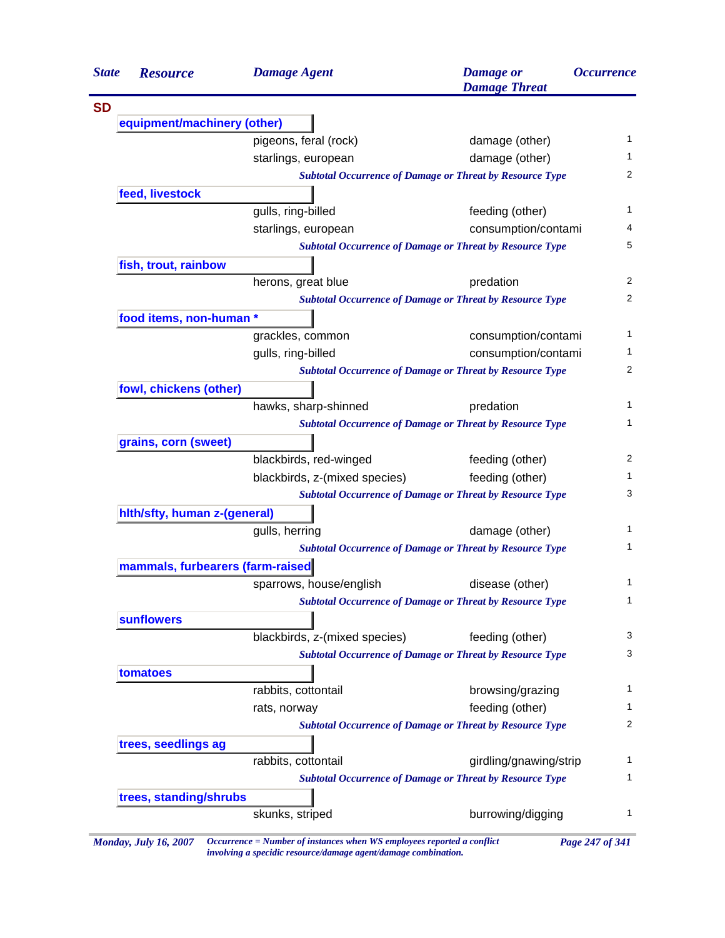| <b>State</b> | <b>Resource</b>                  | <b>Damage Agent</b>           | <b>Damage</b> or<br><b>Damage Threat</b>                        | <i><b>Occurrence</b></i> |
|--------------|----------------------------------|-------------------------------|-----------------------------------------------------------------|--------------------------|
|              |                                  |                               |                                                                 |                          |
|              | equipment/machinery (other)      |                               |                                                                 |                          |
|              |                                  | pigeons, feral (rock)         | damage (other)                                                  |                          |
|              |                                  | starlings, european           | damage (other)                                                  |                          |
|              |                                  |                               | <b>Subtotal Occurrence of Damage or Threat by Resource Type</b> | 2                        |
|              | feed, livestock                  |                               |                                                                 |                          |
|              |                                  | gulls, ring-billed            | feeding (other)                                                 | 1                        |
|              |                                  | starlings, european           | consumption/contami                                             | 4                        |
|              |                                  |                               | <b>Subtotal Occurrence of Damage or Threat by Resource Type</b> | 5                        |
|              | fish, trout, rainbow             |                               |                                                                 |                          |
|              |                                  | herons, great blue            | predation                                                       | 2                        |
|              |                                  |                               | <b>Subtotal Occurrence of Damage or Threat by Resource Type</b> | 2                        |
|              | food items, non-human *          |                               |                                                                 |                          |
|              |                                  | grackles, common              | consumption/contami                                             | 1                        |
|              |                                  | gulls, ring-billed            | consumption/contami                                             | 1                        |
|              |                                  |                               | <b>Subtotal Occurrence of Damage or Threat by Resource Type</b> | 2                        |
|              | fowl, chickens (other)           |                               |                                                                 |                          |
|              |                                  | hawks, sharp-shinned          | predation                                                       | 1                        |
|              |                                  |                               | <b>Subtotal Occurrence of Damage or Threat by Resource Type</b> | 1                        |
|              | grains, corn (sweet)             |                               |                                                                 |                          |
|              |                                  | blackbirds, red-winged        | feeding (other)                                                 | 2                        |
|              |                                  | blackbirds, z-(mixed species) | feeding (other)                                                 | 1                        |
|              |                                  |                               | <b>Subtotal Occurrence of Damage or Threat by Resource Type</b> | 3                        |
|              | hith/sfty, human z-(general)     |                               |                                                                 |                          |
|              |                                  | gulls, herring                | damage (other)                                                  | 1                        |
|              |                                  |                               | <b>Subtotal Occurrence of Damage or Threat by Resource Type</b> | 1                        |
|              | mammals, furbearers (farm-raised |                               |                                                                 |                          |
|              |                                  | sparrows, house/english       | disease (other)                                                 | 1                        |
|              |                                  |                               | <b>Subtotal Occurrence of Damage or Threat by Resource Type</b> | 1                        |
|              | <b>sunflowers</b>                |                               |                                                                 |                          |
|              |                                  | blackbirds, z-(mixed species) | feeding (other)                                                 | 3                        |
|              |                                  |                               | <b>Subtotal Occurrence of Damage or Threat by Resource Type</b> | 3                        |
|              | tomatoes                         |                               |                                                                 |                          |
|              |                                  | rabbits, cottontail           | browsing/grazing                                                | 1                        |
|              |                                  | rats, norway                  | feeding (other)                                                 | 1                        |
|              |                                  |                               | <b>Subtotal Occurrence of Damage or Threat by Resource Type</b> | 2                        |
|              | trees, seedlings ag              |                               |                                                                 |                          |
|              |                                  | rabbits, cottontail           | girdling/gnawing/strip                                          | 1                        |
|              |                                  |                               | <b>Subtotal Occurrence of Damage or Threat by Resource Type</b> | 1                        |
|              | trees, standing/shrubs           |                               |                                                                 |                          |
|              |                                  |                               |                                                                 |                          |

*Monday, July 16, 2007 Occurrence = Number of instances when WS employees reported a conflict Page 247 of 341 involving a specidic resource/damage agent/damage combination.*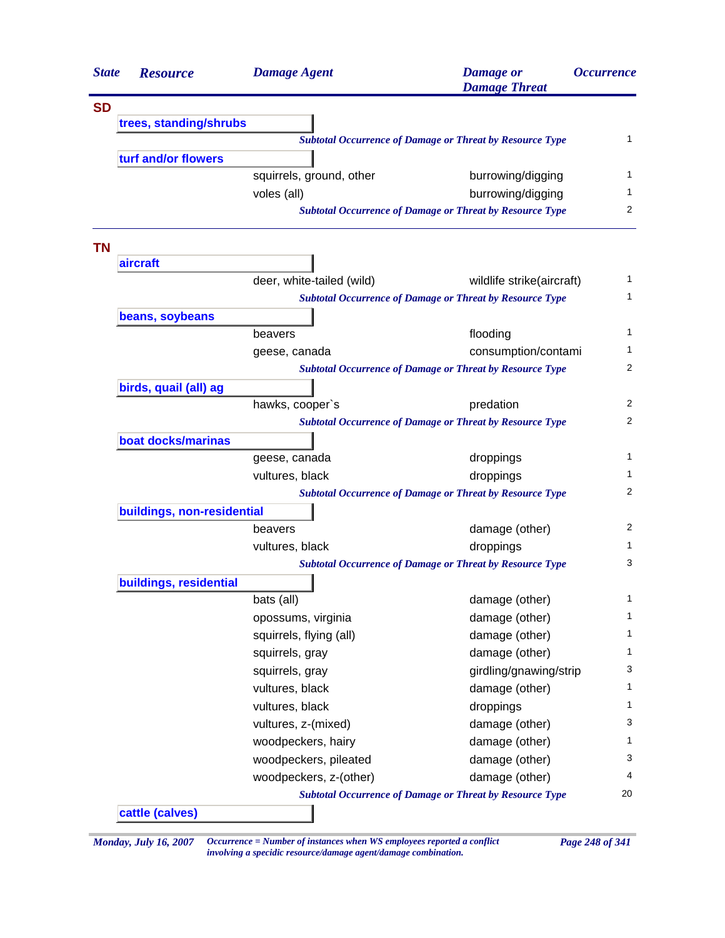| <b>SD</b><br>trees, standing/shrubs<br><b>Subtotal Occurrence of Damage or Threat by Resource Type</b><br>turf and/or flowers<br>squirrels, ground, other<br>burrowing/digging<br>voles (all)<br>burrowing/digging<br><b>Subtotal Occurrence of Damage or Threat by Resource Type</b><br><b>TN</b><br>aircraft<br>deer, white-tailed (wild)<br>wildlife strike(aircraft)<br><b>Subtotal Occurrence of Damage or Threat by Resource Type</b><br>beans, soybeans<br>flooding<br>beavers<br>consumption/contami<br>geese, canada<br><b>Subtotal Occurrence of Damage or Threat by Resource Type</b><br>birds, quail (all) ag<br>hawks, cooper's<br>predation<br><b>Subtotal Occurrence of Damage or Threat by Resource Type</b><br>boat docks/marinas<br>droppings<br>geese, canada<br>vultures, black<br>droppings<br><b>Subtotal Occurrence of Damage or Threat by Resource Type</b><br>buildings, non-residential<br>damage (other)<br>beavers<br>vultures, black<br>droppings<br><b>Subtotal Occurrence of Damage or Threat by Resource Type</b><br>buildings, residential<br>bats (all)<br>damage (other)<br>damage (other)<br>opossums, virginia<br>damage (other)<br>squirrels, flying (all)<br>squirrels, gray<br>damage (other)<br>girdling/gnawing/strip<br>squirrels, gray<br>damage (other)<br>vultures, black<br>vultures, black<br>droppings<br>vultures, z-(mixed)<br>damage (other)<br>woodpeckers, hairy<br>damage (other)<br>woodpeckers, pileated<br>damage (other)<br>woodpeckers, z-(other)<br>damage (other) | <i><b>Occurrence</b></i> | <b>Damage</b> or<br><b>Damage Threat</b> | <b>Damage Agent</b> | <b>Resource</b> | <b>State</b> |
|---------------------------------------------------------------------------------------------------------------------------------------------------------------------------------------------------------------------------------------------------------------------------------------------------------------------------------------------------------------------------------------------------------------------------------------------------------------------------------------------------------------------------------------------------------------------------------------------------------------------------------------------------------------------------------------------------------------------------------------------------------------------------------------------------------------------------------------------------------------------------------------------------------------------------------------------------------------------------------------------------------------------------------------------------------------------------------------------------------------------------------------------------------------------------------------------------------------------------------------------------------------------------------------------------------------------------------------------------------------------------------------------------------------------------------------------------------------------------------------------------------------------------------|--------------------------|------------------------------------------|---------------------|-----------------|--------------|
|                                                                                                                                                                                                                                                                                                                                                                                                                                                                                                                                                                                                                                                                                                                                                                                                                                                                                                                                                                                                                                                                                                                                                                                                                                                                                                                                                                                                                                                                                                                                 |                          |                                          |                     |                 |              |
|                                                                                                                                                                                                                                                                                                                                                                                                                                                                                                                                                                                                                                                                                                                                                                                                                                                                                                                                                                                                                                                                                                                                                                                                                                                                                                                                                                                                                                                                                                                                 |                          |                                          |                     |                 |              |
|                                                                                                                                                                                                                                                                                                                                                                                                                                                                                                                                                                                                                                                                                                                                                                                                                                                                                                                                                                                                                                                                                                                                                                                                                                                                                                                                                                                                                                                                                                                                 | 1                        |                                          |                     |                 |              |
|                                                                                                                                                                                                                                                                                                                                                                                                                                                                                                                                                                                                                                                                                                                                                                                                                                                                                                                                                                                                                                                                                                                                                                                                                                                                                                                                                                                                                                                                                                                                 |                          |                                          |                     |                 |              |
|                                                                                                                                                                                                                                                                                                                                                                                                                                                                                                                                                                                                                                                                                                                                                                                                                                                                                                                                                                                                                                                                                                                                                                                                                                                                                                                                                                                                                                                                                                                                 | 1                        |                                          |                     |                 |              |
|                                                                                                                                                                                                                                                                                                                                                                                                                                                                                                                                                                                                                                                                                                                                                                                                                                                                                                                                                                                                                                                                                                                                                                                                                                                                                                                                                                                                                                                                                                                                 | 1                        |                                          |                     |                 |              |
|                                                                                                                                                                                                                                                                                                                                                                                                                                                                                                                                                                                                                                                                                                                                                                                                                                                                                                                                                                                                                                                                                                                                                                                                                                                                                                                                                                                                                                                                                                                                 | 2                        |                                          |                     |                 |              |
|                                                                                                                                                                                                                                                                                                                                                                                                                                                                                                                                                                                                                                                                                                                                                                                                                                                                                                                                                                                                                                                                                                                                                                                                                                                                                                                                                                                                                                                                                                                                 |                          |                                          |                     |                 |              |
|                                                                                                                                                                                                                                                                                                                                                                                                                                                                                                                                                                                                                                                                                                                                                                                                                                                                                                                                                                                                                                                                                                                                                                                                                                                                                                                                                                                                                                                                                                                                 |                          |                                          |                     |                 |              |
|                                                                                                                                                                                                                                                                                                                                                                                                                                                                                                                                                                                                                                                                                                                                                                                                                                                                                                                                                                                                                                                                                                                                                                                                                                                                                                                                                                                                                                                                                                                                 | 1                        |                                          |                     |                 |              |
|                                                                                                                                                                                                                                                                                                                                                                                                                                                                                                                                                                                                                                                                                                                                                                                                                                                                                                                                                                                                                                                                                                                                                                                                                                                                                                                                                                                                                                                                                                                                 |                          |                                          |                     |                 |              |
|                                                                                                                                                                                                                                                                                                                                                                                                                                                                                                                                                                                                                                                                                                                                                                                                                                                                                                                                                                                                                                                                                                                                                                                                                                                                                                                                                                                                                                                                                                                                 |                          |                                          |                     |                 |              |
|                                                                                                                                                                                                                                                                                                                                                                                                                                                                                                                                                                                                                                                                                                                                                                                                                                                                                                                                                                                                                                                                                                                                                                                                                                                                                                                                                                                                                                                                                                                                 |                          |                                          |                     |                 |              |
|                                                                                                                                                                                                                                                                                                                                                                                                                                                                                                                                                                                                                                                                                                                                                                                                                                                                                                                                                                                                                                                                                                                                                                                                                                                                                                                                                                                                                                                                                                                                 |                          |                                          |                     |                 |              |
|                                                                                                                                                                                                                                                                                                                                                                                                                                                                                                                                                                                                                                                                                                                                                                                                                                                                                                                                                                                                                                                                                                                                                                                                                                                                                                                                                                                                                                                                                                                                 |                          |                                          |                     |                 |              |
|                                                                                                                                                                                                                                                                                                                                                                                                                                                                                                                                                                                                                                                                                                                                                                                                                                                                                                                                                                                                                                                                                                                                                                                                                                                                                                                                                                                                                                                                                                                                 |                          |                                          |                     |                 |              |
|                                                                                                                                                                                                                                                                                                                                                                                                                                                                                                                                                                                                                                                                                                                                                                                                                                                                                                                                                                                                                                                                                                                                                                                                                                                                                                                                                                                                                                                                                                                                 |                          |                                          |                     |                 |              |
|                                                                                                                                                                                                                                                                                                                                                                                                                                                                                                                                                                                                                                                                                                                                                                                                                                                                                                                                                                                                                                                                                                                                                                                                                                                                                                                                                                                                                                                                                                                                 |                          |                                          |                     |                 |              |
|                                                                                                                                                                                                                                                                                                                                                                                                                                                                                                                                                                                                                                                                                                                                                                                                                                                                                                                                                                                                                                                                                                                                                                                                                                                                                                                                                                                                                                                                                                                                 |                          |                                          |                     |                 |              |
|                                                                                                                                                                                                                                                                                                                                                                                                                                                                                                                                                                                                                                                                                                                                                                                                                                                                                                                                                                                                                                                                                                                                                                                                                                                                                                                                                                                                                                                                                                                                 |                          |                                          |                     |                 |              |
|                                                                                                                                                                                                                                                                                                                                                                                                                                                                                                                                                                                                                                                                                                                                                                                                                                                                                                                                                                                                                                                                                                                                                                                                                                                                                                                                                                                                                                                                                                                                 |                          |                                          |                     |                 |              |
|                                                                                                                                                                                                                                                                                                                                                                                                                                                                                                                                                                                                                                                                                                                                                                                                                                                                                                                                                                                                                                                                                                                                                                                                                                                                                                                                                                                                                                                                                                                                 |                          |                                          |                     |                 |              |
|                                                                                                                                                                                                                                                                                                                                                                                                                                                                                                                                                                                                                                                                                                                                                                                                                                                                                                                                                                                                                                                                                                                                                                                                                                                                                                                                                                                                                                                                                                                                 |                          |                                          |                     |                 |              |
|                                                                                                                                                                                                                                                                                                                                                                                                                                                                                                                                                                                                                                                                                                                                                                                                                                                                                                                                                                                                                                                                                                                                                                                                                                                                                                                                                                                                                                                                                                                                 |                          |                                          |                     |                 |              |
|                                                                                                                                                                                                                                                                                                                                                                                                                                                                                                                                                                                                                                                                                                                                                                                                                                                                                                                                                                                                                                                                                                                                                                                                                                                                                                                                                                                                                                                                                                                                 |                          |                                          |                     |                 |              |
|                                                                                                                                                                                                                                                                                                                                                                                                                                                                                                                                                                                                                                                                                                                                                                                                                                                                                                                                                                                                                                                                                                                                                                                                                                                                                                                                                                                                                                                                                                                                 |                          |                                          |                     |                 |              |
|                                                                                                                                                                                                                                                                                                                                                                                                                                                                                                                                                                                                                                                                                                                                                                                                                                                                                                                                                                                                                                                                                                                                                                                                                                                                                                                                                                                                                                                                                                                                 |                          |                                          |                     |                 |              |
|                                                                                                                                                                                                                                                                                                                                                                                                                                                                                                                                                                                                                                                                                                                                                                                                                                                                                                                                                                                                                                                                                                                                                                                                                                                                                                                                                                                                                                                                                                                                 |                          |                                          |                     |                 |              |
|                                                                                                                                                                                                                                                                                                                                                                                                                                                                                                                                                                                                                                                                                                                                                                                                                                                                                                                                                                                                                                                                                                                                                                                                                                                                                                                                                                                                                                                                                                                                 |                          |                                          |                     |                 |              |
|                                                                                                                                                                                                                                                                                                                                                                                                                                                                                                                                                                                                                                                                                                                                                                                                                                                                                                                                                                                                                                                                                                                                                                                                                                                                                                                                                                                                                                                                                                                                 |                          |                                          |                     |                 |              |
|                                                                                                                                                                                                                                                                                                                                                                                                                                                                                                                                                                                                                                                                                                                                                                                                                                                                                                                                                                                                                                                                                                                                                                                                                                                                                                                                                                                                                                                                                                                                 |                          |                                          |                     |                 |              |
|                                                                                                                                                                                                                                                                                                                                                                                                                                                                                                                                                                                                                                                                                                                                                                                                                                                                                                                                                                                                                                                                                                                                                                                                                                                                                                                                                                                                                                                                                                                                 |                          |                                          |                     |                 |              |
|                                                                                                                                                                                                                                                                                                                                                                                                                                                                                                                                                                                                                                                                                                                                                                                                                                                                                                                                                                                                                                                                                                                                                                                                                                                                                                                                                                                                                                                                                                                                 |                          |                                          |                     |                 |              |
|                                                                                                                                                                                                                                                                                                                                                                                                                                                                                                                                                                                                                                                                                                                                                                                                                                                                                                                                                                                                                                                                                                                                                                                                                                                                                                                                                                                                                                                                                                                                 |                          |                                          |                     |                 |              |
|                                                                                                                                                                                                                                                                                                                                                                                                                                                                                                                                                                                                                                                                                                                                                                                                                                                                                                                                                                                                                                                                                                                                                                                                                                                                                                                                                                                                                                                                                                                                 |                          |                                          |                     |                 |              |
|                                                                                                                                                                                                                                                                                                                                                                                                                                                                                                                                                                                                                                                                                                                                                                                                                                                                                                                                                                                                                                                                                                                                                                                                                                                                                                                                                                                                                                                                                                                                 |                          |                                          |                     |                 |              |
|                                                                                                                                                                                                                                                                                                                                                                                                                                                                                                                                                                                                                                                                                                                                                                                                                                                                                                                                                                                                                                                                                                                                                                                                                                                                                                                                                                                                                                                                                                                                 |                          |                                          |                     |                 |              |
|                                                                                                                                                                                                                                                                                                                                                                                                                                                                                                                                                                                                                                                                                                                                                                                                                                                                                                                                                                                                                                                                                                                                                                                                                                                                                                                                                                                                                                                                                                                                 |                          |                                          |                     |                 |              |
| <b>Subtotal Occurrence of Damage or Threat by Resource Type</b>                                                                                                                                                                                                                                                                                                                                                                                                                                                                                                                                                                                                                                                                                                                                                                                                                                                                                                                                                                                                                                                                                                                                                                                                                                                                                                                                                                                                                                                                 | 20                       |                                          |                     |                 |              |

*Monday, July 16, 2007 Occurrence = Number of instances when WS employees reported a conflict Page 248 of 341 involving a specidic resource/damage agent/damage combination.*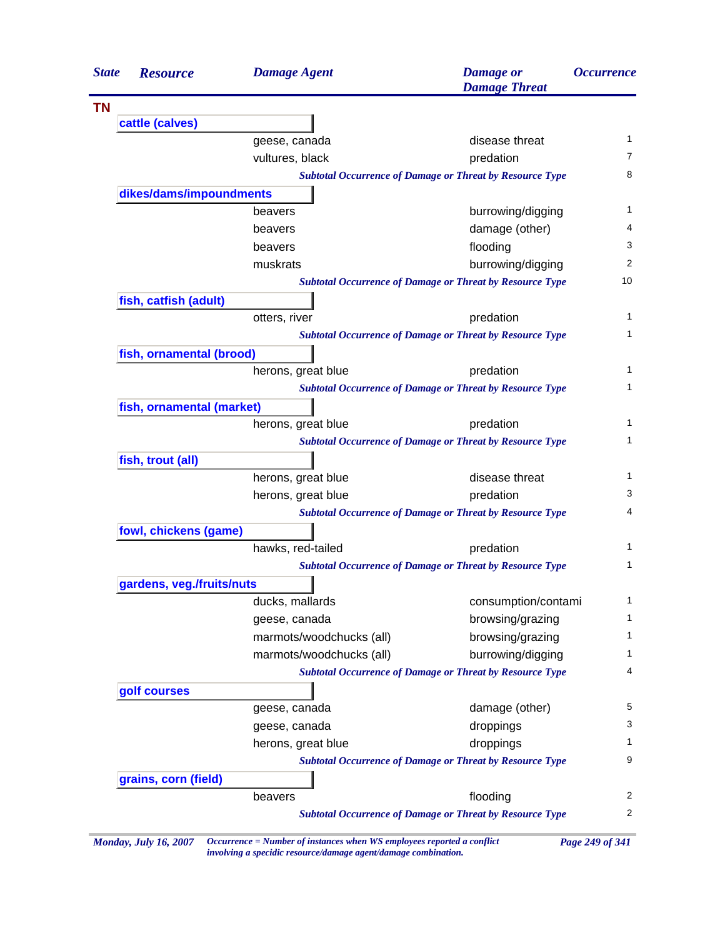| <b>State</b> | <b>Resource</b>           | <b>Damage Agent</b>      | <b>Damage</b> or<br><b>Damage Threat</b>                        | <i><b>Occurrence</b></i> |
|--------------|---------------------------|--------------------------|-----------------------------------------------------------------|--------------------------|
|              |                           |                          |                                                                 |                          |
|              | cattle (calves)           |                          |                                                                 |                          |
|              |                           | geese, canada            | disease threat                                                  | 1                        |
|              |                           | vultures, black          | predation                                                       | 7                        |
|              |                           |                          | <b>Subtotal Occurrence of Damage or Threat by Resource Type</b> | 8                        |
|              | dikes/dams/impoundments   |                          |                                                                 |                          |
|              |                           | beavers                  | burrowing/digging                                               | 1                        |
|              |                           | beavers                  | damage (other)                                                  | 4                        |
|              |                           | beavers                  | flooding                                                        | 3                        |
|              |                           | muskrats                 | burrowing/digging                                               | 2                        |
|              |                           |                          | <b>Subtotal Occurrence of Damage or Threat by Resource Type</b> | 10                       |
|              | fish, catfish (adult)     |                          |                                                                 |                          |
|              |                           | otters, river            | predation                                                       | 1                        |
|              |                           |                          | <b>Subtotal Occurrence of Damage or Threat by Resource Type</b> | 1                        |
|              | fish, ornamental (brood)  |                          |                                                                 |                          |
|              |                           | herons, great blue       | predation                                                       | 1                        |
|              |                           |                          | <b>Subtotal Occurrence of Damage or Threat by Resource Type</b> | 1                        |
|              | fish, ornamental (market) |                          |                                                                 |                          |
|              |                           | herons, great blue       | predation                                                       | 1                        |
|              |                           |                          | <b>Subtotal Occurrence of Damage or Threat by Resource Type</b> | 1                        |
|              | fish, trout (all)         |                          |                                                                 |                          |
|              |                           | herons, great blue       | disease threat                                                  | 1                        |
|              |                           | herons, great blue       | predation                                                       | 3                        |
|              |                           |                          | <b>Subtotal Occurrence of Damage or Threat by Resource Type</b> | 4                        |
|              | fowl, chickens (game)     |                          |                                                                 |                          |
|              |                           | hawks, red-tailed        | predation                                                       | 1                        |
|              |                           |                          | <b>Subtotal Occurrence of Damage or Threat by Resource Type</b> | 1                        |
|              | gardens, veg./fruits/nuts |                          |                                                                 |                          |
|              |                           | ducks, mallards          | consumption/contami                                             | 1                        |
|              |                           | geese, canada            | browsing/grazing                                                | 1                        |
|              |                           | marmots/woodchucks (all) | browsing/grazing                                                | 1                        |
|              |                           | marmots/woodchucks (all) | burrowing/digging                                               | 1                        |
|              |                           |                          | <b>Subtotal Occurrence of Damage or Threat by Resource Type</b> | 4                        |
|              | golf courses              |                          |                                                                 |                          |
|              |                           | geese, canada            | damage (other)                                                  | 5                        |
|              |                           | geese, canada            | droppings                                                       | 3                        |
|              |                           | herons, great blue       | droppings                                                       | 1                        |
|              |                           |                          | <b>Subtotal Occurrence of Damage or Threat by Resource Type</b> | 9                        |
|              |                           |                          |                                                                 |                          |
|              | grains, corn (field)      |                          |                                                                 | 2                        |
|              |                           | beavers                  | flooding                                                        |                          |

*Monday, July 16, 2007 Occurrence = Number of instances when WS employees reported a conflict Page 249 of 341 involving a specidic resource/damage agent/damage combination.*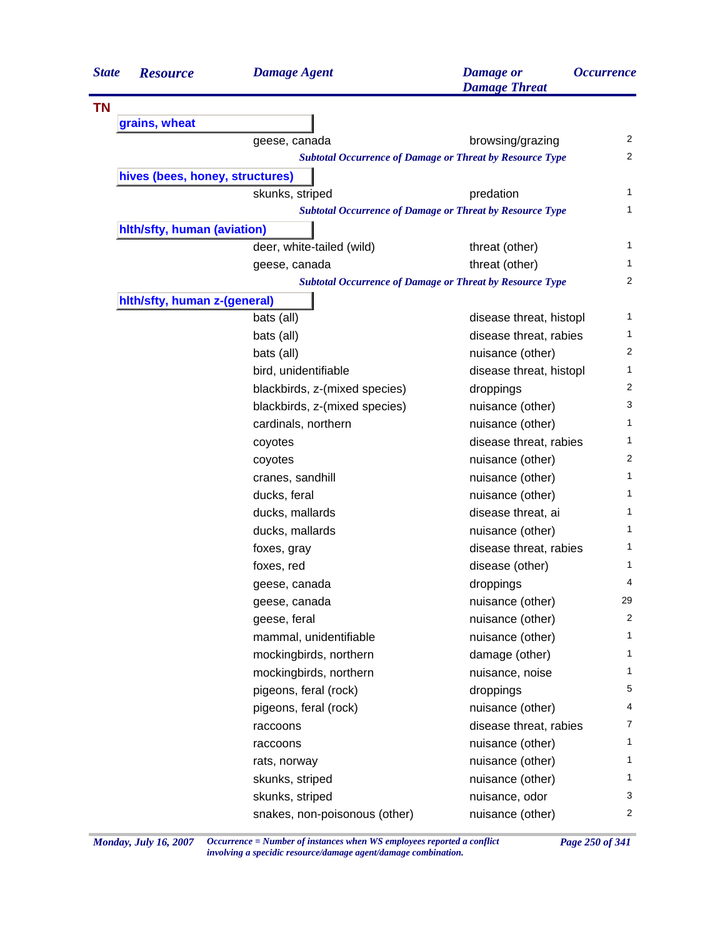| <b>State</b> | <b>Resource</b>                 | <b>Damage Agent</b>                                             | <b>Damage</b> or<br><b>Damage Threat</b> | <i><b>Occurrence</b></i> |
|--------------|---------------------------------|-----------------------------------------------------------------|------------------------------------------|--------------------------|
| <b>TN</b>    |                                 |                                                                 |                                          |                          |
|              | grains, wheat                   |                                                                 |                                          |                          |
|              |                                 | geese, canada                                                   | browsing/grazing                         | 2                        |
|              |                                 | <b>Subtotal Occurrence of Damage or Threat by Resource Type</b> |                                          | 2                        |
|              | hives (bees, honey, structures) |                                                                 |                                          |                          |
|              |                                 | skunks, striped                                                 | predation                                | $\mathbf 1$              |
|              |                                 | <b>Subtotal Occurrence of Damage or Threat by Resource Type</b> |                                          | 1                        |
|              | hith/sfty, human (aviation)     |                                                                 |                                          |                          |
|              |                                 | deer, white-tailed (wild)                                       | threat (other)                           | 1                        |
|              |                                 | geese, canada                                                   | threat (other)                           | 1                        |
|              |                                 | <b>Subtotal Occurrence of Damage or Threat by Resource Type</b> |                                          | 2                        |
|              | hith/sfty, human z-(general)    |                                                                 |                                          |                          |
|              |                                 | bats (all)                                                      | disease threat, histopl                  | 1                        |
|              |                                 | bats (all)                                                      | disease threat, rabies                   | 1                        |
|              |                                 | bats (all)                                                      | nuisance (other)                         | 2                        |
|              |                                 | bird, unidentifiable                                            | disease threat, histopl                  | 1                        |
|              |                                 | blackbirds, z-(mixed species)                                   | droppings                                | 2                        |
|              |                                 | blackbirds, z-(mixed species)                                   | nuisance (other)                         | 3                        |
|              |                                 | cardinals, northern                                             | nuisance (other)                         | 1                        |
|              |                                 | coyotes                                                         | disease threat, rabies                   | 1                        |
|              |                                 | coyotes                                                         | nuisance (other)                         | 2                        |
|              |                                 | cranes, sandhill                                                | nuisance (other)                         | $\mathbf{1}$             |
|              |                                 | ducks, feral                                                    | nuisance (other)                         | 1                        |
|              |                                 | ducks, mallards                                                 | disease threat, ai                       | 1                        |
|              |                                 | ducks, mallards                                                 | nuisance (other)                         | 1                        |
|              |                                 | foxes, gray                                                     | disease threat, rabies                   | 1                        |
|              |                                 | foxes, red                                                      | disease (other)                          | 1                        |
|              |                                 | geese, canada                                                   | droppings                                | 4                        |
|              |                                 | geese, canada                                                   | nuisance (other)                         | 29                       |
|              |                                 | geese, feral                                                    | nuisance (other)                         | 2                        |
|              |                                 | mammal, unidentifiable                                          | nuisance (other)                         | 1                        |
|              |                                 | mockingbirds, northern                                          | damage (other)                           | 1                        |
|              |                                 | mockingbirds, northern                                          | nuisance, noise                          | 1                        |
|              |                                 | pigeons, feral (rock)                                           | droppings                                | 5                        |
|              |                                 | pigeons, feral (rock)                                           | nuisance (other)                         | 4                        |
|              |                                 | raccoons                                                        | disease threat, rabies                   | 7                        |
|              |                                 | raccoons                                                        | nuisance (other)                         | 1                        |
|              |                                 | rats, norway                                                    | nuisance (other)                         | 1                        |
|              |                                 | skunks, striped                                                 | nuisance (other)                         | $\mathbf{1}$             |
|              |                                 | skunks, striped                                                 | nuisance, odor                           | 3                        |
|              |                                 | snakes, non-poisonous (other)                                   | nuisance (other)                         | $\overline{2}$           |
|              |                                 |                                                                 |                                          |                          |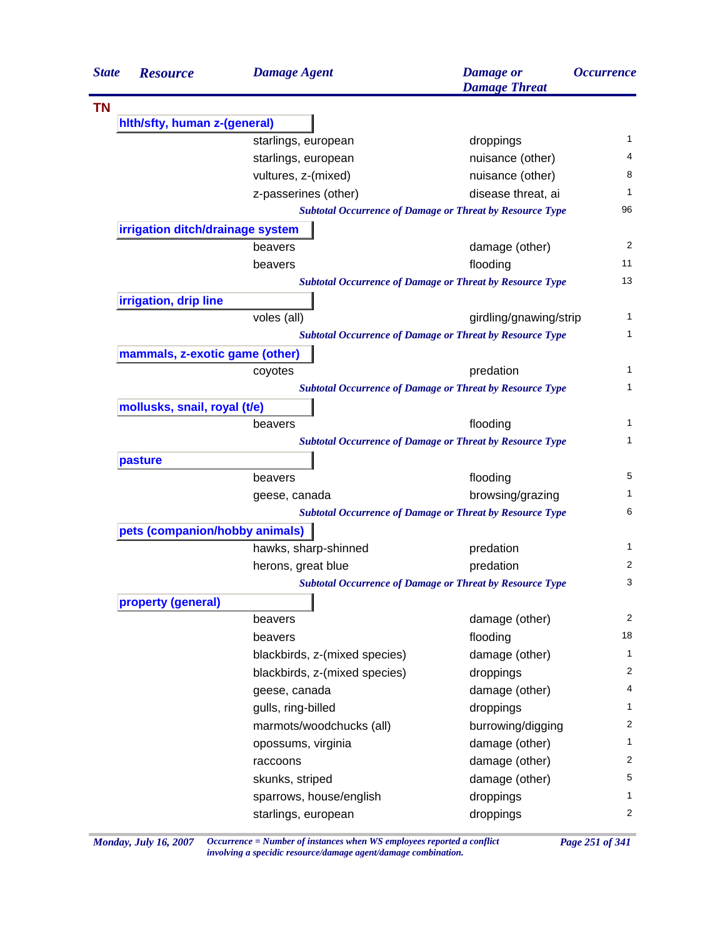| <b>State</b> | <b>Resource</b>                  | <b>Damage Agent</b>                                             | <b>Damage</b> or<br><b>Damage Threat</b> | <i><b>Occurrence</b></i> |  |  |
|--------------|----------------------------------|-----------------------------------------------------------------|------------------------------------------|--------------------------|--|--|
| <b>TN</b>    |                                  |                                                                 |                                          |                          |  |  |
|              | hith/sfty, human z-(general)     |                                                                 |                                          |                          |  |  |
|              |                                  | starlings, european                                             | droppings                                | 1                        |  |  |
|              |                                  | starlings, european                                             | nuisance (other)                         | 4                        |  |  |
|              |                                  | vultures, z-(mixed)                                             | nuisance (other)                         | 8                        |  |  |
|              |                                  | z-passerines (other)                                            | disease threat, ai                       | 1                        |  |  |
|              |                                  | <b>Subtotal Occurrence of Damage or Threat by Resource Type</b> |                                          | 96                       |  |  |
|              | irrigation ditch/drainage system |                                                                 |                                          |                          |  |  |
|              |                                  | beavers                                                         | damage (other)                           | 2                        |  |  |
|              |                                  | beavers                                                         | flooding                                 | 11                       |  |  |
|              |                                  | <b>Subtotal Occurrence of Damage or Threat by Resource Type</b> |                                          | 13                       |  |  |
|              | irrigation, drip line            |                                                                 |                                          |                          |  |  |
|              |                                  | voles (all)                                                     | girdling/gnawing/strip                   | 1                        |  |  |
|              |                                  | <b>Subtotal Occurrence of Damage or Threat by Resource Type</b> |                                          | 1                        |  |  |
|              | mammals, z-exotic game (other)   |                                                                 |                                          |                          |  |  |
|              |                                  | coyotes                                                         | predation                                | 1                        |  |  |
|              |                                  | <b>Subtotal Occurrence of Damage or Threat by Resource Type</b> |                                          | 1                        |  |  |
|              | mollusks, snail, royal (t/e)     |                                                                 |                                          |                          |  |  |
|              |                                  | beavers                                                         | flooding                                 | 1                        |  |  |
|              |                                  | <b>Subtotal Occurrence of Damage or Threat by Resource Type</b> |                                          | 1                        |  |  |
|              | pasture                          |                                                                 |                                          |                          |  |  |
|              |                                  | beavers                                                         | flooding                                 | 5                        |  |  |
|              |                                  | geese, canada                                                   | browsing/grazing                         | 1                        |  |  |
|              |                                  | <b>Subtotal Occurrence of Damage or Threat by Resource Type</b> |                                          | 6                        |  |  |
|              | pets (companion/hobby animals)   |                                                                 |                                          |                          |  |  |
|              |                                  | hawks, sharp-shinned                                            | predation                                | 1                        |  |  |
|              |                                  | herons, great blue                                              | predation                                | 2                        |  |  |
|              |                                  | <b>Subtotal Occurrence of Damage or Threat by Resource Type</b> |                                          | 3                        |  |  |
|              | property (general)               |                                                                 |                                          |                          |  |  |
|              |                                  | beavers                                                         | damage (other)                           | 2                        |  |  |
|              |                                  | beavers                                                         | flooding                                 | 18                       |  |  |
|              |                                  | blackbirds, z-(mixed species)                                   | damage (other)                           | 1                        |  |  |
|              |                                  | blackbirds, z-(mixed species)                                   | droppings                                | 2                        |  |  |
|              |                                  | geese, canada                                                   | damage (other)                           | 4                        |  |  |
|              |                                  | gulls, ring-billed                                              | droppings                                | 1                        |  |  |
|              |                                  | marmots/woodchucks (all)                                        | burrowing/digging                        | 2                        |  |  |
|              |                                  | opossums, virginia                                              | damage (other)                           | 1                        |  |  |
|              |                                  | raccoons                                                        | damage (other)                           | 2                        |  |  |
|              |                                  |                                                                 |                                          |                          |  |  |
|              |                                  |                                                                 |                                          |                          |  |  |
|              |                                  | skunks, striped<br>sparrows, house/english                      | damage (other)<br>droppings              | 5<br>1                   |  |  |

*Monday, July 16, 2007 Occurrence = Number of instances when WS employees reported a conflict Page 251 of 341 involving a specidic resource/damage agent/damage combination.*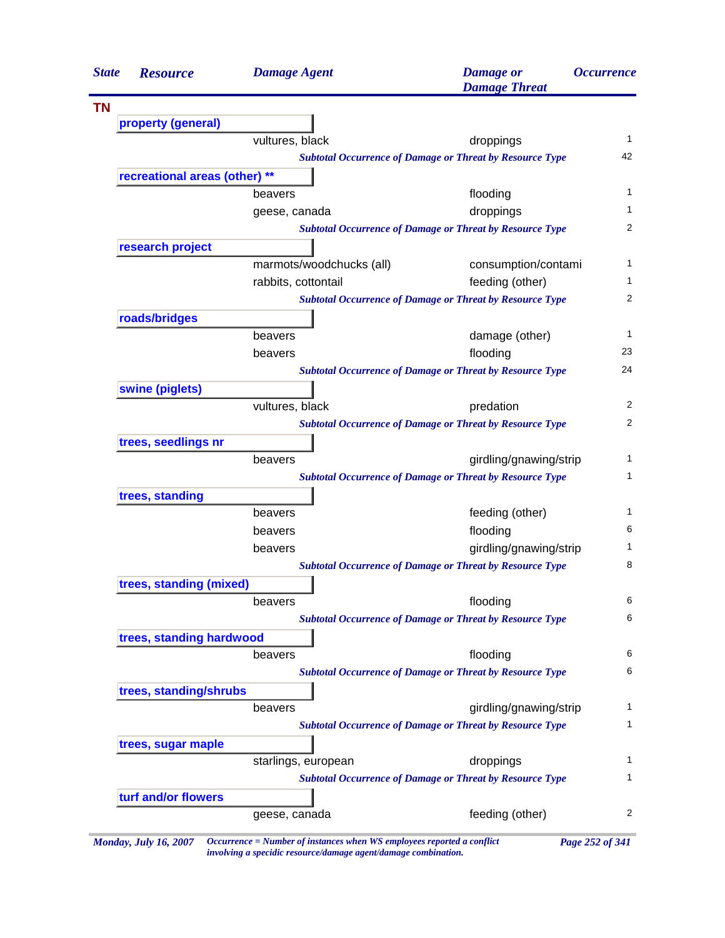| <b>State</b> | <b>Resource</b>                                                 | <b>Damage Agent</b>      | <b>Damage</b> or<br><b>Damage Threat</b>                        | <i><b>Occurrence</b></i> |  |
|--------------|-----------------------------------------------------------------|--------------------------|-----------------------------------------------------------------|--------------------------|--|
| <b>TN</b>    |                                                                 |                          |                                                                 |                          |  |
|              | property (general)                                              |                          |                                                                 |                          |  |
|              |                                                                 | vultures, black          | droppings                                                       |                          |  |
|              |                                                                 |                          | <b>Subtotal Occurrence of Damage or Threat by Resource Type</b> | 42                       |  |
|              | recreational areas (other) **                                   |                          |                                                                 |                          |  |
|              |                                                                 | beavers                  | flooding                                                        |                          |  |
|              |                                                                 | geese, canada            | droppings                                                       |                          |  |
|              |                                                                 |                          | <b>Subtotal Occurrence of Damage or Threat by Resource Type</b> |                          |  |
|              | research project                                                |                          |                                                                 |                          |  |
|              |                                                                 | marmots/woodchucks (all) | consumption/contami                                             |                          |  |
|              |                                                                 | rabbits, cottontail      | feeding (other)                                                 |                          |  |
|              | <b>Subtotal Occurrence of Damage or Threat by Resource Type</b> |                          |                                                                 |                          |  |
|              | roads/bridges                                                   |                          |                                                                 |                          |  |
|              |                                                                 | beavers                  | damage (other)                                                  |                          |  |
|              |                                                                 | beavers                  | flooding                                                        | 23                       |  |
|              | <b>Subtotal Occurrence of Damage or Threat by Resource Type</b> |                          |                                                                 |                          |  |
|              | swine (piglets)                                                 |                          |                                                                 |                          |  |
|              |                                                                 | vultures, black          | predation                                                       |                          |  |
|              | <b>Subtotal Occurrence of Damage or Threat by Resource Type</b> |                          |                                                                 |                          |  |
|              | trees, seedlings nr                                             |                          |                                                                 |                          |  |
|              |                                                                 | beavers                  | girdling/gnawing/strip                                          |                          |  |
|              |                                                                 |                          | <b>Subtotal Occurrence of Damage or Threat by Resource Type</b> |                          |  |
|              | trees, standing                                                 |                          |                                                                 |                          |  |
|              |                                                                 | beavers                  | feeding (other)                                                 |                          |  |
|              |                                                                 | beavers                  | flooding                                                        |                          |  |
|              |                                                                 | beavers                  | girdling/gnawing/strip                                          |                          |  |
|              | <b>Subtotal Occurrence of Damage or Threat by Resource Type</b> |                          |                                                                 |                          |  |
|              | trees, standing (mixed)                                         |                          |                                                                 |                          |  |
|              |                                                                 | beavers                  | flooding                                                        |                          |  |
|              |                                                                 |                          | <b>Subtotal Occurrence of Damage or Threat by Resource Type</b> |                          |  |
|              | trees, standing hardwood                                        |                          |                                                                 |                          |  |
|              |                                                                 | beavers                  | flooding                                                        |                          |  |
|              |                                                                 |                          | <b>Subtotal Occurrence of Damage or Threat by Resource Type</b> |                          |  |
|              | trees, standing/shrubs                                          |                          |                                                                 |                          |  |
|              |                                                                 | beavers                  | girdling/gnawing/strip                                          |                          |  |
|              |                                                                 |                          | <b>Subtotal Occurrence of Damage or Threat by Resource Type</b> |                          |  |
|              | trees, sugar maple                                              |                          |                                                                 |                          |  |
|              |                                                                 | starlings, european      | droppings                                                       |                          |  |
|              | <b>Subtotal Occurrence of Damage or Threat by Resource Type</b> |                          |                                                                 |                          |  |
|              | turf and/or flowers                                             |                          |                                                                 |                          |  |
|              |                                                                 | geese, canada            | feeding (other)                                                 |                          |  |

*involving a specidic resource/damage agent/damage combination.*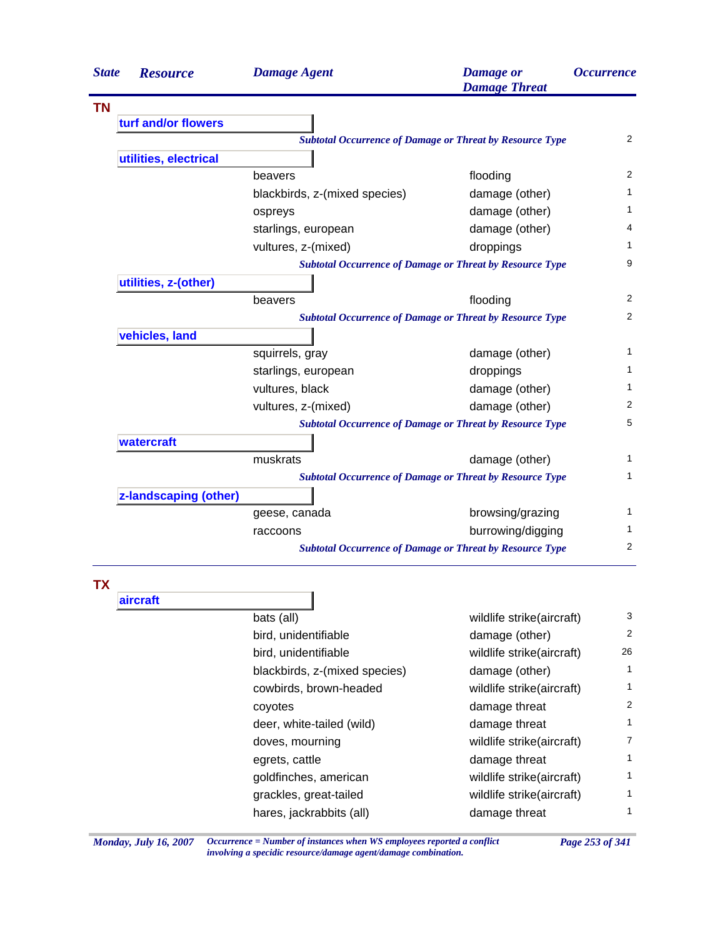| <b>State</b> | <b>Resource</b>       | <b>Damage Agent</b>                                             | <b>Damage</b> or<br><b>Damage Threat</b> | <b>Occurrence</b> |
|--------------|-----------------------|-----------------------------------------------------------------|------------------------------------------|-------------------|
| <b>TN</b>    |                       |                                                                 |                                          |                   |
|              | turf and/or flowers   |                                                                 |                                          |                   |
|              |                       | <b>Subtotal Occurrence of Damage or Threat by Resource Type</b> |                                          | 2                 |
|              | utilities, electrical |                                                                 |                                          |                   |
|              |                       | beavers                                                         | flooding                                 | $\overline{2}$    |
|              |                       | blackbirds, z-(mixed species)                                   | damage (other)                           | 1                 |
|              |                       | ospreys                                                         | damage (other)                           | 1                 |
|              |                       | starlings, european                                             | damage (other)                           | 4                 |
|              |                       | vultures, z-(mixed)                                             | droppings                                | 1                 |
|              |                       | <b>Subtotal Occurrence of Damage or Threat by Resource Type</b> |                                          | 9                 |
|              | utilities, z-(other)  |                                                                 |                                          |                   |
|              |                       | beavers                                                         | flooding                                 | $\overline{2}$    |
|              |                       | <b>Subtotal Occurrence of Damage or Threat by Resource Type</b> |                                          | $\overline{2}$    |
|              | vehicles, land        |                                                                 |                                          |                   |
|              |                       | squirrels, gray                                                 | damage (other)                           | 1                 |
|              |                       | starlings, european                                             | droppings                                | 1                 |
|              |                       | vultures, black                                                 | damage (other)                           | $\mathbf{1}$      |
|              |                       | vultures, z-(mixed)                                             | damage (other)                           | 2                 |
|              |                       | <b>Subtotal Occurrence of Damage or Threat by Resource Type</b> |                                          | 5                 |
|              | watercraft            |                                                                 |                                          |                   |
|              |                       | muskrats                                                        | damage (other)                           | $\mathbf{1}$      |
|              |                       | <b>Subtotal Occurrence of Damage or Threat by Resource Type</b> |                                          | 1                 |
|              | z-landscaping (other) |                                                                 |                                          |                   |
|              |                       | geese, canada                                                   | browsing/grazing                         | 1                 |
|              |                       | raccoons                                                        | burrowing/digging                        | 1                 |
|              |                       | <b>Subtotal Occurrence of Damage or Threat by Resource Type</b> |                                          | $\overline{2}$    |
| TΧ           |                       |                                                                 |                                          |                   |

Ē.

## **aircraft** bats (all) bats (all) wildlife strike(aircraft) 3 bird, unidentifiable damage (other) 2 bird, unidentifiable wildlife strike(aircraft) 26 blackbirds, z-(mixed species) damage (other) 1 cowbirds, brown-headed wildlife strike(aircraft) 1 coyotes covered a control of the damage threat  $\sim$  2 deer, white-tailed (wild) damage threat 1 doves, mourning and a metal wildlife strike(aircraft) and  $\frac{7}{4}$ egrets, cattle and the damage threat damage through the damage threat damage threat damage through  $\frac{1}{2}$ goldfinches, american wildlife strike(aircraft) 1 grackles, great-tailed wildlife strike(aircraft) 1 hares, jackrabbits (all) damage threat 1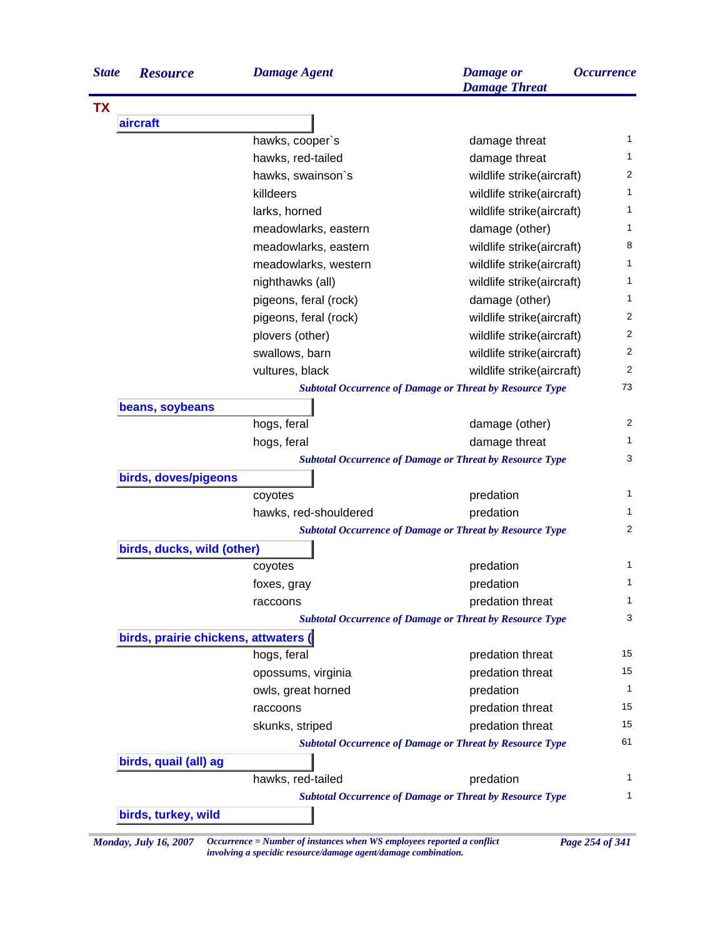| <b>State</b> | <b>Resource</b>                      | <b>Damage Agent</b>   | <b>Damage</b> or<br><b>Damage Threat</b>                        | <i><b>Occurrence</b></i> |
|--------------|--------------------------------------|-----------------------|-----------------------------------------------------------------|--------------------------|
| <b>TX</b>    |                                      |                       |                                                                 |                          |
|              | aircraft                             |                       |                                                                 |                          |
|              |                                      | hawks, cooper's       | damage threat                                                   | 1                        |
|              |                                      | hawks, red-tailed     | damage threat                                                   | 1                        |
|              |                                      | hawks, swainson's     | wildlife strike(aircraft)                                       | 2                        |
|              |                                      | killdeers             | wildlife strike(aircraft)                                       | 1                        |
|              |                                      | larks, horned         | wildlife strike(aircraft)                                       | 1                        |
|              |                                      | meadowlarks, eastern  | damage (other)                                                  | 1                        |
|              |                                      | meadowlarks, eastern  | wildlife strike(aircraft)                                       | 8                        |
|              |                                      | meadowlarks, western  | wildlife strike(aircraft)                                       | 1                        |
|              |                                      | nighthawks (all)      | wildlife strike(aircraft)                                       | 1                        |
|              |                                      | pigeons, feral (rock) | damage (other)                                                  | 1                        |
|              |                                      | pigeons, feral (rock) | wildlife strike(aircraft)                                       | 2                        |
|              |                                      | plovers (other)       | wildlife strike(aircraft)                                       | 2                        |
|              |                                      | swallows, barn        | wildlife strike(aircraft)                                       | 2                        |
|              |                                      | vultures, black       | wildlife strike(aircraft)                                       | 2                        |
|              |                                      |                       | <b>Subtotal Occurrence of Damage or Threat by Resource Type</b> | 73                       |
|              | beans, soybeans                      |                       |                                                                 |                          |
|              |                                      | hogs, feral           | damage (other)                                                  | 2                        |
|              |                                      | hogs, feral           | damage threat                                                   | 1                        |
|              |                                      |                       | <b>Subtotal Occurrence of Damage or Threat by Resource Type</b> | 3                        |
|              | birds, doves/pigeons                 |                       |                                                                 |                          |
|              |                                      | coyotes               | predation                                                       | $\mathbf{1}$             |
|              |                                      | hawks, red-shouldered | predation                                                       | 1                        |
|              |                                      |                       | <b>Subtotal Occurrence of Damage or Threat by Resource Type</b> | 2                        |
|              | birds, ducks, wild (other)           |                       |                                                                 |                          |
|              |                                      | coyotes               | predation                                                       | $\mathbf{1}$             |
|              |                                      | foxes, gray           | predation                                                       | 1                        |
|              |                                      | raccoons              | predation threat                                                | 1                        |
|              |                                      |                       | <b>Subtotal Occurrence of Damage or Threat by Resource Type</b> | 3                        |
|              | birds, prairie chickens, attwaters ( |                       |                                                                 |                          |
|              |                                      | hogs, feral           | predation threat                                                | 15                       |
|              |                                      | opossums, virginia    | predation threat                                                | 15                       |
|              |                                      | owls, great horned    | predation                                                       | 1                        |
|              |                                      | raccoons              | predation threat                                                | 15                       |
|              |                                      | skunks, striped       | predation threat                                                | 15                       |
|              |                                      |                       | <b>Subtotal Occurrence of Damage or Threat by Resource Type</b> | 61                       |
|              | birds, quail (all) ag                |                       |                                                                 |                          |
|              |                                      | hawks, red-tailed     | predation                                                       | 1                        |
|              |                                      |                       | <b>Subtotal Occurrence of Damage or Threat by Resource Type</b> | 1                        |
|              | birds, turkey, wild                  |                       |                                                                 |                          |

*Monday, July 16, 2007 Occurrence = Number of instances when WS employees reported a conflict Page 254 of 341 involving a specidic resource/damage agent/damage combination.*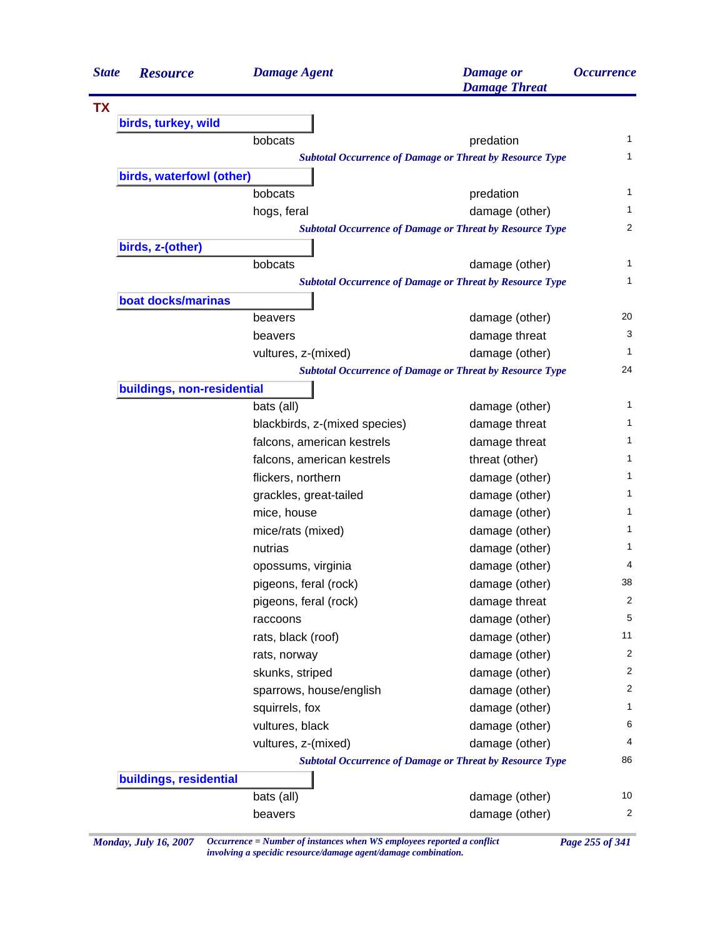| <b>State</b> | <b>Resource</b>            | <b>Damage Agent</b>           | <b>Damage</b> or<br><b>Damage Threat</b>                        | <i><b>Occurrence</b></i> |
|--------------|----------------------------|-------------------------------|-----------------------------------------------------------------|--------------------------|
| <b>TX</b>    |                            |                               |                                                                 |                          |
|              | birds, turkey, wild        |                               |                                                                 |                          |
|              |                            | bobcats                       | predation                                                       | 1                        |
|              |                            |                               | <b>Subtotal Occurrence of Damage or Threat by Resource Type</b> | 1                        |
|              | birds, waterfowl (other)   |                               |                                                                 |                          |
|              |                            | bobcats                       | predation                                                       | 1                        |
|              |                            | hogs, feral                   | damage (other)                                                  | 1                        |
|              |                            |                               | <b>Subtotal Occurrence of Damage or Threat by Resource Type</b> | 2                        |
|              | birds, z-(other)           |                               |                                                                 |                          |
|              |                            | bobcats                       | damage (other)                                                  | 1                        |
|              |                            |                               | <b>Subtotal Occurrence of Damage or Threat by Resource Type</b> | 1                        |
|              | boat docks/marinas         |                               |                                                                 |                          |
|              |                            | beavers                       | damage (other)                                                  | 20                       |
|              |                            | beavers                       | damage threat                                                   | 3                        |
|              |                            | vultures, z-(mixed)           | damage (other)                                                  | 1                        |
|              |                            |                               | <b>Subtotal Occurrence of Damage or Threat by Resource Type</b> | 24                       |
|              | buildings, non-residential |                               |                                                                 |                          |
|              |                            | bats (all)                    | damage (other)                                                  | 1                        |
|              |                            | blackbirds, z-(mixed species) | damage threat                                                   | 1                        |
|              |                            | falcons, american kestrels    | damage threat                                                   | 1                        |
|              |                            | falcons, american kestrels    | threat (other)                                                  | 1                        |
|              |                            | flickers, northern            | damage (other)                                                  | 1                        |
|              |                            | grackles, great-tailed        | damage (other)                                                  | 1                        |
|              |                            | mice, house                   | damage (other)                                                  | 1                        |
|              |                            | mice/rats (mixed)             | damage (other)                                                  | 1                        |
|              |                            | nutrias                       | damage (other)                                                  | 1                        |
|              |                            | opossums, virginia            | damage (other)                                                  | 4                        |
|              |                            | pigeons, feral (rock)         | damage (other)                                                  | 38                       |
|              |                            | pigeons, feral (rock)         | damage threat                                                   | 2                        |
|              |                            | raccoons                      | damage (other)                                                  | 5                        |
|              |                            | rats, black (roof)            | damage (other)                                                  | 11                       |
|              |                            | rats, norway                  | damage (other)                                                  | 2                        |
|              |                            | skunks, striped               | damage (other)                                                  | 2                        |
|              |                            | sparrows, house/english       | damage (other)                                                  | 2                        |
|              |                            | squirrels, fox                | damage (other)                                                  | 1                        |
|              |                            | vultures, black               | damage (other)                                                  | 6                        |
|              |                            | vultures, z-(mixed)           | damage (other)                                                  | 4                        |
|              |                            |                               | <b>Subtotal Occurrence of Damage or Threat by Resource Type</b> | 86                       |
|              | buildings, residential     |                               |                                                                 |                          |
|              |                            | bats (all)                    | damage (other)                                                  | 10                       |
|              |                            | beavers                       | damage (other)                                                  | 2                        |

*Monday, July 16, 2007 Occurrence = Number of instances when WS employees reported a conflict Page 255 of 341 involving a specidic resource/damage agent/damage combination.*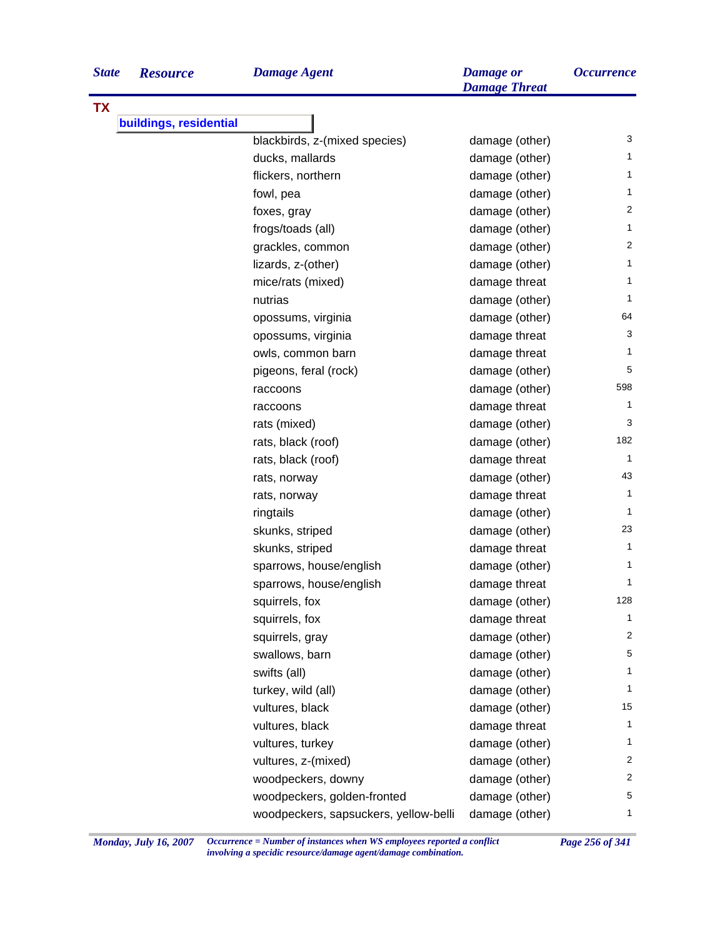| <b>State</b> | <b>Resourc</b> |
|--------------|----------------|
|              |                |

**TX**

|  |  | $\mathbf{D}a$ |  |
|--|--|---------------|--|
|  |  |               |  |

| <b>State</b> | <b>Resource</b>        | <b>Damage Agent</b>                   | <b>Damage</b> or<br><b>Damage Threat</b> | <i><b>Occurrence</b></i> |
|--------------|------------------------|---------------------------------------|------------------------------------------|--------------------------|
| <b>TX</b>    |                        |                                       |                                          |                          |
|              | buildings, residential |                                       |                                          |                          |
|              |                        | blackbirds, z-(mixed species)         | damage (other)                           | 3                        |
|              |                        | ducks, mallards                       | damage (other)                           | 1                        |
|              |                        | flickers, northern                    | damage (other)                           | 1                        |
|              |                        | fowl, pea                             | damage (other)                           | 1                        |
|              |                        | foxes, gray                           | damage (other)                           | 2                        |
|              |                        | frogs/toads (all)                     | damage (other)                           | 1                        |
|              |                        | grackles, common                      | damage (other)                           | 2                        |
|              |                        | lizards, z-(other)                    | damage (other)                           | 1                        |
|              |                        | mice/rats (mixed)                     | damage threat                            | 1                        |
|              |                        | nutrias                               | damage (other)                           | 1                        |
|              |                        | opossums, virginia                    | damage (other)                           | 64                       |
|              |                        | opossums, virginia                    | damage threat                            | 3                        |
|              |                        | owls, common barn                     | damage threat                            | 1                        |
|              |                        | pigeons, feral (rock)                 | damage (other)                           | 5                        |
|              |                        | raccoons                              | damage (other)                           | 598                      |
|              |                        | raccoons                              | damage threat                            | 1                        |
|              |                        | rats (mixed)                          | damage (other)                           | 3                        |
|              |                        | rats, black (roof)                    | damage (other)                           | 182                      |
|              |                        | rats, black (roof)                    | damage threat                            | 1                        |
|              |                        | rats, norway                          | damage (other)                           | 43                       |
|              |                        | rats, norway                          | damage threat                            | 1                        |
|              |                        | ringtails                             | damage (other)                           | 1                        |
|              |                        | skunks, striped                       | damage (other)                           | 23                       |
|              |                        | skunks, striped                       | damage threat                            | 1                        |
|              |                        | sparrows, house/english               | damage (other)                           | 1                        |
|              |                        | sparrows, house/english               | damage threat                            | 1                        |
|              |                        | squirrels, fox                        | damage (other)                           | 128                      |
|              |                        | squirrels, fox                        | damage threat                            | 1                        |
|              |                        | squirrels, gray                       | damage (other)                           | 2                        |
|              |                        | swallows, barn                        | damage (other)                           | 5                        |
|              |                        | swifts (all)                          | damage (other)                           | 1                        |
|              |                        | turkey, wild (all)                    | damage (other)                           | 1                        |
|              |                        | vultures, black                       | damage (other)                           | 15                       |
|              |                        | vultures, black                       | damage threat                            | 1                        |
|              |                        | vultures, turkey                      | damage (other)                           | 1                        |
|              |                        | vultures, z-(mixed)                   | damage (other)                           | $\overline{\mathbf{c}}$  |
|              |                        | woodpeckers, downy                    | damage (other)                           | $\overline{\mathbf{c}}$  |
|              |                        | woodpeckers, golden-fronted           | damage (other)                           | 5                        |
|              |                        | woodpeckers, sapsuckers, yellow-belli | damage (other)                           | 1                        |
|              |                        |                                       |                                          |                          |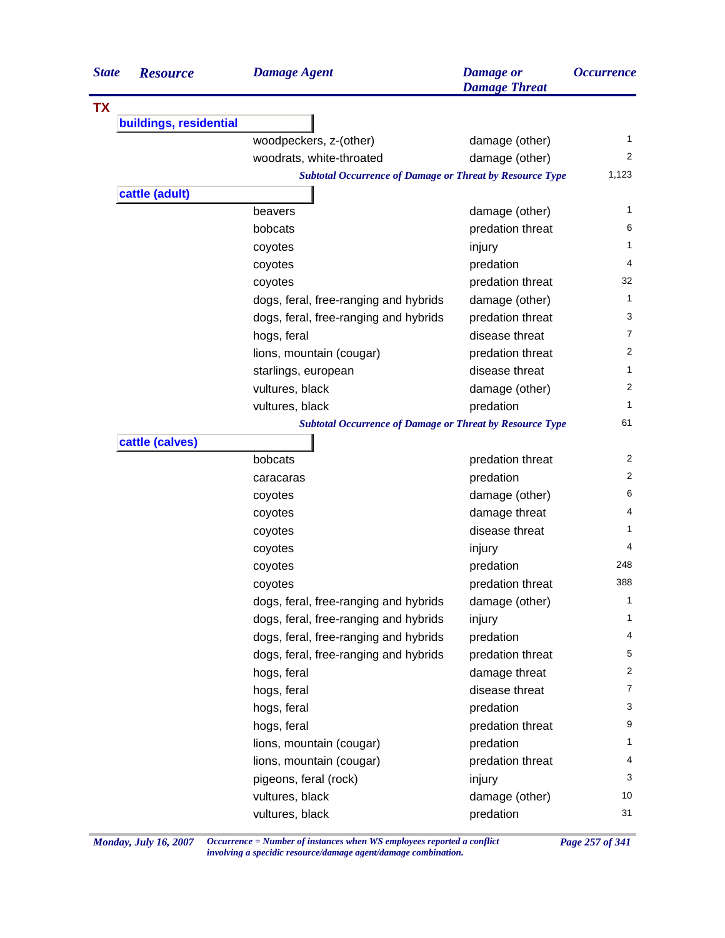| <b>State</b> | <b>Resource</b>        | <b>Damage Agent</b>                                             | <b>Damage</b> or<br><b>Damage Threat</b> | <i><b>Occurrence</b></i> |
|--------------|------------------------|-----------------------------------------------------------------|------------------------------------------|--------------------------|
| <b>TX</b>    |                        |                                                                 |                                          |                          |
|              | buildings, residential |                                                                 |                                          |                          |
|              |                        | woodpeckers, z-(other)                                          | damage (other)                           | 1                        |
|              |                        | woodrats, white-throated                                        | damage (other)                           | $\overline{2}$           |
|              |                        | <b>Subtotal Occurrence of Damage or Threat by Resource Type</b> |                                          | 1,123                    |
|              | cattle (adult)         |                                                                 |                                          |                          |
|              |                        | beavers                                                         | damage (other)                           | 1                        |
|              |                        | bobcats                                                         | predation threat                         | 6                        |
|              |                        | coyotes                                                         | injury                                   | 1                        |
|              |                        | coyotes                                                         | predation                                | 4                        |
|              |                        | coyotes                                                         | predation threat                         | 32                       |
|              |                        | dogs, feral, free-ranging and hybrids                           | damage (other)                           | 1                        |
|              |                        | dogs, feral, free-ranging and hybrids                           | predation threat                         | 3                        |
|              |                        | hogs, feral                                                     | disease threat                           | 7                        |
|              |                        | lions, mountain (cougar)                                        | predation threat                         | 2                        |
|              |                        | starlings, european                                             | disease threat                           | 1                        |
|              |                        | vultures, black                                                 | damage (other)                           | 2                        |
|              |                        | vultures, black                                                 | predation                                | 1                        |
|              |                        | <b>Subtotal Occurrence of Damage or Threat by Resource Type</b> |                                          | 61                       |
|              | cattle (calves)        |                                                                 |                                          |                          |
|              |                        | bobcats                                                         | predation threat                         | 2                        |
|              |                        | caracaras                                                       | predation                                | 2                        |
|              |                        | coyotes                                                         | damage (other)                           | 6                        |
|              |                        | coyotes                                                         | damage threat                            | 4                        |
|              |                        | coyotes                                                         | disease threat                           | 1                        |
|              |                        | coyotes                                                         | injury                                   | 4                        |
|              |                        | coyotes                                                         | predation                                | 248                      |
|              |                        | coyotes                                                         | predation threat                         | 388                      |
|              |                        | dogs, feral, free-ranging and hybrids                           | damage (other)                           | 1                        |
|              |                        | dogs, feral, free-ranging and hybrids                           | injury                                   | 1                        |
|              |                        | dogs, feral, free-ranging and hybrids                           | predation                                | 4                        |
|              |                        | dogs, feral, free-ranging and hybrids                           | predation threat                         | 5                        |
|              |                        | hogs, feral                                                     | damage threat                            | 2                        |
|              |                        | hogs, feral                                                     | disease threat                           | 7                        |
|              |                        | hogs, feral                                                     | predation                                | 3                        |
|              |                        | hogs, feral                                                     | predation threat                         | 9                        |
|              |                        | lions, mountain (cougar)                                        | predation                                | $\mathbf{1}$             |
|              |                        | lions, mountain (cougar)                                        | predation threat                         | 4                        |
|              |                        | pigeons, feral (rock)                                           | injury                                   | 3                        |
|              |                        | vultures, black                                                 | damage (other)                           | 10                       |
|              |                        | vultures, black                                                 | predation                                | 31                       |
|              |                        |                                                                 |                                          |                          |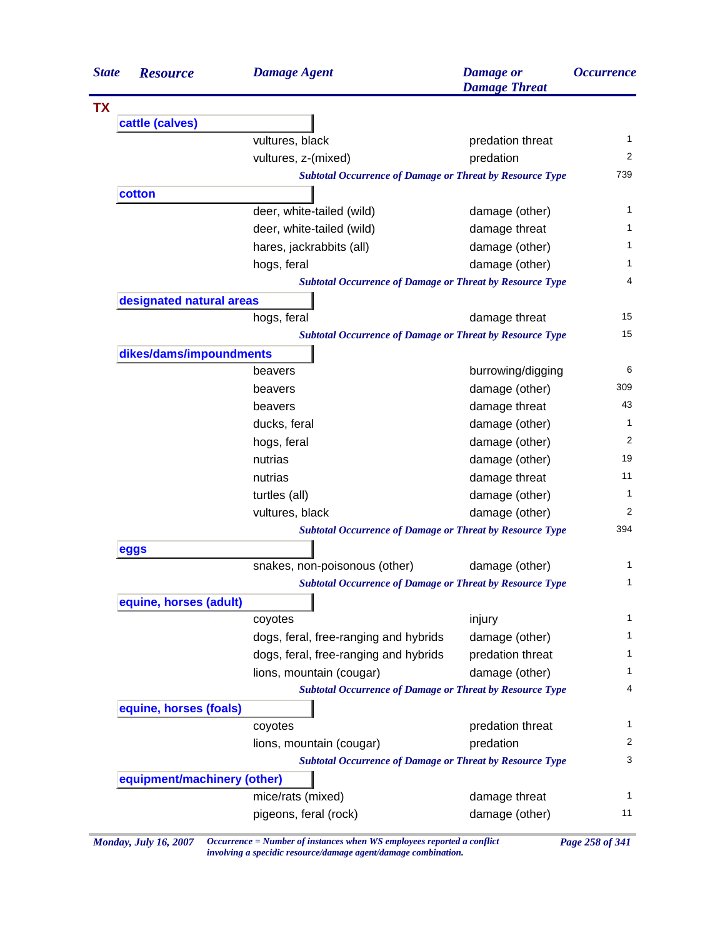| <b>State</b> | <b>Resource</b>             | <b>Damage Agent</b>                                             | <b>Damage</b> or<br><b>Damage Threat</b> | <i><b>Occurrence</b></i> |
|--------------|-----------------------------|-----------------------------------------------------------------|------------------------------------------|--------------------------|
| <b>TX</b>    |                             |                                                                 |                                          |                          |
|              | cattle (calves)             |                                                                 |                                          |                          |
|              |                             | vultures, black                                                 | predation threat                         | 1                        |
|              |                             | vultures, z-(mixed)                                             | predation                                | 2                        |
|              |                             | <b>Subtotal Occurrence of Damage or Threat by Resource Type</b> |                                          | 739                      |
|              | cotton                      |                                                                 |                                          |                          |
|              |                             | deer, white-tailed (wild)                                       | damage (other)                           | 1                        |
|              |                             | deer, white-tailed (wild)                                       | damage threat                            | 1                        |
|              |                             | hares, jackrabbits (all)                                        | damage (other)                           | 1                        |
|              |                             | hogs, feral                                                     | damage (other)                           | 1                        |
|              |                             | <b>Subtotal Occurrence of Damage or Threat by Resource Type</b> |                                          | 4                        |
|              | designated natural areas    |                                                                 |                                          |                          |
|              |                             | hogs, feral                                                     | damage threat                            | 15                       |
|              |                             | <b>Subtotal Occurrence of Damage or Threat by Resource Type</b> |                                          | 15                       |
|              | dikes/dams/impoundments     |                                                                 |                                          |                          |
|              |                             | beavers                                                         | burrowing/digging                        | 6                        |
|              |                             | beavers                                                         | damage (other)                           | 309                      |
|              |                             | beavers                                                         | damage threat                            | 43                       |
|              |                             | ducks, feral                                                    | damage (other)                           | 1                        |
|              |                             | hogs, feral                                                     | damage (other)                           | 2                        |
|              |                             | nutrias                                                         | damage (other)                           | 19                       |
|              |                             | nutrias                                                         | damage threat                            | 11                       |
|              |                             | turtles (all)                                                   | damage (other)                           | 1                        |
|              |                             | vultures, black                                                 | damage (other)                           | 2                        |
|              |                             | <b>Subtotal Occurrence of Damage or Threat by Resource Type</b> |                                          | 394                      |
|              | eggs                        |                                                                 |                                          |                          |
|              |                             | snakes, non-poisonous (other)                                   | damage (other)                           | 1                        |
|              |                             | <b>Subtotal Occurrence of Damage or Threat by Resource Type</b> |                                          | 1                        |
|              | equine, horses (adult)      |                                                                 |                                          |                          |
|              |                             | coyotes                                                         | injury                                   | 1                        |
|              |                             | dogs, feral, free-ranging and hybrids                           | damage (other)                           | $\mathbf{1}$             |
|              |                             | dogs, feral, free-ranging and hybrids                           | predation threat                         | 1                        |
|              |                             | lions, mountain (cougar)                                        | damage (other)                           | 1                        |
|              |                             | <b>Subtotal Occurrence of Damage or Threat by Resource Type</b> |                                          | 4                        |
|              | equine, horses (foals)      |                                                                 |                                          |                          |
|              |                             | coyotes                                                         | predation threat                         | 1                        |
|              |                             | lions, mountain (cougar)                                        | predation                                | 2                        |
|              |                             | <b>Subtotal Occurrence of Damage or Threat by Resource Type</b> |                                          | 3                        |
|              | equipment/machinery (other) |                                                                 |                                          |                          |
|              |                             | mice/rats (mixed)                                               | damage threat                            | 1                        |
|              |                             | pigeons, feral (rock)                                           | damage (other)                           | 11                       |

*Monday, July 16, 2007 Occurrence = Number of instances when WS employees reported a conflict Page 258 of 341 involving a specidic resource/damage agent/damage combination.*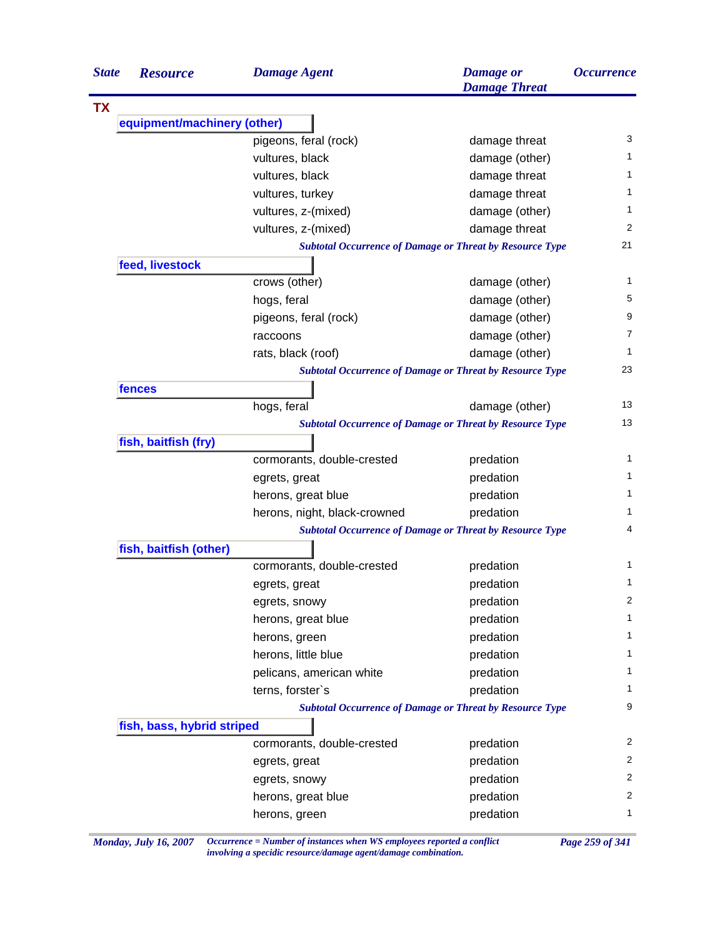| <b>State</b><br><b>Resource</b> | <b>Damage Agent</b>          | <b>Damage</b> or<br><b>Damage Threat</b>                        | <i><b>Occurrence</b></i> |
|---------------------------------|------------------------------|-----------------------------------------------------------------|--------------------------|
| <b>TX</b>                       |                              |                                                                 |                          |
| equipment/machinery (other)     |                              |                                                                 |                          |
|                                 | pigeons, feral (rock)        | damage threat                                                   | 3                        |
|                                 | vultures, black              | damage (other)                                                  | 1                        |
|                                 | vultures, black              | damage threat                                                   | 1                        |
|                                 | vultures, turkey             | damage threat                                                   | 1                        |
|                                 | vultures, z-(mixed)          | damage (other)                                                  | 1                        |
|                                 | vultures, z-(mixed)          | damage threat                                                   | 2                        |
|                                 |                              | <b>Subtotal Occurrence of Damage or Threat by Resource Type</b> | 21                       |
| feed, livestock                 |                              |                                                                 |                          |
|                                 | crows (other)                | damage (other)                                                  | 1                        |
|                                 | hogs, feral                  | damage (other)                                                  | 5                        |
|                                 | pigeons, feral (rock)        | damage (other)                                                  | 9                        |
|                                 | raccoons                     | damage (other)                                                  | 7                        |
|                                 | rats, black (roof)           | damage (other)                                                  | 1                        |
|                                 |                              | <b>Subtotal Occurrence of Damage or Threat by Resource Type</b> | 23                       |
| fences                          |                              |                                                                 |                          |
|                                 | hogs, feral                  | damage (other)                                                  | 13                       |
|                                 |                              | <b>Subtotal Occurrence of Damage or Threat by Resource Type</b> | 13                       |
| fish, baitfish (fry)            |                              |                                                                 |                          |
|                                 | cormorants, double-crested   | predation                                                       | 1                        |
|                                 | egrets, great                | predation                                                       | 1                        |
|                                 | herons, great blue           | predation                                                       | 1                        |
|                                 | herons, night, black-crowned | predation                                                       | 1                        |
|                                 |                              | <b>Subtotal Occurrence of Damage or Threat by Resource Type</b> | 4                        |
| fish, baitfish (other)          |                              |                                                                 |                          |
|                                 | cormorants, double-crested   | predation                                                       | 1                        |
|                                 | egrets, great                | predation                                                       | 1                        |
|                                 | egrets, snowy                | predation                                                       | 2                        |
|                                 | herons, great blue           | predation                                                       | 1                        |
|                                 | herons, green                | predation                                                       | 1                        |
|                                 | herons, little blue          | predation                                                       | 1                        |
|                                 | pelicans, american white     | predation                                                       | 1                        |
|                                 | terns, forster's             | predation                                                       | 1                        |
|                                 |                              | <b>Subtotal Occurrence of Damage or Threat by Resource Type</b> | 9                        |
| fish, bass, hybrid striped      |                              |                                                                 |                          |
|                                 | cormorants, double-crested   | predation                                                       | $\overline{2}$           |
|                                 | egrets, great                | predation                                                       | 2                        |
|                                 |                              |                                                                 | 2                        |
|                                 | egrets, snowy                | predation                                                       | 2                        |
|                                 | herons, great blue           | predation                                                       | $\mathbf{1}$             |
|                                 | herons, green                | predation                                                       |                          |

*Monday, July 16, 2007 Occurrence = Number of instances when WS employees reported a conflict Page 259 of 341 involving a specidic resource/damage agent/damage combination.*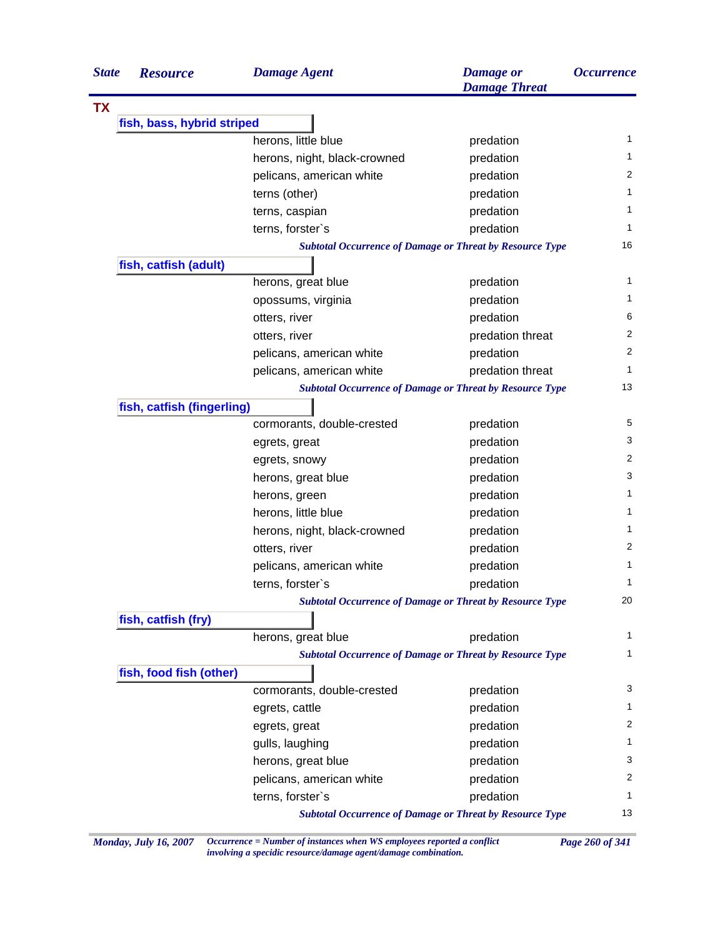| <b>State</b> | <b>Resource</b>            | <b>Damage Agent</b>          | <b>Damage</b> or<br><b>Damage Threat</b>                        | <i><b>Occurrence</b></i> |
|--------------|----------------------------|------------------------------|-----------------------------------------------------------------|--------------------------|
| <b>TX</b>    |                            |                              |                                                                 |                          |
|              | fish, bass, hybrid striped |                              |                                                                 |                          |
|              |                            | herons, little blue          | predation                                                       | 1                        |
|              |                            | herons, night, black-crowned | predation                                                       | 1                        |
|              |                            | pelicans, american white     | predation                                                       | 2                        |
|              |                            | terns (other)                | predation                                                       | 1                        |
|              |                            | terns, caspian               | predation                                                       | 1                        |
|              |                            | terns, forster's             | predation                                                       | 1                        |
|              |                            |                              | <b>Subtotal Occurrence of Damage or Threat by Resource Type</b> | 16                       |
|              | fish, catfish (adult)      |                              |                                                                 |                          |
|              |                            | herons, great blue           | predation                                                       | 1                        |
|              |                            | opossums, virginia           | predation                                                       | 1                        |
|              |                            | otters, river                | predation                                                       | 6                        |
|              |                            | otters, river                | predation threat                                                | 2                        |
|              |                            | pelicans, american white     | predation                                                       | 2                        |
|              |                            | pelicans, american white     | predation threat                                                | 1                        |
|              |                            |                              | <b>Subtotal Occurrence of Damage or Threat by Resource Type</b> | 13                       |
|              | fish, catfish (fingerling) |                              |                                                                 |                          |
|              |                            | cormorants, double-crested   | predation                                                       | 5                        |
|              |                            | egrets, great                | predation                                                       | 3                        |
|              |                            | egrets, snowy                | predation                                                       | 2                        |
|              |                            | herons, great blue           | predation                                                       | 3                        |
|              |                            | herons, green                | predation                                                       | 1                        |
|              |                            | herons, little blue          | predation                                                       | 1                        |
|              |                            | herons, night, black-crowned | predation                                                       | $\mathbf{1}$             |
|              |                            | otters, river                | predation                                                       | 2                        |
|              |                            | pelicans, american white     | predation                                                       | 1                        |
|              |                            | terns, forster's             | predation                                                       | 1                        |
|              |                            |                              | <b>Subtotal Occurrence of Damage or Threat by Resource Type</b> | 20                       |
|              | fish, catfish (fry)        |                              |                                                                 |                          |
|              |                            | herons, great blue           | predation                                                       | $\mathbf{1}$             |
|              |                            |                              | <b>Subtotal Occurrence of Damage or Threat by Resource Type</b> | $\mathbf{1}$             |
|              | fish, food fish (other)    |                              |                                                                 |                          |
|              |                            | cormorants, double-crested   | predation                                                       | 3                        |
|              |                            | egrets, cattle               | predation                                                       | 1                        |
|              |                            | egrets, great                | predation                                                       | 2                        |
|              |                            | gulls, laughing              | predation                                                       | 1                        |
|              |                            | herons, great blue           | predation                                                       | 3                        |
|              |                            | pelicans, american white     | predation                                                       | 2                        |
|              |                            | terns, forster's             | predation                                                       | $\mathbf{1}$             |
|              |                            |                              | <b>Subtotal Occurrence of Damage or Threat by Resource Type</b> | 13                       |

*Monday, July 16, 2007 Occurrence = Number of instances when WS employees reported a conflict Page 260 of 341 involving a specidic resource/damage agent/damage combination.*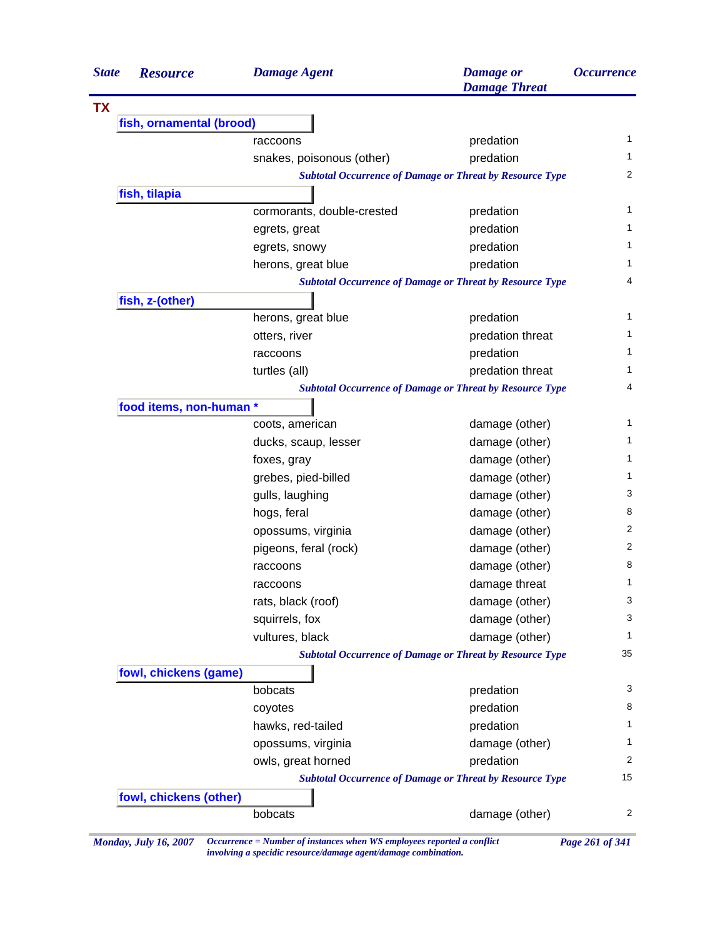| <b>State</b> | <b>Resource</b>          | <b>Damage Agent</b>        | <b>Damage</b> or<br><b>Damage Threat</b>                        | <i><b>Occurrence</b></i> |
|--------------|--------------------------|----------------------------|-----------------------------------------------------------------|--------------------------|
| <b>TX</b>    |                          |                            |                                                                 |                          |
|              | fish, ornamental (brood) |                            |                                                                 |                          |
|              |                          | raccoons                   | predation                                                       | $\mathbf{1}$             |
|              |                          | snakes, poisonous (other)  | predation                                                       | 1                        |
|              |                          |                            | <b>Subtotal Occurrence of Damage or Threat by Resource Type</b> | 2                        |
|              | fish, tilapia            |                            |                                                                 |                          |
|              |                          | cormorants, double-crested | predation                                                       | 1                        |
|              |                          | egrets, great              | predation                                                       | 1                        |
|              |                          | egrets, snowy              | predation                                                       | $\mathbf{1}$             |
|              |                          | herons, great blue         | predation                                                       | 1                        |
|              |                          |                            | <b>Subtotal Occurrence of Damage or Threat by Resource Type</b> | 4                        |
|              | fish, z-(other)          |                            |                                                                 |                          |
|              |                          | herons, great blue         | predation                                                       | 1                        |
|              |                          | otters, river              | predation threat                                                | 1                        |
|              |                          | raccoons                   | predation                                                       | 1                        |
|              |                          | turtles (all)              | predation threat                                                | 1                        |
|              |                          |                            | <b>Subtotal Occurrence of Damage or Threat by Resource Type</b> | 4                        |
|              | food items, non-human *  |                            |                                                                 |                          |
|              |                          | coots, american            | damage (other)                                                  | 1                        |
|              |                          | ducks, scaup, lesser       | damage (other)                                                  | 1                        |
|              |                          | foxes, gray                | damage (other)                                                  | 1                        |
|              |                          | grebes, pied-billed        | damage (other)                                                  | 1                        |
|              |                          | gulls, laughing            | damage (other)                                                  | 3                        |
|              |                          | hogs, feral                | damage (other)                                                  | 8                        |
|              |                          | opossums, virginia         | damage (other)                                                  | 2                        |
|              |                          | pigeons, feral (rock)      | damage (other)                                                  | 2                        |
|              |                          | raccoons                   | damage (other)                                                  | 8                        |
|              |                          | raccoons                   | damage threat                                                   | 1                        |
|              |                          | rats, black (roof)         | damage (other)                                                  | 3                        |
|              |                          | squirrels, fox             | damage (other)                                                  | 3                        |
|              |                          | vultures, black            | damage (other)                                                  | 1                        |
|              |                          |                            | <b>Subtotal Occurrence of Damage or Threat by Resource Type</b> | 35                       |
|              | fowl, chickens (game)    |                            |                                                                 |                          |
|              |                          | bobcats                    | predation                                                       | 3                        |
|              |                          | coyotes                    | predation                                                       | 8                        |
|              |                          |                            | predation                                                       | 1                        |
|              |                          | hawks, red-tailed          |                                                                 | 1                        |
|              |                          | opossums, virginia         | damage (other)<br>predation                                     | 2                        |
|              |                          | owls, great horned         |                                                                 | 15                       |
|              |                          |                            | <b>Subtotal Occurrence of Damage or Threat by Resource Type</b> |                          |
|              | fowl, chickens (other)   |                            |                                                                 |                          |
|              |                          | bobcats                    | damage (other)                                                  | 2                        |

*Monday, July 16, 2007 Occurrence = Number of instances when WS employees reported a conflict Page 261 of 341 involving a specidic resource/damage agent/damage combination.*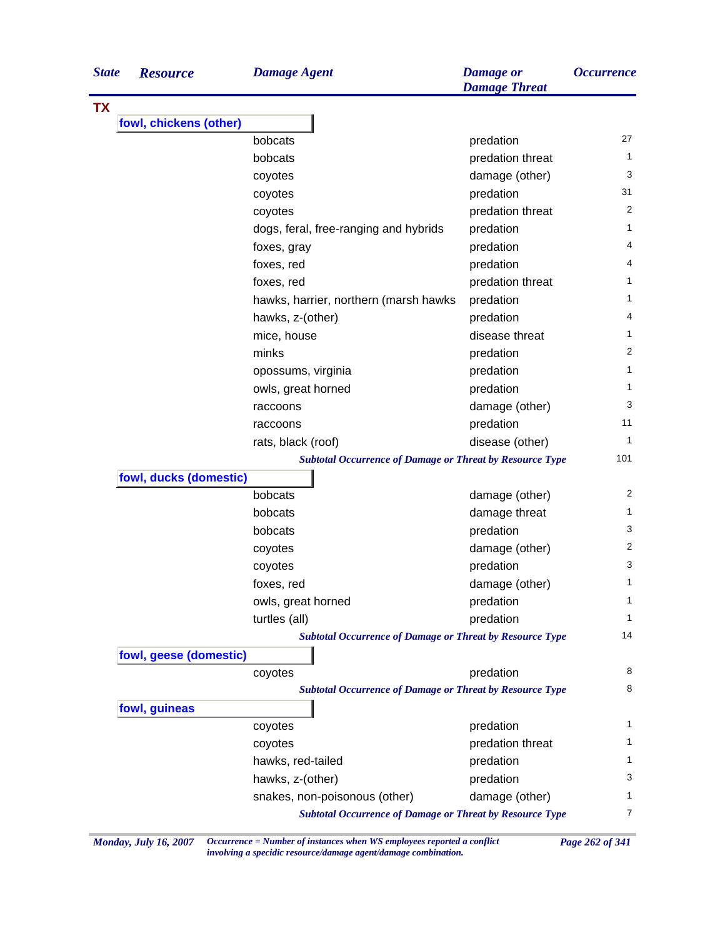| <b>State</b> | <b>Resource</b>        | <b>Damage Agent</b>                                             | <b>Damage</b> or<br><b>Damage Threat</b> | <b>Occurrence</b> |
|--------------|------------------------|-----------------------------------------------------------------|------------------------------------------|-------------------|
|              |                        |                                                                 |                                          |                   |
|              | fowl, chickens (other) |                                                                 |                                          |                   |
|              |                        | bobcats                                                         | predation                                | 27                |
|              |                        | bobcats                                                         | predation threat                         | 1                 |
|              |                        | coyotes                                                         | damage (other)                           | 3                 |
|              |                        | coyotes                                                         | predation                                | 31                |
|              |                        | coyotes                                                         | predation threat                         | 2                 |
|              |                        | dogs, feral, free-ranging and hybrids                           | predation                                | 1                 |
|              |                        | foxes, gray                                                     | predation                                | 4                 |
|              |                        | foxes, red                                                      | predation                                | 4                 |
|              |                        | foxes, red                                                      | predation threat                         | 1                 |
|              |                        | hawks, harrier, northern (marsh hawks                           | predation                                | 1                 |
|              |                        | hawks, z-(other)                                                | predation                                | 4                 |
|              |                        | mice, house                                                     | disease threat                           | 1                 |
|              |                        | minks                                                           | predation                                | 2                 |
|              |                        | opossums, virginia                                              | predation                                | 1                 |
|              |                        | owls, great horned                                              | predation                                | 1                 |
|              |                        | raccoons                                                        | damage (other)                           | 3                 |
|              |                        | raccoons                                                        | predation                                | 11                |
|              |                        | rats, black (roof)                                              | disease (other)                          | $\mathbf{1}$      |
|              |                        | <b>Subtotal Occurrence of Damage or Threat by Resource Type</b> |                                          | 101               |
|              | fowl, ducks (domestic) |                                                                 |                                          |                   |
|              |                        | bobcats                                                         | damage (other)                           | 2                 |
|              |                        | bobcats                                                         | damage threat                            | 1                 |
|              |                        | bobcats                                                         | predation                                | 3                 |
|              |                        | coyotes                                                         | damage (other)                           | 2                 |
|              |                        | coyotes                                                         | predation                                | 3                 |
|              |                        | foxes, red                                                      | damage (other)                           | 1                 |
|              |                        | owls, great horned                                              | predation                                | 1                 |
|              |                        | turtles (all)                                                   | predation                                | 1                 |
|              |                        | <b>Subtotal Occurrence of Damage or Threat by Resource Type</b> |                                          | 14                |
|              | fowl, geese (domestic) |                                                                 |                                          |                   |
|              |                        | coyotes                                                         | predation                                | 8                 |
|              |                        | <b>Subtotal Occurrence of Damage or Threat by Resource Type</b> |                                          | 8                 |
|              | fowl, guineas          |                                                                 |                                          |                   |
|              |                        | coyotes                                                         | predation                                | 1                 |
|              |                        | coyotes                                                         | predation threat                         | 1                 |
|              |                        | hawks, red-tailed                                               | predation                                | 1.                |
|              |                        | hawks, z-(other)                                                | predation                                | 3                 |
|              |                        | snakes, non-poisonous (other)                                   | damage (other)                           | 1                 |
|              |                        | <b>Subtotal Occurrence of Damage or Threat by Resource Type</b> |                                          | 7                 |

*Monday, July 16, 2007 Occurrence = Number of instances when WS employees reported a conflict Page 262 of 341 involving a specidic resource/damage agent/damage combination.*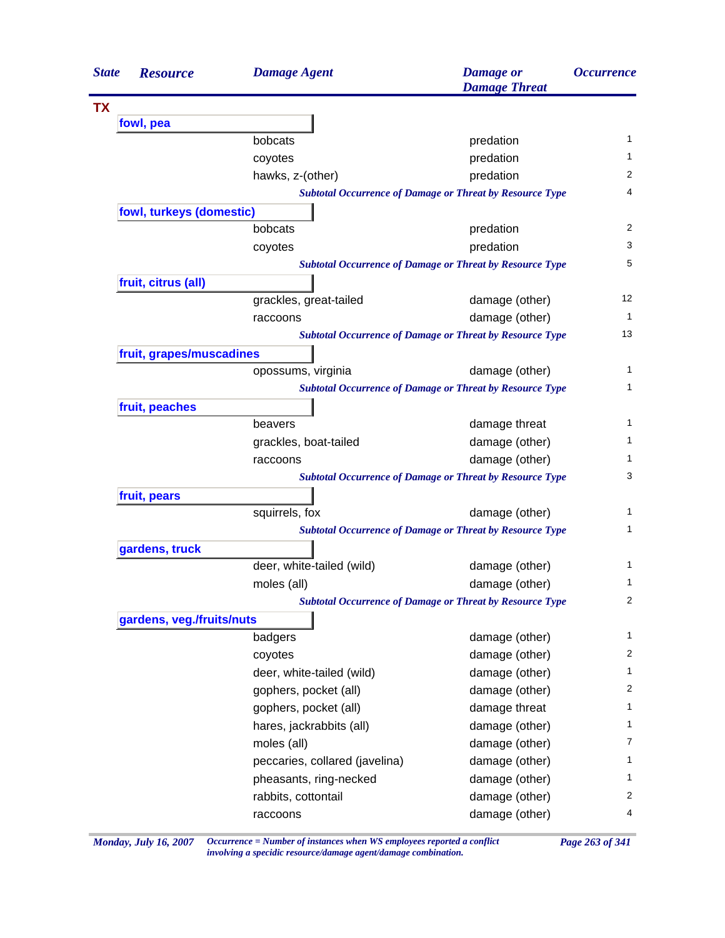| <b>State</b> | <b>Resource</b>           | <b>Damage Agent</b>            | <b>Damage</b> or<br><b>Damage Threat</b>                        | <i><b>Occurrence</b></i> |
|--------------|---------------------------|--------------------------------|-----------------------------------------------------------------|--------------------------|
| <b>TX</b>    |                           |                                |                                                                 |                          |
|              | fowl, pea                 |                                |                                                                 |                          |
|              |                           | bobcats                        | predation                                                       | 1                        |
|              |                           | coyotes                        | predation                                                       | 1                        |
|              |                           | hawks, z-(other)               | predation                                                       | 2                        |
|              |                           |                                | <b>Subtotal Occurrence of Damage or Threat by Resource Type</b> | 4                        |
|              | fowl, turkeys (domestic)  |                                |                                                                 |                          |
|              |                           | bobcats                        | predation                                                       | 2                        |
|              |                           | coyotes                        | predation                                                       | 3                        |
|              |                           |                                | <b>Subtotal Occurrence of Damage or Threat by Resource Type</b> | 5                        |
|              | fruit, citrus (all)       |                                |                                                                 |                          |
|              |                           | grackles, great-tailed         | damage (other)                                                  | 12                       |
|              |                           | raccoons                       | damage (other)                                                  | 1                        |
|              |                           |                                | <b>Subtotal Occurrence of Damage or Threat by Resource Type</b> | 13                       |
|              | fruit, grapes/muscadines  |                                |                                                                 |                          |
|              |                           | opossums, virginia             | damage (other)                                                  | 1                        |
|              |                           |                                | <b>Subtotal Occurrence of Damage or Threat by Resource Type</b> | 1                        |
|              | fruit, peaches            |                                |                                                                 |                          |
|              |                           | beavers                        | damage threat                                                   | 1                        |
|              |                           | grackles, boat-tailed          | damage (other)                                                  | 1                        |
|              |                           | raccoons                       | damage (other)                                                  | 1                        |
|              |                           |                                | <b>Subtotal Occurrence of Damage or Threat by Resource Type</b> | 3                        |
|              | fruit, pears              |                                |                                                                 |                          |
|              |                           | squirrels, fox                 | damage (other)                                                  | 1                        |
|              |                           |                                | <b>Subtotal Occurrence of Damage or Threat by Resource Type</b> | 1                        |
|              | gardens, truck            |                                |                                                                 |                          |
|              |                           | deer, white-tailed (wild)      | damage (other)                                                  | 1                        |
|              |                           | moles (all)                    | damage (other)                                                  | 1                        |
|              |                           |                                | <b>Subtotal Occurrence of Damage or Threat by Resource Type</b> | 2                        |
|              | gardens, veg./fruits/nuts |                                |                                                                 |                          |
|              |                           | badgers                        | damage (other)                                                  | 1                        |
|              |                           | coyotes                        | damage (other)                                                  | 2                        |
|              |                           | deer, white-tailed (wild)      | damage (other)                                                  | 1                        |
|              |                           | gophers, pocket (all)          | damage (other)                                                  | 2                        |
|              |                           | gophers, pocket (all)          | damage threat                                                   | $\mathbf{1}$             |
|              |                           | hares, jackrabbits (all)       | damage (other)                                                  | $\mathbf{1}$             |
|              |                           | moles (all)                    | damage (other)                                                  | 7                        |
|              |                           | peccaries, collared (javelina) | damage (other)                                                  | $\mathbf{1}$             |
|              |                           | pheasants, ring-necked         | damage (other)                                                  | 1                        |
|              |                           | rabbits, cottontail            | damage (other)                                                  | 2                        |
|              |                           | raccoons                       | damage (other)                                                  | 4                        |

*Monday, July 16, 2007 Occurrence = Number of instances when WS employees reported a conflict Page 263 of 341 involving a specidic resource/damage agent/damage combination.*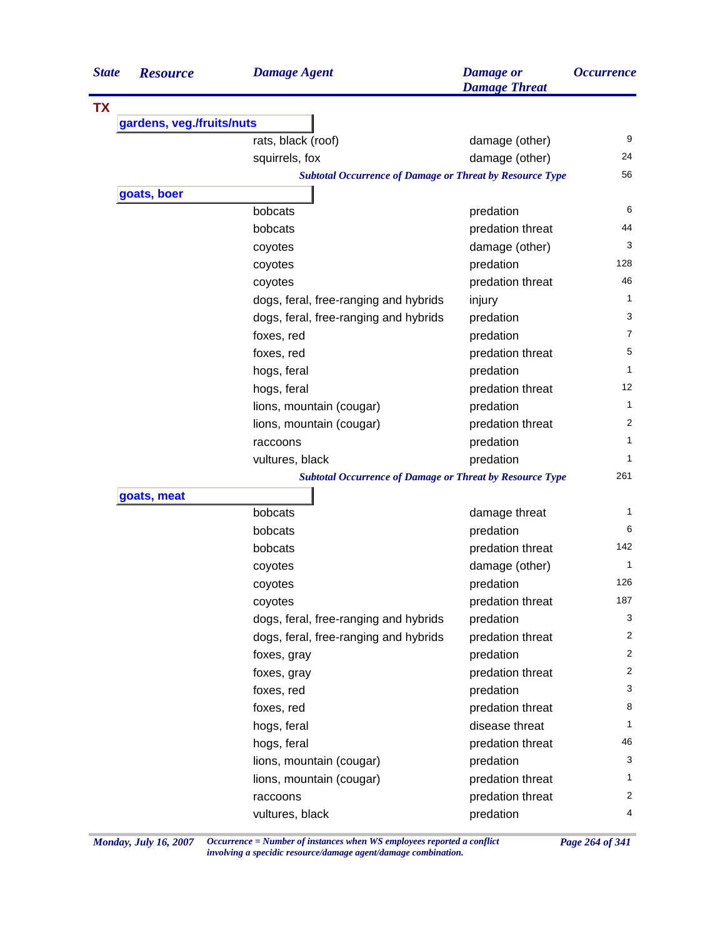| <b>State</b> | <b>Resource</b>           | <b>Damage Agent</b>                                             | <b>Damage</b> or<br><b>Damage Threat</b> | <i><b>Occurrence</b></i> |
|--------------|---------------------------|-----------------------------------------------------------------|------------------------------------------|--------------------------|
| <b>TX</b>    |                           |                                                                 |                                          |                          |
|              | gardens, veg./fruits/nuts |                                                                 |                                          |                          |
|              |                           | rats, black (roof)                                              | damage (other)                           | 9                        |
|              |                           | squirrels, fox                                                  | damage (other)                           | 24                       |
|              |                           | <b>Subtotal Occurrence of Damage or Threat by Resource Type</b> |                                          | 56                       |
|              | goats, boer               |                                                                 |                                          |                          |
|              |                           | bobcats                                                         | predation                                | 6                        |
|              |                           | bobcats                                                         | predation threat                         | 44                       |
|              |                           | coyotes                                                         | damage (other)                           | 3                        |
|              |                           | coyotes                                                         | predation                                | 128                      |
|              |                           | coyotes                                                         | predation threat                         | 46                       |
|              |                           | dogs, feral, free-ranging and hybrids                           | injury                                   | $\mathbf{1}$             |
|              |                           | dogs, feral, free-ranging and hybrids                           | predation                                | 3                        |
|              |                           | foxes, red                                                      | predation                                | 7                        |
|              |                           | foxes, red                                                      | predation threat                         | 5                        |
|              |                           | hogs, feral                                                     | predation                                | 1                        |
|              |                           | hogs, feral                                                     | predation threat                         | 12                       |
|              |                           | lions, mountain (cougar)                                        | predation                                | 1                        |
|              |                           | lions, mountain (cougar)                                        | predation threat                         | 2                        |
|              |                           | raccoons                                                        | predation                                | 1                        |
|              |                           | vultures, black                                                 | predation                                | 1                        |
|              |                           | <b>Subtotal Occurrence of Damage or Threat by Resource Type</b> |                                          | 261                      |
|              | goats, meat               |                                                                 |                                          |                          |
|              |                           | bobcats                                                         | damage threat                            | 1                        |
|              |                           | bobcats                                                         | predation                                | 6                        |
|              |                           | bobcats                                                         | predation threat                         | 142                      |
|              |                           | coyotes                                                         | damage (other)                           | 1                        |
|              |                           | coyotes                                                         | predation                                | 126                      |
|              |                           | coyotes                                                         | predation threat                         | 187                      |
|              |                           | dogs, feral, free-ranging and hybrids                           | predation                                | 3                        |
|              |                           | dogs, feral, free-ranging and hybrids                           | predation threat                         | 2                        |
|              |                           | foxes, gray                                                     | predation                                | 2                        |
|              |                           | foxes, gray                                                     | predation threat                         | $\overline{2}$           |
|              |                           | foxes, red                                                      | predation                                | 3                        |
|              |                           | foxes, red                                                      | predation threat                         | 8                        |
|              |                           | hogs, feral                                                     | disease threat                           | 1                        |
|              |                           | hogs, feral                                                     | predation threat                         | 46                       |
|              |                           | lions, mountain (cougar)                                        | predation                                | 3                        |
|              |                           | lions, mountain (cougar)                                        | predation threat                         | $\mathbf{1}$             |
|              |                           | raccoons                                                        | predation threat                         | 2                        |
|              |                           | vultures, black                                                 | predation                                | 4                        |

*Monday, July 16, 2007 Occurrence = Number of instances when WS employees reported a conflict Page 264 of 341 involving a specidic resource/damage agent/damage combination.*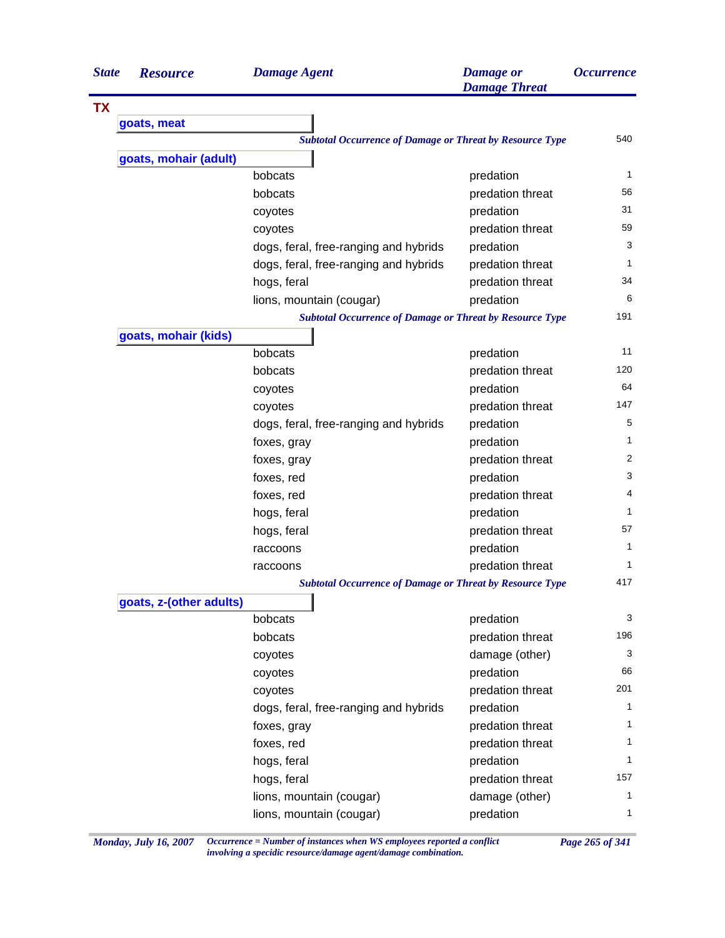| <b>State</b> | <b>Resource</b>         | <b>Damage Agent</b>                                             | <b>Damage</b> or<br><b>Damage Threat</b> | <b>Occurrence</b> |
|--------------|-------------------------|-----------------------------------------------------------------|------------------------------------------|-------------------|
| <b>TX</b>    |                         |                                                                 |                                          |                   |
|              | goats, meat             |                                                                 |                                          |                   |
|              |                         | <b>Subtotal Occurrence of Damage or Threat by Resource Type</b> |                                          | 540               |
|              | goats, mohair (adult)   |                                                                 |                                          |                   |
|              |                         | bobcats                                                         | predation                                | 1                 |
|              |                         | bobcats                                                         | predation threat                         | 56                |
|              |                         | coyotes                                                         | predation                                | 31                |
|              |                         | coyotes                                                         | predation threat                         | 59                |
|              |                         | dogs, feral, free-ranging and hybrids                           | predation                                | 3                 |
|              |                         | dogs, feral, free-ranging and hybrids                           | predation threat                         | 1                 |
|              |                         | hogs, feral                                                     | predation threat                         | 34                |
|              |                         | lions, mountain (cougar)                                        | predation                                | 6                 |
|              |                         | <b>Subtotal Occurrence of Damage or Threat by Resource Type</b> |                                          | 191               |
|              | goats, mohair (kids)    |                                                                 |                                          |                   |
|              |                         | bobcats                                                         | predation                                | 11                |
|              |                         | bobcats                                                         | predation threat                         | 120               |
|              |                         | coyotes                                                         | predation                                | 64                |
|              |                         | coyotes                                                         | predation threat                         | 147               |
|              |                         | dogs, feral, free-ranging and hybrids                           | predation                                | 5                 |
|              |                         | foxes, gray                                                     | predation                                | 1                 |
|              |                         | foxes, gray                                                     | predation threat                         | 2                 |
|              |                         | foxes, red                                                      | predation                                | 3                 |
|              |                         | foxes, red                                                      | predation threat                         | 4                 |
|              |                         | hogs, feral                                                     | predation                                | 1                 |
|              |                         | hogs, feral                                                     | predation threat                         | 57                |
|              |                         | raccoons                                                        | predation                                | 1                 |
|              |                         | raccoons                                                        | predation threat                         | 1                 |
|              |                         | <b>Subtotal Occurrence of Damage or Threat by Resource Type</b> |                                          | 417               |
|              | goats, z-(other adults) |                                                                 |                                          |                   |
|              |                         | bobcats                                                         | predation                                | 3                 |
|              |                         | bobcats                                                         | predation threat                         | 196               |
|              |                         | coyotes                                                         | damage (other)                           | 3                 |
|              |                         | coyotes                                                         | predation                                | 66                |
|              |                         | coyotes                                                         | predation threat                         | 201               |
|              |                         | dogs, feral, free-ranging and hybrids                           | predation                                | 1                 |
|              |                         | foxes, gray                                                     | predation threat                         | 1                 |
|              |                         | foxes, red                                                      | predation threat                         | 1                 |
|              |                         | hogs, feral                                                     | predation                                | 1                 |
|              |                         | hogs, feral                                                     | predation threat                         | 157               |
|              |                         | lions, mountain (cougar)                                        | damage (other)                           | 1                 |
|              |                         | lions, mountain (cougar)                                        | predation                                | $\mathbf{1}$      |

*Monday, July 16, 2007 Occurrence = Number of instances when WS employees reported a conflict Page 265 of 341 involving a specidic resource/damage agent/damage combination.*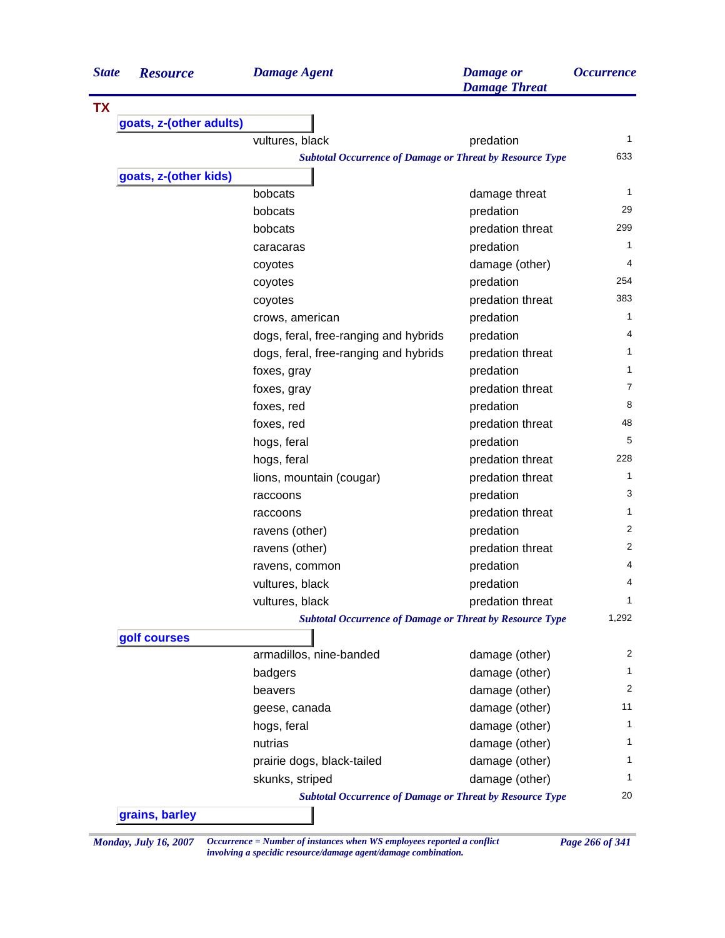| <b>State</b><br><b>Resource</b> | <b>Damage Agent</b>                                             | <b>Damage</b> or<br><b>Damage Threat</b> | <i><b>Occurrence</b></i> |
|---------------------------------|-----------------------------------------------------------------|------------------------------------------|--------------------------|
| <b>TX</b>                       |                                                                 |                                          |                          |
| goats, z-(other adults)         |                                                                 |                                          |                          |
|                                 | vultures, black                                                 | predation                                | 1                        |
|                                 | <b>Subtotal Occurrence of Damage or Threat by Resource Type</b> |                                          | 633                      |
| goats, z-(other kids)           |                                                                 |                                          |                          |
|                                 | bobcats                                                         | damage threat                            | 1                        |
|                                 | bobcats                                                         | predation                                | 29                       |
|                                 | bobcats                                                         | predation threat                         | 299                      |
|                                 | caracaras                                                       | predation                                | 1                        |
|                                 | coyotes                                                         | damage (other)                           | 4                        |
|                                 | coyotes                                                         | predation                                | 254                      |
|                                 | coyotes                                                         | predation threat                         | 383                      |
|                                 | crows, american                                                 | predation                                | 1                        |
|                                 | dogs, feral, free-ranging and hybrids                           | predation                                | 4                        |
|                                 | dogs, feral, free-ranging and hybrids                           | predation threat                         | 1                        |
|                                 | foxes, gray                                                     | predation                                | 1                        |
|                                 | foxes, gray                                                     | predation threat                         | $\overline{7}$           |
|                                 | foxes, red                                                      | predation                                | 8                        |
|                                 | foxes, red                                                      | predation threat                         | 48                       |
|                                 | hogs, feral                                                     | predation                                | 5                        |
|                                 | hogs, feral                                                     | predation threat                         | 228                      |
|                                 | lions, mountain (cougar)                                        | predation threat                         | $\mathbf{1}$             |
|                                 | raccoons                                                        | predation                                | 3                        |
|                                 | raccoons                                                        | predation threat                         | 1                        |
|                                 | ravens (other)                                                  | predation                                | 2                        |
|                                 | ravens (other)                                                  | predation threat                         | 2                        |
|                                 | ravens, common                                                  | predation                                | 4                        |
|                                 | vultures, black                                                 | predation                                | 4                        |
|                                 | vultures, black                                                 | predation threat                         | 1                        |
|                                 | <b>Subtotal Occurrence of Damage or Threat by Resource Type</b> |                                          | 1,292                    |
| golf courses                    |                                                                 |                                          |                          |
|                                 | armadillos, nine-banded                                         | damage (other)                           | 2                        |
|                                 | badgers                                                         | damage (other)                           | 1                        |
|                                 | beavers                                                         | damage (other)                           | 2                        |
|                                 | geese, canada                                                   | damage (other)                           | 11                       |
|                                 | hogs, feral                                                     | damage (other)                           | 1                        |
|                                 | nutrias                                                         | damage (other)                           | 1                        |
|                                 | prairie dogs, black-tailed                                      | damage (other)                           | 1                        |
|                                 | skunks, striped                                                 | damage (other)                           | 1                        |
|                                 | <b>Subtotal Occurrence of Damage or Threat by Resource Type</b> |                                          | 20                       |
| grains, barley                  |                                                                 |                                          |                          |

*Monday, July 16, 2007 Occurrence = Number of instances when WS employees reported a conflict Page 266 of 341 involving a specidic resource/damage agent/damage combination.*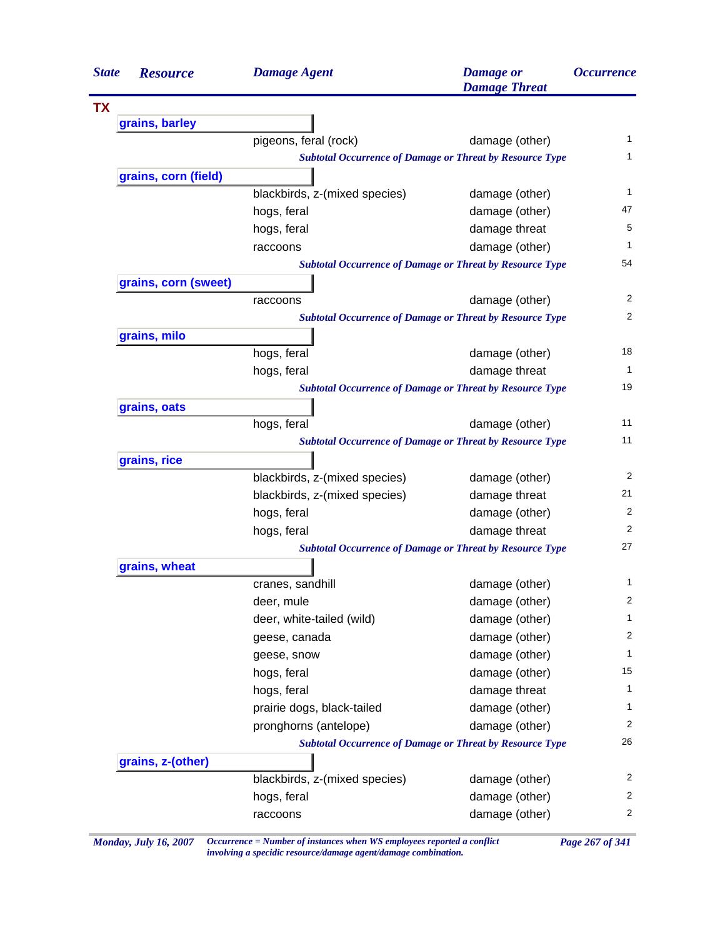| <b>State</b> | <b>Resource</b>      | <b>Damage Agent</b>                                             | <b>Damage</b> or<br><b>Damage Threat</b> | <i><b>Occurrence</b></i> |
|--------------|----------------------|-----------------------------------------------------------------|------------------------------------------|--------------------------|
| <b>TX</b>    |                      |                                                                 |                                          |                          |
|              | grains, barley       |                                                                 |                                          |                          |
|              |                      | pigeons, feral (rock)                                           | damage (other)                           | $\mathbf{1}$             |
|              |                      | <b>Subtotal Occurrence of Damage or Threat by Resource Type</b> |                                          | 1                        |
|              | grains, corn (field) |                                                                 |                                          |                          |
|              |                      | blackbirds, z-(mixed species)                                   | damage (other)                           | 1                        |
|              |                      | hogs, feral                                                     | damage (other)                           | 47                       |
|              |                      | hogs, feral                                                     | damage threat                            | 5                        |
|              |                      | raccoons                                                        | damage (other)                           | 1                        |
|              |                      | <b>Subtotal Occurrence of Damage or Threat by Resource Type</b> |                                          | 54                       |
|              | grains, corn (sweet) |                                                                 |                                          |                          |
|              |                      | raccoons                                                        | damage (other)                           | 2                        |
|              |                      | <b>Subtotal Occurrence of Damage or Threat by Resource Type</b> |                                          | $\overline{2}$           |
|              | grains, milo         |                                                                 |                                          |                          |
|              |                      | hogs, feral                                                     | damage (other)                           | 18                       |
|              |                      | hogs, feral                                                     | damage threat                            | 1                        |
|              |                      | <b>Subtotal Occurrence of Damage or Threat by Resource Type</b> |                                          | 19                       |
|              | grains, oats         |                                                                 |                                          |                          |
|              |                      | hogs, feral                                                     | damage (other)                           | 11                       |
|              |                      | <b>Subtotal Occurrence of Damage or Threat by Resource Type</b> |                                          | 11                       |
|              | grains, rice         |                                                                 |                                          |                          |
|              |                      | blackbirds, z-(mixed species)                                   | damage (other)                           | 2                        |
|              |                      | blackbirds, z-(mixed species)                                   | damage threat                            | 21                       |
|              |                      | hogs, feral                                                     | damage (other)                           | 2                        |
|              |                      | hogs, feral                                                     | damage threat                            | 2                        |
|              |                      | <b>Subtotal Occurrence of Damage or Threat by Resource Type</b> |                                          | 27                       |
|              | grains, wheat        |                                                                 |                                          |                          |
|              |                      | cranes, sandhill                                                | damage (other)                           | 1                        |
|              |                      | deer, mule                                                      | damage (other)                           | 2                        |
|              |                      | deer, white-tailed (wild)                                       | damage (other)                           | 1                        |
|              |                      | geese, canada                                                   | damage (other)                           | 2                        |
|              |                      | geese, snow                                                     | damage (other)                           | 1                        |
|              |                      | hogs, feral                                                     | damage (other)                           | 15                       |
|              |                      | hogs, feral                                                     | damage threat                            | 1                        |
|              |                      | prairie dogs, black-tailed                                      | damage (other)                           | 1                        |
|              |                      | pronghorns (antelope)                                           | damage (other)                           | 2                        |
|              |                      | <b>Subtotal Occurrence of Damage or Threat by Resource Type</b> |                                          | 26                       |
|              | grains, z-(other)    |                                                                 |                                          |                          |
|              |                      | blackbirds, z-(mixed species)                                   | damage (other)                           | 2                        |
|              |                      | hogs, feral                                                     | damage (other)                           | 2                        |
|              |                      |                                                                 | damage (other)                           | 2                        |

*Monday, July 16, 2007 Occurrence = Number of instances when WS employees reported a conflict Page 267 of 341 involving a specidic resource/damage agent/damage combination.*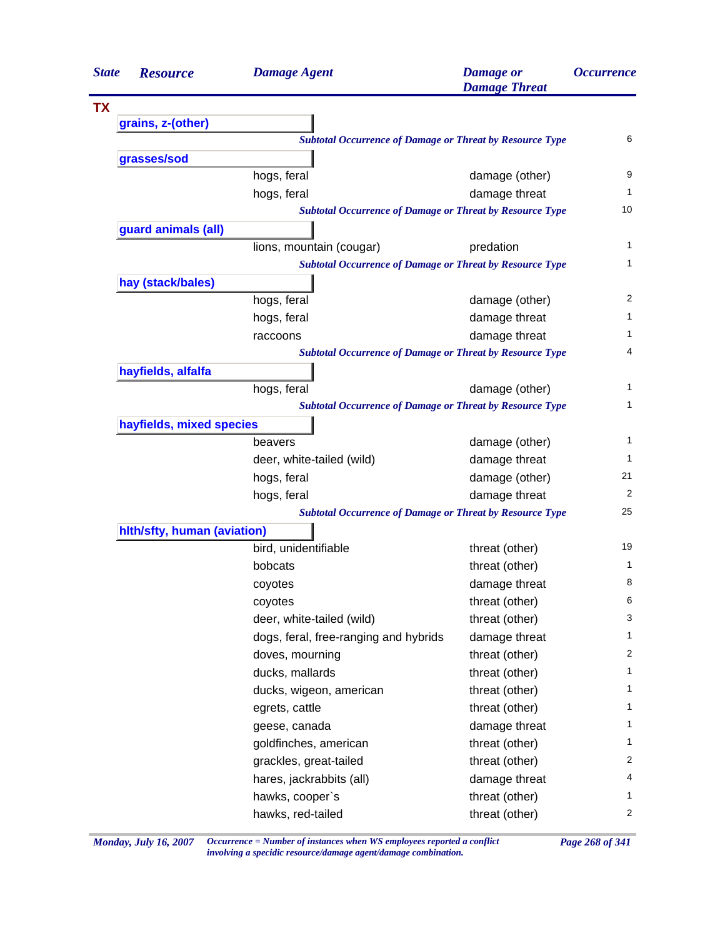| <b>State</b> | <b>Resource</b>             | <b>Damage Agent</b>                                             | <b>Damage</b> or<br><b>Damage Threat</b> | <i><b>Occurrence</b></i> |
|--------------|-----------------------------|-----------------------------------------------------------------|------------------------------------------|--------------------------|
| <b>TX</b>    |                             |                                                                 |                                          |                          |
|              | grains, z-(other)           |                                                                 |                                          |                          |
|              |                             | <b>Subtotal Occurrence of Damage or Threat by Resource Type</b> |                                          | 6                        |
|              | grasses/sod                 |                                                                 |                                          |                          |
|              |                             | hogs, feral                                                     | damage (other)                           | 9                        |
|              |                             | hogs, feral                                                     | damage threat                            | 1                        |
|              |                             | <b>Subtotal Occurrence of Damage or Threat by Resource Type</b> |                                          | 10                       |
|              | guard animals (all)         |                                                                 |                                          |                          |
|              |                             | lions, mountain (cougar)                                        | predation                                | 1                        |
|              |                             | <b>Subtotal Occurrence of Damage or Threat by Resource Type</b> |                                          | 1                        |
|              | hay (stack/bales)           |                                                                 |                                          |                          |
|              |                             | hogs, feral                                                     | damage (other)                           | 2                        |
|              |                             | hogs, feral                                                     | damage threat                            | 1                        |
|              |                             | raccoons                                                        | damage threat                            | 1                        |
|              |                             | <b>Subtotal Occurrence of Damage or Threat by Resource Type</b> |                                          | 4                        |
|              | hayfields, alfalfa          |                                                                 |                                          |                          |
|              |                             | hogs, feral                                                     | damage (other)                           | 1                        |
|              |                             | <b>Subtotal Occurrence of Damage or Threat by Resource Type</b> |                                          | 1                        |
|              | hayfields, mixed species    |                                                                 |                                          |                          |
|              |                             | beavers                                                         | damage (other)                           | 1                        |
|              |                             | deer, white-tailed (wild)                                       | damage threat                            | 1                        |
|              |                             | hogs, feral                                                     | damage (other)                           | 21                       |
|              |                             | hogs, feral                                                     | damage threat                            | 2                        |
|              |                             | <b>Subtotal Occurrence of Damage or Threat by Resource Type</b> |                                          | 25                       |
|              | hith/sfty, human (aviation) |                                                                 |                                          |                          |
|              |                             | bird, unidentifiable                                            | threat (other)                           | 19                       |
|              |                             | bobcats                                                         | threat (other)                           | 1                        |
|              |                             | coyotes                                                         | damage threat                            | 8                        |
|              |                             | coyotes                                                         | threat (other)                           | 6                        |
|              |                             | deer, white-tailed (wild)                                       | threat (other)                           | 3                        |
|              |                             | dogs, feral, free-ranging and hybrids                           | damage threat                            | 1                        |
|              |                             | doves, mourning                                                 | threat (other)                           | $\overline{2}$           |
|              |                             | ducks, mallards                                                 | threat (other)                           | 1                        |
|              |                             | ducks, wigeon, american                                         | threat (other)                           | 1                        |
|              |                             | egrets, cattle                                                  | threat (other)                           | 1                        |
|              |                             | geese, canada                                                   | damage threat                            | 1                        |
|              |                             | goldfinches, american                                           | threat (other)                           | 1                        |
|              |                             | grackles, great-tailed                                          | threat (other)                           | 2                        |
|              |                             | hares, jackrabbits (all)                                        | damage threat                            | 4                        |
|              |                             | hawks, cooper's                                                 | threat (other)                           | 1                        |
|              |                             | hawks, red-tailed                                               | threat (other)                           | 2                        |
|              |                             |                                                                 |                                          |                          |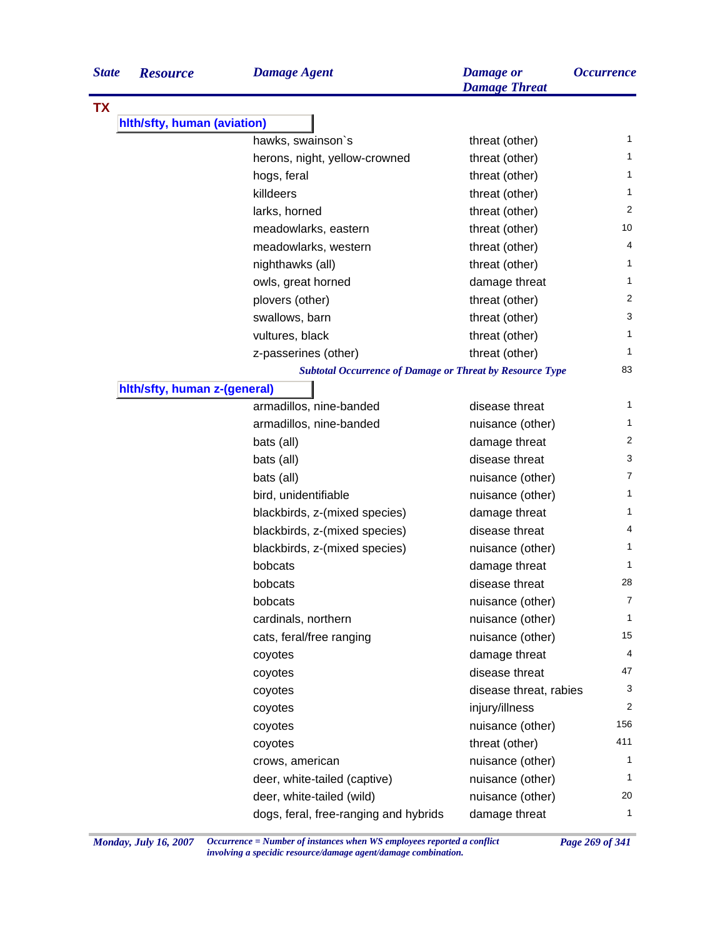| <b>State</b> | <b>Resource</b>              | <b>Damage Agent</b>                                             | <b>Damage</b> or<br><b>Damage Threat</b> | <i><b>Occurrence</b></i> |
|--------------|------------------------------|-----------------------------------------------------------------|------------------------------------------|--------------------------|
| <b>TX</b>    |                              |                                                                 |                                          |                          |
|              | hith/sfty, human (aviation)  |                                                                 |                                          |                          |
|              |                              | hawks, swainson's                                               | threat (other)                           | 1                        |
|              |                              | herons, night, yellow-crowned                                   | threat (other)                           | 1                        |
|              |                              | hogs, feral                                                     | threat (other)                           | 1                        |
|              |                              | killdeers                                                       | threat (other)                           | 1                        |
|              |                              | larks, horned                                                   | threat (other)                           | 2                        |
|              |                              | meadowlarks, eastern                                            | threat (other)                           | 10                       |
|              |                              | meadowlarks, western                                            | threat (other)                           | 4                        |
|              |                              | nighthawks (all)                                                | threat (other)                           | 1                        |
|              |                              | owls, great horned                                              | damage threat                            | 1                        |
|              |                              | plovers (other)                                                 | threat (other)                           | 2                        |
|              |                              | swallows, barn                                                  | threat (other)                           | 3                        |
|              |                              | vultures, black                                                 | threat (other)                           | 1                        |
|              |                              | z-passerines (other)                                            | threat (other)                           | 1                        |
|              |                              | <b>Subtotal Occurrence of Damage or Threat by Resource Type</b> |                                          | 83                       |
|              | hith/sfty, human z-(general) |                                                                 |                                          |                          |
|              |                              | armadillos, nine-banded                                         | disease threat                           | 1                        |
|              |                              | armadillos, nine-banded                                         | nuisance (other)                         | 1                        |
|              |                              | bats (all)                                                      | damage threat                            | 2                        |
|              |                              | bats (all)                                                      | disease threat                           | 3                        |
|              |                              | bats (all)                                                      | nuisance (other)                         | 7                        |
|              |                              | bird, unidentifiable                                            | nuisance (other)                         | 1                        |
|              |                              | blackbirds, z-(mixed species)                                   | damage threat                            | 1                        |
|              |                              | blackbirds, z-(mixed species)                                   | disease threat                           | 4                        |
|              |                              | blackbirds, z-(mixed species)                                   | nuisance (other)                         | 1                        |
|              |                              | bobcats                                                         | damage threat                            | 1                        |
|              |                              | bobcats                                                         | disease threat                           | 28                       |
|              |                              | bobcats                                                         | nuisance (other)                         | 7                        |
|              |                              | cardinals, northern                                             | nuisance (other)                         | $\mathbf{1}$             |
|              |                              | cats, feral/free ranging                                        | nuisance (other)                         | 15                       |
|              |                              | coyotes                                                         | damage threat                            | 4                        |
|              |                              | coyotes                                                         | disease threat                           | 47                       |
|              |                              | coyotes                                                         | disease threat, rabies                   | 3                        |
|              |                              | coyotes                                                         | injury/illness                           | 2                        |
|              |                              | coyotes                                                         | nuisance (other)                         | 156                      |
|              |                              | coyotes                                                         | threat (other)                           | 411                      |
|              |                              | crows, american                                                 | nuisance (other)                         | 1                        |
|              |                              | deer, white-tailed (captive)                                    | nuisance (other)                         | 1                        |
|              |                              | deer, white-tailed (wild)                                       | nuisance (other)                         | 20                       |
|              |                              | dogs, feral, free-ranging and hybrids                           | damage threat                            | $\mathbf{1}$             |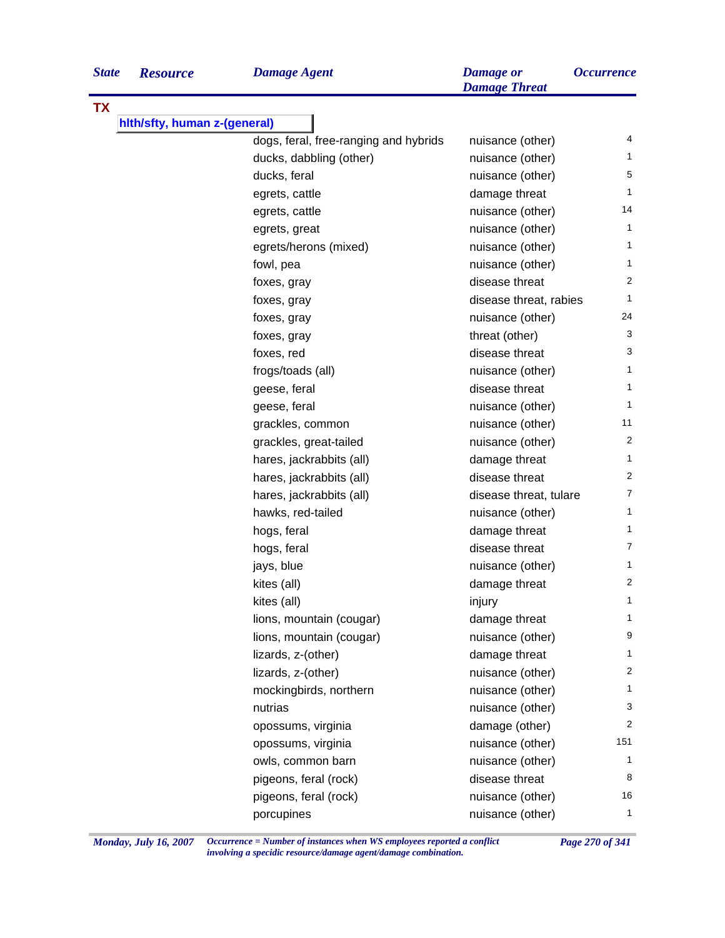| <b>State</b> | <b>Resource</b>              | <b>Damage Agent</b>                   | <b>Damage</b> or<br><b>Damage Threat</b> | <b>Occurrence</b> |
|--------------|------------------------------|---------------------------------------|------------------------------------------|-------------------|
| <b>TX</b>    |                              |                                       |                                          |                   |
|              | hith/sfty, human z-(general) |                                       |                                          |                   |
|              |                              | dogs, feral, free-ranging and hybrids | nuisance (other)                         | 4                 |
|              |                              | ducks, dabbling (other)               | nuisance (other)                         | 1                 |
|              |                              | ducks, feral                          | nuisance (other)                         | 5                 |
|              |                              | egrets, cattle                        | damage threat                            | 1                 |
|              |                              | egrets, cattle                        | nuisance (other)                         | 14                |
|              |                              | egrets, great                         | nuisance (other)                         | 1                 |
|              |                              | egrets/herons (mixed)                 | nuisance (other)                         | 1                 |
|              |                              | fowl, pea                             | nuisance (other)                         | 1                 |
|              |                              | foxes, gray                           | disease threat                           | 2                 |
|              |                              | foxes, gray                           | disease threat, rabies                   | 1                 |
|              |                              | foxes, gray                           | nuisance (other)                         | 24                |
|              |                              | foxes, gray                           | threat (other)                           | 3                 |
|              |                              | foxes, red                            | disease threat                           | 3                 |
|              |                              | frogs/toads (all)                     | nuisance (other)                         | 1                 |
|              |                              | geese, feral                          | disease threat                           | 1                 |
|              |                              | geese, feral                          | nuisance (other)                         | 1                 |
|              |                              | grackles, common                      | nuisance (other)                         | 11                |
|              |                              | grackles, great-tailed                | nuisance (other)                         | 2                 |
|              |                              | hares, jackrabbits (all)              | damage threat                            | 1                 |
|              |                              | hares, jackrabbits (all)              | disease threat                           | 2                 |
|              |                              | hares, jackrabbits (all)              | disease threat, tulare                   | 7                 |
|              |                              | hawks, red-tailed                     | nuisance (other)                         | 1                 |
|              |                              | hogs, feral                           | damage threat                            | 1                 |
|              |                              | hogs, feral                           | disease threat                           | 7                 |
|              |                              | jays, blue                            | nuisance (other)                         | 1                 |
|              |                              | kites (all)                           | damage threat                            | 2                 |
|              |                              | kites (all)                           | injury                                   | 1                 |
|              |                              | lions, mountain (cougar)              | damage threat                            | 1                 |
|              |                              | lions, mountain (cougar)              | nuisance (other)                         | 9                 |
|              |                              | lizards, z-(other)                    | damage threat                            | 1                 |
|              |                              | lizards, z-(other)                    | nuisance (other)                         | 2                 |
|              |                              | mockingbirds, northern                | nuisance (other)                         | 1                 |
|              |                              | nutrias                               | nuisance (other)                         | 3                 |
|              |                              | opossums, virginia                    | damage (other)                           | 2                 |
|              |                              | opossums, virginia                    | nuisance (other)                         | 151               |
|              |                              | owls, common barn                     | nuisance (other)                         | 1                 |
|              |                              | pigeons, feral (rock)                 | disease threat                           | 8                 |
|              |                              | pigeons, feral (rock)                 | nuisance (other)                         | 16                |
|              |                              | porcupines                            | nuisance (other)                         | 1                 |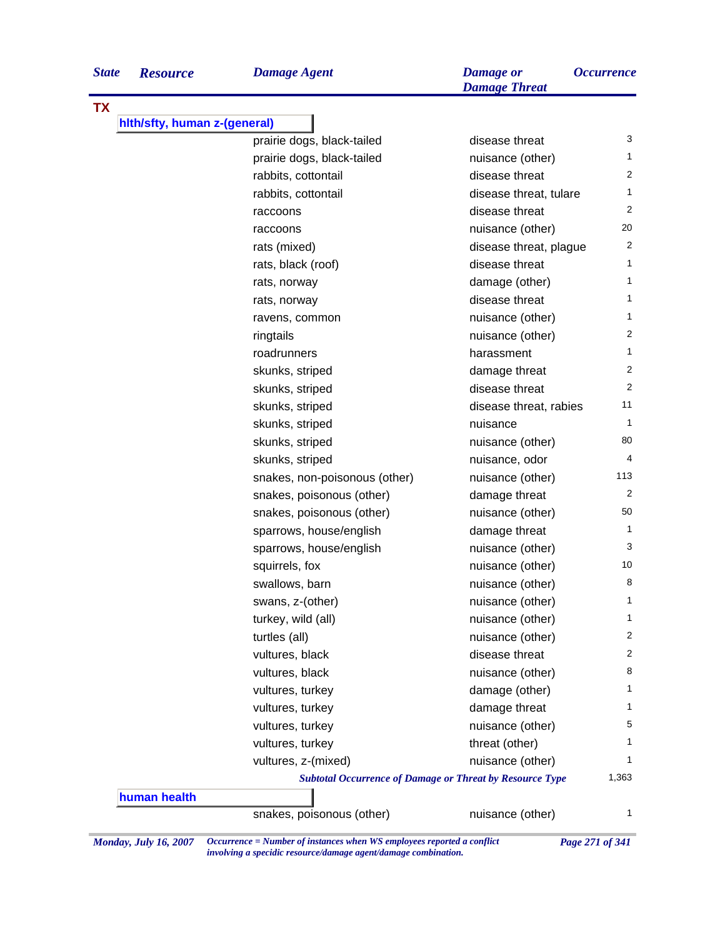| <b>State</b> | <b>Resourc</b> |
|--------------|----------------|
|--------------|----------------|

|  |  | Damage |  |  |
|--|--|--------|--|--|

| TX<br>hith/sfty, human z-(general) |                                                                 |                        |              |
|------------------------------------|-----------------------------------------------------------------|------------------------|--------------|
|                                    | prairie dogs, black-tailed                                      | disease threat         | 3            |
|                                    | prairie dogs, black-tailed                                      | nuisance (other)       | 1            |
|                                    | rabbits, cottontail                                             | disease threat         | 2            |
|                                    | rabbits, cottontail                                             | disease threat, tulare | $\mathbf{1}$ |
|                                    | raccoons                                                        | disease threat         | 2            |
|                                    | raccoons                                                        | nuisance (other)       | 20           |
|                                    | rats (mixed)                                                    | disease threat, plague | 2            |
|                                    | rats, black (roof)                                              | disease threat         | $\mathbf{1}$ |
|                                    | rats, norway                                                    | damage (other)         | $\mathbf{1}$ |
|                                    | rats, norway                                                    | disease threat         | 1            |
|                                    | ravens, common                                                  | nuisance (other)       | $\mathbf{1}$ |
|                                    | ringtails                                                       | nuisance (other)       | 2            |
|                                    | roadrunners                                                     | harassment             | $\mathbf{1}$ |
|                                    | skunks, striped                                                 | damage threat          | 2            |
|                                    | skunks, striped                                                 | disease threat         | 2            |
|                                    | skunks, striped                                                 | disease threat, rabies | 11           |
|                                    | skunks, striped                                                 | nuisance               | $\mathbf{1}$ |
|                                    | skunks, striped                                                 | nuisance (other)       | 80           |
|                                    | skunks, striped                                                 | nuisance, odor         | 4            |
|                                    | snakes, non-poisonous (other)                                   | nuisance (other)       | 113          |
|                                    | snakes, poisonous (other)                                       | damage threat          | 2            |
|                                    | snakes, poisonous (other)                                       | nuisance (other)       | 50           |
|                                    | sparrows, house/english                                         | damage threat          | $\mathbf{1}$ |
|                                    | sparrows, house/english                                         | nuisance (other)       | 3            |
|                                    | squirrels, fox                                                  | nuisance (other)       | 10           |
|                                    | swallows, barn                                                  | nuisance (other)       | 8            |
|                                    | swans, z-(other)                                                | nuisance (other)       | $\mathbf{1}$ |
|                                    | turkey, wild (all)                                              | nuisance (other)       | 1            |
|                                    | turtles (all)                                                   | nuisance (other)       | 2            |
|                                    | vultures, black                                                 | disease threat         | 2            |
|                                    | vultures, black                                                 | nuisance (other)       | 8            |
|                                    | vultures, turkey                                                | damage (other)         | 1            |
|                                    | vultures, turkey                                                | damage threat          | 1            |
|                                    | vultures, turkey                                                | nuisance (other)       | 5            |
|                                    | vultures, turkey                                                | threat (other)         | 1            |
|                                    | vultures, z-(mixed)                                             | nuisance (other)       | 1            |
|                                    | <b>Subtotal Occurrence of Damage or Threat by Resource Type</b> |                        | 1,363        |
| human health                       |                                                                 |                        |              |
|                                    | snakes, poisonous (other)                                       | nuisance (other)       | 1            |

*Monday, July 16, 2007 Occurrence = Number of instances when WS employees reported a conflict Page 271 of 341 involving a specidic resource/damage agent/damage combination.*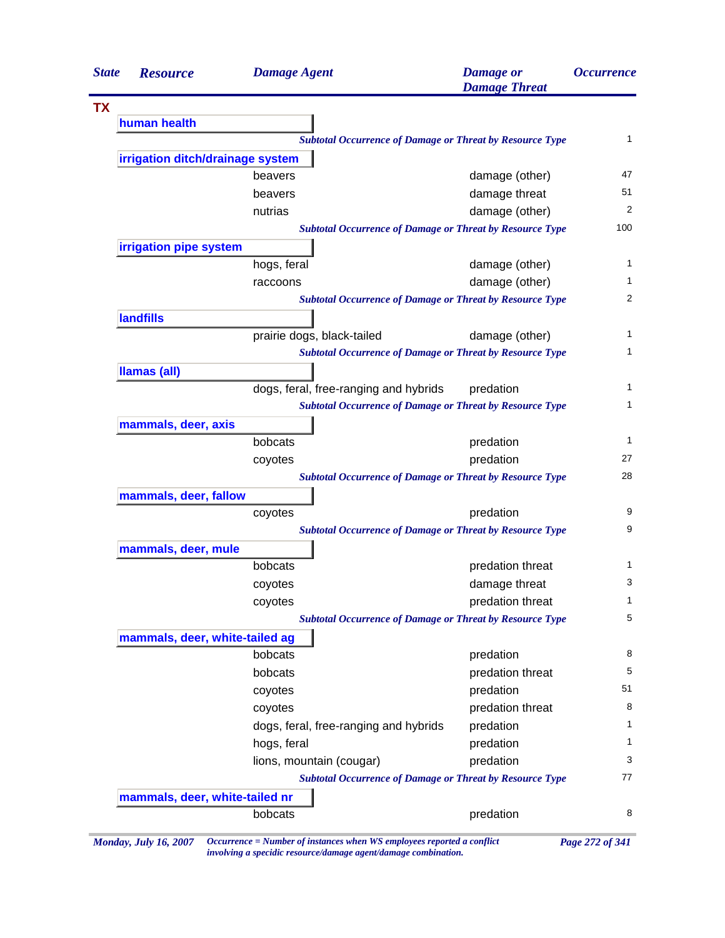| <b>State</b> | <b>Resource</b>                  | <b>Damage Agent</b>                                             | <b>Damage</b> or<br><b>Damage Threat</b> | <i><b>Occurrence</b></i> |
|--------------|----------------------------------|-----------------------------------------------------------------|------------------------------------------|--------------------------|
|              |                                  |                                                                 |                                          |                          |
|              | human health                     |                                                                 |                                          |                          |
|              |                                  | <b>Subtotal Occurrence of Damage or Threat by Resource Type</b> |                                          |                          |
|              | irrigation ditch/drainage system |                                                                 |                                          |                          |
|              |                                  | beavers                                                         | damage (other)                           | 47                       |
|              |                                  | beavers                                                         | damage threat                            | 51                       |
|              |                                  | nutrias                                                         | damage (other)                           | 2                        |
|              |                                  | <b>Subtotal Occurrence of Damage or Threat by Resource Type</b> |                                          | 100                      |
|              | irrigation pipe system           |                                                                 |                                          |                          |
|              |                                  | hogs, feral                                                     | damage (other)                           |                          |
|              |                                  | raccoons                                                        | damage (other)                           |                          |
|              |                                  | <b>Subtotal Occurrence of Damage or Threat by Resource Type</b> |                                          | 2                        |
|              | <b>landfills</b>                 |                                                                 |                                          |                          |
|              |                                  | prairie dogs, black-tailed                                      | damage (other)                           | 1                        |
|              |                                  | <b>Subtotal Occurrence of Damage or Threat by Resource Type</b> |                                          | 1                        |
|              | <b>Ilamas (all)</b>              |                                                                 |                                          |                          |
|              |                                  | dogs, feral, free-ranging and hybrids                           | predation                                |                          |
|              |                                  | <b>Subtotal Occurrence of Damage or Threat by Resource Type</b> |                                          |                          |
|              | mammals, deer, axis              |                                                                 |                                          |                          |
|              |                                  | bobcats                                                         | predation                                | $\mathbf{1}$             |
|              |                                  | coyotes                                                         | predation                                | 27                       |
|              |                                  | <b>Subtotal Occurrence of Damage or Threat by Resource Type</b> |                                          | 28                       |
|              | mammals, deer, fallow            |                                                                 |                                          |                          |
|              |                                  | coyotes                                                         | predation                                | 9                        |
|              |                                  | <b>Subtotal Occurrence of Damage or Threat by Resource Type</b> |                                          | 9                        |
|              | mammals, deer, mule              |                                                                 |                                          |                          |
|              |                                  | bobcats                                                         | predation threat                         | 1                        |
|              |                                  | coyotes                                                         | damage threat                            | 3                        |
|              |                                  | coyotes                                                         | predation threat                         | 1                        |
|              |                                  | <b>Subtotal Occurrence of Damage or Threat by Resource Type</b> |                                          | 5                        |
|              | mammals, deer, white-tailed ag   |                                                                 |                                          |                          |
|              |                                  | bobcats                                                         | predation                                | 8                        |
|              |                                  | bobcats                                                         | predation threat                         | 5                        |
|              |                                  | coyotes                                                         | predation                                | 51                       |
|              |                                  | coyotes                                                         | predation threat                         | 8                        |
|              |                                  | dogs, feral, free-ranging and hybrids                           | predation                                | 1                        |
|              |                                  | hogs, feral                                                     | predation                                | 1                        |
|              |                                  | lions, mountain (cougar)                                        | predation                                | 3                        |
|              |                                  | <b>Subtotal Occurrence of Damage or Threat by Resource Type</b> |                                          | 77                       |
|              | mammals, deer, white-tailed nr   |                                                                 |                                          |                          |
|              |                                  | bobcats                                                         | predation                                | 8                        |

*Monday, July 16, 2007 Occurrence = Number of instances when WS employees reported a conflict Page 272 of 341 involving a specidic resource/damage agent/damage combination.*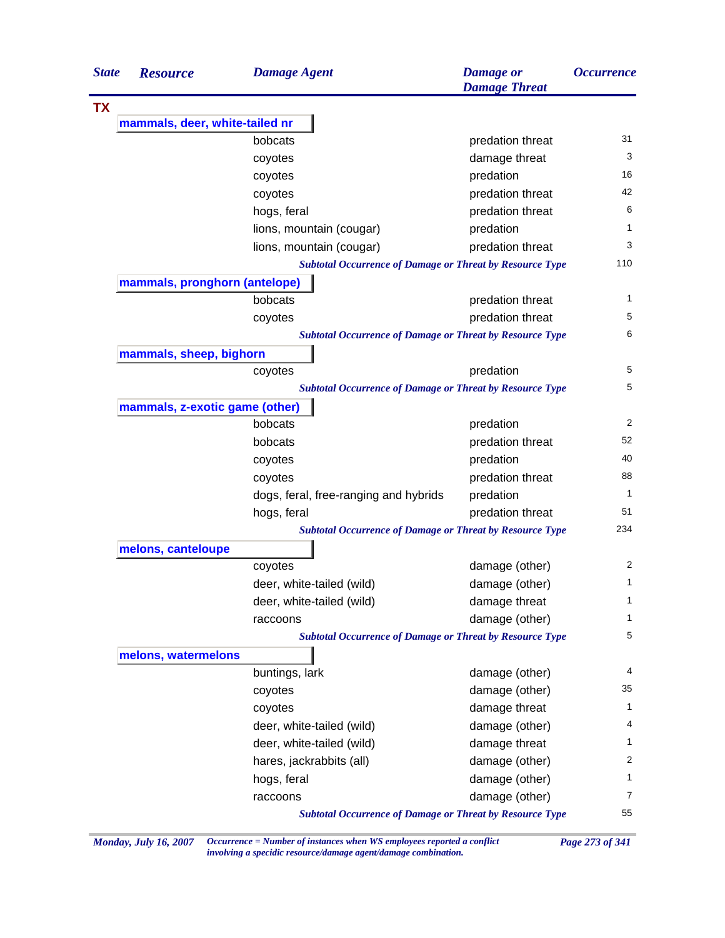| <b>State</b> | <b>Resource</b>                | <b>Damage Agent</b>                                             | <b>Damage</b> or<br><b>Damage Threat</b> | <i><b>Occurrence</b></i> |
|--------------|--------------------------------|-----------------------------------------------------------------|------------------------------------------|--------------------------|
| <b>TX</b>    |                                |                                                                 |                                          |                          |
|              | mammals, deer, white-tailed nr |                                                                 |                                          |                          |
|              |                                | bobcats                                                         | predation threat                         | 31                       |
|              |                                | coyotes                                                         | damage threat                            | 3                        |
|              |                                | coyotes                                                         | predation                                | 16                       |
|              |                                | coyotes                                                         | predation threat                         | 42                       |
|              |                                | hogs, feral                                                     | predation threat                         | 6                        |
|              |                                | lions, mountain (cougar)                                        | predation                                | 1                        |
|              |                                | lions, mountain (cougar)                                        | predation threat                         | 3                        |
|              |                                | <b>Subtotal Occurrence of Damage or Threat by Resource Type</b> |                                          | 110                      |
|              | mammals, pronghorn (antelope)  |                                                                 |                                          |                          |
|              |                                | bobcats                                                         | predation threat                         | 1                        |
|              |                                | coyotes                                                         | predation threat                         | 5                        |
|              |                                | <b>Subtotal Occurrence of Damage or Threat by Resource Type</b> |                                          | 6                        |
|              | mammals, sheep, bighorn        |                                                                 |                                          |                          |
|              |                                | coyotes                                                         | predation                                | 5                        |
|              |                                | <b>Subtotal Occurrence of Damage or Threat by Resource Type</b> |                                          | 5                        |
|              | mammals, z-exotic game (other) |                                                                 |                                          |                          |
|              |                                | bobcats                                                         | predation                                | 2                        |
|              |                                | bobcats                                                         | predation threat                         | 52                       |
|              |                                | coyotes                                                         | predation                                | 40                       |
|              |                                | coyotes                                                         | predation threat                         | 88                       |
|              |                                | dogs, feral, free-ranging and hybrids                           | predation                                | $\mathbf{1}$             |
|              |                                | hogs, feral                                                     | predation threat                         | 51                       |
|              |                                | <b>Subtotal Occurrence of Damage or Threat by Resource Type</b> |                                          | 234                      |
|              | melons, canteloupe             |                                                                 |                                          |                          |
|              |                                | coyotes                                                         | damage (other)                           | 2                        |
|              |                                | deer, white-tailed (wild)                                       | damage (other)                           | 1                        |
|              |                                | deer, white-tailed (wild)                                       | damage threat                            | $\mathbf{1}$             |
|              |                                | raccoons                                                        | damage (other)                           | $\mathbf 1$              |
|              |                                | <b>Subtotal Occurrence of Damage or Threat by Resource Type</b> |                                          | 5                        |
|              | melons, watermelons            |                                                                 |                                          |                          |
|              |                                | buntings, lark                                                  | damage (other)                           | 4                        |
|              |                                | coyotes                                                         | damage (other)                           | 35                       |
|              |                                | coyotes                                                         | damage threat                            | $\mathbf{1}$             |
|              |                                | deer, white-tailed (wild)                                       | damage (other)                           | 4                        |
|              |                                | deer, white-tailed (wild)                                       | damage threat                            | $\mathbf 1$              |
|              |                                | hares, jackrabbits (all)                                        | damage (other)                           | 2                        |
|              |                                | hogs, feral                                                     | damage (other)                           | $\mathbf{1}$             |
|              |                                | raccoons                                                        | damage (other)                           | $\overline{7}$           |
|              |                                | <b>Subtotal Occurrence of Damage or Threat by Resource Type</b> |                                          | 55                       |

*Monday, July 16, 2007 Occurrence = Number of instances when WS employees reported a conflict Page 273 of 341 involving a specidic resource/damage agent/damage combination.*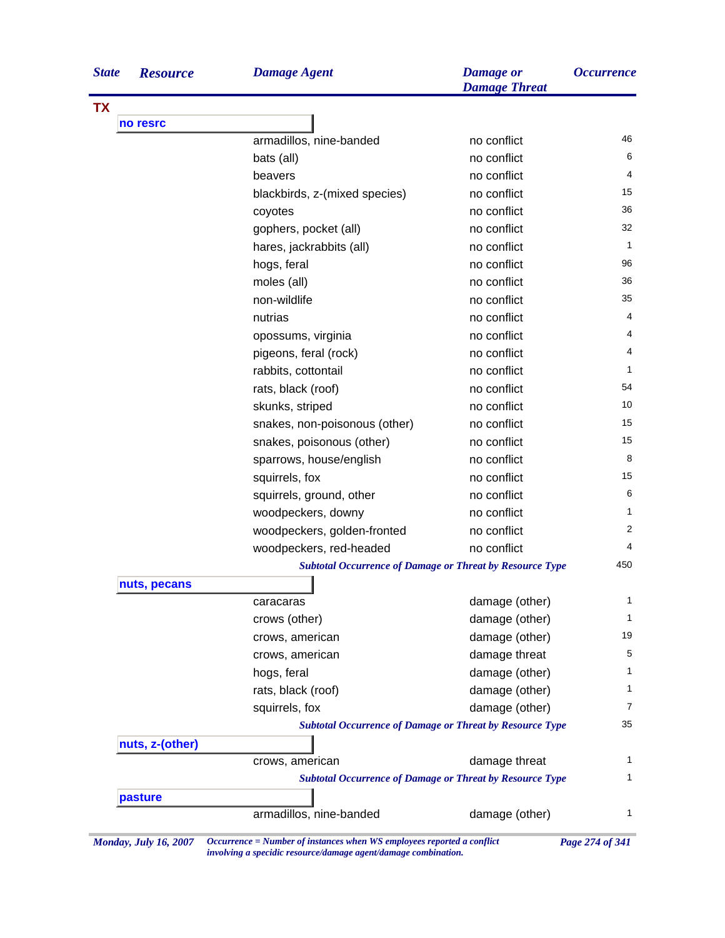| <b>State</b> | <b>Resource</b> | <b>Damage Agent</b>                                             | <b>Damage</b> or<br><b>Damage Threat</b> | <i><b>Occurrence</b></i> |
|--------------|-----------------|-----------------------------------------------------------------|------------------------------------------|--------------------------|
| <b>TX</b>    |                 |                                                                 |                                          |                          |
|              | no resrc        |                                                                 |                                          |                          |
|              |                 | armadillos, nine-banded                                         | no conflict                              | 46                       |
|              |                 | bats (all)                                                      | no conflict                              | 6                        |
|              |                 | beavers                                                         | no conflict                              | 4                        |
|              |                 | blackbirds, z-(mixed species)                                   | no conflict                              | 15                       |
|              |                 | coyotes                                                         | no conflict                              | 36                       |
|              |                 | gophers, pocket (all)                                           | no conflict                              | 32                       |
|              |                 | hares, jackrabbits (all)                                        | no conflict                              | 1                        |
|              |                 | hogs, feral                                                     | no conflict                              | 96                       |
|              |                 | moles (all)                                                     | no conflict                              | 36                       |
|              |                 | non-wildlife                                                    | no conflict                              | 35                       |
|              |                 | nutrias                                                         | no conflict                              | 4                        |
|              |                 | opossums, virginia                                              | no conflict                              | 4                        |
|              |                 | pigeons, feral (rock)                                           | no conflict                              | 4                        |
|              |                 | rabbits, cottontail                                             | no conflict                              | 1                        |
|              |                 | rats, black (roof)                                              | no conflict                              | 54                       |
|              |                 | skunks, striped                                                 | no conflict                              | 10                       |
|              |                 | snakes, non-poisonous (other)                                   | no conflict                              | 15                       |
|              |                 | snakes, poisonous (other)                                       | no conflict                              | 15                       |
|              |                 | sparrows, house/english                                         | no conflict                              | 8                        |
|              |                 | squirrels, fox                                                  | no conflict                              | 15                       |
|              |                 | squirrels, ground, other                                        | no conflict                              | 6                        |
|              |                 | woodpeckers, downy                                              | no conflict                              | 1                        |
|              |                 | woodpeckers, golden-fronted                                     | no conflict                              | 2                        |
|              |                 | woodpeckers, red-headed                                         | no conflict                              | 4                        |
|              |                 | <b>Subtotal Occurrence of Damage or Threat by Resource Type</b> |                                          | 450                      |
|              | nuts, pecans    |                                                                 |                                          |                          |
|              |                 | caracaras                                                       | damage (other)                           | 1                        |
|              |                 | crows (other)                                                   | damage (other)                           | 1                        |
|              |                 | crows, american                                                 | damage (other)                           | 19                       |
|              |                 | crows, american                                                 | damage threat                            | 5                        |
|              |                 | hogs, feral                                                     | damage (other)                           | 1                        |
|              |                 | rats, black (roof)                                              | damage (other)                           | 1                        |
|              |                 | squirrels, fox                                                  | damage (other)                           | 7                        |
|              |                 | <b>Subtotal Occurrence of Damage or Threat by Resource Type</b> |                                          | 35                       |
|              | nuts, z-(other) |                                                                 |                                          |                          |
|              |                 | crows, american                                                 | damage threat                            | 1                        |
|              |                 | <b>Subtotal Occurrence of Damage or Threat by Resource Type</b> |                                          | 1                        |
|              | pasture         |                                                                 |                                          |                          |
|              |                 | armadillos, nine-banded                                         | damage (other)                           | 1                        |

*Monday, July 16, 2007 Occurrence = Number of instances when WS employees reported a conflict Page 274 of 341 involving a specidic resource/damage agent/damage combination.*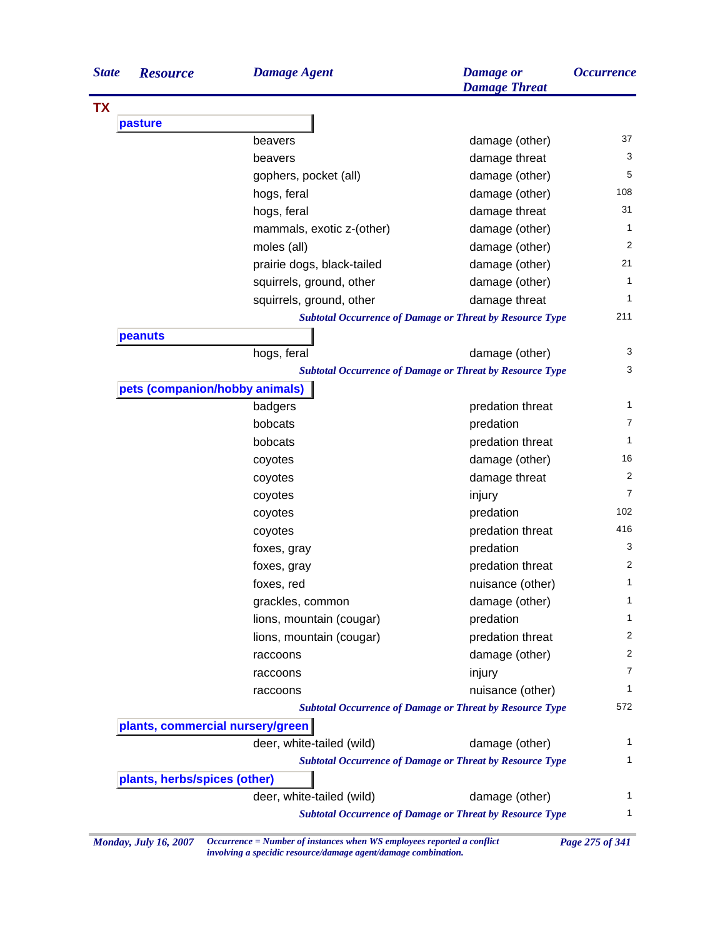| <b>State</b> | <b>Resource</b>                                                                                     | <b>Damage Agent</b>        | <b>Damage</b> or<br><b>Damage Threat</b>                        | <i><b>Occurrence</b></i> |  |
|--------------|-----------------------------------------------------------------------------------------------------|----------------------------|-----------------------------------------------------------------|--------------------------|--|
| <b>TX</b>    |                                                                                                     |                            |                                                                 |                          |  |
|              | pasture                                                                                             |                            |                                                                 |                          |  |
|              |                                                                                                     | beavers                    | damage (other)                                                  | 37                       |  |
|              |                                                                                                     | beavers                    | damage threat                                                   |                          |  |
|              |                                                                                                     | gophers, pocket (all)      | damage (other)                                                  |                          |  |
|              |                                                                                                     | hogs, feral                | damage (other)                                                  | 108                      |  |
|              |                                                                                                     | hogs, feral                | damage threat                                                   | 31                       |  |
|              |                                                                                                     | mammals, exotic z-(other)  | damage (other)                                                  |                          |  |
|              |                                                                                                     | moles (all)                | damage (other)                                                  |                          |  |
|              |                                                                                                     | prairie dogs, black-tailed | damage (other)                                                  | 21                       |  |
|              |                                                                                                     | squirrels, ground, other   | damage (other)                                                  |                          |  |
|              |                                                                                                     | squirrels, ground, other   | damage threat                                                   |                          |  |
|              |                                                                                                     |                            | <b>Subtotal Occurrence of Damage or Threat by Resource Type</b> | 211                      |  |
|              | peanuts                                                                                             |                            |                                                                 |                          |  |
|              |                                                                                                     | hogs, feral                | damage (other)                                                  |                          |  |
|              |                                                                                                     |                            | <b>Subtotal Occurrence of Damage or Threat by Resource Type</b> |                          |  |
|              | pets (companion/hobby animals)                                                                      |                            |                                                                 |                          |  |
|              |                                                                                                     | badgers                    | predation threat                                                |                          |  |
|              |                                                                                                     | bobcats                    | predation                                                       |                          |  |
|              |                                                                                                     | bobcats                    | predation threat                                                |                          |  |
|              |                                                                                                     | coyotes                    | damage (other)                                                  | 16                       |  |
|              |                                                                                                     | coyotes                    | damage threat                                                   |                          |  |
|              |                                                                                                     | coyotes                    | injury                                                          |                          |  |
|              |                                                                                                     | coyotes                    | predation                                                       | 102                      |  |
|              |                                                                                                     | coyotes                    | predation threat                                                | 416                      |  |
|              |                                                                                                     | foxes, gray                | predation                                                       |                          |  |
|              |                                                                                                     | foxes, gray                | predation threat                                                |                          |  |
|              |                                                                                                     | foxes, red                 | nuisance (other)                                                |                          |  |
|              |                                                                                                     | grackles, common           | damage (other)                                                  |                          |  |
|              |                                                                                                     | lions, mountain (cougar)   | predation                                                       |                          |  |
|              |                                                                                                     | lions, mountain (cougar)   | predation threat                                                |                          |  |
|              |                                                                                                     | raccoons                   | damage (other)                                                  |                          |  |
|              |                                                                                                     | raccoons                   | injury                                                          |                          |  |
|              |                                                                                                     | raccoons                   | nuisance (other)                                                |                          |  |
|              |                                                                                                     |                            |                                                                 | 572                      |  |
|              | <b>Subtotal Occurrence of Damage or Threat by Resource Type</b><br>plants, commercial nursery/green |                            |                                                                 |                          |  |
|              |                                                                                                     | deer, white-tailed (wild)  | damage (other)                                                  |                          |  |
|              |                                                                                                     |                            | <b>Subtotal Occurrence of Damage or Threat by Resource Type</b> |                          |  |
|              | plants, herbs/spices (other)                                                                        |                            |                                                                 |                          |  |
|              |                                                                                                     | deer, white-tailed (wild)  | damage (other)                                                  |                          |  |
|              |                                                                                                     |                            | <b>Subtotal Occurrence of Damage or Threat by Resource Type</b> |                          |  |

*involving a specidic resource/damage agent/damage combination.*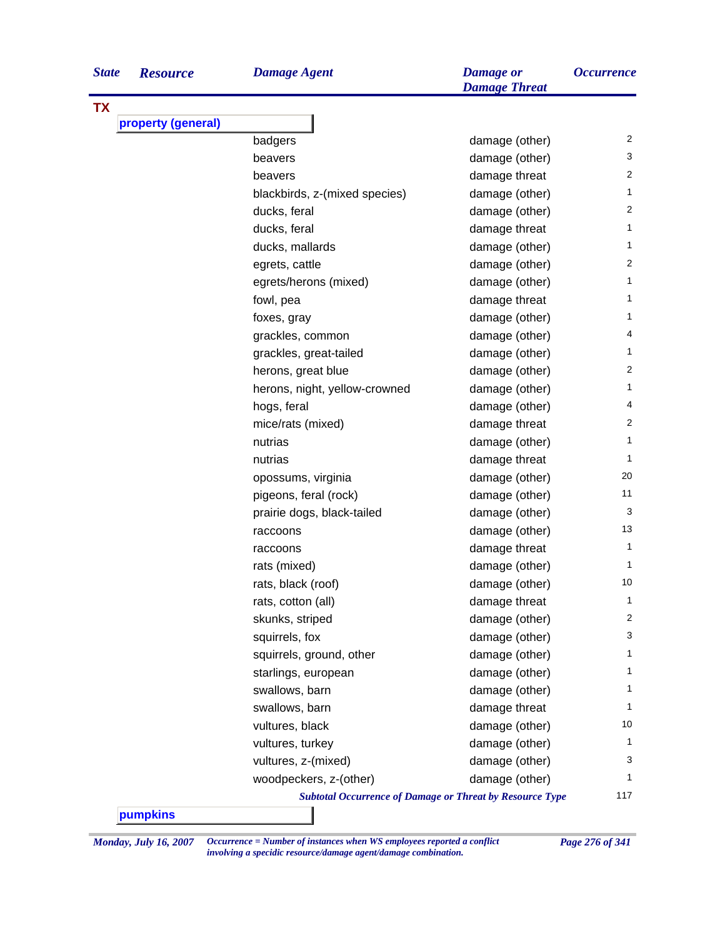| <b>State</b> | <b>Resourc</b> |  |
|--------------|----------------|--|
|              |                |  |

| <b>State</b> | <b>Resource</b>    | <b>Damage Agent</b>                                             | <b>Damage</b> or<br><b>Damage Threat</b> | <i><b>Occurrence</b></i> |
|--------------|--------------------|-----------------------------------------------------------------|------------------------------------------|--------------------------|
|              |                    |                                                                 |                                          |                          |
|              | property (general) |                                                                 |                                          |                          |
|              |                    | badgers                                                         | damage (other)                           | 2                        |
|              |                    | beavers                                                         | damage (other)                           | 3                        |
|              |                    | beavers                                                         | damage threat                            | 2                        |
|              |                    | blackbirds, z-(mixed species)                                   | damage (other)                           | 1.                       |
|              |                    | ducks, feral                                                    | damage (other)                           | 2                        |
|              |                    | ducks, feral                                                    | damage threat                            | 1                        |
|              |                    | ducks, mallards                                                 | damage (other)                           | 1                        |
|              |                    | egrets, cattle                                                  | damage (other)                           | 2                        |
|              |                    | egrets/herons (mixed)                                           | damage (other)                           | 1                        |
|              |                    | fowl, pea                                                       | damage threat                            | 1.                       |
|              |                    | foxes, gray                                                     | damage (other)                           | 1                        |
|              |                    | grackles, common                                                | damage (other)                           | 4                        |
|              |                    | grackles, great-tailed                                          | damage (other)                           | 1                        |
|              |                    | herons, great blue                                              | damage (other)                           | 2                        |
|              |                    | herons, night, yellow-crowned                                   | damage (other)                           | 1.                       |
|              |                    | hogs, feral                                                     | damage (other)                           | 4                        |
|              |                    | mice/rats (mixed)                                               | damage threat                            | 2                        |
|              |                    | nutrias                                                         | damage (other)                           | 1                        |
|              |                    | nutrias                                                         | damage threat                            | 1                        |
|              |                    | opossums, virginia                                              | damage (other)                           | 20                       |
|              |                    | pigeons, feral (rock)                                           | damage (other)                           | 11                       |
|              |                    | prairie dogs, black-tailed                                      | damage (other)                           | 3                        |
|              |                    | raccoons                                                        | damage (other)                           | 13                       |
|              |                    | raccoons                                                        | damage threat                            | $\mathbf{1}$             |
|              |                    | rats (mixed)                                                    | damage (other)                           | $\mathbf 1$              |
|              |                    | rats, black (roof)                                              | damage (other)                           | 10                       |
|              |                    | rats, cotton (all)                                              | damage threat                            | 1                        |
|              |                    | skunks, striped                                                 | damage (other)                           | 2                        |
|              |                    | squirrels, fox                                                  | damage (other)                           | 3                        |
|              |                    | squirrels, ground, other                                        | damage (other)                           | 1                        |
|              |                    | starlings, european                                             | damage (other)                           | 1                        |
|              |                    | swallows, barn                                                  | damage (other)                           | 1                        |
|              |                    | swallows, barn                                                  | damage threat                            | 1                        |
|              |                    | vultures, black                                                 | damage (other)                           | 10                       |
|              |                    | vultures, turkey                                                | damage (other)                           | 1                        |
|              |                    | vultures, z-(mixed)                                             | damage (other)                           | 3                        |
|              |                    | woodpeckers, z-(other)                                          | damage (other)                           | 1                        |
|              |                    | <b>Subtotal Occurrence of Damage or Threat by Resource Type</b> |                                          | 117                      |

*Monday, July 16, 2007 Occurrence = Number of instances when WS employees reported a conflict Page 276 of 341 involving a specidic resource/damage agent/damage combination.*

**TX**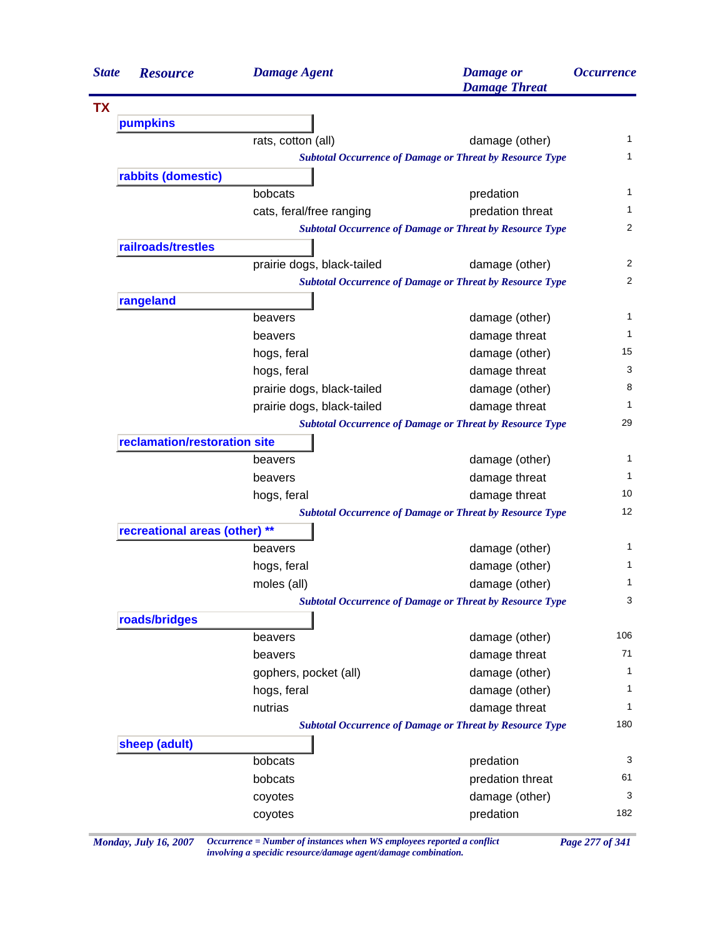| <b>State</b> | <b>Resource</b>               | <b>Damage Agent</b>        | <b>Damage</b> or<br><b>Damage Threat</b>                        | <i><b>Occurrence</b></i> |
|--------------|-------------------------------|----------------------------|-----------------------------------------------------------------|--------------------------|
| <b>TX</b>    |                               |                            |                                                                 |                          |
|              | pumpkins                      |                            |                                                                 |                          |
|              |                               | rats, cotton (all)         | damage (other)                                                  | 1                        |
|              |                               |                            | <b>Subtotal Occurrence of Damage or Threat by Resource Type</b> | 1                        |
|              | rabbits (domestic)            |                            |                                                                 |                          |
|              |                               | bobcats                    | predation                                                       | 1                        |
|              |                               | cats, feral/free ranging   | predation threat                                                | 1                        |
|              |                               |                            | <b>Subtotal Occurrence of Damage or Threat by Resource Type</b> | $\overline{c}$           |
|              | railroads/trestles            |                            |                                                                 |                          |
|              |                               | prairie dogs, black-tailed | damage (other)                                                  | 2                        |
|              |                               |                            | <b>Subtotal Occurrence of Damage or Threat by Resource Type</b> | 2                        |
|              | rangeland                     |                            |                                                                 |                          |
|              |                               | beavers                    | damage (other)                                                  | 1                        |
|              |                               | beavers                    | damage threat                                                   | 1                        |
|              |                               | hogs, feral                | damage (other)                                                  | 15                       |
|              |                               | hogs, feral                | damage threat                                                   | 3                        |
|              |                               | prairie dogs, black-tailed | damage (other)                                                  | 8                        |
|              |                               | prairie dogs, black-tailed | damage threat                                                   | 1                        |
|              |                               |                            | <b>Subtotal Occurrence of Damage or Threat by Resource Type</b> | 29                       |
|              | reclamation/restoration site  |                            |                                                                 |                          |
|              |                               | beavers                    | damage (other)                                                  | 1                        |
|              |                               | beavers                    | damage threat                                                   | 1                        |
|              |                               | hogs, feral                | damage threat                                                   | 10                       |
|              |                               |                            | <b>Subtotal Occurrence of Damage or Threat by Resource Type</b> | 12                       |
|              | recreational areas (other) ** |                            |                                                                 |                          |
|              |                               | beavers                    | damage (other)                                                  | 1                        |
|              |                               | hogs, feral                | damage (other)                                                  | 1                        |
|              |                               | moles (all)                | damage (other)                                                  | 1                        |
|              |                               |                            | <b>Subtotal Occurrence of Damage or Threat by Resource Type</b> | 3                        |
|              | roads/bridges                 |                            |                                                                 |                          |
|              |                               | beavers                    | damage (other)                                                  | 106                      |
|              |                               | beavers                    | damage threat                                                   | 71                       |
|              |                               | gophers, pocket (all)      | damage (other)                                                  | 1                        |
|              |                               | hogs, feral                | damage (other)                                                  | 1                        |
|              |                               | nutrias                    | damage threat                                                   | 1                        |
|              |                               |                            | <b>Subtotal Occurrence of Damage or Threat by Resource Type</b> | 180                      |
|              | sheep (adult)                 |                            |                                                                 |                          |
|              |                               | bobcats                    | predation                                                       | 3                        |
|              |                               | bobcats                    | predation threat                                                | 61                       |
|              |                               | coyotes                    | damage (other)                                                  | 3                        |
|              |                               | coyotes                    | predation                                                       | 182                      |

*Monday, July 16, 2007 Occurrence = Number of instances when WS employees reported a conflict Page 277 of 341 involving a specidic resource/damage agent/damage combination.*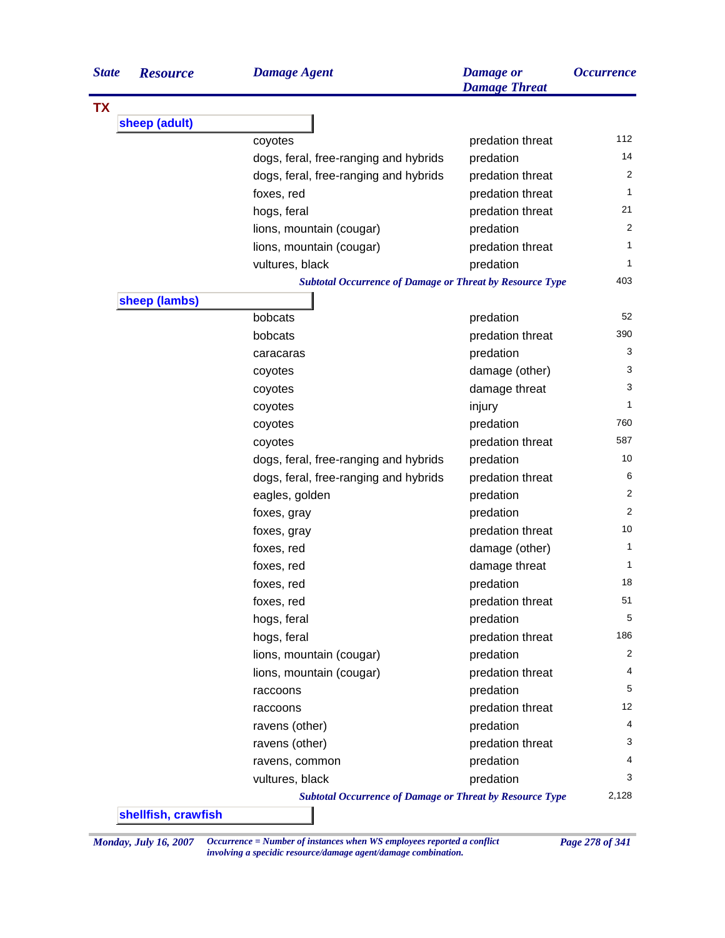| <b>State</b> | <b>Resource</b> | <b>Damage Agent</b>                                             | <b>Damage</b> or<br><b>Damage Threat</b> | <i><b>Occurrence</b></i> |
|--------------|-----------------|-----------------------------------------------------------------|------------------------------------------|--------------------------|
| <b>TX</b>    |                 |                                                                 |                                          |                          |
|              | sheep (adult)   |                                                                 |                                          |                          |
|              |                 | coyotes                                                         | predation threat                         | 112                      |
|              |                 | dogs, feral, free-ranging and hybrids                           | predation                                | 14                       |
|              |                 | dogs, feral, free-ranging and hybrids                           | predation threat                         | 2                        |
|              |                 | foxes, red                                                      | predation threat                         | 1                        |
|              |                 | hogs, feral                                                     | predation threat                         | 21                       |
|              |                 | lions, mountain (cougar)                                        | predation                                | 2                        |
|              |                 | lions, mountain (cougar)                                        | predation threat                         | 1                        |
|              |                 | vultures, black                                                 | predation                                | 1                        |
|              |                 | <b>Subtotal Occurrence of Damage or Threat by Resource Type</b> |                                          | 403                      |
|              | sheep (lambs)   |                                                                 |                                          |                          |
|              |                 | bobcats                                                         | predation                                | 52                       |
|              |                 | bobcats                                                         | predation threat                         | 390                      |
|              |                 | caracaras                                                       | predation                                | 3                        |
|              |                 | coyotes                                                         | damage (other)                           | 3                        |
|              |                 | coyotes                                                         | damage threat                            | 3                        |
|              |                 | coyotes                                                         | injury                                   | 1                        |
|              |                 | coyotes                                                         | predation                                | 760                      |
|              |                 | coyotes                                                         | predation threat                         | 587                      |
|              |                 | dogs, feral, free-ranging and hybrids                           | predation                                | 10                       |
|              |                 | dogs, feral, free-ranging and hybrids                           | predation threat                         | 6                        |
|              |                 | eagles, golden                                                  | predation                                | 2                        |
|              |                 | foxes, gray                                                     | predation                                | 2                        |
|              |                 | foxes, gray                                                     | predation threat                         | 10                       |
|              |                 | foxes, red                                                      | damage (other)                           | 1                        |
|              |                 | foxes, red                                                      | damage threat                            | 1                        |
|              |                 | foxes, red                                                      | predation                                | 18                       |
|              |                 | foxes, red                                                      | predation threat                         | 51                       |
|              |                 | hogs, feral                                                     | predation                                | 5                        |
|              |                 | hogs, feral                                                     | predation threat                         | 186                      |
|              |                 | lions, mountain (cougar)                                        | predation                                | 2                        |
|              |                 | lions, mountain (cougar)                                        | predation threat                         | 4                        |
|              |                 | raccoons                                                        | predation                                | 5                        |
|              |                 | raccoons                                                        | predation threat                         | 12                       |
|              |                 | ravens (other)                                                  | predation                                | 4                        |
|              |                 | ravens (other)                                                  | predation threat                         | 3                        |
|              |                 | ravens, common                                                  | predation                                | 4                        |
|              |                 | vultures, black                                                 | predation                                | 3                        |
|              |                 | <b>Subtotal Occurrence of Damage or Threat by Resource Type</b> |                                          | 2,128                    |

*Monday, July 16, 2007 Occurrence = Number of instances when WS employees reported a conflict Page 278 of 341 involving a specidic resource/damage agent/damage combination.*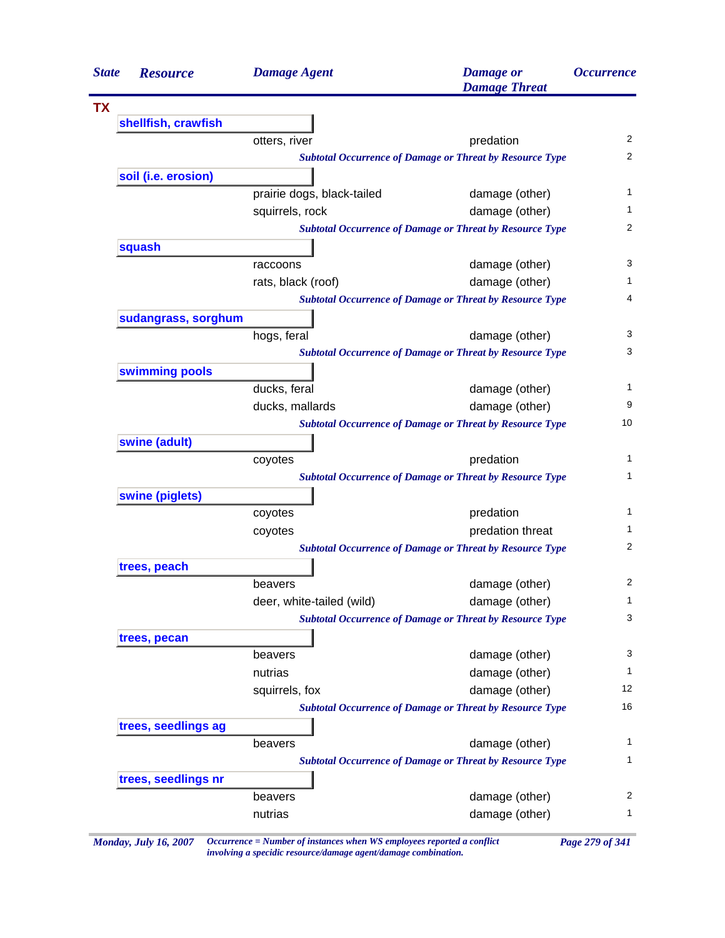| <b>State</b> | <b>Resource</b>     | <b>Damage Agent</b>        | <b>Damage</b> or<br><b>Damage Threat</b>                        | <i><b>Occurrence</b></i> |
|--------------|---------------------|----------------------------|-----------------------------------------------------------------|--------------------------|
| <b>TX</b>    |                     |                            |                                                                 |                          |
|              | shellfish, crawfish |                            |                                                                 |                          |
|              |                     | otters, river              | predation                                                       | 2                        |
|              |                     |                            | <b>Subtotal Occurrence of Damage or Threat by Resource Type</b> | 2                        |
|              | soil (i.e. erosion) |                            |                                                                 |                          |
|              |                     | prairie dogs, black-tailed | damage (other)                                                  | 1                        |
|              |                     | squirrels, rock            | damage (other)                                                  | 1                        |
|              |                     |                            | <b>Subtotal Occurrence of Damage or Threat by Resource Type</b> | 2                        |
|              | squash              |                            |                                                                 |                          |
|              |                     | raccoons                   | damage (other)                                                  | 3                        |
|              |                     | rats, black (roof)         | damage (other)                                                  | 1                        |
|              |                     |                            | <b>Subtotal Occurrence of Damage or Threat by Resource Type</b> | 4                        |
|              | sudangrass, sorghum |                            |                                                                 |                          |
|              |                     | hogs, feral                | damage (other)                                                  | 3                        |
|              |                     |                            | <b>Subtotal Occurrence of Damage or Threat by Resource Type</b> | 3                        |
|              | swimming pools      |                            |                                                                 |                          |
|              |                     | ducks, feral               | damage (other)                                                  | 1                        |
|              |                     | ducks, mallards            | damage (other)                                                  | 9                        |
|              |                     |                            | <b>Subtotal Occurrence of Damage or Threat by Resource Type</b> | 10                       |
|              | swine (adult)       |                            |                                                                 |                          |
|              |                     | coyotes                    | predation                                                       | 1                        |
|              |                     |                            | <b>Subtotal Occurrence of Damage or Threat by Resource Type</b> | 1                        |
|              | swine (piglets)     |                            |                                                                 |                          |
|              |                     | coyotes                    | predation                                                       | 1                        |
|              |                     | coyotes                    | predation threat                                                | 1                        |
|              |                     |                            | <b>Subtotal Occurrence of Damage or Threat by Resource Type</b> | 2                        |
|              | trees, peach        |                            |                                                                 |                          |
|              |                     | beavers                    | damage (other)                                                  | 2                        |
|              |                     | deer, white-tailed (wild)  | damage (other)                                                  | 1                        |
|              |                     |                            | <b>Subtotal Occurrence of Damage or Threat by Resource Type</b> | 3                        |
|              | trees, pecan        |                            |                                                                 |                          |
|              |                     | beavers                    | damage (other)                                                  | 3                        |
|              |                     | nutrias                    | damage (other)                                                  | 1                        |
|              |                     | squirrels, fox             | damage (other)                                                  | 12                       |
|              |                     |                            | <b>Subtotal Occurrence of Damage or Threat by Resource Type</b> | 16                       |
|              | trees, seedlings ag |                            |                                                                 |                          |
|              |                     | beavers                    | damage (other)                                                  | 1                        |
|              |                     |                            | <b>Subtotal Occurrence of Damage or Threat by Resource Type</b> | 1                        |
|              | trees, seedlings nr |                            |                                                                 |                          |
|              |                     | beavers                    | damage (other)                                                  | 2                        |
|              |                     | nutrias                    | damage (other)                                                  | 1                        |

*Monday, July 16, 2007 Occurrence = Number of instances when WS employees reported a conflict Page 279 of 341 involving a specidic resource/damage agent/damage combination.*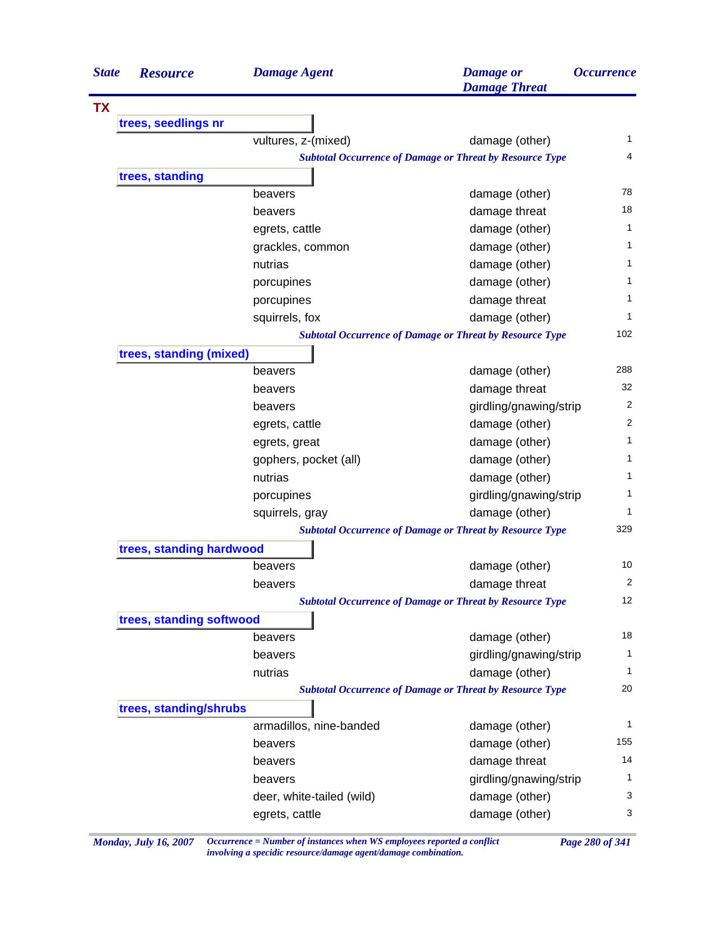| 1<br>4<br><b>Subtotal Occurrence of Damage or Threat by Resource Type</b><br>78<br>18<br>1<br>1<br>1<br>1<br>1<br>1<br>102<br><b>Subtotal Occurrence of Damage or Threat by Resource Type</b> |
|-----------------------------------------------------------------------------------------------------------------------------------------------------------------------------------------------|
|                                                                                                                                                                                               |
|                                                                                                                                                                                               |
|                                                                                                                                                                                               |
|                                                                                                                                                                                               |
|                                                                                                                                                                                               |
|                                                                                                                                                                                               |
|                                                                                                                                                                                               |
|                                                                                                                                                                                               |
|                                                                                                                                                                                               |
|                                                                                                                                                                                               |
|                                                                                                                                                                                               |
|                                                                                                                                                                                               |
|                                                                                                                                                                                               |
|                                                                                                                                                                                               |
|                                                                                                                                                                                               |
| 288                                                                                                                                                                                           |
| 32                                                                                                                                                                                            |
| 2<br>girdling/gnawing/strip                                                                                                                                                                   |
| 2                                                                                                                                                                                             |
| 1                                                                                                                                                                                             |
| 1                                                                                                                                                                                             |
| 1                                                                                                                                                                                             |
| 1<br>girdling/gnawing/strip                                                                                                                                                                   |
| 1                                                                                                                                                                                             |
| 329<br><b>Subtotal Occurrence of Damage or Threat by Resource Type</b>                                                                                                                        |
|                                                                                                                                                                                               |
| 10                                                                                                                                                                                            |
| $\overline{c}$                                                                                                                                                                                |
| 12<br><b>Subtotal Occurrence of Damage or Threat by Resource Type</b>                                                                                                                         |
|                                                                                                                                                                                               |
| 18                                                                                                                                                                                            |
| 1<br>girdling/gnawing/strip                                                                                                                                                                   |
| 1                                                                                                                                                                                             |
| 20<br><b>Subtotal Occurrence of Damage or Threat by Resource Type</b>                                                                                                                         |
|                                                                                                                                                                                               |
| 1                                                                                                                                                                                             |
| 155                                                                                                                                                                                           |
| 14                                                                                                                                                                                            |
| 1<br>girdling/gnawing/strip                                                                                                                                                                   |
| 3                                                                                                                                                                                             |
| 3                                                                                                                                                                                             |
|                                                                                                                                                                                               |

*Monday, July 16, 2007 Occurrence = Number of instances when WS employees reported a conflict Page 280 of 341 involving a specidic resource/damage agent/damage combination.*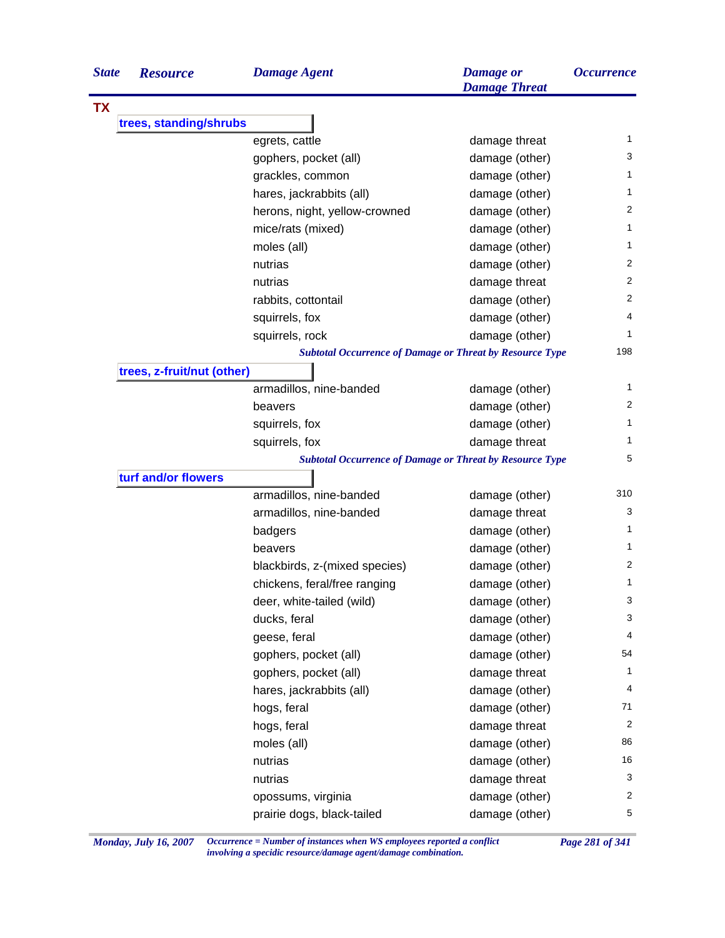| <b>TX</b><br>trees, standing/shrubs<br>1<br>egrets, cattle<br>damage threat<br>3<br>damage (other)<br>gophers, pocket (all)<br>1<br>grackles, common<br>damage (other)<br>1<br>hares, jackrabbits (all)<br>damage (other)<br>2<br>herons, night, yellow-crowned<br>damage (other)<br>1<br>mice/rats (mixed)<br>damage (other)<br>1<br>moles (all)<br>damage (other)<br>$\overline{2}$<br>nutrias<br>damage (other)<br>2<br>nutrias<br>damage threat<br>2<br>rabbits, cottontail<br>damage (other)<br>4<br>squirrels, fox<br>damage (other)<br>1<br>squirrels, rock<br>damage (other)<br>198<br><b>Subtotal Occurrence of Damage or Threat by Resource Type</b><br>trees, z-fruit/nut (other)<br>1<br>armadillos, nine-banded<br>damage (other)<br>$\overline{2}$<br>damage (other)<br>beavers<br>1<br>damage (other)<br>squirrels, fox<br>squirrels, fox<br>damage threat<br>1<br>5<br><b>Subtotal Occurrence of Damage or Threat by Resource Type</b><br>turf and/or flowers<br>310<br>armadillos, nine-banded<br>damage (other)<br>3<br>armadillos, nine-banded<br>damage threat<br>1<br>damage (other)<br>badgers<br>1<br>beavers<br>damage (other)<br>2<br>damage (other)<br>blackbirds, z-(mixed species)<br>1<br>damage (other)<br>chickens, feral/free ranging<br>3<br>deer, white-tailed (wild)<br>damage (other)<br>3<br>ducks, feral<br>damage (other)<br>4<br>damage (other)<br>geese, feral<br>54<br>gophers, pocket (all)<br>damage (other)<br>1<br>gophers, pocket (all)<br>damage threat<br>4<br>damage (other)<br>hares, jackrabbits (all)<br>71<br>damage (other)<br>hogs, feral<br>$\overline{c}$<br>damage threat<br>hogs, feral<br>86<br>damage (other)<br>moles (all)<br>16<br>nutrias<br>damage (other)<br>3<br>nutrias<br>damage threat<br>2<br>damage (other)<br>opossums, virginia<br>5<br>prairie dogs, black-tailed<br>damage (other) | <b>State</b> | <b>Resource</b> | <b>Damage Agent</b> | <b>Damage</b> or<br><b>Damage Threat</b> | <b>Occurrence</b> |
|------------------------------------------------------------------------------------------------------------------------------------------------------------------------------------------------------------------------------------------------------------------------------------------------------------------------------------------------------------------------------------------------------------------------------------------------------------------------------------------------------------------------------------------------------------------------------------------------------------------------------------------------------------------------------------------------------------------------------------------------------------------------------------------------------------------------------------------------------------------------------------------------------------------------------------------------------------------------------------------------------------------------------------------------------------------------------------------------------------------------------------------------------------------------------------------------------------------------------------------------------------------------------------------------------------------------------------------------------------------------------------------------------------------------------------------------------------------------------------------------------------------------------------------------------------------------------------------------------------------------------------------------------------------------------------------------------------------------------------------------------------------------------------------------------------------------------------------------------------------|--------------|-----------------|---------------------|------------------------------------------|-------------------|
|                                                                                                                                                                                                                                                                                                                                                                                                                                                                                                                                                                                                                                                                                                                                                                                                                                                                                                                                                                                                                                                                                                                                                                                                                                                                                                                                                                                                                                                                                                                                                                                                                                                                                                                                                                                                                                                                  |              |                 |                     |                                          |                   |
|                                                                                                                                                                                                                                                                                                                                                                                                                                                                                                                                                                                                                                                                                                                                                                                                                                                                                                                                                                                                                                                                                                                                                                                                                                                                                                                                                                                                                                                                                                                                                                                                                                                                                                                                                                                                                                                                  |              |                 |                     |                                          |                   |
|                                                                                                                                                                                                                                                                                                                                                                                                                                                                                                                                                                                                                                                                                                                                                                                                                                                                                                                                                                                                                                                                                                                                                                                                                                                                                                                                                                                                                                                                                                                                                                                                                                                                                                                                                                                                                                                                  |              |                 |                     |                                          |                   |
|                                                                                                                                                                                                                                                                                                                                                                                                                                                                                                                                                                                                                                                                                                                                                                                                                                                                                                                                                                                                                                                                                                                                                                                                                                                                                                                                                                                                                                                                                                                                                                                                                                                                                                                                                                                                                                                                  |              |                 |                     |                                          |                   |
|                                                                                                                                                                                                                                                                                                                                                                                                                                                                                                                                                                                                                                                                                                                                                                                                                                                                                                                                                                                                                                                                                                                                                                                                                                                                                                                                                                                                                                                                                                                                                                                                                                                                                                                                                                                                                                                                  |              |                 |                     |                                          |                   |
|                                                                                                                                                                                                                                                                                                                                                                                                                                                                                                                                                                                                                                                                                                                                                                                                                                                                                                                                                                                                                                                                                                                                                                                                                                                                                                                                                                                                                                                                                                                                                                                                                                                                                                                                                                                                                                                                  |              |                 |                     |                                          |                   |
|                                                                                                                                                                                                                                                                                                                                                                                                                                                                                                                                                                                                                                                                                                                                                                                                                                                                                                                                                                                                                                                                                                                                                                                                                                                                                                                                                                                                                                                                                                                                                                                                                                                                                                                                                                                                                                                                  |              |                 |                     |                                          |                   |
|                                                                                                                                                                                                                                                                                                                                                                                                                                                                                                                                                                                                                                                                                                                                                                                                                                                                                                                                                                                                                                                                                                                                                                                                                                                                                                                                                                                                                                                                                                                                                                                                                                                                                                                                                                                                                                                                  |              |                 |                     |                                          |                   |
|                                                                                                                                                                                                                                                                                                                                                                                                                                                                                                                                                                                                                                                                                                                                                                                                                                                                                                                                                                                                                                                                                                                                                                                                                                                                                                                                                                                                                                                                                                                                                                                                                                                                                                                                                                                                                                                                  |              |                 |                     |                                          |                   |
|                                                                                                                                                                                                                                                                                                                                                                                                                                                                                                                                                                                                                                                                                                                                                                                                                                                                                                                                                                                                                                                                                                                                                                                                                                                                                                                                                                                                                                                                                                                                                                                                                                                                                                                                                                                                                                                                  |              |                 |                     |                                          |                   |
|                                                                                                                                                                                                                                                                                                                                                                                                                                                                                                                                                                                                                                                                                                                                                                                                                                                                                                                                                                                                                                                                                                                                                                                                                                                                                                                                                                                                                                                                                                                                                                                                                                                                                                                                                                                                                                                                  |              |                 |                     |                                          |                   |
|                                                                                                                                                                                                                                                                                                                                                                                                                                                                                                                                                                                                                                                                                                                                                                                                                                                                                                                                                                                                                                                                                                                                                                                                                                                                                                                                                                                                                                                                                                                                                                                                                                                                                                                                                                                                                                                                  |              |                 |                     |                                          |                   |
|                                                                                                                                                                                                                                                                                                                                                                                                                                                                                                                                                                                                                                                                                                                                                                                                                                                                                                                                                                                                                                                                                                                                                                                                                                                                                                                                                                                                                                                                                                                                                                                                                                                                                                                                                                                                                                                                  |              |                 |                     |                                          |                   |
|                                                                                                                                                                                                                                                                                                                                                                                                                                                                                                                                                                                                                                                                                                                                                                                                                                                                                                                                                                                                                                                                                                                                                                                                                                                                                                                                                                                                                                                                                                                                                                                                                                                                                                                                                                                                                                                                  |              |                 |                     |                                          |                   |
|                                                                                                                                                                                                                                                                                                                                                                                                                                                                                                                                                                                                                                                                                                                                                                                                                                                                                                                                                                                                                                                                                                                                                                                                                                                                                                                                                                                                                                                                                                                                                                                                                                                                                                                                                                                                                                                                  |              |                 |                     |                                          |                   |
|                                                                                                                                                                                                                                                                                                                                                                                                                                                                                                                                                                                                                                                                                                                                                                                                                                                                                                                                                                                                                                                                                                                                                                                                                                                                                                                                                                                                                                                                                                                                                                                                                                                                                                                                                                                                                                                                  |              |                 |                     |                                          |                   |
|                                                                                                                                                                                                                                                                                                                                                                                                                                                                                                                                                                                                                                                                                                                                                                                                                                                                                                                                                                                                                                                                                                                                                                                                                                                                                                                                                                                                                                                                                                                                                                                                                                                                                                                                                                                                                                                                  |              |                 |                     |                                          |                   |
|                                                                                                                                                                                                                                                                                                                                                                                                                                                                                                                                                                                                                                                                                                                                                                                                                                                                                                                                                                                                                                                                                                                                                                                                                                                                                                                                                                                                                                                                                                                                                                                                                                                                                                                                                                                                                                                                  |              |                 |                     |                                          |                   |
|                                                                                                                                                                                                                                                                                                                                                                                                                                                                                                                                                                                                                                                                                                                                                                                                                                                                                                                                                                                                                                                                                                                                                                                                                                                                                                                                                                                                                                                                                                                                                                                                                                                                                                                                                                                                                                                                  |              |                 |                     |                                          |                   |
|                                                                                                                                                                                                                                                                                                                                                                                                                                                                                                                                                                                                                                                                                                                                                                                                                                                                                                                                                                                                                                                                                                                                                                                                                                                                                                                                                                                                                                                                                                                                                                                                                                                                                                                                                                                                                                                                  |              |                 |                     |                                          |                   |
|                                                                                                                                                                                                                                                                                                                                                                                                                                                                                                                                                                                                                                                                                                                                                                                                                                                                                                                                                                                                                                                                                                                                                                                                                                                                                                                                                                                                                                                                                                                                                                                                                                                                                                                                                                                                                                                                  |              |                 |                     |                                          |                   |
|                                                                                                                                                                                                                                                                                                                                                                                                                                                                                                                                                                                                                                                                                                                                                                                                                                                                                                                                                                                                                                                                                                                                                                                                                                                                                                                                                                                                                                                                                                                                                                                                                                                                                                                                                                                                                                                                  |              |                 |                     |                                          |                   |
|                                                                                                                                                                                                                                                                                                                                                                                                                                                                                                                                                                                                                                                                                                                                                                                                                                                                                                                                                                                                                                                                                                                                                                                                                                                                                                                                                                                                                                                                                                                                                                                                                                                                                                                                                                                                                                                                  |              |                 |                     |                                          |                   |
|                                                                                                                                                                                                                                                                                                                                                                                                                                                                                                                                                                                                                                                                                                                                                                                                                                                                                                                                                                                                                                                                                                                                                                                                                                                                                                                                                                                                                                                                                                                                                                                                                                                                                                                                                                                                                                                                  |              |                 |                     |                                          |                   |
|                                                                                                                                                                                                                                                                                                                                                                                                                                                                                                                                                                                                                                                                                                                                                                                                                                                                                                                                                                                                                                                                                                                                                                                                                                                                                                                                                                                                                                                                                                                                                                                                                                                                                                                                                                                                                                                                  |              |                 |                     |                                          |                   |
|                                                                                                                                                                                                                                                                                                                                                                                                                                                                                                                                                                                                                                                                                                                                                                                                                                                                                                                                                                                                                                                                                                                                                                                                                                                                                                                                                                                                                                                                                                                                                                                                                                                                                                                                                                                                                                                                  |              |                 |                     |                                          |                   |
|                                                                                                                                                                                                                                                                                                                                                                                                                                                                                                                                                                                                                                                                                                                                                                                                                                                                                                                                                                                                                                                                                                                                                                                                                                                                                                                                                                                                                                                                                                                                                                                                                                                                                                                                                                                                                                                                  |              |                 |                     |                                          |                   |
|                                                                                                                                                                                                                                                                                                                                                                                                                                                                                                                                                                                                                                                                                                                                                                                                                                                                                                                                                                                                                                                                                                                                                                                                                                                                                                                                                                                                                                                                                                                                                                                                                                                                                                                                                                                                                                                                  |              |                 |                     |                                          |                   |
|                                                                                                                                                                                                                                                                                                                                                                                                                                                                                                                                                                                                                                                                                                                                                                                                                                                                                                                                                                                                                                                                                                                                                                                                                                                                                                                                                                                                                                                                                                                                                                                                                                                                                                                                                                                                                                                                  |              |                 |                     |                                          |                   |
|                                                                                                                                                                                                                                                                                                                                                                                                                                                                                                                                                                                                                                                                                                                                                                                                                                                                                                                                                                                                                                                                                                                                                                                                                                                                                                                                                                                                                                                                                                                                                                                                                                                                                                                                                                                                                                                                  |              |                 |                     |                                          |                   |
|                                                                                                                                                                                                                                                                                                                                                                                                                                                                                                                                                                                                                                                                                                                                                                                                                                                                                                                                                                                                                                                                                                                                                                                                                                                                                                                                                                                                                                                                                                                                                                                                                                                                                                                                                                                                                                                                  |              |                 |                     |                                          |                   |
|                                                                                                                                                                                                                                                                                                                                                                                                                                                                                                                                                                                                                                                                                                                                                                                                                                                                                                                                                                                                                                                                                                                                                                                                                                                                                                                                                                                                                                                                                                                                                                                                                                                                                                                                                                                                                                                                  |              |                 |                     |                                          |                   |
|                                                                                                                                                                                                                                                                                                                                                                                                                                                                                                                                                                                                                                                                                                                                                                                                                                                                                                                                                                                                                                                                                                                                                                                                                                                                                                                                                                                                                                                                                                                                                                                                                                                                                                                                                                                                                                                                  |              |                 |                     |                                          |                   |
|                                                                                                                                                                                                                                                                                                                                                                                                                                                                                                                                                                                                                                                                                                                                                                                                                                                                                                                                                                                                                                                                                                                                                                                                                                                                                                                                                                                                                                                                                                                                                                                                                                                                                                                                                                                                                                                                  |              |                 |                     |                                          |                   |
|                                                                                                                                                                                                                                                                                                                                                                                                                                                                                                                                                                                                                                                                                                                                                                                                                                                                                                                                                                                                                                                                                                                                                                                                                                                                                                                                                                                                                                                                                                                                                                                                                                                                                                                                                                                                                                                                  |              |                 |                     |                                          |                   |
|                                                                                                                                                                                                                                                                                                                                                                                                                                                                                                                                                                                                                                                                                                                                                                                                                                                                                                                                                                                                                                                                                                                                                                                                                                                                                                                                                                                                                                                                                                                                                                                                                                                                                                                                                                                                                                                                  |              |                 |                     |                                          |                   |
|                                                                                                                                                                                                                                                                                                                                                                                                                                                                                                                                                                                                                                                                                                                                                                                                                                                                                                                                                                                                                                                                                                                                                                                                                                                                                                                                                                                                                                                                                                                                                                                                                                                                                                                                                                                                                                                                  |              |                 |                     |                                          |                   |
|                                                                                                                                                                                                                                                                                                                                                                                                                                                                                                                                                                                                                                                                                                                                                                                                                                                                                                                                                                                                                                                                                                                                                                                                                                                                                                                                                                                                                                                                                                                                                                                                                                                                                                                                                                                                                                                                  |              |                 |                     |                                          |                   |
|                                                                                                                                                                                                                                                                                                                                                                                                                                                                                                                                                                                                                                                                                                                                                                                                                                                                                                                                                                                                                                                                                                                                                                                                                                                                                                                                                                                                                                                                                                                                                                                                                                                                                                                                                                                                                                                                  |              |                 |                     |                                          |                   |
|                                                                                                                                                                                                                                                                                                                                                                                                                                                                                                                                                                                                                                                                                                                                                                                                                                                                                                                                                                                                                                                                                                                                                                                                                                                                                                                                                                                                                                                                                                                                                                                                                                                                                                                                                                                                                                                                  |              |                 |                     |                                          |                   |
|                                                                                                                                                                                                                                                                                                                                                                                                                                                                                                                                                                                                                                                                                                                                                                                                                                                                                                                                                                                                                                                                                                                                                                                                                                                                                                                                                                                                                                                                                                                                                                                                                                                                                                                                                                                                                                                                  |              |                 |                     |                                          |                   |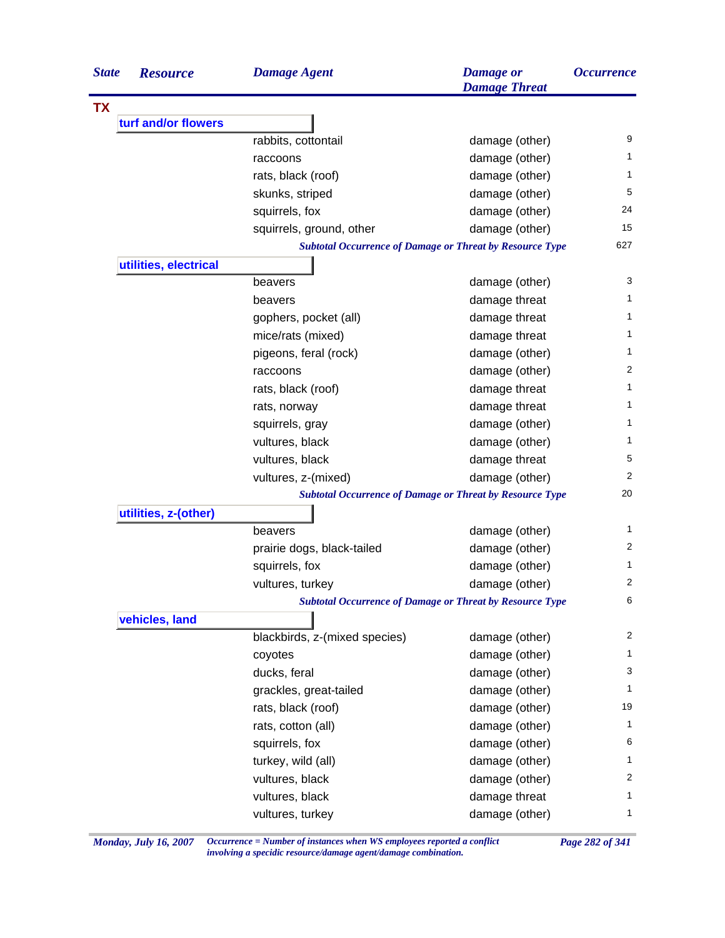| <b>TX</b><br>turf and/or flowers<br>rabbits, cottontail<br>damage (other)<br>damage (other)<br>raccoons<br>damage (other)<br>rats, black (roof)<br>skunks, striped<br>damage (other)<br>squirrels, fox<br>damage (other)<br>squirrels, ground, other<br>damage (other)<br><b>Subtotal Occurrence of Damage or Threat by Resource Type</b><br>utilities, electrical<br>damage (other)<br>beavers<br>damage threat<br>beavers<br>damage threat<br>gophers, pocket (all)<br>mice/rats (mixed)<br>damage threat<br>pigeons, feral (rock)<br>damage (other)<br>damage (other)<br>raccoons<br>damage threat<br>rats, black (roof)<br>damage threat<br>rats, norway<br>damage (other)<br>squirrels, gray<br>vultures, black<br>damage (other)<br>vultures, black<br>damage threat<br>vultures, z-(mixed)<br>damage (other)<br><b>Subtotal Occurrence of Damage or Threat by Resource Type</b> |                |
|----------------------------------------------------------------------------------------------------------------------------------------------------------------------------------------------------------------------------------------------------------------------------------------------------------------------------------------------------------------------------------------------------------------------------------------------------------------------------------------------------------------------------------------------------------------------------------------------------------------------------------------------------------------------------------------------------------------------------------------------------------------------------------------------------------------------------------------------------------------------------------------|----------------|
|                                                                                                                                                                                                                                                                                                                                                                                                                                                                                                                                                                                                                                                                                                                                                                                                                                                                                        |                |
|                                                                                                                                                                                                                                                                                                                                                                                                                                                                                                                                                                                                                                                                                                                                                                                                                                                                                        |                |
|                                                                                                                                                                                                                                                                                                                                                                                                                                                                                                                                                                                                                                                                                                                                                                                                                                                                                        | 9              |
|                                                                                                                                                                                                                                                                                                                                                                                                                                                                                                                                                                                                                                                                                                                                                                                                                                                                                        | 1              |
|                                                                                                                                                                                                                                                                                                                                                                                                                                                                                                                                                                                                                                                                                                                                                                                                                                                                                        | 1              |
|                                                                                                                                                                                                                                                                                                                                                                                                                                                                                                                                                                                                                                                                                                                                                                                                                                                                                        | 5              |
|                                                                                                                                                                                                                                                                                                                                                                                                                                                                                                                                                                                                                                                                                                                                                                                                                                                                                        | 24             |
|                                                                                                                                                                                                                                                                                                                                                                                                                                                                                                                                                                                                                                                                                                                                                                                                                                                                                        | 15             |
|                                                                                                                                                                                                                                                                                                                                                                                                                                                                                                                                                                                                                                                                                                                                                                                                                                                                                        | 627            |
|                                                                                                                                                                                                                                                                                                                                                                                                                                                                                                                                                                                                                                                                                                                                                                                                                                                                                        |                |
|                                                                                                                                                                                                                                                                                                                                                                                                                                                                                                                                                                                                                                                                                                                                                                                                                                                                                        | 3              |
|                                                                                                                                                                                                                                                                                                                                                                                                                                                                                                                                                                                                                                                                                                                                                                                                                                                                                        | 1              |
|                                                                                                                                                                                                                                                                                                                                                                                                                                                                                                                                                                                                                                                                                                                                                                                                                                                                                        | 1              |
|                                                                                                                                                                                                                                                                                                                                                                                                                                                                                                                                                                                                                                                                                                                                                                                                                                                                                        | 1              |
|                                                                                                                                                                                                                                                                                                                                                                                                                                                                                                                                                                                                                                                                                                                                                                                                                                                                                        | 1              |
|                                                                                                                                                                                                                                                                                                                                                                                                                                                                                                                                                                                                                                                                                                                                                                                                                                                                                        | $\overline{2}$ |
|                                                                                                                                                                                                                                                                                                                                                                                                                                                                                                                                                                                                                                                                                                                                                                                                                                                                                        | 1              |
|                                                                                                                                                                                                                                                                                                                                                                                                                                                                                                                                                                                                                                                                                                                                                                                                                                                                                        | 1              |
|                                                                                                                                                                                                                                                                                                                                                                                                                                                                                                                                                                                                                                                                                                                                                                                                                                                                                        | 1              |
|                                                                                                                                                                                                                                                                                                                                                                                                                                                                                                                                                                                                                                                                                                                                                                                                                                                                                        | 1              |
|                                                                                                                                                                                                                                                                                                                                                                                                                                                                                                                                                                                                                                                                                                                                                                                                                                                                                        | 5              |
|                                                                                                                                                                                                                                                                                                                                                                                                                                                                                                                                                                                                                                                                                                                                                                                                                                                                                        | 2              |
|                                                                                                                                                                                                                                                                                                                                                                                                                                                                                                                                                                                                                                                                                                                                                                                                                                                                                        | 20             |
| utilities, z-(other)                                                                                                                                                                                                                                                                                                                                                                                                                                                                                                                                                                                                                                                                                                                                                                                                                                                                   |                |
| beavers<br>damage (other)                                                                                                                                                                                                                                                                                                                                                                                                                                                                                                                                                                                                                                                                                                                                                                                                                                                              | 1              |
| damage (other)<br>prairie dogs, black-tailed                                                                                                                                                                                                                                                                                                                                                                                                                                                                                                                                                                                                                                                                                                                                                                                                                                           | 2              |
| squirrels, fox<br>damage (other)                                                                                                                                                                                                                                                                                                                                                                                                                                                                                                                                                                                                                                                                                                                                                                                                                                                       | 1              |
| vultures, turkey<br>damage (other)                                                                                                                                                                                                                                                                                                                                                                                                                                                                                                                                                                                                                                                                                                                                                                                                                                                     | 2              |
| <b>Subtotal Occurrence of Damage or Threat by Resource Type</b>                                                                                                                                                                                                                                                                                                                                                                                                                                                                                                                                                                                                                                                                                                                                                                                                                        | 6              |
| vehicles, land                                                                                                                                                                                                                                                                                                                                                                                                                                                                                                                                                                                                                                                                                                                                                                                                                                                                         |                |
| blackbirds, z-(mixed species)<br>damage (other)                                                                                                                                                                                                                                                                                                                                                                                                                                                                                                                                                                                                                                                                                                                                                                                                                                        | 2              |
| damage (other)<br>coyotes                                                                                                                                                                                                                                                                                                                                                                                                                                                                                                                                                                                                                                                                                                                                                                                                                                                              | 1              |
| damage (other)<br>ducks, feral                                                                                                                                                                                                                                                                                                                                                                                                                                                                                                                                                                                                                                                                                                                                                                                                                                                         | 3              |
| damage (other)<br>grackles, great-tailed                                                                                                                                                                                                                                                                                                                                                                                                                                                                                                                                                                                                                                                                                                                                                                                                                                               | 1              |
| rats, black (roof)<br>damage (other)                                                                                                                                                                                                                                                                                                                                                                                                                                                                                                                                                                                                                                                                                                                                                                                                                                                   | 19             |
| damage (other)<br>rats, cotton (all)                                                                                                                                                                                                                                                                                                                                                                                                                                                                                                                                                                                                                                                                                                                                                                                                                                                   | 1              |
| damage (other)<br>squirrels, fox                                                                                                                                                                                                                                                                                                                                                                                                                                                                                                                                                                                                                                                                                                                                                                                                                                                       | 6              |
| turkey, wild (all)<br>damage (other)                                                                                                                                                                                                                                                                                                                                                                                                                                                                                                                                                                                                                                                                                                                                                                                                                                                   | 1              |
| damage (other)<br>vultures, black                                                                                                                                                                                                                                                                                                                                                                                                                                                                                                                                                                                                                                                                                                                                                                                                                                                      | 2              |
| vultures, black<br>damage threat                                                                                                                                                                                                                                                                                                                                                                                                                                                                                                                                                                                                                                                                                                                                                                                                                                                       | 1              |
| damage (other)<br>vultures, turkey                                                                                                                                                                                                                                                                                                                                                                                                                                                                                                                                                                                                                                                                                                                                                                                                                                                     | $\mathbf{1}$   |

*Monday, July 16, 2007 Occurrence = Number of instances when WS employees reported a conflict Page 282 of 341 involving a specidic resource/damage agent/damage combination.*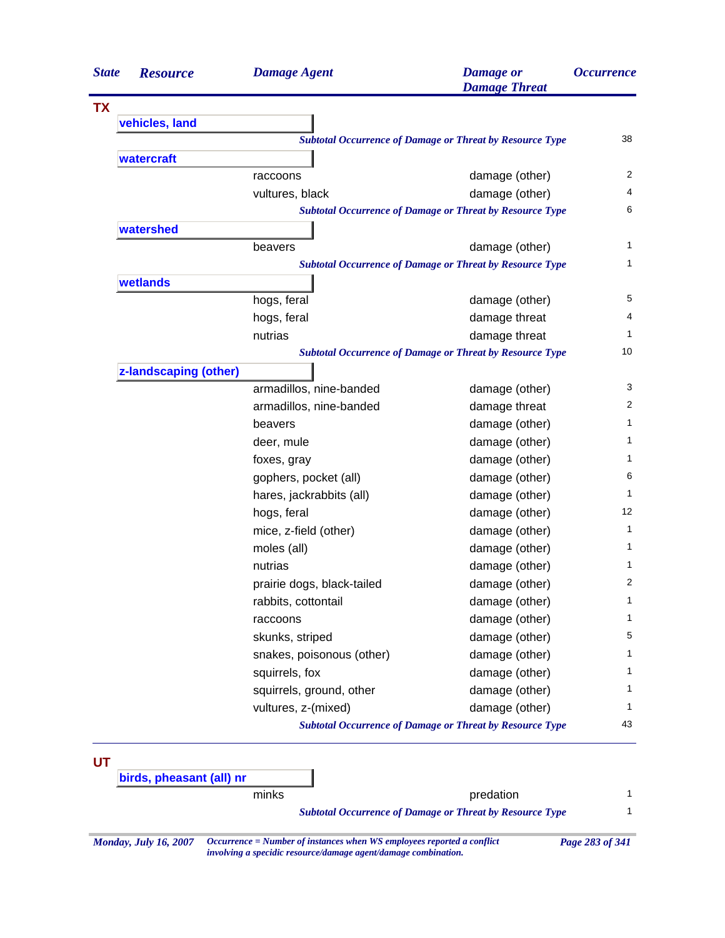| <b>State</b> | <b>Resource</b>          | <b>Damage Agent</b>        | <b>Damage</b> or<br><b>Damage Threat</b>                        | <i><b>Occurrence</b></i> |
|--------------|--------------------------|----------------------------|-----------------------------------------------------------------|--------------------------|
| <b>TX</b>    |                          |                            |                                                                 |                          |
|              | vehicles, land           |                            |                                                                 |                          |
|              |                          |                            | <b>Subtotal Occurrence of Damage or Threat by Resource Type</b> | 38                       |
|              | watercraft               |                            |                                                                 |                          |
|              |                          | raccoons                   | damage (other)                                                  |                          |
|              |                          | vultures, black            | damage (other)                                                  |                          |
|              |                          |                            | <b>Subtotal Occurrence of Damage or Threat by Resource Type</b> |                          |
|              | watershed                |                            |                                                                 |                          |
|              |                          | beavers                    | damage (other)                                                  |                          |
|              |                          |                            | <b>Subtotal Occurrence of Damage or Threat by Resource Type</b> |                          |
|              | wetlands                 |                            |                                                                 |                          |
|              |                          | hogs, feral                | damage (other)                                                  |                          |
|              |                          | hogs, feral                | damage threat                                                   |                          |
|              |                          | nutrias                    | damage threat                                                   |                          |
|              |                          |                            | <b>Subtotal Occurrence of Damage or Threat by Resource Type</b> |                          |
|              | z-landscaping (other)    |                            |                                                                 |                          |
|              |                          | armadillos, nine-banded    | damage (other)                                                  |                          |
|              |                          | armadillos, nine-banded    | damage threat                                                   |                          |
|              |                          | beavers                    | damage (other)                                                  |                          |
|              |                          | deer, mule                 | damage (other)                                                  |                          |
|              |                          | foxes, gray                | damage (other)                                                  |                          |
|              |                          | gophers, pocket (all)      | damage (other)                                                  |                          |
|              |                          | hares, jackrabbits (all)   | damage (other)                                                  |                          |
|              |                          | hogs, feral                | damage (other)                                                  |                          |
|              |                          | mice, z-field (other)      | damage (other)                                                  |                          |
|              |                          | moles (all)                | damage (other)                                                  |                          |
|              |                          | nutrias                    | damage (other)                                                  |                          |
|              |                          | prairie dogs, black-tailed | damage (other)                                                  |                          |
|              |                          | rabbits, cottontail        | damage (other)                                                  |                          |
|              |                          | raccoons                   | damage (other)                                                  |                          |
|              |                          | skunks, striped            | damage (other)                                                  |                          |
|              |                          | snakes, poisonous (other)  | damage (other)                                                  |                          |
|              |                          | squirrels, fox             | damage (other)                                                  |                          |
|              |                          | squirrels, ground, other   | damage (other)                                                  |                          |
|              |                          | vultures, z-(mixed)        | damage (other)                                                  |                          |
|              |                          |                            | <b>Subtotal Occurrence of Damage or Threat by Resource Type</b> |                          |
|              |                          |                            |                                                                 |                          |
| UT           | birds, pheasant (all) nr |                            |                                                                 |                          |
|              |                          | minks                      | predation                                                       |                          |
|              |                          |                            | <b>Subtotal Occurrence of Damage or Threat by Resource Type</b> |                          |

*involving a specidic resource/damage agent/damage combination.*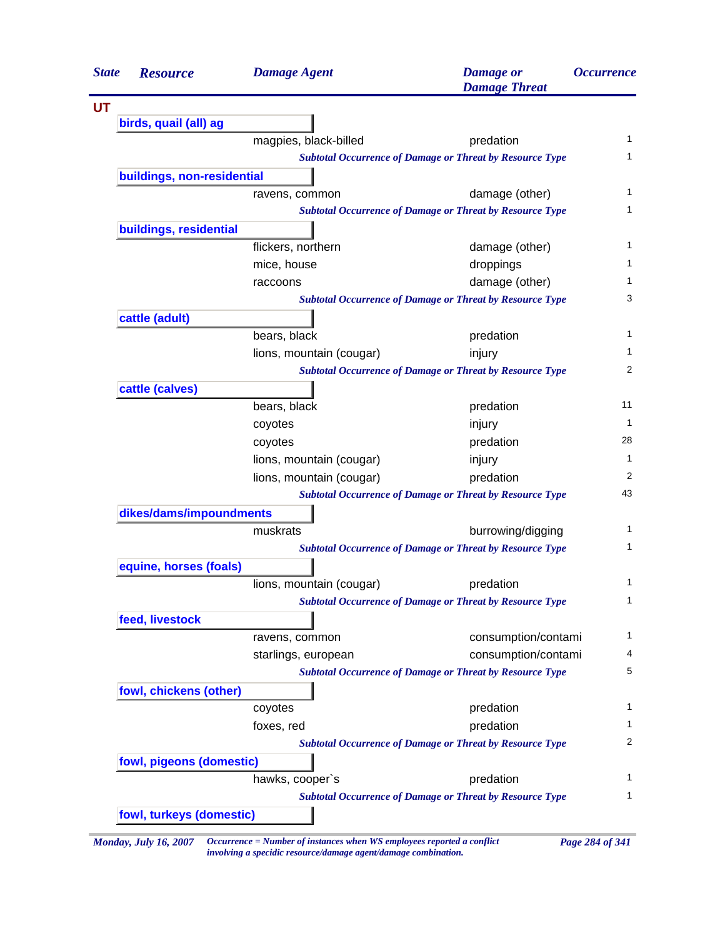| <b>State</b> | <b>Resource</b>              | <b>Damage Agent</b>                                                    | <b>Damage</b> or<br><b>Damage Threat</b>                        | <i><b>Occurrence</b></i> |  |
|--------------|------------------------------|------------------------------------------------------------------------|-----------------------------------------------------------------|--------------------------|--|
| UT           |                              |                                                                        |                                                                 |                          |  |
|              | birds, quail (all) ag        |                                                                        |                                                                 |                          |  |
|              |                              | magpies, black-billed                                                  | predation                                                       |                          |  |
|              |                              |                                                                        | <b>Subtotal Occurrence of Damage or Threat by Resource Type</b> |                          |  |
|              | buildings, non-residential   |                                                                        |                                                                 |                          |  |
|              |                              | ravens, common                                                         | damage (other)                                                  |                          |  |
|              |                              |                                                                        | <b>Subtotal Occurrence of Damage or Threat by Resource Type</b> |                          |  |
|              | buildings, residential       |                                                                        |                                                                 |                          |  |
|              |                              | flickers, northern                                                     | damage (other)                                                  |                          |  |
|              |                              | mice, house                                                            | droppings                                                       |                          |  |
|              |                              | raccoons                                                               | damage (other)                                                  |                          |  |
|              |                              |                                                                        | <b>Subtotal Occurrence of Damage or Threat by Resource Type</b> |                          |  |
|              | cattle (adult)               |                                                                        |                                                                 |                          |  |
|              |                              | bears, black                                                           | predation                                                       |                          |  |
|              |                              | lions, mountain (cougar)                                               | injury                                                          |                          |  |
|              |                              |                                                                        | <b>Subtotal Occurrence of Damage or Threat by Resource Type</b> |                          |  |
|              | cattle (calves)              |                                                                        |                                                                 |                          |  |
|              |                              | bears, black                                                           | predation                                                       |                          |  |
|              |                              | coyotes                                                                | injury                                                          |                          |  |
|              |                              | coyotes                                                                | predation                                                       |                          |  |
|              |                              | lions, mountain (cougar)                                               | injury                                                          |                          |  |
|              |                              | lions, mountain (cougar)                                               | predation                                                       |                          |  |
|              |                              |                                                                        | <b>Subtotal Occurrence of Damage or Threat by Resource Type</b> |                          |  |
|              | dikes/dams/impoundments      |                                                                        |                                                                 |                          |  |
|              |                              | muskrats                                                               | burrowing/digging                                               |                          |  |
|              |                              |                                                                        | <b>Subtotal Occurrence of Damage or Threat by Resource Type</b> |                          |  |
|              | equine, horses (foals)       |                                                                        |                                                                 |                          |  |
|              |                              | lions, mountain (cougar)                                               | predation                                                       |                          |  |
|              |                              |                                                                        | <b>Subtotal Occurrence of Damage or Threat by Resource Type</b> |                          |  |
|              | feed, livestock              |                                                                        |                                                                 |                          |  |
|              |                              | ravens, common                                                         | consumption/contami                                             |                          |  |
|              |                              | starlings, european                                                    | consumption/contami                                             |                          |  |
|              |                              |                                                                        | <b>Subtotal Occurrence of Damage or Threat by Resource Type</b> |                          |  |
|              | fowl, chickens (other)       |                                                                        |                                                                 |                          |  |
|              |                              | coyotes                                                                | predation                                                       |                          |  |
|              |                              | foxes, red                                                             | predation                                                       |                          |  |
|              |                              |                                                                        | <b>Subtotal Occurrence of Damage or Threat by Resource Type</b> |                          |  |
|              | fowl, pigeons (domestic)     |                                                                        |                                                                 |                          |  |
|              |                              | hawks, cooper's                                                        | predation                                                       |                          |  |
|              |                              |                                                                        | <b>Subtotal Occurrence of Damage or Threat by Resource Type</b> |                          |  |
|              | fowl, turkeys (domestic)     |                                                                        |                                                                 |                          |  |
|              | <b>Monday, July 16, 2007</b> | Occurrence = Number of instances when WS employees reported a conflict |                                                                 | Page 284 of 341          |  |

*involving a specidic resource/damage agent/damage combination.*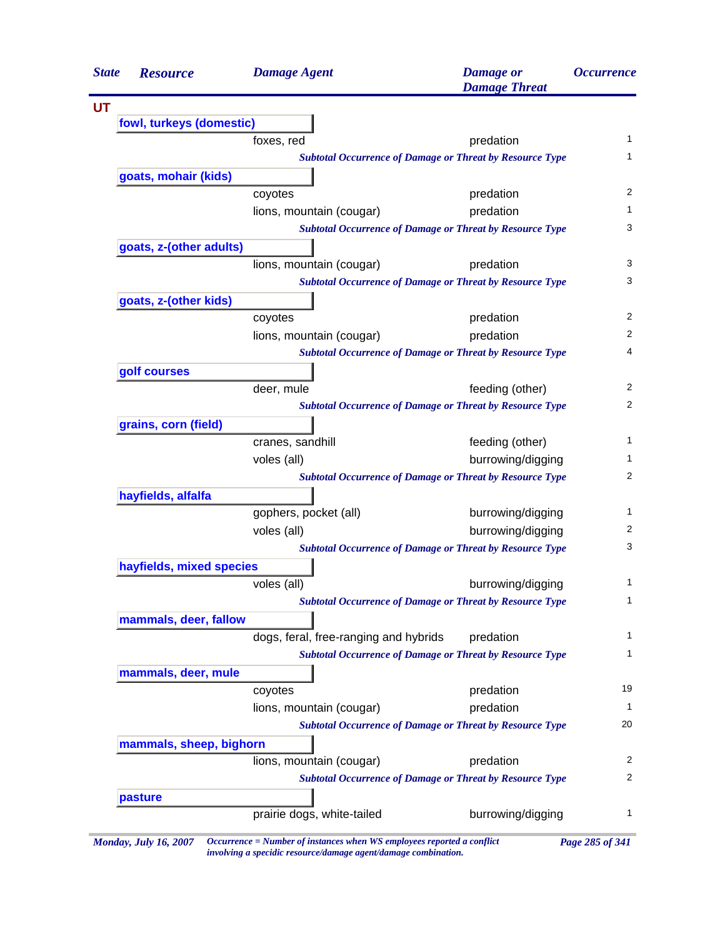| <b>State</b> | <b>Resource</b>          | <b>Damage Agent</b>                                             | <b>Damage</b> or<br><b>Damage Threat</b> | <b>Occurrence</b> |
|--------------|--------------------------|-----------------------------------------------------------------|------------------------------------------|-------------------|
|              |                          |                                                                 |                                          |                   |
|              | fowl, turkeys (domestic) |                                                                 |                                          |                   |
|              |                          | foxes, red                                                      | predation                                | 1                 |
|              |                          | <b>Subtotal Occurrence of Damage or Threat by Resource Type</b> |                                          | 1                 |
|              | goats, mohair (kids)     |                                                                 |                                          |                   |
|              |                          | coyotes                                                         | predation                                | 2                 |
|              |                          | lions, mountain (cougar)                                        | predation                                | 1                 |
|              |                          | <b>Subtotal Occurrence of Damage or Threat by Resource Type</b> |                                          | 3                 |
|              | goats, z-(other adults)  |                                                                 |                                          |                   |
|              |                          | lions, mountain (cougar)                                        | predation                                | 3                 |
|              |                          | <b>Subtotal Occurrence of Damage or Threat by Resource Type</b> |                                          | 3                 |
|              | goats, z-(other kids)    |                                                                 |                                          |                   |
|              |                          | coyotes                                                         | predation                                | 2                 |
|              |                          | lions, mountain (cougar)                                        | predation                                | 2                 |
|              |                          | <b>Subtotal Occurrence of Damage or Threat by Resource Type</b> |                                          | 4                 |
|              | golf courses             |                                                                 |                                          |                   |
|              |                          | deer, mule                                                      | feeding (other)                          | 2                 |
|              |                          | <b>Subtotal Occurrence of Damage or Threat by Resource Type</b> |                                          | 2                 |
|              | grains, corn (field)     |                                                                 |                                          |                   |
|              |                          | cranes, sandhill                                                | feeding (other)                          | 1                 |
|              |                          | voles (all)                                                     | burrowing/digging                        | 1                 |
|              |                          | <b>Subtotal Occurrence of Damage or Threat by Resource Type</b> |                                          | 2                 |
|              | hayfields, alfalfa       |                                                                 |                                          |                   |
|              |                          | gophers, pocket (all)                                           | burrowing/digging                        | 1                 |
|              |                          | voles (all)                                                     | burrowing/digging                        | 2                 |
|              |                          | <b>Subtotal Occurrence of Damage or Threat by Resource Type</b> |                                          | 3                 |
|              | hayfields, mixed species |                                                                 |                                          |                   |
|              |                          | voles (all)                                                     | burrowing/digging                        | 1                 |
|              |                          | <b>Subtotal Occurrence of Damage or Threat by Resource Type</b> |                                          | $\mathbf{1}$      |
|              | mammals, deer, fallow    |                                                                 |                                          |                   |
|              |                          | dogs, feral, free-ranging and hybrids                           | predation                                | 1                 |
|              |                          | <b>Subtotal Occurrence of Damage or Threat by Resource Type</b> |                                          | 1                 |
|              | mammals, deer, mule      |                                                                 |                                          |                   |
|              |                          | coyotes                                                         | predation                                | 19                |
|              |                          | lions, mountain (cougar)                                        | predation                                | 1                 |
|              |                          | <b>Subtotal Occurrence of Damage or Threat by Resource Type</b> |                                          | 20                |
|              | mammals, sheep, bighorn  |                                                                 |                                          |                   |
|              |                          | lions, mountain (cougar)                                        | predation                                | 2                 |
|              |                          | <b>Subtotal Occurrence of Damage or Threat by Resource Type</b> |                                          | 2                 |
|              | pasture                  |                                                                 |                                          |                   |
|              |                          | prairie dogs, white-tailed                                      | burrowing/digging                        | 1                 |

*Monday, July 16, 2007 Occurrence = Number of instances when WS employees reported a conflict Page 285 of 341 involving a specidic resource/damage agent/damage combination.*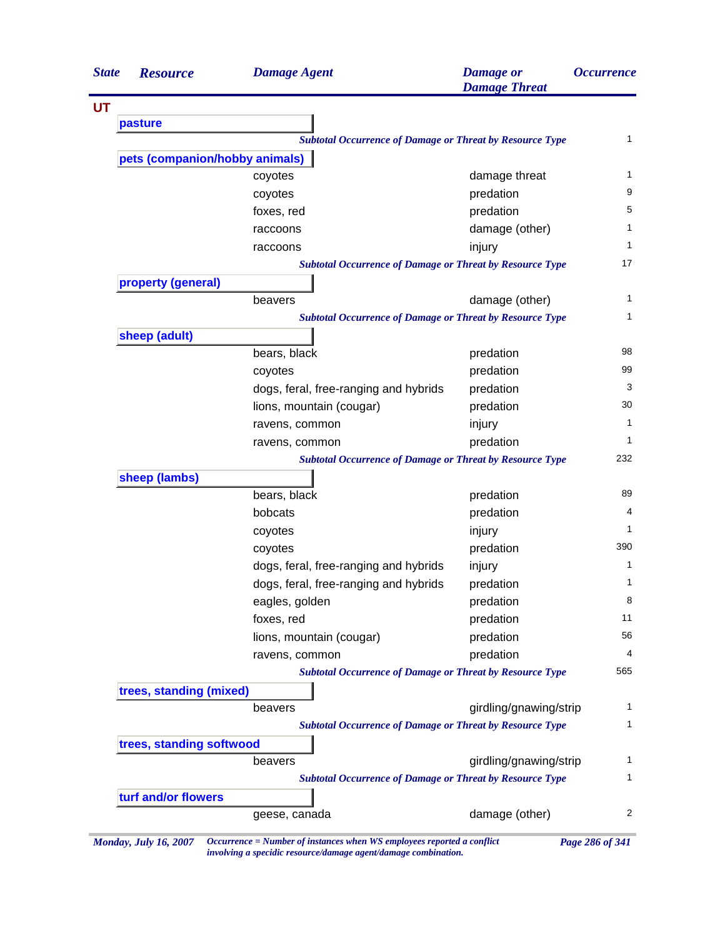| <b>State</b> | <b>Resource</b>                                                 | <b>Damage Agent</b>                                             | <b>Damage</b> or<br><b>Damage Threat</b> | <i><b>Occurrence</b></i> |
|--------------|-----------------------------------------------------------------|-----------------------------------------------------------------|------------------------------------------|--------------------------|
| UT           |                                                                 |                                                                 |                                          |                          |
|              | pasture                                                         |                                                                 |                                          |                          |
|              | <b>Subtotal Occurrence of Damage or Threat by Resource Type</b> |                                                                 |                                          |                          |
|              | pets (companion/hobby animals)                                  |                                                                 |                                          |                          |
|              |                                                                 | coyotes                                                         | damage threat                            | $\mathbf{1}$             |
|              |                                                                 | coyotes                                                         | predation                                | 9                        |
|              |                                                                 | foxes, red                                                      | predation                                | 5                        |
|              |                                                                 | raccoons                                                        | damage (other)                           | 1                        |
|              |                                                                 | raccoons                                                        | injury                                   | $\mathbf{1}$             |
|              |                                                                 | <b>Subtotal Occurrence of Damage or Threat by Resource Type</b> |                                          | 17                       |
|              | property (general)                                              |                                                                 |                                          |                          |
|              |                                                                 | beavers                                                         | damage (other)                           | 1                        |
|              |                                                                 | <b>Subtotal Occurrence of Damage or Threat by Resource Type</b> |                                          | $\mathbf{1}$             |
|              | sheep (adult)                                                   |                                                                 |                                          |                          |
|              |                                                                 | bears, black                                                    | predation                                | 98                       |
|              |                                                                 | coyotes                                                         | predation                                | 99                       |
|              |                                                                 | dogs, feral, free-ranging and hybrids                           | predation                                | 3                        |
|              |                                                                 | lions, mountain (cougar)                                        | predation                                | 30                       |
|              |                                                                 | ravens, common                                                  | injury                                   | 1                        |
|              |                                                                 | ravens, common                                                  | predation                                | 1                        |
|              |                                                                 | <b>Subtotal Occurrence of Damage or Threat by Resource Type</b> |                                          | 232                      |
|              | sheep (lambs)                                                   |                                                                 |                                          |                          |
|              |                                                                 | bears, black                                                    | predation                                | 89                       |
|              |                                                                 | bobcats                                                         | predation                                | 4                        |
|              |                                                                 | coyotes                                                         | injury                                   | 1                        |
|              |                                                                 | coyotes                                                         | predation                                | 390                      |
|              |                                                                 | dogs, feral, free-ranging and hybrids                           | injury                                   | 1                        |
|              |                                                                 | dogs, feral, free-ranging and hybrids                           | predation                                | 1                        |
|              |                                                                 | eagles, golden                                                  | predation                                | 8                        |
|              |                                                                 | foxes, red                                                      | predation                                | 11                       |
|              |                                                                 | lions, mountain (cougar)                                        | predation                                | 56                       |
|              |                                                                 | ravens, common                                                  | predation                                | 4                        |
|              |                                                                 | <b>Subtotal Occurrence of Damage or Threat by Resource Type</b> |                                          | 565                      |
|              | trees, standing (mixed)                                         |                                                                 |                                          |                          |
|              |                                                                 | beavers                                                         | girdling/gnawing/strip                   | 1                        |
|              |                                                                 | <b>Subtotal Occurrence of Damage or Threat by Resource Type</b> |                                          | 1                        |
|              | trees, standing softwood                                        |                                                                 |                                          |                          |
|              |                                                                 | beavers                                                         | girdling/gnawing/strip                   | 1                        |
|              |                                                                 | <b>Subtotal Occurrence of Damage or Threat by Resource Type</b> |                                          | $\mathbf{1}$             |
|              | turf and/or flowers                                             |                                                                 |                                          |                          |
|              |                                                                 |                                                                 |                                          | 2                        |
|              |                                                                 | geese, canada                                                   | damage (other)                           |                          |

*Monday, July 16, 2007 Occurrence = Number of instances when WS employees reported a conflict Page 286 of 341 involving a specidic resource/damage agent/damage combination.*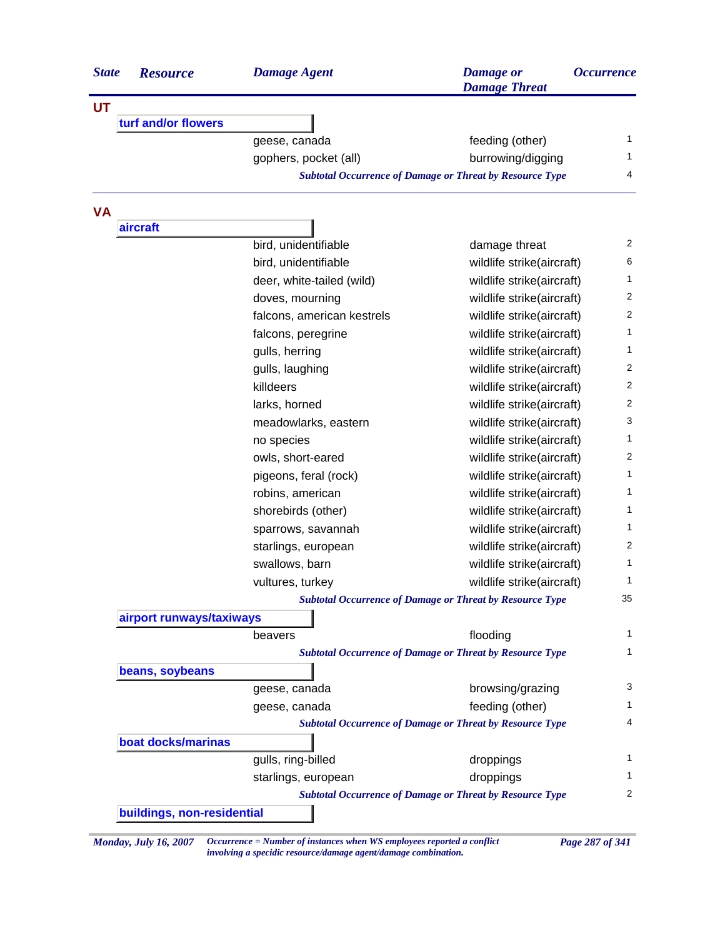| <b>State</b> | <b>Resource</b>            | <b>Damage Agent</b>        | <b>Damage</b> or<br><b>Damage Threat</b>                        | <i><b>Occurrence</b></i> |
|--------------|----------------------------|----------------------------|-----------------------------------------------------------------|--------------------------|
| UT           |                            |                            |                                                                 |                          |
|              | turf and/or flowers        |                            |                                                                 |                          |
|              |                            | geese, canada              | feeding (other)                                                 | 1                        |
|              |                            | gophers, pocket (all)      | burrowing/digging                                               | 1                        |
|              |                            |                            | <b>Subtotal Occurrence of Damage or Threat by Resource Type</b> | 4                        |
| VA           |                            |                            |                                                                 |                          |
|              | aircraft                   |                            |                                                                 |                          |
|              |                            | bird, unidentifiable       | damage threat                                                   | 2                        |
|              |                            | bird, unidentifiable       | wildlife strike(aircraft)                                       | 6                        |
|              |                            | deer, white-tailed (wild)  | wildlife strike(aircraft)                                       | 1                        |
|              |                            | doves, mourning            | wildlife strike(aircraft)                                       | 2                        |
|              |                            | falcons, american kestrels | wildlife strike(aircraft)                                       | 2                        |
|              |                            | falcons, peregrine         | wildlife strike(aircraft)                                       | 1                        |
|              |                            | gulls, herring             | wildlife strike(aircraft)                                       | 1                        |
|              |                            | gulls, laughing            | wildlife strike(aircraft)                                       | 2                        |
|              |                            | killdeers                  | wildlife strike(aircraft)                                       | 2                        |
|              |                            | larks, horned              | wildlife strike(aircraft)                                       | 2                        |
|              |                            | meadowlarks, eastern       | wildlife strike(aircraft)                                       | 3                        |
|              |                            | no species                 | wildlife strike(aircraft)                                       | 1                        |
|              |                            | owls, short-eared          | wildlife strike(aircraft)                                       | 2                        |
|              |                            | pigeons, feral (rock)      | wildlife strike(aircraft)                                       | 1                        |
|              |                            | robins, american           | wildlife strike(aircraft)                                       | 1                        |
|              |                            | shorebirds (other)         | wildlife strike(aircraft)                                       | 1                        |
|              |                            | sparrows, savannah         | wildlife strike(aircraft)                                       | 1                        |
|              |                            | starlings, european        | wildlife strike(aircraft)                                       | $\overline{c}$           |
|              |                            | swallows, barn             | wildlife strike(aircraft)                                       | 1                        |
|              |                            | vultures, turkey           | wildlife strike(aircraft)                                       | 1                        |
|              |                            |                            | <b>Subtotal Occurrence of Damage or Threat by Resource Type</b> | 35                       |
|              | airport runways/taxiways   |                            |                                                                 |                          |
|              |                            | beavers                    | flooding                                                        | 1                        |
|              |                            |                            | <b>Subtotal Occurrence of Damage or Threat by Resource Type</b> | 1                        |
|              | beans, soybeans            |                            |                                                                 |                          |
|              |                            | geese, canada              | browsing/grazing                                                | 3                        |
|              |                            | geese, canada              | feeding (other)                                                 | 1                        |
|              |                            |                            | <b>Subtotal Occurrence of Damage or Threat by Resource Type</b> | 4                        |
|              | boat docks/marinas         |                            |                                                                 |                          |
|              |                            | gulls, ring-billed         | droppings                                                       | 1                        |
|              |                            | starlings, european        | droppings                                                       | 1                        |
|              |                            |                            | <b>Subtotal Occurrence of Damage or Threat by Resource Type</b> | 2                        |
|              | buildings, non-residential |                            |                                                                 |                          |
|              |                            |                            |                                                                 |                          |

*Monday, July 16, 2007 Occurrence = Number of instances when WS employees reported a conflict Page 287 of 341 involving a specidic resource/damage agent/damage combination.*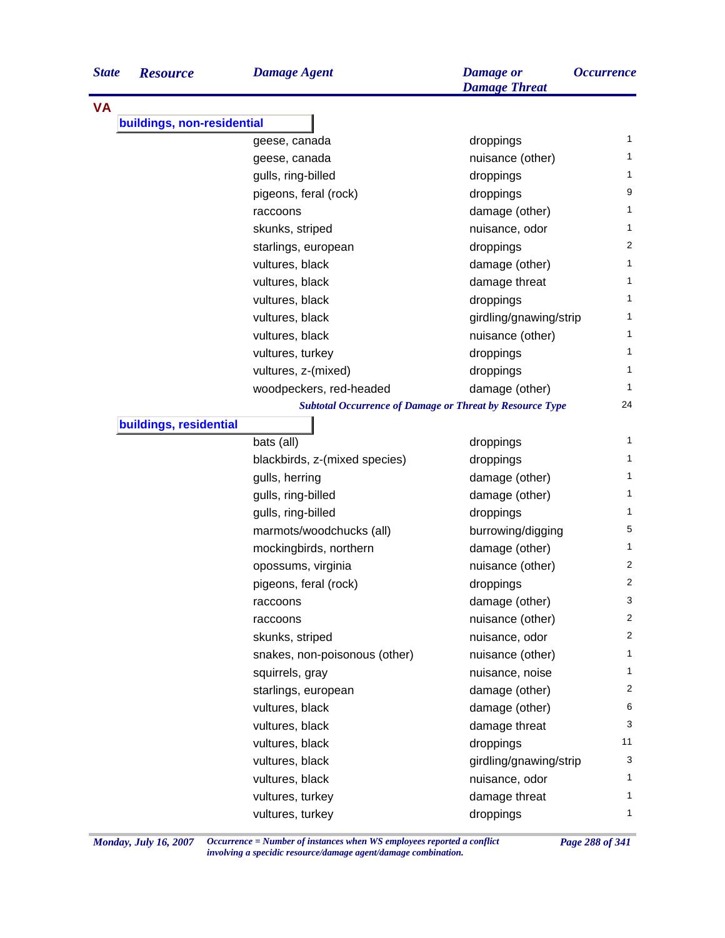| <b>State</b> | <b>Resource</b>            | <b>Damage Agent</b>                                             | <b>Damage</b> or<br><b>Damage Threat</b> | <i><b>Occurrence</b></i> |
|--------------|----------------------------|-----------------------------------------------------------------|------------------------------------------|--------------------------|
| <b>VA</b>    |                            |                                                                 |                                          |                          |
|              | buildings, non-residential |                                                                 |                                          |                          |
|              |                            | geese, canada                                                   | droppings                                | $\mathbf{1}$             |
|              |                            | geese, canada                                                   | nuisance (other)                         | 1                        |
|              |                            | gulls, ring-billed                                              | droppings                                | 1                        |
|              |                            | pigeons, feral (rock)                                           | droppings                                | 9                        |
|              |                            | raccoons                                                        | damage (other)                           | 1                        |
|              |                            | skunks, striped                                                 | nuisance, odor                           | 1                        |
|              |                            | starlings, european                                             | droppings                                | $\overline{c}$           |
|              |                            | vultures, black                                                 | damage (other)                           | 1                        |
|              |                            | vultures, black                                                 | damage threat                            | 1                        |
|              |                            | vultures, black                                                 | droppings                                | 1                        |
|              |                            | vultures, black                                                 | girdling/gnawing/strip                   | 1                        |
|              |                            | vultures, black                                                 | nuisance (other)                         | 1                        |
|              |                            | vultures, turkey                                                | droppings                                | 1                        |
|              |                            | vultures, z-(mixed)                                             | droppings                                | 1                        |
|              |                            | woodpeckers, red-headed                                         | damage (other)                           | 1                        |
|              |                            | <b>Subtotal Occurrence of Damage or Threat by Resource Type</b> |                                          | 24                       |
|              | buildings, residential     |                                                                 |                                          |                          |
|              |                            | bats (all)                                                      | droppings                                | 1                        |
|              |                            | blackbirds, z-(mixed species)                                   | droppings                                | $\mathbf{1}$             |
|              |                            | gulls, herring                                                  | damage (other)                           | 1                        |
|              |                            | gulls, ring-billed                                              | damage (other)                           | 1                        |
|              |                            | gulls, ring-billed                                              | droppings                                | 1                        |
|              |                            | marmots/woodchucks (all)                                        | burrowing/digging                        | 5                        |
|              |                            | mockingbirds, northern                                          | damage (other)                           | 1                        |
|              |                            | opossums, virginia                                              | nuisance (other)                         | 2                        |
|              |                            | pigeons, feral (rock)                                           | droppings                                | $\overline{c}$           |
|              |                            | raccoons                                                        | damage (other)                           | 3                        |
|              |                            | raccoons                                                        | nuisance (other)                         | 2                        |
|              |                            | skunks, striped                                                 | nuisance, odor                           | $\overline{2}$           |
|              |                            | snakes, non-poisonous (other)                                   | nuisance (other)                         | 1                        |
|              |                            | squirrels, gray                                                 | nuisance, noise                          | 1                        |
|              |                            | starlings, european                                             | damage (other)                           | 2                        |
|              |                            | vultures, black                                                 | damage (other)                           | 6                        |
|              |                            | vultures, black                                                 | damage threat                            | 3                        |
|              |                            | vultures, black                                                 | droppings                                | 11                       |
|              |                            |                                                                 | girdling/gnawing/strip                   | 3                        |
|              |                            | vultures, black                                                 |                                          | 1                        |
|              |                            | vultures, black                                                 | nuisance, odor                           | $\mathbf{1}$             |
|              |                            | vultures, turkey                                                | damage threat                            |                          |
|              |                            | vultures, turkey                                                | droppings                                | 1                        |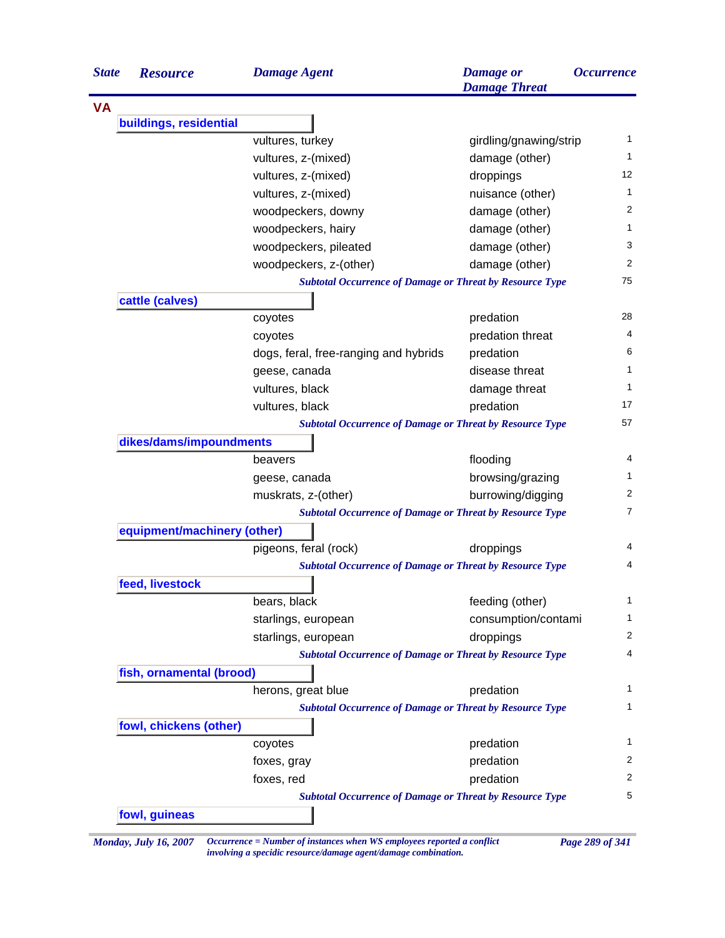| <b>State</b> | <b>Resource</b>             | <b>Damage Agent</b>                                             | <b>Damage</b> or<br><b>Damage Threat</b> | <i><b>Occurrence</b></i> |
|--------------|-----------------------------|-----------------------------------------------------------------|------------------------------------------|--------------------------|
| <b>VA</b>    |                             |                                                                 |                                          |                          |
|              | buildings, residential      |                                                                 |                                          |                          |
|              |                             | vultures, turkey                                                | girdling/gnawing/strip                   | 1                        |
|              |                             | vultures, z-(mixed)                                             | damage (other)                           | 1                        |
|              |                             | vultures, z-(mixed)                                             | droppings                                | 12                       |
|              |                             | vultures, z-(mixed)                                             | nuisance (other)                         | 1                        |
|              |                             | woodpeckers, downy                                              | damage (other)                           | 2                        |
|              |                             | woodpeckers, hairy                                              | damage (other)                           | 1                        |
|              |                             | woodpeckers, pileated                                           | damage (other)                           | 3                        |
|              |                             | woodpeckers, z-(other)                                          | damage (other)                           | 2                        |
|              |                             | <b>Subtotal Occurrence of Damage or Threat by Resource Type</b> |                                          | 75                       |
|              | cattle (calves)             |                                                                 |                                          |                          |
|              |                             | coyotes                                                         | predation                                | 28                       |
|              |                             | coyotes                                                         | predation threat                         | 4                        |
|              |                             | dogs, feral, free-ranging and hybrids                           | predation                                | 6                        |
|              |                             | geese, canada                                                   | disease threat                           | 1                        |
|              |                             | vultures, black                                                 | damage threat                            | 1                        |
|              |                             | vultures, black                                                 | predation                                | 17                       |
|              |                             | <b>Subtotal Occurrence of Damage or Threat by Resource Type</b> |                                          | 57                       |
|              | dikes/dams/impoundments     |                                                                 |                                          |                          |
|              |                             | beavers                                                         | flooding                                 | 4                        |
|              |                             | geese, canada                                                   | browsing/grazing                         | $\mathbf{1}$             |
|              |                             | muskrats, z-(other)                                             | burrowing/digging                        | 2                        |
|              |                             | <b>Subtotal Occurrence of Damage or Threat by Resource Type</b> |                                          | $\overline{7}$           |
|              | equipment/machinery (other) |                                                                 |                                          |                          |
|              |                             | pigeons, feral (rock)                                           | droppings                                | 4                        |
|              |                             | <b>Subtotal Occurrence of Damage or Threat by Resource Type</b> |                                          | 4                        |
|              | feed, livestock             |                                                                 |                                          |                          |
|              |                             | bears, black                                                    | feeding (other)                          | 1                        |
|              |                             | starlings, european                                             | consumption/contami                      | 1                        |
|              |                             | starlings, european                                             | droppings                                | 2                        |
|              |                             | <b>Subtotal Occurrence of Damage or Threat by Resource Type</b> |                                          | 4                        |
|              | fish, ornamental (brood)    |                                                                 |                                          |                          |
|              |                             | herons, great blue                                              | predation                                | $\mathbf{1}$             |
|              |                             | <b>Subtotal Occurrence of Damage or Threat by Resource Type</b> |                                          | 1                        |
|              | fowl, chickens (other)      |                                                                 |                                          |                          |
|              |                             | coyotes                                                         | predation                                | 1                        |
|              |                             | foxes, gray                                                     | predation                                | 2                        |
|              |                             | foxes, red                                                      | predation                                | 2                        |
|              |                             | <b>Subtotal Occurrence of Damage or Threat by Resource Type</b> |                                          | 5                        |
|              | fowl, guineas               |                                                                 |                                          |                          |

*Monday, July 16, 2007 Occurrence = Number of instances when WS employees reported a conflict Page 289 of 341 involving a specidic resource/damage agent/damage combination.*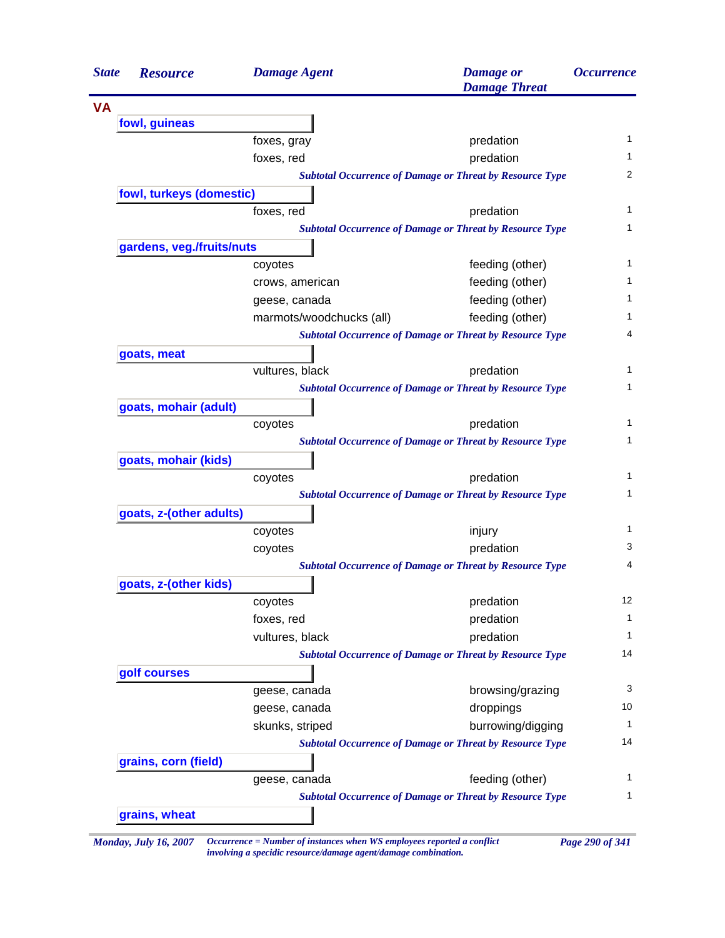| <b>State</b> | <b>Resource</b>           | <b>Damage Agent</b>      | <b>Damage</b> or<br><b>Damage Threat</b>                        | <i><b>Occurrence</b></i> |
|--------------|---------------------------|--------------------------|-----------------------------------------------------------------|--------------------------|
| <b>VA</b>    |                           |                          |                                                                 |                          |
|              | fowl, guineas             |                          |                                                                 |                          |
|              |                           | foxes, gray              | predation                                                       | $\mathbf{1}$             |
|              |                           | foxes, red               | predation                                                       | 1                        |
|              |                           |                          | <b>Subtotal Occurrence of Damage or Threat by Resource Type</b> | $\overline{2}$           |
|              | fowl, turkeys (domestic)  |                          |                                                                 |                          |
|              |                           | foxes, red               | predation                                                       |                          |
|              |                           |                          | <b>Subtotal Occurrence of Damage or Threat by Resource Type</b> |                          |
|              | gardens, veg./fruits/nuts |                          |                                                                 |                          |
|              |                           | coyotes                  | feeding (other)                                                 |                          |
|              |                           | crows, american          | feeding (other)                                                 |                          |
|              |                           | geese, canada            | feeding (other)                                                 |                          |
|              |                           | marmots/woodchucks (all) | feeding (other)                                                 |                          |
|              |                           |                          | <b>Subtotal Occurrence of Damage or Threat by Resource Type</b> |                          |
|              | goats, meat               |                          |                                                                 |                          |
|              |                           | vultures, black          | predation                                                       |                          |
|              |                           |                          | <b>Subtotal Occurrence of Damage or Threat by Resource Type</b> |                          |
|              | goats, mohair (adult)     |                          |                                                                 |                          |
|              |                           | coyotes                  | predation                                                       |                          |
|              |                           |                          | <b>Subtotal Occurrence of Damage or Threat by Resource Type</b> |                          |
|              | goats, mohair (kids)      |                          |                                                                 |                          |
|              |                           | coyotes                  | predation                                                       |                          |
|              |                           |                          | <b>Subtotal Occurrence of Damage or Threat by Resource Type</b> |                          |
|              | goats, z-(other adults)   |                          |                                                                 |                          |
|              |                           | coyotes                  | injury                                                          |                          |
|              |                           | coyotes                  | predation                                                       |                          |
|              |                           |                          | <b>Subtotal Occurrence of Damage or Threat by Resource Type</b> |                          |
|              | goats, z-(other kids)     |                          |                                                                 |                          |
|              |                           | coyotes                  | predation                                                       | 12                       |
|              |                           | foxes, red               | predation                                                       |                          |
|              |                           | vultures, black          | predation                                                       | 1                        |
|              |                           |                          | <b>Subtotal Occurrence of Damage or Threat by Resource Type</b> | 14                       |
|              | golf courses              |                          |                                                                 |                          |
|              |                           | geese, canada            | browsing/grazing                                                |                          |
|              |                           | geese, canada            | droppings                                                       | 10                       |
|              |                           | skunks, striped          | burrowing/digging                                               | 1                        |
|              |                           |                          | <b>Subtotal Occurrence of Damage or Threat by Resource Type</b> | 14                       |
|              | grains, corn (field)      |                          |                                                                 |                          |
|              |                           | geese, canada            | feeding (other)                                                 |                          |
|              |                           |                          | <b>Subtotal Occurrence of Damage or Threat by Resource Type</b> |                          |
|              | grains, wheat             |                          |                                                                 |                          |

*Monday, July 16, 2007 Occurrence = Number of instances when WS employees reported a conflict Page 290 of 341 involving a specidic resource/damage agent/damage combination.*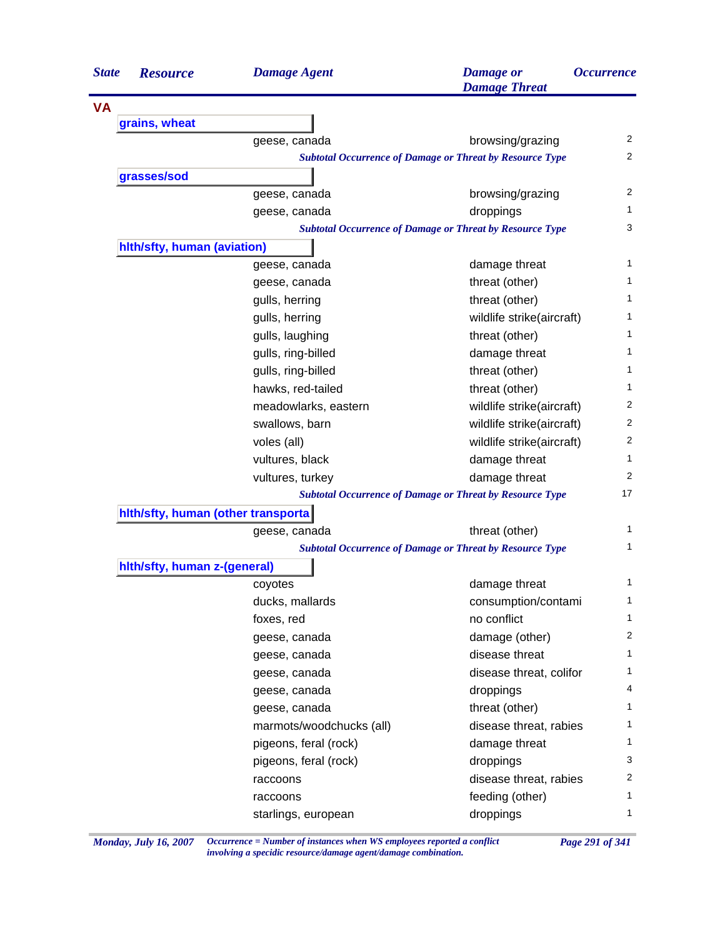| <b>VA</b><br>grains, wheat<br>browsing/grazing<br>geese, canada<br><b>Subtotal Occurrence of Damage or Threat by Resource Type</b><br>grasses/sod<br>browsing/grazing<br>geese, canada<br>droppings<br>geese, canada<br><b>Subtotal Occurrence of Damage or Threat by Resource Type</b><br>hith/sfty, human (aviation)<br>damage threat<br>geese, canada<br>threat (other)<br>geese, canada<br>threat (other)<br>gulls, herring<br>gulls, herring<br>wildlife strike(aircraft)<br>gulls, laughing<br>threat (other)<br>damage threat<br>gulls, ring-billed<br>gulls, ring-billed<br>threat (other)<br>hawks, red-tailed<br>threat (other)<br>meadowlarks, eastern<br>wildlife strike(aircraft)<br>swallows, barn<br>wildlife strike(aircraft)<br>voles (all)<br>wildlife strike(aircraft)<br>vultures, black<br>damage threat<br>damage threat<br>vultures, turkey<br><b>Subtotal Occurrence of Damage or Threat by Resource Type</b><br>hith/sfty, human (other transporta)<br>threat (other)<br>geese, canada<br><b>Subtotal Occurrence of Damage or Threat by Resource Type</b><br>hith/sfty, human z-(general)<br>damage threat<br>coyotes<br>ducks, mallards<br>consumption/contami<br>no conflict<br>foxes, red<br>damage (other)<br>geese, canada<br>disease threat<br>geese, canada<br>disease threat, colifor<br>geese, canada<br>droppings<br>geese, canada<br>threat (other)<br>geese, canada<br>marmots/woodchucks (all)<br>disease threat, rabies<br>pigeons, feral (rock)<br>damage threat<br>pigeons, feral (rock)<br>droppings<br>disease threat, rabies<br>raccoons<br>feeding (other)<br>raccoons<br>droppings<br>starlings, european | <b>State</b> | <b>Resource</b> | <b>Damage Agent</b> | <b>Damage</b> or<br><b>Damage Threat</b> | <i><b>Occurrence</b></i> |
|---------------------------------------------------------------------------------------------------------------------------------------------------------------------------------------------------------------------------------------------------------------------------------------------------------------------------------------------------------------------------------------------------------------------------------------------------------------------------------------------------------------------------------------------------------------------------------------------------------------------------------------------------------------------------------------------------------------------------------------------------------------------------------------------------------------------------------------------------------------------------------------------------------------------------------------------------------------------------------------------------------------------------------------------------------------------------------------------------------------------------------------------------------------------------------------------------------------------------------------------------------------------------------------------------------------------------------------------------------------------------------------------------------------------------------------------------------------------------------------------------------------------------------------------------------------------------------------------------------------------------------------------------------|--------------|-----------------|---------------------|------------------------------------------|--------------------------|
|                                                                                                                                                                                                                                                                                                                                                                                                                                                                                                                                                                                                                                                                                                                                                                                                                                                                                                                                                                                                                                                                                                                                                                                                                                                                                                                                                                                                                                                                                                                                                                                                                                                         |              |                 |                     |                                          |                          |
|                                                                                                                                                                                                                                                                                                                                                                                                                                                                                                                                                                                                                                                                                                                                                                                                                                                                                                                                                                                                                                                                                                                                                                                                                                                                                                                                                                                                                                                                                                                                                                                                                                                         |              |                 |                     |                                          |                          |
|                                                                                                                                                                                                                                                                                                                                                                                                                                                                                                                                                                                                                                                                                                                                                                                                                                                                                                                                                                                                                                                                                                                                                                                                                                                                                                                                                                                                                                                                                                                                                                                                                                                         |              |                 |                     |                                          | $\overline{2}$           |
|                                                                                                                                                                                                                                                                                                                                                                                                                                                                                                                                                                                                                                                                                                                                                                                                                                                                                                                                                                                                                                                                                                                                                                                                                                                                                                                                                                                                                                                                                                                                                                                                                                                         |              |                 |                     |                                          | $\overline{2}$           |
|                                                                                                                                                                                                                                                                                                                                                                                                                                                                                                                                                                                                                                                                                                                                                                                                                                                                                                                                                                                                                                                                                                                                                                                                                                                                                                                                                                                                                                                                                                                                                                                                                                                         |              |                 |                     |                                          |                          |
|                                                                                                                                                                                                                                                                                                                                                                                                                                                                                                                                                                                                                                                                                                                                                                                                                                                                                                                                                                                                                                                                                                                                                                                                                                                                                                                                                                                                                                                                                                                                                                                                                                                         |              |                 |                     |                                          | 2                        |
|                                                                                                                                                                                                                                                                                                                                                                                                                                                                                                                                                                                                                                                                                                                                                                                                                                                                                                                                                                                                                                                                                                                                                                                                                                                                                                                                                                                                                                                                                                                                                                                                                                                         |              |                 |                     |                                          | 1                        |
|                                                                                                                                                                                                                                                                                                                                                                                                                                                                                                                                                                                                                                                                                                                                                                                                                                                                                                                                                                                                                                                                                                                                                                                                                                                                                                                                                                                                                                                                                                                                                                                                                                                         |              |                 |                     |                                          | 3                        |
|                                                                                                                                                                                                                                                                                                                                                                                                                                                                                                                                                                                                                                                                                                                                                                                                                                                                                                                                                                                                                                                                                                                                                                                                                                                                                                                                                                                                                                                                                                                                                                                                                                                         |              |                 |                     |                                          |                          |
|                                                                                                                                                                                                                                                                                                                                                                                                                                                                                                                                                                                                                                                                                                                                                                                                                                                                                                                                                                                                                                                                                                                                                                                                                                                                                                                                                                                                                                                                                                                                                                                                                                                         |              |                 |                     |                                          | 1                        |
|                                                                                                                                                                                                                                                                                                                                                                                                                                                                                                                                                                                                                                                                                                                                                                                                                                                                                                                                                                                                                                                                                                                                                                                                                                                                                                                                                                                                                                                                                                                                                                                                                                                         |              |                 |                     |                                          | 1                        |
|                                                                                                                                                                                                                                                                                                                                                                                                                                                                                                                                                                                                                                                                                                                                                                                                                                                                                                                                                                                                                                                                                                                                                                                                                                                                                                                                                                                                                                                                                                                                                                                                                                                         |              |                 |                     |                                          | 1                        |
|                                                                                                                                                                                                                                                                                                                                                                                                                                                                                                                                                                                                                                                                                                                                                                                                                                                                                                                                                                                                                                                                                                                                                                                                                                                                                                                                                                                                                                                                                                                                                                                                                                                         |              |                 |                     |                                          | 1                        |
|                                                                                                                                                                                                                                                                                                                                                                                                                                                                                                                                                                                                                                                                                                                                                                                                                                                                                                                                                                                                                                                                                                                                                                                                                                                                                                                                                                                                                                                                                                                                                                                                                                                         |              |                 |                     |                                          | 1                        |
|                                                                                                                                                                                                                                                                                                                                                                                                                                                                                                                                                                                                                                                                                                                                                                                                                                                                                                                                                                                                                                                                                                                                                                                                                                                                                                                                                                                                                                                                                                                                                                                                                                                         |              |                 |                     |                                          | 1                        |
|                                                                                                                                                                                                                                                                                                                                                                                                                                                                                                                                                                                                                                                                                                                                                                                                                                                                                                                                                                                                                                                                                                                                                                                                                                                                                                                                                                                                                                                                                                                                                                                                                                                         |              |                 |                     |                                          | 1                        |
|                                                                                                                                                                                                                                                                                                                                                                                                                                                                                                                                                                                                                                                                                                                                                                                                                                                                                                                                                                                                                                                                                                                                                                                                                                                                                                                                                                                                                                                                                                                                                                                                                                                         |              |                 |                     |                                          | 1                        |
|                                                                                                                                                                                                                                                                                                                                                                                                                                                                                                                                                                                                                                                                                                                                                                                                                                                                                                                                                                                                                                                                                                                                                                                                                                                                                                                                                                                                                                                                                                                                                                                                                                                         |              |                 |                     |                                          | 2                        |
|                                                                                                                                                                                                                                                                                                                                                                                                                                                                                                                                                                                                                                                                                                                                                                                                                                                                                                                                                                                                                                                                                                                                                                                                                                                                                                                                                                                                                                                                                                                                                                                                                                                         |              |                 |                     |                                          | 2                        |
|                                                                                                                                                                                                                                                                                                                                                                                                                                                                                                                                                                                                                                                                                                                                                                                                                                                                                                                                                                                                                                                                                                                                                                                                                                                                                                                                                                                                                                                                                                                                                                                                                                                         |              |                 |                     |                                          | 2                        |
|                                                                                                                                                                                                                                                                                                                                                                                                                                                                                                                                                                                                                                                                                                                                                                                                                                                                                                                                                                                                                                                                                                                                                                                                                                                                                                                                                                                                                                                                                                                                                                                                                                                         |              |                 |                     |                                          | 1                        |
|                                                                                                                                                                                                                                                                                                                                                                                                                                                                                                                                                                                                                                                                                                                                                                                                                                                                                                                                                                                                                                                                                                                                                                                                                                                                                                                                                                                                                                                                                                                                                                                                                                                         |              |                 |                     |                                          | 2                        |
|                                                                                                                                                                                                                                                                                                                                                                                                                                                                                                                                                                                                                                                                                                                                                                                                                                                                                                                                                                                                                                                                                                                                                                                                                                                                                                                                                                                                                                                                                                                                                                                                                                                         |              |                 |                     |                                          | 17                       |
|                                                                                                                                                                                                                                                                                                                                                                                                                                                                                                                                                                                                                                                                                                                                                                                                                                                                                                                                                                                                                                                                                                                                                                                                                                                                                                                                                                                                                                                                                                                                                                                                                                                         |              |                 |                     |                                          |                          |
|                                                                                                                                                                                                                                                                                                                                                                                                                                                                                                                                                                                                                                                                                                                                                                                                                                                                                                                                                                                                                                                                                                                                                                                                                                                                                                                                                                                                                                                                                                                                                                                                                                                         |              |                 |                     |                                          | 1                        |
|                                                                                                                                                                                                                                                                                                                                                                                                                                                                                                                                                                                                                                                                                                                                                                                                                                                                                                                                                                                                                                                                                                                                                                                                                                                                                                                                                                                                                                                                                                                                                                                                                                                         |              |                 |                     |                                          | 1                        |
|                                                                                                                                                                                                                                                                                                                                                                                                                                                                                                                                                                                                                                                                                                                                                                                                                                                                                                                                                                                                                                                                                                                                                                                                                                                                                                                                                                                                                                                                                                                                                                                                                                                         |              |                 |                     |                                          |                          |
|                                                                                                                                                                                                                                                                                                                                                                                                                                                                                                                                                                                                                                                                                                                                                                                                                                                                                                                                                                                                                                                                                                                                                                                                                                                                                                                                                                                                                                                                                                                                                                                                                                                         |              |                 |                     |                                          | 1                        |
|                                                                                                                                                                                                                                                                                                                                                                                                                                                                                                                                                                                                                                                                                                                                                                                                                                                                                                                                                                                                                                                                                                                                                                                                                                                                                                                                                                                                                                                                                                                                                                                                                                                         |              |                 |                     |                                          | 1                        |
|                                                                                                                                                                                                                                                                                                                                                                                                                                                                                                                                                                                                                                                                                                                                                                                                                                                                                                                                                                                                                                                                                                                                                                                                                                                                                                                                                                                                                                                                                                                                                                                                                                                         |              |                 |                     |                                          | $\mathbf{1}$             |
|                                                                                                                                                                                                                                                                                                                                                                                                                                                                                                                                                                                                                                                                                                                                                                                                                                                                                                                                                                                                                                                                                                                                                                                                                                                                                                                                                                                                                                                                                                                                                                                                                                                         |              |                 |                     |                                          | $\overline{2}$           |
|                                                                                                                                                                                                                                                                                                                                                                                                                                                                                                                                                                                                                                                                                                                                                                                                                                                                                                                                                                                                                                                                                                                                                                                                                                                                                                                                                                                                                                                                                                                                                                                                                                                         |              |                 |                     |                                          | 1                        |
|                                                                                                                                                                                                                                                                                                                                                                                                                                                                                                                                                                                                                                                                                                                                                                                                                                                                                                                                                                                                                                                                                                                                                                                                                                                                                                                                                                                                                                                                                                                                                                                                                                                         |              |                 |                     |                                          | 1                        |
|                                                                                                                                                                                                                                                                                                                                                                                                                                                                                                                                                                                                                                                                                                                                                                                                                                                                                                                                                                                                                                                                                                                                                                                                                                                                                                                                                                                                                                                                                                                                                                                                                                                         |              |                 |                     |                                          | 4                        |
|                                                                                                                                                                                                                                                                                                                                                                                                                                                                                                                                                                                                                                                                                                                                                                                                                                                                                                                                                                                                                                                                                                                                                                                                                                                                                                                                                                                                                                                                                                                                                                                                                                                         |              |                 |                     |                                          | 1                        |
|                                                                                                                                                                                                                                                                                                                                                                                                                                                                                                                                                                                                                                                                                                                                                                                                                                                                                                                                                                                                                                                                                                                                                                                                                                                                                                                                                                                                                                                                                                                                                                                                                                                         |              |                 |                     |                                          | 1                        |
|                                                                                                                                                                                                                                                                                                                                                                                                                                                                                                                                                                                                                                                                                                                                                                                                                                                                                                                                                                                                                                                                                                                                                                                                                                                                                                                                                                                                                                                                                                                                                                                                                                                         |              |                 |                     |                                          | 1                        |
|                                                                                                                                                                                                                                                                                                                                                                                                                                                                                                                                                                                                                                                                                                                                                                                                                                                                                                                                                                                                                                                                                                                                                                                                                                                                                                                                                                                                                                                                                                                                                                                                                                                         |              |                 |                     |                                          | 3                        |
|                                                                                                                                                                                                                                                                                                                                                                                                                                                                                                                                                                                                                                                                                                                                                                                                                                                                                                                                                                                                                                                                                                                                                                                                                                                                                                                                                                                                                                                                                                                                                                                                                                                         |              |                 |                     |                                          | 2                        |
|                                                                                                                                                                                                                                                                                                                                                                                                                                                                                                                                                                                                                                                                                                                                                                                                                                                                                                                                                                                                                                                                                                                                                                                                                                                                                                                                                                                                                                                                                                                                                                                                                                                         |              |                 |                     |                                          | 1                        |
|                                                                                                                                                                                                                                                                                                                                                                                                                                                                                                                                                                                                                                                                                                                                                                                                                                                                                                                                                                                                                                                                                                                                                                                                                                                                                                                                                                                                                                                                                                                                                                                                                                                         |              |                 |                     |                                          | 1                        |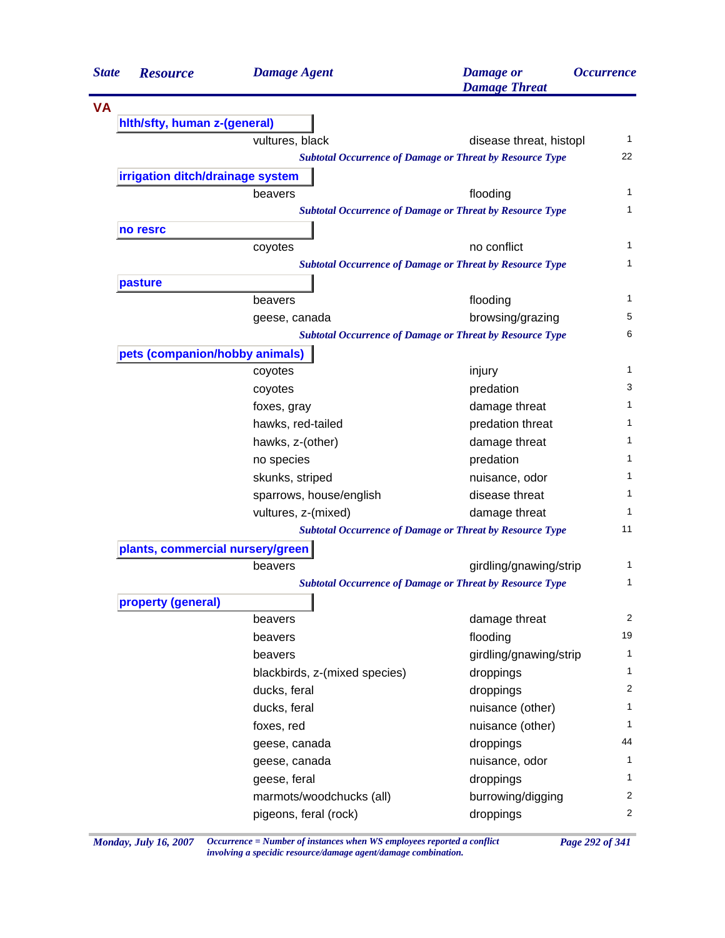| <b>State</b> | <b>Resource</b>                  | <b>Damage Agent</b>                      | <b>Damage</b> or<br><b>Damage Threat</b>                        | <i><b>Occurrence</b></i> |
|--------------|----------------------------------|------------------------------------------|-----------------------------------------------------------------|--------------------------|
|              |                                  |                                          |                                                                 |                          |
|              | hith/sfty, human z-(general)     |                                          |                                                                 |                          |
|              |                                  | vultures, black                          | disease threat, histopl                                         | 1                        |
|              |                                  |                                          | <b>Subtotal Occurrence of Damage or Threat by Resource Type</b> | 22                       |
|              | irrigation ditch/drainage system |                                          |                                                                 |                          |
|              |                                  | beavers                                  | flooding                                                        | 1                        |
|              |                                  |                                          | <b>Subtotal Occurrence of Damage or Threat by Resource Type</b> | 1                        |
|              | no resrc                         |                                          |                                                                 |                          |
|              |                                  | coyotes                                  | no conflict                                                     | 1                        |
|              |                                  |                                          | <b>Subtotal Occurrence of Damage or Threat by Resource Type</b> | 1                        |
|              | pasture                          |                                          |                                                                 |                          |
|              |                                  | beavers                                  | flooding                                                        | 1                        |
|              |                                  | geese, canada                            | browsing/grazing                                                | 5                        |
|              |                                  |                                          | <b>Subtotal Occurrence of Damage or Threat by Resource Type</b> | 6                        |
|              | pets (companion/hobby animals)   |                                          |                                                                 |                          |
|              |                                  | coyotes                                  | injury                                                          | 1                        |
|              |                                  | coyotes                                  | predation                                                       | 3                        |
|              |                                  | foxes, gray                              | damage threat                                                   | 1                        |
|              |                                  | hawks, red-tailed                        | predation threat                                                | 1                        |
|              |                                  | hawks, z-(other)                         | damage threat                                                   | 1                        |
|              |                                  | no species                               | predation                                                       | 1                        |
|              |                                  | skunks, striped                          | nuisance, odor                                                  | 1                        |
|              |                                  | sparrows, house/english                  | disease threat                                                  | 1                        |
|              |                                  | vultures, z-(mixed)                      | damage threat                                                   | 1                        |
|              |                                  |                                          | <b>Subtotal Occurrence of Damage or Threat by Resource Type</b> | 11                       |
|              | plants, commercial nursery/green |                                          |                                                                 |                          |
|              |                                  | beavers                                  | girdling/gnawing/strip                                          | 1                        |
|              |                                  |                                          | <b>Subtotal Occurrence of Damage or Threat by Resource Type</b> | 1                        |
|              | property (general)               |                                          |                                                                 |                          |
|              |                                  | beavers                                  | damage threat                                                   | 2                        |
|              |                                  | beavers                                  | flooding                                                        | 19                       |
|              |                                  | beavers                                  | girdling/gnawing/strip                                          | 1                        |
|              |                                  | blackbirds, z-(mixed species)            | droppings                                                       | 1                        |
|              |                                  | ducks, feral                             | droppings                                                       | 2                        |
|              |                                  | ducks, feral                             | nuisance (other)                                                | $\mathbf{1}$             |
|              |                                  | foxes, red                               | nuisance (other)                                                | 1                        |
|              |                                  | geese, canada                            | droppings                                                       | 44                       |
|              |                                  | geese, canada                            | nuisance, odor                                                  | 1                        |
|              |                                  |                                          | droppings                                                       | 1                        |
|              |                                  |                                          |                                                                 |                          |
|              |                                  | geese, feral<br>marmots/woodchucks (all) | burrowing/digging                                               | 2                        |

*Monday, July 16, 2007 Occurrence = Number of instances when WS employees reported a conflict Page 292 of 341 involving a specidic resource/damage agent/damage combination.*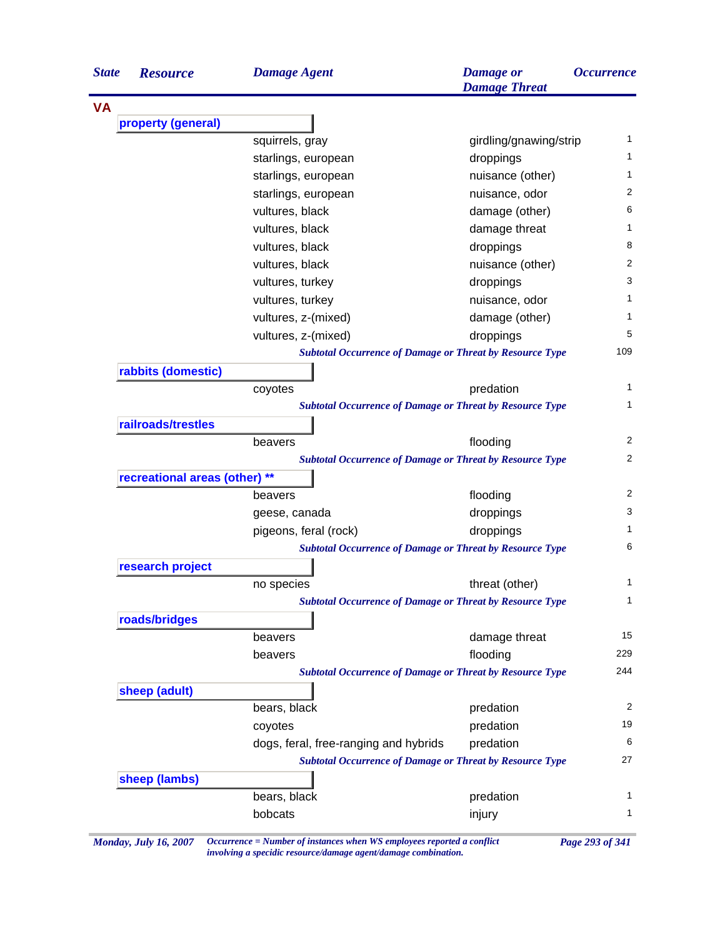|           | <b>Resource</b>               | <b>Damage Agent</b>                                             | <b>Damage</b> or<br><b>Damage Threat</b> | <i><b>Occurrence</b></i>                                        |
|-----------|-------------------------------|-----------------------------------------------------------------|------------------------------------------|-----------------------------------------------------------------|
| <b>VA</b> |                               |                                                                 |                                          |                                                                 |
|           | property (general)            |                                                                 |                                          |                                                                 |
|           |                               | squirrels, gray                                                 | girdling/gnawing/strip                   | 1                                                               |
|           |                               | starlings, european                                             | droppings                                | 1                                                               |
|           |                               | starlings, european                                             | nuisance (other)                         | 1                                                               |
|           |                               | starlings, european                                             | nuisance, odor                           | 2                                                               |
|           |                               | vultures, black                                                 | damage (other)                           | 6                                                               |
|           |                               | vultures, black                                                 | damage threat                            | 1                                                               |
|           |                               | vultures, black                                                 | droppings                                | 8                                                               |
|           |                               | vultures, black                                                 | nuisance (other)                         | 2                                                               |
|           |                               | vultures, turkey                                                | droppings                                | 3                                                               |
|           |                               | vultures, turkey                                                | nuisance, odor                           | 1                                                               |
|           |                               | vultures, z-(mixed)                                             | damage (other)                           | 1                                                               |
|           |                               | vultures, z-(mixed)                                             | droppings                                | 5                                                               |
|           |                               | <b>Subtotal Occurrence of Damage or Threat by Resource Type</b> |                                          | 109                                                             |
|           | rabbits (domestic)            |                                                                 |                                          |                                                                 |
|           |                               | coyotes                                                         | predation                                | 1                                                               |
|           |                               | <b>Subtotal Occurrence of Damage or Threat by Resource Type</b> |                                          | 1                                                               |
|           | railroads/trestles            |                                                                 |                                          |                                                                 |
|           |                               | beavers                                                         | flooding                                 | 2                                                               |
|           |                               | <b>Subtotal Occurrence of Damage or Threat by Resource Type</b> |                                          | 2                                                               |
|           | recreational areas (other) ** |                                                                 |                                          |                                                                 |
|           |                               | beavers                                                         | flooding                                 | 2                                                               |
|           |                               | geese, canada                                                   | droppings                                | 3                                                               |
|           |                               |                                                                 | droppings                                |                                                                 |
|           |                               | pigeons, feral (rock)                                           |                                          |                                                                 |
|           |                               | <b>Subtotal Occurrence of Damage or Threat by Resource Type</b> |                                          |                                                                 |
|           | research project              |                                                                 |                                          |                                                                 |
|           |                               | no species                                                      | threat (other)                           |                                                                 |
|           |                               | <b>Subtotal Occurrence of Damage or Threat by Resource Type</b> |                                          |                                                                 |
|           | roads/bridges                 |                                                                 |                                          |                                                                 |
|           |                               | beavers                                                         | damage threat                            |                                                                 |
|           |                               | beavers                                                         | flooding                                 |                                                                 |
|           |                               | <b>Subtotal Occurrence of Damage or Threat by Resource Type</b> |                                          |                                                                 |
|           |                               |                                                                 |                                          |                                                                 |
|           | sheep (adult)                 |                                                                 |                                          |                                                                 |
|           |                               | bears, black                                                    | predation                                |                                                                 |
|           |                               | coyotes                                                         | predation                                |                                                                 |
|           |                               | dogs, feral, free-ranging and hybrids                           | predation                                |                                                                 |
|           |                               | <b>Subtotal Occurrence of Damage or Threat by Resource Type</b> |                                          |                                                                 |
|           | sheep (lambs)                 | bears, black                                                    | predation                                | 1<br>6<br>1<br>1<br>15<br>229<br>244<br>2<br>19<br>6<br>27<br>1 |

*Monday, July 16, 2007 Occurrence = Number of instances when WS employees reported a conflict Page 293 of 341 involving a specidic resource/damage agent/damage combination.*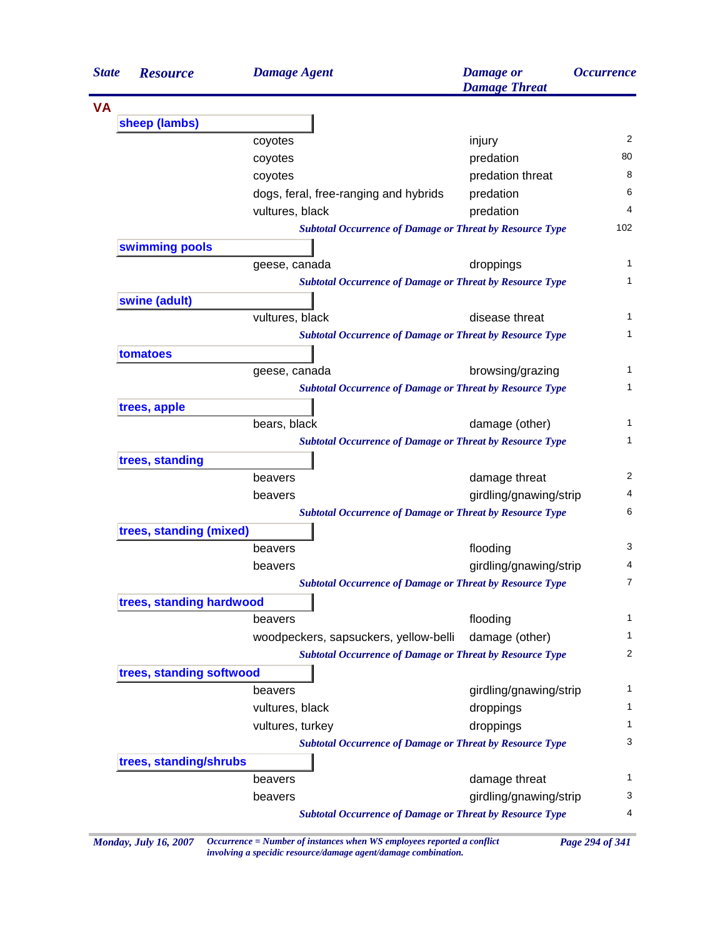| <b>State</b> | <b>Resource</b>          | <b>Damage Agent</b>                                             | <b>Damage</b> or<br><b>Damage Threat</b> | <i><b>Occurrence</b></i> |
|--------------|--------------------------|-----------------------------------------------------------------|------------------------------------------|--------------------------|
| <b>VA</b>    |                          |                                                                 |                                          |                          |
|              | sheep (lambs)            |                                                                 |                                          |                          |
|              |                          | coyotes                                                         | injury                                   | 2                        |
|              |                          | coyotes                                                         | predation                                | 80                       |
|              |                          | coyotes                                                         | predation threat                         | 8                        |
|              |                          | dogs, feral, free-ranging and hybrids                           | predation                                | 6                        |
|              |                          | vultures, black                                                 | predation                                | 4                        |
|              |                          | <b>Subtotal Occurrence of Damage or Threat by Resource Type</b> |                                          | 102                      |
|              | swimming pools           |                                                                 |                                          |                          |
|              |                          | geese, canada                                                   | droppings                                | 1                        |
|              |                          | <b>Subtotal Occurrence of Damage or Threat by Resource Type</b> |                                          | 1                        |
|              | swine (adult)            |                                                                 |                                          |                          |
|              |                          | vultures, black                                                 | disease threat                           | 1                        |
|              |                          | <b>Subtotal Occurrence of Damage or Threat by Resource Type</b> |                                          | 1                        |
|              | tomatoes                 |                                                                 |                                          |                          |
|              |                          | geese, canada                                                   | browsing/grazing                         | 1                        |
|              |                          | <b>Subtotal Occurrence of Damage or Threat by Resource Type</b> |                                          | 1                        |
|              | trees, apple             |                                                                 |                                          |                          |
|              |                          | bears, black                                                    | damage (other)                           | $\mathbf{1}$             |
|              |                          | <b>Subtotal Occurrence of Damage or Threat by Resource Type</b> |                                          | $\mathbf{1}$             |
|              | trees, standing          |                                                                 |                                          |                          |
|              |                          | beavers                                                         | damage threat                            | 2                        |
|              |                          | beavers                                                         | girdling/gnawing/strip                   | 4                        |
|              |                          | <b>Subtotal Occurrence of Damage or Threat by Resource Type</b> |                                          | 6                        |
|              | trees, standing (mixed)  |                                                                 |                                          |                          |
|              |                          | beavers                                                         | flooding                                 | 3                        |
|              |                          | beavers                                                         | girdling/gnawing/strip                   | 4                        |
|              |                          | <b>Subtotal Occurrence of Damage or Threat by Resource Type</b> |                                          | $\overline{7}$           |
|              | trees, standing hardwood |                                                                 |                                          |                          |
|              |                          | beavers                                                         | flooding                                 | 1                        |
|              |                          | woodpeckers, sapsuckers, yellow-belli                           | damage (other)                           | 1                        |
|              |                          | <b>Subtotal Occurrence of Damage or Threat by Resource Type</b> |                                          | 2                        |
|              | trees, standing softwood |                                                                 |                                          |                          |
|              |                          | beavers                                                         | girdling/gnawing/strip                   | 1                        |
|              |                          | vultures, black                                                 | droppings                                | 1                        |
|              |                          | vultures, turkey                                                | droppings                                | 1                        |
|              |                          | <b>Subtotal Occurrence of Damage or Threat by Resource Type</b> |                                          | 3                        |
|              | trees, standing/shrubs   |                                                                 |                                          |                          |
|              |                          | beavers                                                         | damage threat                            | 1                        |
|              |                          | beavers                                                         | girdling/gnawing/strip                   | 3                        |
|              |                          | <b>Subtotal Occurrence of Damage or Threat by Resource Type</b> |                                          | 4                        |

*Monday, July 16, 2007 Occurrence = Number of instances when WS employees reported a conflict Page 294 of 341 involving a specidic resource/damage agent/damage combination.*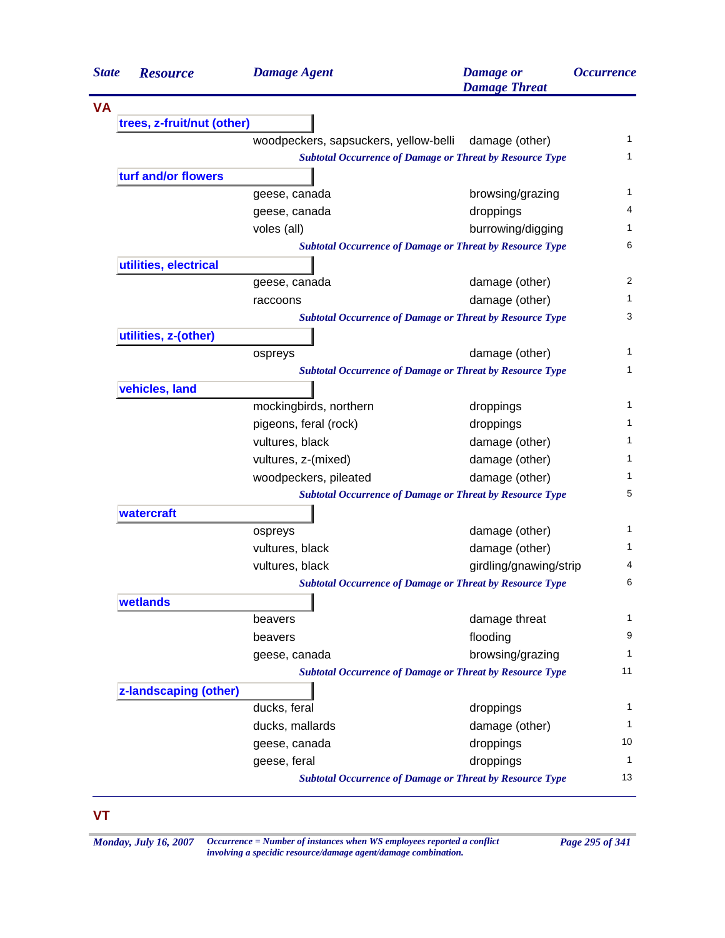| <b>State</b><br><b>Resource</b> | <b>Damage Agent</b>                                             | <b>Damage</b> or<br><b>Damage Threat</b> | <b>Occurrence</b> |
|---------------------------------|-----------------------------------------------------------------|------------------------------------------|-------------------|
|                                 |                                                                 |                                          |                   |
| trees, z-fruit/nut (other)      |                                                                 |                                          |                   |
|                                 | woodpeckers, sapsuckers, yellow-belli                           | damage (other)                           | $\mathbf{1}$      |
|                                 | <b>Subtotal Occurrence of Damage or Threat by Resource Type</b> |                                          | $\mathbf{1}$      |
| turf and/or flowers             |                                                                 |                                          |                   |
|                                 | geese, canada                                                   | browsing/grazing                         | 1                 |
|                                 | geese, canada                                                   | droppings                                | 4                 |
|                                 | voles (all)                                                     | burrowing/digging                        | 1                 |
|                                 | <b>Subtotal Occurrence of Damage or Threat by Resource Type</b> |                                          | 6                 |
| utilities, electrical           |                                                                 |                                          |                   |
|                                 | geese, canada                                                   | damage (other)                           | 2                 |
|                                 | raccoons                                                        | damage (other)                           | 1                 |
|                                 | <b>Subtotal Occurrence of Damage or Threat by Resource Type</b> |                                          | 3                 |
| utilities, z-(other)            |                                                                 |                                          |                   |
|                                 | ospreys                                                         | damage (other)                           | 1                 |
|                                 | <b>Subtotal Occurrence of Damage or Threat by Resource Type</b> |                                          | 1                 |
| vehicles, land                  |                                                                 |                                          |                   |
|                                 | mockingbirds, northern                                          | droppings                                | 1                 |
|                                 | pigeons, feral (rock)                                           | droppings                                | 1                 |
|                                 | vultures, black                                                 | damage (other)                           | 1                 |
|                                 | vultures, z-(mixed)                                             | damage (other)                           | 1                 |
|                                 | woodpeckers, pileated                                           | damage (other)                           | 1                 |
|                                 | <b>Subtotal Occurrence of Damage or Threat by Resource Type</b> |                                          | 5                 |
| watercraft                      |                                                                 |                                          |                   |
|                                 | ospreys                                                         | damage (other)                           | 1                 |
|                                 | vultures, black                                                 | damage (other)                           | 1                 |
|                                 | vultures, black                                                 | girdling/gnawing/strip                   | 4                 |
|                                 | <b>Subtotal Occurrence of Damage or Threat by Resource Type</b> |                                          | 6                 |
| wetlands                        |                                                                 |                                          |                   |
|                                 | beavers                                                         | damage threat                            | 1                 |
|                                 | beavers                                                         | flooding                                 | 9                 |
|                                 | geese, canada                                                   | browsing/grazing                         | 1                 |
|                                 | <b>Subtotal Occurrence of Damage or Threat by Resource Type</b> |                                          | 11                |
| z-landscaping (other)           |                                                                 |                                          |                   |
|                                 | ducks, feral                                                    | droppings                                | 1                 |
|                                 | ducks, mallards                                                 | damage (other)                           | 1                 |
|                                 | geese, canada                                                   | droppings                                | 10                |
|                                 | geese, feral                                                    | droppings                                | 1                 |
|                                 | <b>Subtotal Occurrence of Damage or Threat by Resource Type</b> |                                          | 13                |

## **VT**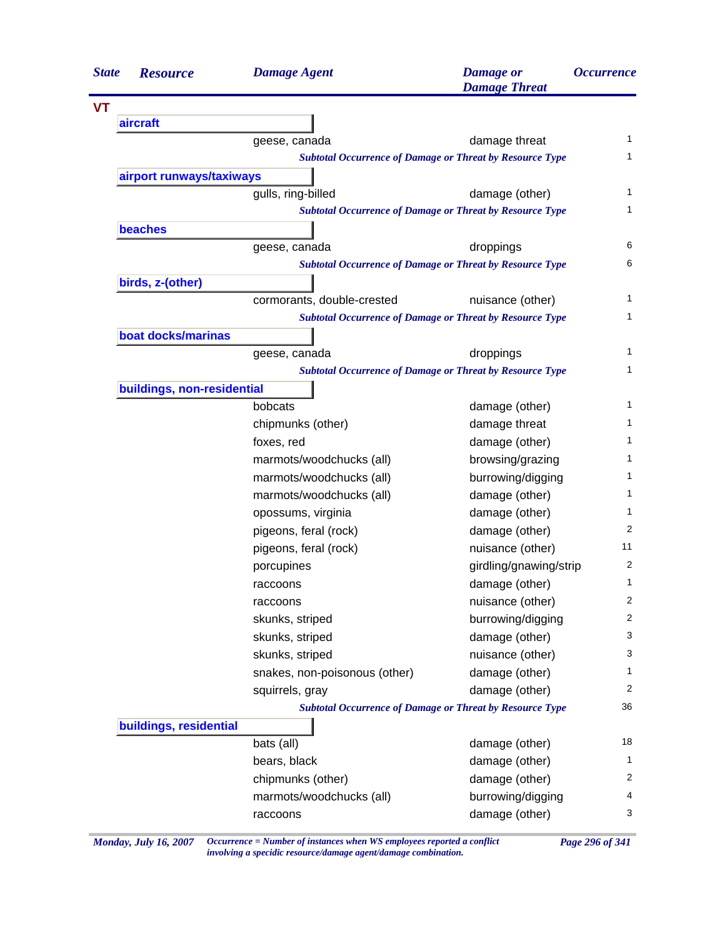| <b>State</b> | <b>Resource</b>            | <b>Damage Agent</b>           | <b>Damage</b> or<br><b>Damage Threat</b>                        | <i><b>Occurrence</b></i> |
|--------------|----------------------------|-------------------------------|-----------------------------------------------------------------|--------------------------|
|              |                            |                               |                                                                 |                          |
|              | aircraft                   |                               |                                                                 |                          |
|              |                            | geese, canada                 | damage threat                                                   | 1                        |
|              |                            |                               | <b>Subtotal Occurrence of Damage or Threat by Resource Type</b> | 1                        |
|              | airport runways/taxiways   |                               |                                                                 |                          |
|              |                            | gulls, ring-billed            | damage (other)                                                  | 1                        |
|              |                            |                               | <b>Subtotal Occurrence of Damage or Threat by Resource Type</b> | 1                        |
|              | <b>beaches</b>             |                               |                                                                 |                          |
|              |                            | geese, canada                 | droppings                                                       | 6                        |
|              |                            |                               | <b>Subtotal Occurrence of Damage or Threat by Resource Type</b> | 6                        |
|              | birds, z-(other)           |                               |                                                                 |                          |
|              |                            | cormorants, double-crested    | nuisance (other)                                                | 1                        |
|              |                            |                               | <b>Subtotal Occurrence of Damage or Threat by Resource Type</b> | 1                        |
|              | boat docks/marinas         |                               |                                                                 |                          |
|              |                            | geese, canada                 | droppings                                                       | 1                        |
|              |                            |                               | <b>Subtotal Occurrence of Damage or Threat by Resource Type</b> | 1                        |
|              | buildings, non-residential |                               |                                                                 |                          |
|              |                            | bobcats                       | damage (other)                                                  | 1                        |
|              |                            | chipmunks (other)             | damage threat                                                   | 1                        |
|              |                            | foxes, red                    | damage (other)                                                  | 1                        |
|              |                            | marmots/woodchucks (all)      | browsing/grazing                                                | 1                        |
|              |                            | marmots/woodchucks (all)      | burrowing/digging                                               | 1                        |
|              |                            | marmots/woodchucks (all)      | damage (other)                                                  | 1                        |
|              |                            | opossums, virginia            | damage (other)                                                  | 1                        |
|              |                            | pigeons, feral (rock)         | damage (other)                                                  | 2                        |
|              |                            | pigeons, feral (rock)         | nuisance (other)                                                | 11                       |
|              |                            | porcupines                    | girdling/gnawing/strip                                          | 2                        |
|              |                            | raccoons                      | damage (other)                                                  | 1                        |
|              |                            | raccoons                      | nuisance (other)                                                | 2                        |
|              |                            | skunks, striped               | burrowing/digging                                               | 2                        |
|              |                            | skunks, striped               | damage (other)                                                  | 3                        |
|              |                            | skunks, striped               | nuisance (other)                                                | 3                        |
|              |                            | snakes, non-poisonous (other) | damage (other)                                                  | 1                        |
|              |                            | squirrels, gray               | damage (other)                                                  | 2                        |
|              |                            |                               | <b>Subtotal Occurrence of Damage or Threat by Resource Type</b> | 36                       |
|              | buildings, residential     |                               |                                                                 |                          |
|              |                            | bats (all)                    | damage (other)                                                  | 18                       |
|              |                            | bears, black                  | damage (other)                                                  | 1                        |
|              |                            | chipmunks (other)             | damage (other)                                                  | 2                        |
|              |                            |                               |                                                                 | 4                        |
|              |                            | marmots/woodchucks (all)      | burrowing/digging                                               | 3                        |
|              |                            | raccoons                      | damage (other)                                                  |                          |

*Monday, July 16, 2007 Occurrence = Number of instances when WS employees reported a conflict Page 296 of 341 involving a specidic resource/damage agent/damage combination.*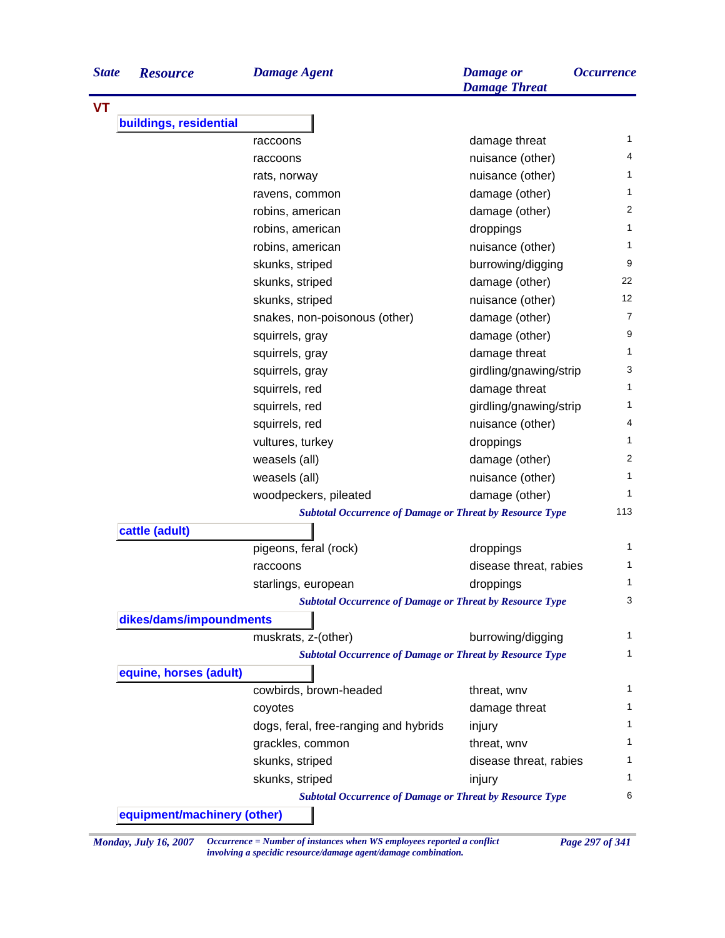| buildings, residential | raccoons<br>raccoons<br>rats, norway<br>ravens, common<br>robins, american<br>robins, american<br>robins, american<br>skunks, striped<br>skunks, striped<br>skunks, striped | damage threat<br>nuisance (other)<br>nuisance (other)<br>damage (other)<br>damage (other)<br>droppings<br>nuisance (other)<br>burrowing/digging<br>damage (other)<br>nuisance (other)                                                                                                                                                                                                                                         | 1.<br>4<br>1<br>1<br>2<br>$\mathbf{1}$<br>1<br>9<br>22                                                                                                                                                                                                                                                                                                                                                                                                                                                                                                                                                       |
|------------------------|-----------------------------------------------------------------------------------------------------------------------------------------------------------------------------|-------------------------------------------------------------------------------------------------------------------------------------------------------------------------------------------------------------------------------------------------------------------------------------------------------------------------------------------------------------------------------------------------------------------------------|--------------------------------------------------------------------------------------------------------------------------------------------------------------------------------------------------------------------------------------------------------------------------------------------------------------------------------------------------------------------------------------------------------------------------------------------------------------------------------------------------------------------------------------------------------------------------------------------------------------|
|                        |                                                                                                                                                                             |                                                                                                                                                                                                                                                                                                                                                                                                                               |                                                                                                                                                                                                                                                                                                                                                                                                                                                                                                                                                                                                              |
|                        |                                                                                                                                                                             |                                                                                                                                                                                                                                                                                                                                                                                                                               |                                                                                                                                                                                                                                                                                                                                                                                                                                                                                                                                                                                                              |
|                        |                                                                                                                                                                             |                                                                                                                                                                                                                                                                                                                                                                                                                               |                                                                                                                                                                                                                                                                                                                                                                                                                                                                                                                                                                                                              |
|                        |                                                                                                                                                                             |                                                                                                                                                                                                                                                                                                                                                                                                                               |                                                                                                                                                                                                                                                                                                                                                                                                                                                                                                                                                                                                              |
|                        |                                                                                                                                                                             |                                                                                                                                                                                                                                                                                                                                                                                                                               |                                                                                                                                                                                                                                                                                                                                                                                                                                                                                                                                                                                                              |
|                        |                                                                                                                                                                             |                                                                                                                                                                                                                                                                                                                                                                                                                               |                                                                                                                                                                                                                                                                                                                                                                                                                                                                                                                                                                                                              |
|                        |                                                                                                                                                                             |                                                                                                                                                                                                                                                                                                                                                                                                                               |                                                                                                                                                                                                                                                                                                                                                                                                                                                                                                                                                                                                              |
|                        |                                                                                                                                                                             |                                                                                                                                                                                                                                                                                                                                                                                                                               |                                                                                                                                                                                                                                                                                                                                                                                                                                                                                                                                                                                                              |
|                        |                                                                                                                                                                             |                                                                                                                                                                                                                                                                                                                                                                                                                               |                                                                                                                                                                                                                                                                                                                                                                                                                                                                                                                                                                                                              |
|                        |                                                                                                                                                                             |                                                                                                                                                                                                                                                                                                                                                                                                                               |                                                                                                                                                                                                                                                                                                                                                                                                                                                                                                                                                                                                              |
|                        |                                                                                                                                                                             |                                                                                                                                                                                                                                                                                                                                                                                                                               |                                                                                                                                                                                                                                                                                                                                                                                                                                                                                                                                                                                                              |
|                        |                                                                                                                                                                             |                                                                                                                                                                                                                                                                                                                                                                                                                               | 12                                                                                                                                                                                                                                                                                                                                                                                                                                                                                                                                                                                                           |
|                        | snakes, non-poisonous (other)                                                                                                                                               | damage (other)                                                                                                                                                                                                                                                                                                                                                                                                                | 7                                                                                                                                                                                                                                                                                                                                                                                                                                                                                                                                                                                                            |
|                        | squirrels, gray                                                                                                                                                             | damage (other)                                                                                                                                                                                                                                                                                                                                                                                                                | 9                                                                                                                                                                                                                                                                                                                                                                                                                                                                                                                                                                                                            |
|                        | squirrels, gray                                                                                                                                                             | damage threat                                                                                                                                                                                                                                                                                                                                                                                                                 | 1.                                                                                                                                                                                                                                                                                                                                                                                                                                                                                                                                                                                                           |
|                        |                                                                                                                                                                             |                                                                                                                                                                                                                                                                                                                                                                                                                               | 3                                                                                                                                                                                                                                                                                                                                                                                                                                                                                                                                                                                                            |
|                        |                                                                                                                                                                             |                                                                                                                                                                                                                                                                                                                                                                                                                               | 1                                                                                                                                                                                                                                                                                                                                                                                                                                                                                                                                                                                                            |
|                        |                                                                                                                                                                             |                                                                                                                                                                                                                                                                                                                                                                                                                               | 1                                                                                                                                                                                                                                                                                                                                                                                                                                                                                                                                                                                                            |
|                        |                                                                                                                                                                             |                                                                                                                                                                                                                                                                                                                                                                                                                               | 4                                                                                                                                                                                                                                                                                                                                                                                                                                                                                                                                                                                                            |
|                        |                                                                                                                                                                             |                                                                                                                                                                                                                                                                                                                                                                                                                               | 1                                                                                                                                                                                                                                                                                                                                                                                                                                                                                                                                                                                                            |
|                        |                                                                                                                                                                             |                                                                                                                                                                                                                                                                                                                                                                                                                               | 2                                                                                                                                                                                                                                                                                                                                                                                                                                                                                                                                                                                                            |
|                        |                                                                                                                                                                             |                                                                                                                                                                                                                                                                                                                                                                                                                               | 1                                                                                                                                                                                                                                                                                                                                                                                                                                                                                                                                                                                                            |
|                        |                                                                                                                                                                             |                                                                                                                                                                                                                                                                                                                                                                                                                               | 1.                                                                                                                                                                                                                                                                                                                                                                                                                                                                                                                                                                                                           |
|                        |                                                                                                                                                                             |                                                                                                                                                                                                                                                                                                                                                                                                                               | 113                                                                                                                                                                                                                                                                                                                                                                                                                                                                                                                                                                                                          |
|                        |                                                                                                                                                                             |                                                                                                                                                                                                                                                                                                                                                                                                                               |                                                                                                                                                                                                                                                                                                                                                                                                                                                                                                                                                                                                              |
|                        |                                                                                                                                                                             |                                                                                                                                                                                                                                                                                                                                                                                                                               | 1                                                                                                                                                                                                                                                                                                                                                                                                                                                                                                                                                                                                            |
|                        | raccoons                                                                                                                                                                    |                                                                                                                                                                                                                                                                                                                                                                                                                               | 1.                                                                                                                                                                                                                                                                                                                                                                                                                                                                                                                                                                                                           |
|                        |                                                                                                                                                                             |                                                                                                                                                                                                                                                                                                                                                                                                                               | 1                                                                                                                                                                                                                                                                                                                                                                                                                                                                                                                                                                                                            |
|                        |                                                                                                                                                                             |                                                                                                                                                                                                                                                                                                                                                                                                                               | 3                                                                                                                                                                                                                                                                                                                                                                                                                                                                                                                                                                                                            |
|                        |                                                                                                                                                                             |                                                                                                                                                                                                                                                                                                                                                                                                                               |                                                                                                                                                                                                                                                                                                                                                                                                                                                                                                                                                                                                              |
|                        |                                                                                                                                                                             |                                                                                                                                                                                                                                                                                                                                                                                                                               | 1                                                                                                                                                                                                                                                                                                                                                                                                                                                                                                                                                                                                            |
|                        |                                                                                                                                                                             |                                                                                                                                                                                                                                                                                                                                                                                                                               | 1                                                                                                                                                                                                                                                                                                                                                                                                                                                                                                                                                                                                            |
|                        |                                                                                                                                                                             |                                                                                                                                                                                                                                                                                                                                                                                                                               |                                                                                                                                                                                                                                                                                                                                                                                                                                                                                                                                                                                                              |
|                        |                                                                                                                                                                             |                                                                                                                                                                                                                                                                                                                                                                                                                               | 1.                                                                                                                                                                                                                                                                                                                                                                                                                                                                                                                                                                                                           |
|                        |                                                                                                                                                                             |                                                                                                                                                                                                                                                                                                                                                                                                                               | 1                                                                                                                                                                                                                                                                                                                                                                                                                                                                                                                                                                                                            |
|                        |                                                                                                                                                                             |                                                                                                                                                                                                                                                                                                                                                                                                                               | 1.                                                                                                                                                                                                                                                                                                                                                                                                                                                                                                                                                                                                           |
|                        |                                                                                                                                                                             |                                                                                                                                                                                                                                                                                                                                                                                                                               | 1.                                                                                                                                                                                                                                                                                                                                                                                                                                                                                                                                                                                                           |
|                        |                                                                                                                                                                             |                                                                                                                                                                                                                                                                                                                                                                                                                               | 1.                                                                                                                                                                                                                                                                                                                                                                                                                                                                                                                                                                                                           |
|                        |                                                                                                                                                                             |                                                                                                                                                                                                                                                                                                                                                                                                                               | 1.                                                                                                                                                                                                                                                                                                                                                                                                                                                                                                                                                                                                           |
|                        |                                                                                                                                                                             |                                                                                                                                                                                                                                                                                                                                                                                                                               |                                                                                                                                                                                                                                                                                                                                                                                                                                                                                                                                                                                                              |
|                        |                                                                                                                                                                             |                                                                                                                                                                                                                                                                                                                                                                                                                               | 6                                                                                                                                                                                                                                                                                                                                                                                                                                                                                                                                                                                                            |
|                        | cattle (adult)<br>equine, horses (adult)                                                                                                                                    | squirrels, gray<br>squirrels, red<br>squirrels, red<br>squirrels, red<br>vultures, turkey<br>weasels (all)<br>weasels (all)<br>woodpeckers, pileated<br>pigeons, feral (rock)<br>starlings, european<br>dikes/dams/impoundments<br>muskrats, z-(other)<br>cowbirds, brown-headed<br>coyotes<br>dogs, feral, free-ranging and hybrids<br>grackles, common<br>skunks, striped<br>skunks, striped<br>equipment/machinery (other) | girdling/gnawing/strip<br>damage threat<br>girdling/gnawing/strip<br>nuisance (other)<br>droppings<br>damage (other)<br>nuisance (other)<br>damage (other)<br><b>Subtotal Occurrence of Damage or Threat by Resource Type</b><br>droppings<br>disease threat, rabies<br>droppings<br><b>Subtotal Occurrence of Damage or Threat by Resource Type</b><br>burrowing/digging<br><b>Subtotal Occurrence of Damage or Threat by Resource Type</b><br>threat, wnv<br>damage threat<br>injury<br>threat, wnv<br>disease threat, rabies<br>injury<br><b>Subtotal Occurrence of Damage or Threat by Resource Type</b> |

*Monday, July 16, 2007 Occurrence = Number of instances when WS employees reported a conflict Page 297 of 341 involving a specidic resource/damage agent/damage combination.*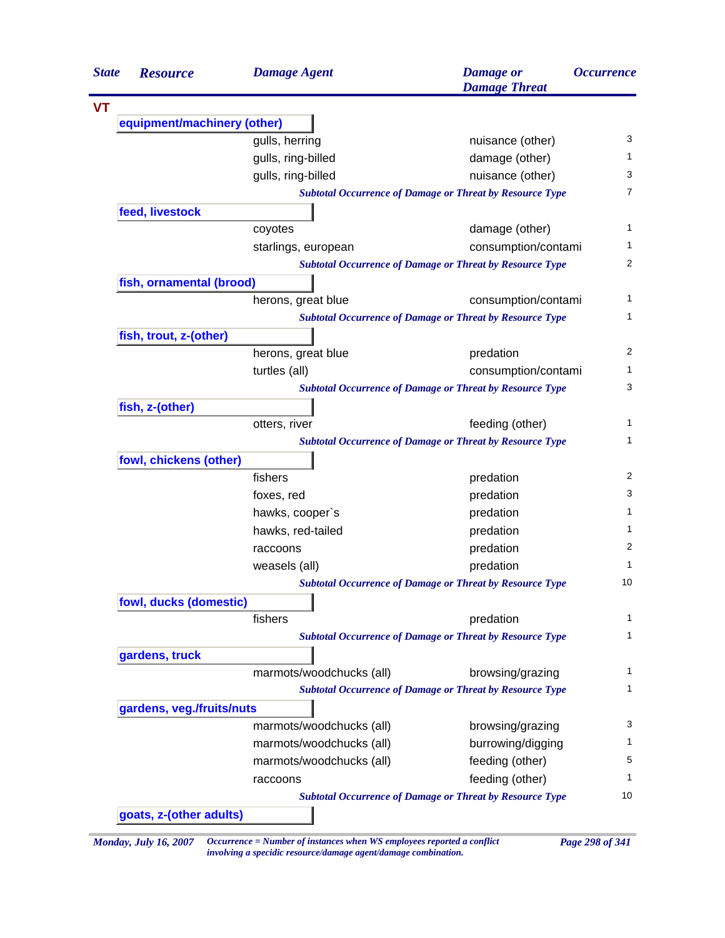| <b>State</b> | <b>Resource</b>             | <b>Damage Agent</b>      | <b>Damage</b> or<br><b>Damage Threat</b>                        | <b>Occurrence</b> |
|--------------|-----------------------------|--------------------------|-----------------------------------------------------------------|-------------------|
|              |                             |                          |                                                                 |                   |
|              | equipment/machinery (other) |                          |                                                                 |                   |
|              |                             | gulls, herring           | nuisance (other)                                                | 3                 |
|              |                             | gulls, ring-billed       | damage (other)                                                  | 1                 |
|              |                             | gulls, ring-billed       | nuisance (other)                                                | 3                 |
|              |                             |                          | <b>Subtotal Occurrence of Damage or Threat by Resource Type</b> | 7                 |
|              | feed, livestock             |                          |                                                                 |                   |
|              |                             | coyotes                  | damage (other)                                                  | 1                 |
|              |                             | starlings, european      | consumption/contami                                             | 1                 |
|              |                             |                          | <b>Subtotal Occurrence of Damage or Threat by Resource Type</b> | 2                 |
|              | fish, ornamental (brood)    |                          |                                                                 |                   |
|              |                             | herons, great blue       | consumption/contami                                             | 1                 |
|              |                             |                          | <b>Subtotal Occurrence of Damage or Threat by Resource Type</b> | 1                 |
|              | fish, trout, z-(other)      |                          |                                                                 |                   |
|              |                             | herons, great blue       | predation                                                       | 2                 |
|              |                             | turtles (all)            | consumption/contami                                             | 1                 |
|              |                             |                          | <b>Subtotal Occurrence of Damage or Threat by Resource Type</b> | 3                 |
|              | fish, z-(other)             |                          |                                                                 |                   |
|              |                             | otters, river            | feeding (other)                                                 | 1                 |
|              |                             |                          | <b>Subtotal Occurrence of Damage or Threat by Resource Type</b> | 1                 |
|              | fowl, chickens (other)      |                          |                                                                 |                   |
|              |                             | fishers                  | predation                                                       | 2                 |
|              |                             | foxes, red               | predation                                                       | 3                 |
|              |                             | hawks, cooper's          | predation                                                       | 1                 |
|              |                             | hawks, red-tailed        | predation                                                       | 1                 |
|              |                             | raccoons                 | predation                                                       | 2                 |
|              |                             | weasels (all)            | predation                                                       | 1                 |
|              |                             |                          | <b>Subtotal Occurrence of Damage or Threat by Resource Type</b> | 10                |
|              | fowl, ducks (domestic)      |                          |                                                                 |                   |
|              |                             | fishers                  | predation                                                       | 1                 |
|              |                             |                          | <b>Subtotal Occurrence of Damage or Threat by Resource Type</b> | 1                 |
|              | gardens, truck              |                          |                                                                 |                   |
|              |                             | marmots/woodchucks (all) | browsing/grazing                                                | 1                 |
|              |                             |                          | <b>Subtotal Occurrence of Damage or Threat by Resource Type</b> | 1                 |
|              | gardens, veg./fruits/nuts   |                          |                                                                 |                   |
|              |                             | marmots/woodchucks (all) | browsing/grazing                                                | 3                 |
|              |                             | marmots/woodchucks (all) | burrowing/digging                                               | 1                 |
|              |                             | marmots/woodchucks (all) | feeding (other)                                                 | 5                 |
|              |                             | raccoons                 | feeding (other)                                                 | 1                 |
|              |                             |                          | <b>Subtotal Occurrence of Damage or Threat by Resource Type</b> | 10                |

*Monday, July 16, 2007 Occurrence = Number of instances when WS employees reported a conflict Page 298 of 341 involving a specidic resource/damage agent/damage combination.*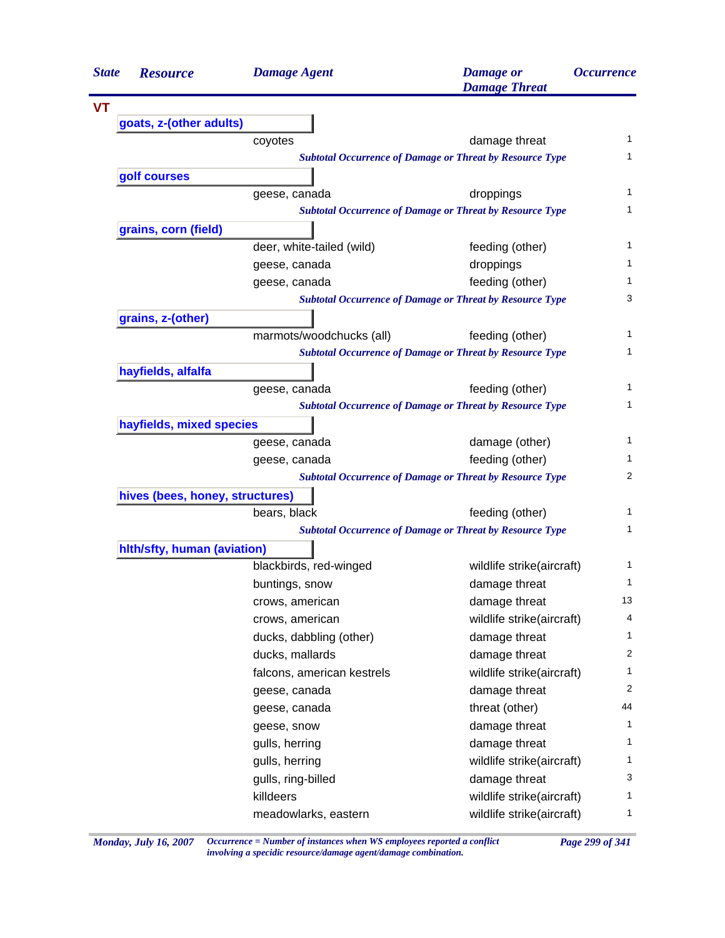| <b>State</b> | <b>Resource</b>                 | <b>Damage Agent</b>        | <b>Damage</b> or<br><b>Damage Threat</b>                        | <i><b>Occurrence</b></i> |
|--------------|---------------------------------|----------------------------|-----------------------------------------------------------------|--------------------------|
| <b>VT</b>    |                                 |                            |                                                                 |                          |
|              | goats, z-(other adults)         |                            |                                                                 |                          |
|              |                                 | coyotes                    | damage threat                                                   | 1                        |
|              |                                 |                            | <b>Subtotal Occurrence of Damage or Threat by Resource Type</b> | 1                        |
|              | golf courses                    |                            |                                                                 |                          |
|              |                                 | geese, canada              | droppings                                                       | 1                        |
|              |                                 |                            | <b>Subtotal Occurrence of Damage or Threat by Resource Type</b> | 1                        |
|              | grains, corn (field)            |                            |                                                                 |                          |
|              |                                 | deer, white-tailed (wild)  | feeding (other)                                                 | 1                        |
|              |                                 | geese, canada              | droppings                                                       | 1                        |
|              |                                 | geese, canada              | feeding (other)                                                 | 1                        |
|              |                                 |                            | <b>Subtotal Occurrence of Damage or Threat by Resource Type</b> | 3                        |
|              | grains, z-(other)               |                            |                                                                 |                          |
|              |                                 | marmots/woodchucks (all)   | feeding (other)                                                 | 1                        |
|              |                                 |                            | <b>Subtotal Occurrence of Damage or Threat by Resource Type</b> | 1                        |
|              | hayfields, alfalfa              |                            |                                                                 |                          |
|              |                                 | geese, canada              | feeding (other)                                                 | 1                        |
|              |                                 |                            | <b>Subtotal Occurrence of Damage or Threat by Resource Type</b> | 1                        |
|              | hayfields, mixed species        |                            |                                                                 |                          |
|              |                                 | geese, canada              | damage (other)                                                  | 1                        |
|              |                                 | geese, canada              | feeding (other)                                                 | 1                        |
|              |                                 |                            | <b>Subtotal Occurrence of Damage or Threat by Resource Type</b> | 2                        |
|              | hives (bees, honey, structures) |                            |                                                                 |                          |
|              |                                 | bears, black               | feeding (other)                                                 | 1                        |
|              |                                 |                            | <b>Subtotal Occurrence of Damage or Threat by Resource Type</b> | 1                        |
|              | hith/sfty, human (aviation)     |                            |                                                                 |                          |
|              |                                 | blackbirds, red-winged     | wildlife strike(aircraft)                                       | 1                        |
|              |                                 | buntings, snow             | damage threat                                                   | 1                        |
|              |                                 | crows, american            | damage threat                                                   | 13                       |
|              |                                 | crows, american            | wildlife strike(aircraft)                                       | 4                        |
|              |                                 | ducks, dabbling (other)    | damage threat                                                   | 1                        |
|              |                                 | ducks, mallards            | damage threat                                                   | $\overline{2}$           |
|              |                                 | falcons, american kestrels | wildlife strike(aircraft)                                       | 1                        |
|              |                                 | geese, canada              | damage threat                                                   | 2                        |
|              |                                 | geese, canada              | threat (other)                                                  | 44                       |
|              |                                 | geese, snow                | damage threat                                                   | 1                        |
|              |                                 | gulls, herring             | damage threat                                                   | 1                        |
|              |                                 | gulls, herring             | wildlife strike(aircraft)                                       | 1                        |
|              |                                 | gulls, ring-billed         | damage threat                                                   | 3                        |
|              |                                 | killdeers                  | wildlife strike(aircraft)                                       | 1                        |
|              |                                 | meadowlarks, eastern       | wildlife strike(aircraft)                                       | $\mathbf{1}$             |

*Monday, July 16, 2007 Occurrence = Number of instances when WS employees reported a conflict Page 299 of 341 involving a specidic resource/damage agent/damage combination.*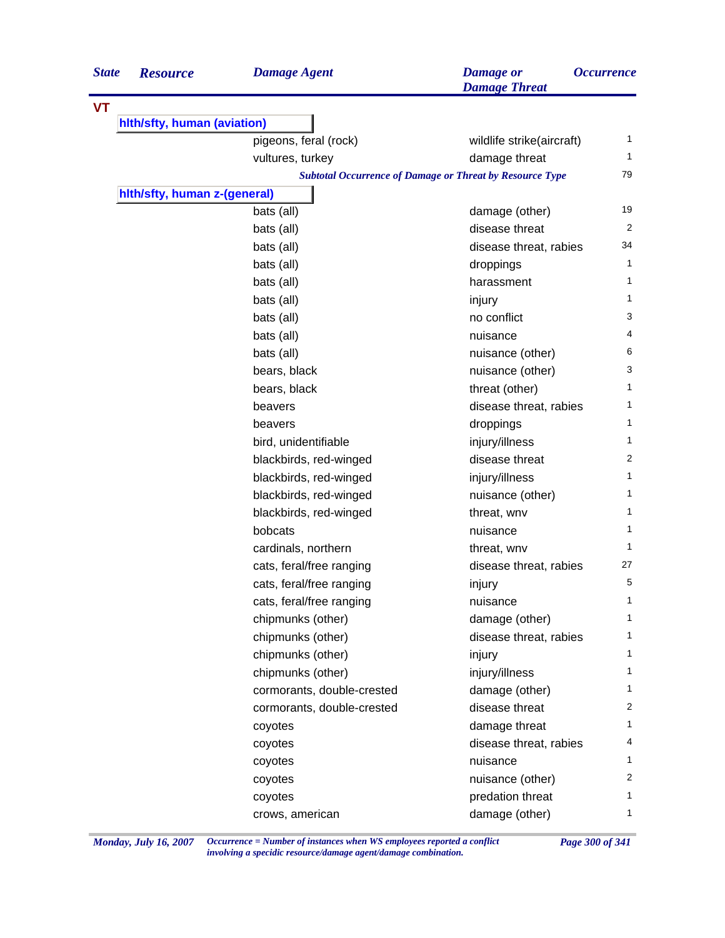| <b>State</b> | <b>Resource</b>              | <b>Damage Agent</b>        | <b>Damage</b> or<br><b>Damage Threat</b>                        | <i><b>Occurrence</b></i> |
|--------------|------------------------------|----------------------------|-----------------------------------------------------------------|--------------------------|
| <b>VT</b>    |                              |                            |                                                                 |                          |
|              | hith/sfty, human (aviation)  |                            |                                                                 |                          |
|              |                              | pigeons, feral (rock)      | wildlife strike(aircraft)                                       | 1                        |
|              |                              | vultures, turkey           | damage threat                                                   | 1                        |
|              |                              |                            | <b>Subtotal Occurrence of Damage or Threat by Resource Type</b> | 79                       |
|              | hith/sfty, human z-(general) |                            |                                                                 |                          |
|              |                              | bats (all)                 | damage (other)                                                  | 19                       |
|              |                              | bats (all)                 | disease threat                                                  | 2                        |
|              |                              | bats (all)                 | disease threat, rabies                                          | 34                       |
|              |                              | bats (all)                 | droppings                                                       | $\mathbf{1}$             |
|              |                              | bats (all)                 | harassment                                                      | 1                        |
|              |                              | bats (all)                 | injury                                                          | 1                        |
|              |                              | bats (all)                 | no conflict                                                     | 3                        |
|              |                              | bats (all)                 | nuisance                                                        | 4                        |
|              |                              | bats (all)                 | nuisance (other)                                                | 6                        |
|              |                              | bears, black               | nuisance (other)                                                | 3                        |
|              |                              | bears, black               | threat (other)                                                  | 1                        |
|              |                              | beavers                    | disease threat, rabies                                          | 1                        |
|              |                              | beavers                    | droppings                                                       | $\mathbf{1}$             |
|              |                              | bird, unidentifiable       | injury/illness                                                  | 1                        |
|              |                              | blackbirds, red-winged     | disease threat                                                  | 2                        |
|              |                              | blackbirds, red-winged     | injury/illness                                                  | 1                        |
|              |                              | blackbirds, red-winged     | nuisance (other)                                                | 1                        |
|              |                              | blackbirds, red-winged     | threat, wnv                                                     | 1                        |
|              |                              | bobcats                    | nuisance                                                        | 1                        |
|              |                              | cardinals, northern        | threat, wnv                                                     | 1                        |
|              |                              | cats, feral/free ranging   | disease threat, rabies                                          | 27                       |
|              |                              | cats, feral/free ranging   | injury                                                          | 5                        |
|              |                              | cats, feral/free ranging   | nuisance                                                        | 1                        |
|              |                              | chipmunks (other)          | damage (other)                                                  | 1                        |
|              |                              | chipmunks (other)          | disease threat, rabies                                          | 1                        |
|              |                              | chipmunks (other)          | injury                                                          | 1                        |
|              |                              | chipmunks (other)          | injury/illness                                                  | 1                        |
|              |                              | cormorants, double-crested | damage (other)                                                  | 1                        |
|              |                              | cormorants, double-crested | disease threat                                                  | 2                        |
|              |                              | coyotes                    | damage threat                                                   | 1                        |
|              |                              | coyotes                    | disease threat, rabies                                          | 4                        |
|              |                              | coyotes                    | nuisance                                                        | $\mathbf{1}$             |
|              |                              | coyotes                    | nuisance (other)                                                | $\overline{2}$           |
|              |                              | coyotes                    | predation threat                                                | 1                        |
|              |                              | crows, american            | damage (other)                                                  | 1                        |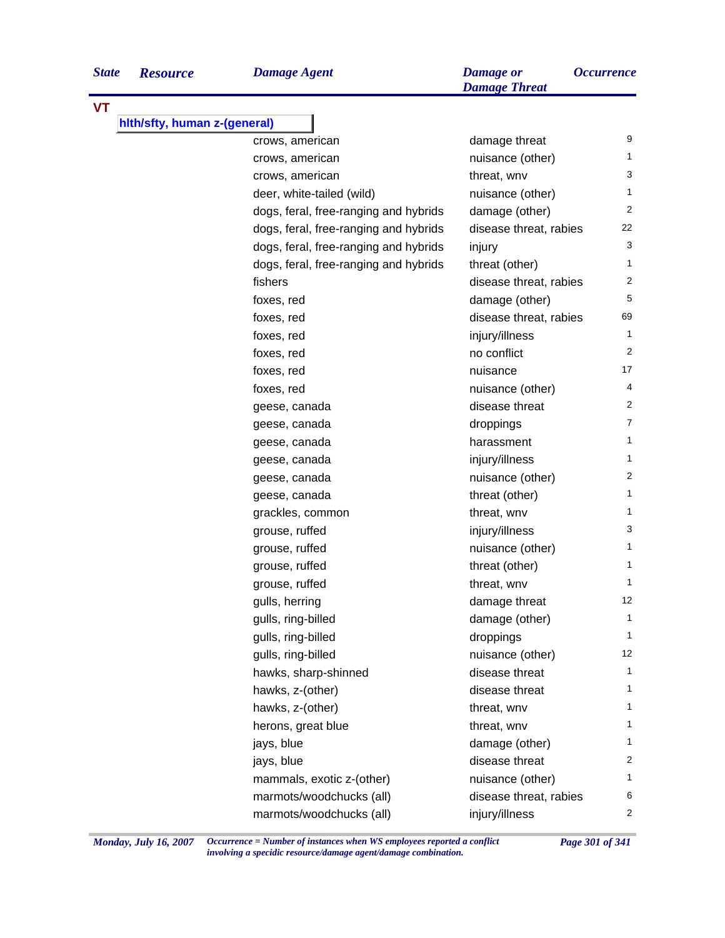| <b>VT</b>                    |                                       |                        |                |
|------------------------------|---------------------------------------|------------------------|----------------|
| hith/sfty, human z-(general) |                                       |                        |                |
|                              | crows, american                       | damage threat          | 9              |
|                              | crows, american                       | nuisance (other)       | 1              |
|                              | crows, american                       | threat, wnv            | 3              |
|                              | deer, white-tailed (wild)             | nuisance (other)       | $\mathbf{1}$   |
|                              | dogs, feral, free-ranging and hybrids | damage (other)         | $\overline{2}$ |
|                              | dogs, feral, free-ranging and hybrids | disease threat, rabies | 22             |
|                              | dogs, feral, free-ranging and hybrids | injury                 | 3              |
|                              | dogs, feral, free-ranging and hybrids | threat (other)         | 1              |
|                              | fishers                               | disease threat, rabies | $\overline{c}$ |
|                              | foxes, red                            | damage (other)         | 5              |
|                              | foxes, red                            | disease threat, rabies | 69             |
|                              | foxes, red                            | injury/illness         | $\mathbf{1}$   |
|                              | foxes, red                            | no conflict            | $\overline{2}$ |
|                              | foxes, red                            | nuisance               | 17             |
|                              | foxes, red                            | nuisance (other)       | 4              |
|                              | geese, canada                         | disease threat         | 2              |
|                              | geese, canada                         | droppings              | $\overline{7}$ |
|                              | geese, canada                         | harassment             | 1              |
|                              | geese, canada                         | injury/illness         | 1              |
|                              | geese, canada                         | nuisance (other)       | $\overline{2}$ |
|                              | geese, canada                         | threat (other)         | $\mathbf{1}$   |
|                              | grackles, common                      | threat, wnv            | 1              |
|                              | grouse, ruffed                        | injury/illness         | 3              |
|                              | grouse, ruffed                        | nuisance (other)       | $\mathbf{1}$   |
|                              | grouse, ruffed                        | threat (other)         | $\mathbf{1}$   |
|                              | grouse, ruffed                        | threat, wnv            | $\mathbf{1}$   |
|                              | gulls, herring                        | damage threat          | 12             |
|                              | gulls, ring-billed                    | damage (other)         | $\mathbf{1}$   |
|                              | gulls, ring-billed                    | droppings              | 1              |
|                              | gulls, ring-billed                    | nuisance (other)       | 12             |
|                              | hawks, sharp-shinned                  | disease threat         | $\mathbf{1}$   |
|                              | hawks, z-(other)                      | disease threat         | 1              |
|                              | hawks, z-(other)                      | threat, wnv            | 1              |
|                              | herons, great blue                    | threat, wnv            | 1              |
|                              | jays, blue                            | damage (other)         | 1              |
|                              | jays, blue                            | disease threat         | $\overline{2}$ |
|                              | mammals, exotic z-(other)             | nuisance (other)       | 1              |
|                              | marmots/woodchucks (all)              | disease threat, rabies | 6              |
|                              | marmots/woodchucks (all)              | injury/illness         | 2              |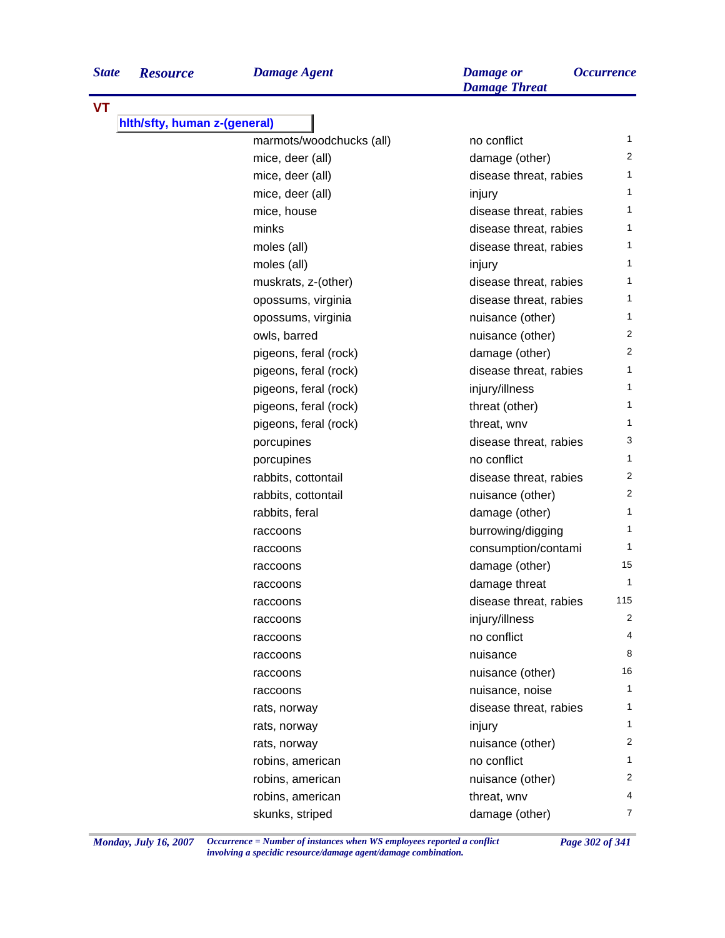*Damage Threat*

| <b>VT</b>                    |                          |                        |                |
|------------------------------|--------------------------|------------------------|----------------|
| hith/sfty, human z-(general) |                          |                        |                |
|                              | marmots/woodchucks (all) | no conflict            | 1              |
|                              | mice, deer (all)         | damage (other)         | 2              |
|                              | mice, deer (all)         | disease threat, rabies | 1              |
|                              | mice, deer (all)         | injury                 | $\mathbf{1}$   |
|                              | mice, house              | disease threat, rabies | $\mathbf{1}$   |
|                              | minks                    | disease threat, rabies | 1              |
|                              | moles (all)              | disease threat, rabies | 1              |
|                              | moles (all)              | injury                 | $\mathbf{1}$   |
|                              | muskrats, z-(other)      | disease threat, rabies | $\mathbf{1}$   |
|                              | opossums, virginia       | disease threat, rabies | 1              |
|                              | opossums, virginia       | nuisance (other)       | 1              |
|                              | owls, barred             | nuisance (other)       | $\overline{2}$ |
|                              | pigeons, feral (rock)    | damage (other)         | $\overline{2}$ |
|                              | pigeons, feral (rock)    | disease threat, rabies | 1              |
|                              | pigeons, feral (rock)    | injury/illness         | 1              |
|                              | pigeons, feral (rock)    | threat (other)         | 1              |
|                              | pigeons, feral (rock)    | threat, wnv            | 1              |
|                              | porcupines               | disease threat, rabies | 3              |
|                              | porcupines               | no conflict            | 1              |
|                              | rabbits, cottontail      | disease threat, rabies | 2              |
|                              | rabbits, cottontail      | nuisance (other)       | $\overline{2}$ |
|                              | rabbits, feral           | damage (other)         | 1              |
|                              | raccoons                 | burrowing/digging      | 1              |
|                              | raccoons                 | consumption/contami    | $\mathbf{1}$   |
|                              | raccoons                 | damage (other)         | 15             |
|                              | raccoons                 | damage threat          | 1              |
|                              | raccoons                 | disease threat, rabies | 115            |
|                              | raccoons                 | injury/illness         | 2              |
|                              | raccoons                 | no conflict            | 4              |
|                              | raccoons                 | nuisance               | 8              |
|                              | raccoons                 | nuisance (other)       | 16             |
|                              | raccoons                 | nuisance, noise        | 1              |
|                              | rats, norway             | disease threat, rabies | 1              |
|                              | rats, norway             | injury                 | 1              |
|                              | rats, norway             | nuisance (other)       | 2              |
|                              | robins, american         | no conflict            | 1              |
|                              | robins, american         | nuisance (other)       | 2              |
|                              | robins, american         | threat, wnv            | 4              |
|                              | skunks, striped          | damage (other)         | 7              |

*Monday, July 16, 2007 Occurrence = Number of instances when WS employees reported a conflict Page 302 of 341 involving a specidic resource/damage agent/damage combination.*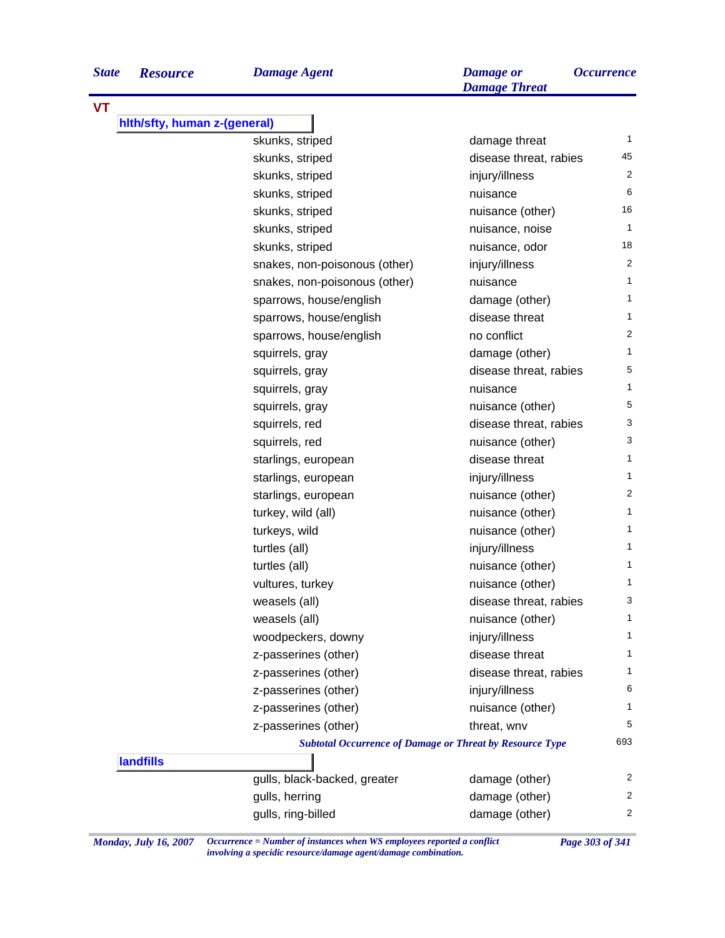| <b>State</b> | <b>Resource</b>              | <b>Damage Agent</b>           | <b>Damage</b> or<br><b>Damage Threat</b> | <i><b>Occurrence</b></i> |
|--------------|------------------------------|-------------------------------|------------------------------------------|--------------------------|
| VT           |                              |                               |                                          |                          |
|              | hith/sfty, human z-(general) |                               |                                          |                          |
|              |                              | skunks, striped               | damage threat                            | $\mathbf{1}$             |
|              |                              | skunks, striped               | disease threat, rabies                   | 45                       |
|              |                              | skunks, striped               | injury/illness                           | 2                        |
|              |                              | skunks, striped               | nuisance                                 | 6                        |
|              |                              | skunks, striped               | nuisance (other)                         | 16                       |
|              |                              | skunks, striped               | nuisance, noise                          | 1                        |
|              |                              | skunks, striped               | nuisance, odor                           | 18                       |
|              |                              | snakes, non-poisonous (other) | injury/illness                           | $\overline{2}$           |
|              |                              | snakes, non-poisonous (other) | nuisance                                 | 1                        |
|              |                              | sparrows, house/english       | damage (other)                           | 1                        |
|              |                              | sparrows, house/english       | disease threat                           | 1                        |
|              |                              | sparrows, house/english       | no conflict                              | $\overline{2}$           |
|              |                              | squirrels, gray               | damage (other)                           | 1                        |
|              |                              | squirrels, gray               | disease threat, rabies                   | 5                        |
|              |                              | squirrels, gray               | nuisance                                 | 1                        |
|              |                              | squirrels, gray               | nuisance (other)                         | 5                        |
|              |                              | squirrels, red                | disease threat, rabies                   | 3                        |
|              |                              | squirrels, red                | nuisance (other)                         | 3                        |
|              |                              | starlings, european           | disease threat                           | 1                        |
|              |                              | starlings, european           | injury/illness                           | 1                        |
|              |                              | starlings, european           | nuisance (other)                         | $\overline{2}$           |
|              |                              | turkey, wild (all)            | nuisance (other)                         | 1                        |
|              |                              | turkeys, wild                 | nuisance (other)                         | 1                        |
|              |                              | turtles (all)                 | injury/illness                           | 1                        |

|                  | SKUNKS, Striped                                                 | nuisance, odor         | 10             |
|------------------|-----------------------------------------------------------------|------------------------|----------------|
|                  | snakes, non-poisonous (other)                                   | injury/illness         | $\overline{c}$ |
|                  | snakes, non-poisonous (other)                                   | nuisance               | $\mathbf{1}$   |
|                  | sparrows, house/english                                         | damage (other)         | $\mathbf{1}$   |
|                  | sparrows, house/english                                         | disease threat         | $\mathbf{1}$   |
|                  | sparrows, house/english                                         | no conflict            | $\overline{2}$ |
|                  | squirrels, gray                                                 | damage (other)         | $\mathbf{1}$   |
|                  | squirrels, gray                                                 | disease threat, rabies | 5              |
|                  | squirrels, gray                                                 | nuisance               | $\mathbf{1}$   |
|                  | squirrels, gray                                                 | nuisance (other)       | 5              |
|                  | squirrels, red                                                  | disease threat, rabies | 3              |
|                  | squirrels, red                                                  | nuisance (other)       | 3              |
|                  | starlings, european                                             | disease threat         | $\mathbf{1}$   |
|                  | starlings, european                                             | injury/illness         | $\mathbf{1}$   |
|                  | starlings, european                                             | nuisance (other)       | $\overline{c}$ |
|                  | turkey, wild (all)                                              | nuisance (other)       | $\mathbf{1}$   |
|                  | turkeys, wild                                                   | nuisance (other)       | $\mathbf{1}$   |
|                  | turtles (all)                                                   | injury/illness         | $\mathbf{1}$   |
|                  | turtles (all)                                                   | nuisance (other)       | $\mathbf{1}$   |
|                  | vultures, turkey                                                | nuisance (other)       | $\mathbf{1}$   |
|                  | weasels (all)                                                   | disease threat, rabies | 3              |
|                  | weasels (all)                                                   | nuisance (other)       | 1              |
|                  | woodpeckers, downy                                              | injury/illness         | $\mathbf{1}$   |
|                  | z-passerines (other)                                            | disease threat         | $\mathbf{1}$   |
|                  | z-passerines (other)                                            | disease threat, rabies | $\mathbf{1}$   |
|                  | z-passerines (other)                                            | injury/illness         | 6              |
|                  | z-passerines (other)                                            | nuisance (other)       | 1              |
|                  | z-passerines (other)                                            | threat, wnv            | 5              |
|                  | <b>Subtotal Occurrence of Damage or Threat by Resource Type</b> |                        | 693            |
| <b>landfills</b> |                                                                 |                        |                |
|                  | gulls, black-backed, greater                                    | damage (other)         | $\overline{2}$ |
|                  | gulls, herring                                                  | damage (other)         | $\overline{c}$ |
|                  | gulls, ring-billed                                              | damage (other)         | $\overline{2}$ |
|                  |                                                                 |                        |                |

*Monday, July 16, 2007 Occurrence = Number of instances when WS employees reported a conflict Page 303 of 341 involving a specidic resource/damage agent/damage combination.*

**VT**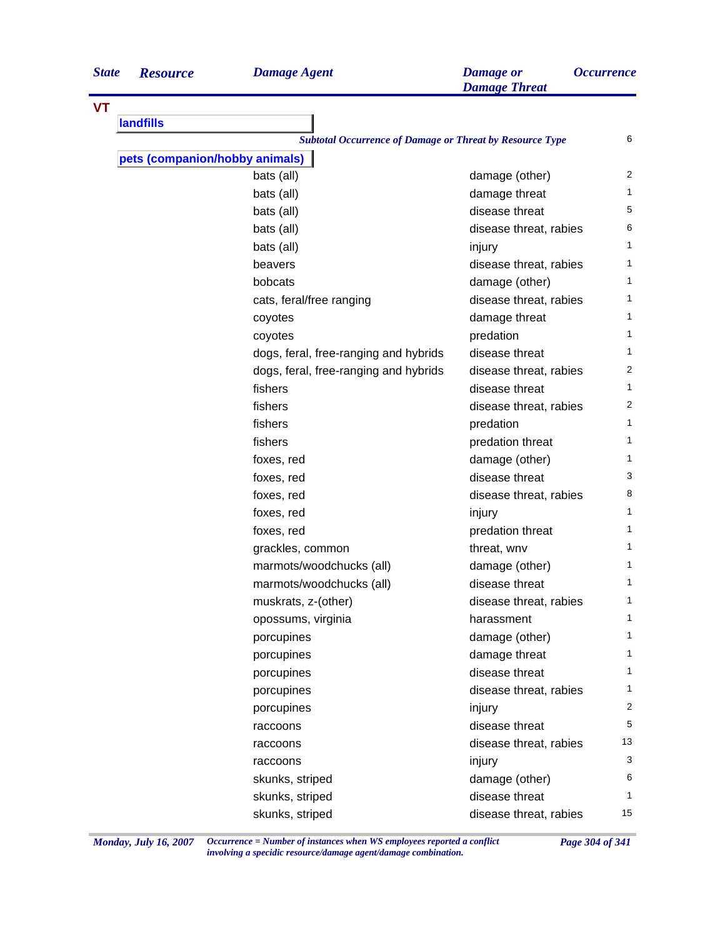| <b>State</b> | <b>Resource</b> |
|--------------|-----------------|
|              |                 |
|              |                 |

| VT |                                       |                                                                 |    |
|----|---------------------------------------|-----------------------------------------------------------------|----|
|    | landfills                             |                                                                 |    |
|    |                                       | <b>Subtotal Occurrence of Damage or Threat by Resource Type</b> | 6  |
|    | pets (companion/hobby animals)        |                                                                 |    |
|    | bats (all)                            | damage (other)                                                  | 2  |
|    | bats (all)                            | damage threat                                                   | 1  |
|    | bats (all)                            | disease threat                                                  | 5  |
|    | bats (all)                            | disease threat, rabies                                          | 6  |
|    | bats (all)                            | injury                                                          | 1  |
|    | beavers                               | disease threat, rabies                                          | 1  |
|    | bobcats                               | damage (other)                                                  | 1  |
|    | cats, feral/free ranging              | disease threat, rabies                                          | 1  |
|    | coyotes                               | damage threat                                                   | 1  |
|    | coyotes                               | predation                                                       | 1  |
|    | dogs, feral, free-ranging and hybrids | disease threat                                                  | 1  |
|    | dogs, feral, free-ranging and hybrids | disease threat, rabies                                          | 2  |
|    | fishers                               | disease threat                                                  | 1  |
|    | fishers                               | disease threat, rabies                                          | 2  |
|    | fishers                               | predation                                                       | 1  |
|    | fishers                               | predation threat                                                | 1  |
|    | foxes, red                            | damage (other)                                                  | 1  |
|    | foxes, red                            | disease threat                                                  | 3  |
|    | foxes, red                            | disease threat, rabies                                          | 8  |
|    | foxes, red                            | injury                                                          | 1  |
|    | foxes, red                            | predation threat                                                | 1  |
|    | grackles, common                      | threat, wnv                                                     | 1  |
|    | marmots/woodchucks (all)              | damage (other)                                                  | 1  |
|    | marmots/woodchucks (all)              | disease threat                                                  | 1  |
|    | muskrats, z-(other)                   | disease threat, rabies                                          | 1  |
|    | opossums, virginia                    | harassment                                                      | 1  |
|    | porcupines                            | damage (other)                                                  | 1  |
|    | porcupines                            | damage threat                                                   | 1  |
|    | porcupines                            | disease threat                                                  | 1  |
|    | porcupines                            | disease threat, rabies                                          | 1  |
|    | porcupines                            | injury                                                          | 2  |
|    | raccoons                              | disease threat                                                  | 5  |
|    | raccoons                              | disease threat, rabies                                          | 13 |
|    | raccoons                              | injury                                                          | 3  |
|    | skunks, striped                       | damage (other)                                                  | 6  |
|    | skunks, striped                       | disease threat                                                  | 1  |
|    | skunks, striped                       | disease threat, rabies                                          | 15 |

*Monday, July 16, 2007 Occurrence = Number of instances when WS employees reported a conflict Page 304 of 341 involving a specidic resource/damage agent/damage combination.*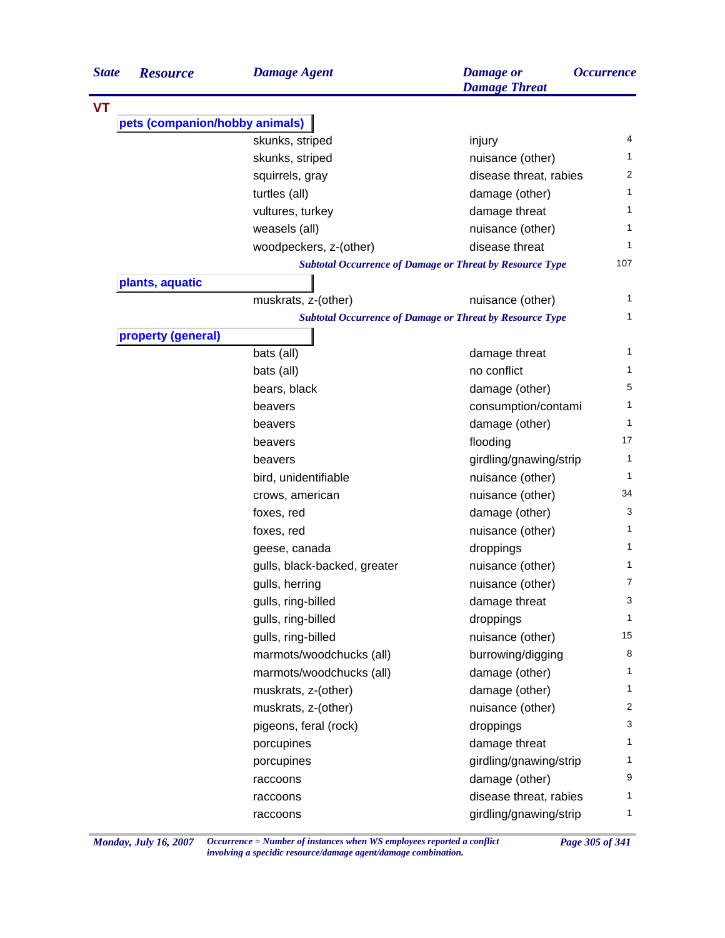| <b>State</b> | <b>Resource</b>                | <b>Damage Agent</b>          | <b>Damage</b> or<br><b>Damage Threat</b>                        | <i><b>Occurrence</b></i> |
|--------------|--------------------------------|------------------------------|-----------------------------------------------------------------|--------------------------|
| <b>VT</b>    |                                |                              |                                                                 |                          |
|              | pets (companion/hobby animals) |                              |                                                                 |                          |
|              |                                | skunks, striped              | injury                                                          | 4                        |
|              |                                | skunks, striped              | nuisance (other)                                                | 1                        |
|              |                                | squirrels, gray              | disease threat, rabies                                          | 2                        |
|              |                                | turtles (all)                | damage (other)                                                  | 1                        |
|              |                                | vultures, turkey             | damage threat                                                   | 1                        |
|              |                                | weasels (all)                | nuisance (other)                                                | 1                        |
|              |                                | woodpeckers, z-(other)       | disease threat                                                  | 1                        |
|              |                                |                              | <b>Subtotal Occurrence of Damage or Threat by Resource Type</b> | 107                      |
|              | plants, aquatic                |                              |                                                                 |                          |
|              |                                | muskrats, z-(other)          | nuisance (other)                                                | 1                        |
|              |                                |                              | <b>Subtotal Occurrence of Damage or Threat by Resource Type</b> | 1                        |
|              | property (general)             |                              |                                                                 |                          |
|              |                                | bats (all)                   | damage threat                                                   | 1                        |
|              |                                | bats (all)                   | no conflict                                                     | 1                        |
|              |                                | bears, black                 | damage (other)                                                  | 5                        |
|              |                                | beavers                      | consumption/contami                                             | 1                        |
|              |                                | beavers                      | damage (other)                                                  | 1                        |
|              |                                | beavers                      | flooding                                                        | 17                       |
|              |                                | beavers                      | girdling/gnawing/strip                                          | 1                        |
|              |                                | bird, unidentifiable         | nuisance (other)                                                | $\mathbf{1}$             |
|              |                                | crows, american              | nuisance (other)                                                | 34                       |
|              |                                | foxes, red                   | damage (other)                                                  | 3                        |
|              |                                | foxes, red                   | nuisance (other)                                                | 1                        |
|              |                                | geese, canada                | droppings                                                       | 1                        |
|              |                                | gulls, black-backed, greater | nuisance (other)                                                | $\mathbf{1}$             |
|              |                                | gulls, herring               | nuisance (other)                                                | $\overline{7}$           |
|              |                                | gulls, ring-billed           | damage threat                                                   | 3                        |
|              |                                | gulls, ring-billed           | droppings                                                       | 1                        |
|              |                                | gulls, ring-billed           | nuisance (other)                                                | 15                       |
|              |                                | marmots/woodchucks (all)     | burrowing/digging                                               | 8                        |
|              |                                | marmots/woodchucks (all)     | damage (other)                                                  | 1                        |
|              |                                | muskrats, z-(other)          | damage (other)                                                  | 1                        |
|              |                                | muskrats, z-(other)          | nuisance (other)                                                | $\overline{2}$           |
|              |                                | pigeons, feral (rock)        | droppings                                                       | 3                        |
|              |                                | porcupines                   | damage threat                                                   | 1                        |
|              |                                | porcupines                   | girdling/gnawing/strip                                          | 1                        |
|              |                                | raccoons                     | damage (other)                                                  | 9                        |
|              |                                | raccoons                     | disease threat, rabies                                          | 1                        |
|              |                                | raccoons                     | girdling/gnawing/strip                                          | 1                        |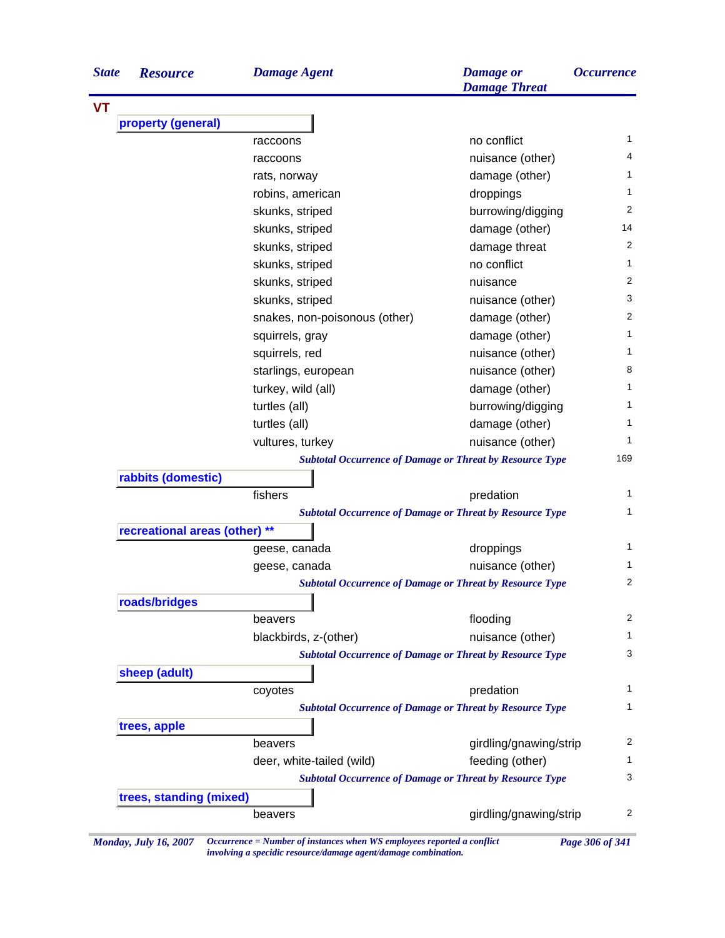| <b>State</b> | <b>Resource</b>               | <b>Damage Agent</b>           | <b>Damage</b> or<br><b>Damage Threat</b>                        | <b>Occurrence</b> |
|--------------|-------------------------------|-------------------------------|-----------------------------------------------------------------|-------------------|
| <b>VT</b>    |                               |                               |                                                                 |                   |
|              | property (general)            |                               |                                                                 |                   |
|              |                               | raccoons                      | no conflict                                                     | $\mathbf{1}$      |
|              |                               | raccoons                      | nuisance (other)                                                | 4                 |
|              |                               | rats, norway                  | damage (other)                                                  | $\mathbf{1}$      |
|              |                               | robins, american              | droppings                                                       | 1                 |
|              |                               | skunks, striped               | burrowing/digging                                               | 2                 |
|              |                               | skunks, striped               | damage (other)                                                  | 14                |
|              |                               | skunks, striped               | damage threat                                                   | 2                 |
|              |                               | skunks, striped               | no conflict                                                     | 1                 |
|              |                               | skunks, striped               | nuisance                                                        | 2                 |
|              |                               | skunks, striped               | nuisance (other)                                                | 3                 |
|              |                               | snakes, non-poisonous (other) | damage (other)                                                  | $\overline{2}$    |
|              |                               | squirrels, gray               | damage (other)                                                  | 1                 |
|              |                               | squirrels, red                | nuisance (other)                                                | $\mathbf{1}$      |
|              |                               | starlings, european           | nuisance (other)                                                | 8                 |
|              |                               | turkey, wild (all)            | damage (other)                                                  | $\mathbf{1}$      |
|              |                               | turtles (all)                 | burrowing/digging                                               | 1                 |
|              |                               | turtles (all)                 | damage (other)                                                  | 1                 |
|              |                               | vultures, turkey              | nuisance (other)                                                | 1                 |
|              |                               |                               | <b>Subtotal Occurrence of Damage or Threat by Resource Type</b> | 169               |
|              | rabbits (domestic)            |                               |                                                                 |                   |
|              |                               | fishers                       | predation                                                       | $\mathbf{1}$      |
|              |                               |                               | <b>Subtotal Occurrence of Damage or Threat by Resource Type</b> | $\mathbf{1}$      |
|              | recreational areas (other) ** |                               |                                                                 |                   |
|              |                               | geese, canada                 | droppings                                                       | 1                 |
|              |                               | geese, canada                 | nuisance (other)                                                | $\mathbf{1}$      |
|              |                               |                               | <b>Subtotal Occurrence of Damage or Threat by Resource Type</b> | 2                 |
|              | roads/bridges                 |                               |                                                                 |                   |
|              |                               | beavers                       | flooding                                                        | 2                 |
|              |                               | blackbirds, z-(other)         | nuisance (other)                                                | 1                 |
|              |                               |                               | <b>Subtotal Occurrence of Damage or Threat by Resource Type</b> | 3                 |
|              | sheep (adult)                 |                               |                                                                 |                   |
|              |                               | coyotes                       | predation                                                       | 1                 |
|              |                               |                               | <b>Subtotal Occurrence of Damage or Threat by Resource Type</b> | 1                 |
|              | trees, apple                  |                               |                                                                 |                   |
|              |                               | beavers                       | girdling/gnawing/strip                                          | 2                 |
|              |                               | deer, white-tailed (wild)     | feeding (other)                                                 | 1                 |
|              |                               |                               | <b>Subtotal Occurrence of Damage or Threat by Resource Type</b> | 3                 |
|              |                               |                               |                                                                 |                   |
|              | trees, standing (mixed)       |                               |                                                                 | 2                 |
|              |                               | beavers                       | girdling/gnawing/strip                                          |                   |

*Monday, July 16, 2007 Occurrence = Number of instances when WS employees reported a conflict Page 306 of 341 involving a specidic resource/damage agent/damage combination.*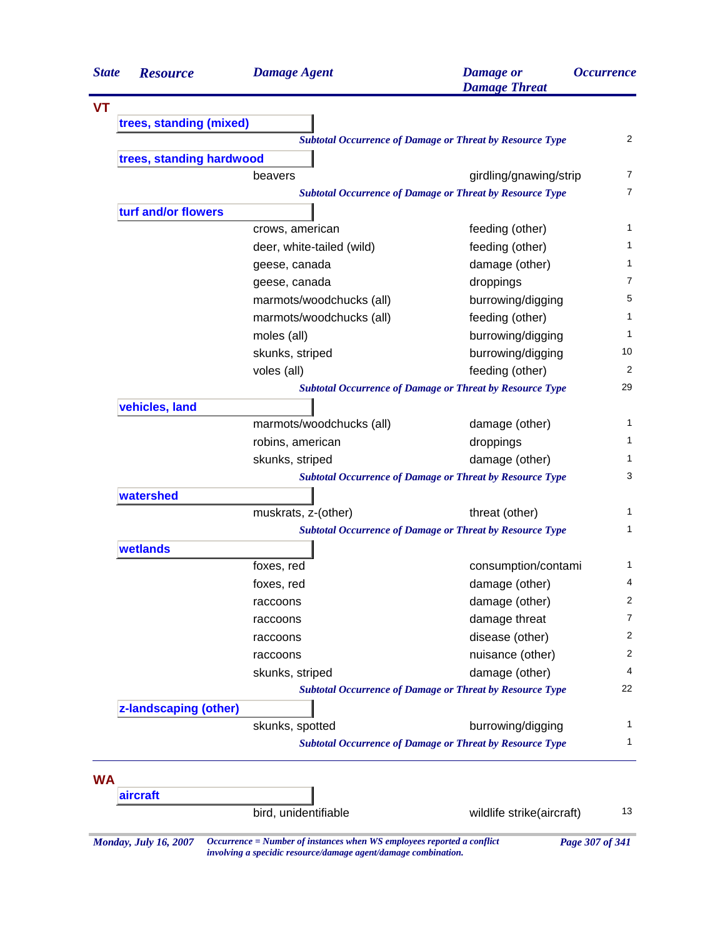| <b>State</b> | <b>Resource</b>          | <b>Damage Agent</b>       | <b>Damage</b> or<br><b>Damage Threat</b>                        | <i><b>Occurrence</b></i> |
|--------------|--------------------------|---------------------------|-----------------------------------------------------------------|--------------------------|
|              |                          |                           |                                                                 |                          |
|              | trees, standing (mixed)  |                           |                                                                 |                          |
|              |                          |                           | <b>Subtotal Occurrence of Damage or Threat by Resource Type</b> |                          |
|              | trees, standing hardwood |                           |                                                                 |                          |
|              |                          | beavers                   | girdling/gnawing/strip                                          |                          |
|              |                          |                           | <b>Subtotal Occurrence of Damage or Threat by Resource Type</b> |                          |
|              | turf and/or flowers      |                           |                                                                 |                          |
|              |                          | crows, american           | feeding (other)                                                 |                          |
|              |                          | deer, white-tailed (wild) | feeding (other)                                                 |                          |
|              |                          | geese, canada             | damage (other)                                                  |                          |
|              |                          | geese, canada             | droppings                                                       |                          |
|              |                          | marmots/woodchucks (all)  | burrowing/digging                                               |                          |
|              |                          | marmots/woodchucks (all)  | feeding (other)                                                 |                          |
|              |                          | moles (all)               | burrowing/digging                                               |                          |
|              |                          | skunks, striped           | burrowing/digging                                               |                          |
|              |                          | voles (all)               | feeding (other)                                                 |                          |
|              |                          |                           | <b>Subtotal Occurrence of Damage or Threat by Resource Type</b> |                          |
|              | vehicles, land           |                           |                                                                 |                          |
|              |                          | marmots/woodchucks (all)  | damage (other)                                                  |                          |
|              |                          | robins, american          | droppings                                                       |                          |
|              |                          | skunks, striped           | damage (other)                                                  |                          |
|              |                          |                           | <b>Subtotal Occurrence of Damage or Threat by Resource Type</b> |                          |
|              | watershed                |                           |                                                                 |                          |
|              |                          | muskrats, z-(other)       | threat (other)                                                  |                          |
|              |                          |                           | <b>Subtotal Occurrence of Damage or Threat by Resource Type</b> |                          |
|              | wetlands                 |                           |                                                                 |                          |
|              |                          | foxes, red                | consumption/contami                                             |                          |
|              |                          | foxes, red                | damage (other)                                                  |                          |
|              |                          | raccoons                  | damage (other)                                                  |                          |
|              |                          | raccoons                  | damage threat                                                   |                          |
|              |                          | raccoons                  | disease (other)                                                 |                          |
|              |                          | raccoons                  | nuisance (other)                                                |                          |
|              |                          | skunks, striped           | damage (other)                                                  |                          |
|              |                          |                           | <b>Subtotal Occurrence of Damage or Threat by Resource Type</b> |                          |
|              | z-landscaping (other)    |                           |                                                                 |                          |
|              |                          | skunks, spotted           | burrowing/digging                                               |                          |
|              |                          |                           | <b>Subtotal Occurrence of Damage or Threat by Resource Type</b> |                          |
|              |                          |                           |                                                                 |                          |
| <b>WA</b>    |                          |                           |                                                                 |                          |
|              | aircraft                 |                           |                                                                 |                          |
|              |                          | bird, unidentifiable      | wildlife strike(aircraft)                                       |                          |

*involving a specidic resource/damage agent/damage combination.*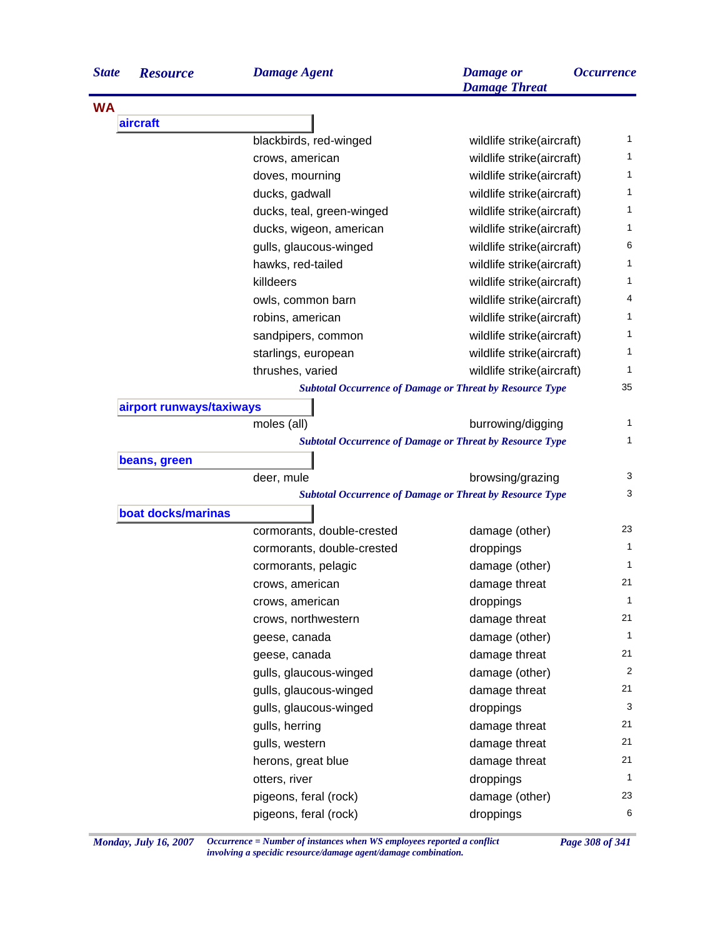| <b>State</b> | <b>Resource</b>          | <b>Damage Agent</b>        | <b>Damage</b> or<br><b>Damage Threat</b>                        | <i><b>Occurrence</b></i> |
|--------------|--------------------------|----------------------------|-----------------------------------------------------------------|--------------------------|
| <b>WA</b>    |                          |                            |                                                                 |                          |
|              | aircraft                 |                            |                                                                 |                          |
|              |                          | blackbirds, red-winged     | wildlife strike(aircraft)                                       | 1                        |
|              |                          | crows, american            | wildlife strike(aircraft)                                       | 1                        |
|              |                          | doves, mourning            | wildlife strike(aircraft)                                       | 1                        |
|              |                          | ducks, gadwall             | wildlife strike(aircraft)                                       | 1                        |
|              |                          | ducks, teal, green-winged  | wildlife strike(aircraft)                                       | 1                        |
|              |                          | ducks, wigeon, american    | wildlife strike(aircraft)                                       | 1                        |
|              |                          | gulls, glaucous-winged     | wildlife strike(aircraft)                                       | 6                        |
|              |                          | hawks, red-tailed          | wildlife strike(aircraft)                                       | 1                        |
|              |                          | killdeers                  | wildlife strike(aircraft)                                       | 1                        |
|              |                          | owls, common barn          | wildlife strike(aircraft)                                       | 4                        |
|              |                          | robins, american           | wildlife strike(aircraft)                                       | 1                        |
|              |                          | sandpipers, common         | wildlife strike(aircraft)                                       | 1                        |
|              |                          | starlings, european        | wildlife strike(aircraft)                                       | 1                        |
|              |                          | thrushes, varied           | wildlife strike(aircraft)                                       | 1                        |
|              |                          |                            | <b>Subtotal Occurrence of Damage or Threat by Resource Type</b> | 35                       |
|              | airport runways/taxiways |                            |                                                                 |                          |
|              |                          | moles (all)                | burrowing/digging                                               | 1                        |
|              |                          |                            | <b>Subtotal Occurrence of Damage or Threat by Resource Type</b> | 1                        |
|              | beans, green             |                            |                                                                 |                          |
|              |                          | deer, mule                 | browsing/grazing                                                | 3                        |
|              |                          |                            | <b>Subtotal Occurrence of Damage or Threat by Resource Type</b> | 3                        |
|              | boat docks/marinas       |                            |                                                                 |                          |
|              |                          | cormorants, double-crested | damage (other)                                                  | 23                       |
|              |                          | cormorants, double-crested | droppings                                                       | 1                        |
|              |                          | cormorants, pelagic        | damage (other)                                                  | 1                        |
|              |                          | crows, american            | damage threat                                                   | 21                       |
|              |                          | crows, american            | droppings                                                       | $\mathbf{1}$             |
|              |                          | crows, northwestern        | damage threat                                                   | 21                       |
|              |                          | geese, canada              | damage (other)                                                  | 1                        |
|              |                          | geese, canada              | damage threat                                                   | 21                       |
|              |                          | gulls, glaucous-winged     | damage (other)                                                  | 2                        |
|              |                          | gulls, glaucous-winged     | damage threat                                                   | 21                       |
|              |                          | gulls, glaucous-winged     | droppings                                                       | 3                        |
|              |                          | gulls, herring             | damage threat                                                   | 21                       |
|              |                          | gulls, western             | damage threat                                                   | 21                       |
|              |                          | herons, great blue         | damage threat                                                   | 21                       |
|              |                          | otters, river              | droppings                                                       | 1                        |
|              |                          | pigeons, feral (rock)      | damage (other)                                                  | 23                       |
|              |                          | pigeons, feral (rock)      | droppings                                                       | 6                        |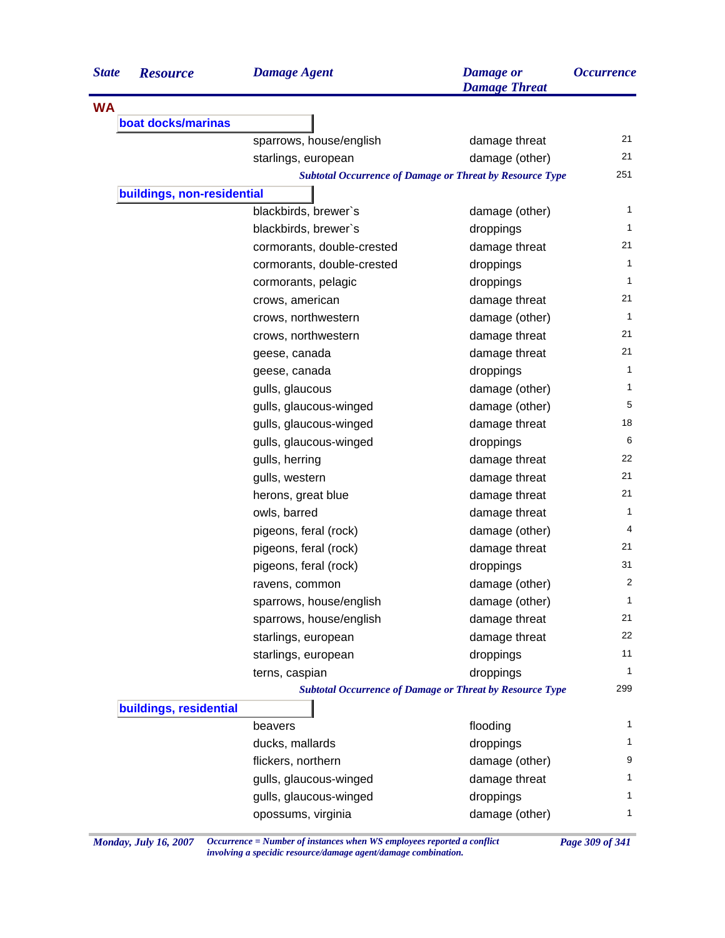| <b>State</b> | <b>Resource</b>            | <b>Damage Agent</b>        | <b>Damage</b> or<br><b>Damage Threat</b>                        | <i><b>Occurrence</b></i> |
|--------------|----------------------------|----------------------------|-----------------------------------------------------------------|--------------------------|
| <b>WA</b>    |                            |                            |                                                                 |                          |
|              | boat docks/marinas         |                            |                                                                 |                          |
|              |                            | sparrows, house/english    | damage threat                                                   | 21                       |
|              |                            | starlings, european        | damage (other)                                                  | 21                       |
|              |                            |                            | <b>Subtotal Occurrence of Damage or Threat by Resource Type</b> | 251                      |
|              | buildings, non-residential |                            |                                                                 |                          |
|              |                            | blackbirds, brewer's       | damage (other)                                                  | $\mathbf{1}$             |
|              |                            | blackbirds, brewer's       | droppings                                                       | $\mathbf{1}$             |
|              |                            | cormorants, double-crested | damage threat                                                   | 21                       |
|              |                            | cormorants, double-crested | droppings                                                       | $\mathbf{1}$             |
|              |                            | cormorants, pelagic        | droppings                                                       | 1                        |
|              |                            | crows, american            | damage threat                                                   | 21                       |
|              |                            | crows, northwestern        | damage (other)                                                  | $\mathbf{1}$             |
|              |                            | crows, northwestern        | damage threat                                                   | 21                       |
|              |                            | geese, canada              | damage threat                                                   | 21                       |
|              |                            | geese, canada              | droppings                                                       | $\mathbf{1}$             |
|              |                            | gulls, glaucous            | damage (other)                                                  | 1                        |
|              |                            | gulls, glaucous-winged     | damage (other)                                                  | 5                        |
|              |                            | gulls, glaucous-winged     | damage threat                                                   | 18                       |
|              |                            | gulls, glaucous-winged     | droppings                                                       | 6                        |
|              |                            | gulls, herring             | damage threat                                                   | 22                       |
|              |                            | gulls, western             | damage threat                                                   | 21                       |
|              |                            | herons, great blue         | damage threat                                                   | 21                       |
|              |                            | owls, barred               | damage threat                                                   | $\mathbf{1}$             |
|              |                            | pigeons, feral (rock)      | damage (other)                                                  | 4                        |
|              |                            | pigeons, feral (rock)      | damage threat                                                   | 21                       |
|              |                            | pigeons, feral (rock)      | droppings                                                       | 31                       |
|              |                            | ravens, common             | damage (other)                                                  | 2                        |
|              |                            | sparrows, house/english    | damage (other)                                                  | 1                        |
|              |                            | sparrows, house/english    | damage threat                                                   | 21                       |
|              |                            | starlings, european        | damage threat                                                   | 22                       |
|              |                            | starlings, european        | droppings                                                       | 11                       |
|              |                            | terns, caspian             | droppings                                                       | 1                        |
|              |                            |                            | <b>Subtotal Occurrence of Damage or Threat by Resource Type</b> | 299                      |
|              | buildings, residential     |                            |                                                                 |                          |
|              |                            | beavers                    | flooding                                                        | 1                        |
|              |                            | ducks, mallards            | droppings                                                       | 1                        |
|              |                            | flickers, northern         | damage (other)                                                  | 9                        |
|              |                            | gulls, glaucous-winged     | damage threat                                                   | 1                        |
|              |                            | gulls, glaucous-winged     | droppings                                                       | 1                        |
|              |                            | opossums, virginia         | damage (other)                                                  | $\mathbf{1}$             |
|              |                            |                            |                                                                 |                          |

*Monday, July 16, 2007 Occurrence = Number of instances when WS employees reported a conflict Page 309 of 341 involving a specidic resource/damage agent/damage combination.*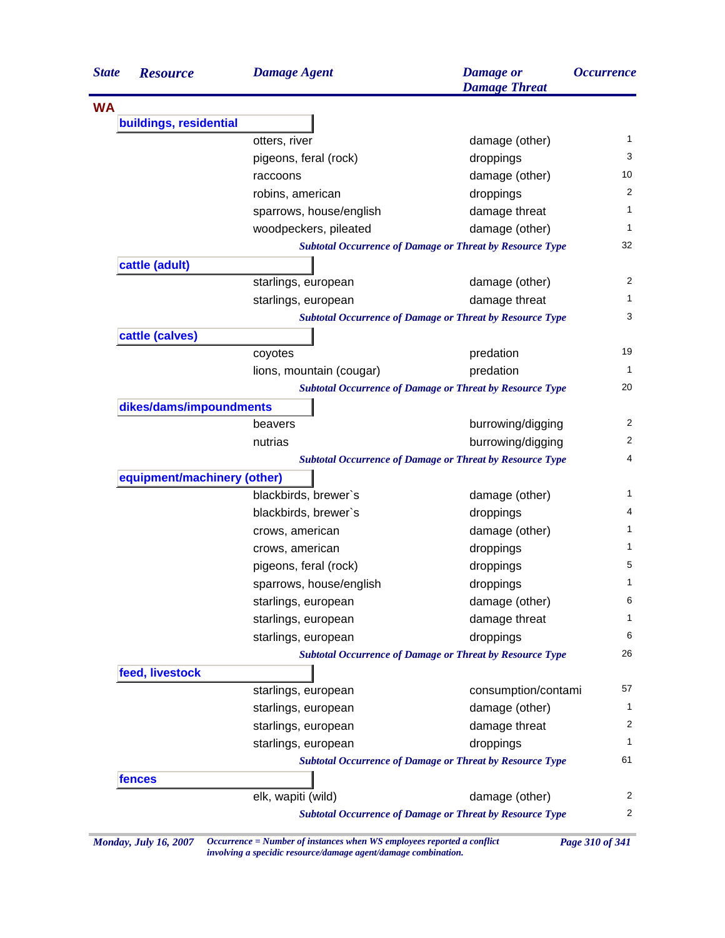| <b>State</b> | <b>Resource</b>             | <b>Damage Agent</b>      | <b>Damage</b> or<br><b>Damage Threat</b>                        | <i><b>Occurrence</b></i> |
|--------------|-----------------------------|--------------------------|-----------------------------------------------------------------|--------------------------|
| <b>WA</b>    |                             |                          |                                                                 |                          |
|              | buildings, residential      |                          |                                                                 |                          |
|              |                             | otters, river            | damage (other)                                                  | 1                        |
|              |                             | pigeons, feral (rock)    | droppings                                                       | 3                        |
|              |                             | raccoons                 | damage (other)                                                  | 10                       |
|              |                             | robins, american         | droppings                                                       | 2                        |
|              |                             | sparrows, house/english  | damage threat                                                   | 1                        |
|              |                             | woodpeckers, pileated    | damage (other)                                                  | 1                        |
|              |                             |                          | <b>Subtotal Occurrence of Damage or Threat by Resource Type</b> | 32                       |
|              | cattle (adult)              |                          |                                                                 |                          |
|              |                             | starlings, european      | damage (other)                                                  | 2                        |
|              |                             | starlings, european      | damage threat                                                   | 1                        |
|              |                             |                          | <b>Subtotal Occurrence of Damage or Threat by Resource Type</b> | 3                        |
|              | cattle (calves)             |                          |                                                                 |                          |
|              |                             | coyotes                  | predation                                                       | 19                       |
|              |                             | lions, mountain (cougar) | predation                                                       | 1                        |
|              |                             |                          | <b>Subtotal Occurrence of Damage or Threat by Resource Type</b> | 20                       |
|              | dikes/dams/impoundments     |                          |                                                                 |                          |
|              |                             | beavers                  | burrowing/digging                                               | 2                        |
|              |                             | nutrias                  | burrowing/digging                                               | $\overline{c}$           |
|              |                             |                          | <b>Subtotal Occurrence of Damage or Threat by Resource Type</b> | 4                        |
|              | equipment/machinery (other) |                          |                                                                 |                          |
|              |                             | blackbirds, brewer's     | damage (other)                                                  | 1                        |
|              |                             | blackbirds, brewer's     | droppings                                                       | 4                        |
|              |                             | crows, american          | damage (other)                                                  | 1                        |
|              |                             | crows, american          | droppings                                                       | 1                        |
|              |                             | pigeons, feral (rock)    | droppings                                                       | 5                        |
|              |                             | sparrows, house/english  | droppings                                                       | 1                        |
|              |                             | starlings, european      | damage (other)                                                  | 6                        |
|              |                             | starlings, european      | damage threat                                                   | 1                        |
|              |                             | starlings, european      | droppings                                                       | 6                        |
|              |                             |                          | <b>Subtotal Occurrence of Damage or Threat by Resource Type</b> | 26                       |
|              | feed, livestock             |                          |                                                                 |                          |
|              |                             | starlings, european      | consumption/contami                                             | 57                       |
|              |                             | starlings, european      | damage (other)                                                  | 1                        |
|              |                             | starlings, european      | damage threat                                                   | 2                        |
|              |                             | starlings, european      | droppings                                                       | 1                        |
|              |                             |                          | <b>Subtotal Occurrence of Damage or Threat by Resource Type</b> | 61                       |
|              |                             |                          |                                                                 |                          |
|              |                             |                          |                                                                 |                          |
|              | fences                      | elk, wapiti (wild)       | damage (other)                                                  | 2                        |

*Monday, July 16, 2007 Occurrence = Number of instances when WS employees reported a conflict Page 310 of 341 involving a specidic resource/damage agent/damage combination.*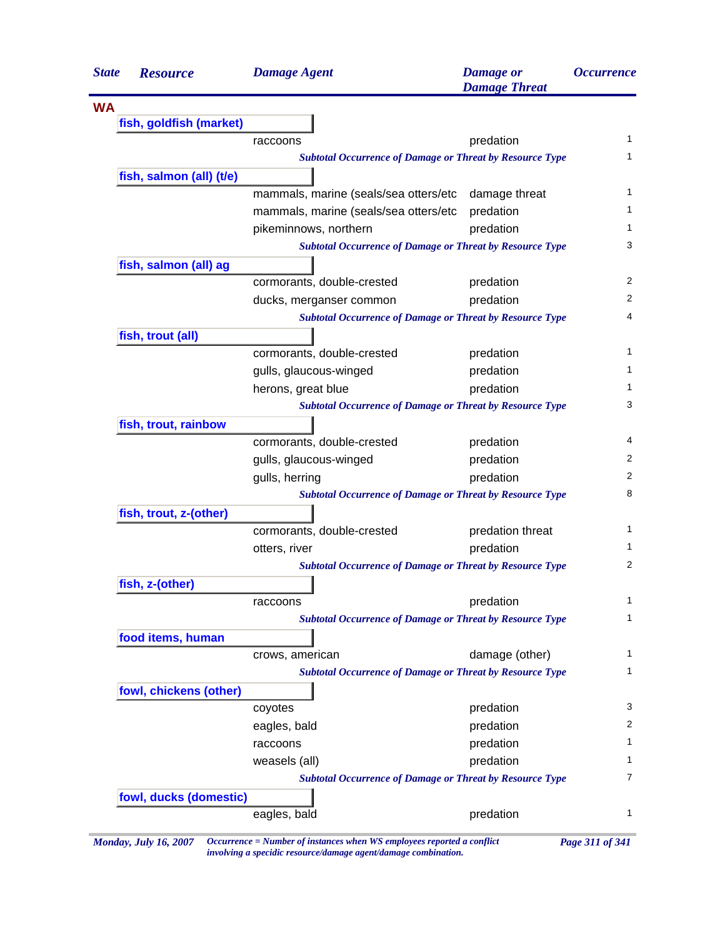| <b>State</b> | <b>Resource</b>          | <b>Damage Agent</b>                                             | <b>Damage</b> or<br><b>Damage Threat</b> | <i><b>Occurrence</b></i> |
|--------------|--------------------------|-----------------------------------------------------------------|------------------------------------------|--------------------------|
| <b>WA</b>    |                          |                                                                 |                                          |                          |
|              | fish, goldfish (market)  |                                                                 |                                          |                          |
|              |                          | raccoons                                                        | predation                                |                          |
|              |                          | <b>Subtotal Occurrence of Damage or Threat by Resource Type</b> |                                          |                          |
|              | fish, salmon (all) (t/e) |                                                                 |                                          |                          |
|              |                          | mammals, marine (seals/sea otters/etc                           | damage threat                            |                          |
|              |                          | mammals, marine (seals/sea otters/etc                           | predation                                |                          |
|              |                          | pikeminnows, northern                                           | predation                                |                          |
|              |                          | <b>Subtotal Occurrence of Damage or Threat by Resource Type</b> |                                          |                          |
|              | fish, salmon (all) ag    |                                                                 |                                          |                          |
|              |                          | cormorants, double-crested                                      | predation                                |                          |
|              |                          | ducks, merganser common                                         | predation                                |                          |
|              |                          | <b>Subtotal Occurrence of Damage or Threat by Resource Type</b> |                                          |                          |
|              | fish, trout (all)        |                                                                 |                                          |                          |
|              |                          | cormorants, double-crested                                      | predation                                |                          |
|              |                          | gulls, glaucous-winged                                          | predation                                |                          |
|              |                          | herons, great blue                                              | predation                                |                          |
|              |                          | <b>Subtotal Occurrence of Damage or Threat by Resource Type</b> |                                          |                          |
|              | fish, trout, rainbow     |                                                                 |                                          |                          |
|              |                          | cormorants, double-crested                                      | predation                                |                          |
|              |                          | gulls, glaucous-winged                                          | predation                                |                          |
|              |                          | gulls, herring                                                  | predation                                |                          |
|              |                          | <b>Subtotal Occurrence of Damage or Threat by Resource Type</b> |                                          |                          |
|              | fish, trout, z-(other)   |                                                                 |                                          |                          |
|              |                          | cormorants, double-crested                                      | predation threat                         |                          |
|              |                          | otters, river                                                   | predation                                |                          |
|              |                          | <b>Subtotal Occurrence of Damage or Threat by Resource Type</b> |                                          |                          |
|              | fish, z-(other)          |                                                                 |                                          |                          |
|              |                          | raccoons                                                        | predation                                |                          |
|              |                          | <b>Subtotal Occurrence of Damage or Threat by Resource Type</b> |                                          |                          |
|              | food items, human        |                                                                 |                                          |                          |
|              |                          | crows, american                                                 | damage (other)                           |                          |
|              |                          | <b>Subtotal Occurrence of Damage or Threat by Resource Type</b> |                                          |                          |
|              | fowl, chickens (other)   |                                                                 |                                          |                          |
|              |                          | coyotes                                                         | predation                                |                          |
|              |                          | eagles, bald                                                    | predation                                |                          |
|              |                          | raccoons                                                        | predation                                |                          |
|              |                          | weasels (all)                                                   | predation                                |                          |
|              |                          | <b>Subtotal Occurrence of Damage or Threat by Resource Type</b> |                                          |                          |
|              | fowl, ducks (domestic)   |                                                                 |                                          |                          |
|              |                          | eagles, bald                                                    | predation                                |                          |

*involving a specidic resource/damage agent/damage combination.*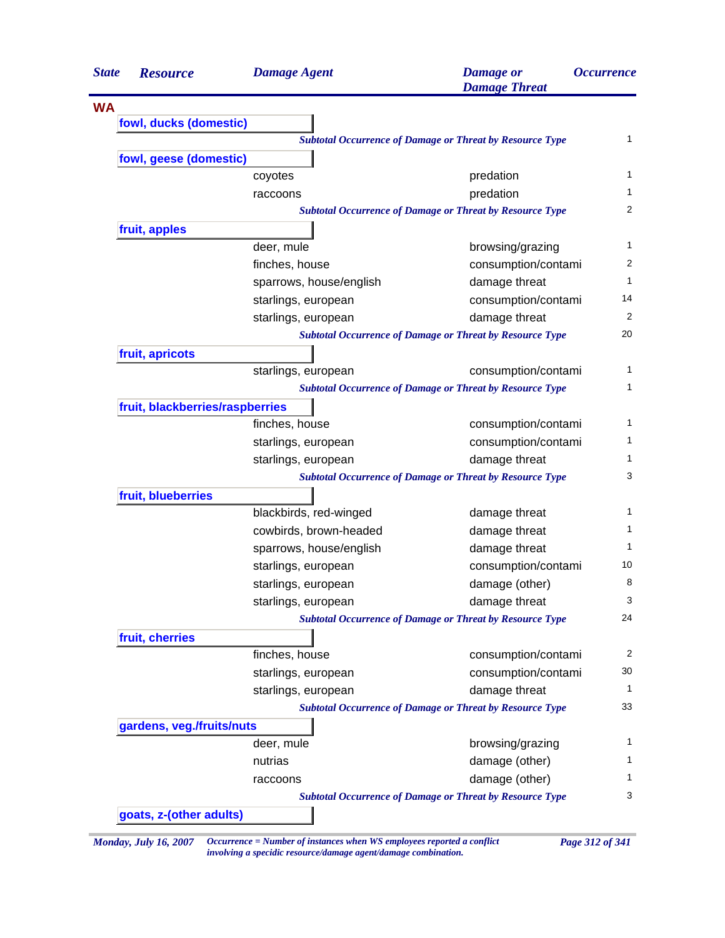| <b>State</b> | <b>Resource</b>                 | <b>Damage Agent</b>     | <b>Damage</b> or<br><b>Damage Threat</b>                        | <i><b>Occurrence</b></i> |
|--------------|---------------------------------|-------------------------|-----------------------------------------------------------------|--------------------------|
| <b>WA</b>    |                                 |                         |                                                                 |                          |
|              | fowl, ducks (domestic)          |                         |                                                                 |                          |
|              |                                 |                         | <b>Subtotal Occurrence of Damage or Threat by Resource Type</b> | 1                        |
|              | fowl, geese (domestic)          |                         |                                                                 |                          |
|              |                                 | coyotes                 | predation                                                       | 1                        |
|              |                                 | raccoons                | predation                                                       | 1                        |
|              |                                 |                         | <b>Subtotal Occurrence of Damage or Threat by Resource Type</b> | $\overline{2}$           |
|              | fruit, apples                   |                         |                                                                 |                          |
|              |                                 | deer, mule              | browsing/grazing                                                | 1                        |
|              |                                 | finches, house          | consumption/contami                                             | 2                        |
|              |                                 | sparrows, house/english | damage threat                                                   | $\mathbf{1}$             |
|              |                                 | starlings, european     | consumption/contami                                             | 14                       |
|              |                                 | starlings, european     | damage threat                                                   | 2                        |
|              |                                 |                         | <b>Subtotal Occurrence of Damage or Threat by Resource Type</b> | 20                       |
|              | fruit, apricots                 |                         |                                                                 |                          |
|              |                                 | starlings, european     | consumption/contami                                             | 1                        |
|              |                                 |                         | <b>Subtotal Occurrence of Damage or Threat by Resource Type</b> | 1                        |
|              | fruit, blackberries/raspberries |                         |                                                                 |                          |
|              |                                 | finches, house          | consumption/contami                                             | 1                        |
|              |                                 | starlings, european     | consumption/contami                                             |                          |
|              |                                 | starlings, european     | damage threat                                                   | 1                        |
|              |                                 |                         | <b>Subtotal Occurrence of Damage or Threat by Resource Type</b> | 3                        |
|              | fruit, blueberries              |                         |                                                                 |                          |
|              |                                 | blackbirds, red-winged  | damage threat                                                   | 1                        |
|              |                                 | cowbirds, brown-headed  | damage threat                                                   | 1                        |
|              |                                 | sparrows, house/english | damage threat                                                   | 1                        |
|              |                                 | starlings, european     | consumption/contami                                             | 10                       |
|              |                                 | starlings, european     | damage (other)                                                  | 8                        |
|              |                                 | starlings, european     | damage threat                                                   | 3                        |
|              |                                 |                         | <b>Subtotal Occurrence of Damage or Threat by Resource Type</b> | 24                       |
|              | fruit, cherries                 |                         |                                                                 |                          |
|              |                                 | finches, house          | consumption/contami                                             | 2                        |
|              |                                 | starlings, european     | consumption/contami                                             | 30                       |
|              |                                 | starlings, european     | damage threat                                                   | 1                        |
|              |                                 |                         | <b>Subtotal Occurrence of Damage or Threat by Resource Type</b> | 33                       |
|              | gardens, veg./fruits/nuts       |                         |                                                                 |                          |
|              |                                 | deer, mule              | browsing/grazing                                                | 1                        |
|              |                                 | nutrias                 | damage (other)                                                  | 1                        |
|              |                                 | raccoons                | damage (other)                                                  | 1                        |
|              |                                 |                         | <b>Subtotal Occurrence of Damage or Threat by Resource Type</b> | 3                        |
|              | goats, z-(other adults)         |                         |                                                                 |                          |

*Monday, July 16, 2007 Occurrence = Number of instances when WS employees reported a conflict Page 312 of 341 involving a specidic resource/damage agent/damage combination.*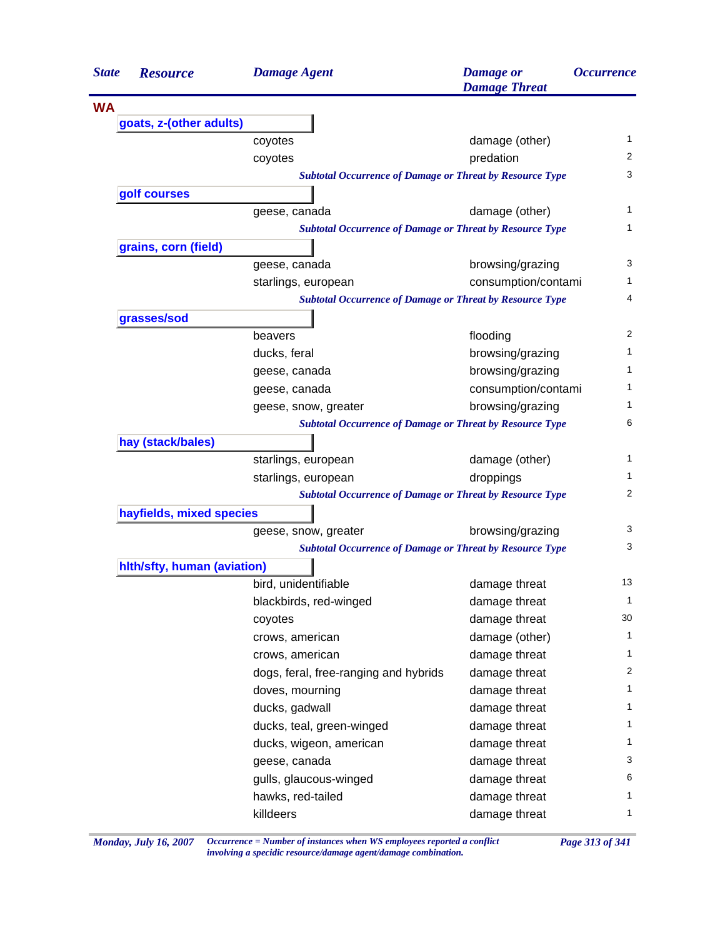| <b>WA</b><br>goats, z-(other adults)<br>1<br>damage (other)<br>coyotes<br>2<br>coyotes<br>predation<br>3<br><b>Subtotal Occurrence of Damage or Threat by Resource Type</b><br>golf courses<br>1<br>geese, canada<br>damage (other)<br>1<br><b>Subtotal Occurrence of Damage or Threat by Resource Type</b><br>grains, corn (field)<br>3<br>browsing/grazing<br>geese, canada<br>1<br>consumption/contami<br>starlings, european<br>4<br><b>Subtotal Occurrence of Damage or Threat by Resource Type</b><br>grasses/sod<br>2<br>flooding<br>beavers<br>1<br>ducks, feral<br>browsing/grazing<br>browsing/grazing<br>1<br>geese, canada<br>1<br>consumption/contami<br>geese, canada<br>1<br>browsing/grazing<br>geese, snow, greater<br>6<br><b>Subtotal Occurrence of Damage or Threat by Resource Type</b><br>hay (stack/bales)<br>1<br>starlings, european<br>damage (other)<br>1<br>starlings, european<br>droppings<br>2<br><b>Subtotal Occurrence of Damage or Threat by Resource Type</b><br>hayfields, mixed species<br>3<br>browsing/grazing<br>geese, snow, greater<br>3<br><b>Subtotal Occurrence of Damage or Threat by Resource Type</b><br>hlth/sfty, human (aviation)<br>bird, unidentifiable<br>13<br>damage threat<br>$\mathbf 1$<br>blackbirds, red-winged<br>damage threat<br>30<br>damage threat<br>coyotes<br>$\mathbf 1$<br>damage (other)<br>crows, american<br>1<br>crows, american<br>damage threat<br>2<br>dogs, feral, free-ranging and hybrids<br>damage threat<br>1<br>doves, mourning<br>damage threat<br>1<br>ducks, gadwall<br>damage threat<br>1<br>ducks, teal, green-winged<br>damage threat<br>damage threat<br>1<br>ducks, wigeon, american<br>3<br>damage threat<br>geese, canada<br>6<br>damage threat<br>gulls, glaucous-winged<br>hawks, red-tailed<br>damage threat<br>1<br>1<br>killdeers<br>damage threat | <b>State</b> | <b>Resource</b> | <b>Damage Agent</b> | <b>Damage</b> or<br><b>Damage Threat</b> | <i><b>Occurrence</b></i> |
|-------------------------------------------------------------------------------------------------------------------------------------------------------------------------------------------------------------------------------------------------------------------------------------------------------------------------------------------------------------------------------------------------------------------------------------------------------------------------------------------------------------------------------------------------------------------------------------------------------------------------------------------------------------------------------------------------------------------------------------------------------------------------------------------------------------------------------------------------------------------------------------------------------------------------------------------------------------------------------------------------------------------------------------------------------------------------------------------------------------------------------------------------------------------------------------------------------------------------------------------------------------------------------------------------------------------------------------------------------------------------------------------------------------------------------------------------------------------------------------------------------------------------------------------------------------------------------------------------------------------------------------------------------------------------------------------------------------------------------------------------------------------------------------------------------------------------------------------------------|--------------|-----------------|---------------------|------------------------------------------|--------------------------|
|                                                                                                                                                                                                                                                                                                                                                                                                                                                                                                                                                                                                                                                                                                                                                                                                                                                                                                                                                                                                                                                                                                                                                                                                                                                                                                                                                                                                                                                                                                                                                                                                                                                                                                                                                                                                                                                       |              |                 |                     |                                          |                          |
|                                                                                                                                                                                                                                                                                                                                                                                                                                                                                                                                                                                                                                                                                                                                                                                                                                                                                                                                                                                                                                                                                                                                                                                                                                                                                                                                                                                                                                                                                                                                                                                                                                                                                                                                                                                                                                                       |              |                 |                     |                                          |                          |
|                                                                                                                                                                                                                                                                                                                                                                                                                                                                                                                                                                                                                                                                                                                                                                                                                                                                                                                                                                                                                                                                                                                                                                                                                                                                                                                                                                                                                                                                                                                                                                                                                                                                                                                                                                                                                                                       |              |                 |                     |                                          |                          |
|                                                                                                                                                                                                                                                                                                                                                                                                                                                                                                                                                                                                                                                                                                                                                                                                                                                                                                                                                                                                                                                                                                                                                                                                                                                                                                                                                                                                                                                                                                                                                                                                                                                                                                                                                                                                                                                       |              |                 |                     |                                          |                          |
|                                                                                                                                                                                                                                                                                                                                                                                                                                                                                                                                                                                                                                                                                                                                                                                                                                                                                                                                                                                                                                                                                                                                                                                                                                                                                                                                                                                                                                                                                                                                                                                                                                                                                                                                                                                                                                                       |              |                 |                     |                                          |                          |
|                                                                                                                                                                                                                                                                                                                                                                                                                                                                                                                                                                                                                                                                                                                                                                                                                                                                                                                                                                                                                                                                                                                                                                                                                                                                                                                                                                                                                                                                                                                                                                                                                                                                                                                                                                                                                                                       |              |                 |                     |                                          |                          |
|                                                                                                                                                                                                                                                                                                                                                                                                                                                                                                                                                                                                                                                                                                                                                                                                                                                                                                                                                                                                                                                                                                                                                                                                                                                                                                                                                                                                                                                                                                                                                                                                                                                                                                                                                                                                                                                       |              |                 |                     |                                          |                          |
|                                                                                                                                                                                                                                                                                                                                                                                                                                                                                                                                                                                                                                                                                                                                                                                                                                                                                                                                                                                                                                                                                                                                                                                                                                                                                                                                                                                                                                                                                                                                                                                                                                                                                                                                                                                                                                                       |              |                 |                     |                                          |                          |
|                                                                                                                                                                                                                                                                                                                                                                                                                                                                                                                                                                                                                                                                                                                                                                                                                                                                                                                                                                                                                                                                                                                                                                                                                                                                                                                                                                                                                                                                                                                                                                                                                                                                                                                                                                                                                                                       |              |                 |                     |                                          |                          |
|                                                                                                                                                                                                                                                                                                                                                                                                                                                                                                                                                                                                                                                                                                                                                                                                                                                                                                                                                                                                                                                                                                                                                                                                                                                                                                                                                                                                                                                                                                                                                                                                                                                                                                                                                                                                                                                       |              |                 |                     |                                          |                          |
|                                                                                                                                                                                                                                                                                                                                                                                                                                                                                                                                                                                                                                                                                                                                                                                                                                                                                                                                                                                                                                                                                                                                                                                                                                                                                                                                                                                                                                                                                                                                                                                                                                                                                                                                                                                                                                                       |              |                 |                     |                                          |                          |
|                                                                                                                                                                                                                                                                                                                                                                                                                                                                                                                                                                                                                                                                                                                                                                                                                                                                                                                                                                                                                                                                                                                                                                                                                                                                                                                                                                                                                                                                                                                                                                                                                                                                                                                                                                                                                                                       |              |                 |                     |                                          |                          |
|                                                                                                                                                                                                                                                                                                                                                                                                                                                                                                                                                                                                                                                                                                                                                                                                                                                                                                                                                                                                                                                                                                                                                                                                                                                                                                                                                                                                                                                                                                                                                                                                                                                                                                                                                                                                                                                       |              |                 |                     |                                          |                          |
|                                                                                                                                                                                                                                                                                                                                                                                                                                                                                                                                                                                                                                                                                                                                                                                                                                                                                                                                                                                                                                                                                                                                                                                                                                                                                                                                                                                                                                                                                                                                                                                                                                                                                                                                                                                                                                                       |              |                 |                     |                                          |                          |
|                                                                                                                                                                                                                                                                                                                                                                                                                                                                                                                                                                                                                                                                                                                                                                                                                                                                                                                                                                                                                                                                                                                                                                                                                                                                                                                                                                                                                                                                                                                                                                                                                                                                                                                                                                                                                                                       |              |                 |                     |                                          |                          |
|                                                                                                                                                                                                                                                                                                                                                                                                                                                                                                                                                                                                                                                                                                                                                                                                                                                                                                                                                                                                                                                                                                                                                                                                                                                                                                                                                                                                                                                                                                                                                                                                                                                                                                                                                                                                                                                       |              |                 |                     |                                          |                          |
|                                                                                                                                                                                                                                                                                                                                                                                                                                                                                                                                                                                                                                                                                                                                                                                                                                                                                                                                                                                                                                                                                                                                                                                                                                                                                                                                                                                                                                                                                                                                                                                                                                                                                                                                                                                                                                                       |              |                 |                     |                                          |                          |
|                                                                                                                                                                                                                                                                                                                                                                                                                                                                                                                                                                                                                                                                                                                                                                                                                                                                                                                                                                                                                                                                                                                                                                                                                                                                                                                                                                                                                                                                                                                                                                                                                                                                                                                                                                                                                                                       |              |                 |                     |                                          |                          |
|                                                                                                                                                                                                                                                                                                                                                                                                                                                                                                                                                                                                                                                                                                                                                                                                                                                                                                                                                                                                                                                                                                                                                                                                                                                                                                                                                                                                                                                                                                                                                                                                                                                                                                                                                                                                                                                       |              |                 |                     |                                          |                          |
|                                                                                                                                                                                                                                                                                                                                                                                                                                                                                                                                                                                                                                                                                                                                                                                                                                                                                                                                                                                                                                                                                                                                                                                                                                                                                                                                                                                                                                                                                                                                                                                                                                                                                                                                                                                                                                                       |              |                 |                     |                                          |                          |
|                                                                                                                                                                                                                                                                                                                                                                                                                                                                                                                                                                                                                                                                                                                                                                                                                                                                                                                                                                                                                                                                                                                                                                                                                                                                                                                                                                                                                                                                                                                                                                                                                                                                                                                                                                                                                                                       |              |                 |                     |                                          |                          |
|                                                                                                                                                                                                                                                                                                                                                                                                                                                                                                                                                                                                                                                                                                                                                                                                                                                                                                                                                                                                                                                                                                                                                                                                                                                                                                                                                                                                                                                                                                                                                                                                                                                                                                                                                                                                                                                       |              |                 |                     |                                          |                          |
|                                                                                                                                                                                                                                                                                                                                                                                                                                                                                                                                                                                                                                                                                                                                                                                                                                                                                                                                                                                                                                                                                                                                                                                                                                                                                                                                                                                                                                                                                                                                                                                                                                                                                                                                                                                                                                                       |              |                 |                     |                                          |                          |
|                                                                                                                                                                                                                                                                                                                                                                                                                                                                                                                                                                                                                                                                                                                                                                                                                                                                                                                                                                                                                                                                                                                                                                                                                                                                                                                                                                                                                                                                                                                                                                                                                                                                                                                                                                                                                                                       |              |                 |                     |                                          |                          |
|                                                                                                                                                                                                                                                                                                                                                                                                                                                                                                                                                                                                                                                                                                                                                                                                                                                                                                                                                                                                                                                                                                                                                                                                                                                                                                                                                                                                                                                                                                                                                                                                                                                                                                                                                                                                                                                       |              |                 |                     |                                          |                          |
|                                                                                                                                                                                                                                                                                                                                                                                                                                                                                                                                                                                                                                                                                                                                                                                                                                                                                                                                                                                                                                                                                                                                                                                                                                                                                                                                                                                                                                                                                                                                                                                                                                                                                                                                                                                                                                                       |              |                 |                     |                                          |                          |
|                                                                                                                                                                                                                                                                                                                                                                                                                                                                                                                                                                                                                                                                                                                                                                                                                                                                                                                                                                                                                                                                                                                                                                                                                                                                                                                                                                                                                                                                                                                                                                                                                                                                                                                                                                                                                                                       |              |                 |                     |                                          |                          |
|                                                                                                                                                                                                                                                                                                                                                                                                                                                                                                                                                                                                                                                                                                                                                                                                                                                                                                                                                                                                                                                                                                                                                                                                                                                                                                                                                                                                                                                                                                                                                                                                                                                                                                                                                                                                                                                       |              |                 |                     |                                          |                          |
|                                                                                                                                                                                                                                                                                                                                                                                                                                                                                                                                                                                                                                                                                                                                                                                                                                                                                                                                                                                                                                                                                                                                                                                                                                                                                                                                                                                                                                                                                                                                                                                                                                                                                                                                                                                                                                                       |              |                 |                     |                                          |                          |
|                                                                                                                                                                                                                                                                                                                                                                                                                                                                                                                                                                                                                                                                                                                                                                                                                                                                                                                                                                                                                                                                                                                                                                                                                                                                                                                                                                                                                                                                                                                                                                                                                                                                                                                                                                                                                                                       |              |                 |                     |                                          |                          |
|                                                                                                                                                                                                                                                                                                                                                                                                                                                                                                                                                                                                                                                                                                                                                                                                                                                                                                                                                                                                                                                                                                                                                                                                                                                                                                                                                                                                                                                                                                                                                                                                                                                                                                                                                                                                                                                       |              |                 |                     |                                          |                          |
|                                                                                                                                                                                                                                                                                                                                                                                                                                                                                                                                                                                                                                                                                                                                                                                                                                                                                                                                                                                                                                                                                                                                                                                                                                                                                                                                                                                                                                                                                                                                                                                                                                                                                                                                                                                                                                                       |              |                 |                     |                                          |                          |
|                                                                                                                                                                                                                                                                                                                                                                                                                                                                                                                                                                                                                                                                                                                                                                                                                                                                                                                                                                                                                                                                                                                                                                                                                                                                                                                                                                                                                                                                                                                                                                                                                                                                                                                                                                                                                                                       |              |                 |                     |                                          |                          |
|                                                                                                                                                                                                                                                                                                                                                                                                                                                                                                                                                                                                                                                                                                                                                                                                                                                                                                                                                                                                                                                                                                                                                                                                                                                                                                                                                                                                                                                                                                                                                                                                                                                                                                                                                                                                                                                       |              |                 |                     |                                          |                          |
|                                                                                                                                                                                                                                                                                                                                                                                                                                                                                                                                                                                                                                                                                                                                                                                                                                                                                                                                                                                                                                                                                                                                                                                                                                                                                                                                                                                                                                                                                                                                                                                                                                                                                                                                                                                                                                                       |              |                 |                     |                                          |                          |
|                                                                                                                                                                                                                                                                                                                                                                                                                                                                                                                                                                                                                                                                                                                                                                                                                                                                                                                                                                                                                                                                                                                                                                                                                                                                                                                                                                                                                                                                                                                                                                                                                                                                                                                                                                                                                                                       |              |                 |                     |                                          |                          |
|                                                                                                                                                                                                                                                                                                                                                                                                                                                                                                                                                                                                                                                                                                                                                                                                                                                                                                                                                                                                                                                                                                                                                                                                                                                                                                                                                                                                                                                                                                                                                                                                                                                                                                                                                                                                                                                       |              |                 |                     |                                          |                          |
|                                                                                                                                                                                                                                                                                                                                                                                                                                                                                                                                                                                                                                                                                                                                                                                                                                                                                                                                                                                                                                                                                                                                                                                                                                                                                                                                                                                                                                                                                                                                                                                                                                                                                                                                                                                                                                                       |              |                 |                     |                                          |                          |
|                                                                                                                                                                                                                                                                                                                                                                                                                                                                                                                                                                                                                                                                                                                                                                                                                                                                                                                                                                                                                                                                                                                                                                                                                                                                                                                                                                                                                                                                                                                                                                                                                                                                                                                                                                                                                                                       |              |                 |                     |                                          |                          |
|                                                                                                                                                                                                                                                                                                                                                                                                                                                                                                                                                                                                                                                                                                                                                                                                                                                                                                                                                                                                                                                                                                                                                                                                                                                                                                                                                                                                                                                                                                                                                                                                                                                                                                                                                                                                                                                       |              |                 |                     |                                          |                          |
|                                                                                                                                                                                                                                                                                                                                                                                                                                                                                                                                                                                                                                                                                                                                                                                                                                                                                                                                                                                                                                                                                                                                                                                                                                                                                                                                                                                                                                                                                                                                                                                                                                                                                                                                                                                                                                                       |              |                 |                     |                                          |                          |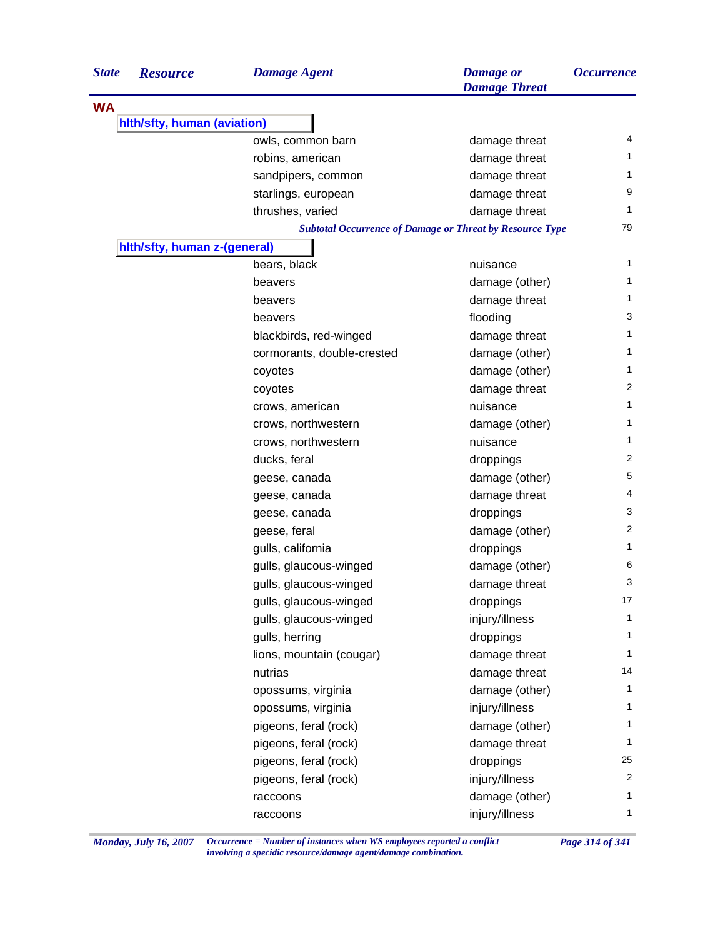| <b>State</b> | <b>Resource</b>              | <b>Damage Agent</b>        | <b>Damage</b> or<br><b>Damage Threat</b>                        | <i><b>Occurrence</b></i> |
|--------------|------------------------------|----------------------------|-----------------------------------------------------------------|--------------------------|
| <b>WA</b>    |                              |                            |                                                                 |                          |
|              | hith/sfty, human (aviation)  |                            |                                                                 |                          |
|              |                              | owls, common barn          | damage threat                                                   | 4                        |
|              |                              | robins, american           | damage threat                                                   | 1                        |
|              |                              | sandpipers, common         | damage threat                                                   | 1                        |
|              |                              | starlings, european        | damage threat                                                   | 9                        |
|              |                              | thrushes, varied           | damage threat                                                   | 1                        |
|              |                              |                            | <b>Subtotal Occurrence of Damage or Threat by Resource Type</b> | 79                       |
|              | hith/sfty, human z-(general) |                            |                                                                 |                          |
|              |                              | bears, black               | nuisance                                                        | 1                        |
|              |                              | beavers                    | damage (other)                                                  | 1                        |
|              |                              | beavers                    | damage threat                                                   | 1                        |
|              |                              | beavers                    | flooding                                                        | 3                        |
|              |                              | blackbirds, red-winged     | damage threat                                                   | 1                        |
|              |                              | cormorants, double-crested | damage (other)                                                  | 1                        |
|              |                              | coyotes                    | damage (other)                                                  | 1                        |
|              |                              | coyotes                    | damage threat                                                   | 2                        |
|              |                              | crows, american            | nuisance                                                        | 1                        |
|              |                              | crows, northwestern        | damage (other)                                                  | 1                        |
|              |                              | crows, northwestern        | nuisance                                                        | 1                        |
|              |                              | ducks, feral               | droppings                                                       | 2                        |
|              |                              | geese, canada              | damage (other)                                                  | 5                        |
|              |                              | geese, canada              | damage threat                                                   | 4                        |
|              |                              | geese, canada              | droppings                                                       | 3                        |
|              |                              | geese, feral               | damage (other)                                                  | 2                        |
|              |                              | gulls, california          | droppings                                                       | 1                        |
|              |                              | gulls, glaucous-winged     | damage (other)                                                  | 6                        |
|              |                              | gulls, glaucous-winged     | damage threat                                                   | 3                        |
|              |                              | gulls, glaucous-winged     | droppings                                                       | 17                       |
|              |                              | gulls, glaucous-winged     | injury/illness                                                  | $\mathbf{1}$             |
|              |                              | gulls, herring             | droppings                                                       | 1                        |
|              |                              | lions, mountain (cougar)   | damage threat                                                   | 1                        |
|              |                              | nutrias                    | damage threat                                                   | 14                       |
|              |                              | opossums, virginia         | damage (other)                                                  | 1                        |
|              |                              | opossums, virginia         | injury/illness                                                  | $\mathbf{1}$             |
|              |                              | pigeons, feral (rock)      | damage (other)                                                  | 1                        |
|              |                              | pigeons, feral (rock)      | damage threat                                                   | 1                        |
|              |                              | pigeons, feral (rock)      | droppings                                                       | 25                       |
|              |                              | pigeons, feral (rock)      | injury/illness                                                  | 2                        |
|              |                              | raccoons                   | damage (other)                                                  | 1                        |
|              |                              | raccoons                   | injury/illness                                                  | $\mathbf{1}$             |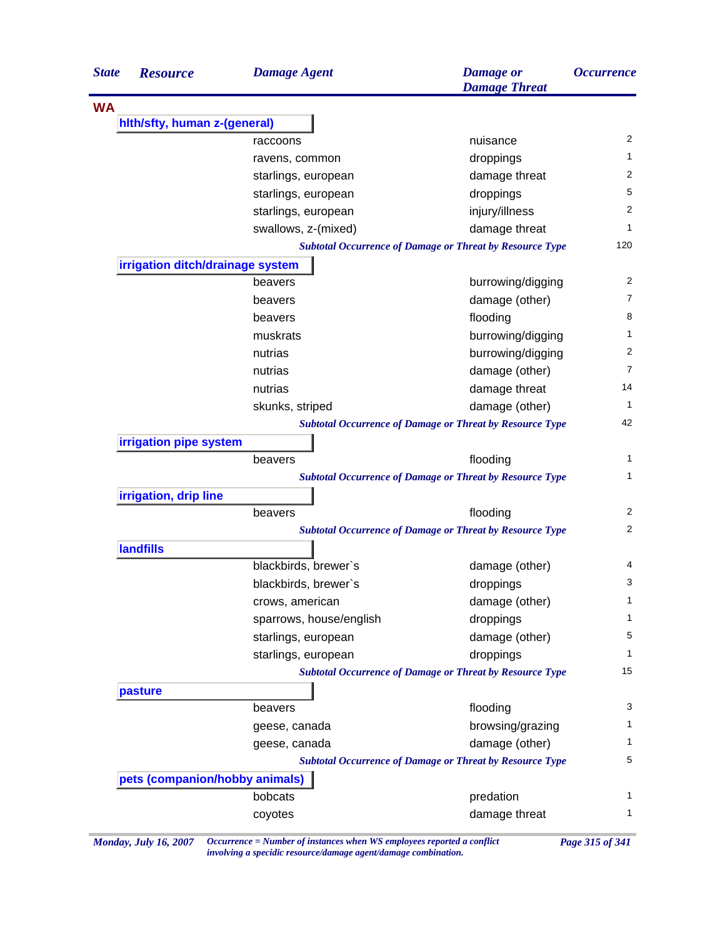| <b>State</b> | <b>Resource</b>                  | <b>Damage Agent</b>     | <b>Damage</b> or<br><b>Damage Threat</b>                        | <i><b>Occurrence</b></i> |
|--------------|----------------------------------|-------------------------|-----------------------------------------------------------------|--------------------------|
| <b>WA</b>    |                                  |                         |                                                                 |                          |
|              | hith/sfty, human z-(general)     |                         |                                                                 |                          |
|              |                                  | raccoons                | nuisance                                                        | 2                        |
|              |                                  | ravens, common          | droppings                                                       | 1                        |
|              |                                  | starlings, european     | damage threat                                                   | 2                        |
|              |                                  | starlings, european     | droppings                                                       | 5                        |
|              |                                  | starlings, european     | injury/illness                                                  | 2                        |
|              |                                  | swallows, z-(mixed)     | damage threat                                                   | 1                        |
|              |                                  |                         | <b>Subtotal Occurrence of Damage or Threat by Resource Type</b> | 120                      |
|              | irrigation ditch/drainage system |                         |                                                                 |                          |
|              |                                  | beavers                 | burrowing/digging                                               | 2                        |
|              |                                  | beavers                 | damage (other)                                                  | $\overline{7}$           |
|              |                                  | beavers                 | flooding                                                        | 8                        |
|              |                                  | muskrats                | burrowing/digging                                               | 1                        |
|              |                                  | nutrias                 | burrowing/digging                                               | 2                        |
|              |                                  | nutrias                 | damage (other)                                                  | $\overline{7}$           |
|              |                                  | nutrias                 | damage threat                                                   | 14                       |
|              |                                  | skunks, striped         | damage (other)                                                  | 1                        |
|              |                                  |                         | <b>Subtotal Occurrence of Damage or Threat by Resource Type</b> | 42                       |
|              | irrigation pipe system           |                         |                                                                 |                          |
|              |                                  | beavers                 | flooding                                                        | 1                        |
|              |                                  |                         | <b>Subtotal Occurrence of Damage or Threat by Resource Type</b> | 1                        |
|              | irrigation, drip line            |                         |                                                                 |                          |
|              |                                  | beavers                 | flooding                                                        | 2                        |
|              |                                  |                         | <b>Subtotal Occurrence of Damage or Threat by Resource Type</b> | 2                        |
|              | <b>landfills</b>                 |                         |                                                                 |                          |
|              |                                  | blackbirds, brewer's    | damage (other)                                                  | 4                        |
|              |                                  | blackbirds, brewer's    | droppings                                                       | 3                        |
|              |                                  | crows, american         | damage (other)                                                  | 1                        |
|              |                                  | sparrows, house/english | droppings                                                       | 1                        |
|              |                                  | starlings, european     | damage (other)                                                  | 5                        |
|              |                                  | starlings, european     | droppings                                                       | 1                        |
|              |                                  |                         | <b>Subtotal Occurrence of Damage or Threat by Resource Type</b> | 15                       |
|              | pasture                          |                         |                                                                 |                          |
|              |                                  | beavers                 | flooding                                                        | 3                        |
|              |                                  | geese, canada           | browsing/grazing                                                | 1                        |
|              |                                  |                         |                                                                 |                          |
|              |                                  |                         |                                                                 |                          |
|              |                                  | geese, canada           | damage (other)                                                  |                          |
|              |                                  |                         | <b>Subtotal Occurrence of Damage or Threat by Resource Type</b> |                          |
|              | pets (companion/hobby animals)   | bobcats                 | predation                                                       | 1<br>5<br>1              |

*Monday, July 16, 2007 Occurrence = Number of instances when WS employees reported a conflict Page 315 of 341 involving a specidic resource/damage agent/damage combination.*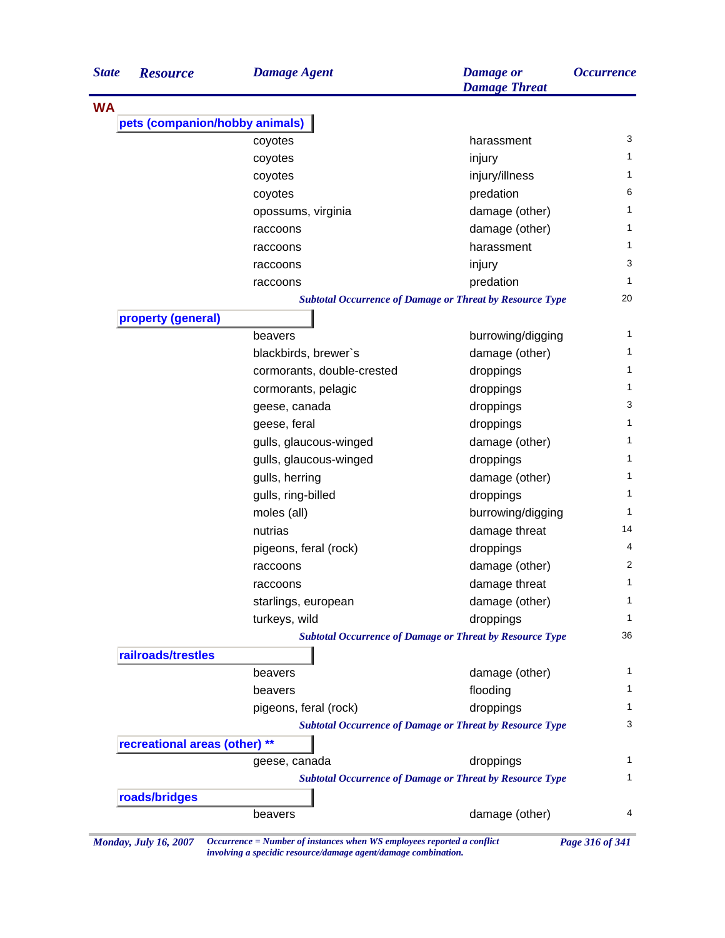| <b>State</b> | <b>Resource</b>                | <b>Damage Agent</b>        | <b>Damage</b> or<br><b>Damage Threat</b>                        | <i><b>Occurrence</b></i> |
|--------------|--------------------------------|----------------------------|-----------------------------------------------------------------|--------------------------|
| <b>WA</b>    |                                |                            |                                                                 |                          |
|              | pets (companion/hobby animals) |                            |                                                                 |                          |
|              |                                | coyotes                    | harassment                                                      | 3                        |
|              |                                | coyotes                    | injury                                                          | 1                        |
|              |                                | coyotes                    | injury/illness                                                  | 1                        |
|              |                                | coyotes                    | predation                                                       | 6                        |
|              |                                | opossums, virginia         | damage (other)                                                  | 1                        |
|              |                                | raccoons                   | damage (other)                                                  | 1                        |
|              |                                | raccoons                   | harassment                                                      | 1                        |
|              |                                | raccoons                   | injury                                                          | 3                        |
|              |                                | raccoons                   | predation                                                       | 1                        |
|              |                                |                            | <b>Subtotal Occurrence of Damage or Threat by Resource Type</b> | 20                       |
|              | property (general)             |                            |                                                                 |                          |
|              |                                | beavers                    | burrowing/digging                                               | 1                        |
|              |                                | blackbirds, brewer's       | damage (other)                                                  | 1                        |
|              |                                | cormorants, double-crested | droppings                                                       | 1                        |
|              |                                | cormorants, pelagic        | droppings                                                       | 1                        |
|              |                                | geese, canada              | droppings                                                       | 3                        |
|              |                                | geese, feral               | droppings                                                       | 1                        |
|              |                                | gulls, glaucous-winged     | damage (other)                                                  | 1                        |
|              |                                | gulls, glaucous-winged     | droppings                                                       | 1                        |
|              |                                | gulls, herring             | damage (other)                                                  | 1                        |
|              |                                | gulls, ring-billed         | droppings                                                       | 1                        |
|              |                                | moles (all)                | burrowing/digging                                               | 1                        |
|              |                                | nutrias                    | damage threat                                                   | 14                       |
|              |                                | pigeons, feral (rock)      | droppings                                                       | 4                        |
|              |                                | raccoons                   | damage (other)                                                  | $\overline{2}$           |
|              |                                | raccoons                   | damage threat                                                   | 1                        |
|              |                                | starlings, european        | damage (other)                                                  | 1                        |
|              |                                | turkeys, wild              | droppings                                                       | 1                        |
|              |                                |                            | <b>Subtotal Occurrence of Damage or Threat by Resource Type</b> | 36                       |
|              | railroads/trestles             |                            |                                                                 |                          |
|              |                                | beavers                    | damage (other)                                                  | 1                        |
|              |                                | beavers                    | flooding                                                        | 1                        |
|              |                                | pigeons, feral (rock)      | droppings                                                       | 1                        |
|              |                                |                            | <b>Subtotal Occurrence of Damage or Threat by Resource Type</b> | 3                        |
|              | recreational areas (other) **  |                            |                                                                 |                          |
|              |                                | geese, canada              | droppings                                                       | 1                        |
|              |                                |                            | <b>Subtotal Occurrence of Damage or Threat by Resource Type</b> | 1                        |
|              | roads/bridges                  |                            |                                                                 |                          |
|              |                                |                            | damage (other)                                                  | 4                        |

*involving a specidic resource/damage agent/damage combination.*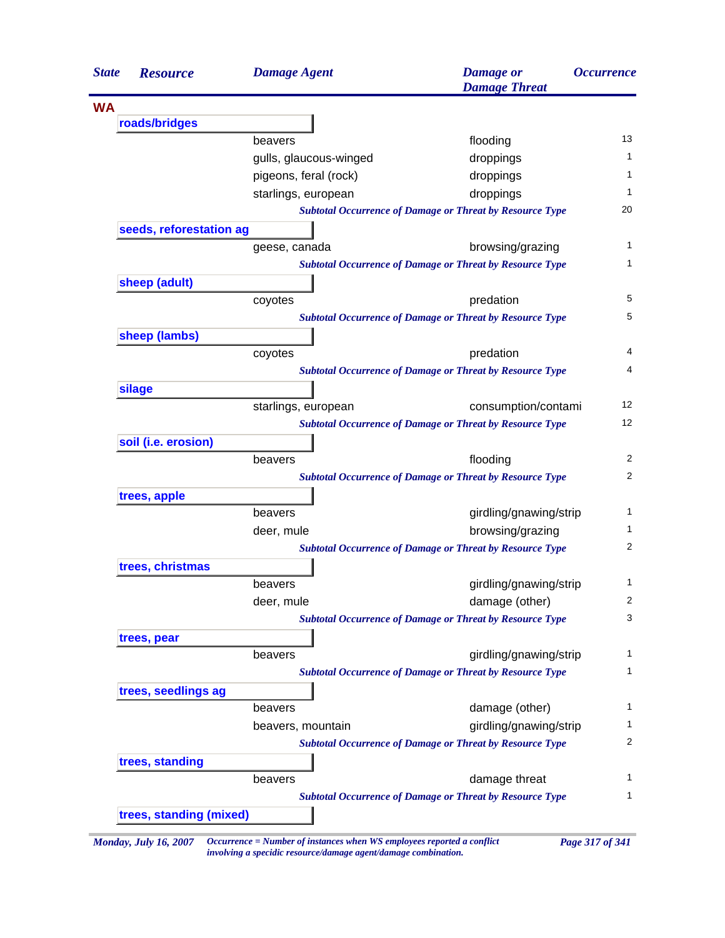|           | <b>Resource</b>         | <b>Damage Agent</b>    | <b>Damage</b> or<br><b>Damage Threat</b>                        | <b>Occurrence</b> |
|-----------|-------------------------|------------------------|-----------------------------------------------------------------|-------------------|
| <b>WA</b> |                         |                        |                                                                 |                   |
|           | roads/bridges           |                        |                                                                 |                   |
|           |                         | beavers                | flooding                                                        | 13                |
|           |                         | gulls, glaucous-winged | droppings                                                       |                   |
|           |                         | pigeons, feral (rock)  | droppings                                                       |                   |
|           |                         | starlings, european    | droppings                                                       |                   |
|           |                         |                        | <b>Subtotal Occurrence of Damage or Threat by Resource Type</b> |                   |
|           | seeds, reforestation ag |                        |                                                                 |                   |
|           |                         | geese, canada          | browsing/grazing                                                |                   |
|           |                         |                        | <b>Subtotal Occurrence of Damage or Threat by Resource Type</b> |                   |
|           | sheep (adult)           |                        |                                                                 |                   |
|           |                         | coyotes                | predation                                                       |                   |
|           |                         |                        | <b>Subtotal Occurrence of Damage or Threat by Resource Type</b> |                   |
|           | sheep (lambs)           |                        |                                                                 |                   |
|           |                         | coyotes                | predation                                                       |                   |
|           |                         |                        | <b>Subtotal Occurrence of Damage or Threat by Resource Type</b> |                   |
|           | silage                  |                        |                                                                 |                   |
|           |                         | starlings, european    | consumption/contami                                             |                   |
|           |                         |                        | <b>Subtotal Occurrence of Damage or Threat by Resource Type</b> |                   |
|           | soil (i.e. erosion)     |                        |                                                                 |                   |
|           |                         | beavers                | flooding                                                        |                   |
|           |                         |                        | <b>Subtotal Occurrence of Damage or Threat by Resource Type</b> |                   |
|           | trees, apple            |                        |                                                                 |                   |
|           |                         | beavers                | girdling/gnawing/strip                                          |                   |
|           |                         | deer, mule             | browsing/grazing                                                |                   |
|           |                         |                        | <b>Subtotal Occurrence of Damage or Threat by Resource Type</b> |                   |
|           | trees, christmas        |                        |                                                                 |                   |
|           |                         | beavers                | girdling/gnawing/strip                                          |                   |
|           |                         | deer, mule             | damage (other)                                                  |                   |
|           |                         |                        | <b>Subtotal Occurrence of Damage or Threat by Resource Type</b> |                   |
|           |                         |                        |                                                                 |                   |
|           | trees, pear             | beavers                | girdling/gnawing/strip                                          |                   |
|           |                         |                        | <b>Subtotal Occurrence of Damage or Threat by Resource Type</b> |                   |
|           |                         |                        |                                                                 |                   |
|           | trees, seedlings ag     |                        |                                                                 |                   |
|           |                         | beavers                | damage (other)                                                  |                   |
|           |                         | beavers, mountain      | girdling/gnawing/strip                                          |                   |
|           |                         |                        | <b>Subtotal Occurrence of Damage or Threat by Resource Type</b> |                   |
|           | trees, standing         |                        |                                                                 |                   |
|           |                         | beavers                | damage threat                                                   |                   |
|           | trees, standing (mixed) |                        | <b>Subtotal Occurrence of Damage or Threat by Resource Type</b> |                   |

*involving a specidic resource/damage agent/damage combination.*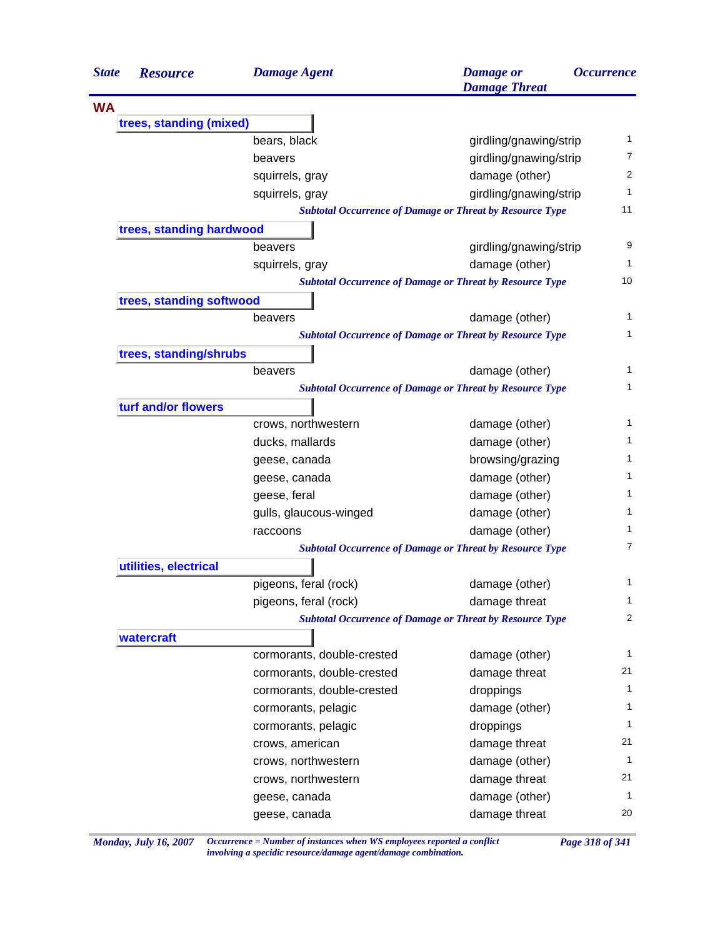| <b>State</b> | <b>Resource</b>          | <b>Damage Agent</b>        | <b>Damage</b> or<br><b>Damage Threat</b>                        | <i><b>Occurrence</b></i> |
|--------------|--------------------------|----------------------------|-----------------------------------------------------------------|--------------------------|
| <b>WA</b>    |                          |                            |                                                                 |                          |
|              | trees, standing (mixed)  |                            |                                                                 |                          |
|              |                          | bears, black               | girdling/gnawing/strip                                          | 1                        |
|              |                          | beavers                    | girdling/gnawing/strip                                          | 7                        |
|              |                          | squirrels, gray            | damage (other)                                                  | 2                        |
|              |                          | squirrels, gray            | girdling/gnawing/strip                                          | 1                        |
|              |                          |                            | <b>Subtotal Occurrence of Damage or Threat by Resource Type</b> | 11                       |
|              | trees, standing hardwood |                            |                                                                 |                          |
|              |                          | beavers                    | girdling/gnawing/strip                                          | 9                        |
|              |                          | squirrels, gray            | damage (other)                                                  | 1                        |
|              |                          |                            | <b>Subtotal Occurrence of Damage or Threat by Resource Type</b> | 10                       |
|              | trees, standing softwood |                            |                                                                 |                          |
|              |                          | beavers                    | damage (other)                                                  | 1                        |
|              |                          |                            | <b>Subtotal Occurrence of Damage or Threat by Resource Type</b> | 1                        |
|              | trees, standing/shrubs   |                            |                                                                 |                          |
|              |                          | beavers                    | damage (other)                                                  | 1                        |
|              |                          |                            | <b>Subtotal Occurrence of Damage or Threat by Resource Type</b> | 1                        |
|              | turf and/or flowers      |                            |                                                                 |                          |
|              |                          | crows, northwestern        | damage (other)                                                  | 1                        |
|              |                          | ducks, mallards            | damage (other)                                                  | 1                        |
|              |                          | geese, canada              | browsing/grazing                                                | 1                        |
|              |                          | geese, canada              | damage (other)                                                  | 1                        |
|              |                          | geese, feral               | damage (other)                                                  | 1                        |
|              |                          | gulls, glaucous-winged     | damage (other)                                                  | 1                        |
|              |                          | raccoons                   | damage (other)                                                  | 1                        |
|              |                          |                            | <b>Subtotal Occurrence of Damage or Threat by Resource Type</b> | 7                        |
|              | utilities, electrical    |                            |                                                                 |                          |
|              |                          | pigeons, feral (rock)      | damage (other)                                                  | 1                        |
|              |                          | pigeons, feral (rock)      | damage threat                                                   | $\mathbf 1$              |
|              |                          |                            | <b>Subtotal Occurrence of Damage or Threat by Resource Type</b> | $\overline{2}$           |
|              | watercraft               |                            |                                                                 |                          |
|              |                          | cormorants, double-crested | damage (other)                                                  | 1                        |
|              |                          | cormorants, double-crested | damage threat                                                   | 21                       |
|              |                          | cormorants, double-crested | droppings                                                       | $\mathbf{1}$             |
|              |                          | cormorants, pelagic        | damage (other)                                                  | 1                        |
|              |                          | cormorants, pelagic        | droppings                                                       | 1                        |
|              |                          | crows, american            | damage threat                                                   | 21                       |
|              |                          | crows, northwestern        | damage (other)                                                  | 1                        |
|              |                          | crows, northwestern        | damage threat                                                   | 21                       |
|              |                          | geese, canada              | damage (other)                                                  | 1                        |
|              |                          | geese, canada              | damage threat                                                   | 20                       |

*Monday, July 16, 2007 Occurrence = Number of instances when WS employees reported a conflict Page 318 of 341 involving a specidic resource/damage agent/damage combination.*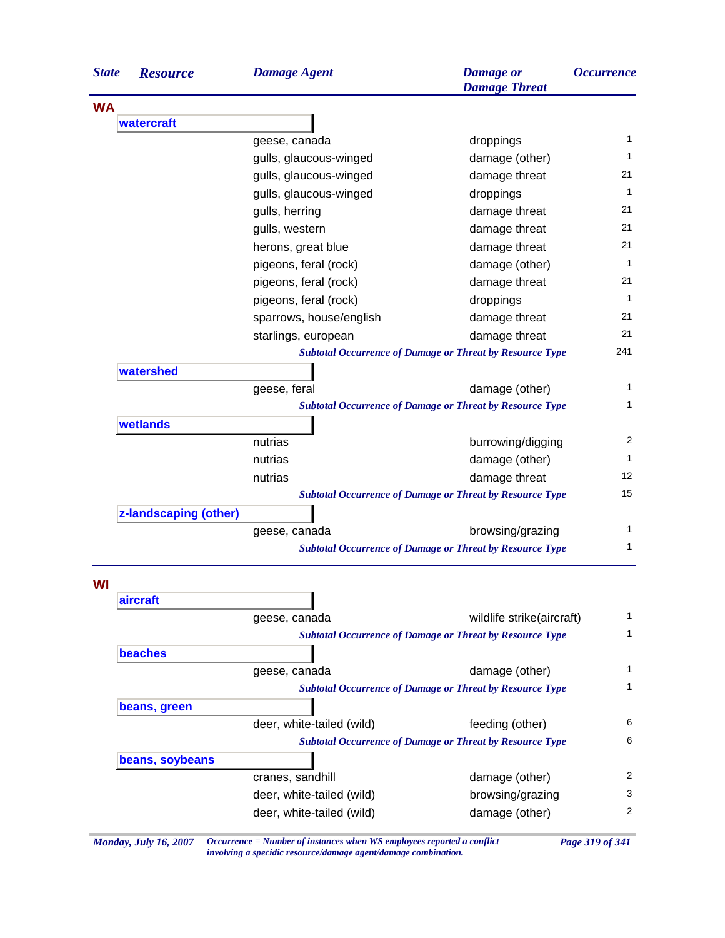| <b>State</b> | <b>Resource</b>       | <b>Damage Agent</b>       | <b>Damage</b> or<br><b>Damage Threat</b>                        | <i><b>Occurrence</b></i> |
|--------------|-----------------------|---------------------------|-----------------------------------------------------------------|--------------------------|
| <b>WA</b>    |                       |                           |                                                                 |                          |
|              | watercraft            |                           |                                                                 |                          |
|              |                       | geese, canada             | droppings                                                       | $\mathbf 1$              |
|              |                       | gulls, glaucous-winged    | damage (other)                                                  | $\mathbf{1}$             |
|              |                       | gulls, glaucous-winged    | damage threat                                                   | 21                       |
|              |                       | gulls, glaucous-winged    | droppings                                                       | $\mathbf{1}$             |
|              |                       | gulls, herring            | damage threat                                                   | 21                       |
|              |                       | gulls, western            | damage threat                                                   | 21                       |
|              |                       | herons, great blue        | damage threat                                                   | 21                       |
|              |                       | pigeons, feral (rock)     | damage (other)                                                  | $\mathbf{1}$             |
|              |                       | pigeons, feral (rock)     | damage threat                                                   | 21                       |
|              |                       | pigeons, feral (rock)     | droppings                                                       | $\mathbf{1}$             |
|              |                       | sparrows, house/english   | damage threat                                                   | 21                       |
|              |                       | starlings, european       | damage threat                                                   | 21                       |
|              |                       |                           | <b>Subtotal Occurrence of Damage or Threat by Resource Type</b> | 241                      |
|              | watershed             |                           |                                                                 |                          |
|              |                       | geese, feral              | damage (other)                                                  | 1                        |
|              |                       |                           | <b>Subtotal Occurrence of Damage or Threat by Resource Type</b> | 1                        |
|              | wetlands              |                           |                                                                 |                          |
|              |                       | nutrias                   | burrowing/digging                                               | 2                        |
|              |                       | nutrias                   | damage (other)                                                  | $\mathbf{1}$             |
|              |                       | nutrias                   | damage threat                                                   | 12                       |
|              |                       |                           | <b>Subtotal Occurrence of Damage or Threat by Resource Type</b> | 15                       |
|              | z-landscaping (other) |                           |                                                                 |                          |
|              |                       | geese, canada             | browsing/grazing                                                | 1                        |
|              |                       |                           | <b>Subtotal Occurrence of Damage or Threat by Resource Type</b> | 1                        |
| WI           |                       |                           |                                                                 |                          |
|              | aircraft              | geese, canada             | wildlife strike(aircraft)                                       | 1                        |
|              |                       |                           | <b>Subtotal Occurrence of Damage or Threat by Resource Type</b> | $\mathbf{1}$             |
|              | <b>beaches</b>        |                           |                                                                 |                          |
|              |                       | geese, canada             | damage (other)                                                  | 1                        |
|              |                       |                           | <b>Subtotal Occurrence of Damage or Threat by Resource Type</b> | 1                        |
|              | beans, green          |                           |                                                                 |                          |
|              |                       | deer, white-tailed (wild) | feeding (other)                                                 | 6                        |
|              |                       |                           | <b>Subtotal Occurrence of Damage or Threat by Resource Type</b> | 6                        |
|              | beans, soybeans       |                           |                                                                 |                          |
|              |                       | cranes, sandhill          | damage (other)                                                  | 2                        |
|              |                       | deer, white-tailed (wild) | browsing/grazing                                                | 3                        |
|              |                       | deer, white-tailed (wild) | damage (other)                                                  | 2                        |

*Monday, July 16, 2007 Occurrence = Number of instances when WS employees reported a conflict Page 319 of 341 involving a specidic resource/damage agent/damage combination.*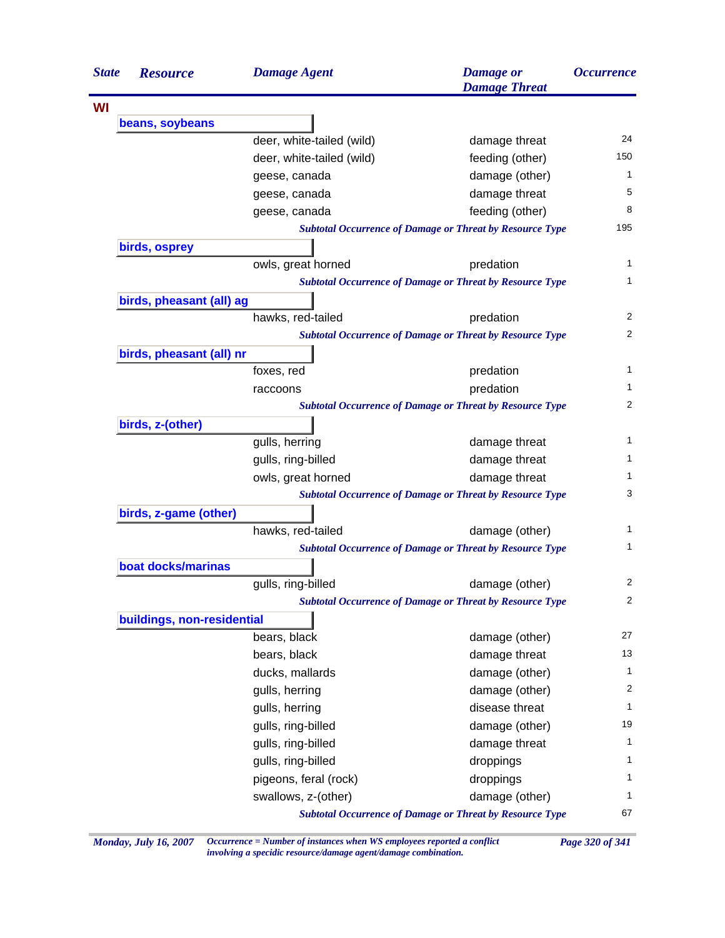| <b>State</b> | <b>Resource</b>            | <b>Damage Agent</b>       | <b>Damage</b> or<br><b>Damage Threat</b>                        | <i><b>Occurrence</b></i> |
|--------------|----------------------------|---------------------------|-----------------------------------------------------------------|--------------------------|
| WI           |                            |                           |                                                                 |                          |
|              | beans, soybeans            |                           |                                                                 |                          |
|              |                            | deer, white-tailed (wild) | damage threat                                                   | 24                       |
|              |                            | deer, white-tailed (wild) | feeding (other)                                                 | 150                      |
|              |                            | geese, canada             | damage (other)                                                  | 1                        |
|              |                            | geese, canada             | damage threat                                                   | 5                        |
|              |                            | geese, canada             | feeding (other)                                                 | 8                        |
|              |                            |                           | <b>Subtotal Occurrence of Damage or Threat by Resource Type</b> | 195                      |
|              | birds, osprey              |                           |                                                                 |                          |
|              |                            | owls, great horned        | predation                                                       | 1                        |
|              |                            |                           | <b>Subtotal Occurrence of Damage or Threat by Resource Type</b> | 1                        |
|              | birds, pheasant (all) ag   |                           |                                                                 |                          |
|              |                            | hawks, red-tailed         | predation                                                       | $\overline{2}$           |
|              |                            |                           | <b>Subtotal Occurrence of Damage or Threat by Resource Type</b> | 2                        |
|              | birds, pheasant (all) nr   |                           |                                                                 |                          |
|              |                            | foxes, red                | predation                                                       | 1                        |
|              |                            | raccoons                  | predation                                                       | 1                        |
|              |                            |                           | <b>Subtotal Occurrence of Damage or Threat by Resource Type</b> | 2                        |
|              | birds, z-(other)           |                           |                                                                 |                          |
|              |                            | gulls, herring            | damage threat                                                   | 1                        |
|              |                            | gulls, ring-billed        | damage threat                                                   | 1                        |
|              |                            | owls, great horned        | damage threat                                                   | 1                        |
|              |                            |                           | <b>Subtotal Occurrence of Damage or Threat by Resource Type</b> | 3                        |
|              | birds, z-game (other)      |                           |                                                                 |                          |
|              |                            | hawks, red-tailed         | damage (other)                                                  | 1                        |
|              |                            |                           | <b>Subtotal Occurrence of Damage or Threat by Resource Type</b> | 1                        |
|              | boat docks/marinas         |                           |                                                                 |                          |
|              |                            | gulls, ring-billed        | damage (other)                                                  | 2                        |
|              |                            |                           | <b>Subtotal Occurrence of Damage or Threat by Resource Type</b> | 2                        |
|              | buildings, non-residential |                           |                                                                 |                          |
|              |                            | bears, black              | damage (other)                                                  | 27                       |
|              |                            | bears, black              | damage threat                                                   | 13                       |
|              |                            | ducks, mallards           | damage (other)                                                  | 1                        |
|              |                            | gulls, herring            | damage (other)                                                  | 2                        |
|              |                            | gulls, herring            | disease threat                                                  | $\mathbf{1}$             |
|              |                            | gulls, ring-billed        | damage (other)                                                  | 19                       |
|              |                            | gulls, ring-billed        | damage threat                                                   | 1                        |
|              |                            | gulls, ring-billed        | droppings                                                       | 1                        |
|              |                            | pigeons, feral (rock)     | droppings                                                       | 1                        |
|              |                            | swallows, z-(other)       | damage (other)                                                  | 1                        |
|              |                            |                           | <b>Subtotal Occurrence of Damage or Threat by Resource Type</b> | 67                       |

*Monday, July 16, 2007 Occurrence = Number of instances when WS employees reported a conflict Page 320 of 341 involving a specidic resource/damage agent/damage combination.*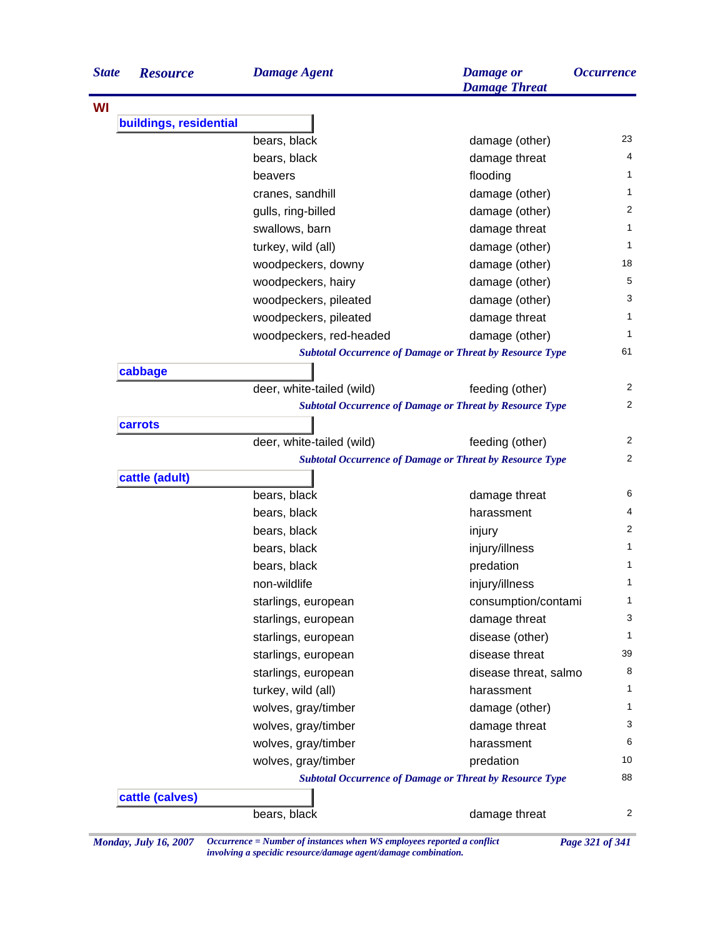| <b>State</b> | <b>Resource</b>        | <b>Damage Agent</b>       | <b>Damage</b> or<br><b>Damage Threat</b>                        | <i><b>Occurrence</b></i> |
|--------------|------------------------|---------------------------|-----------------------------------------------------------------|--------------------------|
| WI           |                        |                           |                                                                 |                          |
|              | buildings, residential |                           |                                                                 |                          |
|              |                        | bears, black              | damage (other)                                                  | 23                       |
|              |                        | bears, black              | damage threat                                                   | 4                        |
|              |                        | beavers                   | flooding                                                        | 1                        |
|              |                        | cranes, sandhill          | damage (other)                                                  | 1                        |
|              |                        | gulls, ring-billed        | damage (other)                                                  | 2                        |
|              |                        | swallows, barn            | damage threat                                                   | 1                        |
|              |                        | turkey, wild (all)        | damage (other)                                                  | 1                        |
|              |                        | woodpeckers, downy        | damage (other)                                                  | 18                       |
|              |                        | woodpeckers, hairy        | damage (other)                                                  | 5                        |
|              |                        | woodpeckers, pileated     | damage (other)                                                  | 3                        |
|              |                        | woodpeckers, pileated     | damage threat                                                   | 1                        |
|              |                        | woodpeckers, red-headed   | damage (other)                                                  | 1                        |
|              |                        |                           | <b>Subtotal Occurrence of Damage or Threat by Resource Type</b> | 61                       |
|              | cabbage                |                           |                                                                 |                          |
|              |                        | deer, white-tailed (wild) | feeding (other)                                                 | 2                        |
|              |                        |                           | <b>Subtotal Occurrence of Damage or Threat by Resource Type</b> | $\overline{c}$           |
|              | carrots                |                           |                                                                 |                          |
|              |                        | deer, white-tailed (wild) | feeding (other)                                                 | 2                        |
|              |                        |                           | <b>Subtotal Occurrence of Damage or Threat by Resource Type</b> | 2                        |
|              | cattle (adult)         |                           |                                                                 |                          |
|              |                        | bears, black              | damage threat                                                   | 6                        |
|              |                        | bears, black              | harassment                                                      | 4                        |
|              |                        | bears, black              | injury                                                          | 2                        |
|              |                        | bears, black              | injury/illness                                                  | 1                        |
|              |                        | bears, black              | predation                                                       | 1                        |
|              |                        | non-wildlife              | injury/illness                                                  | 1                        |
|              |                        | starlings, european       | consumption/contami                                             | 1                        |
|              |                        | starlings, european       | damage threat                                                   | 3                        |
|              |                        | starlings, european       | disease (other)                                                 | 1                        |
|              |                        | starlings, european       | disease threat                                                  | 39                       |
|              |                        | starlings, european       | disease threat, salmo                                           | 8                        |
|              |                        | turkey, wild (all)        | harassment                                                      | 1                        |
|              |                        | wolves, gray/timber       | damage (other)                                                  | 1                        |
|              |                        | wolves, gray/timber       | damage threat                                                   | 3                        |
|              |                        | wolves, gray/timber       | harassment                                                      | 6                        |
|              |                        | wolves, gray/timber       | predation                                                       | 10                       |
|              |                        |                           | <b>Subtotal Occurrence of Damage or Threat by Resource Type</b> | 88                       |
|              | cattle (calves)        |                           |                                                                 |                          |
|              |                        | bears, black              | damage threat                                                   | 2                        |

*Monday, July 16, 2007 Occurrence = Number of instances when WS employees reported a conflict Page 321 of 341 involving a specidic resource/damage agent/damage combination.*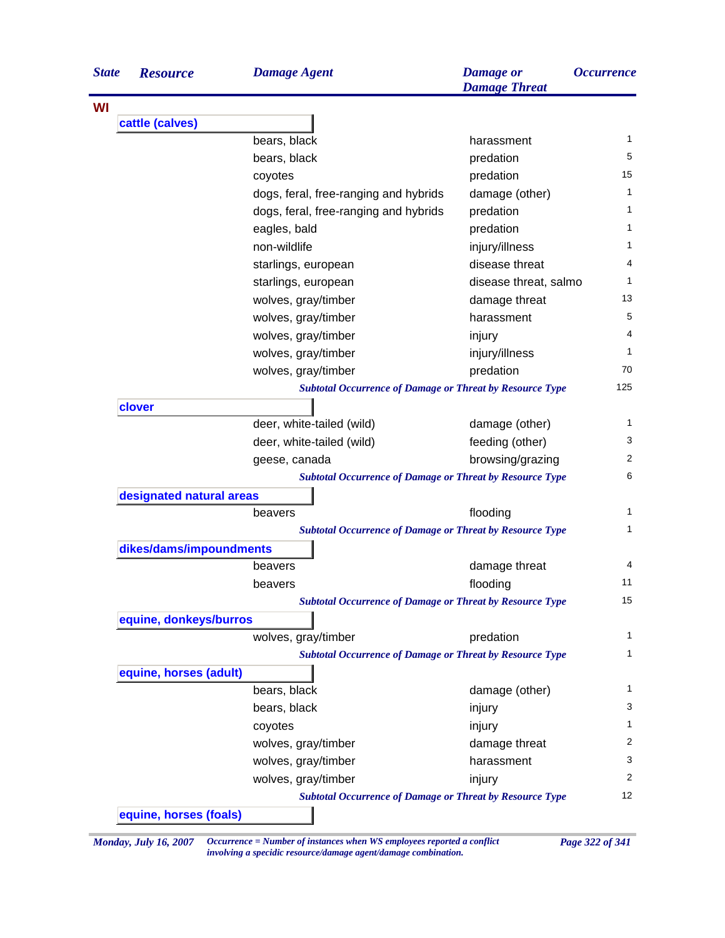| <b>State</b> | <b>Resource</b>          | <b>Damage Agent</b>                                             | <b>Damage</b> or<br><b>Damage Threat</b> | <i><b>Occurrence</b></i> |
|--------------|--------------------------|-----------------------------------------------------------------|------------------------------------------|--------------------------|
| WI           |                          |                                                                 |                                          |                          |
|              | cattle (calves)          |                                                                 |                                          |                          |
|              |                          | bears, black                                                    | harassment                               | 1                        |
|              |                          | bears, black                                                    | predation                                | 5                        |
|              |                          | coyotes                                                         | predation                                | 15                       |
|              |                          | dogs, feral, free-ranging and hybrids                           | damage (other)                           | 1                        |
|              |                          | dogs, feral, free-ranging and hybrids                           | predation                                | 1                        |
|              |                          | eagles, bald                                                    | predation                                | 1                        |
|              |                          | non-wildlife                                                    | injury/illness                           | 1                        |
|              |                          | starlings, european                                             | disease threat                           | 4                        |
|              |                          | starlings, european                                             | disease threat, salmo                    | 1                        |
|              |                          | wolves, gray/timber                                             | damage threat                            | 13                       |
|              |                          | wolves, gray/timber                                             | harassment                               | 5                        |
|              |                          | wolves, gray/timber                                             | injury                                   | 4                        |
|              |                          | wolves, gray/timber                                             | injury/illness                           | 1                        |
|              |                          | wolves, gray/timber                                             | predation                                | 70                       |
|              |                          | <b>Subtotal Occurrence of Damage or Threat by Resource Type</b> |                                          | 125                      |
|              | clover                   |                                                                 |                                          |                          |
|              |                          | deer, white-tailed (wild)                                       | damage (other)                           | 1                        |
|              |                          | deer, white-tailed (wild)                                       | feeding (other)                          | 3                        |
|              |                          | geese, canada                                                   | browsing/grazing                         | 2                        |
|              |                          | <b>Subtotal Occurrence of Damage or Threat by Resource Type</b> |                                          | 6                        |
|              | designated natural areas |                                                                 |                                          |                          |
|              |                          | beavers                                                         | flooding                                 | 1                        |
|              |                          | <b>Subtotal Occurrence of Damage or Threat by Resource Type</b> |                                          | 1                        |
|              | dikes/dams/impoundments  |                                                                 |                                          |                          |
|              |                          | beavers                                                         | damage threat                            | 4                        |
|              |                          | beavers                                                         | flooding                                 | 11                       |
|              |                          | <b>Subtotal Occurrence of Damage or Threat by Resource Type</b> |                                          | 15                       |
|              | equine, donkeys/burros   |                                                                 |                                          |                          |
|              |                          | wolves, gray/timber                                             | predation                                | 1                        |
|              |                          | <b>Subtotal Occurrence of Damage or Threat by Resource Type</b> |                                          | 1                        |
|              | equine, horses (adult)   |                                                                 |                                          |                          |
|              |                          | bears, black                                                    | damage (other)                           | 1                        |
|              |                          | bears, black                                                    | injury                                   | 3                        |
|              |                          | coyotes                                                         | injury                                   | 1                        |
|              |                          | wolves, gray/timber                                             | damage threat                            | 2                        |
|              |                          | wolves, gray/timber                                             | harassment                               | 3                        |
|              |                          | wolves, gray/timber                                             | injury                                   | 2                        |
|              |                          | <b>Subtotal Occurrence of Damage or Threat by Resource Type</b> |                                          | 12                       |
|              | equine, horses (foals)   |                                                                 |                                          |                          |

*Monday, July 16, 2007 Occurrence = Number of instances when WS employees reported a conflict Page 322 of 341 involving a specidic resource/damage agent/damage combination.*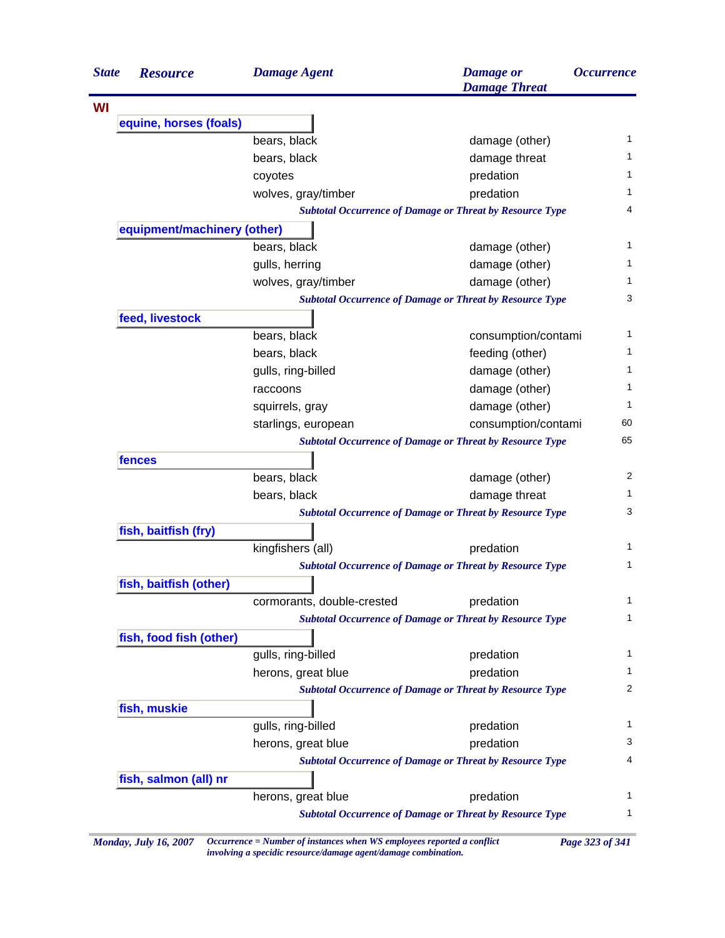| <b>State</b> | <b>Resource</b>                                                 | <b>Damage Agent</b>                                             | <b>Damage</b> or<br><b>Damage Threat</b>                        | <i><b>Occurrence</b></i> |  |
|--------------|-----------------------------------------------------------------|-----------------------------------------------------------------|-----------------------------------------------------------------|--------------------------|--|
| WI           |                                                                 |                                                                 |                                                                 |                          |  |
|              | equine, horses (foals)                                          |                                                                 |                                                                 |                          |  |
|              |                                                                 | bears, black                                                    | damage (other)                                                  | 1                        |  |
|              |                                                                 | bears, black                                                    | damage threat                                                   |                          |  |
|              |                                                                 | coyotes                                                         | predation                                                       | 1                        |  |
|              |                                                                 | wolves, gray/timber                                             | predation                                                       | 1                        |  |
|              |                                                                 | <b>Subtotal Occurrence of Damage or Threat by Resource Type</b> |                                                                 |                          |  |
|              | equipment/machinery (other)                                     |                                                                 |                                                                 |                          |  |
|              |                                                                 | bears, black                                                    | damage (other)                                                  | 1                        |  |
|              |                                                                 | gulls, herring                                                  | damage (other)                                                  |                          |  |
|              |                                                                 | wolves, gray/timber                                             | damage (other)                                                  |                          |  |
|              | <b>Subtotal Occurrence of Damage or Threat by Resource Type</b> |                                                                 |                                                                 |                          |  |
|              | feed, livestock                                                 |                                                                 |                                                                 |                          |  |
|              |                                                                 | bears, black                                                    | consumption/contami                                             | 1                        |  |
|              |                                                                 | bears, black                                                    | feeding (other)                                                 | 1                        |  |
|              |                                                                 | gulls, ring-billed                                              | damage (other)                                                  | 1                        |  |
|              |                                                                 | raccoons                                                        | damage (other)                                                  | 1                        |  |
|              |                                                                 | squirrels, gray                                                 | damage (other)                                                  |                          |  |
|              |                                                                 | starlings, european                                             | consumption/contami                                             | 60                       |  |
|              |                                                                 | <b>Subtotal Occurrence of Damage or Threat by Resource Type</b> |                                                                 |                          |  |
|              | fences                                                          |                                                                 |                                                                 |                          |  |
|              |                                                                 | bears, black                                                    | damage (other)                                                  | 2                        |  |
|              |                                                                 | bears, black                                                    | damage threat                                                   |                          |  |
|              | <b>Subtotal Occurrence of Damage or Threat by Resource Type</b> |                                                                 |                                                                 |                          |  |
|              | fish, baitfish (fry)                                            |                                                                 |                                                                 |                          |  |
|              |                                                                 | kingfishers (all)                                               | predation                                                       | 1                        |  |
|              |                                                                 |                                                                 | <b>Subtotal Occurrence of Damage or Threat by Resource Type</b> | 1                        |  |
|              | fish, baitfish (other)                                          |                                                                 |                                                                 |                          |  |
|              |                                                                 | cormorants, double-crested                                      | predation                                                       | 1                        |  |
|              |                                                                 |                                                                 | <b>Subtotal Occurrence of Damage or Threat by Resource Type</b> |                          |  |
|              | fish, food fish (other)                                         |                                                                 |                                                                 |                          |  |
|              |                                                                 | gulls, ring-billed                                              | predation                                                       |                          |  |
|              |                                                                 | herons, great blue                                              | predation                                                       |                          |  |
|              |                                                                 |                                                                 | <b>Subtotal Occurrence of Damage or Threat by Resource Type</b> | 2                        |  |
|              | fish, muskie                                                    |                                                                 |                                                                 |                          |  |
|              |                                                                 | gulls, ring-billed                                              | predation                                                       |                          |  |
|              |                                                                 | herons, great blue                                              | predation                                                       | 3                        |  |
|              |                                                                 |                                                                 | <b>Subtotal Occurrence of Damage or Threat by Resource Type</b> |                          |  |
|              | fish, salmon (all) nr                                           |                                                                 |                                                                 |                          |  |
|              |                                                                 | herons, great blue                                              | predation                                                       |                          |  |
|              |                                                                 |                                                                 | <b>Subtotal Occurrence of Damage or Threat by Resource Type</b> | 1                        |  |

*Monday, July 16, 2007 Occurrence = Number of instances when WS employees reported a conflict Page 323 of 341 involving a specidic resource/damage agent/damage combination.*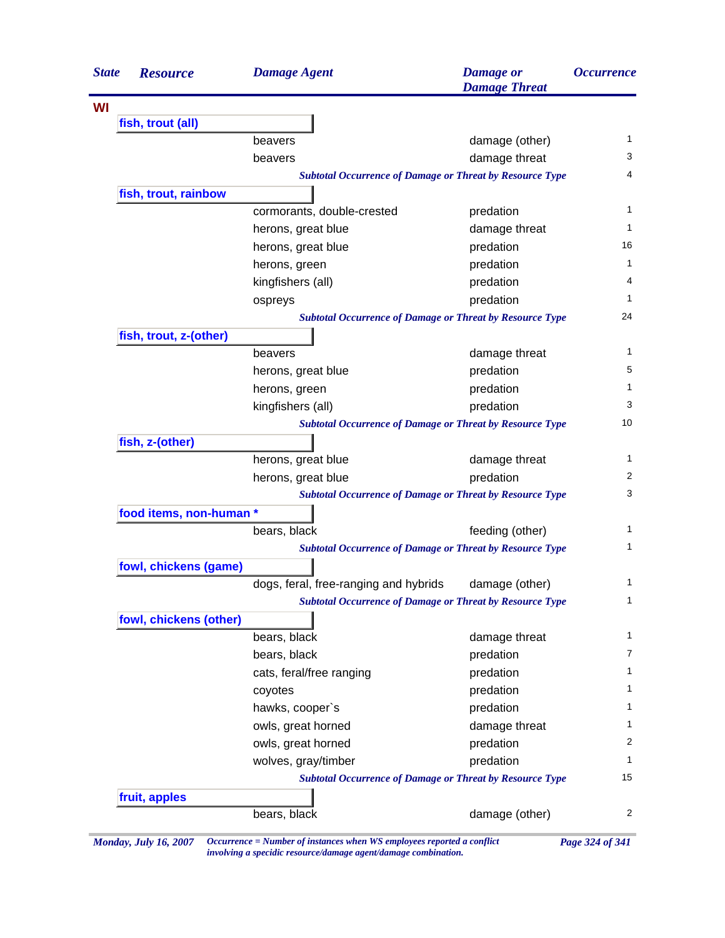| fish, trout (all)<br>fish, trout, rainbow<br>fish, trout, z-(other) | beavers<br>beavers<br><b>Subtotal Occurrence of Damage or Threat by Resource Type</b><br>cormorants, double-crested<br>herons, great blue<br>herons, great blue<br>herons, green<br>kingfishers (all)<br>ospreys<br><b>Subtotal Occurrence of Damage or Threat by Resource Type</b><br>beavers | damage (other)<br>damage threat<br>predation<br>damage threat<br>predation<br>predation<br>predation<br>predation                                                                                                  | $\mathbf{1}$<br>3<br>4<br>1<br>1<br>16<br>1<br>4<br>1<br>24                                                                                                                                                                                                                            |  |
|---------------------------------------------------------------------|------------------------------------------------------------------------------------------------------------------------------------------------------------------------------------------------------------------------------------------------------------------------------------------------|--------------------------------------------------------------------------------------------------------------------------------------------------------------------------------------------------------------------|----------------------------------------------------------------------------------------------------------------------------------------------------------------------------------------------------------------------------------------------------------------------------------------|--|
|                                                                     |                                                                                                                                                                                                                                                                                                |                                                                                                                                                                                                                    |                                                                                                                                                                                                                                                                                        |  |
|                                                                     |                                                                                                                                                                                                                                                                                                |                                                                                                                                                                                                                    |                                                                                                                                                                                                                                                                                        |  |
|                                                                     |                                                                                                                                                                                                                                                                                                |                                                                                                                                                                                                                    |                                                                                                                                                                                                                                                                                        |  |
|                                                                     |                                                                                                                                                                                                                                                                                                |                                                                                                                                                                                                                    |                                                                                                                                                                                                                                                                                        |  |
|                                                                     |                                                                                                                                                                                                                                                                                                |                                                                                                                                                                                                                    |                                                                                                                                                                                                                                                                                        |  |
|                                                                     |                                                                                                                                                                                                                                                                                                |                                                                                                                                                                                                                    |                                                                                                                                                                                                                                                                                        |  |
|                                                                     |                                                                                                                                                                                                                                                                                                |                                                                                                                                                                                                                    |                                                                                                                                                                                                                                                                                        |  |
|                                                                     |                                                                                                                                                                                                                                                                                                |                                                                                                                                                                                                                    |                                                                                                                                                                                                                                                                                        |  |
|                                                                     |                                                                                                                                                                                                                                                                                                |                                                                                                                                                                                                                    |                                                                                                                                                                                                                                                                                        |  |
|                                                                     |                                                                                                                                                                                                                                                                                                |                                                                                                                                                                                                                    |                                                                                                                                                                                                                                                                                        |  |
|                                                                     |                                                                                                                                                                                                                                                                                                |                                                                                                                                                                                                                    |                                                                                                                                                                                                                                                                                        |  |
|                                                                     |                                                                                                                                                                                                                                                                                                |                                                                                                                                                                                                                    |                                                                                                                                                                                                                                                                                        |  |
|                                                                     |                                                                                                                                                                                                                                                                                                |                                                                                                                                                                                                                    |                                                                                                                                                                                                                                                                                        |  |
|                                                                     |                                                                                                                                                                                                                                                                                                |                                                                                                                                                                                                                    |                                                                                                                                                                                                                                                                                        |  |
|                                                                     |                                                                                                                                                                                                                                                                                                | damage threat                                                                                                                                                                                                      | 1                                                                                                                                                                                                                                                                                      |  |
|                                                                     | herons, great blue                                                                                                                                                                                                                                                                             | predation                                                                                                                                                                                                          | 5                                                                                                                                                                                                                                                                                      |  |
|                                                                     | herons, green                                                                                                                                                                                                                                                                                  | predation                                                                                                                                                                                                          | 1                                                                                                                                                                                                                                                                                      |  |
|                                                                     | kingfishers (all)                                                                                                                                                                                                                                                                              | predation                                                                                                                                                                                                          | 3                                                                                                                                                                                                                                                                                      |  |
| <b>Subtotal Occurrence of Damage or Threat by Resource Type</b>     |                                                                                                                                                                                                                                                                                                |                                                                                                                                                                                                                    |                                                                                                                                                                                                                                                                                        |  |
| fish, z-(other)                                                     |                                                                                                                                                                                                                                                                                                |                                                                                                                                                                                                                    |                                                                                                                                                                                                                                                                                        |  |
|                                                                     | herons, great blue                                                                                                                                                                                                                                                                             | damage threat                                                                                                                                                                                                      | 1                                                                                                                                                                                                                                                                                      |  |
|                                                                     | herons, great blue                                                                                                                                                                                                                                                                             | predation                                                                                                                                                                                                          | 2                                                                                                                                                                                                                                                                                      |  |
|                                                                     | <b>Subtotal Occurrence of Damage or Threat by Resource Type</b>                                                                                                                                                                                                                                |                                                                                                                                                                                                                    | 3                                                                                                                                                                                                                                                                                      |  |
| food items, non-human *                                             |                                                                                                                                                                                                                                                                                                |                                                                                                                                                                                                                    |                                                                                                                                                                                                                                                                                        |  |
|                                                                     | bears, black                                                                                                                                                                                                                                                                                   | feeding (other)                                                                                                                                                                                                    | 1                                                                                                                                                                                                                                                                                      |  |
|                                                                     | <b>Subtotal Occurrence of Damage or Threat by Resource Type</b>                                                                                                                                                                                                                                |                                                                                                                                                                                                                    | 1                                                                                                                                                                                                                                                                                      |  |
|                                                                     |                                                                                                                                                                                                                                                                                                |                                                                                                                                                                                                                    |                                                                                                                                                                                                                                                                                        |  |
|                                                                     |                                                                                                                                                                                                                                                                                                |                                                                                                                                                                                                                    | 1                                                                                                                                                                                                                                                                                      |  |
|                                                                     |                                                                                                                                                                                                                                                                                                |                                                                                                                                                                                                                    | $\mathbf{1}$                                                                                                                                                                                                                                                                           |  |
|                                                                     |                                                                                                                                                                                                                                                                                                |                                                                                                                                                                                                                    |                                                                                                                                                                                                                                                                                        |  |
|                                                                     |                                                                                                                                                                                                                                                                                                |                                                                                                                                                                                                                    | 1                                                                                                                                                                                                                                                                                      |  |
|                                                                     |                                                                                                                                                                                                                                                                                                |                                                                                                                                                                                                                    | 7                                                                                                                                                                                                                                                                                      |  |
|                                                                     |                                                                                                                                                                                                                                                                                                |                                                                                                                                                                                                                    | 1                                                                                                                                                                                                                                                                                      |  |
|                                                                     |                                                                                                                                                                                                                                                                                                |                                                                                                                                                                                                                    | 1                                                                                                                                                                                                                                                                                      |  |
|                                                                     |                                                                                                                                                                                                                                                                                                |                                                                                                                                                                                                                    | 1                                                                                                                                                                                                                                                                                      |  |
|                                                                     |                                                                                                                                                                                                                                                                                                |                                                                                                                                                                                                                    | 1                                                                                                                                                                                                                                                                                      |  |
|                                                                     |                                                                                                                                                                                                                                                                                                |                                                                                                                                                                                                                    | 2                                                                                                                                                                                                                                                                                      |  |
|                                                                     |                                                                                                                                                                                                                                                                                                |                                                                                                                                                                                                                    | 1                                                                                                                                                                                                                                                                                      |  |
|                                                                     |                                                                                                                                                                                                                                                                                                |                                                                                                                                                                                                                    | 15                                                                                                                                                                                                                                                                                     |  |
|                                                                     |                                                                                                                                                                                                                                                                                                |                                                                                                                                                                                                                    |                                                                                                                                                                                                                                                                                        |  |
|                                                                     |                                                                                                                                                                                                                                                                                                |                                                                                                                                                                                                                    | 2                                                                                                                                                                                                                                                                                      |  |
|                                                                     | fowl, chickens (game)<br>fowl, chickens (other)<br>fruit, apples                                                                                                                                                                                                                               | dogs, feral, free-ranging and hybrids<br>bears, black<br>bears, black<br>cats, feral/free ranging<br>coyotes<br>hawks, cooper's<br>owls, great horned<br>owls, great horned<br>wolves, gray/timber<br>bears, black | damage (other)<br><b>Subtotal Occurrence of Damage or Threat by Resource Type</b><br>damage threat<br>predation<br>predation<br>predation<br>predation<br>damage threat<br>predation<br>predation<br><b>Subtotal Occurrence of Damage or Threat by Resource Type</b><br>damage (other) |  |

*Monday, July 16, 2007 Occurrence = Number of instances when WS employees reported a conflict Page 324 of 341 involving a specidic resource/damage agent/damage combination.*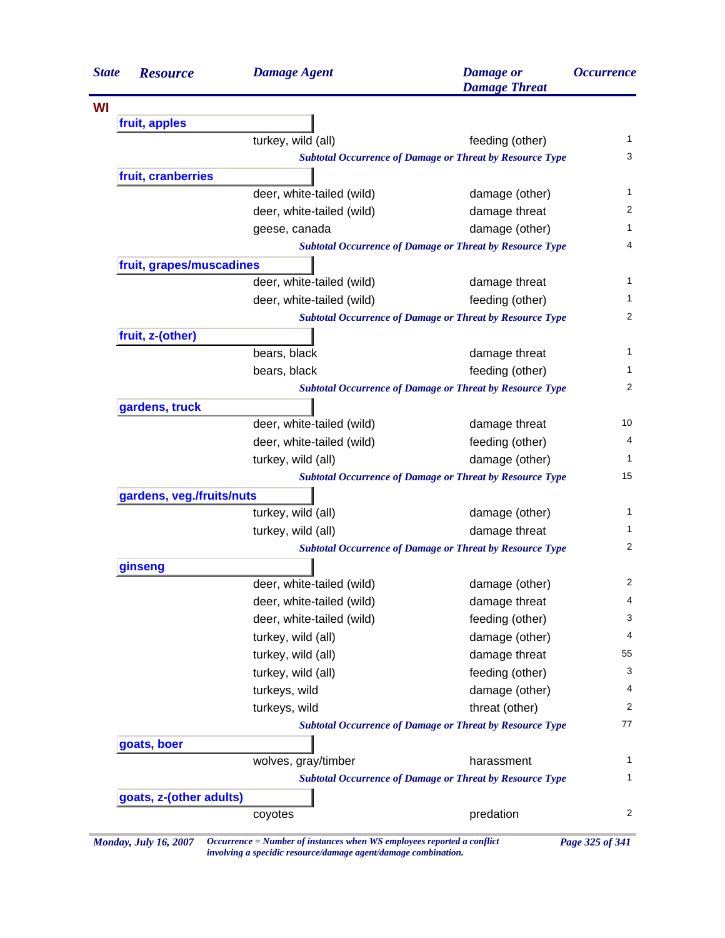| <b>State</b> | <b>Resource</b>           | <b>Damage Agent</b>       | <b>Damage</b> or<br><b>Damage Threat</b>                        |                                                                                                                                                                                      |  |
|--------------|---------------------------|---------------------------|-----------------------------------------------------------------|--------------------------------------------------------------------------------------------------------------------------------------------------------------------------------------|--|
| WI           |                           |                           |                                                                 |                                                                                                                                                                                      |  |
|              | fruit, apples             |                           |                                                                 |                                                                                                                                                                                      |  |
|              |                           | turkey, wild (all)        | feeding (other)                                                 |                                                                                                                                                                                      |  |
|              |                           |                           | <b>Subtotal Occurrence of Damage or Threat by Resource Type</b> |                                                                                                                                                                                      |  |
|              | fruit, cranberries        |                           |                                                                 |                                                                                                                                                                                      |  |
|              |                           | deer, white-tailed (wild) | damage (other)                                                  |                                                                                                                                                                                      |  |
|              |                           | deer, white-tailed (wild) | damage threat                                                   |                                                                                                                                                                                      |  |
|              |                           | geese, canada             | damage (other)                                                  |                                                                                                                                                                                      |  |
|              |                           |                           | <b>Subtotal Occurrence of Damage or Threat by Resource Type</b> |                                                                                                                                                                                      |  |
|              | fruit, grapes/muscadines  |                           |                                                                 |                                                                                                                                                                                      |  |
|              |                           | deer, white-tailed (wild) | damage threat                                                   |                                                                                                                                                                                      |  |
|              |                           | deer, white-tailed (wild) | feeding (other)                                                 |                                                                                                                                                                                      |  |
|              |                           |                           | <b>Subtotal Occurrence of Damage or Threat by Resource Type</b> |                                                                                                                                                                                      |  |
|              | fruit, z-(other)          |                           |                                                                 |                                                                                                                                                                                      |  |
|              |                           | bears, black              | damage threat                                                   |                                                                                                                                                                                      |  |
|              |                           | bears, black              | feeding (other)                                                 |                                                                                                                                                                                      |  |
|              |                           |                           | <b>Subtotal Occurrence of Damage or Threat by Resource Type</b> | <i><b>Occurrence</b></i><br>1<br>3<br>1<br>2<br>1<br>4<br>1<br>1.<br>2<br>1<br>1.<br>2<br>10<br>4<br>1<br>15<br>1<br>1<br>2<br>2<br>4<br>3<br>4<br>55<br>3<br>4<br>2<br>77<br>1<br>1 |  |
|              | gardens, truck            |                           |                                                                 |                                                                                                                                                                                      |  |
|              |                           | deer, white-tailed (wild) | damage threat                                                   |                                                                                                                                                                                      |  |
|              |                           | deer, white-tailed (wild) | feeding (other)                                                 |                                                                                                                                                                                      |  |
|              |                           | turkey, wild (all)        | damage (other)                                                  |                                                                                                                                                                                      |  |
|              |                           |                           | <b>Subtotal Occurrence of Damage or Threat by Resource Type</b> |                                                                                                                                                                                      |  |
|              | gardens, veg./fruits/nuts |                           |                                                                 |                                                                                                                                                                                      |  |
|              |                           | turkey, wild (all)        | damage (other)                                                  |                                                                                                                                                                                      |  |
|              |                           | turkey, wild (all)        | damage threat                                                   |                                                                                                                                                                                      |  |
|              |                           |                           | <b>Subtotal Occurrence of Damage or Threat by Resource Type</b> |                                                                                                                                                                                      |  |
|              | ginseng                   |                           |                                                                 |                                                                                                                                                                                      |  |
|              |                           | deer, white-tailed (wild) | damage (other)                                                  |                                                                                                                                                                                      |  |
|              |                           | deer, white-tailed (wild) | damage threat                                                   |                                                                                                                                                                                      |  |
|              |                           | deer, white-tailed (wild) | feeding (other)                                                 |                                                                                                                                                                                      |  |
|              |                           | turkey, wild (all)        | damage (other)                                                  |                                                                                                                                                                                      |  |
|              |                           | turkey, wild (all)        | damage threat                                                   |                                                                                                                                                                                      |  |
|              |                           | turkey, wild (all)        | feeding (other)                                                 |                                                                                                                                                                                      |  |
|              |                           | turkeys, wild             | damage (other)                                                  |                                                                                                                                                                                      |  |
|              |                           | turkeys, wild             | threat (other)                                                  |                                                                                                                                                                                      |  |
|              |                           |                           | <b>Subtotal Occurrence of Damage or Threat by Resource Type</b> |                                                                                                                                                                                      |  |
|              | goats, boer               |                           |                                                                 |                                                                                                                                                                                      |  |
|              |                           | wolves, gray/timber       | harassment                                                      |                                                                                                                                                                                      |  |
|              |                           |                           | <b>Subtotal Occurrence of Damage or Threat by Resource Type</b> |                                                                                                                                                                                      |  |
|              | goats, z-(other adults)   |                           |                                                                 |                                                                                                                                                                                      |  |
|              |                           | coyotes                   | predation                                                       |                                                                                                                                                                                      |  |

*involving a specidic resource/damage agent/damage combination.*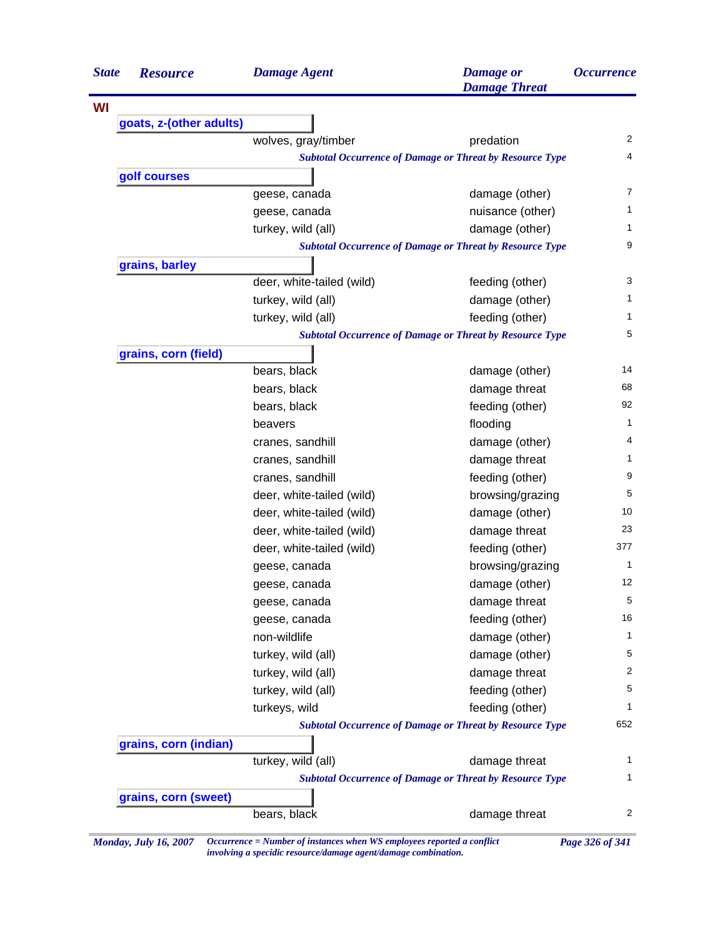| <b>State</b> | <b>Resource</b>         | <b>Damage Agent</b>       | <b>Damage</b> or<br><b>Damage Threat</b>                        | <i><b>Occurrence</b></i> |
|--------------|-------------------------|---------------------------|-----------------------------------------------------------------|--------------------------|
| WI           |                         |                           |                                                                 |                          |
|              | goats, z-(other adults) |                           |                                                                 |                          |
|              |                         | wolves, gray/timber       | predation                                                       | $\overline{2}$           |
|              |                         |                           | <b>Subtotal Occurrence of Damage or Threat by Resource Type</b> | 4                        |
|              | golf courses            |                           |                                                                 |                          |
|              |                         | geese, canada             | damage (other)                                                  | $\overline{7}$           |
|              |                         | geese, canada             | nuisance (other)                                                | 1                        |
|              |                         | turkey, wild (all)        | damage (other)                                                  | 1                        |
|              |                         |                           | <b>Subtotal Occurrence of Damage or Threat by Resource Type</b> | 9                        |
|              | grains, barley          |                           |                                                                 |                          |
|              |                         | deer, white-tailed (wild) | feeding (other)                                                 | 3                        |
|              |                         | turkey, wild (all)        | damage (other)                                                  | 1                        |
|              |                         | turkey, wild (all)        | feeding (other)                                                 | 1                        |
|              |                         |                           | <b>Subtotal Occurrence of Damage or Threat by Resource Type</b> | 5                        |
|              | grains, corn (field)    |                           |                                                                 |                          |
|              |                         | bears, black              | damage (other)                                                  | 14                       |
|              |                         | bears, black              | damage threat                                                   | 68                       |
|              |                         | bears, black              | feeding (other)                                                 | 92                       |
|              |                         | beavers                   | flooding                                                        | 1                        |
|              |                         | cranes, sandhill          | damage (other)                                                  | 4                        |
|              |                         | cranes, sandhill          | damage threat                                                   | 1                        |
|              |                         | cranes, sandhill          | feeding (other)                                                 | 9                        |
|              |                         | deer, white-tailed (wild) | browsing/grazing                                                | 5                        |
|              |                         | deer, white-tailed (wild) | damage (other)                                                  | 10                       |
|              |                         | deer, white-tailed (wild) | damage threat                                                   | 23                       |
|              |                         | deer, white-tailed (wild) | feeding (other)                                                 | 377                      |
|              |                         | geese, canada             | browsing/grazing                                                | $\mathbf{1}$             |
|              |                         | geese, canada             | damage (other)                                                  | 12                       |
|              |                         | geese, canada             | damage threat                                                   | 5                        |
|              |                         | geese, canada             | feeding (other)                                                 | 16                       |
|              |                         | non-wildlife              | damage (other)                                                  | 1                        |
|              |                         | turkey, wild (all)        | damage (other)                                                  | 5                        |
|              |                         | turkey, wild (all)        | damage threat                                                   | 2                        |
|              |                         | turkey, wild (all)        | feeding (other)                                                 | 5                        |
|              |                         | turkeys, wild             | feeding (other)                                                 | 1                        |
|              |                         |                           | <b>Subtotal Occurrence of Damage or Threat by Resource Type</b> | 652                      |
|              | grains, corn (indian)   |                           |                                                                 |                          |
|              |                         | turkey, wild (all)        | damage threat                                                   | 1                        |
|              |                         |                           | <b>Subtotal Occurrence of Damage or Threat by Resource Type</b> | 1                        |
|              | grains, corn (sweet)    |                           |                                                                 |                          |
|              |                         | bears, black              | damage threat                                                   | 2                        |

*Monday, July 16, 2007 Occurrence = Number of instances when WS employees reported a conflict Page 326 of 341 involving a specidic resource/damage agent/damage combination.*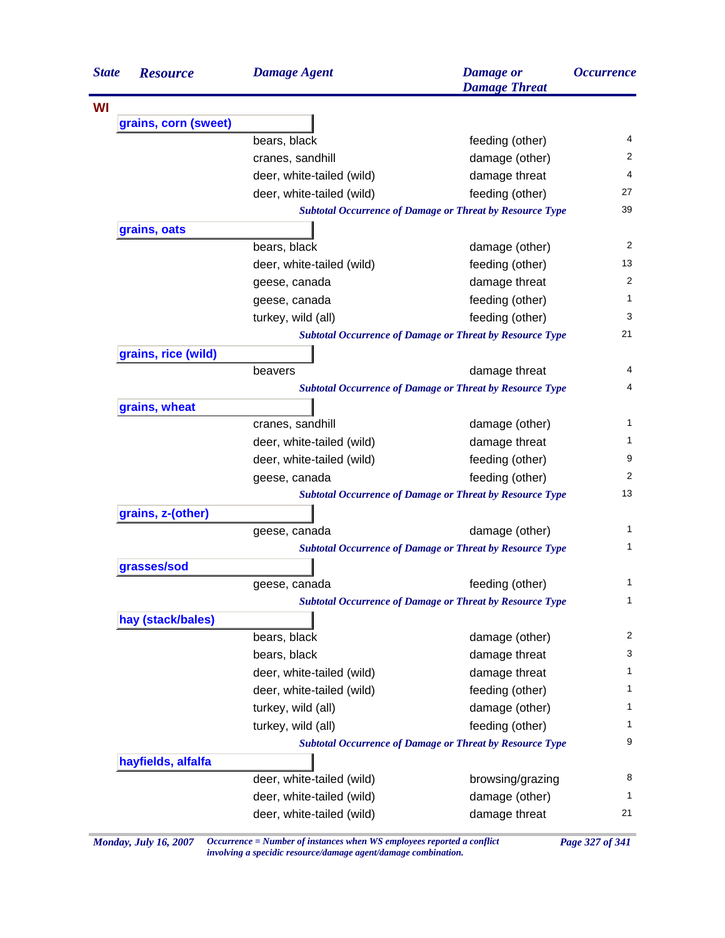| <b>State</b> | <b>Resource</b>      | <b>Damage Agent</b>       | <b>Damage</b> or<br><b>Damage Threat</b>                        | <i><b>Occurrence</b></i> |
|--------------|----------------------|---------------------------|-----------------------------------------------------------------|--------------------------|
|              |                      |                           |                                                                 |                          |
|              | grains, corn (sweet) |                           |                                                                 |                          |
|              |                      | bears, black              | feeding (other)                                                 | 4                        |
|              |                      | cranes, sandhill          | damage (other)                                                  | 2                        |
|              |                      | deer, white-tailed (wild) | damage threat                                                   | 4                        |
|              |                      | deer, white-tailed (wild) | feeding (other)                                                 | 27                       |
|              |                      |                           | <b>Subtotal Occurrence of Damage or Threat by Resource Type</b> | 39                       |
|              | grains, oats         |                           |                                                                 |                          |
|              |                      | bears, black              | damage (other)                                                  | 2                        |
|              |                      | deer, white-tailed (wild) | feeding (other)                                                 | 13                       |
|              |                      | geese, canada             | damage threat                                                   | 2                        |
|              |                      | geese, canada             | feeding (other)                                                 | 1                        |
|              |                      | turkey, wild (all)        | feeding (other)                                                 | 3                        |
|              |                      |                           | <b>Subtotal Occurrence of Damage or Threat by Resource Type</b> | 21                       |
|              | grains, rice (wild)  |                           |                                                                 |                          |
|              |                      | beavers                   | damage threat                                                   | 4                        |
|              |                      |                           | <b>Subtotal Occurrence of Damage or Threat by Resource Type</b> | 4                        |
|              | grains, wheat        |                           |                                                                 |                          |
|              |                      | cranes, sandhill          | damage (other)                                                  | 1                        |
|              |                      | deer, white-tailed (wild) | damage threat                                                   | 1                        |
|              |                      | deer, white-tailed (wild) | feeding (other)                                                 | 9                        |
|              |                      | geese, canada             | feeding (other)                                                 | 2                        |
|              |                      |                           | <b>Subtotal Occurrence of Damage or Threat by Resource Type</b> | 13                       |
|              | grains, z-(other)    |                           |                                                                 |                          |
|              |                      | geese, canada             | damage (other)                                                  | 1                        |
|              |                      |                           | <b>Subtotal Occurrence of Damage or Threat by Resource Type</b> | 1                        |
|              | grasses/sod          |                           |                                                                 |                          |
|              |                      | geese, canada             | feeding (other)                                                 | 1                        |
|              |                      |                           | <b>Subtotal Occurrence of Damage or Threat by Resource Type</b> | 1                        |
|              | hay (stack/bales)    |                           |                                                                 |                          |
|              |                      | bears, black              | damage (other)                                                  | 2                        |
|              |                      | bears, black              | damage threat                                                   | 3                        |
|              |                      | deer, white-tailed (wild) | damage threat                                                   | 1                        |
|              |                      | deer, white-tailed (wild) | feeding (other)                                                 | 1                        |
|              |                      | turkey, wild (all)        | damage (other)                                                  | 1                        |
|              |                      | turkey, wild (all)        | feeding (other)                                                 | 1                        |
|              |                      |                           | <b>Subtotal Occurrence of Damage or Threat by Resource Type</b> | 9                        |
|              | hayfields, alfalfa   |                           |                                                                 |                          |
|              |                      | deer, white-tailed (wild) | browsing/grazing                                                | 8                        |
|              |                      | deer, white-tailed (wild) | damage (other)                                                  | 1                        |
|              |                      | deer, white-tailed (wild) | damage threat                                                   | 21                       |

*Monday, July 16, 2007 Occurrence = Number of instances when WS employees reported a conflict Page 327 of 341 involving a specidic resource/damage agent/damage combination.*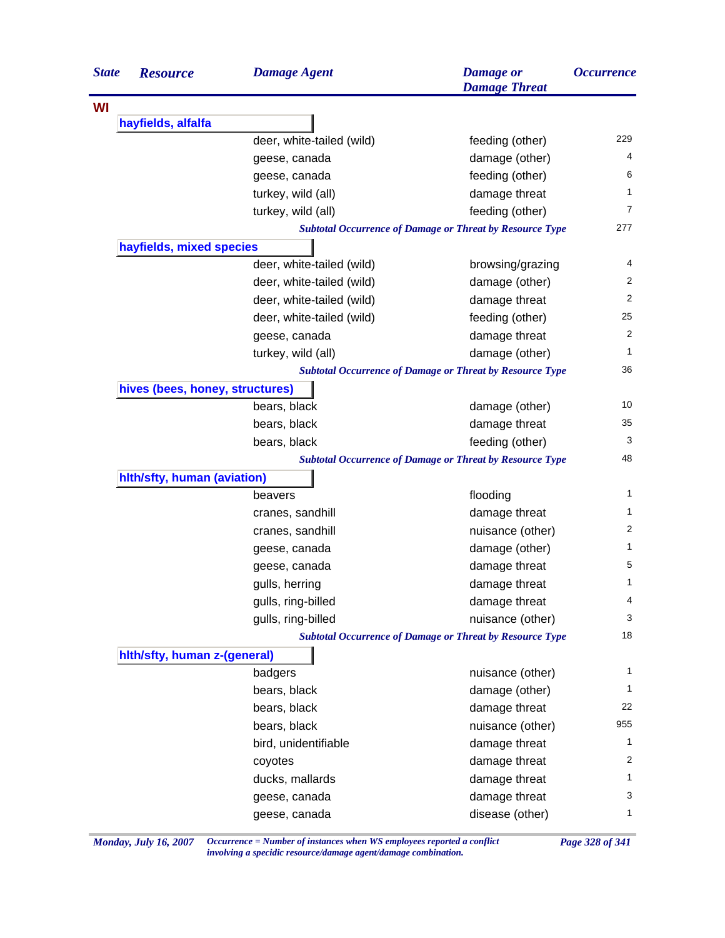| <b>State</b> | <b>Resource</b>                 | <b>Damage Agent</b>       | <b>Damage</b> or<br><b>Damage Threat</b>                        | <i><b>Occurrence</b></i> |
|--------------|---------------------------------|---------------------------|-----------------------------------------------------------------|--------------------------|
| WI           |                                 |                           |                                                                 |                          |
|              | hayfields, alfalfa              |                           |                                                                 |                          |
|              |                                 | deer, white-tailed (wild) | feeding (other)                                                 | 229                      |
|              |                                 | geese, canada             | damage (other)                                                  | 4                        |
|              |                                 | geese, canada             | feeding (other)                                                 | 6                        |
|              |                                 | turkey, wild (all)        | damage threat                                                   | $\mathbf{1}$             |
|              |                                 | turkey, wild (all)        | feeding (other)                                                 | $\overline{7}$           |
|              |                                 |                           | <b>Subtotal Occurrence of Damage or Threat by Resource Type</b> | 277                      |
|              | hayfields, mixed species        |                           |                                                                 |                          |
|              |                                 | deer, white-tailed (wild) | browsing/grazing                                                | 4                        |
|              |                                 | deer, white-tailed (wild) | damage (other)                                                  | 2                        |
|              |                                 | deer, white-tailed (wild) | damage threat                                                   | 2                        |
|              |                                 | deer, white-tailed (wild) | feeding (other)                                                 | 25                       |
|              |                                 | geese, canada             | damage threat                                                   | 2                        |
|              |                                 | turkey, wild (all)        | damage (other)                                                  | $\mathbf{1}$             |
|              |                                 |                           | <b>Subtotal Occurrence of Damage or Threat by Resource Type</b> | 36                       |
|              | hives (bees, honey, structures) |                           |                                                                 |                          |
|              |                                 | bears, black              | damage (other)                                                  | 10                       |
|              |                                 | bears, black              | damage threat                                                   | 35                       |
|              |                                 | bears, black              | feeding (other)                                                 | 3                        |
|              |                                 |                           | <b>Subtotal Occurrence of Damage or Threat by Resource Type</b> | 48                       |
|              | hlth/sfty, human (aviation)     |                           |                                                                 |                          |
|              |                                 | beavers                   | flooding                                                        | 1                        |
|              |                                 | cranes, sandhill          | damage threat                                                   | $\mathbf{1}$             |
|              |                                 | cranes, sandhill          | nuisance (other)                                                | 2                        |
|              |                                 | geese, canada             | damage (other)                                                  | 1                        |
|              |                                 | geese, canada             | damage threat                                                   | 5                        |
|              |                                 | gulls, herring            | damage threat                                                   | 1                        |
|              |                                 | gulls, ring-billed        | damage threat                                                   | 4                        |
|              |                                 | gulls, ring-billed        | nuisance (other)                                                | 3                        |
|              |                                 |                           | <b>Subtotal Occurrence of Damage or Threat by Resource Type</b> | 18                       |
|              | hith/sfty, human z-(general)    |                           |                                                                 |                          |
|              |                                 | badgers                   | nuisance (other)                                                | $\mathbf{1}$             |
|              |                                 | bears, black              | damage (other)                                                  | 1                        |
|              |                                 | bears, black              | damage threat                                                   | 22                       |
|              |                                 | bears, black              | nuisance (other)                                                | 955                      |
|              |                                 | bird, unidentifiable      | damage threat                                                   | $\mathbf{1}$             |
|              |                                 | coyotes                   | damage threat                                                   | 2                        |
|              |                                 | ducks, mallards           | damage threat                                                   | 1                        |
|              |                                 | geese, canada             | damage threat                                                   | 3                        |
|              |                                 |                           |                                                                 |                          |

*Monday, July 16, 2007 Occurrence = Number of instances when WS employees reported a conflict Page 328 of 341 involving a specidic resource/damage agent/damage combination.*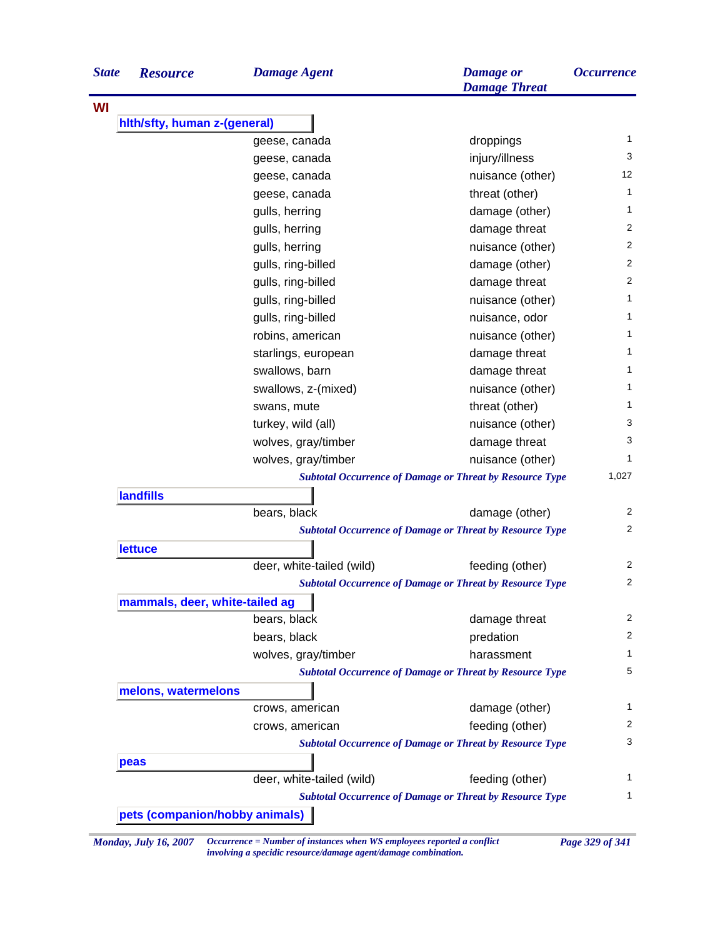| <b>State</b> | <b>Resource</b>                | <b>Damage Agent</b>       | <b>Damage</b> or<br><b>Damage Threat</b>                        | <b>Occurrence</b> |
|--------------|--------------------------------|---------------------------|-----------------------------------------------------------------|-------------------|
|              |                                |                           |                                                                 |                   |
|              | hith/sfty, human z-(general)   |                           |                                                                 |                   |
|              |                                | geese, canada             | droppings                                                       | 1                 |
|              |                                | geese, canada             | injury/illness                                                  | 3                 |
|              |                                | geese, canada             | nuisance (other)                                                | 12                |
|              |                                | geese, canada             | threat (other)                                                  | 1                 |
|              |                                | gulls, herring            | damage (other)                                                  | 1                 |
|              |                                | gulls, herring            | damage threat                                                   | 2                 |
|              |                                | gulls, herring            | nuisance (other)                                                | 2                 |
|              |                                | gulls, ring-billed        | damage (other)                                                  | $\overline{2}$    |
|              |                                | gulls, ring-billed        | damage threat                                                   | 2                 |
|              |                                | gulls, ring-billed        | nuisance (other)                                                | 1                 |
|              |                                | gulls, ring-billed        | nuisance, odor                                                  | 1                 |
|              |                                | robins, american          | nuisance (other)                                                | 1                 |
|              |                                | starlings, european       | damage threat                                                   | 1                 |
|              |                                | swallows, barn            | damage threat                                                   | 1                 |
|              |                                | swallows, z-(mixed)       | nuisance (other)                                                | 1                 |
|              |                                | swans, mute               | threat (other)                                                  | 1                 |
|              |                                | turkey, wild (all)        | nuisance (other)                                                | 3                 |
|              |                                | wolves, gray/timber       | damage threat                                                   | 3                 |
|              |                                | wolves, gray/timber       | nuisance (other)                                                | 1                 |
|              |                                |                           | <b>Subtotal Occurrence of Damage or Threat by Resource Type</b> | 1,027             |
|              | <b>landfills</b>               |                           |                                                                 |                   |
|              |                                | bears, black              | damage (other)                                                  | 2                 |
|              |                                |                           | <b>Subtotal Occurrence of Damage or Threat by Resource Type</b> | 2                 |
|              | <b>lettuce</b>                 |                           |                                                                 |                   |
|              |                                | deer, white-tailed (wild) | feeding (other)                                                 | 2                 |
|              |                                |                           | <b>Subtotal Occurrence of Damage or Threat by Resource Type</b> | 2                 |
|              | mammals, deer, white-tailed ag |                           |                                                                 | 2                 |
|              |                                | bears, black              | damage threat                                                   | 2                 |
|              |                                | bears, black              | predation                                                       |                   |
|              |                                | wolves, gray/timber       | harassment                                                      | 1<br>5            |
|              | melons, watermelons            |                           | <b>Subtotal Occurrence of Damage or Threat by Resource Type</b> |                   |
|              |                                | crows, american           | damage (other)                                                  | 1                 |
|              |                                | crows, american           | feeding (other)                                                 | 2                 |
|              |                                |                           | <b>Subtotal Occurrence of Damage or Threat by Resource Type</b> | 3                 |
|              | peas                           |                           |                                                                 |                   |
|              |                                | deer, white-tailed (wild) | feeding (other)                                                 | 1                 |
|              |                                |                           | <b>Subtotal Occurrence of Damage or Threat by Resource Type</b> | 1                 |

*Monday, July 16, 2007 Occurrence = Number of instances when WS employees reported a conflict Page 329 of 341 involving a specidic resource/damage agent/damage combination.*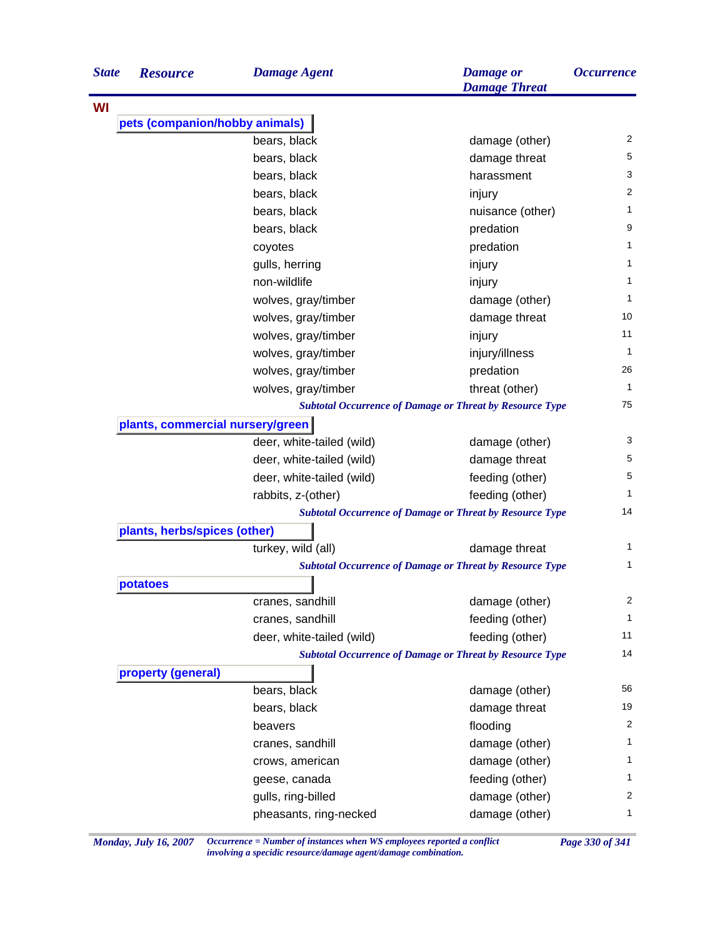| <b>State</b> | <b>Resource</b>                  | <b>Damage Agent</b>       | <b>Damage</b> or<br><b>Damage Threat</b>                        | <i><b>Occurrence</b></i> |
|--------------|----------------------------------|---------------------------|-----------------------------------------------------------------|--------------------------|
| WI           |                                  |                           |                                                                 |                          |
|              | pets (companion/hobby animals)   |                           |                                                                 |                          |
|              |                                  | bears, black              | damage (other)                                                  | 2                        |
|              |                                  | bears, black              | damage threat                                                   | 5                        |
|              |                                  | bears, black              | harassment                                                      | 3                        |
|              |                                  | bears, black              | injury                                                          | $\overline{c}$           |
|              |                                  | bears, black              | nuisance (other)                                                | 1                        |
|              |                                  | bears, black              | predation                                                       | 9                        |
|              |                                  | coyotes                   | predation                                                       | 1                        |
|              |                                  | gulls, herring            | injury                                                          | 1                        |
|              |                                  | non-wildlife              | injury                                                          | 1                        |
|              |                                  | wolves, gray/timber       | damage (other)                                                  | 1                        |
|              |                                  | wolves, gray/timber       | damage threat                                                   | 10                       |
|              |                                  | wolves, gray/timber       | injury                                                          | 11                       |
|              |                                  | wolves, gray/timber       | injury/illness                                                  | $\mathbf{1}$             |
|              |                                  | wolves, gray/timber       | predation                                                       | 26                       |
|              |                                  | wolves, gray/timber       | threat (other)                                                  | 1                        |
|              |                                  |                           | <b>Subtotal Occurrence of Damage or Threat by Resource Type</b> | 75                       |
|              | plants, commercial nursery/green |                           |                                                                 |                          |
|              |                                  | deer, white-tailed (wild) | damage (other)                                                  | 3                        |
|              |                                  | deer, white-tailed (wild) | damage threat                                                   | 5                        |
|              |                                  | deer, white-tailed (wild) | feeding (other)                                                 | 5                        |
|              |                                  | rabbits, z-(other)        | feeding (other)                                                 | 1                        |
|              |                                  |                           | <b>Subtotal Occurrence of Damage or Threat by Resource Type</b> | 14                       |
|              | plants, herbs/spices (other)     |                           |                                                                 |                          |
|              |                                  | turkey, wild (all)        | damage threat                                                   | 1                        |
|              |                                  |                           | <b>Subtotal Occurrence of Damage or Threat by Resource Type</b> | 1                        |
|              | potatoes                         |                           |                                                                 |                          |
|              |                                  | cranes, sandhill          | damage (other)                                                  | 2                        |
|              |                                  | cranes, sandhill          | feeding (other)                                                 | 1                        |
|              |                                  | deer, white-tailed (wild) | feeding (other)                                                 | 11                       |
|              |                                  |                           | <b>Subtotal Occurrence of Damage or Threat by Resource Type</b> | 14                       |
|              | property (general)               |                           |                                                                 |                          |
|              |                                  | bears, black              | damage (other)                                                  | 56                       |
|              |                                  | bears, black              | damage threat                                                   | 19                       |
|              |                                  | beavers                   | flooding                                                        | $\overline{\mathbf{c}}$  |
|              |                                  | cranes, sandhill          | damage (other)                                                  | 1                        |
|              |                                  | crows, american           | damage (other)                                                  | 1                        |
|              |                                  | geese, canada             | feeding (other)                                                 | 1                        |
|              |                                  | gulls, ring-billed        | damage (other)                                                  | $\overline{c}$           |
|              |                                  |                           |                                                                 | 1                        |
|              |                                  | pheasants, ring-necked    | damage (other)                                                  |                          |

*Monday, July 16, 2007 Occurrence = Number of instances when WS employees reported a conflict Page 330 of 341 involving a specidic resource/damage agent/damage combination.*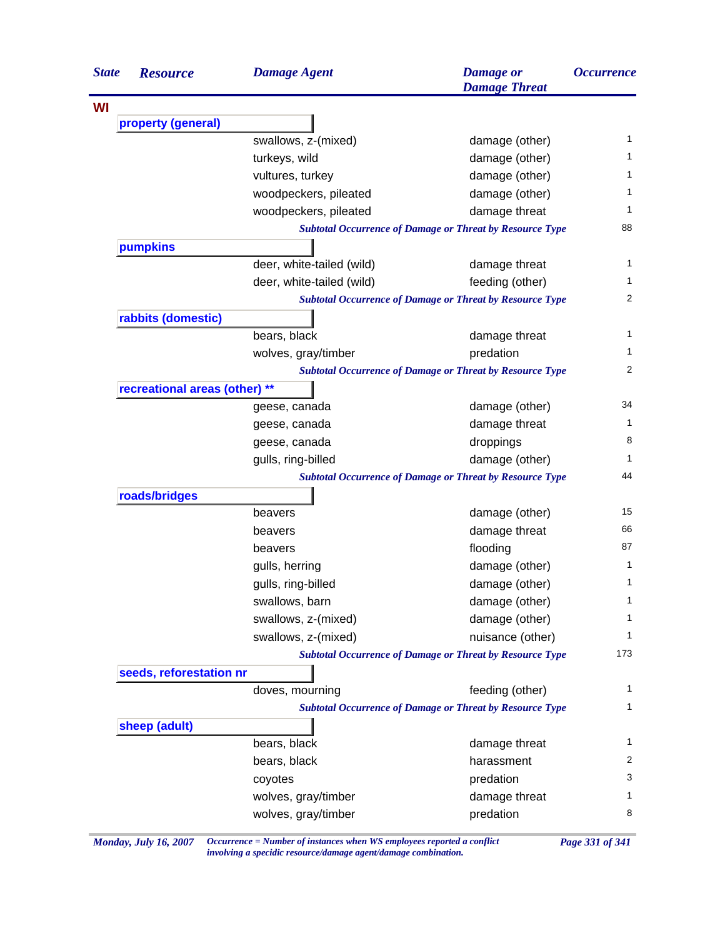| <b>State</b> | <b>Resource</b>               | <b>Damage Agent</b>       | <b>Damage</b> or<br><b>Damage Threat</b>                                           | <i><b>Occurrence</b></i> |
|--------------|-------------------------------|---------------------------|------------------------------------------------------------------------------------|--------------------------|
| WI           |                               |                           |                                                                                    |                          |
|              | property (general)            |                           |                                                                                    |                          |
|              |                               | swallows, z-(mixed)       | damage (other)                                                                     | 1                        |
|              |                               | turkeys, wild             | damage (other)                                                                     | 1                        |
|              |                               | vultures, turkey          | damage (other)                                                                     | 1                        |
|              |                               | woodpeckers, pileated     | damage (other)                                                                     | 1                        |
|              |                               | woodpeckers, pileated     | damage threat                                                                      | 1                        |
|              |                               |                           | <b>Subtotal Occurrence of Damage or Threat by Resource Type</b>                    | 88                       |
|              | pumpkins                      |                           |                                                                                    |                          |
|              |                               | deer, white-tailed (wild) | damage threat                                                                      | 1                        |
|              |                               | deer, white-tailed (wild) | feeding (other)                                                                    | 1                        |
|              |                               |                           | <b>Subtotal Occurrence of Damage or Threat by Resource Type</b>                    | 2                        |
|              | rabbits (domestic)            |                           |                                                                                    |                          |
|              |                               | bears, black              | damage threat                                                                      | 1                        |
|              |                               | wolves, gray/timber       | predation                                                                          | 1                        |
|              |                               |                           | <b>Subtotal Occurrence of Damage or Threat by Resource Type</b>                    | 2                        |
|              | recreational areas (other) ** |                           |                                                                                    |                          |
|              |                               | geese, canada             | damage (other)                                                                     | 34                       |
|              |                               | geese, canada             | damage threat                                                                      | 1                        |
|              |                               | geese, canada             | droppings                                                                          | 8                        |
|              |                               | gulls, ring-billed        | damage (other)                                                                     | 1                        |
|              |                               |                           | <b>Subtotal Occurrence of Damage or Threat by Resource Type</b>                    | 44                       |
|              | roads/bridges                 |                           |                                                                                    | 15                       |
|              |                               | beavers                   | damage (other)                                                                     | 66                       |
|              |                               | beavers                   | damage threat                                                                      | 87                       |
|              |                               | beavers                   | flooding                                                                           |                          |
|              |                               | gulls, herring            | damage (other)                                                                     | 1                        |
|              |                               | gulls, ring-billed        | damage (other)                                                                     | 1                        |
|              |                               | swallows, barn            | damage (other)                                                                     | 1                        |
|              |                               | swallows, z-(mixed)       | damage (other)                                                                     | 1                        |
|              |                               | swallows, z-(mixed)       | nuisance (other)                                                                   | 1                        |
|              |                               |                           | <b>Subtotal Occurrence of Damage or Threat by Resource Type</b>                    | 173                      |
|              | seeds, reforestation nr       |                           |                                                                                    | $\mathbf{1}$             |
|              |                               | doves, mourning           | feeding (other)<br><b>Subtotal Occurrence of Damage or Threat by Resource Type</b> | 1                        |
|              | sheep (adult)                 |                           |                                                                                    |                          |
|              |                               | bears, black              | damage threat                                                                      | 1                        |
|              |                               | bears, black              | harassment                                                                         | 2                        |
|              |                               | coyotes                   | predation                                                                          | 3                        |
|              |                               | wolves, gray/timber       | damage threat                                                                      | 1                        |
|              |                               | wolves, gray/timber       | predation                                                                          | 8                        |
|              |                               |                           |                                                                                    |                          |

*Monday, July 16, 2007 Occurrence = Number of instances when WS employees reported a conflict Page 331 of 341 involving a specidic resource/damage agent/damage combination.*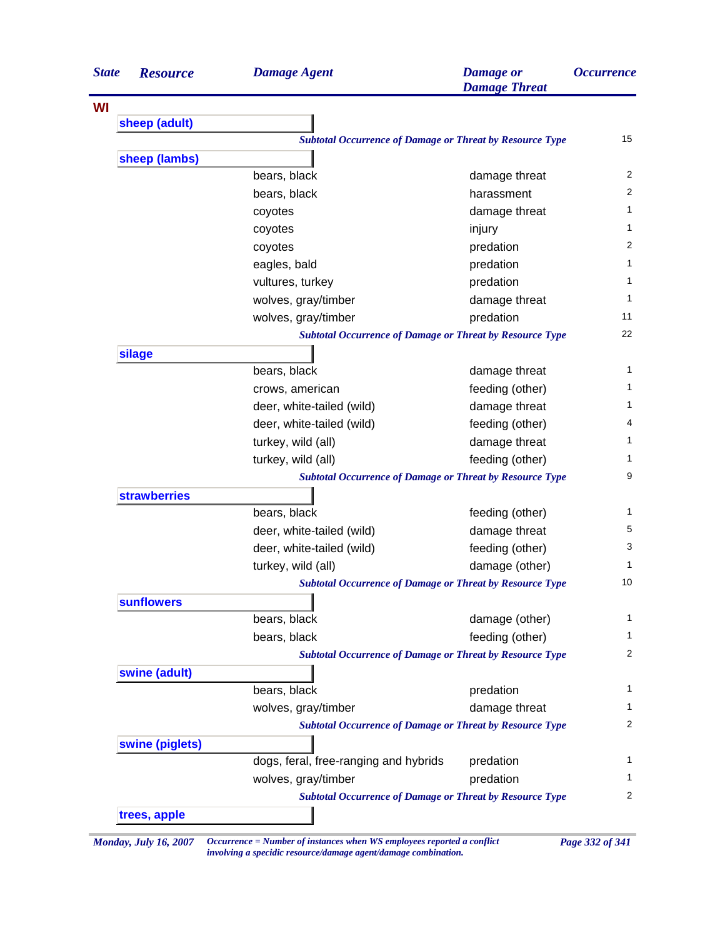| <b>State</b> | <b>Resource</b>     | <b>Damage Agent</b>                                             | <b>Damage</b> or<br><b>Damage Threat</b> | <b>Occurrence</b> |
|--------------|---------------------|-----------------------------------------------------------------|------------------------------------------|-------------------|
| WI           |                     |                                                                 |                                          |                   |
|              | sheep (adult)       |                                                                 |                                          |                   |
|              |                     | <b>Subtotal Occurrence of Damage or Threat by Resource Type</b> |                                          | 15                |
|              | sheep (lambs)       |                                                                 |                                          |                   |
|              |                     | bears, black                                                    | damage threat                            | 2                 |
|              |                     | bears, black                                                    | harassment                               | 2                 |
|              |                     | coyotes                                                         | damage threat                            | 1                 |
|              |                     | coyotes                                                         | injury                                   | 1                 |
|              |                     | coyotes                                                         | predation                                | 2                 |
|              |                     | eagles, bald                                                    | predation                                | 1                 |
|              |                     | vultures, turkey                                                | predation                                | 1                 |
|              |                     | wolves, gray/timber                                             | damage threat                            | 1                 |
|              |                     | wolves, gray/timber                                             | predation                                | 11                |
|              |                     | <b>Subtotal Occurrence of Damage or Threat by Resource Type</b> |                                          | 22                |
|              | silage              |                                                                 |                                          |                   |
|              |                     | bears, black                                                    | damage threat                            | 1                 |
|              |                     | crows, american                                                 | feeding (other)                          | 1                 |
|              |                     | deer, white-tailed (wild)                                       | damage threat                            | 1                 |
|              |                     | deer, white-tailed (wild)                                       | feeding (other)                          | 4                 |
|              |                     | turkey, wild (all)                                              | damage threat                            | 1                 |
|              |                     | turkey, wild (all)                                              | feeding (other)                          | 1                 |
|              |                     | <b>Subtotal Occurrence of Damage or Threat by Resource Type</b> |                                          | 9                 |
|              | <b>strawberries</b> |                                                                 |                                          |                   |
|              |                     | bears, black                                                    | feeding (other)                          | 1                 |
|              |                     | deer, white-tailed (wild)                                       | damage threat                            | 5                 |
|              |                     | deer, white-tailed (wild)                                       | feeding (other)                          | 3                 |
|              |                     | turkey, wild (all)                                              | damage (other)                           | 1                 |
|              |                     | <b>Subtotal Occurrence of Damage or Threat by Resource Type</b> |                                          | 10                |
|              | <b>sunflowers</b>   |                                                                 |                                          |                   |
|              |                     | bears, black                                                    | damage (other)                           | 1                 |
|              |                     | bears, black                                                    | feeding (other)                          | 1                 |
|              |                     | <b>Subtotal Occurrence of Damage or Threat by Resource Type</b> |                                          | 2                 |
|              | swine (adult)       |                                                                 |                                          |                   |
|              |                     | bears, black                                                    | predation                                | 1                 |
|              |                     | wolves, gray/timber                                             | damage threat                            | 1                 |
|              |                     | <b>Subtotal Occurrence of Damage or Threat by Resource Type</b> |                                          | 2                 |
|              | swine (piglets)     |                                                                 |                                          |                   |
|              |                     | dogs, feral, free-ranging and hybrids                           | predation                                | 1                 |
|              |                     | wolves, gray/timber                                             | predation                                | 1                 |
|              |                     | <b>Subtotal Occurrence of Damage or Threat by Resource Type</b> |                                          | 2                 |
|              | trees, apple        |                                                                 |                                          |                   |

*Monday, July 16, 2007 Occurrence = Number of instances when WS employees reported a conflict Page 332 of 341 involving a specidic resource/damage agent/damage combination.*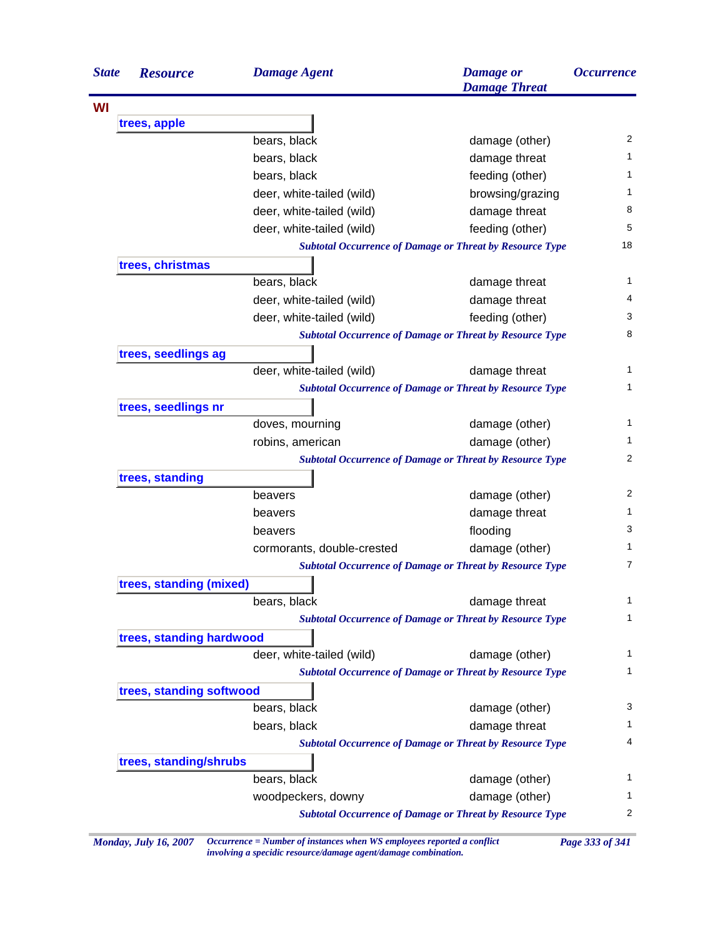| <b>State</b> | <b>Resource</b>          | <b>Damage Agent</b>        | <b>Damage</b> or<br><b>Damage Threat</b>                        | <i><b>Occurrence</b></i> |
|--------------|--------------------------|----------------------------|-----------------------------------------------------------------|--------------------------|
|              |                          |                            |                                                                 |                          |
|              | trees, apple             |                            |                                                                 |                          |
|              |                          | bears, black               | damage (other)                                                  | 2                        |
|              |                          | bears, black               | damage threat                                                   | 1                        |
|              |                          | bears, black               | feeding (other)                                                 | 1                        |
|              |                          | deer, white-tailed (wild)  | browsing/grazing                                                | 1                        |
|              |                          | deer, white-tailed (wild)  | damage threat                                                   | 8                        |
|              |                          | deer, white-tailed (wild)  | feeding (other)                                                 | 5                        |
|              |                          |                            | <b>Subtotal Occurrence of Damage or Threat by Resource Type</b> | 18                       |
|              | trees, christmas         |                            |                                                                 |                          |
|              |                          | bears, black               | damage threat                                                   | 1                        |
|              |                          | deer, white-tailed (wild)  | damage threat                                                   | 4                        |
|              |                          | deer, white-tailed (wild)  | feeding (other)                                                 | 3                        |
|              |                          |                            | <b>Subtotal Occurrence of Damage or Threat by Resource Type</b> | 8                        |
|              | trees, seedlings ag      |                            |                                                                 |                          |
|              |                          | deer, white-tailed (wild)  | damage threat                                                   | 1                        |
|              |                          |                            | <b>Subtotal Occurrence of Damage or Threat by Resource Type</b> | 1                        |
|              | trees, seedlings nr      |                            |                                                                 |                          |
|              |                          | doves, mourning            | damage (other)                                                  | 1                        |
|              |                          | robins, american           | damage (other)                                                  | 1.                       |
|              |                          |                            | <b>Subtotal Occurrence of Damage or Threat by Resource Type</b> | $\overline{2}$           |
|              | trees, standing          |                            |                                                                 |                          |
|              |                          | beavers                    | damage (other)                                                  | 2                        |
|              |                          | beavers                    | damage threat                                                   | 1.                       |
|              |                          | beavers                    | flooding                                                        | 3                        |
|              |                          | cormorants, double-crested | damage (other)                                                  | 1                        |
|              |                          |                            | <b>Subtotal Occurrence of Damage or Threat by Resource Type</b> | 7                        |
|              | trees, standing (mixed)  |                            |                                                                 |                          |
|              |                          | bears, black               | damage threat                                                   | 1                        |
|              |                          |                            | <b>Subtotal Occurrence of Damage or Threat by Resource Type</b> | 1                        |
|              | trees, standing hardwood |                            |                                                                 |                          |
|              |                          | deer, white-tailed (wild)  | damage (other)                                                  | 1                        |
|              |                          |                            | <b>Subtotal Occurrence of Damage or Threat by Resource Type</b> | 1                        |
|              | trees, standing softwood |                            |                                                                 |                          |
|              |                          | bears, black               | damage (other)                                                  | 3                        |
|              |                          | bears, black               | damage threat                                                   | 1                        |
|              |                          |                            | <b>Subtotal Occurrence of Damage or Threat by Resource Type</b> | 4                        |
|              | trees, standing/shrubs   |                            |                                                                 |                          |
|              |                          | bears, black               | damage (other)                                                  | 1                        |
|              |                          | woodpeckers, downy         | damage (other)                                                  | 1                        |
|              |                          |                            | <b>Subtotal Occurrence of Damage or Threat by Resource Type</b> | 2                        |

*Monday, July 16, 2007 Occurrence = Number of instances when WS employees reported a conflict Page 333 of 341 involving a specidic resource/damage agent/damage combination.*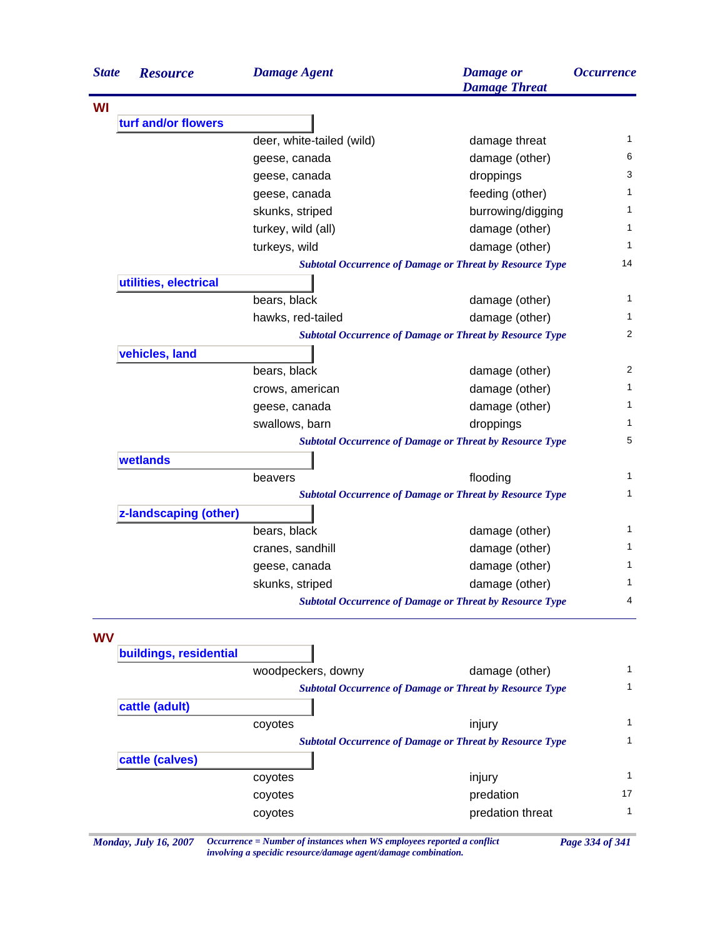| <b>State</b> | <b>Resource</b>        | <b>Damage Agent</b>       | <b>Damage</b> or<br><b>Damage Threat</b>                        | <i><b>Occurrence</b></i> |
|--------------|------------------------|---------------------------|-----------------------------------------------------------------|--------------------------|
| WI           |                        |                           |                                                                 |                          |
|              | turf and/or flowers    |                           |                                                                 |                          |
|              |                        | deer, white-tailed (wild) | damage threat                                                   | $\mathbf{1}$             |
|              |                        | geese, canada             | damage (other)                                                  | 6                        |
|              |                        | geese, canada             | droppings                                                       | 3                        |
|              |                        | geese, canada             | feeding (other)                                                 | 1                        |
|              |                        | skunks, striped           | burrowing/digging                                               | 1                        |
|              |                        | turkey, wild (all)        | damage (other)                                                  | 1                        |
|              |                        | turkeys, wild             | damage (other)                                                  | $\mathbf{1}$             |
|              |                        |                           | <b>Subtotal Occurrence of Damage or Threat by Resource Type</b> | 14                       |
|              | utilities, electrical  |                           |                                                                 |                          |
|              |                        | bears, black              | damage (other)                                                  | $\mathbf{1}$             |
|              |                        | hawks, red-tailed         | damage (other)                                                  | 1                        |
|              |                        |                           | <b>Subtotal Occurrence of Damage or Threat by Resource Type</b> | 2                        |
|              | vehicles, land         |                           |                                                                 |                          |
|              |                        | bears, black              | damage (other)                                                  | 2                        |
|              |                        | crows, american           | damage (other)                                                  | $\mathbf{1}$             |
|              |                        | geese, canada             | damage (other)                                                  | 1                        |
|              |                        | swallows, barn            | droppings                                                       | 1                        |
|              |                        |                           | <b>Subtotal Occurrence of Damage or Threat by Resource Type</b> | 5                        |
|              | wetlands               |                           |                                                                 |                          |
|              |                        | beavers                   | flooding                                                        | 1                        |
|              |                        |                           | <b>Subtotal Occurrence of Damage or Threat by Resource Type</b> | 1                        |
|              | z-landscaping (other)  |                           |                                                                 |                          |
|              |                        | bears, black              | damage (other)                                                  | 1                        |
|              |                        | cranes, sandhill          | damage (other)                                                  | 1                        |
|              |                        | geese, canada             | damage (other)                                                  | 1                        |
|              |                        | skunks, striped           | damage (other)                                                  | 1                        |
|              |                        |                           | <b>Subtotal Occurrence of Damage or Threat by Resource Type</b> | 4                        |
| <b>WV</b>    |                        |                           |                                                                 |                          |
|              | buildings, residential |                           |                                                                 |                          |
|              |                        | woodpeckers, downy        | damage (other)                                                  | 1                        |
|              |                        |                           | <b>Subtotal Occurrence of Damage or Threat by Resource Type</b> | 1                        |
|              | cattle (adult)         |                           |                                                                 |                          |
|              |                        | coyotes                   | injury                                                          | 1                        |
|              |                        |                           | <b>Subtotal Occurrence of Damage or Threat by Resource Type</b> | 1                        |
|              | cattle (calves)        |                           |                                                                 |                          |
|              |                        | coyotes                   | injury                                                          | 1                        |
|              |                        | coyotes                   | predation                                                       | 17                       |
|              |                        | coyotes                   | predation threat                                                | 1                        |

*Monday, July 16, 2007 Occurrence = Number of instances when WS employees reported a conflict Page 334 of 341 involving a specidic resource/damage agent/damage combination.*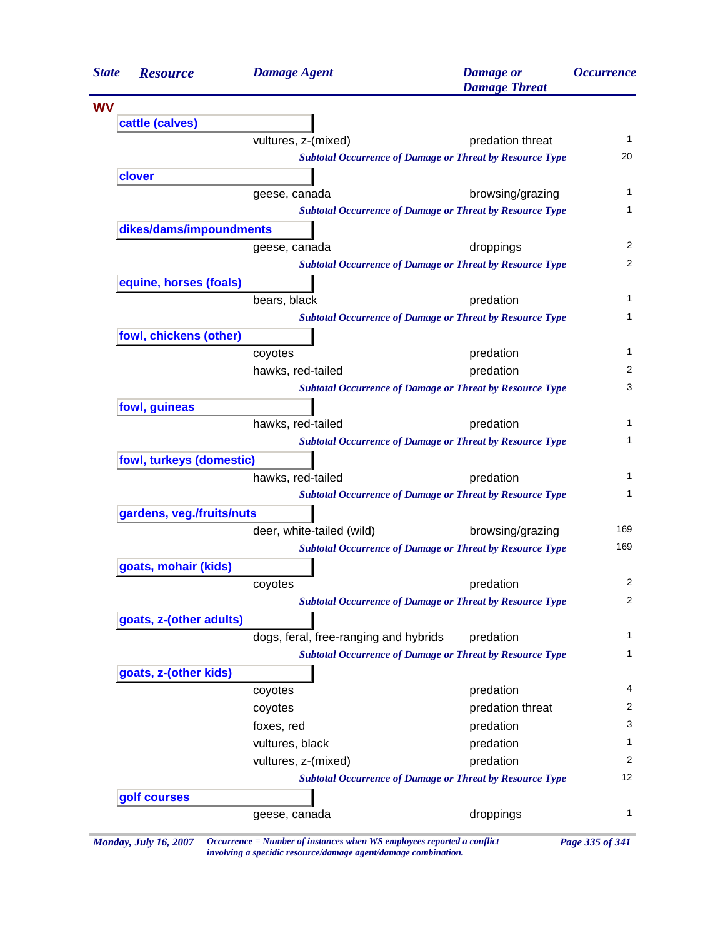| <b>State</b> | <b>Resource</b>           | <b>Damage Agent</b>                                             | <b>Damage</b> or<br><b>Damage Threat</b> | <i><b>Occurrence</b></i> |
|--------------|---------------------------|-----------------------------------------------------------------|------------------------------------------|--------------------------|
| <b>WV</b>    |                           |                                                                 |                                          |                          |
|              | cattle (calves)           |                                                                 |                                          |                          |
|              |                           | vultures, z-(mixed)                                             | predation threat                         | 1                        |
|              |                           | <b>Subtotal Occurrence of Damage or Threat by Resource Type</b> |                                          | 20                       |
|              | clover                    |                                                                 |                                          |                          |
|              |                           | geese, canada                                                   | browsing/grazing                         | 1                        |
|              |                           | <b>Subtotal Occurrence of Damage or Threat by Resource Type</b> |                                          | 1                        |
|              | dikes/dams/impoundments   |                                                                 |                                          |                          |
|              |                           | geese, canada                                                   | droppings                                | 2                        |
|              |                           | <b>Subtotal Occurrence of Damage or Threat by Resource Type</b> |                                          | 2                        |
|              | equine, horses (foals)    |                                                                 |                                          |                          |
|              |                           | bears, black                                                    | predation                                | 1                        |
|              |                           | <b>Subtotal Occurrence of Damage or Threat by Resource Type</b> |                                          | 1                        |
|              | fowl, chickens (other)    |                                                                 |                                          |                          |
|              |                           | coyotes                                                         | predation                                | 1                        |
|              |                           | hawks, red-tailed                                               | predation                                | 2                        |
|              |                           | <b>Subtotal Occurrence of Damage or Threat by Resource Type</b> |                                          | 3                        |
|              | fowl, guineas             |                                                                 |                                          |                          |
|              |                           | hawks, red-tailed                                               | predation                                | 1                        |
|              |                           | <b>Subtotal Occurrence of Damage or Threat by Resource Type</b> |                                          | 1                        |
|              | fowl, turkeys (domestic)  |                                                                 |                                          |                          |
|              |                           | hawks, red-tailed                                               | predation                                | 1                        |
|              |                           | <b>Subtotal Occurrence of Damage or Threat by Resource Type</b> |                                          | 1                        |
|              | gardens, veg./fruits/nuts |                                                                 |                                          |                          |
|              |                           | deer, white-tailed (wild)                                       | browsing/grazing                         | 169                      |
|              |                           | <b>Subtotal Occurrence of Damage or Threat by Resource Type</b> |                                          | 169                      |
|              | goats, mohair (kids)      |                                                                 |                                          |                          |
|              |                           | coyotes                                                         | predation                                | 2                        |
|              |                           | <b>Subtotal Occurrence of Damage or Threat by Resource Type</b> |                                          | 2                        |
|              | goats, z-(other adults)   |                                                                 |                                          |                          |
|              |                           | dogs, feral, free-ranging and hybrids                           | predation                                | 1                        |
|              |                           | <b>Subtotal Occurrence of Damage or Threat by Resource Type</b> |                                          | 1                        |
|              | goats, z-(other kids)     |                                                                 |                                          |                          |
|              |                           | coyotes                                                         | predation                                | 4                        |
|              |                           | coyotes                                                         | predation threat                         | 2                        |
|              |                           | foxes, red                                                      | predation                                | 3                        |
|              |                           | vultures, black                                                 | predation                                | 1                        |
|              |                           | vultures, z-(mixed)                                             | predation                                | 2                        |
|              |                           | <b>Subtotal Occurrence of Damage or Threat by Resource Type</b> |                                          | 12                       |
|              | golf courses              |                                                                 |                                          |                          |
|              |                           | geese, canada                                                   | droppings                                | 1                        |

*involving a specidic resource/damage agent/damage combination.*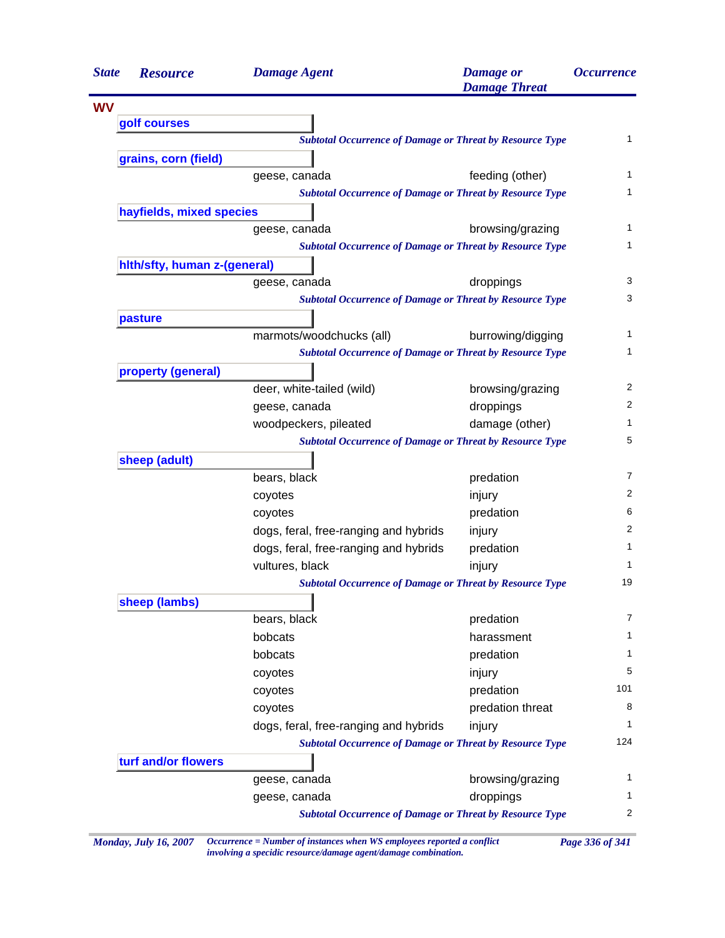| <b>State</b> | <b>Resource</b>              | <b>Damage Agent</b>                                             | <b>Damage</b> or<br><b>Damage Threat</b> | <i><b>Occurrence</b></i> |
|--------------|------------------------------|-----------------------------------------------------------------|------------------------------------------|--------------------------|
| <b>WV</b>    |                              |                                                                 |                                          |                          |
|              | golf courses                 |                                                                 |                                          |                          |
|              |                              | <b>Subtotal Occurrence of Damage or Threat by Resource Type</b> |                                          |                          |
|              | grains, corn (field)         |                                                                 |                                          |                          |
|              |                              | geese, canada                                                   | feeding (other)                          |                          |
|              |                              | <b>Subtotal Occurrence of Damage or Threat by Resource Type</b> |                                          |                          |
|              | hayfields, mixed species     |                                                                 |                                          |                          |
|              |                              | geese, canada                                                   | browsing/grazing                         |                          |
|              |                              | <b>Subtotal Occurrence of Damage or Threat by Resource Type</b> |                                          |                          |
|              | hith/sfty, human z-(general) |                                                                 |                                          |                          |
|              |                              | geese, canada                                                   | droppings                                |                          |
|              |                              | <b>Subtotal Occurrence of Damage or Threat by Resource Type</b> |                                          |                          |
|              | pasture                      |                                                                 |                                          |                          |
|              |                              | marmots/woodchucks (all)                                        | burrowing/digging                        |                          |
|              |                              | <b>Subtotal Occurrence of Damage or Threat by Resource Type</b> |                                          |                          |
|              | property (general)           |                                                                 |                                          |                          |
|              |                              | deer, white-tailed (wild)                                       | browsing/grazing                         |                          |
|              |                              | geese, canada                                                   | droppings                                |                          |
|              |                              | woodpeckers, pileated                                           | damage (other)                           |                          |
|              |                              | <b>Subtotal Occurrence of Damage or Threat by Resource Type</b> |                                          |                          |
|              | sheep (adult)                |                                                                 |                                          |                          |
|              |                              | bears, black                                                    | predation                                |                          |
|              |                              | coyotes                                                         | injury                                   |                          |
|              |                              | coyotes                                                         | predation                                |                          |
|              |                              | dogs, feral, free-ranging and hybrids                           | injury                                   |                          |
|              |                              | dogs, feral, free-ranging and hybrids                           | predation                                |                          |
|              |                              | vultures, black                                                 | injury                                   |                          |
|              |                              | <b>Subtotal Occurrence of Damage or Threat by Resource Type</b> |                                          | 19                       |
|              | sheep (lambs)                |                                                                 |                                          |                          |
|              |                              | bears, black                                                    | predation                                |                          |
|              |                              | bobcats                                                         | harassment                               |                          |
|              |                              | bobcats                                                         | predation                                |                          |
|              |                              | coyotes                                                         | injury                                   |                          |
|              |                              | coyotes                                                         | predation                                | 101                      |
|              |                              | coyotes                                                         | predation threat                         |                          |
|              |                              | dogs, feral, free-ranging and hybrids                           | injury                                   |                          |
|              |                              | <b>Subtotal Occurrence of Damage or Threat by Resource Type</b> |                                          | 124                      |
|              | turf and/or flowers          |                                                                 |                                          |                          |
|              |                              | geese, canada                                                   | browsing/grazing                         |                          |
|              |                              | geese, canada                                                   | droppings                                |                          |
|              |                              | <b>Subtotal Occurrence of Damage or Threat by Resource Type</b> |                                          |                          |

*Monday, July 16, 2007 Occurrence = Number of instances when WS employees reported a conflict Page 336 of 341 involving a specidic resource/damage agent/damage combination.*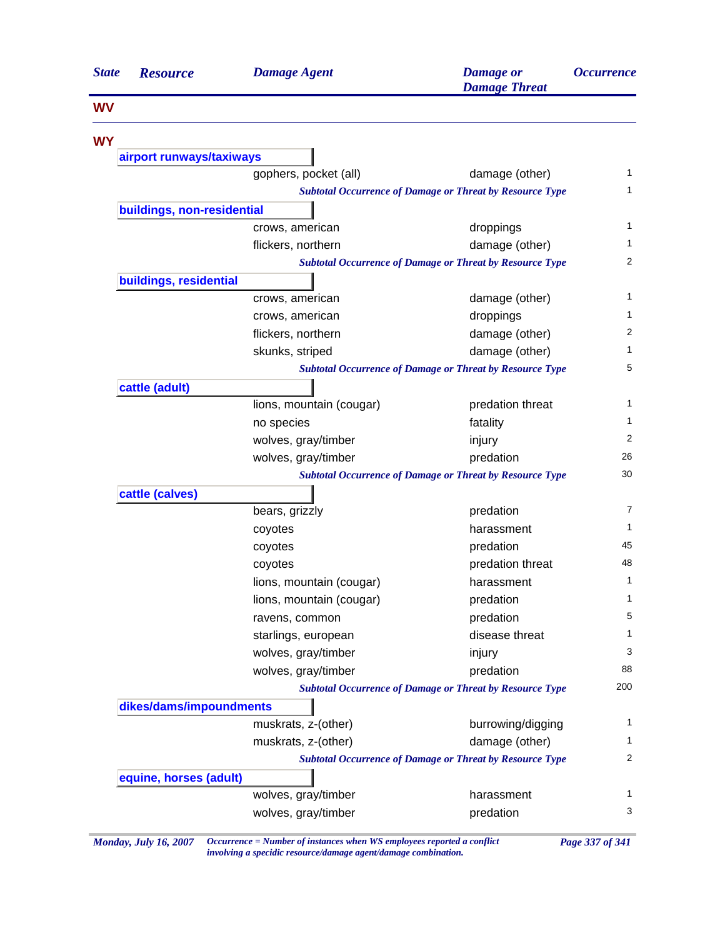| <b>State</b> | <b>Resource</b>                                                 | <b>Damage Agent</b>      | <b>Damage</b> or<br><b>Damage Threat</b>                                          | <i><b>Occurrence</b></i> |
|--------------|-----------------------------------------------------------------|--------------------------|-----------------------------------------------------------------------------------|--------------------------|
| <b>WV</b>    |                                                                 |                          |                                                                                   |                          |
| <b>WY</b>    |                                                                 |                          |                                                                                   |                          |
|              | airport runways/taxiways                                        |                          |                                                                                   |                          |
|              |                                                                 | gophers, pocket (all)    | damage (other)                                                                    | 1                        |
|              |                                                                 |                          | <b>Subtotal Occurrence of Damage or Threat by Resource Type</b>                   | 1                        |
|              | buildings, non-residential                                      |                          |                                                                                   | 1                        |
|              |                                                                 | crows, american          | droppings                                                                         | 1                        |
|              |                                                                 | flickers, northern       | damage (other)                                                                    | $\overline{2}$           |
|              | <b>Subtotal Occurrence of Damage or Threat by Resource Type</b> |                          |                                                                                   |                          |
|              | buildings, residential                                          |                          |                                                                                   | 1                        |
|              |                                                                 | crows, american          | damage (other)                                                                    | 1                        |
|              |                                                                 | crows, american          | droppings                                                                         | 2                        |
|              |                                                                 | flickers, northern       | damage (other)                                                                    | 1                        |
|              |                                                                 | skunks, striped          | damage (other)<br><b>Subtotal Occurrence of Damage or Threat by Resource Type</b> | 5                        |
|              | cattle (adult)                                                  |                          |                                                                                   |                          |
|              |                                                                 | lions, mountain (cougar) | predation threat                                                                  | 1                        |
|              |                                                                 | no species               | fatality                                                                          | 1                        |
|              |                                                                 | wolves, gray/timber      | injury                                                                            | 2                        |
|              |                                                                 | wolves, gray/timber      | predation                                                                         | 26                       |
|              |                                                                 |                          | <b>Subtotal Occurrence of Damage or Threat by Resource Type</b>                   | 30                       |
|              | cattle (calves)                                                 |                          |                                                                                   |                          |
|              |                                                                 | bears, grizzly           | predation                                                                         | 7                        |
|              |                                                                 | coyotes                  | harassment                                                                        | 1                        |
|              |                                                                 | coyotes                  | predation                                                                         | 45                       |
|              |                                                                 | coyotes                  | predation threat                                                                  | 48                       |
|              |                                                                 | lions, mountain (cougar) | harassment                                                                        | 1                        |
|              |                                                                 | lions, mountain (cougar) | predation                                                                         | $\mathbf{1}$             |
|              |                                                                 | ravens, common           | predation                                                                         | 5                        |
|              |                                                                 | starlings, european      | disease threat                                                                    | 1                        |
|              |                                                                 | wolves, gray/timber      | injury                                                                            | 3                        |
|              |                                                                 | wolves, gray/timber      | predation                                                                         | 88                       |
|              |                                                                 |                          | <b>Subtotal Occurrence of Damage or Threat by Resource Type</b>                   | 200                      |
|              | dikes/dams/impoundments                                         |                          |                                                                                   |                          |
|              |                                                                 | muskrats, z-(other)      | burrowing/digging                                                                 | 1                        |
|              |                                                                 | muskrats, z-(other)      | damage (other)                                                                    | 1                        |
|              | <b>Subtotal Occurrence of Damage or Threat by Resource Type</b> |                          |                                                                                   | 2                        |
|              | equine, horses (adult)                                          |                          |                                                                                   |                          |
|              |                                                                 | wolves, gray/timber      | harassment                                                                        | 1                        |
|              |                                                                 | wolves, gray/timber      | predation                                                                         | 3                        |

*Monday, July 16, 2007 Occurrence = Number of instances when WS employees reported a conflict Page 337 of 341 involving a specidic resource/damage agent/damage combination.*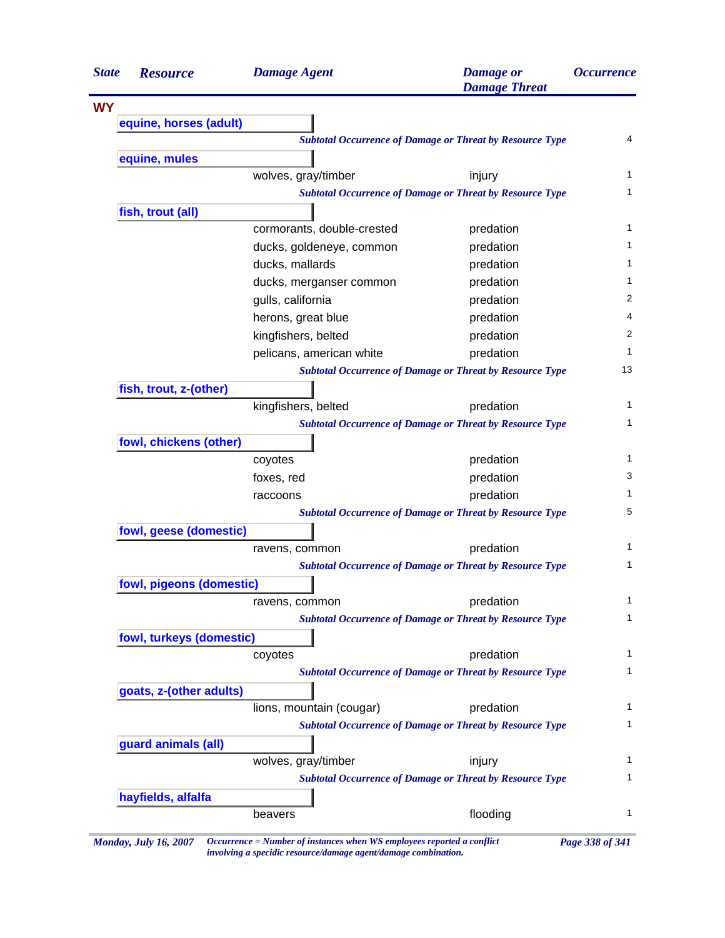| <b>State</b> | <b>Resource</b>                                                 | <b>Damage Agent</b>        | <b>Damage</b> or<br><b>Damage Threat</b>                        | <i><b>Occurrence</b></i> |
|--------------|-----------------------------------------------------------------|----------------------------|-----------------------------------------------------------------|--------------------------|
| <b>WY</b>    |                                                                 |                            |                                                                 |                          |
|              | equine, horses (adult)                                          |                            |                                                                 |                          |
|              | <b>Subtotal Occurrence of Damage or Threat by Resource Type</b> |                            |                                                                 |                          |
|              | equine, mules                                                   |                            |                                                                 |                          |
|              |                                                                 | wolves, gray/timber        | injury                                                          |                          |
|              |                                                                 |                            | <b>Subtotal Occurrence of Damage or Threat by Resource Type</b> |                          |
|              | fish, trout (all)                                               |                            |                                                                 |                          |
|              |                                                                 | cormorants, double-crested | predation                                                       |                          |
|              |                                                                 | ducks, goldeneye, common   | predation                                                       |                          |
|              |                                                                 | ducks, mallards            | predation                                                       |                          |
|              |                                                                 | ducks, merganser common    | predation                                                       |                          |
|              |                                                                 | gulls, california          | predation                                                       |                          |
|              |                                                                 | herons, great blue         | predation                                                       |                          |
|              |                                                                 | kingfishers, belted        | predation                                                       |                          |
|              |                                                                 | pelicans, american white   | predation                                                       |                          |
|              |                                                                 |                            | <b>Subtotal Occurrence of Damage or Threat by Resource Type</b> |                          |
|              | fish, trout, z-(other)                                          |                            |                                                                 |                          |
|              |                                                                 | kingfishers, belted        | predation                                                       |                          |
|              |                                                                 |                            | <b>Subtotal Occurrence of Damage or Threat by Resource Type</b> |                          |
|              | fowl, chickens (other)                                          |                            |                                                                 |                          |
|              |                                                                 | coyotes                    | predation                                                       |                          |
|              |                                                                 | foxes, red                 | predation                                                       |                          |
|              |                                                                 | raccoons                   | predation                                                       |                          |
|              |                                                                 |                            | <b>Subtotal Occurrence of Damage or Threat by Resource Type</b> |                          |
|              | fowl, geese (domestic)                                          |                            |                                                                 |                          |
|              |                                                                 | ravens, common             | predation                                                       |                          |
|              |                                                                 |                            | <b>Subtotal Occurrence of Damage or Threat by Resource Type</b> |                          |
|              | fowl, pigeons (domestic)                                        |                            |                                                                 |                          |
|              |                                                                 | ravens, common             | predation                                                       |                          |
|              |                                                                 |                            | <b>Subtotal Occurrence of Damage or Threat by Resource Type</b> |                          |
|              | fowl, turkeys (domestic)                                        |                            |                                                                 |                          |
|              |                                                                 | coyotes                    | predation                                                       |                          |
|              |                                                                 |                            | <b>Subtotal Occurrence of Damage or Threat by Resource Type</b> |                          |
|              | goats, z-(other adults)                                         |                            |                                                                 |                          |
|              |                                                                 | lions, mountain (cougar)   | predation                                                       |                          |
|              |                                                                 |                            | <b>Subtotal Occurrence of Damage or Threat by Resource Type</b> |                          |
|              | guard animals (all)                                             |                            |                                                                 |                          |
|              |                                                                 | wolves, gray/timber        | injury                                                          |                          |
|              |                                                                 |                            | <b>Subtotal Occurrence of Damage or Threat by Resource Type</b> |                          |
|              |                                                                 |                            |                                                                 |                          |
|              | hayfields, alfalfa                                              |                            |                                                                 |                          |

*involving a specidic resource/damage agent/damage combination.*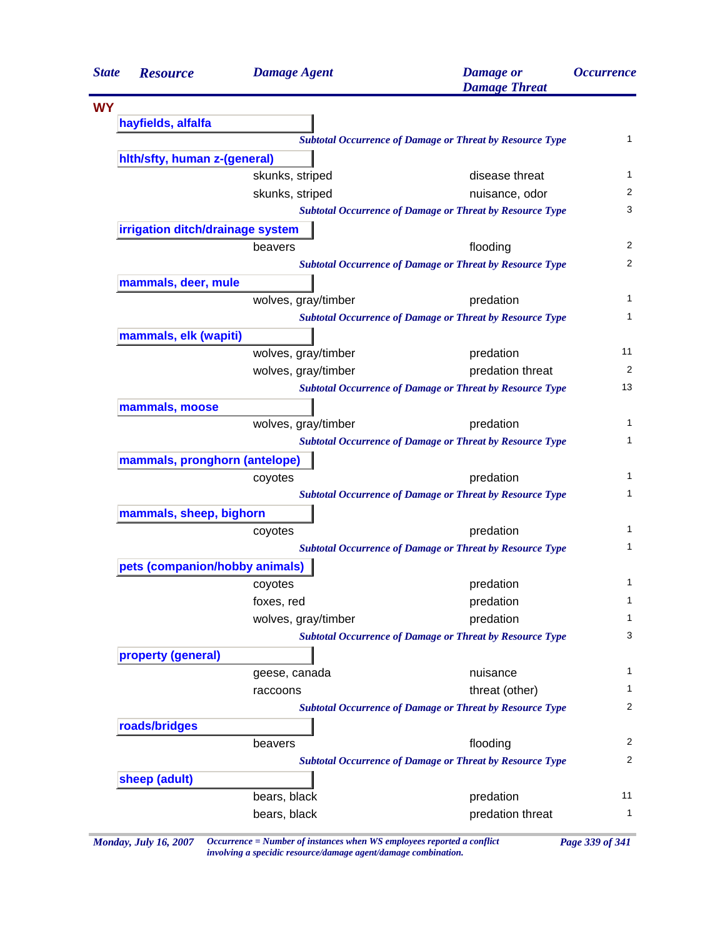| <b>State</b> | <b>Resource</b>                                                 | <b>Damage Agent</b> | <b>Damage</b> or<br><b>Damage Threat</b>                        | <i><b>Occurrence</b></i> |
|--------------|-----------------------------------------------------------------|---------------------|-----------------------------------------------------------------|--------------------------|
| <b>WY</b>    |                                                                 |                     |                                                                 |                          |
|              | hayfields, alfalfa                                              |                     |                                                                 |                          |
|              |                                                                 |                     | <b>Subtotal Occurrence of Damage or Threat by Resource Type</b> | $\mathbf{1}$             |
|              | hith/sfty, human z-(general)                                    |                     |                                                                 |                          |
|              |                                                                 | skunks, striped     | disease threat                                                  | 1                        |
|              |                                                                 | skunks, striped     | nuisance, odor                                                  | 2                        |
|              |                                                                 |                     | <b>Subtotal Occurrence of Damage or Threat by Resource Type</b> | 3                        |
|              | irrigation ditch/drainage system                                |                     |                                                                 |                          |
|              |                                                                 | beavers             | flooding                                                        | 2                        |
|              |                                                                 |                     | <b>Subtotal Occurrence of Damage or Threat by Resource Type</b> | 2                        |
|              | mammals, deer, mule                                             |                     |                                                                 |                          |
|              |                                                                 | wolves, gray/timber | predation                                                       | 1                        |
|              |                                                                 |                     | <b>Subtotal Occurrence of Damage or Threat by Resource Type</b> | 1                        |
|              | mammals, elk (wapiti)                                           |                     |                                                                 |                          |
|              |                                                                 | wolves, gray/timber | predation                                                       | 11                       |
|              |                                                                 | wolves, gray/timber | predation threat                                                | 2                        |
|              |                                                                 |                     | <b>Subtotal Occurrence of Damage or Threat by Resource Type</b> | 13                       |
|              | mammals, moose                                                  |                     |                                                                 |                          |
|              |                                                                 | wolves, gray/timber | predation                                                       | 1                        |
|              |                                                                 |                     | <b>Subtotal Occurrence of Damage or Threat by Resource Type</b> | 1                        |
|              | mammals, pronghorn (antelope)                                   |                     |                                                                 |                          |
|              |                                                                 | coyotes             | predation                                                       | 1                        |
|              |                                                                 |                     | <b>Subtotal Occurrence of Damage or Threat by Resource Type</b> | 1                        |
|              | mammals, sheep, bighorn                                         |                     |                                                                 |                          |
|              |                                                                 | coyotes             | predation                                                       | 1                        |
|              |                                                                 |                     | <b>Subtotal Occurrence of Damage or Threat by Resource Type</b> | 1                        |
|              | pets (companion/hobby animals)                                  |                     |                                                                 |                          |
|              |                                                                 |                     | predation                                                       | 1                        |
|              |                                                                 | coyotes             |                                                                 | 1                        |
|              |                                                                 | foxes, red          | predation                                                       | 1                        |
|              |                                                                 | wolves, gray/timber | predation                                                       | 3                        |
|              |                                                                 |                     | <b>Subtotal Occurrence of Damage or Threat by Resource Type</b> |                          |
|              | property (general)                                              |                     |                                                                 |                          |
|              |                                                                 | geese, canada       | nuisance                                                        | 1                        |
|              |                                                                 | raccoons            | threat (other)                                                  | 1<br>2                   |
|              |                                                                 |                     | <b>Subtotal Occurrence of Damage or Threat by Resource Type</b> |                          |
|              | roads/bridges                                                   |                     |                                                                 |                          |
|              |                                                                 | beavers             | flooding                                                        | 2                        |
|              | <b>Subtotal Occurrence of Damage or Threat by Resource Type</b> |                     |                                                                 | 2                        |
|              | sheep (adult)                                                   |                     |                                                                 |                          |
|              |                                                                 | bears, black        | predation                                                       | 11                       |
|              |                                                                 | bears, black        | predation threat                                                | 1                        |

*Monday, July 16, 2007 Occurrence = Number of instances when WS employees reported a conflict Page 339 of 341 involving a specidic resource/damage agent/damage combination.*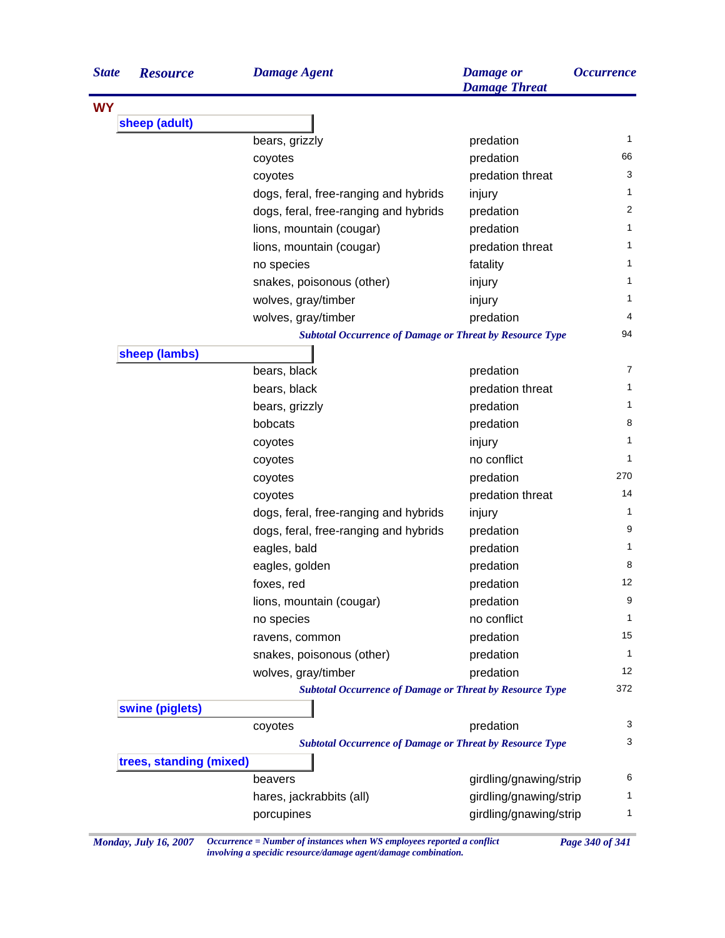| <b>State</b> | <b>Resource</b>         | <b>Damage Agent</b>                                             | <b>Damage or</b><br><b>Damage Threat</b> | <i><b>Occurrence</b></i> |
|--------------|-------------------------|-----------------------------------------------------------------|------------------------------------------|--------------------------|
| <b>WY</b>    |                         |                                                                 |                                          |                          |
|              | sheep (adult)           |                                                                 |                                          |                          |
|              |                         | bears, grizzly                                                  | predation                                | $\mathbf{1}$             |
|              |                         | coyotes                                                         | predation                                | 66                       |
|              |                         | coyotes                                                         | predation threat                         | 3                        |
|              |                         | dogs, feral, free-ranging and hybrids                           | injury                                   | 1                        |
|              |                         | dogs, feral, free-ranging and hybrids                           | predation                                | 2                        |
|              |                         | lions, mountain (cougar)                                        | predation                                | 1                        |
|              |                         | lions, mountain (cougar)                                        | predation threat                         | 1                        |
|              |                         | no species                                                      | fatality                                 | 1                        |
|              |                         | snakes, poisonous (other)                                       | injury                                   | 1                        |
|              |                         | wolves, gray/timber                                             | injury                                   | 1                        |
|              |                         | wolves, gray/timber                                             | predation                                | 4                        |
|              |                         | <b>Subtotal Occurrence of Damage or Threat by Resource Type</b> |                                          | 94                       |
|              | sheep (lambs)           |                                                                 |                                          |                          |
|              |                         | bears, black                                                    | predation                                | $\overline{7}$           |
|              |                         | bears, black                                                    | predation threat                         | 1                        |
|              |                         | bears, grizzly                                                  | predation                                | 1                        |
|              |                         | bobcats                                                         | predation                                | 8                        |
|              |                         | coyotes                                                         | injury                                   | 1                        |
|              |                         | coyotes                                                         | no conflict                              | 1                        |
|              |                         | coyotes                                                         | predation                                | 270                      |
|              |                         | coyotes                                                         | predation threat                         | 14                       |
|              |                         | dogs, feral, free-ranging and hybrids                           | injury                                   | $\mathbf{1}$             |
|              |                         | dogs, feral, free-ranging and hybrids                           | predation                                | 9                        |
|              |                         | eagles, bald                                                    | predation                                | 1                        |
|              |                         | eagles, golden                                                  | predation                                | 8                        |
|              |                         | foxes, red                                                      | predation                                | 12                       |
|              |                         | lions, mountain (cougar)                                        | predation                                | 9                        |
|              |                         | no species                                                      | no conflict                              | 1                        |
|              |                         | ravens, common                                                  | predation                                | 15                       |
|              |                         | snakes, poisonous (other)                                       | predation                                | $\mathbf{1}$             |
|              |                         | wolves, gray/timber                                             | predation                                | 12                       |
|              |                         | <b>Subtotal Occurrence of Damage or Threat by Resource Type</b> |                                          | 372                      |
|              | swine (piglets)         |                                                                 |                                          |                          |
|              |                         | coyotes                                                         | predation                                | 3                        |
|              |                         | <b>Subtotal Occurrence of Damage or Threat by Resource Type</b> |                                          | 3                        |
|              | trees, standing (mixed) |                                                                 |                                          |                          |
|              |                         | beavers                                                         | girdling/gnawing/strip                   | 6                        |
|              |                         | hares, jackrabbits (all)                                        | girdling/gnawing/strip                   | 1                        |
|              |                         | porcupines                                                      | girdling/gnawing/strip                   | 1                        |

*Monday, July 16, 2007 Occurrence = Number of instances when WS employees reported a conflict Page 340 of 341 involving a specidic resource/damage agent/damage combination.*